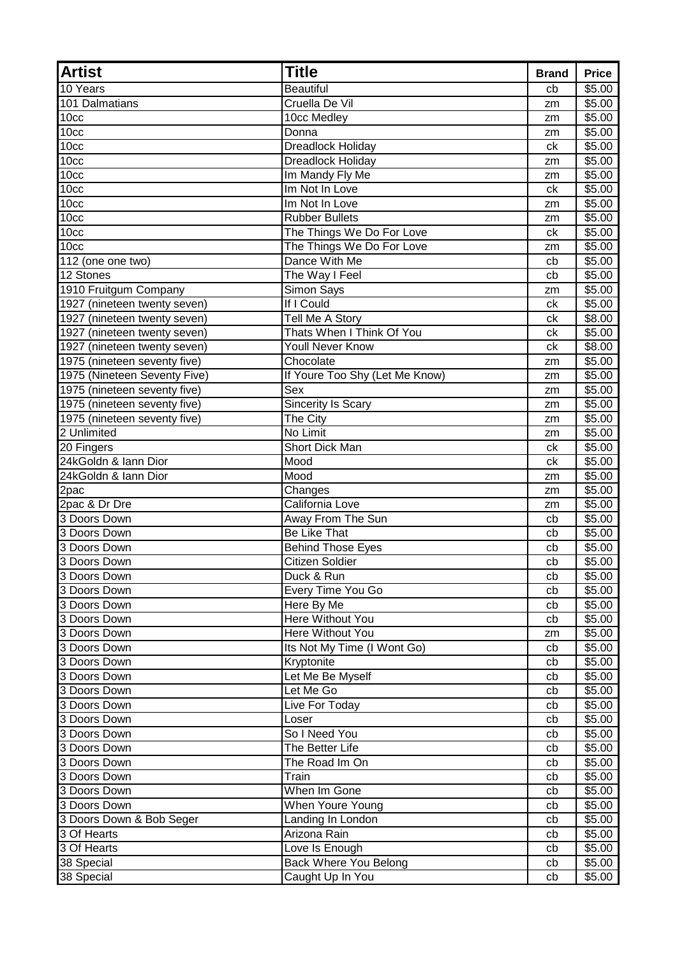| <b>Artist</b>                | <b>Title</b>                   | <b>Brand</b> | <b>Price</b>       |
|------------------------------|--------------------------------|--------------|--------------------|
| 10 Years                     | <b>Beautiful</b>               | cb           | \$5.00             |
| 101 Dalmatians               | Cruella De Vil                 | zm           | \$5.00             |
| 10 <sub>cc</sub>             | 10cc Medley                    | zm           | \$5.00             |
| 10 <sub>cc</sub>             | Donna                          | zm           | \$5.00             |
| 10 <sub>cc</sub>             | <b>Dreadlock Holiday</b>       | ck           | \$5.00             |
| 10cc                         | Dreadlock Holiday              | zm           | \$5.00             |
| 10 <sub>cc</sub>             | Im Mandy Fly Me                | zm           | \$5.00             |
| 10 <sub>cc</sub>             | Im Not In Love                 | ck           | $\overline{$}5.00$ |
| 10 <sub>cc</sub>             | Im Not In Love                 | zm           | \$5.00             |
| 10cc                         | <b>Rubber Bullets</b>          | zm           | \$5.00             |
| 10 <sub>cc</sub>             | The Things We Do For Love      | ck           | \$5.00             |
| 10 <sub>cc</sub>             | The Things We Do For Love      | zm           | \$5.00             |
| $112$ (one one two)          | Dance With Me                  | cb           | \$5.00             |
| 12 Stones                    | The Way I Feel                 | cb           | \$5.00             |
| 1910 Fruitgum Company        | Simon Says                     | zm           | \$5.00             |
| 1927 (nineteen twenty seven) | If I Could                     | сk           | \$5.00             |
| 1927 (nineteen twenty seven) | Tell Me A Story                | ck           | \$8.00             |
| 1927 (nineteen twenty seven) | Thats When I Think Of You      | сk           | \$5.00             |
| 1927 (nineteen twenty seven) | <b>Youll Never Know</b>        | ck           | \$8.00             |
| 1975 (nineteen seventy five) | Chocolate                      | zm           | \$5.00             |
| 1975 (Nineteen Seventy Five) | If Youre Too Shy (Let Me Know) | zm           | \$5.00             |
| 1975 (nineteen seventy five) | Sex                            | zm           | \$5.00             |
| 1975 (nineteen seventy five) | Sincerity Is Scary             | zm           | \$5.00             |
| 1975 (nineteen seventy five) | The City                       | zm           | \$5.00             |
| 2 Unlimited                  | No Limit                       | zm           | \$5.00             |
| 20 Fingers                   | Short Dick Man                 | ck           | \$5.00             |
| 24kGoldn & Iann Dior         | Mood                           | ck           | \$5.00             |
| 24kGoldn & Iann Dior         | Mood                           | zm           | \$5.00             |
| 2pac                         | Changes                        | zm           | \$5.00             |
| 2pac & Dr Dre                | California Love                | zm           | \$5.00             |
| 3 Doors Down                 | Away From The Sun              | cb           | \$5.00             |
| 3 Doors Down                 | <b>Be Like That</b>            | cb           | \$5.00             |
| 3 Doors Down                 | <b>Behind Those Eyes</b>       | cb           | \$5.00             |
| 3 Doors Down                 | <b>Citizen Soldier</b>         | cb           | \$5.00             |
| 3 Doors Down                 | Duck & Run                     | cb           | \$5.00             |
| 3 Doors Down                 | Every Time You Go              | cb           | \$5.00             |
| 3 Doors Down                 | Here By Me                     | cb           | \$5.00             |
| 3 Doors Down                 | Here Without You               | cb           | \$5.00             |
| 3 Doors Down                 | Here Without You               | zm           | \$5.00             |
| 3 Doors Down                 | Its Not My Time (I Wont Go)    | cb           | \$5.00             |
| 3 Doors Down                 | Kryptonite                     | cb           | \$5.00             |
| 3 Doors Down                 | Let Me Be Myself               | cb           | \$5.00             |
| 3 Doors Down                 | Let Me Go                      | cb           | \$5.00             |
| 3 Doors Down                 | Live For Today                 | cb           | \$5.00             |
| 3 Doors Down                 | Loser                          | cb           | \$5.00             |
| 3 Doors Down                 | So I Need You                  | cb           | \$5.00             |
| 3 Doors Down                 | The Better Life                | cb           | \$5.00             |
| 3 Doors Down                 | The Road Im On                 | cb           | \$5.00             |
| 3 Doors Down                 | Train                          | cb           | \$5.00             |
| 3 Doors Down                 | When Im Gone                   | cb           | \$5.00             |
| 3 Doors Down                 | When Youre Young               | cb           | \$5.00             |
| 3 Doors Down & Bob Seger     | Landing In London              | cb           | \$5.00             |
| 3 Of Hearts                  | Arizona Rain                   | cb           | \$5.00             |
| 3 Of Hearts                  | Love Is Enough                 | cb           | \$5.00             |
| 38 Special                   | Back Where You Belong          | cb           | \$5.00             |
| 38 Special                   | Caught Up In You               | cb           | \$5.00             |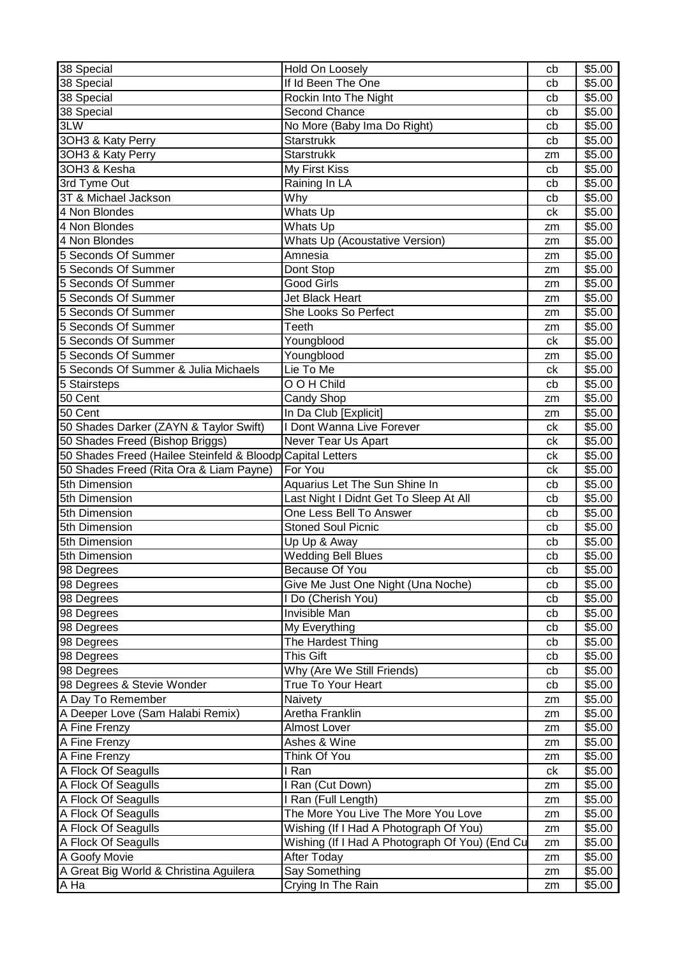| 38 Special                                                 | Hold On Loosely                                                         | cb | \$5.00             |
|------------------------------------------------------------|-------------------------------------------------------------------------|----|--------------------|
| 38 Special                                                 | If Id Been The One                                                      | cb | \$5.00             |
| 38 Special                                                 | Rockin Into The Night                                                   | cb | \$5.00             |
| 38 Special                                                 | <b>Second Chance</b>                                                    | cb | \$5.00             |
| 3LW                                                        | No More (Baby Ima Do Right)                                             | cb | $\overline{$}5.00$ |
| 3OH3 & Katy Perry                                          | <b>Starstrukk</b>                                                       | cb | \$5.00             |
| 3OH3 & Katy Perry                                          | <b>Starstrukk</b>                                                       | zm | \$5.00             |
| 3OH3 & Kesha                                               | My First Kiss                                                           | cb | \$5.00             |
| 3rd Tyme Out                                               | Raining In LA                                                           | cb | \$5.00             |
| 3T & Michael Jackson                                       | Why                                                                     | cb | \$5.00             |
| 4 Non Blondes                                              | <b>Whats Up</b>                                                         | ck | \$5.00             |
| 4 Non Blondes                                              | Whats Up                                                                | zm | \$5.00             |
| 4 Non Blondes                                              | <b>Whats Up (Acoustative Version)</b>                                   | zm | \$5.00             |
| 5 Seconds Of Summer                                        | Amnesia                                                                 | zm | \$5.00             |
| 5 Seconds Of Summer                                        | Dont Stop                                                               | zm | \$5.00             |
| 5 Seconds Of Summer                                        | <b>Good Girls</b>                                                       | zm | \$5.00             |
| 5 Seconds Of Summer                                        | Jet Black Heart                                                         | zm | \$5.00             |
| 5 Seconds Of Summer                                        | She Looks So Perfect                                                    | zm | \$5.00             |
| 5 Seconds Of Summer                                        | $\overline{\mathsf{Te}}$ eth                                            | zm | \$5.00             |
| 5 Seconds Of Summer                                        | Youngblood                                                              | ck | $\overline{$}5.00$ |
| 5 Seconds Of Summer                                        | Youngblood                                                              | zm | \$5.00             |
| 5 Seconds Of Summer & Julia Michaels                       | Lie To Me                                                               | ck | \$5.00             |
| 5 Stairsteps                                               | O O H Child                                                             | cb | \$5.00             |
| 50 Cent                                                    | Candy Shop                                                              | zm | \$5.00             |
| 50 Cent                                                    | In Da Club [Explicit]                                                   | zm | \$5.00             |
| 50 Shades Darker (ZAYN & Taylor Swift)                     | I Dont Wanna Live Forever                                               | ck | \$5.00             |
| 50 Shades Freed (Bishop Briggs)                            | Never Tear Us Apart                                                     | ck | \$5.00             |
| 50 Shades Freed (Hailee Steinfeld & Bloodp Capital Letters |                                                                         | ck | \$5.00             |
| 50 Shades Freed (Rita Ora & Liam Payne)                    | For You                                                                 | ck | \$5.00             |
| 5th Dimension                                              |                                                                         | cb | \$5.00             |
| 5th Dimension                                              | Aquarius Let The Sun Shine In<br>Last Night I Didnt Get To Sleep At All | cb | \$5.00             |
|                                                            | One Less Bell To Answer                                                 |    |                    |
| 5th Dimension                                              |                                                                         | cb | \$5.00             |
| 5th Dimension                                              | <b>Stoned Soul Picnic</b>                                               | cb | \$5.00<br>\$5.00   |
| 5th Dimension                                              | Up Up & Away                                                            | cb |                    |
| 5th Dimension                                              | <b>Wedding Bell Blues</b>                                               | cb | \$5.00             |
| 98 Degrees                                                 | Because Of You                                                          | cb | \$5.00             |
| 98 Degrees                                                 | Give Me Just One Night (Una Noche)                                      | cb | \$5.00             |
| 98 Degrees                                                 | I Do (Cherish You)                                                      | cb | \$5.00             |
| 98 Degrees                                                 | Invisible Man                                                           | cb | \$5.00             |
| 98 Degrees                                                 | My Everything                                                           | cb | \$5.00             |
| 98 Degrees                                                 | The Hardest Thing                                                       | cb | \$5.00             |
| 98 Degrees                                                 | This Gift                                                               | cb | \$5.00             |
| 98 Degrees                                                 | Why (Are We Still Friends)                                              | cb | \$5.00             |
| 98 Degrees & Stevie Wonder                                 | True To Your Heart                                                      | cb | \$5.00             |
| A Day To Remember                                          | Naivety                                                                 | zm | \$5.00             |
| A Deeper Love (Sam Halabi Remix)                           | Aretha Franklin                                                         | zm | \$5.00             |
| A Fine Frenzy                                              | Almost Lover                                                            | zm | \$5.00             |
| A Fine Frenzy                                              | Ashes & Wine                                                            | zm | \$5.00             |
| A Fine Frenzy                                              | Think Of You                                                            | zm | \$5.00             |
| A Flock Of Seagulls                                        | I Ran                                                                   | ck | \$5.00             |
| A Flock Of Seagulls                                        | I Ran (Cut Down)                                                        | zm | \$5.00             |
| A Flock Of Seagulls                                        | I Ran (Full Length)                                                     | zm | \$5.00             |
| A Flock Of Seagulls                                        | The More You Live The More You Love                                     | zm | \$5.00             |
| A Flock Of Seagulls                                        | Wishing (If I Had A Photograph Of You)                                  | zm | \$5.00             |
| A Flock Of Seagulls                                        | Wishing (If I Had A Photograph Of You) (End Cu                          | zm | \$5.00             |
| A Goofy Movie                                              | After Today                                                             | zm | \$5.00             |
| A Great Big World & Christina Aguilera                     | Say Something                                                           | zm | \$5.00             |
| А На                                                       | Crying In The Rain                                                      | zm | \$5.00             |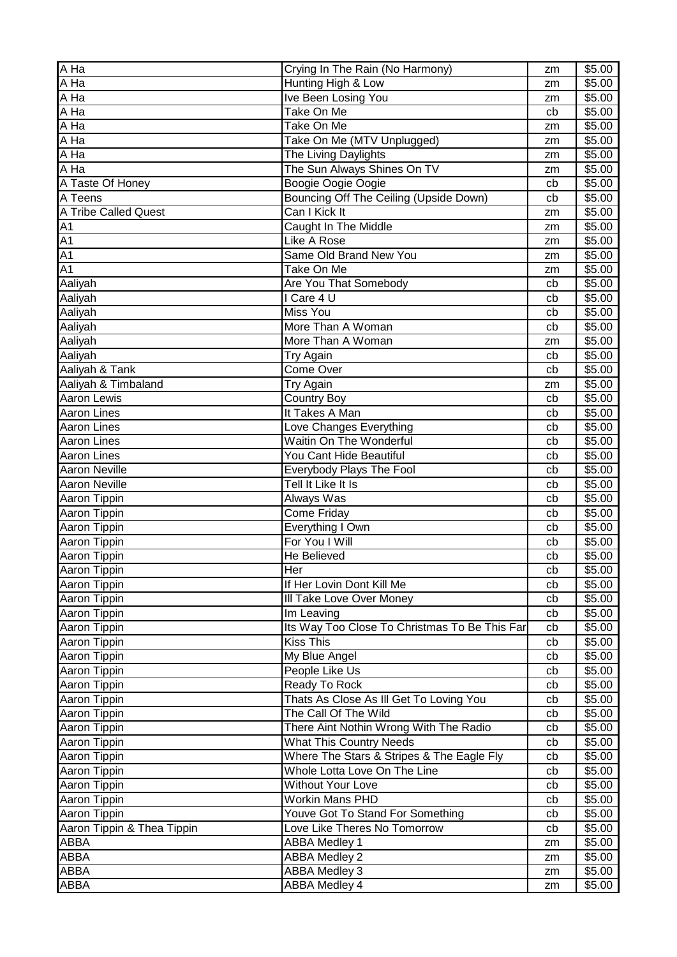| A Ha                       | Crying In The Rain (No Harmony)               | zm | \$5.00             |
|----------------------------|-----------------------------------------------|----|--------------------|
| A Ha                       | Hunting High & Low                            | zm | \$5.00             |
| A Ha                       | Ive Been Losing You                           | zm | \$5.00             |
| A Ha                       | Take On Me                                    | cb | \$5.00             |
| A Ha                       | Take On Me                                    | zm | \$5.00             |
| $\overline{A}$ Ha          | Take On Me (MTV Unplugged)                    | zm | \$5.00             |
| A Ha                       | The Living Daylights                          | zm | \$5.00             |
| A Ha                       | The Sun Always Shines On TV                   | zm | \$5.00             |
| A Taste Of Honey           | Boogie Oogie Oogie                            | cb | \$5.00             |
| A Teens                    | Bouncing Off The Ceiling (Upside Down)        | cb | \$5.00             |
| A Tribe Called Quest       | Can I Kick It                                 | zm | \$5.00             |
| A1                         | Caught In The Middle                          | zm | \$5.00             |
| Ā1                         | Like A Rose                                   | zm | \$5.00             |
| $\overline{A1}$            | Same Old Brand New You                        | zm | \$5.00             |
| A <sub>1</sub>             | Take On Me                                    | zm | \$5.00             |
| Aaliyah                    | Are You That Somebody                         | cb | \$5.00             |
| Aaliyah                    | I Care 4 U                                    | cb | \$5.00             |
| Aaliyah                    | <b>Miss You</b>                               | cb | \$5.00             |
| Aaliyah                    | More Than A Woman                             | cb | \$5.00             |
| Aaliyah                    | More Than A Woman                             | zm | \$5.00             |
| Aaliyah                    | Try Again                                     | cb | \$5.00             |
| Aaliyah & Tank             | Come Over                                     | cb | \$5.00             |
| Aaliyah & Timbaland        | <b>Try Again</b>                              | zm | \$5.00             |
| <b>Aaron Lewis</b>         | <b>Country Boy</b>                            | cb | \$5.00             |
| <b>Aaron Lines</b>         | It Takes A Man                                | cb | $\overline{$}5.00$ |
| <b>Aaron Lines</b>         | Love Changes Everything                       | cb | \$5.00             |
| <b>Aaron Lines</b>         | Waitin On The Wonderful                       | cb | \$5.00             |
| <b>Aaron Lines</b>         | You Cant Hide Beautiful                       | cb | \$5.00             |
| Aaron Neville              | Everybody Plays The Fool                      | cb | \$5.00             |
| <b>Aaron Neville</b>       | Tell It Like It Is                            | cb | \$5.00             |
| Aaron Tippin               | Always Was                                    | cb | \$5.00             |
| Aaron Tippin               | Come Friday                                   | cb | \$5.00             |
| <b>Aaron Tippin</b>        | Everything I Own                              | cb | \$5.00             |
| Aaron Tippin               | For You I Will                                | cb | \$5.00             |
| Aaron Tippin               | He Believed                                   | cb | \$5.00             |
| Aaron Tippin               | Her                                           | cb | \$5.00             |
| Aaron Tippin               | If Her Lovin Dont Kill Me                     | cb | \$5.00             |
| Aaron Tippin               | III Take Love Over Money                      | cb | \$5.00             |
| Aaron Tippin               | Im Leaving                                    | cb | \$5.00             |
| Aaron Tippin               | Its Way Too Close To Christmas To Be This Far | cb | \$5.00             |
| Aaron Tippin               | <b>Kiss This</b>                              | cb | \$5.00             |
| Aaron Tippin               | My Blue Angel                                 | cb | \$5.00             |
| Aaron Tippin               | People Like Us                                | cb | \$5.00             |
| Aaron Tippin               | Ready To Rock                                 | cb | \$5.00             |
| Aaron Tippin               | Thats As Close As III Get To Loving You       | cb | \$5.00             |
| Aaron Tippin               | The Call Of The Wild                          | cb | \$5.00             |
| Aaron Tippin               | There Aint Nothin Wrong With The Radio        | cb | \$5.00             |
| Aaron Tippin               | <b>What This Country Needs</b>                | cb | \$5.00             |
| Aaron Tippin               | Where The Stars & Stripes & The Eagle Fly     | cb | \$5.00             |
| Aaron Tippin               | Whole Lotta Love On The Line                  | cb | \$5.00             |
| Aaron Tippin               | <b>Without Your Love</b>                      | cb | \$5.00             |
| Aaron Tippin               | <b>Workin Mans PHD</b>                        | cb | \$5.00             |
| Aaron Tippin               | Youve Got To Stand For Something              | cb | \$5.00             |
| Aaron Tippin & Thea Tippin | Love Like Theres No Tomorrow                  | cb | \$5.00             |
| ABBA                       | <b>ABBA Medley 1</b>                          | zm | \$5.00             |
| ABBA                       | <b>ABBA Medley 2</b>                          | zm | \$5.00             |
| <b>ABBA</b>                | <b>ABBA Medley 3</b>                          | zm | \$5.00             |
| <b>ABBA</b>                | <b>ABBA Medley 4</b>                          | zm | \$5.00             |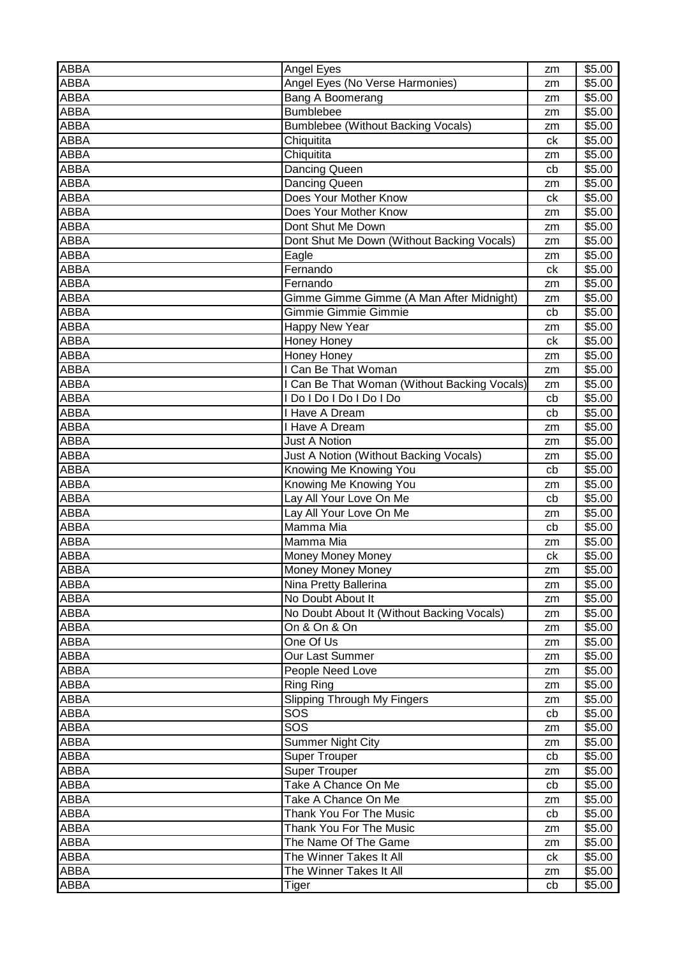| ABBA        | Angel Eyes                                   | zm | \$5.00 |
|-------------|----------------------------------------------|----|--------|
| ABBA        | Angel Eyes (No Verse Harmonies)              | zm | \$5.00 |
| ABBA        | Bang A Boomerang                             | zm | \$5.00 |
| ABBA        | <b>Bumblebee</b>                             | zm | \$5.00 |
| ABBA        | <b>Bumblebee (Without Backing Vocals)</b>    | zm | \$5.00 |
| ABBA        | Chiquitita                                   | ck | \$5.00 |
| ABBA        | Chiquitita                                   | zm | \$5.00 |
| ABBA        | Dancing Queen                                | cb | \$5.00 |
| ABBA        | <b>Dancing Queen</b>                         | zm | \$5.00 |
| ABBA        | Does Your Mother Know                        | ck | \$5.00 |
| ABBA        | Does Your Mother Know                        | zm | \$5.00 |
| ABBA        | Dont Shut Me Down                            | zm | \$5.00 |
| ABBA        | Dont Shut Me Down (Without Backing Vocals)   | zm | \$5.00 |
| ABBA        | Eagle                                        | zm | \$5.00 |
| ABBA        | Fernando                                     | ck | \$5.00 |
| <b>ABBA</b> | Fernando                                     | zm | \$5.00 |
| ABBA        | Gimme Gimme Gimme (A Man After Midnight)     | zm | \$5.00 |
| ABBA        | Gimmie Gimmie Gimmie                         | cb | \$5.00 |
| ABBA        | <b>Happy New Year</b>                        | zm | \$5.00 |
| <b>ABBA</b> | Honey Honey                                  | ck | \$5.00 |
| ABBA        | <b>Honey Honey</b>                           | zm | \$5.00 |
| ABBA        | I Can Be That Woman                          | zm | \$5.00 |
| ABBA        | I Can Be That Woman (Without Backing Vocals) | zm | \$5.00 |
| ABBA        | I Do I Do I Do I Do I Do                     | cb | \$5.00 |
| <b>ABBA</b> | I Have A Dream                               | cb | \$5.00 |
| ABBA        | I Have A Dream                               | zm | \$5.00 |
| ABBA        | <b>Just A Notion</b>                         | zm | \$5.00 |
| ABBA        | Just A Notion (Without Backing Vocals)       | zm | \$5.00 |
| ABBA        | Knowing Me Knowing You                       | cb | \$5.00 |
| ABBA        | Knowing Me Knowing You                       | zm | \$5.00 |
| ABBA        | Lay All Your Love On Me                      | cb | \$5.00 |
| ABBA        | Lay All Your Love On Me                      | zm | \$5.00 |
| ABBA        | Mamma Mia                                    | cb | \$5.00 |
| ABBA        | Mamma Mia                                    | zm | \$5.00 |
| ABBA        | Money Money Money                            | сk | \$5.00 |
| ABBA        | Money Money Money                            | zm | \$5.00 |
| ABBA        | Nina Pretty Ballerina                        | zm | \$5.00 |
| ABBA        | No Doubt About It                            | zm | \$5.00 |
| ABBA        | No Doubt About It (Without Backing Vocals)   | zm | \$5.00 |
| ABBA        | On & On & On                                 | zm | \$5.00 |
| ABBA        | One Of Us                                    | zm | \$5.00 |
| ABBA        | Our Last Summer                              | zm | \$5.00 |
| ABBA        | People Need Love                             | zm | \$5.00 |
| ABBA        | Ring Ring                                    | zm | \$5.00 |
| ABBA        | <b>Slipping Through My Fingers</b>           | zm | \$5.00 |
| <b>ABBA</b> | SOS                                          | cb | \$5.00 |
| ABBA        | SOS                                          | zm | \$5.00 |
| ABBA        | <b>Summer Night City</b>                     | zm | \$5.00 |
| ABBA        | <b>Super Trouper</b>                         | cb | \$5.00 |
| ABBA        | <b>Super Trouper</b>                         | zm | \$5.00 |
| ABBA        | Take A Chance On Me                          | cb | \$5.00 |
| ABBA        | Take A Chance On Me                          | zm | \$5.00 |
| ABBA        | Thank You For The Music                      | cb | \$5.00 |
| ABBA        | Thank You For The Music                      | zm | \$5.00 |
| ABBA        | The Name Of The Game                         | zm | \$5.00 |
| ABBA        | The Winner Takes It All                      | ck | \$5.00 |
| ABBA        | The Winner Takes It All                      | zm | \$5.00 |
| ABBA        | Tiger                                        | cb | \$5.00 |
|             |                                              |    |        |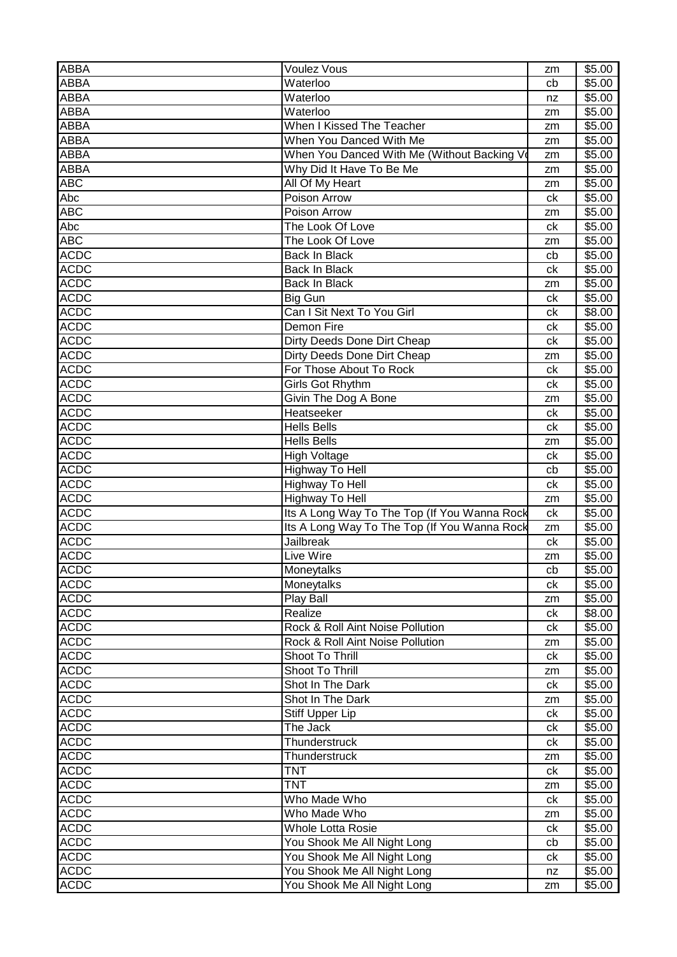| <b>ABBA</b>                | <b>Voulez Vous</b>                                               | zm       | \$5.00           |
|----------------------------|------------------------------------------------------------------|----------|------------------|
| <b>ABBA</b>                | Waterloo                                                         | cb       | \$5.00           |
| ABBA                       | Waterloo                                                         | nz       | \$5.00           |
| <b>ABBA</b>                | Waterloo                                                         | zm       | \$5.00           |
| <b>ABBA</b>                | When I Kissed The Teacher                                        | zm       | \$5.00           |
| <b>ABBA</b>                | When You Danced With Me                                          | zm       | \$5.00           |
| ABBA                       | When You Danced With Me (Without Backing Vo                      | zm       | \$5.00           |
| ABBA                       | Why Did It Have To Be Me                                         | zm       | \$5.00           |
| <b>ABC</b>                 | All Of My Heart                                                  | zm       | \$5.00           |
| Abc                        | Poison Arrow                                                     | ck       | \$5.00           |
| $\overline{ABC}$           | Poison Arrow                                                     | zm       | \$5.00           |
| Abc                        | The Look Of Love                                                 | ck       | \$5.00           |
| <b>ABC</b>                 | The Look Of Love                                                 | zm       | \$5.00           |
| <b>ACDC</b>                | <b>Back In Black</b>                                             | cb       | \$5.00           |
| <b>ACDC</b>                | Back In Black                                                    | ck       | \$5.00           |
| <b>ACDC</b>                | <b>Back In Black</b>                                             | zm       | \$5.00           |
| <b>ACDC</b>                | Big Gun                                                          | ck       | \$5.00           |
| <b>ACDC</b>                | Can I Sit Next To You Girl                                       | ck       | \$8.00           |
| <b>ACDC</b>                | Demon Fire                                                       | ck       | \$5.00           |
| <b>ACDC</b>                | Dirty Deeds Done Dirt Cheap                                      | ck       | \$5.00           |
| <b>ACDC</b>                | Dirty Deeds Done Dirt Cheap                                      | zm       | \$5.00           |
| <b>ACDC</b>                | For Those About To Rock                                          | ck       | \$5.00           |
| <b>ACDC</b>                | Girls Got Rhythm                                                 | ck       | \$5.00           |
| <b>ACDC</b>                | Givin The Dog A Bone                                             | zm       | \$5.00           |
| <b>ACDC</b>                | Heatseeker                                                       | ck       | \$5.00           |
| <b>ACDC</b>                | <b>Hells Bells</b>                                               | ck       | \$5.00           |
| <b>ACDC</b>                | <b>Hells Bells</b>                                               | zm       | \$5.00           |
| <b>ACDC</b>                | High Voltage                                                     | ck       | \$5.00           |
| <b>ACDC</b>                | Highway To Hell                                                  | cb       | \$5.00           |
| <b>ACDC</b>                | Highway To Hell                                                  |          |                  |
| <b>ACDC</b>                | Highway To Hell                                                  | ck       | \$5.00<br>\$5.00 |
| <b>ACDC</b>                | Its A Long Way To The Top (If You Wanna Rock                     | zm<br>ck | \$5.00           |
| <b>ACDC</b>                |                                                                  |          |                  |
| <b>ACDC</b>                | Its A Long Way To The Top (If You Wanna Rock<br><b>Jailbreak</b> | zm<br>ck | \$5.00<br>\$5.00 |
| <b>ACDC</b>                | Live Wire                                                        |          |                  |
|                            |                                                                  | zm       | \$5.00           |
| <b>ACDC</b><br><b>ACDC</b> | Moneytalks                                                       | cb       | \$5.00           |
|                            | Moneytalks                                                       | ck       | \$5.00           |
| <b>ACDC</b>                | Play Ball                                                        | zm       | \$5.00           |
| <b>ACDC</b><br><b>ACDC</b> | Realize                                                          | ck       | \$8.00           |
|                            | Rock & Roll Aint Noise Pollution                                 | сk       | \$5.00           |
| <b>ACDC</b>                | Rock & Roll Aint Noise Pollution                                 | zm       | \$5.00           |
| <b>ACDC</b>                | Shoot To Thrill                                                  | ck       | \$5.00           |
| <b>ACDC</b>                | Shoot To Thrill                                                  | zm       | \$5.00           |
| <b>ACDC</b>                | Shot In The Dark                                                 | ck       | \$5.00           |
| <b>ACDC</b>                | Shot In The Dark                                                 | zm       | \$5.00           |
| <b>ACDC</b>                | <b>Stiff Upper Lip</b>                                           | ck       | \$5.00           |
| <b>ACDC</b>                | The Jack                                                         | ck       | \$5.00           |
| <b>ACDC</b>                | Thunderstruck                                                    | ck       | \$5.00           |
| <b>ACDC</b>                | Thunderstruck                                                    | zm       | \$5.00           |
| <b>ACDC</b>                | <b>TNT</b>                                                       | ck       | \$5.00           |
| <b>ACDC</b>                | <b>TNT</b>                                                       | zm       | \$5.00           |
| <b>ACDC</b>                | Who Made Who                                                     | ck       | \$5.00           |
| <b>ACDC</b>                | Who Made Who                                                     | zm       | \$5.00           |
| <b>ACDC</b>                | <b>Whole Lotta Rosie</b>                                         | ck       | \$5.00           |
| <b>ACDC</b>                | You Shook Me All Night Long                                      | cb       | \$5.00           |
| <b>ACDC</b>                | You Shook Me All Night Long                                      | ck       | \$5.00           |
| <b>ACDC</b>                | You Shook Me All Night Long                                      | nz       | \$5.00           |
| <b>ACDC</b>                | You Shook Me All Night Long                                      | zm       | \$5.00           |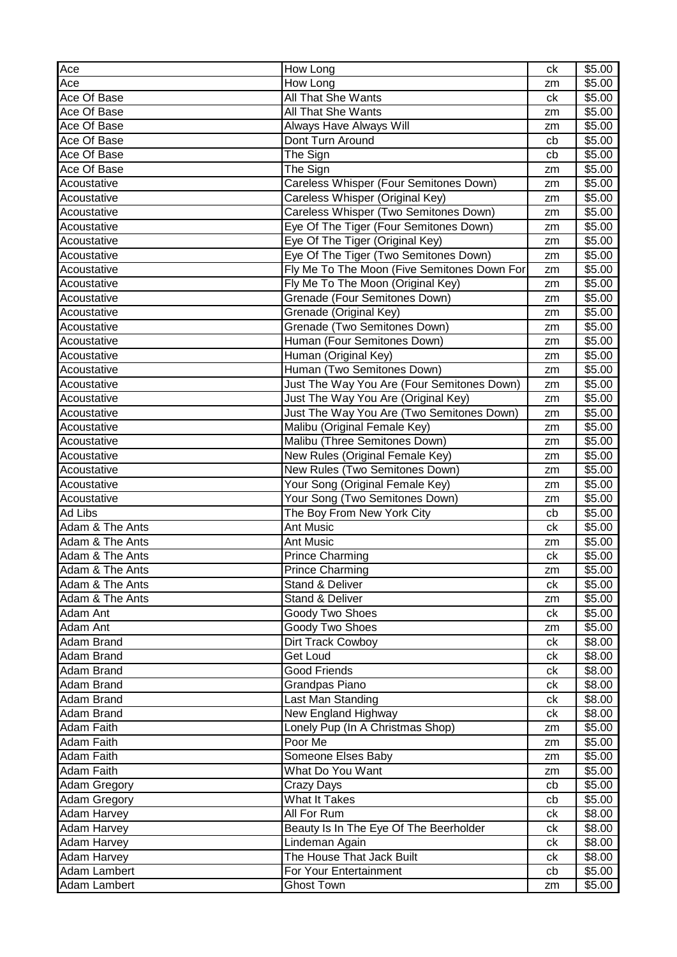| Ace                 | How Long                                    | ck | \$5.00 |
|---------------------|---------------------------------------------|----|--------|
| Ace                 | How Long                                    | zm | \$5.00 |
| Ace Of Base         | All That She Wants                          | ck | \$5.00 |
| Ace Of Base         | <b>All That She Wants</b>                   | zm | \$5.00 |
| Ace Of Base         | Always Have Always Will                     | zm | \$5.00 |
| Ace Of Base         | Dont Turn Around                            | cb | \$5.00 |
| Ace Of Base         | The Sign                                    | cb | \$5.00 |
| Ace Of Base         | The Sign                                    | zm | \$5.00 |
| Acoustative         | Careless Whisper (Four Semitones Down)      | zm | \$5.00 |
| Acoustative         | Careless Whisper (Original Key)             | zm | \$5.00 |
| Acoustative         | Careless Whisper (Two Semitones Down)       | zm | \$5.00 |
| Acoustative         | Eye Of The Tiger (Four Semitones Down)      | zm | \$5.00 |
| Acoustative         | Eye Of The Tiger (Original Key)             | zm | \$5.00 |
| Acoustative         | Eye Of The Tiger (Two Semitones Down)       | zm | \$5.00 |
| Acoustative         | Fly Me To The Moon (Five Semitones Down For | zm | \$5.00 |
| Acoustative         | Fly Me To The Moon (Original Key)           | zm | \$5.00 |
| Acoustative         | Grenade (Four Semitones Down)               | zm | \$5.00 |
| Acoustative         | Grenade (Original Key)                      | zm | \$5.00 |
| Acoustative         | Grenade (Two Semitones Down)                | zm | \$5.00 |
| Acoustative         | Human (Four Semitones Down)                 | zm | \$5.00 |
| Acoustative         | Human (Original Key)                        | zm | \$5.00 |
| Acoustative         | Human (Two Semitones Down)                  | zm | \$5.00 |
| Acoustative         | Just The Way You Are (Four Semitones Down)  | zm | \$5.00 |
| Acoustative         | Just The Way You Are (Original Key)         | zm | \$5.00 |
| Acoustative         | Just The Way You Are (Two Semitones Down)   | zm | \$5.00 |
| Acoustative         | Malibu (Original Female Key)                | zm | \$5.00 |
| Acoustative         | Malibu (Three Semitones Down)               | zm | \$5.00 |
| Acoustative         | New Rules (Original Female Key)             | zm | \$5.00 |
| Acoustative         | New Rules (Two Semitones Down)              | zm | \$5.00 |
| Acoustative         | Your Song (Original Female Key)             | zm | \$5.00 |
| Acoustative         | Your Song (Two Semitones Down)              | zm | \$5.00 |
| <b>Ad Libs</b>      | The Boy From New York City                  | cb | \$5.00 |
| Adam & The Ants     | Ant Music                                   | ck | \$5.00 |
| Adam & The Ants     | <b>Ant Music</b>                            | zm | \$5.00 |
| Adam & The Ants     | <b>Prince Charming</b>                      | ck | \$5.00 |
| Adam & The Ants     | Prince Charming                             | zm | \$5.00 |
| Adam & The Ants     | Stand & Deliver                             | ck | \$5.00 |
| Adam & The Ants     | Stand & Deliver                             | zm | \$5.00 |
| Adam Ant            | Goody Two Shoes                             | ck | \$5.00 |
| Adam Ant            | Goody Two Shoes                             | zm | \$5.00 |
| Adam Brand          | Dirt Track Cowboy                           | ck | \$8.00 |
| Adam Brand          | <b>Get Loud</b>                             | ck | \$8.00 |
| Adam Brand          | <b>Good Friends</b>                         | сk | \$8.00 |
| Adam Brand          | Grandpas Piano                              | ck | \$8.00 |
| Adam Brand          | Last Man Standing                           | ck | \$8.00 |
| Adam Brand          | New England Highway                         | сk | \$8.00 |
| <b>Adam Faith</b>   | Lonely Pup (In A Christmas Shop)            | zm | \$5.00 |
| Adam Faith          | Poor Me                                     | zm | \$5.00 |
| <b>Adam Faith</b>   | Someone Elses Baby                          | zm | \$5.00 |
| Adam Faith          | What Do You Want                            | zm | \$5.00 |
| Adam Gregory        | Crazy Days                                  | cb | \$5.00 |
| <b>Adam Gregory</b> | <b>What It Takes</b>                        | cb | \$5.00 |
| Adam Harvey         | All For Rum                                 | сk | \$8.00 |
| <b>Adam Harvey</b>  | Beauty Is In The Eye Of The Beerholder      | сk | \$8.00 |
| Adam Harvey         | Lindeman Again                              | ck | \$8.00 |
| Adam Harvey         | The House That Jack Built                   | сk | \$8.00 |
| Adam Lambert        | For Your Entertainment                      | cb | \$5.00 |
| Adam Lambert        | <b>Ghost Town</b>                           | zm | \$5.00 |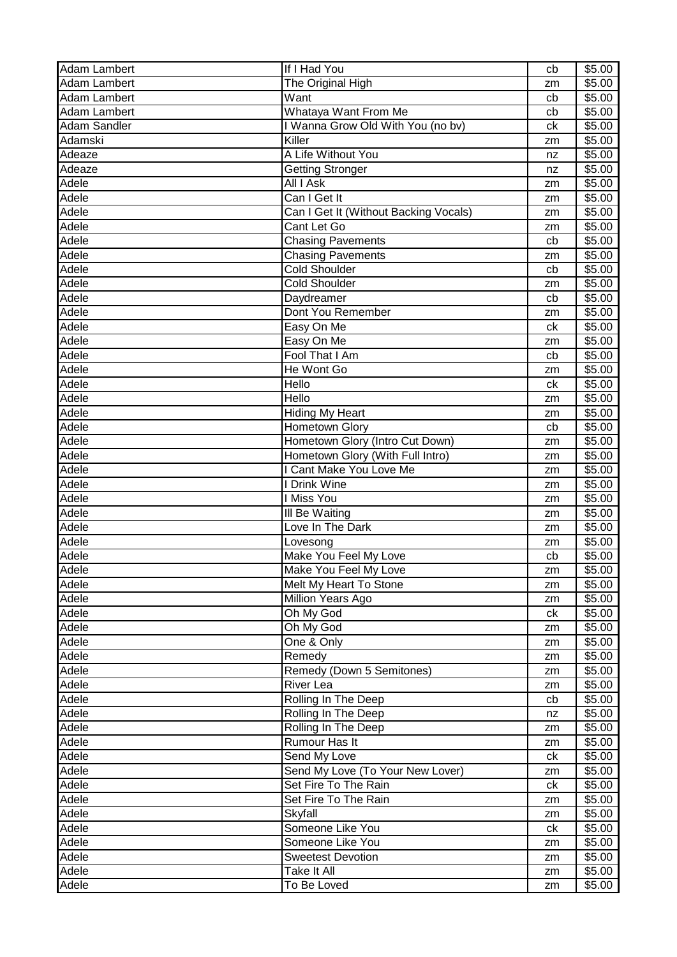| Adam Lambert        | If I Had You                          | cb | \$5.00             |
|---------------------|---------------------------------------|----|--------------------|
| Adam Lambert        | The Original High                     | zm | \$5.00             |
| Adam Lambert        | Want                                  | cb | \$5.00             |
| Adam Lambert        | Whataya Want From Me                  | cb | \$5.00             |
| <b>Adam Sandler</b> | I Wanna Grow Old With You (no bv)     | ck | \$5.00             |
| Adamski             | Killer                                | zm | \$5.00             |
| Adeaze              | A Life Without You                    | nz | \$5.00             |
| Adeaze              | <b>Getting Stronger</b>               | nz | \$5.00             |
| Adele               | All I Ask                             | zm | \$5.00             |
| Adele               | Can I Get It                          | zm | \$5.00             |
| Adele               | Can I Get It (Without Backing Vocals) | zm | \$5.00             |
| Adele               | Cant Let Go                           | zm | \$5.00             |
| Adele               | <b>Chasing Pavements</b>              | cb | \$5.00             |
| Adele               | <b>Chasing Pavements</b>              | zm | \$5.00             |
| Adele               | <b>Cold Shoulder</b>                  | cb | \$5.00             |
| Adele               | Cold Shoulder                         | zm | \$5.00             |
| Adele               | Daydreamer                            | cb | \$5.00             |
| Adele               | Dont You Remember                     | zm | \$5.00             |
| Adele               | Easy On Me                            | ck | \$5.00             |
| Adele               | Easy On Me                            | zm | $\overline{$}5.00$ |
| Adele               | Fool That I Am                        | cb | \$5.00             |
| Adele               | He Wont Go                            | zm | \$5.00             |
| Adele               | Hello                                 | ck | \$5.00             |
| Adele               | Hello                                 | zm | \$5.00             |
| Adele               | <b>Hiding My Heart</b>                | zm | \$5.00             |
| Adele               | Hometown Glory                        | cb | \$5.00             |
| Adele               | Hometown Glory (Intro Cut Down)       | zm | \$5.00             |
| Adele               | Hometown Glory (With Full Intro)      | zm | \$5.00             |
| Adele               | I Cant Make You Love Me               | zm | \$5.00             |
| Adele               | I Drink Wine                          | zm | \$5.00             |
| Adele               | I Miss You                            | zm | \$5.00             |
| Adele               | III Be Waiting                        | zm | \$5.00             |
| Adele               | Love In The Dark                      | zm | \$5.00             |
| Adele               | Lovesong                              | zm | \$5.00             |
| Adele               | Make You Feel My Love                 | cb | $\overline{$}5.00$ |
| Adele               | Make You Feel My Love                 | zm | \$5.00             |
| Adele               | Melt My Heart To Stone                | zm | \$5.00             |
| Adele               | Million Years Ago                     | zm | \$5.00             |
| Adele               | Oh My God                             | ck | \$5.00             |
| Adele               | Oh My God                             | zm | \$5.00             |
| Adele               | One & Only                            | zm | \$5.00             |
| Adele               | Remedy                                | zm | \$5.00             |
| Adele               | Remedy (Down 5 Semitones)             | zm | \$5.00             |
| Adele               | <b>River Lea</b>                      | zm | \$5.00             |
| Adele               | Rolling In The Deep                   | cb | \$5.00             |
| Adele               | Rolling In The Deep                   | nz | \$5.00             |
| Adele               | Rolling In The Deep                   | zm | \$5.00             |
| Adele               | Rumour Has It                         | zm | \$5.00             |
| Adele               | Send My Love                          | ck | \$5.00             |
| Adele               | Send My Love (To Your New Lover)      | zm | \$5.00             |
| Adele               | Set Fire To The Rain                  | сk | \$5.00             |
| Adele               | Set Fire To The Rain                  | zm | \$5.00             |
| Adele               | Skyfall                               | zm | \$5.00             |
| Adele               | Someone Like You                      | ck | \$5.00             |
| Adele               | Someone Like You                      | zm | \$5.00             |
| Adele               | <b>Sweetest Devotion</b>              | zm | \$5.00             |
| Adele               | Take It All                           | zm | \$5.00             |
| Adele               | To Be Loved                           | zm | \$5.00             |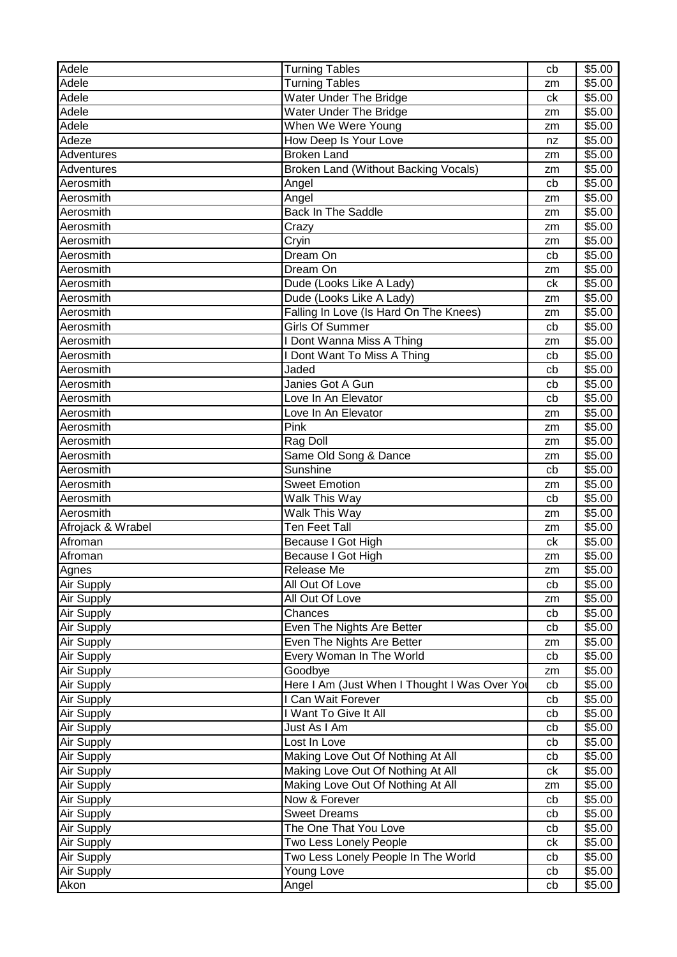| Adele             | <b>Turning Tables</b>                         | cb | \$5.00             |
|-------------------|-----------------------------------------------|----|--------------------|
| Adele             | <b>Turning Tables</b>                         | zm | \$5.00             |
| Adele             | <b>Water Under The Bridge</b>                 | ck | \$5.00             |
| Adele             | <b>Water Under The Bridge</b>                 | zm | \$5.00             |
| Adele             | When We Were Young                            | zm | \$5.00             |
| Adeze             | How Deep Is Your Love                         | nz | \$5.00             |
| Adventures        | <b>Broken Land</b>                            | zm | \$5.00             |
| Adventures        | Broken Land (Without Backing Vocals)          | zm | \$5.00             |
| Aerosmith         | Angel                                         | cb | \$5.00             |
| Aerosmith         | Angel                                         | zm | \$5.00             |
| Aerosmith         | <b>Back In The Saddle</b>                     | zm | \$5.00             |
| Aerosmith         | Crazy                                         | zm | \$5.00             |
| Aerosmith         | Cryin                                         | zm | \$5.00             |
| Aerosmith         | Dream On                                      | cb | \$5.00             |
| Aerosmith         | Dream On                                      | zm | \$5.00             |
| Aerosmith         | Dude (Looks Like A Lady)                      | ck | \$5.00             |
| Aerosmith         | Dude (Looks Like A Lady)                      | zm | \$5.00             |
| Aerosmith         | Falling In Love (Is Hard On The Knees)        | zm | \$5.00             |
| Aerosmith         | <b>Girls Of Summer</b>                        | cb | \$5.00             |
| Aerosmith         | I Dont Wanna Miss A Thing                     | zm | \$5.00             |
| Aerosmith         | I Dont Want To Miss A Thing                   | cb | \$5.00             |
| Aerosmith         | Jaded                                         | cb | \$5.00             |
| Aerosmith         | Janies Got A Gun                              | cb | $\overline{$}5.00$ |
| Aerosmith         | Love In An Elevator                           | cb | \$5.00             |
| Aerosmith         | Love In An Elevator                           | zm | \$5.00             |
| Aerosmith         | Pink                                          | zm | \$5.00             |
| Aerosmith         | Rag Doll                                      | zm | \$5.00             |
| Aerosmith         | Same Old Song & Dance                         | zm | \$5.00             |
| Aerosmith         | Sunshine                                      | cb | \$5.00             |
| Aerosmith         | <b>Sweet Emotion</b>                          | zm | \$5.00             |
| Aerosmith         | Walk This Way                                 | cb | \$5.00             |
| Aerosmith         | Walk This Way                                 | zm | \$5.00             |
| Afrojack & Wrabel | <b>Ten Feet Tall</b>                          | zm | \$5.00             |
| Afroman           | Because I Got High                            | ck | \$5.00             |
| Afroman           | Because I Got High                            | zm | \$5.00             |
| Agnes             | Release Me                                    | zm | \$5.00             |
| <b>Air Supply</b> | All Out Of Love                               | cb | \$5.00             |
| Air Supply        | All Out Of Love                               | zm | \$5.00             |
| Air Supply        | Chances                                       | cb | \$5.00             |
| Air Supply        | Even The Nights Are Better                    | cb | \$5.00             |
| Air Supply        | Even The Nights Are Better                    | zm | \$5.00             |
| Air Supply        | Every Woman In The World                      | cb | \$5.00             |
| Air Supply        | Goodbye                                       | zm | \$5.00             |
| Air Supply        | Here I Am (Just When I Thought I Was Over You | cb | \$5.00             |
| Air Supply        | I Can Wait Forever                            | cb | \$5.00             |
| Air Supply        | I Want To Give It All                         | cb | \$5.00             |
| Air Supply        | Just As I Am                                  | cb | \$5.00             |
| Air Supply        | Lost In Love                                  | cb | \$5.00             |
| Air Supply        | Making Love Out Of Nothing At All             | cb | \$5.00             |
| Air Supply        | Making Love Out Of Nothing At All             | сk | \$5.00             |
| Air Supply        | Making Love Out Of Nothing At All             | zm | \$5.00             |
| <b>Air Supply</b> | Now & Forever                                 | cb | \$5.00             |
| <b>Air Supply</b> | <b>Sweet Dreams</b>                           | cb | \$5.00             |
| <b>Air Supply</b> | The One That You Love                         | cb | \$5.00             |
| <b>Air Supply</b> | Two Less Lonely People                        | ck | \$5.00             |
| Air Supply        | Two Less Lonely People In The World           | cb | \$5.00             |
| Air Supply        | Young Love                                    | cb | \$5.00             |
| Akon              | Angel                                         | cb | \$5.00             |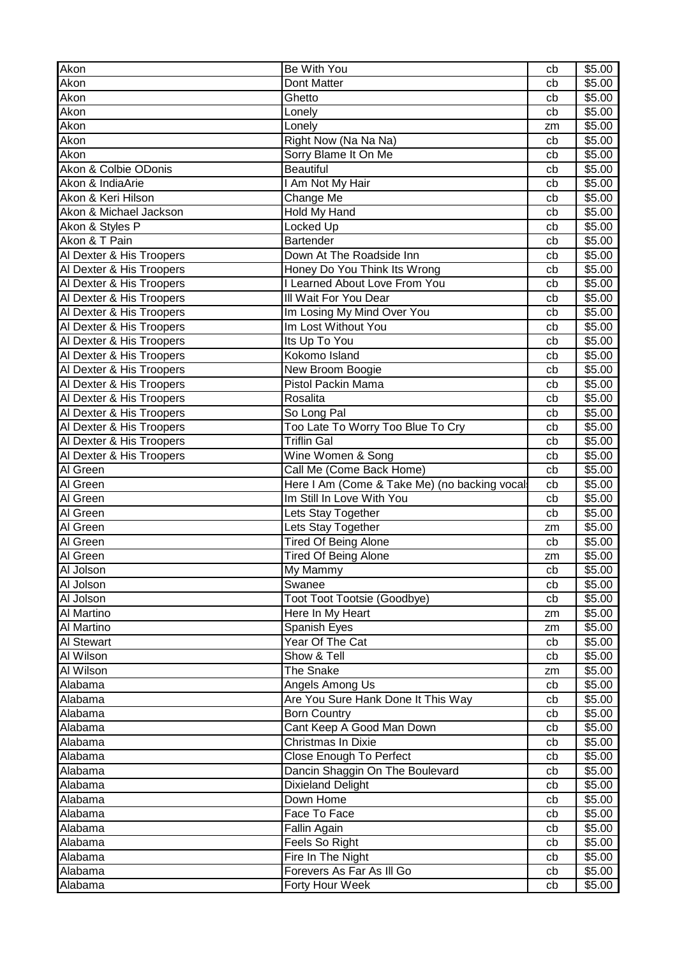| Akon                     | Be With You                                  | cb | \$5.00 |
|--------------------------|----------------------------------------------|----|--------|
| Akon                     | Dont Matter                                  | cb | \$5.00 |
| Akon                     | Ghetto                                       | cb | \$5.00 |
| Akon                     | Lonely                                       | cb | \$5.00 |
| Akon                     | Lonely                                       | zm | \$5.00 |
| Akon                     | Right Now (Na Na Na)                         | cb | \$5.00 |
| Akon                     | Sorry Blame It On Me                         | cb | \$5.00 |
| Akon & Colbie ODonis     | <b>Beautiful</b>                             | cb | \$5.00 |
| Akon & IndiaArie         | I Am Not My Hair                             | cb | \$5.00 |
| Akon & Keri Hilson       | Change Me                                    | cb | \$5.00 |
| Akon & Michael Jackson   | Hold My Hand                                 | cb | \$5.00 |
| Akon & Styles P          | Locked Up                                    | cb | \$5.00 |
| Akon & T Pain            | Bartender                                    | cb | \$5.00 |
| Al Dexter & His Troopers | Down At The Roadside Inn                     | cb | \$5.00 |
| Al Dexter & His Troopers | Honey Do You Think Its Wrong                 | cb | \$5.00 |
| Al Dexter & His Troopers | I Learned About Love From You                | cb | \$5.00 |
| Al Dexter & His Troopers | III Wait For You Dear                        | cb | \$5.00 |
| Al Dexter & His Troopers | Im Losing My Mind Over You                   | cb | \$5.00 |
| Al Dexter & His Troopers | Im Lost Without You                          | cb | \$5.00 |
| Al Dexter & His Troopers | Its Up To You                                | cb | \$5.00 |
| Al Dexter & His Troopers | Kokomo Island                                | cb | \$5.00 |
| Al Dexter & His Troopers | New Broom Boogie                             | cb | \$5.00 |
| Al Dexter & His Troopers | <b>Pistol Packin Mama</b>                    | cb | \$5.00 |
| Al Dexter & His Troopers | Rosalita                                     | cb | \$5.00 |
| Al Dexter & His Troopers | So Long Pal                                  | cb | \$5.00 |
| Al Dexter & His Troopers | Too Late To Worry Too Blue To Cry            | cb | \$5.00 |
| Al Dexter & His Troopers | <b>Triflin Gal</b>                           | cb | \$5.00 |
| Al Dexter & His Troopers | Wine Women & Song                            | cb | \$5.00 |
| Al Green                 | Call Me (Come Back Home)                     | cb | \$5.00 |
| Al Green                 | Here I Am (Come & Take Me) (no backing vocal | cb | \$5.00 |
| Al Green                 | Im Still In Love With You                    | cb | \$5.00 |
| Al Green                 | Lets Stay Together                           | cb | \$5.00 |
| Al Green                 | Lets Stay Together                           | zm | \$5.00 |
| Al Green                 | <b>Tired Of Being Alone</b>                  | cb | \$5.00 |
| Al Green                 | <b>Tired Of Being Alone</b>                  | zm | \$5.00 |
| Al Jolson                | My Mammy                                     | cb | \$5.00 |
| Al Jolson                | Swanee                                       | cb | \$5.00 |
| Al Jolson                | Toot Toot Tootsie (Goodbye)                  | cb | \$5.00 |
| Al Martino               | Here In My Heart                             | zm | \$5.00 |
| Al Martino               | Spanish Eyes                                 | zm | \$5.00 |
| <b>Al Stewart</b>        | Year Of The Cat                              | cb | \$5.00 |
| Al Wilson                | Show & Tell                                  | cb | \$5.00 |
| Al Wilson                | The Snake                                    | zm | \$5.00 |
| Alabama                  | Angels Among Us                              | cb | \$5.00 |
| Alabama                  | Are You Sure Hank Done It This Way           | cb | \$5.00 |
| Alabama                  | <b>Born Country</b>                          | cb | \$5.00 |
| Alabama                  | Cant Keep A Good Man Down                    | cb | \$5.00 |
| Alabama                  | Christmas In Dixie                           | cb | \$5.00 |
| Alabama                  | Close Enough To Perfect                      | cb | \$5.00 |
| Alabama                  | Dancin Shaggin On The Boulevard              | cb | \$5.00 |
| Alabama                  | Dixieland Delight                            | cb | \$5.00 |
| Alabama                  | Down Home                                    | cb | \$5.00 |
| Alabama                  | Face To Face                                 | cb | \$5.00 |
| Alabama                  | Fallin Again                                 | cb | \$5.00 |
| Alabama                  | Feels So Right                               | cb | \$5.00 |
| Alabama                  | Fire In The Night                            | cb | \$5.00 |
| Alabama                  | Forevers As Far As III Go                    | cb | \$5.00 |
| Alabama                  | Forty Hour Week                              | cb | \$5.00 |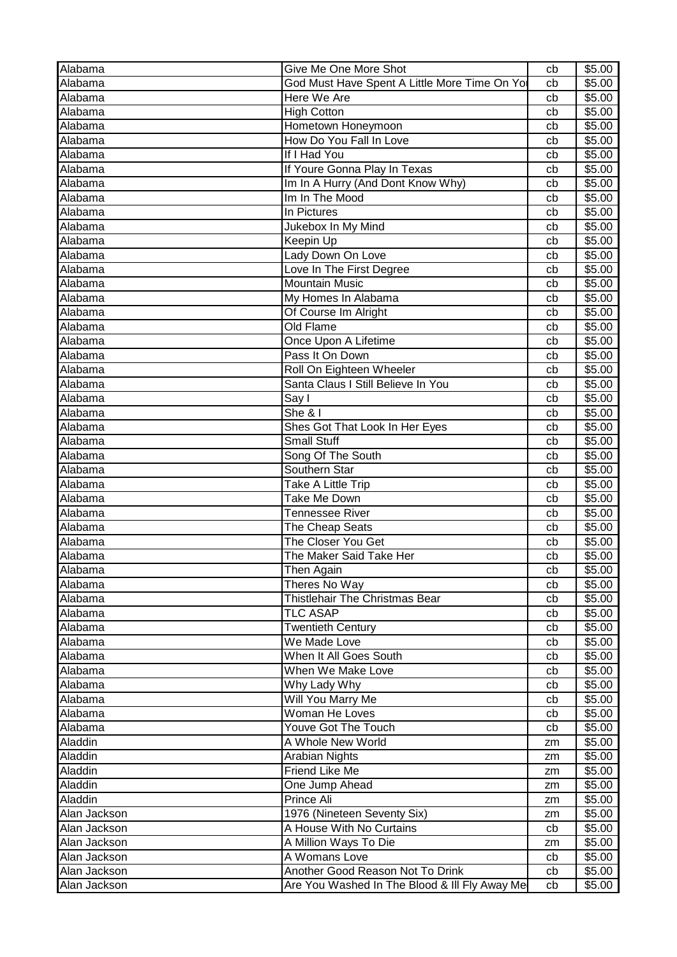| \$5.00<br>Alabama<br>God Must Have Spent A Little More Time On Yo<br>cb<br>Alabama<br>Here We Are<br>\$5.00<br>cb<br>Alabama<br>\$5.00<br><b>High Cotton</b><br>cb<br>Hometown Honeymoon<br>Alabama<br>\$5.00<br>cb<br>How Do You Fall In Love<br>\$5.00<br>Alabama<br>cb<br>If I Had You<br>\$5.00<br>Alabama<br>cb<br>If Youre Gonna Play In Texas<br>\$5.00<br>Alabama<br>cb<br>Im In A Hurry (And Dont Know Why)<br>Alabama<br>\$5.00<br>cb<br>Alabama<br>Im In The Mood<br>\$5.00<br>cb<br>Alabama<br>In Pictures<br>\$5.00<br>cb<br>Alabama<br>Jukebox In My Mind<br>\$5.00<br>cb<br>Alabama<br>Keepin Up<br>\$5.00<br>cb<br>Alabama<br>Lady Down On Love<br>\$5.00<br>cb<br>Alabama<br>Love In The First Degree<br>\$5.00<br>cb<br>Alabama<br><b>Mountain Music</b><br>\$5.00<br>cb<br>My Homes In Alabama<br>\$5.00<br>Alabama<br>cb<br>Of Course Im Alright<br>\$5.00<br>Alabama<br>cb<br><b>Old Flame</b><br>Alabama<br>\$5.00<br>cb<br>Alabama<br>Once Upon A Lifetime<br>\$5.00<br>cb<br>Alabama<br>Pass It On Down<br>\$5.00<br>cb<br>Roll On Eighteen Wheeler<br>Alabama<br>\$5.00<br>cb<br>Santa Claus I Still Believe In You<br>Alabama<br>$\overline{$}5.00$<br>cb<br>$\overline{Say}$ I<br>Alabama<br>\$5.00<br>cb<br>Alabama<br>She & I<br>\$5.00<br>cb<br>Shes Got That Look In Her Eyes<br>\$5.00<br>Alabama<br>cb<br><b>Small Stuff</b><br>Alabama<br>\$5.00<br>cb<br>Song Of The South<br>Alabama<br>\$5.00<br>cb<br>Alabama<br>Southern Star<br>\$5.00<br>cb<br>Alabama<br>Take A Little Trip<br>\$5.00<br>cb<br>Alabama<br><b>Take Me Down</b><br>\$5.00<br>cb<br>Alabama<br><b>Tennessee River</b><br>\$5.00<br>cb<br>Alabama<br>The Cheap Seats<br>\$5.00<br>cb<br>Alabama<br>The Closer You Get<br>\$5.00<br>cb<br>Alabama<br>The Maker Said Take Her<br>\$5.00<br>cb<br>\$5.00<br>Alabama<br>Then Again<br>cb<br>Theres No Way<br>\$5.00<br>Alabama<br>cb<br>Thistlehair The Christmas Bear<br>\$5.00<br>Alabama<br>cb<br><b>TLC ASAP</b><br>\$5.00<br>Alabama<br>cb<br>Alabama<br><b>Twentieth Century</b><br>\$5.00<br>cb<br>We Made Love<br>\$5.00<br>Alabama<br>cb<br>When It All Goes South<br>Alabama<br>\$5.00<br>cb<br>Alabama<br>When We Make Love<br>\$5.00<br>cb<br>Why Lady Why<br>Alabama<br>\$5.00<br>cb<br>Will You Marry Me<br>\$5.00<br>Alabama<br>cb<br>\$5.00<br>Woman He Loves<br>Alabama<br>cb<br>Youve Got The Touch<br>\$5.00<br>Alabama<br>cb<br>A Whole New World<br>\$5.00<br>Aladdin<br>zm<br>Aladdin<br>Arabian Nights<br>\$5.00<br>zm<br>Friend Like Me<br>Aladdin<br>\$5.00<br>zm<br>Aladdin<br>One Jump Ahead<br>\$5.00<br>zm<br>Prince Ali<br>Aladdin<br>\$5.00<br>zm<br>1976 (Nineteen Seventy Six)<br>Alan Jackson<br>\$5.00<br>zm<br>Alan Jackson<br>A House With No Curtains<br>\$5.00<br>cb<br>A Million Ways To Die<br>\$5.00<br>Alan Jackson<br>zm<br>A Womans Love<br>\$5.00<br>Alan Jackson<br>cb<br>Another Good Reason Not To Drink<br>\$5.00<br>Alan Jackson<br>cb | Alabama      | Give Me One More Shot                         | cb | \$5.00 |
|---------------------------------------------------------------------------------------------------------------------------------------------------------------------------------------------------------------------------------------------------------------------------------------------------------------------------------------------------------------------------------------------------------------------------------------------------------------------------------------------------------------------------------------------------------------------------------------------------------------------------------------------------------------------------------------------------------------------------------------------------------------------------------------------------------------------------------------------------------------------------------------------------------------------------------------------------------------------------------------------------------------------------------------------------------------------------------------------------------------------------------------------------------------------------------------------------------------------------------------------------------------------------------------------------------------------------------------------------------------------------------------------------------------------------------------------------------------------------------------------------------------------------------------------------------------------------------------------------------------------------------------------------------------------------------------------------------------------------------------------------------------------------------------------------------------------------------------------------------------------------------------------------------------------------------------------------------------------------------------------------------------------------------------------------------------------------------------------------------------------------------------------------------------------------------------------------------------------------------------------------------------------------------------------------------------------------------------------------------------------------------------------------------------------------------------------------------------------------------------------------------------------------------------------------------------------------------------------------------------------------------------------------------------------------------------------------------------------------------------------------------------------------------------------------------------------------------------------------------------------------------------------------------------------------------------------|--------------|-----------------------------------------------|----|--------|
|                                                                                                                                                                                                                                                                                                                                                                                                                                                                                                                                                                                                                                                                                                                                                                                                                                                                                                                                                                                                                                                                                                                                                                                                                                                                                                                                                                                                                                                                                                                                                                                                                                                                                                                                                                                                                                                                                                                                                                                                                                                                                                                                                                                                                                                                                                                                                                                                                                                                                                                                                                                                                                                                                                                                                                                                                                                                                                                                             |              |                                               |    |        |
|                                                                                                                                                                                                                                                                                                                                                                                                                                                                                                                                                                                                                                                                                                                                                                                                                                                                                                                                                                                                                                                                                                                                                                                                                                                                                                                                                                                                                                                                                                                                                                                                                                                                                                                                                                                                                                                                                                                                                                                                                                                                                                                                                                                                                                                                                                                                                                                                                                                                                                                                                                                                                                                                                                                                                                                                                                                                                                                                             |              |                                               |    |        |
|                                                                                                                                                                                                                                                                                                                                                                                                                                                                                                                                                                                                                                                                                                                                                                                                                                                                                                                                                                                                                                                                                                                                                                                                                                                                                                                                                                                                                                                                                                                                                                                                                                                                                                                                                                                                                                                                                                                                                                                                                                                                                                                                                                                                                                                                                                                                                                                                                                                                                                                                                                                                                                                                                                                                                                                                                                                                                                                                             |              |                                               |    |        |
|                                                                                                                                                                                                                                                                                                                                                                                                                                                                                                                                                                                                                                                                                                                                                                                                                                                                                                                                                                                                                                                                                                                                                                                                                                                                                                                                                                                                                                                                                                                                                                                                                                                                                                                                                                                                                                                                                                                                                                                                                                                                                                                                                                                                                                                                                                                                                                                                                                                                                                                                                                                                                                                                                                                                                                                                                                                                                                                                             |              |                                               |    |        |
|                                                                                                                                                                                                                                                                                                                                                                                                                                                                                                                                                                                                                                                                                                                                                                                                                                                                                                                                                                                                                                                                                                                                                                                                                                                                                                                                                                                                                                                                                                                                                                                                                                                                                                                                                                                                                                                                                                                                                                                                                                                                                                                                                                                                                                                                                                                                                                                                                                                                                                                                                                                                                                                                                                                                                                                                                                                                                                                                             |              |                                               |    |        |
|                                                                                                                                                                                                                                                                                                                                                                                                                                                                                                                                                                                                                                                                                                                                                                                                                                                                                                                                                                                                                                                                                                                                                                                                                                                                                                                                                                                                                                                                                                                                                                                                                                                                                                                                                                                                                                                                                                                                                                                                                                                                                                                                                                                                                                                                                                                                                                                                                                                                                                                                                                                                                                                                                                                                                                                                                                                                                                                                             |              |                                               |    |        |
|                                                                                                                                                                                                                                                                                                                                                                                                                                                                                                                                                                                                                                                                                                                                                                                                                                                                                                                                                                                                                                                                                                                                                                                                                                                                                                                                                                                                                                                                                                                                                                                                                                                                                                                                                                                                                                                                                                                                                                                                                                                                                                                                                                                                                                                                                                                                                                                                                                                                                                                                                                                                                                                                                                                                                                                                                                                                                                                                             |              |                                               |    |        |
|                                                                                                                                                                                                                                                                                                                                                                                                                                                                                                                                                                                                                                                                                                                                                                                                                                                                                                                                                                                                                                                                                                                                                                                                                                                                                                                                                                                                                                                                                                                                                                                                                                                                                                                                                                                                                                                                                                                                                                                                                                                                                                                                                                                                                                                                                                                                                                                                                                                                                                                                                                                                                                                                                                                                                                                                                                                                                                                                             |              |                                               |    |        |
|                                                                                                                                                                                                                                                                                                                                                                                                                                                                                                                                                                                                                                                                                                                                                                                                                                                                                                                                                                                                                                                                                                                                                                                                                                                                                                                                                                                                                                                                                                                                                                                                                                                                                                                                                                                                                                                                                                                                                                                                                                                                                                                                                                                                                                                                                                                                                                                                                                                                                                                                                                                                                                                                                                                                                                                                                                                                                                                                             |              |                                               |    |        |
|                                                                                                                                                                                                                                                                                                                                                                                                                                                                                                                                                                                                                                                                                                                                                                                                                                                                                                                                                                                                                                                                                                                                                                                                                                                                                                                                                                                                                                                                                                                                                                                                                                                                                                                                                                                                                                                                                                                                                                                                                                                                                                                                                                                                                                                                                                                                                                                                                                                                                                                                                                                                                                                                                                                                                                                                                                                                                                                                             |              |                                               |    |        |
|                                                                                                                                                                                                                                                                                                                                                                                                                                                                                                                                                                                                                                                                                                                                                                                                                                                                                                                                                                                                                                                                                                                                                                                                                                                                                                                                                                                                                                                                                                                                                                                                                                                                                                                                                                                                                                                                                                                                                                                                                                                                                                                                                                                                                                                                                                                                                                                                                                                                                                                                                                                                                                                                                                                                                                                                                                                                                                                                             |              |                                               |    |        |
|                                                                                                                                                                                                                                                                                                                                                                                                                                                                                                                                                                                                                                                                                                                                                                                                                                                                                                                                                                                                                                                                                                                                                                                                                                                                                                                                                                                                                                                                                                                                                                                                                                                                                                                                                                                                                                                                                                                                                                                                                                                                                                                                                                                                                                                                                                                                                                                                                                                                                                                                                                                                                                                                                                                                                                                                                                                                                                                                             |              |                                               |    |        |
|                                                                                                                                                                                                                                                                                                                                                                                                                                                                                                                                                                                                                                                                                                                                                                                                                                                                                                                                                                                                                                                                                                                                                                                                                                                                                                                                                                                                                                                                                                                                                                                                                                                                                                                                                                                                                                                                                                                                                                                                                                                                                                                                                                                                                                                                                                                                                                                                                                                                                                                                                                                                                                                                                                                                                                                                                                                                                                                                             |              |                                               |    |        |
|                                                                                                                                                                                                                                                                                                                                                                                                                                                                                                                                                                                                                                                                                                                                                                                                                                                                                                                                                                                                                                                                                                                                                                                                                                                                                                                                                                                                                                                                                                                                                                                                                                                                                                                                                                                                                                                                                                                                                                                                                                                                                                                                                                                                                                                                                                                                                                                                                                                                                                                                                                                                                                                                                                                                                                                                                                                                                                                                             |              |                                               |    |        |
|                                                                                                                                                                                                                                                                                                                                                                                                                                                                                                                                                                                                                                                                                                                                                                                                                                                                                                                                                                                                                                                                                                                                                                                                                                                                                                                                                                                                                                                                                                                                                                                                                                                                                                                                                                                                                                                                                                                                                                                                                                                                                                                                                                                                                                                                                                                                                                                                                                                                                                                                                                                                                                                                                                                                                                                                                                                                                                                                             |              |                                               |    |        |
|                                                                                                                                                                                                                                                                                                                                                                                                                                                                                                                                                                                                                                                                                                                                                                                                                                                                                                                                                                                                                                                                                                                                                                                                                                                                                                                                                                                                                                                                                                                                                                                                                                                                                                                                                                                                                                                                                                                                                                                                                                                                                                                                                                                                                                                                                                                                                                                                                                                                                                                                                                                                                                                                                                                                                                                                                                                                                                                                             |              |                                               |    |        |
|                                                                                                                                                                                                                                                                                                                                                                                                                                                                                                                                                                                                                                                                                                                                                                                                                                                                                                                                                                                                                                                                                                                                                                                                                                                                                                                                                                                                                                                                                                                                                                                                                                                                                                                                                                                                                                                                                                                                                                                                                                                                                                                                                                                                                                                                                                                                                                                                                                                                                                                                                                                                                                                                                                                                                                                                                                                                                                                                             |              |                                               |    |        |
|                                                                                                                                                                                                                                                                                                                                                                                                                                                                                                                                                                                                                                                                                                                                                                                                                                                                                                                                                                                                                                                                                                                                                                                                                                                                                                                                                                                                                                                                                                                                                                                                                                                                                                                                                                                                                                                                                                                                                                                                                                                                                                                                                                                                                                                                                                                                                                                                                                                                                                                                                                                                                                                                                                                                                                                                                                                                                                                                             |              |                                               |    |        |
|                                                                                                                                                                                                                                                                                                                                                                                                                                                                                                                                                                                                                                                                                                                                                                                                                                                                                                                                                                                                                                                                                                                                                                                                                                                                                                                                                                                                                                                                                                                                                                                                                                                                                                                                                                                                                                                                                                                                                                                                                                                                                                                                                                                                                                                                                                                                                                                                                                                                                                                                                                                                                                                                                                                                                                                                                                                                                                                                             |              |                                               |    |        |
|                                                                                                                                                                                                                                                                                                                                                                                                                                                                                                                                                                                                                                                                                                                                                                                                                                                                                                                                                                                                                                                                                                                                                                                                                                                                                                                                                                                                                                                                                                                                                                                                                                                                                                                                                                                                                                                                                                                                                                                                                                                                                                                                                                                                                                                                                                                                                                                                                                                                                                                                                                                                                                                                                                                                                                                                                                                                                                                                             |              |                                               |    |        |
|                                                                                                                                                                                                                                                                                                                                                                                                                                                                                                                                                                                                                                                                                                                                                                                                                                                                                                                                                                                                                                                                                                                                                                                                                                                                                                                                                                                                                                                                                                                                                                                                                                                                                                                                                                                                                                                                                                                                                                                                                                                                                                                                                                                                                                                                                                                                                                                                                                                                                                                                                                                                                                                                                                                                                                                                                                                                                                                                             |              |                                               |    |        |
|                                                                                                                                                                                                                                                                                                                                                                                                                                                                                                                                                                                                                                                                                                                                                                                                                                                                                                                                                                                                                                                                                                                                                                                                                                                                                                                                                                                                                                                                                                                                                                                                                                                                                                                                                                                                                                                                                                                                                                                                                                                                                                                                                                                                                                                                                                                                                                                                                                                                                                                                                                                                                                                                                                                                                                                                                                                                                                                                             |              |                                               |    |        |
|                                                                                                                                                                                                                                                                                                                                                                                                                                                                                                                                                                                                                                                                                                                                                                                                                                                                                                                                                                                                                                                                                                                                                                                                                                                                                                                                                                                                                                                                                                                                                                                                                                                                                                                                                                                                                                                                                                                                                                                                                                                                                                                                                                                                                                                                                                                                                                                                                                                                                                                                                                                                                                                                                                                                                                                                                                                                                                                                             |              |                                               |    |        |
|                                                                                                                                                                                                                                                                                                                                                                                                                                                                                                                                                                                                                                                                                                                                                                                                                                                                                                                                                                                                                                                                                                                                                                                                                                                                                                                                                                                                                                                                                                                                                                                                                                                                                                                                                                                                                                                                                                                                                                                                                                                                                                                                                                                                                                                                                                                                                                                                                                                                                                                                                                                                                                                                                                                                                                                                                                                                                                                                             |              |                                               |    |        |
|                                                                                                                                                                                                                                                                                                                                                                                                                                                                                                                                                                                                                                                                                                                                                                                                                                                                                                                                                                                                                                                                                                                                                                                                                                                                                                                                                                                                                                                                                                                                                                                                                                                                                                                                                                                                                                                                                                                                                                                                                                                                                                                                                                                                                                                                                                                                                                                                                                                                                                                                                                                                                                                                                                                                                                                                                                                                                                                                             |              |                                               |    |        |
|                                                                                                                                                                                                                                                                                                                                                                                                                                                                                                                                                                                                                                                                                                                                                                                                                                                                                                                                                                                                                                                                                                                                                                                                                                                                                                                                                                                                                                                                                                                                                                                                                                                                                                                                                                                                                                                                                                                                                                                                                                                                                                                                                                                                                                                                                                                                                                                                                                                                                                                                                                                                                                                                                                                                                                                                                                                                                                                                             |              |                                               |    |        |
|                                                                                                                                                                                                                                                                                                                                                                                                                                                                                                                                                                                                                                                                                                                                                                                                                                                                                                                                                                                                                                                                                                                                                                                                                                                                                                                                                                                                                                                                                                                                                                                                                                                                                                                                                                                                                                                                                                                                                                                                                                                                                                                                                                                                                                                                                                                                                                                                                                                                                                                                                                                                                                                                                                                                                                                                                                                                                                                                             |              |                                               |    |        |
|                                                                                                                                                                                                                                                                                                                                                                                                                                                                                                                                                                                                                                                                                                                                                                                                                                                                                                                                                                                                                                                                                                                                                                                                                                                                                                                                                                                                                                                                                                                                                                                                                                                                                                                                                                                                                                                                                                                                                                                                                                                                                                                                                                                                                                                                                                                                                                                                                                                                                                                                                                                                                                                                                                                                                                                                                                                                                                                                             |              |                                               |    |        |
|                                                                                                                                                                                                                                                                                                                                                                                                                                                                                                                                                                                                                                                                                                                                                                                                                                                                                                                                                                                                                                                                                                                                                                                                                                                                                                                                                                                                                                                                                                                                                                                                                                                                                                                                                                                                                                                                                                                                                                                                                                                                                                                                                                                                                                                                                                                                                                                                                                                                                                                                                                                                                                                                                                                                                                                                                                                                                                                                             |              |                                               |    |        |
|                                                                                                                                                                                                                                                                                                                                                                                                                                                                                                                                                                                                                                                                                                                                                                                                                                                                                                                                                                                                                                                                                                                                                                                                                                                                                                                                                                                                                                                                                                                                                                                                                                                                                                                                                                                                                                                                                                                                                                                                                                                                                                                                                                                                                                                                                                                                                                                                                                                                                                                                                                                                                                                                                                                                                                                                                                                                                                                                             |              |                                               |    |        |
|                                                                                                                                                                                                                                                                                                                                                                                                                                                                                                                                                                                                                                                                                                                                                                                                                                                                                                                                                                                                                                                                                                                                                                                                                                                                                                                                                                                                                                                                                                                                                                                                                                                                                                                                                                                                                                                                                                                                                                                                                                                                                                                                                                                                                                                                                                                                                                                                                                                                                                                                                                                                                                                                                                                                                                                                                                                                                                                                             |              |                                               |    |        |
|                                                                                                                                                                                                                                                                                                                                                                                                                                                                                                                                                                                                                                                                                                                                                                                                                                                                                                                                                                                                                                                                                                                                                                                                                                                                                                                                                                                                                                                                                                                                                                                                                                                                                                                                                                                                                                                                                                                                                                                                                                                                                                                                                                                                                                                                                                                                                                                                                                                                                                                                                                                                                                                                                                                                                                                                                                                                                                                                             |              |                                               |    |        |
|                                                                                                                                                                                                                                                                                                                                                                                                                                                                                                                                                                                                                                                                                                                                                                                                                                                                                                                                                                                                                                                                                                                                                                                                                                                                                                                                                                                                                                                                                                                                                                                                                                                                                                                                                                                                                                                                                                                                                                                                                                                                                                                                                                                                                                                                                                                                                                                                                                                                                                                                                                                                                                                                                                                                                                                                                                                                                                                                             |              |                                               |    |        |
|                                                                                                                                                                                                                                                                                                                                                                                                                                                                                                                                                                                                                                                                                                                                                                                                                                                                                                                                                                                                                                                                                                                                                                                                                                                                                                                                                                                                                                                                                                                                                                                                                                                                                                                                                                                                                                                                                                                                                                                                                                                                                                                                                                                                                                                                                                                                                                                                                                                                                                                                                                                                                                                                                                                                                                                                                                                                                                                                             |              |                                               |    |        |
|                                                                                                                                                                                                                                                                                                                                                                                                                                                                                                                                                                                                                                                                                                                                                                                                                                                                                                                                                                                                                                                                                                                                                                                                                                                                                                                                                                                                                                                                                                                                                                                                                                                                                                                                                                                                                                                                                                                                                                                                                                                                                                                                                                                                                                                                                                                                                                                                                                                                                                                                                                                                                                                                                                                                                                                                                                                                                                                                             |              |                                               |    |        |
|                                                                                                                                                                                                                                                                                                                                                                                                                                                                                                                                                                                                                                                                                                                                                                                                                                                                                                                                                                                                                                                                                                                                                                                                                                                                                                                                                                                                                                                                                                                                                                                                                                                                                                                                                                                                                                                                                                                                                                                                                                                                                                                                                                                                                                                                                                                                                                                                                                                                                                                                                                                                                                                                                                                                                                                                                                                                                                                                             |              |                                               |    |        |
|                                                                                                                                                                                                                                                                                                                                                                                                                                                                                                                                                                                                                                                                                                                                                                                                                                                                                                                                                                                                                                                                                                                                                                                                                                                                                                                                                                                                                                                                                                                                                                                                                                                                                                                                                                                                                                                                                                                                                                                                                                                                                                                                                                                                                                                                                                                                                                                                                                                                                                                                                                                                                                                                                                                                                                                                                                                                                                                                             |              |                                               |    |        |
|                                                                                                                                                                                                                                                                                                                                                                                                                                                                                                                                                                                                                                                                                                                                                                                                                                                                                                                                                                                                                                                                                                                                                                                                                                                                                                                                                                                                                                                                                                                                                                                                                                                                                                                                                                                                                                                                                                                                                                                                                                                                                                                                                                                                                                                                                                                                                                                                                                                                                                                                                                                                                                                                                                                                                                                                                                                                                                                                             |              |                                               |    |        |
|                                                                                                                                                                                                                                                                                                                                                                                                                                                                                                                                                                                                                                                                                                                                                                                                                                                                                                                                                                                                                                                                                                                                                                                                                                                                                                                                                                                                                                                                                                                                                                                                                                                                                                                                                                                                                                                                                                                                                                                                                                                                                                                                                                                                                                                                                                                                                                                                                                                                                                                                                                                                                                                                                                                                                                                                                                                                                                                                             |              |                                               |    |        |
|                                                                                                                                                                                                                                                                                                                                                                                                                                                                                                                                                                                                                                                                                                                                                                                                                                                                                                                                                                                                                                                                                                                                                                                                                                                                                                                                                                                                                                                                                                                                                                                                                                                                                                                                                                                                                                                                                                                                                                                                                                                                                                                                                                                                                                                                                                                                                                                                                                                                                                                                                                                                                                                                                                                                                                                                                                                                                                                                             |              |                                               |    |        |
|                                                                                                                                                                                                                                                                                                                                                                                                                                                                                                                                                                                                                                                                                                                                                                                                                                                                                                                                                                                                                                                                                                                                                                                                                                                                                                                                                                                                                                                                                                                                                                                                                                                                                                                                                                                                                                                                                                                                                                                                                                                                                                                                                                                                                                                                                                                                                                                                                                                                                                                                                                                                                                                                                                                                                                                                                                                                                                                                             |              |                                               |    |        |
|                                                                                                                                                                                                                                                                                                                                                                                                                                                                                                                                                                                                                                                                                                                                                                                                                                                                                                                                                                                                                                                                                                                                                                                                                                                                                                                                                                                                                                                                                                                                                                                                                                                                                                                                                                                                                                                                                                                                                                                                                                                                                                                                                                                                                                                                                                                                                                                                                                                                                                                                                                                                                                                                                                                                                                                                                                                                                                                                             |              |                                               |    |        |
|                                                                                                                                                                                                                                                                                                                                                                                                                                                                                                                                                                                                                                                                                                                                                                                                                                                                                                                                                                                                                                                                                                                                                                                                                                                                                                                                                                                                                                                                                                                                                                                                                                                                                                                                                                                                                                                                                                                                                                                                                                                                                                                                                                                                                                                                                                                                                                                                                                                                                                                                                                                                                                                                                                                                                                                                                                                                                                                                             |              |                                               |    |        |
|                                                                                                                                                                                                                                                                                                                                                                                                                                                                                                                                                                                                                                                                                                                                                                                                                                                                                                                                                                                                                                                                                                                                                                                                                                                                                                                                                                                                                                                                                                                                                                                                                                                                                                                                                                                                                                                                                                                                                                                                                                                                                                                                                                                                                                                                                                                                                                                                                                                                                                                                                                                                                                                                                                                                                                                                                                                                                                                                             |              |                                               |    |        |
|                                                                                                                                                                                                                                                                                                                                                                                                                                                                                                                                                                                                                                                                                                                                                                                                                                                                                                                                                                                                                                                                                                                                                                                                                                                                                                                                                                                                                                                                                                                                                                                                                                                                                                                                                                                                                                                                                                                                                                                                                                                                                                                                                                                                                                                                                                                                                                                                                                                                                                                                                                                                                                                                                                                                                                                                                                                                                                                                             |              |                                               |    |        |
|                                                                                                                                                                                                                                                                                                                                                                                                                                                                                                                                                                                                                                                                                                                                                                                                                                                                                                                                                                                                                                                                                                                                                                                                                                                                                                                                                                                                                                                                                                                                                                                                                                                                                                                                                                                                                                                                                                                                                                                                                                                                                                                                                                                                                                                                                                                                                                                                                                                                                                                                                                                                                                                                                                                                                                                                                                                                                                                                             |              |                                               |    |        |
|                                                                                                                                                                                                                                                                                                                                                                                                                                                                                                                                                                                                                                                                                                                                                                                                                                                                                                                                                                                                                                                                                                                                                                                                                                                                                                                                                                                                                                                                                                                                                                                                                                                                                                                                                                                                                                                                                                                                                                                                                                                                                                                                                                                                                                                                                                                                                                                                                                                                                                                                                                                                                                                                                                                                                                                                                                                                                                                                             |              |                                               |    |        |
|                                                                                                                                                                                                                                                                                                                                                                                                                                                                                                                                                                                                                                                                                                                                                                                                                                                                                                                                                                                                                                                                                                                                                                                                                                                                                                                                                                                                                                                                                                                                                                                                                                                                                                                                                                                                                                                                                                                                                                                                                                                                                                                                                                                                                                                                                                                                                                                                                                                                                                                                                                                                                                                                                                                                                                                                                                                                                                                                             |              |                                               |    |        |
|                                                                                                                                                                                                                                                                                                                                                                                                                                                                                                                                                                                                                                                                                                                                                                                                                                                                                                                                                                                                                                                                                                                                                                                                                                                                                                                                                                                                                                                                                                                                                                                                                                                                                                                                                                                                                                                                                                                                                                                                                                                                                                                                                                                                                                                                                                                                                                                                                                                                                                                                                                                                                                                                                                                                                                                                                                                                                                                                             |              |                                               |    |        |
|                                                                                                                                                                                                                                                                                                                                                                                                                                                                                                                                                                                                                                                                                                                                                                                                                                                                                                                                                                                                                                                                                                                                                                                                                                                                                                                                                                                                                                                                                                                                                                                                                                                                                                                                                                                                                                                                                                                                                                                                                                                                                                                                                                                                                                                                                                                                                                                                                                                                                                                                                                                                                                                                                                                                                                                                                                                                                                                                             |              |                                               |    |        |
|                                                                                                                                                                                                                                                                                                                                                                                                                                                                                                                                                                                                                                                                                                                                                                                                                                                                                                                                                                                                                                                                                                                                                                                                                                                                                                                                                                                                                                                                                                                                                                                                                                                                                                                                                                                                                                                                                                                                                                                                                                                                                                                                                                                                                                                                                                                                                                                                                                                                                                                                                                                                                                                                                                                                                                                                                                                                                                                                             |              |                                               |    |        |
|                                                                                                                                                                                                                                                                                                                                                                                                                                                                                                                                                                                                                                                                                                                                                                                                                                                                                                                                                                                                                                                                                                                                                                                                                                                                                                                                                                                                                                                                                                                                                                                                                                                                                                                                                                                                                                                                                                                                                                                                                                                                                                                                                                                                                                                                                                                                                                                                                                                                                                                                                                                                                                                                                                                                                                                                                                                                                                                                             |              |                                               |    |        |
|                                                                                                                                                                                                                                                                                                                                                                                                                                                                                                                                                                                                                                                                                                                                                                                                                                                                                                                                                                                                                                                                                                                                                                                                                                                                                                                                                                                                                                                                                                                                                                                                                                                                                                                                                                                                                                                                                                                                                                                                                                                                                                                                                                                                                                                                                                                                                                                                                                                                                                                                                                                                                                                                                                                                                                                                                                                                                                                                             |              |                                               |    |        |
|                                                                                                                                                                                                                                                                                                                                                                                                                                                                                                                                                                                                                                                                                                                                                                                                                                                                                                                                                                                                                                                                                                                                                                                                                                                                                                                                                                                                                                                                                                                                                                                                                                                                                                                                                                                                                                                                                                                                                                                                                                                                                                                                                                                                                                                                                                                                                                                                                                                                                                                                                                                                                                                                                                                                                                                                                                                                                                                                             |              |                                               |    |        |
|                                                                                                                                                                                                                                                                                                                                                                                                                                                                                                                                                                                                                                                                                                                                                                                                                                                                                                                                                                                                                                                                                                                                                                                                                                                                                                                                                                                                                                                                                                                                                                                                                                                                                                                                                                                                                                                                                                                                                                                                                                                                                                                                                                                                                                                                                                                                                                                                                                                                                                                                                                                                                                                                                                                                                                                                                                                                                                                                             |              |                                               |    |        |
|                                                                                                                                                                                                                                                                                                                                                                                                                                                                                                                                                                                                                                                                                                                                                                                                                                                                                                                                                                                                                                                                                                                                                                                                                                                                                                                                                                                                                                                                                                                                                                                                                                                                                                                                                                                                                                                                                                                                                                                                                                                                                                                                                                                                                                                                                                                                                                                                                                                                                                                                                                                                                                                                                                                                                                                                                                                                                                                                             |              |                                               |    |        |
|                                                                                                                                                                                                                                                                                                                                                                                                                                                                                                                                                                                                                                                                                                                                                                                                                                                                                                                                                                                                                                                                                                                                                                                                                                                                                                                                                                                                                                                                                                                                                                                                                                                                                                                                                                                                                                                                                                                                                                                                                                                                                                                                                                                                                                                                                                                                                                                                                                                                                                                                                                                                                                                                                                                                                                                                                                                                                                                                             | Alan Jackson | Are You Washed In The Blood & Ill Fly Away Me | cb | \$5.00 |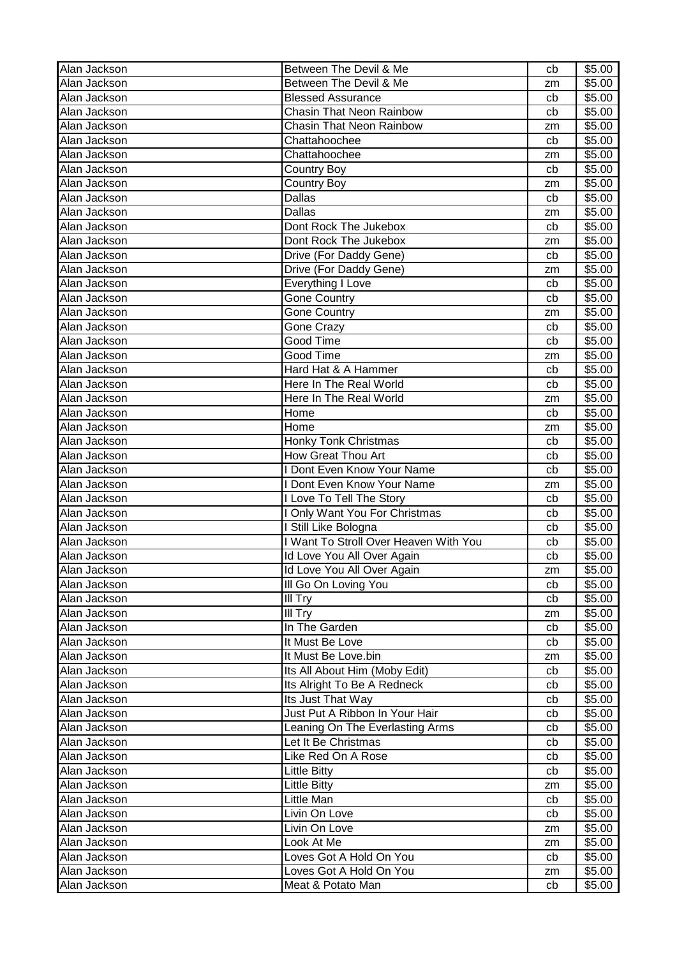| Alan Jackson | Between The Devil & Me                     | cb       | \$5.00 |
|--------------|--------------------------------------------|----------|--------|
| Alan Jackson | Between The Devil & Me                     | zm       | \$5.00 |
| Alan Jackson | <b>Blessed Assurance</b>                   | cb       | \$5.00 |
| Alan Jackson | Chasin That Neon Rainbow                   | cb       | \$5.00 |
| Alan Jackson | <b>Chasin That Neon Rainbow</b>            | zm       | \$5.00 |
| Alan Jackson | Chattahoochee                              | cb       | \$5.00 |
| Alan Jackson | Chattahoochee                              | zm       | \$5.00 |
| Alan Jackson | <b>Country Boy</b>                         | cb       | \$5.00 |
| Alan Jackson | Country Boy                                | zm       | \$5.00 |
| Alan Jackson | Dallas                                     | cb       | \$5.00 |
| Alan Jackson | Dallas                                     | zm       | \$5.00 |
| Alan Jackson | Dont Rock The Jukebox                      | cb       | \$5.00 |
| Alan Jackson | Dont Rock The Jukebox                      | zm       | \$5.00 |
| Alan Jackson | Drive (For Daddy Gene)                     | cb       | \$5.00 |
| Alan Jackson | Drive (For Daddy Gene)                     | zm       | \$5.00 |
| Alan Jackson | Everything I Love                          | cb       | \$5.00 |
| Alan Jackson | Gone Country                               | cb       | \$5.00 |
| Alan Jackson | <b>Gone Country</b>                        | zm       | \$5.00 |
| Alan Jackson | Gone Crazy                                 | cb       | \$5.00 |
| Alan Jackson | Good Time                                  | cb       | \$5.00 |
| Alan Jackson | Good Time                                  | zm       | \$5.00 |
| Alan Jackson | Hard Hat & A Hammer                        | cb       | \$5.00 |
| Alan Jackson | Here In The Real World                     | cb       | \$5.00 |
| Alan Jackson | Here In The Real World                     |          | \$5.00 |
| Alan Jackson | Home                                       | zm<br>cb | \$5.00 |
| Alan Jackson | Home                                       |          | \$5.00 |
| Alan Jackson |                                            | zm       | \$5.00 |
|              | Honky Tonk Christmas<br>How Great Thou Art | cb       |        |
| Alan Jackson | <b>I Dont Even Know Your Name</b>          | cb       | \$5.00 |
| Alan Jackson |                                            | cb       | \$5.00 |
| Alan Jackson | <b>I Dont Even Know Your Name</b>          | zm       | \$5.00 |
| Alan Jackson | I Love To Tell The Story                   | cb       | \$5.00 |
| Alan Jackson | I Only Want You For Christmas              | cb       | \$5.00 |
| Alan Jackson | Still Like Bologna                         | cb       | \$5.00 |
| Alan Jackson | I Want To Stroll Over Heaven With You      | cb       | \$5.00 |
| Alan Jackson | Id Love You All Over Again                 | cb       | \$5.00 |
| Alan Jackson | Id Love You All Over Again                 | zm       | \$5.00 |
| Alan Jackson | Ill Go On Loving You                       | cb       | \$5.00 |
| Alan Jackson | III Try                                    | cb       | \$5.00 |
| Alan Jackson | III Try                                    | zm       | \$5.00 |
| Alan Jackson | In The Garden                              | cb       | \$5.00 |
| Alan Jackson | It Must Be Love                            | cb       | \$5.00 |
| Alan Jackson | It Must Be Love.bin                        | zm       | \$5.00 |
| Alan Jackson | Its All About Him (Moby Edit)              | cb       | \$5.00 |
| Alan Jackson | Its Alright To Be A Redneck                | cb       | \$5.00 |
| Alan Jackson | Its Just That Way                          | cb       | \$5.00 |
| Alan Jackson | Just Put A Ribbon In Your Hair             | cb       | \$5.00 |
| Alan Jackson | Leaning On The Everlasting Arms            | cb       | \$5.00 |
| Alan Jackson | Let It Be Christmas                        | cb       | \$5.00 |
| Alan Jackson | Like Red On A Rose                         | cb       | \$5.00 |
| Alan Jackson | <b>Little Bitty</b>                        | cb       | \$5.00 |
| Alan Jackson | <b>Little Bitty</b>                        | zm       | \$5.00 |
| Alan Jackson | Little Man                                 | cb       | \$5.00 |
| Alan Jackson | Livin On Love                              | cb       | \$5.00 |
| Alan Jackson | Livin On Love                              | zm       | \$5.00 |
| Alan Jackson | Look At Me                                 | zm       | \$5.00 |
| Alan Jackson | Loves Got A Hold On You                    | cb       | \$5.00 |
| Alan Jackson | Loves Got A Hold On You                    | zm       | \$5.00 |
| Alan Jackson | Meat & Potato Man                          | cb       | \$5.00 |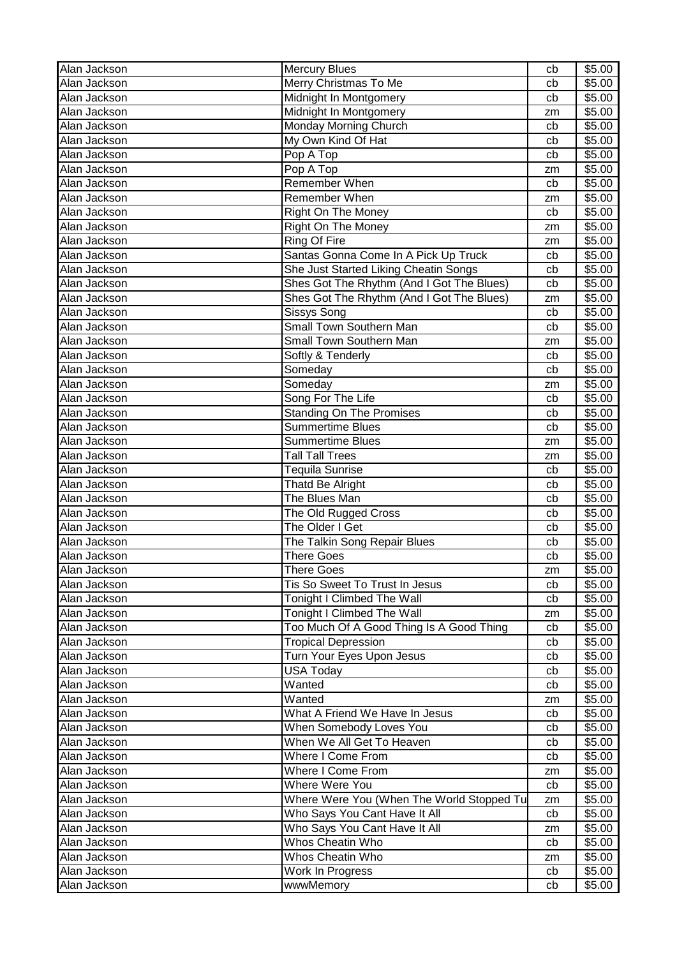| Alan Jackson | <b>Mercury Blues</b>                      | cb | \$5.00 |
|--------------|-------------------------------------------|----|--------|
| Alan Jackson | Merry Christmas To Me                     | cb | \$5.00 |
| Alan Jackson | Midnight In Montgomery                    | cb | \$5.00 |
| Alan Jackson | Midnight In Montgomery                    | zm | \$5.00 |
| Alan Jackson | Monday Morning Church                     | cb | \$5.00 |
| Alan Jackson | My Own Kind Of Hat                        | cb | \$5.00 |
| Alan Jackson | Pop A Top                                 | cb | \$5.00 |
| Alan Jackson | Pop A Top                                 | zm | \$5.00 |
| Alan Jackson | <b>Remember When</b>                      | cb | \$5.00 |
| Alan Jackson | <b>Remember When</b>                      | zm | \$5.00 |
| Alan Jackson | <b>Right On The Money</b>                 | cb | \$5.00 |
| Alan Jackson | <b>Right On The Money</b>                 | zm | \$5.00 |
| Alan Jackson | Ring Of Fire                              | zm | \$5.00 |
| Alan Jackson | Santas Gonna Come In A Pick Up Truck      | cb | \$5.00 |
| Alan Jackson | She Just Started Liking Cheatin Songs     | cb | \$5.00 |
| Alan Jackson | Shes Got The Rhythm (And I Got The Blues) | cb | \$5.00 |
| Alan Jackson | Shes Got The Rhythm (And I Got The Blues) | zm | \$5.00 |
| Alan Jackson | Sissys Song                               | cb | \$5.00 |
| Alan Jackson | <b>Small Town Southern Man</b>            | cb | \$5.00 |
| Alan Jackson | <b>Small Town Southern Man</b>            | zm | \$5.00 |
| Alan Jackson | Softly & Tenderly                         | cb | \$5.00 |
| Alan Jackson | Someday                                   | cb | \$5.00 |
| Alan Jackson | Someday                                   | zm | \$5.00 |
| Alan Jackson | Song For The Life                         | cb | \$5.00 |
| Alan Jackson | <b>Standing On The Promises</b>           | cb | \$5.00 |
| Alan Jackson | <b>Summertime Blues</b>                   | cb | \$5.00 |
| Alan Jackson | Summertime Blues                          | zm | \$5.00 |
| Alan Jackson | <b>Tall Tall Trees</b>                    | zm | \$5.00 |
| Alan Jackson | Tequila Sunrise                           | cb | \$5.00 |
| Alan Jackson | Thatd Be Alright                          | cb | \$5.00 |
| Alan Jackson | The Blues Man                             | cb | \$5.00 |
| Alan Jackson | The Old Rugged Cross                      | cb | \$5.00 |
| Alan Jackson | The Older I Get                           | cb | \$5.00 |
| Alan Jackson | The Talkin Song Repair Blues              | cb | \$5.00 |
| Alan Jackson | <b>There Goes</b>                         | cb | \$5.00 |
| Alan Jackson | There Goes                                | zm | \$5.00 |
| Alan Jackson | Tis So Sweet To Trust In Jesus            | cb | \$5.00 |
| Alan Jackson | Tonight I Climbed The Wall                | cb | \$5.00 |
| Alan Jackson | Tonight I Climbed The Wall                | zm | \$5.00 |
| Alan Jackson | Too Much Of A Good Thing Is A Good Thing  | cb | \$5.00 |
| Alan Jackson | <b>Tropical Depression</b>                | cb | \$5.00 |
| Alan Jackson | Turn Your Eyes Upon Jesus                 | cb | \$5.00 |
| Alan Jackson | <b>USA Today</b>                          | cb | \$5.00 |
| Alan Jackson | Wanted                                    | cb | \$5.00 |
| Alan Jackson | Wanted                                    | zm | \$5.00 |
| Alan Jackson | What A Friend We Have In Jesus            | cb | \$5.00 |
| Alan Jackson | When Somebody Loves You                   | cb | \$5.00 |
| Alan Jackson | When We All Get To Heaven                 | cb | \$5.00 |
| Alan Jackson | Where I Come From                         | cb | \$5.00 |
| Alan Jackson | Where I Come From                         | zm | \$5.00 |
| Alan Jackson | Where Were You                            | cb | \$5.00 |
| Alan Jackson | Where Were You (When The World Stopped Tu | zm | \$5.00 |
| Alan Jackson | Who Says You Cant Have It All             | cb | \$5.00 |
| Alan Jackson | Who Says You Cant Have It All             | zm | \$5.00 |
| Alan Jackson | Whos Cheatin Who                          | cb | \$5.00 |
| Alan Jackson | Whos Cheatin Who                          | zm | \$5.00 |
| Alan Jackson | Work In Progress                          | cb | \$5.00 |
| Alan Jackson | wwwMemory                                 | cb | \$5.00 |
|              |                                           |    |        |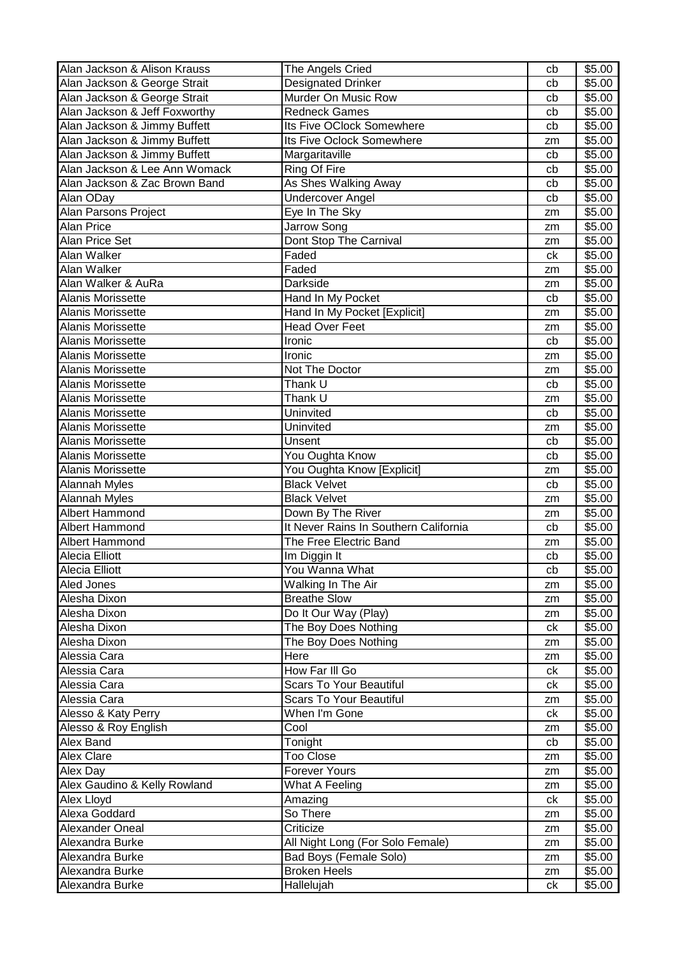| Alan Jackson & Alison Krauss  | The Angels Cried                      | cb | \$5.00 |
|-------------------------------|---------------------------------------|----|--------|
| Alan Jackson & George Strait  | Designated Drinker                    | cb | \$5.00 |
| Alan Jackson & George Strait  | Murder On Music Row                   | cb | \$5.00 |
| Alan Jackson & Jeff Foxworthy | <b>Redneck Games</b>                  | cb | \$5.00 |
| Alan Jackson & Jimmy Buffett  | Its Five OClock Somewhere             | cb | \$5.00 |
| Alan Jackson & Jimmy Buffett  | Its Five Oclock Somewhere             | zm | \$5.00 |
| Alan Jackson & Jimmy Buffett  | Margaritaville                        | cb | \$5.00 |
| Alan Jackson & Lee Ann Womack | Ring Of Fire                          | cb | \$5.00 |
| Alan Jackson & Zac Brown Band | As Shes Walking Away                  | cb | \$5.00 |
| Alan ODay                     | <b>Undercover Angel</b>               | cb | \$5.00 |
| Alan Parsons Project          | Eye In The Sky                        | zm | \$5.00 |
| <b>Alan Price</b>             | Jarrow Song                           | zm | \$5.00 |
| Alan Price Set                | Dont Stop The Carnival                | zm | \$5.00 |
| Alan Walker                   | Faded                                 | ck | \$5.00 |
| Alan Walker                   | Faded                                 | zm | \$5.00 |
| Alan Walker & AuRa            | Darkside                              | zm | \$5.00 |
| Alanis Morissette             | Hand In My Pocket                     | cb | \$5.00 |
| Alanis Morissette             | Hand In My Pocket [Explicit]          | zm | \$5.00 |
| Alanis Morissette             | <b>Head Over Feet</b>                 | zm | \$5.00 |
| Alanis Morissette             | Ironic                                | cb | \$5.00 |
| Alanis Morissette             | Ironic                                | zm | \$5.00 |
| <b>Alanis Morissette</b>      | Not The Doctor                        | zm | \$5.00 |
| <b>Alanis Morissette</b>      | Thank U                               | cb | \$5.00 |
| Alanis Morissette             | Thank U                               | zm | \$5.00 |
| Alanis Morissette             | Uninvited                             | cb | \$5.00 |
| Alanis Morissette             | Uninvited                             | zm | \$5.00 |
| Alanis Morissette             | Unsent                                | cb | \$5.00 |
| Alanis Morissette             | You Oughta Know                       | cb | \$5.00 |
| Alanis Morissette             | You Oughta Know [Explicit]            | zm | \$5.00 |
| <b>Alannah Myles</b>          | <b>Black Velvet</b>                   | cb | \$5.00 |
| <b>Alannah Myles</b>          | <b>Black Velvet</b>                   | zm | \$5.00 |
| Albert Hammond                | Down By The River                     | zm | \$5.00 |
| Albert Hammond                | It Never Rains In Southern California | cb | \$5.00 |
| <b>Albert Hammond</b>         | The Free Electric Band                | zm | \$5.00 |
| Alecia Elliott                | Im Diggin It                          | cb | \$5.00 |
| Alecia Elliott                | You Wanna What                        | cb | \$5.00 |
| Aled Jones                    | Walking In The Air                    | zm | \$5.00 |
| Alesha Dixon                  | <b>Breathe Slow</b>                   | zm | \$5.00 |
| Alesha Dixon                  | Do It Our Way (Play)                  | zm | \$5.00 |
| Alesha Dixon                  | The Boy Does Nothing                  | ck | \$5.00 |
| Alesha Dixon                  | The Boy Does Nothing                  | zm | \$5.00 |
| Alessia Cara                  | Here                                  | zm | \$5.00 |
| Alessia Cara                  | How Far III Go                        | ck | \$5.00 |
| Alessia Cara                  | Scars To Your Beautiful               | ck | \$5.00 |
| Alessia Cara                  | <b>Scars To Your Beautiful</b>        | zm | \$5.00 |
| Alesso & Katy Perry           | When I'm Gone                         | ck | \$5.00 |
| Alesso & Roy English          | Cool                                  | zm | \$5.00 |
| Alex Band                     | Tonight                               | cb | \$5.00 |
| <b>Alex Clare</b>             | Too Close                             | zm | \$5.00 |
| Alex Day                      | <b>Forever Yours</b>                  | zm | \$5.00 |
| Alex Gaudino & Kelly Rowland  | What A Feeling                        | zm | \$5.00 |
| Alex Lloyd                    | Amazing                               | ck | \$5.00 |
| Alexa Goddard                 | So There                              | zm | \$5.00 |
| Alexander Oneal               | Criticize                             | zm | \$5.00 |
| Alexandra Burke               | All Night Long (For Solo Female)      | zm | \$5.00 |
| Alexandra Burke               | Bad Boys (Female Solo)                | zm | \$5.00 |
| Alexandra Burke               | <b>Broken Heels</b>                   | zm | \$5.00 |
| Alexandra Burke               | Hallelujah                            | ck | \$5.00 |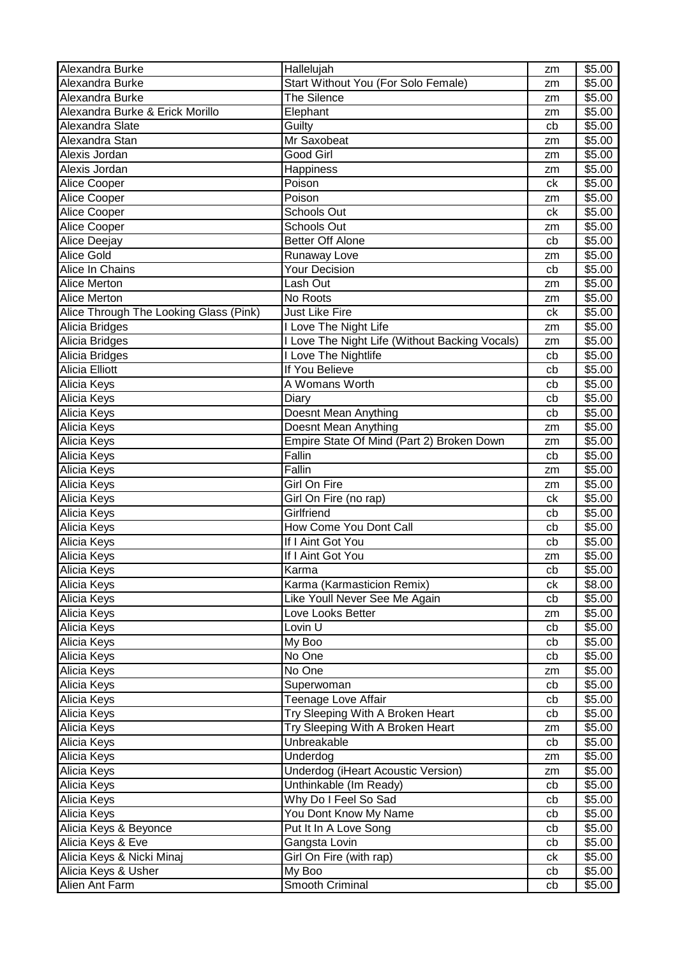| Alexandra Burke                        | Hallelujah                                     | zm       | \$5.00 |
|----------------------------------------|------------------------------------------------|----------|--------|
| Alexandra Burke                        | Start Without You (For Solo Female)            | zm       | \$5.00 |
| Alexandra Burke                        | The Silence                                    | zm       | \$5.00 |
| Alexandra Burke & Erick Morillo        | Elephant                                       | zm       | \$5.00 |
| Alexandra Slate                        | Guilty                                         | cb       | \$5.00 |
| Alexandra Stan                         | Mr Saxobeat                                    | zm       | \$5.00 |
| Alexis Jordan                          | Good Girl                                      | zm       | \$5.00 |
| Alexis Jordan                          | Happiness                                      | zm       | \$5.00 |
| Alice Cooper                           | Poison                                         | ck       | \$5.00 |
| Alice Cooper                           | Poison                                         | zm       | \$5.00 |
| Alice Cooper                           | Schools Out                                    | ck       | \$5.00 |
| Alice Cooper                           | <b>Schools Out</b>                             |          | \$5.00 |
| Alice Deejay                           | <b>Better Off Alone</b>                        | zm<br>cb | \$5.00 |
| <b>Alice Gold</b>                      |                                                |          |        |
|                                        | Runaway Love                                   | zm       | \$5.00 |
| Alice In Chains                        | <b>Your Decision</b>                           | cb       | \$5.00 |
| Alice Merton                           | Lash Out                                       | zm       | \$5.00 |
| <b>Alice Merton</b>                    | No Roots                                       | zm       | \$5.00 |
| Alice Through The Looking Glass (Pink) | <b>Just Like Fire</b>                          | ck       | \$5.00 |
| Alicia Bridges                         | I Love The Night Life                          | zm       | \$5.00 |
| Alicia Bridges                         | I Love The Night Life (Without Backing Vocals) | zm       | \$5.00 |
| Alicia Bridges                         | I Love The Nightlife                           | cb       | \$5.00 |
| <b>Alicia Elliott</b>                  | If You Believe                                 | cb       | \$5.00 |
| Alicia Keys                            | A Womans Worth                                 | cb       | \$5.00 |
| Alicia Keys                            | Diary                                          | cb       | \$5.00 |
| Alicia Keys                            | Doesnt Mean Anything                           | cb       | \$5.00 |
| Alicia Keys                            | Doesnt Mean Anything                           | zm       | \$5.00 |
| Alicia Keys                            | Empire State Of Mind (Part 2) Broken Down      | zm       | \$5.00 |
| Alicia Keys                            | Fallin                                         | cb       | \$5.00 |
| Alicia Keys                            | Fallin                                         | zm       | \$5.00 |
| Alicia Keys                            | Girl On Fire                                   | zm       | \$5.00 |
| Alicia Keys                            | Girl On Fire (no rap)                          | ck       | \$5.00 |
| Alicia Keys                            | Girlfriend                                     | cb       | \$5.00 |
| Alicia Keys                            | How Come You Dont Call                         | cb       | \$5.00 |
| Alicia Keys                            | If I Aint Got You                              | cb       | \$5.00 |
| Alicia Keys                            | If I Aint Got You                              | zm       | \$5.00 |
| Alicia Keys                            | Karma                                          | cb       | \$5.00 |
|                                        |                                                |          | \$8.00 |
| Alicia Keys                            | Karma (Karmasticion Remix)                     | сk       |        |
| Alicia Keys                            | Like Youll Never See Me Again                  | cb       | \$5.00 |
| Alicia Keys                            | Love Looks Better                              | zm       | \$5.00 |
| Alicia Keys                            | Lovin $\overline{U}$                           | cb       | \$5.00 |
| Alicia Keys                            | My Boo                                         | cb       | \$5.00 |
| Alicia Keys                            | No One                                         | cb       | \$5.00 |
| Alicia Keys                            | No One                                         | zm       | \$5.00 |
| Alicia Keys                            | Superwoman                                     | cb       | \$5.00 |
| Alicia Keys                            | Teenage Love Affair                            | cb       | \$5.00 |
| Alicia Keys                            | Try Sleeping With A Broken Heart               | cb       | \$5.00 |
| Alicia Keys                            | Try Sleeping With A Broken Heart               | zm       | \$5.00 |
| Alicia Keys                            | Unbreakable                                    | cb       | \$5.00 |
| Alicia Keys                            | Underdog                                       | zm       | \$5.00 |
| Alicia Keys                            | <b>Underdog (iHeart Acoustic Version)</b>      | zm       | \$5.00 |
| Alicia Keys                            | Unthinkable (Im Ready)                         | cb       | \$5.00 |
| Alicia Keys                            | Why Do I Feel So Sad                           | cb       | \$5.00 |
| Alicia Keys                            | You Dont Know My Name                          | cb       | \$5.00 |
| Alicia Keys & Beyonce                  | Put It In A Love Song                          | cb       | \$5.00 |
| Alicia Keys & Eve                      | Gangsta Lovin                                  | cb       | \$5.00 |
| Alicia Keys & Nicki Minaj              | Girl On Fire (with rap)                        | сk       | \$5.00 |
| Alicia Keys & Usher                    | My Boo                                         | cb       | \$5.00 |
| Alien Ant Farm                         | Smooth Criminal                                | cb       | \$5.00 |
|                                        |                                                |          |        |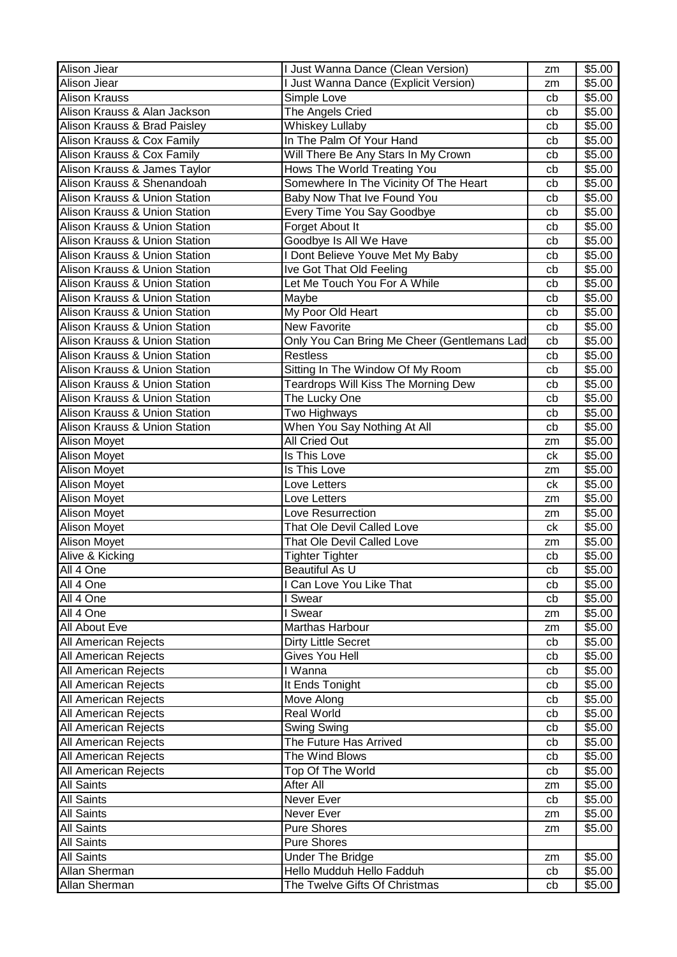| Alison Jiear                             | I Just Wanna Dance (Clean Version)          | zm | \$5.00 |
|------------------------------------------|---------------------------------------------|----|--------|
| Alison Jiear                             | I Just Wanna Dance (Explicit Version)       | zm | \$5.00 |
| <b>Alison Krauss</b>                     | Simple Love                                 | cb | \$5.00 |
| Alison Krauss & Alan Jackson             | The Angels Cried                            | cb | \$5.00 |
| Alison Krauss & Brad Paisley             | <b>Whiskey Lullaby</b>                      | cb | \$5.00 |
| Alison Krauss & Cox Family               | In The Palm Of Your Hand                    | cb | \$5.00 |
| Alison Krauss & Cox Family               | Will There Be Any Stars In My Crown         | cb | \$5.00 |
| Alison Krauss & James Taylor             | Hows The World Treating You                 | cb | \$5.00 |
| Alison Krauss & Shenandoah               | Somewhere In The Vicinity Of The Heart      | cb | \$5.00 |
| <b>Alison Krauss &amp; Union Station</b> | Baby Now That Ive Found You                 | cb | \$5.00 |
| <b>Alison Krauss &amp; Union Station</b> | Every Time You Say Goodbye                  | cb | \$5.00 |
| Alison Krauss & Union Station            | Forget About It                             | cb | \$5.00 |
| Alison Krauss & Union Station            | Goodbye Is All We Have                      | cb | \$5.00 |
| Alison Krauss & Union Station            | I Dont Believe Youve Met My Baby            | cb | \$5.00 |
| Alison Krauss & Union Station            | Ive Got That Old Feeling                    | cb | \$5.00 |
| Alison Krauss & Union Station            | Let Me Touch You For A While                | cb | \$5.00 |
| Alison Krauss & Union Station            | Maybe                                       | cb | \$5.00 |
| Alison Krauss & Union Station            | My Poor Old Heart                           | cb | \$5.00 |
| Alison Krauss & Union Station            | <b>New Favorite</b>                         | cb | \$5.00 |
| Alison Krauss & Union Station            | Only You Can Bring Me Cheer (Gentlemans Lad | cb | \$5.00 |
| Alison Krauss & Union Station            | <b>Restless</b>                             | cb | \$5.00 |
| Alison Krauss & Union Station            | Sitting In The Window Of My Room            | cb | \$5.00 |
| Alison Krauss & Union Station            | <b>Teardrops Will Kiss The Morning Dew</b>  | cb | \$5.00 |
| Alison Krauss & Union Station            | The Lucky One                               | cb | \$5.00 |
| Alison Krauss & Union Station            | Two Highways                                | cb | \$5.00 |
| Alison Krauss & Union Station            | When You Say Nothing At All                 | cb | \$5.00 |
| Alison Moyet                             | All Cried Out                               | zm | \$5.00 |
| Alison Moyet                             | Is This Love                                | ck | \$5.00 |
| Alison Moyet                             | Is This Love                                | zm | \$5.00 |
| Alison Moyet                             | Love Letters                                | ck | \$5.00 |
| Alison Moyet                             | Love Letters                                | zm | \$5.00 |
| <b>Alison Moyet</b>                      | Love Resurrection                           | zm | \$5.00 |
| <b>Alison Moyet</b>                      | That Ole Devil Called Love                  | ck | \$5.00 |
| <b>Alison Moyet</b>                      | That Ole Devil Called Love                  | zm | \$5.00 |
| Alive & Kicking                          | <b>Tighter Tighter</b>                      | cb | \$5.00 |
| All 4 One                                | Beautiful As U                              | cb | \$5.00 |
| All 4 One                                | I Can Love You Like That                    | cb | \$5.00 |
| All 4 One                                | I Swear                                     | cb | \$5.00 |
| All 4 One                                | <b>Swear</b>                                | zm | \$5.00 |
| All About Eve                            | Marthas Harbour                             | zm | \$5.00 |
| All American Rejects                     | <b>Dirty Little Secret</b>                  | cb | \$5.00 |
| All American Rejects                     | Gives You Hell                              | cb | \$5.00 |
| All American Rejects                     | I Wanna                                     | cb | \$5.00 |
| <b>All American Rejects</b>              | It Ends Tonight                             | cb | \$5.00 |
| All American Rejects                     | Move Along                                  | cb | \$5.00 |
| All American Rejects                     | <b>Real World</b>                           | cb | \$5.00 |
| All American Rejects                     | Swing Swing                                 | cb | \$5.00 |
| All American Rejects                     | The Future Has Arrived                      | cb | \$5.00 |
| All American Rejects                     | The Wind Blows                              | cb | \$5.00 |
| All American Rejects                     | Top Of The World                            | cb | \$5.00 |
| All Saints                               | After All                                   | zm | \$5.00 |
| <b>All Saints</b>                        | Never Ever                                  | cb | \$5.00 |
| <b>All Saints</b>                        | Never Ever                                  | zm | \$5.00 |
| <b>All Saints</b>                        | <b>Pure Shores</b>                          | zm | \$5.00 |
| <b>All Saints</b>                        | <b>Pure Shores</b>                          |    |        |
| <b>All Saints</b>                        | <b>Under The Bridge</b>                     | zm | \$5.00 |
| Allan Sherman                            | Hello Mudduh Hello Fadduh                   | cb | \$5.00 |
| Allan Sherman                            | The Twelve Gifts Of Christmas               | cb | \$5.00 |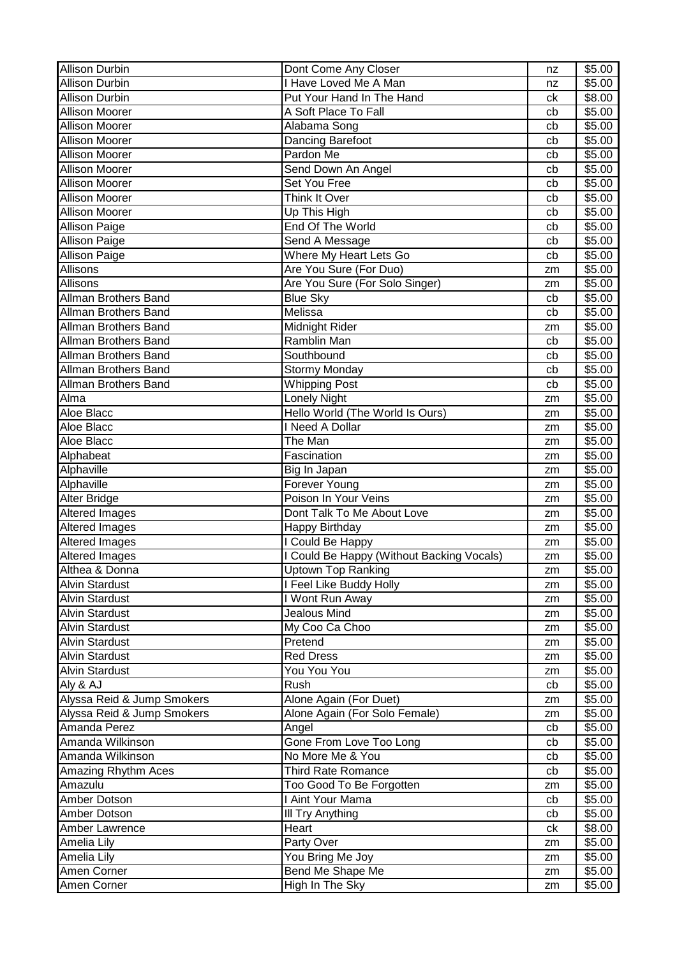| <b>Allison Durbin</b>      | Dont Come Any Closer                      | nz       | \$5.00           |
|----------------------------|-------------------------------------------|----------|------------------|
| <b>Allison Durbin</b>      | <b>Have Loved Me A Man</b>                | nz       | \$5.00           |
| <b>Allison Durbin</b>      | Put Your Hand In The Hand                 | ck       | \$8.00           |
| <b>Allison Moorer</b>      | A Soft Place To Fall                      | cb       | \$5.00           |
| <b>Allison Moorer</b>      | Alabama Song                              | cb       | \$5.00           |
| <b>Allison Moorer</b>      | Dancing Barefoot                          | cb       | \$5.00           |
| <b>Allison Moorer</b>      | Pardon Me                                 | cb       | \$5.00           |
| <b>Allison Moorer</b>      | Send Down An Angel                        | cb       | \$5.00           |
| <b>Allison Moorer</b>      | <b>Set You Free</b>                       | cb       | \$5.00           |
| <b>Allison Moorer</b>      | Think It Over                             | cb       | \$5.00           |
| <b>Allison Moorer</b>      | Up This High                              | cb       | \$5.00           |
| <b>Allison Paige</b>       | End Of The World                          | cb       | \$5.00           |
| <b>Allison Paige</b>       | Send A Message                            | cb       | \$5.00           |
| <b>Allison Paige</b>       | Where My Heart Lets Go                    | cb       | \$5.00           |
| Allisons                   | Are You Sure (For Duo)                    | zm       | \$5.00           |
| Allisons                   | Are You Sure (For Solo Singer)            | zm       | \$5.00           |
| Allman Brothers Band       | <b>Blue Sky</b>                           | cb       | \$5.00           |
| Allman Brothers Band       | Melissa                                   | cb       | \$5.00           |
| Allman Brothers Band       | Midnight Rider                            | zm       | \$5.00           |
| Allman Brothers Band       | <b>Ramblin Man</b>                        | cb       | \$5.00           |
| Allman Brothers Band       | Southbound                                | cb       | \$5.00           |
| Allman Brothers Band       | Stormy Monday                             | cb       | \$5.00           |
| Allman Brothers Band       | <b>Whipping Post</b>                      | cb       | \$5.00           |
| Alma                       | Lonely Night                              | zm       | \$5.00           |
| Aloe Blacc                 | Hello World (The World Is Ours)           | zm       | \$5.00           |
| Aloe Blacc                 | I Need A Dollar                           | zm       | \$5.00           |
| Aloe Blacc                 | The Man                                   | zm       | \$5.00           |
| Alphabeat                  | Fascination                               | zm       | \$5.00           |
|                            |                                           |          |                  |
|                            |                                           |          |                  |
| Alphaville                 | Big In Japan                              | zm       | \$5.00           |
| Alphaville                 | Forever Young                             | zm       | \$5.00           |
| Alter Bridge               | Poison In Your Veins                      | zm       | \$5.00           |
| Altered Images             | Dont Talk To Me About Love                | zm       | \$5.00           |
| Altered Images             | Happy Birthday                            | zm       | \$5.00           |
| Altered Images             | I Could Be Happy                          | zm       | \$5.00           |
| <b>Altered Images</b>      | I Could Be Happy (Without Backing Vocals) | zm       | \$5.00           |
| Althea & Donna             | <b>Uptown Top Ranking</b>                 | zm       | \$5.00           |
| <b>Alvin Stardust</b>      | I Feel Like Buddy Holly                   | zm       | \$5.00           |
| <b>Alvin Stardust</b>      | I Wont Run Away                           | zm       | \$5.00           |
| <b>Alvin Stardust</b>      | Jealous Mind                              | zm       | \$5.00           |
| <b>Alvin Stardust</b>      | My Coo Ca Choo                            | zm       | \$5.00           |
| <b>Alvin Stardust</b>      | Pretend                                   | zm       | \$5.00           |
| <b>Alvin Stardust</b>      | <b>Red Dress</b>                          | zm       | \$5.00           |
| <b>Alvin Stardust</b>      | You You You                               | zm       | \$5.00           |
| Aly & AJ                   | Rush                                      | cb       | \$5.00           |
| Alyssa Reid & Jump Smokers | Alone Again (For Duet)                    | zm       | \$5.00           |
| Alyssa Reid & Jump Smokers | Alone Again (For Solo Female)             | zm       | \$5.00           |
| Amanda Perez               | Angel                                     | cb       | \$5.00           |
| Amanda Wilkinson           | Gone From Love Too Long                   | cb       | \$5.00           |
| Amanda Wilkinson           | No More Me & You                          | cb       | \$5.00           |
| Amazing Rhythm Aces        | Third Rate Romance                        | cb       | \$5.00           |
| Amazulu                    | Too Good To Be Forgotten                  | zm       | \$5.00           |
| Amber Dotson               | I Aint Your Mama                          | cb       | \$5.00           |
| Amber Dotson               | <b>III Try Anything</b>                   | cb       | \$5.00           |
| Amber Lawrence             | Heart                                     | сk       | \$8.00           |
| Amelia Lily                | Party Over                                | zm       | \$5.00           |
| Amelia Lily<br>Amen Corner | You Bring Me Joy<br>Bend Me Shape Me      | zm<br>zm | \$5.00<br>\$5.00 |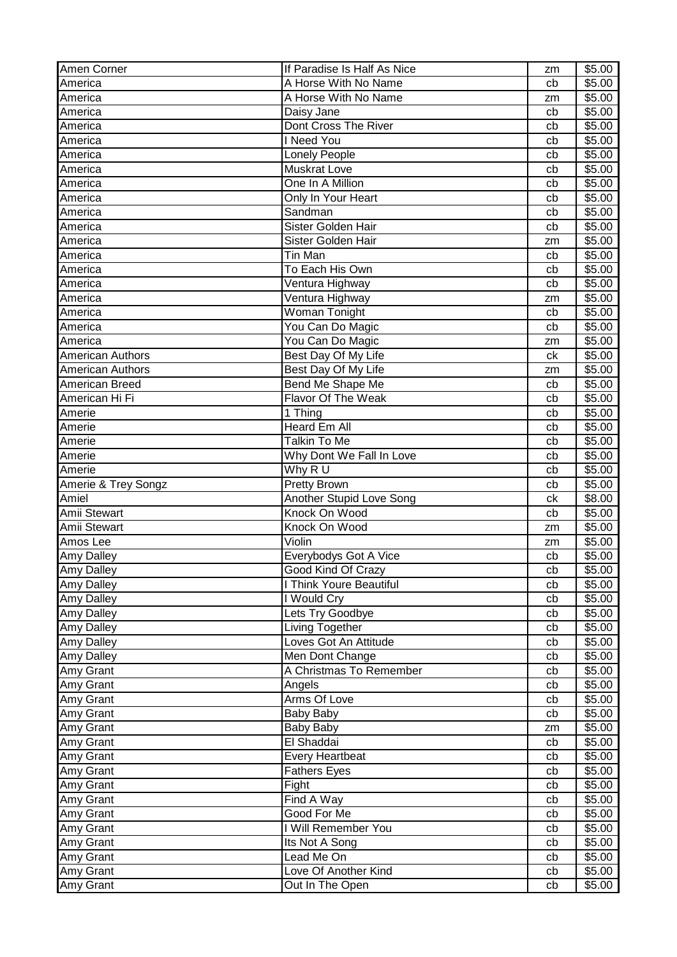| Amen Corner             | If Paradise Is Half As Nice  | zm       | \$5.00             |
|-------------------------|------------------------------|----------|--------------------|
| America                 | A Horse With No Name         | cb       | \$5.00             |
| America                 | A Horse With No Name         | zm       | \$5.00             |
| America                 | Daisy Jane                   | cb       | \$5.00             |
| America                 | Dont Cross The River         | cb       | \$5.00             |
| America                 | I Need You                   | cb       | \$5.00             |
| America                 | Lonely People                | cb       | \$5.00             |
| America                 | <b>Muskrat Love</b>          | cb       | \$5.00             |
| America                 | One In A Million             | cb       | \$5.00             |
| America                 | Only In Your Heart           | cb       | \$5.00             |
| America                 | Sandman                      | cb       | \$5.00             |
| America                 | Sister Golden Hair           | cb       | \$5.00             |
| America                 | Sister Golden Hair           | zm       | \$5.00             |
| America                 | Tin Man                      | cb       | \$5.00             |
| America                 | To Each His Own              | cb       | \$5.00             |
| America                 | Ventura Highway              | cb       | \$5.00             |
| America                 | Ventura Highway              | zm       | \$5.00             |
| America                 | Woman Tonight                | cb       | \$5.00             |
| America                 | You Can Do Magic             | cb       | \$5.00             |
| America                 | You Can Do Magic             | zm       | \$5.00             |
| <b>American Authors</b> | Best Day Of My Life          | ck       | \$5.00             |
| American Authors        | Best Day Of My Life          | zm       | \$5.00             |
| American Breed          | Bend Me Shape Me             | cb       | \$5.00             |
| American Hi Fi          | Flavor Of The Weak           | cb       | \$5.00             |
| Amerie                  | 1 Thing                      | cb       | $\overline{$}5.00$ |
| Amerie                  | <b>Heard Em All</b>          | cb       | \$5.00             |
| Amerie                  | <b>Talkin To Me</b>          | cb       | \$5.00             |
| Amerie                  | Why Dont We Fall In Love     | cb       | \$5.00             |
| Amerie                  | Why R U                      | cb       | \$5.00             |
| Amerie & Trey Songz     | <b>Pretty Brown</b>          | cb       | \$5.00             |
| Amiel                   | Another Stupid Love Song     | сk       | \$8.00             |
| Amii Stewart            | Knock On Wood                | cb       | \$5.00             |
| Amii Stewart            | Knock On Wood                | zm       | \$5.00             |
| Amos Lee                | Violin                       | zm       | \$5.00             |
| Amy Dalley              | Everybodys Got A Vice        | cb       | \$5.00             |
| Amy Dalley              | Good Kind Of Crazy           | cb       | \$5.00             |
| <b>Amy Dalley</b>       | I Think Youre Beautiful      | cb       | \$5.00             |
| <b>Amy Dalley</b>       | I Would Cry                  | cb       | \$5.00             |
| <b>Amy Dalley</b>       | Lets Try Goodbye             | cb       | \$5.00             |
| <b>Amy Dalley</b>       | Living Together              | cb       | \$5.00             |
| Amy Dalley              | Loves Got An Attitude        | cb       | \$5.00             |
| Amy Dalley              | Men Dont Change              | cb       | \$5.00             |
| Amy Grant               | A Christmas To Remember      | cb       | \$5.00             |
| Amy Grant               | Angels                       | cb       | \$5.00             |
| Amy Grant               | Arms Of Love                 | cb       | \$5.00             |
| Amy Grant               | Baby Baby                    | cb       | \$5.00             |
| Amy Grant               | <b>Baby Baby</b>             | zm       | \$5.00             |
| Amy Grant               | El Shaddai                   | cb       | \$5.00             |
| Amy Grant               | <b>Every Heartbeat</b>       | cb       | \$5.00             |
| Amy Grant               | <b>Fathers Eyes</b>          | cb       | \$5.00             |
| Amy Grant               | Fight                        | cb       | \$5.00             |
|                         |                              |          |                    |
|                         |                              | cb       | \$5.00             |
| Amy Grant               | Find A Way                   |          |                    |
| Amy Grant               | Good For Me                  | cb       | \$5.00             |
| Amy Grant               | I Will Remember You          | cb       | \$5.00             |
| Amy Grant               | Its Not A Song<br>Lead Me On | cb<br>cb | \$5.00             |
| Amy Grant<br>Amy Grant  | Love Of Another Kind         | cb       | \$5.00<br>\$5.00   |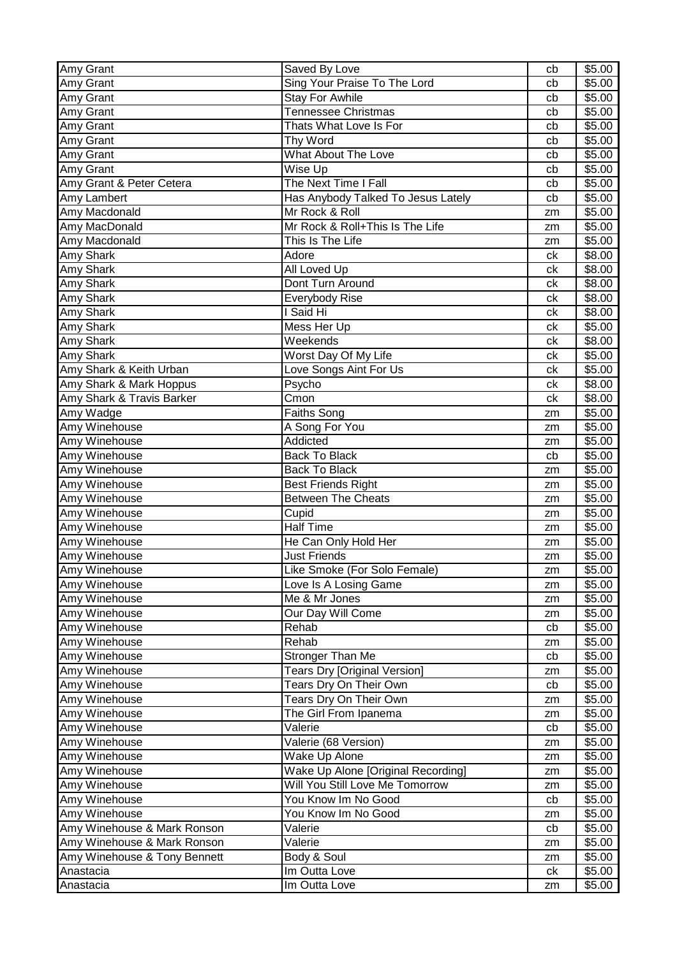| Amy Grant                    | Saved By Love                       | cb | \$5.00 |
|------------------------------|-------------------------------------|----|--------|
| Amy Grant                    | Sing Your Praise To The Lord        | cb | \$5.00 |
| Amy Grant                    | <b>Stay For Awhile</b>              | cb | \$5.00 |
| Amy Grant                    | <b>Tennessee Christmas</b>          | cb | \$5.00 |
| Amy Grant                    | Thats What Love Is For              | cb | \$5.00 |
| Amy Grant                    | Thy Word                            | cb | \$5.00 |
| Amy Grant                    | <b>What About The Love</b>          | cb | \$5.00 |
| Amy Grant                    | Wise Up                             | cb | \$5.00 |
| Amy Grant & Peter Cetera     | The Next Time I Fall                | cb | \$5.00 |
| Amy Lambert                  | Has Anybody Talked To Jesus Lately  | cb | \$5.00 |
| Amy Macdonald                | Mr Rock & Roll                      | zm | \$5.00 |
| Amy MacDonald                | Mr Rock & Roll+This Is The Life     | zm | \$5.00 |
| Amy Macdonald                | This Is The Life                    | zm | \$5.00 |
| Amy Shark                    | Adore                               | ck | \$8.00 |
| Amy Shark                    | All Loved Up                        | ck | \$8.00 |
| Amy Shark                    | Dont Turn Around                    | ck | \$8.00 |
| Amy Shark                    | Everybody Rise                      | сk | \$8.00 |
| Amy Shark                    | I Said Hi                           | сk | \$8.00 |
| Amy Shark                    | Mess Her Up                         | сk | \$5.00 |
| Amy Shark                    | Weekends                            | ck | \$8.00 |
| Amy Shark                    | Worst Day Of My Life                | ck | \$5.00 |
| Amy Shark & Keith Urban      | Love Songs Aint For Us              | сk | \$5.00 |
| Amy Shark & Mark Hoppus      | Psycho                              | сk | \$8.00 |
| Amy Shark & Travis Barker    | Cmon                                | ck | \$8.00 |
| Amy Wadge                    | Faiths Song                         | zm | \$5.00 |
| Amy Winehouse                | A Song For You                      | zm | \$5.00 |
| Amy Winehouse                | Addicted                            | zm | \$5.00 |
| Amy Winehouse                | <b>Back To Black</b>                | cb | \$5.00 |
| Amy Winehouse                | <b>Back To Black</b>                | zm | \$5.00 |
| Amy Winehouse                | <b>Best Friends Right</b>           | zm | \$5.00 |
| Amy Winehouse                | <b>Between The Cheats</b>           | zm | \$5.00 |
| Amy Winehouse                | Cupid                               | zm | \$5.00 |
| Amy Winehouse                | <b>Half Time</b>                    | zm | \$5.00 |
| Amy Winehouse                | He Can Only Hold Her                | zm | \$5.00 |
| Amy Winehouse                | <b>Just Friends</b>                 | zm | \$5.00 |
| Amy Winehouse                | Like Smoke (For Solo Female)        | zm | \$5.00 |
| Amy Winehouse                | Love Is A Losing Game               | zm | \$5.00 |
| Amy Winehouse                | Me & Mr Jones                       | zm | \$5.00 |
| Amy Winehouse                | Our Day Will Come                   | zm | \$5.00 |
| Amy Winehouse                | Rehab                               | cb | \$5.00 |
| Amy Winehouse                | Rehab                               | zm | \$5.00 |
| Amy Winehouse                | Stronger Than Me                    | cb | \$5.00 |
| Amy Winehouse                | <b>Tears Dry [Original Version]</b> | zm | \$5.00 |
| Amy Winehouse                | Tears Dry On Their Own              | cb | \$5.00 |
| Amy Winehouse                | Tears Dry On Their Own              | zm | \$5.00 |
| Amy Winehouse                | The Girl From Ipanema               | zm | \$5.00 |
| Amy Winehouse                | Valerie                             | cb | \$5.00 |
| Amy Winehouse                | Valerie (68 Version)                | zm | \$5.00 |
| Amy Winehouse                | Wake Up Alone                       | zm | \$5.00 |
| Amy Winehouse                | Wake Up Alone [Original Recording]  | zm | \$5.00 |
| Amy Winehouse                | Will You Still Love Me Tomorrow     | zm | \$5.00 |
| Amy Winehouse                | You Know Im No Good                 | cb | \$5.00 |
| Amy Winehouse                | You Know Im No Good                 | zm | \$5.00 |
| Amy Winehouse & Mark Ronson  | Valerie                             | cb | \$5.00 |
| Amy Winehouse & Mark Ronson  | Valerie                             | zm | \$5.00 |
| Amy Winehouse & Tony Bennett | Body & Soul                         | zm | \$5.00 |
| Anastacia                    | Im Outta Love                       | ck | \$5.00 |
| Anastacia                    | Im Outta Love                       | zm | \$5.00 |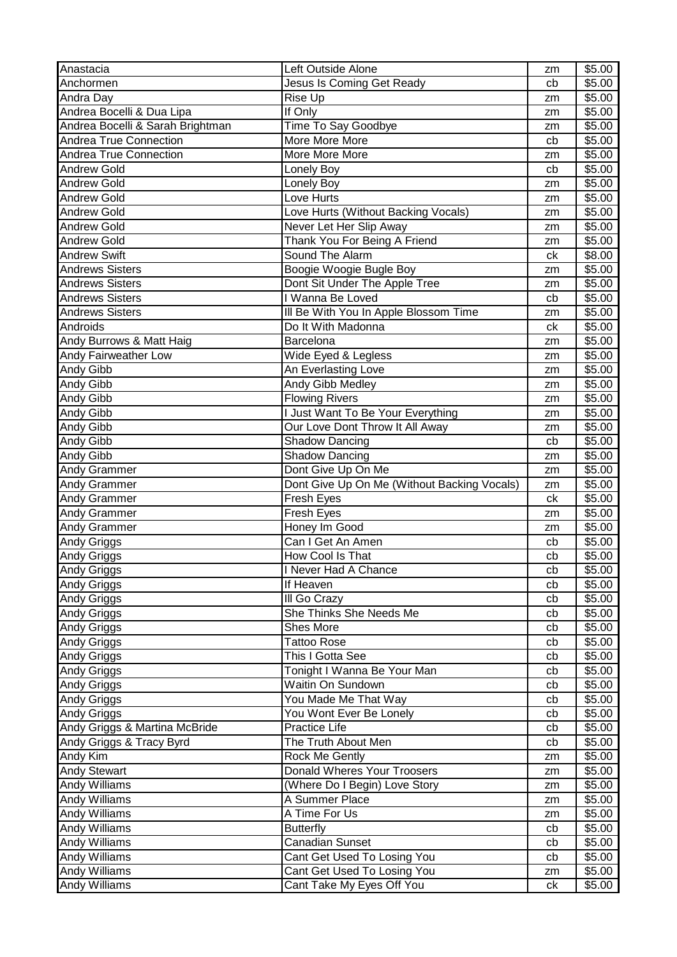| Anastacia                                | Left Outside Alone                          | zm       | \$5.00           |
|------------------------------------------|---------------------------------------------|----------|------------------|
| Anchormen                                | Jesus Is Coming Get Ready                   | cb       | \$5.00           |
| Andra Day                                | Rise Up                                     | zm       | \$5.00           |
| Andrea Bocelli & Dua Lipa                | If Only                                     | zm       | \$5.00           |
| Andrea Bocelli & Sarah Brightman         | Time To Say Goodbye                         | zm       | \$5.00           |
| Andrea True Connection                   | More More More                              | cb       | \$5.00           |
| Andrea True Connection                   | More More More                              | zm       | \$5.00           |
| <b>Andrew Gold</b>                       | Lonely Boy                                  | cb       | \$5.00           |
| <b>Andrew Gold</b>                       | Lonely Boy                                  | zm       | \$5.00           |
| <b>Andrew Gold</b>                       | Love Hurts                                  | zm       | \$5.00           |
| <b>Andrew Gold</b>                       | Love Hurts (Without Backing Vocals)         | zm       | \$5.00           |
| <b>Andrew Gold</b>                       | Never Let Her Slip Away                     | zm       | \$5.00           |
| <b>Andrew Gold</b>                       | Thank You For Being A Friend                | zm       | \$5.00           |
| <b>Andrew Swift</b>                      | Sound The Alarm                             | ck       | \$8.00           |
| <b>Andrews Sisters</b>                   | Boogie Woogie Bugle Boy                     | zm       | \$5.00           |
| <b>Andrews Sisters</b>                   | Dont Sit Under The Apple Tree               | zm       | \$5.00           |
| <b>Andrews Sisters</b>                   | I Wanna Be Loved                            | cb       | \$5.00           |
| <b>Andrews Sisters</b>                   | Ill Be With You In Apple Blossom Time       | zm       | \$5.00           |
| Androids                                 | Do It With Madonna                          | ck       | \$5.00           |
| Andy Burrows & Matt Haig                 | Barcelona                                   | zm       | \$5.00           |
| Andy Fairweather Low                     | Wide Eyed & Legless                         | zm       | \$5.00           |
| Andy Gibb                                | An Everlasting Love                         | zm       | \$5.00           |
| Andy Gibb                                | Andy Gibb Medley                            | zm       | \$5.00           |
| Andy Gibb                                | <b>Flowing Rivers</b>                       | zm       | \$5.00           |
| Andy Gibb                                | I Just Want To Be Your Everything           | zm       | \$5.00           |
| Andy Gibb                                | Our Love Dont Throw It All Away             | zm       | \$5.00           |
| Andy Gibb                                | <b>Shadow Dancing</b>                       | cb       | \$5.00           |
| Andy Gibb                                | <b>Shadow Dancing</b>                       | zm       | \$5.00           |
| Andy Grammer                             | Dont Give Up On Me                          | zm       | \$5.00           |
| <b>Andy Grammer</b>                      | Dont Give Up On Me (Without Backing Vocals) |          | \$5.00           |
| <b>Andy Grammer</b>                      | Fresh Eyes                                  | zm<br>ck | \$5.00           |
| <b>Andy Grammer</b>                      | Fresh Eyes                                  |          | \$5.00           |
| Andy Grammer                             | Honey Im Good                               | zm       | \$5.00           |
|                                          | Can I Get An Amen                           | zm<br>cb | \$5.00           |
| Andy Griggs<br><b>Andy Griggs</b>        | How Cool Is That                            | cb       | \$5.00           |
|                                          |                                             |          | \$5.00           |
| <b>Andy Griggs</b>                       | I Never Had A Chance<br>If Heaven           | cb       |                  |
| <b>Andy Griggs</b>                       | III Go Crazy                                | cb       | \$5.00<br>\$5.00 |
| <b>Andy Griggs</b><br><b>Andy Griggs</b> | She Thinks She Needs Me                     | cb       | \$5.00           |
|                                          | Shes More                                   | cb       |                  |
| <b>Andy Griggs</b>                       | <b>Tattoo Rose</b>                          | cb       | \$5.00           |
| <b>Andy Griggs</b>                       | This I Gotta See                            | cb       | \$5.00<br>\$5.00 |
| <b>Andy Griggs</b>                       |                                             | cb       |                  |
| Andy Griggs                              | Tonight I Wanna Be Your Man                 | cb       | \$5.00           |
| <b>Andy Griggs</b>                       | Waitin On Sundown                           | cb       | \$5.00           |
| <b>Andy Griggs</b>                       | You Made Me That Way                        | cb       | \$5.00           |
| <b>Andy Griggs</b>                       | You Wont Ever Be Lonely                     | cb       | \$5.00           |
| Andy Griggs & Martina McBride            | Practice Life                               | cb       | \$5.00           |
| Andy Griggs & Tracy Byrd                 | The Truth About Men                         | cb       | \$5.00           |
| Andy Kim                                 | Rock Me Gently                              | zm       | \$5.00           |
| <b>Andy Stewart</b>                      | Donald Wheres Your Troosers                 | zm       | \$5.00           |
| <b>Andy Williams</b>                     | (Where Do I Begin) Love Story               | zm       | \$5.00           |
| Andy Williams                            | A Summer Place                              | zm       | \$5.00           |
| <b>Andy Williams</b>                     | A Time For Us                               | zm       | \$5.00           |
| <b>Andy Williams</b>                     | <b>Butterfly</b>                            | cb       | \$5.00           |
| <b>Andy Williams</b>                     | <b>Canadian Sunset</b>                      | cb       | \$5.00           |
| <b>Andy Williams</b>                     | Cant Get Used To Losing You                 | cb       | \$5.00           |
| <b>Andy Williams</b>                     | Cant Get Used To Losing You                 | zm       | \$5.00           |
| <b>Andy Williams</b>                     | Cant Take My Eyes Off You                   | ck       | \$5.00           |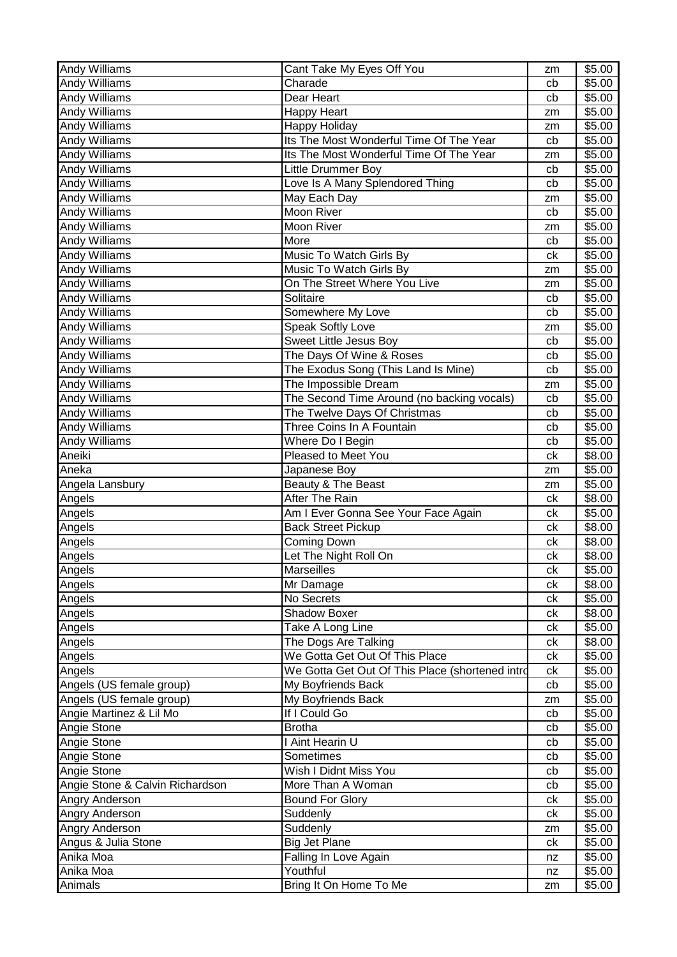| <b>Andy Williams</b>            | Cant Take My Eyes Off You                       | zm       | \$5.00 |
|---------------------------------|-------------------------------------------------|----------|--------|
| <b>Andy Williams</b>            | Charade                                         | cb       | \$5.00 |
| Andy Williams                   | Dear Heart                                      | cb       | \$5.00 |
| <b>Andy Williams</b>            | <b>Happy Heart</b>                              | zm       | \$5.00 |
| <b>Andy Williams</b>            | Happy Holiday                                   | zm       | \$5.00 |
| <b>Andy Williams</b>            | Its The Most Wonderful Time Of The Year         | cb       | \$5.00 |
| Andy Williams                   | Its The Most Wonderful Time Of The Year         | zm       | \$5.00 |
| Andy Williams                   | Little Drummer Boy                              | cb       | \$5.00 |
| Andy Williams                   | Love Is A Many Splendored Thing                 | cb       | \$5.00 |
| Andy Williams                   | May Each Day                                    | zm       | \$5.00 |
| Andy Williams                   | Moon River                                      | cb       | \$5.00 |
| <b>Andy Williams</b>            | Moon River                                      | zm       | \$5.00 |
| Andy Williams                   | More                                            | cb       | \$5.00 |
| Andy Williams                   | Music To Watch Girls By                         | ck       | \$5.00 |
| Andy Williams                   | Music To Watch Girls By                         | zm       | \$5.00 |
| Andy Williams                   | On The Street Where You Live                    | zm       | \$5.00 |
| Andy Williams                   | Solitaire                                       | cb       | \$5.00 |
| Andy Williams                   | Somewhere My Love                               | cb       | \$5.00 |
| Andy Williams                   | <b>Speak Softly Love</b>                        | zm       | \$5.00 |
| Andy Williams                   | <b>Sweet Little Jesus Boy</b>                   | cb       | \$5.00 |
| Andy Williams                   | The Days Of Wine & Roses                        | cb       | \$5.00 |
| <b>Andy Williams</b>            | The Exodus Song (This Land Is Mine)             | cb       | \$5.00 |
| Andy Williams                   | The Impossible Dream                            | zm       | \$5.00 |
| Andy Williams                   | The Second Time Around (no backing vocals)      | cb       | \$5.00 |
| Andy Williams                   | The Twelve Days Of Christmas                    | cb       | \$5.00 |
| Andy Williams                   | Three Coins In A Fountain                       | cb       | \$5.00 |
| <b>Andy Williams</b>            | Where Do I Begin                                | cb       | \$5.00 |
| Aneiki                          | Pleased to Meet You                             | ck       | \$8.00 |
| Aneka                           | Japanese Boy                                    | zm       | \$5.00 |
| Angela Lansbury                 | Beauty & The Beast                              | zm       | \$5.00 |
| Angels                          | After The Rain                                  | ck       | \$8.00 |
| Angels                          | Am I Ever Gonna See Your Face Again             | сk       | \$5.00 |
| Angels                          | <b>Back Street Pickup</b>                       | ck       | \$8.00 |
| Angels                          | Coming Down                                     | ck       | \$8.00 |
| Angels                          | Let The Night Roll On                           | сk       | \$8.00 |
| Angels                          | Marseilles                                      | ck       | \$5.00 |
| Angels                          | Mr Damage                                       | сk       | \$8.00 |
| Angels                          | No Secrets                                      | сk       | \$5.00 |
| Angels                          | <b>Shadow Boxer</b>                             | ck       | \$8.00 |
| Angels                          | Take A Long Line                                | сk       | \$5.00 |
| Angels                          | The Dogs Are Talking                            | сk       | \$8.00 |
| Angels                          | We Gotta Get Out Of This Place                  | ck       | \$5.00 |
| Angels                          | We Gotta Get Out Of This Place (shortened intro | сk       | \$5.00 |
| Angels (US female group)        | My Boyfriends Back                              | cb       | \$5.00 |
| Angels (US female group)        | My Boyfriends Back                              |          | \$5.00 |
| Angie Martinez & Lil Mo         | If I Could Go                                   | zm       | \$5.00 |
| Angie Stone                     | <b>Brotha</b>                                   | cb<br>cb | \$5.00 |
|                                 | I Aint Hearin U                                 |          |        |
| Angie Stone                     |                                                 | cb       | \$5.00 |
| Angie Stone                     | Sometimes                                       | cb       | \$5.00 |
| Angie Stone                     | Wish I Didnt Miss You                           | cb       | \$5.00 |
| Angie Stone & Calvin Richardson | More Than A Woman                               | cb       | \$5.00 |
| Angry Anderson                  | <b>Bound For Glory</b>                          | сk       | \$5.00 |
| Angry Anderson                  | Suddenly                                        | сk       | \$5.00 |
| Angry Anderson                  | Suddenly                                        | zm       | \$5.00 |
| Angus & Julia Stone             | <b>Big Jet Plane</b>                            | ck       | \$5.00 |
| Anika Moa                       | Falling In Love Again                           | nz       | \$5.00 |
| Anika Moa                       | Youthful                                        | nz       | \$5.00 |
| Animals                         | Bring It On Home To Me                          | zm       | \$5.00 |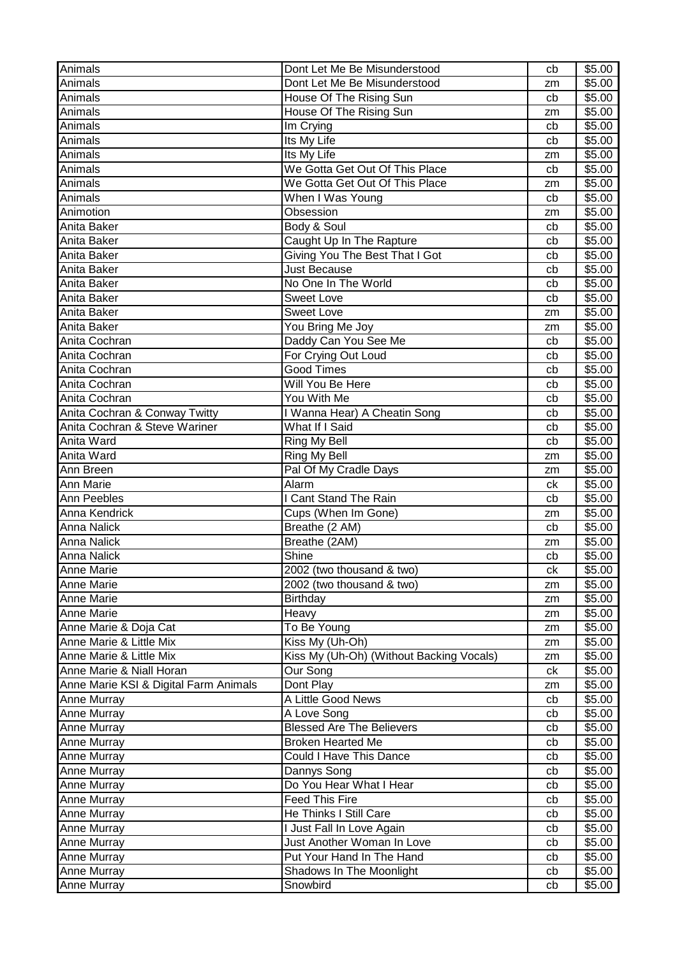| Animals                               | Dont Let Me Be Misunderstood             | cb | \$5.00 |
|---------------------------------------|------------------------------------------|----|--------|
| Animals                               | Dont Let Me Be Misunderstood             | zm | \$5.00 |
| Animals                               | House Of The Rising Sun                  | cb | \$5.00 |
| Animals                               | House Of The Rising Sun                  | zm | \$5.00 |
| Animals                               | Im Crying                                | cb | \$5.00 |
| Animals                               | Its My Life                              | cb | \$5.00 |
| Animals                               | Its My Life                              | zm | \$5.00 |
| Animals                               | We Gotta Get Out Of This Place           | cb | \$5.00 |
| Animals                               | We Gotta Get Out Of This Place           | zm | \$5.00 |
| Animals                               | When I Was Young                         | cb | \$5.00 |
| Animotion                             | Obsession                                | zm | \$5.00 |
| Anita Baker                           | Body & Soul                              | cb | \$5.00 |
| Anita Baker                           | Caught Up In The Rapture                 | cb | \$5.00 |
| Anita Baker                           | Giving You The Best That I Got           | cb | \$5.00 |
| Anita Baker                           | <b>Just Because</b>                      | cb | \$5.00 |
| Anita Baker                           | No One In The World                      | cb | \$5.00 |
| Anita Baker                           | <b>Sweet Love</b>                        | cb | \$5.00 |
| Anita Baker                           | <b>Sweet Love</b>                        | zm | \$5.00 |
| Anita Baker                           | You Bring Me Joy                         | zm | \$5.00 |
| Anita Cochran                         | Daddy Can You See Me                     | cb | \$5.00 |
| Anita Cochran                         | For Crying Out Loud                      | cb | \$5.00 |
| Anita Cochran                         | <b>Good Times</b>                        | cb | \$5.00 |
| Anita Cochran                         | Will You Be Here                         | cb | \$5.00 |
| Anita Cochran                         | You With Me                              | cb | \$5.00 |
| Anita Cochran & Conway Twitty         | I Wanna Hear) A Cheatin Song             | cb | \$5.00 |
| Anita Cochran & Steve Wariner         | What If I Said                           | cb | \$5.00 |
| Anita Ward                            | Ring My Bell                             | cb | \$5.00 |
| Anita Ward                            | Ring My Bell                             | zm | \$5.00 |
| Ann Breen                             | Pal Of My Cradle Days                    | zm | \$5.00 |
| Ann Marie                             | Alarm                                    | сk | \$5.00 |
| Ann Peebles                           | I Cant Stand The Rain                    | cb | \$5.00 |
| <b>Anna Kendrick</b>                  | Cups (When Im Gone)                      | zm | \$5.00 |
| <b>Anna Nalick</b>                    | Breathe (2 AM)                           | cb | \$5.00 |
| Anna Nalick                           | Breathe (2AM)                            | zm | \$5.00 |
| Anna Nalick                           | Shine                                    | cb | \$5.00 |
| Anne Marie                            | 2002 (two thousand & two)                | ck | \$5.00 |
| <b>Anne Marie</b>                     | 2002 (two thousand & two)                | zm | \$5.00 |
| Anne Marie                            | Birthday                                 | zm | \$5.00 |
| Anne Marie                            | Heavy                                    | zm | \$5.00 |
| Anne Marie & Doja Cat                 | To Be Young                              | zm | \$5.00 |
| Anne Marie & Little Mix               | Kiss My (Uh-Oh)                          | zm | \$5.00 |
| Anne Marie & Little Mix               | Kiss My (Uh-Oh) (Without Backing Vocals) | zm | \$5.00 |
| Anne Marie & Niall Horan              | Our Song                                 | ck | \$5.00 |
| Anne Marie KSI & Digital Farm Animals | Dont Play                                | zm | \$5.00 |
| Anne Murray                           | A Little Good News                       | cb | \$5.00 |
| Anne Murray                           | A Love Song                              | cb | \$5.00 |
| Anne Murray                           | <b>Blessed Are The Believers</b>         | cb | \$5.00 |
| Anne Murray                           | <b>Broken Hearted Me</b>                 | cb | \$5.00 |
| Anne Murray                           | <b>Could I Have This Dance</b>           | cb | \$5.00 |
| Anne Murray                           | Dannys Song                              | cb | \$5.00 |
| Anne Murray                           | Do You Hear What I Hear                  | cb | \$5.00 |
| Anne Murray                           | <b>Feed This Fire</b>                    | cb | \$5.00 |
| Anne Murray                           | He Thinks I Still Care                   | cb | \$5.00 |
| Anne Murray                           | I Just Fall In Love Again                | cb | \$5.00 |
| Anne Murray                           | Just Another Woman In Love               | cb | \$5.00 |
| Anne Murray                           | Put Your Hand In The Hand                | cb | \$5.00 |
| Anne Murray                           | Shadows In The Moonlight                 | cb | \$5.00 |
| Anne Murray                           | Snowbird                                 | cb | \$5.00 |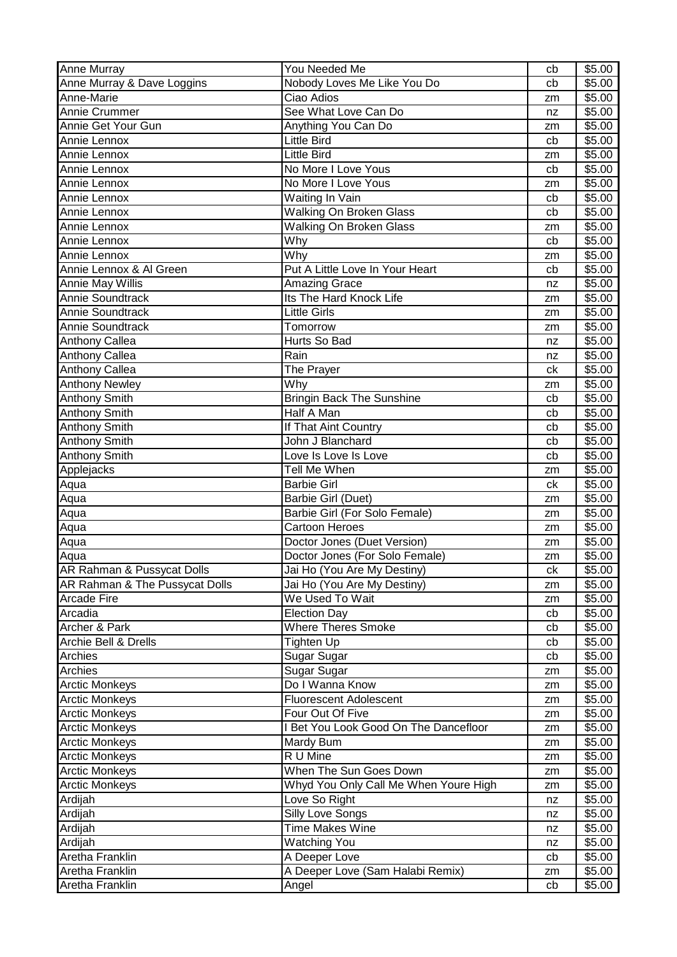| Anne Murray                     | You Needed Me                         | cb | \$5.00 |
|---------------------------------|---------------------------------------|----|--------|
| Anne Murray & Dave Loggins      | Nobody Loves Me Like You Do           | cb | \$5.00 |
| Anne-Marie                      | Ciao Adios                            | zm | \$5.00 |
| <b>Annie Crummer</b>            | See What Love Can Do                  | nz | \$5.00 |
| Annie Get Your Gun              | Anything You Can Do                   | zm | \$5.00 |
| Annie Lennox                    | Little Bird                           | cb | \$5.00 |
| Annie Lennox                    | <b>Little Bird</b>                    | zm | \$5.00 |
| Annie Lennox                    | No More I Love Yous                   | cb | \$5.00 |
| Annie Lennox                    | No More I Love Yous                   | zm | \$5.00 |
| Annie Lennox                    | Waiting In Vain                       | cb | \$5.00 |
| Annie Lennox                    | <b>Walking On Broken Glass</b>        | cb | \$5.00 |
| Annie Lennox                    | <b>Walking On Broken Glass</b>        | zm | \$5.00 |
| Annie Lennox                    | Why                                   | cb | \$5.00 |
| Annie Lennox                    | Why                                   | zm | \$5.00 |
| Annie Lennox & Al Green         | Put A Little Love In Your Heart       | cb | \$5.00 |
| <b>Annie May Willis</b>         | <b>Amazing Grace</b>                  | nz | \$5.00 |
| Annie Soundtrack                | Its The Hard Knock Life               | zm | \$5.00 |
| Annie Soundtrack                | <b>Little Girls</b>                   | zm | \$5.00 |
| Annie Soundtrack                | Tomorrow                              | zm | \$5.00 |
| <b>Anthony Callea</b>           | Hurts So Bad                          | nz | \$5.00 |
| <b>Anthony Callea</b>           | Rain                                  | nz | \$5.00 |
| <b>Anthony Callea</b>           | The Prayer                            | ck | \$5.00 |
| <b>Anthony Newley</b>           | Why                                   | zm | \$5.00 |
| <b>Anthony Smith</b>            | <b>Bringin Back The Sunshine</b>      | cb | \$5.00 |
| <b>Anthony Smith</b>            | Half A Man                            | cb | \$5.00 |
| <b>Anthony Smith</b>            | If That Aint Country                  | cb | \$5.00 |
| <b>Anthony Smith</b>            | John J Blanchard                      | cb | \$5.00 |
| <b>Anthony Smith</b>            | Love Is Love Is Love                  | cb | \$5.00 |
| Applejacks                      | Tell Me When                          | zm | \$5.00 |
| Aqua                            | <b>Barbie Girl</b>                    | ck | \$5.00 |
| Aqua                            | Barbie Girl (Duet)                    | zm | \$5.00 |
| Aqua                            | Barbie Girl (For Solo Female)         | zm | \$5.00 |
| Aqua                            | <b>Cartoon Heroes</b>                 | zm | \$5.00 |
| Aqua                            | Doctor Jones (Duet Version)           | zm | \$5.00 |
| Aqua                            | Doctor Jones (For Solo Female)        | zm | \$5.00 |
| AR Rahman & Pussycat Dolls      | Jai Ho (You Are My Destiny)           | ck | \$5.00 |
| AR Rahman & The Pussycat Dolls  | Jai Ho (You Are My Destiny)           | zm | \$5.00 |
| <b>Arcade Fire</b>              | We Used To Wait                       | zm | \$5.00 |
| Arcadia                         | <b>Election Day</b>                   | cb | \$5.00 |
| Archer & Park                   | <b>Where Theres Smoke</b>             | cb | \$5.00 |
| <b>Archie Bell &amp; Drells</b> | Tighten Up                            | cb | \$5.00 |
| Archies                         | Sugar Sugar                           | cb | \$5.00 |
| Archies                         | Sugar Sugar                           | zm | \$5.00 |
| <b>Arctic Monkeys</b>           | Do I Wanna Know                       | zm | \$5.00 |
| <b>Arctic Monkeys</b>           | <b>Fluorescent Adolescent</b>         | zm | \$5.00 |
| <b>Arctic Monkeys</b>           | Four Out Of Five                      | zm | \$5.00 |
| <b>Arctic Monkeys</b>           | I Bet You Look Good On The Dancefloor | zm | \$5.00 |
| <b>Arctic Monkeys</b>           | Mardy Bum                             | zm | \$5.00 |
| <b>Arctic Monkeys</b>           | R U Mine                              | zm | \$5.00 |
| <b>Arctic Monkeys</b>           | When The Sun Goes Down                | zm | \$5.00 |
| <b>Arctic Monkeys</b>           | Whyd You Only Call Me When Youre High | zm | \$5.00 |
| Ardijah                         | Love So Right                         | nz | \$5.00 |
| Ardijah                         | <b>Silly Love Songs</b>               | nz | \$5.00 |
| Ardijah                         | <b>Time Makes Wine</b>                | nz | \$5.00 |
| Ardijah                         | <b>Watching You</b>                   | nz | \$5.00 |
| Aretha Franklin                 | A Deeper Love                         | cb | \$5.00 |
| Aretha Franklin                 | A Deeper Love (Sam Halabi Remix)      | zm | \$5.00 |
| Aretha Franklin                 | Angel                                 | cb | \$5.00 |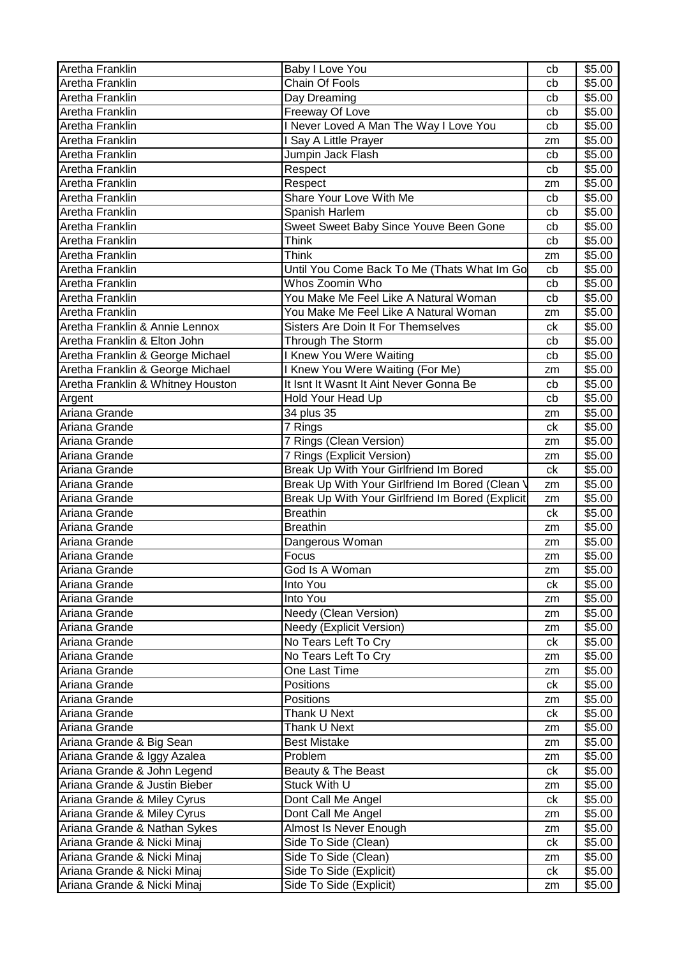| Aretha Franklin                   | Baby I Love You                                  | cb            | \$5.00             |
|-----------------------------------|--------------------------------------------------|---------------|--------------------|
| Aretha Franklin                   | Chain Of Fools                                   | cb            | \$5.00             |
| Aretha Franklin                   | Day Dreaming                                     | cb            | \$5.00             |
| Aretha Franklin                   | Freeway Of Love                                  | cb            | \$5.00             |
| Aretha Franklin                   | I Never Loved A Man The Way I Love You           | cb            | \$5.00             |
| Aretha Franklin                   | I Say A Little Prayer                            | zm            | \$5.00             |
| Aretha Franklin                   | Jumpin Jack Flash                                | cb            | \$5.00             |
| Aretha Franklin                   | Respect                                          | cb            | \$5.00             |
| Aretha Franklin                   | Respect                                          | zm            | \$5.00             |
| Aretha Franklin                   | Share Your Love With Me                          | cb            | \$5.00             |
| Aretha Franklin                   | Spanish Harlem                                   | cb            | \$5.00             |
| Aretha Franklin                   | Sweet Sweet Baby Since Youve Been Gone           | cb            | \$5.00             |
| Aretha Franklin                   | Think                                            | cb            | \$5.00             |
| Aretha Franklin                   | <b>Think</b>                                     | zm            | \$5.00             |
| Aretha Franklin                   | Until You Come Back To Me (Thats What Im Go      | cb            | \$5.00             |
| Aretha Franklin                   | Whos Zoomin Who                                  | cb            | \$5.00             |
| Aretha Franklin                   | You Make Me Feel Like A Natural Woman            | cb            | \$5.00             |
| Aretha Franklin                   | You Make Me Feel Like A Natural Woman            | zm            | \$5.00             |
| Aretha Franklin & Annie Lennox    | Sisters Are Doin It For Themselves               | ck            | \$5.00             |
| Aretha Franklin & Elton John      | Through The Storm                                | cb            | \$5.00             |
| Aretha Franklin & George Michael  | I Knew You Were Waiting                          | cb            | \$5.00             |
| Aretha Franklin & George Michael  | I Knew You Were Waiting (For Me)                 | zm            | \$5.00             |
| Aretha Franklin & Whitney Houston | It Isnt It Wasnt It Aint Never Gonna Be          | cb            | \$5.00             |
| Argent                            | Hold Your Head Up                                | cb            | \$5.00             |
| Ariana Grande                     | 34 plus 35                                       | zm            | $\overline{$}5.00$ |
| Ariana Grande                     | $\overline{7}$ Rings                             | ck            | \$5.00             |
| Ariana Grande                     | 7 Rings (Clean Version)                          |               | \$5.00             |
| Ariana Grande                     | 7 Rings (Explicit Version)                       | zm            | \$5.00             |
| Ariana Grande                     | Break Up With Your Girlfriend Im Bored           | zm<br>ck      | \$5.00             |
| Ariana Grande                     | Break Up With Your Girlfriend Im Bored (Clean '  |               | \$5.00             |
| Ariana Grande                     | Break Up With Your Girlfriend Im Bored (Explicit | zm            | \$5.00             |
| Ariana Grande                     | <b>Breathin</b>                                  | zm            | \$5.00             |
| Ariana Grande                     | <b>Breathin</b>                                  | ck            | \$5.00             |
| Ariana Grande                     | Dangerous Woman                                  | zm            | \$5.00             |
|                                   | Focus                                            | zm            | \$5.00             |
| Ariana Grande                     |                                                  | zm            |                    |
| Ariana Grande                     | God Is A Woman                                   | $\mathsf{zm}$ | \$5.00             |
| Ariana Grande                     | Into You<br>Into You                             | ck            | \$5.00<br>\$5.00   |
| Ariana Grande                     | <b>Needy (Clean Version)</b>                     | zm            |                    |
| Ariana Grande<br>Ariana Grande    |                                                  | zm            | \$5.00             |
|                                   | Needy (Explicit Version)                         | zm            | \$5.00             |
| Ariana Grande                     | No Tears Left To Cry                             | сk            | \$5.00             |
| Ariana Grande                     | No Tears Left To Cry                             | zm            | \$5.00             |
| Ariana Grande                     | One Last Time                                    | zm            | \$5.00             |
| Ariana Grande                     | Positions                                        | ck            | \$5.00             |
| Ariana Grande                     | Positions                                        | zm            | \$5.00             |
| Ariana Grande                     | Thank U Next                                     | ck            | \$5.00             |
| Ariana Grande                     | Thank U Next                                     | zm            | \$5.00             |
| Ariana Grande & Big Sean          | <b>Best Mistake</b>                              | zm            | \$5.00             |
| Ariana Grande & Iggy Azalea       | Problem                                          | zm            | \$5.00             |
| Ariana Grande & John Legend       | Beauty & The Beast                               | ck            | \$5.00             |
| Ariana Grande & Justin Bieber     | Stuck With U                                     | zm            | \$5.00             |
| Ariana Grande & Miley Cyrus       | Dont Call Me Angel                               | ck            | \$5.00             |
| Ariana Grande & Miley Cyrus       | Dont Call Me Angel                               | zm            | \$5.00             |
| Ariana Grande & Nathan Sykes      | Almost Is Never Enough                           | zm            | \$5.00             |
| Ariana Grande & Nicki Minaj       | Side To Side (Clean)                             | сk            | \$5.00             |
| Ariana Grande & Nicki Minaj       | Side To Side (Clean)                             | zm            | \$5.00             |
| Ariana Grande & Nicki Minaj       | Side To Side (Explicit)                          | ck            | \$5.00             |
| Ariana Grande & Nicki Minaj       | Side To Side (Explicit)                          | zm            | \$5.00             |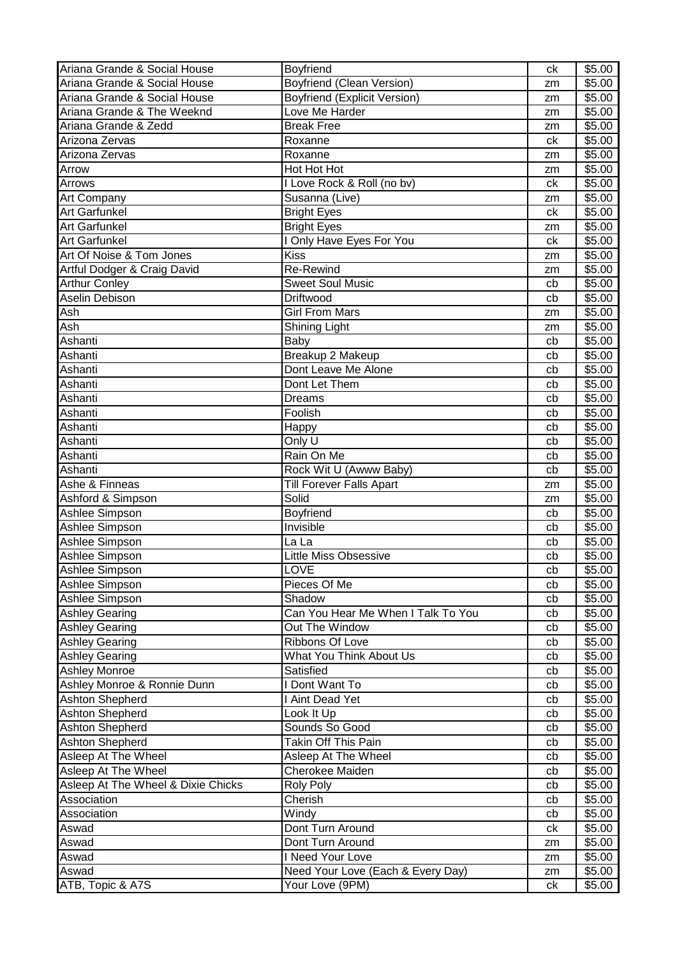| Ariana Grande & Social House       | Boyfriend                           | ck | \$5.00 |
|------------------------------------|-------------------------------------|----|--------|
| Ariana Grande & Social House       | <b>Boyfriend (Clean Version)</b>    | zm | \$5.00 |
| Ariana Grande & Social House       | <b>Boyfriend (Explicit Version)</b> | zm | \$5.00 |
| Ariana Grande & The Weeknd         | Love Me Harder                      | zm | \$5.00 |
| Ariana Grande & Zedd               | <b>Break Free</b>                   | zm | \$5.00 |
| Arizona Zervas                     | Roxanne                             | ck | \$5.00 |
| Arizona Zervas                     | Roxanne                             | zm | \$5.00 |
| Arrow                              | Hot Hot Hot                         | zm | \$5.00 |
| Arrows                             | I Love Rock & Roll (no bv)          | ck | \$5.00 |
| <b>Art Company</b>                 | Susanna (Live)                      | zm | \$5.00 |
| <b>Art Garfunkel</b>               | <b>Bright Eyes</b>                  | ck | \$5.00 |
| Art Garfunkel                      | <b>Bright Eyes</b>                  | zm | \$5.00 |
| <b>Art Garfunkel</b>               | I Only Have Eyes For You            | ck | \$5.00 |
| Art Of Noise & Tom Jones           | <b>Kiss</b>                         | zm | \$5.00 |
| Artful Dodger & Craig David        | <b>Re-Rewind</b>                    | zm | \$5.00 |
| <b>Arthur Conley</b>               | <b>Sweet Soul Music</b>             | cb | \$5.00 |
| Aselin Debison                     | <b>Driftwood</b>                    | cb | \$5.00 |
| Ash                                | <b>Girl From Mars</b>               | zm | \$5.00 |
| Ash                                | <b>Shining Light</b>                | zm | \$5.00 |
| Ashanti                            | Baby                                | cb | \$5.00 |
| Ashanti                            | Breakup 2 Makeup                    | cb | \$5.00 |
| Ashanti                            | Dont Leave Me Alone                 | cb | \$5.00 |
| Ashanti                            | Dont Let Them                       | cb | \$5.00 |
| Ashanti                            | <b>Dreams</b>                       | cb | \$5.00 |
| Ashanti                            | Foolish                             | cb | \$5.00 |
| Ashanti                            | Happy                               | cb | \$5.00 |
| Ashanti                            | Only U                              | cb | \$5.00 |
| Ashanti                            | Rain On Me                          | cb | \$5.00 |
| Ashanti                            | Rock Wit U (Awww Baby)              | cb | \$5.00 |
| Ashe & Finneas                     | <b>Till Forever Falls Apart</b>     |    | \$5.00 |
| Ashford & Simpson                  | Solid                               | zm | \$5.00 |
|                                    |                                     | zm |        |
| Ashlee Simpson                     | Boyfriend<br>Invisible              | cb | \$5.00 |
| Ashlee Simpson                     | La La                               | cb | \$5.00 |
| Ashlee Simpson                     |                                     | cb | \$5.00 |
| Ashlee Simpson                     | <b>Little Miss Obsessive</b>        | cb | \$5.00 |
| Ashlee Simpson                     | LOVE                                | cb | \$5.00 |
| Ashlee Simpson                     | Pieces Of Me                        | cb | \$5.00 |
| Ashlee Simpson                     | Shadow                              | cb | \$5.00 |
| <b>Ashley Gearing</b>              | Can You Hear Me When I Talk To You  | cb | \$5.00 |
| <b>Ashley Gearing</b>              | Out The Window                      | cb | \$5.00 |
| <b>Ashley Gearing</b>              | Ribbons Of Love                     | cb | \$5.00 |
| <b>Ashley Gearing</b>              | What You Think About Us             | cb | \$5.00 |
| <b>Ashley Monroe</b>               | Satisfied                           | cb | \$5.00 |
| Ashley Monroe & Ronnie Dunn        | I Dont Want To                      | cb | \$5.00 |
| <b>Ashton Shepherd</b>             | I Aint Dead Yet                     | cb | \$5.00 |
| Ashton Shepherd                    | Look It Up                          | cb | \$5.00 |
| <b>Ashton Shepherd</b>             | Sounds So Good                      | cb | \$5.00 |
| Ashton Shepherd                    | Takin Off This Pain                 | cb | \$5.00 |
| Asleep At The Wheel                | Asleep At The Wheel                 | cb | \$5.00 |
| Asleep At The Wheel                | Cherokee Maiden                     | cb | \$5.00 |
| Asleep At The Wheel & Dixie Chicks | <b>Roly Poly</b>                    | cb | \$5.00 |
| Association                        | Cherish                             | cb | \$5.00 |
| Association                        | Windy                               | cb | \$5.00 |
| Aswad                              | Dont Turn Around                    | ck | \$5.00 |
| Aswad                              | Dont Turn Around                    | zm | \$5.00 |
| Aswad                              | I Need Your Love                    | zm | \$5.00 |
| Aswad                              | Need Your Love (Each & Every Day)   | zm | \$5.00 |
| ATB, Topic & A7S                   | Your Love (9PM)                     | ck | \$5.00 |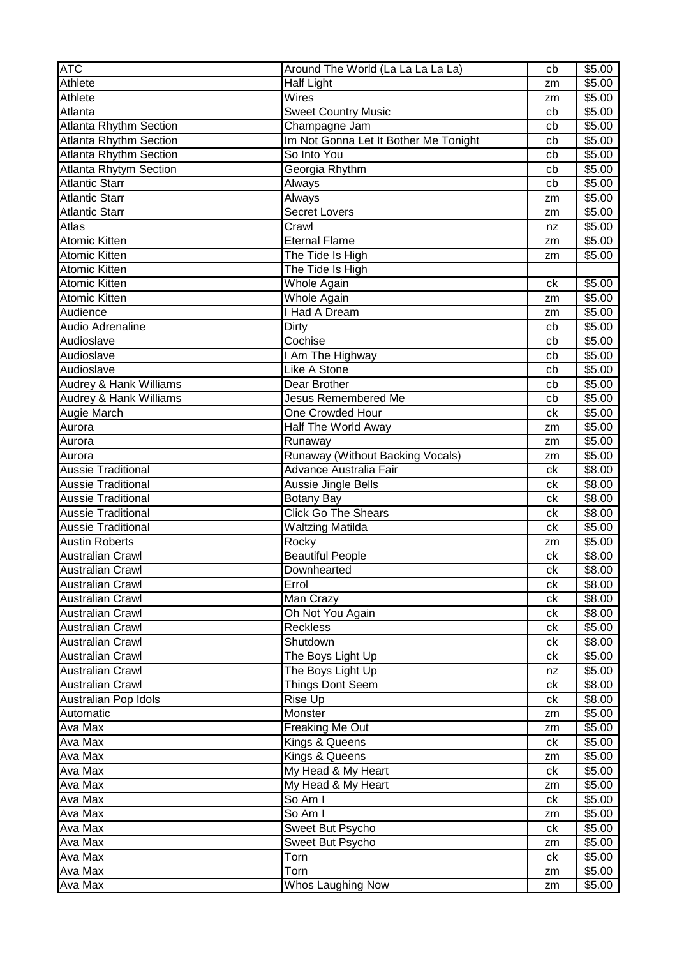| <b>ATC</b>                    | Around The World (La La La La La)     | cb | \$5.00             |
|-------------------------------|---------------------------------------|----|--------------------|
| Athlete                       | Half Light                            | zm | \$5.00             |
| Athlete                       | Wires                                 | zm | \$5.00             |
| Atlanta                       | <b>Sweet Country Music</b>            | cb | \$5.00             |
| <b>Atlanta Rhythm Section</b> | Champagne Jam                         | cb | \$5.00             |
| Atlanta Rhythm Section        | Im Not Gonna Let It Bother Me Tonight | cb | \$5.00             |
| <b>Atlanta Rhythm Section</b> | So Into You                           | cb | \$5.00             |
| Atlanta Rhytym Section        | Georgia Rhythm                        | cb | \$5.00             |
| <b>Atlantic Starr</b>         | Always                                | cb | \$5.00             |
| <b>Atlantic Starr</b>         | Always                                | zm | \$5.00             |
| <b>Atlantic Starr</b>         | <b>Secret Lovers</b>                  | zm | \$5.00             |
| Atlas                         | Crawl                                 | nz | \$5.00             |
| <b>Atomic Kitten</b>          | <b>Eternal Flame</b>                  | zm | \$5.00             |
| <b>Atomic Kitten</b>          | The Tide Is High                      | zm | \$5.00             |
| <b>Atomic Kitten</b>          | The Tide Is High                      |    |                    |
| <b>Atomic Kitten</b>          | Whole Again                           | ck | \$5.00             |
| <b>Atomic Kitten</b>          | Whole Again                           | zm | \$5.00             |
| Audience                      | <b>Had A Dream</b>                    | zm | \$5.00             |
| Audio Adrenaline              | Dirty                                 | cb | \$5.00             |
| Audioslave                    | Cochise                               | cb | \$5.00             |
| Audioslave                    | I Am The Highway                      | cb | \$5.00             |
| Audioslave                    | Like A Stone                          | cb | \$5.00             |
| Audrey & Hank Williams        | Dear Brother                          | cb | \$5.00             |
| Audrey & Hank Williams        | <b>Jesus Remembered Me</b>            | cb | \$5.00             |
| Augie March                   | One Crowded Hour                      | ck | $\overline{$}5.00$ |
| Aurora                        | Half The World Away                   | zm | \$5.00             |
| Aurora                        | Runaway                               | zm | \$5.00             |
| Aurora                        | Runaway (Without Backing Vocals)      | zm | \$5.00             |
| <b>Aussie Traditional</b>     | Advance Australia Fair                | ck | \$8.00             |
| <b>Aussie Traditional</b>     | Aussie Jingle Bells                   | сk | \$8.00             |
| <b>Aussie Traditional</b>     | <b>Botany Bay</b>                     | ck | \$8.00             |
| <b>Aussie Traditional</b>     | <b>Click Go The Shears</b>            | ck | \$8.00             |
| Aussie Traditional            | <b>Waltzing Matilda</b>               | ck | \$5.00             |
| <b>Austin Roberts</b>         | Rocky                                 | zm | \$5.00             |
| <b>Australian Crawl</b>       | <b>Beautiful People</b>               | ck | \$8.00             |
| <b>Australian Crawl</b>       | Downhearted                           | ck | \$8.00             |
| <b>Australian Crawl</b>       | Errol                                 | сk | \$8.00             |
| Australian Crawl              | Man Crazy                             | сk | \$8.00             |
| <b>Australian Crawl</b>       | Oh Not You Again                      | ck | \$8.00             |
| <b>Australian Crawl</b>       | <b>Reckless</b>                       | сk | \$5.00             |
| <b>Australian Crawl</b>       | Shutdown                              | ck | \$8.00             |
| <b>Australian Crawl</b>       | The Boys Light Up                     | ck | \$5.00             |
| <b>Australian Crawl</b>       | The Boys Light Up                     | nz | \$5.00             |
| <b>Australian Crawl</b>       | Things Dont Seem                      | сk | \$8.00             |
| Australian Pop Idols          | Rise Up                               | ck | \$8.00             |
| Automatic                     | Monster                               | zm | \$5.00             |
| Ava Max                       | Freaking Me Out                       | zm | \$5.00             |
| Ava Max                       | Kings & Queens                        | ck | \$5.00             |
| Ava Max                       | Kings & Queens                        | zm | \$5.00             |
| Ava Max                       | My Head & My Heart                    | ck | \$5.00             |
| Ava Max                       | My Head & My Heart                    | zm | \$5.00             |
| Ava Max                       | So Am I                               | ck | \$5.00             |
| Ava Max                       | So Am I                               | zm | \$5.00             |
| Ava Max                       | Sweet But Psycho                      | сk | \$5.00             |
| Ava Max                       | Sweet But Psycho                      | zm | \$5.00             |
| Ava Max                       | Torn                                  | ck | \$5.00             |
| Ava Max                       | Torn                                  | zm | \$5.00             |
| Ava Max                       | Whos Laughing Now                     | zm | \$5.00             |
|                               |                                       |    |                    |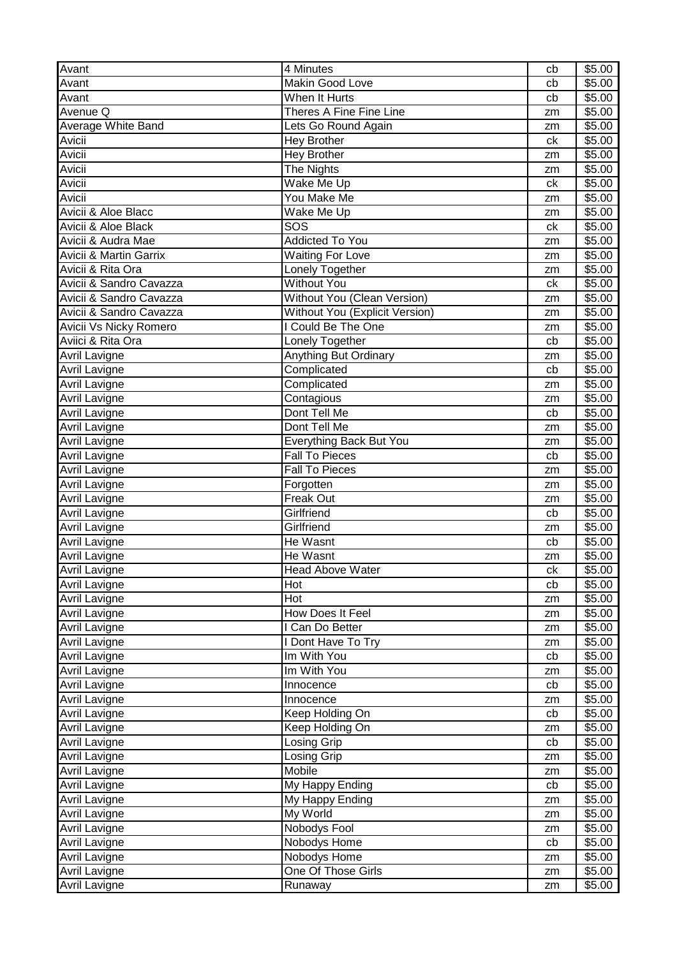| Avant                   | $\overline{4}$ Minutes         | cb | \$5.00             |
|-------------------------|--------------------------------|----|--------------------|
| Avant                   | Makin Good Love                | cb | \$5.00             |
| Avant                   | When It Hurts                  | cb | \$5.00             |
| Avenue Q                | Theres A Fine Fine Line        | zm | $\overline{$}5.00$ |
| Average White Band      | Lets Go Round Again            | zm | \$5.00             |
| Avicii                  | <b>Hey Brother</b>             | ck | \$5.00             |
| Avicii                  | <b>Hey Brother</b>             | zm | \$5.00             |
| Avicii                  | The Nights                     | zm | \$5.00             |
| Avicii                  | Wake Me Up                     | ck | \$5.00             |
| Avicii                  | You Make Me                    | zm | \$5.00             |
| Avicii & Aloe Blacc     | Wake Me Up                     | zm | \$5.00             |
| Avicii & Aloe Black     | SOS                            | ck | \$5.00             |
| Avicii & Audra Mae      | <b>Addicted To You</b>         | zm | \$5.00             |
| Avicii & Martin Garrix  | <b>Waiting For Love</b>        | zm | \$5.00             |
| Avicii & Rita Ora       | Lonely Together                | zm | \$5.00             |
| Avicii & Sandro Cavazza | <b>Without You</b>             | ck | \$5.00             |
| Avicii & Sandro Cavazza | Without You (Clean Version)    | zm | \$5.00             |
| Avicii & Sandro Cavazza | Without You (Explicit Version) | zm | \$5.00             |
| Avicii Vs Nicky Romero  | I Could Be The One             | zm | \$5.00             |
| Aviici & Rita Ora       | Lonely Together                | cb | \$5.00             |
| Avril Lavigne           | Anything But Ordinary          | zm | \$5.00             |
| Avril Lavigne           | Complicated                    | cb | \$5.00             |
| <b>Avril Lavigne</b>    | Complicated                    | zm | \$5.00             |
| <b>Avril Lavigne</b>    | Contagious                     | zm | \$5.00             |
| <b>Avril Lavigne</b>    | Dont Tell Me                   | cb | \$5.00             |
| <b>Avril Lavigne</b>    | Dont Tell Me                   | zm | \$5.00             |
| <b>Avril Lavigne</b>    | Everything Back But You        | zm | \$5.00             |
| <b>Avril Lavigne</b>    | <b>Fall To Pieces</b>          | cb | \$5.00             |
| <b>Avril Lavigne</b>    | <b>Fall To Pieces</b>          | zm | \$5.00             |
| Avril Lavigne           | Forgotten                      | zm | \$5.00             |
| Avril Lavigne           | Freak Out                      | zm | \$5.00             |
| Avril Lavigne           | Girlfriend                     | cb | \$5.00             |
| <b>Avril Lavigne</b>    | Girlfriend                     | zm | \$5.00             |
| <b>Avril Lavigne</b>    | He Wasnt                       | cb | \$5.00             |
| <b>Avril Lavigne</b>    | He Wasnt                       | zm | \$5.00             |
| <b>Avril Lavigne</b>    | Head Above Water               | ck | \$5.00             |
| <b>Avril Lavigne</b>    | Hot                            | cb | \$5.00             |
| <b>Avril Lavigne</b>    | Hot                            | zm | \$5.00             |
| Avril Lavigne           | How Does It Feel               | zm | \$5.00             |
| <b>Avril Lavigne</b>    | I Can Do Better                | zm | \$5.00             |
| <b>Avril Lavigne</b>    | I Dont Have To Try             | zm | \$5.00             |
| <b>Avril Lavigne</b>    | Im With You                    | cb | \$5.00             |
| Avril Lavigne           | Im With You                    | zm | \$5.00             |
| <b>Avril Lavigne</b>    | Innocence                      | cb | \$5.00             |
| Avril Lavigne           | Innocence                      | zm | \$5.00             |
| Avril Lavigne           | Keep Holding On                | cb | \$5.00             |
| Avril Lavigne           | Keep Holding On                | zm | \$5.00             |
| Avril Lavigne           | Losing Grip                    | cb | \$5.00             |
| <b>Avril Lavigne</b>    | Losing Grip                    | zm | \$5.00             |
| Avril Lavigne           | Mobile                         | zm | \$5.00             |
| Avril Lavigne           | My Happy Ending                | cb | \$5.00             |
| Avril Lavigne           | My Happy Ending                | zm | \$5.00             |
| <b>Avril Lavigne</b>    | My World                       | zm | \$5.00             |
| <b>Avril Lavigne</b>    | Nobodys Fool                   | zm | \$5.00             |
| Avril Lavigne           | Nobodys Home                   | cb | \$5.00             |
| Avril Lavigne           | Nobodys Home                   | zm | \$5.00             |
| Avril Lavigne           | One Of Those Girls             | zm | \$5.00             |
| <b>Avril Lavigne</b>    | Runaway                        | zm | \$5.00             |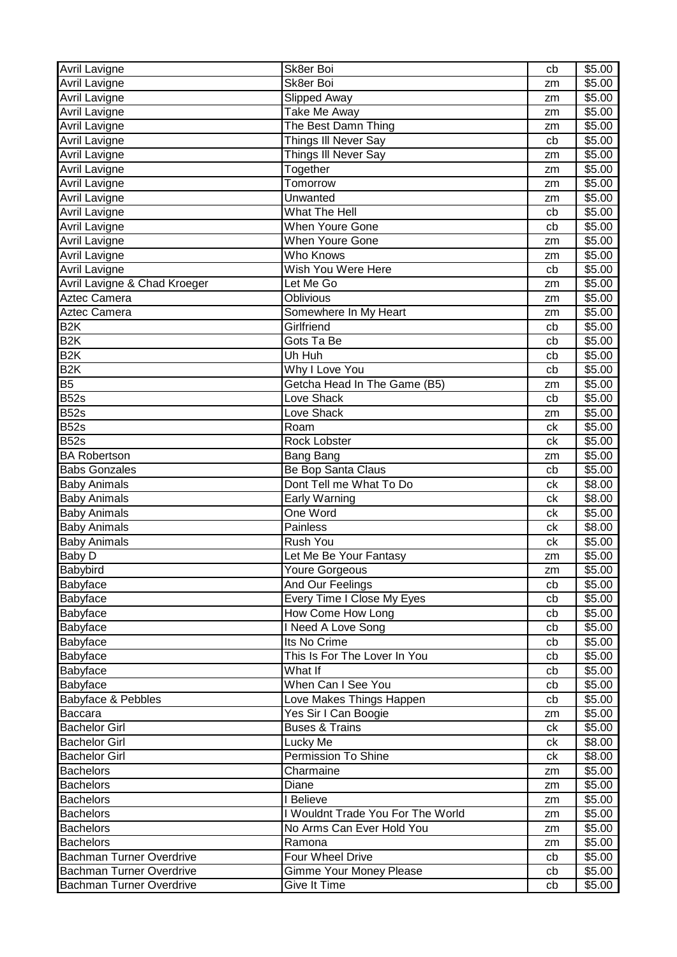| <b>Avril Lavigne</b>            | Sk8er Boi                         | cb | \$5.00 |
|---------------------------------|-----------------------------------|----|--------|
| Avril Lavigne                   | Sk8er Boi                         | zm | \$5.00 |
| <b>Avril Lavigne</b>            | Slipped Away                      | zm | \$5.00 |
| <b>Avril Lavigne</b>            | Take Me Away                      | zm | \$5.00 |
| <b>Avril Lavigne</b>            | The Best Damn Thing               | zm | \$5.00 |
| <b>Avril Lavigne</b>            | Things III Never Say              | cb | \$5.00 |
| <b>Avril Lavigne</b>            | Things III Never Say              | zm | \$5.00 |
| <b>Avril Lavigne</b>            | Together                          | zm | \$5.00 |
| <b>Avril Lavigne</b>            | <b>Tomorrow</b>                   | zm | \$5.00 |
| <b>Avril Lavigne</b>            | Unwanted                          | zm | \$5.00 |
| Avril Lavigne                   | <b>What The Hell</b>              | cb | \$5.00 |
| <b>Avril Lavigne</b>            | <b>When Youre Gone</b>            | cb | \$5.00 |
| Avril Lavigne                   | <b>When Youre Gone</b>            | zm | \$5.00 |
| <b>Avril Lavigne</b>            | Who Knows                         | zm | \$5.00 |
| <b>Avril Lavigne</b>            | Wish You Were Here                | cb | \$5.00 |
| Avril Lavigne & Chad Kroeger    | Let Me Go                         | zm | \$5.00 |
| Aztec Camera                    | <b>Oblivious</b>                  | zm | \$5.00 |
| Aztec Camera                    | Somewhere In My Heart             | zm | \$5.00 |
| B <sub>2</sub> K                | Girlfriend                        | cb | \$5.00 |
| B <sub>2</sub> K                | Gots Ta Be                        | cb | \$5.00 |
| B <sub>2</sub> K                | Uh Huh                            | cb | \$5.00 |
| B2K                             | Why I Love You                    | cb | \$5.00 |
| B <sub>5</sub>                  | Getcha Head In The Game (B5)      | zm | \$5.00 |
| <b>B52s</b>                     | Love Shack                        | cb | \$5.00 |
| <b>B52s</b>                     | Love Shack                        | zm | \$5.00 |
| <b>B52s</b>                     | Roam                              | ck | \$5.00 |
| <b>B52s</b>                     | Rock Lobster                      | ck | \$5.00 |
| <b>BA Robertson</b>             | Bang Bang                         | zm | \$5.00 |
| <b>Babs Gonzales</b>            | Be Bop Santa Claus                | cb | \$5.00 |
| <b>Baby Animals</b>             | Dont Tell me What To Do           | ck | \$8.00 |
| <b>Baby Animals</b>             | Early Warning                     | сk | \$8.00 |
| <b>Baby Animals</b>             | One Word                          | ck | \$5.00 |
| <b>Baby Animals</b>             | Painless                          | ck | \$8.00 |
| <b>Baby Animals</b>             | Rush You                          | ck | \$5.00 |
| Baby D                          | Let Me Be Your Fantasy            | zm | \$5.00 |
| Babybird                        | Youre Gorgeous                    | zm | \$5.00 |
| Babyface                        | And Our Feelings                  | cb | \$5.00 |
| Babyface                        | Every Time I Close My Eyes        | cb | \$5.00 |
| Babyface                        | How Come How Long                 | cb | \$5.00 |
| Babyface                        | I Need A Love Song                | cb | \$5.00 |
| Babyface                        | Its No Crime                      | cb | \$5.00 |
| Babyface                        | This Is For The Lover In You      | cb | \$5.00 |
| Babyface                        | What If                           | cb | \$5.00 |
| Babyface                        | When Can I See You                | cb | \$5.00 |
| Babyface & Pebbles              | Love Makes Things Happen          | cb | \$5.00 |
| Baccara                         | Yes Sir I Can Boogie              | zm | \$5.00 |
| <b>Bachelor Girl</b>            | <b>Buses &amp; Trains</b>         | ck | \$5.00 |
| <b>Bachelor Girl</b>            | Lucky Me                          | ck | \$8.00 |
| <b>Bachelor Girl</b>            | Permission To Shine               | сk | \$8.00 |
| <b>Bachelors</b>                | Charmaine                         | zm | \$5.00 |
| <b>Bachelors</b>                | Diane                             | zm | \$5.00 |
| <b>Bachelors</b>                | I Believe                         | zm | \$5.00 |
| <b>Bachelors</b>                | I Wouldnt Trade You For The World | zm | \$5.00 |
| <b>Bachelors</b>                | No Arms Can Ever Hold You         | zm | \$5.00 |
| <b>Bachelors</b>                | Ramona                            | zm | \$5.00 |
| Bachman Turner Overdrive        | Four Wheel Drive                  | cb | \$5.00 |
| <b>Bachman Turner Overdrive</b> | Gimme Your Money Please           | cb | \$5.00 |
| Bachman Turner Overdrive        | Give It Time                      | cb | \$5.00 |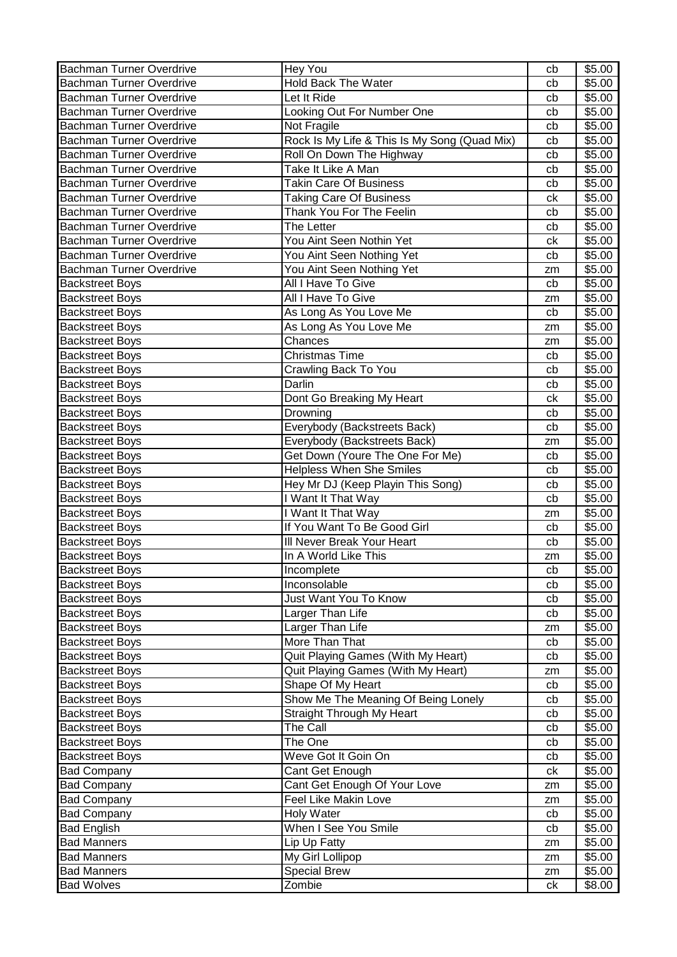| Bachman Turner Overdrive        | Hey You                                      | cb | \$5.00 |
|---------------------------------|----------------------------------------------|----|--------|
| <b>Bachman Turner Overdrive</b> | Hold Back The Water                          | cb | \$5.00 |
| <b>Bachman Turner Overdrive</b> | Let It Ride                                  | cb | \$5.00 |
| <b>Bachman Turner Overdrive</b> | Looking Out For Number One                   | cb | \$5.00 |
| <b>Bachman Turner Overdrive</b> | Not Fragile                                  | cb | \$5.00 |
| <b>Bachman Turner Overdrive</b> | Rock Is My Life & This Is My Song (Quad Mix) | cb | \$5.00 |
| <b>Bachman Turner Overdrive</b> | Roll On Down The Highway                     | cb | \$5.00 |
| <b>Bachman Turner Overdrive</b> | Take It Like A Man                           | cb | \$5.00 |
| <b>Bachman Turner Overdrive</b> | <b>Takin Care Of Business</b>                | cb | \$5.00 |
| <b>Bachman Turner Overdrive</b> | <b>Taking Care Of Business</b>               | ck | \$5.00 |
| <b>Bachman Turner Overdrive</b> | Thank You For The Feelin                     | cb | \$5.00 |
| <b>Bachman Turner Overdrive</b> | The Letter                                   | cb | \$5.00 |
| <b>Bachman Turner Overdrive</b> | You Aint Seen Nothin Yet                     | ck | \$5.00 |
| <b>Bachman Turner Overdrive</b> | You Aint Seen Nothing Yet                    | cb | \$5.00 |
| <b>Bachman Turner Overdrive</b> | You Aint Seen Nothing Yet                    | zm | \$5.00 |
| <b>Backstreet Boys</b>          | All I Have To Give                           | cb | \$5.00 |
| <b>Backstreet Boys</b>          | All I Have To Give                           | zm | \$5.00 |
| <b>Backstreet Boys</b>          | As Long As You Love Me                       | cb | \$5.00 |
| <b>Backstreet Boys</b>          | As Long As You Love Me                       | zm | \$5.00 |
| <b>Backstreet Boys</b>          | Chances                                      | zm | \$5.00 |
| <b>Backstreet Boys</b>          | <b>Christmas Time</b>                        | cb | \$5.00 |
| <b>Backstreet Boys</b>          | Crawling Back To You                         | cb | \$5.00 |
| <b>Backstreet Boys</b>          | Darlin                                       | cb | \$5.00 |
| <b>Backstreet Boys</b>          | Dont Go Breaking My Heart                    | ck | \$5.00 |
| <b>Backstreet Boys</b>          | Drowning                                     | cb | \$5.00 |
| <b>Backstreet Boys</b>          | Everybody (Backstreets Back)                 | cb | \$5.00 |
| <b>Backstreet Boys</b>          | Everybody (Backstreets Back)                 | zm | \$5.00 |
| <b>Backstreet Boys</b>          | Get Down (Youre The One For Me)              | cb | \$5.00 |
| <b>Backstreet Boys</b>          | <b>Helpless When She Smiles</b>              | cb | \$5.00 |
| <b>Backstreet Boys</b>          | Hey Mr DJ (Keep Playin This Song)            | cb | \$5.00 |
| <b>Backstreet Boys</b>          | I Want It That Way                           | cb | \$5.00 |
| <b>Backstreet Boys</b>          | I Want It That Way                           | zm | \$5.00 |
| <b>Backstreet Boys</b>          | If You Want To Be Good Girl                  | cb | \$5.00 |
| <b>Backstreet Boys</b>          | III Never Break Your Heart                   | cb | \$5.00 |
| <b>Backstreet Boys</b>          | In A World Like This                         | zm | \$5.00 |
| <b>Backstreet Boys</b>          | Incomplete                                   | cb | \$5.00 |
| <b>Backstreet Boys</b>          | Inconsolable                                 | cb | \$5.00 |
| <b>Backstreet Boys</b>          | Just Want You To Know                        | cb | \$5.00 |
| <b>Backstreet Boys</b>          | Larger Than Life                             | cb | \$5.00 |
| <b>Backstreet Boys</b>          | Larger Than Life                             | zm | \$5.00 |
| <b>Backstreet Boys</b>          | More Than That                               | cb | \$5.00 |
| <b>Backstreet Boys</b>          | Quit Playing Games (With My Heart)           | cb | \$5.00 |
| <b>Backstreet Boys</b>          | Quit Playing Games (With My Heart)           | zm | \$5.00 |
| <b>Backstreet Boys</b>          | Shape Of My Heart                            | cb | \$5.00 |
| <b>Backstreet Boys</b>          | Show Me The Meaning Of Being Lonely          | cb | \$5.00 |
| <b>Backstreet Boys</b>          | Straight Through My Heart                    | cb | \$5.00 |
| <b>Backstreet Boys</b>          | The Call                                     | cb | \$5.00 |
| <b>Backstreet Boys</b>          | The One                                      | cb | \$5.00 |
| <b>Backstreet Boys</b>          | Weve Got It Goin On                          | cb | \$5.00 |
| <b>Bad Company</b>              | Cant Get Enough                              | сk | \$5.00 |
| <b>Bad Company</b>              | Cant Get Enough Of Your Love                 | zm | \$5.00 |
| <b>Bad Company</b>              | <b>Feel Like Makin Love</b>                  | zm | \$5.00 |
| <b>Bad Company</b>              | <b>Holy Water</b>                            | cb | \$5.00 |
| <b>Bad English</b>              | When I See You Smile                         | cb | \$5.00 |
| <b>Bad Manners</b>              | Lip Up Fatty                                 | zm | \$5.00 |
| <b>Bad Manners</b>              | My Girl Lollipop                             | zm | \$5.00 |
| <b>Bad Manners</b>              | <b>Special Brew</b>                          | zm | \$5.00 |
| <b>Bad Wolves</b>               | Zombie                                       | ck | \$8.00 |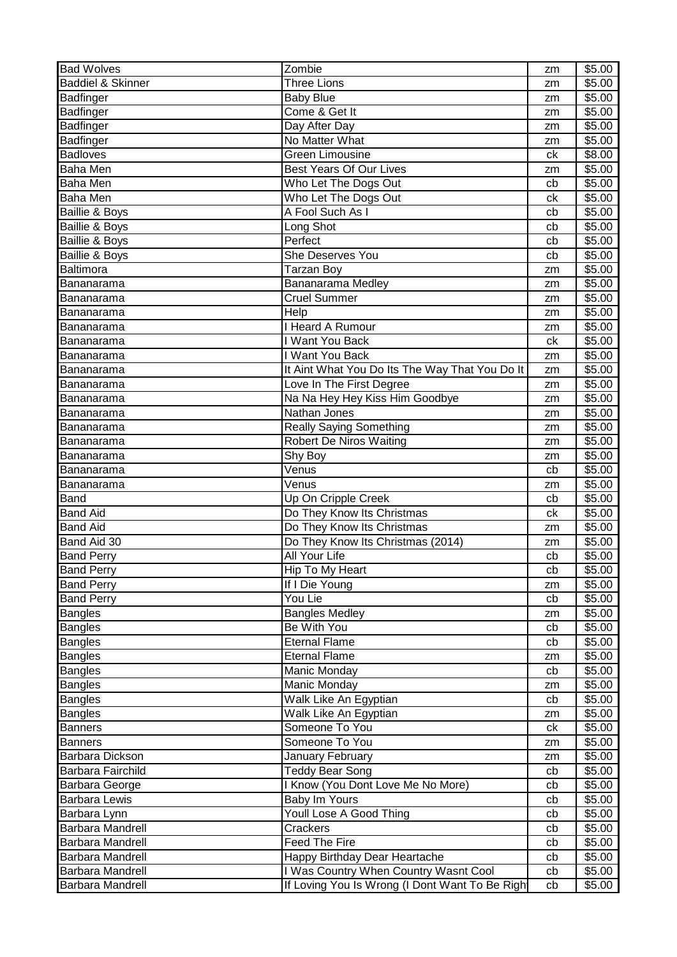| <b>Bad Wolves</b>            | Zombie                                          | zm | \$5.00 |
|------------------------------|-------------------------------------------------|----|--------|
| <b>Baddiel &amp; Skinner</b> | <b>Three Lions</b>                              | zm | \$5.00 |
| Badfinger                    | <b>Baby Blue</b>                                | zm | \$5.00 |
| <b>Badfinger</b>             | Come & Get It                                   | zm | \$5.00 |
| Badfinger                    | Day After Day                                   | zm | \$5.00 |
| Badfinger                    | No Matter What                                  | zm | \$5.00 |
| <b>Badloves</b>              | <b>Green Limousine</b>                          | ck | \$8.00 |
| Baha Men                     | <b>Best Years Of Our Lives</b>                  | zm | \$5.00 |
| <b>Baha Men</b>              | Who Let The Dogs Out                            | cb | \$5.00 |
| <b>Baha Men</b>              | Who Let The Dogs Out                            | ck | \$5.00 |
| Baillie & Boys               | A Fool Such As I                                | cb | \$5.00 |
| Baillie & Boys               | Long Shot                                       | cb | \$5.00 |
| Baillie & Boys               | Perfect                                         | cb | \$5.00 |
| Baillie & Boys               | <b>She Deserves You</b>                         | cb | \$5.00 |
| Baltimora                    | <b>Tarzan Boy</b>                               | zm | \$5.00 |
| Bananarama                   | Bananarama Medley                               | zm | \$5.00 |
| Bananarama                   | <b>Cruel Summer</b>                             | zm | \$5.00 |
| Bananarama                   | Help                                            | zm | \$5.00 |
| Bananarama                   | <b>Heard A Rumour</b>                           | zm | \$5.00 |
| Bananarama                   | I Want You Back                                 | ck | \$5.00 |
| Bananarama                   | I Want You Back                                 | zm | \$5.00 |
| Bananarama                   | It Aint What You Do Its The Way That You Do It  | zm | \$5.00 |
| Bananarama                   | Love In The First Degree                        | zm | \$5.00 |
| Bananarama                   | Na Na Hey Hey Kiss Him Goodbye                  | zm | \$5.00 |
| Bananarama                   | Nathan Jones                                    | zm | \$5.00 |
| Bananarama                   | <b>Really Saying Something</b>                  | zm | \$5.00 |
| Bananarama                   | <b>Robert De Niros Waiting</b>                  | zm | \$5.00 |
| Bananarama                   | Shy Boy                                         | zm | \$5.00 |
| Bananarama                   | Venus                                           | cb | \$5.00 |
| Bananarama                   | Venus                                           | zm | \$5.00 |
| <b>Band</b>                  | Up On Cripple Creek                             | cb | \$5.00 |
| <b>Band Aid</b>              | Do They Know Its Christmas                      | ck | \$5.00 |
| <b>Band Aid</b>              | Do They Know Its Christmas                      | zm | \$5.00 |
| Band Aid 30                  | Do They Know Its Christmas (2014)               | zm | \$5.00 |
| <b>Band Perry</b>            | <b>All Your Life</b>                            | cb | \$5.00 |
| <b>Band Perry</b>            | Hip To My Heart                                 | cb | \$5.00 |
| <b>Band Perry</b>            | If I Die Young                                  | zm | \$5.00 |
| <b>Band Perry</b>            | You Lie                                         | cb | \$5.00 |
| <b>Bangles</b>               | <b>Bangles Medley</b>                           | zm | \$5.00 |
| <b>Bangles</b>               | Be With You                                     | cb | \$5.00 |
| <b>Bangles</b>               | <b>Eternal Flame</b>                            | cb | \$5.00 |
| <b>Bangles</b>               | <b>Eternal Flame</b>                            | zm | \$5.00 |
| <b>Bangles</b>               | Manic Monday                                    | cb | \$5.00 |
| <b>Bangles</b>               | Manic Monday                                    | zm | \$5.00 |
| <b>Bangles</b>               | Walk Like An Egyptian                           | cb | \$5.00 |
| <b>Bangles</b>               | Walk Like An Egyptian                           | zm | \$5.00 |
| <b>Banners</b>               | Someone To You                                  | ck | \$5.00 |
| <b>Banners</b>               | Someone To You                                  | zm | \$5.00 |
| Barbara Dickson              | January February                                | zm | \$5.00 |
| Barbara Fairchild            | Teddy Bear Song                                 | cb | \$5.00 |
| Barbara George               | I Know (You Dont Love Me No More)               | cb | \$5.00 |
| <b>Barbara Lewis</b>         | Baby Im Yours                                   | cb | \$5.00 |
| Barbara Lynn                 | Youll Lose A Good Thing                         | cb | \$5.00 |
| Barbara Mandrell             | Crackers                                        | cb | \$5.00 |
| Barbara Mandrell             | <b>Feed The Fire</b>                            | cb | \$5.00 |
| Barbara Mandrell             | Happy Birthday Dear Heartache                   | cb | \$5.00 |
| <b>Barbara Mandrell</b>      | I Was Country When Country Wasnt Cool           | cb | \$5.00 |
| <b>Barbara Mandrell</b>      | If Loving You Is Wrong (I Dont Want To Be Right | cb | \$5.00 |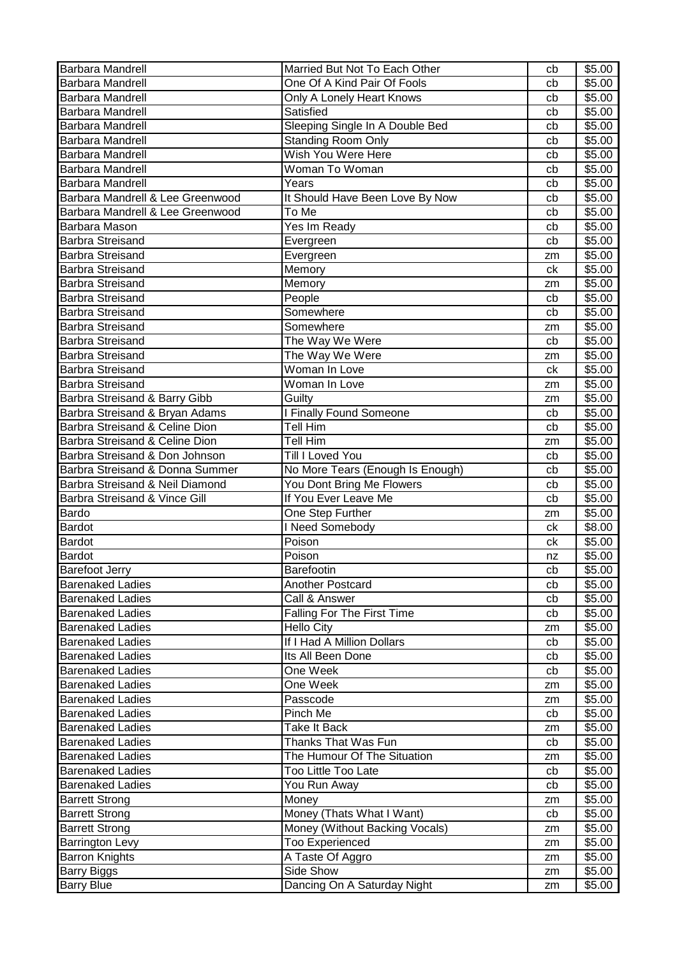| Barbara Mandrell                 | Married But Not To Each Other     | cb | \$5.00 |
|----------------------------------|-----------------------------------|----|--------|
| <b>Barbara Mandrell</b>          | One Of A Kind Pair Of Fools       | cb | \$5.00 |
| <b>Barbara Mandrell</b>          | Only A Lonely Heart Knows         | cb | \$5.00 |
| Barbara Mandrell                 | Satisfied                         | cb | \$5.00 |
| Barbara Mandrell                 | Sleeping Single In A Double Bed   | cb | \$5.00 |
| <b>Barbara Mandrell</b>          | <b>Standing Room Only</b>         | cb | \$5.00 |
| <b>Barbara Mandrell</b>          | Wish You Were Here                | cb | \$5.00 |
| <b>Barbara Mandrell</b>          | Woman To Woman                    | cb | \$5.00 |
| <b>Barbara Mandrell</b>          | Years                             | cb | \$5.00 |
| Barbara Mandrell & Lee Greenwood | It Should Have Been Love By Now   | cb | \$5.00 |
| Barbara Mandrell & Lee Greenwood | To Me                             | cb | \$5.00 |
| Barbara Mason                    | Yes Im Ready                      | cb | \$5.00 |
| <b>Barbra Streisand</b>          | Evergreen                         | cb | \$5.00 |
| <b>Barbra Streisand</b>          | Evergreen                         | zm | \$5.00 |
| <b>Barbra Streisand</b>          | Memory                            | ck | \$5.00 |
| <b>Barbra Streisand</b>          | Memory                            | zm | \$5.00 |
| Barbra Streisand                 | People                            | cb | \$5.00 |
| Barbra Streisand                 | Somewhere                         | cb | \$5.00 |
| <b>Barbra Streisand</b>          | Somewhere                         | zm | \$5.00 |
| <b>Barbra Streisand</b>          | The Way We Were                   | cb | \$5.00 |
| <b>Barbra Streisand</b>          | The Way We Were                   | zm | \$5.00 |
| <b>Barbra Streisand</b>          | Woman In Love                     | ck | \$5.00 |
| <b>Barbra Streisand</b>          | Woman In Love                     | zm | \$5.00 |
| Barbra Streisand & Barry Gibb    | Guilty                            | zm | \$5.00 |
| Barbra Streisand & Bryan Adams   | <b>I Finally Found Someone</b>    | cb | \$5.00 |
| Barbra Streisand & Celine Dion   | <b>Tell Him</b>                   | cb | \$5.00 |
| Barbra Streisand & Celine Dion   | Tell Him                          | zm | \$5.00 |
| Barbra Streisand & Don Johnson   | Till I Loved You                  | cb | \$5.00 |
| Barbra Streisand & Donna Summer  | No More Tears (Enough Is Enough)  | cb | \$5.00 |
| Barbra Streisand & Neil Diamond  | You Dont Bring Me Flowers         | cb | \$5.00 |
| Barbra Streisand & Vince Gill    | If You Ever Leave Me              | cb | \$5.00 |
| Bardo                            | One Step Further                  | zm | \$5.00 |
| Bardot                           | I Need Somebody                   | ck | \$8.00 |
| <b>Bardot</b>                    | Poison                            | ck | \$5.00 |
| <b>Bardot</b>                    | Poison                            | nz | \$5.00 |
| <b>Barefoot Jerry</b>            | Barefootin                        | cb | \$5.00 |
| <b>Barenaked Ladies</b>          | Another Postcard                  | cb | \$5.00 |
| <b>Barenaked Ladies</b>          | Call & Answer                     | cb | \$5.00 |
| <b>Barenaked Ladies</b>          | <b>Falling For The First Time</b> | cb | \$5.00 |
| <b>Barenaked Ladies</b>          | <b>Hello City</b>                 | zm | \$5.00 |
| <b>Barenaked Ladies</b>          | If I Had A Million Dollars        | cb | \$5.00 |
| <b>Barenaked Ladies</b>          | Its All Been Done                 | cb | \$5.00 |
| <b>Barenaked Ladies</b>          | One Week                          | cb | \$5.00 |
| <b>Barenaked Ladies</b>          | One Week                          | zm | \$5.00 |
| <b>Barenaked Ladies</b>          | Passcode                          | zm | \$5.00 |
| <b>Barenaked Ladies</b>          | Pinch Me                          | cb | \$5.00 |
| <b>Barenaked Ladies</b>          | Take It Back                      | zm | \$5.00 |
| <b>Barenaked Ladies</b>          | Thanks That Was Fun               | cb | \$5.00 |
| <b>Barenaked Ladies</b>          | The Humour Of The Situation       | zm | \$5.00 |
| <b>Barenaked Ladies</b>          | Too Little Too Late               | cb | \$5.00 |
| <b>Barenaked Ladies</b>          | You Run Away                      | cb | \$5.00 |
| <b>Barrett Strong</b>            | Money                             | zm | \$5.00 |
| <b>Barrett Strong</b>            | Money (Thats What I Want)         | cb | \$5.00 |
| <b>Barrett Strong</b>            | Money (Without Backing Vocals)    | zm | \$5.00 |
| <b>Barrington Levy</b>           | <b>Too Experienced</b>            | zm | \$5.00 |
| <b>Barron Knights</b>            | A Taste Of Aggro                  | zm | \$5.00 |
| <b>Barry Biggs</b>               | Side Show                         | zm | \$5.00 |
| <b>Barry Blue</b>                | Dancing On A Saturday Night       | zm | \$5.00 |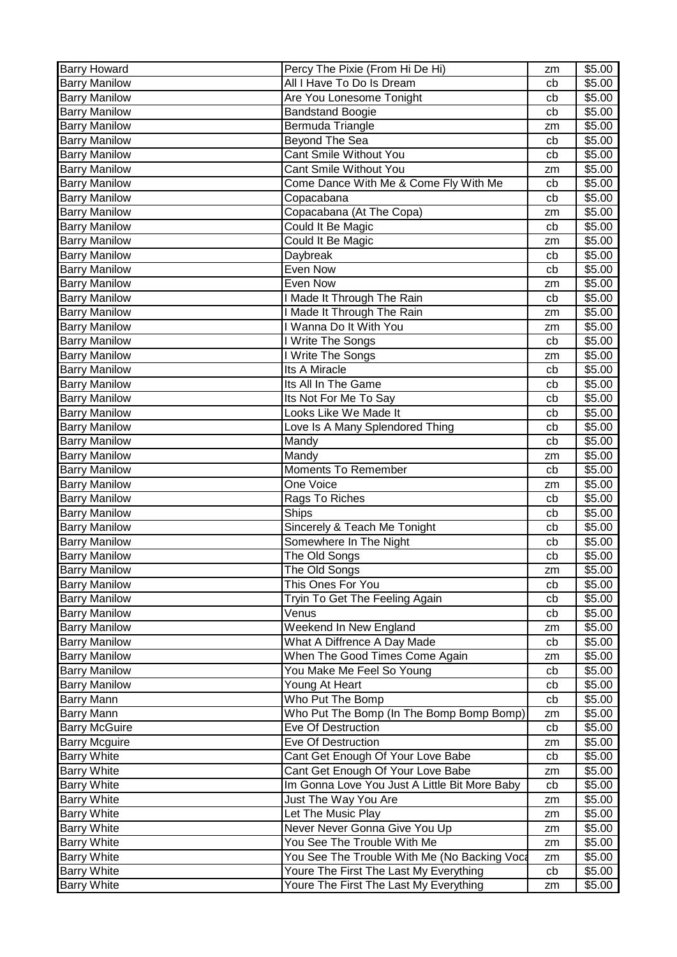| <b>Barry Howard</b>  | Percy The Pixie (From Hi De Hi)               | zm       | \$5.00 |
|----------------------|-----------------------------------------------|----------|--------|
| <b>Barry Manilow</b> | All I Have To Do Is Dream                     | cb       | \$5.00 |
| <b>Barry Manilow</b> | Are You Lonesome Tonight                      | cb       | \$5.00 |
| <b>Barry Manilow</b> | <b>Bandstand Boogie</b>                       | cb       | \$5.00 |
| <b>Barry Manilow</b> | Bermuda Triangle                              | zm       | \$5.00 |
| <b>Barry Manilow</b> | Beyond The Sea                                | cb       | \$5.00 |
| <b>Barry Manilow</b> | Cant Smile Without You                        | cb       | \$5.00 |
| <b>Barry Manilow</b> | Cant Smile Without You                        | zm       | \$5.00 |
| <b>Barry Manilow</b> | Come Dance With Me & Come Fly With Me         | cb       | \$5.00 |
| <b>Barry Manilow</b> | Copacabana                                    | cb       | \$5.00 |
| <b>Barry Manilow</b> | Copacabana (At The Copa)                      | zm       | \$5.00 |
| <b>Barry Manilow</b> | Could It Be Magic                             | cb       | \$5.00 |
|                      |                                               |          |        |
| <b>Barry Manilow</b> | Could It Be Magic                             | zm       | \$5.00 |
| <b>Barry Manilow</b> | Daybreak                                      | cb       | \$5.00 |
| <b>Barry Manilow</b> | Even Now                                      | cb       | \$5.00 |
| <b>Barry Manilow</b> | Even Now                                      | zm       | \$5.00 |
| <b>Barry Manilow</b> | I Made It Through The Rain                    | cb       | \$5.00 |
| <b>Barry Manilow</b> | I Made It Through The Rain                    | zm       | \$5.00 |
| <b>Barry Manilow</b> | I Wanna Do It With You                        | zm       | \$5.00 |
| <b>Barry Manilow</b> | I Write The Songs                             | cb       | \$5.00 |
| <b>Barry Manilow</b> | I Write The Songs                             | zm       | \$5.00 |
| <b>Barry Manilow</b> | Its A Miracle                                 | cb       | \$5.00 |
| <b>Barry Manilow</b> | Its All In The Game                           | cb       | \$5.00 |
| <b>Barry Manilow</b> | Its Not For Me To Say                         | cb       | \$5.00 |
| <b>Barry Manilow</b> | Looks Like We Made It                         | cb       | \$5.00 |
| <b>Barry Manilow</b> | Love Is A Many Splendored Thing               | cb       | \$5.00 |
| <b>Barry Manilow</b> | Mandy                                         | cb       | \$5.00 |
| <b>Barry Manilow</b> | Mandy                                         | zm       | \$5.00 |
| <b>Barry Manilow</b> | <b>Moments To Remember</b>                    | cb       | \$5.00 |
| <b>Barry Manilow</b> | One Voice                                     | zm       | \$5.00 |
| <b>Barry Manilow</b> | Rags To Riches                                | cb       | \$5.00 |
| <b>Barry Manilow</b> | <b>Ships</b>                                  | cb       | \$5.00 |
| <b>Barry Manilow</b> | Sincerely & Teach Me Tonight                  | cb       | \$5.00 |
| <b>Barry Manilow</b> | Somewhere In The Night                        | cb       | \$5.00 |
| <b>Barry Manilow</b> | The Old Songs                                 | cb       | \$5.00 |
| <b>Barry Manilow</b> | The Old Songs                                 | zm       | \$5.00 |
| <b>Barry Manilow</b> | This Ones For You                             | cb       | \$5.00 |
| <b>Barry Manilow</b> | Tryin To Get The Feeling Again                | cb       | \$5.00 |
| <b>Barry Manilow</b> | Venus                                         | cb       | \$5.00 |
| <b>Barry Manilow</b> | Weekend In New England                        | zm       | \$5.00 |
| <b>Barry Manilow</b> | What A Diffrence A Day Made                   | cb       | \$5.00 |
| <b>Barry Manilow</b> | When The Good Times Come Again                | zm       | \$5.00 |
| <b>Barry Manilow</b> | You Make Me Feel So Young                     | cb       | \$5.00 |
| <b>Barry Manilow</b> | Young At Heart                                | cb       | \$5.00 |
| <b>Barry Mann</b>    | Who Put The Bomp                              | cb       | \$5.00 |
| <b>Barry Mann</b>    | Who Put The Bomp (In The Bomp Bomp Bomp)      |          | \$5.00 |
| <b>Barry McGuire</b> | Eve Of Destruction                            | zm<br>cb | \$5.00 |
|                      |                                               |          |        |
| <b>Barry Mcguire</b> | Eve Of Destruction                            | zm       | \$5.00 |
| <b>Barry White</b>   | Cant Get Enough Of Your Love Babe             | cb       | \$5.00 |
| <b>Barry White</b>   | Cant Get Enough Of Your Love Babe             | zm       | \$5.00 |
| <b>Barry White</b>   | Im Gonna Love You Just A Little Bit More Baby | cb       | \$5.00 |
| <b>Barry White</b>   | Just The Way You Are                          | zm       | \$5.00 |
| <b>Barry White</b>   | Let The Music Play                            | zm       | \$5.00 |
| <b>Barry White</b>   | Never Never Gonna Give You Up                 | zm       | \$5.00 |
| <b>Barry White</b>   | You See The Trouble With Me                   | zm       | \$5.00 |
| <b>Barry White</b>   | You See The Trouble With Me (No Backing Voca  | zm       | \$5.00 |
| <b>Barry White</b>   | Youre The First The Last My Everything        | cb       | \$5.00 |
| <b>Barry White</b>   | Youre The First The Last My Everything        | zm       | \$5.00 |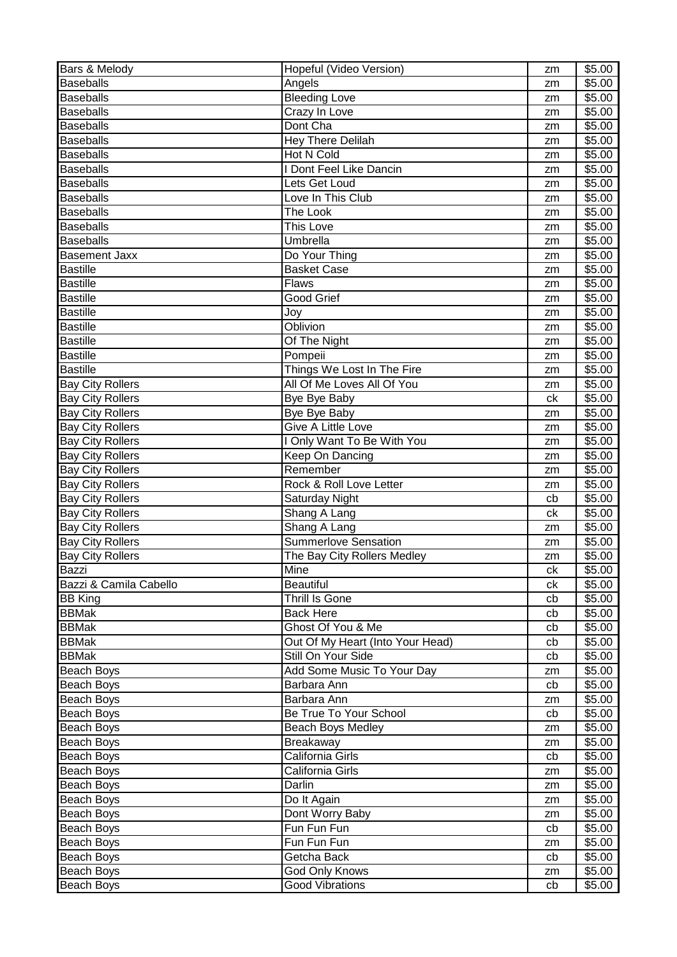| Bars & Melody           | Hopeful (Video Version)          | zm | \$5.00             |
|-------------------------|----------------------------------|----|--------------------|
| <b>Baseballs</b>        | Angels                           | zm | \$5.00             |
| <b>Baseballs</b>        | <b>Bleeding Love</b>             | zm | $\overline{$}5.00$ |
| <b>Baseballs</b>        | <b>Crazy In Love</b>             | zm | \$5.00             |
| <b>Baseballs</b>        | Dont Cha                         | zm | \$5.00             |
| <b>Baseballs</b>        | <b>Hey There Delilah</b>         | zm | \$5.00             |
| <b>Baseballs</b>        | <b>Hot N Cold</b>                | zm | \$5.00             |
| <b>Baseballs</b>        | I Dont Feel Like Dancin          | zm | \$5.00             |
| <b>Baseballs</b>        | Lets Get Loud                    | zm | \$5.00             |
| <b>Baseballs</b>        | Love In This Club                | zm | \$5.00             |
| <b>Baseballs</b>        | The Look                         | zm | \$5.00             |
| <b>Baseballs</b>        | This Love                        | zm | \$5.00             |
| <b>Baseballs</b>        | Umbrella                         | zm | \$5.00             |
| <b>Basement Jaxx</b>    | Do Your Thing                    | zm | \$5.00             |
| <b>Bastille</b>         | <b>Basket Case</b>               | zm | \$5.00             |
| <b>Bastille</b>         | <b>Flaws</b>                     | zm | \$5.00             |
| <b>Bastille</b>         | <b>Good Grief</b>                | zm | \$5.00             |
| <b>Bastille</b>         | Joy                              | zm | \$5.00             |
| <b>Bastille</b>         | Oblivion                         | zm | \$5.00             |
| <b>Bastille</b>         | Of The Night                     | zm | \$5.00             |
| <b>Bastille</b>         | Pompeii                          | zm | \$5.00             |
| <b>Bastille</b>         | Things We Lost In The Fire       | zm | \$5.00             |
| <b>Bay City Rollers</b> | All Of Me Loves All Of You       | zm | \$5.00             |
| <b>Bay City Rollers</b> | Bye Bye Baby                     | ck | \$5.00             |
| <b>Bay City Rollers</b> | Bye Bye Baby                     | zm | \$5.00             |
| <b>Bay City Rollers</b> | Give A Little Love               | zm | \$5.00             |
| <b>Bay City Rollers</b> | I Only Want To Be With You       | zm | \$5.00             |
| <b>Bay City Rollers</b> | Keep On Dancing                  | zm | \$5.00             |
| <b>Bay City Rollers</b> | Remember                         | zm | \$5.00             |
| <b>Bay City Rollers</b> | Rock & Roll Love Letter          | zm | \$5.00             |
| <b>Bay City Rollers</b> | Saturday Night                   | cb | \$5.00             |
| <b>Bay City Rollers</b> | Shang A Lang                     | ck | \$5.00             |
| <b>Bay City Rollers</b> | Shang A Lang                     | zm | \$5.00             |
| <b>Bay City Rollers</b> | <b>Summerlove Sensation</b>      | zm | \$5.00             |
| <b>Bay City Rollers</b> | The Bay City Rollers Medley      | zm | \$5.00             |
| Bazzi                   | Mine                             | ck | \$5.00             |
| Bazzi & Camila Cabello  | Beautiful                        | сk | \$5.00             |
| <b>BB King</b>          | Thrill Is Gone                   | cb | \$5.00             |
| <b>BBMak</b>            | <b>Back Here</b>                 | cb | \$5.00             |
| <b>BBMak</b>            | Ghost Of You & Me                | cb | \$5.00             |
| <b>BBMak</b>            | Out Of My Heart (Into Your Head) | cb | \$5.00             |
| <b>BBMak</b>            | Still On Your Side               | cb | \$5.00             |
| Beach Boys              | Add Some Music To Your Day       | zm | \$5.00             |
| Beach Boys              | Barbara Ann                      | cb | \$5.00             |
| Beach Boys              | Barbara Ann                      | zm | \$5.00             |
| <b>Beach Boys</b>       | Be True To Your School           | cb | \$5.00             |
| Beach Boys              | <b>Beach Boys Medley</b>         | zm | \$5.00             |
| Beach Boys              | Breakaway                        | zm | \$5.00             |
| Beach Boys              | California Girls                 | cb | \$5.00             |
| Beach Boys              | California Girls                 | zm | \$5.00             |
| Beach Boys              | Darlin                           | zm | \$5.00             |
| Beach Boys              | Do It Again                      | zm | \$5.00             |
| Beach Boys              | Dont Worry Baby                  | zm | \$5.00             |
| Beach Boys              | Fun Fun Fun                      | cb | \$5.00             |
| Beach Boys              | Fun Fun Fun                      | zm | \$5.00             |
| Beach Boys              | Getcha Back                      | cb | \$5.00             |
| Beach Boys              | God Only Knows                   | zm | \$5.00             |
| Beach Boys              | <b>Good Vibrations</b>           | cb | \$5.00             |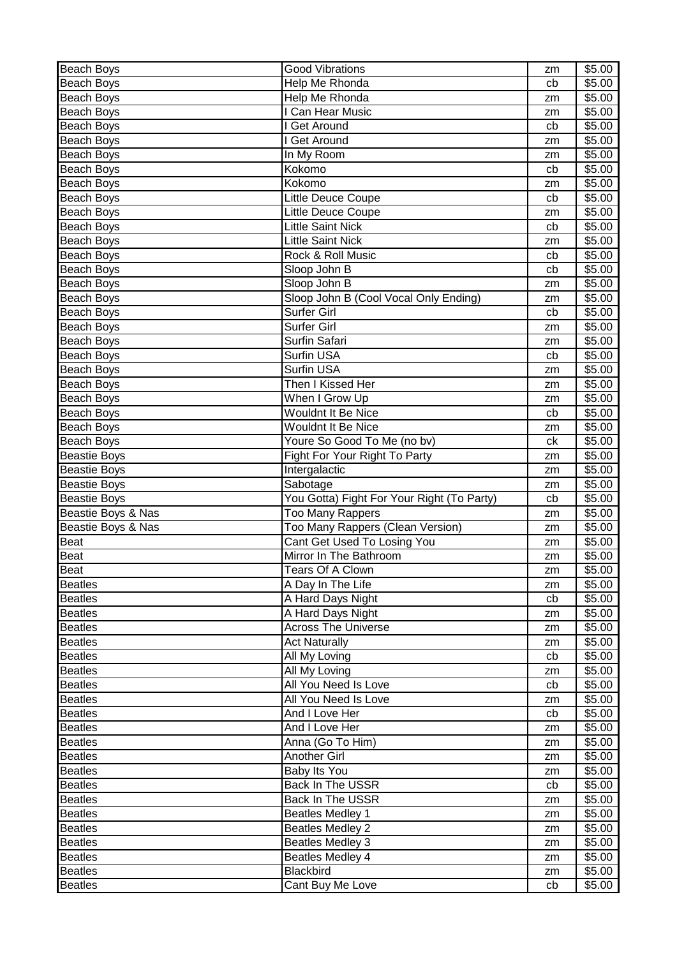| Beach Boys                       | <b>Good Vibrations</b>                     | zm       | \$5.00           |
|----------------------------------|--------------------------------------------|----------|------------------|
| Beach Boys                       | Help Me Rhonda                             | cb       | \$5.00           |
| Beach Boys                       | Help Me Rhonda                             | zm       | \$5.00           |
| Beach Boys                       | I Can Hear Music                           | zm       | \$5.00           |
| Beach Boys                       | I Get Around                               | cb       | \$5.00           |
| Beach Boys                       | I Get Around                               | zm       | \$5.00           |
| Beach Boys                       | In My Room                                 | zm       | \$5.00           |
| Beach Boys                       | Kokomo                                     | cb       | \$5.00           |
| Beach Boys                       | Kokomo                                     | zm       | \$5.00           |
| Beach Boys                       | Little Deuce Coupe                         | cb       | \$5.00           |
| Beach Boys                       | Little Deuce Coupe                         | zm       | \$5.00           |
| Beach Boys                       | <b>Little Saint Nick</b>                   | cb       | \$5.00           |
| Beach Boys                       | <b>Little Saint Nick</b>                   | zm       | \$5.00           |
| Beach Boys                       | Rock & Roll Music                          | cb       | \$5.00           |
| Beach Boys                       | Sloop John B                               | cb       | \$5.00           |
| Beach Boys                       | Sloop John B                               | zm       | \$5.00           |
| Beach Boys                       | Sloop John B (Cool Vocal Only Ending)      | zm       | \$5.00           |
| <b>Beach Boys</b>                | Surfer Girl                                | cb       | \$5.00           |
| Beach Boys                       | Surfer Girl                                | zm       | \$5.00           |
| <b>Beach Boys</b>                | Surfin Safari                              | zm       | \$5.00           |
| Beach Boys                       | Surfin USA                                 | cb       | \$5.00           |
| Beach Boys                       | Surfin USA                                 | zm       | \$5.00           |
| Beach Boys                       | Then I Kissed Her                          | zm       | \$5.00           |
| Beach Boys                       | When I Grow Up                             | zm       | \$5.00           |
| Beach Boys                       | Wouldnt It Be Nice                         | cb       | \$5.00           |
| Beach Boys                       | Wouldnt It Be Nice                         | zm       | \$5.00           |
| Beach Boys                       | Youre So Good To Me (no bv)                | ck       | \$5.00           |
| <b>Beastie Boys</b>              | Fight For Your Right To Party              | zm       | \$5.00           |
| <b>Beastie Boys</b>              | Intergalactic                              | zm       | \$5.00           |
| <b>Beastie Boys</b>              | Sabotage                                   | zm       | \$5.00           |
| <b>Beastie Boys</b>              | You Gotta) Fight For Your Right (To Party) | cb       | \$5.00           |
| Beastie Boys & Nas               | <b>Too Many Rappers</b>                    | zm       | \$5.00           |
| Beastie Boys & Nas               | Too Many Rappers (Clean Version)           | zm       | \$5.00           |
| <b>Beat</b>                      | Cant Get Used To Losing You                | zm       | \$5.00           |
| <b>Beat</b>                      | Mirror In The Bathroom                     | zm       | \$5.00           |
| Beat                             | Tears Of A Clown                           | zm       | \$5.00           |
| <b>Beatles</b>                   | A Day In The Life                          | zm       | \$5.00           |
| <b>Beatles</b>                   |                                            |          | \$5.00           |
|                                  |                                            |          |                  |
|                                  | A Hard Days Night                          | cb<br>zm |                  |
| <b>Beatles</b><br><b>Beatles</b> | A Hard Days Night                          | zm       | \$5.00           |
|                                  | <b>Across The Universe</b>                 | zm       | \$5.00           |
| <b>Beatles</b>                   | <b>Act Naturally</b>                       | cb       | \$5.00<br>\$5.00 |
| <b>Beatles</b><br><b>Beatles</b> | All My Loving<br>All My Loving             | zm       | \$5.00           |
|                                  |                                            |          |                  |
| <b>Beatles</b>                   | All You Need Is Love                       | cb<br>zm | \$5.00           |
| <b>Beatles</b>                   | All You Need Is Love<br>And I Love Her     | cb       | \$5.00           |
| <b>Beatles</b>                   | And I Love Her                             | zm       | \$5.00           |
| Beatles                          |                                            | zm       | \$5.00           |
| <b>Beatles</b><br><b>Beatles</b> | Anna (Go To Him)<br><b>Another Girl</b>    | zm       | \$5.00<br>\$5.00 |
| <b>Beatles</b>                   | Baby Its You                               | zm       | \$5.00           |
| <b>Beatles</b>                   | Back In The USSR                           | cb       | \$5.00           |
| <b>Beatles</b>                   | Back In The USSR                           | zm       | \$5.00           |
| <b>Beatles</b>                   | <b>Beatles Medley 1</b>                    | zm       | \$5.00           |
| <b>Beatles</b>                   | <b>Beatles Medley 2</b>                    | zm       | \$5.00           |
| <b>Beatles</b>                   | <b>Beatles Medley 3</b>                    | zm       | \$5.00           |
| <b>Beatles</b>                   | Beatles Medley 4                           | zm       | \$5.00           |
| <b>Beatles</b>                   | Blackbird                                  | zm       | \$5.00           |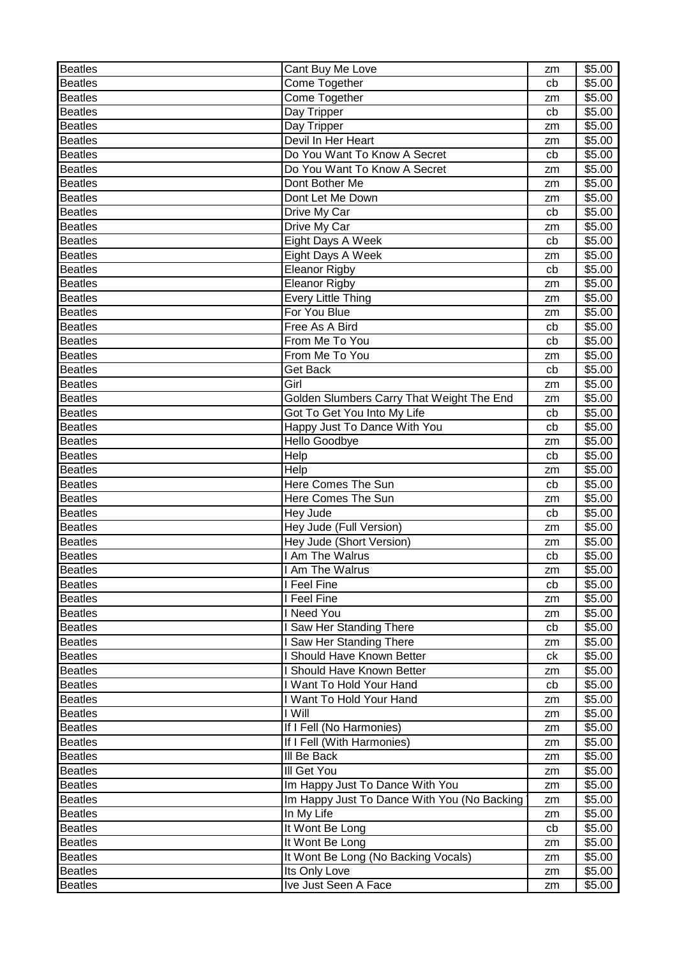| <b>Beatles</b> | Cant Buy Me Love                            | zm | \$5.00 |
|----------------|---------------------------------------------|----|--------|
| <b>Beatles</b> | Come Together                               | cb | \$5.00 |
| <b>Beatles</b> | Come Together                               | zm | \$5.00 |
| <b>Beatles</b> | Day Tripper                                 | cb | \$5.00 |
| <b>Beatles</b> | Day Tripper                                 | zm | \$5.00 |
| <b>Beatles</b> | Devil In Her Heart                          | zm | \$5.00 |
| <b>Beatles</b> | Do You Want To Know A Secret                | cb | \$5.00 |
| <b>Beatles</b> | Do You Want To Know A Secret                | zm | \$5.00 |
| <b>Beatles</b> | Dont Bother Me                              | zm | \$5.00 |
| <b>Beatles</b> | Dont Let Me Down                            | zm | \$5.00 |
| <b>Beatles</b> | Drive My Car                                | cb | \$5.00 |
| <b>Beatles</b> | Drive My Car                                | zm | \$5.00 |
| <b>Beatles</b> | Eight Days A Week                           | cb | \$5.00 |
| <b>Beatles</b> | Eight Days A Week                           | zm | \$5.00 |
| <b>Beatles</b> | Eleanor Rigby                               | cb | \$5.00 |
| <b>Beatles</b> | <b>Eleanor Rigby</b>                        | zm | \$5.00 |
| <b>Beatles</b> | <b>Every Little Thing</b>                   | zm | \$5.00 |
| <b>Beatles</b> | For You Blue                                | zm | \$5.00 |
| <b>Beatles</b> | Free As A Bird                              | cb | \$5.00 |
| <b>Beatles</b> | From Me To You                              | cb | \$5.00 |
| <b>Beatles</b> | From Me To You                              | zm | \$5.00 |
| <b>Beatles</b> | Get Back                                    | cb | \$5.00 |
| <b>Beatles</b> | Girl                                        | zm | \$5.00 |
| <b>Beatles</b> | Golden Slumbers Carry That Weight The End   |    | \$5.00 |
| <b>Beatles</b> | Got To Get You Into My Life                 | zm | \$5.00 |
| <b>Beatles</b> |                                             | cb |        |
|                | Happy Just To Dance With You                | cb | \$5.00 |
| <b>Beatles</b> | <b>Hello Goodbye</b>                        | zm | \$5.00 |
| <b>Beatles</b> | Help                                        | cb | \$5.00 |
| <b>Beatles</b> | Help                                        | zm | \$5.00 |
| <b>Beatles</b> | Here Comes The Sun                          | cb | \$5.00 |
| <b>Beatles</b> | <b>Here Comes The Sun</b>                   | zm | \$5.00 |
| <b>Beatles</b> | Hey Jude                                    | cb | \$5.00 |
| <b>Beatles</b> | Hey Jude (Full Version)                     | zm | \$5.00 |
| <b>Beatles</b> | Hey Jude (Short Version)                    | zm | \$5.00 |
| <b>Beatles</b> | I Am The Walrus                             | cb | \$5.00 |
| <b>Beatles</b> | I Am The Walrus                             | zm | \$5.00 |
| <b>Beatles</b> | I Feel Fine                                 | cb | \$5.00 |
| <b>Beatles</b> | I Feel Fine                                 | zm | \$5.00 |
| <b>Beatles</b> | I Need You                                  | zm | \$5.00 |
| <b>Beatles</b> | I Saw Her Standing There                    | cb | \$5.00 |
| <b>Beatles</b> | I Saw Her Standing There                    | zm | \$5.00 |
| <b>Beatles</b> | I Should Have Known Better                  | ck | \$5.00 |
| <b>Beatles</b> | I Should Have Known Better                  | zm | \$5.00 |
| <b>Beatles</b> | I Want To Hold Your Hand                    | cb | \$5.00 |
| <b>Beatles</b> | I Want To Hold Your Hand                    | zm | \$5.00 |
| <b>Beatles</b> | I Will                                      | zm | \$5.00 |
| <b>Beatles</b> | If I Fell (No Harmonies)                    | zm | \$5.00 |
| <b>Beatles</b> | If I Fell (With Harmonies)                  | zm | \$5.00 |
| <b>Beatles</b> | III Be Back                                 | zm | \$5.00 |
| <b>Beatles</b> | III Get You                                 | zm | \$5.00 |
| <b>Beatles</b> | Im Happy Just To Dance With You             | zm | \$5.00 |
| <b>Beatles</b> | Im Happy Just To Dance With You (No Backing | zm | \$5.00 |
| <b>Beatles</b> | In My Life                                  | zm | \$5.00 |
| <b>Beatles</b> | It Wont Be Long                             | cb | \$5.00 |
| <b>Beatles</b> | It Wont Be Long                             | zm | \$5.00 |
| <b>Beatles</b> | It Wont Be Long (No Backing Vocals)         | zm | \$5.00 |
| <b>Beatles</b> | Its Only Love                               | zm | \$5.00 |
| <b>Beatles</b> | Ive Just Seen A Face                        | zm | \$5.00 |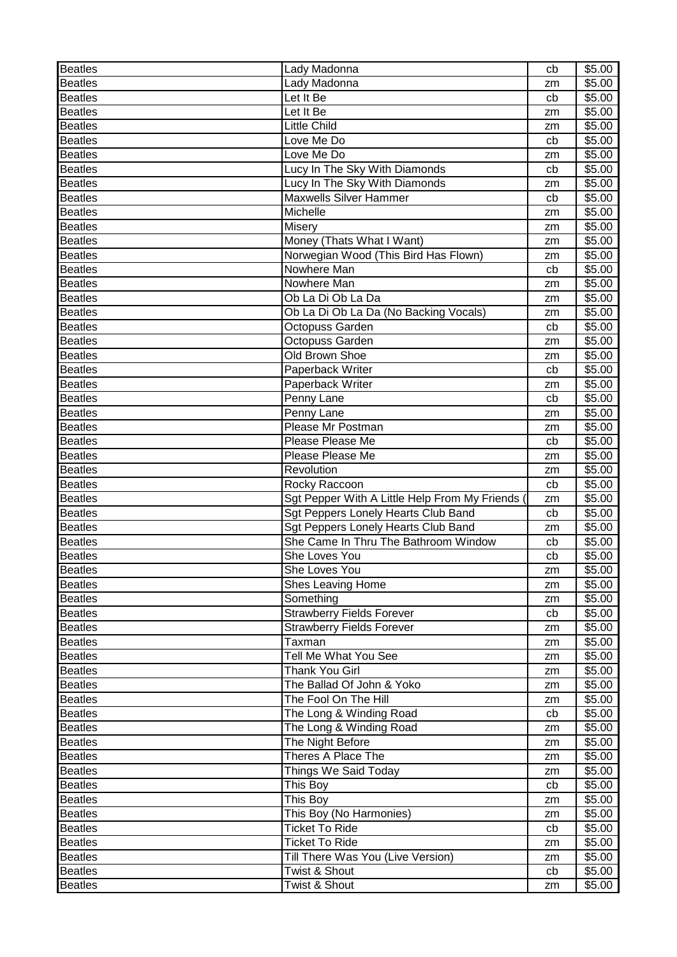| <b>Beatles</b> | Lady Madonna                                  | cb       | \$5.00 |
|----------------|-----------------------------------------------|----------|--------|
| <b>Beatles</b> | Lady Madonna                                  | zm       | \$5.00 |
| <b>Beatles</b> | Let It Be                                     | cb       | \$5.00 |
| <b>Beatles</b> | Let It Be                                     | zm       | \$5.00 |
| <b>Beatles</b> | <b>Little Child</b>                           | zm       | \$5.00 |
| <b>Beatles</b> | Love Me Do                                    | cb       | \$5.00 |
| <b>Beatles</b> | Love Me Do                                    | zm       | \$5.00 |
| <b>Beatles</b> | Lucy In The Sky With Diamonds                 | cb       | \$5.00 |
| <b>Beatles</b> | Lucy In The Sky With Diamonds                 | zm       | \$5.00 |
| <b>Beatles</b> | <b>Maxwells Silver Hammer</b>                 | cb       | \$5.00 |
| <b>Beatles</b> | Michelle                                      | zm       | \$5.00 |
| <b>Beatles</b> | Misery                                        | zm       | \$5.00 |
| <b>Beatles</b> | Money (Thats What I Want)                     | zm       | \$5.00 |
| <b>Beatles</b> | Norwegian Wood (This Bird Has Flown)          | zm       | \$5.00 |
| <b>Beatles</b> | Nowhere Man                                   | cb       | \$5.00 |
| <b>Beatles</b> | Nowhere Man                                   | zm       | \$5.00 |
| <b>Beatles</b> | Ob La Di Ob La Da                             | zm       | \$5.00 |
| <b>Beatles</b> | Ob La Di Ob La Da (No Backing Vocals)         |          | \$5.00 |
| <b>Beatles</b> | Octopuss Garden                               | zm<br>cb | \$5.00 |
|                |                                               |          |        |
| <b>Beatles</b> | Octopuss Garden                               | zm       | \$5.00 |
| <b>Beatles</b> | Old Brown Shoe                                | zm       | \$5.00 |
| <b>Beatles</b> | Paperback Writer                              | cb       | \$5.00 |
| <b>Beatles</b> | Paperback Writer                              | zm       | \$5.00 |
| <b>Beatles</b> | Penny Lane                                    | cb       | \$5.00 |
| <b>Beatles</b> | Penny Lane                                    | zm       | \$5.00 |
| <b>Beatles</b> | Please Mr Postman                             | zm       | \$5.00 |
| <b>Beatles</b> | Please Please Me                              | cb       | \$5.00 |
| <b>Beatles</b> | Please Please Me                              | zm       | \$5.00 |
| <b>Beatles</b> | Revolution                                    | zm       | \$5.00 |
| <b>Beatles</b> | Rocky Raccoon                                 | cb       | \$5.00 |
| <b>Beatles</b> | Sgt Pepper With A Little Help From My Friends | zm       | \$5.00 |
| <b>Beatles</b> | Sgt Peppers Lonely Hearts Club Band           | cb       | \$5.00 |
| <b>Beatles</b> | Sgt Peppers Lonely Hearts Club Band           | zm       | \$5.00 |
| <b>Beatles</b> | She Came In Thru The Bathroom Window          | cb       | \$5.00 |
| <b>Beatles</b> | She Loves You                                 | cb       | \$5.00 |
| <b>Beatles</b> | She Loves You                                 | zm       | \$5.00 |
| <b>Beatles</b> | Shes Leaving Home                             | zm       | \$5.00 |
| <b>Beatles</b> | Something                                     | zm       | \$5.00 |
| <b>Beatles</b> | <b>Strawberry Fields Forever</b>              | cb       | \$5.00 |
| <b>Beatles</b> | <b>Strawberry Fields Forever</b>              | zm       | \$5.00 |
| <b>Beatles</b> | Taxman                                        | zm       | \$5.00 |
| <b>Beatles</b> | Tell Me What You See                          | zm       | \$5.00 |
| <b>Beatles</b> | Thank You Girl                                | zm       | \$5.00 |
| <b>Beatles</b> | The Ballad Of John & Yoko                     | zm       | \$5.00 |
| <b>Beatles</b> | The Fool On The Hill                          | zm       | \$5.00 |
| <b>Beatles</b> | The Long & Winding Road                       | cb       | \$5.00 |
| <b>Beatles</b> | The Long & Winding Road                       | zm       | \$5.00 |
| <b>Beatles</b> | The Night Before                              |          | \$5.00 |
|                | Theres A Place The                            | zm       |        |
| <b>Beatles</b> |                                               | zm       | \$5.00 |
| <b>Beatles</b> | Things We Said Today                          | zm       | \$5.00 |
| <b>Beatles</b> | This Boy                                      | cb       | \$5.00 |
| <b>Beatles</b> | This Boy                                      | zm       | \$5.00 |
| <b>Beatles</b> | This Boy (No Harmonies)                       | zm       | \$5.00 |
| <b>Beatles</b> | <b>Ticket To Ride</b>                         | cb       | \$5.00 |
| <b>Beatles</b> | <b>Ticket To Ride</b>                         | zm       | \$5.00 |
| <b>Beatles</b> | Till There Was You (Live Version)             | zm       | \$5.00 |
| <b>Beatles</b> | Twist & Shout                                 | cb       | \$5.00 |
| <b>Beatles</b> | Twist & Shout                                 | zm       | \$5.00 |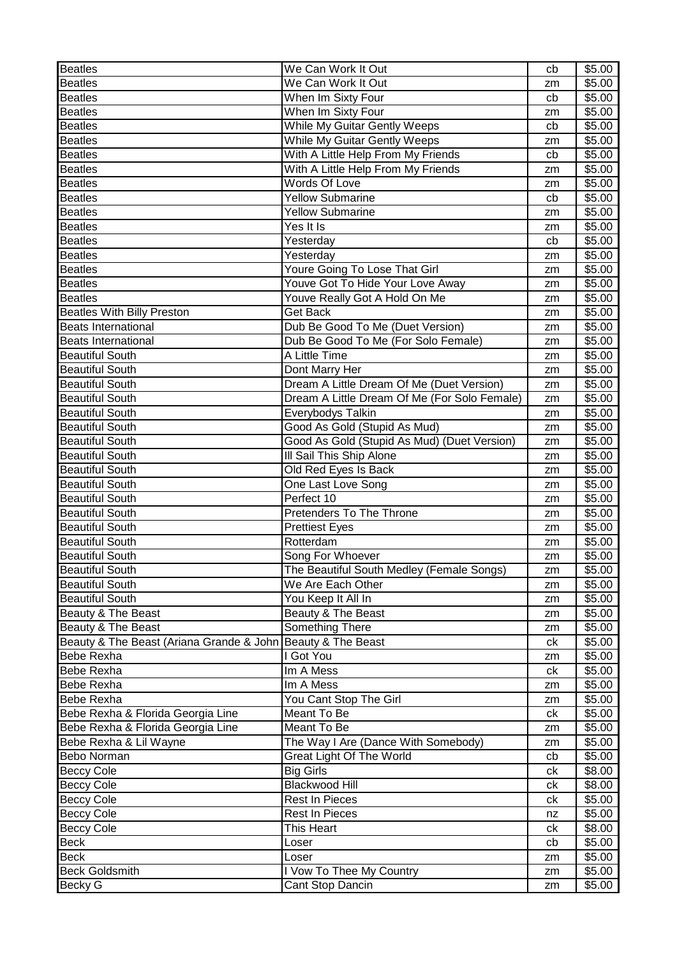| Beatles                                                     | We Can Work It Out                           | cb | \$5.00 |
|-------------------------------------------------------------|----------------------------------------------|----|--------|
| <b>Beatles</b>                                              | We Can Work It Out                           | zm | \$5.00 |
| <b>Beatles</b>                                              | When Im Sixty Four                           | cb | \$5.00 |
| <b>Beatles</b>                                              | When Im Sixty Four                           | zm | \$5.00 |
| <b>Beatles</b>                                              | While My Guitar Gently Weeps                 | cb | \$5.00 |
| <b>Beatles</b>                                              | While My Guitar Gently Weeps                 | zm | \$5.00 |
| <b>Beatles</b>                                              | With A Little Help From My Friends           | cb | \$5.00 |
| <b>Beatles</b>                                              | With A Little Help From My Friends           | zm | \$5.00 |
| <b>Beatles</b>                                              | Words Of Love                                | zm | \$5.00 |
| <b>Beatles</b>                                              | <b>Yellow Submarine</b>                      | cb | \$5.00 |
| <b>Beatles</b>                                              | <b>Yellow Submarine</b>                      | zm | \$5.00 |
| <b>Beatles</b>                                              | Yes It Is                                    | zm | \$5.00 |
| <b>Beatles</b>                                              | Yesterday                                    | cb | \$5.00 |
| <b>Beatles</b>                                              | Yesterday                                    | zm | \$5.00 |
| <b>Beatles</b>                                              | Youre Going To Lose That Girl                | zm | \$5.00 |
| <b>Beatles</b>                                              | Youve Got To Hide Your Love Away             | zm | \$5.00 |
| <b>Beatles</b>                                              | Youve Really Got A Hold On Me                | zm | \$5.00 |
| Beatles With Billy Preston                                  | <b>Get Back</b>                              | zm | \$5.00 |
| <b>Beats International</b>                                  | Dub Be Good To Me (Duet Version)             | zm | \$5.00 |
| <b>Beats International</b>                                  | Dub Be Good To Me (For Solo Female)          | zm | \$5.00 |
| <b>Beautiful South</b>                                      | A Little Time                                | zm | \$5.00 |
| <b>Beautiful South</b>                                      | Dont Marry Her                               | zm | \$5.00 |
| <b>Beautiful South</b>                                      | Dream A Little Dream Of Me (Duet Version)    | zm | \$5.00 |
| <b>Beautiful South</b>                                      | Dream A Little Dream Of Me (For Solo Female) | zm | \$5.00 |
| <b>Beautiful South</b>                                      | Everybodys Talkin                            | zm | \$5.00 |
| <b>Beautiful South</b>                                      | Good As Gold (Stupid As Mud)                 | zm | \$5.00 |
| <b>Beautiful South</b>                                      | Good As Gold (Stupid As Mud) (Duet Version)  | zm | \$5.00 |
| <b>Beautiful South</b>                                      | III Sail This Ship Alone                     | zm | \$5.00 |
| <b>Beautiful South</b>                                      | Old Red Eyes Is Back                         | zm | \$5.00 |
| <b>Beautiful South</b>                                      | One Last Love Song                           | zm | \$5.00 |
| <b>Beautiful South</b>                                      | Perfect 10                                   | zm | \$5.00 |
| <b>Beautiful South</b>                                      | Pretenders To The Throne                     | zm | \$5.00 |
| <b>Beautiful South</b>                                      | <b>Prettiest Eyes</b>                        | zm | \$5.00 |
| <b>Beautiful South</b>                                      | Rotterdam                                    | zm | \$5.00 |
| <b>Beautiful South</b>                                      | Song For Whoever                             | zm | \$5.00 |
| <b>Beautiful South</b>                                      | The Beautiful South Medley (Female Songs)    | zm | \$5.00 |
| <b>Beautiful South</b>                                      | We Are Each Other                            | zm | \$5.00 |
| <b>Beautiful South</b>                                      | You Keep It All In                           | zm | \$5.00 |
| Beauty & The Beast                                          | Beauty & The Beast                           | zm | \$5.00 |
| Beauty & The Beast                                          | Something There                              | zm | \$5.00 |
| Beauty & The Beast (Ariana Grande & John Beauty & The Beast |                                              | ck | \$5.00 |
| Bebe Rexha                                                  | I Got You                                    | zm | \$5.00 |
| <b>Bebe Rexha</b>                                           | Im A Mess                                    | ck | \$5.00 |
| <b>Bebe Rexha</b>                                           | Im A Mess                                    | zm | \$5.00 |
| <b>Bebe Rexha</b>                                           | You Cant Stop The Girl                       | zm | \$5.00 |
| Bebe Rexha & Florida Georgia Line                           | Meant To Be                                  | ck | \$5.00 |
| Bebe Rexha & Florida Georgia Line                           | Meant To Be                                  | zm | \$5.00 |
| Bebe Rexha & Lil Wayne                                      | The Way I Are (Dance With Somebody)          | zm | \$5.00 |
| Bebo Norman                                                 | <b>Great Light Of The World</b>              | cb | \$5.00 |
| <b>Beccy Cole</b>                                           | <b>Big Girls</b>                             | ck | \$8.00 |
| <b>Beccy Cole</b>                                           | <b>Blackwood Hill</b>                        | сk | \$8.00 |
| <b>Beccy Cole</b>                                           | <b>Rest In Pieces</b>                        | ck | \$5.00 |
| <b>Beccy Cole</b>                                           | <b>Rest In Pieces</b>                        | nz | \$5.00 |
| <b>Beccy Cole</b>                                           | This Heart                                   | ck | \$8.00 |
| Beck                                                        | Loser                                        | cb | \$5.00 |
| Beck                                                        | Loser                                        | zm | \$5.00 |
| <b>Beck Goldsmith</b>                                       | I Vow To Thee My Country                     | zm | \$5.00 |
| <b>Becky G</b>                                              | Cant Stop Dancin                             | zm | \$5.00 |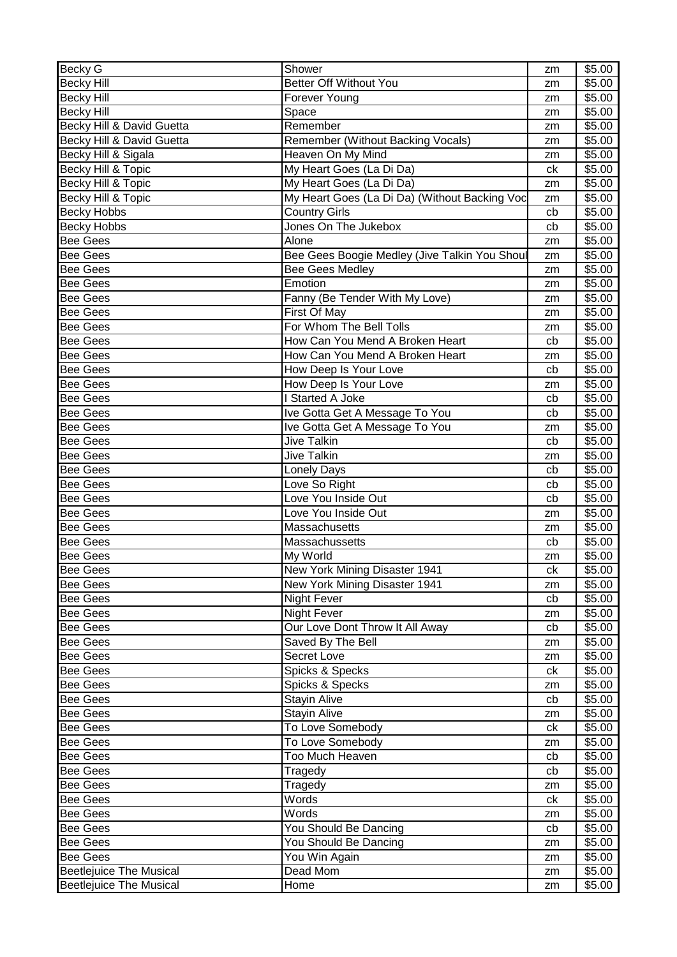| <b>Becky G</b>                 | Shower                                        | zm            | \$5.00             |
|--------------------------------|-----------------------------------------------|---------------|--------------------|
| <b>Becky Hill</b>              | Better Off Without You                        | zm            | \$5.00             |
| <b>Becky Hill</b>              | Forever Young                                 | zm            | \$5.00             |
| <b>Becky Hill</b>              | Space                                         | zm            | \$5.00             |
| Becky Hill & David Guetta      | Remember                                      | zm            | \$5.00             |
| Becky Hill & David Guetta      | Remember (Without Backing Vocals)             | zm            | \$5.00             |
| Becky Hill & Sigala            | Heaven On My Mind                             | zm            | \$5.00             |
| Becky Hill & Topic             | My Heart Goes (La Di Da)                      | ck            | \$5.00             |
| Becky Hill & Topic             | My Heart Goes (La Di Da)                      | zm            | \$5.00             |
| Becky Hill & Topic             | My Heart Goes (La Di Da) (Without Backing Voc | zm            | \$5.00             |
| <b>Becky Hobbs</b>             | <b>Country Girls</b>                          | cb            | \$5.00             |
| <b>Becky Hobbs</b>             | Jones On The Jukebox                          | cb            | \$5.00             |
| <b>Bee Gees</b>                | Alone                                         | zm            | \$5.00             |
| <b>Bee Gees</b>                | Bee Gees Boogie Medley (Jive Talkin You Shoul | zm            | \$5.00             |
| <b>Bee Gees</b>                | <b>Bee Gees Medley</b>                        | zm            | \$5.00             |
| <b>Bee Gees</b>                | Emotion                                       | zm            | \$5.00             |
| <b>Bee Gees</b>                | Fanny (Be Tender With My Love)                | zm            | \$5.00             |
| <b>Bee Gees</b>                | First Of May                                  | zm            | \$5.00             |
| <b>Bee Gees</b>                | For Whom The Bell Tolls                       |               | \$5.00             |
| <b>Bee Gees</b>                | How Can You Mend A Broken Heart               | zm            | \$5.00             |
| <b>Bee Gees</b>                | How Can You Mend A Broken Heart               | cb            | \$5.00             |
|                                |                                               | zm            |                    |
| <b>Bee Gees</b>                | How Deep Is Your Love                         | cb            | \$5.00             |
| <b>Bee Gees</b>                | How Deep Is Your Love                         | zm            | \$5.00             |
| <b>Bee Gees</b>                | I Started A Joke                              | cb            | \$5.00             |
| <b>Bee Gees</b>                | Ive Gotta Get A Message To You                | cb            | \$5.00             |
| <b>Bee Gees</b>                | Ive Gotta Get A Message To You                | zm            | \$5.00             |
| <b>Bee Gees</b>                | <b>Jive Talkin</b>                            | cb            | \$5.00             |
| <b>Bee Gees</b>                | <b>Jive Talkin</b>                            | zm            | \$5.00             |
| <b>Bee Gees</b>                | Lonely Days                                   | cb            | \$5.00             |
| <b>Bee Gees</b>                | Love So Right                                 | cb            | \$5.00             |
| <b>Bee Gees</b>                | Love You Inside Out                           | cb            | \$5.00             |
| <b>Bee Gees</b>                | Love You Inside Out                           | zm            | \$5.00             |
| <b>Bee Gees</b>                | Massachusetts                                 | zm            | \$5.00             |
| <b>Bee Gees</b>                | Massachussetts                                | cb            | \$5.00             |
| <b>Bee Gees</b>                | My World                                      | zm            | \$5.00             |
| <b>Bee Gees</b>                | New York Mining Disaster 1941                 | $c\mathsf{k}$ | \$5.00             |
| <b>Bee Gees</b>                | New York Mining Disaster 1941                 | zm            | \$5.00             |
| <b>Bee Gees</b>                | Night Fever                                   | cb            | \$5.00             |
| <b>Bee Gees</b>                | <b>Night Fever</b>                            | zm            | \$5.00             |
| <b>Bee Gees</b>                | Our Love Dont Throw It All Away               | cb            | \$5.00             |
| <b>Bee Gees</b>                | Saved By The Bell                             | zm            | \$5.00             |
| <b>Bee Gees</b>                | Secret Love                                   | zm            | \$5.00             |
| <b>Bee Gees</b>                | Spicks & Specks                               | ck            | \$5.00             |
| <b>Bee Gees</b>                | Spicks & Specks                               | zm            | \$5.00             |
| <b>Bee Gees</b>                | <b>Stayin Alive</b>                           | cb            | \$5.00             |
| <b>Bee Gees</b>                | Stayin Alive                                  | zm            | \$5.00             |
| <b>Bee Gees</b>                | To Love Somebody                              | ck            | \$5.00             |
| <b>Bee Gees</b>                | To Love Somebody                              |               | \$5.00             |
|                                | Too Much Heaven                               | zm            |                    |
| <b>Bee Gees</b>                |                                               | cb            | \$5.00             |
| <b>Bee Gees</b>                | Tragedy                                       | cb            | \$5.00             |
| <b>Bee Gees</b>                | Tragedy                                       | zm            | \$5.00             |
| <b>Bee Gees</b>                | Words                                         | ck            | \$5.00             |
| <b>Bee Gees</b>                | Words                                         | zm            | \$5.00             |
| <b>Bee Gees</b>                | You Should Be Dancing                         | cb            | \$5.00             |
| <b>Bee Gees</b>                | You Should Be Dancing                         | zm            | \$5.00             |
| <b>Bee Gees</b>                | You Win Again                                 | zm            | $\overline{$}5.00$ |
| <b>Beetlejuice The Musical</b> | Dead Mom                                      | zm            | \$5.00             |
| <b>Beetlejuice The Musical</b> | Home                                          | zm            | \$5.00             |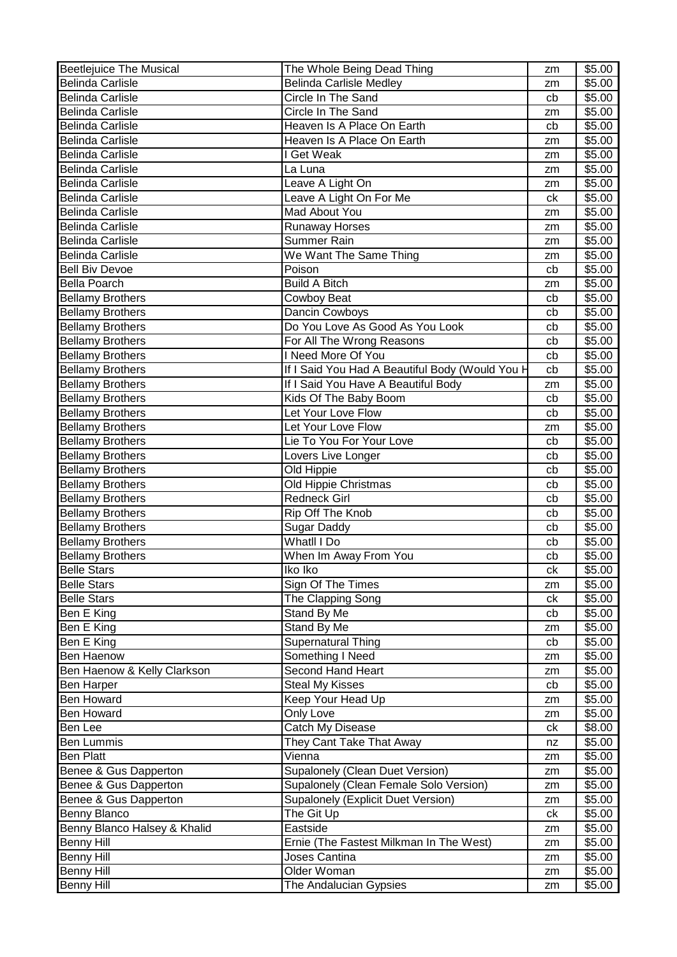| <b>Beetlejuice The Musical</b> | The Whole Being Dead Thing                      | zm | \$5.00 |
|--------------------------------|-------------------------------------------------|----|--------|
| <b>Belinda Carlisle</b>        | <b>Belinda Carlisle Medley</b>                  | zm | \$5.00 |
| <b>Belinda Carlisle</b>        | Circle In The Sand                              | cb | \$5.00 |
| <b>Belinda Carlisle</b>        | Circle In The Sand                              | zm | \$5.00 |
| <b>Belinda Carlisle</b>        | Heaven Is A Place On Earth                      | cb | \$5.00 |
| <b>Belinda Carlisle</b>        | Heaven Is A Place On Earth                      | zm | \$5.00 |
| <b>Belinda Carlisle</b>        | I Get Weak                                      | zm | \$5.00 |
| <b>Belinda Carlisle</b>        | La Luna                                         | zm | \$5.00 |
| <b>Belinda Carlisle</b>        | Leave A Light On                                | zm | \$5.00 |
| <b>Belinda Carlisle</b>        | Leave A Light On For Me                         | ck | \$5.00 |
| <b>Belinda Carlisle</b>        | Mad About You                                   | zm | \$5.00 |
| <b>Belinda Carlisle</b>        | <b>Runaway Horses</b>                           | zm | \$5.00 |
| <b>Belinda Carlisle</b>        | Summer Rain                                     | zm | \$5.00 |
| <b>Belinda Carlisle</b>        | We Want The Same Thing                          | zm | \$5.00 |
| <b>Bell Biv Devoe</b>          | Poison                                          | cb | \$5.00 |
| <b>Bella Poarch</b>            | <b>Build A Bitch</b>                            | zm | \$5.00 |
| <b>Bellamy Brothers</b>        | Cowboy Beat                                     | cb | \$5.00 |
| <b>Bellamy Brothers</b>        | Dancin Cowboys                                  | cb | \$5.00 |
| <b>Bellamy Brothers</b>        | Do You Love As Good As You Look                 |    |        |
|                                |                                                 | cb | \$5.00 |
| <b>Bellamy Brothers</b>        | For All The Wrong Reasons                       | cb | \$5.00 |
| <b>Bellamy Brothers</b>        | I Need More Of You                              | cb | \$5.00 |
| <b>Bellamy Brothers</b>        | If I Said You Had A Beautiful Body (Would You H | cb | \$5.00 |
| <b>Bellamy Brothers</b>        | If I Said You Have A Beautiful Body             | zm | \$5.00 |
| <b>Bellamy Brothers</b>        | Kids Of The Baby Boom                           | cb | \$5.00 |
| <b>Bellamy Brothers</b>        | Let Your Love Flow                              | cb | \$5.00 |
| <b>Bellamy Brothers</b>        | Let Your Love Flow                              | zm | \$5.00 |
| <b>Bellamy Brothers</b>        | Lie To You For Your Love                        | cb | \$5.00 |
| <b>Bellamy Brothers</b>        | Lovers Live Longer                              | cb | \$5.00 |
| <b>Bellamy Brothers</b>        | Old Hippie                                      | cb | \$5.00 |
| <b>Bellamy Brothers</b>        | Old Hippie Christmas                            | cb | \$5.00 |
| <b>Bellamy Brothers</b>        | <b>Redneck Girl</b>                             | cb | \$5.00 |
| <b>Bellamy Brothers</b>        | Rip Off The Knob                                | cb | \$5.00 |
| <b>Bellamy Brothers</b>        | <b>Sugar Daddy</b>                              | cb | \$5.00 |
| <b>Bellamy Brothers</b>        | Whatll I Do                                     | cb | \$5.00 |
| <b>Bellamy Brothers</b>        | When Im Away From You                           | cb | \$5.00 |
| <b>Belle Stars</b>             | Iko Iko                                         | ck | \$5.00 |
| <b>Belle Stars</b>             | Sign Of The Times                               | zm | \$5.00 |
| <b>Belle Stars</b>             | The Clapping Song                               | ck | \$5.00 |
| Ben E King                     | Stand By Me                                     | cb | \$5.00 |
| Ben E King                     | Stand By Me                                     | zm | \$5.00 |
| Ben E King                     | Supernatural Thing                              | cb | \$5.00 |
| Ben Haenow                     | Something I Need                                | zm | \$5.00 |
| Ben Haenow & Kelly Clarkson    | Second Hand Heart                               | zm | \$5.00 |
| Ben Harper                     | <b>Steal My Kisses</b>                          | cb | \$5.00 |
| <b>Ben Howard</b>              | Keep Your Head Up                               | zm | \$5.00 |
| <b>Ben Howard</b>              | Only Love                                       | zm | \$5.00 |
| Ben Lee                        | Catch My Disease                                | ck | \$8.00 |
| Ben Lummis                     | They Cant Take That Away                        | nz | \$5.00 |
| <b>Ben Platt</b>               | Vienna                                          | zm | \$5.00 |
| Benee & Gus Dapperton          | Supalonely (Clean Duet Version)                 | zm | \$5.00 |
| Benee & Gus Dapperton          | Supalonely (Clean Female Solo Version)          |    | \$5.00 |
| Benee & Gus Dapperton          | Supalonely (Explicit Duet Version)              | zm | \$5.00 |
| Benny Blanco                   | The Git Up                                      | zm | \$5.00 |
|                                |                                                 | ck |        |
| Benny Blanco Halsey & Khalid   | Eastside                                        | zm | \$5.00 |
| <b>Benny Hill</b>              | Ernie (The Fastest Milkman In The West)         | zm | \$5.00 |
| <b>Benny Hill</b>              | Joses Cantina                                   | zm | \$5.00 |
| <b>Benny Hill</b>              | Older Woman                                     | zm | \$5.00 |
| <b>Benny Hill</b>              | The Andalucian Gypsies                          | zm | \$5.00 |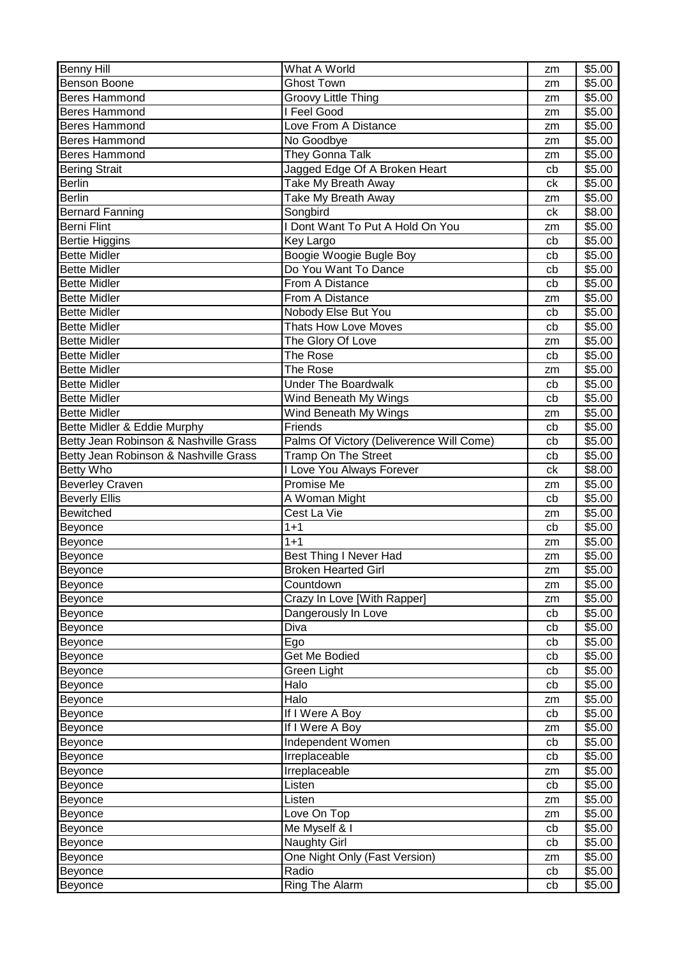| Benny Hill                            | What A World                             | zm       | \$5.00           |
|---------------------------------------|------------------------------------------|----------|------------------|
| <b>Benson Boone</b>                   | <b>Ghost Town</b>                        | zm       | \$5.00           |
| <b>Beres Hammond</b>                  | Groovy Little Thing                      | zm       | \$5.00           |
| <b>Beres Hammond</b>                  | I Feel Good                              | zm       | \$5.00           |
| <b>Beres Hammond</b>                  | Love From A Distance                     | zm       | \$5.00           |
| <b>Beres Hammond</b>                  | No Goodbye                               | zm       | \$5.00           |
| <b>Beres Hammond</b>                  | They Gonna Talk                          | zm       | \$5.00           |
| <b>Bering Strait</b>                  | Jagged Edge Of A Broken Heart            | cb       | \$5.00           |
| <b>Berlin</b>                         | Take My Breath Away                      | ck       | \$5.00           |
| <b>Berlin</b>                         | Take My Breath Away                      | zm       | \$5.00           |
| <b>Bernard Fanning</b>                | Songbird                                 | ck       | \$8.00           |
| <b>Berni Flint</b>                    | I Dont Want To Put A Hold On You         | zm       | \$5.00           |
| <b>Bertie Higgins</b>                 | Key Largo                                | cb       | \$5.00           |
| <b>Bette Midler</b>                   | Boogie Woogie Bugle Boy                  | cb       | \$5.00           |
| <b>Bette Midler</b>                   | Do You Want To Dance                     | cb       | \$5.00           |
| <b>Bette Midler</b>                   | From A Distance                          | cb       | \$5.00           |
| <b>Bette Midler</b>                   | From A Distance                          | zm       | \$5.00           |
| <b>Bette Midler</b>                   | Nobody Else But You                      | cb       | \$5.00           |
| <b>Bette Midler</b>                   | <b>Thats How Love Moves</b>              | cb       | \$5.00           |
| <b>Bette Midler</b>                   | The Glory Of Love                        | zm       | \$5.00           |
| <b>Bette Midler</b>                   | The Rose                                 | cb       | \$5.00           |
| <b>Bette Midler</b>                   | The Rose                                 | zm       | \$5.00           |
| <b>Bette Midler</b>                   | <b>Under The Boardwalk</b>               | cb       | \$5.00           |
| <b>Bette Midler</b>                   | Wind Beneath My Wings                    | cb       | \$5.00           |
| <b>Bette Midler</b>                   | Wind Beneath My Wings                    | zm       | \$5.00           |
| Bette Midler & Eddie Murphy           | Friends                                  | cb       | \$5.00           |
| Betty Jean Robinson & Nashville Grass | Palms Of Victory (Deliverence Will Come) | cb       | \$5.00           |
| Betty Jean Robinson & Nashville Grass | <b>Tramp On The Street</b>               | cb       | \$5.00           |
| <b>Betty Who</b>                      | I Love You Always Forever                | ck       | \$8.00           |
| <b>Beverley Craven</b>                | Promise Me                               | zm       | \$5.00           |
| <b>Beverly Ellis</b>                  | A Woman Might                            | cb       | \$5.00           |
| Bewitched                             | Cest La Vie                              | zm       | \$5.00           |
| Beyonce                               | $1 + 1$                                  | cb       | \$5.00           |
| Beyonce                               | $1 + 1$                                  | zm       | \$5.00           |
| Beyonce                               | Best Thing I Never Had                   | zm       | \$5.00           |
| Beyonce                               | <b>Broken Hearted Girl</b>               | zm       | \$5.00           |
| Beyonce                               | Countdown                                | zm       | \$5.00           |
| Beyonce                               | Crazy In Love [With Rapper]              | zm       | \$5.00           |
| Beyonce                               | Dangerously In Love                      | cb       | \$5.00           |
| Beyonce                               | Diva                                     | cb       | \$5.00           |
| Beyonce                               | Ego                                      | cb       | \$5.00           |
| Beyonce                               | Get Me Bodied                            | cb       | \$5.00           |
| Beyonce                               | Green Light                              | cb       | \$5.00           |
| Beyonce                               |                                          |          |                  |
|                                       | Halo                                     | cb       | \$5.00           |
| Beyonce                               | Halo                                     | zm       | \$5.00           |
| Beyonce                               | If I Were A Boy                          | cb       | \$5.00           |
| Beyonce                               | If I Were A Boy                          | zm       | \$5.00           |
| Beyonce                               | Independent Women                        | cb       | \$5.00           |
| Beyonce                               | Irreplaceable                            | cb       | \$5.00           |
| Beyonce                               | Irreplaceable                            | zm       | \$5.00           |
| Beyonce                               | Listen                                   | cb       | \$5.00           |
| Beyonce                               | Listen                                   | zm       | \$5.00           |
| Beyonce                               | Love On Top                              | zm       | \$5.00           |
| Beyonce                               | Me Myself & I                            | cb       | \$5.00           |
| Beyonce                               | <b>Naughty Girl</b>                      | cb       | \$5.00           |
| Beyonce                               | One Night Only (Fast Version)            | zm       | \$5.00           |
| Beyonce<br>Beyonce                    | Radio<br>Ring The Alarm                  | cb<br>cb | \$5.00<br>\$5.00 |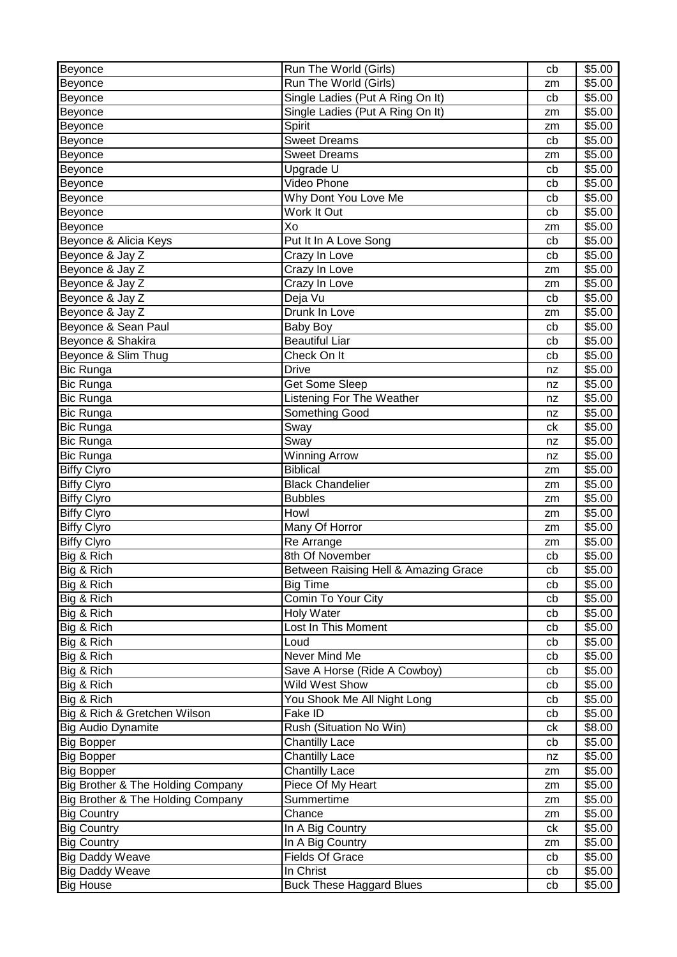| Beyonce                           | Run The World (Girls)                | cb | \$5.00 |
|-----------------------------------|--------------------------------------|----|--------|
| Beyonce                           | Run The World (Girls)                | zm | \$5.00 |
| Beyonce                           | Single Ladies (Put A Ring On It)     | cb | \$5.00 |
| Beyonce                           | Single Ladies (Put A Ring On It)     | zm | \$5.00 |
| Beyonce                           | Spirit                               | zm | \$5.00 |
| Beyonce                           | <b>Sweet Dreams</b>                  | cb | \$5.00 |
| Beyonce                           | <b>Sweet Dreams</b>                  | zm | \$5.00 |
| Beyonce                           | Upgrade U                            | cb | \$5.00 |
| Beyonce                           | Video Phone                          | cb | \$5.00 |
| Beyonce                           | Why Dont You Love Me                 | cb | \$5.00 |
| Beyonce                           | Work It Out                          | cb | \$5.00 |
| Beyonce                           | Xo                                   | zm | \$5.00 |
| Beyonce & Alicia Keys             | Put It In A Love Song                | cb | \$5.00 |
| Beyonce & Jay Z                   | Crazy In Love                        | cb | \$5.00 |
| Beyonce & Jay Z                   | Crazy In Love                        | zm | \$5.00 |
| Beyonce & Jay Z                   | Crazy In Love                        | zm | \$5.00 |
| Beyonce & Jay Z                   | Deja Vu                              | cb | \$5.00 |
| Beyonce & Jay Z                   | Drunk In Love                        | zm | \$5.00 |
| Beyonce & Sean Paul               | <b>Baby Boy</b>                      | cb | \$5.00 |
| Beyonce & Shakira                 | Beautiful Liar                       | cb | \$5.00 |
| Beyonce & Slim Thug               | Check On It                          | cb | \$5.00 |
| <b>Bic Runga</b>                  | <b>Drive</b>                         | nz | \$5.00 |
| <b>Bic Runga</b>                  | Get Some Sleep                       | nz | \$5.00 |
| Bic Runga                         | <b>Listening For The Weather</b>     | nz | \$5.00 |
| <b>Bic Runga</b>                  | Something Good                       | nz | \$5.00 |
| <b>Bic Runga</b>                  | Sway                                 | сk | \$5.00 |
| <b>Bic Runga</b>                  | Sway                                 | nz | \$5.00 |
| <b>Bic Runga</b>                  | <b>Winning Arrow</b>                 | nz | \$5.00 |
| <b>Biffy Clyro</b>                | <b>Biblical</b>                      | zm | \$5.00 |
| <b>Biffy Clyro</b>                | <b>Black Chandelier</b>              | zm | \$5.00 |
| <b>Biffy Clyro</b>                | <b>Bubbles</b>                       | zm | \$5.00 |
| <b>Biffy Clyro</b>                | Howl                                 | zm | \$5.00 |
| <b>Biffy Clyro</b>                | Many Of Horror                       | zm | \$5.00 |
| <b>Biffy Clyro</b>                | Re Arrange                           | zm | \$5.00 |
| Big & Rich                        | 8th Of November                      | cb | \$5.00 |
| Big & Rich                        | Between Raising Hell & Amazing Grace | cb | \$5.00 |
| Big & Rich                        | <b>Big Time</b>                      | cb | \$5.00 |
| Big & Rich                        | Comin To Your City                   | cb | \$5.00 |
| Big & Rich                        | <b>Holy Water</b>                    | cb | \$5.00 |
| Big & Rich                        | Lost In This Moment                  | cb | \$5.00 |
| Big & Rich                        | Loud                                 | cb | \$5.00 |
| Big & Rich                        | Never Mind Me                        | cb | \$5.00 |
| Big & Rich                        | Save A Horse (Ride A Cowboy)         | cb | \$5.00 |
| Big & Rich                        | Wild West Show                       | cb | \$5.00 |
| Big & Rich                        | You Shook Me All Night Long          | cb | \$5.00 |
| Big & Rich & Gretchen Wilson      | Fake ID                              | cb | \$5.00 |
| Big Audio Dynamite                | Rush (Situation No Win)              | сk | \$8.00 |
| <b>Big Bopper</b>                 | <b>Chantilly Lace</b>                | cb | \$5.00 |
| <b>Big Bopper</b>                 | <b>Chantilly Lace</b>                | nz | \$5.00 |
| <b>Big Bopper</b>                 | <b>Chantilly Lace</b>                | zm | \$5.00 |
| Big Brother & The Holding Company | Piece Of My Heart                    | zm | \$5.00 |
| Big Brother & The Holding Company | Summertime                           | zm | \$5.00 |
| <b>Big Country</b>                | Chance                               | zm | \$5.00 |
| <b>Big Country</b>                | In A Big Country                     | ck | \$5.00 |
| <b>Big Country</b>                | In A Big Country                     | zm | \$5.00 |
| <b>Big Daddy Weave</b>            | <b>Fields Of Grace</b>               | cb | \$5.00 |
| <b>Big Daddy Weave</b>            | In Christ                            | cb | \$5.00 |
| <b>Big House</b>                  | <b>Buck These Haggard Blues</b>      | cb | \$5.00 |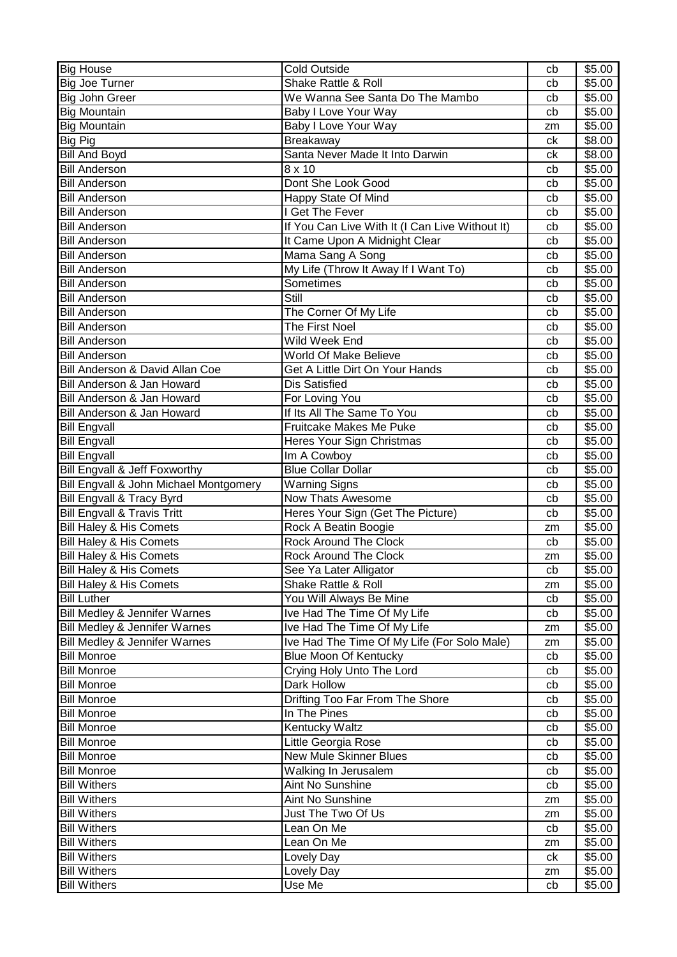| <b>Big House</b>                         | <b>Cold Outside</b>                             | cb | \$5.00 |
|------------------------------------------|-------------------------------------------------|----|--------|
| <b>Big Joe Turner</b>                    | Shake Rattle & Roll                             | cb | \$5.00 |
| <b>Big John Greer</b>                    | We Wanna See Santa Do The Mambo                 | cb | \$5.00 |
| <b>Big Mountain</b>                      | Baby I Love Your Way                            | cb | \$5.00 |
| <b>Big Mountain</b>                      | Baby I Love Your Way                            | zm | \$5.00 |
| <b>Big Pig</b>                           | Breakaway                                       | ck | \$8.00 |
| <b>Bill And Boyd</b>                     | Santa Never Made It Into Darwin                 | ck | \$8.00 |
| <b>Bill Anderson</b>                     | 8 x 10                                          | cb | \$5.00 |
| <b>Bill Anderson</b>                     | Dont She Look Good                              | cb | \$5.00 |
| <b>Bill Anderson</b>                     | Happy State Of Mind                             | cb | \$5.00 |
| <b>Bill Anderson</b>                     | I Get The Fever                                 | cb | \$5.00 |
| <b>Bill Anderson</b>                     | If You Can Live With It (I Can Live Without It) | cb | \$5.00 |
| <b>Bill Anderson</b>                     | It Came Upon A Midnight Clear                   | cb | \$5.00 |
| <b>Bill Anderson</b>                     | Mama Sang A Song                                | cb | \$5.00 |
| <b>Bill Anderson</b>                     | My Life (Throw It Away If I Want To)            | cb | \$5.00 |
| <b>Bill Anderson</b>                     | Sometimes                                       | cb | \$5.00 |
| <b>Bill Anderson</b>                     | Still                                           | cb | \$5.00 |
| <b>Bill Anderson</b>                     | The Corner Of My Life                           | cb | \$5.00 |
| <b>Bill Anderson</b>                     | The First Noel                                  | cb | \$5.00 |
| <b>Bill Anderson</b>                     | Wild Week End                                   | cb | \$5.00 |
| <b>Bill Anderson</b>                     | World Of Make Believe                           | cb | \$5.00 |
| Bill Anderson & David Allan Coe          | Get A Little Dirt On Your Hands                 | cb | \$5.00 |
| Bill Anderson & Jan Howard               | <b>Dis Satisfied</b>                            | cb | \$5.00 |
| Bill Anderson & Jan Howard               | For Loving You                                  | cb | \$5.00 |
| Bill Anderson & Jan Howard               | If Its All The Same To You                      | cb | \$5.00 |
| <b>Bill Engvall</b>                      | <b>Fruitcake Makes Me Puke</b>                  | cb | \$5.00 |
| <b>Bill Engvall</b>                      | Heres Your Sign Christmas                       | cb | \$5.00 |
| <b>Bill Engvall</b>                      | Im A Cowboy                                     | cb | \$5.00 |
| Bill Engvall & Jeff Foxworthy            | <b>Blue Collar Dollar</b>                       | cb | \$5.00 |
| Bill Engvall & John Michael Montgomery   | Warning Signs                                   | cb | \$5.00 |
| <b>Bill Engvall &amp; Tracy Byrd</b>     | <b>Now Thats Awesome</b>                        | cb | \$5.00 |
| <b>Bill Engvall &amp; Travis Tritt</b>   | Heres Your Sign (Get The Picture)               | cb | \$5.00 |
| Bill Haley & His Comets                  | Rock A Beatin Boogie                            | zm | \$5.00 |
| Bill Haley & His Comets                  | Rock Around The Clock                           | cb | \$5.00 |
| <b>Bill Haley &amp; His Comets</b>       | <b>Rock Around The Clock</b>                    | zm | \$5.00 |
| Bill Haley & His Comets                  | See Ya Later Alligator                          | cb | \$5.00 |
| Bill Haley & His Comets                  | Shake Rattle & Roll                             | zm | \$5.00 |
| <b>Bill Luther</b>                       | You Will Always Be Mine                         | cb | \$5.00 |
| <b>Bill Medley &amp; Jennifer Warnes</b> | Ive Had The Time Of My Life                     | cb | \$5.00 |
| Bill Medley & Jennifer Warnes            | Ive Had The Time Of My Life                     | zm | \$5.00 |
| <b>Bill Medley &amp; Jennifer Warnes</b> | Ive Had The Time Of My Life (For Solo Male)     | zm | \$5.00 |
| <b>Bill Monroe</b>                       | <b>Blue Moon Of Kentucky</b>                    | cb | \$5.00 |
| <b>Bill Monroe</b>                       | Crying Holy Unto The Lord                       | cb | \$5.00 |
| <b>Bill Monroe</b>                       | Dark Hollow                                     | cb | \$5.00 |
| <b>Bill Monroe</b>                       | Drifting Too Far From The Shore                 | cb | \$5.00 |
| <b>Bill Monroe</b>                       | In The Pines                                    | cb | \$5.00 |
| <b>Bill Monroe</b>                       | <b>Kentucky Waltz</b>                           | cb | \$5.00 |
| <b>Bill Monroe</b>                       | Little Georgia Rose                             | cb | \$5.00 |
| <b>Bill Monroe</b>                       | <b>New Mule Skinner Blues</b>                   | cb | \$5.00 |
| <b>Bill Monroe</b>                       | Walking In Jerusalem                            | cb | \$5.00 |
| <b>Bill Withers</b>                      | Aint No Sunshine                                | cb | \$5.00 |
| <b>Bill Withers</b>                      | Aint No Sunshine                                | zm | \$5.00 |
| <b>Bill Withers</b>                      | Just The Two Of Us                              | zm | \$5.00 |
| <b>Bill Withers</b>                      | Lean On Me                                      | cb | \$5.00 |
| <b>Bill Withers</b>                      | Lean On Me                                      | zm | \$5.00 |
| <b>Bill Withers</b>                      | Lovely Day                                      | ck | \$5.00 |
| <b>Bill Withers</b>                      |                                                 |    | \$5.00 |
| <b>Bill Withers</b>                      | Lovely Day<br>Use Me                            | zm | \$5.00 |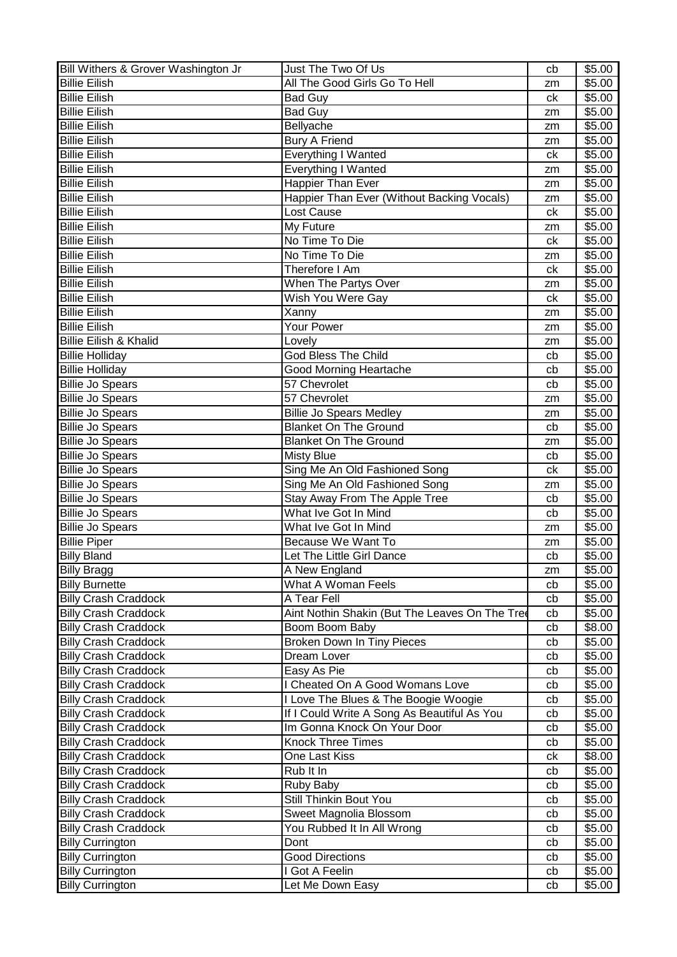| Bill Withers & Grover Washington Jr | Just The Two Of Us                             | cb | \$5.00             |
|-------------------------------------|------------------------------------------------|----|--------------------|
| <b>Billie Eilish</b>                | All The Good Girls Go To Hell                  | zm | \$5.00             |
| <b>Billie Eilish</b>                | <b>Bad Guy</b>                                 | ck | \$5.00             |
| <b>Billie Eilish</b>                | Bad Guy                                        | zm | \$5.00             |
| <b>Billie Eilish</b>                | Bellyache                                      | zm | \$5.00             |
| <b>Billie Eilish</b>                | <b>Bury A Friend</b>                           | zm | \$5.00             |
| <b>Billie Eilish</b>                | Everything I Wanted                            | ck | \$5.00             |
| <b>Billie Eilish</b>                | Everything I Wanted                            | zm | \$5.00             |
| <b>Billie Eilish</b>                | <b>Happier Than Ever</b>                       | zm | \$5.00             |
| <b>Billie Eilish</b>                | Happier Than Ever (Without Backing Vocals)     | zm | \$5.00             |
| <b>Billie Eilish</b>                | Lost Cause                                     | ck | \$5.00             |
| <b>Billie Eilish</b>                | My Future                                      | zm | \$5.00             |
| <b>Billie Eilish</b>                | No Time To Die                                 | ck | \$5.00             |
| <b>Billie Eilish</b>                | No Time To Die                                 |    | \$5.00             |
| <b>Billie Eilish</b>                | Therefore I Am                                 | zm |                    |
|                                     |                                                | ck | \$5.00             |
| <b>Billie Eilish</b>                | When The Partys Over                           | zm | \$5.00             |
| <b>Billie Eilish</b>                | Wish You Were Gay                              | ck | \$5.00             |
| <b>Billie Eilish</b>                | Xanny                                          | zm | \$5.00             |
| <b>Billie Eilish</b>                | Your Power                                     | zm | \$5.00             |
| <b>Billie Eilish &amp; Khalid</b>   | Lovely                                         | zm | \$5.00             |
| <b>Billie Holliday</b>              | God Bless The Child                            | cb | \$5.00             |
| <b>Billie Holliday</b>              | <b>Good Morning Heartache</b>                  | cb | \$5.00             |
| <b>Billie Jo Spears</b>             | 57 Chevrolet                                   | cb | \$5.00             |
| <b>Billie Jo Spears</b>             | 57 Chevrolet                                   | zm | \$5.00             |
| <b>Billie Jo Spears</b>             | <b>Billie Jo Spears Medley</b>                 | zm | $\overline{$}5.00$ |
| <b>Billie Jo Spears</b>             | <b>Blanket On The Ground</b>                   | cb | \$5.00             |
| <b>Billie Jo Spears</b>             | <b>Blanket On The Ground</b>                   | zm | \$5.00             |
| <b>Billie Jo Spears</b>             | <b>Misty Blue</b>                              | cb | \$5.00             |
| <b>Billie Jo Spears</b>             | Sing Me An Old Fashioned Song                  | ck | \$5.00             |
| <b>Billie Jo Spears</b>             | Sing Me An Old Fashioned Song                  | zm | \$5.00             |
| <b>Billie Jo Spears</b>             | Stay Away From The Apple Tree                  | cb | \$5.00             |
| <b>Billie Jo Spears</b>             | What Ive Got In Mind                           | cb | \$5.00             |
| <b>Billie Jo Spears</b>             | What Ive Got In Mind                           | zm | \$5.00             |
| <b>Billie Piper</b>                 | <b>Because We Want To</b>                      | zm | \$5.00             |
| <b>Billy Bland</b>                  | Let The Little Girl Dance                      | cb | \$5.00             |
| <b>Billy Bragg</b>                  | A New England                                  | zm | \$5.00             |
| <b>Billy Burnette</b>               | What A Woman Feels                             | cb | \$5.00             |
| <b>Billy Crash Craddock</b>         | A Tear Fell                                    | cb | \$5.00             |
| <b>Billy Crash Craddock</b>         | Aint Nothin Shakin (But The Leaves On The Tree | cb | \$5.00             |
| <b>Billy Crash Craddock</b>         | Boom Boom Baby                                 | cb | \$8.00             |
| <b>Billy Crash Craddock</b>         | <b>Broken Down In Tiny Pieces</b>              | cb | \$5.00             |
| <b>Billy Crash Craddock</b>         | Dream Lover                                    | cb | \$5.00             |
| <b>Billy Crash Craddock</b>         | Easy As Pie                                    | cb | \$5.00             |
| <b>Billy Crash Craddock</b>         | I Cheated On A Good Womans Love                | cb | \$5.00             |
| <b>Billy Crash Craddock</b>         | I Love The Blues & The Boogie Woogie           | cb | \$5.00             |
| <b>Billy Crash Craddock</b>         | If I Could Write A Song As Beautiful As You    | cb | \$5.00             |
| <b>Billy Crash Craddock</b>         | Im Gonna Knock On Your Door                    | cb | \$5.00             |
| <b>Billy Crash Craddock</b>         | <b>Knock Three Times</b>                       | cb | \$5.00             |
| <b>Billy Crash Craddock</b>         | One Last Kiss                                  | сk | \$8.00             |
|                                     | Rub It In                                      |    |                    |
| <b>Billy Crash Craddock</b>         |                                                | cb | \$5.00             |
| <b>Billy Crash Craddock</b>         | Ruby Baby<br>Still Thinkin Bout You            | cb | \$5.00             |
| <b>Billy Crash Craddock</b>         |                                                | cb | \$5.00             |
| <b>Billy Crash Craddock</b>         | Sweet Magnolia Blossom                         | cb | \$5.00             |
| <b>Billy Crash Craddock</b>         | You Rubbed It In All Wrong                     | cb | \$5.00             |
| <b>Billy Currington</b>             | Dont                                           | cb | \$5.00             |
| <b>Billy Currington</b>             | <b>Good Directions</b>                         | cb | \$5.00             |
| <b>Billy Currington</b>             | I Got A Feelin                                 | cb | \$5.00             |
| <b>Billy Currington</b>             | Let Me Down Easy                               | cb | \$5.00             |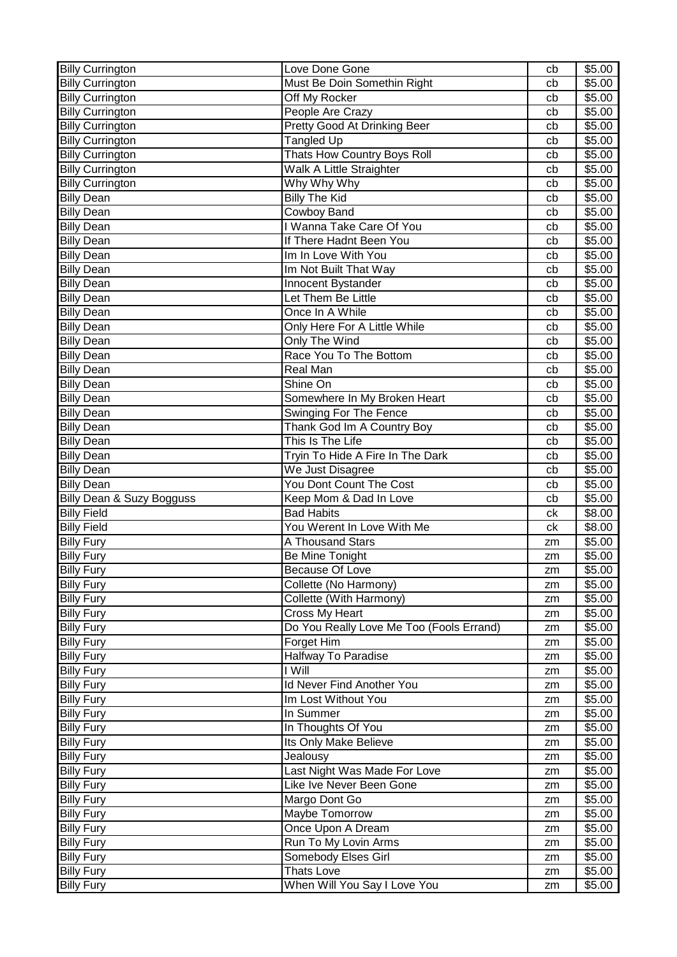| <b>Billy Currington</b>   | Love Done Gone                           | cb | \$5.00             |
|---------------------------|------------------------------------------|----|--------------------|
| <b>Billy Currington</b>   | Must Be Doin Somethin Right              | cb | \$5.00             |
| <b>Billy Currington</b>   | Off My Rocker                            | cb | \$5.00             |
| <b>Billy Currington</b>   | People Are Crazy                         | cb | \$5.00             |
| <b>Billy Currington</b>   | Pretty Good At Drinking Beer             | cb | \$5.00             |
| <b>Billy Currington</b>   | Tangled Up                               | cb | \$5.00             |
| <b>Billy Currington</b>   | Thats How Country Boys Roll              | cb | \$5.00             |
| <b>Billy Currington</b>   | Walk A Little Straighter                 | cb | \$5.00             |
| <b>Billy Currington</b>   | Why Why Why                              | cb | \$5.00             |
| <b>Billy Dean</b>         | <b>Billy The Kid</b>                     | cb | \$5.00             |
| <b>Billy Dean</b>         | Cowboy Band                              | cb | \$5.00             |
| <b>Billy Dean</b>         | I Wanna Take Care Of You                 | cb | \$5.00             |
| <b>Billy Dean</b>         | If There Hadnt Been You                  | cb | \$5.00             |
| <b>Billy Dean</b>         | Im In Love With You                      | cb | \$5.00             |
| <b>Billy Dean</b>         | Im Not Built That Way                    | cb | \$5.00             |
| <b>Billy Dean</b>         | Innocent Bystander                       | cb | \$5.00             |
| <b>Billy Dean</b>         | Let Them Be Little                       | cb | \$5.00             |
| <b>Billy Dean</b>         | Once In A While                          | cb | \$5.00             |
| <b>Billy Dean</b>         | Only Here For A Little While             | cb | \$5.00             |
| <b>Billy Dean</b>         | Only The Wind                            | cb | \$5.00             |
| <b>Billy Dean</b>         | Race You To The Bottom                   | cb | \$5.00             |
| <b>Billy Dean</b>         | Real Man                                 | cb | \$5.00             |
| <b>Billy Dean</b>         | Shine On                                 | cb | \$5.00             |
| <b>Billy Dean</b>         | Somewhere In My Broken Heart             | cb | \$5.00             |
| <b>Billy Dean</b>         | Swinging For The Fence                   | cb | \$5.00             |
| <b>Billy Dean</b>         | Thank God Im A Country Boy               | cb | \$5.00             |
| <b>Billy Dean</b>         | This Is The Life                         | cb | \$5.00             |
| <b>Billy Dean</b>         | Tryin To Hide A Fire In The Dark         | cb | \$5.00             |
| <b>Billy Dean</b>         | We Just Disagree                         | cb | $\overline{$}5.00$ |
| <b>Billy Dean</b>         | You Dont Count The Cost                  | cb | \$5.00             |
| Billy Dean & Suzy Bogguss | Keep Mom & Dad In Love                   | cb | \$5.00             |
| <b>Billy Field</b>        | <b>Bad Habits</b>                        | ck | \$8.00             |
| <b>Billy Field</b>        | You Werent In Love With Me               | ck | \$8.00             |
| <b>Billy Fury</b>         | A Thousand Stars                         | zm | \$5.00             |
| <b>Billy Fury</b>         | Be Mine Tonight                          | zm | \$5.00             |
| <b>Billy Fury</b>         | Because Of Love                          | zm | \$5.00             |
| <b>Billy Fury</b>         | Collette (No Harmony)                    | zm | \$5.00             |
| <b>Billy Fury</b>         | Collette (With Harmony)                  | zm | \$5.00             |
| <b>Billy Fury</b>         | Cross My Heart                           | zm | \$5.00             |
| <b>Billy Fury</b>         | Do You Really Love Me Too (Fools Errand) | zm | \$5.00             |
| <b>Billy Fury</b>         | Forget Him                               | zm | \$5.00             |
| <b>Billy Fury</b>         | Halfway To Paradise                      | zm | \$5.00             |
| <b>Billy Fury</b>         | I Will                                   | zm | \$5.00             |
| <b>Billy Fury</b>         | Id Never Find Another You                | zm | \$5.00             |
| <b>Billy Fury</b>         | Im Lost Without You                      | zm | \$5.00             |
| <b>Billy Fury</b>         | In Summer                                | zm | \$5.00             |
| <b>Billy Fury</b>         | In Thoughts Of You                       | zm | \$5.00             |
| <b>Billy Fury</b>         | Its Only Make Believe                    | zm | \$5.00             |
| <b>Billy Fury</b>         | Jealousy                                 | zm | \$5.00             |
| <b>Billy Fury</b>         | Last Night Was Made For Love             | zm | \$5.00             |
| <b>Billy Fury</b>         | Like Ive Never Been Gone                 | zm | \$5.00             |
| <b>Billy Fury</b>         | Margo Dont Go                            | zm | \$5.00             |
| <b>Billy Fury</b>         | Maybe Tomorrow                           | zm | \$5.00             |
| <b>Billy Fury</b>         | Once Upon A Dream                        | zm | \$5.00             |
| <b>Billy Fury</b>         | Run To My Lovin Arms                     | zm | \$5.00             |
| <b>Billy Fury</b>         | Somebody Elses Girl                      | zm | \$5.00             |
| <b>Billy Fury</b>         | Thats Love                               | zm | \$5.00             |
| <b>Billy Fury</b>         | When Will You Say I Love You             | zm | \$5.00             |
|                           |                                          |    |                    |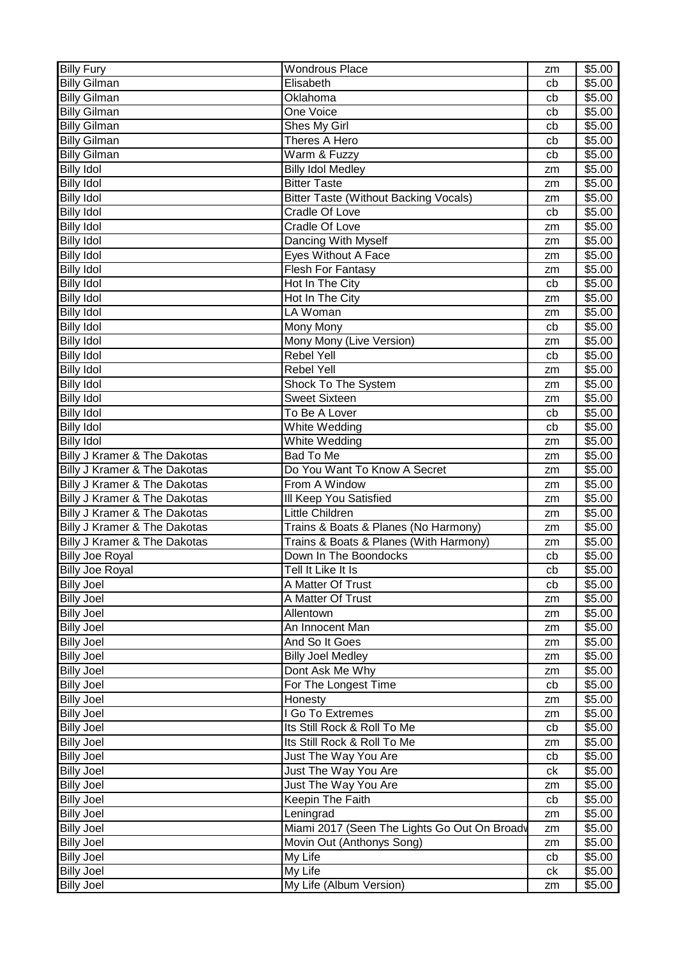| <b>Billy Fury</b>            | <b>Wondrous Place</b>                        | zm | \$5.00 |
|------------------------------|----------------------------------------------|----|--------|
| <b>Billy Gilman</b>          | Elisabeth                                    | cb | \$5.00 |
| <b>Billy Gilman</b>          | Oklahoma                                     | cb | \$5.00 |
| <b>Billy Gilman</b>          | One Voice                                    | cb | \$5.00 |
| <b>Billy Gilman</b>          | Shes My Girl                                 | cb | \$5.00 |
| <b>Billy Gilman</b>          | Theres A Hero                                | cb | \$5.00 |
| <b>Billy Gilman</b>          | Warm & Fuzzy                                 | cb | \$5.00 |
| <b>Billy Idol</b>            | <b>Billy Idol Medley</b>                     | zm | \$5.00 |
| <b>Billy Idol</b>            | <b>Bitter Taste</b>                          | zm | \$5.00 |
| <b>Billy Idol</b>            | <b>Bitter Taste (Without Backing Vocals)</b> | zm | \$5.00 |
| <b>Billy Idol</b>            | Cradle Of Love                               | cb | \$5.00 |
| <b>Billy Idol</b>            | Cradle Of Love                               | zm | \$5.00 |
| <b>Billy Idol</b>            | Dancing With Myself                          | zm | \$5.00 |
| <b>Billy Idol</b>            | Eyes Without A Face                          | zm | \$5.00 |
| <b>Billy Idol</b>            | <b>Flesh For Fantasy</b>                     | zm | \$5.00 |
| <b>Billy Idol</b>            | Hot In The City                              | cb | \$5.00 |
| <b>Billy Idol</b>            | Hot In The City                              | zm | \$5.00 |
| <b>Billy Idol</b>            | LA Woman                                     | zm | \$5.00 |
| <b>Billy Idol</b>            | <b>Mony Mony</b>                             | cb | \$5.00 |
| <b>Billy Idol</b>            | Mony Mony (Live Version)                     | zm | \$5.00 |
| <b>Billy Idol</b>            | <b>Rebel Yell</b>                            | cb | \$5.00 |
| <b>Billy Idol</b>            | Rebel Yell                                   | zm | \$5.00 |
| <b>Billy Idol</b>            | Shock To The System                          | zm | \$5.00 |
| <b>Billy Idol</b>            | <b>Sweet Sixteen</b>                         | zm | \$5.00 |
| <b>Billy Idol</b>            | To Be A Lover                                | cb | \$5.00 |
| <b>Billy Idol</b>            | White Wedding                                | cb | \$5.00 |
| <b>Billy Idol</b>            | White Wedding                                | zm | \$5.00 |
| Billy J Kramer & The Dakotas | Bad To Me                                    | zm | \$5.00 |
| Billy J Kramer & The Dakotas | Do You Want To Know A Secret                 | zm | \$5.00 |
| Billy J Kramer & The Dakotas | From A Window                                | zm | \$5.00 |
| Billy J Kramer & The Dakotas | III Keep You Satisfied                       | zm | \$5.00 |
| Billy J Kramer & The Dakotas | Little Children                              | zm | \$5.00 |
| Billy J Kramer & The Dakotas | Trains & Boats & Planes (No Harmony)         | zm | \$5.00 |
| Billy J Kramer & The Dakotas | Trains & Boats & Planes (With Harmony)       | zm | \$5.00 |
| <b>Billy Joe Royal</b>       | Down In The Boondocks                        | cb | \$5.00 |
| <b>Billy Joe Royal</b>       | Tell It Like It Is                           | cb | \$5.00 |
| <b>Billy Joel</b>            | A Matter Of Trust                            | cb | \$5.00 |
| <b>Billy Joel</b>            | A Matter Of Trust                            | zm | \$5.00 |
| <b>Billy Joel</b>            | Allentown                                    | zm | \$5.00 |
| <b>Billy Joel</b>            | An Innocent Man                              | zm | \$5.00 |
| <b>Billy Joel</b>            | And So It Goes                               | zm | \$5.00 |
| <b>Billy Joel</b>            | <b>Billy Joel Medley</b>                     | zm | \$5.00 |
| <b>Billy Joel</b>            | Dont Ask Me Why                              | zm | \$5.00 |
| <b>Billy Joel</b>            | For The Longest Time                         | cb | \$5.00 |
| <b>Billy Joel</b>            | Honesty                                      | zm | \$5.00 |
| <b>Billy Joel</b>            | I Go To Extremes                             | zm | \$5.00 |
| <b>Billy Joel</b>            | Its Still Rock & Roll To Me                  | cb | \$5.00 |
| <b>Billy Joel</b>            | Its Still Rock & Roll To Me                  | zm | \$5.00 |
| <b>Billy Joel</b>            | Just The Way You Are                         | cb | \$5.00 |
| <b>Billy Joel</b>            | Just The Way You Are                         | ck | \$5.00 |
| <b>Billy Joel</b>            | Just The Way You Are                         | zm | \$5.00 |
| <b>Billy Joel</b>            | Keepin The Faith                             | cb | \$5.00 |
| <b>Billy Joel</b>            | Leningrad                                    | zm | \$5.00 |
| <b>Billy Joel</b>            | Miami 2017 (Seen The Lights Go Out On Broadv | zm | \$5.00 |
| <b>Billy Joel</b>            | Movin Out (Anthonys Song)                    | zm | \$5.00 |
| <b>Billy Joel</b>            | My Life                                      | cb | \$5.00 |
| <b>Billy Joel</b>            | My Life                                      | сk | \$5.00 |
| <b>Billy Joel</b>            | My Life (Album Version)                      | zm | \$5.00 |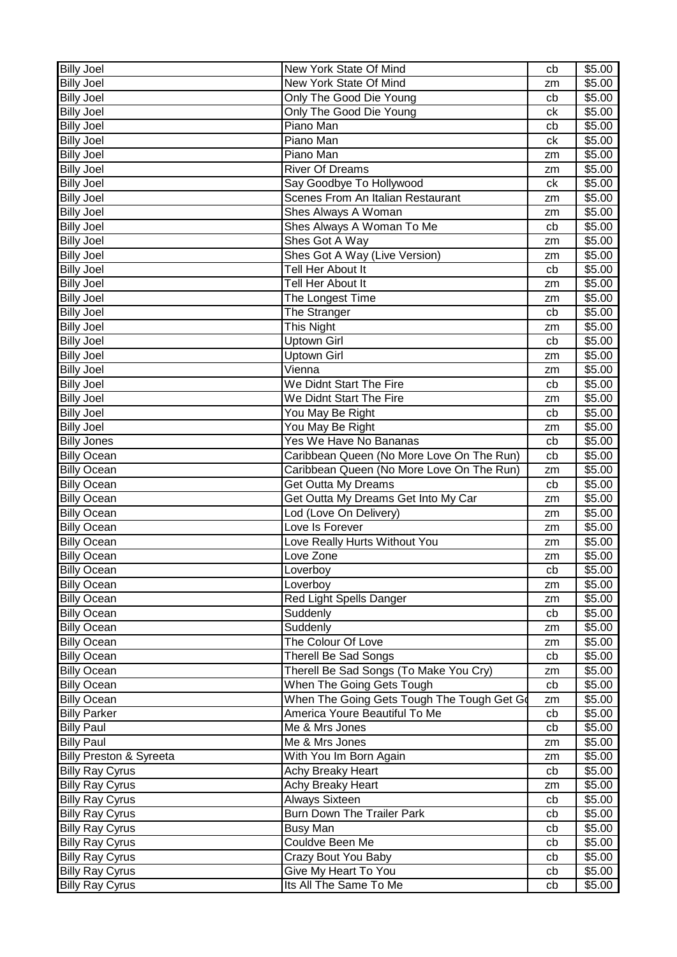| <b>Billy Joel</b>                  | New York State Of Mind                     | cb | \$5.00             |
|------------------------------------|--------------------------------------------|----|--------------------|
| <b>Billy Joel</b>                  | New York State Of Mind                     | zm | \$5.00             |
| <b>Billy Joel</b>                  | Only The Good Die Young                    | cb | \$5.00             |
| <b>Billy Joel</b>                  | Only The Good Die Young                    | ck | \$5.00             |
| <b>Billy Joel</b>                  | Piano Man                                  | cb | \$5.00             |
| <b>Billy Joel</b>                  | Piano Man                                  | ck | \$5.00             |
| <b>Billy Joel</b>                  | Piano Man                                  | zm | \$5.00             |
| <b>Billy Joel</b>                  | <b>River Of Dreams</b>                     | zm | \$5.00             |
| <b>Billy Joel</b>                  | Say Goodbye To Hollywood                   | ck | \$5.00             |
| <b>Billy Joel</b>                  | Scenes From An Italian Restaurant          | zm | \$5.00             |
| <b>Billy Joel</b>                  | Shes Always A Woman                        | zm | \$5.00             |
| <b>Billy Joel</b>                  | Shes Always A Woman To Me                  | cb | \$5.00             |
| <b>Billy Joel</b>                  | Shes Got A Way                             | zm | \$5.00             |
| <b>Billy Joel</b>                  | Shes Got A Way (Live Version)              | zm | \$5.00             |
| <b>Billy Joel</b>                  | Tell Her About It                          | cb | \$5.00             |
| <b>Billy Joel</b>                  | Tell Her About It                          | zm | \$5.00             |
| <b>Billy Joel</b>                  | The Longest Time                           | zm | \$5.00             |
| <b>Billy Joel</b>                  | The Stranger                               | cb | \$5.00             |
| <b>Billy Joel</b>                  | This Night                                 | zm | \$5.00             |
| <b>Billy Joel</b>                  | <b>Uptown Girl</b>                         | cb | \$5.00             |
| <b>Billy Joel</b>                  | <b>Uptown Girl</b>                         | zm | \$5.00             |
| <b>Billy Joel</b>                  | Vienna                                     | zm | \$5.00             |
| <b>Billy Joel</b>                  | We Didnt Start The Fire                    | cb | \$5.00             |
| <b>Billy Joel</b>                  | We Didnt Start The Fire                    | zm | \$5.00             |
| <b>Billy Joel</b>                  | You May Be Right                           | cb | \$5.00             |
| <b>Billy Joel</b>                  | You May Be Right                           | zm | \$5.00             |
| <b>Billy Jones</b>                 | Yes We Have No Bananas                     | cb | \$5.00             |
| <b>Billy Ocean</b>                 | Caribbean Queen (No More Love On The Run)  | cb | $\overline{$}5.00$ |
| <b>Billy Ocean</b>                 | Caribbean Queen (No More Love On The Run)  | zm | \$5.00             |
| <b>Billy Ocean</b>                 | Get Outta My Dreams                        | cb | \$5.00             |
| <b>Billy Ocean</b>                 | Get Outta My Dreams Get Into My Car        | zm | \$5.00             |
| <b>Billy Ocean</b>                 | Lod (Love On Delivery)                     | zm | \$5.00             |
| <b>Billy Ocean</b>                 | Love Is Forever                            | zm | \$5.00             |
| <b>Billy Ocean</b>                 | Love Really Hurts Without You              | zm | \$5.00             |
| <b>Billy Ocean</b>                 | Love Zone                                  | zm | \$5.00             |
| <b>Billy Ocean</b>                 | Loverboy                                   | cb | $\sqrt{$5.00}$     |
| <b>Billy Ocean</b>                 | Loverboy                                   | zm | \$5.00             |
| <b>Billy Ocean</b>                 | Red Light Spells Danger                    | zm | \$5.00             |
| <b>Billy Ocean</b>                 | Suddenly                                   | cb | \$5.00             |
| <b>Billy Ocean</b>                 | Suddenly                                   | zm | \$5.00             |
| <b>Billy Ocean</b>                 | The Colour Of Love                         | zm | \$5.00             |
| <b>Billy Ocean</b>                 | <b>Therell Be Sad Songs</b>                | cb | \$5.00             |
| <b>Billy Ocean</b>                 | Therell Be Sad Songs (To Make You Cry)     | zm | \$5.00             |
| <b>Billy Ocean</b>                 | When The Going Gets Tough                  | cb | \$5.00             |
| <b>Billy Ocean</b>                 | When The Going Gets Tough The Tough Get Go | zm | \$5.00             |
| <b>Billy Parker</b>                | America Youre Beautiful To Me              | cb | \$5.00             |
| <b>Billy Paul</b>                  | Me & Mrs Jones                             | cb | \$5.00             |
| <b>Billy Paul</b>                  | Me & Mrs Jones                             | zm | \$5.00             |
| <b>Billy Preston &amp; Syreeta</b> | With You Im Born Again                     | zm | \$5.00             |
| <b>Billy Ray Cyrus</b>             | Achy Breaky Heart                          | cb | \$5.00             |
| <b>Billy Ray Cyrus</b>             | Achy Breaky Heart                          | zm | \$5.00             |
| <b>Billy Ray Cyrus</b>             | Always Sixteen                             | cb | \$5.00             |
| <b>Billy Ray Cyrus</b>             | <b>Burn Down The Trailer Park</b>          | cb | \$5.00             |
| <b>Billy Ray Cyrus</b>             | <b>Busy Man</b>                            | cb | \$5.00             |
| <b>Billy Ray Cyrus</b>             | Couldve Been Me                            | cb | \$5.00             |
| <b>Billy Ray Cyrus</b>             | Crazy Bout You Baby                        | cb | \$5.00             |
| <b>Billy Ray Cyrus</b>             | Give My Heart To You                       | cb | \$5.00             |
| <b>Billy Ray Cyrus</b>             | Its All The Same To Me                     | cb | \$5.00             |
|                                    |                                            |    |                    |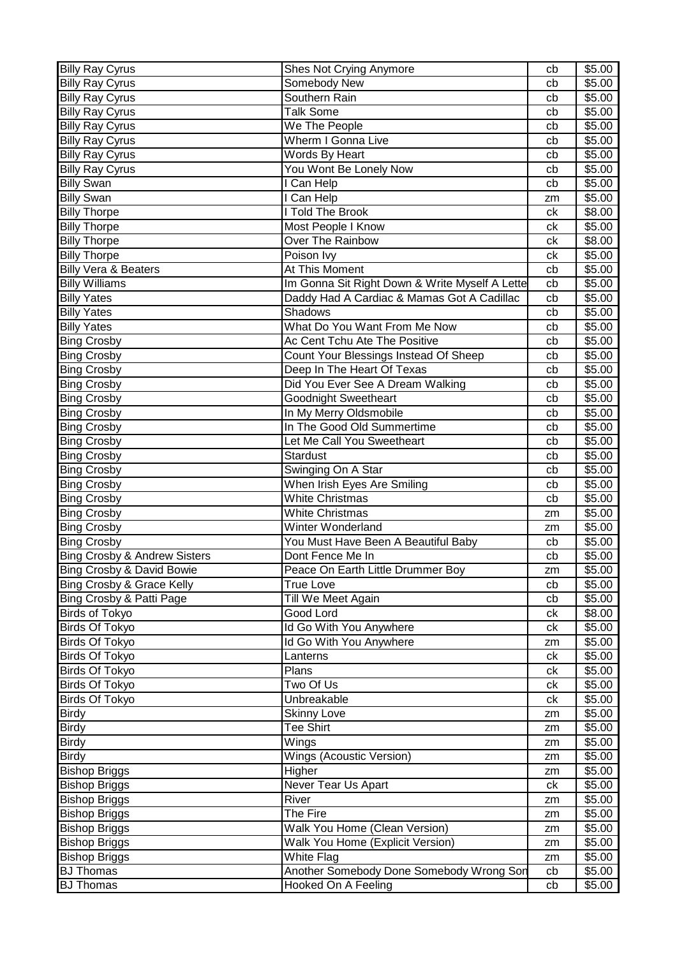| Somebody New<br>\$5.00<br><b>Billy Ray Cyrus</b><br>cb<br>Southern Rain<br><b>Billy Ray Cyrus</b><br>\$5.00<br>cb<br><b>Talk Some</b><br>\$5.00<br><b>Billy Ray Cyrus</b><br>cb<br>We The People<br>\$5.00<br><b>Billy Ray Cyrus</b><br>cb<br>Wherm I Gonna Live<br>\$5.00<br><b>Billy Ray Cyrus</b><br>cb<br>Words By Heart<br><b>Billy Ray Cyrus</b><br>\$5.00<br>cb<br>You Wont Be Lonely Now<br>\$5.00<br><b>Billy Ray Cyrus</b><br>cb<br>I Can Help<br>\$5.00<br><b>Billy Swan</b><br>cb<br><b>Billy Swan</b><br>I Can Help<br>\$5.00<br>zm<br><b>Told The Brook</b><br><b>Billy Thorpe</b><br>\$8.00<br>сk<br>Most People I Know<br>\$5.00<br><b>Billy Thorpe</b><br>сk<br>Over The Rainbow<br>\$8.00<br><b>Billy Thorpe</b><br>ck<br><b>Billy Thorpe</b><br>Poison Ivy<br>\$5.00<br>ck<br><b>Billy Vera &amp; Beaters</b><br>At This Moment<br>\$5.00<br>cb<br>Im Gonna Sit Right Down & Write Myself A Lette<br>\$5.00<br><b>Billy Williams</b><br>cb<br>Daddy Had A Cardiac & Mamas Got A Cadillac<br><b>Billy Yates</b><br>\$5.00<br>cb<br><b>Shadows</b><br><b>Billy Yates</b><br>\$5.00<br>cb<br><b>Billy Yates</b><br>What Do You Want From Me Now<br>\$5.00<br>cb<br>Ac Cent Tchu Ate The Positive<br><b>Bing Crosby</b><br>cb<br>\$5.00<br><b>Bing Crosby</b><br>Count Your Blessings Instead Of Sheep<br>\$5.00<br>cb<br>Deep In The Heart Of Texas<br>\$5.00<br><b>Bing Crosby</b><br>cb<br>Did You Ever See A Dream Walking<br>\$5.00<br><b>Bing Crosby</b><br>cb<br><b>Goodnight Sweetheart</b><br>\$5.00<br><b>Bing Crosby</b><br>cb<br>In My Merry Oldsmobile<br><b>Bing Crosby</b><br>\$5.00<br>cb<br>In The Good Old Summertime<br>\$5.00<br><b>Bing Crosby</b><br>cb<br>Let Me Call You Sweetheart<br>\$5.00<br><b>Bing Crosby</b><br>cb<br>Stardust<br>\$5.00<br><b>Bing Crosby</b><br>cb<br>\$5.00<br>Swinging On A Star<br><b>Bing Crosby</b><br>cb<br>When Irish Eyes Are Smiling<br><b>Bing Crosby</b><br>cb<br>\$5.00<br><b>White Christmas</b><br><b>Bing Crosby</b><br>\$5.00<br>cb<br><b>White Christmas</b><br>\$5.00<br><b>Bing Crosby</b><br>zm<br>Winter Wonderland<br>\$5.00<br><b>Bing Crosby</b><br>zm<br>You Must Have Been A Beautiful Baby<br>\$5.00<br><b>Bing Crosby</b><br>cb<br><b>Bing Crosby &amp; Andrew Sisters</b><br>Dont Fence Me In<br>\$5.00<br>cb<br>\$5.00<br><b>Bing Crosby &amp; David Bowie</b><br>Peace On Earth Little Drummer Boy<br>zm<br>Bing Crosby & Grace Kelly<br>\$5.00<br>True Love<br>cb<br>Bing Crosby & Patti Page<br>Till We Meet Again<br>\$5.00<br>cb<br><b>Birds of Tokyo</b><br>Good Lord<br>\$8.00<br>сk<br>Id Go With You Anywhere<br><b>Birds Of Tokyo</b><br>\$5.00<br>сk<br><b>Birds Of Tokyo</b><br>Id Go With You Anywhere<br>\$5.00<br>zm<br>\$5.00<br><b>Birds Of Tokyo</b><br>Lanterns<br>ck<br><b>Birds Of Tokyo</b><br>Plans<br>\$5.00<br>ck<br>Two Of Us<br><b>Birds Of Tokyo</b><br>\$5.00<br>сk<br>Unbreakable<br>Birds Of Tokyo<br>\$5.00<br>сk<br><b>Birdy</b><br><b>Skinny Love</b><br>\$5.00<br>zm<br><b>Tee Shirt</b><br>\$5.00<br><b>Birdy</b><br>zm<br>Wings<br>\$5.00<br><b>Birdy</b><br>zm<br>Wings (Acoustic Version)<br><b>Birdy</b><br>\$5.00<br>zm<br><b>Bishop Briggs</b><br>Higher<br>\$5.00<br>zm<br>Never Tear Us Apart<br>\$5.00<br><b>Bishop Briggs</b><br>ck<br>River<br>\$5.00<br><b>Bishop Briggs</b><br>zm<br>The Fire<br><b>Bishop Briggs</b><br>\$5.00<br>zm<br><b>Bishop Briggs</b><br>Walk You Home (Clean Version)<br>\$5.00<br>zm<br><b>Bishop Briggs</b><br>Walk You Home (Explicit Version)<br>\$5.00<br>zm<br><b>Bishop Briggs</b><br>White Flag<br>\$5.00<br>zm<br>Another Somebody Done Somebody Wrong Son<br>\$5.00<br><b>BJ Thomas</b><br>cb | <b>Billy Ray Cyrus</b> | Shes Not Crying Anymore | cb | \$5.00 |
|---------------------------------------------------------------------------------------------------------------------------------------------------------------------------------------------------------------------------------------------------------------------------------------------------------------------------------------------------------------------------------------------------------------------------------------------------------------------------------------------------------------------------------------------------------------------------------------------------------------------------------------------------------------------------------------------------------------------------------------------------------------------------------------------------------------------------------------------------------------------------------------------------------------------------------------------------------------------------------------------------------------------------------------------------------------------------------------------------------------------------------------------------------------------------------------------------------------------------------------------------------------------------------------------------------------------------------------------------------------------------------------------------------------------------------------------------------------------------------------------------------------------------------------------------------------------------------------------------------------------------------------------------------------------------------------------------------------------------------------------------------------------------------------------------------------------------------------------------------------------------------------------------------------------------------------------------------------------------------------------------------------------------------------------------------------------------------------------------------------------------------------------------------------------------------------------------------------------------------------------------------------------------------------------------------------------------------------------------------------------------------------------------------------------------------------------------------------------------------------------------------------------------------------------------------------------------------------------------------------------------------------------------------------------------------------------------------------------------------------------------------------------------------------------------------------------------------------------------------------------------------------------------------------------------------------------------------------------------------------------------------------------------------------------------------------------------------------------------------------------------------------------------------------------------------------------------------------------------------------------------------------------------------------------------------------------------------------------------------------------------------------------------------------------------------------------------------------------------------------------------------------------------------------------------------------------------------------------------------------------------------------------------------------------------------|------------------------|-------------------------|----|--------|
|                                                                                                                                                                                                                                                                                                                                                                                                                                                                                                                                                                                                                                                                                                                                                                                                                                                                                                                                                                                                                                                                                                                                                                                                                                                                                                                                                                                                                                                                                                                                                                                                                                                                                                                                                                                                                                                                                                                                                                                                                                                                                                                                                                                                                                                                                                                                                                                                                                                                                                                                                                                                                                                                                                                                                                                                                                                                                                                                                                                                                                                                                                                                                                                                                                                                                                                                                                                                                                                                                                                                                                                                                                                                                 |                        |                         |    |        |
|                                                                                                                                                                                                                                                                                                                                                                                                                                                                                                                                                                                                                                                                                                                                                                                                                                                                                                                                                                                                                                                                                                                                                                                                                                                                                                                                                                                                                                                                                                                                                                                                                                                                                                                                                                                                                                                                                                                                                                                                                                                                                                                                                                                                                                                                                                                                                                                                                                                                                                                                                                                                                                                                                                                                                                                                                                                                                                                                                                                                                                                                                                                                                                                                                                                                                                                                                                                                                                                                                                                                                                                                                                                                                 |                        |                         |    |        |
|                                                                                                                                                                                                                                                                                                                                                                                                                                                                                                                                                                                                                                                                                                                                                                                                                                                                                                                                                                                                                                                                                                                                                                                                                                                                                                                                                                                                                                                                                                                                                                                                                                                                                                                                                                                                                                                                                                                                                                                                                                                                                                                                                                                                                                                                                                                                                                                                                                                                                                                                                                                                                                                                                                                                                                                                                                                                                                                                                                                                                                                                                                                                                                                                                                                                                                                                                                                                                                                                                                                                                                                                                                                                                 |                        |                         |    |        |
|                                                                                                                                                                                                                                                                                                                                                                                                                                                                                                                                                                                                                                                                                                                                                                                                                                                                                                                                                                                                                                                                                                                                                                                                                                                                                                                                                                                                                                                                                                                                                                                                                                                                                                                                                                                                                                                                                                                                                                                                                                                                                                                                                                                                                                                                                                                                                                                                                                                                                                                                                                                                                                                                                                                                                                                                                                                                                                                                                                                                                                                                                                                                                                                                                                                                                                                                                                                                                                                                                                                                                                                                                                                                                 |                        |                         |    |        |
|                                                                                                                                                                                                                                                                                                                                                                                                                                                                                                                                                                                                                                                                                                                                                                                                                                                                                                                                                                                                                                                                                                                                                                                                                                                                                                                                                                                                                                                                                                                                                                                                                                                                                                                                                                                                                                                                                                                                                                                                                                                                                                                                                                                                                                                                                                                                                                                                                                                                                                                                                                                                                                                                                                                                                                                                                                                                                                                                                                                                                                                                                                                                                                                                                                                                                                                                                                                                                                                                                                                                                                                                                                                                                 |                        |                         |    |        |
|                                                                                                                                                                                                                                                                                                                                                                                                                                                                                                                                                                                                                                                                                                                                                                                                                                                                                                                                                                                                                                                                                                                                                                                                                                                                                                                                                                                                                                                                                                                                                                                                                                                                                                                                                                                                                                                                                                                                                                                                                                                                                                                                                                                                                                                                                                                                                                                                                                                                                                                                                                                                                                                                                                                                                                                                                                                                                                                                                                                                                                                                                                                                                                                                                                                                                                                                                                                                                                                                                                                                                                                                                                                                                 |                        |                         |    |        |
|                                                                                                                                                                                                                                                                                                                                                                                                                                                                                                                                                                                                                                                                                                                                                                                                                                                                                                                                                                                                                                                                                                                                                                                                                                                                                                                                                                                                                                                                                                                                                                                                                                                                                                                                                                                                                                                                                                                                                                                                                                                                                                                                                                                                                                                                                                                                                                                                                                                                                                                                                                                                                                                                                                                                                                                                                                                                                                                                                                                                                                                                                                                                                                                                                                                                                                                                                                                                                                                                                                                                                                                                                                                                                 |                        |                         |    |        |
|                                                                                                                                                                                                                                                                                                                                                                                                                                                                                                                                                                                                                                                                                                                                                                                                                                                                                                                                                                                                                                                                                                                                                                                                                                                                                                                                                                                                                                                                                                                                                                                                                                                                                                                                                                                                                                                                                                                                                                                                                                                                                                                                                                                                                                                                                                                                                                                                                                                                                                                                                                                                                                                                                                                                                                                                                                                                                                                                                                                                                                                                                                                                                                                                                                                                                                                                                                                                                                                                                                                                                                                                                                                                                 |                        |                         |    |        |
|                                                                                                                                                                                                                                                                                                                                                                                                                                                                                                                                                                                                                                                                                                                                                                                                                                                                                                                                                                                                                                                                                                                                                                                                                                                                                                                                                                                                                                                                                                                                                                                                                                                                                                                                                                                                                                                                                                                                                                                                                                                                                                                                                                                                                                                                                                                                                                                                                                                                                                                                                                                                                                                                                                                                                                                                                                                                                                                                                                                                                                                                                                                                                                                                                                                                                                                                                                                                                                                                                                                                                                                                                                                                                 |                        |                         |    |        |
|                                                                                                                                                                                                                                                                                                                                                                                                                                                                                                                                                                                                                                                                                                                                                                                                                                                                                                                                                                                                                                                                                                                                                                                                                                                                                                                                                                                                                                                                                                                                                                                                                                                                                                                                                                                                                                                                                                                                                                                                                                                                                                                                                                                                                                                                                                                                                                                                                                                                                                                                                                                                                                                                                                                                                                                                                                                                                                                                                                                                                                                                                                                                                                                                                                                                                                                                                                                                                                                                                                                                                                                                                                                                                 |                        |                         |    |        |
|                                                                                                                                                                                                                                                                                                                                                                                                                                                                                                                                                                                                                                                                                                                                                                                                                                                                                                                                                                                                                                                                                                                                                                                                                                                                                                                                                                                                                                                                                                                                                                                                                                                                                                                                                                                                                                                                                                                                                                                                                                                                                                                                                                                                                                                                                                                                                                                                                                                                                                                                                                                                                                                                                                                                                                                                                                                                                                                                                                                                                                                                                                                                                                                                                                                                                                                                                                                                                                                                                                                                                                                                                                                                                 |                        |                         |    |        |
|                                                                                                                                                                                                                                                                                                                                                                                                                                                                                                                                                                                                                                                                                                                                                                                                                                                                                                                                                                                                                                                                                                                                                                                                                                                                                                                                                                                                                                                                                                                                                                                                                                                                                                                                                                                                                                                                                                                                                                                                                                                                                                                                                                                                                                                                                                                                                                                                                                                                                                                                                                                                                                                                                                                                                                                                                                                                                                                                                                                                                                                                                                                                                                                                                                                                                                                                                                                                                                                                                                                                                                                                                                                                                 |                        |                         |    |        |
|                                                                                                                                                                                                                                                                                                                                                                                                                                                                                                                                                                                                                                                                                                                                                                                                                                                                                                                                                                                                                                                                                                                                                                                                                                                                                                                                                                                                                                                                                                                                                                                                                                                                                                                                                                                                                                                                                                                                                                                                                                                                                                                                                                                                                                                                                                                                                                                                                                                                                                                                                                                                                                                                                                                                                                                                                                                                                                                                                                                                                                                                                                                                                                                                                                                                                                                                                                                                                                                                                                                                                                                                                                                                                 |                        |                         |    |        |
|                                                                                                                                                                                                                                                                                                                                                                                                                                                                                                                                                                                                                                                                                                                                                                                                                                                                                                                                                                                                                                                                                                                                                                                                                                                                                                                                                                                                                                                                                                                                                                                                                                                                                                                                                                                                                                                                                                                                                                                                                                                                                                                                                                                                                                                                                                                                                                                                                                                                                                                                                                                                                                                                                                                                                                                                                                                                                                                                                                                                                                                                                                                                                                                                                                                                                                                                                                                                                                                                                                                                                                                                                                                                                 |                        |                         |    |        |
|                                                                                                                                                                                                                                                                                                                                                                                                                                                                                                                                                                                                                                                                                                                                                                                                                                                                                                                                                                                                                                                                                                                                                                                                                                                                                                                                                                                                                                                                                                                                                                                                                                                                                                                                                                                                                                                                                                                                                                                                                                                                                                                                                                                                                                                                                                                                                                                                                                                                                                                                                                                                                                                                                                                                                                                                                                                                                                                                                                                                                                                                                                                                                                                                                                                                                                                                                                                                                                                                                                                                                                                                                                                                                 |                        |                         |    |        |
|                                                                                                                                                                                                                                                                                                                                                                                                                                                                                                                                                                                                                                                                                                                                                                                                                                                                                                                                                                                                                                                                                                                                                                                                                                                                                                                                                                                                                                                                                                                                                                                                                                                                                                                                                                                                                                                                                                                                                                                                                                                                                                                                                                                                                                                                                                                                                                                                                                                                                                                                                                                                                                                                                                                                                                                                                                                                                                                                                                                                                                                                                                                                                                                                                                                                                                                                                                                                                                                                                                                                                                                                                                                                                 |                        |                         |    |        |
|                                                                                                                                                                                                                                                                                                                                                                                                                                                                                                                                                                                                                                                                                                                                                                                                                                                                                                                                                                                                                                                                                                                                                                                                                                                                                                                                                                                                                                                                                                                                                                                                                                                                                                                                                                                                                                                                                                                                                                                                                                                                                                                                                                                                                                                                                                                                                                                                                                                                                                                                                                                                                                                                                                                                                                                                                                                                                                                                                                                                                                                                                                                                                                                                                                                                                                                                                                                                                                                                                                                                                                                                                                                                                 |                        |                         |    |        |
|                                                                                                                                                                                                                                                                                                                                                                                                                                                                                                                                                                                                                                                                                                                                                                                                                                                                                                                                                                                                                                                                                                                                                                                                                                                                                                                                                                                                                                                                                                                                                                                                                                                                                                                                                                                                                                                                                                                                                                                                                                                                                                                                                                                                                                                                                                                                                                                                                                                                                                                                                                                                                                                                                                                                                                                                                                                                                                                                                                                                                                                                                                                                                                                                                                                                                                                                                                                                                                                                                                                                                                                                                                                                                 |                        |                         |    |        |
|                                                                                                                                                                                                                                                                                                                                                                                                                                                                                                                                                                                                                                                                                                                                                                                                                                                                                                                                                                                                                                                                                                                                                                                                                                                                                                                                                                                                                                                                                                                                                                                                                                                                                                                                                                                                                                                                                                                                                                                                                                                                                                                                                                                                                                                                                                                                                                                                                                                                                                                                                                                                                                                                                                                                                                                                                                                                                                                                                                                                                                                                                                                                                                                                                                                                                                                                                                                                                                                                                                                                                                                                                                                                                 |                        |                         |    |        |
|                                                                                                                                                                                                                                                                                                                                                                                                                                                                                                                                                                                                                                                                                                                                                                                                                                                                                                                                                                                                                                                                                                                                                                                                                                                                                                                                                                                                                                                                                                                                                                                                                                                                                                                                                                                                                                                                                                                                                                                                                                                                                                                                                                                                                                                                                                                                                                                                                                                                                                                                                                                                                                                                                                                                                                                                                                                                                                                                                                                                                                                                                                                                                                                                                                                                                                                                                                                                                                                                                                                                                                                                                                                                                 |                        |                         |    |        |
|                                                                                                                                                                                                                                                                                                                                                                                                                                                                                                                                                                                                                                                                                                                                                                                                                                                                                                                                                                                                                                                                                                                                                                                                                                                                                                                                                                                                                                                                                                                                                                                                                                                                                                                                                                                                                                                                                                                                                                                                                                                                                                                                                                                                                                                                                                                                                                                                                                                                                                                                                                                                                                                                                                                                                                                                                                                                                                                                                                                                                                                                                                                                                                                                                                                                                                                                                                                                                                                                                                                                                                                                                                                                                 |                        |                         |    |        |
|                                                                                                                                                                                                                                                                                                                                                                                                                                                                                                                                                                                                                                                                                                                                                                                                                                                                                                                                                                                                                                                                                                                                                                                                                                                                                                                                                                                                                                                                                                                                                                                                                                                                                                                                                                                                                                                                                                                                                                                                                                                                                                                                                                                                                                                                                                                                                                                                                                                                                                                                                                                                                                                                                                                                                                                                                                                                                                                                                                                                                                                                                                                                                                                                                                                                                                                                                                                                                                                                                                                                                                                                                                                                                 |                        |                         |    |        |
|                                                                                                                                                                                                                                                                                                                                                                                                                                                                                                                                                                                                                                                                                                                                                                                                                                                                                                                                                                                                                                                                                                                                                                                                                                                                                                                                                                                                                                                                                                                                                                                                                                                                                                                                                                                                                                                                                                                                                                                                                                                                                                                                                                                                                                                                                                                                                                                                                                                                                                                                                                                                                                                                                                                                                                                                                                                                                                                                                                                                                                                                                                                                                                                                                                                                                                                                                                                                                                                                                                                                                                                                                                                                                 |                        |                         |    |        |
|                                                                                                                                                                                                                                                                                                                                                                                                                                                                                                                                                                                                                                                                                                                                                                                                                                                                                                                                                                                                                                                                                                                                                                                                                                                                                                                                                                                                                                                                                                                                                                                                                                                                                                                                                                                                                                                                                                                                                                                                                                                                                                                                                                                                                                                                                                                                                                                                                                                                                                                                                                                                                                                                                                                                                                                                                                                                                                                                                                                                                                                                                                                                                                                                                                                                                                                                                                                                                                                                                                                                                                                                                                                                                 |                        |                         |    |        |
|                                                                                                                                                                                                                                                                                                                                                                                                                                                                                                                                                                                                                                                                                                                                                                                                                                                                                                                                                                                                                                                                                                                                                                                                                                                                                                                                                                                                                                                                                                                                                                                                                                                                                                                                                                                                                                                                                                                                                                                                                                                                                                                                                                                                                                                                                                                                                                                                                                                                                                                                                                                                                                                                                                                                                                                                                                                                                                                                                                                                                                                                                                                                                                                                                                                                                                                                                                                                                                                                                                                                                                                                                                                                                 |                        |                         |    |        |
|                                                                                                                                                                                                                                                                                                                                                                                                                                                                                                                                                                                                                                                                                                                                                                                                                                                                                                                                                                                                                                                                                                                                                                                                                                                                                                                                                                                                                                                                                                                                                                                                                                                                                                                                                                                                                                                                                                                                                                                                                                                                                                                                                                                                                                                                                                                                                                                                                                                                                                                                                                                                                                                                                                                                                                                                                                                                                                                                                                                                                                                                                                                                                                                                                                                                                                                                                                                                                                                                                                                                                                                                                                                                                 |                        |                         |    |        |
|                                                                                                                                                                                                                                                                                                                                                                                                                                                                                                                                                                                                                                                                                                                                                                                                                                                                                                                                                                                                                                                                                                                                                                                                                                                                                                                                                                                                                                                                                                                                                                                                                                                                                                                                                                                                                                                                                                                                                                                                                                                                                                                                                                                                                                                                                                                                                                                                                                                                                                                                                                                                                                                                                                                                                                                                                                                                                                                                                                                                                                                                                                                                                                                                                                                                                                                                                                                                                                                                                                                                                                                                                                                                                 |                        |                         |    |        |
|                                                                                                                                                                                                                                                                                                                                                                                                                                                                                                                                                                                                                                                                                                                                                                                                                                                                                                                                                                                                                                                                                                                                                                                                                                                                                                                                                                                                                                                                                                                                                                                                                                                                                                                                                                                                                                                                                                                                                                                                                                                                                                                                                                                                                                                                                                                                                                                                                                                                                                                                                                                                                                                                                                                                                                                                                                                                                                                                                                                                                                                                                                                                                                                                                                                                                                                                                                                                                                                                                                                                                                                                                                                                                 |                        |                         |    |        |
|                                                                                                                                                                                                                                                                                                                                                                                                                                                                                                                                                                                                                                                                                                                                                                                                                                                                                                                                                                                                                                                                                                                                                                                                                                                                                                                                                                                                                                                                                                                                                                                                                                                                                                                                                                                                                                                                                                                                                                                                                                                                                                                                                                                                                                                                                                                                                                                                                                                                                                                                                                                                                                                                                                                                                                                                                                                                                                                                                                                                                                                                                                                                                                                                                                                                                                                                                                                                                                                                                                                                                                                                                                                                                 |                        |                         |    |        |
|                                                                                                                                                                                                                                                                                                                                                                                                                                                                                                                                                                                                                                                                                                                                                                                                                                                                                                                                                                                                                                                                                                                                                                                                                                                                                                                                                                                                                                                                                                                                                                                                                                                                                                                                                                                                                                                                                                                                                                                                                                                                                                                                                                                                                                                                                                                                                                                                                                                                                                                                                                                                                                                                                                                                                                                                                                                                                                                                                                                                                                                                                                                                                                                                                                                                                                                                                                                                                                                                                                                                                                                                                                                                                 |                        |                         |    |        |
|                                                                                                                                                                                                                                                                                                                                                                                                                                                                                                                                                                                                                                                                                                                                                                                                                                                                                                                                                                                                                                                                                                                                                                                                                                                                                                                                                                                                                                                                                                                                                                                                                                                                                                                                                                                                                                                                                                                                                                                                                                                                                                                                                                                                                                                                                                                                                                                                                                                                                                                                                                                                                                                                                                                                                                                                                                                                                                                                                                                                                                                                                                                                                                                                                                                                                                                                                                                                                                                                                                                                                                                                                                                                                 |                        |                         |    |        |
|                                                                                                                                                                                                                                                                                                                                                                                                                                                                                                                                                                                                                                                                                                                                                                                                                                                                                                                                                                                                                                                                                                                                                                                                                                                                                                                                                                                                                                                                                                                                                                                                                                                                                                                                                                                                                                                                                                                                                                                                                                                                                                                                                                                                                                                                                                                                                                                                                                                                                                                                                                                                                                                                                                                                                                                                                                                                                                                                                                                                                                                                                                                                                                                                                                                                                                                                                                                                                                                                                                                                                                                                                                                                                 |                        |                         |    |        |
|                                                                                                                                                                                                                                                                                                                                                                                                                                                                                                                                                                                                                                                                                                                                                                                                                                                                                                                                                                                                                                                                                                                                                                                                                                                                                                                                                                                                                                                                                                                                                                                                                                                                                                                                                                                                                                                                                                                                                                                                                                                                                                                                                                                                                                                                                                                                                                                                                                                                                                                                                                                                                                                                                                                                                                                                                                                                                                                                                                                                                                                                                                                                                                                                                                                                                                                                                                                                                                                                                                                                                                                                                                                                                 |                        |                         |    |        |
|                                                                                                                                                                                                                                                                                                                                                                                                                                                                                                                                                                                                                                                                                                                                                                                                                                                                                                                                                                                                                                                                                                                                                                                                                                                                                                                                                                                                                                                                                                                                                                                                                                                                                                                                                                                                                                                                                                                                                                                                                                                                                                                                                                                                                                                                                                                                                                                                                                                                                                                                                                                                                                                                                                                                                                                                                                                                                                                                                                                                                                                                                                                                                                                                                                                                                                                                                                                                                                                                                                                                                                                                                                                                                 |                        |                         |    |        |
|                                                                                                                                                                                                                                                                                                                                                                                                                                                                                                                                                                                                                                                                                                                                                                                                                                                                                                                                                                                                                                                                                                                                                                                                                                                                                                                                                                                                                                                                                                                                                                                                                                                                                                                                                                                                                                                                                                                                                                                                                                                                                                                                                                                                                                                                                                                                                                                                                                                                                                                                                                                                                                                                                                                                                                                                                                                                                                                                                                                                                                                                                                                                                                                                                                                                                                                                                                                                                                                                                                                                                                                                                                                                                 |                        |                         |    |        |
|                                                                                                                                                                                                                                                                                                                                                                                                                                                                                                                                                                                                                                                                                                                                                                                                                                                                                                                                                                                                                                                                                                                                                                                                                                                                                                                                                                                                                                                                                                                                                                                                                                                                                                                                                                                                                                                                                                                                                                                                                                                                                                                                                                                                                                                                                                                                                                                                                                                                                                                                                                                                                                                                                                                                                                                                                                                                                                                                                                                                                                                                                                                                                                                                                                                                                                                                                                                                                                                                                                                                                                                                                                                                                 |                        |                         |    |        |
|                                                                                                                                                                                                                                                                                                                                                                                                                                                                                                                                                                                                                                                                                                                                                                                                                                                                                                                                                                                                                                                                                                                                                                                                                                                                                                                                                                                                                                                                                                                                                                                                                                                                                                                                                                                                                                                                                                                                                                                                                                                                                                                                                                                                                                                                                                                                                                                                                                                                                                                                                                                                                                                                                                                                                                                                                                                                                                                                                                                                                                                                                                                                                                                                                                                                                                                                                                                                                                                                                                                                                                                                                                                                                 |                        |                         |    |        |
|                                                                                                                                                                                                                                                                                                                                                                                                                                                                                                                                                                                                                                                                                                                                                                                                                                                                                                                                                                                                                                                                                                                                                                                                                                                                                                                                                                                                                                                                                                                                                                                                                                                                                                                                                                                                                                                                                                                                                                                                                                                                                                                                                                                                                                                                                                                                                                                                                                                                                                                                                                                                                                                                                                                                                                                                                                                                                                                                                                                                                                                                                                                                                                                                                                                                                                                                                                                                                                                                                                                                                                                                                                                                                 |                        |                         |    |        |
|                                                                                                                                                                                                                                                                                                                                                                                                                                                                                                                                                                                                                                                                                                                                                                                                                                                                                                                                                                                                                                                                                                                                                                                                                                                                                                                                                                                                                                                                                                                                                                                                                                                                                                                                                                                                                                                                                                                                                                                                                                                                                                                                                                                                                                                                                                                                                                                                                                                                                                                                                                                                                                                                                                                                                                                                                                                                                                                                                                                                                                                                                                                                                                                                                                                                                                                                                                                                                                                                                                                                                                                                                                                                                 |                        |                         |    |        |
|                                                                                                                                                                                                                                                                                                                                                                                                                                                                                                                                                                                                                                                                                                                                                                                                                                                                                                                                                                                                                                                                                                                                                                                                                                                                                                                                                                                                                                                                                                                                                                                                                                                                                                                                                                                                                                                                                                                                                                                                                                                                                                                                                                                                                                                                                                                                                                                                                                                                                                                                                                                                                                                                                                                                                                                                                                                                                                                                                                                                                                                                                                                                                                                                                                                                                                                                                                                                                                                                                                                                                                                                                                                                                 |                        |                         |    |        |
|                                                                                                                                                                                                                                                                                                                                                                                                                                                                                                                                                                                                                                                                                                                                                                                                                                                                                                                                                                                                                                                                                                                                                                                                                                                                                                                                                                                                                                                                                                                                                                                                                                                                                                                                                                                                                                                                                                                                                                                                                                                                                                                                                                                                                                                                                                                                                                                                                                                                                                                                                                                                                                                                                                                                                                                                                                                                                                                                                                                                                                                                                                                                                                                                                                                                                                                                                                                                                                                                                                                                                                                                                                                                                 |                        |                         |    |        |
|                                                                                                                                                                                                                                                                                                                                                                                                                                                                                                                                                                                                                                                                                                                                                                                                                                                                                                                                                                                                                                                                                                                                                                                                                                                                                                                                                                                                                                                                                                                                                                                                                                                                                                                                                                                                                                                                                                                                                                                                                                                                                                                                                                                                                                                                                                                                                                                                                                                                                                                                                                                                                                                                                                                                                                                                                                                                                                                                                                                                                                                                                                                                                                                                                                                                                                                                                                                                                                                                                                                                                                                                                                                                                 |                        |                         |    |        |
|                                                                                                                                                                                                                                                                                                                                                                                                                                                                                                                                                                                                                                                                                                                                                                                                                                                                                                                                                                                                                                                                                                                                                                                                                                                                                                                                                                                                                                                                                                                                                                                                                                                                                                                                                                                                                                                                                                                                                                                                                                                                                                                                                                                                                                                                                                                                                                                                                                                                                                                                                                                                                                                                                                                                                                                                                                                                                                                                                                                                                                                                                                                                                                                                                                                                                                                                                                                                                                                                                                                                                                                                                                                                                 |                        |                         |    |        |
|                                                                                                                                                                                                                                                                                                                                                                                                                                                                                                                                                                                                                                                                                                                                                                                                                                                                                                                                                                                                                                                                                                                                                                                                                                                                                                                                                                                                                                                                                                                                                                                                                                                                                                                                                                                                                                                                                                                                                                                                                                                                                                                                                                                                                                                                                                                                                                                                                                                                                                                                                                                                                                                                                                                                                                                                                                                                                                                                                                                                                                                                                                                                                                                                                                                                                                                                                                                                                                                                                                                                                                                                                                                                                 |                        |                         |    |        |
|                                                                                                                                                                                                                                                                                                                                                                                                                                                                                                                                                                                                                                                                                                                                                                                                                                                                                                                                                                                                                                                                                                                                                                                                                                                                                                                                                                                                                                                                                                                                                                                                                                                                                                                                                                                                                                                                                                                                                                                                                                                                                                                                                                                                                                                                                                                                                                                                                                                                                                                                                                                                                                                                                                                                                                                                                                                                                                                                                                                                                                                                                                                                                                                                                                                                                                                                                                                                                                                                                                                                                                                                                                                                                 |                        |                         |    |        |
|                                                                                                                                                                                                                                                                                                                                                                                                                                                                                                                                                                                                                                                                                                                                                                                                                                                                                                                                                                                                                                                                                                                                                                                                                                                                                                                                                                                                                                                                                                                                                                                                                                                                                                                                                                                                                                                                                                                                                                                                                                                                                                                                                                                                                                                                                                                                                                                                                                                                                                                                                                                                                                                                                                                                                                                                                                                                                                                                                                                                                                                                                                                                                                                                                                                                                                                                                                                                                                                                                                                                                                                                                                                                                 |                        |                         |    |        |
|                                                                                                                                                                                                                                                                                                                                                                                                                                                                                                                                                                                                                                                                                                                                                                                                                                                                                                                                                                                                                                                                                                                                                                                                                                                                                                                                                                                                                                                                                                                                                                                                                                                                                                                                                                                                                                                                                                                                                                                                                                                                                                                                                                                                                                                                                                                                                                                                                                                                                                                                                                                                                                                                                                                                                                                                                                                                                                                                                                                                                                                                                                                                                                                                                                                                                                                                                                                                                                                                                                                                                                                                                                                                                 |                        |                         |    |        |
|                                                                                                                                                                                                                                                                                                                                                                                                                                                                                                                                                                                                                                                                                                                                                                                                                                                                                                                                                                                                                                                                                                                                                                                                                                                                                                                                                                                                                                                                                                                                                                                                                                                                                                                                                                                                                                                                                                                                                                                                                                                                                                                                                                                                                                                                                                                                                                                                                                                                                                                                                                                                                                                                                                                                                                                                                                                                                                                                                                                                                                                                                                                                                                                                                                                                                                                                                                                                                                                                                                                                                                                                                                                                                 |                        |                         |    |        |
|                                                                                                                                                                                                                                                                                                                                                                                                                                                                                                                                                                                                                                                                                                                                                                                                                                                                                                                                                                                                                                                                                                                                                                                                                                                                                                                                                                                                                                                                                                                                                                                                                                                                                                                                                                                                                                                                                                                                                                                                                                                                                                                                                                                                                                                                                                                                                                                                                                                                                                                                                                                                                                                                                                                                                                                                                                                                                                                                                                                                                                                                                                                                                                                                                                                                                                                                                                                                                                                                                                                                                                                                                                                                                 |                        |                         |    |        |
|                                                                                                                                                                                                                                                                                                                                                                                                                                                                                                                                                                                                                                                                                                                                                                                                                                                                                                                                                                                                                                                                                                                                                                                                                                                                                                                                                                                                                                                                                                                                                                                                                                                                                                                                                                                                                                                                                                                                                                                                                                                                                                                                                                                                                                                                                                                                                                                                                                                                                                                                                                                                                                                                                                                                                                                                                                                                                                                                                                                                                                                                                                                                                                                                                                                                                                                                                                                                                                                                                                                                                                                                                                                                                 |                        |                         |    |        |
|                                                                                                                                                                                                                                                                                                                                                                                                                                                                                                                                                                                                                                                                                                                                                                                                                                                                                                                                                                                                                                                                                                                                                                                                                                                                                                                                                                                                                                                                                                                                                                                                                                                                                                                                                                                                                                                                                                                                                                                                                                                                                                                                                                                                                                                                                                                                                                                                                                                                                                                                                                                                                                                                                                                                                                                                                                                                                                                                                                                                                                                                                                                                                                                                                                                                                                                                                                                                                                                                                                                                                                                                                                                                                 |                        |                         |    |        |
|                                                                                                                                                                                                                                                                                                                                                                                                                                                                                                                                                                                                                                                                                                                                                                                                                                                                                                                                                                                                                                                                                                                                                                                                                                                                                                                                                                                                                                                                                                                                                                                                                                                                                                                                                                                                                                                                                                                                                                                                                                                                                                                                                                                                                                                                                                                                                                                                                                                                                                                                                                                                                                                                                                                                                                                                                                                                                                                                                                                                                                                                                                                                                                                                                                                                                                                                                                                                                                                                                                                                                                                                                                                                                 |                        |                         |    |        |
|                                                                                                                                                                                                                                                                                                                                                                                                                                                                                                                                                                                                                                                                                                                                                                                                                                                                                                                                                                                                                                                                                                                                                                                                                                                                                                                                                                                                                                                                                                                                                                                                                                                                                                                                                                                                                                                                                                                                                                                                                                                                                                                                                                                                                                                                                                                                                                                                                                                                                                                                                                                                                                                                                                                                                                                                                                                                                                                                                                                                                                                                                                                                                                                                                                                                                                                                                                                                                                                                                                                                                                                                                                                                                 |                        |                         |    |        |
|                                                                                                                                                                                                                                                                                                                                                                                                                                                                                                                                                                                                                                                                                                                                                                                                                                                                                                                                                                                                                                                                                                                                                                                                                                                                                                                                                                                                                                                                                                                                                                                                                                                                                                                                                                                                                                                                                                                                                                                                                                                                                                                                                                                                                                                                                                                                                                                                                                                                                                                                                                                                                                                                                                                                                                                                                                                                                                                                                                                                                                                                                                                                                                                                                                                                                                                                                                                                                                                                                                                                                                                                                                                                                 |                        |                         |    |        |
|                                                                                                                                                                                                                                                                                                                                                                                                                                                                                                                                                                                                                                                                                                                                                                                                                                                                                                                                                                                                                                                                                                                                                                                                                                                                                                                                                                                                                                                                                                                                                                                                                                                                                                                                                                                                                                                                                                                                                                                                                                                                                                                                                                                                                                                                                                                                                                                                                                                                                                                                                                                                                                                                                                                                                                                                                                                                                                                                                                                                                                                                                                                                                                                                                                                                                                                                                                                                                                                                                                                                                                                                                                                                                 |                        |                         |    |        |
|                                                                                                                                                                                                                                                                                                                                                                                                                                                                                                                                                                                                                                                                                                                                                                                                                                                                                                                                                                                                                                                                                                                                                                                                                                                                                                                                                                                                                                                                                                                                                                                                                                                                                                                                                                                                                                                                                                                                                                                                                                                                                                                                                                                                                                                                                                                                                                                                                                                                                                                                                                                                                                                                                                                                                                                                                                                                                                                                                                                                                                                                                                                                                                                                                                                                                                                                                                                                                                                                                                                                                                                                                                                                                 |                        |                         |    |        |
|                                                                                                                                                                                                                                                                                                                                                                                                                                                                                                                                                                                                                                                                                                                                                                                                                                                                                                                                                                                                                                                                                                                                                                                                                                                                                                                                                                                                                                                                                                                                                                                                                                                                                                                                                                                                                                                                                                                                                                                                                                                                                                                                                                                                                                                                                                                                                                                                                                                                                                                                                                                                                                                                                                                                                                                                                                                                                                                                                                                                                                                                                                                                                                                                                                                                                                                                                                                                                                                                                                                                                                                                                                                                                 | <b>BJ Thomas</b>       | Hooked On A Feeling     | cb | \$5.00 |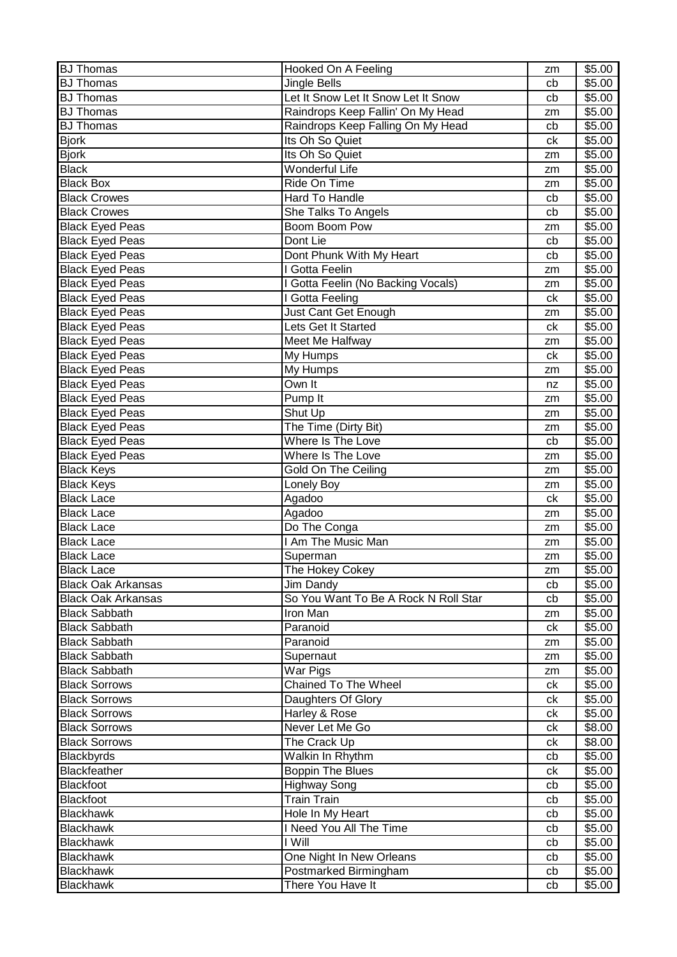| <b>BJ Thomas</b>          | Hooked On A Feeling                  | zm | \$5.00 |
|---------------------------|--------------------------------------|----|--------|
| <b>BJ Thomas</b>          | Jingle Bells                         | cb | \$5.00 |
| <b>BJ Thomas</b>          | Let It Snow Let It Snow Let It Snow  | cb | \$5.00 |
| <b>BJ</b> Thomas          | Raindrops Keep Fallin' On My Head    | zm | \$5.00 |
| <b>BJ</b> Thomas          | Raindrops Keep Falling On My Head    | cb | \$5.00 |
| <b>Bjork</b>              | Its Oh So Quiet                      | ck | \$5.00 |
| <b>Bjork</b>              | Its Oh So Quiet                      | zm | \$5.00 |
| <b>Black</b>              | Wonderful Life                       | zm | \$5.00 |
| <b>Black Box</b>          | Ride On Time                         | zm | \$5.00 |
| <b>Black Crowes</b>       | Hard To Handle                       | cb | \$5.00 |
| <b>Black Crowes</b>       | She Talks To Angels                  | cb | \$5.00 |
| <b>Black Eyed Peas</b>    | Boom Boom Pow                        | zm | \$5.00 |
| <b>Black Eyed Peas</b>    | Dont Lie                             | cb | \$5.00 |
| <b>Black Eyed Peas</b>    | Dont Phunk With My Heart             | cb | \$5.00 |
| <b>Black Eyed Peas</b>    | I Gotta Feelin                       | zm | \$5.00 |
| <b>Black Eyed Peas</b>    | I Gotta Feelin (No Backing Vocals)   | zm | \$5.00 |
| <b>Black Eyed Peas</b>    | I Gotta Feeling                      | ck | \$5.00 |
| <b>Black Eyed Peas</b>    | Just Cant Get Enough                 | zm | \$5.00 |
| <b>Black Eyed Peas</b>    | Lets Get It Started                  | ck | \$5.00 |
| <b>Black Eyed Peas</b>    | Meet Me Halfway                      | zm | \$5.00 |
| <b>Black Eyed Peas</b>    | My Humps                             | ck | \$5.00 |
| <b>Black Eyed Peas</b>    | My Humps                             | zm | \$5.00 |
| <b>Black Eyed Peas</b>    | Own It                               | nz | \$5.00 |
| <b>Black Eyed Peas</b>    | Pump It                              | zm | \$5.00 |
| <b>Black Eyed Peas</b>    | Shut Up                              | zm | \$5.00 |
| <b>Black Eyed Peas</b>    | The Time (Dirty Bit)                 | zm | \$5.00 |
| <b>Black Eyed Peas</b>    | Where Is The Love                    | cb | \$5.00 |
| <b>Black Eyed Peas</b>    | Where Is The Love                    | zm | \$5.00 |
| <b>Black Keys</b>         | Gold On The Ceiling                  | zm | \$5.00 |
| <b>Black Keys</b>         | Lonely Boy                           | zm | \$5.00 |
| <b>Black Lace</b>         | Agadoo                               | ck | \$5.00 |
| <b>Black Lace</b>         | Agadoo                               | zm | \$5.00 |
| <b>Black Lace</b>         | Do The Conga                         | zm | \$5.00 |
| <b>Black Lace</b>         | I Am The Music Man                   | zm | \$5.00 |
| <b>Black Lace</b>         | Superman                             | zm | \$5.00 |
| <b>Black Lace</b>         | The Hokey Cokey                      | zm | \$5.00 |
| <b>Black Oak Arkansas</b> | Jim Dandy                            | cb | \$5.00 |
| <b>Black Oak Arkansas</b> | So You Want To Be A Rock N Roll Star | cb | \$5.00 |
| <b>Black Sabbath</b>      | Iron Man                             | zm | \$5.00 |
| <b>Black Sabbath</b>      | Paranoid                             | сk | \$5.00 |
| <b>Black Sabbath</b>      | Paranoid                             | zm | \$5.00 |
| <b>Black Sabbath</b>      | Supernaut                            | zm | \$5.00 |
| <b>Black Sabbath</b>      | War Pigs                             | zm | \$5.00 |
| <b>Black Sorrows</b>      | Chained To The Wheel                 | ck | \$5.00 |
| <b>Black Sorrows</b>      | Daughters Of Glory                   | сk | \$5.00 |
| <b>Black Sorrows</b>      | Harley & Rose                        | ck | \$5.00 |
| <b>Black Sorrows</b>      | Never Let Me Go                      | сk | \$8.00 |
| <b>Black Sorrows</b>      | The Crack Up                         | ck | \$8.00 |
| Blackbyrds                | Walkin In Rhythm                     | cb | \$5.00 |
| <b>Blackfeather</b>       | <b>Boppin The Blues</b>              | сk | \$5.00 |
| <b>Blackfoot</b>          | <b>Highway Song</b>                  | cb | \$5.00 |
| <b>Blackfoot</b>          | <b>Train Train</b>                   | cb | \$5.00 |
| <b>Blackhawk</b>          | Hole In My Heart                     | cb | \$5.00 |
| <b>Blackhawk</b>          | I Need You All The Time              | cb | \$5.00 |
| <b>Blackhawk</b>          | I Will                               | cb | \$5.00 |
| <b>Blackhawk</b>          | One Night In New Orleans             | cb | \$5.00 |
| <b>Blackhawk</b>          | Postmarked Birmingham                | cb | \$5.00 |
| <b>Blackhawk</b>          | There You Have It                    | cb | \$5.00 |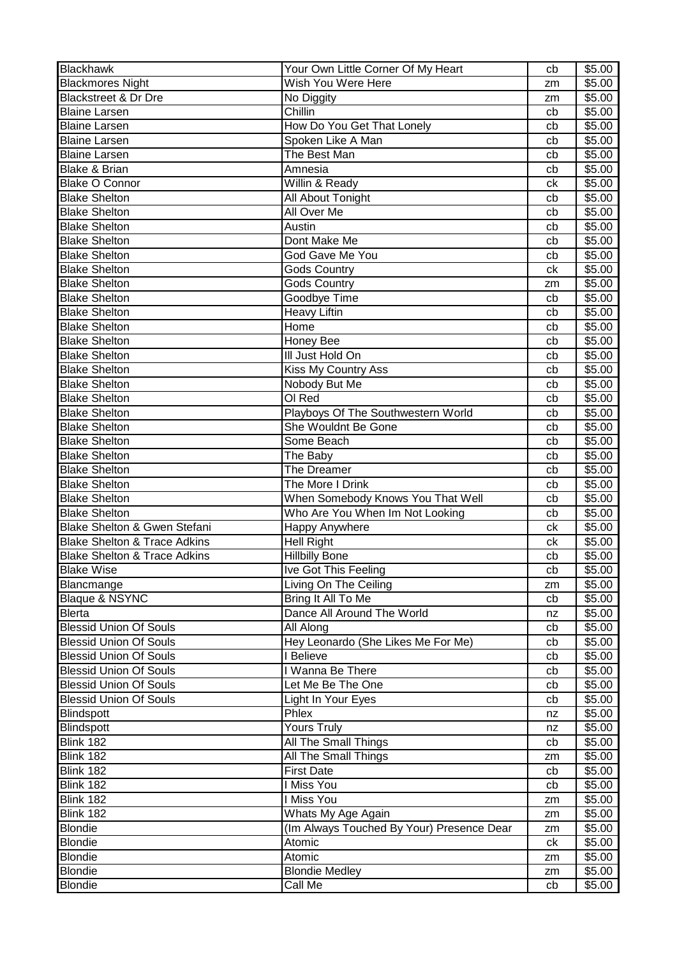| <b>Blackhawk</b>                        | Your Own Little Corner Of My Heart        | cb | \$5.00             |
|-----------------------------------------|-------------------------------------------|----|--------------------|
| <b>Blackmores Night</b>                 | Wish You Were Here                        | zm | \$5.00             |
| <b>Blackstreet &amp; Dr Dre</b>         | No Diggity                                | zm | \$5.00             |
| <b>Blaine Larsen</b>                    | Chillin                                   | cb | \$5.00             |
| <b>Blaine Larsen</b>                    | How Do You Get That Lonely                | cb | \$5.00             |
| <b>Blaine Larsen</b>                    | Spoken Like A Man                         | cb | $\overline{$}5.00$ |
| <b>Blaine Larsen</b>                    | The Best Man                              | cb | \$5.00             |
| <b>Blake &amp; Brian</b>                | Amnesia                                   | cb | \$5.00             |
| <b>Blake O Connor</b>                   | Willin & Ready                            | ck | \$5.00             |
| <b>Blake Shelton</b>                    | All About Tonight                         | cb | \$5.00             |
| <b>Blake Shelton</b>                    | All Over Me                               | cb | \$5.00             |
| <b>Blake Shelton</b>                    | Austin                                    | cb | \$5.00             |
| <b>Blake Shelton</b>                    | Dont Make Me                              | cb | \$5.00             |
| <b>Blake Shelton</b>                    | God Gave Me You                           | cb | \$5.00             |
| <b>Blake Shelton</b>                    | <b>Gods Country</b>                       | ck | \$5.00             |
| <b>Blake Shelton</b>                    | <b>Gods Country</b>                       | zm | \$5.00             |
| <b>Blake Shelton</b>                    | <b>Goodbye Time</b>                       | cb | \$5.00             |
| <b>Blake Shelton</b>                    | <b>Heavy Liftin</b>                       | cb | \$5.00             |
| <b>Blake Shelton</b>                    | Home                                      | cb | \$5.00             |
| <b>Blake Shelton</b>                    | Honey Bee                                 | cb | \$5.00             |
| <b>Blake Shelton</b>                    | III Just Hold On                          | cb | \$5.00             |
| <b>Blake Shelton</b>                    | Kiss My Country Ass                       | cb | \$5.00             |
| <b>Blake Shelton</b>                    | Nobody But Me                             | cb | \$5.00             |
| <b>Blake Shelton</b>                    | OI Red                                    | cb | \$5.00             |
| <b>Blake Shelton</b>                    | Playboys Of The Southwestern World        | cb | \$5.00             |
| <b>Blake Shelton</b>                    | She Wouldnt Be Gone                       | cb | \$5.00             |
| <b>Blake Shelton</b>                    | Some Beach                                | cb | \$5.00             |
| <b>Blake Shelton</b>                    | The Baby                                  | cb | \$5.00             |
| <b>Blake Shelton</b>                    | The Dreamer                               | cb | \$5.00             |
| <b>Blake Shelton</b>                    | The More I Drink                          | cb | \$5.00             |
| <b>Blake Shelton</b>                    | When Somebody Knows You That Well         | cb | \$5.00             |
| <b>Blake Shelton</b>                    | Who Are You When Im Not Looking           | cb | \$5.00             |
| Blake Shelton & Gwen Stefani            | <b>Happy Anywhere</b>                     | ck | \$5.00             |
| <b>Blake Shelton &amp; Trace Adkins</b> | <b>Hell Right</b>                         | ck | \$5.00             |
| <b>Blake Shelton &amp; Trace Adkins</b> | <b>Hillbilly Bone</b>                     | cb | \$5.00             |
| <b>Blake Wise</b>                       | Ive Got This Feeling                      | cb | \$5.00             |
| Blancmange                              | Living On The Ceiling                     | zm | \$5.00             |
| Blaque & NSYNC                          | Bring It All To Me                        | cb | \$5.00             |
| <b>Blerta</b>                           | Dance All Around The World                | nz | \$5.00             |
| <b>Blessid Union Of Souls</b>           | All Along                                 | cb | \$5.00             |
| <b>Blessid Union Of Souls</b>           | Hey Leonardo (She Likes Me For Me)        | cb | \$5.00             |
| <b>Blessid Union Of Souls</b>           | I Believe                                 | cb | \$5.00             |
| <b>Blessid Union Of Souls</b>           | I Wanna Be There                          | cb | \$5.00             |
| <b>Blessid Union Of Souls</b>           | Let Me Be The One                         | cb | \$5.00             |
| <b>Blessid Union Of Souls</b>           | Light In Your Eyes                        | cb | \$5.00             |
| <b>Blindspott</b>                       | Phlex                                     | nz | \$5.00             |
| <b>Blindspott</b>                       | <b>Yours Truly</b>                        | nz | \$5.00             |
| Blink 182                               | <b>All The Small Things</b>               | cb | \$5.00             |
| Blink 182                               | <b>All The Small Things</b>               | zm | \$5.00             |
| Blink 182                               | <b>First Date</b>                         | cb | \$5.00             |
| Blink 182                               | I Miss You                                | cb | \$5.00             |
| Blink 182                               | I Miss You                                | zm | \$5.00             |
| Blink 182                               | Whats My Age Again                        | zm | \$5.00             |
| <b>Blondie</b>                          | (Im Always Touched By Your) Presence Dear | zm | \$5.00             |
| <b>Blondie</b>                          | Atomic                                    | ck | \$5.00             |
| <b>Blondie</b>                          | Atomic                                    | zm | \$5.00             |
| <b>Blondie</b>                          | <b>Blondie Medley</b>                     | zm | \$5.00             |
| <b>Blondie</b>                          | Call Me                                   | cb | \$5.00             |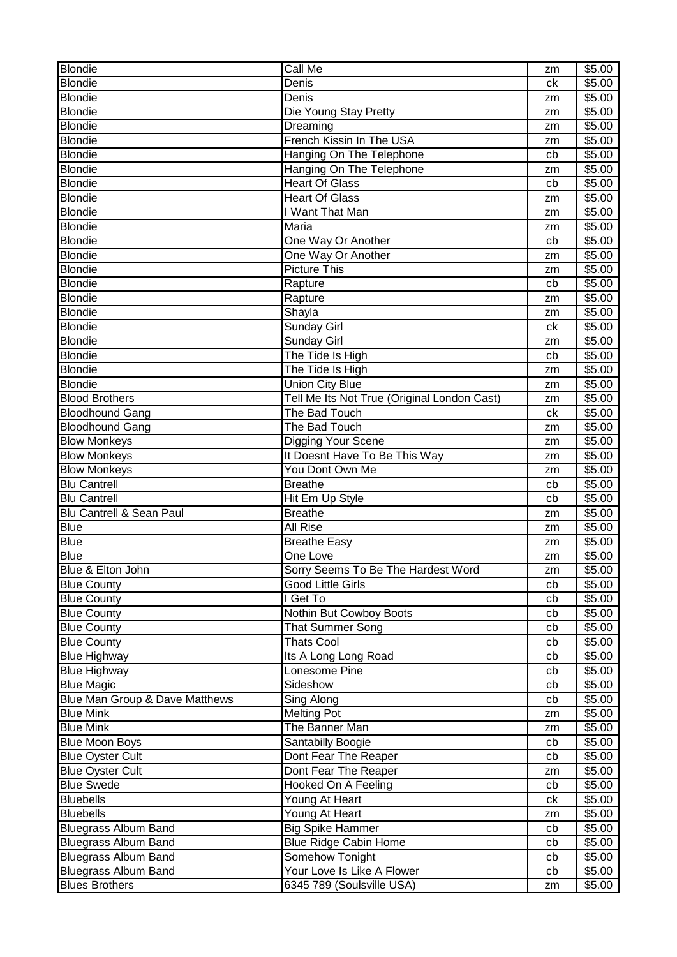| <b>Blondie</b><br>\$5.00<br>Denis<br>ck<br><b>Blondie</b><br>Denis<br>\$5.00<br>zm<br><b>Blondie</b><br>Die Young Stay Pretty<br>\$5.00<br>zm<br><b>Blondie</b><br>Dreaming<br>\$5.00<br>zm<br><b>Blondie</b><br>French Kissin In The USA<br>\$5.00<br>zm<br><b>Blondie</b><br>Hanging On The Telephone<br>\$5.00<br>cb<br><b>Blondie</b><br>Hanging On The Telephone<br>\$5.00<br>zm<br><b>Blondie</b><br><b>Heart Of Glass</b><br>\$5.00<br>cb<br><b>Blondie</b><br><b>Heart Of Glass</b><br>\$5.00<br>zm<br><b>Blondie</b><br>I Want That Man<br>\$5.00<br>zm<br><b>Blondie</b><br>Maria<br>\$5.00<br>zm<br><b>Blondie</b><br>One Way Or Another<br>\$5.00<br>cb<br><b>Blondie</b><br>One Way Or Another<br>\$5.00<br>zm<br><b>Picture This</b><br><b>Blondie</b><br>\$5.00<br>zm<br><b>Blondie</b><br>Rapture<br>\$5.00<br>cb<br><b>Blondie</b><br>\$5.00<br>Rapture<br>zm<br><b>Blondie</b><br>Shayla<br>\$5.00<br>zm<br><b>Blondie</b><br><b>Sunday Girl</b><br>ck<br>\$5.00<br><b>Blondie</b><br><b>Sunday Girl</b><br>\$5.00<br>zm<br><b>Blondie</b><br>The Tide Is High<br>\$5.00<br>cb<br><b>Blondie</b><br>The Tide Is High<br>\$5.00<br>zm<br><b>Blondie</b><br>Union City Blue<br>\$5.00<br>zm<br><b>Blood Brothers</b><br>Tell Me Its Not True (Original London Cast)<br>\$5.00<br>zm<br>The Bad Touch<br><b>Bloodhound Gang</b><br>\$5.00<br>ck<br><b>Bloodhound Gang</b><br>The Bad Touch<br>\$5.00<br>zm<br><b>Blow Monkeys</b><br>Digging Your Scene<br>\$5.00<br>zm<br>It Doesnt Have To Be This Way<br><b>Blow Monkeys</b><br>\$5.00<br>zm<br>You Dont Own Me<br><b>Blow Monkeys</b><br>\$5.00<br>zm<br><b>Blu Cantrell</b><br><b>Breathe</b><br>\$5.00<br>cb<br><b>Blu Cantrell</b><br>Hit Em Up Style<br>\$5.00<br>cb<br>Blu Cantrell & Sean Paul<br><b>Breathe</b><br>\$5.00<br>zm<br><b>Blue</b><br>All Rise<br>\$5.00<br>zm<br><b>Blue</b><br><b>Breathe Easy</b><br>\$5.00<br>zm<br><b>Blue</b><br>One Love<br>\$5.00<br>zm<br>\$5.00<br>Blue & Elton John<br>Sorry Seems To Be The Hardest Word<br>zm<br>Good Little Girls<br>\$5.00<br><b>Blue County</b><br>cb<br>I Get To<br>\$5.00<br><b>Blue County</b><br>cb<br>Nothin But Cowboy Boots<br>\$5.00<br><b>Blue County</b><br>cb<br><b>Blue County</b><br><b>That Summer Song</b><br>\$5.00<br>cb<br><b>Blue County</b><br><b>Thats Cool</b><br>\$5.00<br>cb<br>Its A Long Long Road<br><b>Blue Highway</b><br>\$5.00<br>cb<br>Lonesome Pine<br>\$5.00<br><b>Blue Highway</b><br>cb<br><b>Blue Magic</b><br>Sideshow<br>\$5.00<br>cb<br>Blue Man Group & Dave Matthews<br>Sing Along<br>\$5.00<br>cb<br><b>Melting Pot</b><br><b>Blue Mink</b><br>\$5.00<br>zm<br>The Banner Man<br><b>Blue Mink</b><br>\$5.00<br>zm<br><b>Blue Moon Boys</b><br>Santabilly Boogie<br>\$5.00<br>cb<br><b>Blue Oyster Cult</b><br>Dont Fear The Reaper<br>cb<br>\$5.00<br><b>Blue Oyster Cult</b><br>Dont Fear The Reaper<br>\$5.00<br>zm<br><b>Blue Swede</b><br>Hooked On A Feeling<br>\$5.00<br>cb<br><b>Bluebells</b><br>Young At Heart<br>\$5.00<br>ck<br><b>Bluebells</b><br>Young At Heart<br>\$5.00<br>zm<br><b>Bluegrass Album Band</b><br><b>Big Spike Hammer</b><br>\$5.00<br>cb<br><b>Bluegrass Album Band</b><br><b>Blue Ridge Cabin Home</b><br>\$5.00<br>cb<br><b>Bluegrass Album Band</b><br>Somehow Tonight<br>\$5.00<br>cb<br><b>Bluegrass Album Band</b><br>Your Love Is Like A Flower<br>\$5.00<br>cb<br>6345 789 (Soulsville USA)<br><b>Blues Brothers</b><br>\$5.00<br>zm | <b>Blondie</b> | Call Me | zm | \$5.00 |
|--------------------------------------------------------------------------------------------------------------------------------------------------------------------------------------------------------------------------------------------------------------------------------------------------------------------------------------------------------------------------------------------------------------------------------------------------------------------------------------------------------------------------------------------------------------------------------------------------------------------------------------------------------------------------------------------------------------------------------------------------------------------------------------------------------------------------------------------------------------------------------------------------------------------------------------------------------------------------------------------------------------------------------------------------------------------------------------------------------------------------------------------------------------------------------------------------------------------------------------------------------------------------------------------------------------------------------------------------------------------------------------------------------------------------------------------------------------------------------------------------------------------------------------------------------------------------------------------------------------------------------------------------------------------------------------------------------------------------------------------------------------------------------------------------------------------------------------------------------------------------------------------------------------------------------------------------------------------------------------------------------------------------------------------------------------------------------------------------------------------------------------------------------------------------------------------------------------------------------------------------------------------------------------------------------------------------------------------------------------------------------------------------------------------------------------------------------------------------------------------------------------------------------------------------------------------------------------------------------------------------------------------------------------------------------------------------------------------------------------------------------------------------------------------------------------------------------------------------------------------------------------------------------------------------------------------------------------------------------------------------------------------------------------------------------------------------------------------------------------------------------------------------------------------------------------------------------------------------------------------------------------------------------------------------------------------------------------------------------------------------------------------------------------------------------------------------------------|----------------|---------|----|--------|
|                                                                                                                                                                                                                                                                                                                                                                                                                                                                                                                                                                                                                                                                                                                                                                                                                                                                                                                                                                                                                                                                                                                                                                                                                                                                                                                                                                                                                                                                                                                                                                                                                                                                                                                                                                                                                                                                                                                                                                                                                                                                                                                                                                                                                                                                                                                                                                                                                                                                                                                                                                                                                                                                                                                                                                                                                                                                                                                                                                                                                                                                                                                                                                                                                                                                                                                                                                                                                                                              |                |         |    |        |
|                                                                                                                                                                                                                                                                                                                                                                                                                                                                                                                                                                                                                                                                                                                                                                                                                                                                                                                                                                                                                                                                                                                                                                                                                                                                                                                                                                                                                                                                                                                                                                                                                                                                                                                                                                                                                                                                                                                                                                                                                                                                                                                                                                                                                                                                                                                                                                                                                                                                                                                                                                                                                                                                                                                                                                                                                                                                                                                                                                                                                                                                                                                                                                                                                                                                                                                                                                                                                                                              |                |         |    |        |
|                                                                                                                                                                                                                                                                                                                                                                                                                                                                                                                                                                                                                                                                                                                                                                                                                                                                                                                                                                                                                                                                                                                                                                                                                                                                                                                                                                                                                                                                                                                                                                                                                                                                                                                                                                                                                                                                                                                                                                                                                                                                                                                                                                                                                                                                                                                                                                                                                                                                                                                                                                                                                                                                                                                                                                                                                                                                                                                                                                                                                                                                                                                                                                                                                                                                                                                                                                                                                                                              |                |         |    |        |
|                                                                                                                                                                                                                                                                                                                                                                                                                                                                                                                                                                                                                                                                                                                                                                                                                                                                                                                                                                                                                                                                                                                                                                                                                                                                                                                                                                                                                                                                                                                                                                                                                                                                                                                                                                                                                                                                                                                                                                                                                                                                                                                                                                                                                                                                                                                                                                                                                                                                                                                                                                                                                                                                                                                                                                                                                                                                                                                                                                                                                                                                                                                                                                                                                                                                                                                                                                                                                                                              |                |         |    |        |
|                                                                                                                                                                                                                                                                                                                                                                                                                                                                                                                                                                                                                                                                                                                                                                                                                                                                                                                                                                                                                                                                                                                                                                                                                                                                                                                                                                                                                                                                                                                                                                                                                                                                                                                                                                                                                                                                                                                                                                                                                                                                                                                                                                                                                                                                                                                                                                                                                                                                                                                                                                                                                                                                                                                                                                                                                                                                                                                                                                                                                                                                                                                                                                                                                                                                                                                                                                                                                                                              |                |         |    |        |
|                                                                                                                                                                                                                                                                                                                                                                                                                                                                                                                                                                                                                                                                                                                                                                                                                                                                                                                                                                                                                                                                                                                                                                                                                                                                                                                                                                                                                                                                                                                                                                                                                                                                                                                                                                                                                                                                                                                                                                                                                                                                                                                                                                                                                                                                                                                                                                                                                                                                                                                                                                                                                                                                                                                                                                                                                                                                                                                                                                                                                                                                                                                                                                                                                                                                                                                                                                                                                                                              |                |         |    |        |
|                                                                                                                                                                                                                                                                                                                                                                                                                                                                                                                                                                                                                                                                                                                                                                                                                                                                                                                                                                                                                                                                                                                                                                                                                                                                                                                                                                                                                                                                                                                                                                                                                                                                                                                                                                                                                                                                                                                                                                                                                                                                                                                                                                                                                                                                                                                                                                                                                                                                                                                                                                                                                                                                                                                                                                                                                                                                                                                                                                                                                                                                                                                                                                                                                                                                                                                                                                                                                                                              |                |         |    |        |
|                                                                                                                                                                                                                                                                                                                                                                                                                                                                                                                                                                                                                                                                                                                                                                                                                                                                                                                                                                                                                                                                                                                                                                                                                                                                                                                                                                                                                                                                                                                                                                                                                                                                                                                                                                                                                                                                                                                                                                                                                                                                                                                                                                                                                                                                                                                                                                                                                                                                                                                                                                                                                                                                                                                                                                                                                                                                                                                                                                                                                                                                                                                                                                                                                                                                                                                                                                                                                                                              |                |         |    |        |
|                                                                                                                                                                                                                                                                                                                                                                                                                                                                                                                                                                                                                                                                                                                                                                                                                                                                                                                                                                                                                                                                                                                                                                                                                                                                                                                                                                                                                                                                                                                                                                                                                                                                                                                                                                                                                                                                                                                                                                                                                                                                                                                                                                                                                                                                                                                                                                                                                                                                                                                                                                                                                                                                                                                                                                                                                                                                                                                                                                                                                                                                                                                                                                                                                                                                                                                                                                                                                                                              |                |         |    |        |
|                                                                                                                                                                                                                                                                                                                                                                                                                                                                                                                                                                                                                                                                                                                                                                                                                                                                                                                                                                                                                                                                                                                                                                                                                                                                                                                                                                                                                                                                                                                                                                                                                                                                                                                                                                                                                                                                                                                                                                                                                                                                                                                                                                                                                                                                                                                                                                                                                                                                                                                                                                                                                                                                                                                                                                                                                                                                                                                                                                                                                                                                                                                                                                                                                                                                                                                                                                                                                                                              |                |         |    |        |
|                                                                                                                                                                                                                                                                                                                                                                                                                                                                                                                                                                                                                                                                                                                                                                                                                                                                                                                                                                                                                                                                                                                                                                                                                                                                                                                                                                                                                                                                                                                                                                                                                                                                                                                                                                                                                                                                                                                                                                                                                                                                                                                                                                                                                                                                                                                                                                                                                                                                                                                                                                                                                                                                                                                                                                                                                                                                                                                                                                                                                                                                                                                                                                                                                                                                                                                                                                                                                                                              |                |         |    |        |
|                                                                                                                                                                                                                                                                                                                                                                                                                                                                                                                                                                                                                                                                                                                                                                                                                                                                                                                                                                                                                                                                                                                                                                                                                                                                                                                                                                                                                                                                                                                                                                                                                                                                                                                                                                                                                                                                                                                                                                                                                                                                                                                                                                                                                                                                                                                                                                                                                                                                                                                                                                                                                                                                                                                                                                                                                                                                                                                                                                                                                                                                                                                                                                                                                                                                                                                                                                                                                                                              |                |         |    |        |
|                                                                                                                                                                                                                                                                                                                                                                                                                                                                                                                                                                                                                                                                                                                                                                                                                                                                                                                                                                                                                                                                                                                                                                                                                                                                                                                                                                                                                                                                                                                                                                                                                                                                                                                                                                                                                                                                                                                                                                                                                                                                                                                                                                                                                                                                                                                                                                                                                                                                                                                                                                                                                                                                                                                                                                                                                                                                                                                                                                                                                                                                                                                                                                                                                                                                                                                                                                                                                                                              |                |         |    |        |
|                                                                                                                                                                                                                                                                                                                                                                                                                                                                                                                                                                                                                                                                                                                                                                                                                                                                                                                                                                                                                                                                                                                                                                                                                                                                                                                                                                                                                                                                                                                                                                                                                                                                                                                                                                                                                                                                                                                                                                                                                                                                                                                                                                                                                                                                                                                                                                                                                                                                                                                                                                                                                                                                                                                                                                                                                                                                                                                                                                                                                                                                                                                                                                                                                                                                                                                                                                                                                                                              |                |         |    |        |
|                                                                                                                                                                                                                                                                                                                                                                                                                                                                                                                                                                                                                                                                                                                                                                                                                                                                                                                                                                                                                                                                                                                                                                                                                                                                                                                                                                                                                                                                                                                                                                                                                                                                                                                                                                                                                                                                                                                                                                                                                                                                                                                                                                                                                                                                                                                                                                                                                                                                                                                                                                                                                                                                                                                                                                                                                                                                                                                                                                                                                                                                                                                                                                                                                                                                                                                                                                                                                                                              |                |         |    |        |
|                                                                                                                                                                                                                                                                                                                                                                                                                                                                                                                                                                                                                                                                                                                                                                                                                                                                                                                                                                                                                                                                                                                                                                                                                                                                                                                                                                                                                                                                                                                                                                                                                                                                                                                                                                                                                                                                                                                                                                                                                                                                                                                                                                                                                                                                                                                                                                                                                                                                                                                                                                                                                                                                                                                                                                                                                                                                                                                                                                                                                                                                                                                                                                                                                                                                                                                                                                                                                                                              |                |         |    |        |
|                                                                                                                                                                                                                                                                                                                                                                                                                                                                                                                                                                                                                                                                                                                                                                                                                                                                                                                                                                                                                                                                                                                                                                                                                                                                                                                                                                                                                                                                                                                                                                                                                                                                                                                                                                                                                                                                                                                                                                                                                                                                                                                                                                                                                                                                                                                                                                                                                                                                                                                                                                                                                                                                                                                                                                                                                                                                                                                                                                                                                                                                                                                                                                                                                                                                                                                                                                                                                                                              |                |         |    |        |
|                                                                                                                                                                                                                                                                                                                                                                                                                                                                                                                                                                                                                                                                                                                                                                                                                                                                                                                                                                                                                                                                                                                                                                                                                                                                                                                                                                                                                                                                                                                                                                                                                                                                                                                                                                                                                                                                                                                                                                                                                                                                                                                                                                                                                                                                                                                                                                                                                                                                                                                                                                                                                                                                                                                                                                                                                                                                                                                                                                                                                                                                                                                                                                                                                                                                                                                                                                                                                                                              |                |         |    |        |
|                                                                                                                                                                                                                                                                                                                                                                                                                                                                                                                                                                                                                                                                                                                                                                                                                                                                                                                                                                                                                                                                                                                                                                                                                                                                                                                                                                                                                                                                                                                                                                                                                                                                                                                                                                                                                                                                                                                                                                                                                                                                                                                                                                                                                                                                                                                                                                                                                                                                                                                                                                                                                                                                                                                                                                                                                                                                                                                                                                                                                                                                                                                                                                                                                                                                                                                                                                                                                                                              |                |         |    |        |
|                                                                                                                                                                                                                                                                                                                                                                                                                                                                                                                                                                                                                                                                                                                                                                                                                                                                                                                                                                                                                                                                                                                                                                                                                                                                                                                                                                                                                                                                                                                                                                                                                                                                                                                                                                                                                                                                                                                                                                                                                                                                                                                                                                                                                                                                                                                                                                                                                                                                                                                                                                                                                                                                                                                                                                                                                                                                                                                                                                                                                                                                                                                                                                                                                                                                                                                                                                                                                                                              |                |         |    |        |
|                                                                                                                                                                                                                                                                                                                                                                                                                                                                                                                                                                                                                                                                                                                                                                                                                                                                                                                                                                                                                                                                                                                                                                                                                                                                                                                                                                                                                                                                                                                                                                                                                                                                                                                                                                                                                                                                                                                                                                                                                                                                                                                                                                                                                                                                                                                                                                                                                                                                                                                                                                                                                                                                                                                                                                                                                                                                                                                                                                                                                                                                                                                                                                                                                                                                                                                                                                                                                                                              |                |         |    |        |
|                                                                                                                                                                                                                                                                                                                                                                                                                                                                                                                                                                                                                                                                                                                                                                                                                                                                                                                                                                                                                                                                                                                                                                                                                                                                                                                                                                                                                                                                                                                                                                                                                                                                                                                                                                                                                                                                                                                                                                                                                                                                                                                                                                                                                                                                                                                                                                                                                                                                                                                                                                                                                                                                                                                                                                                                                                                                                                                                                                                                                                                                                                                                                                                                                                                                                                                                                                                                                                                              |                |         |    |        |
|                                                                                                                                                                                                                                                                                                                                                                                                                                                                                                                                                                                                                                                                                                                                                                                                                                                                                                                                                                                                                                                                                                                                                                                                                                                                                                                                                                                                                                                                                                                                                                                                                                                                                                                                                                                                                                                                                                                                                                                                                                                                                                                                                                                                                                                                                                                                                                                                                                                                                                                                                                                                                                                                                                                                                                                                                                                                                                                                                                                                                                                                                                                                                                                                                                                                                                                                                                                                                                                              |                |         |    |        |
|                                                                                                                                                                                                                                                                                                                                                                                                                                                                                                                                                                                                                                                                                                                                                                                                                                                                                                                                                                                                                                                                                                                                                                                                                                                                                                                                                                                                                                                                                                                                                                                                                                                                                                                                                                                                                                                                                                                                                                                                                                                                                                                                                                                                                                                                                                                                                                                                                                                                                                                                                                                                                                                                                                                                                                                                                                                                                                                                                                                                                                                                                                                                                                                                                                                                                                                                                                                                                                                              |                |         |    |        |
|                                                                                                                                                                                                                                                                                                                                                                                                                                                                                                                                                                                                                                                                                                                                                                                                                                                                                                                                                                                                                                                                                                                                                                                                                                                                                                                                                                                                                                                                                                                                                                                                                                                                                                                                                                                                                                                                                                                                                                                                                                                                                                                                                                                                                                                                                                                                                                                                                                                                                                                                                                                                                                                                                                                                                                                                                                                                                                                                                                                                                                                                                                                                                                                                                                                                                                                                                                                                                                                              |                |         |    |        |
|                                                                                                                                                                                                                                                                                                                                                                                                                                                                                                                                                                                                                                                                                                                                                                                                                                                                                                                                                                                                                                                                                                                                                                                                                                                                                                                                                                                                                                                                                                                                                                                                                                                                                                                                                                                                                                                                                                                                                                                                                                                                                                                                                                                                                                                                                                                                                                                                                                                                                                                                                                                                                                                                                                                                                                                                                                                                                                                                                                                                                                                                                                                                                                                                                                                                                                                                                                                                                                                              |                |         |    |        |
|                                                                                                                                                                                                                                                                                                                                                                                                                                                                                                                                                                                                                                                                                                                                                                                                                                                                                                                                                                                                                                                                                                                                                                                                                                                                                                                                                                                                                                                                                                                                                                                                                                                                                                                                                                                                                                                                                                                                                                                                                                                                                                                                                                                                                                                                                                                                                                                                                                                                                                                                                                                                                                                                                                                                                                                                                                                                                                                                                                                                                                                                                                                                                                                                                                                                                                                                                                                                                                                              |                |         |    |        |
|                                                                                                                                                                                                                                                                                                                                                                                                                                                                                                                                                                                                                                                                                                                                                                                                                                                                                                                                                                                                                                                                                                                                                                                                                                                                                                                                                                                                                                                                                                                                                                                                                                                                                                                                                                                                                                                                                                                                                                                                                                                                                                                                                                                                                                                                                                                                                                                                                                                                                                                                                                                                                                                                                                                                                                                                                                                                                                                                                                                                                                                                                                                                                                                                                                                                                                                                                                                                                                                              |                |         |    |        |
|                                                                                                                                                                                                                                                                                                                                                                                                                                                                                                                                                                                                                                                                                                                                                                                                                                                                                                                                                                                                                                                                                                                                                                                                                                                                                                                                                                                                                                                                                                                                                                                                                                                                                                                                                                                                                                                                                                                                                                                                                                                                                                                                                                                                                                                                                                                                                                                                                                                                                                                                                                                                                                                                                                                                                                                                                                                                                                                                                                                                                                                                                                                                                                                                                                                                                                                                                                                                                                                              |                |         |    |        |
|                                                                                                                                                                                                                                                                                                                                                                                                                                                                                                                                                                                                                                                                                                                                                                                                                                                                                                                                                                                                                                                                                                                                                                                                                                                                                                                                                                                                                                                                                                                                                                                                                                                                                                                                                                                                                                                                                                                                                                                                                                                                                                                                                                                                                                                                                                                                                                                                                                                                                                                                                                                                                                                                                                                                                                                                                                                                                                                                                                                                                                                                                                                                                                                                                                                                                                                                                                                                                                                              |                |         |    |        |
|                                                                                                                                                                                                                                                                                                                                                                                                                                                                                                                                                                                                                                                                                                                                                                                                                                                                                                                                                                                                                                                                                                                                                                                                                                                                                                                                                                                                                                                                                                                                                                                                                                                                                                                                                                                                                                                                                                                                                                                                                                                                                                                                                                                                                                                                                                                                                                                                                                                                                                                                                                                                                                                                                                                                                                                                                                                                                                                                                                                                                                                                                                                                                                                                                                                                                                                                                                                                                                                              |                |         |    |        |
|                                                                                                                                                                                                                                                                                                                                                                                                                                                                                                                                                                                                                                                                                                                                                                                                                                                                                                                                                                                                                                                                                                                                                                                                                                                                                                                                                                                                                                                                                                                                                                                                                                                                                                                                                                                                                                                                                                                                                                                                                                                                                                                                                                                                                                                                                                                                                                                                                                                                                                                                                                                                                                                                                                                                                                                                                                                                                                                                                                                                                                                                                                                                                                                                                                                                                                                                                                                                                                                              |                |         |    |        |
|                                                                                                                                                                                                                                                                                                                                                                                                                                                                                                                                                                                                                                                                                                                                                                                                                                                                                                                                                                                                                                                                                                                                                                                                                                                                                                                                                                                                                                                                                                                                                                                                                                                                                                                                                                                                                                                                                                                                                                                                                                                                                                                                                                                                                                                                                                                                                                                                                                                                                                                                                                                                                                                                                                                                                                                                                                                                                                                                                                                                                                                                                                                                                                                                                                                                                                                                                                                                                                                              |                |         |    |        |
|                                                                                                                                                                                                                                                                                                                                                                                                                                                                                                                                                                                                                                                                                                                                                                                                                                                                                                                                                                                                                                                                                                                                                                                                                                                                                                                                                                                                                                                                                                                                                                                                                                                                                                                                                                                                                                                                                                                                                                                                                                                                                                                                                                                                                                                                                                                                                                                                                                                                                                                                                                                                                                                                                                                                                                                                                                                                                                                                                                                                                                                                                                                                                                                                                                                                                                                                                                                                                                                              |                |         |    |        |
|                                                                                                                                                                                                                                                                                                                                                                                                                                                                                                                                                                                                                                                                                                                                                                                                                                                                                                                                                                                                                                                                                                                                                                                                                                                                                                                                                                                                                                                                                                                                                                                                                                                                                                                                                                                                                                                                                                                                                                                                                                                                                                                                                                                                                                                                                                                                                                                                                                                                                                                                                                                                                                                                                                                                                                                                                                                                                                                                                                                                                                                                                                                                                                                                                                                                                                                                                                                                                                                              |                |         |    |        |
|                                                                                                                                                                                                                                                                                                                                                                                                                                                                                                                                                                                                                                                                                                                                                                                                                                                                                                                                                                                                                                                                                                                                                                                                                                                                                                                                                                                                                                                                                                                                                                                                                                                                                                                                                                                                                                                                                                                                                                                                                                                                                                                                                                                                                                                                                                                                                                                                                                                                                                                                                                                                                                                                                                                                                                                                                                                                                                                                                                                                                                                                                                                                                                                                                                                                                                                                                                                                                                                              |                |         |    |        |
|                                                                                                                                                                                                                                                                                                                                                                                                                                                                                                                                                                                                                                                                                                                                                                                                                                                                                                                                                                                                                                                                                                                                                                                                                                                                                                                                                                                                                                                                                                                                                                                                                                                                                                                                                                                                                                                                                                                                                                                                                                                                                                                                                                                                                                                                                                                                                                                                                                                                                                                                                                                                                                                                                                                                                                                                                                                                                                                                                                                                                                                                                                                                                                                                                                                                                                                                                                                                                                                              |                |         |    |        |
|                                                                                                                                                                                                                                                                                                                                                                                                                                                                                                                                                                                                                                                                                                                                                                                                                                                                                                                                                                                                                                                                                                                                                                                                                                                                                                                                                                                                                                                                                                                                                                                                                                                                                                                                                                                                                                                                                                                                                                                                                                                                                                                                                                                                                                                                                                                                                                                                                                                                                                                                                                                                                                                                                                                                                                                                                                                                                                                                                                                                                                                                                                                                                                                                                                                                                                                                                                                                                                                              |                |         |    |        |
|                                                                                                                                                                                                                                                                                                                                                                                                                                                                                                                                                                                                                                                                                                                                                                                                                                                                                                                                                                                                                                                                                                                                                                                                                                                                                                                                                                                                                                                                                                                                                                                                                                                                                                                                                                                                                                                                                                                                                                                                                                                                                                                                                                                                                                                                                                                                                                                                                                                                                                                                                                                                                                                                                                                                                                                                                                                                                                                                                                                                                                                                                                                                                                                                                                                                                                                                                                                                                                                              |                |         |    |        |
|                                                                                                                                                                                                                                                                                                                                                                                                                                                                                                                                                                                                                                                                                                                                                                                                                                                                                                                                                                                                                                                                                                                                                                                                                                                                                                                                                                                                                                                                                                                                                                                                                                                                                                                                                                                                                                                                                                                                                                                                                                                                                                                                                                                                                                                                                                                                                                                                                                                                                                                                                                                                                                                                                                                                                                                                                                                                                                                                                                                                                                                                                                                                                                                                                                                                                                                                                                                                                                                              |                |         |    |        |
|                                                                                                                                                                                                                                                                                                                                                                                                                                                                                                                                                                                                                                                                                                                                                                                                                                                                                                                                                                                                                                                                                                                                                                                                                                                                                                                                                                                                                                                                                                                                                                                                                                                                                                                                                                                                                                                                                                                                                                                                                                                                                                                                                                                                                                                                                                                                                                                                                                                                                                                                                                                                                                                                                                                                                                                                                                                                                                                                                                                                                                                                                                                                                                                                                                                                                                                                                                                                                                                              |                |         |    |        |
|                                                                                                                                                                                                                                                                                                                                                                                                                                                                                                                                                                                                                                                                                                                                                                                                                                                                                                                                                                                                                                                                                                                                                                                                                                                                                                                                                                                                                                                                                                                                                                                                                                                                                                                                                                                                                                                                                                                                                                                                                                                                                                                                                                                                                                                                                                                                                                                                                                                                                                                                                                                                                                                                                                                                                                                                                                                                                                                                                                                                                                                                                                                                                                                                                                                                                                                                                                                                                                                              |                |         |    |        |
|                                                                                                                                                                                                                                                                                                                                                                                                                                                                                                                                                                                                                                                                                                                                                                                                                                                                                                                                                                                                                                                                                                                                                                                                                                                                                                                                                                                                                                                                                                                                                                                                                                                                                                                                                                                                                                                                                                                                                                                                                                                                                                                                                                                                                                                                                                                                                                                                                                                                                                                                                                                                                                                                                                                                                                                                                                                                                                                                                                                                                                                                                                                                                                                                                                                                                                                                                                                                                                                              |                |         |    |        |
|                                                                                                                                                                                                                                                                                                                                                                                                                                                                                                                                                                                                                                                                                                                                                                                                                                                                                                                                                                                                                                                                                                                                                                                                                                                                                                                                                                                                                                                                                                                                                                                                                                                                                                                                                                                                                                                                                                                                                                                                                                                                                                                                                                                                                                                                                                                                                                                                                                                                                                                                                                                                                                                                                                                                                                                                                                                                                                                                                                                                                                                                                                                                                                                                                                                                                                                                                                                                                                                              |                |         |    |        |
|                                                                                                                                                                                                                                                                                                                                                                                                                                                                                                                                                                                                                                                                                                                                                                                                                                                                                                                                                                                                                                                                                                                                                                                                                                                                                                                                                                                                                                                                                                                                                                                                                                                                                                                                                                                                                                                                                                                                                                                                                                                                                                                                                                                                                                                                                                                                                                                                                                                                                                                                                                                                                                                                                                                                                                                                                                                                                                                                                                                                                                                                                                                                                                                                                                                                                                                                                                                                                                                              |                |         |    |        |
|                                                                                                                                                                                                                                                                                                                                                                                                                                                                                                                                                                                                                                                                                                                                                                                                                                                                                                                                                                                                                                                                                                                                                                                                                                                                                                                                                                                                                                                                                                                                                                                                                                                                                                                                                                                                                                                                                                                                                                                                                                                                                                                                                                                                                                                                                                                                                                                                                                                                                                                                                                                                                                                                                                                                                                                                                                                                                                                                                                                                                                                                                                                                                                                                                                                                                                                                                                                                                                                              |                |         |    |        |
|                                                                                                                                                                                                                                                                                                                                                                                                                                                                                                                                                                                                                                                                                                                                                                                                                                                                                                                                                                                                                                                                                                                                                                                                                                                                                                                                                                                                                                                                                                                                                                                                                                                                                                                                                                                                                                                                                                                                                                                                                                                                                                                                                                                                                                                                                                                                                                                                                                                                                                                                                                                                                                                                                                                                                                                                                                                                                                                                                                                                                                                                                                                                                                                                                                                                                                                                                                                                                                                              |                |         |    |        |
|                                                                                                                                                                                                                                                                                                                                                                                                                                                                                                                                                                                                                                                                                                                                                                                                                                                                                                                                                                                                                                                                                                                                                                                                                                                                                                                                                                                                                                                                                                                                                                                                                                                                                                                                                                                                                                                                                                                                                                                                                                                                                                                                                                                                                                                                                                                                                                                                                                                                                                                                                                                                                                                                                                                                                                                                                                                                                                                                                                                                                                                                                                                                                                                                                                                                                                                                                                                                                                                              |                |         |    |        |
|                                                                                                                                                                                                                                                                                                                                                                                                                                                                                                                                                                                                                                                                                                                                                                                                                                                                                                                                                                                                                                                                                                                                                                                                                                                                                                                                                                                                                                                                                                                                                                                                                                                                                                                                                                                                                                                                                                                                                                                                                                                                                                                                                                                                                                                                                                                                                                                                                                                                                                                                                                                                                                                                                                                                                                                                                                                                                                                                                                                                                                                                                                                                                                                                                                                                                                                                                                                                                                                              |                |         |    |        |
|                                                                                                                                                                                                                                                                                                                                                                                                                                                                                                                                                                                                                                                                                                                                                                                                                                                                                                                                                                                                                                                                                                                                                                                                                                                                                                                                                                                                                                                                                                                                                                                                                                                                                                                                                                                                                                                                                                                                                                                                                                                                                                                                                                                                                                                                                                                                                                                                                                                                                                                                                                                                                                                                                                                                                                                                                                                                                                                                                                                                                                                                                                                                                                                                                                                                                                                                                                                                                                                              |                |         |    |        |
|                                                                                                                                                                                                                                                                                                                                                                                                                                                                                                                                                                                                                                                                                                                                                                                                                                                                                                                                                                                                                                                                                                                                                                                                                                                                                                                                                                                                                                                                                                                                                                                                                                                                                                                                                                                                                                                                                                                                                                                                                                                                                                                                                                                                                                                                                                                                                                                                                                                                                                                                                                                                                                                                                                                                                                                                                                                                                                                                                                                                                                                                                                                                                                                                                                                                                                                                                                                                                                                              |                |         |    |        |
|                                                                                                                                                                                                                                                                                                                                                                                                                                                                                                                                                                                                                                                                                                                                                                                                                                                                                                                                                                                                                                                                                                                                                                                                                                                                                                                                                                                                                                                                                                                                                                                                                                                                                                                                                                                                                                                                                                                                                                                                                                                                                                                                                                                                                                                                                                                                                                                                                                                                                                                                                                                                                                                                                                                                                                                                                                                                                                                                                                                                                                                                                                                                                                                                                                                                                                                                                                                                                                                              |                |         |    |        |
|                                                                                                                                                                                                                                                                                                                                                                                                                                                                                                                                                                                                                                                                                                                                                                                                                                                                                                                                                                                                                                                                                                                                                                                                                                                                                                                                                                                                                                                                                                                                                                                                                                                                                                                                                                                                                                                                                                                                                                                                                                                                                                                                                                                                                                                                                                                                                                                                                                                                                                                                                                                                                                                                                                                                                                                                                                                                                                                                                                                                                                                                                                                                                                                                                                                                                                                                                                                                                                                              |                |         |    |        |
|                                                                                                                                                                                                                                                                                                                                                                                                                                                                                                                                                                                                                                                                                                                                                                                                                                                                                                                                                                                                                                                                                                                                                                                                                                                                                                                                                                                                                                                                                                                                                                                                                                                                                                                                                                                                                                                                                                                                                                                                                                                                                                                                                                                                                                                                                                                                                                                                                                                                                                                                                                                                                                                                                                                                                                                                                                                                                                                                                                                                                                                                                                                                                                                                                                                                                                                                                                                                                                                              |                |         |    |        |
|                                                                                                                                                                                                                                                                                                                                                                                                                                                                                                                                                                                                                                                                                                                                                                                                                                                                                                                                                                                                                                                                                                                                                                                                                                                                                                                                                                                                                                                                                                                                                                                                                                                                                                                                                                                                                                                                                                                                                                                                                                                                                                                                                                                                                                                                                                                                                                                                                                                                                                                                                                                                                                                                                                                                                                                                                                                                                                                                                                                                                                                                                                                                                                                                                                                                                                                                                                                                                                                              |                |         |    |        |
|                                                                                                                                                                                                                                                                                                                                                                                                                                                                                                                                                                                                                                                                                                                                                                                                                                                                                                                                                                                                                                                                                                                                                                                                                                                                                                                                                                                                                                                                                                                                                                                                                                                                                                                                                                                                                                                                                                                                                                                                                                                                                                                                                                                                                                                                                                                                                                                                                                                                                                                                                                                                                                                                                                                                                                                                                                                                                                                                                                                                                                                                                                                                                                                                                                                                                                                                                                                                                                                              |                |         |    |        |
|                                                                                                                                                                                                                                                                                                                                                                                                                                                                                                                                                                                                                                                                                                                                                                                                                                                                                                                                                                                                                                                                                                                                                                                                                                                                                                                                                                                                                                                                                                                                                                                                                                                                                                                                                                                                                                                                                                                                                                                                                                                                                                                                                                                                                                                                                                                                                                                                                                                                                                                                                                                                                                                                                                                                                                                                                                                                                                                                                                                                                                                                                                                                                                                                                                                                                                                                                                                                                                                              |                |         |    |        |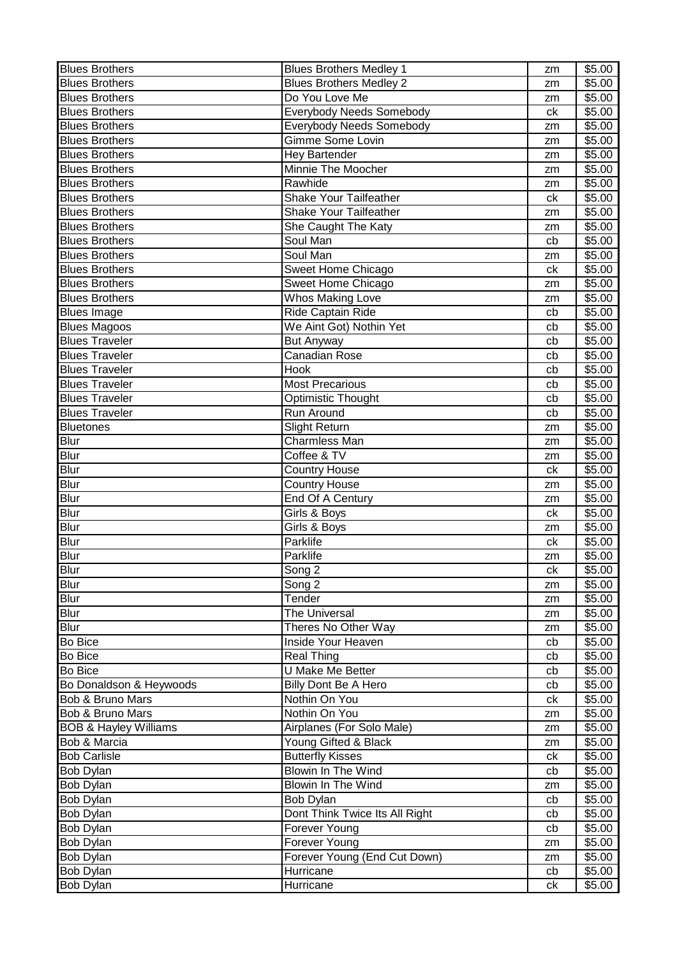| <b>Blues Brothers</b>            | <b>Blues Brothers Medley 1</b>  | zm | \$5.00             |
|----------------------------------|---------------------------------|----|--------------------|
| <b>Blues Brothers</b>            | <b>Blues Brothers Medley 2</b>  | zm | \$5.00             |
| <b>Blues Brothers</b>            | Do You Love Me                  | zm | \$5.00             |
| <b>Blues Brothers</b>            | <b>Everybody Needs Somebody</b> | ck | \$5.00             |
| <b>Blues Brothers</b>            | <b>Everybody Needs Somebody</b> | zm | \$5.00             |
| <b>Blues Brothers</b>            | Gimme Some Lovin                | zm | \$5.00             |
| <b>Blues Brothers</b>            | <b>Hey Bartender</b>            | zm | \$5.00             |
| <b>Blues Brothers</b>            | Minnie The Moocher              | zm | \$5.00             |
| <b>Blues Brothers</b>            | Rawhide                         | zm | \$5.00             |
| <b>Blues Brothers</b>            | Shake Your Tailfeather          | ck | \$5.00             |
| <b>Blues Brothers</b>            | Shake Your Tailfeather          | zm | \$5.00             |
| <b>Blues Brothers</b>            | She Caught The Katy             | zm | \$5.00             |
| <b>Blues Brothers</b>            | Soul Man                        | cb | \$5.00             |
| <b>Blues Brothers</b>            | Soul Man                        | zm | \$5.00             |
| <b>Blues Brothers</b>            | Sweet Home Chicago              | ck | \$5.00             |
| <b>Blues Brothers</b>            | Sweet Home Chicago              | zm | \$5.00             |
| <b>Blues Brothers</b>            | <b>Whos Making Love</b>         | zm | \$5.00             |
| <b>Blues Image</b>               | <b>Ride Captain Ride</b>        | cb | \$5.00             |
| <b>Blues Magoos</b>              | We Aint Got) Nothin Yet         | cb | \$5.00             |
| <b>Blues Traveler</b>            | <b>But Anyway</b>               | cb | \$5.00             |
| <b>Blues Traveler</b>            | <b>Canadian Rose</b>            | cb | \$5.00             |
| <b>Blues Traveler</b>            | Hook                            | cb | \$5.00             |
| <b>Blues Traveler</b>            | <b>Most Precarious</b>          | cb | \$5.00             |
| <b>Blues Traveler</b>            | Optimistic Thought              | cb | $\overline{$}5.00$ |
| <b>Blues Traveler</b>            | Run Around                      | cb | \$5.00             |
| <b>Bluetones</b>                 | Slight Return                   | zm | \$5.00             |
| Blur                             | Charmless Man                   | zm | \$5.00             |
| <b>Blur</b>                      | Coffee & TV                     | zm | \$5.00             |
| Blur                             | Country House                   | ck | \$5.00             |
| <b>Blur</b>                      | <b>Country House</b>            | zm | \$5.00             |
| Blur                             | End Of A Century                | zm | \$5.00             |
| Blur                             | Girls & Boys                    | ck | \$5.00             |
| Blur                             | Girls & Boys                    | zm | \$5.00             |
| Blur                             | Parklife                        | ck | \$5.00             |
| <b>Blur</b>                      | Parklife                        | zm | \$5.00             |
| <b>Blur</b>                      | Song <sub>2</sub>               | ck | \$5.00             |
| <b>Blur</b>                      | Song 2                          | zm | \$5.00             |
| <b>Blur</b>                      | Tender                          | zm | \$5.00             |
| Blur                             | The Universal                   | zm | \$5.00             |
| <b>Blur</b>                      | Theres No Other Way             | zm | \$5.00             |
| <b>Bo Bice</b>                   | Inside Your Heaven              | cb | \$5.00             |
| Bo Bice                          | <b>Real Thing</b>               | cb | \$5.00             |
| <b>Bo Bice</b>                   | U Make Me Better                | cb | \$5.00             |
| Bo Donaldson & Heywoods          | Billy Dont Be A Hero            | cb | \$5.00             |
| Bob & Bruno Mars                 | Nothin On You                   | сk | \$5.00             |
| <b>Bob &amp; Bruno Mars</b>      | Nothin On You                   | zm | \$5.00             |
| <b>BOB &amp; Hayley Williams</b> | Airplanes (For Solo Male)       | zm | \$5.00             |
| Bob & Marcia                     | Young Gifted & Black            | zm | \$5.00             |
| <b>Bob Carlisle</b>              | <b>Butterfly Kisses</b>         | ck | \$5.00             |
| Bob Dylan                        | Blowin In The Wind              | cb | \$5.00             |
| Bob Dylan                        | <b>Blowin In The Wind</b>       | zm | \$5.00             |
| Bob Dylan                        | Bob Dylan                       | cb | \$5.00             |
| Bob Dylan                        | Dont Think Twice Its All Right  | cb | \$5.00             |
| <b>Bob Dylan</b>                 | Forever Young                   | cb | \$5.00             |
| <b>Bob Dylan</b>                 | Forever Young                   | zm | \$5.00             |
| Bob Dylan                        | Forever Young (End Cut Down)    | zm | \$5.00             |
| Bob Dylan                        | Hurricane                       | cb | \$5.00             |
| Bob Dylan                        | Hurricane                       | сk | \$5.00             |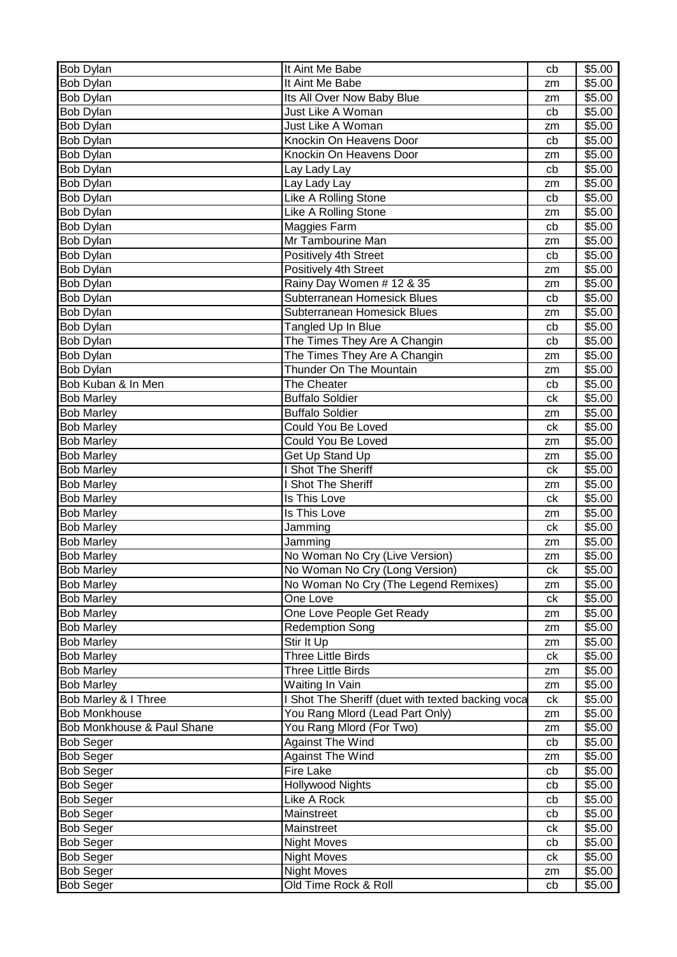| <b>Bob Dylan</b>           | It Aint Me Babe                                   | cb       | \$5.00 |
|----------------------------|---------------------------------------------------|----------|--------|
| Bob Dylan                  | It Aint Me Babe                                   | zm       | \$5.00 |
| <b>Bob Dylan</b>           | Its All Over Now Baby Blue                        | zm       | \$5.00 |
| <b>Bob Dylan</b>           | Just Like A Woman                                 | cb       | \$5.00 |
| <b>Bob Dylan</b>           | Just Like A Woman                                 | zm       | \$5.00 |
| <b>Bob Dylan</b>           | Knockin On Heavens Door                           | cb       | \$5.00 |
| Bob Dylan                  | Knockin On Heavens Door                           | zm       | \$5.00 |
| <b>Bob Dylan</b>           | Lay Lady Lay                                      | cb       | \$5.00 |
| <b>Bob Dylan</b>           | Lay Lady Lay                                      | zm       | \$5.00 |
| Bob Dylan                  | Like A Rolling Stone                              | cb       | \$5.00 |
| Bob Dylan                  | Like A Rolling Stone                              | zm       | \$5.00 |
| Bob Dylan                  | Maggies Farm                                      | cb       | \$5.00 |
| <b>Bob Dylan</b>           | Mr Tambourine Man                                 | zm       | \$5.00 |
| <b>Bob Dylan</b>           | Positively 4th Street                             | cb       | \$5.00 |
| Bob Dylan                  | Positively 4th Street                             | zm       | \$5.00 |
| Bob Dylan                  | Rainy Day Women # 12 & 35                         | zm       | \$5.00 |
| Bob Dylan                  | Subterranean Homesick Blues                       | cb       | \$5.00 |
| <b>Bob Dylan</b>           | Subterranean Homesick Blues                       | zm       | \$5.00 |
| <b>Bob Dylan</b>           | Tangled Up In Blue                                | cb       | \$5.00 |
| Bob Dylan                  | The Times They Are A Changin                      | cb       | \$5.00 |
| Bob Dylan                  | The Times They Are A Changin                      | zm       | \$5.00 |
| Bob Dylan                  | Thunder On The Mountain                           | zm       | \$5.00 |
| Bob Kuban & In Men         | The Cheater                                       | cb       | \$5.00 |
| <b>Bob Marley</b>          | <b>Buffalo Soldier</b>                            | сk       | \$5.00 |
| <b>Bob Marley</b>          | <b>Buffalo Soldier</b>                            | zm       | \$5.00 |
| <b>Bob Marley</b>          | Could You Be Loved                                | ck       | \$5.00 |
| <b>Bob Marley</b>          | Could You Be Loved                                | zm       | \$5.00 |
| <b>Bob Marley</b>          | Get Up Stand Up                                   | zm       | \$5.00 |
| <b>Bob Marley</b>          | Shot The Sheriff                                  | ck       | \$5.00 |
| <b>Bob Marley</b>          | Shot The Sheriff                                  | zm       | \$5.00 |
| <b>Bob Marley</b>          | Is This Love                                      | ck       | \$5.00 |
| <b>Bob Marley</b>          | Is This Love                                      | zm       | \$5.00 |
| <b>Bob Marley</b>          | Jamming                                           | ck       | \$5.00 |
| <b>Bob Marley</b>          | Jamming                                           | zm       | \$5.00 |
| <b>Bob Marley</b>          | No Woman No Cry (Live Version)                    | zm       | \$5.00 |
| <b>Bob Marley</b>          | No Woman No Cry (Long Version)                    | сk       | \$5.00 |
| <b>Bob Marley</b>          | No Woman No Cry (The Legend Remixes)              | zm       | \$5.00 |
| <b>Bob Marley</b>          | One Love                                          | ck       | \$5.00 |
| <b>Bob Marley</b>          | One Love People Get Ready                         | zm       | \$5.00 |
| <b>Bob Marley</b>          | <b>Redemption Song</b>                            | zm       | \$5.00 |
| <b>Bob Marley</b>          | Stir It Up                                        | zm       | \$5.00 |
| <b>Bob Marley</b>          | <b>Three Little Birds</b>                         | ck       | \$5.00 |
| <b>Bob Marley</b>          | <b>Three Little Birds</b>                         | zm       | \$5.00 |
| <b>Bob Marley</b>          | Waiting In Vain                                   | zm       | \$5.00 |
| Bob Marley & I Three       | I Shot The Sheriff (duet with texted backing voca | ck       | \$5.00 |
| <b>Bob Monkhouse</b>       | You Rang Mlord (Lead Part Only)                   | zm       | \$5.00 |
| Bob Monkhouse & Paul Shane | You Rang Mlord (For Two)                          | zm       | \$5.00 |
| <b>Bob Seger</b>           | <b>Against The Wind</b>                           | cb       | \$5.00 |
| <b>Bob Seger</b>           | <b>Against The Wind</b>                           |          | \$5.00 |
| <b>Bob Seger</b>           | <b>Fire Lake</b>                                  | zm<br>cb | \$5.00 |
| <b>Bob Seger</b>           | <b>Hollywood Nights</b>                           | cb       | \$5.00 |
| <b>Bob Seger</b>           | Like A Rock                                       | cb       | \$5.00 |
| <b>Bob Seger</b>           | Mainstreet                                        | cb       | \$5.00 |
| <b>Bob Seger</b>           | Mainstreet                                        | сk       | \$5.00 |
| <b>Bob Seger</b>           | <b>Night Moves</b>                                | cb       | \$5.00 |
| <b>Bob Seger</b>           | <b>Night Moves</b>                                | ck       | \$5.00 |
| <b>Bob Seger</b>           | <b>Night Moves</b>                                | zm       | \$5.00 |
| <b>Bob Seger</b>           | Old Time Rock & Roll                              | cb       | \$5.00 |
|                            |                                                   |          |        |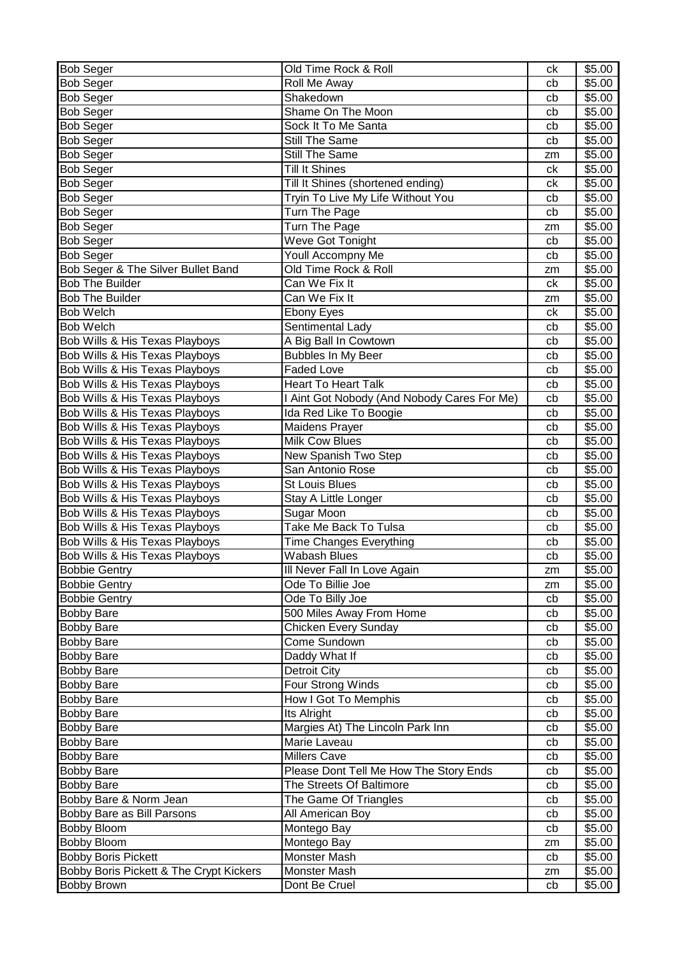| <b>Bob Seger</b>                          | Old Time Rock & Roll                        | ck | \$5.00 |
|-------------------------------------------|---------------------------------------------|----|--------|
| <b>Bob Seger</b>                          | Roll Me Away                                | cb | \$5.00 |
| <b>Bob Seger</b>                          | Shakedown                                   | cb | \$5.00 |
| Bob Seger                                 | Shame On The Moon                           | cb | \$5.00 |
| <b>Bob Seger</b>                          | Sock It To Me Santa                         | cb | \$5.00 |
| <b>Bob Seger</b>                          | Still The Same                              | cb | \$5.00 |
| <b>Bob Seger</b>                          | Still The Same                              | zm | \$5.00 |
| <b>Bob Seger</b>                          | <b>Till It Shines</b>                       | ck | \$5.00 |
| <b>Bob Seger</b>                          | Till It Shines (shortened ending)           | ck | \$5.00 |
| <b>Bob Seger</b>                          | Tryin To Live My Life Without You           | cb | \$5.00 |
| <b>Bob Seger</b>                          | Turn The Page                               | cb | \$5.00 |
| <b>Bob Seger</b>                          | Turn The Page                               | zm | \$5.00 |
| <b>Bob Seger</b>                          | Weve Got Tonight                            | cb | \$5.00 |
| <b>Bob Seger</b>                          | Youll Accompny Me                           | cb | \$5.00 |
| Bob Seger & The Silver Bullet Band        | Old Time Rock & Roll                        | zm | \$5.00 |
| <b>Bob The Builder</b>                    | Can We Fix It                               | ck | \$5.00 |
| <b>Bob The Builder</b>                    | Can We Fix It                               | zm | \$5.00 |
| <b>Bob Welch</b>                          | <b>Ebony Eyes</b>                           | ck | \$5.00 |
| <b>Bob Welch</b>                          | Sentimental Lady                            | cb | \$5.00 |
| <b>Bob Wills &amp; His Texas Playboys</b> | A Big Ball In Cowtown                       | cb | \$5.00 |
| Bob Wills & His Texas Playboys            | <b>Bubbles In My Beer</b>                   | cb | \$5.00 |
| Bob Wills & His Texas Playboys            | <b>Faded Love</b>                           | cb | \$5.00 |
| Bob Wills & His Texas Playboys            | <b>Heart To Heart Talk</b>                  | cb | \$5.00 |
| Bob Wills & His Texas Playboys            | I Aint Got Nobody (And Nobody Cares For Me) | cb | \$5.00 |
| Bob Wills & His Texas Playboys            | Ida Red Like To Boogie                      | cb | \$5.00 |
| Bob Wills & His Texas Playboys            | <b>Maidens Prayer</b>                       | cb | \$5.00 |
| Bob Wills & His Texas Playboys            | <b>Milk Cow Blues</b>                       | cb | \$5.00 |
| Bob Wills & His Texas Playboys            | New Spanish Two Step                        | cb | \$5.00 |
| Bob Wills & His Texas Playboys            | San Antonio Rose                            | cb | \$5.00 |
| Bob Wills & His Texas Playboys            | <b>St Louis Blues</b>                       | cb | \$5.00 |
| Bob Wills & His Texas Playboys            | Stay A Little Longer                        | cb | \$5.00 |
| Bob Wills & His Texas Playboys            | Sugar Moon                                  | cb | \$5.00 |
| Bob Wills & His Texas Playboys            | Take Me Back To Tulsa                       | cb | \$5.00 |
| Bob Wills & His Texas Playboys            | <b>Time Changes Everything</b>              | cb | \$5.00 |
| Bob Wills & His Texas Playboys            | <b>Wabash Blues</b>                         | cb | \$5.00 |
| <b>Bobbie Gentry</b>                      | Ill Never Fall In Love Again                | zm | \$5.00 |
| <b>Bobbie Gentry</b>                      | Ode To Billie Joe                           | zm | \$5.00 |
| <b>Bobbie Gentry</b>                      | Ode To Billy Joe                            | cb | \$5.00 |
| <b>Bobby Bare</b>                         | 500 Miles Away From Home                    | cb | \$5.00 |
| <b>Bobby Bare</b>                         | Chicken Every Sunday                        | cb | \$5.00 |
| <b>Bobby Bare</b>                         | Come Sundown                                | cb | \$5.00 |
| <b>Bobby Bare</b>                         | Daddy What If                               | cb | \$5.00 |
| <b>Bobby Bare</b>                         | <b>Detroit City</b>                         | cb | \$5.00 |
| <b>Bobby Bare</b>                         | Four Strong Winds                           | cb | \$5.00 |
| <b>Bobby Bare</b>                         | How I Got To Memphis                        | cb | \$5.00 |
| <b>Bobby Bare</b>                         | Its Alright                                 | cb | \$5.00 |
| <b>Bobby Bare</b>                         | Margies At) The Lincoln Park Inn            | cb | \$5.00 |
| <b>Bobby Bare</b>                         | Marie Laveau                                | cb | \$5.00 |
| <b>Bobby Bare</b>                         | <b>Millers Cave</b>                         | cb | \$5.00 |
| <b>Bobby Bare</b>                         | Please Dont Tell Me How The Story Ends      | cb | \$5.00 |
| <b>Bobby Bare</b>                         | The Streets Of Baltimore                    | cb | \$5.00 |
| Bobby Bare & Norm Jean                    | The Game Of Triangles                       | cb | \$5.00 |
| <b>Bobby Bare as Bill Parsons</b>         | <b>All American Boy</b>                     | cb | \$5.00 |
| <b>Bobby Bloom</b>                        | Montego Bay                                 | cb | \$5.00 |
| <b>Bobby Bloom</b>                        | Montego Bay                                 | zm | \$5.00 |
| <b>Bobby Boris Pickett</b>                | Monster Mash                                | cb | \$5.00 |
| Bobby Boris Pickett & The Crypt Kickers   | Monster Mash                                | zm | \$5.00 |
| <b>Bobby Brown</b>                        | Dont Be Cruel                               | cb | \$5.00 |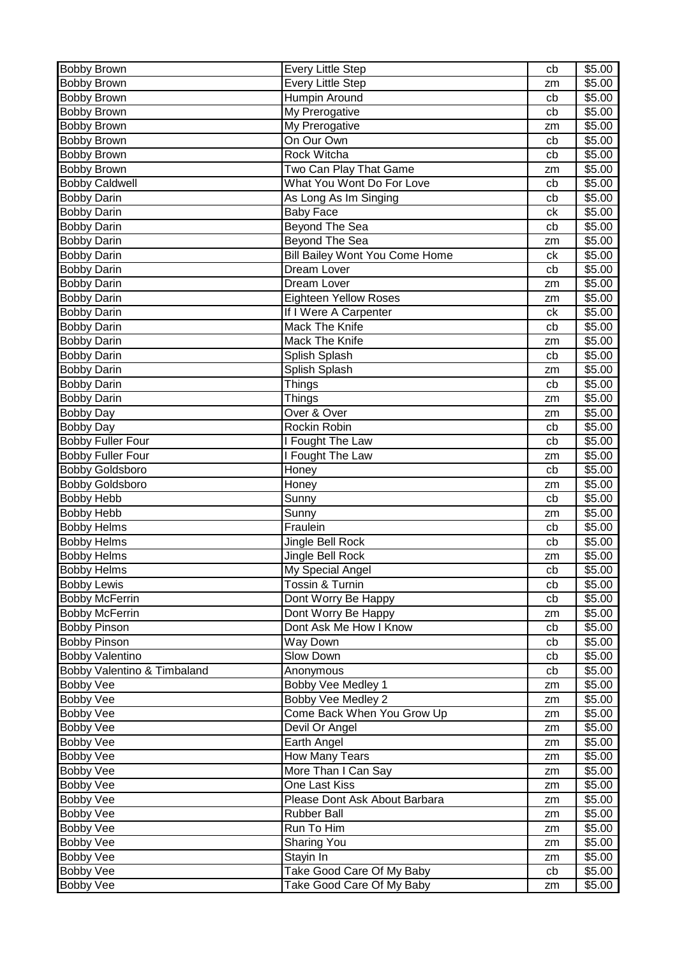| <b>Bobby Brown</b>          | <b>Every Little Step</b>              | cb | \$5.00 |
|-----------------------------|---------------------------------------|----|--------|
| <b>Bobby Brown</b>          | <b>Every Little Step</b>              | zm | \$5.00 |
| <b>Bobby Brown</b>          | Humpin Around                         | cb | \$5.00 |
| <b>Bobby Brown</b>          | My Prerogative                        | cb | \$5.00 |
| Bobby Brown                 | My Prerogative                        | zm | \$5.00 |
| <b>Bobby Brown</b>          | On Our Own                            | cb | \$5.00 |
| <b>Bobby Brown</b>          | Rock Witcha                           | cb | \$5.00 |
| <b>Bobby Brown</b>          | Two Can Play That Game                | zm | \$5.00 |
| <b>Bobby Caldwell</b>       | What You Wont Do For Love             | cb | \$5.00 |
| <b>Bobby Darin</b>          | As Long As Im Singing                 | cb | \$5.00 |
| <b>Bobby Darin</b>          | <b>Baby Face</b>                      | ck | \$5.00 |
| <b>Bobby Darin</b>          | <b>Beyond The Sea</b>                 | cb | \$5.00 |
| <b>Bobby Darin</b>          | Beyond The Sea                        | zm | \$5.00 |
| <b>Bobby Darin</b>          | <b>Bill Bailey Wont You Come Home</b> | сk | \$5.00 |
| <b>Bobby Darin</b>          | Dream Lover                           | cb | \$5.00 |
| <b>Bobby Darin</b>          | Dream Lover                           | zm | \$5.00 |
| <b>Bobby Darin</b>          | <b>Eighteen Yellow Roses</b>          | zm | \$5.00 |
| <b>Bobby Darin</b>          | If I Were A Carpenter                 | ck | \$5.00 |
| <b>Bobby Darin</b>          | <b>Mack The Knife</b>                 | cb | \$5.00 |
| <b>Bobby Darin</b>          | Mack The Knife                        | zm | \$5.00 |
| <b>Bobby Darin</b>          | Splish Splash                         | cb | \$5.00 |
| <b>Bobby Darin</b>          | Splish Splash                         | zm | \$5.00 |
| <b>Bobby Darin</b>          | Things                                | cb | \$5.00 |
| <b>Bobby Darin</b>          | Things                                | zm | \$5.00 |
| <b>Bobby Day</b>            | Over & Over                           | zm | \$5.00 |
| <b>Bobby Day</b>            | Rockin Robin                          | cb | \$5.00 |
| <b>Bobby Fuller Four</b>    | I Fought The Law                      | cb | \$5.00 |
| <b>Bobby Fuller Four</b>    | I Fought The Law                      | zm | \$5.00 |
| <b>Bobby Goldsboro</b>      | Honey                                 | cb | \$5.00 |
| <b>Bobby Goldsboro</b>      | Honey                                 | zm | \$5.00 |
| <b>Bobby Hebb</b>           | Sunny                                 | cb | \$5.00 |
| <b>Bobby Hebb</b>           | Sunny                                 | zm | \$5.00 |
| <b>Bobby Helms</b>          | Fraulein                              | cb | \$5.00 |
| <b>Bobby Helms</b>          | Jingle Bell Rock                      | cb | \$5.00 |
| <b>Bobby Helms</b>          | Jingle Bell Rock                      | zm | \$5.00 |
| <b>Bobby Helms</b>          | My Special Angel                      | cb | \$5.00 |
| <b>Bobby Lewis</b>          | Tossin & Turnin                       | cb | \$5.00 |
| <b>Bobby McFerrin</b>       | Dont Worry Be Happy                   | cb | \$5.00 |
| <b>Bobby McFerrin</b>       | Dont Worry Be Happy                   | zm | \$5.00 |
| <b>Bobby Pinson</b>         | Dont Ask Me How I Know                | cb | \$5.00 |
| <b>Bobby Pinson</b>         | Way Down                              | cb | \$5.00 |
| <b>Bobby Valentino</b>      | Slow Down                             | cb | \$5.00 |
| Bobby Valentino & Timbaland | Anonymous                             | cb | \$5.00 |
| <b>Bobby Vee</b>            | Bobby Vee Medley 1                    | zm | \$5.00 |
| <b>Bobby Vee</b>            | Bobby Vee Medley 2                    | zm | \$5.00 |
| <b>Bobby Vee</b>            | Come Back When You Grow Up            | zm | \$5.00 |
| <b>Bobby Vee</b>            | Devil Or Angel                        | zm | \$5.00 |
| <b>Bobby Vee</b>            | Earth Angel                           | zm | \$5.00 |
| <b>Bobby Vee</b>            | How Many Tears                        | zm | \$5.00 |
| <b>Bobby Vee</b>            | More Than I Can Say                   | zm | \$5.00 |
| <b>Bobby Vee</b>            | One Last Kiss                         | zm | \$5.00 |
| <b>Bobby Vee</b>            | Please Dont Ask About Barbara         | zm | \$5.00 |
| <b>Bobby Vee</b>            | <b>Rubber Ball</b>                    | zm | \$5.00 |
| <b>Bobby Vee</b>            | Run To Him                            | zm | \$5.00 |
| <b>Bobby Vee</b>            | <b>Sharing You</b>                    | zm | \$5.00 |
| <b>Bobby Vee</b>            | Stayin In                             | zm | \$5.00 |
| <b>Bobby Vee</b>            | Take Good Care Of My Baby             | cb | \$5.00 |
| Bobby Vee                   | Take Good Care Of My Baby             | zm | \$5.00 |
|                             |                                       |    |        |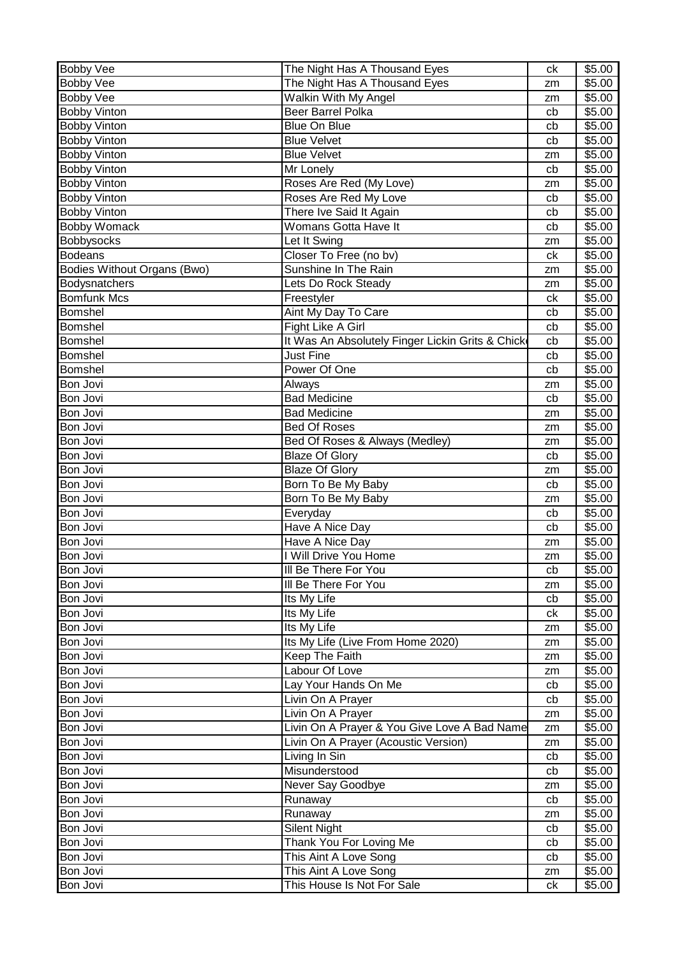| <b>Bobby Vee</b>            | The Night Has A Thousand Eyes                    | ck | \$5.00             |
|-----------------------------|--------------------------------------------------|----|--------------------|
| <b>Bobby Vee</b>            | The Night Has A Thousand Eyes                    | zm | \$5.00             |
| <b>Bobby Vee</b>            | Walkin With My Angel                             | zm | \$5.00             |
| <b>Bobby Vinton</b>         | <b>Beer Barrel Polka</b>                         | cb | \$5.00             |
| <b>Bobby Vinton</b>         | <b>Blue On Blue</b>                              | cb | \$5.00             |
| <b>Bobby Vinton</b>         | <b>Blue Velvet</b>                               | cb | \$5.00             |
| <b>Bobby Vinton</b>         | <b>Blue Velvet</b>                               | zm | \$5.00             |
| <b>Bobby Vinton</b>         | Mr Lonely                                        | cb | \$5.00             |
| <b>Bobby Vinton</b>         | Roses Are Red (My Love)                          | zm | \$5.00             |
| <b>Bobby Vinton</b>         | Roses Are Red My Love                            | cb | \$5.00             |
| <b>Bobby Vinton</b>         | There Ive Said It Again                          | cb | \$5.00             |
| <b>Bobby Womack</b>         | Womans Gotta Have It                             | cb | \$5.00             |
| Bobbysocks                  | Let It Swing                                     | zm | \$5.00             |
| <b>Bodeans</b>              | Closer To Free (no bv)                           | ck | \$5.00             |
| Bodies Without Organs (Bwo) | Sunshine In The Rain                             | zm | \$5.00             |
| Bodysnatchers               | Lets Do Rock Steady                              | zm | \$5.00             |
| Bomfunk Mcs                 | Freestyler                                       | ck | \$5.00             |
| Bomshel                     | Aint My Day To Care                              | cb | \$5.00             |
| Bomshel                     | <b>Fight Like A Girl</b>                         | cb | $\overline{$}5.00$ |
| Bomshel                     | It Was An Absolutely Finger Lickin Grits & Chick | cb | \$5.00             |
| Bomshel                     | <b>Just Fine</b>                                 | cb | \$5.00             |
| Bomshel                     | Power Of One                                     | cb | \$5.00             |
| <b>Bon Jovi</b>             | Always                                           | zm | \$5.00             |
| <b>Bon Jovi</b>             | <b>Bad Medicine</b>                              | cb | \$5.00             |
| <b>Bon Jovi</b>             | <b>Bad Medicine</b>                              | zm | \$5.00             |
| Bon Jovi                    | <b>Bed Of Roses</b>                              | zm | \$5.00             |
| Bon Jovi                    | Bed Of Roses & Always (Medley)                   | zm | \$5.00             |
| <b>Bon Jovi</b>             | <b>Blaze Of Glory</b>                            | cb | \$5.00             |
| <b>Bon Jovi</b>             | <b>Blaze Of Glory</b>                            | zm | \$5.00             |
| Bon Jovi                    | Born To Be My Baby                               | cb | \$5.00             |
| Bon Jovi                    | Born To Be My Baby                               | zm | \$5.00             |
| Bon Jovi                    | Everyday                                         | cb | \$5.00             |
| <b>Bon Jovi</b>             | Have A Nice Day                                  | cb | $\overline{$}5.00$ |
| <b>Bon Jovi</b>             | Have A Nice Day                                  | zm | \$5.00             |
| <b>Bon Jovi</b>             | I Will Drive You Home                            | zm | \$5.00             |
| Bon Jovi                    | III Be There For You                             | cb | \$5.00             |
| Bon Jovi                    | III Be There For You                             | zm | \$5.00             |
| Bon Jovi                    | Its My Life                                      | cb | \$5.00             |
| Bon Jovi                    | Its My Life                                      | ck | $\overline{$}5.00$ |
| Bon Jovi                    | Its My Life                                      | zm | \$5.00             |
| Bon Jovi                    | Its My Life (Live From Home 2020)                | zm | \$5.00             |
| Bon Jovi                    | Keep The Faith                                   | zm | \$5.00             |
| Bon Jovi                    | Labour Of Love                                   | zm | \$5.00             |
| Bon Jovi                    | Lay Your Hands On Me                             | cb | \$5.00             |
| Bon Jovi                    | Livin On A Prayer                                | cb | \$5.00             |
| Bon Jovi                    | Livin On A Prayer                                | zm | \$5.00             |
| Bon Jovi                    | Livin On A Prayer & You Give Love A Bad Name     | zm | \$5.00             |
| Bon Jovi                    | Livin On A Prayer (Acoustic Version)             | zm | \$5.00             |
| <b>Bon Jovi</b>             | Living In Sin                                    | cb | \$5.00             |
| Bon Jovi                    | Misunderstood                                    | cb | \$5.00             |
| Bon Jovi                    | Never Say Goodbye                                | zm | \$5.00             |
| Bon Jovi                    | Runaway                                          | cb | \$5.00             |
| Bon Jovi                    | Runaway                                          | zm | \$5.00             |
| <b>Bon Jovi</b>             | <b>Silent Night</b>                              | cb | \$5.00             |
| Bon Jovi                    | Thank You For Loving Me                          | cb | \$5.00             |
| Bon Jovi                    | This Aint A Love Song                            | cb | \$5.00             |
| Bon Jovi                    | This Aint A Love Song                            | zm | \$5.00             |
| Bon Jovi                    | This House Is Not For Sale                       | ck | \$5.00             |
|                             |                                                  |    |                    |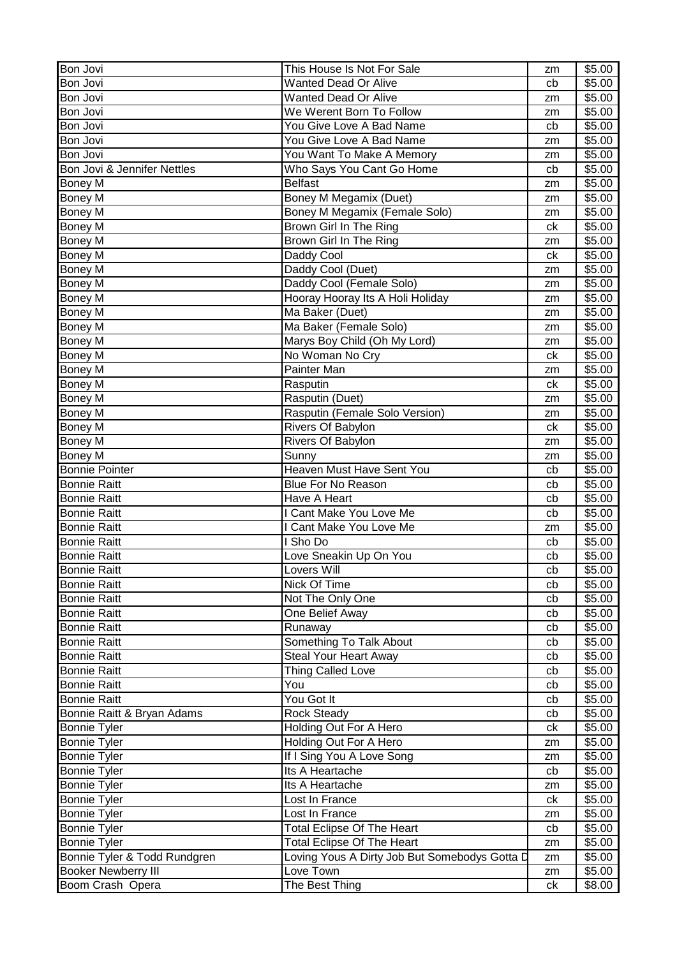| Bon Jovi                                       | This House Is Not For Sale                                 | zm       | \$5.00 |
|------------------------------------------------|------------------------------------------------------------|----------|--------|
| Bon Jovi                                       | <b>Wanted Dead Or Alive</b>                                | cb       | \$5.00 |
| Bon Jovi                                       | <b>Wanted Dead Or Alive</b>                                | zm       | \$5.00 |
| Bon Jovi                                       | We Werent Born To Follow                                   | zm       | \$5.00 |
| Bon Jovi                                       | You Give Love A Bad Name                                   | cb       | \$5.00 |
| Bon Jovi                                       | You Give Love A Bad Name                                   | zm       | \$5.00 |
| Bon Jovi                                       | You Want To Make A Memory                                  | zm       | \$5.00 |
| Bon Jovi & Jennifer Nettles                    | Who Says You Cant Go Home                                  | cb       | \$5.00 |
| Boney M                                        | <b>Belfast</b>                                             | zm       | \$5.00 |
| Boney M                                        | Boney M Megamix (Duet)                                     | zm       | \$5.00 |
| Boney M                                        | Boney M Megamix (Female Solo)                              | zm       | \$5.00 |
| Boney M                                        | Brown Girl In The Ring                                     | ck       | \$5.00 |
| <b>Boney M</b>                                 | Brown Girl In The Ring                                     | zm       | \$5.00 |
| Boney M                                        | Daddy Cool                                                 | ck       | \$5.00 |
| Boney M                                        | Daddy Cool (Duet)                                          | zm       | \$5.00 |
| Boney M                                        | Daddy Cool (Female Solo)                                   | zm       | \$5.00 |
| Boney M                                        | Hooray Hooray Its A Holi Holiday                           | zm       | \$5.00 |
| <b>Boney M</b>                                 | Ma Baker (Duet)                                            | zm       | \$5.00 |
| Boney M                                        | Ma Baker (Female Solo)                                     | zm       | \$5.00 |
| Boney M                                        | Marys Boy Child (Oh My Lord)                               | zm       | \$5.00 |
| Boney M                                        | No Woman No Cry                                            | ck       | \$5.00 |
| Boney M                                        | Painter Man                                                | zm       | \$5.00 |
| Boney M                                        | Rasputin                                                   | ck       | \$5.00 |
| Boney M                                        | Rasputin (Duet)                                            | zm       | \$5.00 |
| Boney M                                        | Rasputin (Female Solo Version)                             | zm       | \$5.00 |
| Boney M                                        | Rivers Of Babylon                                          | ck       | \$5.00 |
| Boney M                                        | Rivers Of Babylon                                          | zm       | \$5.00 |
| Boney M                                        | Sunny                                                      | zm       | \$5.00 |
| <b>Bonnie Pointer</b>                          | Heaven Must Have Sent You                                  | cb       | \$5.00 |
| <b>Bonnie Raitt</b>                            | <b>Blue For No Reason</b>                                  | cb       | \$5.00 |
| <b>Bonnie Raitt</b>                            | Have A Heart                                               | cb       | \$5.00 |
| <b>Bonnie Raitt</b>                            | I Cant Make You Love Me                                    | cb       | \$5.00 |
| <b>Bonnie Raitt</b>                            | I Cant Make You Love Me                                    | zm       | \$5.00 |
| <b>Bonnie Raitt</b>                            | I Sho Do                                                   | cb       | \$5.00 |
| <b>Bonnie Raitt</b>                            | Love Sneakin Up On You                                     | cb       | \$5.00 |
| <b>Bonnie Raitt</b>                            | Lovers Will                                                | cb       | \$5.00 |
| <b>Bonnie Raitt</b>                            | Nick Of Time                                               | cb       | \$5.00 |
| <b>Bonnie Raitt</b>                            | Not The Only One                                           | cb       | \$5.00 |
| <b>Bonnie Raitt</b>                            | One Belief Away                                            | cb       | \$5.00 |
| <b>Bonnie Raitt</b>                            | Runaway                                                    | cb       | \$5.00 |
| <b>Bonnie Raitt</b>                            | Something To Talk About                                    | cb       | \$5.00 |
| <b>Bonnie Raitt</b>                            | <b>Steal Your Heart Away</b>                               | cb       | \$5.00 |
| <b>Bonnie Raitt</b>                            | <b>Thing Called Love</b>                                   | cb       | \$5.00 |
| <b>Bonnie Raitt</b>                            | You                                                        | cb       | \$5.00 |
| <b>Bonnie Raitt</b>                            | You Got It                                                 | cb       | \$5.00 |
| Bonnie Raitt & Bryan Adams                     | <b>Rock Steady</b>                                         |          | \$5.00 |
| <b>Bonnie Tyler</b>                            | Holding Out For A Hero                                     | cb<br>ck | \$5.00 |
| <b>Bonnie Tyler</b>                            | Holding Out For A Hero                                     |          | \$5.00 |
| <b>Bonnie Tyler</b>                            | If I Sing You A Love Song                                  | zm       |        |
|                                                | Its A Heartache                                            | zm       | \$5.00 |
| <b>Bonnie Tyler</b>                            | Its A Heartache                                            | cb       | \$5.00 |
| <b>Bonnie Tyler</b>                            | Lost In France                                             | zm       | \$5.00 |
| <b>Bonnie Tyler</b>                            | Lost In France                                             | ck       | \$5.00 |
| <b>Bonnie Tyler</b>                            |                                                            | zm       | \$5.00 |
| <b>Bonnie Tyler</b>                            | <b>Total Eclipse Of The Heart</b>                          | cb       | \$5.00 |
| <b>Bonnie Tyler</b>                            | <b>Total Eclipse Of The Heart</b>                          | zm       | \$5.00 |
| Bonnie Tyler & Todd Rundgren                   | Loving Yous A Dirty Job But Somebodys Gotta D<br>Love Town | zm       | \$5.00 |
| <b>Booker Newberry III</b><br>Boom Crash Opera | The Best Thing                                             | zm       | \$5.00 |
|                                                |                                                            | ck       | \$8.00 |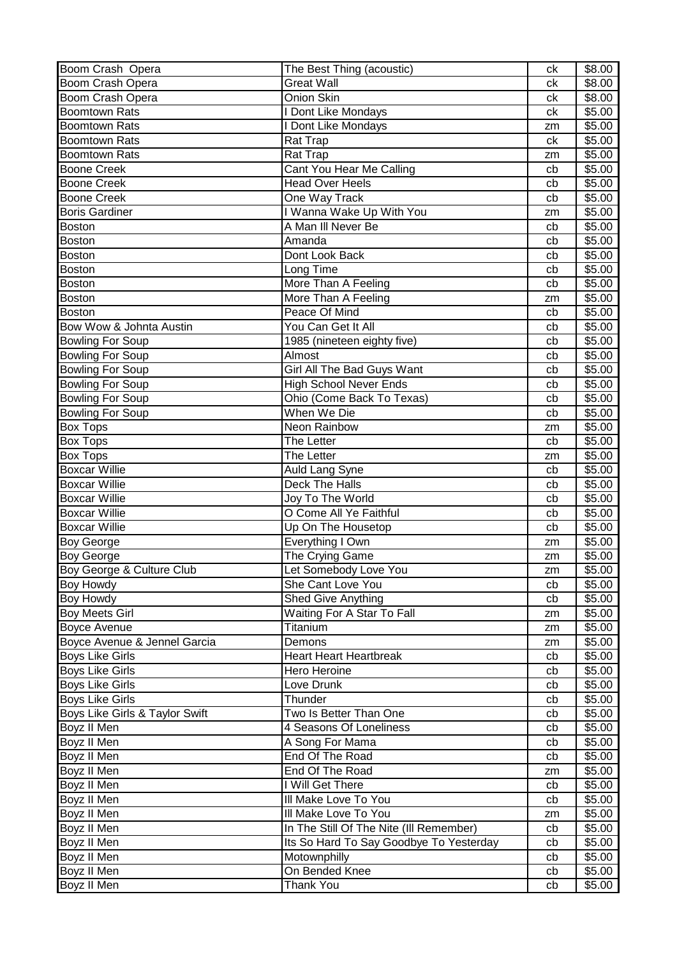| Boom Crash Opera               | The Best Thing (acoustic)               | ck | \$8.00 |
|--------------------------------|-----------------------------------------|----|--------|
| Boom Crash Opera               | <b>Great Wall</b>                       | сk | \$8.00 |
| Boom Crash Opera               | Onion Skin                              | сk | \$8.00 |
| <b>Boomtown Rats</b>           | I Dont Like Mondays                     | ck | \$5.00 |
| <b>Boomtown Rats</b>           | I Dont Like Mondays                     | zm | \$5.00 |
| <b>Boomtown Rats</b>           | Rat Trap                                | ck | \$5.00 |
| <b>Boomtown Rats</b>           | Rat Trap                                | zm | \$5.00 |
| <b>Boone Creek</b>             | Cant You Hear Me Calling                | cb | \$5.00 |
| <b>Boone Creek</b>             | <b>Head Over Heels</b>                  | cb | \$5.00 |
| <b>Boone Creek</b>             | One Way Track                           | cb | \$5.00 |
| <b>Boris Gardiner</b>          | I Wanna Wake Up With You                | zm | \$5.00 |
| <b>Boston</b>                  | A Man III Never Be                      | cb | \$5.00 |
| Boston                         | Amanda                                  | cb | \$5.00 |
| <b>Boston</b>                  | Dont Look Back                          |    | \$5.00 |
|                                |                                         | cb |        |
| <b>Boston</b>                  | Long Time                               | cb | \$5.00 |
| <b>Boston</b>                  | More Than A Feeling                     | cb | \$5.00 |
| <b>Boston</b>                  | More Than A Feeling                     | zm | \$5.00 |
| <b>Boston</b>                  | Peace Of Mind                           | cb | \$5.00 |
| Bow Wow & Johnta Austin        | You Can Get It All                      | cb | \$5.00 |
| <b>Bowling For Soup</b>        | 1985 (nineteen eighty five)             | cb | \$5.00 |
| <b>Bowling For Soup</b>        | Almost                                  | cb | \$5.00 |
| <b>Bowling For Soup</b>        | Girl All The Bad Guys Want              | cb | \$5.00 |
| <b>Bowling For Soup</b>        | <b>High School Never Ends</b>           | cb | \$5.00 |
| <b>Bowling For Soup</b>        | Ohio (Come Back To Texas)               | cb | \$5.00 |
| <b>Bowling For Soup</b>        | When We Die                             | cb | \$5.00 |
| <b>Box Tops</b>                | Neon Rainbow                            | zm | \$5.00 |
| <b>Box Tops</b>                | The Letter                              | cb | \$5.00 |
| <b>Box Tops</b>                | The Letter                              | zm | \$5.00 |
| <b>Boxcar Willie</b>           | <b>Auld Lang Syne</b>                   | cb | \$5.00 |
| <b>Boxcar Willie</b>           | Deck The Halls                          | cb | \$5.00 |
| <b>Boxcar Willie</b>           | Joy To The World                        | cb | \$5.00 |
| <b>Boxcar Willie</b>           | O Come All Ye Faithful                  | cb | \$5.00 |
| <b>Boxcar Willie</b>           | Up On The Housetop                      | cb | \$5.00 |
| <b>Boy George</b>              | Everything I Own                        | zm | \$5.00 |
| <b>Boy George</b>              | The Crying Game                         | zm | \$5.00 |
| Boy George & Culture Club      | Let Somebody Love You                   | zm | \$5.00 |
| Boy Howdy                      | She Cant Love You                       |    | \$5.00 |
|                                |                                         | cb | \$5.00 |
| <b>Boy Howdy</b>               | Shed Give Anything                      | cb |        |
| <b>Boy Meets Girl</b>          | Waiting For A Star To Fall              | zm | \$5.00 |
| <b>Boyce Avenue</b>            | Titanium                                | zm | \$5.00 |
| Boyce Avenue & Jennel Garcia   | Demons                                  | zm | \$5.00 |
| <b>Boys Like Girls</b>         | <b>Heart Heart Heartbreak</b>           | cb | \$5.00 |
| <b>Boys Like Girls</b>         | Hero Heroine                            | cb | \$5.00 |
| <b>Boys Like Girls</b>         | Love Drunk                              | cb | \$5.00 |
| <b>Boys Like Girls</b>         | Thunder                                 | cb | \$5.00 |
| Boys Like Girls & Taylor Swift | Two Is Better Than One                  | cb | \$5.00 |
| Boyz II Men                    | 4 Seasons Of Loneliness                 | cb | \$5.00 |
| Boyz II Men                    | A Song For Mama                         | cb | \$5.00 |
| Boyz II Men                    | End Of The Road                         | cb | \$5.00 |
| Boyz II Men                    | End Of The Road                         | zm | \$5.00 |
| Boyz II Men                    | I Will Get There                        | cb | \$5.00 |
| Boyz II Men                    | III Make Love To You                    | cb | \$5.00 |
| Boyz II Men                    | III Make Love To You                    | zm | \$5.00 |
| Boyz II Men                    | In The Still Of The Nite (III Remember) | cb | \$5.00 |
| Boyz II Men                    | Its So Hard To Say Goodbye To Yesterday | cb | \$5.00 |
| Boyz II Men                    | Motownphilly                            | cb | \$5.00 |
| Boyz II Men                    | On Bended Knee                          | cb | \$5.00 |
| Boyz II Men                    | Thank You                               | cb | \$5.00 |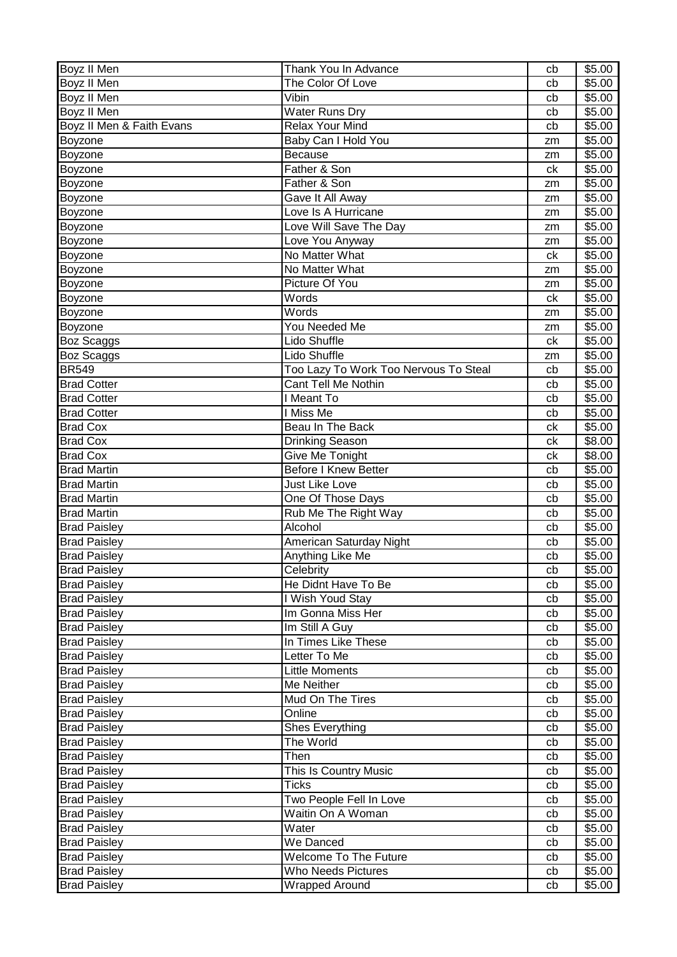| Boyz II Men               | Thank You In Advance                  | cb | \$5.00 |
|---------------------------|---------------------------------------|----|--------|
| Boyz II Men               | The Color Of Love                     | cb | \$5.00 |
| Boyz II Men               | Vibin                                 | cb | \$5.00 |
| Boyz II Men               | <b>Water Runs Dry</b>                 | cb | \$5.00 |
| Boyz II Men & Faith Evans | <b>Relax Your Mind</b>                | cb | \$5.00 |
| Boyzone                   | Baby Can I Hold You                   | zm | \$5.00 |
| Boyzone                   | <b>Because</b>                        | zm | \$5.00 |
| Boyzone                   | Father & Son                          | ck | \$5.00 |
| Boyzone                   | Father & Son                          | zm | \$5.00 |
| Boyzone                   | Gave It All Away                      | zm | \$5.00 |
| Boyzone                   | Love Is A Hurricane                   | zm | \$5.00 |
| Boyzone                   | Love Will Save The Day                | zm | \$5.00 |
| Boyzone                   | Love You Anyway                       | zm | \$5.00 |
| Boyzone                   | No Matter What                        | ck | \$5.00 |
| Boyzone                   | No Matter What                        | zm | \$5.00 |
| Boyzone                   | Picture Of You                        | zm | \$5.00 |
| Boyzone                   | Words                                 | ck | \$5.00 |
| Boyzone                   | Words                                 | zm | \$5.00 |
| Boyzone                   | You Needed Me                         | zm | \$5.00 |
| Boz Scaggs                | Lido Shuffle                          | ck | \$5.00 |
| Boz Scaggs                | Lido Shuffle                          | zm | \$5.00 |
| <b>BR549</b>              | Too Lazy To Work Too Nervous To Steal | cb | \$5.00 |
| <b>Brad Cotter</b>        | Cant Tell Me Nothin                   | cb | \$5.00 |
| <b>Brad Cotter</b>        | I Meant To                            | cb | \$5.00 |
| <b>Brad Cotter</b>        | I Miss Me                             | cb | \$5.00 |
| <b>Brad Cox</b>           | Beau In The Back                      | сk | \$5.00 |
| <b>Brad Cox</b>           | Drinking Season                       | ck | \$8.00 |
| <b>Brad Cox</b>           | Give Me Tonight                       | сk | \$8.00 |
| <b>Brad Martin</b>        | <b>Before I Knew Better</b>           | cb | \$5.00 |
| <b>Brad Martin</b>        | Just Like Love                        | cb | \$5.00 |
| <b>Brad Martin</b>        | One Of Those Days                     | cb | \$5.00 |
| <b>Brad Martin</b>        | Rub Me The Right Way                  | cb | \$5.00 |
| <b>Brad Paisley</b>       | Alcohol                               | cb | \$5.00 |
| <b>Brad Paisley</b>       | American Saturday Night               | cb | \$5.00 |
| <b>Brad Paisley</b>       | Anything Like Me                      | cb | \$5.00 |
| <b>Brad Paisley</b>       | Celebrity                             | cb | \$5.00 |
| <b>Brad Paisley</b>       | He Didnt Have To Be                   | cb | \$5.00 |
| <b>Brad Paisley</b>       | I Wish Youd Stay                      | cb | \$5.00 |
| <b>Brad Paisley</b>       | Im Gonna Miss Her                     | cb | \$5.00 |
| <b>Brad Paisley</b>       | Im Still A Guy                        | cb | \$5.00 |
| <b>Brad Paisley</b>       | In Times Like These                   | cb | \$5.00 |
| <b>Brad Paisley</b>       | Letter To Me                          | cb | \$5.00 |
| <b>Brad Paisley</b>       | <b>Little Moments</b>                 | cb | \$5.00 |
| <b>Brad Paisley</b>       | Me Neither                            | cb | \$5.00 |
| <b>Brad Paisley</b>       | Mud On The Tires                      | cb | \$5.00 |
| <b>Brad Paisley</b>       | Online                                | cb | \$5.00 |
| <b>Brad Paisley</b>       | Shes Everything                       | cb | \$5.00 |
| <b>Brad Paisley</b>       | The World                             | cb | \$5.00 |
| <b>Brad Paisley</b>       | Then                                  | cb | \$5.00 |
| <b>Brad Paisley</b>       | This Is Country Music                 | cb | \$5.00 |
| <b>Brad Paisley</b>       | Ticks                                 | cb | \$5.00 |
| <b>Brad Paisley</b>       | Two People Fell In Love               | cb | \$5.00 |
| <b>Brad Paisley</b>       | Waitin On A Woman                     | cb | \$5.00 |
| <b>Brad Paisley</b>       | Water                                 | cb | \$5.00 |
| <b>Brad Paisley</b>       | We Danced                             | cb | \$5.00 |
| <b>Brad Paisley</b>       | <b>Welcome To The Future</b>          | cb | \$5.00 |
| <b>Brad Paisley</b>       | <b>Who Needs Pictures</b>             | cb | \$5.00 |
| <b>Brad Paisley</b>       | <b>Wrapped Around</b>                 | cb | \$5.00 |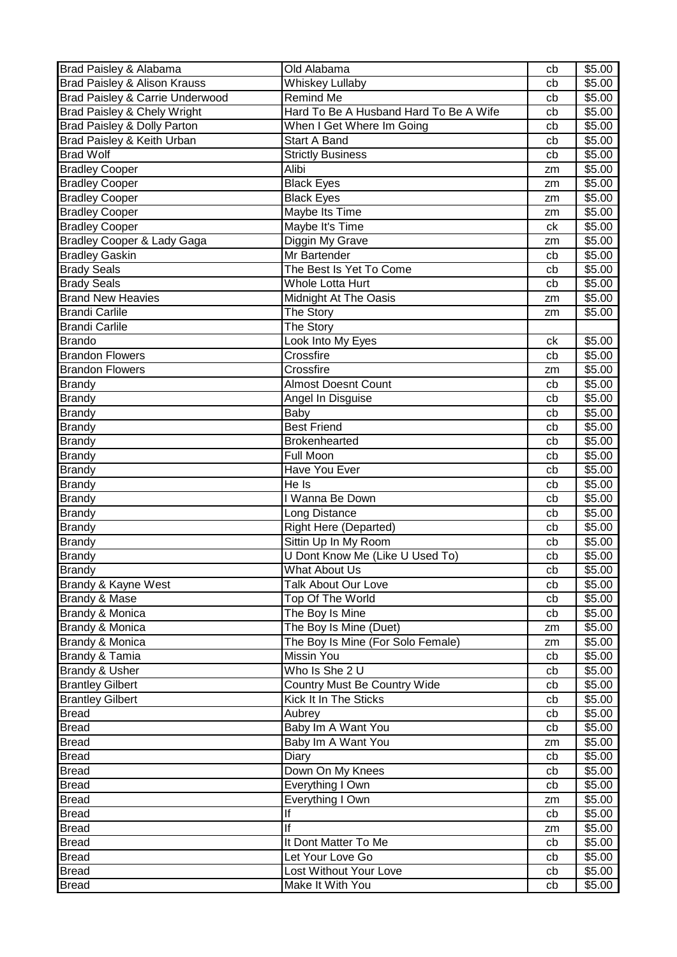| Brad Paisley & Alabama                  | Old Alabama                            | cb | \$5.00 |
|-----------------------------------------|----------------------------------------|----|--------|
| <b>Brad Paisley &amp; Alison Krauss</b> | <b>Whiskey Lullaby</b>                 | cb | \$5.00 |
| Brad Paisley & Carrie Underwood         | Remind Me                              | cb | \$5.00 |
| Brad Paisley & Chely Wright             | Hard To Be A Husband Hard To Be A Wife | cb | \$5.00 |
| Brad Paisley & Dolly Parton             | When I Get Where Im Going              | cb | \$5.00 |
| Brad Paisley & Keith Urban              | <b>Start A Band</b>                    | cb | \$5.00 |
| <b>Brad Wolf</b>                        | <b>Strictly Business</b>               | cb | \$5.00 |
| <b>Bradley Cooper</b>                   | Alibi                                  | zm | \$5.00 |
| <b>Bradley Cooper</b>                   | <b>Black Eyes</b>                      | zm | \$5.00 |
| <b>Bradley Cooper</b>                   | <b>Black Eyes</b>                      | zm | \$5.00 |
| <b>Bradley Cooper</b>                   | Maybe Its Time                         | zm | \$5.00 |
| <b>Bradley Cooper</b>                   | Maybe It's Time                        | ck | \$5.00 |
| Bradley Cooper & Lady Gaga              | Diggin My Grave                        | zm | \$5.00 |
| <b>Bradley Gaskin</b>                   | Mr Bartender                           | cb | \$5.00 |
| <b>Brady Seals</b>                      | The Best Is Yet To Come                | cb | \$5.00 |
| <b>Brady Seals</b>                      | <b>Whole Lotta Hurt</b>                | cb | \$5.00 |
| <b>Brand New Heavies</b>                | Midnight At The Oasis                  | zm | \$5.00 |
| <b>Brandi Carlile</b>                   | The Story                              | zm | \$5.00 |
| <b>Brandi Carlile</b>                   | The Story                              |    |        |
| <b>Brando</b>                           | Look Into My Eyes                      | ck | \$5.00 |
| <b>Brandon Flowers</b>                  | Crossfire                              | cb | \$5.00 |
| <b>Brandon Flowers</b>                  | Crossfire                              | zm | \$5.00 |
| <b>Brandy</b>                           | <b>Almost Doesnt Count</b>             | cb | \$5.00 |
| <b>Brandy</b>                           | Angel In Disguise                      | cb | \$5.00 |
| <b>Brandy</b>                           | Baby                                   | cb | \$5.00 |
| <b>Brandy</b>                           | <b>Best Friend</b>                     | cb | \$5.00 |
| <b>Brandy</b>                           | Brokenhearted                          | cb | \$5.00 |
| <b>Brandy</b>                           | Full Moon                              | cb | \$5.00 |
| <b>Brandy</b>                           | Have You Ever                          | cb | \$5.00 |
| <b>Brandy</b>                           | $He$ Is                                | cb | \$5.00 |
| <b>Brandy</b>                           | I Wanna Be Down                        | cb | \$5.00 |
| <b>Brandy</b>                           | Long Distance                          | cb | \$5.00 |
| <b>Brandy</b>                           | <b>Right Here (Departed)</b>           | cb | \$5.00 |
| <b>Brandy</b>                           | Sittin Up In My Room                   | cb | \$5.00 |
| <b>Brandy</b>                           | U Dont Know Me (Like U Used To)        | cb | \$5.00 |
| <b>Brandy</b>                           | What About Us                          | cb | \$5.00 |
| Brandy & Kayne West                     | Talk About Our Love                    | cb | \$5.00 |
| Brandy & Mase                           | Top Of The World                       | cb | \$5.00 |
| Brandy & Monica                         | The Boy Is Mine                        | cb | \$5.00 |
| Brandy & Monica                         | The Boy Is Mine (Duet)                 | zm | \$5.00 |
| <b>Brandy &amp; Monica</b>              | The Boy Is Mine (For Solo Female)      | zm | \$5.00 |
| Brandy & Tamia                          | Missin You                             | cb | \$5.00 |
| Brandy & Usher                          | Who Is She 2 U                         | cb | \$5.00 |
| <b>Brantley Gilbert</b>                 | Country Must Be Country Wide           | cb | \$5.00 |
| <b>Brantley Gilbert</b>                 | Kick It In The Sticks                  | cb | \$5.00 |
| Bread                                   | Aubrey                                 | cb | \$5.00 |
| Bread                                   | Baby Im A Want You                     | cb | \$5.00 |
| Bread                                   | Baby Im A Want You                     | zm | \$5.00 |
| Bread                                   | Diary                                  | cb | \$5.00 |
| Bread                                   | Down On My Knees                       | cb | \$5.00 |
| <b>Bread</b>                            | Everything I Own                       | cb | \$5.00 |
| <b>Bread</b>                            | Everything I Own                       | zm | \$5.00 |
| <b>Bread</b>                            | lf                                     | cb | \$5.00 |
| <b>Bread</b>                            | lf                                     | zm | \$5.00 |
| <b>Bread</b>                            | It Dont Matter To Me                   | cb | \$5.00 |
| <b>Bread</b>                            | Let Your Love Go                       | cb | \$5.00 |
| Bread                                   | Lost Without Your Love                 | cb | \$5.00 |
| <b>Bread</b>                            | Make It With You                       | cb | \$5.00 |
|                                         |                                        |    |        |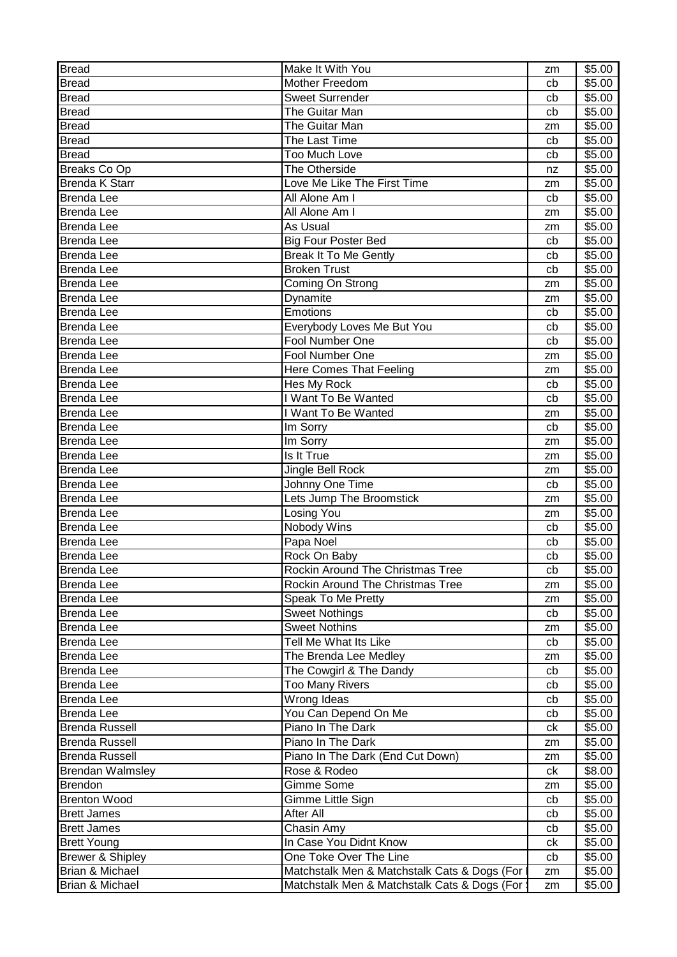| <b>Bread</b>            | Make It With You                             | zm | \$5.00 |
|-------------------------|----------------------------------------------|----|--------|
| <b>Bread</b>            | Mother Freedom                               | cb | \$5.00 |
| <b>Bread</b>            | <b>Sweet Surrender</b>                       | cb | \$5.00 |
| <b>Bread</b>            | The Guitar Man                               | cb | \$5.00 |
| <b>Bread</b>            | The Guitar Man                               | zm | \$5.00 |
| <b>Bread</b>            | The Last Time                                | cb | \$5.00 |
| <b>Bread</b>            | <b>Too Much Love</b>                         | cb | \$5.00 |
| <b>Breaks Co Op</b>     | The Otherside                                | nz | \$5.00 |
| <b>Brenda K Starr</b>   | Love Me Like The First Time                  | zm | \$5.00 |
| <b>Brenda Lee</b>       | All Alone Am I                               | cb | \$5.00 |
| <b>Brenda Lee</b>       | All Alone Am I                               | zm | \$5.00 |
| Brenda Lee              | As Usual                                     | zm | \$5.00 |
| <b>Brenda Lee</b>       | <b>Big Four Poster Bed</b>                   | cb | \$5.00 |
| <b>Brenda Lee</b>       | <b>Break It To Me Gently</b>                 | cb | \$5.00 |
| <b>Brenda Lee</b>       | <b>Broken Trust</b>                          | cb | \$5.00 |
| <b>Brenda Lee</b>       | Coming On Strong                             | zm | \$5.00 |
| <b>Brenda Lee</b>       | Dynamite                                     | zm | \$5.00 |
| <b>Brenda Lee</b>       | Emotions                                     | cb | \$5.00 |
| <b>Brenda Lee</b>       | Everybody Loves Me But You                   | cb | \$5.00 |
| <b>Brenda Lee</b>       | Fool Number One                              | cb | \$5.00 |
| <b>Brenda Lee</b>       | Fool Number One                              | zm | \$5.00 |
| <b>Brenda Lee</b>       | Here Comes That Feeling                      | zm | \$5.00 |
| <b>Brenda Lee</b>       | Hes My Rock                                  | cb | \$5.00 |
| <b>Brenda Lee</b>       | I Want To Be Wanted                          | cb | \$5.00 |
| <b>Brenda Lee</b>       | I Want To Be Wanted                          | zm | \$5.00 |
| <b>Brenda Lee</b>       | Im Sorry                                     | cb | \$5.00 |
| <b>Brenda Lee</b>       | Im Sorry                                     | zm | \$5.00 |
| <b>Brenda Lee</b>       | Is It True                                   | zm | \$5.00 |
| <b>Brenda Lee</b>       | Jingle Bell Rock                             | zm | \$5.00 |
| <b>Brenda Lee</b>       | Johnny One Time                              | cb | \$5.00 |
| <b>Brenda Lee</b>       | Lets Jump The Broomstick                     | zm | \$5.00 |
| <b>Brenda Lee</b>       | Losing You                                   | zm | \$5.00 |
| <b>Brenda Lee</b>       | Nobody Wins                                  | cb | \$5.00 |
| <b>Brenda Lee</b>       | Papa Noel                                    | cb | \$5.00 |
| <b>Brenda Lee</b>       | Rock On Baby                                 | cb | \$5.00 |
| <b>Brenda Lee</b>       | Rockin Around The Christmas Tree             | cb | \$5.00 |
| <b>Brenda Lee</b>       | Rockin Around The Christmas Tree             | zm | \$5.00 |
| <b>Brenda Lee</b>       | Speak To Me Pretty                           | zm | \$5.00 |
| <b>Brenda Lee</b>       | <b>Sweet Nothings</b>                        | cb | \$5.00 |
| Brenda Lee              | <b>Sweet Nothins</b>                         | zm | \$5.00 |
| <b>Brenda Lee</b>       | Tell Me What Its Like                        | cb | \$5.00 |
| Brenda Lee              | The Brenda Lee Medley                        | zm | \$5.00 |
| Brenda Lee              | The Cowgirl & The Dandy                      | cb | \$5.00 |
| <b>Brenda Lee</b>       | Too Many Rivers                              | cb | \$5.00 |
| Brenda Lee              | Wrong Ideas                                  | cb | \$5.00 |
| <b>Brenda Lee</b>       | You Can Depend On Me                         | cb | \$5.00 |
| Brenda Russell          | Piano In The Dark                            | ck | \$5.00 |
| <b>Brenda Russell</b>   | Piano In The Dark                            | zm | \$5.00 |
| <b>Brenda Russell</b>   | Piano In The Dark (End Cut Down)             | zm | \$5.00 |
| <b>Brendan Walmsley</b> | Rose & Rodeo                                 | ck | \$8.00 |
| Brendon                 | Gimme Some                                   | zm | \$5.00 |
| <b>Brenton Wood</b>     | Gimme Little Sign                            | cb | \$5.00 |
| <b>Brett James</b>      | After All                                    | cb | \$5.00 |
| <b>Brett James</b>      | Chasin Amy                                   | cb | \$5.00 |
| <b>Brett Young</b>      | In Case You Didnt Know                       | сk | \$5.00 |
| Brewer & Shipley        | One Toke Over The Line                       | cb | \$5.00 |
| Brian & Michael         | Matchstalk Men & Matchstalk Cats & Dogs (For | zm | \$5.00 |
| Brian & Michael         | Matchstalk Men & Matchstalk Cats & Dogs (For | zm | \$5.00 |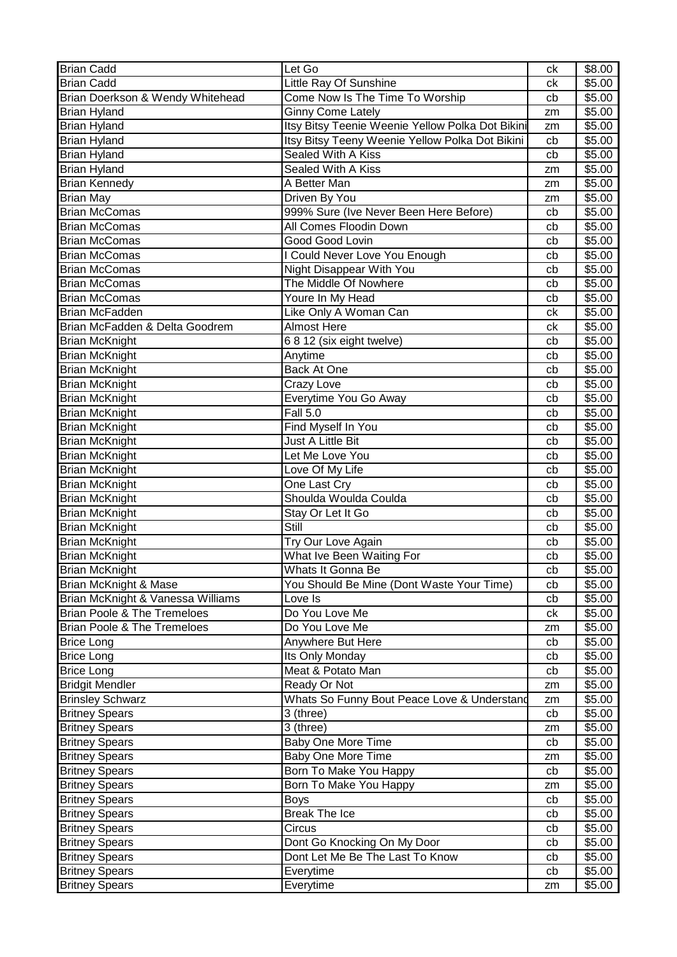| <b>Brian Cadd</b>                      | Let Go                                           | ck | \$8.00 |
|----------------------------------------|--------------------------------------------------|----|--------|
| <b>Brian Cadd</b>                      | Little Ray Of Sunshine                           | ck | \$5.00 |
| Brian Doerkson & Wendy Whitehead       | Come Now Is The Time To Worship                  | cb | \$5.00 |
| <b>Brian Hyland</b>                    | <b>Ginny Come Lately</b>                         | zm | \$5.00 |
| <b>Brian Hyland</b>                    | Itsy Bitsy Teenie Weenie Yellow Polka Dot Bikini | zm | \$5.00 |
| <b>Brian Hyland</b>                    | Itsy Bitsy Teeny Weenie Yellow Polka Dot Bikini  | cb | \$5.00 |
| <b>Brian Hyland</b>                    | Sealed With A Kiss                               | cb | \$5.00 |
| <b>Brian Hyland</b>                    | Sealed With A Kiss                               | zm | \$5.00 |
| <b>Brian Kennedy</b>                   | A Better Man                                     | zm | \$5.00 |
| <b>Brian May</b>                       | Driven By You                                    | zm | \$5.00 |
| <b>Brian McComas</b>                   | 999% Sure (Ive Never Been Here Before)           | cb | \$5.00 |
| <b>Brian McComas</b>                   | All Comes Floodin Down                           | cb | \$5.00 |
| <b>Brian McComas</b>                   | Good Good Lovin                                  | cb | \$5.00 |
| <b>Brian McComas</b>                   | I Could Never Love You Enough                    | cb | \$5.00 |
| <b>Brian McComas</b>                   | Night Disappear With You                         | cb | \$5.00 |
| <b>Brian McComas</b>                   | The Middle Of Nowhere                            | cb | \$5.00 |
| <b>Brian McComas</b>                   | Youre In My Head                                 | cb | \$5.00 |
| <b>Brian McFadden</b>                  | Like Only A Woman Can                            | сk | \$5.00 |
| Brian McFadden & Delta Goodrem         | <b>Almost Here</b>                               | ck | \$5.00 |
| <b>Brian McKnight</b>                  | 68 12 (six eight twelve)                         | cb | \$5.00 |
| Brian McKnight                         | Anytime                                          | cb | \$5.00 |
| <b>Brian McKnight</b>                  | <b>Back At One</b>                               | cb | \$5.00 |
| <b>Brian McKnight</b>                  | Crazy Love                                       | cb | \$5.00 |
| <b>Brian McKnight</b>                  | Everytime You Go Away                            | cb | \$5.00 |
| <b>Brian McKnight</b>                  | $\overline{F}$ all 5.0                           | cb | \$5.00 |
| <b>Brian McKnight</b>                  | Find Myself In You                               | cb | \$5.00 |
| <b>Brian McKnight</b>                  | Just A Little Bit                                | cb | \$5.00 |
| <b>Brian McKnight</b>                  | Let Me Love You                                  | cb | \$5.00 |
| <b>Brian McKnight</b>                  | Love Of My Life                                  | cb | \$5.00 |
| <b>Brian McKnight</b>                  | One Last Cry                                     | cb | \$5.00 |
| <b>Brian McKnight</b>                  | Shoulda Woulda Coulda                            | cb | \$5.00 |
| <b>Brian McKnight</b>                  | Stay Or Let It Go                                | cb | \$5.00 |
| <b>Brian McKnight</b>                  | Still                                            | cb | \$5.00 |
| <b>Brian McKnight</b>                  | Try Our Love Again                               | cb | \$5.00 |
| <b>Brian McKnight</b>                  | What Ive Been Waiting For                        | cb | \$5.00 |
| <b>Brian McKnight</b>                  | Whats It Gonna Be                                | cb | \$5.00 |
| Brian McKnight & Mase                  | You Should Be Mine (Dont Waste Your Time)        | cb | \$5.00 |
| Brian McKnight & Vanessa Williams      | Love Is                                          | cb | \$5.00 |
| <b>Brian Poole &amp; The Tremeloes</b> | Do You Love Me                                   | ck | \$5.00 |
| <b>Brian Poole &amp; The Tremeloes</b> | Do You Love Me                                   | zm | \$5.00 |
| <b>Brice Long</b>                      | Anywhere But Here                                | cb | \$5.00 |
| <b>Brice Long</b>                      | Its Only Monday                                  | cb | \$5.00 |
| <b>Brice Long</b>                      | Meat & Potato Man                                | cb | \$5.00 |
| <b>Bridgit Mendler</b>                 | Ready Or Not                                     | zm | \$5.00 |
| <b>Brinsley Schwarz</b>                | Whats So Funny Bout Peace Love & Understand      | zm | \$5.00 |
| <b>Britney Spears</b>                  | 3 (three)                                        | cb | \$5.00 |
| <b>Britney Spears</b>                  | 3 (three)                                        | zm | \$5.00 |
| <b>Britney Spears</b>                  | <b>Baby One More Time</b>                        | cb | \$5.00 |
| <b>Britney Spears</b>                  | <b>Baby One More Time</b>                        | zm | \$5.00 |
| <b>Britney Spears</b>                  | Born To Make You Happy                           | cb | \$5.00 |
| <b>Britney Spears</b>                  | Born To Make You Happy                           | zm | \$5.00 |
| <b>Britney Spears</b>                  | <b>Boys</b>                                      | cb | \$5.00 |
| <b>Britney Spears</b>                  | <b>Break The Ice</b>                             | cb | \$5.00 |
| <b>Britney Spears</b>                  | Circus                                           | cb | \$5.00 |
| <b>Britney Spears</b>                  | Dont Go Knocking On My Door                      | cb | \$5.00 |
| <b>Britney Spears</b>                  | Dont Let Me Be The Last To Know                  | cb | \$5.00 |
| <b>Britney Spears</b>                  | Everytime                                        | cb | \$5.00 |
| <b>Britney Spears</b>                  | Everytime                                        | zm | \$5.00 |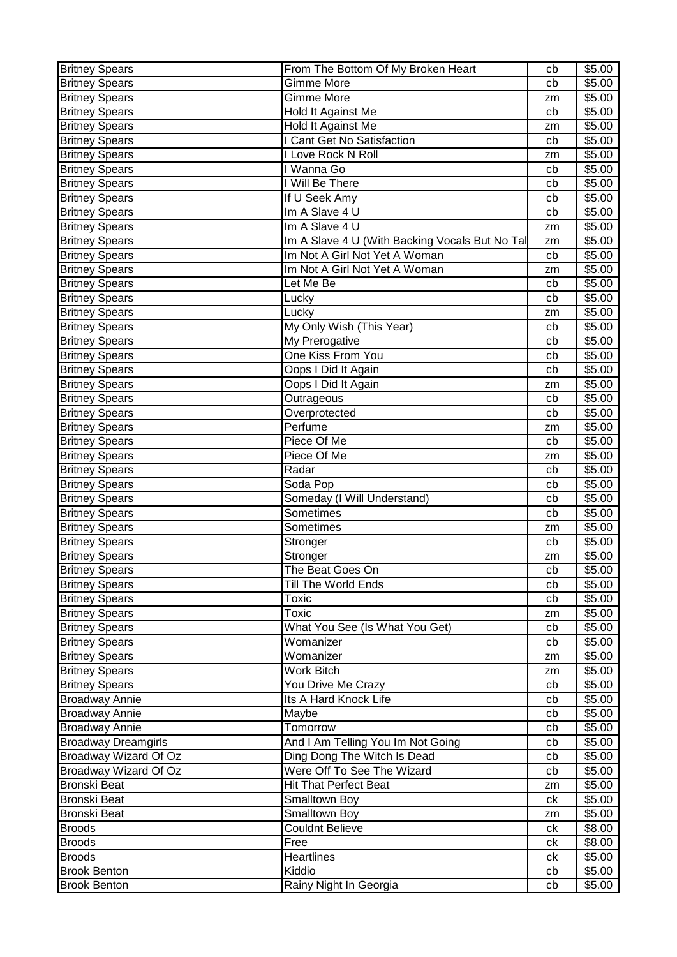| <b>Britney Spears</b>      | From The Bottom Of My Broken Heart             | cb | \$5.00 |
|----------------------------|------------------------------------------------|----|--------|
| <b>Britney Spears</b>      | Gimme More                                     | cb | \$5.00 |
| <b>Britney Spears</b>      | Gimme More                                     | zm | \$5.00 |
| <b>Britney Spears</b>      | Hold It Against Me                             | cb | \$5.00 |
| <b>Britney Spears</b>      | Hold It Against Me                             | zm | \$5.00 |
| <b>Britney Spears</b>      | I Cant Get No Satisfaction                     | cb | \$5.00 |
| <b>Britney Spears</b>      | I Love Rock N Roll                             | zm | \$5.00 |
| <b>Britney Spears</b>      | I Wanna Go                                     | cb | \$5.00 |
| <b>Britney Spears</b>      | I Will Be There                                | cb | \$5.00 |
| <b>Britney Spears</b>      | If U Seek Amy                                  | cb | \$5.00 |
| <b>Britney Spears</b>      | Im A Slave 4 U                                 | cb | \$5.00 |
| <b>Britney Spears</b>      | Im A Slave 4 U                                 | zm | \$5.00 |
| <b>Britney Spears</b>      | Im A Slave 4 U (With Backing Vocals But No Tal | zm | \$5.00 |
|                            | Im Not A Girl Not Yet A Woman                  |    | \$5.00 |
| <b>Britney Spears</b>      |                                                | cb |        |
| <b>Britney Spears</b>      | Im Not A Girl Not Yet A Woman                  | zm | \$5.00 |
| <b>Britney Spears</b>      | Let Me Be                                      | cb | \$5.00 |
| <b>Britney Spears</b>      | Lucky                                          | cb | \$5.00 |
| <b>Britney Spears</b>      | Lucky                                          | zm | \$5.00 |
| <b>Britney Spears</b>      | My Only Wish (This Year)                       | cb | \$5.00 |
| <b>Britney Spears</b>      | My Prerogative                                 | cb | \$5.00 |
| <b>Britney Spears</b>      | <b>One Kiss From You</b>                       | cb | \$5.00 |
| <b>Britney Spears</b>      | Oops I Did It Again                            | cb | \$5.00 |
| <b>Britney Spears</b>      | Oops I Did It Again                            | zm | \$5.00 |
| <b>Britney Spears</b>      | Outrageous                                     | cb | \$5.00 |
| <b>Britney Spears</b>      | Overprotected                                  | cb | \$5.00 |
| <b>Britney Spears</b>      | Perfume                                        | zm | \$5.00 |
| <b>Britney Spears</b>      | Piece Of Me                                    | cb | \$5.00 |
| <b>Britney Spears</b>      | Piece Of Me                                    | zm | \$5.00 |
| <b>Britney Spears</b>      | Radar                                          | cb | \$5.00 |
| <b>Britney Spears</b>      | Soda Pop                                       | cb | \$5.00 |
| <b>Britney Spears</b>      | Someday (I Will Understand)                    | cb | \$5.00 |
| <b>Britney Spears</b>      | Sometimes                                      | cb | \$5.00 |
| <b>Britney Spears</b>      | Sometimes                                      | zm | \$5.00 |
| <b>Britney Spears</b>      | Stronger                                       | cb | \$5.00 |
| <b>Britney Spears</b>      | Stronger                                       | zm | \$5.00 |
| <b>Britney Spears</b>      | The Beat Goes On                               | cb | \$5.00 |
| <b>Britney Spears</b>      | Till The World Ends                            | cb | \$5.00 |
| <b>Britney Spears</b>      | Toxic                                          | cb | \$5.00 |
| <b>Britney Spears</b>      | <b>Toxic</b>                                   | zm | \$5.00 |
| <b>Britney Spears</b>      | What You See (Is What You Get)                 | cb | \$5.00 |
|                            | Womanizer                                      |    |        |
| <b>Britney Spears</b>      |                                                | cb | \$5.00 |
| <b>Britney Spears</b>      | Womanizer                                      | zm | \$5.00 |
| <b>Britney Spears</b>      | Work Bitch                                     | zm | \$5.00 |
| <b>Britney Spears</b>      | You Drive Me Crazy                             | cb | \$5.00 |
| <b>Broadway Annie</b>      | Its A Hard Knock Life                          | cb | \$5.00 |
| <b>Broadway Annie</b>      | Maybe                                          | cb | \$5.00 |
| <b>Broadway Annie</b>      | Tomorrow                                       | cb | \$5.00 |
| <b>Broadway Dreamgirls</b> | And I Am Telling You Im Not Going              | cb | \$5.00 |
| Broadway Wizard Of Oz      | Ding Dong The Witch Is Dead                    | cb | \$5.00 |
| Broadway Wizard Of Oz      | Were Off To See The Wizard                     | cb | \$5.00 |
| <b>Bronski Beat</b>        | <b>Hit That Perfect Beat</b>                   | zm | \$5.00 |
| <b>Bronski Beat</b>        | Smalltown Boy                                  | ck | \$5.00 |
| Bronski Beat               | Smalltown Boy                                  | zm | \$5.00 |
| <b>Broods</b>              | <b>Couldnt Believe</b>                         | ck | \$8.00 |
| <b>Broods</b>              | Free                                           | сk | \$8.00 |
| <b>Broods</b>              | Heartlines                                     | сk | \$5.00 |
| <b>Brook Benton</b>        | Kiddio                                         | cb | \$5.00 |
| <b>Brook Benton</b>        | Rainy Night In Georgia                         | cb | \$5.00 |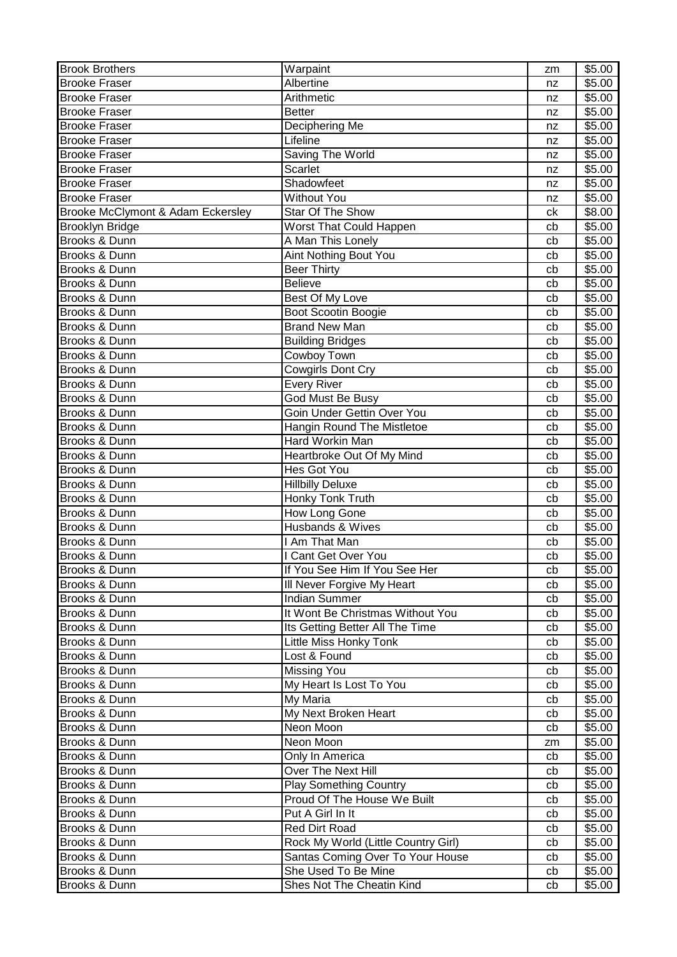| <b>Brook Brothers</b>             | Warpaint                            | zm | \$5.00 |
|-----------------------------------|-------------------------------------|----|--------|
| <b>Brooke Fraser</b>              | Albertine                           | nz | \$5.00 |
| <b>Brooke Fraser</b>              | Arithmetic                          | nz | \$5.00 |
| <b>Brooke Fraser</b>              | <b>Better</b>                       | nz | \$5.00 |
| <b>Brooke Fraser</b>              | Deciphering Me                      | nz | \$5.00 |
| <b>Brooke Fraser</b>              | Lifeline                            | nz | \$5.00 |
| <b>Brooke Fraser</b>              | Saving The World                    | nz | \$5.00 |
| <b>Brooke Fraser</b>              | Scarlet                             | nz | \$5.00 |
| <b>Brooke Fraser</b>              | Shadowfeet                          | nz | \$5.00 |
| <b>Brooke Fraser</b>              | <b>Without You</b>                  | nz | \$5.00 |
| Brooke McClymont & Adam Eckersley | Star Of The Show                    | ck | \$8.00 |
| Brooklyn Bridge                   | Worst That Could Happen             | cb | \$5.00 |
| Brooks & Dunn                     | A Man This Lonely                   | cb | \$5.00 |
| Brooks & Dunn                     | <b>Aint Nothing Bout You</b>        | cb | \$5.00 |
| Brooks & Dunn                     | <b>Beer Thirty</b>                  | cb | \$5.00 |
| Brooks & Dunn                     | <b>Believe</b>                      | cb | \$5.00 |
| Brooks & Dunn                     | Best Of My Love                     | cb | \$5.00 |
| Brooks & Dunn                     | Boot Scootin Boogie                 | cb | \$5.00 |
| Brooks & Dunn                     | <b>Brand New Man</b>                | cb | \$5.00 |
| Brooks & Dunn                     | <b>Building Bridges</b>             | cb | \$5.00 |
| Brooks & Dunn                     | Cowboy Town                         | cb | \$5.00 |
| Brooks & Dunn                     | <b>Cowgirls Dont Cry</b>            | cb | \$5.00 |
| Brooks & Dunn                     | Every River                         | cb | \$5.00 |
| Brooks & Dunn                     | God Must Be Busy                    | cb | \$5.00 |
| Brooks & Dunn                     | Goin Under Gettin Over You          | cb | \$5.00 |
| Brooks & Dunn                     | Hangin Round The Mistletoe          | cb | \$5.00 |
| Brooks & Dunn                     | Hard Workin Man                     | cb | \$5.00 |
| Brooks & Dunn                     | Heartbroke Out Of My Mind           | cb | \$5.00 |
| Brooks & Dunn                     | Hes Got You                         | cb | \$5.00 |
| Brooks & Dunn                     | <b>Hillbilly Deluxe</b>             | cb | \$5.00 |
| Brooks & Dunn                     | Honky Tonk Truth                    | cb |        |
| Brooks & Dunn                     | How Long Gone                       |    | \$5.00 |
|                                   |                                     | cb | \$5.00 |
| Brooks & Dunn                     | Husbands & Wives<br>I Am That Man   | cb | \$5.00 |
| Brooks & Dunn                     |                                     | cb | \$5.00 |
| Brooks & Dunn                     | Cant Get Over You                   | cb | \$5.00 |
| Brooks & Dunn                     | If You See Him If You See Her       | cb | \$5.00 |
| Brooks & Dunn                     | Ill Never Forgive My Heart          | cb | \$5.00 |
| Brooks & Dunn                     | <b>Indian Summer</b>                | cb | \$5.00 |
| Brooks & Dunn                     | It Wont Be Christmas Without You    | cb | \$5.00 |
| Brooks & Dunn                     | Its Getting Better All The Time     | cb | \$5.00 |
| Brooks & Dunn                     | Little Miss Honky Tonk              | cb | \$5.00 |
| Brooks & Dunn                     | Lost & Found                        | cb | \$5.00 |
| Brooks & Dunn                     | Missing You                         | cb | \$5.00 |
| Brooks & Dunn                     | My Heart Is Lost To You             | cb | \$5.00 |
| Brooks & Dunn                     | My Maria                            | cb | \$5.00 |
| Brooks & Dunn                     | My Next Broken Heart                | cb | \$5.00 |
| Brooks & Dunn                     | Neon Moon                           | cb | \$5.00 |
| Brooks & Dunn                     | Neon Moon                           | zm | \$5.00 |
| Brooks & Dunn                     | Only In America                     | cb | \$5.00 |
| Brooks & Dunn                     | Over The Next Hill                  | cb | \$5.00 |
| Brooks & Dunn                     | <b>Play Something Country</b>       | cb | \$5.00 |
| Brooks & Dunn                     | Proud Of The House We Built         | cb | \$5.00 |
| Brooks & Dunn                     | Put A Girl In It                    | cb | \$5.00 |
| Brooks & Dunn                     | Red Dirt Road                       | cb | \$5.00 |
| Brooks & Dunn                     | Rock My World (Little Country Girl) | cb | \$5.00 |
| Brooks & Dunn                     | Santas Coming Over To Your House    | cb | \$5.00 |
| Brooks & Dunn                     | She Used To Be Mine                 | cb | \$5.00 |
| Brooks & Dunn                     | Shes Not The Cheatin Kind           | cb | \$5.00 |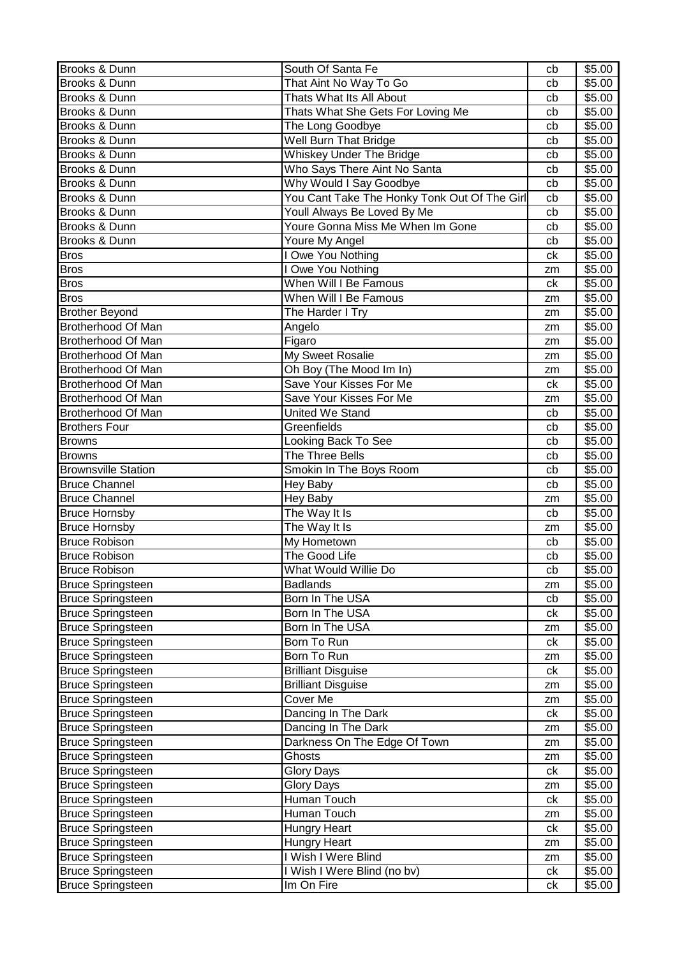| Brooks & Dunn              | South Of Santa Fe                            | cb | \$5.00 |
|----------------------------|----------------------------------------------|----|--------|
| Brooks & Dunn              | That Aint No Way To Go                       | cb | \$5.00 |
| Brooks & Dunn              | Thats What Its All About                     | cb | \$5.00 |
| Brooks & Dunn              | Thats What She Gets For Loving Me            | cb | \$5.00 |
| Brooks & Dunn              | The Long Goodbye                             | cb | \$5.00 |
| Brooks & Dunn              | Well Burn That Bridge                        | cb | \$5.00 |
| Brooks & Dunn              | <b>Whiskey Under The Bridge</b>              | cb | \$5.00 |
| Brooks & Dunn              | Who Says There Aint No Santa                 | cb | \$5.00 |
| Brooks & Dunn              | Why Would I Say Goodbye                      | cb | \$5.00 |
| Brooks & Dunn              | You Cant Take The Honky Tonk Out Of The Girl | cb | \$5.00 |
| Brooks & Dunn              | Youll Always Be Loved By Me                  | cb | \$5.00 |
| Brooks & Dunn              | Youre Gonna Miss Me When Im Gone             | cb | \$5.00 |
| Brooks & Dunn              | Youre My Angel                               | cb | \$5.00 |
| <b>Bros</b>                | <b>I Owe You Nothing</b>                     | ck | \$5.00 |
|                            |                                              |    |        |
| <b>Bros</b>                | I Owe You Nothing                            | zm | \$5.00 |
| <b>Bros</b>                | When Will I Be Famous                        | ck | \$5.00 |
| <b>Bros</b>                | When Will I Be Famous                        | zm | \$5.00 |
| <b>Brother Beyond</b>      | The Harder I Try                             | zm | \$5.00 |
| Brotherhood Of Man         | Angelo                                       | zm | \$5.00 |
| Brotherhood Of Man         | Figaro                                       | zm | \$5.00 |
| Brotherhood Of Man         | My Sweet Rosalie                             | zm | \$5.00 |
| Brotherhood Of Man         | Oh Boy (The Mood Im In)                      | zm | \$5.00 |
| Brotherhood Of Man         | Save Your Kisses For Me                      | ck | \$5.00 |
| Brotherhood Of Man         | Save Your Kisses For Me                      | zm | \$5.00 |
| Brotherhood Of Man         | United We Stand                              | cb | \$5.00 |
| <b>Brothers Four</b>       | Greenfields                                  | cb | \$5.00 |
| <b>Browns</b>              | Looking Back To See                          | cb | \$5.00 |
| <b>Browns</b>              | The Three Bells                              | cb | \$5.00 |
| <b>Brownsville Station</b> | Smokin In The Boys Room                      | cb | \$5.00 |
| <b>Bruce Channel</b>       | Hey Baby                                     | cb | \$5.00 |
| <b>Bruce Channel</b>       | Hey Baby                                     | zm | \$5.00 |
| <b>Bruce Hornsby</b>       | The Way It Is                                | cb | \$5.00 |
| <b>Bruce Hornsby</b>       | The Way It Is                                | zm | \$5.00 |
| <b>Bruce Robison</b>       | My Hometown                                  | cb | \$5.00 |
| <b>Bruce Robison</b>       | The Good Life                                | cb | \$5.00 |
| <b>Bruce Robison</b>       | What Would Willie Do                         | cb | \$5.00 |
| <b>Bruce Springsteen</b>   | <b>Badlands</b>                              |    | \$5.00 |
|                            | Born In The USA                              | zm | \$5.00 |
| <b>Bruce Springsteen</b>   | Born In The USA                              | cb | \$5.00 |
| <b>Bruce Springsteen</b>   |                                              | сk |        |
| <b>Bruce Springsteen</b>   | Born In The USA                              | zm | \$5.00 |
| <b>Bruce Springsteen</b>   | Born To Run                                  | ck | \$5.00 |
| <b>Bruce Springsteen</b>   | Born To Run                                  | zm | \$5.00 |
| <b>Bruce Springsteen</b>   | <b>Brilliant Disguise</b>                    | ck | \$5.00 |
| <b>Bruce Springsteen</b>   | <b>Brilliant Disguise</b>                    | zm | \$5.00 |
| <b>Bruce Springsteen</b>   | Cover Me                                     | zm | \$5.00 |
| <b>Bruce Springsteen</b>   | Dancing In The Dark                          | ck | \$5.00 |
| <b>Bruce Springsteen</b>   | Dancing In The Dark                          | zm | \$5.00 |
| <b>Bruce Springsteen</b>   | Darkness On The Edge Of Town                 | zm | \$5.00 |
| <b>Bruce Springsteen</b>   | Ghosts                                       | zm | \$5.00 |
| <b>Bruce Springsteen</b>   | <b>Glory Days</b>                            | ck | \$5.00 |
| <b>Bruce Springsteen</b>   | <b>Glory Days</b>                            | zm | \$5.00 |
| <b>Bruce Springsteen</b>   | Human Touch                                  | ck | \$5.00 |
| <b>Bruce Springsteen</b>   | Human Touch                                  | zm | \$5.00 |
| <b>Bruce Springsteen</b>   | Hungry Heart                                 | ck | \$5.00 |
| <b>Bruce Springsteen</b>   | Hungry Heart                                 | zm | \$5.00 |
| <b>Bruce Springsteen</b>   | I Wish I Were Blind                          | zm | \$5.00 |
| <b>Bruce Springsteen</b>   | I Wish I Were Blind (no bv)                  | ck | \$5.00 |
| <b>Bruce Springsteen</b>   | Im On Fire                                   | сk | \$5.00 |
|                            |                                              |    |        |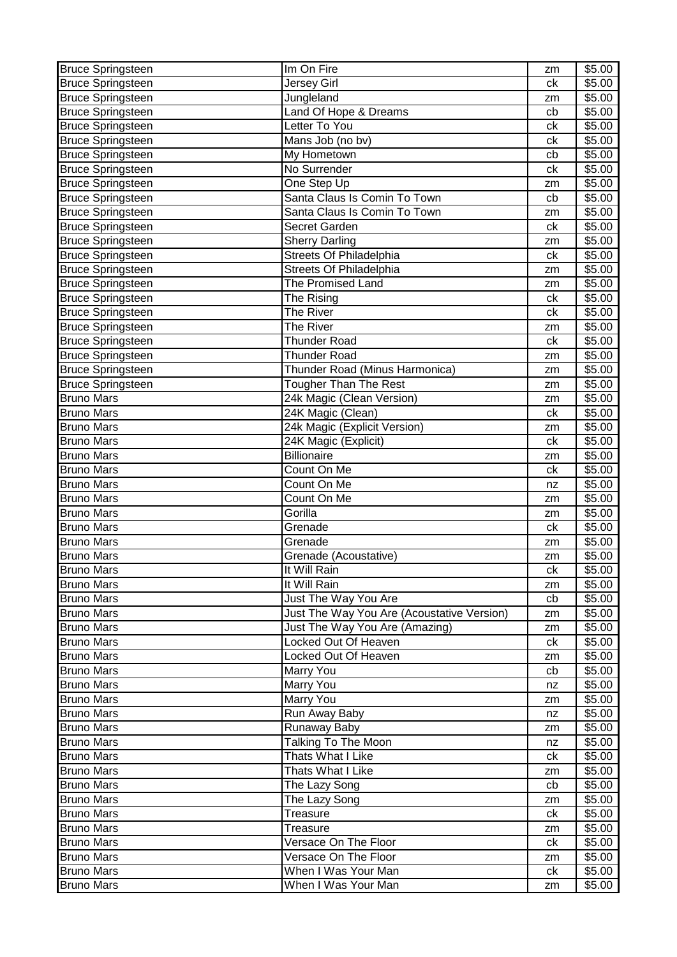| <b>Bruce Springsteen</b> | Im On Fire                                 | zm       | \$5.00             |
|--------------------------|--------------------------------------------|----------|--------------------|
| Bruce Springsteen        | <b>Jersey Girl</b>                         | ck       | \$5.00             |
| <b>Bruce Springsteen</b> | Jungleland                                 | zm       | \$5.00             |
| <b>Bruce Springsteen</b> | Land Of Hope & Dreams                      | cb       | \$5.00             |
| <b>Bruce Springsteen</b> | Letter To You                              | ck       | \$5.00             |
| <b>Bruce Springsteen</b> | Mans Job (no bv)                           | ck       | \$5.00             |
| <b>Bruce Springsteen</b> | My Hometown                                | cb       | \$5.00             |
| <b>Bruce Springsteen</b> | No Surrender                               | ck       | \$5.00             |
| <b>Bruce Springsteen</b> | One Step Up                                | zm       | \$5.00             |
| <b>Bruce Springsteen</b> | Santa Claus Is Comin To Town               | cb       | \$5.00             |
| <b>Bruce Springsteen</b> | Santa Claus Is Comin To Town               | zm       | \$5.00             |
| <b>Bruce Springsteen</b> | Secret Garden                              | ck       | \$5.00             |
| <b>Bruce Springsteen</b> | <b>Sherry Darling</b>                      | zm       | \$5.00             |
| <b>Bruce Springsteen</b> | <b>Streets Of Philadelphia</b>             | ck       | \$5.00             |
| <b>Bruce Springsteen</b> | <b>Streets Of Philadelphia</b>             | zm       | \$5.00             |
| <b>Bruce Springsteen</b> | The Promised Land                          | zm       | \$5.00             |
| <b>Bruce Springsteen</b> | The Rising                                 | ck       | \$5.00             |
| <b>Bruce Springsteen</b> | The River                                  | ck       | \$5.00             |
| <b>Bruce Springsteen</b> | The River                                  | zm       | \$5.00             |
| <b>Bruce Springsteen</b> | <b>Thunder Road</b>                        | ck       | $\overline{$}5.00$ |
| <b>Bruce Springsteen</b> | <b>Thunder Road</b>                        | zm       | \$5.00             |
| <b>Bruce Springsteen</b> | Thunder Road (Minus Harmonica)             | zm       | \$5.00             |
| <b>Bruce Springsteen</b> | Tougher Than The Rest                      | zm       | \$5.00             |
| <b>Bruno Mars</b>        | 24k Magic (Clean Version)                  | zm       | \$5.00             |
| <b>Bruno Mars</b>        | 24K Magic (Clean)                          | ck       | \$5.00             |
| <b>Bruno Mars</b>        | 24k Magic (Explicit Version)               | zm       | \$5.00             |
| <b>Bruno Mars</b>        | 24K Magic (Explicit)                       | ck       | \$5.00             |
| <b>Bruno Mars</b>        | <b>Billionaire</b>                         |          | \$5.00             |
| <b>Bruno Mars</b>        | Count On Me                                | zm<br>ck | \$5.00             |
| <b>Bruno Mars</b>        | Count On Me                                |          | \$5.00             |
| <b>Bruno Mars</b>        | Count On Me                                | nz       | \$5.00             |
| <b>Bruno Mars</b>        | Gorilla                                    | zm       | \$5.00             |
| <b>Bruno Mars</b>        | Grenade                                    | zm       |                    |
| <b>Bruno Mars</b>        |                                            | ck       | \$5.00             |
|                          | Grenade<br>Grenade (Acoustative)           | zm       | \$5.00             |
| <b>Bruno Mars</b>        |                                            | zm       | \$5.00             |
| <b>Bruno Mars</b>        | It Will Rain                               | ck       | \$5.00             |
| <b>Bruno Mars</b>        | It Will Rain                               | zm       | \$5.00             |
| <b>Bruno Mars</b>        | Just The Way You Are                       | cb       | \$5.00             |
| <b>Bruno Mars</b>        | Just The Way You Are (Acoustative Version) | zm       | \$5.00             |
| <b>Bruno Mars</b>        | Just The Way You Are (Amazing)             | zm       | \$5.00             |
| <b>Bruno Mars</b>        | Locked Out Of Heaven                       | ck       | \$5.00             |
| <b>Bruno Mars</b>        | Locked Out Of Heaven                       | zm       | \$5.00             |
| <b>Bruno Mars</b>        | Marry You                                  | cb       | \$5.00             |
| <b>Bruno Mars</b>        | Marry You                                  | nz       | \$5.00             |
| <b>Bruno Mars</b>        | Marry You                                  | zm       | \$5.00             |
| <b>Bruno Mars</b>        | Run Away Baby                              | nz       | \$5.00             |
| <b>Bruno Mars</b>        | Runaway Baby                               | zm       | \$5.00             |
| <b>Bruno Mars</b>        | Talking To The Moon                        | nz       | \$5.00             |
| <b>Bruno Mars</b>        | Thats What I Like                          | ck       | \$5.00             |
| <b>Bruno Mars</b>        | Thats What I Like                          | zm       | \$5.00             |
| <b>Bruno Mars</b>        | The Lazy Song                              | cb       | \$5.00             |
| <b>Bruno Mars</b>        | The Lazy Song                              | zm       | \$5.00             |
| <b>Bruno Mars</b>        | Treasure                                   | ck       | \$5.00             |
| <b>Bruno Mars</b>        | Treasure                                   | zm       | \$5.00             |
| <b>Bruno Mars</b>        | Versace On The Floor                       | ck       | \$5.00             |
| <b>Bruno Mars</b>        | Versace On The Floor                       | zm       | \$5.00             |
| <b>Bruno Mars</b>        | When I Was Your Man                        | ck       | \$5.00             |
| <b>Bruno Mars</b>        | When I Was Your Man                        | zm       | \$5.00             |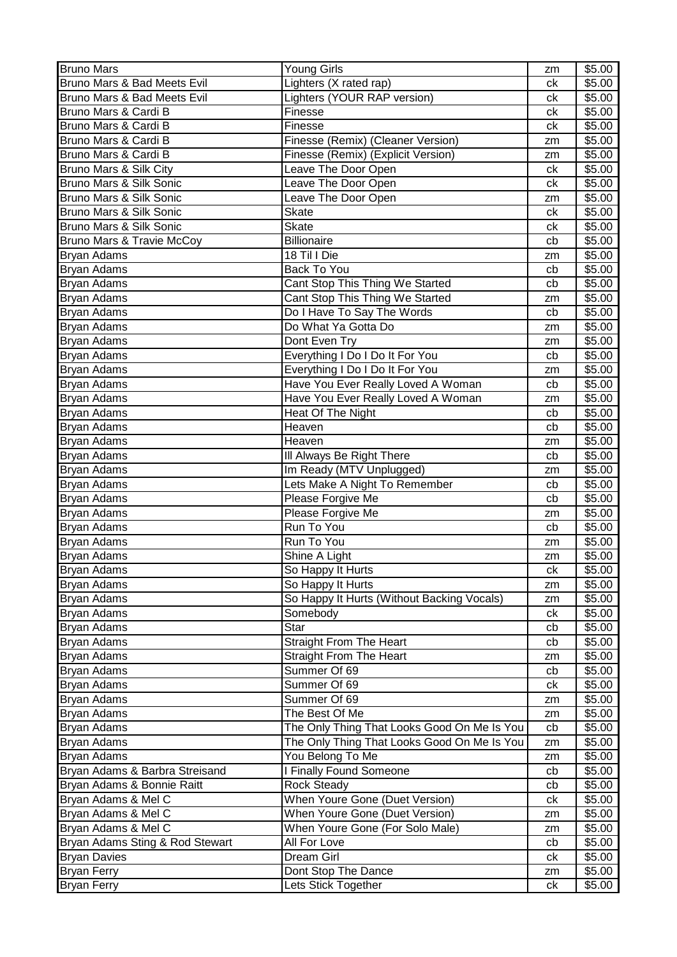| <b>Bruno Mars</b>                    | <b>Young Girls</b>                          | zm | \$5.00 |
|--------------------------------------|---------------------------------------------|----|--------|
| Bruno Mars & Bad Meets Evil          | Lighters (X rated rap)                      | ck | \$5.00 |
| Bruno Mars & Bad Meets Evil          | Lighters (YOUR RAP version)                 | ck | \$5.00 |
| Bruno Mars & Cardi B                 | Finesse                                     | ck | \$5.00 |
| Bruno Mars & Cardi B                 | Finesse                                     | сk | \$5.00 |
| Bruno Mars & Cardi B                 | Finesse (Remix) (Cleaner Version)           | zm | \$5.00 |
| Bruno Mars & Cardi B                 | Finesse (Remix) (Explicit Version)          | zm | \$5.00 |
| Bruno Mars & Silk City               | Leave The Door Open                         | ck | \$5.00 |
| Bruno Mars & Silk Sonic              | Leave The Door Open                         | ck | \$5.00 |
| Bruno Mars & Silk Sonic              | Leave The Door Open                         | zm | \$5.00 |
| Bruno Mars & Silk Sonic              | <b>Skate</b>                                | сk | \$5.00 |
| Bruno Mars & Silk Sonic              | <b>Skate</b>                                | ck | \$5.00 |
| <b>Bruno Mars &amp; Travie McCoy</b> | <b>Billionaire</b>                          | cb | \$5.00 |
| Bryan Adams                          | 18 Til I Die                                | zm | \$5.00 |
| <b>Bryan Adams</b>                   | <b>Back To You</b>                          | cb | \$5.00 |
| Bryan Adams                          | Cant Stop This Thing We Started             | cb | \$5.00 |
| Bryan Adams                          | Cant Stop This Thing We Started             | zm | \$5.00 |
| Bryan Adams                          | Do I Have To Say The Words                  | cb | \$5.00 |
| <b>Bryan Adams</b>                   | Do What Ya Gotta Do                         | zm | \$5.00 |
| <b>Bryan Adams</b>                   | Dont Even Try                               | zm | \$5.00 |
| Bryan Adams                          | Everything I Do I Do It For You             | cb | \$5.00 |
| <b>Bryan Adams</b>                   | Everything I Do I Do It For You             | zm | \$5.00 |
| <b>Bryan Adams</b>                   | Have You Ever Really Loved A Woman          | cb | \$5.00 |
| Bryan Adams                          | Have You Ever Really Loved A Woman          | zm | \$5.00 |
| Bryan Adams                          | Heat Of The Night                           | cb | \$5.00 |
| <b>Bryan Adams</b>                   | Heaven                                      | cb | \$5.00 |
| Bryan Adams                          | Heaven                                      | zm | \$5.00 |
| <b>Bryan Adams</b>                   | III Always Be Right There                   | cb | \$5.00 |
| Bryan Adams                          | Im Ready (MTV Unplugged)                    | zm | \$5.00 |
| <b>Bryan Adams</b>                   | Lets Make A Night To Remember               | cb | \$5.00 |
| Bryan Adams                          | Please Forgive Me                           | cb | \$5.00 |
| Bryan Adams                          | Please Forgive Me                           | zm | \$5.00 |
| <b>Bryan Adams</b>                   | Run To You                                  | cb | \$5.00 |
| <b>Bryan Adams</b>                   | Run To You                                  | zm | \$5.00 |
| <b>Bryan Adams</b>                   | Shine A Light                               | zm | \$5.00 |
| <b>Bryan Adams</b>                   | So Happy It Hurts                           | ck | \$5.00 |
| Bryan Adams                          | So Happy It Hurts                           | zm | \$5.00 |
| <b>Bryan Adams</b>                   | So Happy It Hurts (Without Backing Vocals)  | zm | \$5.00 |
| <b>Bryan Adams</b>                   | Somebody                                    | ck | \$5.00 |
| <b>Bryan Adams</b>                   | <b>Star</b>                                 | cb | \$5.00 |
| Bryan Adams                          | <b>Straight From The Heart</b>              | cb | \$5.00 |
| Bryan Adams                          | <b>Straight From The Heart</b>              | zm | \$5.00 |
| Bryan Adams                          | Summer Of 69                                | cb | \$5.00 |
| <b>Bryan Adams</b>                   | Summer Of 69                                | ck | \$5.00 |
| Bryan Adams                          | Summer Of 69                                | zm | \$5.00 |
| Bryan Adams                          | The Best Of Me                              | zm | \$5.00 |
| Bryan Adams                          | The Only Thing That Looks Good On Me Is You | cb | \$5.00 |
| Bryan Adams                          | The Only Thing That Looks Good On Me Is You | zm | \$5.00 |
| Bryan Adams                          | You Belong To Me                            | zm | \$5.00 |
| Bryan Adams & Barbra Streisand       | I Finally Found Someone                     | cb | \$5.00 |
| Bryan Adams & Bonnie Raitt           | <b>Rock Steady</b>                          | cb | \$5.00 |
| Bryan Adams & Mel C                  | When Youre Gone (Duet Version)              | ck | \$5.00 |
| Bryan Adams & Mel C                  | When Youre Gone (Duet Version)              | zm | \$5.00 |
| Bryan Adams & Mel C                  | When Youre Gone (For Solo Male)             | zm | \$5.00 |
| Bryan Adams Sting & Rod Stewart      | All For Love                                | cb | \$5.00 |
| <b>Bryan Davies</b>                  | Dream Girl                                  | ck | \$5.00 |
| Bryan Ferry                          | Dont Stop The Dance                         | zm | \$5.00 |
| <b>Bryan Ferry</b>                   | Lets Stick Together                         | ck | \$5.00 |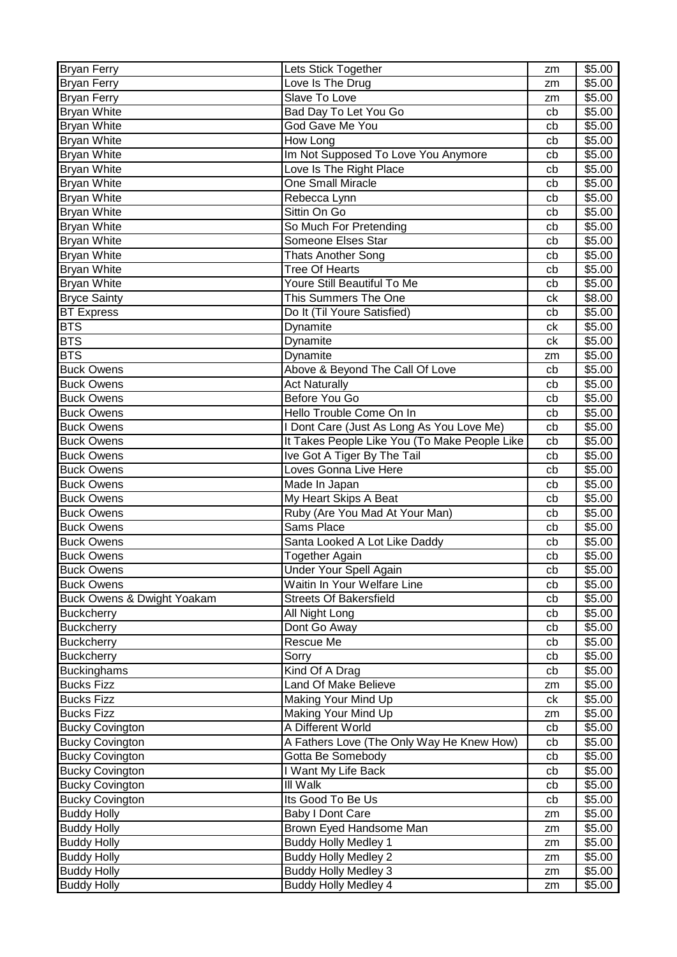| <b>Bryan Ferry</b>         | Lets Stick Together                           | zm | \$5.00 |
|----------------------------|-----------------------------------------------|----|--------|
| <b>Bryan Ferry</b>         | Love Is The Drug                              | zm | \$5.00 |
| Bryan Ferry                | Slave To Love                                 | zm | \$5.00 |
| <b>Bryan White</b>         | Bad Day To Let You Go                         | cb | \$5.00 |
| <b>Bryan White</b>         | God Gave Me You                               | cb | \$5.00 |
| <b>Bryan White</b>         | How Long                                      | cb | \$5.00 |
| <b>Bryan White</b>         | Im Not Supposed To Love You Anymore           | cb | \$5.00 |
| <b>Bryan White</b>         | Love Is The Right Place                       | cb | \$5.00 |
| <b>Bryan White</b>         | One Small Miracle                             | cb | \$5.00 |
| <b>Bryan White</b>         | Rebecca Lynn                                  | cb | \$5.00 |
| <b>Bryan White</b>         | Sittin On Go                                  | cb | \$5.00 |
| <b>Bryan White</b>         | So Much For Pretending                        | cb | \$5.00 |
| <b>Bryan White</b>         | Someone Elses Star                            | cb | \$5.00 |
| <b>Bryan White</b>         | <b>Thats Another Song</b>                     | cb | \$5.00 |
| <b>Bryan White</b>         | <b>Tree Of Hearts</b>                         | cb | \$5.00 |
| <b>Bryan White</b>         | Youre Still Beautiful To Me                   | cb | \$5.00 |
| <b>Bryce Sainty</b>        | This Summers The One                          | сk | \$8.00 |
| <b>BT</b> Express          | Do It (Til Youre Satisfied)                   | cb | \$5.00 |
| <b>BTS</b>                 | Dynamite                                      | ck | \$5.00 |
| <b>BTS</b>                 |                                               | ck |        |
| <b>BTS</b>                 | Dynamite                                      |    | \$5.00 |
|                            | Dynamite                                      | zm | \$5.00 |
| <b>Buck Owens</b>          | Above & Beyond The Call Of Love               | cb | \$5.00 |
| <b>Buck Owens</b>          | <b>Act Naturally</b>                          | cb | \$5.00 |
| <b>Buck Owens</b>          | Before You Go                                 | cb | \$5.00 |
| <b>Buck Owens</b>          | Hello Trouble Come On In                      | cb | \$5.00 |
| <b>Buck Owens</b>          | I Dont Care (Just As Long As You Love Me)     | cb | \$5.00 |
| <b>Buck Owens</b>          | It Takes People Like You (To Make People Like | cb | \$5.00 |
| <b>Buck Owens</b>          | Ive Got A Tiger By The Tail                   | cb | \$5.00 |
| <b>Buck Owens</b>          | Loves Gonna Live Here                         | cb | \$5.00 |
| <b>Buck Owens</b>          | Made In Japan                                 | cb | \$5.00 |
| <b>Buck Owens</b>          | My Heart Skips A Beat                         | cb | \$5.00 |
| <b>Buck Owens</b>          | Ruby (Are You Mad At Your Man)                | cb | \$5.00 |
| <b>Buck Owens</b>          | Sams Place                                    | cb | \$5.00 |
| <b>Buck Owens</b>          | Santa Looked A Lot Like Daddy                 | cb | \$5.00 |
| <b>Buck Owens</b>          | <b>Together Again</b>                         | cb | \$5.00 |
| <b>Buck Owens</b>          | Under Your Spell Again                        | cb | \$5.00 |
| <b>Buck Owens</b>          | Waitin In Your Welfare Line                   | cb | \$5.00 |
| Buck Owens & Dwight Yoakam | <b>Streets Of Bakersfield</b>                 | cb | \$5.00 |
| <b>Buckcherry</b>          | All Night Long                                | cb | \$5.00 |
| <b>Buckcherry</b>          | Dont Go Away                                  | cb | \$5.00 |
| <b>Buckcherry</b>          | Rescue Me                                     | cb | \$5.00 |
| <b>Buckcherry</b>          | Sorry                                         | cb | \$5.00 |
| <b>Buckinghams</b>         | Kind Of A Drag                                | cb | \$5.00 |
| <b>Bucks Fizz</b>          | Land Of Make Believe                          | zm | \$5.00 |
| <b>Bucks Fizz</b>          | Making Your Mind Up                           | ck | \$5.00 |
| <b>Bucks Fizz</b>          | Making Your Mind Up                           | zm | \$5.00 |
| <b>Bucky Covington</b>     | A Different World                             | cb | \$5.00 |
| <b>Bucky Covington</b>     | A Fathers Love (The Only Way He Knew How)     | cb | \$5.00 |
| <b>Bucky Covington</b>     | Gotta Be Somebody                             | cb | \$5.00 |
| <b>Bucky Covington</b>     | I Want My Life Back                           | cb | \$5.00 |
| <b>Bucky Covington</b>     | III Walk                                      | cb | \$5.00 |
| <b>Bucky Covington</b>     | Its Good To Be Us                             | cb | \$5.00 |
| <b>Buddy Holly</b>         | <b>Baby I Dont Care</b>                       | zm | \$5.00 |
|                            | Brown Eyed Handsome Man                       |    | \$5.00 |
| <b>Buddy Holly</b>         |                                               | zm |        |
| <b>Buddy Holly</b>         | <b>Buddy Holly Medley 1</b>                   | zm | \$5.00 |
| <b>Buddy Holly</b>         | <b>Buddy Holly Medley 2</b>                   | zm | \$5.00 |
| <b>Buddy Holly</b>         | <b>Buddy Holly Medley 3</b>                   | zm | \$5.00 |
| <b>Buddy Holly</b>         | <b>Buddy Holly Medley 4</b>                   | zm | \$5.00 |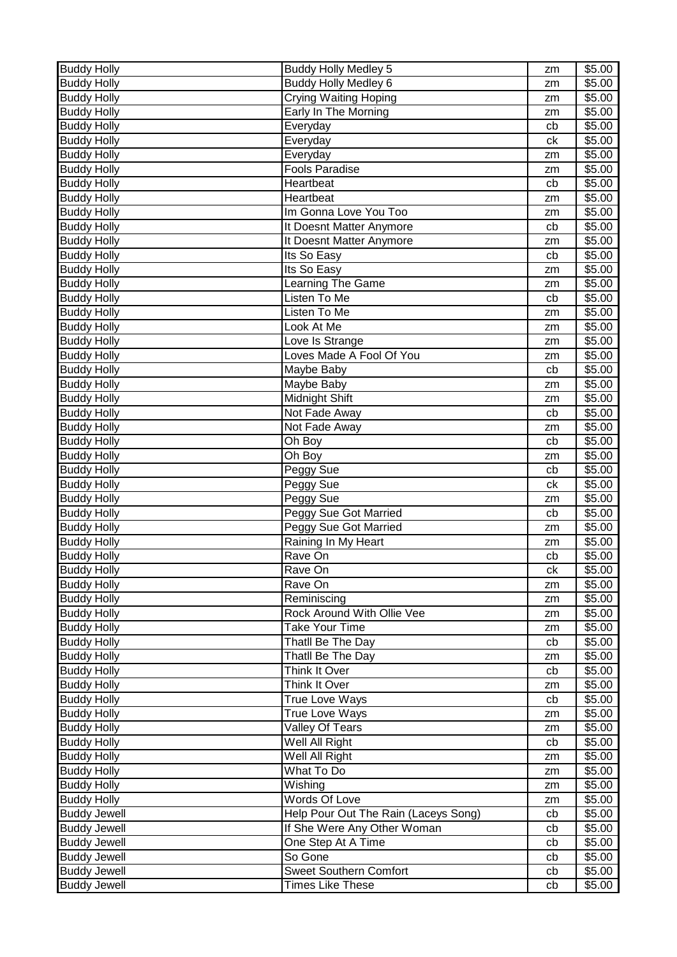| <b>Buddy Holly</b>  | <b>Buddy Holly Medley 5</b>          | zm             | \$5.00 |
|---------------------|--------------------------------------|----------------|--------|
| <b>Buddy Holly</b>  | <b>Buddy Holly Medley 6</b>          | zm             | \$5.00 |
| <b>Buddy Holly</b>  | <b>Crying Waiting Hoping</b>         | zm             | \$5.00 |
| <b>Buddy Holly</b>  | Early In The Morning                 | zm             | \$5.00 |
| <b>Buddy Holly</b>  | Everyday                             | cb             | \$5.00 |
| <b>Buddy Holly</b>  | Everyday                             | ck             | \$5.00 |
| <b>Buddy Holly</b>  | Everyday                             | zm             | \$5.00 |
| <b>Buddy Holly</b>  | <b>Fools Paradise</b>                | zm             | \$5.00 |
| <b>Buddy Holly</b>  | Heartbeat                            | cb             | \$5.00 |
| <b>Buddy Holly</b>  | Heartbeat                            | zm             | \$5.00 |
| <b>Buddy Holly</b>  | Im Gonna Love You Too                | zm             | \$5.00 |
| <b>Buddy Holly</b>  | It Doesnt Matter Anymore             | cb             | \$5.00 |
| <b>Buddy Holly</b>  | It Doesnt Matter Anymore             | zm             | \$5.00 |
| <b>Buddy Holly</b>  | Its So Easy                          | cb             | \$5.00 |
| <b>Buddy Holly</b>  | Its So Easy                          | zm             | \$5.00 |
| <b>Buddy Holly</b>  | Learning The Game                    | zm             | \$5.00 |
| <b>Buddy Holly</b>  | Listen To Me                         | cb             | \$5.00 |
| <b>Buddy Holly</b>  | Listen To Me                         | zm             | \$5.00 |
| <b>Buddy Holly</b>  | Look At Me                           | zm             | \$5.00 |
| <b>Buddy Holly</b>  | Love Is Strange                      | zm             | \$5.00 |
| <b>Buddy Holly</b>  | Loves Made A Fool Of You             | zm             | \$5.00 |
| <b>Buddy Holly</b>  | Maybe Baby                           | cb             | \$5.00 |
| <b>Buddy Holly</b>  | Maybe Baby                           |                | \$5.00 |
| <b>Buddy Holly</b>  | Midnight Shift                       | zm             | \$5.00 |
|                     |                                      | zm             |        |
| <b>Buddy Holly</b>  | Not Fade Away                        | cb             | \$5.00 |
| <b>Buddy Holly</b>  | Not Fade Away                        | zm             | \$5.00 |
| <b>Buddy Holly</b>  | Oh Boy                               | cb             | \$5.00 |
| <b>Buddy Holly</b>  | Oh Boy                               | zm             | \$5.00 |
| <b>Buddy Holly</b>  | Peggy Sue                            | cb             | \$5.00 |
| <b>Buddy Holly</b>  | Peggy Sue                            | c <sub>k</sub> | \$5.00 |
| <b>Buddy Holly</b>  | Peggy Sue                            | zm             | \$5.00 |
| <b>Buddy Holly</b>  | Peggy Sue Got Married                | cb             | \$5.00 |
| <b>Buddy Holly</b>  | Peggy Sue Got Married                | zm             | \$5.00 |
| <b>Buddy Holly</b>  | Raining In My Heart                  | zm             | \$5.00 |
| <b>Buddy Holly</b>  | Rave On                              | cb             | \$5.00 |
| <b>Buddy Holly</b>  | Rave On                              | ck             | \$5.00 |
| <b>Buddy Holly</b>  | Rave On                              | zm             | \$5.00 |
| <b>Buddy Holly</b>  | Reminiscing                          | zm             | \$5.00 |
| <b>Buddy Holly</b>  | Rock Around With Ollie Vee           | zm             | \$5.00 |
| <b>Buddy Holly</b>  | Take Your Time                       | zm             | \$5.00 |
| <b>Buddy Holly</b>  | Thatll Be The Day                    | cb             | \$5.00 |
| <b>Buddy Holly</b>  | Thatll Be The Day                    | zm             | \$5.00 |
| <b>Buddy Holly</b>  | Think It Over                        | cb             | \$5.00 |
| <b>Buddy Holly</b>  | Think It Over                        | zm             | \$5.00 |
| <b>Buddy Holly</b>  | <b>True Love Ways</b>                | cb             | \$5.00 |
| <b>Buddy Holly</b>  | True Love Ways                       | zm             | \$5.00 |
| <b>Buddy Holly</b>  | Valley Of Tears                      | zm             | \$5.00 |
| <b>Buddy Holly</b>  | Well All Right                       | cb             | \$5.00 |
| <b>Buddy Holly</b>  | Well All Right                       | zm             | \$5.00 |
| <b>Buddy Holly</b>  | What To Do                           | zm             | \$5.00 |
| <b>Buddy Holly</b>  | $\overline{\mathsf{W}}$ ishing       | zm             | \$5.00 |
| <b>Buddy Holly</b>  | Words Of Love                        | zm             | \$5.00 |
| <b>Buddy Jewell</b> | Help Pour Out The Rain (Laceys Song) | cb             | \$5.00 |
| <b>Buddy Jewell</b> | If She Were Any Other Woman          | cb             | \$5.00 |
| <b>Buddy Jewell</b> | One Step At A Time                   | cb             | \$5.00 |
| <b>Buddy Jewell</b> | So Gone                              | cb             | \$5.00 |
| <b>Buddy Jewell</b> | <b>Sweet Southern Comfort</b>        | cb             | \$5.00 |
| <b>Buddy Jewell</b> | <b>Times Like These</b>              | cb             | \$5.00 |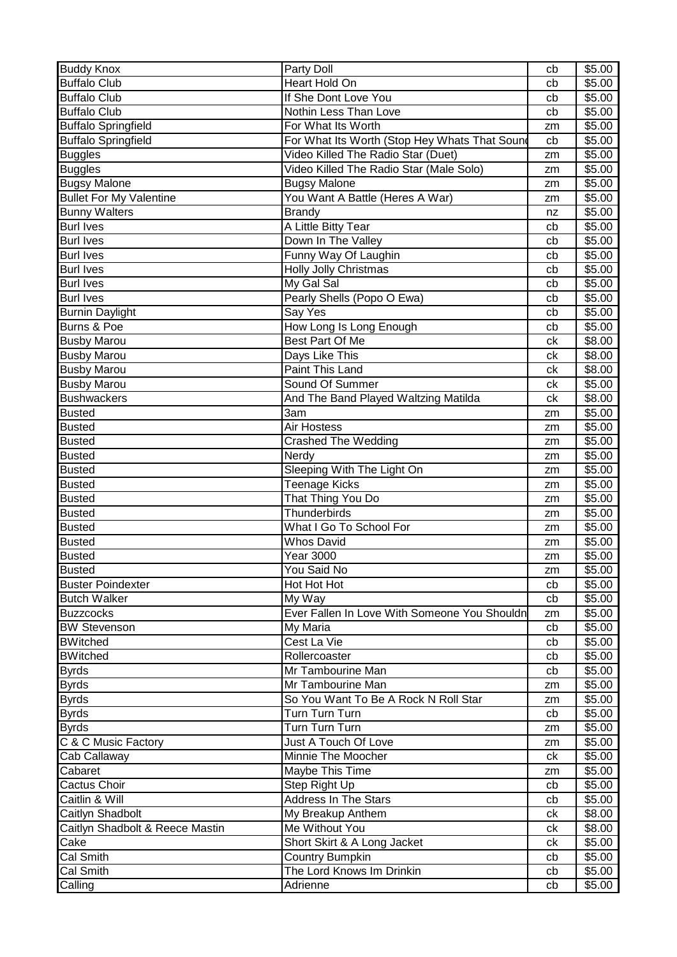| <b>Buddy Knox</b>               | Party Doll                                    | cb       | \$5.00           |
|---------------------------------|-----------------------------------------------|----------|------------------|
| <b>Buffalo Club</b>             | Heart Hold On                                 | cb       | \$5.00           |
| <b>Buffalo Club</b>             | If She Dont Love You                          | cb       | \$5.00           |
| <b>Buffalo Club</b>             | Nothin Less Than Love                         | cb       | \$5.00           |
| <b>Buffalo Springfield</b>      | For What Its Worth                            | zm       | \$5.00           |
| <b>Buffalo Springfield</b>      | For What Its Worth (Stop Hey Whats That Sound | cb       | \$5.00           |
| <b>Buggles</b>                  | Video Killed The Radio Star (Duet)            | zm       | \$5.00           |
| <b>Buggles</b>                  | Video Killed The Radio Star (Male Solo)       | zm       | \$5.00           |
| <b>Bugsy Malone</b>             | <b>Bugsy Malone</b>                           | zm       | \$5.00           |
| <b>Bullet For My Valentine</b>  | You Want A Battle (Heres A War)               | zm       | \$5.00           |
| <b>Bunny Walters</b>            | <b>Brandy</b>                                 | nz       | \$5.00           |
| <b>Burl Ives</b>                | A Little Bitty Tear                           | cb       | \$5.00           |
| <b>Burl Ives</b>                | Down In The Valley                            | cb       | \$5.00           |
| <b>Burl Ives</b>                | Funny Way Of Laughin                          | cb       | \$5.00           |
| <b>Burl Ives</b>                | <b>Holly Jolly Christmas</b>                  | cb       | \$5.00           |
| <b>Burl Ives</b>                | My Gal Sal                                    | cb       | \$5.00           |
| <b>Burl Ives</b>                | Pearly Shells (Popo O Ewa)                    | cb       | \$5.00           |
| <b>Burnin Daylight</b>          | Say Yes                                       | cb       | \$5.00           |
| Burns & Poe                     | How Long Is Long Enough                       | cb       | \$5.00           |
| <b>Busby Marou</b>              | Best Part Of Me                               | сk       | \$8.00           |
| <b>Busby Marou</b>              | Days Like This                                | сk       | \$8.00           |
| <b>Busby Marou</b>              | Paint This Land                               | ck       | \$8.00           |
| <b>Busby Marou</b>              | Sound Of Summer                               | ck       | \$5.00           |
| <b>Bushwackers</b>              | And The Band Played Waltzing Matilda          | ck       | \$8.00           |
| <b>Busted</b>                   | 3am                                           | zm       | \$5.00           |
| <b>Busted</b>                   | Air Hostess                                   | zm       | \$5.00           |
| <b>Busted</b>                   | <b>Crashed The Wedding</b>                    | zm       | \$5.00           |
| <b>Busted</b>                   | Nerdy                                         | zm       | \$5.00           |
| <b>Busted</b>                   | Sleeping With The Light On                    | zm       | \$5.00           |
| <b>Busted</b>                   | <b>Teenage Kicks</b>                          | zm       | \$5.00           |
| <b>Busted</b>                   | That Thing You Do                             | zm       | \$5.00           |
| <b>Busted</b>                   | Thunderbirds                                  | zm       | \$5.00           |
| <b>Busted</b>                   | What I Go To School For                       | zm       | \$5.00           |
| <b>Busted</b>                   | <b>Whos David</b>                             | zm       | \$5.00           |
| <b>Busted</b>                   | <b>Year 3000</b>                              | zm       | \$5.00           |
| <b>Busted</b>                   | You Said No                                   | zm       | \$5.00           |
| <b>Buster Poindexter</b>        | Hot Hot Hot                                   | cb       | \$5.00           |
| <b>Butch Walker</b>             | My Way                                        | cb       | \$5.00           |
| <b>Buzzcocks</b>                | Ever Fallen In Love With Someone You Shouldn  | zm       | \$5.00           |
| <b>BW Stevenson</b>             | My Maria                                      | cb       | \$5.00           |
| <b>BWitched</b>                 | Cest La Vie                                   | cb       | \$5.00           |
| <b>BWitched</b>                 | Rollercoaster                                 | cb       | \$5.00           |
| <b>Byrds</b>                    | Mr Tambourine Man                             | cb       | \$5.00           |
| <b>Byrds</b>                    | Mr Tambourine Man                             | zm       | \$5.00           |
| <b>Byrds</b>                    | So You Want To Be A Rock N Roll Star          | zm       | \$5.00           |
| <b>Byrds</b>                    | Turn Turn Turn                                | cb       | \$5.00           |
| <b>Byrds</b>                    | Turn Turn Turn                                | zm       | \$5.00           |
| C & C Music Factory             | Just A Touch Of Love                          | zm       | \$5.00           |
| Cab Callaway                    | Minnie The Moocher                            | сk       | \$5.00           |
| Cabaret                         | Maybe This Time                               | zm       | \$5.00           |
| Cactus Choir<br>Caitlin & Will  | Step Right Up<br><b>Address In The Stars</b>  | cb       | \$5.00           |
| Caitlyn Shadbolt                |                                               | cb       | \$5.00           |
| Caitlyn Shadbolt & Reece Mastin | My Breakup Anthem<br>Me Without You           | сk       | \$8.00           |
| Cake                            | Short Skirt & A Long Jacket                   | сk       | \$8.00<br>\$5.00 |
| Cal Smith                       | Country Bumpkin                               | ck<br>cb | \$5.00           |
| Cal Smith                       | The Lord Knows Im Drinkin                     | cb       | \$5.00           |
| Calling                         | Adrienne                                      | cb       | \$5.00           |
|                                 |                                               |          |                  |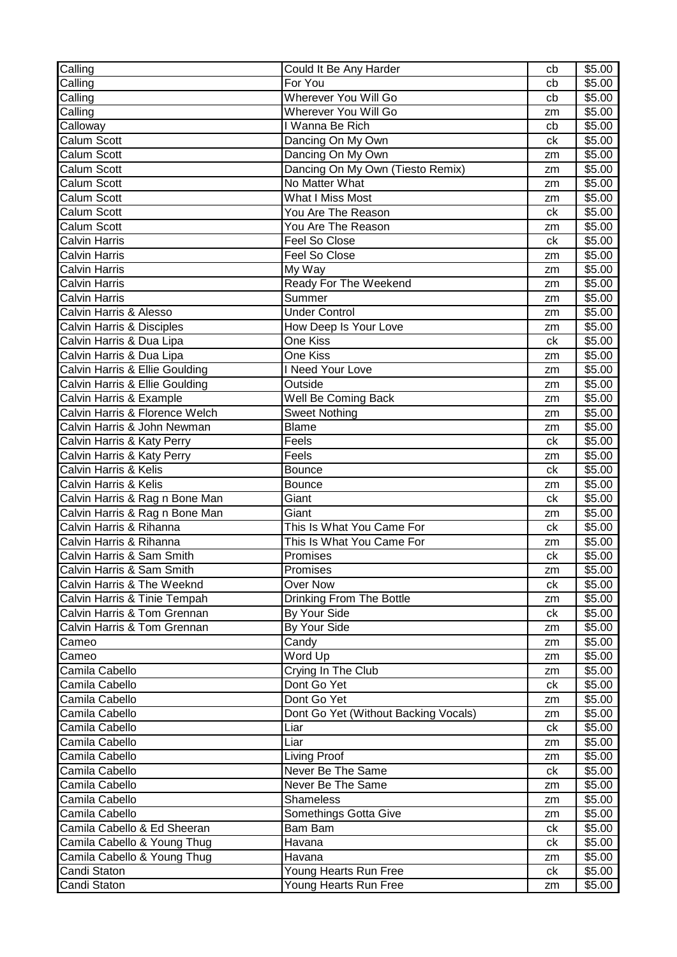| Calling                        | Could It Be Any Harder               | cb | \$5.00 |
|--------------------------------|--------------------------------------|----|--------|
| Calling                        | For You                              | cb | \$5.00 |
| Calling                        | <b>Wherever You Will Go</b>          | cb | \$5.00 |
| Calling                        | Wherever You Will Go                 | zm | \$5.00 |
| Calloway                       | I Wanna Be Rich                      | cb | \$5.00 |
| Calum Scott                    | Dancing On My Own                    | ck | \$5.00 |
| Calum Scott                    | Dancing On My Own                    | zm | \$5.00 |
| Calum Scott                    | Dancing On My Own (Tiesto Remix)     | zm | \$5.00 |
| <b>Calum Scott</b>             | No Matter What                       | zm | \$5.00 |
| Calum Scott                    | What I Miss Most                     | zm | \$5.00 |
| Calum Scott                    | You Are The Reason                   | ck | \$5.00 |
| Calum Scott                    | You Are The Reason                   | zm | \$5.00 |
| <b>Calvin Harris</b>           | Feel So Close                        | ck | \$5.00 |
| <b>Calvin Harris</b>           | Feel So Close                        | zm | \$5.00 |
| <b>Calvin Harris</b>           | My Way                               | zm | \$5.00 |
| <b>Calvin Harris</b>           | Ready For The Weekend                | zm | \$5.00 |
| <b>Calvin Harris</b>           | Summer                               | zm | \$5.00 |
| Calvin Harris & Alesso         | <b>Under Control</b>                 | zm | \$5.00 |
| Calvin Harris & Disciples      | How Deep Is Your Love                | zm | \$5.00 |
| Calvin Harris & Dua Lipa       | One Kiss                             | ck | \$5.00 |
| Calvin Harris & Dua Lipa       | One Kiss                             | zm | \$5.00 |
| Calvin Harris & Ellie Goulding | I Need Your Love                     | zm | \$5.00 |
| Calvin Harris & Ellie Goulding | Outside                              | zm | \$5.00 |
| Calvin Harris & Example        | Well Be Coming Back                  | zm | \$5.00 |
| Calvin Harris & Florence Welch | <b>Sweet Nothing</b>                 | zm | \$5.00 |
| Calvin Harris & John Newman    | <b>Blame</b>                         | zm | \$5.00 |
| Calvin Harris & Katy Perry     | Feels                                | ck | \$5.00 |
| Calvin Harris & Katy Perry     | Feels                                | zm | \$5.00 |
| Calvin Harris & Kelis          | <b>Bounce</b>                        | ck | \$5.00 |
| Calvin Harris & Kelis          | <b>Bounce</b>                        | zm | \$5.00 |
| Calvin Harris & Rag n Bone Man | Giant                                | ck | \$5.00 |
| Calvin Harris & Rag n Bone Man | Giant                                | zm | \$5.00 |
| Calvin Harris & Rihanna        | This Is What You Came For            | ck | \$5.00 |
| Calvin Harris & Rihanna        | This Is What You Came For            | zm | \$5.00 |
| Calvin Harris & Sam Smith      | Promises                             | ck | \$5.00 |
| Calvin Harris & Sam Smith      | Promises                             | zm | \$5.00 |
| Calvin Harris & The Weeknd     | <b>Over Now</b>                      | ck | \$5.00 |
| Calvin Harris & Tinie Tempah   | Drinking From The Bottle             | zm | \$5.00 |
| Calvin Harris & Tom Grennan    | By Your Side                         | ck | \$5.00 |
| Calvin Harris & Tom Grennan    | By Your Side                         | zm | \$5.00 |
| Cameo                          | Candy                                | zm | \$5.00 |
| Cameo                          | Word Up                              | zm | \$5.00 |
| Camila Cabello                 | Crying In The Club                   | zm | \$5.00 |
| Camila Cabello                 | Dont Go Yet                          | ck | \$5.00 |
| Camila Cabello                 | Dont Go Yet                          | zm | \$5.00 |
| Camila Cabello                 | Dont Go Yet (Without Backing Vocals) | zm | \$5.00 |
| Camila Cabello                 | Liar                                 | ck | \$5.00 |
| Camila Cabello                 | Liar                                 | zm | \$5.00 |
| Camila Cabello                 | Living Proof                         | zm | \$5.00 |
| Camila Cabello                 | Never Be The Same                    | ck | \$5.00 |
| Camila Cabello                 | Never Be The Same                    | zm | \$5.00 |
| Camila Cabello                 | <b>Shameless</b>                     | zm | \$5.00 |
| Camila Cabello                 | Somethings Gotta Give                | zm | \$5.00 |
| Camila Cabello & Ed Sheeran    | Bam Bam                              | ck | \$5.00 |
| Camila Cabello & Young Thug    | Havana                               | ck | \$5.00 |
| Camila Cabello & Young Thug    | Havana                               | zm | \$5.00 |
| Candi Staton                   | Young Hearts Run Free                | сk | \$5.00 |
| Candi Staton                   | Young Hearts Run Free                | zm | \$5.00 |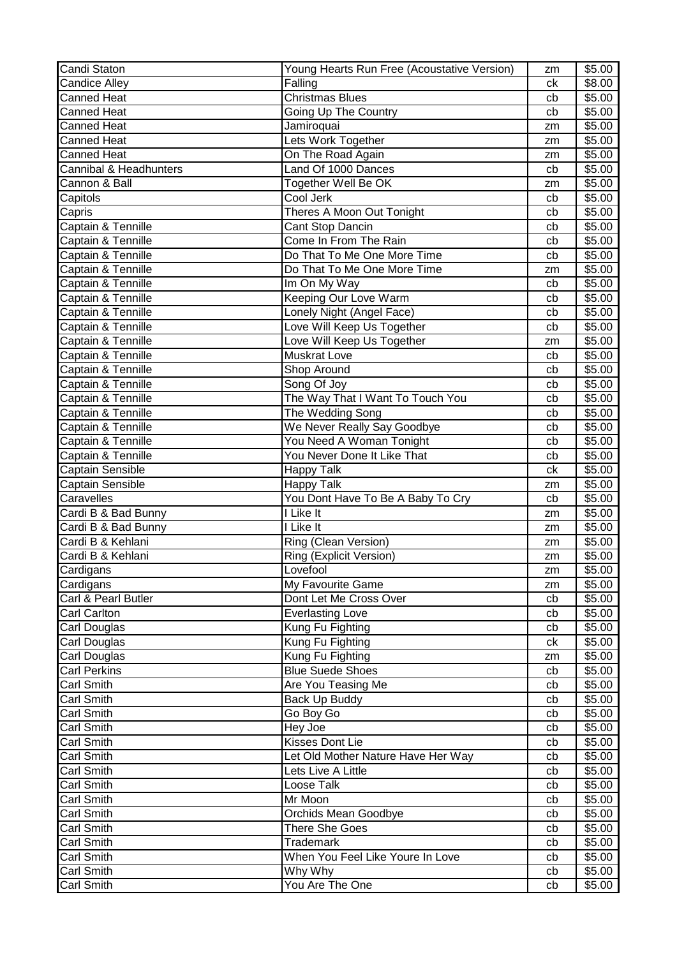| Candi Staton           | Young Hearts Run Free (Acoustative Version) | zm | \$5.00 |
|------------------------|---------------------------------------------|----|--------|
| <b>Candice Alley</b>   | Falling                                     | ck | \$8.00 |
| <b>Canned Heat</b>     | <b>Christmas Blues</b>                      | cb | \$5.00 |
| <b>Canned Heat</b>     | Going Up The Country                        | cb | \$5.00 |
| <b>Canned Heat</b>     | Jamiroquai                                  | zm | \$5.00 |
| <b>Canned Heat</b>     | Lets Work Together                          | zm | \$5.00 |
| <b>Canned Heat</b>     | On The Road Again                           | zm | \$5.00 |
| Cannibal & Headhunters | Land Of 1000 Dances                         | cb | \$5.00 |
| Cannon & Ball          | Together Well Be OK                         | zm | \$5.00 |
| Capitols               | Cool Jerk                                   | cb | \$5.00 |
| Capris                 | Theres A Moon Out Tonight                   | cb | \$5.00 |
| Captain & Tennille     | Cant Stop Dancin                            | cb | \$5.00 |
| Captain & Tennille     | Come In From The Rain                       | cb | \$5.00 |
| Captain & Tennille     | Do That To Me One More Time                 | cb | \$5.00 |
| Captain & Tennille     | Do That To Me One More Time                 | zm | \$5.00 |
| Captain & Tennille     | Im On My Way                                | cb | \$5.00 |
| Captain & Tennille     | Keeping Our Love Warm                       | cb | \$5.00 |
| Captain & Tennille     | Lonely Night (Angel Face)                   | cb | \$5.00 |
| Captain & Tennille     | Love Will Keep Us Together                  | cb | \$5.00 |
| Captain & Tennille     | Love Will Keep Us Together                  | zm | \$5.00 |
| Captain & Tennille     | <b>Muskrat Love</b>                         | cb | \$5.00 |
| Captain & Tennille     | Shop Around                                 | cb | \$5.00 |
| Captain & Tennille     | Song Of Joy                                 | cb | \$5.00 |
| Captain & Tennille     | The Way That I Want To Touch You            | cb | \$5.00 |
| Captain & Tennille     | The Wedding Song                            | cb | \$5.00 |
| Captain & Tennille     | We Never Really Say Goodbye                 | cb | \$5.00 |
| Captain & Tennille     | You Need A Woman Tonight                    | cb | \$5.00 |
| Captain & Tennille     | You Never Done It Like That                 | cb | \$5.00 |
| Captain Sensible       | <b>Happy Talk</b>                           | ck | \$5.00 |
| Captain Sensible       | <b>Happy Talk</b>                           | zm | \$5.00 |
| Caravelles             | You Dont Have To Be A Baby To Cry           | cb | \$5.00 |
| Cardi B & Bad Bunny    | I Like It                                   | zm | \$5.00 |
| Cardi B & Bad Bunny    | I Like It                                   | zm | \$5.00 |
| Cardi B & Kehlani      | Ring (Clean Version)                        | zm | \$5.00 |
| Cardi B & Kehlani      | Ring (Explicit Version)                     | zm | \$5.00 |
| Cardigans              | Lovefool                                    | zm | \$5.00 |
| Cardigans              | My Favourite Game                           | zm | \$5.00 |
| Carl & Pearl Butler    | Dont Let Me Cross Over                      | cb | \$5.00 |
| <b>Carl Carlton</b>    | <b>Everlasting Love</b>                     | cb | \$5.00 |
| Carl Douglas           | Kung Fu Fighting                            | cb | \$5.00 |
| <b>Carl Douglas</b>    | Kung Fu Fighting                            | ck | \$5.00 |
| Carl Douglas           | Kung Fu Fighting                            | zm | \$5.00 |
| <b>Carl Perkins</b>    | <b>Blue Suede Shoes</b>                     | cb | \$5.00 |
| <b>Carl Smith</b>      | Are You Teasing Me                          | cb | \$5.00 |
| <b>Carl Smith</b>      | <b>Back Up Buddy</b>                        | cb | \$5.00 |
| Carl Smith             | Go Boy Go                                   | cb | \$5.00 |
| <b>Carl Smith</b>      | Hey Joe                                     | cb | \$5.00 |
| Carl Smith             | Kisses Dont Lie                             | cb | \$5.00 |
| <b>Carl Smith</b>      | Let Old Mother Nature Have Her Way          | cb | \$5.00 |
| <b>Carl Smith</b>      | Lets Live A Little                          | cb | \$5.00 |
| <b>Carl Smith</b>      | Loose Talk                                  | cb | \$5.00 |
| <b>Carl Smith</b>      | Mr Moon                                     | cb | \$5.00 |
| <b>Carl Smith</b>      | Orchids Mean Goodbye                        | cb | \$5.00 |
| <b>Carl Smith</b>      | <b>There She Goes</b>                       | cb | \$5.00 |
| <b>Carl Smith</b>      | <b>Trademark</b>                            | cb | \$5.00 |
| Carl Smith             | When You Feel Like Youre In Love            | cb | \$5.00 |
| <b>Carl Smith</b>      | Why Why                                     | cb | \$5.00 |
| <b>Carl Smith</b>      | You Are The One                             | cb | \$5.00 |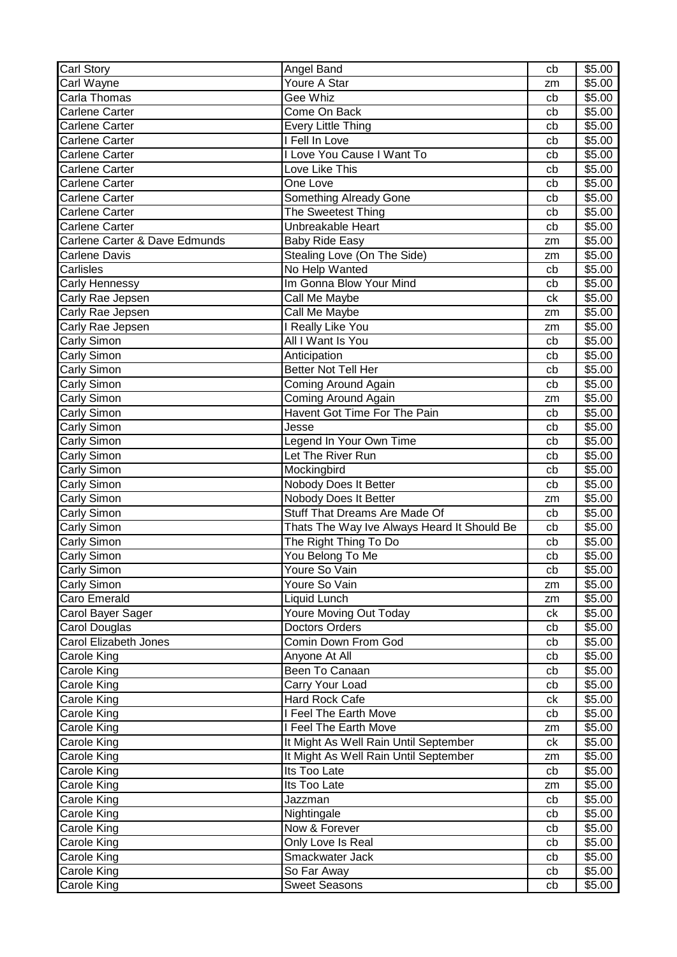| Youre A Star<br>Carl Wayne<br>\$5.00<br>zm<br>Gee Whiz<br>Carla Thomas<br>\$5.00<br>cb<br><b>Carlene Carter</b><br>Come On Back<br>\$5.00<br>cb<br><b>Every Little Thing</b><br>\$5.00<br><b>Carlene Carter</b><br>cb<br>I Fell In Love<br>\$5.00<br><b>Carlene Carter</b><br>cb<br>I Love You Cause I Want To<br><b>Carlene Carter</b><br>\$5.00<br>cb<br>Love Like This<br>\$5.00<br><b>Carlene Carter</b><br>cb<br>One Love<br>\$5.00<br><b>Carlene Carter</b><br>cb<br>Carlene Carter<br>Something Already Gone<br>cb<br>\$5.00<br>The Sweetest Thing<br><b>Carlene Carter</b><br>\$5.00<br>cb<br><b>Carlene Carter</b><br>Unbreakable Heart<br>\$5.00<br>cb<br>Carlene Carter & Dave Edmunds<br>\$5.00<br><b>Baby Ride Easy</b><br>zm<br><b>Carlene Davis</b><br>Stealing Love (On The Side)<br>\$5.00<br>zm<br>Carlisles<br>No Help Wanted<br>\$5.00<br>cb<br>Im Gonna Blow Your Mind<br>\$5.00<br>Carly Hennessy<br>cb<br>\$5.00<br>Carly Rae Jepsen<br>Call Me Maybe<br>сk<br>Carly Rae Jepsen<br>\$5.00<br>Call Me Maybe<br>zm<br>Carly Rae Jepsen<br>I Really Like You<br>\$5.00<br>zm<br>All I Want Is You<br>Carly Simon<br>\$5.00<br>cb<br>Carly Simon<br>Anticipation<br>\$5.00<br>cb<br><b>Better Not Tell Her</b><br>Carly Simon<br>\$5.00<br>cb<br>\$5.00<br>Carly Simon<br>Coming Around Again<br>cb<br>Carly Simon<br>Coming Around Again<br>\$5.00<br>zm<br>Havent Got Time For The Pain<br>Carly Simon<br>\$5.00<br>cb<br>Carly Simon<br>Jesse<br>\$5.00<br>cb<br>Legend In Your Own Time<br>\$5.00<br>Carly Simon<br>cb<br>Let The River Run<br>Carly Simon<br>\$5.00<br>cb<br>Carly Simon<br>\$5.00<br>Mockingbird<br>cb<br>Carly Simon<br>Nobody Does It Better<br>cb<br>\$5.00<br>Carly Simon<br>Nobody Does It Better<br>\$5.00<br>zm<br>Stuff That Dreams Are Made Of<br>Carly Simon<br>\$5.00<br>cb<br>Thats The Way Ive Always Heard It Should Be<br>\$5.00<br>Carly Simon<br>cb<br>Carly Simon<br>The Right Thing To Do<br>\$5.00<br>cb<br>Carly Simon<br>You Belong To Me<br>\$5.00<br>cb<br>\$5.00<br>Carly Simon<br>Youre So Vain<br>cb<br>Carly Simon<br>Youre So Vain<br>\$5.00<br>zm<br>Caro Emerald<br>Liquid Lunch<br>\$5.00<br>zm<br>Youre Moving Out Today<br>Carol Bayer Sager<br>\$5.00<br>сk<br>Carol Douglas<br><b>Doctors Orders</b><br>\$5.00<br>cb<br>Carol Elizabeth Jones<br>Comin Down From God<br>\$5.00<br>cb<br>Anyone At All<br>\$5.00<br>Carole King<br>cb<br>Carole King<br>Been To Canaan<br>\$5.00<br>cb<br>Carry Your Load<br>\$5.00<br>Carole King<br>cb<br>Hard Rock Cafe<br>Carole King<br>\$5.00<br>сk<br>I Feel The Earth Move<br>\$5.00<br>Carole King<br>cb<br>I Feel The Earth Move<br>\$5.00<br>Carole King<br>zm<br>It Might As Well Rain Until September<br>\$5.00<br>Carole King<br>ck<br>It Might As Well Rain Until September<br>Carole King<br>\$5.00<br>zm<br>Its Too Late<br>Carole King<br>\$5.00<br>cb<br>Its Too Late<br>\$5.00<br>Carole King<br>zm<br>Jazzman<br>\$5.00<br>Carole King<br>cb<br>Carole King<br>Nightingale<br>\$5.00<br>cb<br>Carole King<br>Now & Forever<br>\$5.00<br>cb<br>Carole King<br>Only Love Is Real<br>\$5.00<br>cb<br>\$5.00<br>Carole King<br>Smackwater Jack<br>cb<br>\$5.00<br>Carole King<br>So Far Away<br>cb | Carl Story  | Angel Band           | cb | \$5.00 |
|---------------------------------------------------------------------------------------------------------------------------------------------------------------------------------------------------------------------------------------------------------------------------------------------------------------------------------------------------------------------------------------------------------------------------------------------------------------------------------------------------------------------------------------------------------------------------------------------------------------------------------------------------------------------------------------------------------------------------------------------------------------------------------------------------------------------------------------------------------------------------------------------------------------------------------------------------------------------------------------------------------------------------------------------------------------------------------------------------------------------------------------------------------------------------------------------------------------------------------------------------------------------------------------------------------------------------------------------------------------------------------------------------------------------------------------------------------------------------------------------------------------------------------------------------------------------------------------------------------------------------------------------------------------------------------------------------------------------------------------------------------------------------------------------------------------------------------------------------------------------------------------------------------------------------------------------------------------------------------------------------------------------------------------------------------------------------------------------------------------------------------------------------------------------------------------------------------------------------------------------------------------------------------------------------------------------------------------------------------------------------------------------------------------------------------------------------------------------------------------------------------------------------------------------------------------------------------------------------------------------------------------------------------------------------------------------------------------------------------------------------------------------------------------------------------------------------------------------------------------------------------------------------------------------------------------------------------------------------------------------------------------------------------------------------------------------------------------------------------------------------------------------------------------------------------------------------------------------------------|-------------|----------------------|----|--------|
|                                                                                                                                                                                                                                                                                                                                                                                                                                                                                                                                                                                                                                                                                                                                                                                                                                                                                                                                                                                                                                                                                                                                                                                                                                                                                                                                                                                                                                                                                                                                                                                                                                                                                                                                                                                                                                                                                                                                                                                                                                                                                                                                                                                                                                                                                                                                                                                                                                                                                                                                                                                                                                                                                                                                                                                                                                                                                                                                                                                                                                                                                                                                                                                                                                 |             |                      |    |        |
|                                                                                                                                                                                                                                                                                                                                                                                                                                                                                                                                                                                                                                                                                                                                                                                                                                                                                                                                                                                                                                                                                                                                                                                                                                                                                                                                                                                                                                                                                                                                                                                                                                                                                                                                                                                                                                                                                                                                                                                                                                                                                                                                                                                                                                                                                                                                                                                                                                                                                                                                                                                                                                                                                                                                                                                                                                                                                                                                                                                                                                                                                                                                                                                                                                 |             |                      |    |        |
|                                                                                                                                                                                                                                                                                                                                                                                                                                                                                                                                                                                                                                                                                                                                                                                                                                                                                                                                                                                                                                                                                                                                                                                                                                                                                                                                                                                                                                                                                                                                                                                                                                                                                                                                                                                                                                                                                                                                                                                                                                                                                                                                                                                                                                                                                                                                                                                                                                                                                                                                                                                                                                                                                                                                                                                                                                                                                                                                                                                                                                                                                                                                                                                                                                 |             |                      |    |        |
|                                                                                                                                                                                                                                                                                                                                                                                                                                                                                                                                                                                                                                                                                                                                                                                                                                                                                                                                                                                                                                                                                                                                                                                                                                                                                                                                                                                                                                                                                                                                                                                                                                                                                                                                                                                                                                                                                                                                                                                                                                                                                                                                                                                                                                                                                                                                                                                                                                                                                                                                                                                                                                                                                                                                                                                                                                                                                                                                                                                                                                                                                                                                                                                                                                 |             |                      |    |        |
|                                                                                                                                                                                                                                                                                                                                                                                                                                                                                                                                                                                                                                                                                                                                                                                                                                                                                                                                                                                                                                                                                                                                                                                                                                                                                                                                                                                                                                                                                                                                                                                                                                                                                                                                                                                                                                                                                                                                                                                                                                                                                                                                                                                                                                                                                                                                                                                                                                                                                                                                                                                                                                                                                                                                                                                                                                                                                                                                                                                                                                                                                                                                                                                                                                 |             |                      |    |        |
|                                                                                                                                                                                                                                                                                                                                                                                                                                                                                                                                                                                                                                                                                                                                                                                                                                                                                                                                                                                                                                                                                                                                                                                                                                                                                                                                                                                                                                                                                                                                                                                                                                                                                                                                                                                                                                                                                                                                                                                                                                                                                                                                                                                                                                                                                                                                                                                                                                                                                                                                                                                                                                                                                                                                                                                                                                                                                                                                                                                                                                                                                                                                                                                                                                 |             |                      |    |        |
|                                                                                                                                                                                                                                                                                                                                                                                                                                                                                                                                                                                                                                                                                                                                                                                                                                                                                                                                                                                                                                                                                                                                                                                                                                                                                                                                                                                                                                                                                                                                                                                                                                                                                                                                                                                                                                                                                                                                                                                                                                                                                                                                                                                                                                                                                                                                                                                                                                                                                                                                                                                                                                                                                                                                                                                                                                                                                                                                                                                                                                                                                                                                                                                                                                 |             |                      |    |        |
|                                                                                                                                                                                                                                                                                                                                                                                                                                                                                                                                                                                                                                                                                                                                                                                                                                                                                                                                                                                                                                                                                                                                                                                                                                                                                                                                                                                                                                                                                                                                                                                                                                                                                                                                                                                                                                                                                                                                                                                                                                                                                                                                                                                                                                                                                                                                                                                                                                                                                                                                                                                                                                                                                                                                                                                                                                                                                                                                                                                                                                                                                                                                                                                                                                 |             |                      |    |        |
|                                                                                                                                                                                                                                                                                                                                                                                                                                                                                                                                                                                                                                                                                                                                                                                                                                                                                                                                                                                                                                                                                                                                                                                                                                                                                                                                                                                                                                                                                                                                                                                                                                                                                                                                                                                                                                                                                                                                                                                                                                                                                                                                                                                                                                                                                                                                                                                                                                                                                                                                                                                                                                                                                                                                                                                                                                                                                                                                                                                                                                                                                                                                                                                                                                 |             |                      |    |        |
|                                                                                                                                                                                                                                                                                                                                                                                                                                                                                                                                                                                                                                                                                                                                                                                                                                                                                                                                                                                                                                                                                                                                                                                                                                                                                                                                                                                                                                                                                                                                                                                                                                                                                                                                                                                                                                                                                                                                                                                                                                                                                                                                                                                                                                                                                                                                                                                                                                                                                                                                                                                                                                                                                                                                                                                                                                                                                                                                                                                                                                                                                                                                                                                                                                 |             |                      |    |        |
|                                                                                                                                                                                                                                                                                                                                                                                                                                                                                                                                                                                                                                                                                                                                                                                                                                                                                                                                                                                                                                                                                                                                                                                                                                                                                                                                                                                                                                                                                                                                                                                                                                                                                                                                                                                                                                                                                                                                                                                                                                                                                                                                                                                                                                                                                                                                                                                                                                                                                                                                                                                                                                                                                                                                                                                                                                                                                                                                                                                                                                                                                                                                                                                                                                 |             |                      |    |        |
|                                                                                                                                                                                                                                                                                                                                                                                                                                                                                                                                                                                                                                                                                                                                                                                                                                                                                                                                                                                                                                                                                                                                                                                                                                                                                                                                                                                                                                                                                                                                                                                                                                                                                                                                                                                                                                                                                                                                                                                                                                                                                                                                                                                                                                                                                                                                                                                                                                                                                                                                                                                                                                                                                                                                                                                                                                                                                                                                                                                                                                                                                                                                                                                                                                 |             |                      |    |        |
|                                                                                                                                                                                                                                                                                                                                                                                                                                                                                                                                                                                                                                                                                                                                                                                                                                                                                                                                                                                                                                                                                                                                                                                                                                                                                                                                                                                                                                                                                                                                                                                                                                                                                                                                                                                                                                                                                                                                                                                                                                                                                                                                                                                                                                                                                                                                                                                                                                                                                                                                                                                                                                                                                                                                                                                                                                                                                                                                                                                                                                                                                                                                                                                                                                 |             |                      |    |        |
|                                                                                                                                                                                                                                                                                                                                                                                                                                                                                                                                                                                                                                                                                                                                                                                                                                                                                                                                                                                                                                                                                                                                                                                                                                                                                                                                                                                                                                                                                                                                                                                                                                                                                                                                                                                                                                                                                                                                                                                                                                                                                                                                                                                                                                                                                                                                                                                                                                                                                                                                                                                                                                                                                                                                                                                                                                                                                                                                                                                                                                                                                                                                                                                                                                 |             |                      |    |        |
|                                                                                                                                                                                                                                                                                                                                                                                                                                                                                                                                                                                                                                                                                                                                                                                                                                                                                                                                                                                                                                                                                                                                                                                                                                                                                                                                                                                                                                                                                                                                                                                                                                                                                                                                                                                                                                                                                                                                                                                                                                                                                                                                                                                                                                                                                                                                                                                                                                                                                                                                                                                                                                                                                                                                                                                                                                                                                                                                                                                                                                                                                                                                                                                                                                 |             |                      |    |        |
|                                                                                                                                                                                                                                                                                                                                                                                                                                                                                                                                                                                                                                                                                                                                                                                                                                                                                                                                                                                                                                                                                                                                                                                                                                                                                                                                                                                                                                                                                                                                                                                                                                                                                                                                                                                                                                                                                                                                                                                                                                                                                                                                                                                                                                                                                                                                                                                                                                                                                                                                                                                                                                                                                                                                                                                                                                                                                                                                                                                                                                                                                                                                                                                                                                 |             |                      |    |        |
|                                                                                                                                                                                                                                                                                                                                                                                                                                                                                                                                                                                                                                                                                                                                                                                                                                                                                                                                                                                                                                                                                                                                                                                                                                                                                                                                                                                                                                                                                                                                                                                                                                                                                                                                                                                                                                                                                                                                                                                                                                                                                                                                                                                                                                                                                                                                                                                                                                                                                                                                                                                                                                                                                                                                                                                                                                                                                                                                                                                                                                                                                                                                                                                                                                 |             |                      |    |        |
|                                                                                                                                                                                                                                                                                                                                                                                                                                                                                                                                                                                                                                                                                                                                                                                                                                                                                                                                                                                                                                                                                                                                                                                                                                                                                                                                                                                                                                                                                                                                                                                                                                                                                                                                                                                                                                                                                                                                                                                                                                                                                                                                                                                                                                                                                                                                                                                                                                                                                                                                                                                                                                                                                                                                                                                                                                                                                                                                                                                                                                                                                                                                                                                                                                 |             |                      |    |        |
|                                                                                                                                                                                                                                                                                                                                                                                                                                                                                                                                                                                                                                                                                                                                                                                                                                                                                                                                                                                                                                                                                                                                                                                                                                                                                                                                                                                                                                                                                                                                                                                                                                                                                                                                                                                                                                                                                                                                                                                                                                                                                                                                                                                                                                                                                                                                                                                                                                                                                                                                                                                                                                                                                                                                                                                                                                                                                                                                                                                                                                                                                                                                                                                                                                 |             |                      |    |        |
|                                                                                                                                                                                                                                                                                                                                                                                                                                                                                                                                                                                                                                                                                                                                                                                                                                                                                                                                                                                                                                                                                                                                                                                                                                                                                                                                                                                                                                                                                                                                                                                                                                                                                                                                                                                                                                                                                                                                                                                                                                                                                                                                                                                                                                                                                                                                                                                                                                                                                                                                                                                                                                                                                                                                                                                                                                                                                                                                                                                                                                                                                                                                                                                                                                 |             |                      |    |        |
|                                                                                                                                                                                                                                                                                                                                                                                                                                                                                                                                                                                                                                                                                                                                                                                                                                                                                                                                                                                                                                                                                                                                                                                                                                                                                                                                                                                                                                                                                                                                                                                                                                                                                                                                                                                                                                                                                                                                                                                                                                                                                                                                                                                                                                                                                                                                                                                                                                                                                                                                                                                                                                                                                                                                                                                                                                                                                                                                                                                                                                                                                                                                                                                                                                 |             |                      |    |        |
|                                                                                                                                                                                                                                                                                                                                                                                                                                                                                                                                                                                                                                                                                                                                                                                                                                                                                                                                                                                                                                                                                                                                                                                                                                                                                                                                                                                                                                                                                                                                                                                                                                                                                                                                                                                                                                                                                                                                                                                                                                                                                                                                                                                                                                                                                                                                                                                                                                                                                                                                                                                                                                                                                                                                                                                                                                                                                                                                                                                                                                                                                                                                                                                                                                 |             |                      |    |        |
|                                                                                                                                                                                                                                                                                                                                                                                                                                                                                                                                                                                                                                                                                                                                                                                                                                                                                                                                                                                                                                                                                                                                                                                                                                                                                                                                                                                                                                                                                                                                                                                                                                                                                                                                                                                                                                                                                                                                                                                                                                                                                                                                                                                                                                                                                                                                                                                                                                                                                                                                                                                                                                                                                                                                                                                                                                                                                                                                                                                                                                                                                                                                                                                                                                 |             |                      |    |        |
|                                                                                                                                                                                                                                                                                                                                                                                                                                                                                                                                                                                                                                                                                                                                                                                                                                                                                                                                                                                                                                                                                                                                                                                                                                                                                                                                                                                                                                                                                                                                                                                                                                                                                                                                                                                                                                                                                                                                                                                                                                                                                                                                                                                                                                                                                                                                                                                                                                                                                                                                                                                                                                                                                                                                                                                                                                                                                                                                                                                                                                                                                                                                                                                                                                 |             |                      |    |        |
|                                                                                                                                                                                                                                                                                                                                                                                                                                                                                                                                                                                                                                                                                                                                                                                                                                                                                                                                                                                                                                                                                                                                                                                                                                                                                                                                                                                                                                                                                                                                                                                                                                                                                                                                                                                                                                                                                                                                                                                                                                                                                                                                                                                                                                                                                                                                                                                                                                                                                                                                                                                                                                                                                                                                                                                                                                                                                                                                                                                                                                                                                                                                                                                                                                 |             |                      |    |        |
|                                                                                                                                                                                                                                                                                                                                                                                                                                                                                                                                                                                                                                                                                                                                                                                                                                                                                                                                                                                                                                                                                                                                                                                                                                                                                                                                                                                                                                                                                                                                                                                                                                                                                                                                                                                                                                                                                                                                                                                                                                                                                                                                                                                                                                                                                                                                                                                                                                                                                                                                                                                                                                                                                                                                                                                                                                                                                                                                                                                                                                                                                                                                                                                                                                 |             |                      |    |        |
|                                                                                                                                                                                                                                                                                                                                                                                                                                                                                                                                                                                                                                                                                                                                                                                                                                                                                                                                                                                                                                                                                                                                                                                                                                                                                                                                                                                                                                                                                                                                                                                                                                                                                                                                                                                                                                                                                                                                                                                                                                                                                                                                                                                                                                                                                                                                                                                                                                                                                                                                                                                                                                                                                                                                                                                                                                                                                                                                                                                                                                                                                                                                                                                                                                 |             |                      |    |        |
|                                                                                                                                                                                                                                                                                                                                                                                                                                                                                                                                                                                                                                                                                                                                                                                                                                                                                                                                                                                                                                                                                                                                                                                                                                                                                                                                                                                                                                                                                                                                                                                                                                                                                                                                                                                                                                                                                                                                                                                                                                                                                                                                                                                                                                                                                                                                                                                                                                                                                                                                                                                                                                                                                                                                                                                                                                                                                                                                                                                                                                                                                                                                                                                                                                 |             |                      |    |        |
|                                                                                                                                                                                                                                                                                                                                                                                                                                                                                                                                                                                                                                                                                                                                                                                                                                                                                                                                                                                                                                                                                                                                                                                                                                                                                                                                                                                                                                                                                                                                                                                                                                                                                                                                                                                                                                                                                                                                                                                                                                                                                                                                                                                                                                                                                                                                                                                                                                                                                                                                                                                                                                                                                                                                                                                                                                                                                                                                                                                                                                                                                                                                                                                                                                 |             |                      |    |        |
|                                                                                                                                                                                                                                                                                                                                                                                                                                                                                                                                                                                                                                                                                                                                                                                                                                                                                                                                                                                                                                                                                                                                                                                                                                                                                                                                                                                                                                                                                                                                                                                                                                                                                                                                                                                                                                                                                                                                                                                                                                                                                                                                                                                                                                                                                                                                                                                                                                                                                                                                                                                                                                                                                                                                                                                                                                                                                                                                                                                                                                                                                                                                                                                                                                 |             |                      |    |        |
|                                                                                                                                                                                                                                                                                                                                                                                                                                                                                                                                                                                                                                                                                                                                                                                                                                                                                                                                                                                                                                                                                                                                                                                                                                                                                                                                                                                                                                                                                                                                                                                                                                                                                                                                                                                                                                                                                                                                                                                                                                                                                                                                                                                                                                                                                                                                                                                                                                                                                                                                                                                                                                                                                                                                                                                                                                                                                                                                                                                                                                                                                                                                                                                                                                 |             |                      |    |        |
|                                                                                                                                                                                                                                                                                                                                                                                                                                                                                                                                                                                                                                                                                                                                                                                                                                                                                                                                                                                                                                                                                                                                                                                                                                                                                                                                                                                                                                                                                                                                                                                                                                                                                                                                                                                                                                                                                                                                                                                                                                                                                                                                                                                                                                                                                                                                                                                                                                                                                                                                                                                                                                                                                                                                                                                                                                                                                                                                                                                                                                                                                                                                                                                                                                 |             |                      |    |        |
|                                                                                                                                                                                                                                                                                                                                                                                                                                                                                                                                                                                                                                                                                                                                                                                                                                                                                                                                                                                                                                                                                                                                                                                                                                                                                                                                                                                                                                                                                                                                                                                                                                                                                                                                                                                                                                                                                                                                                                                                                                                                                                                                                                                                                                                                                                                                                                                                                                                                                                                                                                                                                                                                                                                                                                                                                                                                                                                                                                                                                                                                                                                                                                                                                                 |             |                      |    |        |
|                                                                                                                                                                                                                                                                                                                                                                                                                                                                                                                                                                                                                                                                                                                                                                                                                                                                                                                                                                                                                                                                                                                                                                                                                                                                                                                                                                                                                                                                                                                                                                                                                                                                                                                                                                                                                                                                                                                                                                                                                                                                                                                                                                                                                                                                                                                                                                                                                                                                                                                                                                                                                                                                                                                                                                                                                                                                                                                                                                                                                                                                                                                                                                                                                                 |             |                      |    |        |
|                                                                                                                                                                                                                                                                                                                                                                                                                                                                                                                                                                                                                                                                                                                                                                                                                                                                                                                                                                                                                                                                                                                                                                                                                                                                                                                                                                                                                                                                                                                                                                                                                                                                                                                                                                                                                                                                                                                                                                                                                                                                                                                                                                                                                                                                                                                                                                                                                                                                                                                                                                                                                                                                                                                                                                                                                                                                                                                                                                                                                                                                                                                                                                                                                                 |             |                      |    |        |
|                                                                                                                                                                                                                                                                                                                                                                                                                                                                                                                                                                                                                                                                                                                                                                                                                                                                                                                                                                                                                                                                                                                                                                                                                                                                                                                                                                                                                                                                                                                                                                                                                                                                                                                                                                                                                                                                                                                                                                                                                                                                                                                                                                                                                                                                                                                                                                                                                                                                                                                                                                                                                                                                                                                                                                                                                                                                                                                                                                                                                                                                                                                                                                                                                                 |             |                      |    |        |
|                                                                                                                                                                                                                                                                                                                                                                                                                                                                                                                                                                                                                                                                                                                                                                                                                                                                                                                                                                                                                                                                                                                                                                                                                                                                                                                                                                                                                                                                                                                                                                                                                                                                                                                                                                                                                                                                                                                                                                                                                                                                                                                                                                                                                                                                                                                                                                                                                                                                                                                                                                                                                                                                                                                                                                                                                                                                                                                                                                                                                                                                                                                                                                                                                                 |             |                      |    |        |
|                                                                                                                                                                                                                                                                                                                                                                                                                                                                                                                                                                                                                                                                                                                                                                                                                                                                                                                                                                                                                                                                                                                                                                                                                                                                                                                                                                                                                                                                                                                                                                                                                                                                                                                                                                                                                                                                                                                                                                                                                                                                                                                                                                                                                                                                                                                                                                                                                                                                                                                                                                                                                                                                                                                                                                                                                                                                                                                                                                                                                                                                                                                                                                                                                                 |             |                      |    |        |
|                                                                                                                                                                                                                                                                                                                                                                                                                                                                                                                                                                                                                                                                                                                                                                                                                                                                                                                                                                                                                                                                                                                                                                                                                                                                                                                                                                                                                                                                                                                                                                                                                                                                                                                                                                                                                                                                                                                                                                                                                                                                                                                                                                                                                                                                                                                                                                                                                                                                                                                                                                                                                                                                                                                                                                                                                                                                                                                                                                                                                                                                                                                                                                                                                                 |             |                      |    |        |
|                                                                                                                                                                                                                                                                                                                                                                                                                                                                                                                                                                                                                                                                                                                                                                                                                                                                                                                                                                                                                                                                                                                                                                                                                                                                                                                                                                                                                                                                                                                                                                                                                                                                                                                                                                                                                                                                                                                                                                                                                                                                                                                                                                                                                                                                                                                                                                                                                                                                                                                                                                                                                                                                                                                                                                                                                                                                                                                                                                                                                                                                                                                                                                                                                                 |             |                      |    |        |
|                                                                                                                                                                                                                                                                                                                                                                                                                                                                                                                                                                                                                                                                                                                                                                                                                                                                                                                                                                                                                                                                                                                                                                                                                                                                                                                                                                                                                                                                                                                                                                                                                                                                                                                                                                                                                                                                                                                                                                                                                                                                                                                                                                                                                                                                                                                                                                                                                                                                                                                                                                                                                                                                                                                                                                                                                                                                                                                                                                                                                                                                                                                                                                                                                                 |             |                      |    |        |
|                                                                                                                                                                                                                                                                                                                                                                                                                                                                                                                                                                                                                                                                                                                                                                                                                                                                                                                                                                                                                                                                                                                                                                                                                                                                                                                                                                                                                                                                                                                                                                                                                                                                                                                                                                                                                                                                                                                                                                                                                                                                                                                                                                                                                                                                                                                                                                                                                                                                                                                                                                                                                                                                                                                                                                                                                                                                                                                                                                                                                                                                                                                                                                                                                                 |             |                      |    |        |
|                                                                                                                                                                                                                                                                                                                                                                                                                                                                                                                                                                                                                                                                                                                                                                                                                                                                                                                                                                                                                                                                                                                                                                                                                                                                                                                                                                                                                                                                                                                                                                                                                                                                                                                                                                                                                                                                                                                                                                                                                                                                                                                                                                                                                                                                                                                                                                                                                                                                                                                                                                                                                                                                                                                                                                                                                                                                                                                                                                                                                                                                                                                                                                                                                                 |             |                      |    |        |
|                                                                                                                                                                                                                                                                                                                                                                                                                                                                                                                                                                                                                                                                                                                                                                                                                                                                                                                                                                                                                                                                                                                                                                                                                                                                                                                                                                                                                                                                                                                                                                                                                                                                                                                                                                                                                                                                                                                                                                                                                                                                                                                                                                                                                                                                                                                                                                                                                                                                                                                                                                                                                                                                                                                                                                                                                                                                                                                                                                                                                                                                                                                                                                                                                                 |             |                      |    |        |
|                                                                                                                                                                                                                                                                                                                                                                                                                                                                                                                                                                                                                                                                                                                                                                                                                                                                                                                                                                                                                                                                                                                                                                                                                                                                                                                                                                                                                                                                                                                                                                                                                                                                                                                                                                                                                                                                                                                                                                                                                                                                                                                                                                                                                                                                                                                                                                                                                                                                                                                                                                                                                                                                                                                                                                                                                                                                                                                                                                                                                                                                                                                                                                                                                                 |             |                      |    |        |
|                                                                                                                                                                                                                                                                                                                                                                                                                                                                                                                                                                                                                                                                                                                                                                                                                                                                                                                                                                                                                                                                                                                                                                                                                                                                                                                                                                                                                                                                                                                                                                                                                                                                                                                                                                                                                                                                                                                                                                                                                                                                                                                                                                                                                                                                                                                                                                                                                                                                                                                                                                                                                                                                                                                                                                                                                                                                                                                                                                                                                                                                                                                                                                                                                                 |             |                      |    |        |
|                                                                                                                                                                                                                                                                                                                                                                                                                                                                                                                                                                                                                                                                                                                                                                                                                                                                                                                                                                                                                                                                                                                                                                                                                                                                                                                                                                                                                                                                                                                                                                                                                                                                                                                                                                                                                                                                                                                                                                                                                                                                                                                                                                                                                                                                                                                                                                                                                                                                                                                                                                                                                                                                                                                                                                                                                                                                                                                                                                                                                                                                                                                                                                                                                                 |             |                      |    |        |
|                                                                                                                                                                                                                                                                                                                                                                                                                                                                                                                                                                                                                                                                                                                                                                                                                                                                                                                                                                                                                                                                                                                                                                                                                                                                                                                                                                                                                                                                                                                                                                                                                                                                                                                                                                                                                                                                                                                                                                                                                                                                                                                                                                                                                                                                                                                                                                                                                                                                                                                                                                                                                                                                                                                                                                                                                                                                                                                                                                                                                                                                                                                                                                                                                                 |             |                      |    |        |
|                                                                                                                                                                                                                                                                                                                                                                                                                                                                                                                                                                                                                                                                                                                                                                                                                                                                                                                                                                                                                                                                                                                                                                                                                                                                                                                                                                                                                                                                                                                                                                                                                                                                                                                                                                                                                                                                                                                                                                                                                                                                                                                                                                                                                                                                                                                                                                                                                                                                                                                                                                                                                                                                                                                                                                                                                                                                                                                                                                                                                                                                                                                                                                                                                                 |             |                      |    |        |
|                                                                                                                                                                                                                                                                                                                                                                                                                                                                                                                                                                                                                                                                                                                                                                                                                                                                                                                                                                                                                                                                                                                                                                                                                                                                                                                                                                                                                                                                                                                                                                                                                                                                                                                                                                                                                                                                                                                                                                                                                                                                                                                                                                                                                                                                                                                                                                                                                                                                                                                                                                                                                                                                                                                                                                                                                                                                                                                                                                                                                                                                                                                                                                                                                                 |             |                      |    |        |
|                                                                                                                                                                                                                                                                                                                                                                                                                                                                                                                                                                                                                                                                                                                                                                                                                                                                                                                                                                                                                                                                                                                                                                                                                                                                                                                                                                                                                                                                                                                                                                                                                                                                                                                                                                                                                                                                                                                                                                                                                                                                                                                                                                                                                                                                                                                                                                                                                                                                                                                                                                                                                                                                                                                                                                                                                                                                                                                                                                                                                                                                                                                                                                                                                                 |             |                      |    |        |
|                                                                                                                                                                                                                                                                                                                                                                                                                                                                                                                                                                                                                                                                                                                                                                                                                                                                                                                                                                                                                                                                                                                                                                                                                                                                                                                                                                                                                                                                                                                                                                                                                                                                                                                                                                                                                                                                                                                                                                                                                                                                                                                                                                                                                                                                                                                                                                                                                                                                                                                                                                                                                                                                                                                                                                                                                                                                                                                                                                                                                                                                                                                                                                                                                                 |             |                      |    |        |
|                                                                                                                                                                                                                                                                                                                                                                                                                                                                                                                                                                                                                                                                                                                                                                                                                                                                                                                                                                                                                                                                                                                                                                                                                                                                                                                                                                                                                                                                                                                                                                                                                                                                                                                                                                                                                                                                                                                                                                                                                                                                                                                                                                                                                                                                                                                                                                                                                                                                                                                                                                                                                                                                                                                                                                                                                                                                                                                                                                                                                                                                                                                                                                                                                                 |             |                      |    |        |
|                                                                                                                                                                                                                                                                                                                                                                                                                                                                                                                                                                                                                                                                                                                                                                                                                                                                                                                                                                                                                                                                                                                                                                                                                                                                                                                                                                                                                                                                                                                                                                                                                                                                                                                                                                                                                                                                                                                                                                                                                                                                                                                                                                                                                                                                                                                                                                                                                                                                                                                                                                                                                                                                                                                                                                                                                                                                                                                                                                                                                                                                                                                                                                                                                                 |             |                      |    |        |
|                                                                                                                                                                                                                                                                                                                                                                                                                                                                                                                                                                                                                                                                                                                                                                                                                                                                                                                                                                                                                                                                                                                                                                                                                                                                                                                                                                                                                                                                                                                                                                                                                                                                                                                                                                                                                                                                                                                                                                                                                                                                                                                                                                                                                                                                                                                                                                                                                                                                                                                                                                                                                                                                                                                                                                                                                                                                                                                                                                                                                                                                                                                                                                                                                                 |             |                      |    |        |
|                                                                                                                                                                                                                                                                                                                                                                                                                                                                                                                                                                                                                                                                                                                                                                                                                                                                                                                                                                                                                                                                                                                                                                                                                                                                                                                                                                                                                                                                                                                                                                                                                                                                                                                                                                                                                                                                                                                                                                                                                                                                                                                                                                                                                                                                                                                                                                                                                                                                                                                                                                                                                                                                                                                                                                                                                                                                                                                                                                                                                                                                                                                                                                                                                                 |             |                      |    |        |
|                                                                                                                                                                                                                                                                                                                                                                                                                                                                                                                                                                                                                                                                                                                                                                                                                                                                                                                                                                                                                                                                                                                                                                                                                                                                                                                                                                                                                                                                                                                                                                                                                                                                                                                                                                                                                                                                                                                                                                                                                                                                                                                                                                                                                                                                                                                                                                                                                                                                                                                                                                                                                                                                                                                                                                                                                                                                                                                                                                                                                                                                                                                                                                                                                                 | Carole King | <b>Sweet Seasons</b> | cb | \$5.00 |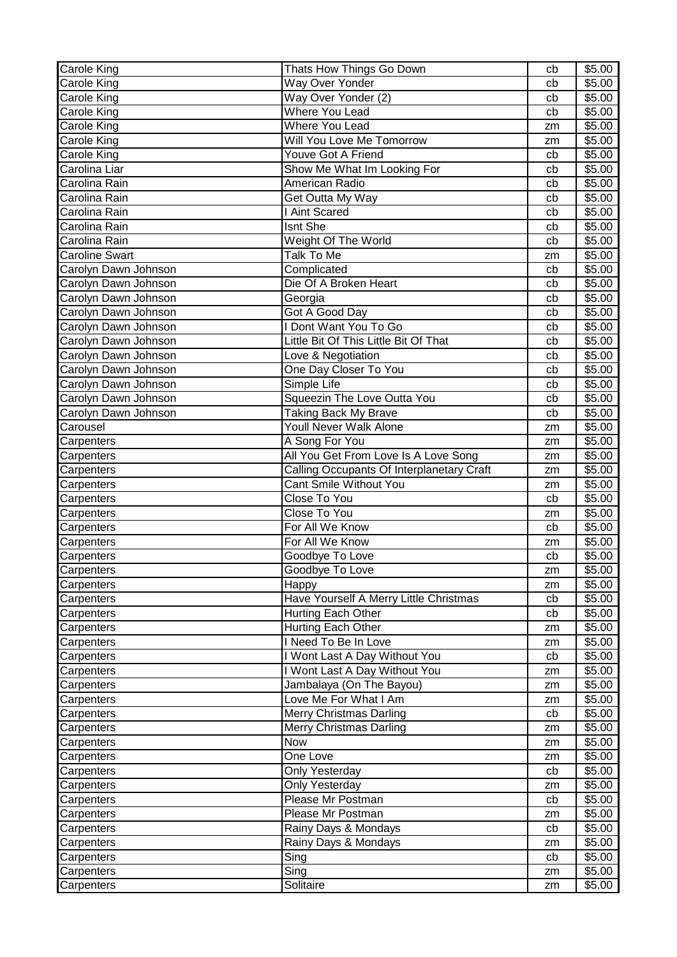| Carole King           | Thats How Things Go Down                  | cb | \$5.00             |
|-----------------------|-------------------------------------------|----|--------------------|
| Carole King           | Way Over Yonder                           | cb | \$5.00             |
| Carole King           | Way Over Yonder (2)                       | cb | \$5.00             |
| Carole King           | <b>Where You Lead</b>                     | cb | $\overline{$}5.00$ |
| Carole King           | <b>Where You Lead</b>                     | zm | \$5.00             |
| Carole King           | Will You Love Me Tomorrow                 | zm | \$5.00             |
| Carole King           | Youve Got A Friend                        | cb | \$5.00             |
| Carolina Liar         | Show Me What Im Looking For               | cb | \$5.00             |
| Carolina Rain         | American Radio                            | cb | \$5.00             |
| Carolina Rain         | Get Outta My Way                          | cb | \$5.00             |
| Carolina Rain         | <b>I Aint Scared</b>                      | cb | \$5.00             |
| Carolina Rain         | Isnt She                                  | cb | \$5.00             |
| Carolina Rain         | Weight Of The World                       | cb | \$5.00             |
| <b>Caroline Swart</b> | Talk To Me                                | zm | \$5.00             |
| Carolyn Dawn Johnson  | Complicated                               | cb | \$5.00             |
| Carolyn Dawn Johnson  | Die Of A Broken Heart                     | cb | \$5.00             |
| Carolyn Dawn Johnson  | Georgia                                   | cb | \$5.00             |
| Carolyn Dawn Johnson  | Got A Good Day                            | cb | \$5.00             |
| Carolyn Dawn Johnson  | I Dont Want You To Go                     | cb | \$5.00             |
| Carolyn Dawn Johnson  | Little Bit Of This Little Bit Of That     | cb | \$5.00             |
| Carolyn Dawn Johnson  | Love & Negotiation                        | cb | \$5.00             |
| Carolyn Dawn Johnson  | One Day Closer To You                     | cb | \$5.00             |
| Carolyn Dawn Johnson  | Simple Life                               | cb | \$5.00             |
| Carolyn Dawn Johnson  | Squeezin The Love Outta You               | cb | \$5.00             |
| Carolyn Dawn Johnson  | <b>Taking Back My Brave</b>               | cb | \$5.00             |
| Carousel              | <b>Youll Never Walk Alone</b>             | zm | \$5.00             |
| Carpenters            | A Song For You                            | zm | \$5.00             |
| Carpenters            | All You Get From Love Is A Love Song      | zm | \$5.00             |
| Carpenters            | Calling Occupants Of Interplanetary Craft | zm | \$5.00             |
| Carpenters            | Cant Smile Without You                    | zm | \$5.00             |
| Carpenters            | Close To You                              | cb | \$5.00             |
| Carpenters            | Close To You                              | zm | \$5.00             |
| Carpenters            | For All We Know                           | cb | \$5.00             |
| Carpenters            | For All We Know                           | zm | \$5.00             |
| Carpenters            | Goodbye To Love                           | cb | \$5.00             |
| Carpenters            | Goodbye To Love                           | zm | \$5.00             |
| Carpenters            | Happy                                     | zm | \$5.00             |
| Carpenters            | Have Yourself A Merry Little Christmas    | cb | \$5.00             |
| Carpenters            | Hurting Each Other                        | cb | \$5.00             |
| Carpenters            | Hurting Each Other                        | zm | \$5.00             |
| Carpenters            | I Need To Be In Love                      | zm | \$5.00             |
| Carpenters            | I Wont Last A Day Without You             | cb | \$5.00             |
| Carpenters            | I Wont Last A Day Without You             | zm | \$5.00             |
| Carpenters            | Jambalaya (On The Bayou)                  | zm | \$5.00             |
| Carpenters            | Love Me For What I Am                     | zm | \$5.00             |
| Carpenters            | <b>Merry Christmas Darling</b>            | cb | \$5.00             |
| Carpenters            | Merry Christmas Darling                   | zm | \$5.00             |
| Carpenters            | Now                                       | zm | \$5.00             |
| Carpenters            | One Love                                  | zm | \$5.00             |
| Carpenters            | Only Yesterday                            | cb | \$5.00             |
| Carpenters            | Only Yesterday                            | zm | \$5.00             |
| Carpenters            | Please Mr Postman                         | cb | \$5.00             |
| Carpenters            | Please Mr Postman                         | zm | \$5.00             |
| Carpenters            | Rainy Days & Mondays                      | cb | \$5.00             |
| Carpenters            | Rainy Days & Mondays                      | zm | \$5.00             |
| Carpenters            | Sing                                      | cb | \$5.00             |
|                       |                                           |    |                    |
| Carpenters            | Sing                                      | zm | \$5.00             |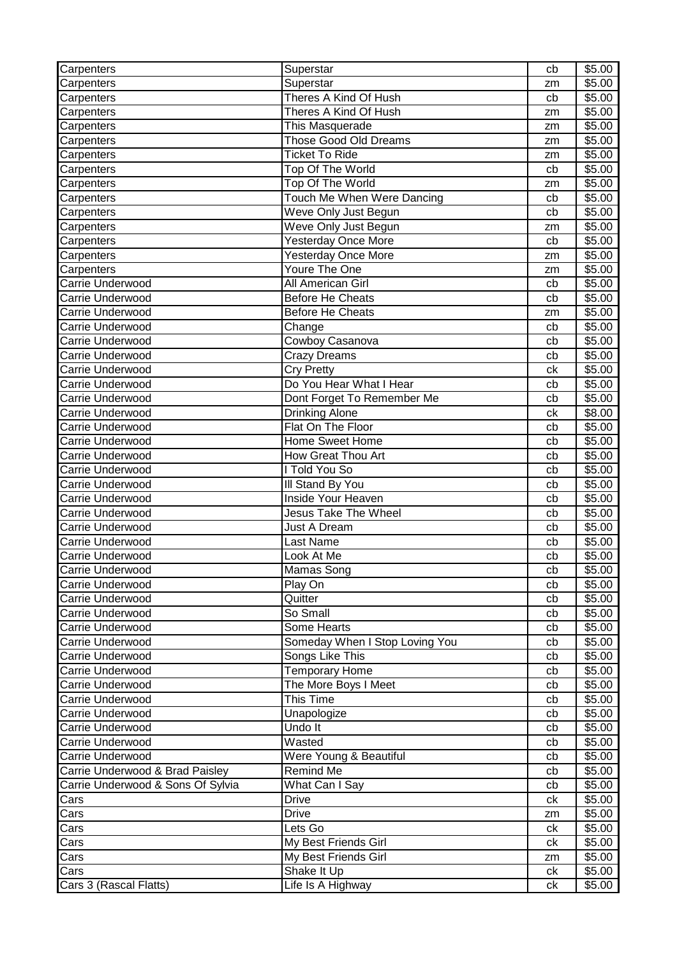| Carpenters                        | Superstar                      | cb | \$5.00             |
|-----------------------------------|--------------------------------|----|--------------------|
| Carpenters                        | Superstar                      | zm | \$5.00             |
| Carpenters                        | Theres A Kind Of Hush          | cb | $\overline{$}5.00$ |
| Carpenters                        | Theres A Kind Of Hush          | zm | \$5.00             |
| Carpenters                        | This Masquerade                | zm | \$5.00             |
| Carpenters                        | Those Good Old Dreams          | zm | \$5.00             |
| Carpenters                        | <b>Ticket To Ride</b>          | zm | \$5.00             |
| Carpenters                        | Top Of The World               | cb | \$5.00             |
| Carpenters                        | Top Of The World               | zm | \$5.00             |
| Carpenters                        | Touch Me When Were Dancing     | cb | \$5.00             |
| Carpenters                        | Weve Only Just Begun           | cb | \$5.00             |
| Carpenters                        | Weve Only Just Begun           | zm | \$5.00             |
| Carpenters                        | <b>Yesterday Once More</b>     | cb | \$5.00             |
| Carpenters                        | <b>Yesterday Once More</b>     | zm | \$5.00             |
| Carpenters                        | Youre The One                  | zm | \$5.00             |
| Carrie Underwood                  | All American Girl              | cb | \$5.00             |
| Carrie Underwood                  | <b>Before He Cheats</b>        | cb | \$5.00             |
| Carrie Underwood                  | <b>Before He Cheats</b>        | zm | \$5.00             |
| Carrie Underwood                  | Change                         | cb | \$5.00             |
| Carrie Underwood                  | Cowboy Casanova                | cb | \$5.00             |
| Carrie Underwood                  | <b>Crazy Dreams</b>            | cb | \$5.00             |
| Carrie Underwood                  | <b>Cry Pretty</b>              | ck | \$5.00             |
| Carrie Underwood                  | Do You Hear What I Hear        | cb | \$5.00             |
| Carrie Underwood                  | Dont Forget To Remember Me     | cb | \$5.00             |
| Carrie Underwood                  | <b>Drinking Alone</b>          | сk | \$8.00             |
| Carrie Underwood                  | Flat On The Floor              | cb | \$5.00             |
| Carrie Underwood                  | Home Sweet Home                | cb | \$5.00             |
| Carrie Underwood                  | How Great Thou Art             | cb | \$5.00             |
| Carrie Underwood                  | I Told You So                  | cb | \$5.00             |
| Carrie Underwood                  | III Stand By You               | cb | \$5.00             |
| Carrie Underwood                  | <b>Inside Your Heaven</b>      | cb | \$5.00             |
| Carrie Underwood                  | <b>Jesus Take The Wheel</b>    | cb | \$5.00             |
| Carrie Underwood                  | <b>Just A Dream</b>            | cb | $\overline{$}5.00$ |
| <b>Carrie Underwood</b>           | Last Name                      | cb | \$5.00             |
| Carrie Underwood                  | Look At Me                     | cb | \$5.00             |
| Carrie Underwood                  | Mamas Song                     | cb | \$5.00             |
| Carrie Underwood                  | Play On                        | cb | \$5.00             |
| Carrie Underwood                  | Quitter                        | cb | \$5.00             |
| Carrie Underwood                  | So Small                       | cb | \$5.00             |
| Carrie Underwood                  | Some Hearts                    | cb | \$5.00             |
| Carrie Underwood                  | Someday When I Stop Loving You | cb | \$5.00             |
| Carrie Underwood                  | Songs Like This                | cb | \$5.00             |
| Carrie Underwood                  | <b>Temporary Home</b>          | cb | \$5.00             |
| Carrie Underwood                  | The More Boys I Meet           | cb | \$5.00             |
| Carrie Underwood                  | This Time                      | cb | \$5.00             |
| Carrie Underwood                  | Unapologize                    | cb | \$5.00             |
| Carrie Underwood                  | Undo It                        | cb | \$5.00             |
| Carrie Underwood                  | Wasted                         | cb | \$5.00             |
| Carrie Underwood                  | Were Young & Beautiful         | cb | \$5.00             |
| Carrie Underwood & Brad Paisley   | Remind Me                      | cb | \$5.00             |
| Carrie Underwood & Sons Of Sylvia | What Can I Say                 | cb | \$5.00             |
| Cars                              | <b>Drive</b>                   | сk | \$5.00             |
| Cars                              | <b>Drive</b>                   | zm | \$5.00             |
| Cars                              | Lets Go                        | сk | \$5.00             |
| Cars                              | My Best Friends Girl           | ck | \$5.00             |
| Cars                              | My Best Friends Girl           | zm | \$5.00             |
| Cars                              | Shake It Up                    | ck | \$5.00             |
| Cars 3 (Rascal Flatts)            | Life Is A Highway              | ck | \$5.00             |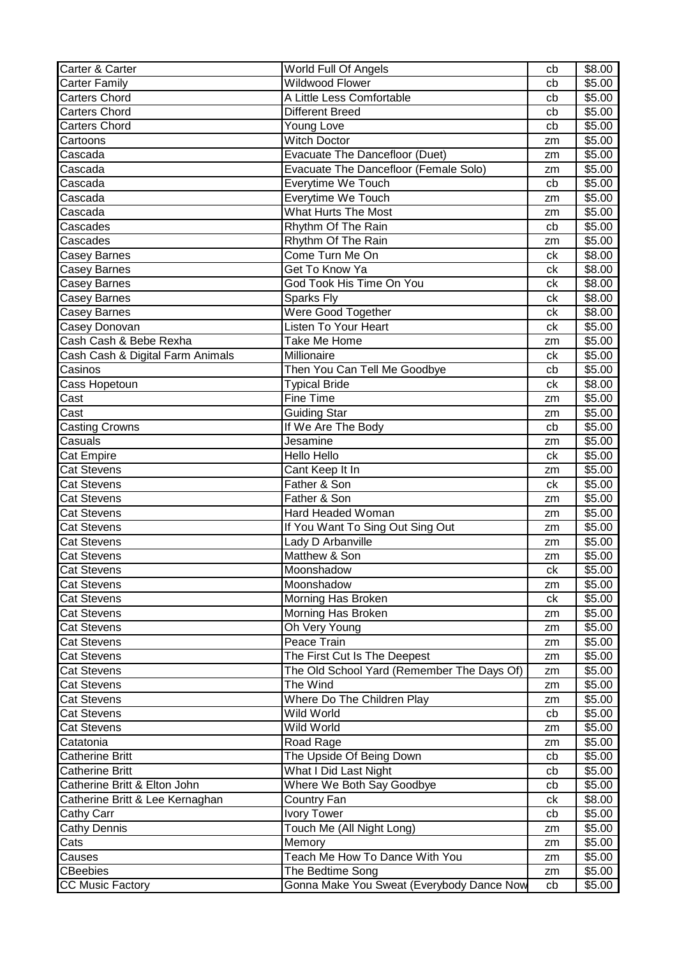| Carter & Carter                  | World Full Of Angels                       | cb | \$8.00 |
|----------------------------------|--------------------------------------------|----|--------|
| <b>Carter Family</b>             | <b>Wildwood Flower</b>                     | cb | \$5.00 |
| <b>Carters Chord</b>             | A Little Less Comfortable                  | cb | \$5.00 |
| <b>Carters Chord</b>             | <b>Different Breed</b>                     | cb | \$5.00 |
| <b>Carters Chord</b>             | Young Love                                 | cb | \$5.00 |
| Cartoons                         | <b>Witch Doctor</b>                        | zm | \$5.00 |
| Cascada                          | Evacuate The Dancefloor (Duet)             | zm | \$5.00 |
| Cascada                          | Evacuate The Dancefloor (Female Solo)      | zm | \$5.00 |
| Cascada                          | Everytime We Touch                         | cb | \$5.00 |
| Cascada                          | Everytime We Touch                         | zm | \$5.00 |
| Cascada                          | <b>What Hurts The Most</b>                 | zm | \$5.00 |
| Cascades                         | Rhythm Of The Rain                         | cb | \$5.00 |
| Cascades                         | Rhythm Of The Rain                         | zm | \$5.00 |
| Casey Barnes                     | Come Turn Me On                            | ck | \$8.00 |
| <b>Casey Barnes</b>              | Get To Know Ya                             | ck | \$8.00 |
| <b>Casey Barnes</b>              | God Took His Time On You                   | ck | \$8.00 |
| Casey Barnes                     | Sparks Fly                                 | ck | \$8.00 |
| Casey Barnes                     | Were Good Together                         | ck | \$8.00 |
| Casey Donovan                    | Listen To Your Heart                       | ck | \$5.00 |
| Cash Cash & Bebe Rexha           | Take Me Home                               | zm | \$5.00 |
| Cash Cash & Digital Farm Animals | Millionaire                                | ck | \$5.00 |
| Casinos                          | Then You Can Tell Me Goodbye               | cb | \$5.00 |
| Cass Hopetoun                    | <b>Typical Bride</b>                       | ck | \$8.00 |
| Cast                             | Fine Time                                  | zm | \$5.00 |
| Cast                             | <b>Guiding Star</b>                        | zm | \$5.00 |
| <b>Casting Crowns</b>            | If We Are The Body                         | cb | \$5.00 |
| Casuals                          | Jesamine                                   | zm | \$5.00 |
| <b>Cat Empire</b>                | Hello Hello                                | ck | \$5.00 |
| <b>Cat Stevens</b>               | Cant Keep It In                            | zm | \$5.00 |
| <b>Cat Stevens</b>               | Father & Son                               | ck | \$5.00 |
| <b>Cat Stevens</b>               | Father & Son                               | zm | \$5.00 |
| <b>Cat Stevens</b>               | Hard Headed Woman                          | zm | \$5.00 |
| <b>Cat Stevens</b>               | If You Want To Sing Out Sing Out           | zm | \$5.00 |
| Cat Stevens                      | Lady D Arbanville                          | zm | \$5.00 |
| Cat Stevens                      | Matthew & Son                              | zm | \$5.00 |
| <b>Cat Stevens</b>               | Moonshadow                                 | ck | \$5.00 |
| <b>Cat Stevens</b>               | Moonshadow                                 | zm | \$5.00 |
| <b>Cat Stevens</b>               | Morning Has Broken                         | ck | \$5.00 |
| <b>Cat Stevens</b>               | Morning Has Broken                         | zm | \$5.00 |
| <b>Cat Stevens</b>               | Oh Very Young                              | zm | \$5.00 |
| <b>Cat Stevens</b>               | Peace Train                                | zm | \$5.00 |
| <b>Cat Stevens</b>               | The First Cut Is The Deepest               | zm | \$5.00 |
| <b>Cat Stevens</b>               | The Old School Yard (Remember The Days Of) | zm | \$5.00 |
| <b>Cat Stevens</b>               | The Wind                                   | zm | \$5.00 |
| <b>Cat Stevens</b>               | Where Do The Children Play                 | zm | \$5.00 |
| <b>Cat Stevens</b>               | Wild World                                 | cb | \$5.00 |
| <b>Cat Stevens</b>               | Wild World                                 | zm | \$5.00 |
| Catatonia                        | Road Rage                                  | zm | \$5.00 |
| <b>Catherine Britt</b>           | The Upside Of Being Down                   | cb | \$5.00 |
| <b>Catherine Britt</b>           | What I Did Last Night                      | cb | \$5.00 |
| Catherine Britt & Elton John     | Where We Both Say Goodbye                  | cb | \$5.00 |
| Catherine Britt & Lee Kernaghan  | Country Fan                                | сk | \$8.00 |
| Cathy Carr                       | <b>Ivory Tower</b>                         | cb | \$5.00 |
| <b>Cathy Dennis</b>              | Touch Me (All Night Long)                  | zm | \$5.00 |
| Cats                             | Memory                                     | zm | \$5.00 |
| Causes                           | Teach Me How To Dance With You             | zm | \$5.00 |
| <b>CBeebies</b>                  | The Bedtime Song                           | zm | \$5.00 |
| <b>CC Music Factory</b>          | Gonna Make You Sweat (Everybody Dance Now  | cb | \$5.00 |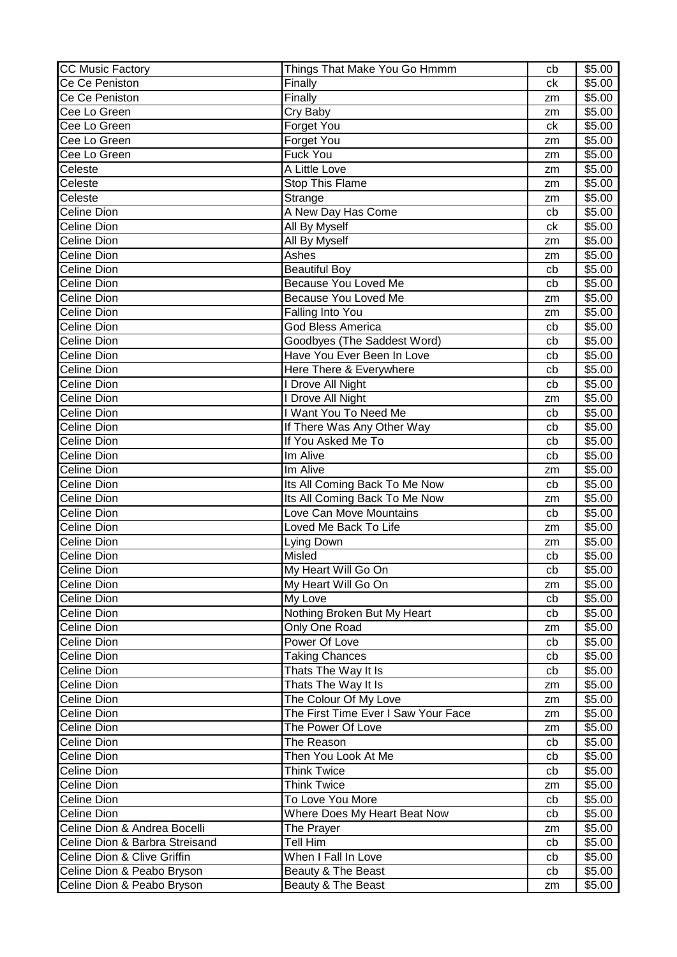| <b>CC Music Factory</b>        | Things That Make You Go Hmmm        | cb | \$5.00 |
|--------------------------------|-------------------------------------|----|--------|
| Ce Ce Peniston                 | Finally                             | ck | \$5.00 |
| Ce Ce Peniston                 | Finally                             | zm | \$5.00 |
| Cee Lo Green                   | Cry Baby                            | zm | \$5.00 |
| Cee Lo Green                   | Forget You                          | ck | \$5.00 |
| Cee Lo Green                   | Forget You                          | zm | \$5.00 |
| Cee Lo Green                   | Fuck You                            | zm | \$5.00 |
| Celeste                        | A Little Love                       | zm | \$5.00 |
| Celeste                        | <b>Stop This Flame</b>              | zm | \$5.00 |
| Celeste                        | Strange                             | zm | \$5.00 |
| Celine Dion                    | A New Day Has Come                  | cb | \$5.00 |
| Celine Dion                    | All By Myself                       | ck | \$5.00 |
| <b>Celine Dion</b>             | All By Myself                       | zm | \$5.00 |
| Celine Dion                    | Ashes                               | zm | \$5.00 |
| <b>Celine Dion</b>             | <b>Beautiful Boy</b>                | cb | \$5.00 |
| <b>Celine Dion</b>             | Because You Loved Me                | cb | \$5.00 |
| Celine Dion                    | Because You Loved Me                | zm | \$5.00 |
| Celine Dion                    | Falling Into You                    | zm | \$5.00 |
| Celine Dion                    | <b>God Bless America</b>            | cb | \$5.00 |
| Celine Dion                    | Goodbyes (The Saddest Word)         | cb | \$5.00 |
| Celine Dion                    | Have You Ever Been In Love          | cb | \$5.00 |
| Celine Dion                    | Here There & Everywhere             | cb | \$5.00 |
| Celine Dion                    | I Drove All Night                   | cb | \$5.00 |
| Celine Dion                    | I Drove All Night                   | zm | \$5.00 |
| <b>Celine Dion</b>             | I Want You To Need Me               | cb | \$5.00 |
| <b>Celine Dion</b>             | If There Was Any Other Way          | cb | \$5.00 |
| <b>Celine Dion</b>             | If You Asked Me To                  | cb | \$5.00 |
| Celine Dion                    | Im Alive                            | cb | \$5.00 |
| Celine Dion                    | Im Alive                            | zm | \$5.00 |
| Celine Dion                    | Its All Coming Back To Me Now       | cb | \$5.00 |
| Celine Dion                    | Its All Coming Back To Me Now       | zm | \$5.00 |
| Celine Dion                    | Love Can Move Mountains             | cb | \$5.00 |
| Celine Dion                    | Loved Me Back To Life               | zm | \$5.00 |
| <b>Celine Dion</b>             | Lying Down                          | zm | \$5.00 |
| <b>Celine Dion</b>             | Misled                              | cb | \$5.00 |
| Celine Dion                    | My Heart Will Go On                 | cb | \$5.00 |
| Celine Dion                    | My Heart Will Go On                 | zm | \$5.00 |
| Celine Dion                    | My Love                             | cb | \$5.00 |
| <b>Celine Dion</b>             | Nothing Broken But My Heart         | cb | \$5.00 |
| <b>Celine Dion</b>             | Only One Road                       | zm | \$5.00 |
| <b>Celine Dion</b>             | Power Of Love                       | cb | \$5.00 |
| Celine Dion                    | <b>Taking Chances</b>               | cb | \$5.00 |
| Celine Dion                    | Thats The Way It Is                 | cb | \$5.00 |
| Celine Dion                    | Thats The Way It Is                 | zm | \$5.00 |
| <b>Celine Dion</b>             | The Colour Of My Love               | zm | \$5.00 |
| <b>Celine Dion</b>             | The First Time Ever I Saw Your Face | zm | \$5.00 |
| Celine Dion                    | The Power Of Love                   | zm | \$5.00 |
| <b>Celine Dion</b>             | The Reason                          | cb | \$5.00 |
| <b>Celine Dion</b>             | Then You Look At Me                 | cb | \$5.00 |
| Celine Dion                    | <b>Think Twice</b>                  | cb | \$5.00 |
| Celine Dion                    | <b>Think Twice</b>                  | zm | \$5.00 |
| Celine Dion                    | To Love You More                    | cb | \$5.00 |
| Celine Dion                    | Where Does My Heart Beat Now        | cb | \$5.00 |
| Celine Dion & Andrea Bocelli   | The Prayer                          | zm | \$5.00 |
| Celine Dion & Barbra Streisand | Tell Him                            | cb | \$5.00 |
| Celine Dion & Clive Griffin    | When I Fall In Love                 | cb | \$5.00 |
| Celine Dion & Peabo Bryson     | Beauty & The Beast                  | cb | \$5.00 |
| Celine Dion & Peabo Bryson     | Beauty & The Beast                  | zm | \$5.00 |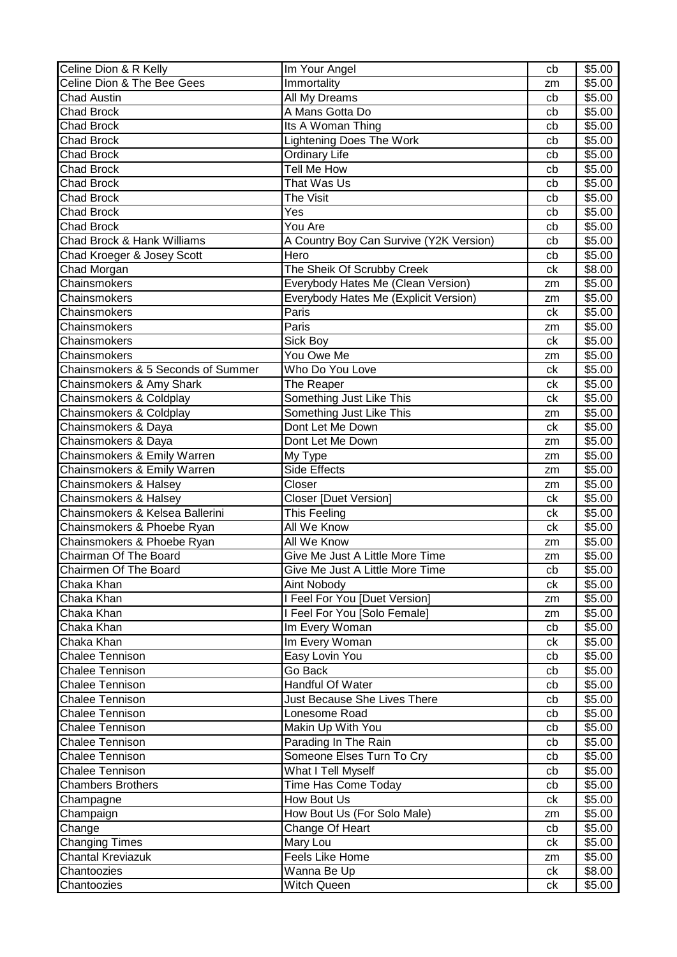| Celine Dion & R Kelly                 | Im Your Angel                           | cb | \$5.00 |
|---------------------------------------|-----------------------------------------|----|--------|
| Celine Dion & The Bee Gees            | Immortality                             | zm | \$5.00 |
| <b>Chad Austin</b>                    | All My Dreams                           | cb | \$5.00 |
| <b>Chad Brock</b>                     | A Mans Gotta Do                         | cb | \$5.00 |
| <b>Chad Brock</b>                     | Its A Woman Thing                       | cb | \$5.00 |
| <b>Chad Brock</b>                     | <b>Lightening Does The Work</b>         | cb | \$5.00 |
| <b>Chad Brock</b>                     | <b>Ordinary Life</b>                    | cb | \$5.00 |
| <b>Chad Brock</b>                     | Tell Me How                             | cb | \$5.00 |
| <b>Chad Brock</b>                     | That Was Us                             | cb | \$5.00 |
| <b>Chad Brock</b>                     | The Visit                               | cb | \$5.00 |
| <b>Chad Brock</b>                     | Yes                                     | cb | \$5.00 |
| <b>Chad Brock</b>                     | You Are                                 | cb | \$5.00 |
| <b>Chad Brock &amp; Hank Williams</b> | A Country Boy Can Survive (Y2K Version) | cb | \$5.00 |
| Chad Kroeger & Josey Scott            | Hero                                    | cb | \$5.00 |
|                                       |                                         | ck | \$8.00 |
| Chad Morgan                           | The Sheik Of Scrubby Creek              |    |        |
| Chainsmokers                          | Everybody Hates Me (Clean Version)      | zm | \$5.00 |
| Chainsmokers                          | Everybody Hates Me (Explicit Version)   | zm | \$5.00 |
| Chainsmokers                          | Paris                                   | ck | \$5.00 |
| Chainsmokers                          | Paris                                   | zm | \$5.00 |
| Chainsmokers                          | Sick Boy                                | ck | \$5.00 |
| Chainsmokers                          | You Owe Me                              | zm | \$5.00 |
| Chainsmokers & 5 Seconds of Summer    | Who Do You Love                         | ck | \$5.00 |
| Chainsmokers & Amy Shark              | The Reaper                              | ck | \$5.00 |
| Chainsmokers & Coldplay               | Something Just Like This                | ck | \$5.00 |
| Chainsmokers & Coldplay               | Something Just Like This                | zm | \$5.00 |
| Chainsmokers & Daya                   | Dont Let Me Down                        | ck | \$5.00 |
| Chainsmokers & Daya                   | Dont Let Me Down                        | zm | \$5.00 |
| Chainsmokers & Emily Warren           | My Type                                 | zm | \$5.00 |
| Chainsmokers & Emily Warren           | <b>Side Effects</b>                     | zm | \$5.00 |
| Chainsmokers & Halsey                 | Closer                                  | zm | \$5.00 |
| Chainsmokers & Halsey                 | <b>Closer [Duet Version]</b>            | ck | \$5.00 |
| Chainsmokers & Kelsea Ballerini       | This Feeling                            | сk | \$5.00 |
| Chainsmokers & Phoebe Ryan            | All We Know                             | ck | \$5.00 |
| Chainsmokers & Phoebe Ryan            | All We Know                             | zm | \$5.00 |
| Chairman Of The Board                 | Give Me Just A Little More Time         | zm | \$5.00 |
| Chairmen Of The Board                 | Give Me Just A Little More Time         | cb | \$5.00 |
| Chaka Khan                            | Aint Nobody                             | ck | \$5.00 |
| Chaka Khan                            | I Feel For You [Duet Version]           | zm | \$5.00 |
| Chaka Khan                            | I Feel For You [Solo Female]            | zm | \$5.00 |
| Chaka Khan                            | Im Every Woman                          | cb | \$5.00 |
| Chaka Khan                            | Im Every Woman                          | сk | \$5.00 |
| <b>Chalee Tennison</b>                | Easy Lovin You                          | cb | \$5.00 |
| <b>Chalee Tennison</b>                | Go Back                                 |    | \$5.00 |
| <b>Chalee Tennison</b>                | Handful Of Water                        | cb | \$5.00 |
|                                       |                                         | cb |        |
| <b>Chalee Tennison</b>                | Just Because She Lives There            | cb | \$5.00 |
| <b>Chalee Tennison</b>                | Lonesome Road                           | cb | \$5.00 |
| <b>Chalee Tennison</b>                | Makin Up With You                       | cb | \$5.00 |
| <b>Chalee Tennison</b>                | Parading In The Rain                    | cb | \$5.00 |
| <b>Chalee Tennison</b>                | Someone Elses Turn To Cry               | cb | \$5.00 |
| <b>Chalee Tennison</b>                | What I Tell Myself                      | cb | \$5.00 |
| <b>Chambers Brothers</b>              | Time Has Come Today                     | cb | \$5.00 |
| Champagne                             | How Bout Us                             | сk | \$5.00 |
| Champaign                             | How Bout Us (For Solo Male)             | zm | \$5.00 |
| Change                                | Change Of Heart                         | cb | \$5.00 |
| <b>Changing Times</b>                 | Mary Lou                                | сk | \$5.00 |
| <b>Chantal Kreviazuk</b>              | Feels Like Home                         | zm | \$5.00 |
| Chantoozies                           | Wanna Be Up                             | ck | \$8.00 |
| Chantoozies                           | Witch Queen                             | ck | \$5.00 |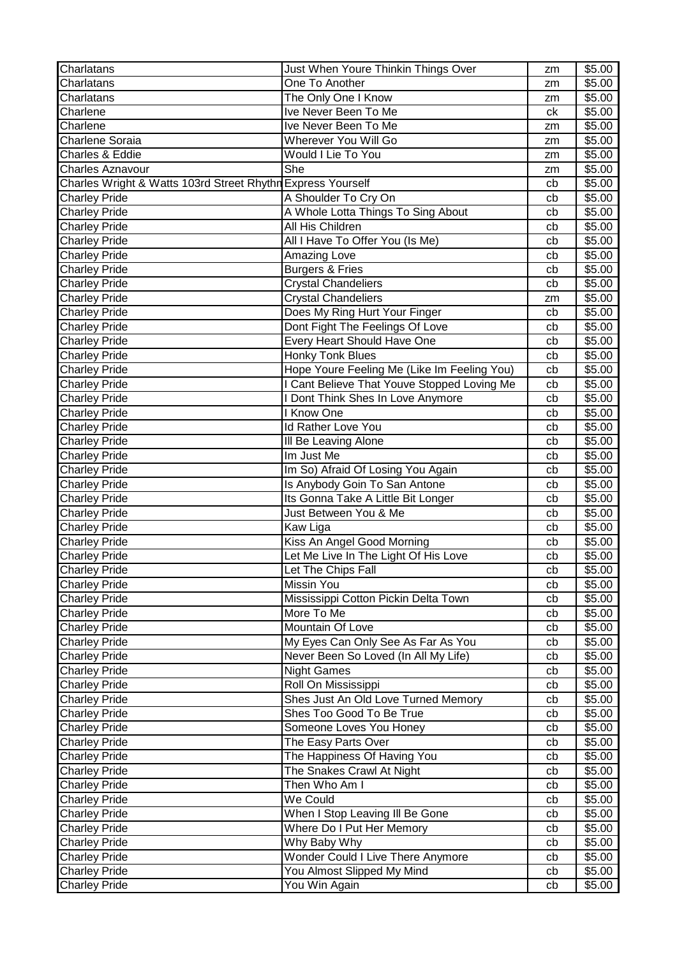| Charlatans                                                  | Just When Youre Thinkin Things Over         | zm | \$5.00 |
|-------------------------------------------------------------|---------------------------------------------|----|--------|
| Charlatans                                                  | One To Another                              | zm | \$5.00 |
| Charlatans                                                  | The Only One I Know                         | zm | \$5.00 |
| Charlene                                                    | Ive Never Been To Me                        | ck | \$5.00 |
| Charlene                                                    | Ive Never Been To Me                        | zm | \$5.00 |
| Charlene Soraia                                             | Wherever You Will Go                        | zm | \$5.00 |
| Charles & Eddie                                             | Would I Lie To You                          | zm | \$5.00 |
| <b>Charles Aznavour</b>                                     | She                                         | zm | \$5.00 |
| Charles Wright & Watts 103rd Street Rhythn Express Yourself |                                             | cb | \$5.00 |
| <b>Charley Pride</b>                                        | A Shoulder To Cry On                        | cb | \$5.00 |
| <b>Charley Pride</b>                                        | A Whole Lotta Things To Sing About          | cb | \$5.00 |
| <b>Charley Pride</b>                                        | All His Children                            | cb | \$5.00 |
| <b>Charley Pride</b>                                        | All I Have To Offer You (Is Me)             | cb | \$5.00 |
| <b>Charley Pride</b>                                        | Amazing Love                                | cb | \$5.00 |
| <b>Charley Pride</b>                                        | <b>Burgers &amp; Fries</b>                  | cb | \$5.00 |
| <b>Charley Pride</b>                                        | <b>Crystal Chandeliers</b>                  | cb | \$5.00 |
| <b>Charley Pride</b>                                        | <b>Crystal Chandeliers</b>                  | zm | \$5.00 |
| <b>Charley Pride</b>                                        | Does My Ring Hurt Your Finger               | cb | \$5.00 |
| Charley Pride                                               | Dont Fight The Feelings Of Love             | cb | \$5.00 |
| <b>Charley Pride</b>                                        | <b>Every Heart Should Have One</b>          | cb | \$5.00 |
| <b>Charley Pride</b>                                        | <b>Honky Tonk Blues</b>                     | cb | \$5.00 |
| <b>Charley Pride</b>                                        | Hope Youre Feeling Me (Like Im Feeling You) | cb | \$5.00 |
| <b>Charley Pride</b>                                        | I Cant Believe That Youve Stopped Loving Me | cb | \$5.00 |
| <b>Charley Pride</b>                                        | I Dont Think Shes In Love Anymore           | cb | \$5.00 |
| <b>Charley Pride</b>                                        | I Know One                                  | cb | \$5.00 |
| <b>Charley Pride</b>                                        | Id Rather Love You                          | cb | \$5.00 |
| <b>Charley Pride</b>                                        | Ill Be Leaving Alone                        | cb | \$5.00 |
| <b>Charley Pride</b>                                        | Im Just Me                                  | cb | \$5.00 |
| <b>Charley Pride</b>                                        | Im So) Afraid Of Losing You Again           | cb | \$5.00 |
| <b>Charley Pride</b>                                        | Is Anybody Goin To San Antone               | cb | \$5.00 |
| <b>Charley Pride</b>                                        | Its Gonna Take A Little Bit Longer          | cb | \$5.00 |
| <b>Charley Pride</b>                                        | Just Between You & Me                       | cb | \$5.00 |
| <b>Charley Pride</b>                                        | Kaw Liga                                    | cb | \$5.00 |
| <b>Charley Pride</b>                                        | Kiss An Angel Good Morning                  | cb | \$5.00 |
| <b>Charley Pride</b>                                        | Let Me Live In The Light Of His Love        | cb | \$5.00 |
| Charley Pride                                               | Let The Chips Fall                          | cb | \$5.00 |
| <b>Charley Pride</b>                                        | Missin You                                  | cb | \$5.00 |
| <b>Charley Pride</b>                                        | Mississippi Cotton Pickin Delta Town        | cb | \$5.00 |
| <b>Charley Pride</b>                                        | More To Me                                  | cb | \$5.00 |
| <b>Charley Pride</b>                                        | Mountain Of Love                            | cb | \$5.00 |
| <b>Charley Pride</b>                                        | My Eyes Can Only See As Far As You          | cb | \$5.00 |
| <b>Charley Pride</b>                                        | Never Been So Loved (In All My Life)        | cb | \$5.00 |
| <b>Charley Pride</b>                                        | <b>Night Games</b>                          | cb | \$5.00 |
| <b>Charley Pride</b>                                        | Roll On Mississippi                         | cb | \$5.00 |
| <b>Charley Pride</b>                                        | Shes Just An Old Love Turned Memory         | cb | \$5.00 |
| <b>Charley Pride</b>                                        | Shes Too Good To Be True                    | cb | \$5.00 |
| <b>Charley Pride</b>                                        | Someone Loves You Honey                     | cb | \$5.00 |
| <b>Charley Pride</b>                                        | The Easy Parts Over                         | cb | \$5.00 |
| <b>Charley Pride</b>                                        | The Happiness Of Having You                 | cb | \$5.00 |
| <b>Charley Pride</b>                                        | The Snakes Crawl At Night                   | cb | \$5.00 |
| <b>Charley Pride</b>                                        | Then Who Am I                               | cb | \$5.00 |
| <b>Charley Pride</b>                                        | We Could                                    | cb | \$5.00 |
| <b>Charley Pride</b>                                        | When I Stop Leaving III Be Gone             | cb | \$5.00 |
| <b>Charley Pride</b>                                        | Where Do I Put Her Memory                   | cb | \$5.00 |
| <b>Charley Pride</b>                                        | Why Baby Why                                | cb | \$5.00 |
| <b>Charley Pride</b>                                        | <b>Wonder Could I Live There Anymore</b>    | cb | \$5.00 |
| <b>Charley Pride</b>                                        | You Almost Slipped My Mind                  | cb | \$5.00 |
| <b>Charley Pride</b>                                        | You Win Again                               | cb | \$5.00 |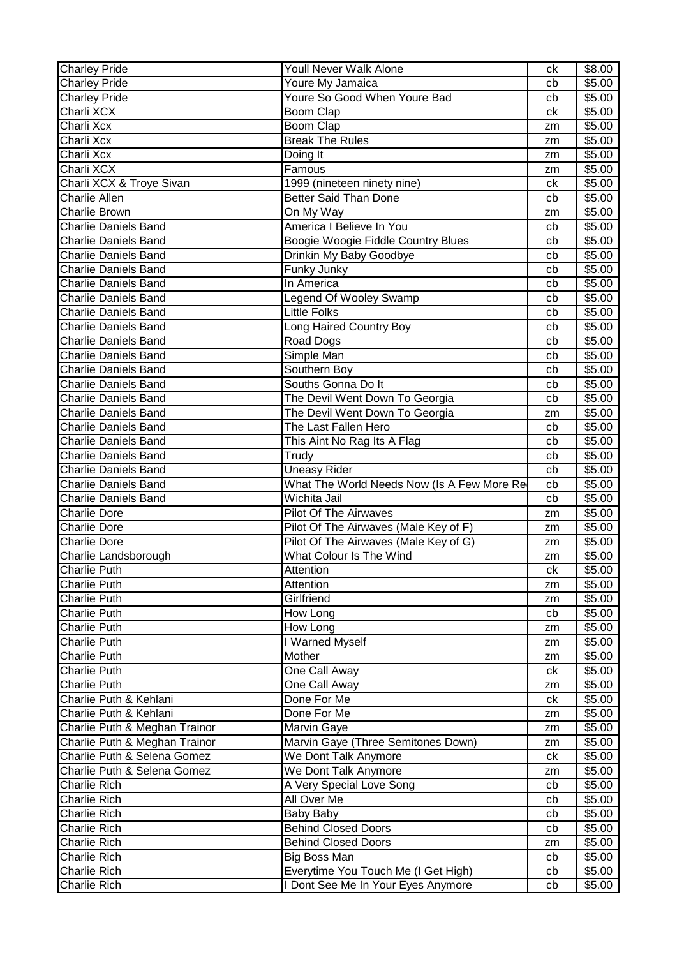| <b>Charley Pride</b>                       | Youll Never Walk Alone                                                    | ck       | \$8.00           |
|--------------------------------------------|---------------------------------------------------------------------------|----------|------------------|
| <b>Charley Pride</b>                       | Youre My Jamaica                                                          | cb       | \$5.00           |
| Charley Pride                              | Youre So Good When Youre Bad                                              | cb       | \$5.00           |
| Charli XCX                                 | Boom Clap                                                                 | ck       | \$5.00           |
| Charli Xcx                                 | Boom Clap                                                                 | zm       | \$5.00           |
| Charli Xcx                                 | <b>Break The Rules</b>                                                    | zm       | \$5.00           |
| Charli Xcx                                 | Doing It                                                                  | zm       | \$5.00           |
| Charli XCX                                 | Famous                                                                    | zm       | \$5.00           |
| Charli XCX & Troye Sivan                   | 1999 (nineteen ninety nine)                                               | ck       | \$5.00           |
| <b>Charlie Allen</b>                       | <b>Better Said Than Done</b>                                              | cb       | \$5.00           |
| <b>Charlie Brown</b>                       | On My Way                                                                 | zm       | \$5.00           |
| <b>Charlie Daniels Band</b>                | America I Believe In You                                                  | cb       | \$5.00           |
| <b>Charlie Daniels Band</b>                | Boogie Woogie Fiddle Country Blues                                        | cb       | \$5.00           |
| <b>Charlie Daniels Band</b>                | Drinkin My Baby Goodbye                                                   | cb       | \$5.00           |
| <b>Charlie Daniels Band</b>                | Funky Junky                                                               | cb       | \$5.00           |
| <b>Charlie Daniels Band</b>                | In America                                                                | cb       | \$5.00           |
| <b>Charlie Daniels Band</b>                | Legend Of Wooley Swamp                                                    | cb       | \$5.00           |
| <b>Charlie Daniels Band</b>                | <b>Little Folks</b>                                                       | cb       | \$5.00           |
| <b>Charlie Daniels Band</b>                | Long Haired Country Boy                                                   | cb       | \$5.00           |
| <b>Charlie Daniels Band</b>                | Road Dogs                                                                 | cb       | \$5.00           |
| <b>Charlie Daniels Band</b>                | Simple Man                                                                | cb       | \$5.00           |
| <b>Charlie Daniels Band</b>                | Southern Boy                                                              | cb       | \$5.00           |
| <b>Charlie Daniels Band</b>                | Souths Gonna Do It                                                        | cb       | \$5.00           |
| <b>Charlie Daniels Band</b>                | The Devil Went Down To Georgia                                            | cb       | \$5.00           |
| <b>Charlie Daniels Band</b>                | The Devil Went Down To Georgia                                            | zm       | \$5.00           |
| <b>Charlie Daniels Band</b>                | The Last Fallen Hero                                                      | cb       | \$5.00           |
| <b>Charlie Daniels Band</b>                | This Aint No Rag Its A Flag                                               | cb       | \$5.00           |
| <b>Charlie Daniels Band</b>                | Trudy                                                                     | cb       | \$5.00           |
| <b>Charlie Daniels Band</b>                | <b>Uneasy Rider</b>                                                       | cb       | \$5.00           |
| <b>Charlie Daniels Band</b>                | What The World Needs Now (Is A Few More Re                                | cb       | \$5.00           |
| <b>Charlie Daniels Band</b>                | Wichita Jail                                                              | cb       | \$5.00           |
| <b>Charlie Dore</b>                        | <b>Pilot Of The Airwaves</b>                                              | zm       | \$5.00           |
| <b>Charlie Dore</b>                        | Pilot Of The Airwaves (Male Key of F)                                     | zm       | \$5.00           |
| Charlie Dore                               | Pilot Of The Airwaves (Male Key of G)                                     | zm       | \$5.00           |
| Charlie Landsborough                       | What Colour Is The Wind                                                   | zm       | \$5.00           |
| Charlie Puth                               | Attention                                                                 | сk       | \$5.00           |
| Charlie Puth                               | Attention                                                                 | zm       | \$5.00           |
| <b>Charlie Puth</b>                        | Girlfriend                                                                | zm       | \$5.00           |
| Charlie Puth                               | How Long                                                                  | cb       | \$5.00           |
| <b>Charlie Puth</b>                        | How Long                                                                  | zm       | \$5.00           |
| Charlie Puth                               |                                                                           |          | \$5.00           |
| <b>Charlie Puth</b>                        | I Warned Myself                                                           | zm       |                  |
|                                            | Mother                                                                    | zm       | \$5.00           |
| <b>Charlie Puth</b>                        | One Call Away                                                             | ck       | \$5.00           |
| <b>Charlie Puth</b>                        | One Call Away                                                             | zm       | \$5.00           |
| Charlie Puth & Kehlani                     | Done For Me                                                               | ck       | \$5.00           |
| Charlie Puth & Kehlani                     | Done For Me                                                               | zm       | \$5.00           |
| Charlie Puth & Meghan Trainor              | Marvin Gaye                                                               | zm       | \$5.00           |
| Charlie Puth & Meghan Trainor              | Marvin Gaye (Three Semitones Down)                                        | zm       | \$5.00           |
| Charlie Puth & Selena Gomez                | We Dont Talk Anymore                                                      | сk       | \$5.00           |
| Charlie Puth & Selena Gomez                | We Dont Talk Anymore                                                      | zm       | \$5.00           |
| Charlie Rich                               | A Very Special Love Song                                                  | cb       | \$5.00           |
| <b>Charlie Rich</b>                        | All Over Me                                                               | cb       | \$5.00           |
| <b>Charlie Rich</b>                        | <b>Baby Baby</b>                                                          | cb       | \$5.00           |
| <b>Charlie Rich</b>                        | <b>Behind Closed Doors</b>                                                | cb       | \$5.00           |
| <b>Charlie Rich</b>                        | <b>Behind Closed Doors</b>                                                | zm       | \$5.00           |
| <b>Charlie Rich</b>                        | Big Boss Man                                                              | cb       | \$5.00           |
| <b>Charlie Rich</b><br><b>Charlie Rich</b> | Everytime You Touch Me (I Get High)<br>I Dont See Me In Your Eyes Anymore | cb<br>cb | \$5.00<br>\$5.00 |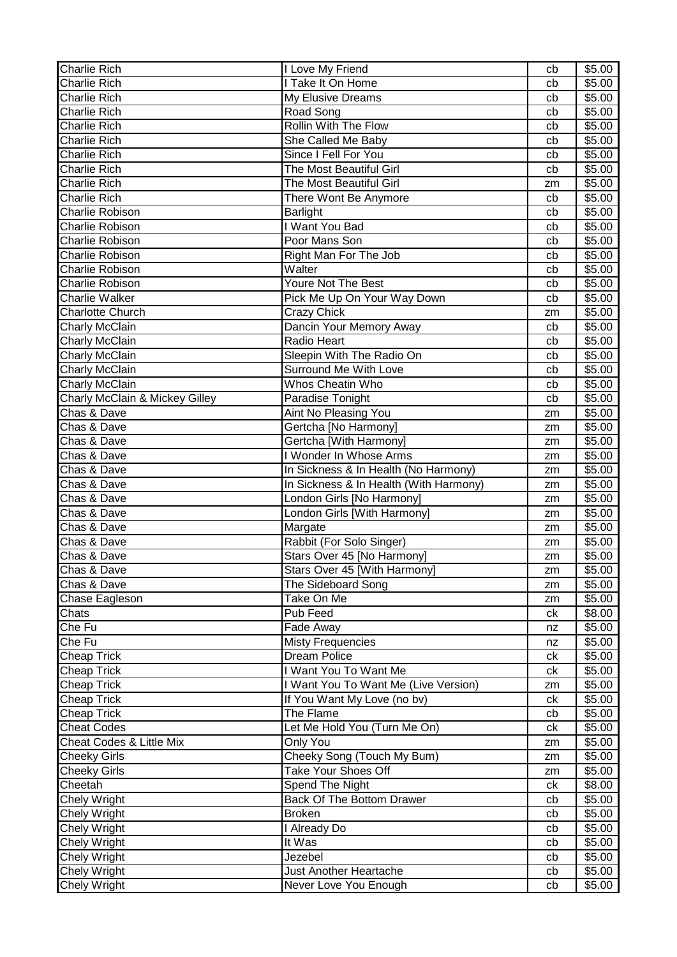| <b>Charlie Rich</b>                      | I Love My Friend                                  | cb       | \$5.00           |
|------------------------------------------|---------------------------------------------------|----------|------------------|
| <b>Charlie Rich</b>                      | I Take It On Home                                 | cb       | \$5.00           |
| <b>Charlie Rich</b>                      | My Elusive Dreams                                 | cb       | \$5.00           |
| <b>Charlie Rich</b>                      | Road Song                                         | cb       | \$5.00           |
| <b>Charlie Rich</b>                      | Rollin With The Flow                              | cb       | \$5.00           |
| <b>Charlie Rich</b>                      | She Called Me Baby                                | cb       | \$5.00           |
| <b>Charlie Rich</b>                      | Since I Fell For You                              | cb       | \$5.00           |
| <b>Charlie Rich</b>                      | The Most Beautiful Girl                           | cb       | \$5.00           |
| <b>Charlie Rich</b>                      | The Most Beautiful Girl                           | zm       | \$5.00           |
| <b>Charlie Rich</b>                      | There Wont Be Anymore                             | cb       | \$5.00           |
| Charlie Robison                          | Barlight                                          | cb       | \$5.00           |
| Charlie Robison                          | I Want You Bad                                    | cb       | \$5.00           |
| <b>Charlie Robison</b>                   | Poor Mans Son                                     | cb       | \$5.00           |
| Charlie Robison                          | Right Man For The Job                             | cb       | \$5.00           |
| <b>Charlie Robison</b>                   | Walter                                            | cb       | \$5.00           |
| <b>Charlie Robison</b>                   | Youre Not The Best                                | cb       | \$5.00           |
| <b>Charlie Walker</b>                    | Pick Me Up On Your Way Down                       | cb       | \$5.00           |
| <b>Charlotte Church</b>                  | Crazy Chick                                       | zm       | \$5.00           |
| Charly McClain                           | Dancin Your Memory Away                           | cb       | \$5.00           |
| Charly McClain                           | Radio Heart                                       | cb       | \$5.00           |
| Charly McClain                           | Sleepin With The Radio On                         | cb       | \$5.00           |
| <b>Charly McClain</b>                    | Surround Me With Love                             | cb       | \$5.00           |
| <b>Charly McClain</b>                    | <b>Whos Cheatin Who</b>                           | cb       | \$5.00           |
| Charly McClain & Mickey Gilley           | Paradise Tonight                                  | cb       | \$5.00           |
| Chas & Dave                              | <b>Aint No Pleasing You</b>                       | zm       | \$5.00           |
| Chas & Dave                              | Gertcha [No Harmony]                              | zm       | \$5.00           |
| Chas & Dave                              | Gertcha [With Harmony]                            | zm       | \$5.00           |
| Chas & Dave                              | I Wonder In Whose Arms                            | zm       | \$5.00           |
| Chas & Dave                              | In Sickness & In Health (No Harmony)              | zm       | \$5.00           |
|                                          |                                                   |          |                  |
|                                          |                                                   | zm       |                  |
| Chas & Dave                              | In Sickness & In Health (With Harmony)            | zm       | \$5.00           |
| Chas & Dave<br>Chas & Dave               | London Girls [No Harmony]                         | zm       | \$5.00           |
|                                          | London Girls [With Harmony]                       |          | \$5.00           |
| Chas & Dave<br>Chas & Dave               | Margate                                           | zm<br>zm | \$5.00           |
| Chas & Dave                              | Rabbit (For Solo Singer)                          | zm       | \$5.00           |
|                                          | Stars Over 45 [No Harmony]                        |          | \$5.00           |
| Chas & Dave                              | Stars Over 45 [With Harmony]                      | zm<br>zm | \$5.00           |
| Chas & Dave                              | The Sideboard Song                                | zm       | \$5.00           |
| Chase Eagleson                           | Take On Me                                        | ck       | \$5.00           |
| Chats                                    | Pub Feed                                          |          | \$8.00           |
| Che Fu                                   | Fade Away<br><b>Misty Frequencies</b>             | nz<br>nz | \$5.00           |
| Che Fu<br>Cheap Trick                    | Dream Police                                      | ck       | \$5.00<br>\$5.00 |
| <b>Cheap Trick</b>                       | I Want You To Want Me                             | ck       | \$5.00           |
| <b>Cheap Trick</b>                       | I Want You To Want Me (Live Version)              | zm       | \$5.00           |
|                                          |                                                   | ck       |                  |
| <b>Cheap Trick</b>                       | If You Want My Love (no bv)                       |          | \$5.00           |
| <b>Cheap Trick</b><br><b>Cheat Codes</b> | The Flame                                         | cb<br>ck | \$5.00           |
| Cheat Codes & Little Mix                 | Let Me Hold You (Turn Me On)<br>Only You          | zm       | \$5.00           |
|                                          |                                                   | zm       | \$5.00<br>\$5.00 |
| Cheeky Girls<br><b>Cheeky Girls</b>      | Cheeky Song (Touch My Bum)<br>Take Your Shoes Off | zm       | \$5.00           |
| Cheetah                                  | Spend The Night                                   | ck       | \$8.00           |
| Chely Wright                             | Back Of The Bottom Drawer                         | cb       | \$5.00           |
| <b>Chely Wright</b>                      | <b>Broken</b>                                     | cb       | \$5.00           |
| <b>Chely Wright</b>                      | I Already Do                                      | cb       | \$5.00           |
|                                          | It Was                                            | cb       | \$5.00           |
| Chely Wright<br><b>Chely Wright</b>      | Jezebel                                           | cb       | \$5.00           |
| <b>Chely Wright</b>                      | Just Another Heartache                            | cb       | \$5.00           |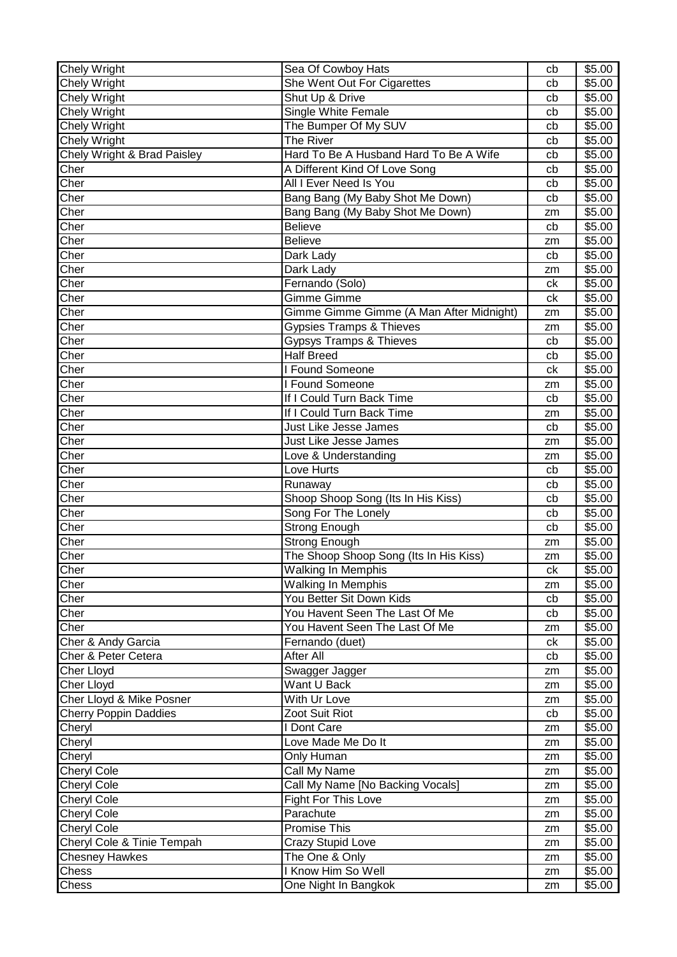| <b>Chely Wright</b>          | Sea Of Cowboy Hats                       | cb | \$5.00 |
|------------------------------|------------------------------------------|----|--------|
| <b>Chely Wright</b>          | She Went Out For Cigarettes              | cb | \$5.00 |
| Chely Wright                 | Shut Up & Drive                          | cb | \$5.00 |
| Chely Wright                 | Single White Female                      | cb | \$5.00 |
| <b>Chely Wright</b>          | The Bumper Of My SUV                     | cb | \$5.00 |
| <b>Chely Wright</b>          | The River                                | cb | \$5.00 |
| Chely Wright & Brad Paisley  | Hard To Be A Husband Hard To Be A Wife   | cb | \$5.00 |
| Cher                         | A Different Kind Of Love Song            | cb | \$5.00 |
| Cher                         | All I Ever Need Is You                   | cb | \$5.00 |
| Cher                         | Bang Bang (My Baby Shot Me Down)         | cb | \$5.00 |
| Cher                         | Bang Bang (My Baby Shot Me Down)         | zm | \$5.00 |
| Cher                         | <b>Believe</b>                           | cb | \$5.00 |
| Cher                         | <b>Believe</b>                           | zm | \$5.00 |
| Cher                         | Dark Lady                                | cb | \$5.00 |
| Cher                         | Dark Lady                                | zm | \$5.00 |
| Cher                         | Fernando (Solo)                          | ck | \$5.00 |
| Cher                         | <b>Gimme Gimme</b>                       | ck | \$5.00 |
| Cher                         | Gimme Gimme Gimme (A Man After Midnight) | zm | \$5.00 |
| Cher                         | <b>Gypsies Tramps &amp; Thieves</b>      | zm | \$5.00 |
| Cher                         | <b>Gypsys Tramps &amp; Thieves</b>       | cb | \$5.00 |
| Cher                         | <b>Half Breed</b>                        | cb | \$5.00 |
| Cher                         | I Found Someone                          | сk | \$5.00 |
| Cher                         | Found Someone                            | zm | \$5.00 |
| Cher                         | If I Could Turn Back Time                | cb | \$5.00 |
| Cher                         | If I Could Turn Back Time                | zm | \$5.00 |
| Cher                         | Just Like Jesse James                    | cb | \$5.00 |
| Cher                         | <b>Just Like Jesse James</b>             | zm | \$5.00 |
| Cher                         | Love & Understanding                     | zm | \$5.00 |
| Cher                         | Love Hurts                               | cb | \$5.00 |
| Cher                         | Runaway                                  | cb | \$5.00 |
| Cher                         | Shoop Shoop Song (Its In His Kiss)       | cb | \$5.00 |
| Cher                         | Song For The Lonely                      | cb | \$5.00 |
| Cher                         | Strong Enough                            | cb | \$5.00 |
| Cher                         | <b>Strong Enough</b>                     | zm | \$5.00 |
| Cher                         | The Shoop Shoop Song (Its In His Kiss)   | zm | \$5.00 |
| Cher                         | Walking In Memphis                       | ck | \$5.00 |
| Cher                         | <b>Walking In Memphis</b>                | zm | \$5.00 |
| Cher                         | You Better Sit Down Kids                 | cb | \$5.00 |
| Cher                         | You Havent Seen The Last Of Me           | cb | \$5.00 |
| Cher                         | You Havent Seen The Last Of Me           | zm | \$5.00 |
| Cher & Andy Garcia           | Fernando (duet)                          | ck | \$5.00 |
| Cher & Peter Cetera          | After All                                | cb | \$5.00 |
| Cher Lloyd                   | Swagger Jagger                           | zm | \$5.00 |
| <b>Cher Lloyd</b>            | Want U Back                              | zm | \$5.00 |
| Cher Lloyd & Mike Posner     | With Ur Love                             | zm | \$5.00 |
| <b>Cherry Poppin Daddies</b> | Zoot Suit Riot                           | cb | \$5.00 |
| Cheryl                       | I Dont Care                              | zm | \$5.00 |
| Cheryl                       | Love Made Me Do It                       | zm | \$5.00 |
| Cheryl                       | Only Human                               | zm | \$5.00 |
| Cheryl Cole                  | Call My Name                             | zm | \$5.00 |
| Cheryl Cole                  | Call My Name [No Backing Vocals]         | zm | \$5.00 |
| <b>Cheryl Cole</b>           | Fight For This Love                      | zm | \$5.00 |
| <b>Cheryl Cole</b>           | Parachute                                | zm | \$5.00 |
| Cheryl Cole                  | Promise This                             | zm | \$5.00 |
| Cheryl Cole & Tinie Tempah   | Crazy Stupid Love                        | zm | \$5.00 |
| <b>Chesney Hawkes</b>        | The One & Only                           | zm | \$5.00 |
| Chess                        | I Know Him So Well                       | zm | \$5.00 |
| Chess                        | One Night In Bangkok                     | zm | \$5.00 |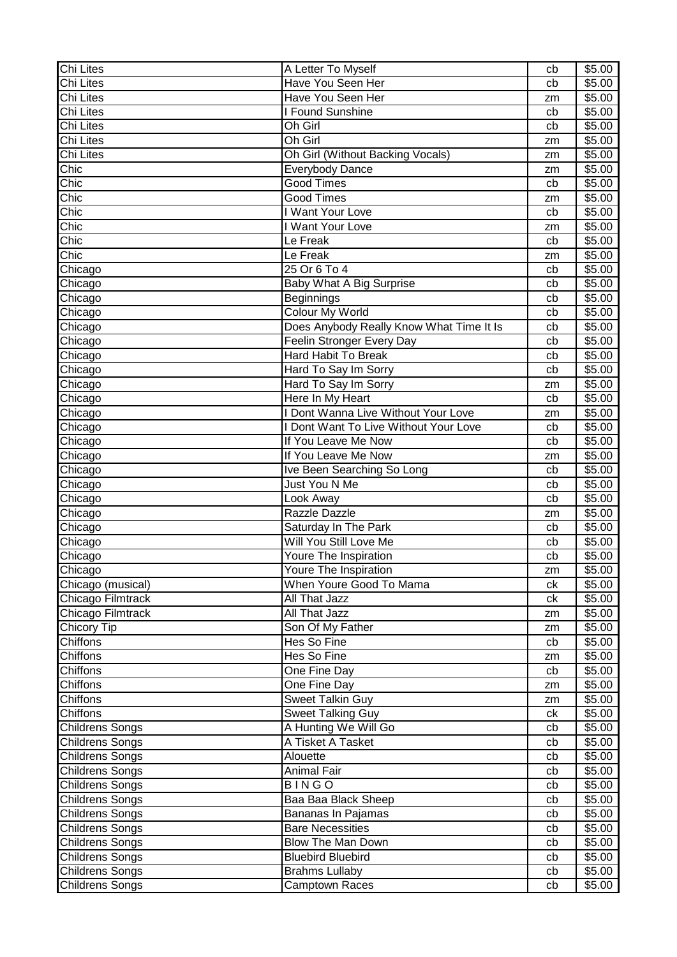| Chi Lites              | A Letter To Myself                                                           | cb       | \$5.00 |
|------------------------|------------------------------------------------------------------------------|----------|--------|
| Chi Lites              | Have You Seen Her                                                            | cb       | \$5.00 |
| Chi Lites              | Have You Seen Her                                                            | zm       | \$5.00 |
| <b>Chi Lites</b>       | I Found Sunshine                                                             | cb       | \$5.00 |
| Chi Lites              | Oh Girl                                                                      | cb       | \$5.00 |
| <b>Chi Lites</b>       | Oh Girl                                                                      | zm       | \$5.00 |
| Chi Lites              | Oh Girl (Without Backing Vocals)                                             | zm       | \$5.00 |
| Chic                   | <b>Everybody Dance</b>                                                       | zm       | \$5.00 |
| Chic                   | <b>Good Times</b>                                                            | cb       | \$5.00 |
| Chic                   | <b>Good Times</b>                                                            | zm       | \$5.00 |
| Chic                   | I Want Your Love                                                             | cb       | \$5.00 |
| Chic                   | I Want Your Love                                                             | zm       | \$5.00 |
| Chic                   | Le Freak                                                                     | cb       | \$5.00 |
| Chic                   | Le Freak                                                                     | zm       | \$5.00 |
| Chicago                | 25 Or 6 To 4                                                                 | cb       | \$5.00 |
| Chicago                | Baby What A Big Surprise                                                     | cb       | \$5.00 |
| Chicago                | Beginnings                                                                   | cb       | \$5.00 |
| Chicago                | Colour My World                                                              | cb       | \$5.00 |
| Chicago                | Does Anybody Really Know What Time It Is                                     | cb       | \$5.00 |
| Chicago                | Feelin Stronger Every Day                                                    | cb       | \$5.00 |
| Chicago                | Hard Habit To Break                                                          | cb       | \$5.00 |
|                        | Hard To Say Im Sorry                                                         | cb       | \$5.00 |
| Chicago                | Hard To Say Im Sorry                                                         |          | \$5.00 |
| Chicago                | Here In My Heart                                                             | zm<br>cb | \$5.00 |
| Chicago                |                                                                              |          |        |
| Chicago                | I Dont Wanna Live Without Your Love<br>I Dont Want To Live Without Your Love | zm       | \$5.00 |
| Chicago                |                                                                              | cb       | \$5.00 |
| Chicago                | If You Leave Me Now                                                          | cb       | \$5.00 |
| Chicago                | If You Leave Me Now                                                          | zm       | \$5.00 |
| Chicago                | Ive Been Searching So Long                                                   | cb       | \$5.00 |
| Chicago                | Just You N Me                                                                | cb       | \$5.00 |
| Chicago                | Look Away                                                                    | cb       | \$5.00 |
| Chicago                | Razzle Dazzle                                                                | zm       | \$5.00 |
| Chicago                | Saturday In The Park                                                         | cb       | \$5.00 |
| Chicago                | Will You Still Love Me                                                       | cb       | \$5.00 |
| Chicago                | Youre The Inspiration                                                        | cb       | \$5.00 |
| Chicago                | Youre The Inspiration                                                        | zm       | \$5.00 |
| Chicago (musical)      | When Youre Good To Mama                                                      | сk       | \$5.00 |
| Chicago Filmtrack      | All That Jazz                                                                | ck       | \$5.00 |
| Chicago Filmtrack      | All That Jazz                                                                | zm       | \$5.00 |
| <b>Chicory Tip</b>     | Son Of My Father                                                             | zm       | \$5.00 |
| Chiffons               | Hes So Fine                                                                  | cb       | \$5.00 |
| Chiffons               | Hes So Fine                                                                  | zm       | \$5.00 |
| Chiffons               | One Fine Day                                                                 | cb       | \$5.00 |
| Chiffons               | One Fine Day                                                                 | zm       | \$5.00 |
| Chiffons               | Sweet Talkin Guy                                                             | zm       | \$5.00 |
| Chiffons               | <b>Sweet Talking Guy</b>                                                     | ck       | \$5.00 |
| <b>Childrens Songs</b> | A Hunting We Will Go                                                         | cb       | \$5.00 |
| <b>Childrens Songs</b> | A Tisket A Tasket                                                            | cb       | \$5.00 |
| <b>Childrens Songs</b> | Alouette                                                                     | cb       | \$5.00 |
| <b>Childrens Songs</b> | Animal Fair                                                                  | cb       | \$5.00 |
| <b>Childrens Songs</b> | <b>BINGO</b>                                                                 | cb       | \$5.00 |
| <b>Childrens Songs</b> | Baa Baa Black Sheep                                                          | cb       | \$5.00 |
| <b>Childrens Songs</b> | Bananas In Pajamas                                                           | cb       | \$5.00 |
| <b>Childrens Songs</b> | <b>Bare Necessities</b>                                                      | cb       | \$5.00 |
| <b>Childrens Songs</b> | <b>Blow The Man Down</b>                                                     | cb       | \$5.00 |
| <b>Childrens Songs</b> | <b>Bluebird Bluebird</b>                                                     | cb       | \$5.00 |
| <b>Childrens Songs</b> | <b>Brahms Lullaby</b>                                                        | cb       | \$5.00 |
| Childrens Songs        | Camptown Races                                                               | cb       | \$5.00 |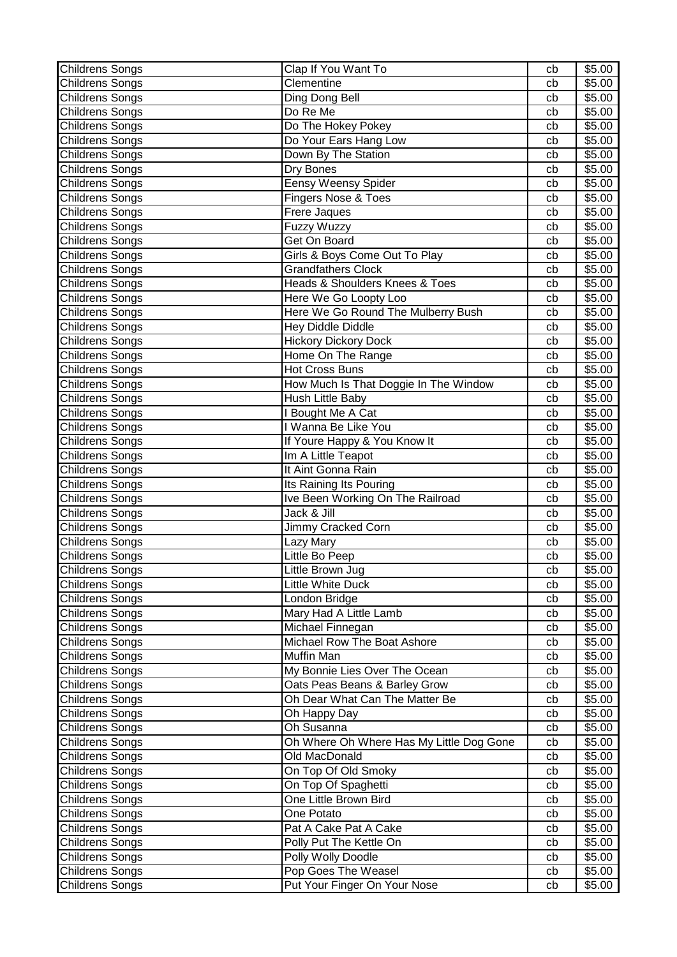| <b>Childrens Songs</b> | Clap If You Want To                      | cb | \$5.00             |
|------------------------|------------------------------------------|----|--------------------|
| Childrens Songs        | Clementine                               | cb | \$5.00             |
| Childrens Songs        | Ding Dong Bell                           | cb | \$5.00             |
| <b>Childrens Songs</b> | Do Re Me                                 | cb | \$5.00             |
| <b>Childrens Songs</b> | Do The Hokey Pokey                       | cb | \$5.00             |
| <b>Childrens Songs</b> | Do Your Ears Hang Low                    | cb | \$5.00             |
| <b>Childrens Songs</b> | Down By The Station                      | cb | \$5.00             |
| Childrens Songs        | Dry Bones                                | cb | \$5.00             |
| <b>Childrens Songs</b> | <b>Eensy Weensy Spider</b>               | cb | \$5.00             |
| <b>Childrens Songs</b> | <b>Fingers Nose &amp; Toes</b>           | cb | \$5.00             |
| <b>Childrens Songs</b> | <b>Frere Jaques</b>                      | cb | \$5.00             |
| Childrens Songs        | <b>Fuzzy Wuzzy</b>                       | cb | \$5.00             |
| Childrens Songs        | Get On Board                             | cb | \$5.00             |
| <b>Childrens Songs</b> | Girls & Boys Come Out To Play            | cb | \$5.00             |
| <b>Childrens Songs</b> | Grandfathers Clock                       | cb | \$5.00             |
| <b>Childrens Songs</b> | Heads & Shoulders Knees & Toes           | cb | \$5.00             |
| <b>Childrens Songs</b> | Here We Go Loopty Loo                    | cb | \$5.00             |
| Childrens Songs        | Here We Go Round The Mulberry Bush       | cb | \$5.00             |
| <b>Childrens Songs</b> | <b>Hey Diddle Diddle</b>                 | cb | \$5.00             |
| <b>Childrens Songs</b> | <b>Hickory Dickory Dock</b>              | cb | \$5.00             |
| <b>Childrens Songs</b> | Home On The Range                        | cb | \$5.00             |
| Childrens Songs        | <b>Hot Cross Buns</b>                    | cb | \$5.00             |
| Childrens Songs        | How Much Is That Doggie In The Window    | cb | \$5.00             |
| <b>Childrens Songs</b> | Hush Little Baby                         | cb | \$5.00             |
| <b>Childrens Songs</b> | I Bought Me A Cat                        | cb | \$5.00             |
| <b>Childrens Songs</b> | I Wanna Be Like You                      | cb | \$5.00             |
| <b>Childrens Songs</b> | If Youre Happy & You Know It             | cb | \$5.00             |
| <b>Childrens Songs</b> | Im A Little Teapot                       | cb | \$5.00             |
| <b>Childrens Songs</b> | It Aint Gonna Rain                       | cb | \$5.00             |
| Childrens Songs        | Its Raining Its Pouring                  | cb | \$5.00             |
| <b>Childrens Songs</b> | Ive Been Working On The Railroad         | cb | \$5.00             |
| Childrens Songs        | Jack & Jill                              | cb | \$5.00             |
| <b>Childrens Songs</b> | Jimmy Cracked Corn                       | cb | \$5.00             |
| <b>Childrens Songs</b> | Lazy Mary                                | cb | \$5.00             |
| Childrens Songs        | Little Bo Peep                           | cb | \$5.00             |
| <b>Childrens Songs</b> | Little Brown Jug                         | cb | \$5.00             |
| <b>Childrens Songs</b> | <b>Little White Duck</b>                 | cb | \$5.00             |
| Childrens Songs        | London Bridge                            | cb | \$5.00             |
| <b>Childrens Songs</b> | Mary Had A Little Lamb                   | cb | $\overline{$}5.00$ |
| <b>Childrens Songs</b> | Michael Finnegan                         | cb | \$5.00             |
| Childrens Songs        | Michael Row The Boat Ashore              | cb | \$5.00             |
| Childrens Songs        | Muffin Man                               | cb | \$5.00             |
| Childrens Songs        | My Bonnie Lies Over The Ocean            | cb | \$5.00             |
| Childrens Songs        | Oats Peas Beans & Barley Grow            | cb | \$5.00             |
| Childrens Songs        | Oh Dear What Can The Matter Be           | cb | \$5.00             |
| <b>Childrens Songs</b> | Oh Happy Day                             | cb | \$5.00             |
| Childrens Songs        | Oh Susanna                               | cb | \$5.00             |
| <b>Childrens Songs</b> | Oh Where Oh Where Has My Little Dog Gone | cb | \$5.00             |
| Childrens Songs        | Old MacDonald                            | cb | \$5.00             |
| <b>Childrens Songs</b> | On Top Of Old Smoky                      | cb | \$5.00             |
| Childrens Songs        | On Top Of Spaghetti                      | cb | \$5.00             |
| Childrens Songs        | One Little Brown Bird                    | cb | \$5.00             |
| Childrens Songs        | One Potato                               | cb | \$5.00             |
| Childrens Songs        | Pat A Cake Pat A Cake                    | cb | \$5.00             |
| Childrens Songs        | Polly Put The Kettle On                  | cb | \$5.00             |
| <b>Childrens Songs</b> | Polly Wolly Doodle                       | cb | \$5.00             |
| Childrens Songs        | Pop Goes The Weasel                      | cb | \$5.00             |
| <b>Childrens Songs</b> | Put Your Finger On Your Nose             | cb | \$5.00             |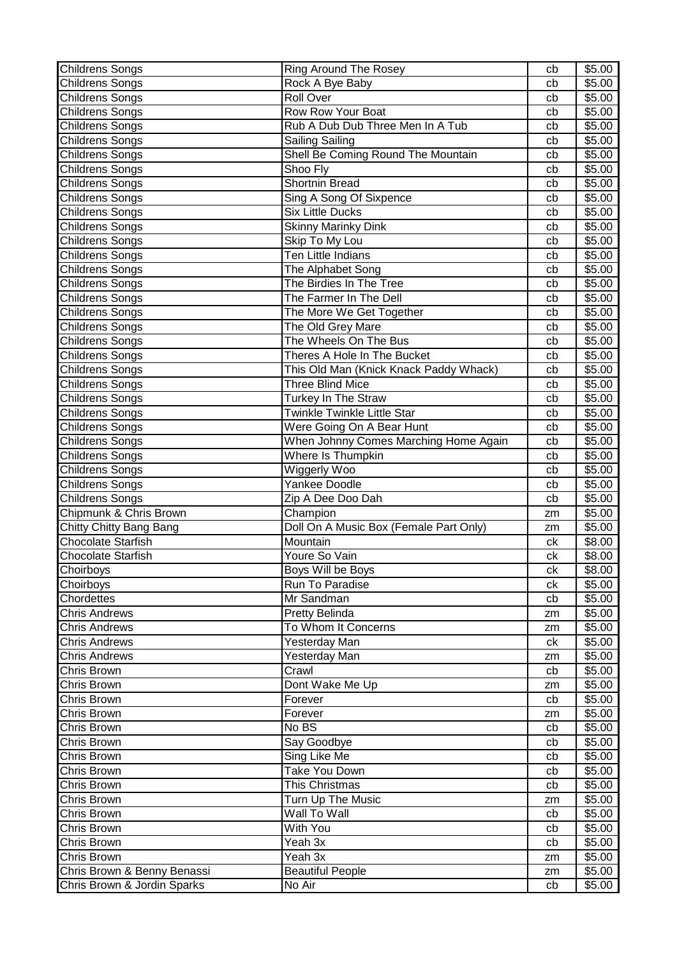| <b>Childrens Songs</b>      | Ring Around The Rosey                  | cb       | \$5.00 |
|-----------------------------|----------------------------------------|----------|--------|
| <b>Childrens Songs</b>      | Rock A Bye Baby                        | cb       | \$5.00 |
| <b>Childrens Songs</b>      | <b>Roll Over</b>                       | cb       | \$5.00 |
| <b>Childrens Songs</b>      | Row Row Your Boat                      | cb       | \$5.00 |
| <b>Childrens Songs</b>      | Rub A Dub Dub Three Men In A Tub       | cb       | \$5.00 |
| <b>Childrens Songs</b>      | Sailing Sailing                        | cb       | \$5.00 |
| <b>Childrens Songs</b>      | Shell Be Coming Round The Mountain     | cb       | \$5.00 |
| <b>Childrens Songs</b>      | Shoo Fly                               | cb       | \$5.00 |
| Childrens Songs             | Shortnin Bread                         | cb       | \$5.00 |
| <b>Childrens Songs</b>      | Sing A Song Of Sixpence                | cb       | \$5.00 |
| <b>Childrens Songs</b>      | <b>Six Little Ducks</b>                | cb       | \$5.00 |
| <b>Childrens Songs</b>      | <b>Skinny Marinky Dink</b>             | cb       | \$5.00 |
| <b>Childrens Songs</b>      | Skip To My Lou                         | cb       | \$5.00 |
| Childrens Songs             | <b>Ten Little Indians</b>              |          | \$5.00 |
|                             |                                        | cb       |        |
| <b>Childrens Songs</b>      | The Alphabet Song                      | cb       | \$5.00 |
| <b>Childrens Songs</b>      | The Birdies In The Tree                | cb       | \$5.00 |
| <b>Childrens Songs</b>      | The Farmer In The Dell                 | cb       | \$5.00 |
| <b>Childrens Songs</b>      | The More We Get Together               | cb       | \$5.00 |
| Childrens Songs             | The Old Grey Mare                      | cb       | \$5.00 |
| Childrens Songs             | The Wheels On The Bus                  | cb       | \$5.00 |
| <b>Childrens Songs</b>      | Theres A Hole In The Bucket            | cb       | \$5.00 |
| <b>Childrens Songs</b>      | This Old Man (Knick Knack Paddy Whack) | cb       | \$5.00 |
| <b>Childrens Songs</b>      | <b>Three Blind Mice</b>                | cb       | \$5.00 |
| <b>Childrens Songs</b>      | Turkey In The Straw                    | cb       | \$5.00 |
| <b>Childrens Songs</b>      | Twinkle Twinkle Little Star            | cb       | \$5.00 |
| Childrens Songs             | Were Going On A Bear Hunt              | cb       | \$5.00 |
| <b>Childrens Songs</b>      | When Johnny Comes Marching Home Again  | cb       | \$5.00 |
| <b>Childrens Songs</b>      | Where Is Thumpkin                      | cb       | \$5.00 |
| Childrens Songs             | Wiggerly Woo                           | cb       | \$5.00 |
| Childrens Songs             | Yankee Doodle                          | cb       | \$5.00 |
| <b>Childrens Songs</b>      | Zip A Dee Doo Dah                      | cb       | \$5.00 |
| Chipmunk & Chris Brown      | Champion                               | zm       | \$5.00 |
| Chitty Chitty Bang Bang     | Doll On A Music Box (Female Part Only) | zm       | \$5.00 |
| <b>Chocolate Starfish</b>   | Mountain                               | ck       | \$8.00 |
| <b>Chocolate Starfish</b>   | Youre So Vain                          | сk       | \$8.00 |
| Choirboys                   | Boys Will be Boys                      | ck       | \$8.00 |
| Choirboys                   | Run To Paradise                        | ck       | \$5.00 |
| Chordettes                  | Mr Sandman                             | cb       | \$5.00 |
| <b>Chris Andrews</b>        | Pretty Belinda                         | zm       | \$5.00 |
| <b>Chris Andrews</b>        | To Whom It Concerns                    | zm       | \$5.00 |
| <b>Chris Andrews</b>        | Yesterday Man                          | ck       | \$5.00 |
| <b>Chris Andrews</b>        | Yesterday Man                          | zm       | \$5.00 |
| Chris Brown                 | Crawl                                  | cb       | \$5.00 |
| Chris Brown                 | Dont Wake Me Up                        | zm       | \$5.00 |
| Chris Brown                 | Forever                                | cb       | \$5.00 |
| <b>Chris Brown</b>          | Forever                                |          | \$5.00 |
| Chris Brown                 | No BS                                  | zm<br>cb | \$5.00 |
| Chris Brown                 | Say Goodbye                            | cb       | \$5.00 |
|                             |                                        |          |        |
| Chris Brown                 | Sing Like Me                           | cb       | \$5.00 |
| Chris Brown                 | Take You Down                          | cb       | \$5.00 |
| Chris Brown                 | This Christmas                         | cb       | \$5.00 |
| Chris Brown                 | Turn Up The Music                      | zm       | \$5.00 |
| Chris Brown                 | Wall To Wall                           | cb       | \$5.00 |
| <b>Chris Brown</b>          | With You                               | cb       | \$5.00 |
| Chris Brown                 | Yeah 3x                                | cb       | \$5.00 |
| <b>Chris Brown</b>          | $\overline{Y}$ eah 3x                  | zm       | \$5.00 |
| Chris Brown & Benny Benassi | <b>Beautiful People</b>                | zm       | \$5.00 |
| Chris Brown & Jordin Sparks | No Air                                 | cb       | \$5.00 |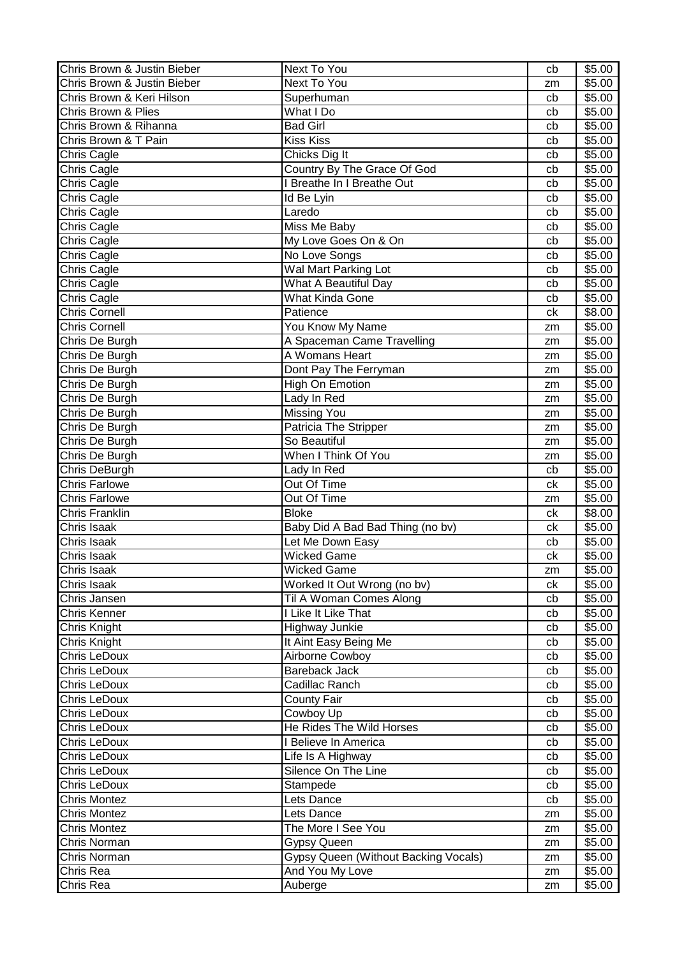| Chris Brown & Justin Bieber | Next To You                          | cb | \$5.00           |
|-----------------------------|--------------------------------------|----|------------------|
| Chris Brown & Justin Bieber | Next To You                          | zm | \$5.00           |
| Chris Brown & Keri Hilson   | Superhuman                           | cb | \$5.00           |
| Chris Brown & Plies         | What I Do                            | cb | \$5.00           |
| Chris Brown & Rihanna       | <b>Bad Girl</b>                      | cb | \$5.00           |
| Chris Brown & T Pain        | <b>Kiss Kiss</b>                     | cb | \$5.00           |
| Chris Cagle                 | Chicks Dig It                        | cb | \$5.00           |
| Chris Cagle                 | Country By The Grace Of God          | cb | \$5.00           |
| Chris Cagle                 | I Breathe In I Breathe Out           | cb | \$5.00           |
| Chris Cagle                 | Id Be Lyin                           | cb | \$5.00           |
| Chris Cagle                 | Laredo                               | cb | \$5.00           |
| Chris Cagle                 | Miss Me Baby                         | cb | \$5.00           |
| Chris Cagle                 | My Love Goes On & On                 | cb | \$5.00           |
| Chris Cagle                 | No Love Songs                        | cb | \$5.00           |
|                             |                                      |    |                  |
| Chris Cagle                 | Wal Mart Parking Lot                 | cb | \$5.00           |
| Chris Cagle                 | What A Beautiful Day                 | cb | \$5.00           |
| Chris Cagle                 | What Kinda Gone                      | cb | \$5.00           |
| <b>Chris Cornell</b>        | Patience                             | ck | \$8.00           |
| <b>Chris Cornell</b>        | You Know My Name                     | zm | \$5.00           |
| Chris De Burgh              | A Spaceman Came Travelling           | zm | \$5.00           |
| Chris De Burgh              | A Womans Heart                       | zm | \$5.00           |
| Chris De Burgh              | Dont Pay The Ferryman                | zm | \$5.00           |
| Chris De Burgh              | High On Emotion                      | zm | \$5.00           |
| Chris De Burgh              | Lady In Red                          | zm | \$5.00           |
| Chris De Burgh              | Missing You                          | zm | \$5.00           |
| Chris De Burgh              | Patricia The Stripper                | zm | \$5.00           |
| Chris De Burgh              | So Beautiful                         | zm | \$5.00           |
| Chris De Burgh              | When I Think Of You                  | zm | \$5.00           |
| Chris DeBurgh               | Lady In Red                          | cb | \$5.00           |
| <b>Chris Farlowe</b>        | Out Of Time                          | ck | \$5.00           |
| <b>Chris Farlowe</b>        | Out Of Time                          | zm | \$5.00           |
| Chris Franklin              | <b>Bloke</b>                         | ck | \$8.00           |
| Chris Isaak                 | Baby Did A Bad Bad Thing (no bv)     | ck | \$5.00           |
| Chris Isaak                 | Let Me Down Easy                     | cb | \$5.00           |
| Chris Isaak                 | <b>Wicked Game</b>                   | ck | \$5.00           |
| Chris Isaak                 | <b>Wicked Game</b>                   | zm | \$5.00           |
| Chris Isaak                 | Worked It Out Wrong (no bv)          | ck | \$5.00           |
| Chris Jansen                | Til A Woman Comes Along              | cb | \$5.00           |
| Chris Kenner                | I Like It Like That                  | cb | \$5.00           |
| Chris Knight                | Highway Junkie                       | cb | \$5.00           |
| Chris Knight                | It Aint Easy Being Me                | cb | \$5.00           |
| Chris LeDoux                | Airborne Cowboy                      | cb | \$5.00           |
| Chris LeDoux                | <b>Bareback Jack</b>                 | cb | \$5.00           |
| Chris LeDoux                | Cadillac Ranch                       | cb | \$5.00           |
| Chris LeDoux                | <b>County Fair</b>                   | cb | \$5.00           |
| Chris LeDoux                | Cowboy Up                            |    |                  |
| Chris LeDoux                | He Rides The Wild Horses             | cb | \$5.00<br>\$5.00 |
|                             |                                      | cb |                  |
| Chris LeDoux                | I Believe In America                 | cb | \$5.00           |
| Chris LeDoux                | Life Is A Highway                    | cb | \$5.00           |
| Chris LeDoux                | Silence On The Line                  | cb | \$5.00           |
| Chris LeDoux                | Stampede                             | cb | \$5.00           |
| <b>Chris Montez</b>         | Lets Dance                           | cb | \$5.00           |
| <b>Chris Montez</b>         | Lets Dance                           | zm | \$5.00           |
| <b>Chris Montez</b>         | The More I See You                   | zm | \$5.00           |
| Chris Norman                | Gypsy Queen                          | zm | \$5.00           |
| Chris Norman                | Gypsy Queen (Without Backing Vocals) | zm | \$5.00           |
| Chris Rea                   | And You My Love                      | zm | \$5.00           |
| Chris Rea                   | Auberge                              | zm | \$5.00           |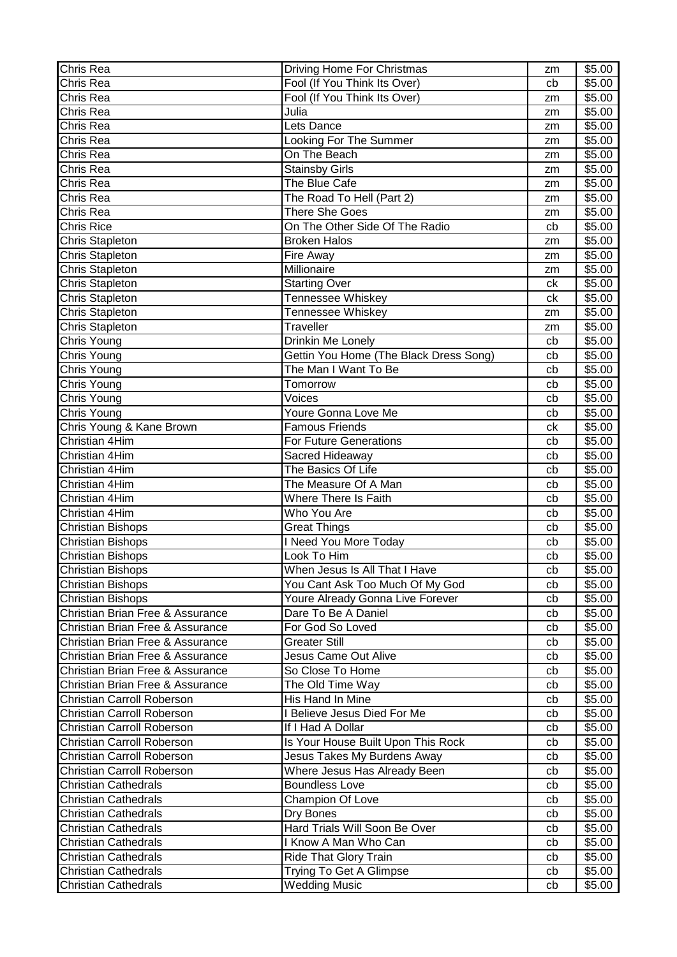| Chris Rea                         | Driving Home For Christmas             | zm | \$5.00 |
|-----------------------------------|----------------------------------------|----|--------|
| Chris Rea                         | Fool (If You Think Its Over)           | cb | \$5.00 |
| Chris Rea                         | Fool (If You Think Its Over)           | zm | \$5.00 |
| Chris Rea                         | Julia                                  | zm | \$5.00 |
| Chris Rea                         | Lets Dance                             | zm | \$5.00 |
| Chris Rea                         | Looking For The Summer                 | zm | \$5.00 |
| Chris Rea                         | On The Beach                           | zm | \$5.00 |
| Chris Rea                         | <b>Stainsby Girls</b>                  | zm | \$5.00 |
| Chris Rea                         | The Blue Cafe                          | zm | \$5.00 |
| Chris Rea                         | The Road To Hell (Part 2)              | zm | \$5.00 |
| Chris Rea                         | <b>There She Goes</b>                  | zm | \$5.00 |
| <b>Chris Rice</b>                 | On The Other Side Of The Radio         | cb | \$5.00 |
| <b>Chris Stapleton</b>            | <b>Broken Halos</b>                    | zm | \$5.00 |
| Chris Stapleton                   | Fire Away                              | zm | \$5.00 |
| <b>Chris Stapleton</b>            | Millionaire                            | zm | \$5.00 |
| <b>Chris Stapleton</b>            | <b>Starting Over</b>                   | ck | \$5.00 |
| <b>Chris Stapleton</b>            | <b>Tennessee Whiskey</b>               | ck | \$5.00 |
| <b>Chris Stapleton</b>            | Tennessee Whiskey                      | zm | \$5.00 |
| <b>Chris Stapleton</b>            | Traveller                              | zm | \$5.00 |
| Chris Young                       | Drinkin Me Lonely                      | cb | \$5.00 |
| Chris Young                       | Gettin You Home (The Black Dress Song) | cb | \$5.00 |
| Chris Young                       | The Man I Want To Be                   | cb | \$5.00 |
| Chris Young                       | Tomorrow                               | cb | \$5.00 |
| Chris Young                       | Voices                                 | cb | \$5.00 |
| Chris Young                       | Youre Gonna Love Me                    | cb | \$5.00 |
| Chris Young & Kane Brown          | Famous Friends                         | ck | \$5.00 |
| Christian 4Him                    | For Future Generations                 | cb | \$5.00 |
| Christian 4Him                    | Sacred Hideaway                        | cb | \$5.00 |
| Christian 4Him                    | The Basics Of Life                     | cb | \$5.00 |
| Christian 4Him                    | The Measure Of A Man                   | cb | \$5.00 |
| Christian 4Him                    | <b>Where There Is Faith</b>            | cb | \$5.00 |
| Christian 4Him                    | Who You Are                            | cb | \$5.00 |
| <b>Christian Bishops</b>          | <b>Great Things</b>                    | cb | \$5.00 |
| <b>Christian Bishops</b>          | I Need You More Today                  | cb | \$5.00 |
| <b>Christian Bishops</b>          | Look To Him                            | cb | \$5.00 |
| <b>Christian Bishops</b>          | When Jesus Is All That I Have          | cb | \$5.00 |
| <b>Christian Bishops</b>          | You Cant Ask Too Much Of My God        | cb | \$5.00 |
| <b>Christian Bishops</b>          | Youre Already Gonna Live Forever       | cb | \$5.00 |
| Christian Brian Free & Assurance  | Dare To Be A Daniel                    | cb | \$5.00 |
| Christian Brian Free & Assurance  | For God So Loved                       | cb | \$5.00 |
| Christian Brian Free & Assurance  | <b>Greater Still</b>                   | cb | \$5.00 |
| Christian Brian Free & Assurance  | <b>Jesus Came Out Alive</b>            | cb | \$5.00 |
| Christian Brian Free & Assurance  | So Close To Home                       | cb | \$5.00 |
| Christian Brian Free & Assurance  | The Old Time Way                       | cb | \$5.00 |
| <b>Christian Carroll Roberson</b> | His Hand In Mine                       | cb | \$5.00 |
| <b>Christian Carroll Roberson</b> | I Believe Jesus Died For Me            | cb | \$5.00 |
| <b>Christian Carroll Roberson</b> | If I Had A Dollar                      | cb | \$5.00 |
| <b>Christian Carroll Roberson</b> | Is Your House Built Upon This Rock     | cb | \$5.00 |
| <b>Christian Carroll Roberson</b> | Jesus Takes My Burdens Away            | cb | \$5.00 |
| <b>Christian Carroll Roberson</b> | Where Jesus Has Already Been           | cb | \$5.00 |
| <b>Christian Cathedrals</b>       | <b>Boundless Love</b>                  | cb | \$5.00 |
| <b>Christian Cathedrals</b>       | Champion Of Love                       | cb | \$5.00 |
| <b>Christian Cathedrals</b>       | Dry Bones                              | cb | \$5.00 |
| <b>Christian Cathedrals</b>       | Hard Trials Will Soon Be Over          | cb | \$5.00 |
| <b>Christian Cathedrals</b>       | I Know A Man Who Can                   | cb | \$5.00 |
| <b>Christian Cathedrals</b>       | Ride That Glory Train                  | cb | \$5.00 |
| <b>Christian Cathedrals</b>       | Trying To Get A Glimpse                | cb | \$5.00 |
| <b>Christian Cathedrals</b>       | <b>Wedding Music</b>                   | cb | \$5.00 |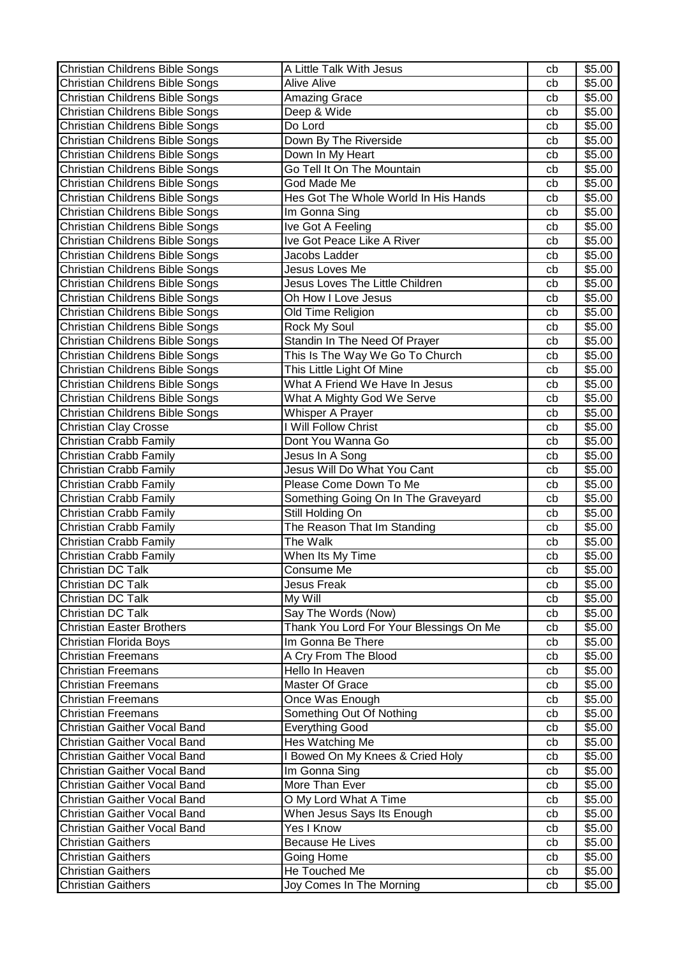| <b>Christian Childrens Bible Songs</b> | A Little Talk With Jesus                | cb | \$5.00 |
|----------------------------------------|-----------------------------------------|----|--------|
| Christian Childrens Bible Songs        | <b>Alive Alive</b>                      | cb | \$5.00 |
| Christian Childrens Bible Songs        | Amazing Grace                           | cb | \$5.00 |
| Christian Childrens Bible Songs        | Deep & Wide                             | cb | \$5.00 |
| Christian Childrens Bible Songs        | Do Lord                                 | cb | \$5.00 |
| Christian Childrens Bible Songs        | Down By The Riverside                   | cb | \$5.00 |
| Christian Childrens Bible Songs        | Down In My Heart                        | cb | \$5.00 |
| Christian Childrens Bible Songs        | Go Tell It On The Mountain              | cb | \$5.00 |
| Christian Childrens Bible Songs        | God Made Me                             | cb | \$5.00 |
| Christian Childrens Bible Songs        | Hes Got The Whole World In His Hands    | cb | \$5.00 |
| Christian Childrens Bible Songs        | Im Gonna Sing                           | cb | \$5.00 |
| Christian Childrens Bible Songs        | Ive Got A Feeling                       | cb | \$5.00 |
| Christian Childrens Bible Songs        | Ive Got Peace Like A River              | cb | \$5.00 |
| Christian Childrens Bible Songs        | Jacobs Ladder                           | cb | \$5.00 |
| Christian Childrens Bible Songs        | Jesus Loves Me                          | cb | \$5.00 |
| Christian Childrens Bible Songs        | Jesus Loves The Little Children         | cb | \$5.00 |
| Christian Childrens Bible Songs        | Oh How I Love Jesus                     | cb | \$5.00 |
| Christian Childrens Bible Songs        | Old Time Religion                       | cb | \$5.00 |
| Christian Childrens Bible Songs        | Rock My Soul                            | cb | \$5.00 |
| Christian Childrens Bible Songs        | Standin In The Need Of Prayer           | cb | \$5.00 |
| Christian Childrens Bible Songs        | This Is The Way We Go To Church         | cb | \$5.00 |
| Christian Childrens Bible Songs        | This Little Light Of Mine               | cb | \$5.00 |
| Christian Childrens Bible Songs        | What A Friend We Have In Jesus          | cb | \$5.00 |
| Christian Childrens Bible Songs        | What A Mighty God We Serve              | cb | \$5.00 |
| Christian Childrens Bible Songs        | Whisper A Prayer                        | cb | \$5.00 |
| <b>Christian Clay Crosse</b>           | I Will Follow Christ                    | cb | \$5.00 |
| Christian Crabb Family                 | Dont You Wanna Go                       | cb | \$5.00 |
| Christian Crabb Family                 | Jesus In A Song                         | cb | \$5.00 |
| Christian Crabb Family                 | Jesus Will Do What You Cant             | cb | \$5.00 |
| Christian Crabb Family                 | Please Come Down To Me                  | cb | \$5.00 |
| Christian Crabb Family                 | Something Going On In The Graveyard     | cb | \$5.00 |
| Christian Crabb Family                 | Still Holding On                        | cb | \$5.00 |
| Christian Crabb Family                 | The Reason That Im Standing             | cb | \$5.00 |
| Christian Crabb Family                 | The Walk                                | cb | \$5.00 |
| Christian Crabb Family                 | When Its My Time                        | cb | \$5.00 |
| Christian DC Talk                      | Consume Me                              | cb | \$5.00 |
| Christian DC Talk                      | Jesus Freak                             | cb | \$5.00 |
| Christian DC Talk                      | My Will                                 | cb | \$5.00 |
| Christian DC Talk                      | Say The Words (Now)                     | cb | \$5.00 |
| <b>Christian Easter Brothers</b>       | Thank You Lord For Your Blessings On Me | cb | \$5.00 |
| Christian Florida Boys                 | Im Gonna Be There                       | cb | \$5.00 |
| <b>Christian Freemans</b>              | A Cry From The Blood                    | cb | \$5.00 |
| <b>Christian Freemans</b>              | Hello In Heaven                         | cb | \$5.00 |
| <b>Christian Freemans</b>              | Master Of Grace                         | cb | \$5.00 |
| <b>Christian Freemans</b>              | Once Was Enough                         | cb | \$5.00 |
| <b>Christian Freemans</b>              | Something Out Of Nothing                | cb | \$5.00 |
| Christian Gaither Vocal Band           | <b>Everything Good</b>                  | cb | \$5.00 |
| Christian Gaither Vocal Band           | Hes Watching Me                         | cb | \$5.00 |
| Christian Gaither Vocal Band           | I Bowed On My Knees & Cried Holy        | cb | \$5.00 |
| Christian Gaither Vocal Band           | Im Gonna Sing                           | cb | \$5.00 |
| Christian Gaither Vocal Band           | More Than Ever                          | cb | \$5.00 |
| Christian Gaither Vocal Band           | O My Lord What A Time                   | cb | \$5.00 |
| Christian Gaither Vocal Band           | When Jesus Says Its Enough              | cb | \$5.00 |
| Christian Gaither Vocal Band           | Yes I Know                              | cb | \$5.00 |
| <b>Christian Gaithers</b>              | <b>Because He Lives</b>                 | cb | \$5.00 |
| <b>Christian Gaithers</b>              | Going Home                              | cb | \$5.00 |
| <b>Christian Gaithers</b>              | He Touched Me                           | cb | \$5.00 |
| <b>Christian Gaithers</b>              | Joy Comes In The Morning                | cb | \$5.00 |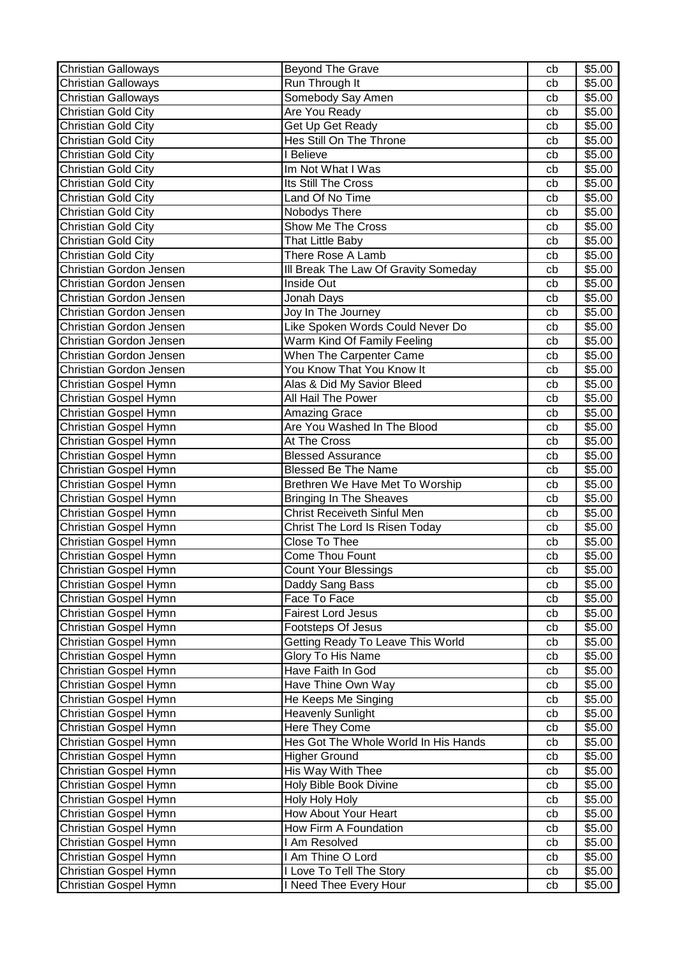| <b>Christian Galloways</b> | <b>Beyond The Grave</b>              | cb | \$5.00             |
|----------------------------|--------------------------------------|----|--------------------|
| <b>Christian Galloways</b> | Run Through It                       | cb | \$5.00             |
| <b>Christian Galloways</b> | Somebody Say Amen                    | cb | \$5.00             |
| <b>Christian Gold City</b> | Are You Ready                        | cb | $\overline{$}5.00$ |
| <b>Christian Gold City</b> | Get Up Get Ready                     | cb | \$5.00             |
| <b>Christian Gold City</b> | Hes Still On The Throne              | cb | \$5.00             |
| <b>Christian Gold City</b> | I Believe                            | cb | \$5.00             |
| <b>Christian Gold City</b> | Im Not What I Was                    | cb | \$5.00             |
| <b>Christian Gold City</b> | Its Still The Cross                  | cb | \$5.00             |
| <b>Christian Gold City</b> | Land Of No Time                      | cb | \$5.00             |
| <b>Christian Gold City</b> | Nobodys There                        | cb | \$5.00             |
| <b>Christian Gold City</b> | Show Me The Cross                    | cb | \$5.00             |
| Christian Gold City        | That Little Baby                     | cb | \$5.00             |
| <b>Christian Gold City</b> | There Rose A Lamb                    | cb | \$5.00             |
| Christian Gordon Jensen    | III Break The Law Of Gravity Someday | cb | \$5.00             |
| Christian Gordon Jensen    | Inside Out                           | cb | \$5.00             |
| Christian Gordon Jensen    | Jonah Days                           | cb | \$5.00             |
| Christian Gordon Jensen    | Joy In The Journey                   | cb | \$5.00             |
| Christian Gordon Jensen    | Like Spoken Words Could Never Do     | cb | \$5.00             |
| Christian Gordon Jensen    | Warm Kind Of Family Feeling          | cb | \$5.00             |
| Christian Gordon Jensen    | When The Carpenter Came              | cb | \$5.00             |
| Christian Gordon Jensen    | You Know That You Know It            | cb | \$5.00             |
| Christian Gospel Hymn      | Alas & Did My Savior Bleed           | cb | \$5.00             |
| Christian Gospel Hymn      | All Hail The Power                   | cb | \$5.00             |
| Christian Gospel Hymn      | <b>Amazing Grace</b>                 | cb | \$5.00             |
| Christian Gospel Hymn      | Are You Washed In The Blood          | cb | \$5.00             |
| Christian Gospel Hymn      | At The Cross                         | cb | \$5.00             |
| Christian Gospel Hymn      | <b>Blessed Assurance</b>             | cb | \$5.00             |
| Christian Gospel Hymn      | <b>Blessed Be The Name</b>           | cb | \$5.00             |
| Christian Gospel Hymn      | Brethren We Have Met To Worship      | cb | \$5.00             |
| Christian Gospel Hymn      | <b>Bringing In The Sheaves</b>       | cb | \$5.00             |
| Christian Gospel Hymn      | <b>Christ Receiveth Sinful Men</b>   | cb | \$5.00             |
| Christian Gospel Hymn      | Christ The Lord Is Risen Today       | cb | \$5.00             |
| Christian Gospel Hymn      | Close To Thee                        | cb | \$5.00             |
| Christian Gospel Hymn      | <b>Come Thou Fount</b>               | cb | \$5.00             |
| Christian Gospel Hymn      | <b>Count Your Blessings</b>          | cb | \$5.00             |
| Christian Gospel Hymn      | Daddy Sang Bass                      | cb | \$5.00             |
| Christian Gospel Hymn      | Face To Face                         | cb | \$5.00             |
| Christian Gospel Hymn      | <b>Fairest Lord Jesus</b>            | cb | \$5.00             |
| Christian Gospel Hymn      | Footsteps Of Jesus                   | cb | \$5.00             |
| Christian Gospel Hymn      | Getting Ready To Leave This World    | cb | \$5.00             |
| Christian Gospel Hymn      | Glory To His Name                    | cb | \$5.00             |
| Christian Gospel Hymn      | Have Faith In God                    | cb | \$5.00             |
| Christian Gospel Hymn      | Have Thine Own Way                   | cb | \$5.00             |
| Christian Gospel Hymn      | He Keeps Me Singing                  | cb | \$5.00             |
| Christian Gospel Hymn      | <b>Heavenly Sunlight</b>             | cb | \$5.00             |
| Christian Gospel Hymn      | Here They Come                       | cb | \$5.00             |
| Christian Gospel Hymn      | Hes Got The Whole World In His Hands | cb | \$5.00             |
| Christian Gospel Hymn      | <b>Higher Ground</b>                 | cb | \$5.00             |
| Christian Gospel Hymn      | His Way With Thee                    | cb | \$5.00             |
| Christian Gospel Hymn      | Holy Bible Book Divine               | cb | \$5.00             |
| Christian Gospel Hymn      | Holy Holy Holy                       | cb | \$5.00             |
| Christian Gospel Hymn      | How About Your Heart                 | cb | \$5.00             |
| Christian Gospel Hymn      | How Firm A Foundation                | cb | \$5.00             |
| Christian Gospel Hymn      | I Am Resolved                        | cb | \$5.00             |
| Christian Gospel Hymn      | I Am Thine O Lord                    | cb | \$5.00             |
| Christian Gospel Hymn      | I Love To Tell The Story             | cb | \$5.00             |
| Christian Gospel Hymn      | I Need Thee Every Hour               | cb | \$5.00             |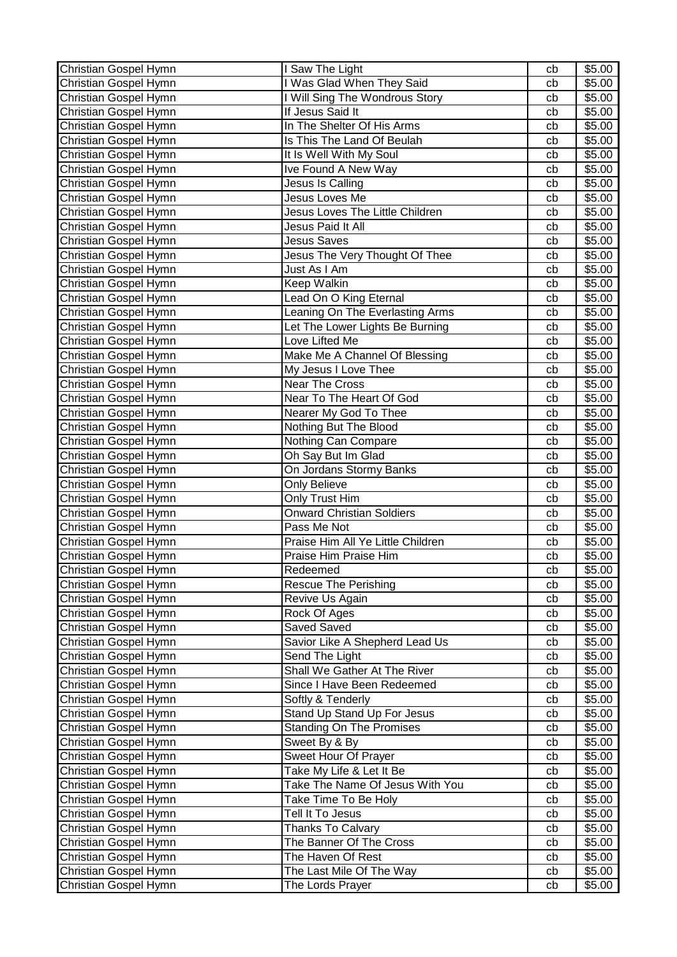| Christian Gospel Hymn | Saw The Light                     | cb | \$5.00             |
|-----------------------|-----------------------------------|----|--------------------|
| Christian Gospel Hymn | Was Glad When They Said           | cb | \$5.00             |
| Christian Gospel Hymn | I Will Sing The Wondrous Story    | cb | \$5.00             |
| Christian Gospel Hymn | If Jesus Said It                  | cb | \$5.00             |
| Christian Gospel Hymn | In The Shelter Of His Arms        | cb | \$5.00             |
| Christian Gospel Hymn | Is This The Land Of Beulah        | cb | \$5.00             |
| Christian Gospel Hymn | It Is Well With My Soul           | cb | \$5.00             |
| Christian Gospel Hymn | Ive Found A New Way               | cb | \$5.00             |
| Christian Gospel Hymn | Jesus Is Calling                  | cb | \$5.00             |
| Christian Gospel Hymn | Jesus Loves Me                    | cb | \$5.00             |
| Christian Gospel Hymn | Jesus Loves The Little Children   | cb | \$5.00             |
| Christian Gospel Hymn | Jesus Paid It All                 | cb | \$5.00             |
| Christian Gospel Hymn | <b>Jesus Saves</b>                | cb | \$5.00             |
| Christian Gospel Hymn | Jesus The Very Thought Of Thee    | cb | \$5.00             |
| Christian Gospel Hymn | Just As I Am                      | cb | \$5.00             |
| Christian Gospel Hymn | Keep Walkin                       | cb | \$5.00             |
| Christian Gospel Hymn | Lead On O King Eternal            | cb | \$5.00             |
| Christian Gospel Hymn | Leaning On The Everlasting Arms   | cb | \$5.00             |
| Christian Gospel Hymn | Let The Lower Lights Be Burning   | cb | \$5.00             |
| Christian Gospel Hymn | Love Lifted Me                    | cb | \$5.00             |
| Christian Gospel Hymn | Make Me A Channel Of Blessing     | cb | \$5.00             |
| Christian Gospel Hymn | My Jesus I Love Thee              | cb | \$5.00             |
| Christian Gospel Hymn | <b>Near The Cross</b>             | cb | \$5.00             |
| Christian Gospel Hymn | Near To The Heart Of God          | cb | \$5.00             |
| Christian Gospel Hymn | Nearer My God To Thee             | cb | \$5.00             |
| Christian Gospel Hymn | Nothing But The Blood             | cb | \$5.00             |
| Christian Gospel Hymn | Nothing Can Compare               | cb | \$5.00             |
| Christian Gospel Hymn | Oh Say But Im Glad                | cb | \$5.00             |
| Christian Gospel Hymn | On Jordans Stormy Banks           | cb | \$5.00             |
| Christian Gospel Hymn | <b>Only Believe</b>               | cb | \$5.00             |
| Christian Gospel Hymn | Only Trust Him                    | cb | \$5.00             |
| Christian Gospel Hymn | <b>Onward Christian Soldiers</b>  | cb | \$5.00             |
| Christian Gospel Hymn | Pass Me Not                       | cb | \$5.00             |
| Christian Gospel Hymn | Praise Him All Ye Little Children | cb | \$5.00             |
| Christian Gospel Hymn | Praise Him Praise Him             | cb | $\overline{$}5.00$ |
| Christian Gospel Hymn | Redeemed                          | cb | \$5.00             |
| Christian Gospel Hymn | <b>Rescue The Perishing</b>       | cb | \$5.00             |
| Christian Gospel Hymn | Revive Us Again                   | cb | \$5.00             |
| Christian Gospel Hymn | Rock Of Ages                      | cb | \$5.00             |
| Christian Gospel Hymn | <b>Saved Saved</b>                | cb | \$5.00             |
| Christian Gospel Hymn | Savior Like A Shepherd Lead Us    | cb | \$5.00             |
| Christian Gospel Hymn | Send The Light                    | cb | \$5.00             |
| Christian Gospel Hymn | Shall We Gather At The River      | cb | \$5.00             |
| Christian Gospel Hymn | Since I Have Been Redeemed        | cb | \$5.00             |
| Christian Gospel Hymn | Softly & Tenderly                 | cb | \$5.00             |
| Christian Gospel Hymn | Stand Up Stand Up For Jesus       | cb | \$5.00             |
| Christian Gospel Hymn | <b>Standing On The Promises</b>   | cb | \$5.00             |
| Christian Gospel Hymn | Sweet By & By                     | cb | \$5.00             |
| Christian Gospel Hymn | Sweet Hour Of Prayer              | cb | \$5.00             |
| Christian Gospel Hymn | Take My Life & Let It Be          | cb | \$5.00             |
| Christian Gospel Hymn | Take The Name Of Jesus With You   | cb | \$5.00             |
| Christian Gospel Hymn | Take Time To Be Holy              | cb | \$5.00             |
| Christian Gospel Hymn | Tell It To Jesus                  | cb | \$5.00             |
| Christian Gospel Hymn | Thanks To Calvary                 | cb | \$5.00             |
| Christian Gospel Hymn | The Banner Of The Cross           | cb | \$5.00             |
| Christian Gospel Hymn | The Haven Of Rest                 | cb | \$5.00             |
| Christian Gospel Hymn | The Last Mile Of The Way          | cb | \$5.00             |
| Christian Gospel Hymn | The Lords Prayer                  | cb | \$5.00             |
|                       |                                   |    |                    |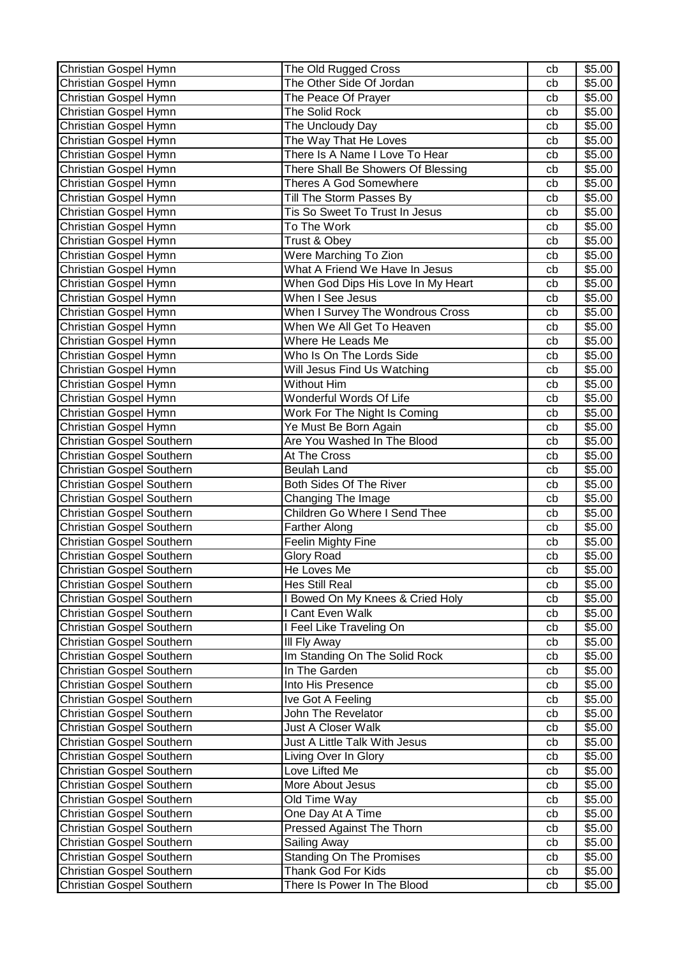| Christian Gospel Hymn            | The Old Rugged Cross               | cb | \$5.00 |
|----------------------------------|------------------------------------|----|--------|
| Christian Gospel Hymn            | The Other Side Of Jordan           | cb | \$5.00 |
| Christian Gospel Hymn            | The Peace Of Prayer                | cb | \$5.00 |
| Christian Gospel Hymn            | The Solid Rock                     | cb | \$5.00 |
| Christian Gospel Hymn            | The Uncloudy Day                   | cb | \$5.00 |
| Christian Gospel Hymn            | The Way That He Loves              | cb | \$5.00 |
| Christian Gospel Hymn            | There Is A Name I Love To Hear     | cb | \$5.00 |
| Christian Gospel Hymn            | There Shall Be Showers Of Blessing | cb | \$5.00 |
| Christian Gospel Hymn            | <b>Theres A God Somewhere</b>      | cb | \$5.00 |
| Christian Gospel Hymn            | Till The Storm Passes By           | cb | \$5.00 |
| Christian Gospel Hymn            | Tis So Sweet To Trust In Jesus     | cb | \$5.00 |
| Christian Gospel Hymn            | To The Work                        | cb | \$5.00 |
| Christian Gospel Hymn            | Trust & Obey                       | cb | \$5.00 |
| Christian Gospel Hymn            | Were Marching To Zion              | cb | \$5.00 |
| Christian Gospel Hymn            | What A Friend We Have In Jesus     | cb | \$5.00 |
| Christian Gospel Hymn            | When God Dips His Love In My Heart | cb | \$5.00 |
| Christian Gospel Hymn            | When I See Jesus                   | cb | \$5.00 |
| Christian Gospel Hymn            | When I Survey The Wondrous Cross   | cb | \$5.00 |
| Christian Gospel Hymn            | When We All Get To Heaven          | cb | \$5.00 |
| Christian Gospel Hymn            | Where He Leads Me                  | cb | \$5.00 |
| Christian Gospel Hymn            | Who Is On The Lords Side           | cb | \$5.00 |
| Christian Gospel Hymn            | Will Jesus Find Us Watching        | cb | \$5.00 |
| Christian Gospel Hymn            | Without Him                        | cb | \$5.00 |
| Christian Gospel Hymn            | Wonderful Words Of Life            | cb | \$5.00 |
| Christian Gospel Hymn            | Work For The Night Is Coming       | cb | \$5.00 |
| Christian Gospel Hymn            | Ye Must Be Born Again              | cb | \$5.00 |
| Christian Gospel Southern        | Are You Washed In The Blood        | cb | \$5.00 |
| Christian Gospel Southern        | At The Cross                       | cb | \$5.00 |
| Christian Gospel Southern        | <b>Beulah Land</b>                 | cb | \$5.00 |
| Christian Gospel Southern        | Both Sides Of The River            | cb | \$5.00 |
| Christian Gospel Southern        | Changing The Image                 | cb | \$5.00 |
| Christian Gospel Southern        | Children Go Where I Send Thee      | cb | \$5.00 |
| Christian Gospel Southern        | <b>Farther Along</b>               | cb | \$5.00 |
| Christian Gospel Southern        | <b>Feelin Mighty Fine</b>          | cb | \$5.00 |
| Christian Gospel Southern        | <b>Glory Road</b>                  | cb | \$5.00 |
| Christian Gospel Southern        | He Loves Me                        | cb | \$5.00 |
| <b>Christian Gospel Southern</b> | Hes Still Real                     | cb | \$5.00 |
| Christian Gospel Southern        | I Bowed On My Knees & Cried Holy   | cb | \$5.00 |
| Christian Gospel Southern        | I Cant Even Walk                   | cb | \$5.00 |
| Christian Gospel Southern        | I Feel Like Traveling On           | cb | \$5.00 |
| Christian Gospel Southern        | III Fly Away                       | cb | \$5.00 |
| Christian Gospel Southern        | Im Standing On The Solid Rock      | cb | \$5.00 |
| Christian Gospel Southern        | In The Garden                      | cb | \$5.00 |
| Christian Gospel Southern        | Into His Presence                  | cb | \$5.00 |
| Christian Gospel Southern        | Ive Got A Feeling                  | cb | \$5.00 |
| Christian Gospel Southern        | John The Revelator                 | cb | \$5.00 |
| Christian Gospel Southern        | Just A Closer Walk                 | cb | \$5.00 |
| Christian Gospel Southern        | Just A Little Talk With Jesus      | cb | \$5.00 |
| Christian Gospel Southern        | Living Over In Glory               | cb | \$5.00 |
| Christian Gospel Southern        | Love Lifted Me                     | cb | \$5.00 |
| Christian Gospel Southern        | More About Jesus                   | cb | \$5.00 |
| Christian Gospel Southern        | Old Time Way                       | cb | \$5.00 |
| Christian Gospel Southern        | One Day At A Time                  | cb | \$5.00 |
| Christian Gospel Southern        | Pressed Against The Thorn          | cb | \$5.00 |
| Christian Gospel Southern        | Sailing Away                       | cb | \$5.00 |
| Christian Gospel Southern        | <b>Standing On The Promises</b>    | cb | \$5.00 |
| Christian Gospel Southern        | Thank God For Kids                 | cb | \$5.00 |
| Christian Gospel Southern        | There Is Power In The Blood        | cb | \$5.00 |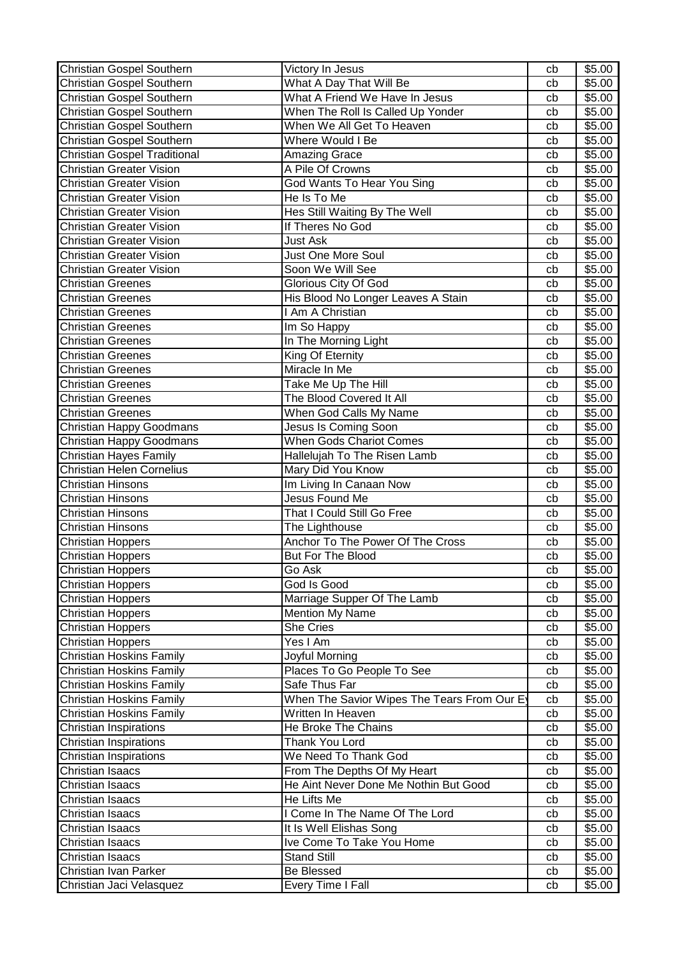| Christian Gospel Southern           | Victory In Jesus                            | cb | \$5.00 |
|-------------------------------------|---------------------------------------------|----|--------|
| Christian Gospel Southern           | What A Day That Will Be                     | cb | \$5.00 |
| Christian Gospel Southern           | What A Friend We Have In Jesus              | cb | \$5.00 |
| Christian Gospel Southern           | When The Roll Is Called Up Yonder           | cb | \$5.00 |
| Christian Gospel Southern           | When We All Get To Heaven                   | cb | \$5.00 |
| Christian Gospel Southern           | Where Would I Be                            | cb | \$5.00 |
| <b>Christian Gospel Traditional</b> | <b>Amazing Grace</b>                        | cb | \$5.00 |
| <b>Christian Greater Vision</b>     | A Pile Of Crowns                            | cb | \$5.00 |
| <b>Christian Greater Vision</b>     | God Wants To Hear You Sing                  | cb | \$5.00 |
| <b>Christian Greater Vision</b>     | He Is To Me                                 | cb | \$5.00 |
| <b>Christian Greater Vision</b>     | Hes Still Waiting By The Well               | cb | \$5.00 |
| <b>Christian Greater Vision</b>     | If Theres No God                            | cb | \$5.00 |
| <b>Christian Greater Vision</b>     | Just Ask                                    | cb | \$5.00 |
| <b>Christian Greater Vision</b>     | Just One More Soul                          | cb | \$5.00 |
| <b>Christian Greater Vision</b>     | Soon We Will See                            | cb | \$5.00 |
| <b>Christian Greenes</b>            | <b>Glorious City Of God</b>                 | cb | \$5.00 |
| <b>Christian Greenes</b>            | His Blood No Longer Leaves A Stain          | cb | \$5.00 |
| <b>Christian Greenes</b>            | I Am A Christian                            | cb | \$5.00 |
| <b>Christian Greenes</b>            | Im So Happy                                 | cb | \$5.00 |
| <b>Christian Greenes</b>            | In The Morning Light                        | cb | \$5.00 |
| <b>Christian Greenes</b>            | King Of Eternity                            | cb | \$5.00 |
| <b>Christian Greenes</b>            | Miracle In Me                               | cb | \$5.00 |
| <b>Christian Greenes</b>            | Take Me Up The Hill                         | cb | \$5.00 |
| <b>Christian Greenes</b>            | The Blood Covered It All                    | cb | \$5.00 |
| <b>Christian Greenes</b>            | When God Calls My Name                      | cb | \$5.00 |
| <b>Christian Happy Goodmans</b>     | Jesus Is Coming Soon                        | cb | \$5.00 |
| Christian Happy Goodmans            | <b>When Gods Chariot Comes</b>              | cb | \$5.00 |
| <b>Christian Hayes Family</b>       | Hallelujah To The Risen Lamb                | cb | \$5.00 |
| <b>Christian Helen Cornelius</b>    | Mary Did You Know                           | cb | \$5.00 |
| <b>Christian Hinsons</b>            | Im Living In Canaan Now                     | cb | \$5.00 |
| <b>Christian Hinsons</b>            | Jesus Found Me                              | cb | \$5.00 |
| <b>Christian Hinsons</b>            | That I Could Still Go Free                  | cb | \$5.00 |
| <b>Christian Hinsons</b>            | The Lighthouse                              | cb | \$5.00 |
| <b>Christian Hoppers</b>            | Anchor To The Power Of The Cross            | cb | \$5.00 |
| <b>Christian Hoppers</b>            | But For The Blood                           | cb | \$5.00 |
| <b>Christian Hoppers</b>            | Go Ask                                      | cb | \$5.00 |
| <b>Christian Hoppers</b>            | God Is Good                                 | cb | \$5.00 |
| <b>Christian Hoppers</b>            | Marriage Supper Of The Lamb                 | cb | \$5.00 |
| <b>Christian Hoppers</b>            | <b>Mention My Name</b>                      | cb | \$5.00 |
| <b>Christian Hoppers</b>            | She Cries                                   | cb | \$5.00 |
| <b>Christian Hoppers</b>            | Yes I Am                                    | cb | \$5.00 |
| <b>Christian Hoskins Family</b>     | Joyful Morning                              | cb | \$5.00 |
| <b>Christian Hoskins Family</b>     | Places To Go People To See                  | cb | \$5.00 |
| <b>Christian Hoskins Family</b>     | Safe Thus Far                               | cb | \$5.00 |
| <b>Christian Hoskins Family</b>     | When The Savior Wipes The Tears From Our Ey | cb | \$5.00 |
| Christian Hoskins Family            | Written In Heaven                           | cb | \$5.00 |
| Christian Inspirations              | He Broke The Chains                         | cb | \$5.00 |
| Christian Inspirations              | Thank You Lord                              | cb | \$5.00 |
| Christian Inspirations              | We Need To Thank God                        | cb | \$5.00 |
| Christian Isaacs                    | From The Depths Of My Heart                 | cb | \$5.00 |
| <b>Christian Isaacs</b>             | He Aint Never Done Me Nothin But Good       | cb | \$5.00 |
| Christian Isaacs                    | He Lifts Me                                 | cb | \$5.00 |
| <b>Christian Isaacs</b>             | I Come In The Name Of The Lord              | cb | \$5.00 |
| Christian Isaacs                    | It Is Well Elishas Song                     | cb | \$5.00 |
| Christian Isaacs                    | Ive Come To Take You Home                   | cb | \$5.00 |
| Christian Isaacs                    | <b>Stand Still</b>                          | cb | \$5.00 |
| Christian Ivan Parker               | <b>Be Blessed</b>                           | cb | \$5.00 |
| Christian Jaci Velasquez            | Every Time I Fall                           | cb | \$5.00 |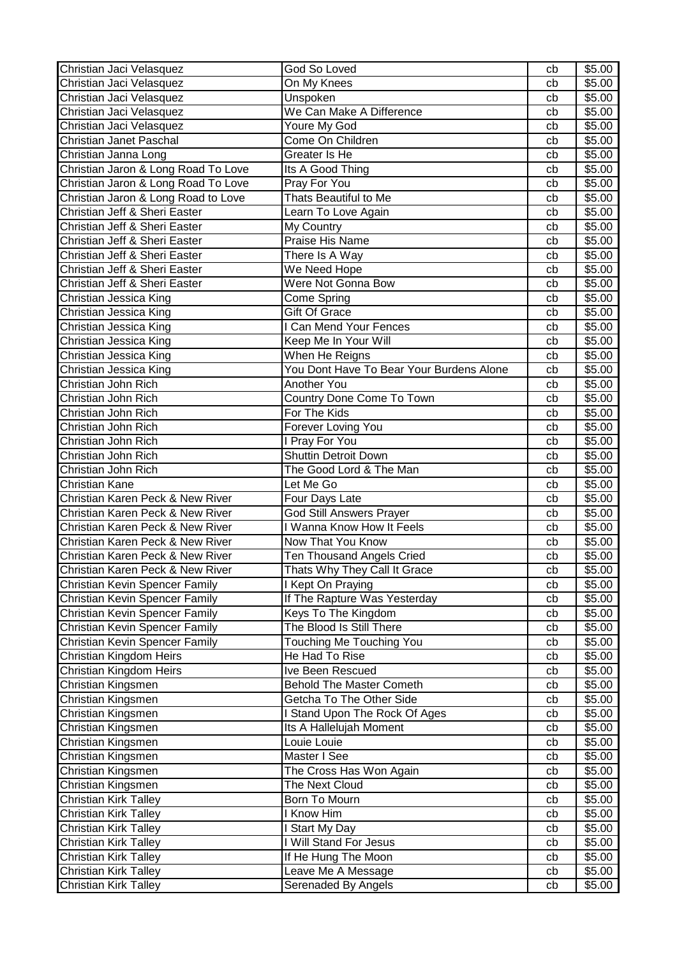| Christian Jaci Velasquez              | God So Loved                             | cb | \$5.00 |
|---------------------------------------|------------------------------------------|----|--------|
| Christian Jaci Velasquez              | On My Knees                              | cb | \$5.00 |
| Christian Jaci Velasquez              | Unspoken                                 | cb | \$5.00 |
| Christian Jaci Velasquez              | We Can Make A Difference                 | cb | \$5.00 |
| Christian Jaci Velasquez              | Youre My God                             | cb | \$5.00 |
| Christian Janet Paschal               | Come On Children                         | cb | \$5.00 |
| Christian Janna Long                  | Greater Is He                            | cb | \$5.00 |
| Christian Jaron & Long Road To Love   | Its A Good Thing                         | cb | \$5.00 |
| Christian Jaron & Long Road To Love   | Pray For You                             | cb | \$5.00 |
| Christian Jaron & Long Road to Love   | Thats Beautiful to Me                    | cb | \$5.00 |
| Christian Jeff & Sheri Easter         | Learn To Love Again                      | cb | \$5.00 |
| Christian Jeff & Sheri Easter         | My Country                               | cb | \$5.00 |
| Christian Jeff & Sheri Easter         | Praise His Name                          | cb | \$5.00 |
| Christian Jeff & Sheri Easter         | There Is A Way                           | cb | \$5.00 |
| Christian Jeff & Sheri Easter         | We Need Hope                             | cb | \$5.00 |
| Christian Jeff & Sheri Easter         | Were Not Gonna Bow                       | cb | \$5.00 |
| Christian Jessica King                | <b>Come Spring</b>                       | cb | \$5.00 |
| Christian Jessica King                | <b>Gift Of Grace</b>                     | cb | \$5.00 |
| Christian Jessica King                | I Can Mend Your Fences                   | cb | \$5.00 |
| Christian Jessica King                | Keep Me In Your Will                     | cb | \$5.00 |
| Christian Jessica King                | When He Reigns                           | cb | \$5.00 |
| Christian Jessica King                | You Dont Have To Bear Your Burdens Alone | cb | \$5.00 |
| Christian John Rich                   | Another You                              | cb | \$5.00 |
| Christian John Rich                   | Country Done Come To Town                | cb | \$5.00 |
| Christian John Rich                   | For The Kids                             | cb | \$5.00 |
| Christian John Rich                   | Forever Loving You                       | cb | \$5.00 |
| Christian John Rich                   | I Pray For You                           | cb | \$5.00 |
| Christian John Rich                   | <b>Shuttin Detroit Down</b>              | cb | \$5.00 |
| Christian John Rich                   | The Good Lord & The Man                  | cb | \$5.00 |
| Christian Kane                        | Let Me Go                                | cb | \$5.00 |
| Christian Karen Peck & New River      | Four Days Late                           | cb | \$5.00 |
| Christian Karen Peck & New River      | <b>God Still Answers Prayer</b>          | cb | \$5.00 |
| Christian Karen Peck & New River      | I Wanna Know How It Feels                | cb | \$5.00 |
| Christian Karen Peck & New River      | Now That You Know                        | cb | \$5.00 |
| Christian Karen Peck & New River      | <b>Ten Thousand Angels Cried</b>         | cb | \$5.00 |
| Christian Karen Peck & New River      | Thats Why They Call It Grace             | cb | \$5.00 |
| Christian Kevin Spencer Family        | I Kept On Praying                        | cb | \$5.00 |
| Christian Kevin Spencer Family        | If The Rapture Was Yesterday             | cb | \$5.00 |
| <b>Christian Kevin Spencer Family</b> | Keys To The Kingdom                      | cb | \$5.00 |
| Christian Kevin Spencer Family        | The Blood Is Still There                 | cb | \$5.00 |
| <b>Christian Kevin Spencer Family</b> | Touching Me Touching You                 | cb | \$5.00 |
| Christian Kingdom Heirs               | He Had To Rise                           | cb | \$5.00 |
| Christian Kingdom Heirs               | Ive Been Rescued                         | cb | \$5.00 |
| Christian Kingsmen                    | <b>Behold The Master Cometh</b>          | cb | \$5.00 |
| Christian Kingsmen                    | Getcha To The Other Side                 | cb | \$5.00 |
| Christian Kingsmen                    | I Stand Upon The Rock Of Ages            | cb | \$5.00 |
| Christian Kingsmen                    | Its A Hallelujah Moment                  | cb | \$5.00 |
| Christian Kingsmen                    | Louie Louie                              | cb | \$5.00 |
| Christian Kingsmen                    | Master I See                             | cb | \$5.00 |
| Christian Kingsmen                    | The Cross Has Won Again                  | cb | \$5.00 |
| Christian Kingsmen                    | The Next Cloud                           | cb | \$5.00 |
| Christian Kirk Talley                 | Born To Mourn                            | cb | \$5.00 |
| Christian Kirk Talley                 | I Know Him                               | cb | \$5.00 |
| <b>Christian Kirk Talley</b>          | Start My Day                             | cb | \$5.00 |
| Christian Kirk Talley                 | I Will Stand For Jesus                   | cb | \$5.00 |
| <b>Christian Kirk Talley</b>          | If He Hung The Moon                      | cb | \$5.00 |
| <b>Christian Kirk Talley</b>          | Leave Me A Message                       | cb | \$5.00 |
| Christian Kirk Talley                 | Serenaded By Angels                      | cb | \$5.00 |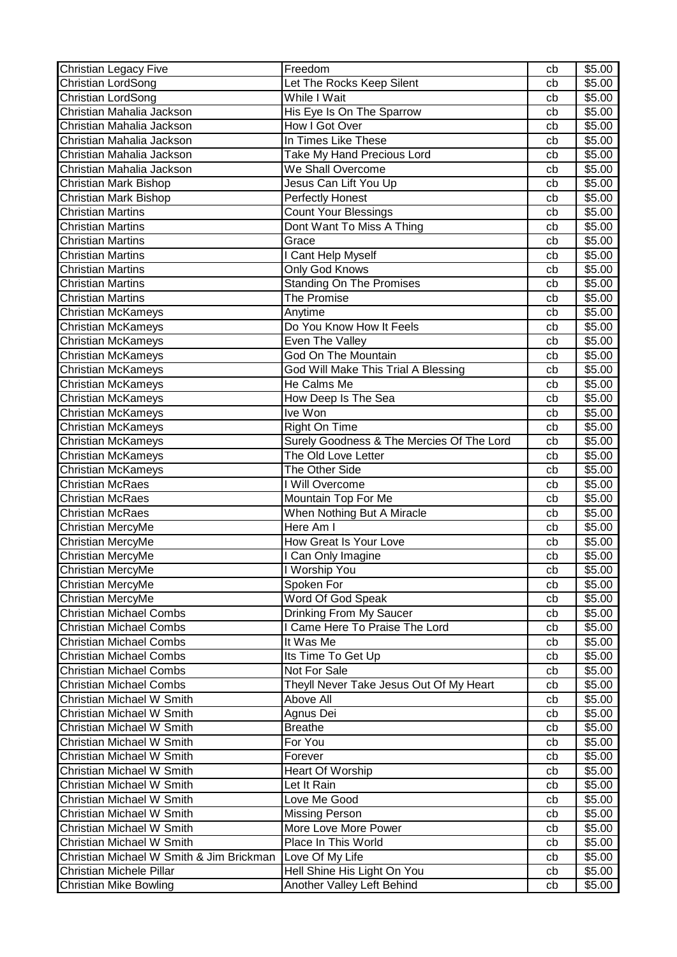| Christian Legacy Five                    | Freedom                                   | cb | \$5.00             |
|------------------------------------------|-------------------------------------------|----|--------------------|
| Christian LordSong                       | Let The Rocks Keep Silent                 | cb | \$5.00             |
| Christian LordSong                       | While I Wait                              | cb | \$5.00             |
| Christian Mahalia Jackson                | His Eye Is On The Sparrow                 | cb | $\overline{$}5.00$ |
| Christian Mahalia Jackson                | How I Got Over                            | cb | \$5.00             |
| Christian Mahalia Jackson                | In Times Like These                       | cb | \$5.00             |
| Christian Mahalia Jackson                | Take My Hand Precious Lord                | cb | \$5.00             |
| Christian Mahalia Jackson                | We Shall Overcome                         | cb | \$5.00             |
| Christian Mark Bishop                    | Jesus Can Lift You Up                     | cb | \$5.00             |
| Christian Mark Bishop                    | Perfectly Honest                          | cb | \$5.00             |
| <b>Christian Martins</b>                 | <b>Count Your Blessings</b>               | cb | \$5.00             |
| <b>Christian Martins</b>                 | Dont Want To Miss A Thing                 | cb | \$5.00             |
| <b>Christian Martins</b>                 | Grace                                     | cb | \$5.00             |
| <b>Christian Martins</b>                 | I Cant Help Myself                        | cb | \$5.00             |
| <b>Christian Martins</b>                 | Only God Knows                            | cb | \$5.00             |
| <b>Christian Martins</b>                 | <b>Standing On The Promises</b>           | cb | \$5.00             |
| <b>Christian Martins</b>                 | <b>The Promise</b>                        | cb | \$5.00             |
| <b>Christian McKameys</b>                | Anytime                                   | cb | \$5.00             |
| <b>Christian McKameys</b>                | Do You Know How It Feels                  | cb | \$5.00             |
| <b>Christian McKameys</b>                | <b>Even The Valley</b>                    | cb | \$5.00             |
| Christian McKameys                       | <b>God On The Mountain</b>                | cb | \$5.00             |
| Christian McKameys                       | God Will Make This Trial A Blessing       | cb | \$5.00             |
| Christian McKameys                       | He Calms Me                               | cb | \$5.00             |
| <b>Christian McKameys</b>                | How Deep Is The Sea                       | cb | \$5.00             |
| <b>Christian McKameys</b>                | Ive Won                                   | cb | \$5.00             |
| <b>Christian McKameys</b>                | Right On Time                             | cb | \$5.00             |
| <b>Christian McKameys</b>                | Surely Goodness & The Mercies Of The Lord | cb | \$5.00             |
| <b>Christian McKameys</b>                | The Old Love Letter                       | cb | \$5.00             |
| Christian McKameys                       | The Other Side                            | cb | \$5.00             |
| <b>Christian McRaes</b>                  | I Will Overcome                           | cb | \$5.00             |
| Christian McRaes                         | Mountain Top For Me                       | cb | \$5.00             |
| Christian McRaes                         | When Nothing But A Miracle                | cb | \$5.00             |
| Christian MercyMe                        | Here Am I                                 | cb | \$5.00             |
| Christian MercyMe                        | How Great Is Your Love                    | cb | \$5.00             |
| Christian MercyMe                        | I Can Only Imagine                        | cb | \$5.00             |
| Christian MercyMe                        | I Worship You                             | cb | \$5.00             |
| Christian MercyMe                        | Spoken For                                | cb | \$5.00             |
| Christian MercyMe                        | Word Of God Speak                         | cb | \$5.00             |
| <b>Christian Michael Combs</b>           | Drinking From My Saucer                   | cb | \$5.00             |
| <b>Christian Michael Combs</b>           | I Came Here To Praise The Lord            | cb | \$5.00             |
| <b>Christian Michael Combs</b>           | It Was Me                                 | cb | \$5.00             |
| <b>Christian Michael Combs</b>           | Its Time To Get Up                        | cb | \$5.00             |
| <b>Christian Michael Combs</b>           | Not For Sale                              | cb | \$5.00             |
| <b>Christian Michael Combs</b>           | Theyll Never Take Jesus Out Of My Heart   | cb | \$5.00             |
| Christian Michael W Smith                | Above All                                 | cb | \$5.00             |
| Christian Michael W Smith                | Agnus Dei                                 | cb | \$5.00             |
| Christian Michael W Smith                | <b>Breathe</b>                            | cb | \$5.00             |
| Christian Michael W Smith                | For You                                   | cb | \$5.00             |
| Christian Michael W Smith                | Forever                                   | cb | \$5.00             |
| Christian Michael W Smith                | Heart Of Worship                          | cb | \$5.00             |
| Christian Michael W Smith                | Let It Rain                               | cb | \$5.00             |
| Christian Michael W Smith                | Love Me Good                              | cb | \$5.00             |
| Christian Michael W Smith                | <b>Missing Person</b>                     | cb | \$5.00             |
| Christian Michael W Smith                | More Love More Power                      | cb | \$5.00             |
| Christian Michael W Smith                | Place In This World                       | cb | \$5.00             |
| Christian Michael W Smith & Jim Brickman | Love Of My Life                           | cb | \$5.00             |
| Christian Michele Pillar                 | Hell Shine His Light On You               | cb | \$5.00             |
| Christian Mike Bowling                   | Another Valley Left Behind                | cb | \$5.00             |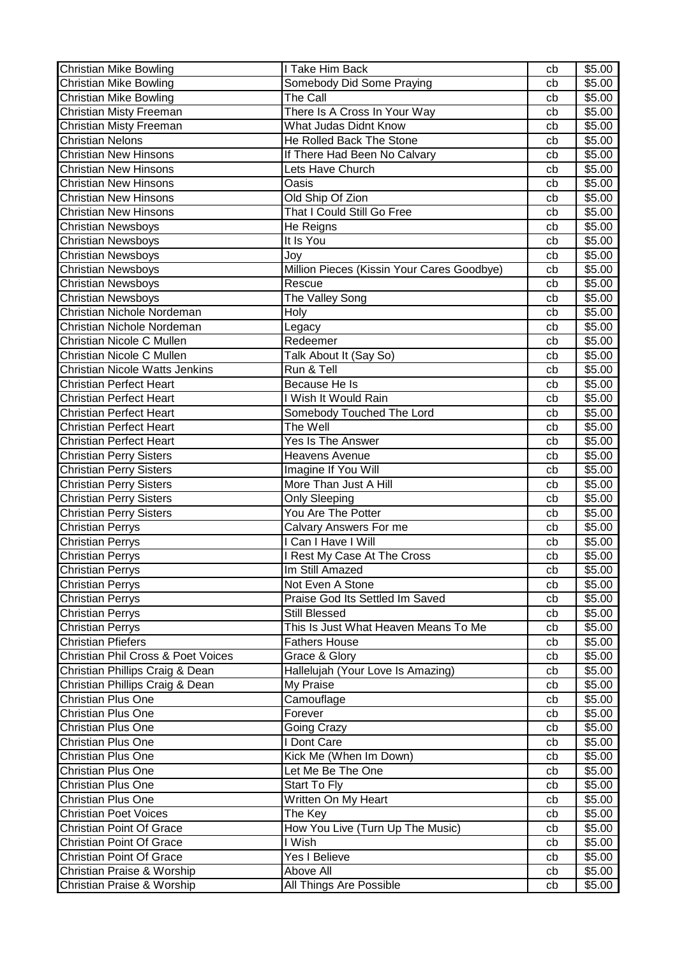| Christian Mike Bowling                        | I Take Him Back                            | cb | \$5.00 |
|-----------------------------------------------|--------------------------------------------|----|--------|
| <b>Christian Mike Bowling</b>                 | Somebody Did Some Praying                  | cb | \$5.00 |
| Christian Mike Bowling                        | The Call                                   | cb | \$5.00 |
| Christian Misty Freeman                       | There Is A Cross In Your Way               | cb | \$5.00 |
| Christian Misty Freeman                       | What Judas Didnt Know                      | cb | \$5.00 |
| <b>Christian Nelons</b>                       | He Rolled Back The Stone                   | cb | \$5.00 |
| <b>Christian New Hinsons</b>                  | If There Had Been No Calvary               | cb | \$5.00 |
| <b>Christian New Hinsons</b>                  | Lets Have Church                           | cb | \$5.00 |
| <b>Christian New Hinsons</b>                  | Oasis                                      | cb | \$5.00 |
| <b>Christian New Hinsons</b>                  | Old Ship Of Zion                           | cb | \$5.00 |
| <b>Christian New Hinsons</b>                  | That I Could Still Go Free                 | cb | \$5.00 |
| <b>Christian Newsboys</b>                     | He Reigns                                  | cb | \$5.00 |
| <b>Christian Newsboys</b>                     | It Is You                                  | cb | \$5.00 |
| Christian Newsboys                            | Joy                                        | cb | \$5.00 |
| <b>Christian Newsboys</b>                     | Million Pieces (Kissin Your Cares Goodbye) | cb | \$5.00 |
| <b>Christian Newsboys</b>                     | Rescue                                     | cb | \$5.00 |
| <b>Christian Newsboys</b>                     | The Valley Song                            | cb | \$5.00 |
| Christian Nichole Nordeman                    | <b>Holy</b>                                | cb | \$5.00 |
| Christian Nichole Nordeman                    | Legacy                                     | cb | \$5.00 |
| Christian Nicole C Mullen                     | Redeemer                                   | cb | \$5.00 |
| Christian Nicole C Mullen                     | Talk About It (Say So)                     | cb | \$5.00 |
| <b>Christian Nicole Watts Jenkins</b>         | Run & Tell                                 | cb | \$5.00 |
| Christian Perfect Heart                       | Because He Is                              | cb | \$5.00 |
| <b>Christian Perfect Heart</b>                | I Wish It Would Rain                       | cb | \$5.00 |
| <b>Christian Perfect Heart</b>                | Somebody Touched The Lord                  | cb | \$5.00 |
| <b>Christian Perfect Heart</b>                | The Well                                   | cb | \$5.00 |
| <b>Christian Perfect Heart</b>                | Yes Is The Answer                          | cb | \$5.00 |
| <b>Christian Perry Sisters</b>                | <b>Heavens Avenue</b>                      | cb | \$5.00 |
| <b>Christian Perry Sisters</b>                | Imagine If You Will                        | cb | \$5.00 |
| <b>Christian Perry Sisters</b>                | More Than Just A Hill                      | cb | \$5.00 |
| <b>Christian Perry Sisters</b>                | Only Sleeping                              | cb | \$5.00 |
| <b>Christian Perry Sisters</b>                | You Are The Potter                         | cb | \$5.00 |
| <b>Christian Perrys</b>                       | Calvary Answers For me                     | cb | \$5.00 |
| <b>Christian Perrys</b>                       | I Can I Have I Will                        | cb | \$5.00 |
| <b>Christian Perrys</b>                       | <b>Rest My Case At The Cross</b>           | cb | \$5.00 |
| <b>Christian Perrys</b>                       | Im Still Amazed                            | cb | \$5.00 |
| <b>Christian Perrys</b>                       | Not Even A Stone                           | cb | \$5.00 |
| <b>Christian Perrys</b>                       | Praise God Its Settled Im Saved            | cb | \$5.00 |
| <b>Christian Perrys</b>                       | Still Blessed                              | cb | \$5.00 |
| <b>Christian Perrys</b>                       | This Is Just What Heaven Means To Me       | cb | \$5.00 |
| <b>Christian Pfiefers</b>                     | <b>Fathers House</b>                       | cb | \$5.00 |
| <b>Christian Phil Cross &amp; Poet Voices</b> | Grace & Glory                              | cb | \$5.00 |
| Christian Phillips Craig & Dean               | Hallelujah (Your Love Is Amazing)          | cb | \$5.00 |
| Christian Phillips Craig & Dean               | My Praise                                  | cb | \$5.00 |
| Christian Plus One                            | Camouflage                                 | cb | \$5.00 |
| <b>Christian Plus One</b>                     | Forever                                    | cb | \$5.00 |
| <b>Christian Plus One</b>                     | Going Crazy                                | cb | \$5.00 |
| <b>Christian Plus One</b>                     | I Dont Care                                | cb | \$5.00 |
| <b>Christian Plus One</b>                     | Kick Me (When Im Down)                     | cb | \$5.00 |
| <b>Christian Plus One</b>                     | Let Me Be The One                          | cb | \$5.00 |
| <b>Christian Plus One</b>                     | Start To Fly                               | cb | \$5.00 |
| <b>Christian Plus One</b>                     | Written On My Heart                        | cb | \$5.00 |
| <b>Christian Poet Voices</b>                  | The Key                                    | cb | \$5.00 |
| <b>Christian Point Of Grace</b>               | How You Live (Turn Up The Music)           | cb | \$5.00 |
| Christian Point Of Grace                      | I Wish                                     | cb | \$5.00 |
| Christian Point Of Grace                      | Yes I Believe                              | cb | \$5.00 |
| Christian Praise & Worship                    | Above All                                  | cb | \$5.00 |
| Christian Praise & Worship                    | All Things Are Possible                    | cb | \$5.00 |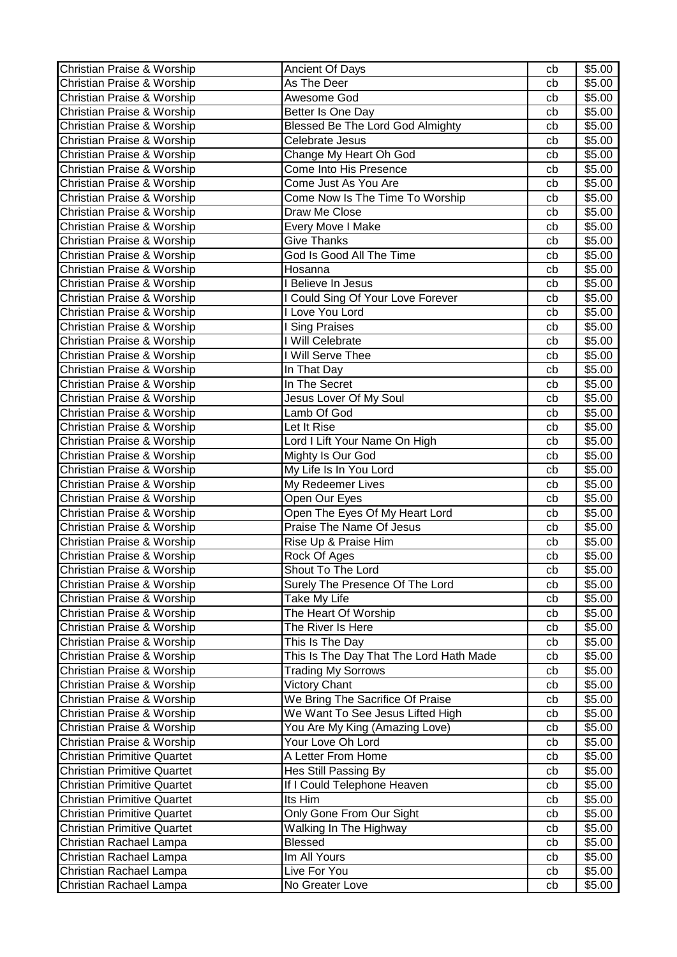| Christian Praise & Worship         | <b>Ancient Of Days</b>                  | cb | \$5.00 |
|------------------------------------|-----------------------------------------|----|--------|
| Christian Praise & Worship         | As The Deer                             | cb | \$5.00 |
| Christian Praise & Worship         | Awesome God                             | cb | \$5.00 |
| Christian Praise & Worship         | Better Is One Day                       | cb | \$5.00 |
| Christian Praise & Worship         | <b>Blessed Be The Lord God Almighty</b> | cb | \$5.00 |
| Christian Praise & Worship         | Celebrate Jesus                         | cb | \$5.00 |
| Christian Praise & Worship         | Change My Heart Oh God                  | cb | \$5.00 |
| Christian Praise & Worship         | Come Into His Presence                  | cb | \$5.00 |
| Christian Praise & Worship         | Come Just As You Are                    | cb | \$5.00 |
| Christian Praise & Worship         | Come Now Is The Time To Worship         | cb | \$5.00 |
| Christian Praise & Worship         | Draw Me Close                           | cb | \$5.00 |
| Christian Praise & Worship         | <b>Every Move I Make</b>                | cb | \$5.00 |
| Christian Praise & Worship         | Give Thanks                             | cb | \$5.00 |
| Christian Praise & Worship         | God Is Good All The Time                | cb | \$5.00 |
| Christian Praise & Worship         | Hosanna                                 | cb | \$5.00 |
| Christian Praise & Worship         | I Believe In Jesus                      | cb | \$5.00 |
| Christian Praise & Worship         | I Could Sing Of Your Love Forever       | cb | \$5.00 |
| Christian Praise & Worship         | I Love You Lord                         | cb | \$5.00 |
| Christian Praise & Worship         | I Sing Praises                          | cb | \$5.00 |
| Christian Praise & Worship         | I Will Celebrate                        | cb | \$5.00 |
| Christian Praise & Worship         | I Will Serve Thee                       | cb | \$5.00 |
| Christian Praise & Worship         | In That Day                             | cb | \$5.00 |
| Christian Praise & Worship         | In The Secret                           | cb | \$5.00 |
| Christian Praise & Worship         | Jesus Lover Of My Soul                  | cb | \$5.00 |
| Christian Praise & Worship         | Lamb Of God                             | cb | \$5.00 |
| Christian Praise & Worship         | Let It Rise                             | cb | \$5.00 |
| Christian Praise & Worship         | Lord I Lift Your Name On High           | cb | \$5.00 |
| Christian Praise & Worship         | Mighty Is Our God                       | cb | \$5.00 |
| Christian Praise & Worship         | My Life Is In You Lord                  | cb | \$5.00 |
| Christian Praise & Worship         | My Redeemer Lives                       | cb | \$5.00 |
| Christian Praise & Worship         | Open Our Eyes                           | cb | \$5.00 |
| Christian Praise & Worship         | Open The Eyes Of My Heart Lord          | cb | \$5.00 |
| Christian Praise & Worship         | Praise The Name Of Jesus                | cb | \$5.00 |
| Christian Praise & Worship         | Rise Up & Praise Him                    | cb | \$5.00 |
| Christian Praise & Worship         | Rock Of Ages                            | cb | \$5.00 |
| Christian Praise & Worship         | Shout To The Lord                       | cb | \$5.00 |
| Christian Praise & Worship         | Surely The Presence Of The Lord         | cb | \$5.00 |
| Christian Praise & Worship         | Take My Life                            | cb | \$5.00 |
| Christian Praise & Worship         | The Heart Of Worship                    | cb | \$5.00 |
| Christian Praise & Worship         | The River Is Here                       | cb | \$5.00 |
| Christian Praise & Worship         | This Is The Day                         | cb | \$5.00 |
| Christian Praise & Worship         | This Is The Day That The Lord Hath Made | cb | \$5.00 |
| Christian Praise & Worship         | <b>Trading My Sorrows</b>               | cb | \$5.00 |
| Christian Praise & Worship         | <b>Victory Chant</b>                    | cb | \$5.00 |
| Christian Praise & Worship         | We Bring The Sacrifice Of Praise        | cb | \$5.00 |
| Christian Praise & Worship         | We Want To See Jesus Lifted High        | cb | \$5.00 |
| Christian Praise & Worship         | You Are My King (Amazing Love)          | cb | \$5.00 |
| Christian Praise & Worship         | Your Love Oh Lord                       | cb | \$5.00 |
| <b>Christian Primitive Quartet</b> | A Letter From Home                      | cb | \$5.00 |
| <b>Christian Primitive Quartet</b> | Hes Still Passing By                    | cb | \$5.00 |
| <b>Christian Primitive Quartet</b> | If I Could Telephone Heaven             | cb | \$5.00 |
| <b>Christian Primitive Quartet</b> | Its Him                                 | cb | \$5.00 |
| <b>Christian Primitive Quartet</b> | Only Gone From Our Sight                | cb | \$5.00 |
| <b>Christian Primitive Quartet</b> | Walking In The Highway                  | cb | \$5.00 |
| Christian Rachael Lampa            | <b>Blessed</b>                          | cb | \$5.00 |
| Christian Rachael Lampa            | Im All Yours                            | cb | \$5.00 |
| Christian Rachael Lampa            | Live For You                            | cb | \$5.00 |
| Christian Rachael Lampa            | No Greater Love                         | cb | \$5.00 |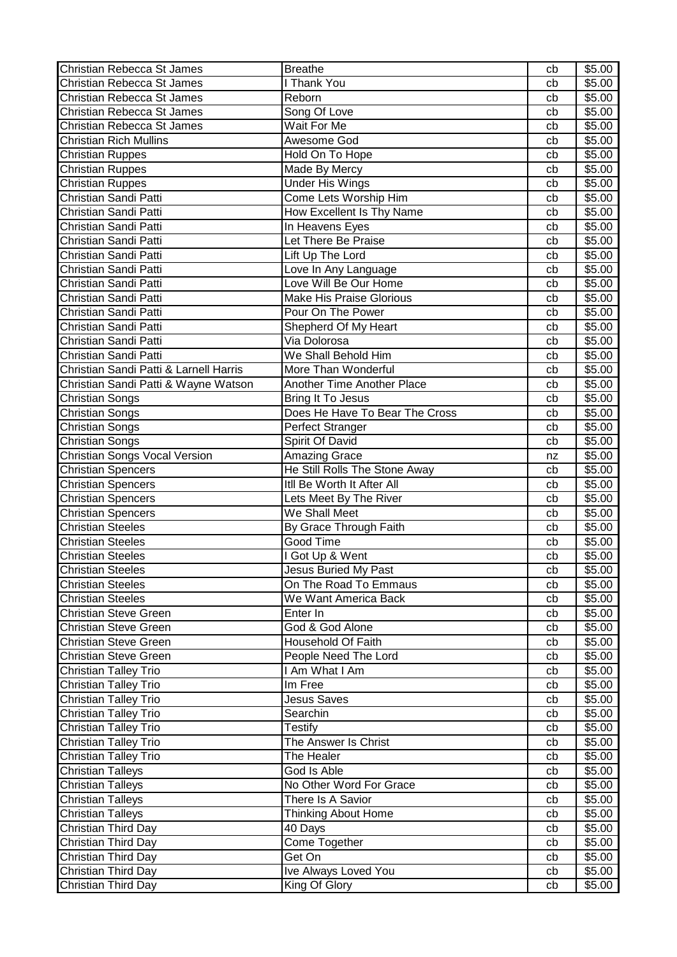| Christian Rebecca St James             | <b>Breathe</b>                                | cb | \$5.00 |
|----------------------------------------|-----------------------------------------------|----|--------|
| Christian Rebecca St James             | I Thank You                                   | cb | \$5.00 |
| Christian Rebecca St James             | Reborn                                        | cb | \$5.00 |
| Christian Rebecca St James             | Song Of Love                                  | cb | \$5.00 |
| Christian Rebecca St James             | Wait For Me                                   | cb | \$5.00 |
| <b>Christian Rich Mullins</b>          | Awesome God                                   | cb | \$5.00 |
| <b>Christian Ruppes</b>                | Hold On To Hope                               | cb | \$5.00 |
| <b>Christian Ruppes</b>                | Made By Mercy                                 | cb | \$5.00 |
| <b>Christian Ruppes</b>                | <b>Under His Wings</b>                        | cb | \$5.00 |
| Christian Sandi Patti                  | Come Lets Worship Him                         | cb | \$5.00 |
| Christian Sandi Patti                  | How Excellent Is Thy Name                     | cb | \$5.00 |
| Christian Sandi Patti                  | In Heavens Eyes                               | cb | \$5.00 |
| Christian Sandi Patti                  | Let There Be Praise                           | cb | \$5.00 |
| Christian Sandi Patti                  | Lift Up The Lord                              | cb | \$5.00 |
| Christian Sandi Patti                  |                                               |    | \$5.00 |
|                                        | Love In Any Language<br>Love Will Be Our Home | cb |        |
| Christian Sandi Patti                  |                                               | cb | \$5.00 |
| Christian Sandi Patti                  | <b>Make His Praise Glorious</b>               | cb | \$5.00 |
| Christian Sandi Patti                  | Pour On The Power                             | cb | \$5.00 |
| Christian Sandi Patti                  | Shepherd Of My Heart                          | cb | \$5.00 |
| Christian Sandi Patti                  | Via Dolorosa                                  | cb | \$5.00 |
| Christian Sandi Patti                  | We Shall Behold Him                           | cb | \$5.00 |
| Christian Sandi Patti & Larnell Harris | More Than Wonderful                           | cb | \$5.00 |
| Christian Sandi Patti & Wayne Watson   | Another Time Another Place                    | cb | \$5.00 |
| Christian Songs                        | Bring It To Jesus                             | cb | \$5.00 |
| Christian Songs                        | Does He Have To Bear The Cross                | cb | \$5.00 |
| <b>Christian Songs</b>                 | Perfect Stranger                              | cb | \$5.00 |
| Christian Songs                        | Spirit Of David                               | cb | \$5.00 |
| <b>Christian Songs Vocal Version</b>   | <b>Amazing Grace</b>                          | nz | \$5.00 |
| <b>Christian Spencers</b>              | He Still Rolls The Stone Away                 | cb | \$5.00 |
| <b>Christian Spencers</b>              | Itll Be Worth It After All                    | cb | \$5.00 |
| <b>Christian Spencers</b>              | Lets Meet By The River                        | cb | \$5.00 |
| <b>Christian Spencers</b>              | We Shall Meet                                 | cb | \$5.00 |
| <b>Christian Steeles</b>               | By Grace Through Faith                        | cb | \$5.00 |
| <b>Christian Steeles</b>               | Good Time                                     | cb | \$5.00 |
| <b>Christian Steeles</b>               | I Got Up & Went                               | cb | \$5.00 |
| <b>Christian Steeles</b>               | Jesus Buried My Past                          | cb | \$5.00 |
| <b>Christian Steeles</b>               | On The Road To Emmaus                         | cb | \$5.00 |
| <b>Christian Steeles</b>               | We Want America Back                          | cb | \$5.00 |
| <b>Christian Steve Green</b>           | Enter In                                      | cb | \$5.00 |
| <b>Christian Steve Green</b>           | God & God Alone                               | cb | \$5.00 |
| <b>Christian Steve Green</b>           | Household Of Faith                            | cb | \$5.00 |
| <b>Christian Steve Green</b>           | People Need The Lord                          | cb | \$5.00 |
| <b>Christian Talley Trio</b>           | I Am What I Am                                | cb | \$5.00 |
| <b>Christian Talley Trio</b>           | Im Free                                       | cb | \$5.00 |
| Christian Talley Trio                  | <b>Jesus Saves</b>                            | cb | \$5.00 |
| <b>Christian Talley Trio</b>           | Searchin                                      | cb | \$5.00 |
|                                        | Testify                                       |    | \$5.00 |
| <b>Christian Talley Trio</b>           |                                               | cb |        |
| Christian Talley Trio                  | The Answer Is Christ                          | cb | \$5.00 |
| Christian Talley Trio                  | The Healer                                    | cb | \$5.00 |
| <b>Christian Talleys</b>               | God Is Able                                   | cb | \$5.00 |
| <b>Christian Talleys</b>               | No Other Word For Grace                       | cb | \$5.00 |
| <b>Christian Talleys</b>               | There Is A Savior                             | cb | \$5.00 |
| <b>Christian Talleys</b>               | <b>Thinking About Home</b>                    | cb | \$5.00 |
| Christian Third Day                    | 40 Days                                       | cb | \$5.00 |
| Christian Third Day                    | <b>Come Together</b>                          | cb | \$5.00 |
| Christian Third Day                    | Get On                                        | cb | \$5.00 |
| Christian Third Day                    | Ive Always Loved You                          | cb | \$5.00 |
| Christian Third Day                    | King Of Glory                                 | cb | \$5.00 |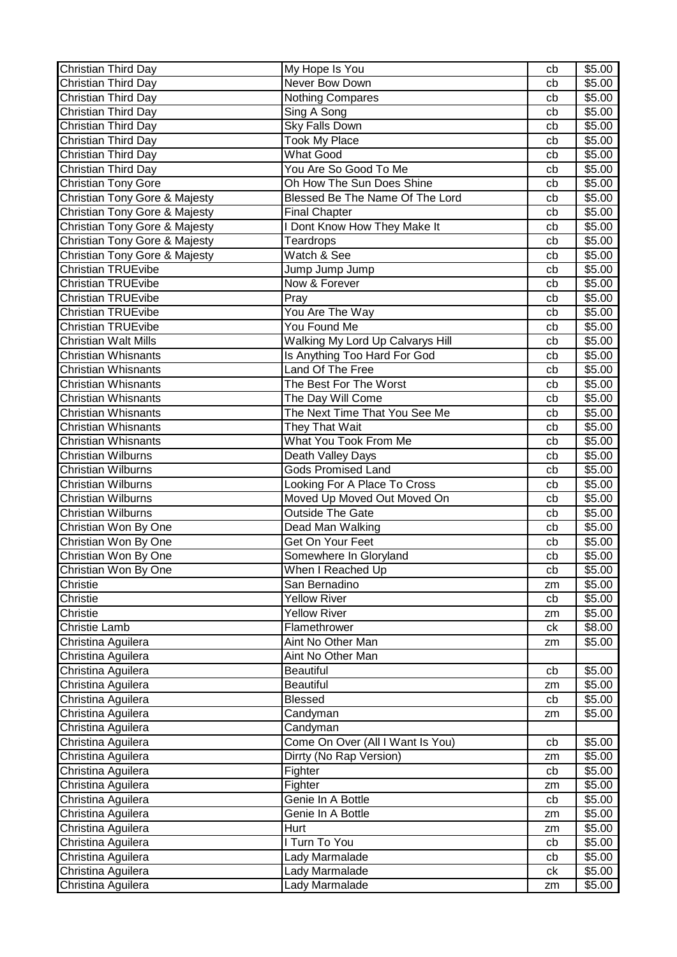| Christian Third Day           | My Hope Is You                   | cb | \$5.00             |
|-------------------------------|----------------------------------|----|--------------------|
| Christian Third Day           | Never Bow Down                   | cb | \$5.00             |
| Christian Third Day           | <b>Nothing Compares</b>          | cb | \$5.00             |
| Christian Third Day           | Sing A Song                      | cb | $\overline{$}5.00$ |
| Christian Third Day           | Sky Falls Down                   | cb | \$5.00             |
| Christian Third Day           | <b>Took My Place</b>             | cb | \$5.00             |
| Christian Third Day           | <b>What Good</b>                 | cb | \$5.00             |
| Christian Third Day           | You Are So Good To Me            | cb | \$5.00             |
| Christian Tony Gore           | Oh How The Sun Does Shine        | cb | \$5.00             |
| Christian Tony Gore & Majesty | Blessed Be The Name Of The Lord  | cb | \$5.00             |
| Christian Tony Gore & Majesty | <b>Final Chapter</b>             | cb | \$5.00             |
| Christian Tony Gore & Majesty | I Dont Know How They Make It     | cb | \$5.00             |
| Christian Tony Gore & Majesty | Teardrops                        | cb | \$5.00             |
| Christian Tony Gore & Majesty | Watch & See                      | cb | \$5.00             |
| <b>Christian TRUEvibe</b>     | Jump Jump Jump                   | cb | \$5.00             |
| <b>Christian TRUEvibe</b>     | Now & Forever                    | cb | \$5.00             |
| <b>Christian TRUEvibe</b>     | Pray                             | cb | \$5.00             |
| <b>Christian TRUEvibe</b>     | You Are The Way                  | cb | \$5.00             |
| <b>Christian TRUEvibe</b>     | You Found Me                     | cb | \$5.00             |
| <b>Christian Walt Mills</b>   | Walking My Lord Up Calvarys Hill | cb | \$5.00             |
| <b>Christian Whisnants</b>    | Is Anything Too Hard For God     | cb | \$5.00             |
| <b>Christian Whisnants</b>    | Land Of The Free                 | cb | \$5.00             |
| <b>Christian Whisnants</b>    | The Best For The Worst           | cb | \$5.00             |
| <b>Christian Whisnants</b>    | The Day Will Come                | cb | \$5.00             |
| <b>Christian Whisnants</b>    | The Next Time That You See Me    | cb | \$5.00             |
| <b>Christian Whisnants</b>    | They That Wait                   | cb | \$5.00             |
| <b>Christian Whisnants</b>    | What You Took From Me            | cb | \$5.00             |
| Christian Wilburns            | Death Valley Days                | cb | \$5.00             |
| <b>Christian Wilburns</b>     | <b>Gods Promised Land</b>        | cb | \$5.00             |
| <b>Christian Wilburns</b>     | Looking For A Place To Cross     | cb | \$5.00             |
| Christian Wilburns            | Moved Up Moved Out Moved On      | cb | \$5.00             |
| <b>Christian Wilburns</b>     | <b>Outside The Gate</b>          | cb | \$5.00             |
| Christian Won By One          | Dead Man Walking                 | cb | \$5.00             |
| Christian Won By One          | Get On Your Feet                 | cb | \$5.00             |
| Christian Won By One          | Somewhere In Gloryland           | cb | \$5.00             |
| Christian Won By One          | When I Reached Up                | cb | \$5.00             |
| Christie                      | San Bernadino                    | zm | \$5.00             |
| Christie                      | <b>Yellow River</b>              | cb | \$5.00             |
| Christie                      | <b>Yellow River</b>              | zm | \$5.00             |
| <b>Christie Lamb</b>          | Flamethrower                     | ck | \$8.00             |
| Christina Aguilera            | Aint No Other Man                | zm | \$5.00             |
| Christina Aguilera            | Aint No Other Man                |    |                    |
| Christina Aguilera            | <b>Beautiful</b>                 | cb | \$5.00             |
| Christina Aguilera            | <b>Beautiful</b>                 | zm | \$5.00             |
| Christina Aguilera            | <b>Blessed</b>                   | cb | \$5.00             |
| Christina Aguilera            | Candyman                         | zm | \$5.00             |
| Christina Aguilera            | Candyman                         |    |                    |
| Christina Aguilera            | Come On Over (All I Want Is You) | cb | \$5.00             |
| Christina Aguilera            | Dirrty (No Rap Version)          | zm | \$5.00             |
| Christina Aguilera            | Fighter                          | cb | \$5.00             |
| Christina Aguilera            | Fighter                          | zm | \$5.00             |
| Christina Aguilera            | Genie In A Bottle                | cb | \$5.00             |
| Christina Aguilera            | Genie In A Bottle                | zm | \$5.00             |
| Christina Aguilera            | Hurt                             | zm | \$5.00             |
| Christina Aguilera            | I Turn To You                    | cb | \$5.00             |
| Christina Aguilera            | Lady Marmalade                   | cb | \$5.00             |
| Christina Aguilera            | Lady Marmalade                   | ck | \$5.00             |
| Christina Aguilera            | Lady Marmalade                   | zm | \$5.00             |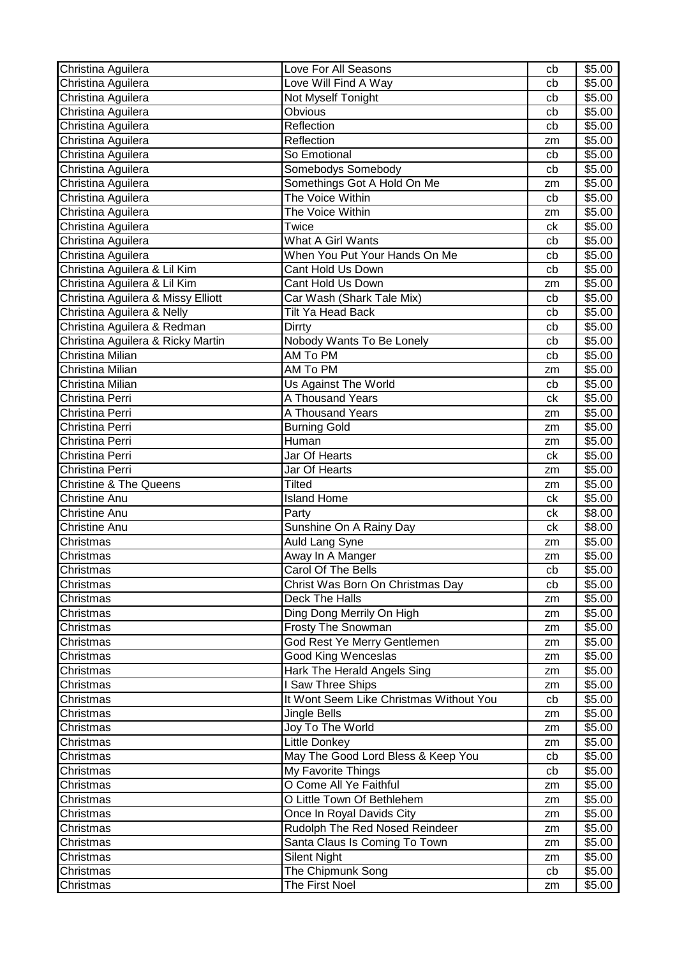| Christina Aguilera                 | Love For All Seasons                    | cb | \$5.00 |
|------------------------------------|-----------------------------------------|----|--------|
| Christina Aguilera                 | Love Will Find A Way                    | cb | \$5.00 |
| Christina Aguilera                 | Not Myself Tonight                      | cb | \$5.00 |
| Christina Aguilera                 | Obvious                                 | cb | \$5.00 |
| Christina Aguilera                 | Reflection                              | cb | \$5.00 |
| Christina Aguilera                 | Reflection                              | zm | \$5.00 |
| Christina Aguilera                 | So Emotional                            | cb | \$5.00 |
| Christina Aguilera                 | Somebodys Somebody                      | cb | \$5.00 |
| Christina Aguilera                 | Somethings Got A Hold On Me             | zm | \$5.00 |
| Christina Aguilera                 | The Voice Within                        | cb | \$5.00 |
| Christina Aguilera                 | The Voice Within                        | zm | \$5.00 |
| Christina Aguilera                 | Twice                                   | ck | \$5.00 |
| Christina Aguilera                 | What A Girl Wants                       | cb | \$5.00 |
| Christina Aguilera                 | When You Put Your Hands On Me           | cb | \$5.00 |
| Christina Aguilera & Lil Kim       | Cant Hold Us Down                       | cb | \$5.00 |
| Christina Aguilera & Lil Kim       | Cant Hold Us Down                       | zm | \$5.00 |
| Christina Aguilera & Missy Elliott | Car Wash (Shark Tale Mix)               | cb | \$5.00 |
| Christina Aguilera & Nelly         | Tilt Ya Head Back                       | cb | \$5.00 |
| Christina Aguilera & Redman        | Dirrty                                  | cb | \$5.00 |
| Christina Aguilera & Ricky Martin  | Nobody Wants To Be Lonely               | cb | \$5.00 |
| Christina Milian                   | AM To PM                                | cb | \$5.00 |
| Christina Milian                   | AM To PM                                | zm | \$5.00 |
| Christina Milian                   | Us Against The World                    | cb | \$5.00 |
| Christina Perri                    | A Thousand Years                        | ck | \$5.00 |
| Christina Perri                    | A Thousand Years                        | zm | \$5.00 |
| Christina Perri                    | <b>Burning Gold</b>                     | zm | \$5.00 |
| Christina Perri                    | Human                                   | zm | \$5.00 |
| Christina Perri                    | Jar Of Hearts                           | ck | \$5.00 |
| Christina Perri                    | Jar Of Hearts                           | zm | \$5.00 |
| <b>Christine &amp; The Queens</b>  | Tilted                                  | zm | \$5.00 |
| <b>Christine Anu</b>               | <b>Island Home</b>                      | ck | \$5.00 |
| <b>Christine Anu</b>               | Party                                   | ck | \$8.00 |
| <b>Christine Anu</b>               | Sunshine On A Rainy Day                 | ck | \$8.00 |
| Christmas                          | <b>Auld Lang Syne</b>                   | zm | \$5.00 |
| Christmas                          | Away In A Manger                        | zm | \$5.00 |
| Christmas                          | Carol Of The Bells                      | cb | \$5.00 |
| Christmas                          | Christ Was Born On Christmas Day        | cb | \$5.00 |
| Christmas                          | Deck The Halls                          | zm | \$5.00 |
| Christmas                          | Ding Dong Merrily On High               | zm | \$5.00 |
| Christmas                          | <b>Frosty The Snowman</b>               | zm | \$5.00 |
| Christmas                          | God Rest Ye Merry Gentlemen             | zm | \$5.00 |
| Christmas                          | <b>Good King Wenceslas</b>              | zm | \$5.00 |
| Christmas                          | Hark The Herald Angels Sing             | zm | \$5.00 |
| Christmas                          | <b>Saw Three Ships</b>                  | zm | \$5.00 |
| Christmas                          | It Wont Seem Like Christmas Without You | cb | \$5.00 |
| Christmas                          | Jingle Bells                            | zm | \$5.00 |
| Christmas                          | Joy To The World                        | zm | \$5.00 |
| Christmas                          | Little Donkey                           | zm | \$5.00 |
| Christmas                          | May The Good Lord Bless & Keep You      | cb | \$5.00 |
| Christmas                          | My Favorite Things                      | cb | \$5.00 |
| Christmas                          | O Come All Ye Faithful                  | zm | \$5.00 |
| Christmas                          | O Little Town Of Bethlehem              | zm | \$5.00 |
| Christmas                          | Once In Royal Davids City               | zm | \$5.00 |
| Christmas                          | Rudolph The Red Nosed Reindeer          | zm | \$5.00 |
| Christmas                          | Santa Claus Is Coming To Town           | zm | \$5.00 |
| Christmas                          | <b>Silent Night</b>                     | zm | \$5.00 |
| Christmas                          | The Chipmunk Song                       | cb | \$5.00 |
| Christmas                          | The First Noel                          | zm | \$5.00 |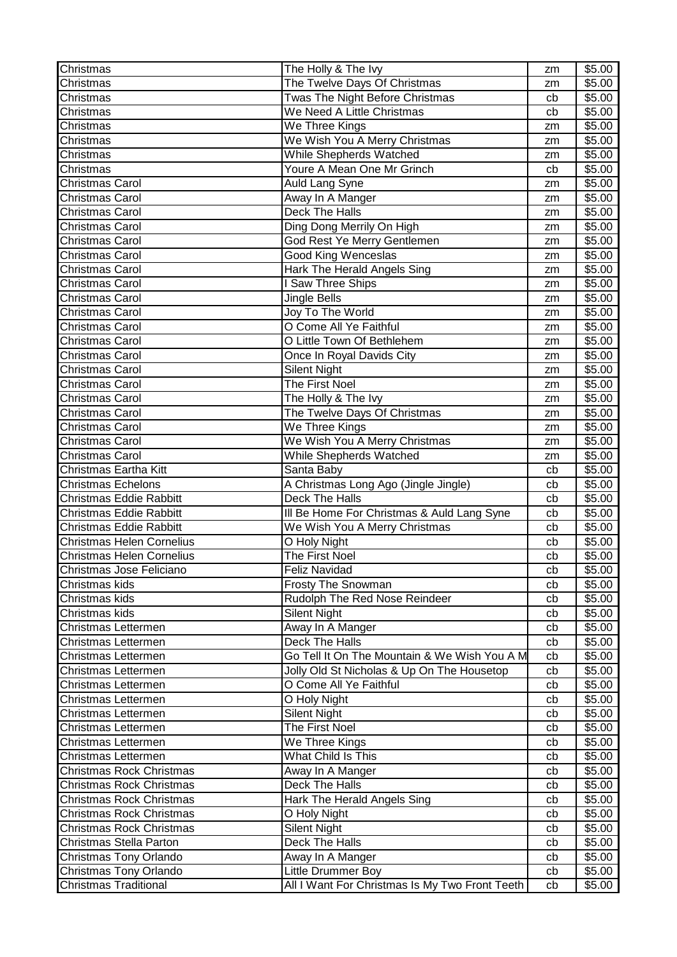| Christmas                        | The Holly & The Ivy                            | zm | \$5.00 |
|----------------------------------|------------------------------------------------|----|--------|
| Christmas                        | The Twelve Days Of Christmas                   | zm | \$5.00 |
| Christmas                        | Twas The Night Before Christmas                | cb | \$5.00 |
| Christmas                        | We Need A Little Christmas                     | cb | \$5.00 |
| Christmas                        | We Three Kings                                 | zm | \$5.00 |
| Christmas                        | We Wish You A Merry Christmas                  | zm | \$5.00 |
| Christmas                        | While Shepherds Watched                        | zm | \$5.00 |
| Christmas                        | Youre A Mean One Mr Grinch                     | cb | \$5.00 |
| Christmas Carol                  | Auld Lang Syne                                 | zm | \$5.00 |
| Christmas Carol                  | Away In A Manger                               | zm | \$5.00 |
| Christmas Carol                  | Deck The Halls                                 | zm | \$5.00 |
| Christmas Carol                  | Ding Dong Merrily On High                      | zm | \$5.00 |
| <b>Christmas Carol</b>           | God Rest Ye Merry Gentlemen                    | zm | \$5.00 |
| <b>Christmas Carol</b>           | <b>Good King Wenceslas</b>                     | zm | \$5.00 |
| <b>Christmas Carol</b>           | <b>Hark The Herald Angels Sing</b>             | zm | \$5.00 |
| <b>Christmas Carol</b>           | I Saw Three Ships                              | zm | \$5.00 |
| <b>Christmas Carol</b>           | Jingle Bells                                   | zm | \$5.00 |
| <b>Christmas Carol</b>           | Joy To The World                               | zm | \$5.00 |
| <b>Christmas Carol</b>           | O Come All Ye Faithful                         | zm | \$5.00 |
| <b>Christmas Carol</b>           | O Little Town Of Bethlehem                     | zm | \$5.00 |
| Christmas Carol                  | Once In Royal Davids City                      | zm | \$5.00 |
| Christmas Carol                  | <b>Silent Night</b>                            | zm | \$5.00 |
| Christmas Carol                  | The First Noel                                 | zm | \$5.00 |
| <b>Christmas Carol</b>           | The Holly & The Ivy                            | zm | \$5.00 |
| <b>Christmas Carol</b>           | The Twelve Days Of Christmas                   | zm | \$5.00 |
| <b>Christmas Carol</b>           | We Three Kings                                 | zm | \$5.00 |
| <b>Christmas Carol</b>           | We Wish You A Merry Christmas                  | zm | \$5.00 |
| <b>Christmas Carol</b>           | While Shepherds Watched                        | zm | \$5.00 |
| Christmas Eartha Kitt            | Santa Baby                                     | cb | \$5.00 |
| <b>Christmas Echelons</b>        | A Christmas Long Ago (Jingle Jingle)           | cb | \$5.00 |
| Christmas Eddie Rabbitt          | Deck The Halls                                 | cb | \$5.00 |
| Christmas Eddie Rabbitt          | III Be Home For Christmas & Auld Lang Syne     | cb | \$5.00 |
| <b>Christmas Eddie Rabbitt</b>   | We Wish You A Merry Christmas                  | cb | \$5.00 |
| <b>Christmas Helen Cornelius</b> | O Holy Night                                   | cb | \$5.00 |
| <b>Christmas Helen Cornelius</b> | The First Noel                                 | cb | \$5.00 |
| Christmas Jose Feliciano         | Feliz Navidad                                  | cb | \$5.00 |
| Christmas kids                   | <b>Frosty The Snowman</b>                      | cb | \$5.00 |
| Christmas kids                   | Rudolph The Red Nose Reindeer                  | cb | \$5.00 |
| Christmas kids                   | <b>Silent Night</b>                            | cb | \$5.00 |
| Christmas Lettermen              | Away In A Manger                               | cb | \$5.00 |
| Christmas Lettermen              | Deck The Halls                                 | cb | \$5.00 |
| Christmas Lettermen              | Go Tell It On The Mountain & We Wish You A M   | cb | \$5.00 |
| Christmas Lettermen              | Jolly Old St Nicholas & Up On The Housetop     | cb | \$5.00 |
| Christmas Lettermen              | O Come All Ye Faithful                         | cb | \$5.00 |
| Christmas Lettermen              | O Holy Night                                   | cb | \$5.00 |
| Christmas Lettermen              | <b>Silent Night</b>                            | cb | \$5.00 |
| Christmas Lettermen              | The First Noel                                 | cb | \$5.00 |
| Christmas Lettermen              | We Three Kings                                 | cb | \$5.00 |
| Christmas Lettermen              | What Child Is This                             | cb | \$5.00 |
| Christmas Rock Christmas         | Away In A Manger                               | cb | \$5.00 |
| <b>Christmas Rock Christmas</b>  | Deck The Halls                                 | cb | \$5.00 |
| <b>Christmas Rock Christmas</b>  | Hark The Herald Angels Sing                    | cb | \$5.00 |
| <b>Christmas Rock Christmas</b>  | O Holy Night                                   | cb | \$5.00 |
| Christmas Rock Christmas         | <b>Silent Night</b>                            | cb | \$5.00 |
| Christmas Stella Parton          | Deck The Halls                                 | cb | \$5.00 |
| Christmas Tony Orlando           | Away In A Manger                               | cb | \$5.00 |
| Christmas Tony Orlando           | Little Drummer Boy                             | cb | \$5.00 |
| <b>Christmas Traditional</b>     | All I Want For Christmas Is My Two Front Teeth | cb | \$5.00 |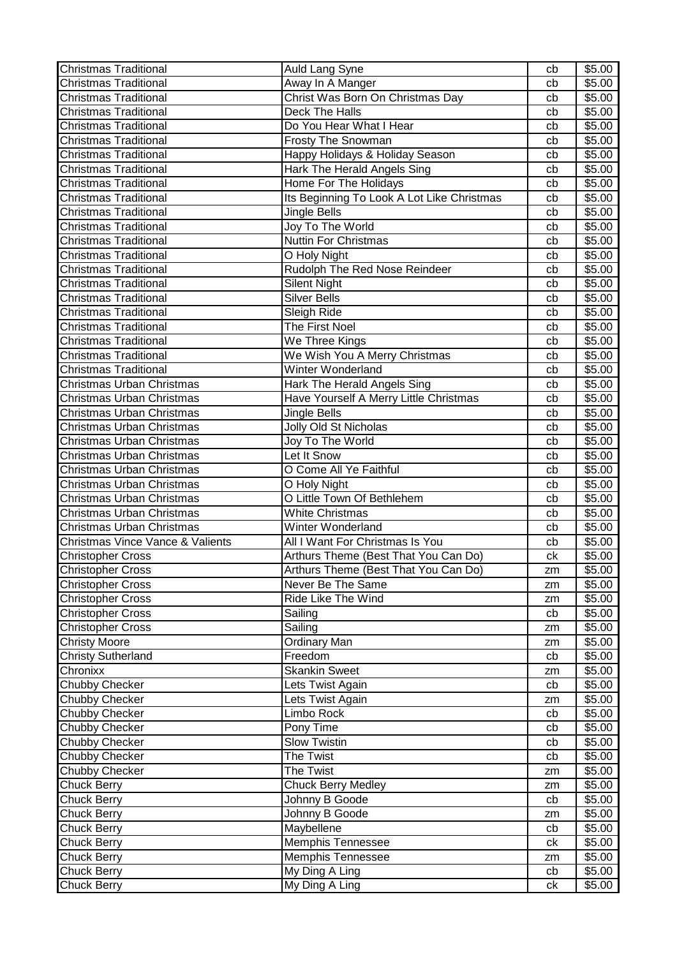| <b>Christmas Traditional</b>     | Auld Lang Syne                             | cb            | \$5.00 |
|----------------------------------|--------------------------------------------|---------------|--------|
| <b>Christmas Traditional</b>     | Away In A Manger                           | cb            | \$5.00 |
| <b>Christmas Traditional</b>     | Christ Was Born On Christmas Day           | cb            | \$5.00 |
| <b>Christmas Traditional</b>     | Deck The Halls                             | cb            | \$5.00 |
| <b>Christmas Traditional</b>     | Do You Hear What I Hear                    | cb            | \$5.00 |
| <b>Christmas Traditional</b>     | <b>Frosty The Snowman</b>                  | cb            | \$5.00 |
| <b>Christmas Traditional</b>     | Happy Holidays & Holiday Season            | cb            | \$5.00 |
| <b>Christmas Traditional</b>     | Hark The Herald Angels Sing                | cb            | \$5.00 |
| <b>Christmas Traditional</b>     | Home For The Holidays                      | cb            | \$5.00 |
| <b>Christmas Traditional</b>     | Its Beginning To Look A Lot Like Christmas | cb            | \$5.00 |
| <b>Christmas Traditional</b>     | Jingle Bells                               | cb            | \$5.00 |
| <b>Christmas Traditional</b>     | Joy To The World                           | cb            | \$5.00 |
| <b>Christmas Traditional</b>     | <b>Nuttin For Christmas</b>                | cb            | \$5.00 |
| <b>Christmas Traditional</b>     | O Holy Night                               | cb            | \$5.00 |
| <b>Christmas Traditional</b>     | Rudolph The Red Nose Reindeer              | cb            | \$5.00 |
| <b>Christmas Traditional</b>     | <b>Silent Night</b>                        | cb            | \$5.00 |
| <b>Christmas Traditional</b>     | Silver Bells                               | cb            | \$5.00 |
| <b>Christmas Traditional</b>     | Sleigh Ride                                | cb            | \$5.00 |
| <b>Christmas Traditional</b>     | The First Noel                             | cb            | \$5.00 |
| <b>Christmas Traditional</b>     | We Three Kings                             | cb            | \$5.00 |
| <b>Christmas Traditional</b>     | We Wish You A Merry Christmas              | cb            | \$5.00 |
| <b>Christmas Traditional</b>     | Winter Wonderland                          | cb            | \$5.00 |
| Christmas Urban Christmas        | Hark The Herald Angels Sing                | cb            | \$5.00 |
| Christmas Urban Christmas        | Have Yourself A Merry Little Christmas     | cb            | \$5.00 |
| Christmas Urban Christmas        | Jingle Bells                               | cb            | \$5.00 |
| Christmas Urban Christmas        | Jolly Old St Nicholas                      | cb            | \$5.00 |
| Christmas Urban Christmas        | Joy To The World                           | cb            | \$5.00 |
| Christmas Urban Christmas        | Let It Snow                                | cb            | \$5.00 |
| Christmas Urban Christmas        | O Come All Ye Faithful                     | cb            | \$5.00 |
| Christmas Urban Christmas        | O Holy Night                               | cb            | \$5.00 |
| Christmas Urban Christmas        | O Little Town Of Bethlehem                 | cb            | \$5.00 |
| Christmas Urban Christmas        | <b>White Christmas</b>                     | cb            | \$5.00 |
| Christmas Urban Christmas        | Winter Wonderland                          | cb            | \$5.00 |
| Christmas Vince Vance & Valients | All I Want For Christmas Is You            | cb            | \$5.00 |
| <b>Christopher Cross</b>         | Arthurs Theme (Best That You Can Do)       | сk            | \$5.00 |
| <b>Christopher Cross</b>         | Arthurs Theme (Best That You Can Do)       | $\mathsf{zm}$ | \$5.00 |
| <b>Christopher Cross</b>         | Never Be The Same                          | zm            | \$5.00 |
| <b>Christopher Cross</b>         | Ride Like The Wind                         | zm            | \$5.00 |
| <b>Christopher Cross</b>         | Sailing                                    | cb            | \$5.00 |
| <b>Christopher Cross</b>         | Sailing                                    | zm            | \$5.00 |
| <b>Christy Moore</b>             | <b>Ordinary Man</b>                        | zm            | \$5.00 |
| <b>Christy Sutherland</b>        | Freedom                                    | cb            | \$5.00 |
| Chronixx                         | <b>Skankin Sweet</b>                       | zm            | \$5.00 |
| Chubby Checker                   | Lets Twist Again                           | cb            | \$5.00 |
| Chubby Checker                   | Lets Twist Again                           | zm            | \$5.00 |
| Chubby Checker                   | Limbo Rock                                 | cb            | \$5.00 |
| <b>Chubby Checker</b>            | Pony Time                                  | cb            | \$5.00 |
| Chubby Checker                   | <b>Slow Twistin</b>                        | cb            | \$5.00 |
| Chubby Checker                   | The Twist                                  | cb            | \$5.00 |
| Chubby Checker                   | The Twist                                  | zm            | \$5.00 |
| <b>Chuck Berry</b>               | Chuck Berry Medley                         | zm            | \$5.00 |
| <b>Chuck Berry</b>               | Johnny B Goode                             | cb            | \$5.00 |
| <b>Chuck Berry</b>               | Johnny B Goode                             | zm            | \$5.00 |
| <b>Chuck Berry</b>               | Maybellene                                 | cb            | \$5.00 |
| <b>Chuck Berry</b>               | Memphis Tennessee                          | сk            | \$5.00 |
| <b>Chuck Berry</b>               | Memphis Tennessee                          | zm            | \$5.00 |
| <b>Chuck Berry</b>               | My Ding A Ling                             | cb            | \$5.00 |
| <b>Chuck Berry</b>               | My Ding A Ling                             | сk            | \$5.00 |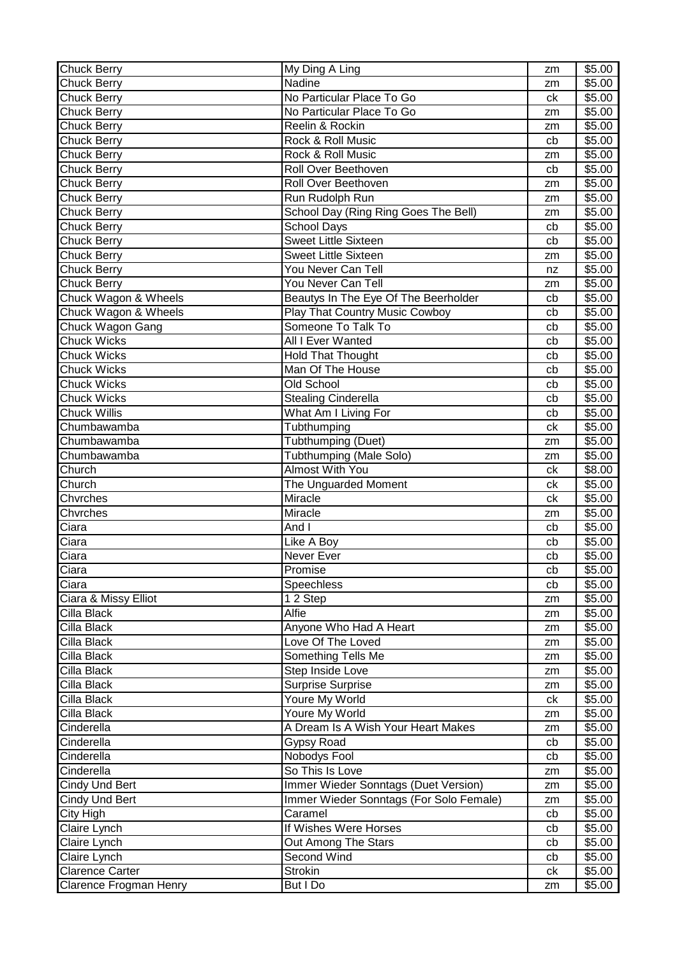| <b>Chuck Berry</b>     | My Ding A Ling                          | zm | \$5.00             |
|------------------------|-----------------------------------------|----|--------------------|
| <b>Chuck Berry</b>     | Nadine                                  | zm | \$5.00             |
| <b>Chuck Berry</b>     | No Particular Place To Go               | ck | $\overline{$}5.00$ |
| <b>Chuck Berry</b>     | No Particular Place To Go               | zm | \$5.00             |
| <b>Chuck Berry</b>     | Reelin & Rockin                         | zm | \$5.00             |
| <b>Chuck Berry</b>     | Rock & Roll Music                       | cb | \$5.00             |
| <b>Chuck Berry</b>     | Rock & Roll Music                       | zm | \$5.00             |
| <b>Chuck Berry</b>     | Roll Over Beethoven                     | cb | \$5.00             |
| <b>Chuck Berry</b>     | Roll Over Beethoven                     | zm | \$5.00             |
| <b>Chuck Berry</b>     | Run Rudolph Run                         | zm | \$5.00             |
| <b>Chuck Berry</b>     | School Day (Ring Ring Goes The Bell)    | zm | \$5.00             |
| <b>Chuck Berry</b>     | <b>School Days</b>                      | cb | \$5.00             |
| <b>Chuck Berry</b>     | <b>Sweet Little Sixteen</b>             | cb | \$5.00             |
| <b>Chuck Berry</b>     | <b>Sweet Little Sixteen</b>             | zm | \$5.00             |
| <b>Chuck Berry</b>     | You Never Can Tell                      | nz | \$5.00             |
| <b>Chuck Berry</b>     | You Never Can Tell                      | zm | \$5.00             |
| Chuck Wagon & Wheels   | Beautys In The Eye Of The Beerholder    | cb | \$5.00             |
| Chuck Wagon & Wheels   | <b>Play That Country Music Cowboy</b>   | cb | \$5.00             |
| Chuck Wagon Gang       | Someone To Talk To                      | cb | \$5.00             |
| <b>Chuck Wicks</b>     | <b>All I Ever Wanted</b>                | cb | \$5.00             |
| <b>Chuck Wicks</b>     | <b>Hold That Thought</b>                | cb | \$5.00             |
| <b>Chuck Wicks</b>     | Man Of The House                        | cb | \$5.00             |
| <b>Chuck Wicks</b>     | Old School                              | cb | \$5.00             |
| <b>Chuck Wicks</b>     | <b>Stealing Cinderella</b>              | cb | \$5.00             |
| <b>Chuck Willis</b>    | What Am I Living For                    | cb | \$5.00             |
| Chumbawamba            | Tubthumping                             | ck | \$5.00             |
| Chumbawamba            | Tubthumping (Duet)                      | zm | \$5.00             |
| Chumbawamba            | <b>Tubthumping (Male Solo)</b>          | zm | \$5.00             |
| Church                 | <b>Almost With You</b>                  | ck | \$8.00             |
| Church                 | The Unguarded Moment                    | сk | \$5.00             |
| Chvrches               | Miracle                                 | ck | \$5.00             |
| Chvrches               | Miracle                                 | zm | \$5.00             |
| Ciara                  | And I                                   | cb | $\overline{$}5.00$ |
| Ciara                  | Like A Boy                              | cb | \$5.00             |
| Ciara                  | Never Ever                              | cb | \$5.00             |
| Ciara                  | Promise                                 | cb | \$5.00             |
| Ciara                  | Speechless                              | cb | \$5.00             |
| Ciara & Missy Elliot   | 1 2 Step                                | zm | \$5.00             |
| Cilla Black            | Alfie                                   | zm | \$5.00             |
| Cilla Black            | Anyone Who Had A Heart                  | zm | \$5.00             |
| Cilla Black            | Love Of The Loved                       | zm | \$5.00             |
| Cilla Black            | Something Tells Me                      | zm | \$5.00             |
| Cilla Black            | Step Inside Love                        | zm | \$5.00             |
| Cilla Black            | <b>Surprise Surprise</b>                | zm | \$5.00             |
| Cilla Black            | Youre My World                          | ck | \$5.00             |
| Cilla Black            | Youre My World                          | zm | \$5.00             |
| Cinderella             | A Dream Is A Wish Your Heart Makes      | zm | \$5.00             |
| Cinderella             | <b>Gypsy Road</b>                       | cb | \$5.00             |
| Cinderella             | Nobodys Fool                            | cb | \$5.00             |
| Cinderella             | So This Is Love                         | zm | \$5.00             |
| Cindy Und Bert         | Immer Wieder Sonntags (Duet Version)    | zm | \$5.00             |
| Cindy Und Bert         | Immer Wieder Sonntags (For Solo Female) | zm | \$5.00             |
| City High              | Caramel                                 | cb | \$5.00             |
| Claire Lynch           | If Wishes Were Horses                   | cb | \$5.00             |
| Claire Lynch           | Out Among The Stars                     | cb | \$5.00             |
| Claire Lynch           | Second Wind                             | cb | \$5.00             |
| <b>Clarence Carter</b> | <b>Strokin</b>                          | сk | \$5.00             |
| Clarence Frogman Henry | But I Do                                | zm | \$5.00             |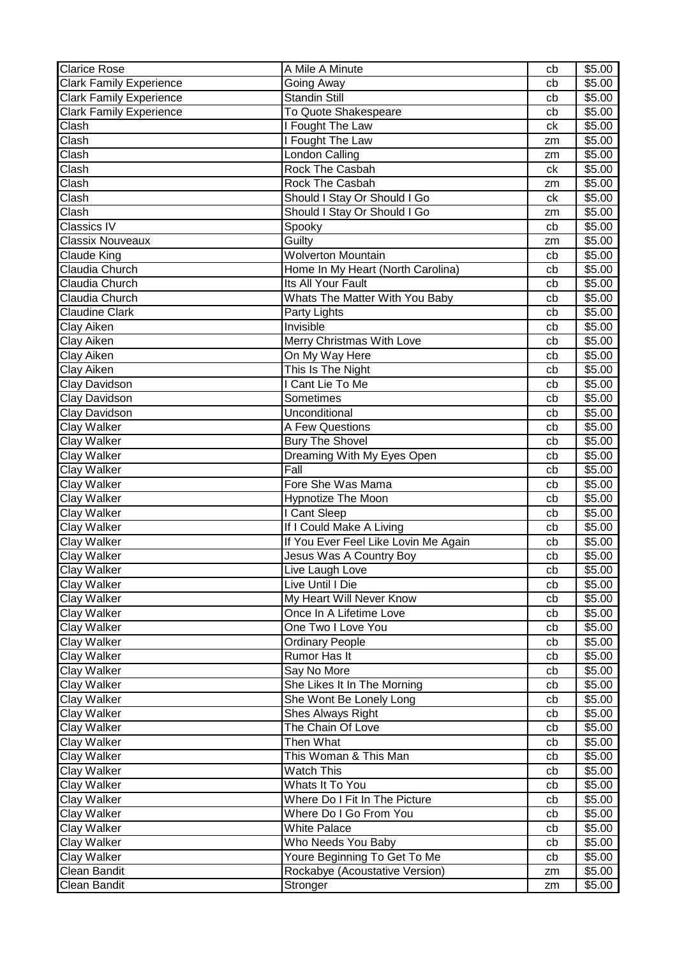| <b>Clarice Rose</b>            | A Mile A Minute                      | cb | \$5.00             |
|--------------------------------|--------------------------------------|----|--------------------|
| <b>Clark Family Experience</b> | Going Away                           | cb | \$5.00             |
| <b>Clark Family Experience</b> | <b>Standin Still</b>                 | cb | \$5.00             |
| <b>Clark Family Experience</b> | To Quote Shakespeare                 | cb | \$5.00             |
| Clash                          | I Fought The Law                     | ck | \$5.00             |
| Clash                          | I Fought The Law                     | zm | \$5.00             |
| Clash                          | London Calling                       | zm | \$5.00             |
| Clash                          | Rock The Casbah                      | ck | \$5.00             |
| Clash                          | <b>Rock The Casbah</b>               | zm | \$5.00             |
| Clash                          | Should I Stay Or Should I Go         | ck | \$5.00             |
| Clash                          | Should I Stay Or Should I Go         | zm | \$5.00             |
| <b>Classics IV</b>             | Spooky                               | cb | \$5.00             |
| <b>Classix Nouveaux</b>        | Guilty                               | zm | \$5.00             |
| <b>Claude King</b>             | <b>Wolverton Mountain</b>            | cb | \$5.00             |
| Claudia Church                 | Home In My Heart (North Carolina)    | cb | \$5.00             |
| Claudia Church                 | Its All Your Fault                   | cb | \$5.00             |
| Claudia Church                 | Whats The Matter With You Baby       | cb | \$5.00             |
| <b>Claudine Clark</b>          | Party Lights                         | cb | \$5.00             |
| Clay Aiken                     | Invisible                            | cb | \$5.00             |
| Clay Aiken                     | Merry Christmas With Love            | cb | \$5.00             |
| Clay Aiken                     | On My Way Here                       | cb | \$5.00             |
| Clay Aiken                     | This Is The Night                    | cb | \$5.00             |
| Clay Davidson                  | I Cant Lie To Me                     | cb | \$5.00             |
| Clay Davidson                  | Sometimes                            | cb | \$5.00             |
| Clay Davidson                  | Unconditional                        | cb | \$5.00             |
| Clay Walker                    | A Few Questions                      | cb | \$5.00             |
| Clay Walker                    | <b>Bury The Shovel</b>               | cb | \$5.00             |
| Clay Walker                    | Dreaming With My Eyes Open           | cb | \$5.00             |
| Clay Walker                    | Fall                                 | cb | \$5.00             |
| Clay Walker                    | Fore She Was Mama                    | cb | \$5.00             |
| Clay Walker                    | <b>Hypnotize The Moon</b>            | cb | \$5.00             |
| Clay Walker                    | I Cant Sleep                         | cb | \$5.00             |
| Clay Walker                    | If I Could Make A Living             | cb | \$5.00             |
| <b>Clay Walker</b>             | If You Ever Feel Like Lovin Me Again | cb | \$5.00             |
| <b>Clay Walker</b>             | Jesus Was A Country Boy              | cb | \$5.00             |
| <b>Clay Walker</b>             | Live Laugh Love                      | cb | \$5.00             |
| <b>Clay Walker</b>             | Live Until I Die                     | cb | \$5.00             |
| Clay Walker                    | My Heart Will Never Know             | cb | $\overline{$}5.00$ |
| <b>Clay Walker</b>             | Once In A Lifetime Love              | cb | \$5.00             |
| <b>Clay Walker</b>             | One Two I Love You                   | cb | \$5.00             |
| <b>Clay Walker</b>             | <b>Ordinary People</b>               | cb | \$5.00             |
| Clay Walker                    | <b>Rumor Has It</b>                  | cb | \$5.00             |
| Clay Walker                    | Say No More                          | cb | \$5.00             |
| <b>Clay Walker</b>             | She Likes It In The Morning          | cb | \$5.00             |
| <b>Clay Walker</b>             | She Wont Be Lonely Long              | cb | \$5.00             |
| <b>Clay Walker</b>             | Shes Always Right                    | cb | \$5.00             |
| <b>Clay Walker</b>             | The Chain Of Love                    | cb | \$5.00             |
| Clay Walker                    | Then What                            | cb | \$5.00             |
| <b>Clay Walker</b>             | This Woman & This Man                | cb | \$5.00             |
| Clay Walker                    | <b>Watch This</b>                    | cb | \$5.00             |
| Clay Walker                    | Whats It To You                      | cb | \$5.00             |
| Clay Walker                    | Where Do I Fit In The Picture        | cb | \$5.00             |
| Clay Walker                    | Where Do I Go From You               | cb | \$5.00             |
| <b>Clay Walker</b>             | <b>White Palace</b>                  | cb | \$5.00             |
| <b>Clay Walker</b>             | Who Needs You Baby                   | cb | \$5.00             |
| <b>Clay Walker</b>             | Youre Beginning To Get To Me         | cb | \$5.00             |
| Clean Bandit                   | Rockabye (Acoustative Version)       | zm | \$5.00             |
| Clean Bandit                   | Stronger                             | zm | \$5.00             |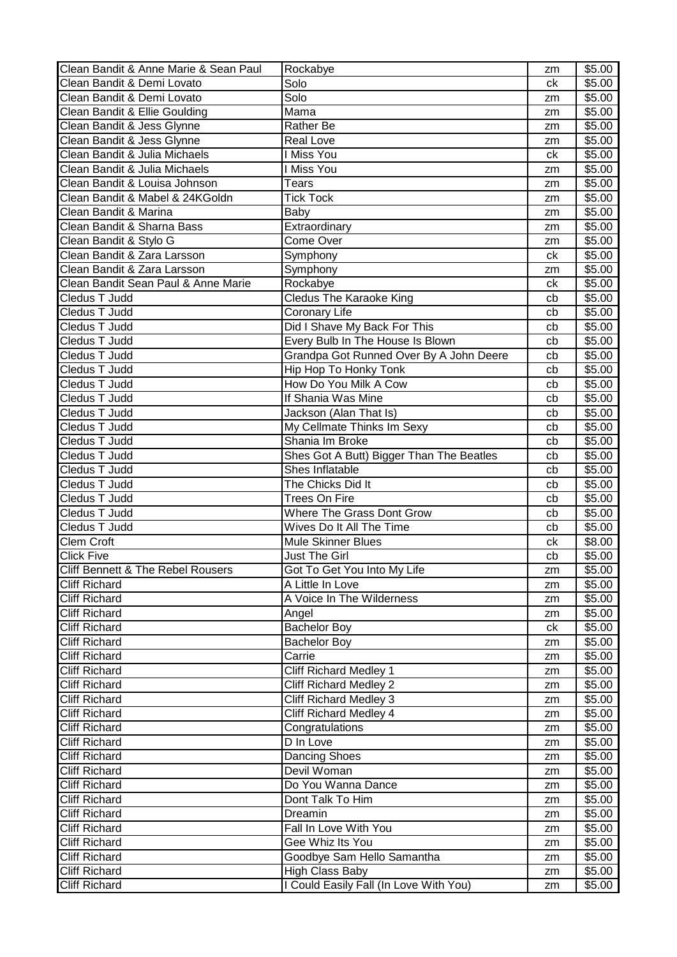| Clean Bandit & Anne Marie & Sean Paul | Rockabye                                 | zm | \$5.00             |
|---------------------------------------|------------------------------------------|----|--------------------|
| Clean Bandit & Demi Lovato            | Solo                                     | ck | \$5.00             |
| Clean Bandit & Demi Lovato            | Solo                                     | zm | \$5.00             |
| Clean Bandit & Ellie Goulding         | Mama                                     | zm | \$5.00             |
| Clean Bandit & Jess Glynne            | Rather Be                                | zm | \$5.00             |
| Clean Bandit & Jess Glynne            | <b>Real Love</b>                         | zm | \$5.00             |
| Clean Bandit & Julia Michaels         | I Miss You                               | ck | \$5.00             |
| Clean Bandit & Julia Michaels         | I Miss You                               | zm | \$5.00             |
| Clean Bandit & Louisa Johnson         | <b>Tears</b>                             | zm | \$5.00             |
| Clean Bandit & Mabel & 24KGoldn       | <b>Tick Tock</b>                         | zm | \$5.00             |
| Clean Bandit & Marina                 | Baby                                     | zm | \$5.00             |
| Clean Bandit & Sharna Bass            | Extraordinary                            | zm | \$5.00             |
| Clean Bandit & Stylo G                | Come Over                                | zm | \$5.00             |
| Clean Bandit & Zara Larsson           | Symphony                                 | ck | \$5.00             |
| Clean Bandit & Zara Larsson           | Symphony                                 | zm | \$5.00             |
| Clean Bandit Sean Paul & Anne Marie   | Rockabye                                 | ck | \$5.00             |
| Cledus T Judd                         | <b>Cledus The Karaoke King</b>           | cb | \$5.00             |
| Cledus T Judd                         | Coronary Life                            | cb | \$5.00             |
| Cledus T Judd                         | Did I Shave My Back For This             | cb | \$5.00             |
| Cledus T Judd                         | Every Bulb In The House Is Blown         | cb | \$5.00             |
| Cledus T Judd                         | Grandpa Got Runned Over By A John Deere  | cb | \$5.00             |
| Cledus T Judd                         | Hip Hop To Honky Tonk                    | cb | \$5.00             |
| Cledus T Judd                         | How Do You Milk A Cow                    | cb | \$5.00             |
| Cledus T Judd                         | If Shania Was Mine                       | cb | $\overline{$}5.00$ |
| Cledus T Judd                         | Jackson (Alan That Is)                   | cb | \$5.00             |
| Cledus T Judd                         | My Cellmate Thinks Im Sexy               | cb | \$5.00             |
| Cledus T Judd                         | Shania Im Broke                          | cb | \$5.00             |
| <b>Cledus T Judd</b>                  | Shes Got A Butt) Bigger Than The Beatles | cb | \$5.00             |
| Cledus T Judd                         | Shes Inflatable                          | cb | \$5.00             |
| Cledus T Judd                         | The Chicks Did It                        | cb | \$5.00             |
| Cledus T Judd                         | <b>Trees On Fire</b>                     | cb | \$5.00             |
| Cledus T Judd                         | Where The Grass Dont Grow                | cb | \$5.00             |
| Cledus T Judd                         | Wives Do It All The Time                 | cb | \$5.00             |
| <b>Clem Croft</b>                     | <b>Mule Skinner Blues</b>                | ck | \$8.00             |
| <b>Click Five</b>                     | <b>Just The Girl</b>                     | cb | \$5.00             |
| Cliff Bennett & The Rebel Rousers     | Got To Get You Into My Life              | zm | \$5.00             |
| <b>Cliff Richard</b>                  | A Little In Love                         | zm | \$5.00             |
| <b>Cliff Richard</b>                  | A Voice In The Wilderness                | zm | \$5.00             |
| <b>Cliff Richard</b>                  | Angel                                    | zm | \$5.00             |
| <b>Cliff Richard</b>                  | <b>Bachelor Boy</b>                      | ck | \$5.00             |
| <b>Cliff Richard</b>                  | <b>Bachelor Boy</b>                      | zm | \$5.00             |
| <b>Cliff Richard</b>                  | Carrie                                   | zm | \$5.00             |
| <b>Cliff Richard</b>                  | <b>Cliff Richard Medley 1</b>            | zm | \$5.00             |
| <b>Cliff Richard</b>                  | <b>Cliff Richard Medley 2</b>            | zm | \$5.00             |
| <b>Cliff Richard</b>                  | <b>Cliff Richard Medley 3</b>            | zm | \$5.00             |
| <b>Cliff Richard</b>                  | Cliff Richard Medley 4                   | zm | \$5.00             |
| <b>Cliff Richard</b>                  | Congratulations                          | zm | \$5.00             |
| <b>Cliff Richard</b>                  | D In Love                                | zm | \$5.00             |
| <b>Cliff Richard</b>                  | Dancing Shoes                            | zm | \$5.00             |
| <b>Cliff Richard</b>                  | Devil Woman                              | zm | \$5.00             |
| <b>Cliff Richard</b>                  | Do You Wanna Dance                       | zm | \$5.00             |
| <b>Cliff Richard</b>                  | Dont Talk To Him                         | zm | \$5.00             |
| Cliff Richard                         | Dreamin                                  | zm | \$5.00             |
| <b>Cliff Richard</b>                  | Fall In Love With You                    | zm | \$5.00             |
| <b>Cliff Richard</b>                  | Gee Whiz Its You                         | zm | \$5.00             |
| <b>Cliff Richard</b>                  | Goodbye Sam Hello Samantha               | zm | \$5.00             |
| <b>Cliff Richard</b>                  | <b>High Class Baby</b>                   | zm | \$5.00             |
| <b>Cliff Richard</b>                  | I Could Easily Fall (In Love With You)   | zm | \$5.00             |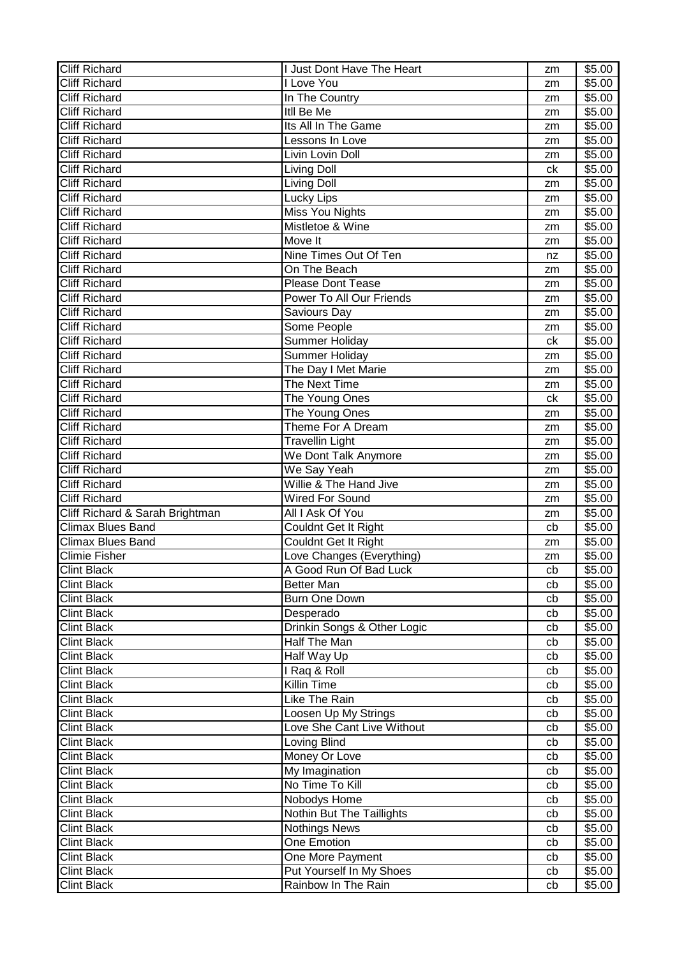| <b>Cliff Richard</b>            | <b>Just Dont Have The Heart</b> | zm | \$5.00 |
|---------------------------------|---------------------------------|----|--------|
| <b>Cliff Richard</b>            | I Love You                      | zm | \$5.00 |
| <b>Cliff Richard</b>            | In The Country                  | zm | \$5.00 |
| <b>Cliff Richard</b>            | <b>Itll Be Me</b>               | zm | \$5.00 |
| <b>Cliff Richard</b>            | Its All In The Game             | zm | \$5.00 |
| <b>Cliff Richard</b>            | Lessons In Love                 | zm | \$5.00 |
| <b>Cliff Richard</b>            | Livin Lovin Doll                | zm | \$5.00 |
| <b>Cliff Richard</b>            | Living Doll                     | ck | \$5.00 |
| <b>Cliff Richard</b>            | Living Doll                     | zm | \$5.00 |
| <b>Cliff Richard</b>            | Lucky Lips                      | zm | \$5.00 |
| <b>Cliff Richard</b>            | Miss You Nights                 | zm | \$5.00 |
| <b>Cliff Richard</b>            | Mistletoe & Wine                | zm | \$5.00 |
| <b>Cliff Richard</b>            | Move It                         | zm | \$5.00 |
| <b>Cliff Richard</b>            | Nine Times Out Of Ten           | nz | \$5.00 |
| <b>Cliff Richard</b>            | On The Beach                    | zm | \$5.00 |
| <b>Cliff Richard</b>            | <b>Please Dont Tease</b>        | zm | \$5.00 |
| <b>Cliff Richard</b>            | Power To All Our Friends        | zm | \$5.00 |
| <b>Cliff Richard</b>            | Saviours Day                    | zm | \$5.00 |
| <b>Cliff Richard</b>            | Some People                     | zm | \$5.00 |
| <b>Cliff Richard</b>            | Summer Holiday                  | ck | \$5.00 |
| <b>Cliff Richard</b>            | Summer Holiday                  | zm | \$5.00 |
| <b>Cliff Richard</b>            | The Day I Met Marie             | zm | \$5.00 |
| <b>Cliff Richard</b>            | The Next Time                   | zm | \$5.00 |
| <b>Cliff Richard</b>            | The Young Ones                  | ck | \$5.00 |
| <b>Cliff Richard</b>            | The Young Ones                  | zm | \$5.00 |
| <b>Cliff Richard</b>            | Theme For A Dream               | zm | \$5.00 |
| <b>Cliff Richard</b>            | <b>Travellin Light</b>          | zm | \$5.00 |
| <b>Cliff Richard</b>            | We Dont Talk Anymore            | zm | \$5.00 |
| <b>Cliff Richard</b>            | We Say Yeah                     | zm | \$5.00 |
| <b>Cliff Richard</b>            | Willie & The Hand Jive          | zm | \$5.00 |
| <b>Cliff Richard</b>            | <b>Wired For Sound</b>          | zm | \$5.00 |
| Cliff Richard & Sarah Brightman | All I Ask Of You                | zm | \$5.00 |
| <b>Climax Blues Band</b>        | Couldnt Get It Right            | cb | \$5.00 |
| <b>Climax Blues Band</b>        | Couldnt Get It Right            | zm | \$5.00 |
| <b>Climie Fisher</b>            | Love Changes (Everything)       | zm | \$5.00 |
| <b>Clint Black</b>              | A Good Run Of Bad Luck          | cb | \$5.00 |
| <b>Clint Black</b>              | Better Man                      | cb | \$5.00 |
| <b>Clint Black</b>              | Burn One Down                   | cb | \$5.00 |
| <b>Clint Black</b>              | Desperado                       | cb | \$5.00 |
| <b>Clint Black</b>              | Drinkin Songs & Other Logic     | cb | \$5.00 |
| <b>Clint Black</b>              | Half The Man                    | cb | \$5.00 |
| <b>Clint Black</b>              | Half Way Up                     | cb | \$5.00 |
| <b>Clint Black</b>              | I Raq & Roll                    | cb | \$5.00 |
| <b>Clint Black</b>              | Killin Time                     | cb | \$5.00 |
| <b>Clint Black</b>              | Like The Rain                   | cb | \$5.00 |
| <b>Clint Black</b>              | Loosen Up My Strings            | cb | \$5.00 |
| <b>Clint Black</b>              | Love She Cant Live Without      | cb | \$5.00 |
| <b>Clint Black</b>              | Loving Blind                    | cb | \$5.00 |
| <b>Clint Black</b>              | Money Or Love                   | cb | \$5.00 |
| <b>Clint Black</b>              | My Imagination                  | cb | \$5.00 |
| <b>Clint Black</b>              | No Time To Kill                 | cb | \$5.00 |
| <b>Clint Black</b>              | Nobodys Home                    | cb | \$5.00 |
| <b>Clint Black</b>              |                                 |    |        |
|                                 | Nothin But The Taillights       | cb | \$5.00 |
| <b>Clint Black</b>              | <b>Nothings News</b>            | cb | \$5.00 |
| <b>Clint Black</b>              | One Emotion                     | cb | \$5.00 |
| <b>Clint Black</b>              | One More Payment                | cb | \$5.00 |
| <b>Clint Black</b>              | Put Yourself In My Shoes        | cb | \$5.00 |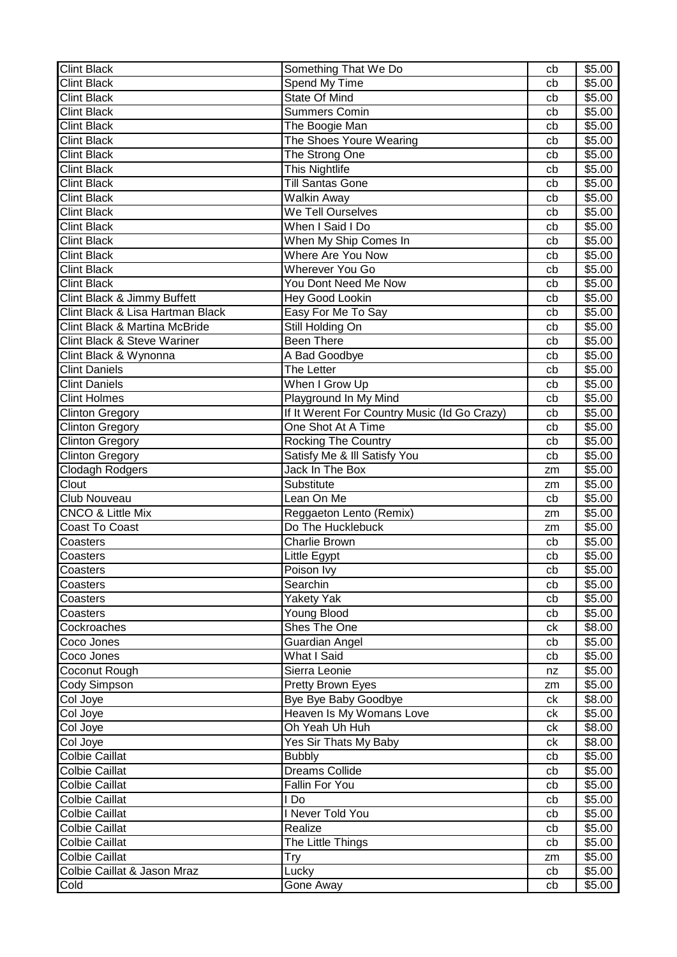| Clint Black                            | Something That We Do                         | cb       | \$5.00             |
|----------------------------------------|----------------------------------------------|----------|--------------------|
| <b>Clint Black</b>                     | Spend My Time                                | cb       | \$5.00             |
| <b>Clint Black</b>                     | State Of Mind                                | cb       | \$5.00             |
| <b>Clint Black</b>                     | <b>Summers Comin</b>                         | cb       | \$5.00             |
| <b>Clint Black</b>                     | The Boogie Man                               | cb       | \$5.00             |
| <b>Clint Black</b>                     | The Shoes Youre Wearing                      | cb       | \$5.00             |
| <b>Clint Black</b>                     | The Strong One                               | cb       | \$5.00             |
| <b>Clint Black</b>                     | This Nightlife                               | cb       | \$5.00             |
| <b>Clint Black</b>                     | <b>Till Santas Gone</b>                      | cb       | \$5.00             |
| <b>Clint Black</b>                     | <b>Walkin Away</b>                           | cb       | \$5.00             |
| <b>Clint Black</b>                     | We Tell Ourselves                            | cb       | \$5.00             |
| <b>Clint Black</b>                     | When I Said I Do                             | cb       | \$5.00             |
| <b>Clint Black</b>                     | When My Ship Comes In                        | cb       | $\overline{$}5.00$ |
| <b>Clint Black</b>                     | <b>Where Are You Now</b>                     | cb       | \$5.00             |
| <b>Clint Black</b>                     | <b>Wherever You Go</b>                       | cb       | \$5.00             |
| <b>Clint Black</b>                     | You Dont Need Me Now                         | cb       | \$5.00             |
| Clint Black & Jimmy Buffett            | <b>Hey Good Lookin</b>                       | cb       | \$5.00             |
| Clint Black & Lisa Hartman Black       | Easy For Me To Say                           | cb       | \$5.00             |
| Clint Black & Martina McBride          | <b>Still Holding On</b>                      | cb       | \$5.00             |
| <b>Clint Black &amp; Steve Wariner</b> | <b>Been There</b>                            | cb       | \$5.00             |
| Clint Black & Wynonna                  | A Bad Goodbye                                | cb       | \$5.00             |
| <b>Clint Daniels</b>                   | The Letter                                   | cb       | \$5.00             |
| <b>Clint Daniels</b>                   | When I Grow Up                               | cb       | \$5.00             |
| <b>Clint Holmes</b>                    | Playground In My Mind                        | cb       | \$5.00             |
| <b>Clinton Gregory</b>                 | If It Werent For Country Music (Id Go Crazy) | cb       | \$5.00             |
| <b>Clinton Gregory</b>                 | One Shot At A Time                           | cb       | \$5.00             |
| Clinton Gregory                        | <b>Rocking The Country</b>                   | cb       | \$5.00             |
| Clinton Gregory                        | Satisfy Me & Ill Satisfy You                 | cb       | \$5.00             |
| <b>Clodagh Rodgers</b>                 | Jack In The Box                              | zm       | \$5.00             |
| Clout                                  | Substitute                                   |          | \$5.00             |
| Club Nouveau                           | Lean On Me                                   | zm<br>cb | \$5.00             |
| <b>CNCO &amp; Little Mix</b>           | Reggaeton Lento (Remix)                      | zm       | \$5.00             |
| <b>Coast To Coast</b>                  | Do The Hucklebuck                            |          | $\overline{$}5.00$ |
| Coasters                               | Charlie Brown                                | zm<br>cb | \$5.00             |
| Coasters                               | Little Egypt                                 | cb       | \$5.00             |
|                                        | Poison Ivy                                   | cb       | \$5.00             |
| Coasters<br>Coasters                   | Searchin                                     | cb       | \$5.00             |
|                                        | <b>Yakety Yak</b>                            |          | \$5.00             |
| Coasters<br>Coasters                   | Young Blood                                  | cb<br>cb | \$5.00             |
| Cockroaches                            | <b>Shes The One</b>                          |          | \$8.00             |
| Coco Jones                             | Guardian Angel                               | сk       | \$5.00             |
| Coco Jones                             | What I Said                                  | cb       | \$5.00             |
| Coconut Rough                          | Sierra Leonie                                | cb       |                    |
|                                        |                                              | nz       | \$5.00             |
| Cody Simpson                           | Pretty Brown Eyes                            | zm       | \$5.00             |
| Col Joye                               | Bye Bye Baby Goodbye                         | ck       | \$8.00             |
| Col Joye                               | Heaven Is My Womans Love                     | ck       | \$5.00             |
| Col Joye                               | Oh Yeah Uh Huh                               | ck       | \$8.00             |
| Col Joye                               | Yes Sir Thats My Baby                        | ck       | \$8.00             |
| <b>Colbie Caillat</b>                  | <b>Bubbly</b>                                | cb       | \$5.00             |
| Colbie Caillat                         | <b>Dreams Collide</b>                        | cb       | \$5.00             |
| Colbie Caillat                         | Fallin For You                               | cb       | \$5.00             |
| Colbie Caillat                         | l Do                                         | cb       | \$5.00             |
| <b>Colbie Caillat</b>                  | I Never Told You                             | cb       | \$5.00             |
| <b>Colbie Caillat</b>                  | Realize                                      | cb       | \$5.00             |
| <b>Colbie Caillat</b>                  |                                              |          |                    |
|                                        | The Little Things                            | cb       | \$5.00             |
| <b>Colbie Caillat</b>                  | Try                                          | zm       | \$5.00             |
| Colbie Caillat & Jason Mraz<br>Cold    | Lucky<br>Gone Away                           | cb<br>cb | \$5.00<br>\$5.00   |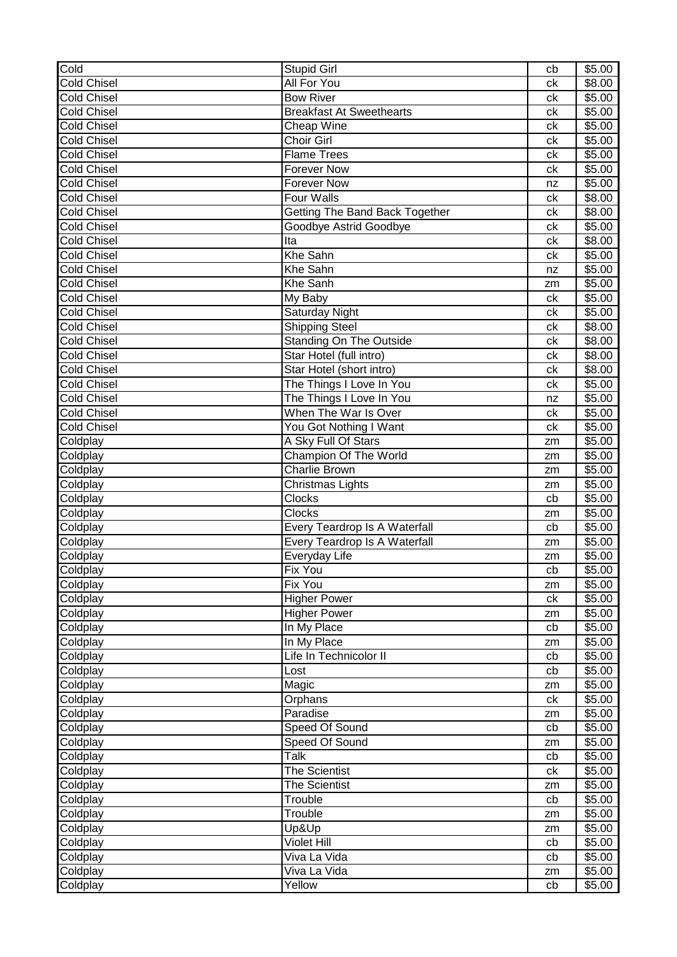| $\overline{\text{Cold}}$ | <b>Stupid Girl</b>                   | cb | \$5.00             |
|--------------------------|--------------------------------------|----|--------------------|
| <b>Cold Chisel</b>       | All For You                          | ck | \$8.00             |
| <b>Cold Chisel</b>       | <b>Bow River</b>                     | ck | \$5.00             |
| <b>Cold Chisel</b>       | <b>Breakfast At Sweethearts</b>      | ck | \$5.00             |
| <b>Cold Chisel</b>       | Cheap Wine                           | ck | \$5.00             |
| <b>Cold Chisel</b>       | Choir Girl                           | ck | \$5.00             |
| <b>Cold Chisel</b>       | <b>Flame Trees</b>                   | ck | \$5.00             |
| <b>Cold Chisel</b>       | <b>Forever Now</b>                   | ck | \$5.00             |
| <b>Cold Chisel</b>       | <b>Forever Now</b>                   | nz | \$5.00             |
| <b>Cold Chisel</b>       | Four Walls                           | ck | \$8.00             |
| <b>Cold Chisel</b>       | Getting The Band Back Together       | ck | \$8.00             |
| <b>Cold Chisel</b>       | Goodbye Astrid Goodbye               | ck | \$5.00             |
| <b>Cold Chisel</b>       | Ita                                  | ck | \$8.00             |
| <b>Cold Chisel</b>       | <b>Khe Sahn</b>                      | ck | \$5.00             |
| <b>Cold Chisel</b>       | Khe Sahn                             | nz | \$5.00             |
| <b>Cold Chisel</b>       | Khe Sanh                             | zm | \$5.00             |
| <b>Cold Chisel</b>       | $\overline{M}$ y Baby                | ck | \$5.00             |
| <b>Cold Chisel</b>       | Saturday Night                       | ck | \$5.00             |
| <b>Cold Chisel</b>       | Shipping Steel                       | ck | \$8.00             |
| <b>Cold Chisel</b>       | <b>Standing On The Outside</b>       | сk | \$8.00             |
| <b>Cold Chisel</b>       | Star Hotel (full intro)              | ck | $\overline{$8.00}$ |
| <b>Cold Chisel</b>       | Star Hotel (short intro)             | ck | \$8.00             |
| <b>Cold Chisel</b>       | The Things I Love In You             | ck | \$5.00             |
| <b>Cold Chisel</b>       | The Things I Love In You             | nz | \$5.00             |
| <b>Cold Chisel</b>       | When The War Is Over                 | ck | \$5.00             |
| <b>Cold Chisel</b>       | You Got Nothing I Want               | ck | \$5.00             |
| Coldplay                 | A Sky Full Of Stars                  | zm | \$5.00             |
| Coldplay                 | Champion Of The World                | zm | \$5.00             |
| Coldplay                 | <b>Charlie Brown</b>                 | zm | \$5.00             |
| Coldplay                 | Christmas Lights                     | zm | \$5.00             |
| Coldplay                 | <b>Clocks</b>                        | cb | \$5.00             |
| Coldplay                 | Clocks                               | zm | \$5.00             |
| Coldplay                 | Every Teardrop Is A Waterfall        | cb | \$5.00             |
| Coldplay                 | <b>Every Teardrop Is A Waterfall</b> | zm | \$5.00             |
| Coldplay                 | Everyday Life                        | zm | \$5.00             |
| Coldplay                 | Fix You                              | cb | $\frac{1}{15.00}$  |
| Coldplay                 | Fix You                              | zm | \$5.00             |
| Coldplay                 | <b>Higher Power</b>                  | ck | \$5.00             |
| Coldplay                 | <b>Higher Power</b>                  | zm | \$5.00             |
| Coldplay                 | In My Place                          | cb | \$5.00             |
| Coldplay                 | In My Place                          | zm | \$5.00             |
| Coldplay                 | Life In Technicolor II               | cb | \$5.00             |
| Coldplay                 | Lost                                 | cb | \$5.00             |
| Coldplay                 | Magic                                | zm | \$5.00             |
| Coldplay                 | Orphans                              | ck | \$5.00             |
| Coldplay                 | Paradise                             | zm | \$5.00             |
| Coldplay                 | Speed Of Sound                       | cb | \$5.00             |
| Coldplay                 | Speed Of Sound                       | zm | \$5.00             |
| Coldplay                 | Talk                                 | cb | \$5.00             |
| Coldplay                 | <b>The Scientist</b>                 | сk | \$5.00             |
| Coldplay                 | <b>The Scientist</b>                 | zm | \$5.00             |
| Coldplay                 | Trouble                              | cb | \$5.00             |
| Coldplay                 | Trouble                              | zm | \$5.00             |
| Coldplay                 | Up&Up                                | zm | \$5.00             |
| Coldplay                 | <b>Violet Hill</b>                   | cb | \$5.00             |
| Coldplay                 | Viva La Vida                         | cb | \$5.00             |
| Coldplay                 | Viva La Vida                         | zm | \$5.00             |
| Coldplay                 | Yellow                               | cb | \$5.00             |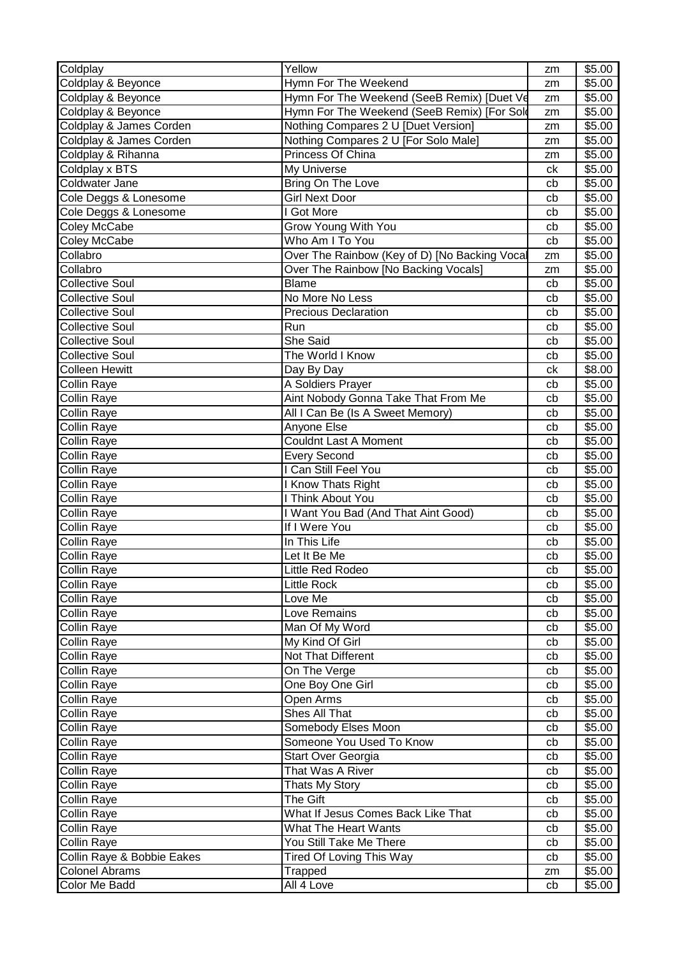| Coldplay                   | Yellow                                        | zm | \$5.00 |
|----------------------------|-----------------------------------------------|----|--------|
| Coldplay & Beyonce         | Hymn For The Weekend                          | zm | \$5.00 |
| Coldplay & Beyonce         | Hymn For The Weekend (SeeB Remix) [Duet Ve    | zm | \$5.00 |
| Coldplay & Beyonce         | Hymn For The Weekend (SeeB Remix) [For Sold   | zm | \$5.00 |
| Coldplay & James Corden    | Nothing Compares 2 U [Duet Version]           | zm | \$5.00 |
| Coldplay & James Corden    | Nothing Compares 2 U [For Solo Male]          | zm | \$5.00 |
| Coldplay & Rihanna         | Princess Of China                             | zm | \$5.00 |
| Coldplay x BTS             | My Universe                                   | ck | \$5.00 |
| Coldwater Jane             | Bring On The Love                             | cb | \$5.00 |
| Cole Deggs & Lonesome      | <b>Girl Next Door</b>                         | cb | \$5.00 |
| Cole Deggs & Lonesome      | I Got More                                    | cb | \$5.00 |
| Coley McCabe               | Grow Young With You                           | cb | \$5.00 |
| Coley McCabe               | Who Am I To You                               | cb | \$5.00 |
| Collabro                   | Over The Rainbow (Key of D) [No Backing Vocal | zm | \$5.00 |
| Collabro                   | Over The Rainbow [No Backing Vocals]          | zm | \$5.00 |
| <b>Collective Soul</b>     | <b>Blame</b>                                  | cb | \$5.00 |
| <b>Collective Soul</b>     | No More No Less                               | cb | \$5.00 |
| <b>Collective Soul</b>     | <b>Precious Declaration</b>                   | cb | \$5.00 |
| <b>Collective Soul</b>     | Run                                           | cb | \$5.00 |
| <b>Collective Soul</b>     | She Said                                      | cb | \$5.00 |
| <b>Collective Soul</b>     | The World I Know                              | cb | \$5.00 |
| <b>Colleen Hewitt</b>      | Day By Day                                    | ck | \$8.00 |
| <b>Collin Raye</b>         | A Soldiers Prayer                             | cb | \$5.00 |
| <b>Collin Raye</b>         | Aint Nobody Gonna Take That From Me           | cb | \$5.00 |
| Collin Raye                | All I Can Be (Is A Sweet Memory)              | cb | \$5.00 |
| Collin Raye                | Anyone Else                                   | cb | \$5.00 |
| <b>Collin Raye</b>         | <b>Couldnt Last A Moment</b>                  | cb | \$5.00 |
| Collin Raye                | <b>Every Second</b>                           | cb | \$5.00 |
| Collin Raye                | I Can Still Feel You                          | cb | \$5.00 |
| Collin Raye                | <b>Know Thats Right</b>                       | cb | \$5.00 |
| Collin Raye                | I Think About You                             | cb | \$5.00 |
| <b>Collin Raye</b>         | I Want You Bad (And That Aint Good)           | cb | \$5.00 |
| <b>Collin Raye</b>         | If I Were You                                 | cb | \$5.00 |
| <b>Collin Raye</b>         | In This Life                                  | cb | \$5.00 |
| <b>Collin Raye</b>         | Let It Be Me                                  | cb | \$5.00 |
| Collin Raye                | Little Red Rodeo                              | cb | \$5.00 |
| <b>Collin Raye</b>         | <b>Little Rock</b>                            | cb | \$5.00 |
| <b>Collin Raye</b>         | Love Me                                       | cb | \$5.00 |
| <b>Collin Raye</b>         | Love Remains                                  | cb | \$5.00 |
| Collin Raye                | Man Of My Word                                | cb | \$5.00 |
| Collin Raye                | My Kind Of Girl                               | cb | \$5.00 |
| Collin Raye                | Not That Different                            | cb | \$5.00 |
| <b>Collin Raye</b>         | On The Verge                                  | cb | \$5.00 |
| <b>Collin Raye</b>         | One Boy One Girl                              | cb | \$5.00 |
| <b>Collin Raye</b>         | Open Arms                                     | cb | \$5.00 |
| <b>Collin Raye</b>         | Shes All That                                 | cb | \$5.00 |
| <b>Collin Raye</b>         | Somebody Elses Moon                           | cb | \$5.00 |
| <b>Collin Raye</b>         | Someone You Used To Know                      | cb | \$5.00 |
| Collin Raye                | Start Over Georgia                            | cb | \$5.00 |
| Collin Raye                | That Was A River                              | cb | \$5.00 |
| <b>Collin Raye</b>         | Thats My Story                                | cb | \$5.00 |
| <b>Collin Raye</b>         | The Gift                                      | cb | \$5.00 |
| <b>Collin Raye</b>         | What If Jesus Comes Back Like That            | cb | \$5.00 |
| <b>Collin Raye</b>         | What The Heart Wants                          | cb | \$5.00 |
| <b>Collin Raye</b>         | You Still Take Me There                       | cb | \$5.00 |
| Collin Raye & Bobbie Eakes | <b>Tired Of Loving This Way</b>               | cb | \$5.00 |
| <b>Colonel Abrams</b>      | Trapped                                       | zm | \$5.00 |
| Color Me Badd              | All 4 Love                                    | cb | \$5.00 |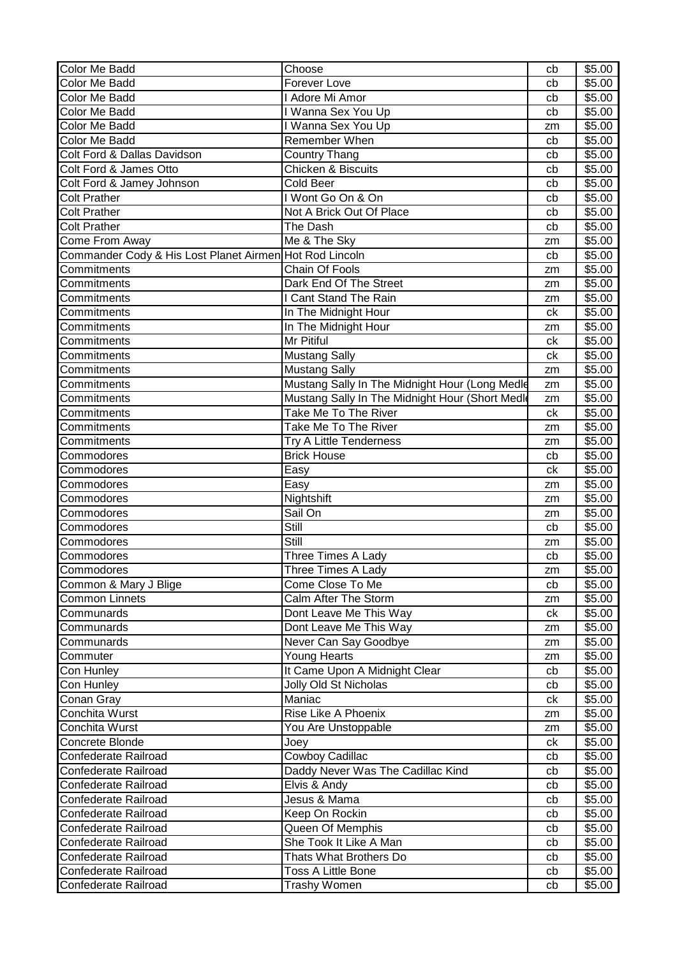| <b>Color Me Badd</b>                                    | Choose                                         | cb       | \$5.00 |
|---------------------------------------------------------|------------------------------------------------|----------|--------|
| Color Me Badd                                           | Forever Love                                   | cb       | \$5.00 |
| Color Me Badd                                           | I Adore Mi Amor                                | cb       | \$5.00 |
| Color Me Badd                                           | I Wanna Sex You Up                             | cb       | \$5.00 |
| Color Me Badd                                           | I Wanna Sex You Up                             | zm       | \$5.00 |
| Color Me Badd                                           | Remember When                                  | cb       | \$5.00 |
| Colt Ford & Dallas Davidson                             | <b>Country Thang</b>                           | cb       | \$5.00 |
| Colt Ford & James Otto                                  | Chicken & Biscuits                             | cb       | \$5.00 |
| Colt Ford & Jamey Johnson                               | <b>Cold Beer</b>                               | cb       | \$5.00 |
| <b>Colt Prather</b>                                     | I Wont Go On & On                              | cb       | \$5.00 |
| <b>Colt Prather</b>                                     | Not A Brick Out Of Place                       | cb       | \$5.00 |
| <b>Colt Prather</b>                                     | The Dash                                       | cb       | \$5.00 |
| Come From Away                                          | Me & The Sky                                   | zm       | \$5.00 |
| Commander Cody & His Lost Planet Airmen Hot Rod Lincoln |                                                | cb       | \$5.00 |
| Commitments                                             | Chain Of Fools                                 | zm       | \$5.00 |
| Commitments                                             | Dark End Of The Street                         | zm       | \$5.00 |
| Commitments                                             | I Cant Stand The Rain                          | zm       | \$5.00 |
| Commitments                                             | In The Midnight Hour                           | ck       | \$5.00 |
| Commitments                                             | In The Midnight Hour                           | zm       | \$5.00 |
| Commitments                                             | Mr Pitiful                                     | ck       | \$5.00 |
| Commitments                                             | <b>Mustang Sally</b>                           | сk       | \$5.00 |
| Commitments                                             | <b>Mustang Sally</b>                           | zm       | \$5.00 |
| Commitments                                             | Mustang Sally In The Midnight Hour (Long Medle | zm       | \$5.00 |
| Commitments                                             | Mustang Sally In The Midnight Hour (Short Medi | zm       | \$5.00 |
| Commitments                                             | Take Me To The River                           | ck       | \$5.00 |
| Commitments                                             | Take Me To The River                           | zm       | \$5.00 |
| Commitments                                             | Try A Little Tenderness                        |          | \$5.00 |
| Commodores                                              | <b>Brick House</b>                             | zm<br>cb | \$5.00 |
| Commodores                                              | Easy                                           | ck       | \$5.00 |
| Commodores                                              | Easy                                           |          | \$5.00 |
| Commodores                                              | Nightshift                                     | zm       | \$5.00 |
| Commodores                                              | Sail On                                        | zm       | \$5.00 |
|                                                         | Still                                          | zm       |        |
| Commodores<br>Commodores                                | Still                                          | cb       | \$5.00 |
|                                                         |                                                | zm       | \$5.00 |
| Commodores                                              | Three Times A Lady                             | cb       | \$5.00 |
| Commodores                                              | Three Times A Lady                             | zm       | \$5.00 |
| Common & Mary J Blige                                   | Come Close To Me                               | cb       | \$5.00 |
| <b>Common Linnets</b>                                   | Calm After The Storm                           | zm       | \$5.00 |
| Communards                                              | Dont Leave Me This Way                         | ck       | \$5.00 |
| Communards                                              | Dont Leave Me This Way                         | zm       | \$5.00 |
| Communards                                              | Never Can Say Goodbye                          | zm       | \$5.00 |
| Commuter                                                | Young Hearts                                   | zm       | \$5.00 |
| Con Hunley                                              | It Came Upon A Midnight Clear                  | cb       | \$5.00 |
| Con Hunley                                              | Jolly Old St Nicholas                          | cb       | \$5.00 |
| Conan Gray                                              | Maniac                                         | сk       | \$5.00 |
| Conchita Wurst                                          | Rise Like A Phoenix                            | zm       | \$5.00 |
| Conchita Wurst                                          | You Are Unstoppable                            | zm       | \$5.00 |
| Concrete Blonde                                         | Joey                                           | ck       | \$5.00 |
| Confederate Railroad                                    | <b>Cowboy Cadillac</b>                         | cb       | \$5.00 |
| Confederate Railroad                                    | Daddy Never Was The Cadillac Kind              | cb       | \$5.00 |
| Confederate Railroad                                    | Elvis & Andy                                   | cb       | \$5.00 |
| Confederate Railroad                                    | Jesus & Mama                                   | cb       | \$5.00 |
| Confederate Railroad                                    | Keep On Rockin                                 | cb       | \$5.00 |
| Confederate Railroad                                    | Queen Of Memphis                               | cb       | \$5.00 |
| Confederate Railroad                                    | She Took It Like A Man                         | cb       | \$5.00 |
| Confederate Railroad                                    | Thats What Brothers Do                         | cb       | \$5.00 |
| Confederate Railroad                                    | <b>Toss A Little Bone</b>                      | cb       | \$5.00 |
| Confederate Railroad                                    | Trashy Women                                   | cb       | \$5.00 |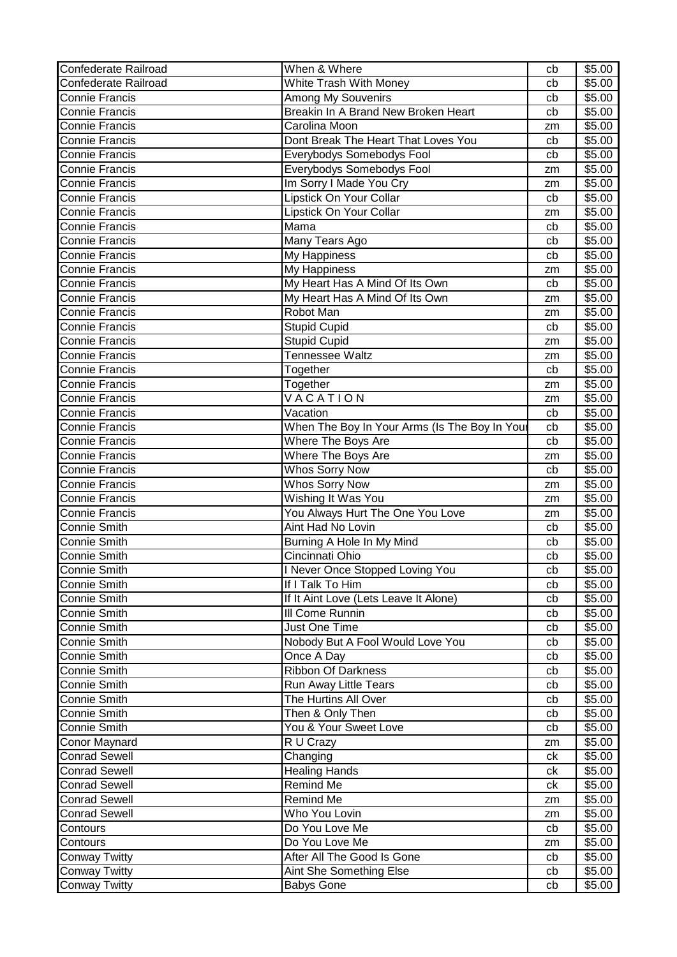| Confederate Railroad  | When & Where                                  | cb | \$5.00 |
|-----------------------|-----------------------------------------------|----|--------|
| Confederate Railroad  | White Trash With Money                        | cb | \$5.00 |
| <b>Connie Francis</b> | Among My Souvenirs                            | cb | \$5.00 |
| <b>Connie Francis</b> | Breakin In A Brand New Broken Heart           | cb | \$5.00 |
| <b>Connie Francis</b> | Carolina Moon                                 | zm | \$5.00 |
| <b>Connie Francis</b> | Dont Break The Heart That Loves You           | cb | \$5.00 |
| <b>Connie Francis</b> | Everybodys Somebodys Fool                     | cb | \$5.00 |
| <b>Connie Francis</b> | Everybodys Somebodys Fool                     | zm | \$5.00 |
| <b>Connie Francis</b> | Im Sorry I Made You Cry                       | zm | \$5.00 |
| <b>Connie Francis</b> | Lipstick On Your Collar                       | cb | \$5.00 |
| <b>Connie Francis</b> | Lipstick On Your Collar                       | zm | \$5.00 |
| <b>Connie Francis</b> | Mama                                          | cb | \$5.00 |
| <b>Connie Francis</b> | Many Tears Ago                                | cb | \$5.00 |
| <b>Connie Francis</b> | My Happiness                                  | cb | \$5.00 |
| <b>Connie Francis</b> | My Happiness                                  | zm | \$5.00 |
| <b>Connie Francis</b> | My Heart Has A Mind Of Its Own                | cb | \$5.00 |
| <b>Connie Francis</b> | My Heart Has A Mind Of Its Own                | zm | \$5.00 |
| <b>Connie Francis</b> | Robot Man                                     | zm | \$5.00 |
| <b>Connie Francis</b> | <b>Stupid Cupid</b>                           | cb | \$5.00 |
| <b>Connie Francis</b> | <b>Stupid Cupid</b>                           | zm | \$5.00 |
| <b>Connie Francis</b> | Tennessee Waltz                               | zm | \$5.00 |
| <b>Connie Francis</b> | Together                                      | cb | \$5.00 |
| <b>Connie Francis</b> | Together                                      | zm | \$5.00 |
| <b>Connie Francis</b> | VACATION                                      | zm | \$5.00 |
| <b>Connie Francis</b> | Vacation                                      | cb | \$5.00 |
| <b>Connie Francis</b> | When The Boy In Your Arms (Is The Boy In Your | cb | \$5.00 |
| <b>Connie Francis</b> | Where The Boys Are                            | cb | \$5.00 |
| <b>Connie Francis</b> | Where The Boys Are                            | zm | \$5.00 |
| <b>Connie Francis</b> | <b>Whos Sorry Now</b>                         | cb | \$5.00 |
| <b>Connie Francis</b> | <b>Whos Sorry Now</b>                         | zm | \$5.00 |
| <b>Connie Francis</b> | Wishing It Was You                            | zm | \$5.00 |
| <b>Connie Francis</b> | You Always Hurt The One You Love              | zm | \$5.00 |
| <b>Connie Smith</b>   | Aint Had No Lovin                             | cb | \$5.00 |
| <b>Connie Smith</b>   | Burning A Hole In My Mind                     | cb | \$5.00 |
| <b>Connie Smith</b>   | Cincinnati Ohio                               | cb | \$5.00 |
| <b>Connie Smith</b>   | I Never Once Stopped Loving You               | cb | \$5.00 |
| <b>Connie Smith</b>   | If I Talk To Him                              | cb | \$5.00 |
| Connie Smith          | If It Aint Love (Lets Leave It Alone)         | cb | \$5.00 |
| <b>Connie Smith</b>   | III Come Runnin                               | cb | \$5.00 |
| Connie Smith          | Just One Time                                 | cb | \$5.00 |
| <b>Connie Smith</b>   | Nobody But A Fool Would Love You              | cb | \$5.00 |
| Connie Smith          | Once A Day                                    | cb | \$5.00 |
| <b>Connie Smith</b>   | <b>Ribbon Of Darkness</b>                     | cb | \$5.00 |
| <b>Connie Smith</b>   | Run Away Little Tears                         | cb | \$5.00 |
| <b>Connie Smith</b>   | The Hurtins All Over                          | cb | \$5.00 |
| <b>Connie Smith</b>   | Then & Only Then                              | cb | \$5.00 |
| <b>Connie Smith</b>   | You & Your Sweet Love                         | cb | \$5.00 |
| Conor Maynard         | R U Crazy                                     | zm | \$5.00 |
| Conrad Sewell         | Changing                                      | сk | \$5.00 |
| <b>Conrad Sewell</b>  | <b>Healing Hands</b>                          | ck | \$5.00 |
| <b>Conrad Sewell</b>  | Remind Me                                     | ck | \$5.00 |
| <b>Conrad Sewell</b>  | Remind Me                                     | zm | \$5.00 |
| <b>Conrad Sewell</b>  | Who You Lovin                                 | zm | \$5.00 |
| Contours              | Do You Love Me                                | cb | \$5.00 |
| Contours              | Do You Love Me                                | zm | \$5.00 |
| <b>Conway Twitty</b>  | After All The Good Is Gone                    | cb | \$5.00 |
| Conway Twitty         | Aint She Something Else                       | cb | \$5.00 |
| <b>Conway Twitty</b>  | <b>Babys Gone</b>                             | cb | \$5.00 |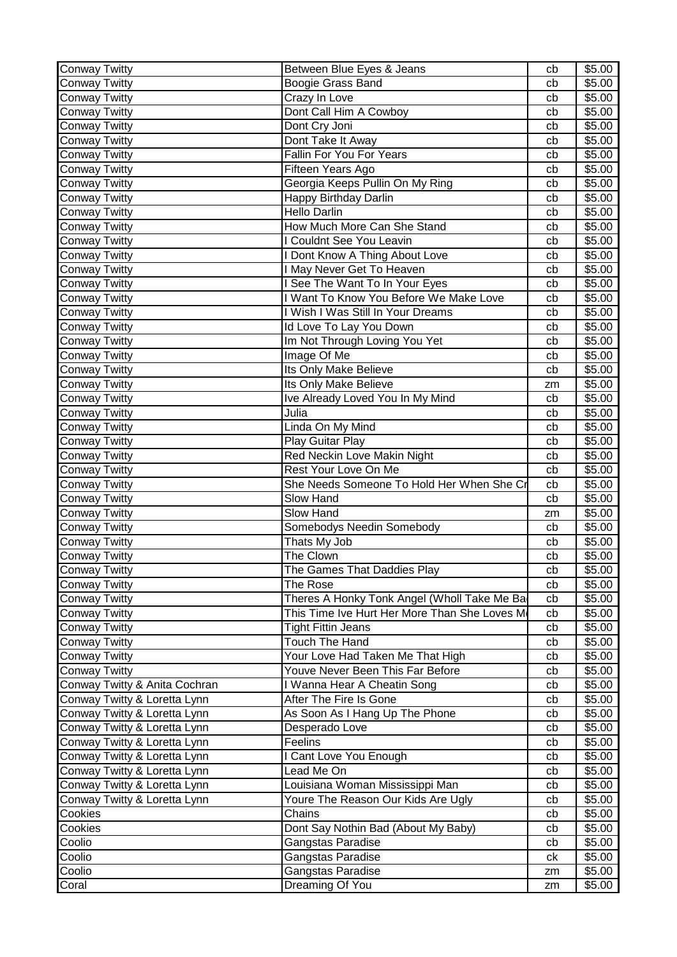| <b>Conway Twitty</b>          | Between Blue Eyes & Jeans                     | cb | \$5.00 |
|-------------------------------|-----------------------------------------------|----|--------|
| <b>Conway Twitty</b>          | Boogie Grass Band                             | cb | \$5.00 |
| <b>Conway Twitty</b>          | Crazy In Love                                 | cb | \$5.00 |
| <b>Conway Twitty</b>          | Dont Call Him A Cowboy                        | cb | \$5.00 |
| <b>Conway Twitty</b>          | Dont Cry Joni                                 | cb | \$5.00 |
| <b>Conway Twitty</b>          | Dont Take It Away                             | cb | \$5.00 |
| <b>Conway Twitty</b>          | Fallin For You For Years                      | cb | \$5.00 |
| <b>Conway Twitty</b>          | Fifteen Years Ago                             | cb | \$5.00 |
| <b>Conway Twitty</b>          | Georgia Keeps Pullin On My Ring               | cb | \$5.00 |
| <b>Conway Twitty</b>          | Happy Birthday Darlin                         | cb | \$5.00 |
| <b>Conway Twitty</b>          | <b>Hello Darlin</b>                           | cb | \$5.00 |
| Conway Twitty                 | How Much More Can She Stand                   | cb | \$5.00 |
| <b>Conway Twitty</b>          | <b>Couldnt See You Leavin</b>                 | cb | \$5.00 |
| <b>Conway Twitty</b>          | <b>I Dont Know A Thing About Love</b>         | cb | \$5.00 |
| <b>Conway Twitty</b>          | I May Never Get To Heaven                     | cb | \$5.00 |
| <b>Conway Twitty</b>          | I See The Want To In Your Eyes                | cb | \$5.00 |
| <b>Conway Twitty</b>          | I Want To Know You Before We Make Love        | cb | \$5.00 |
| <b>Conway Twitty</b>          | I Wish I Was Still In Your Dreams             | cb | \$5.00 |
| <b>Conway Twitty</b>          | Id Love To Lay You Down                       | cb | \$5.00 |
| <b>Conway Twitty</b>          | Im Not Through Loving You Yet                 | cb | \$5.00 |
| <b>Conway Twitty</b>          | Image Of Me                                   | cb | \$5.00 |
| <b>Conway Twitty</b>          | Its Only Make Believe                         | cb | \$5.00 |
| <b>Conway Twitty</b>          | Its Only Make Believe                         | zm | \$5.00 |
| <b>Conway Twitty</b>          | Ive Already Loved You In My Mind              | cb | \$5.00 |
| <b>Conway Twitty</b>          | Julia                                         | cb | \$5.00 |
| <b>Conway Twitty</b>          | Linda On My Mind                              | cb | \$5.00 |
| <b>Conway Twitty</b>          | Play Guitar Play                              | cb | \$5.00 |
| <b>Conway Twitty</b>          | <b>Red Neckin Love Makin Night</b>            | cb | \$5.00 |
| <b>Conway Twitty</b>          | Rest Your Love On Me                          | cb | \$5.00 |
| <b>Conway Twitty</b>          | She Needs Someone To Hold Her When She Cı     | cb | \$5.00 |
| <b>Conway Twitty</b>          | Slow Hand                                     | cb | \$5.00 |
| <b>Conway Twitty</b>          | Slow Hand                                     | zm | \$5.00 |
| <b>Conway Twitty</b>          | Somebodys Needin Somebody                     | cb | \$5.00 |
| <b>Conway Twitty</b>          | Thats My Job                                  | cb | \$5.00 |
| <b>Conway Twitty</b>          | The Clown                                     | cb | \$5.00 |
| <b>Conway Twitty</b>          | The Games That Daddies Play                   | cb | \$5.00 |
| <b>Conway Twitty</b>          | The Rose                                      | cb | \$5.00 |
| <b>Conway Twitty</b>          | Theres A Honky Tonk Angel (Wholl Take Me Ba   | cb | \$5.00 |
| <b>Conway Twitty</b>          | This Time Ive Hurt Her More Than She Loves Me | cb | \$5.00 |
| <b>Conway Twitty</b>          | <b>Tight Fittin Jeans</b>                     | cb | \$5.00 |
| <b>Conway Twitty</b>          | <b>Touch The Hand</b>                         | cb | \$5.00 |
| Conway Twitty                 | Your Love Had Taken Me That High              | cb | \$5.00 |
| <b>Conway Twitty</b>          | Youve Never Been This Far Before              | cb | \$5.00 |
| Conway Twitty & Anita Cochran | I Wanna Hear A Cheatin Song                   | cb | \$5.00 |
| Conway Twitty & Loretta Lynn  | After The Fire Is Gone                        | cb | \$5.00 |
| Conway Twitty & Loretta Lynn  | As Soon As I Hang Up The Phone                | cb | \$5.00 |
| Conway Twitty & Loretta Lynn  | Desperado Love                                | cb | \$5.00 |
| Conway Twitty & Loretta Lynn  | Feelins                                       | cb | \$5.00 |
| Conway Twitty & Loretta Lynn  | I Cant Love You Enough                        | cb | \$5.00 |
| Conway Twitty & Loretta Lynn  | Lead Me On                                    | cb | \$5.00 |
| Conway Twitty & Loretta Lynn  | Louisiana Woman Mississippi Man               | cb | \$5.00 |
| Conway Twitty & Loretta Lynn  | Youre The Reason Our Kids Are Ugly            | cb | \$5.00 |
| Cookies                       | Chains                                        | cb | \$5.00 |
| Cookies                       | Dont Say Nothin Bad (About My Baby)           | cb | \$5.00 |
| Coolio                        | Gangstas Paradise                             | cb | \$5.00 |
| Coolio                        | Gangstas Paradise                             | ck | \$5.00 |
| Coolio                        | Gangstas Paradise                             | zm | \$5.00 |
| Coral                         | Dreaming Of You                               | zm | \$5.00 |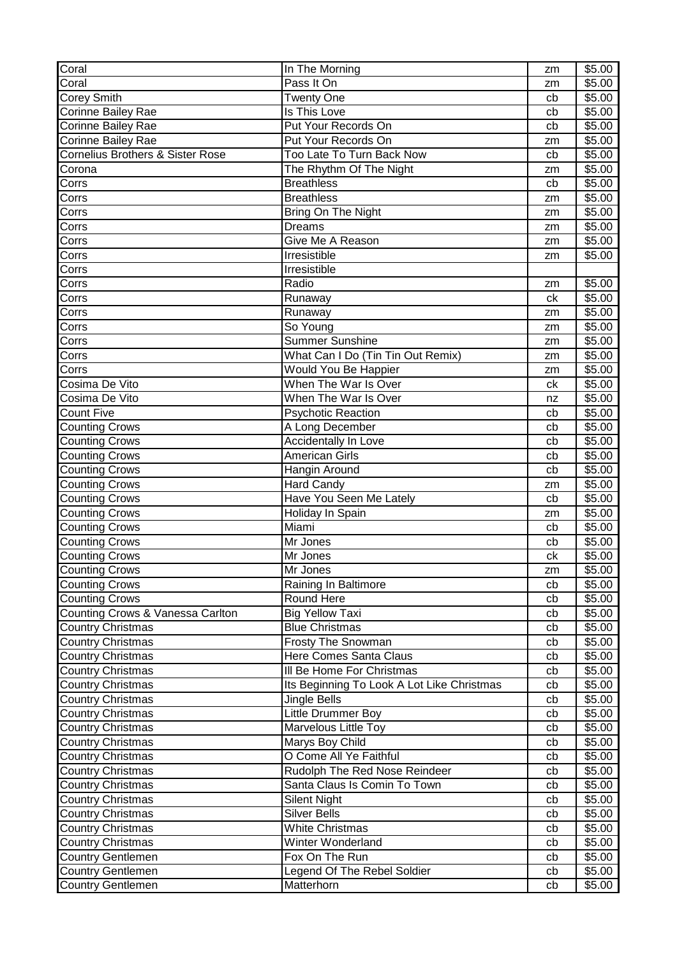| Coral                                       | In The Morning                             | zm | \$5.00 |
|---------------------------------------------|--------------------------------------------|----|--------|
| Coral                                       | Pass It On                                 | zm | \$5.00 |
| Corey Smith                                 | <b>Twenty One</b>                          | cb | \$5.00 |
| Corinne Bailey Rae                          | Is This Love                               | cb | \$5.00 |
| <b>Corinne Bailey Rae</b>                   | Put Your Records On                        | cb | \$5.00 |
| Corinne Bailey Rae                          | Put Your Records On                        | zm | \$5.00 |
| <b>Cornelius Brothers &amp; Sister Rose</b> | Too Late To Turn Back Now                  | cb | \$5.00 |
| Corona                                      | The Rhythm Of The Night                    | zm | \$5.00 |
| Corrs                                       | <b>Breathless</b>                          | cb | \$5.00 |
| Corrs                                       | <b>Breathless</b>                          | zm | \$5.00 |
| Corrs                                       | Bring On The Night                         | zm | \$5.00 |
| Corrs                                       | <b>Dreams</b>                              | zm | \$5.00 |
| Corrs                                       | Give Me A Reason                           | zm | \$5.00 |
| Corrs                                       | Irresistible                               | zm | \$5.00 |
| Corrs                                       | Irresistible                               |    |        |
| Corrs                                       | Radio                                      | zm | \$5.00 |
| Corrs                                       | Runaway                                    | ck | \$5.00 |
| Corrs                                       | Runaway                                    | zm | \$5.00 |
| Corrs                                       | So Young                                   | zm | \$5.00 |
| Corrs                                       | <b>Summer Sunshine</b>                     | zm | \$5.00 |
| Corrs                                       | What Can I Do (Tin Tin Out Remix)          | zm | \$5.00 |
| Corrs                                       | Would You Be Happier                       | zm | \$5.00 |
| Cosima De Vito                              | When The War Is Over                       | ck | \$5.00 |
| Cosima De Vito                              | When The War Is Over                       | nz | \$5.00 |
| <b>Count Five</b>                           | Psychotic Reaction                         | cb | \$5.00 |
| <b>Counting Crows</b>                       | A Long December                            | cb | \$5.00 |
| <b>Counting Crows</b>                       | Accidentally In Love                       | cb | \$5.00 |
| <b>Counting Crows</b>                       | <b>American Girls</b>                      | cb | \$5.00 |
| <b>Counting Crows</b>                       | Hangin Around                              | cb | \$5.00 |
| <b>Counting Crows</b>                       | <b>Hard Candy</b>                          | zm | \$5.00 |
| <b>Counting Crows</b>                       | Have You Seen Me Lately                    | cb | \$5.00 |
| <b>Counting Crows</b>                       | Holiday In Spain                           | zm | \$5.00 |
| Counting Crows                              | Miami                                      | cb | \$5.00 |
| <b>Counting Crows</b>                       | Mr Jones                                   | cb | \$5.00 |
| <b>Counting Crows</b>                       | Mr Jones                                   | ck | \$5.00 |
| <b>Counting Crows</b>                       | Mr Jones                                   | zm | \$5.00 |
| <b>Counting Crows</b>                       | Raining In Baltimore                       | cb | \$5.00 |
| <b>Counting Crows</b>                       | Round Here                                 | cb | \$5.00 |
| Counting Crows & Vanessa Carlton            | <b>Big Yellow Taxi</b>                     | cb | \$5.00 |
| <b>Country Christmas</b>                    | <b>Blue Christmas</b>                      | cb | \$5.00 |
| <b>Country Christmas</b>                    | Frosty The Snowman                         | cb | \$5.00 |
| <b>Country Christmas</b>                    | <b>Here Comes Santa Claus</b>              | cb | \$5.00 |
| <b>Country Christmas</b>                    | III Be Home For Christmas                  | cb | \$5.00 |
| <b>Country Christmas</b>                    | Its Beginning To Look A Lot Like Christmas | cb | \$5.00 |
| <b>Country Christmas</b>                    | Jingle Bells                               | cb | \$5.00 |
| <b>Country Christmas</b>                    | Little Drummer Boy                         | cb | \$5.00 |
| <b>Country Christmas</b>                    | <b>Marvelous Little Toy</b>                | cb | \$5.00 |
| <b>Country Christmas</b>                    | Marys Boy Child                            | cb | \$5.00 |
| <b>Country Christmas</b>                    | O Come All Ye Faithful                     | cb | \$5.00 |
| <b>Country Christmas</b>                    | Rudolph The Red Nose Reindeer              | cb | \$5.00 |
| <b>Country Christmas</b>                    | Santa Claus Is Comin To Town               | cb | \$5.00 |
| <b>Country Christmas</b>                    | <b>Silent Night</b>                        | cb | \$5.00 |
| <b>Country Christmas</b>                    | <b>Silver Bells</b>                        | cb | \$5.00 |
| Country Christmas                           | <b>White Christmas</b>                     | cb | \$5.00 |
| <b>Country Christmas</b>                    | Winter Wonderland                          | cb | \$5.00 |
| <b>Country Gentlemen</b>                    | Fox On The Run                             | cb | \$5.00 |
| <b>Country Gentlemen</b>                    | Legend Of The Rebel Soldier                | cb | \$5.00 |
| <b>Country Gentlemen</b>                    | Matterhorn                                 | cb | \$5.00 |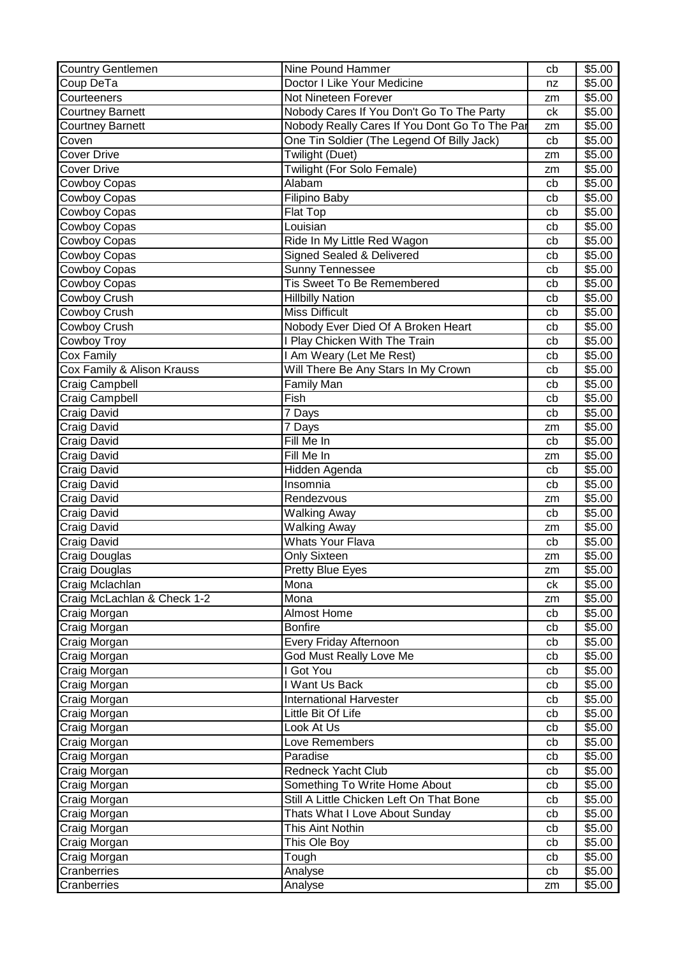| <b>Country Gentlemen</b>    | Nine Pound Hammer                             | cb | \$5.00             |
|-----------------------------|-----------------------------------------------|----|--------------------|
| Coup DeTa                   | Doctor I Like Your Medicine                   | nz | \$5.00             |
| Courteeners                 | Not Nineteen Forever                          | zm | \$5.00             |
| <b>Courtney Barnett</b>     | Nobody Cares If You Don't Go To The Party     | ck | $\overline{$}5.00$ |
| <b>Courtney Barnett</b>     | Nobody Really Cares If You Dont Go To The Par | zm | \$5.00             |
| Coven                       | One Tin Soldier (The Legend Of Billy Jack)    | cb | \$5.00             |
| <b>Cover Drive</b>          | Twilight (Duet)                               | zm | \$5.00             |
| <b>Cover Drive</b>          | Twilight (For Solo Female)                    | zm | \$5.00             |
| Cowboy Copas                | Alabam                                        | cb | \$5.00             |
| <b>Cowboy Copas</b>         | Filipino Baby                                 | cb | \$5.00             |
| Cowboy Copas                | Flat Top                                      | cb | \$5.00             |
| Cowboy Copas                | Louisian                                      | cb | \$5.00             |
| Cowboy Copas                | Ride In My Little Red Wagon                   | cb | \$5.00             |
| Cowboy Copas                | Signed Sealed & Delivered                     | cb | \$5.00             |
| <b>Cowboy Copas</b>         | <b>Sunny Tennessee</b>                        | cb | \$5.00             |
| Cowboy Copas                | Tis Sweet To Be Remembered                    | cb | \$5.00             |
| Cowboy Crush                | <b>Hillbilly Nation</b>                       | cb | \$5.00             |
| Cowboy Crush                | <b>Miss Difficult</b>                         | cb | \$5.00             |
| <b>Cowboy Crush</b>         | Nobody Ever Died Of A Broken Heart            | cb | \$5.00             |
| Cowboy Troy                 | I Play Chicken With The Train                 | cb | \$5.00             |
| Cox Family                  | I Am Weary (Let Me Rest)                      | cb | \$5.00             |
| Cox Family & Alison Krauss  | Will There Be Any Stars In My Crown           | cb | \$5.00             |
| Craig Campbell              | Family Man                                    | cb | \$5.00             |
| Craig Campbell              | Fish                                          | cb | \$5.00             |
| <b>Craig David</b>          | 7 Days                                        | cb | \$5.00             |
| Craig David                 | 7 Days                                        | zm | \$5.00             |
| Craig David                 | Fill Me In                                    | cb | \$5.00             |
| Craig David                 | Fill Me In                                    | zm | \$5.00             |
| Craig David                 | Hidden Agenda                                 | cb | \$5.00             |
| Craig David                 | Insomnia                                      | cb | \$5.00             |
| Craig David                 | Rendezvous                                    | zm | \$5.00             |
| Craig David                 | Walking Away                                  | cb | \$5.00             |
| Craig David                 | <b>Walking Away</b>                           | zm | \$5.00             |
| Craig David                 | <b>Whats Your Flava</b>                       | cb | \$5.00             |
| <b>Craig Douglas</b>        | <b>Only Sixteen</b>                           | zm | \$5.00             |
| <b>Craig Douglas</b>        | Pretty Blue Eyes                              | zm | \$5.00             |
| Craig Mclachlan             | Mona                                          | сk | \$5.00             |
| Craig McLachlan & Check 1-2 | Mona                                          | zm | \$5.00             |
| Craig Morgan                | <b>Almost Home</b>                            | cb | \$5.00             |
| Craig Morgan                | <b>Bonfire</b>                                | cb | \$5.00             |
| Craig Morgan                | Every Friday Afternoon                        | cb | \$5.00             |
| Craig Morgan                | God Must Really Love Me                       | cb | \$5.00             |
| Craig Morgan                | I Got You                                     | cb | \$5.00             |
| Craig Morgan                | I Want Us Back                                | cb | \$5.00             |
| Craig Morgan                | <b>International Harvester</b>                | cb | \$5.00             |
| Craig Morgan                | Little Bit Of Life                            | cb | \$5.00             |
| Craig Morgan                | Look At Us                                    | cb | \$5.00             |
| Craig Morgan                | Love Remembers                                | cb | \$5.00             |
| Craig Morgan                | Paradise                                      | cb | \$5.00             |
| Craig Morgan                | Redneck Yacht Club                            | cb | \$5.00             |
| Craig Morgan                | Something To Write Home About                 | cb | \$5.00             |
| Craig Morgan                | Still A Little Chicken Left On That Bone      | cb | \$5.00             |
| Craig Morgan                | Thats What I Love About Sunday                | cb | \$5.00             |
| Craig Morgan                | This Aint Nothin                              | cb | \$5.00             |
| Craig Morgan                | This Ole Boy                                  | cb | \$5.00             |
| Craig Morgan                | Tough                                         | cb | \$5.00             |
| Cranberries                 | Analyse                                       | cb | \$5.00             |
| Cranberries                 | Analyse                                       | zm | \$5.00             |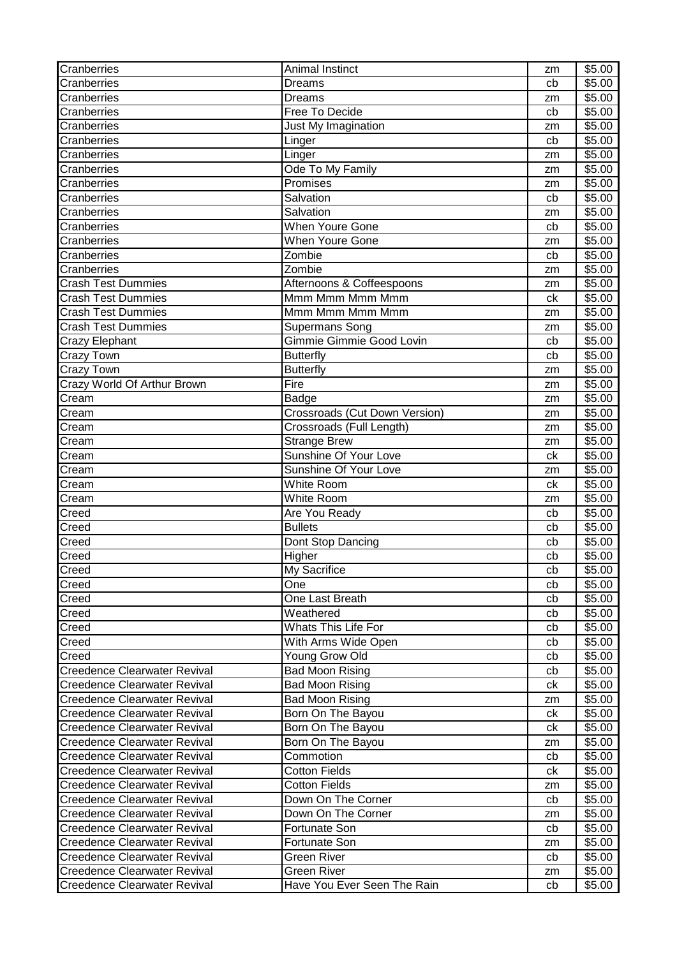| Cranberries                         | Animal Instinct               | zm       | \$5.00             |
|-------------------------------------|-------------------------------|----------|--------------------|
| Cranberries                         | <b>Dreams</b>                 | cb       | \$5.00             |
| Cranberries                         | <b>Dreams</b>                 | zm       | \$5.00             |
| Cranberries                         | Free To Decide                | cb       | \$5.00             |
| Cranberries                         | Just My Imagination           | zm       | \$5.00             |
| Cranberries                         | Linger                        | cb       | \$5.00             |
| Cranberries                         | Linger                        | zm       | \$5.00             |
| Cranberries                         | Ode To My Family              | zm       | \$5.00             |
| Cranberries                         | Promises                      | zm       | \$5.00             |
| Cranberries                         | Salvation                     | cb       | $\overline{$}5.00$ |
| Cranberries                         | Salvation                     | zm       | \$5.00             |
| Cranberries                         | <b>When Youre Gone</b>        | cb       | \$5.00             |
| Cranberries                         | <b>When Youre Gone</b>        | zm       | \$5.00             |
| Cranberries                         | Zombie                        | cb       | \$5.00             |
| Cranberries                         | Zombie                        | zm       | \$5.00             |
| Crash Test Dummies                  | Afternoons & Coffeespoons     | zm       | \$5.00             |
| <b>Crash Test Dummies</b>           | Mmm Mmm Mmm Mmm               | ck       | \$5.00             |
| Crash Test Dummies                  | Mmm Mmm Mmm Mmm               | zm       | \$5.00             |
| <b>Crash Test Dummies</b>           | <b>Supermans Song</b>         | zm       | \$5.00             |
| <b>Crazy Elephant</b>               | Gimmie Gimmie Good Lovin      | cb       | $\overline{$}5.00$ |
| Crazy Town                          | <b>Butterfly</b>              | cb       | \$5.00             |
| <b>Crazy Town</b>                   | <b>Butterfly</b>              | zm       | \$5.00             |
| Crazy World Of Arthur Brown         | Fire                          | zm       | \$5.00             |
| Cream                               | Badge                         | zm       | \$5.00             |
| Cream                               | Crossroads (Cut Down Version) | zm       | \$5.00             |
| Cream                               | Crossroads (Full Length)      | zm       | \$5.00             |
| Cream                               | <b>Strange Brew</b>           | zm       | \$5.00             |
| Cream                               | Sunshine Of Your Love         | ck       | \$5.00             |
| Cream                               | Sunshine Of Your Love         | zm       | \$5.00             |
| Cream                               | <b>White Room</b>             | ck       | \$5.00             |
| Cream                               | White Room                    | zm       | \$5.00             |
| Creed                               | Are You Ready                 | cb       | \$5.00             |
| Creed                               | <b>Bullets</b>                | cb       | \$5.00             |
| Creed                               | Dont Stop Dancing             | cb       | \$5.00             |
| Creed                               | Higher                        | cb       | $\overline{$}5.00$ |
| Creed                               | My Sacrifice                  | cb       | \$5.00             |
| Creed                               | One                           | cb       | \$5.00             |
| Creed                               | One Last Breath               | cb       | \$5.00             |
| Creed                               | Weathered                     | cb       | \$5.00             |
| Creed                               | <b>Whats This Life For</b>    | cb       | \$5.00             |
| Creed                               | With Arms Wide Open           | cb       | \$5.00             |
| Creed                               | Young Grow Old                | cb       | \$5.00             |
| Creedence Clearwater Revival        | <b>Bad Moon Rising</b>        | cb       | \$5.00             |
| <b>Creedence Clearwater Revival</b> | <b>Bad Moon Rising</b>        | ck       | \$5.00             |
| <b>Creedence Clearwater Revival</b> | <b>Bad Moon Rising</b>        | zm       | \$5.00             |
| <b>Creedence Clearwater Revival</b> | Born On The Bayou             | ck       | \$5.00             |
| <b>Creedence Clearwater Revival</b> | Born On The Bayou             | ck       | \$5.00             |
| <b>Creedence Clearwater Revival</b> | Born On The Bayou             | zm       | \$5.00             |
| <b>Creedence Clearwater Revival</b> | Commotion                     | cb       | \$5.00             |
| <b>Creedence Clearwater Revival</b> | <b>Cotton Fields</b>          | ck       | \$5.00             |
| <b>Creedence Clearwater Revival</b> | <b>Cotton Fields</b>          |          | \$5.00             |
| <b>Creedence Clearwater Revival</b> | Down On The Corner            | zm<br>cb | \$5.00             |
| <b>Creedence Clearwater Revival</b> | Down On The Corner            | zm       | \$5.00             |
| <b>Creedence Clearwater Revival</b> | Fortunate Son                 | cb       | \$5.00             |
| <b>Creedence Clearwater Revival</b> | Fortunate Son                 | zm       | \$5.00             |
| <b>Creedence Clearwater Revival</b> | <b>Green River</b>            | cb       | \$5.00             |
| <b>Creedence Clearwater Revival</b> | Green River                   |          | \$5.00             |
| Creedence Clearwater Revival        | Have You Ever Seen The Rain   | zm       | \$5.00             |
|                                     |                               | cb       |                    |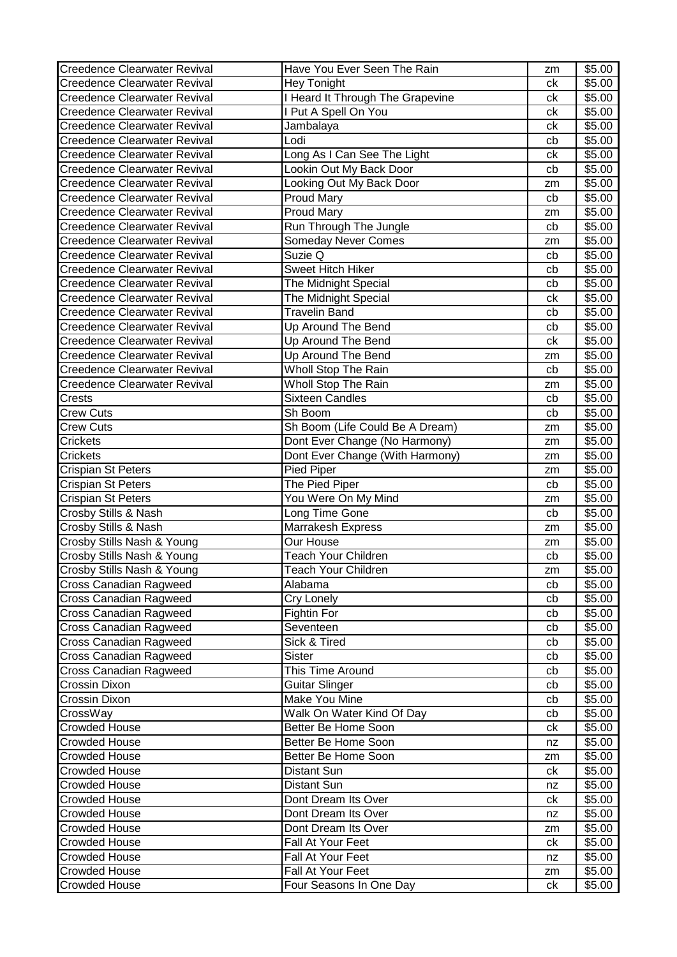| Creedence Clearwater Revival                 | Have You Ever Seen The Rain                  | zm       | \$5.00           |
|----------------------------------------------|----------------------------------------------|----------|------------------|
| <b>Creedence Clearwater Revival</b>          | Hey Tonight                                  | ck       | \$5.00           |
| <b>Creedence Clearwater Revival</b>          | <b>Heard It Through The Grapevine</b>        | ck       | \$5.00           |
| <b>Creedence Clearwater Revival</b>          | I Put A Spell On You                         | ck       | \$5.00           |
| <b>Creedence Clearwater Revival</b>          | Jambalaya                                    | ck       | \$5.00           |
| <b>Creedence Clearwater Revival</b>          | Lodi                                         | cb       | \$5.00           |
| <b>Creedence Clearwater Revival</b>          | Long As I Can See The Light                  | ck       | \$5.00           |
| <b>Creedence Clearwater Revival</b>          | Lookin Out My Back Door                      | cb       | \$5.00           |
| <b>Creedence Clearwater Revival</b>          | Looking Out My Back Door                     | zm       | \$5.00           |
| <b>Creedence Clearwater Revival</b>          | <b>Proud Mary</b>                            | cb       | \$5.00           |
| <b>Creedence Clearwater Revival</b>          | <b>Proud Mary</b>                            | zm       | \$5.00           |
| <b>Creedence Clearwater Revival</b>          | Run Through The Jungle                       | cb       | \$5.00           |
| <b>Creedence Clearwater Revival</b>          | <b>Someday Never Comes</b>                   | zm       | \$5.00           |
| <b>Creedence Clearwater Revival</b>          | Suzie Q                                      | cb       | \$5.00           |
| <b>Creedence Clearwater Revival</b>          | Sweet Hitch Hiker                            | cb       | \$5.00           |
| <b>Creedence Clearwater Revival</b>          | The Midnight Special                         | cb       | \$5.00           |
| <b>Creedence Clearwater Revival</b>          | The Midnight Special                         | ck       | \$5.00           |
| <b>Creedence Clearwater Revival</b>          | <b>Travelin Band</b>                         | cb       | \$5.00           |
| <b>Creedence Clearwater Revival</b>          | Up Around The Bend                           | cb       | \$5.00           |
| <b>Creedence Clearwater Revival</b>          | Up Around The Bend                           | ck       | \$5.00           |
| <b>Creedence Clearwater Revival</b>          | Up Around The Bend                           | zm       | \$5.00           |
| <b>Creedence Clearwater Revival</b>          | <b>Wholl Stop The Rain</b>                   | cb       | \$5.00           |
| <b>Creedence Clearwater Revival</b>          | Wholl Stop The Rain                          | zm       | \$5.00           |
| Crests                                       | <b>Sixteen Candles</b>                       | cb       | \$5.00           |
| Crew Cuts                                    | Sh Boom                                      | cb       | \$5.00           |
| <b>Crew Cuts</b>                             | Sh Boom (Life Could Be A Dream)              | zm       | \$5.00           |
| Crickets                                     | Dont Ever Change (No Harmony)                | zm       | \$5.00           |
| Crickets                                     | Dont Ever Change (With Harmony)              | zm       | \$5.00           |
|                                              | Pied Piper                                   | zm       | \$5.00           |
| Crispian St Peters                           |                                              |          |                  |
| Crispian St Peters                           | The Pied Piper                               | cb       | \$5.00           |
| Crispian St Peters                           | You Were On My Mind                          | zm       | \$5.00           |
| Crosby Stills & Nash                         | Long Time Gone                               | cb       | \$5.00           |
| Crosby Stills & Nash                         | Marrakesh Express                            | zm       | \$5.00           |
| Crosby Stills Nash & Young                   | Our House                                    | zm       | \$5.00           |
| Crosby Stills Nash & Young                   | <b>Teach Your Children</b>                   | cb       | \$5.00           |
| Crosby Stills Nash & Young                   | <b>Teach Your Children</b>                   | zm       | \$5.00           |
| <b>Cross Canadian Ragweed</b>                | Alabama                                      | cb       | \$5.00           |
| Cross Canadian Ragweed                       | Cry Lonely                                   | cb       | \$5.00           |
| <b>Cross Canadian Ragweed</b>                | Fightin For                                  | cb       | \$5.00           |
| <b>Cross Canadian Ragweed</b>                | Seventeen                                    | cb       | \$5.00           |
| <b>Cross Canadian Ragweed</b>                | Sick & Tired                                 | cb       | \$5.00           |
| <b>Cross Canadian Ragweed</b>                | Sister                                       | cb       | \$5.00           |
| <b>Cross Canadian Ragweed</b>                | This Time Around                             | cb       | \$5.00           |
| Crossin Dixon                                | <b>Guitar Slinger</b>                        | cb       | \$5.00           |
| Crossin Dixon                                | <b>Make You Mine</b>                         | cb       | \$5.00           |
| CrossWay                                     | Walk On Water Kind Of Day                    | cb       | \$5.00           |
| <b>Crowded House</b>                         | Better Be Home Soon                          | ck       | \$5.00           |
| <b>Crowded House</b>                         | Better Be Home Soon                          | nz       | \$5.00           |
| <b>Crowded House</b>                         | Better Be Home Soon                          | zm       | \$5.00           |
| <b>Crowded House</b>                         | Distant Sun                                  | ck       | \$5.00           |
| <b>Crowded House</b>                         | Distant Sun                                  | nz       | \$5.00           |
| <b>Crowded House</b>                         | Dont Dream Its Over                          | ck       | \$5.00           |
| <b>Crowded House</b>                         | Dont Dream Its Over                          | nz       | \$5.00           |
| <b>Crowded House</b>                         | Dont Dream Its Over                          | zm       | \$5.00           |
| <b>Crowded House</b>                         | Fall At Your Feet                            | ck       | \$5.00           |
| <b>Crowded House</b>                         | Fall At Your Feet                            | nz       | \$5.00           |
| <b>Crowded House</b><br><b>Crowded House</b> | Fall At Your Feet<br>Four Seasons In One Day | zm<br>ck | \$5.00<br>\$5.00 |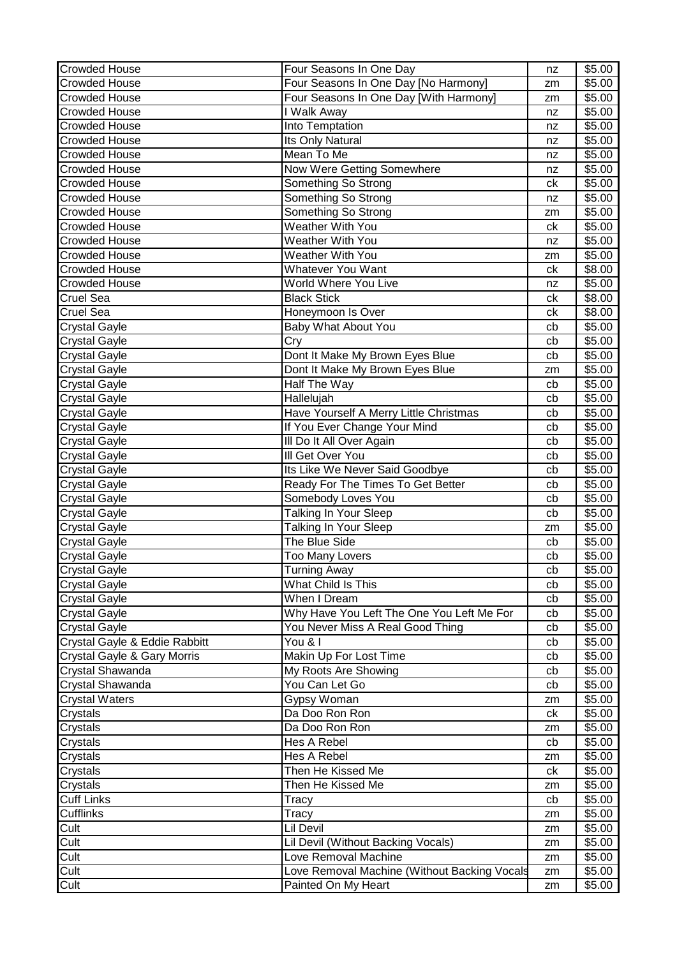| Four Seasons In One Day [No Harmony]<br><b>Crowded House</b><br>\$5.00<br>zm<br><b>Crowded House</b><br>Four Seasons In One Day [With Harmony]<br>\$5.00<br>zm<br>Crowded House<br>I Walk Away<br>\$5.00<br>nz<br><b>Crowded House</b><br>Into Temptation<br>\$5.00<br>nz<br><b>Crowded House</b><br>Its Only Natural<br>\$5.00<br>nz<br><b>Crowded House</b><br>Mean To Me<br>\$5.00<br>nz<br>Now Were Getting Somewhere<br><b>Crowded House</b><br>\$5.00<br>nz<br><b>Crowded House</b><br>Something So Strong<br>\$5.00<br>ck<br>Something So Strong<br><b>Crowded House</b><br>\$5.00<br>nz<br>Something So Strong<br><b>Crowded House</b><br>\$5.00<br>zm<br><b>Crowded House</b><br>Weather With You<br>\$5.00<br>сk<br><b>Crowded House</b><br><b>Weather With You</b><br>\$5.00<br>nz<br><b>Crowded House</b><br><b>Weather With You</b><br>\$5.00<br>zm<br><b>Crowded House</b><br><b>Whatever You Want</b><br>\$8.00<br>ck<br><b>Crowded House</b><br>World Where You Live<br>\$5.00<br>nz<br><b>Black Stick</b><br><b>Cruel Sea</b><br>\$8.00<br>ck<br><b>Cruel Sea</b><br>Honeymoon Is Over<br>ck<br>\$8.00<br>Baby What About You<br><b>Crystal Gayle</b><br>\$5.00<br>cb<br><b>Crystal Gayle</b><br>\$5.00<br>Cry<br>cb<br>Crystal Gayle<br>Dont It Make My Brown Eyes Blue<br>\$5.00<br>cb<br>\$5.00<br><b>Crystal Gayle</b><br>Dont It Make My Brown Eyes Blue<br>zm<br>Half The Way<br>$\overline{$}5.00$<br><b>Crystal Gayle</b><br>cb<br>\$5.00<br><b>Crystal Gayle</b><br>Hallelujah<br>cb<br>Have Yourself A Merry Little Christmas<br><b>Crystal Gayle</b><br>\$5.00<br>cb<br>If You Ever Change Your Mind<br>\$5.00<br><b>Crystal Gayle</b><br>cb<br>III Do It All Over Again<br>\$5.00<br><b>Crystal Gayle</b><br>cb<br>III Get Over You<br><b>Crystal Gayle</b><br>\$5.00<br>cb<br>Its Like We Never Said Goodbye<br>\$5.00<br><b>Crystal Gayle</b><br>cb<br>Ready For The Times To Get Better<br><b>Crystal Gayle</b><br>\$5.00<br>cb<br>Somebody Loves You<br>\$5.00<br><b>Crystal Gayle</b><br>cb<br><b>Talking In Your Sleep</b><br>\$5.00<br><b>Crystal Gayle</b><br>cb<br><b>Crystal Gayle</b><br>Talking In Your Sleep<br>\$5.00<br>zm<br>The Blue Side<br><b>Crystal Gayle</b><br>\$5.00<br>cb<br><b>Crystal Gayle</b><br><b>Too Many Lovers</b><br>\$5.00<br>cb<br>Crystal Gayle<br>\$5.00<br><b>Turning Away</b><br>cb<br><b>Crystal Gayle</b><br>What Child Is This<br>\$5.00<br>cb<br>When I Dream<br>\$5.00<br><b>Crystal Gayle</b><br>cb<br>Why Have You Left The One You Left Me For<br>\$5.00<br><b>Crystal Gayle</b><br>cb<br><b>Crystal Gayle</b><br>You Never Miss A Real Good Thing<br>\$5.00<br>cb<br>Crystal Gayle & Eddie Rabbitt<br>You & I<br>\$5.00<br>cb<br>Makin Up For Lost Time<br>Crystal Gayle & Gary Morris<br>\$5.00<br>cb<br>Crystal Shawanda<br>My Roots Are Showing<br>\$5.00<br>cb<br>Crystal Shawanda<br>You Can Let Go<br>\$5.00<br>cb<br>Crystal Waters<br>Gypsy Woman<br>\$5.00<br>zm<br>Crystals<br>Da Doo Ron Ron<br>\$5.00<br>ck<br>\$5.00<br>Crystals<br>Da Doo Ron Ron<br>zm<br>Hes A Rebel<br>\$5.00<br>Crystals<br>cb<br>Hes A Rebel<br>Crystals<br>\$5.00<br>zm<br>Then He Kissed Me<br>Crystals<br>\$5.00<br>ck<br>\$5.00<br>Crystals<br>Then He Kissed Me<br>zm<br><b>Cuff Links</b><br>\$5.00<br>Tracy<br>cb<br><b>Cufflinks</b><br>\$5.00<br>Tracy<br>zm<br>Cult<br>Lil Devil<br>\$5.00<br>zm<br>Cult<br>Lil Devil (Without Backing Vocals)<br>$\overline{$}5.00$<br>zm<br>Cult<br>Love Removal Machine<br>\$5.00<br>zm<br>Cult<br>Love Removal Machine (Without Backing Vocals<br>\$5.00<br>zm<br>Cult<br>Painted On My Heart<br>\$5.00<br>zm | <b>Crowded House</b> | Four Seasons In One Day | nz | \$5.00 |
|-------------------------------------------------------------------------------------------------------------------------------------------------------------------------------------------------------------------------------------------------------------------------------------------------------------------------------------------------------------------------------------------------------------------------------------------------------------------------------------------------------------------------------------------------------------------------------------------------------------------------------------------------------------------------------------------------------------------------------------------------------------------------------------------------------------------------------------------------------------------------------------------------------------------------------------------------------------------------------------------------------------------------------------------------------------------------------------------------------------------------------------------------------------------------------------------------------------------------------------------------------------------------------------------------------------------------------------------------------------------------------------------------------------------------------------------------------------------------------------------------------------------------------------------------------------------------------------------------------------------------------------------------------------------------------------------------------------------------------------------------------------------------------------------------------------------------------------------------------------------------------------------------------------------------------------------------------------------------------------------------------------------------------------------------------------------------------------------------------------------------------------------------------------------------------------------------------------------------------------------------------------------------------------------------------------------------------------------------------------------------------------------------------------------------------------------------------------------------------------------------------------------------------------------------------------------------------------------------------------------------------------------------------------------------------------------------------------------------------------------------------------------------------------------------------------------------------------------------------------------------------------------------------------------------------------------------------------------------------------------------------------------------------------------------------------------------------------------------------------------------------------------------------------------------------------------------------------------------------------------------------------------------------------------------------------------------------------------------------------------------------------------------------------------------------------------------------------------------------------------------------------------------------------------------------------------------------------------------------------------------------|----------------------|-------------------------|----|--------|
|                                                                                                                                                                                                                                                                                                                                                                                                                                                                                                                                                                                                                                                                                                                                                                                                                                                                                                                                                                                                                                                                                                                                                                                                                                                                                                                                                                                                                                                                                                                                                                                                                                                                                                                                                                                                                                                                                                                                                                                                                                                                                                                                                                                                                                                                                                                                                                                                                                                                                                                                                                                                                                                                                                                                                                                                                                                                                                                                                                                                                                                                                                                                                                                                                                                                                                                                                                                                                                                                                                                                                                                                                               |                      |                         |    |        |
|                                                                                                                                                                                                                                                                                                                                                                                                                                                                                                                                                                                                                                                                                                                                                                                                                                                                                                                                                                                                                                                                                                                                                                                                                                                                                                                                                                                                                                                                                                                                                                                                                                                                                                                                                                                                                                                                                                                                                                                                                                                                                                                                                                                                                                                                                                                                                                                                                                                                                                                                                                                                                                                                                                                                                                                                                                                                                                                                                                                                                                                                                                                                                                                                                                                                                                                                                                                                                                                                                                                                                                                                                               |                      |                         |    |        |
|                                                                                                                                                                                                                                                                                                                                                                                                                                                                                                                                                                                                                                                                                                                                                                                                                                                                                                                                                                                                                                                                                                                                                                                                                                                                                                                                                                                                                                                                                                                                                                                                                                                                                                                                                                                                                                                                                                                                                                                                                                                                                                                                                                                                                                                                                                                                                                                                                                                                                                                                                                                                                                                                                                                                                                                                                                                                                                                                                                                                                                                                                                                                                                                                                                                                                                                                                                                                                                                                                                                                                                                                                               |                      |                         |    |        |
|                                                                                                                                                                                                                                                                                                                                                                                                                                                                                                                                                                                                                                                                                                                                                                                                                                                                                                                                                                                                                                                                                                                                                                                                                                                                                                                                                                                                                                                                                                                                                                                                                                                                                                                                                                                                                                                                                                                                                                                                                                                                                                                                                                                                                                                                                                                                                                                                                                                                                                                                                                                                                                                                                                                                                                                                                                                                                                                                                                                                                                                                                                                                                                                                                                                                                                                                                                                                                                                                                                                                                                                                                               |                      |                         |    |        |
|                                                                                                                                                                                                                                                                                                                                                                                                                                                                                                                                                                                                                                                                                                                                                                                                                                                                                                                                                                                                                                                                                                                                                                                                                                                                                                                                                                                                                                                                                                                                                                                                                                                                                                                                                                                                                                                                                                                                                                                                                                                                                                                                                                                                                                                                                                                                                                                                                                                                                                                                                                                                                                                                                                                                                                                                                                                                                                                                                                                                                                                                                                                                                                                                                                                                                                                                                                                                                                                                                                                                                                                                                               |                      |                         |    |        |
|                                                                                                                                                                                                                                                                                                                                                                                                                                                                                                                                                                                                                                                                                                                                                                                                                                                                                                                                                                                                                                                                                                                                                                                                                                                                                                                                                                                                                                                                                                                                                                                                                                                                                                                                                                                                                                                                                                                                                                                                                                                                                                                                                                                                                                                                                                                                                                                                                                                                                                                                                                                                                                                                                                                                                                                                                                                                                                                                                                                                                                                                                                                                                                                                                                                                                                                                                                                                                                                                                                                                                                                                                               |                      |                         |    |        |
|                                                                                                                                                                                                                                                                                                                                                                                                                                                                                                                                                                                                                                                                                                                                                                                                                                                                                                                                                                                                                                                                                                                                                                                                                                                                                                                                                                                                                                                                                                                                                                                                                                                                                                                                                                                                                                                                                                                                                                                                                                                                                                                                                                                                                                                                                                                                                                                                                                                                                                                                                                                                                                                                                                                                                                                                                                                                                                                                                                                                                                                                                                                                                                                                                                                                                                                                                                                                                                                                                                                                                                                                                               |                      |                         |    |        |
|                                                                                                                                                                                                                                                                                                                                                                                                                                                                                                                                                                                                                                                                                                                                                                                                                                                                                                                                                                                                                                                                                                                                                                                                                                                                                                                                                                                                                                                                                                                                                                                                                                                                                                                                                                                                                                                                                                                                                                                                                                                                                                                                                                                                                                                                                                                                                                                                                                                                                                                                                                                                                                                                                                                                                                                                                                                                                                                                                                                                                                                                                                                                                                                                                                                                                                                                                                                                                                                                                                                                                                                                                               |                      |                         |    |        |
|                                                                                                                                                                                                                                                                                                                                                                                                                                                                                                                                                                                                                                                                                                                                                                                                                                                                                                                                                                                                                                                                                                                                                                                                                                                                                                                                                                                                                                                                                                                                                                                                                                                                                                                                                                                                                                                                                                                                                                                                                                                                                                                                                                                                                                                                                                                                                                                                                                                                                                                                                                                                                                                                                                                                                                                                                                                                                                                                                                                                                                                                                                                                                                                                                                                                                                                                                                                                                                                                                                                                                                                                                               |                      |                         |    |        |
|                                                                                                                                                                                                                                                                                                                                                                                                                                                                                                                                                                                                                                                                                                                                                                                                                                                                                                                                                                                                                                                                                                                                                                                                                                                                                                                                                                                                                                                                                                                                                                                                                                                                                                                                                                                                                                                                                                                                                                                                                                                                                                                                                                                                                                                                                                                                                                                                                                                                                                                                                                                                                                                                                                                                                                                                                                                                                                                                                                                                                                                                                                                                                                                                                                                                                                                                                                                                                                                                                                                                                                                                                               |                      |                         |    |        |
|                                                                                                                                                                                                                                                                                                                                                                                                                                                                                                                                                                                                                                                                                                                                                                                                                                                                                                                                                                                                                                                                                                                                                                                                                                                                                                                                                                                                                                                                                                                                                                                                                                                                                                                                                                                                                                                                                                                                                                                                                                                                                                                                                                                                                                                                                                                                                                                                                                                                                                                                                                                                                                                                                                                                                                                                                                                                                                                                                                                                                                                                                                                                                                                                                                                                                                                                                                                                                                                                                                                                                                                                                               |                      |                         |    |        |
|                                                                                                                                                                                                                                                                                                                                                                                                                                                                                                                                                                                                                                                                                                                                                                                                                                                                                                                                                                                                                                                                                                                                                                                                                                                                                                                                                                                                                                                                                                                                                                                                                                                                                                                                                                                                                                                                                                                                                                                                                                                                                                                                                                                                                                                                                                                                                                                                                                                                                                                                                                                                                                                                                                                                                                                                                                                                                                                                                                                                                                                                                                                                                                                                                                                                                                                                                                                                                                                                                                                                                                                                                               |                      |                         |    |        |
|                                                                                                                                                                                                                                                                                                                                                                                                                                                                                                                                                                                                                                                                                                                                                                                                                                                                                                                                                                                                                                                                                                                                                                                                                                                                                                                                                                                                                                                                                                                                                                                                                                                                                                                                                                                                                                                                                                                                                                                                                                                                                                                                                                                                                                                                                                                                                                                                                                                                                                                                                                                                                                                                                                                                                                                                                                                                                                                                                                                                                                                                                                                                                                                                                                                                                                                                                                                                                                                                                                                                                                                                                               |                      |                         |    |        |
|                                                                                                                                                                                                                                                                                                                                                                                                                                                                                                                                                                                                                                                                                                                                                                                                                                                                                                                                                                                                                                                                                                                                                                                                                                                                                                                                                                                                                                                                                                                                                                                                                                                                                                                                                                                                                                                                                                                                                                                                                                                                                                                                                                                                                                                                                                                                                                                                                                                                                                                                                                                                                                                                                                                                                                                                                                                                                                                                                                                                                                                                                                                                                                                                                                                                                                                                                                                                                                                                                                                                                                                                                               |                      |                         |    |        |
|                                                                                                                                                                                                                                                                                                                                                                                                                                                                                                                                                                                                                                                                                                                                                                                                                                                                                                                                                                                                                                                                                                                                                                                                                                                                                                                                                                                                                                                                                                                                                                                                                                                                                                                                                                                                                                                                                                                                                                                                                                                                                                                                                                                                                                                                                                                                                                                                                                                                                                                                                                                                                                                                                                                                                                                                                                                                                                                                                                                                                                                                                                                                                                                                                                                                                                                                                                                                                                                                                                                                                                                                                               |                      |                         |    |        |
|                                                                                                                                                                                                                                                                                                                                                                                                                                                                                                                                                                                                                                                                                                                                                                                                                                                                                                                                                                                                                                                                                                                                                                                                                                                                                                                                                                                                                                                                                                                                                                                                                                                                                                                                                                                                                                                                                                                                                                                                                                                                                                                                                                                                                                                                                                                                                                                                                                                                                                                                                                                                                                                                                                                                                                                                                                                                                                                                                                                                                                                                                                                                                                                                                                                                                                                                                                                                                                                                                                                                                                                                                               |                      |                         |    |        |
|                                                                                                                                                                                                                                                                                                                                                                                                                                                                                                                                                                                                                                                                                                                                                                                                                                                                                                                                                                                                                                                                                                                                                                                                                                                                                                                                                                                                                                                                                                                                                                                                                                                                                                                                                                                                                                                                                                                                                                                                                                                                                                                                                                                                                                                                                                                                                                                                                                                                                                                                                                                                                                                                                                                                                                                                                                                                                                                                                                                                                                                                                                                                                                                                                                                                                                                                                                                                                                                                                                                                                                                                                               |                      |                         |    |        |
|                                                                                                                                                                                                                                                                                                                                                                                                                                                                                                                                                                                                                                                                                                                                                                                                                                                                                                                                                                                                                                                                                                                                                                                                                                                                                                                                                                                                                                                                                                                                                                                                                                                                                                                                                                                                                                                                                                                                                                                                                                                                                                                                                                                                                                                                                                                                                                                                                                                                                                                                                                                                                                                                                                                                                                                                                                                                                                                                                                                                                                                                                                                                                                                                                                                                                                                                                                                                                                                                                                                                                                                                                               |                      |                         |    |        |
|                                                                                                                                                                                                                                                                                                                                                                                                                                                                                                                                                                                                                                                                                                                                                                                                                                                                                                                                                                                                                                                                                                                                                                                                                                                                                                                                                                                                                                                                                                                                                                                                                                                                                                                                                                                                                                                                                                                                                                                                                                                                                                                                                                                                                                                                                                                                                                                                                                                                                                                                                                                                                                                                                                                                                                                                                                                                                                                                                                                                                                                                                                                                                                                                                                                                                                                                                                                                                                                                                                                                                                                                                               |                      |                         |    |        |
|                                                                                                                                                                                                                                                                                                                                                                                                                                                                                                                                                                                                                                                                                                                                                                                                                                                                                                                                                                                                                                                                                                                                                                                                                                                                                                                                                                                                                                                                                                                                                                                                                                                                                                                                                                                                                                                                                                                                                                                                                                                                                                                                                                                                                                                                                                                                                                                                                                                                                                                                                                                                                                                                                                                                                                                                                                                                                                                                                                                                                                                                                                                                                                                                                                                                                                                                                                                                                                                                                                                                                                                                                               |                      |                         |    |        |
|                                                                                                                                                                                                                                                                                                                                                                                                                                                                                                                                                                                                                                                                                                                                                                                                                                                                                                                                                                                                                                                                                                                                                                                                                                                                                                                                                                                                                                                                                                                                                                                                                                                                                                                                                                                                                                                                                                                                                                                                                                                                                                                                                                                                                                                                                                                                                                                                                                                                                                                                                                                                                                                                                                                                                                                                                                                                                                                                                                                                                                                                                                                                                                                                                                                                                                                                                                                                                                                                                                                                                                                                                               |                      |                         |    |        |
|                                                                                                                                                                                                                                                                                                                                                                                                                                                                                                                                                                                                                                                                                                                                                                                                                                                                                                                                                                                                                                                                                                                                                                                                                                                                                                                                                                                                                                                                                                                                                                                                                                                                                                                                                                                                                                                                                                                                                                                                                                                                                                                                                                                                                                                                                                                                                                                                                                                                                                                                                                                                                                                                                                                                                                                                                                                                                                                                                                                                                                                                                                                                                                                                                                                                                                                                                                                                                                                                                                                                                                                                                               |                      |                         |    |        |
|                                                                                                                                                                                                                                                                                                                                                                                                                                                                                                                                                                                                                                                                                                                                                                                                                                                                                                                                                                                                                                                                                                                                                                                                                                                                                                                                                                                                                                                                                                                                                                                                                                                                                                                                                                                                                                                                                                                                                                                                                                                                                                                                                                                                                                                                                                                                                                                                                                                                                                                                                                                                                                                                                                                                                                                                                                                                                                                                                                                                                                                                                                                                                                                                                                                                                                                                                                                                                                                                                                                                                                                                                               |                      |                         |    |        |
|                                                                                                                                                                                                                                                                                                                                                                                                                                                                                                                                                                                                                                                                                                                                                                                                                                                                                                                                                                                                                                                                                                                                                                                                                                                                                                                                                                                                                                                                                                                                                                                                                                                                                                                                                                                                                                                                                                                                                                                                                                                                                                                                                                                                                                                                                                                                                                                                                                                                                                                                                                                                                                                                                                                                                                                                                                                                                                                                                                                                                                                                                                                                                                                                                                                                                                                                                                                                                                                                                                                                                                                                                               |                      |                         |    |        |
|                                                                                                                                                                                                                                                                                                                                                                                                                                                                                                                                                                                                                                                                                                                                                                                                                                                                                                                                                                                                                                                                                                                                                                                                                                                                                                                                                                                                                                                                                                                                                                                                                                                                                                                                                                                                                                                                                                                                                                                                                                                                                                                                                                                                                                                                                                                                                                                                                                                                                                                                                                                                                                                                                                                                                                                                                                                                                                                                                                                                                                                                                                                                                                                                                                                                                                                                                                                                                                                                                                                                                                                                                               |                      |                         |    |        |
|                                                                                                                                                                                                                                                                                                                                                                                                                                                                                                                                                                                                                                                                                                                                                                                                                                                                                                                                                                                                                                                                                                                                                                                                                                                                                                                                                                                                                                                                                                                                                                                                                                                                                                                                                                                                                                                                                                                                                                                                                                                                                                                                                                                                                                                                                                                                                                                                                                                                                                                                                                                                                                                                                                                                                                                                                                                                                                                                                                                                                                                                                                                                                                                                                                                                                                                                                                                                                                                                                                                                                                                                                               |                      |                         |    |        |
|                                                                                                                                                                                                                                                                                                                                                                                                                                                                                                                                                                                                                                                                                                                                                                                                                                                                                                                                                                                                                                                                                                                                                                                                                                                                                                                                                                                                                                                                                                                                                                                                                                                                                                                                                                                                                                                                                                                                                                                                                                                                                                                                                                                                                                                                                                                                                                                                                                                                                                                                                                                                                                                                                                                                                                                                                                                                                                                                                                                                                                                                                                                                                                                                                                                                                                                                                                                                                                                                                                                                                                                                                               |                      |                         |    |        |
|                                                                                                                                                                                                                                                                                                                                                                                                                                                                                                                                                                                                                                                                                                                                                                                                                                                                                                                                                                                                                                                                                                                                                                                                                                                                                                                                                                                                                                                                                                                                                                                                                                                                                                                                                                                                                                                                                                                                                                                                                                                                                                                                                                                                                                                                                                                                                                                                                                                                                                                                                                                                                                                                                                                                                                                                                                                                                                                                                                                                                                                                                                                                                                                                                                                                                                                                                                                                                                                                                                                                                                                                                               |                      |                         |    |        |
|                                                                                                                                                                                                                                                                                                                                                                                                                                                                                                                                                                                                                                                                                                                                                                                                                                                                                                                                                                                                                                                                                                                                                                                                                                                                                                                                                                                                                                                                                                                                                                                                                                                                                                                                                                                                                                                                                                                                                                                                                                                                                                                                                                                                                                                                                                                                                                                                                                                                                                                                                                                                                                                                                                                                                                                                                                                                                                                                                                                                                                                                                                                                                                                                                                                                                                                                                                                                                                                                                                                                                                                                                               |                      |                         |    |        |
|                                                                                                                                                                                                                                                                                                                                                                                                                                                                                                                                                                                                                                                                                                                                                                                                                                                                                                                                                                                                                                                                                                                                                                                                                                                                                                                                                                                                                                                                                                                                                                                                                                                                                                                                                                                                                                                                                                                                                                                                                                                                                                                                                                                                                                                                                                                                                                                                                                                                                                                                                                                                                                                                                                                                                                                                                                                                                                                                                                                                                                                                                                                                                                                                                                                                                                                                                                                                                                                                                                                                                                                                                               |                      |                         |    |        |
|                                                                                                                                                                                                                                                                                                                                                                                                                                                                                                                                                                                                                                                                                                                                                                                                                                                                                                                                                                                                                                                                                                                                                                                                                                                                                                                                                                                                                                                                                                                                                                                                                                                                                                                                                                                                                                                                                                                                                                                                                                                                                                                                                                                                                                                                                                                                                                                                                                                                                                                                                                                                                                                                                                                                                                                                                                                                                                                                                                                                                                                                                                                                                                                                                                                                                                                                                                                                                                                                                                                                                                                                                               |                      |                         |    |        |
|                                                                                                                                                                                                                                                                                                                                                                                                                                                                                                                                                                                                                                                                                                                                                                                                                                                                                                                                                                                                                                                                                                                                                                                                                                                                                                                                                                                                                                                                                                                                                                                                                                                                                                                                                                                                                                                                                                                                                                                                                                                                                                                                                                                                                                                                                                                                                                                                                                                                                                                                                                                                                                                                                                                                                                                                                                                                                                                                                                                                                                                                                                                                                                                                                                                                                                                                                                                                                                                                                                                                                                                                                               |                      |                         |    |        |
|                                                                                                                                                                                                                                                                                                                                                                                                                                                                                                                                                                                                                                                                                                                                                                                                                                                                                                                                                                                                                                                                                                                                                                                                                                                                                                                                                                                                                                                                                                                                                                                                                                                                                                                                                                                                                                                                                                                                                                                                                                                                                                                                                                                                                                                                                                                                                                                                                                                                                                                                                                                                                                                                                                                                                                                                                                                                                                                                                                                                                                                                                                                                                                                                                                                                                                                                                                                                                                                                                                                                                                                                                               |                      |                         |    |        |
|                                                                                                                                                                                                                                                                                                                                                                                                                                                                                                                                                                                                                                                                                                                                                                                                                                                                                                                                                                                                                                                                                                                                                                                                                                                                                                                                                                                                                                                                                                                                                                                                                                                                                                                                                                                                                                                                                                                                                                                                                                                                                                                                                                                                                                                                                                                                                                                                                                                                                                                                                                                                                                                                                                                                                                                                                                                                                                                                                                                                                                                                                                                                                                                                                                                                                                                                                                                                                                                                                                                                                                                                                               |                      |                         |    |        |
|                                                                                                                                                                                                                                                                                                                                                                                                                                                                                                                                                                                                                                                                                                                                                                                                                                                                                                                                                                                                                                                                                                                                                                                                                                                                                                                                                                                                                                                                                                                                                                                                                                                                                                                                                                                                                                                                                                                                                                                                                                                                                                                                                                                                                                                                                                                                                                                                                                                                                                                                                                                                                                                                                                                                                                                                                                                                                                                                                                                                                                                                                                                                                                                                                                                                                                                                                                                                                                                                                                                                                                                                                               |                      |                         |    |        |
|                                                                                                                                                                                                                                                                                                                                                                                                                                                                                                                                                                                                                                                                                                                                                                                                                                                                                                                                                                                                                                                                                                                                                                                                                                                                                                                                                                                                                                                                                                                                                                                                                                                                                                                                                                                                                                                                                                                                                                                                                                                                                                                                                                                                                                                                                                                                                                                                                                                                                                                                                                                                                                                                                                                                                                                                                                                                                                                                                                                                                                                                                                                                                                                                                                                                                                                                                                                                                                                                                                                                                                                                                               |                      |                         |    |        |
|                                                                                                                                                                                                                                                                                                                                                                                                                                                                                                                                                                                                                                                                                                                                                                                                                                                                                                                                                                                                                                                                                                                                                                                                                                                                                                                                                                                                                                                                                                                                                                                                                                                                                                                                                                                                                                                                                                                                                                                                                                                                                                                                                                                                                                                                                                                                                                                                                                                                                                                                                                                                                                                                                                                                                                                                                                                                                                                                                                                                                                                                                                                                                                                                                                                                                                                                                                                                                                                                                                                                                                                                                               |                      |                         |    |        |
|                                                                                                                                                                                                                                                                                                                                                                                                                                                                                                                                                                                                                                                                                                                                                                                                                                                                                                                                                                                                                                                                                                                                                                                                                                                                                                                                                                                                                                                                                                                                                                                                                                                                                                                                                                                                                                                                                                                                                                                                                                                                                                                                                                                                                                                                                                                                                                                                                                                                                                                                                                                                                                                                                                                                                                                                                                                                                                                                                                                                                                                                                                                                                                                                                                                                                                                                                                                                                                                                                                                                                                                                                               |                      |                         |    |        |
|                                                                                                                                                                                                                                                                                                                                                                                                                                                                                                                                                                                                                                                                                                                                                                                                                                                                                                                                                                                                                                                                                                                                                                                                                                                                                                                                                                                                                                                                                                                                                                                                                                                                                                                                                                                                                                                                                                                                                                                                                                                                                                                                                                                                                                                                                                                                                                                                                                                                                                                                                                                                                                                                                                                                                                                                                                                                                                                                                                                                                                                                                                                                                                                                                                                                                                                                                                                                                                                                                                                                                                                                                               |                      |                         |    |        |
|                                                                                                                                                                                                                                                                                                                                                                                                                                                                                                                                                                                                                                                                                                                                                                                                                                                                                                                                                                                                                                                                                                                                                                                                                                                                                                                                                                                                                                                                                                                                                                                                                                                                                                                                                                                                                                                                                                                                                                                                                                                                                                                                                                                                                                                                                                                                                                                                                                                                                                                                                                                                                                                                                                                                                                                                                                                                                                                                                                                                                                                                                                                                                                                                                                                                                                                                                                                                                                                                                                                                                                                                                               |                      |                         |    |        |
|                                                                                                                                                                                                                                                                                                                                                                                                                                                                                                                                                                                                                                                                                                                                                                                                                                                                                                                                                                                                                                                                                                                                                                                                                                                                                                                                                                                                                                                                                                                                                                                                                                                                                                                                                                                                                                                                                                                                                                                                                                                                                                                                                                                                                                                                                                                                                                                                                                                                                                                                                                                                                                                                                                                                                                                                                                                                                                                                                                                                                                                                                                                                                                                                                                                                                                                                                                                                                                                                                                                                                                                                                               |                      |                         |    |        |
|                                                                                                                                                                                                                                                                                                                                                                                                                                                                                                                                                                                                                                                                                                                                                                                                                                                                                                                                                                                                                                                                                                                                                                                                                                                                                                                                                                                                                                                                                                                                                                                                                                                                                                                                                                                                                                                                                                                                                                                                                                                                                                                                                                                                                                                                                                                                                                                                                                                                                                                                                                                                                                                                                                                                                                                                                                                                                                                                                                                                                                                                                                                                                                                                                                                                                                                                                                                                                                                                                                                                                                                                                               |                      |                         |    |        |
|                                                                                                                                                                                                                                                                                                                                                                                                                                                                                                                                                                                                                                                                                                                                                                                                                                                                                                                                                                                                                                                                                                                                                                                                                                                                                                                                                                                                                                                                                                                                                                                                                                                                                                                                                                                                                                                                                                                                                                                                                                                                                                                                                                                                                                                                                                                                                                                                                                                                                                                                                                                                                                                                                                                                                                                                                                                                                                                                                                                                                                                                                                                                                                                                                                                                                                                                                                                                                                                                                                                                                                                                                               |                      |                         |    |        |
|                                                                                                                                                                                                                                                                                                                                                                                                                                                                                                                                                                                                                                                                                                                                                                                                                                                                                                                                                                                                                                                                                                                                                                                                                                                                                                                                                                                                                                                                                                                                                                                                                                                                                                                                                                                                                                                                                                                                                                                                                                                                                                                                                                                                                                                                                                                                                                                                                                                                                                                                                                                                                                                                                                                                                                                                                                                                                                                                                                                                                                                                                                                                                                                                                                                                                                                                                                                                                                                                                                                                                                                                                               |                      |                         |    |        |
|                                                                                                                                                                                                                                                                                                                                                                                                                                                                                                                                                                                                                                                                                                                                                                                                                                                                                                                                                                                                                                                                                                                                                                                                                                                                                                                                                                                                                                                                                                                                                                                                                                                                                                                                                                                                                                                                                                                                                                                                                                                                                                                                                                                                                                                                                                                                                                                                                                                                                                                                                                                                                                                                                                                                                                                                                                                                                                                                                                                                                                                                                                                                                                                                                                                                                                                                                                                                                                                                                                                                                                                                                               |                      |                         |    |        |
|                                                                                                                                                                                                                                                                                                                                                                                                                                                                                                                                                                                                                                                                                                                                                                                                                                                                                                                                                                                                                                                                                                                                                                                                                                                                                                                                                                                                                                                                                                                                                                                                                                                                                                                                                                                                                                                                                                                                                                                                                                                                                                                                                                                                                                                                                                                                                                                                                                                                                                                                                                                                                                                                                                                                                                                                                                                                                                                                                                                                                                                                                                                                                                                                                                                                                                                                                                                                                                                                                                                                                                                                                               |                      |                         |    |        |
|                                                                                                                                                                                                                                                                                                                                                                                                                                                                                                                                                                                                                                                                                                                                                                                                                                                                                                                                                                                                                                                                                                                                                                                                                                                                                                                                                                                                                                                                                                                                                                                                                                                                                                                                                                                                                                                                                                                                                                                                                                                                                                                                                                                                                                                                                                                                                                                                                                                                                                                                                                                                                                                                                                                                                                                                                                                                                                                                                                                                                                                                                                                                                                                                                                                                                                                                                                                                                                                                                                                                                                                                                               |                      |                         |    |        |
|                                                                                                                                                                                                                                                                                                                                                                                                                                                                                                                                                                                                                                                                                                                                                                                                                                                                                                                                                                                                                                                                                                                                                                                                                                                                                                                                                                                                                                                                                                                                                                                                                                                                                                                                                                                                                                                                                                                                                                                                                                                                                                                                                                                                                                                                                                                                                                                                                                                                                                                                                                                                                                                                                                                                                                                                                                                                                                                                                                                                                                                                                                                                                                                                                                                                                                                                                                                                                                                                                                                                                                                                                               |                      |                         |    |        |
|                                                                                                                                                                                                                                                                                                                                                                                                                                                                                                                                                                                                                                                                                                                                                                                                                                                                                                                                                                                                                                                                                                                                                                                                                                                                                                                                                                                                                                                                                                                                                                                                                                                                                                                                                                                                                                                                                                                                                                                                                                                                                                                                                                                                                                                                                                                                                                                                                                                                                                                                                                                                                                                                                                                                                                                                                                                                                                                                                                                                                                                                                                                                                                                                                                                                                                                                                                                                                                                                                                                                                                                                                               |                      |                         |    |        |
|                                                                                                                                                                                                                                                                                                                                                                                                                                                                                                                                                                                                                                                                                                                                                                                                                                                                                                                                                                                                                                                                                                                                                                                                                                                                                                                                                                                                                                                                                                                                                                                                                                                                                                                                                                                                                                                                                                                                                                                                                                                                                                                                                                                                                                                                                                                                                                                                                                                                                                                                                                                                                                                                                                                                                                                                                                                                                                                                                                                                                                                                                                                                                                                                                                                                                                                                                                                                                                                                                                                                                                                                                               |                      |                         |    |        |
|                                                                                                                                                                                                                                                                                                                                                                                                                                                                                                                                                                                                                                                                                                                                                                                                                                                                                                                                                                                                                                                                                                                                                                                                                                                                                                                                                                                                                                                                                                                                                                                                                                                                                                                                                                                                                                                                                                                                                                                                                                                                                                                                                                                                                                                                                                                                                                                                                                                                                                                                                                                                                                                                                                                                                                                                                                                                                                                                                                                                                                                                                                                                                                                                                                                                                                                                                                                                                                                                                                                                                                                                                               |                      |                         |    |        |
|                                                                                                                                                                                                                                                                                                                                                                                                                                                                                                                                                                                                                                                                                                                                                                                                                                                                                                                                                                                                                                                                                                                                                                                                                                                                                                                                                                                                                                                                                                                                                                                                                                                                                                                                                                                                                                                                                                                                                                                                                                                                                                                                                                                                                                                                                                                                                                                                                                                                                                                                                                                                                                                                                                                                                                                                                                                                                                                                                                                                                                                                                                                                                                                                                                                                                                                                                                                                                                                                                                                                                                                                                               |                      |                         |    |        |
|                                                                                                                                                                                                                                                                                                                                                                                                                                                                                                                                                                                                                                                                                                                                                                                                                                                                                                                                                                                                                                                                                                                                                                                                                                                                                                                                                                                                                                                                                                                                                                                                                                                                                                                                                                                                                                                                                                                                                                                                                                                                                                                                                                                                                                                                                                                                                                                                                                                                                                                                                                                                                                                                                                                                                                                                                                                                                                                                                                                                                                                                                                                                                                                                                                                                                                                                                                                                                                                                                                                                                                                                                               |                      |                         |    |        |
|                                                                                                                                                                                                                                                                                                                                                                                                                                                                                                                                                                                                                                                                                                                                                                                                                                                                                                                                                                                                                                                                                                                                                                                                                                                                                                                                                                                                                                                                                                                                                                                                                                                                                                                                                                                                                                                                                                                                                                                                                                                                                                                                                                                                                                                                                                                                                                                                                                                                                                                                                                                                                                                                                                                                                                                                                                                                                                                                                                                                                                                                                                                                                                                                                                                                                                                                                                                                                                                                                                                                                                                                                               |                      |                         |    |        |
|                                                                                                                                                                                                                                                                                                                                                                                                                                                                                                                                                                                                                                                                                                                                                                                                                                                                                                                                                                                                                                                                                                                                                                                                                                                                                                                                                                                                                                                                                                                                                                                                                                                                                                                                                                                                                                                                                                                                                                                                                                                                                                                                                                                                                                                                                                                                                                                                                                                                                                                                                                                                                                                                                                                                                                                                                                                                                                                                                                                                                                                                                                                                                                                                                                                                                                                                                                                                                                                                                                                                                                                                                               |                      |                         |    |        |
|                                                                                                                                                                                                                                                                                                                                                                                                                                                                                                                                                                                                                                                                                                                                                                                                                                                                                                                                                                                                                                                                                                                                                                                                                                                                                                                                                                                                                                                                                                                                                                                                                                                                                                                                                                                                                                                                                                                                                                                                                                                                                                                                                                                                                                                                                                                                                                                                                                                                                                                                                                                                                                                                                                                                                                                                                                                                                                                                                                                                                                                                                                                                                                                                                                                                                                                                                                                                                                                                                                                                                                                                                               |                      |                         |    |        |
|                                                                                                                                                                                                                                                                                                                                                                                                                                                                                                                                                                                                                                                                                                                                                                                                                                                                                                                                                                                                                                                                                                                                                                                                                                                                                                                                                                                                                                                                                                                                                                                                                                                                                                                                                                                                                                                                                                                                                                                                                                                                                                                                                                                                                                                                                                                                                                                                                                                                                                                                                                                                                                                                                                                                                                                                                                                                                                                                                                                                                                                                                                                                                                                                                                                                                                                                                                                                                                                                                                                                                                                                                               |                      |                         |    |        |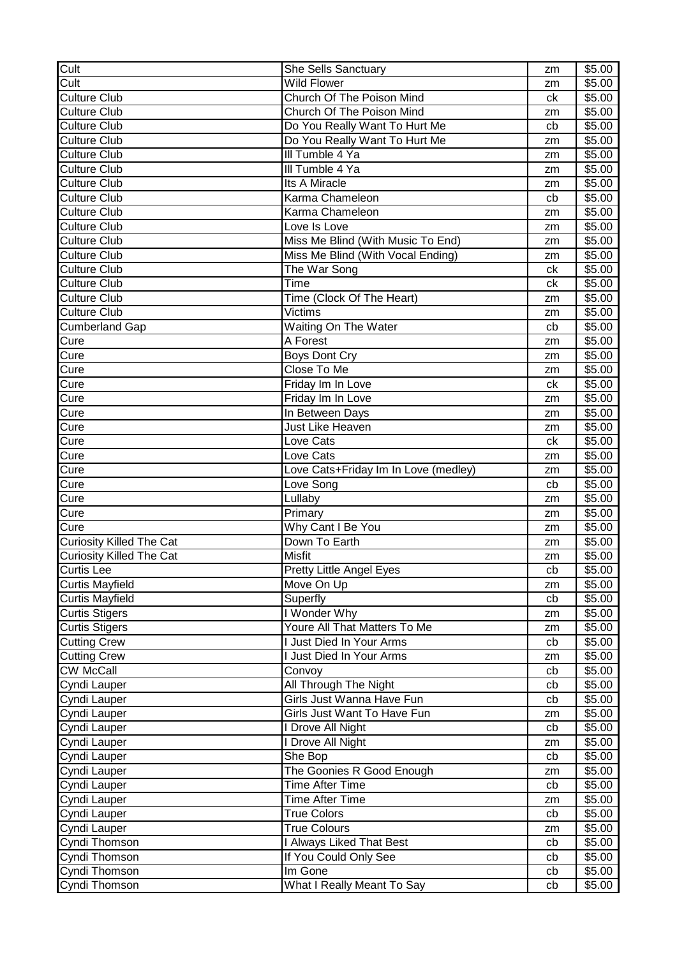| Cult                                         | She Sells Sanctuary                                      | zm       | \$5.00             |
|----------------------------------------------|----------------------------------------------------------|----------|--------------------|
| Cult                                         | <b>Wild Flower</b>                                       | zm       | \$5.00             |
| <b>Culture Club</b>                          | Church Of The Poison Mind                                | ck       | \$5.00             |
| <b>Culture Club</b>                          | Church Of The Poison Mind                                | zm       | \$5.00             |
| <b>Culture Club</b>                          | Do You Really Want To Hurt Me                            | cb       | \$5.00             |
| <b>Culture Club</b>                          | Do You Really Want To Hurt Me                            | zm       | \$5.00             |
| <b>Culture Club</b>                          | III Tumble 4 Ya                                          | zm       | \$5.00             |
| <b>Culture Club</b>                          | III Tumble 4 Ya                                          | zm       | \$5.00             |
| <b>Culture Club</b>                          | Its A Miracle                                            | zm       | \$5.00             |
| <b>Culture Club</b>                          | Karma Chameleon                                          | cb       | \$5.00             |
| <b>Culture Club</b>                          | Karma Chameleon                                          | zm       | \$5.00             |
| <b>Culture Club</b>                          | Love Is Love                                             | zm       | \$5.00             |
| <b>Culture Club</b>                          | Miss Me Blind (With Music To End)                        | zm       | \$5.00             |
| <b>Culture Club</b>                          | Miss Me Blind (With Vocal Ending)                        | zm       | \$5.00             |
| <b>Culture Club</b>                          | The War Song                                             | ck       | \$5.00             |
| <b>Culture Club</b>                          | $\overline{T}$ ime                                       | ck       | \$5.00             |
| <b>Culture Club</b>                          | Time (Clock Of The Heart)                                | zm       | $\overline{$}5.00$ |
| <b>Culture Club</b>                          | Victims                                                  | zm       | \$5.00             |
| <b>Cumberland Gap</b>                        | Waiting On The Water                                     | cb       | \$5.00             |
| Cure                                         | A Forest                                                 | zm       | \$5.00             |
| Cure                                         | <b>Boys Dont Cry</b>                                     | zm       | \$5.00             |
| Cure                                         | Close To Me                                              | zm       | \$5.00             |
| Cure                                         | Friday Im In Love                                        | ck       | \$5.00             |
| Cure                                         | Friday Im In Love                                        | zm       | \$5.00             |
| Cure                                         | In Between Days                                          | zm       | \$5.00             |
| Cure                                         | Just Like Heaven                                         | zm       | \$5.00             |
| Cure                                         | Love Cats                                                | ck       | \$5.00             |
| Cure                                         | Love Cats                                                | zm       | \$5.00             |
| Cure                                         | Love Cats+Friday Im In Love (medley)                     | zm       | \$5.00             |
|                                              |                                                          |          |                    |
|                                              |                                                          |          |                    |
| Cure                                         | Love Song                                                | cb<br>zm | \$5.00             |
| Cure                                         | Lullaby                                                  | zm       | \$5.00             |
| Cure                                         | Primary                                                  |          | \$5.00             |
| Cure                                         | Why Cant I Be You                                        | zm<br>zm | \$5.00             |
| Curiosity Killed The Cat                     | Down To Earth                                            |          | \$5.00             |
| <b>Curiosity Killed The Cat</b>              | Misfit                                                   | zm       | \$5.00             |
| Curtis Lee                                   | Pretty Little Angel Eyes                                 | cb       | \$5.00             |
| <b>Curtis Mayfield</b>                       | Move On Up                                               | zm       | \$5.00             |
| <b>Curtis Mayfield</b>                       | Superfly                                                 | cb       | \$5.00             |
| <b>Curtis Stigers</b>                        | I Wonder Why                                             | zm       | \$5.00             |
| <b>Curtis Stigers</b><br><b>Cutting Crew</b> | Youre All That Matters To Me<br>I Just Died In Your Arms | zm<br>cb | \$5.00<br>\$5.00   |
|                                              | I Just Died In Your Arms                                 | zm       |                    |
| <b>Cutting Crew</b><br><b>CW McCall</b>      | Convoy                                                   |          | \$5.00<br>\$5.00   |
|                                              |                                                          | cb       |                    |
| Cyndi Lauper                                 | All Through The Night                                    | cb       | \$5.00             |
| Cyndi Lauper                                 | Girls Just Wanna Have Fun                                | cb       | \$5.00             |
| Cyndi Lauper                                 | Girls Just Want To Have Fun                              | zm       | \$5.00             |
| Cyndi Lauper                                 | I Drove All Night                                        | cb       | \$5.00             |
| Cyndi Lauper                                 | I Drove All Night                                        | zm<br>cb | \$5.00             |
| Cyndi Lauper                                 | She Bop                                                  | zm       | \$5.00             |
| Cyndi Lauper                                 | The Goonies R Good Enough<br><b>Time After Time</b>      |          | \$5.00             |
| Cyndi Lauper                                 | <b>Time After Time</b>                                   | cb<br>zm | \$5.00             |
| Cyndi Lauper                                 | <b>True Colors</b>                                       |          | \$5.00             |
| Cyndi Lauper                                 | <b>True Colours</b>                                      | cb<br>zm | \$5.00             |
| Cyndi Lauper                                 |                                                          | cb       | \$5.00             |
| Cyndi Thomson                                | I Always Liked That Best<br>If You Could Only See        | cb       | \$5.00             |
| Cyndi Thomson<br>Cyndi Thomson               | Im Gone                                                  | cb       | \$5.00<br>\$5.00   |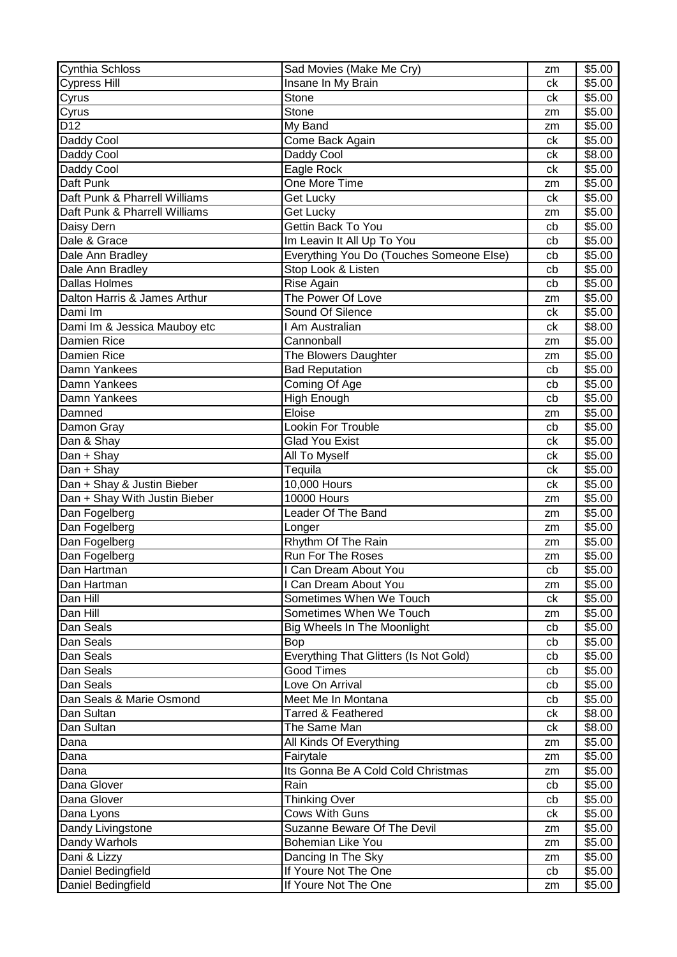| Cynthia Schloss               | Sad Movies (Make Me Cry)                 | zm | \$5.00 |
|-------------------------------|------------------------------------------|----|--------|
| <b>Cypress Hill</b>           | Insane In My Brain                       | ck | \$5.00 |
| Cyrus                         | Stone                                    | сk | \$5.00 |
| Cyrus                         | Stone                                    | zm | \$5.00 |
| D <sub>12</sub>               | My Band                                  | zm | \$5.00 |
| Daddy Cool                    | Come Back Again                          | ck | \$5.00 |
| Daddy Cool                    | Daddy Cool                               | сk | \$8.00 |
| Daddy Cool                    | Eagle Rock                               | ck | \$5.00 |
| Daft Punk                     | One More Time                            | zm | \$5.00 |
| Daft Punk & Pharrell Williams | Get Lucky                                | ck | \$5.00 |
| Daft Punk & Pharrell Williams | Get Lucky                                | zm | \$5.00 |
| Daisy Dern                    | Gettin Back To You                       | cb | \$5.00 |
| Dale & Grace                  | Im Leavin It All Up To You               | cb | \$5.00 |
| Dale Ann Bradley              | Everything You Do (Touches Someone Else) | cb | \$5.00 |
| Dale Ann Bradley              | Stop Look & Listen                       | cb | \$5.00 |
| <b>Dallas Holmes</b>          | Rise Again                               | cb | \$5.00 |
| Dalton Harris & James Arthur  | The Power Of Love                        | zm | \$5.00 |
| Dami Im                       | Sound Of Silence                         | ck | \$5.00 |
| Dami Im & Jessica Mauboy etc  | I Am Australian                          | ck | \$8.00 |
| Damien Rice                   | Cannonball                               | zm | \$5.00 |
| Damien Rice                   | The Blowers Daughter                     | zm | \$5.00 |
| Damn Yankees                  | <b>Bad Reputation</b>                    | cb | \$5.00 |
| Damn Yankees                  | Coming Of Age                            | cb | \$5.00 |
| Damn Yankees                  | <b>High Enough</b>                       | cb | \$5.00 |
| Damned                        | Eloise                                   | zm | \$5.00 |
| Damon Gray                    | Lookin For Trouble                       | cb | \$5.00 |
| Dan & Shay                    | <b>Glad You Exist</b>                    | сk | \$5.00 |
| Dan + Shay                    | All To Myself                            | сk | \$5.00 |
| Dan + Shay                    | Tequila                                  | сk | \$5.00 |
| Dan + Shay & Justin Bieber    | 10,000 Hours                             | ck | \$5.00 |
| Dan + Shay With Justin Bieber | <b>10000 Hours</b>                       | zm | \$5.00 |
| Dan Fogelberg                 | Leader Of The Band                       | zm | \$5.00 |
| Dan Fogelberg                 | Longer                                   | zm | \$5.00 |
| Dan Fogelberg                 | Rhythm Of The Rain                       | zm | \$5.00 |
| Dan Fogelberg                 | Run For The Roses                        | zm | \$5.00 |
| Dan Hartman                   | I Can Dream About You                    | cb | \$5.00 |
| Dan Hartman                   | I Can Dream About You                    | zm | \$5.00 |
| Dan Hill                      | Sometimes When We Touch                  | ck | \$5.00 |
| Dan Hill                      | Sometimes When We Touch                  | zm | \$5.00 |
| Dan Seals                     | <b>Big Wheels In The Moonlight</b>       | cb | \$5.00 |
| Dan Seals                     | <b>Bop</b>                               | cb | \$5.00 |
| Dan Seals                     | Everything That Glitters (Is Not Gold)   | cb | \$5.00 |
| Dan Seals                     | <b>Good Times</b>                        | cb | \$5.00 |
| Dan Seals                     | Love On Arrival                          | cb | \$5.00 |
| Dan Seals & Marie Osmond      | Meet Me In Montana                       | cb | \$5.00 |
| Dan Sultan                    | <b>Tarred &amp; Feathered</b>            | ck | \$8.00 |
| Dan Sultan                    | The Same Man                             | ck | \$8.00 |
| Dana                          | All Kinds Of Everything                  | zm | \$5.00 |
| Dana                          | Fairytale                                | zm | \$5.00 |
| Dana                          | Its Gonna Be A Cold Cold Christmas       | zm | \$5.00 |
| Dana Glover                   | Rain                                     | cb | \$5.00 |
| Dana Glover                   | <b>Thinking Over</b>                     | cb | \$5.00 |
| Dana Lyons                    | <b>Cows With Guns</b>                    | сk | \$5.00 |
| Dandy Livingstone             | Suzanne Beware Of The Devil              | zm | \$5.00 |
| Dandy Warhols                 | Bohemian Like You                        | zm | \$5.00 |
| Dani & Lizzy                  | Dancing In The Sky                       | zm | \$5.00 |
| Daniel Bedingfield            | If Youre Not The One                     | cb | \$5.00 |
| Daniel Bedingfield            | If Youre Not The One                     | zm | \$5.00 |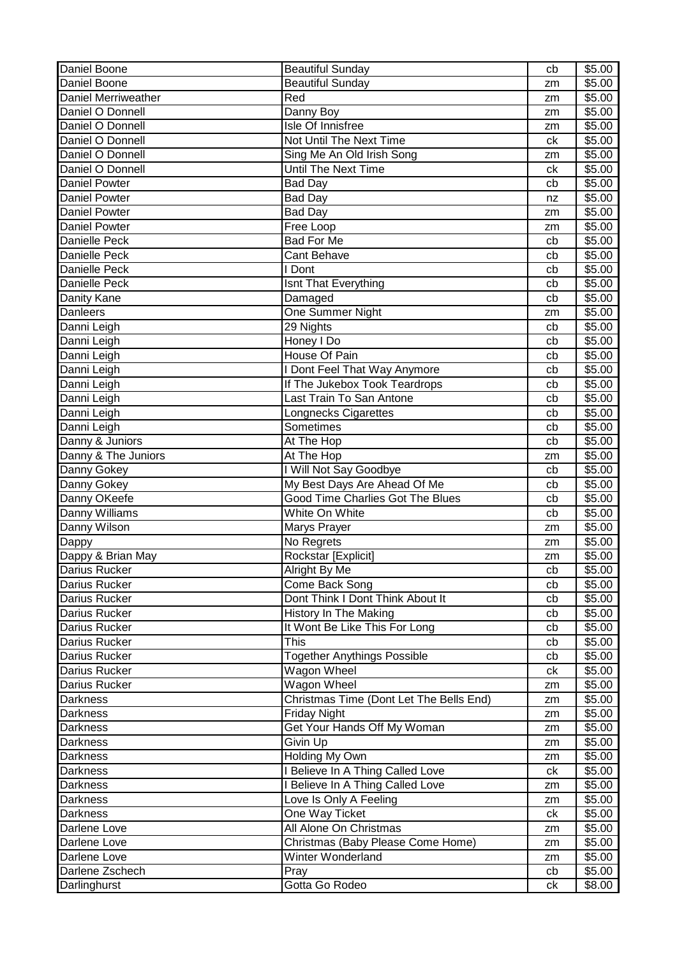| Daniel Boone               | <b>Beautiful Sunday</b>                                   | cb | \$5.00 |
|----------------------------|-----------------------------------------------------------|----|--------|
| Daniel Boone               | <b>Beautiful Sunday</b>                                   | zm | \$5.00 |
| <b>Daniel Merriweather</b> | Red                                                       | zm | \$5.00 |
| Daniel O Donnell           | Danny Boy                                                 | zm | \$5.00 |
| Daniel O Donnell           | Isle Of Innisfree                                         | zm | \$5.00 |
| Daniel O Donnell           | Not Until The Next Time                                   | ck | \$5.00 |
| Daniel O Donnell           | Sing Me An Old Irish Song                                 | zm | \$5.00 |
| Daniel O Donnell           | <b>Until The Next Time</b>                                | ck | \$5.00 |
| <b>Daniel Powter</b>       | <b>Bad Day</b>                                            | cb | \$5.00 |
| <b>Daniel Powter</b>       | <b>Bad Day</b>                                            | nz | \$5.00 |
| <b>Daniel Powter</b>       | <b>Bad Day</b>                                            | zm | \$5.00 |
| <b>Daniel Powter</b>       | Free Loop                                                 | zm | \$5.00 |
| Danielle Peck              | <b>Bad For Me</b>                                         | cb | \$5.00 |
| <b>Danielle Peck</b>       | <b>Cant Behave</b>                                        | cb | \$5.00 |
| <b>Danielle Peck</b>       | I Dont                                                    | cb | \$5.00 |
| <b>Danielle Peck</b>       | Isnt That Everything                                      | cb | \$5.00 |
| <b>Danity Kane</b>         | Damaged                                                   | cb | \$5.00 |
| <b>Danleers</b>            | One Summer Night                                          | zm | \$5.00 |
| Danni Leigh                | 29 Nights                                                 | cb | \$5.00 |
| Danni Leigh                | Honey I Do                                                | cb | \$5.00 |
| Danni Leigh                | House Of Pain                                             | cb | \$5.00 |
| Danni Leigh                | I Dont Feel That Way Anymore                              | cb | \$5.00 |
| Danni Leigh                |                                                           |    |        |
|                            | If The Jukebox Took Teardrops<br>Last Train To San Antone | cb | \$5.00 |
| Danni Leigh                |                                                           | cb | \$5.00 |
| Danni Leigh                | Longnecks Cigarettes                                      | cb | \$5.00 |
| Danni Leigh                | Sometimes                                                 | cb | \$5.00 |
| Danny & Juniors            | At The Hop                                                | cb | \$5.00 |
| Danny & The Juniors        | At The Hop                                                | zm | \$5.00 |
| Danny Gokey                | I Will Not Say Goodbye                                    | cb | \$5.00 |
| Danny Gokey                | My Best Days Are Ahead Of Me                              | cb | \$5.00 |
| Danny OKeefe               | <b>Good Time Charlies Got The Blues</b>                   | cb | \$5.00 |
| Danny Williams             | White On White                                            | cb | \$5.00 |
| Danny Wilson               | Marys Prayer                                              | zm | \$5.00 |
| Dappy                      | No Regrets                                                | zm | \$5.00 |
| Dappy & Brian May          | Rockstar [Explicit]                                       | zm | \$5.00 |
| Darius Rucker              | Alright By Me                                             | cb | \$5.00 |
| Darius Rucker              | Come Back Song                                            | cb | \$5.00 |
| Darius Rucker              | Dont Think I Dont Think About It                          | cb | \$5.00 |
| <b>Darius Rucker</b>       | History In The Making                                     | cb | \$5.00 |
| Darius Rucker              | It Wont Be Like This For Long                             | cb | \$5.00 |
| Darius Rucker              | This                                                      | cb | \$5.00 |
| Darius Rucker              | <b>Together Anythings Possible</b>                        | cb | \$5.00 |
| Darius Rucker              | Wagon Wheel                                               | ck | \$5.00 |
| Darius Rucker              | Wagon Wheel                                               | zm | \$5.00 |
| <b>Darkness</b>            | Christmas Time (Dont Let The Bells End)                   | zm | \$5.00 |
| <b>Darkness</b>            | <b>Friday Night</b>                                       | zm | \$5.00 |
| Darkness                   | Get Your Hands Off My Woman                               | zm | \$5.00 |
| <b>Darkness</b>            | Givin Up                                                  | zm | \$5.00 |
| <b>Darkness</b>            | Holding My Own                                            | zm | \$5.00 |
| <b>Darkness</b>            | I Believe In A Thing Called Love                          | ck | \$5.00 |
| Darkness                   | I Believe In A Thing Called Love                          | zm | \$5.00 |
| Darkness                   | Love Is Only A Feeling                                    | zm | \$5.00 |
| Darkness                   | One Way Ticket                                            | ck | \$5.00 |
| Darlene Love               | All Alone On Christmas                                    | zm | \$5.00 |
| Darlene Love               | Christmas (Baby Please Come Home)                         | zm | \$5.00 |
| Darlene Love               | Winter Wonderland                                         | zm | \$5.00 |
| Darlene Zschech            | Pray                                                      | cb | \$5.00 |
| Darlinghurst               | Gotta Go Rodeo                                            | сk | \$8.00 |
|                            |                                                           |    |        |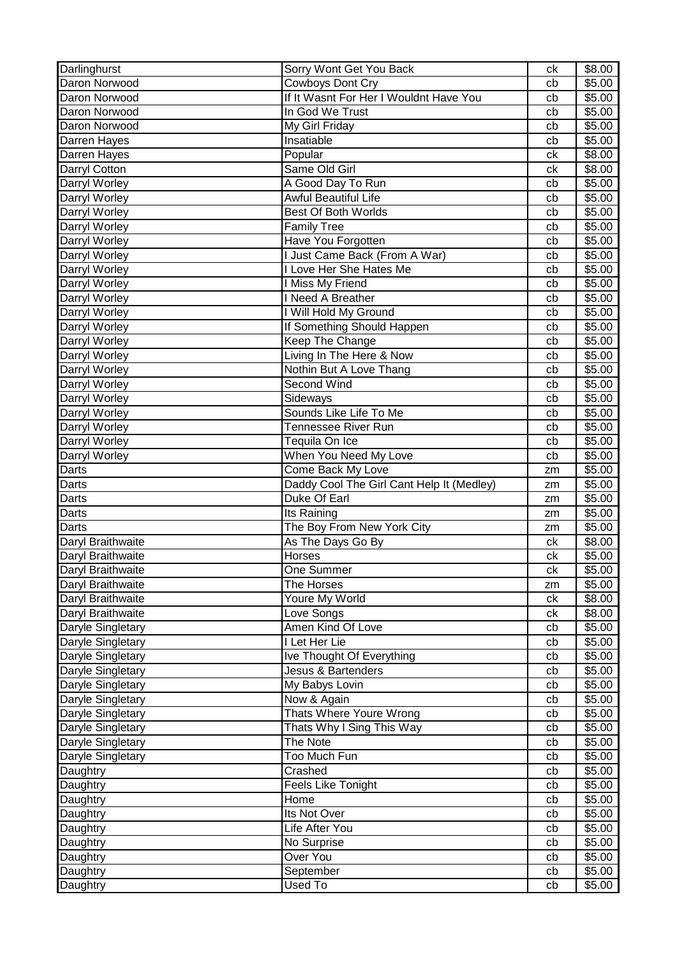| Darlinghurst                           | Sorry Wont Get You Back                                    | ck       | \$8.00           |
|----------------------------------------|------------------------------------------------------------|----------|------------------|
| Daron Norwood                          | Cowboys Dont Cry                                           | cb       | \$5.00           |
| Daron Norwood                          | If It Wasnt For Her I Wouldnt Have You                     | cb       | \$5.00           |
| Daron Norwood                          | In God We Trust                                            | cb       | \$5.00           |
| Daron Norwood                          | My Girl Friday                                             | cb       | \$5.00           |
| Darren Hayes                           | Insatiable                                                 | cb       | \$5.00           |
| Darren Hayes                           | Popular                                                    | ck       | \$8.00           |
| Darryl Cotton                          | Same Old Girl                                              | сk       | \$8.00           |
| Darryl Worley                          | A Good Day To Run                                          | cb       | \$5.00           |
| Darryl Worley                          | Awful Beautiful Life                                       | cb       | \$5.00           |
| Darryl Worley                          | Best Of Both Worlds                                        | cb       | \$5.00           |
| Darryl Worley                          | <b>Family Tree</b>                                         | cb       | \$5.00           |
| Darryl Worley                          | Have You Forgotten                                         | cb       | \$5.00           |
| Darryl Worley                          | I Just Came Back (From A War)                              | cb       | \$5.00           |
| Darryl Worley                          | I Love Her She Hates Me                                    | cb       | \$5.00           |
| Darryl Worley                          | I Miss My Friend                                           | cb       | \$5.00           |
| Darryl Worley                          | I Need A Breather                                          | cb       | \$5.00           |
| Darryl Worley                          | I Will Hold My Ground                                      | cb       | \$5.00           |
| Darryl Worley                          | If Something Should Happen                                 | cb       | \$5.00           |
| Darryl Worley                          | Keep The Change                                            | cb       | \$5.00           |
| Darryl Worley                          | Living In The Here & Now                                   | cb       | \$5.00           |
| Darryl Worley                          | Nothin But A Love Thang                                    | cb       | \$5.00           |
| Darryl Worley                          | Second Wind                                                | cb       | \$5.00           |
| Darryl Worley                          | Sideways                                                   | cb       | \$5.00           |
| Darryl Worley                          | Sounds Like Life To Me                                     | cb       | \$5.00           |
| Darryl Worley                          | Tennessee River Run                                        | cb       | \$5.00           |
| Darryl Worley                          | Tequila On Ice                                             | cb       | \$5.00           |
| Darryl Worley                          | When You Need My Love                                      | cb       | \$5.00           |
| Darts                                  | Come Back My Love                                          | zm       | \$5.00           |
| Darts                                  | Daddy Cool The Girl Cant Help It (Medley)                  | zm       | \$5.00           |
| Darts                                  | Duke Of Earl                                               | zm       | \$5.00           |
|                                        |                                                            |          |                  |
|                                        |                                                            |          |                  |
| Darts                                  | Its Raining                                                | zm       | \$5.00           |
| Darts                                  | The Boy From New York City                                 | zm       | \$5.00           |
| Daryl Braithwaite                      | As The Days Go By                                          | ck       | \$8.00           |
| Daryl Braithwaite                      | Horses                                                     | ck       | \$5.00           |
|                                        | One Summer                                                 | ck       | \$5.00           |
| Daryl Braithwaite<br>Daryl Braithwaite | The Horses                                                 | zm       | \$5.00           |
| Daryl Braithwaite                      | Youre My World                                             | ck       | \$8.00           |
| Daryl Braithwaite                      | Love Songs                                                 | сk       | \$8.00           |
| Daryle Singletary                      | Amen Kind Of Love                                          | cb       | \$5.00           |
| Daryle Singletary                      | I Let Her Lie                                              | cb<br>cb | \$5.00<br>\$5.00 |
| Daryle Singletary                      | Ive Thought Of Everything<br><b>Jesus &amp; Bartenders</b> | cb       | \$5.00           |
| Daryle Singletary                      |                                                            |          |                  |
| Daryle Singletary                      | My Babys Lovin                                             | cb<br>cb | \$5.00           |
| Daryle Singletary                      | Now & Again                                                |          | \$5.00           |
| Daryle Singletary                      | Thats Where Youre Wrong                                    | cb       | \$5.00           |
| Daryle Singletary                      | Thats Why I Sing This Way                                  | cb       | \$5.00           |
| Daryle Singletary                      | The Note                                                   | cb       | \$5.00           |
| Daryle Singletary                      | Too Much Fun<br>Crashed                                    | cb       | \$5.00           |
| Daughtry                               |                                                            | cb       | \$5.00           |
| Daughtry                               | Feels Like Tonight<br>Home                                 | cb       | \$5.00           |
| Daughtry                               |                                                            | cb       | \$5.00           |
| Daughtry                               | Its Not Over                                               | cb       | \$5.00           |
| Daughtry                               | Life After You                                             | cb       | \$5.00           |
| Daughtry                               | No Surprise<br>Over You                                    | cb<br>cb | \$5.00           |
| Daughtry<br>Daughtry                   | September                                                  | cb       | \$5.00<br>\$5.00 |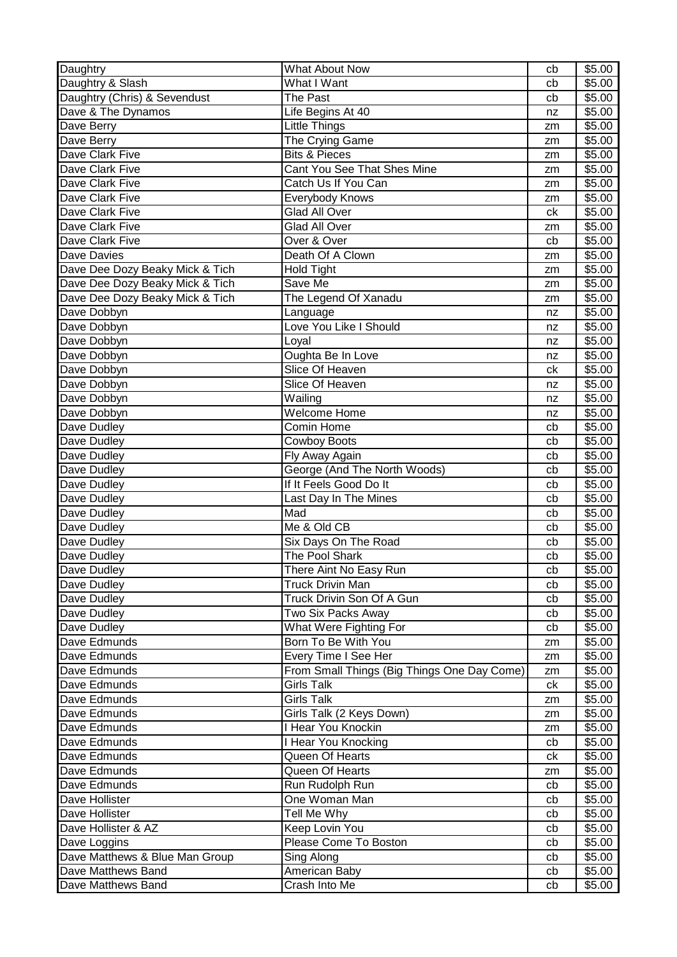| Daughtry                        | <b>What About Now</b>                       | cb | \$5.00 |
|---------------------------------|---------------------------------------------|----|--------|
| Daughtry & Slash                | What I Want                                 | cb | \$5.00 |
| Daughtry (Chris) & Sevendust    | The Past                                    | cb | \$5.00 |
| Dave & The Dynamos              | Life Begins At 40                           | nz | \$5.00 |
| Dave Berry                      | Little Things                               | zm | \$5.00 |
| Dave Berry                      | The Crying Game                             | zm | \$5.00 |
| Dave Clark Five                 | <b>Bits &amp; Pieces</b>                    | zm | \$5.00 |
| Dave Clark Five                 | Cant You See That Shes Mine                 | zm | \$5.00 |
| Dave Clark Five                 | Catch Us If You Can                         | zm | \$5.00 |
| Dave Clark Five                 | Everybody Knows                             | zm | \$5.00 |
| Dave Clark Five                 | <b>Glad All Over</b>                        | ck | \$5.00 |
| Dave Clark Five                 | <b>Glad All Over</b>                        | zm | \$5.00 |
| Dave Clark Five                 | Over & Over                                 | cb | \$5.00 |
| <b>Dave Davies</b>              | Death Of A Clown                            | zm | \$5.00 |
| Dave Dee Dozy Beaky Mick & Tich | <b>Hold Tight</b>                           | zm | \$5.00 |
| Dave Dee Dozy Beaky Mick & Tich | Save Me                                     | zm | \$5.00 |
| Dave Dee Dozy Beaky Mick & Tich | The Legend Of Xanadu                        | zm | \$5.00 |
| Dave Dobbyn                     | Language                                    | nz | \$5.00 |
| Dave Dobbyn                     | Love You Like I Should                      | nz | \$5.00 |
| Dave Dobbyn                     | Loyal                                       | nz | \$5.00 |
| Dave Dobbyn                     | Oughta Be In Love                           | nz | \$5.00 |
| Dave Dobbyn                     | Slice Of Heaven                             | сk | \$5.00 |
| Dave Dobbyn                     | Slice Of Heaven                             | nz | \$5.00 |
| Dave Dobbyn                     | Wailing                                     | nz | \$5.00 |
| Dave Dobbyn                     | Welcome Home                                | nz | \$5.00 |
| Dave Dudley                     | Comin Home                                  | cb | \$5.00 |
| Dave Dudley                     | <b>Cowboy Boots</b>                         | cb | \$5.00 |
| Dave Dudley                     | Fly Away Again                              | cb | \$5.00 |
| Dave Dudley                     | George (And The North Woods)                | cb | \$5.00 |
| Dave Dudley                     | If It Feels Good Do It                      | cb | \$5.00 |
| Dave Dudley                     | Last Day In The Mines                       | cb | \$5.00 |
| Dave Dudley                     | Mad                                         | cb | \$5.00 |
| Dave Dudley                     | Me & Old CB                                 | cb | \$5.00 |
| Dave Dudley                     | Six Days On The Road                        | cb | \$5.00 |
| Dave Dudley                     | The Pool Shark                              | cb | \$5.00 |
| Dave Dudley                     | There Aint No Easy Run                      | cb | \$5.00 |
| Dave Dudley                     | <b>Truck Drivin Man</b>                     | cb | \$5.00 |
| Dave Dudley                     | Truck Drivin Son Of A Gun                   | cb | \$5.00 |
| Dave Dudley                     | Two Six Packs Away                          | cb | \$5.00 |
| Dave Dudley                     | What Were Fighting For                      | cb | \$5.00 |
| Dave Edmunds                    | Born To Be With You                         | zm | \$5.00 |
| Dave Edmunds                    | Every Time I See Her                        | zm | \$5.00 |
| Dave Edmunds                    | From Small Things (Big Things One Day Come) | zm | \$5.00 |
| Dave Edmunds                    | <b>Girls Talk</b>                           | ck | \$5.00 |
| Dave Edmunds                    | <b>Girls Talk</b>                           | zm | \$5.00 |
| Dave Edmunds                    | Girls Talk (2 Keys Down)                    | zm | \$5.00 |
| Dave Edmunds                    | I Hear You Knockin                          | zm | \$5.00 |
| Dave Edmunds                    | I Hear You Knocking                         | cb | \$5.00 |
| Dave Edmunds                    | Queen Of Hearts                             | сk | \$5.00 |
| Dave Edmunds                    | Queen Of Hearts                             | zm | \$5.00 |
| Dave Edmunds                    | Run Rudolph Run                             | cb | \$5.00 |
| Dave Hollister                  | One Woman Man                               | cb | \$5.00 |
| Dave Hollister                  | Tell Me Why                                 | cb | \$5.00 |
| Dave Hollister & AZ             | Keep Lovin You                              | cb | \$5.00 |
| Dave Loggins                    | Please Come To Boston                       | cb | \$5.00 |
| Dave Matthews & Blue Man Group  | Sing Along                                  | cb | \$5.00 |
| Dave Matthews Band              | American Baby                               | cb | \$5.00 |
| Dave Matthews Band              | Crash Into Me                               | cb | \$5.00 |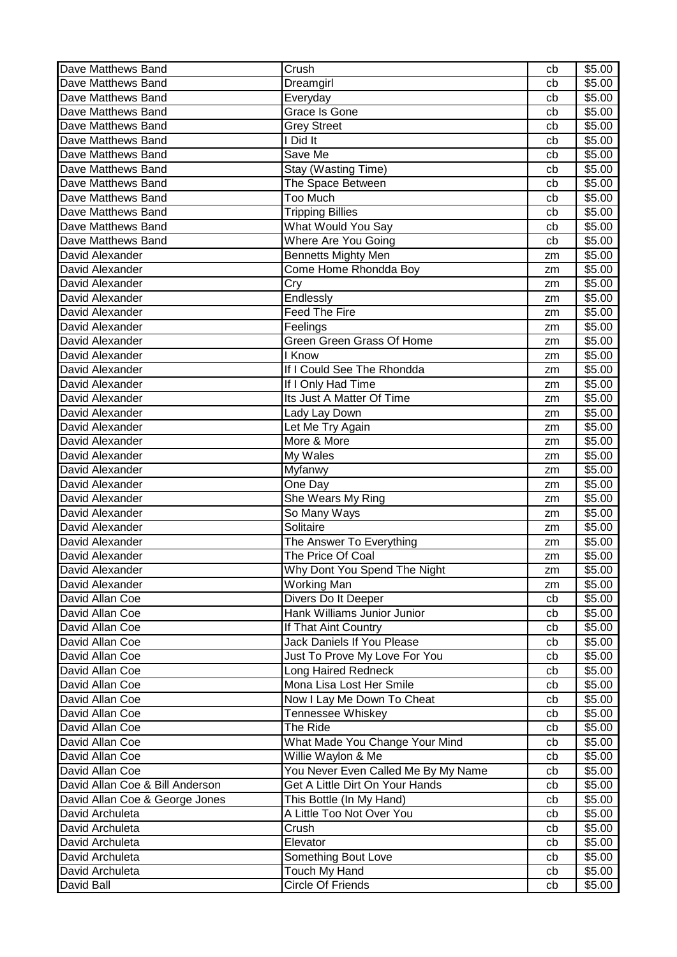| Dave Matthews Band<br>\$5.00<br>Dreamgirl<br>cb<br>\$5.00<br>Dave Matthews Band<br>Everyday<br>cb<br>Dave Matthews Band<br><b>Grace Is Gone</b><br>\$5.00<br>cb<br>\$5.00<br>Dave Matthews Band<br><b>Grey Street</b><br>cb<br>Dave Matthews Band<br>I Did It<br>\$5.00<br>cb<br>Save Me<br>Dave Matthews Band<br>\$5.00<br>cb<br>Stay (Wasting Time)<br>\$5.00<br>Dave Matthews Band<br>cb<br>Dave Matthews Band<br>The Space Between<br>\$5.00<br>cb<br>Dave Matthews Band<br>Too Much<br>\$5.00<br>cb<br>Dave Matthews Band<br><b>Tripping Billies</b><br>\$5.00<br>cb<br>What Would You Say<br>Dave Matthews Band<br>\$5.00<br>cb<br>Dave Matthews Band<br>Where Are You Going<br>\$5.00<br>cb<br>David Alexander<br>Bennetts Mighty Men<br>\$5.00<br>zm<br>David Alexander<br>Come Home Rhondda Boy<br>\$5.00<br>zm<br>Cry<br>David Alexander<br>\$5.00<br>zm<br>David Alexander<br>Endlessly<br>\$5.00<br>zm<br><b>Feed The Fire</b><br>\$5.00<br>David Alexander<br>zm<br>\$5.00<br>David Alexander<br>Feelings<br>zm<br><b>Green Green Grass Of Home</b><br>David Alexander<br>\$5.00<br>zm<br>I Know<br>David Alexander<br>\$5.00<br>zm<br>David Alexander<br>If I Could See The Rhondda<br>\$5.00<br>zm<br>David Alexander<br>If I Only Had Time<br>\$5.00<br>zm<br>Its Just A Matter Of Time<br>David Alexander<br>\$5.00<br>zm<br>\$5.00<br>David Alexander<br>Lady Lay Down<br>zm<br>David Alexander<br>Let Me Try Again<br>\$5.00<br>zm<br>More & More<br>\$5.00<br>David Alexander<br>zm<br>My Wales<br>\$5.00<br>David Alexander<br>zm<br>David Alexander<br>\$5.00<br>Myfanwy<br>zm<br>David Alexander<br>One Day<br>\$5.00<br>zm<br>David Alexander<br>She Wears My Ring<br>\$5.00<br>zm<br>David Alexander<br>\$5.00<br>So Many Ways<br>zm<br>David Alexander<br>Solitaire<br>\$5.00<br>zm<br>David Alexander<br>The Answer To Everything<br>\$5.00<br>zm<br>David Alexander<br>The Price Of Coal<br>\$5.00<br>zm<br>\$5.00<br>Why Dont You Spend The Night<br>David Alexander<br>zm<br><b>Working Man</b><br>\$5.00<br>David Alexander<br>zm<br>Divers Do It Deeper<br>\$5.00<br>David Allan Coe<br>cb<br>David Allan Coe<br>Hank Williams Junior Junior<br>\$5.00<br>cb<br>David Allan Coe<br>If That Aint Country<br>\$5.00<br>cb<br>David Allan Coe<br>Jack Daniels If You Please<br>\$5.00<br>cb<br>David Allan Coe<br>\$5.00<br>Just To Prove My Love For You<br>cb<br>David Allan Coe<br>Long Haired Redneck<br>\$5.00<br>cb<br>David Allan Coe<br>Mona Lisa Lost Her Smile<br>\$5.00<br>cb<br>Now I Lay Me Down To Cheat<br>David Allan Coe<br>\$5.00<br>cb<br>David Allan Coe<br>Tennessee Whiskey<br>\$5.00<br>cb<br>\$5.00<br>David Allan Coe<br>The Ride<br>cb<br>What Made You Change Your Mind<br>\$5.00<br>David Allan Coe<br>cb<br>David Allan Coe<br>Willie Waylon & Me<br>\$5.00<br>cb<br>You Never Even Called Me By My Name<br>David Allan Coe<br>\$5.00<br>cb<br>David Allan Coe & Bill Anderson<br>Get A Little Dirt On Your Hands<br>\$5.00<br>cb<br>\$5.00<br>David Allan Coe & George Jones<br>This Bottle (In My Hand)<br>cb<br>David Archuleta<br>A Little Too Not Over You<br>\$5.00<br>cb<br>David Archuleta<br>Crush<br>\$5.00<br>cb<br>\$5.00<br>David Archuleta<br>Elevator<br>cb<br>Something Bout Love<br>\$5.00<br>David Archuleta<br>cb | Dave Matthews Band | Crush         | cb | \$5.00 |
|------------------------------------------------------------------------------------------------------------------------------------------------------------------------------------------------------------------------------------------------------------------------------------------------------------------------------------------------------------------------------------------------------------------------------------------------------------------------------------------------------------------------------------------------------------------------------------------------------------------------------------------------------------------------------------------------------------------------------------------------------------------------------------------------------------------------------------------------------------------------------------------------------------------------------------------------------------------------------------------------------------------------------------------------------------------------------------------------------------------------------------------------------------------------------------------------------------------------------------------------------------------------------------------------------------------------------------------------------------------------------------------------------------------------------------------------------------------------------------------------------------------------------------------------------------------------------------------------------------------------------------------------------------------------------------------------------------------------------------------------------------------------------------------------------------------------------------------------------------------------------------------------------------------------------------------------------------------------------------------------------------------------------------------------------------------------------------------------------------------------------------------------------------------------------------------------------------------------------------------------------------------------------------------------------------------------------------------------------------------------------------------------------------------------------------------------------------------------------------------------------------------------------------------------------------------------------------------------------------------------------------------------------------------------------------------------------------------------------------------------------------------------------------------------------------------------------------------------------------------------------------------------------------------------------------------------------------------------------------------------------------------------------------------------------------------------------------------------------------------------------------------------------------------------------------------------------------------------------------------------------------------------------------------------|--------------------|---------------|----|--------|
|                                                                                                                                                                                                                                                                                                                                                                                                                                                                                                                                                                                                                                                                                                                                                                                                                                                                                                                                                                                                                                                                                                                                                                                                                                                                                                                                                                                                                                                                                                                                                                                                                                                                                                                                                                                                                                                                                                                                                                                                                                                                                                                                                                                                                                                                                                                                                                                                                                                                                                                                                                                                                                                                                                                                                                                                                                                                                                                                                                                                                                                                                                                                                                                                                                                                                                |                    |               |    |        |
|                                                                                                                                                                                                                                                                                                                                                                                                                                                                                                                                                                                                                                                                                                                                                                                                                                                                                                                                                                                                                                                                                                                                                                                                                                                                                                                                                                                                                                                                                                                                                                                                                                                                                                                                                                                                                                                                                                                                                                                                                                                                                                                                                                                                                                                                                                                                                                                                                                                                                                                                                                                                                                                                                                                                                                                                                                                                                                                                                                                                                                                                                                                                                                                                                                                                                                |                    |               |    |        |
|                                                                                                                                                                                                                                                                                                                                                                                                                                                                                                                                                                                                                                                                                                                                                                                                                                                                                                                                                                                                                                                                                                                                                                                                                                                                                                                                                                                                                                                                                                                                                                                                                                                                                                                                                                                                                                                                                                                                                                                                                                                                                                                                                                                                                                                                                                                                                                                                                                                                                                                                                                                                                                                                                                                                                                                                                                                                                                                                                                                                                                                                                                                                                                                                                                                                                                |                    |               |    |        |
|                                                                                                                                                                                                                                                                                                                                                                                                                                                                                                                                                                                                                                                                                                                                                                                                                                                                                                                                                                                                                                                                                                                                                                                                                                                                                                                                                                                                                                                                                                                                                                                                                                                                                                                                                                                                                                                                                                                                                                                                                                                                                                                                                                                                                                                                                                                                                                                                                                                                                                                                                                                                                                                                                                                                                                                                                                                                                                                                                                                                                                                                                                                                                                                                                                                                                                |                    |               |    |        |
|                                                                                                                                                                                                                                                                                                                                                                                                                                                                                                                                                                                                                                                                                                                                                                                                                                                                                                                                                                                                                                                                                                                                                                                                                                                                                                                                                                                                                                                                                                                                                                                                                                                                                                                                                                                                                                                                                                                                                                                                                                                                                                                                                                                                                                                                                                                                                                                                                                                                                                                                                                                                                                                                                                                                                                                                                                                                                                                                                                                                                                                                                                                                                                                                                                                                                                |                    |               |    |        |
|                                                                                                                                                                                                                                                                                                                                                                                                                                                                                                                                                                                                                                                                                                                                                                                                                                                                                                                                                                                                                                                                                                                                                                                                                                                                                                                                                                                                                                                                                                                                                                                                                                                                                                                                                                                                                                                                                                                                                                                                                                                                                                                                                                                                                                                                                                                                                                                                                                                                                                                                                                                                                                                                                                                                                                                                                                                                                                                                                                                                                                                                                                                                                                                                                                                                                                |                    |               |    |        |
|                                                                                                                                                                                                                                                                                                                                                                                                                                                                                                                                                                                                                                                                                                                                                                                                                                                                                                                                                                                                                                                                                                                                                                                                                                                                                                                                                                                                                                                                                                                                                                                                                                                                                                                                                                                                                                                                                                                                                                                                                                                                                                                                                                                                                                                                                                                                                                                                                                                                                                                                                                                                                                                                                                                                                                                                                                                                                                                                                                                                                                                                                                                                                                                                                                                                                                |                    |               |    |        |
|                                                                                                                                                                                                                                                                                                                                                                                                                                                                                                                                                                                                                                                                                                                                                                                                                                                                                                                                                                                                                                                                                                                                                                                                                                                                                                                                                                                                                                                                                                                                                                                                                                                                                                                                                                                                                                                                                                                                                                                                                                                                                                                                                                                                                                                                                                                                                                                                                                                                                                                                                                                                                                                                                                                                                                                                                                                                                                                                                                                                                                                                                                                                                                                                                                                                                                |                    |               |    |        |
|                                                                                                                                                                                                                                                                                                                                                                                                                                                                                                                                                                                                                                                                                                                                                                                                                                                                                                                                                                                                                                                                                                                                                                                                                                                                                                                                                                                                                                                                                                                                                                                                                                                                                                                                                                                                                                                                                                                                                                                                                                                                                                                                                                                                                                                                                                                                                                                                                                                                                                                                                                                                                                                                                                                                                                                                                                                                                                                                                                                                                                                                                                                                                                                                                                                                                                |                    |               |    |        |
|                                                                                                                                                                                                                                                                                                                                                                                                                                                                                                                                                                                                                                                                                                                                                                                                                                                                                                                                                                                                                                                                                                                                                                                                                                                                                                                                                                                                                                                                                                                                                                                                                                                                                                                                                                                                                                                                                                                                                                                                                                                                                                                                                                                                                                                                                                                                                                                                                                                                                                                                                                                                                                                                                                                                                                                                                                                                                                                                                                                                                                                                                                                                                                                                                                                                                                |                    |               |    |        |
|                                                                                                                                                                                                                                                                                                                                                                                                                                                                                                                                                                                                                                                                                                                                                                                                                                                                                                                                                                                                                                                                                                                                                                                                                                                                                                                                                                                                                                                                                                                                                                                                                                                                                                                                                                                                                                                                                                                                                                                                                                                                                                                                                                                                                                                                                                                                                                                                                                                                                                                                                                                                                                                                                                                                                                                                                                                                                                                                                                                                                                                                                                                                                                                                                                                                                                |                    |               |    |        |
|                                                                                                                                                                                                                                                                                                                                                                                                                                                                                                                                                                                                                                                                                                                                                                                                                                                                                                                                                                                                                                                                                                                                                                                                                                                                                                                                                                                                                                                                                                                                                                                                                                                                                                                                                                                                                                                                                                                                                                                                                                                                                                                                                                                                                                                                                                                                                                                                                                                                                                                                                                                                                                                                                                                                                                                                                                                                                                                                                                                                                                                                                                                                                                                                                                                                                                |                    |               |    |        |
|                                                                                                                                                                                                                                                                                                                                                                                                                                                                                                                                                                                                                                                                                                                                                                                                                                                                                                                                                                                                                                                                                                                                                                                                                                                                                                                                                                                                                                                                                                                                                                                                                                                                                                                                                                                                                                                                                                                                                                                                                                                                                                                                                                                                                                                                                                                                                                                                                                                                                                                                                                                                                                                                                                                                                                                                                                                                                                                                                                                                                                                                                                                                                                                                                                                                                                |                    |               |    |        |
|                                                                                                                                                                                                                                                                                                                                                                                                                                                                                                                                                                                                                                                                                                                                                                                                                                                                                                                                                                                                                                                                                                                                                                                                                                                                                                                                                                                                                                                                                                                                                                                                                                                                                                                                                                                                                                                                                                                                                                                                                                                                                                                                                                                                                                                                                                                                                                                                                                                                                                                                                                                                                                                                                                                                                                                                                                                                                                                                                                                                                                                                                                                                                                                                                                                                                                |                    |               |    |        |
|                                                                                                                                                                                                                                                                                                                                                                                                                                                                                                                                                                                                                                                                                                                                                                                                                                                                                                                                                                                                                                                                                                                                                                                                                                                                                                                                                                                                                                                                                                                                                                                                                                                                                                                                                                                                                                                                                                                                                                                                                                                                                                                                                                                                                                                                                                                                                                                                                                                                                                                                                                                                                                                                                                                                                                                                                                                                                                                                                                                                                                                                                                                                                                                                                                                                                                |                    |               |    |        |
|                                                                                                                                                                                                                                                                                                                                                                                                                                                                                                                                                                                                                                                                                                                                                                                                                                                                                                                                                                                                                                                                                                                                                                                                                                                                                                                                                                                                                                                                                                                                                                                                                                                                                                                                                                                                                                                                                                                                                                                                                                                                                                                                                                                                                                                                                                                                                                                                                                                                                                                                                                                                                                                                                                                                                                                                                                                                                                                                                                                                                                                                                                                                                                                                                                                                                                |                    |               |    |        |
|                                                                                                                                                                                                                                                                                                                                                                                                                                                                                                                                                                                                                                                                                                                                                                                                                                                                                                                                                                                                                                                                                                                                                                                                                                                                                                                                                                                                                                                                                                                                                                                                                                                                                                                                                                                                                                                                                                                                                                                                                                                                                                                                                                                                                                                                                                                                                                                                                                                                                                                                                                                                                                                                                                                                                                                                                                                                                                                                                                                                                                                                                                                                                                                                                                                                                                |                    |               |    |        |
|                                                                                                                                                                                                                                                                                                                                                                                                                                                                                                                                                                                                                                                                                                                                                                                                                                                                                                                                                                                                                                                                                                                                                                                                                                                                                                                                                                                                                                                                                                                                                                                                                                                                                                                                                                                                                                                                                                                                                                                                                                                                                                                                                                                                                                                                                                                                                                                                                                                                                                                                                                                                                                                                                                                                                                                                                                                                                                                                                                                                                                                                                                                                                                                                                                                                                                |                    |               |    |        |
|                                                                                                                                                                                                                                                                                                                                                                                                                                                                                                                                                                                                                                                                                                                                                                                                                                                                                                                                                                                                                                                                                                                                                                                                                                                                                                                                                                                                                                                                                                                                                                                                                                                                                                                                                                                                                                                                                                                                                                                                                                                                                                                                                                                                                                                                                                                                                                                                                                                                                                                                                                                                                                                                                                                                                                                                                                                                                                                                                                                                                                                                                                                                                                                                                                                                                                |                    |               |    |        |
|                                                                                                                                                                                                                                                                                                                                                                                                                                                                                                                                                                                                                                                                                                                                                                                                                                                                                                                                                                                                                                                                                                                                                                                                                                                                                                                                                                                                                                                                                                                                                                                                                                                                                                                                                                                                                                                                                                                                                                                                                                                                                                                                                                                                                                                                                                                                                                                                                                                                                                                                                                                                                                                                                                                                                                                                                                                                                                                                                                                                                                                                                                                                                                                                                                                                                                |                    |               |    |        |
|                                                                                                                                                                                                                                                                                                                                                                                                                                                                                                                                                                                                                                                                                                                                                                                                                                                                                                                                                                                                                                                                                                                                                                                                                                                                                                                                                                                                                                                                                                                                                                                                                                                                                                                                                                                                                                                                                                                                                                                                                                                                                                                                                                                                                                                                                                                                                                                                                                                                                                                                                                                                                                                                                                                                                                                                                                                                                                                                                                                                                                                                                                                                                                                                                                                                                                |                    |               |    |        |
|                                                                                                                                                                                                                                                                                                                                                                                                                                                                                                                                                                                                                                                                                                                                                                                                                                                                                                                                                                                                                                                                                                                                                                                                                                                                                                                                                                                                                                                                                                                                                                                                                                                                                                                                                                                                                                                                                                                                                                                                                                                                                                                                                                                                                                                                                                                                                                                                                                                                                                                                                                                                                                                                                                                                                                                                                                                                                                                                                                                                                                                                                                                                                                                                                                                                                                |                    |               |    |        |
|                                                                                                                                                                                                                                                                                                                                                                                                                                                                                                                                                                                                                                                                                                                                                                                                                                                                                                                                                                                                                                                                                                                                                                                                                                                                                                                                                                                                                                                                                                                                                                                                                                                                                                                                                                                                                                                                                                                                                                                                                                                                                                                                                                                                                                                                                                                                                                                                                                                                                                                                                                                                                                                                                                                                                                                                                                                                                                                                                                                                                                                                                                                                                                                                                                                                                                |                    |               |    |        |
|                                                                                                                                                                                                                                                                                                                                                                                                                                                                                                                                                                                                                                                                                                                                                                                                                                                                                                                                                                                                                                                                                                                                                                                                                                                                                                                                                                                                                                                                                                                                                                                                                                                                                                                                                                                                                                                                                                                                                                                                                                                                                                                                                                                                                                                                                                                                                                                                                                                                                                                                                                                                                                                                                                                                                                                                                                                                                                                                                                                                                                                                                                                                                                                                                                                                                                |                    |               |    |        |
|                                                                                                                                                                                                                                                                                                                                                                                                                                                                                                                                                                                                                                                                                                                                                                                                                                                                                                                                                                                                                                                                                                                                                                                                                                                                                                                                                                                                                                                                                                                                                                                                                                                                                                                                                                                                                                                                                                                                                                                                                                                                                                                                                                                                                                                                                                                                                                                                                                                                                                                                                                                                                                                                                                                                                                                                                                                                                                                                                                                                                                                                                                                                                                                                                                                                                                |                    |               |    |        |
|                                                                                                                                                                                                                                                                                                                                                                                                                                                                                                                                                                                                                                                                                                                                                                                                                                                                                                                                                                                                                                                                                                                                                                                                                                                                                                                                                                                                                                                                                                                                                                                                                                                                                                                                                                                                                                                                                                                                                                                                                                                                                                                                                                                                                                                                                                                                                                                                                                                                                                                                                                                                                                                                                                                                                                                                                                                                                                                                                                                                                                                                                                                                                                                                                                                                                                |                    |               |    |        |
|                                                                                                                                                                                                                                                                                                                                                                                                                                                                                                                                                                                                                                                                                                                                                                                                                                                                                                                                                                                                                                                                                                                                                                                                                                                                                                                                                                                                                                                                                                                                                                                                                                                                                                                                                                                                                                                                                                                                                                                                                                                                                                                                                                                                                                                                                                                                                                                                                                                                                                                                                                                                                                                                                                                                                                                                                                                                                                                                                                                                                                                                                                                                                                                                                                                                                                |                    |               |    |        |
|                                                                                                                                                                                                                                                                                                                                                                                                                                                                                                                                                                                                                                                                                                                                                                                                                                                                                                                                                                                                                                                                                                                                                                                                                                                                                                                                                                                                                                                                                                                                                                                                                                                                                                                                                                                                                                                                                                                                                                                                                                                                                                                                                                                                                                                                                                                                                                                                                                                                                                                                                                                                                                                                                                                                                                                                                                                                                                                                                                                                                                                                                                                                                                                                                                                                                                |                    |               |    |        |
|                                                                                                                                                                                                                                                                                                                                                                                                                                                                                                                                                                                                                                                                                                                                                                                                                                                                                                                                                                                                                                                                                                                                                                                                                                                                                                                                                                                                                                                                                                                                                                                                                                                                                                                                                                                                                                                                                                                                                                                                                                                                                                                                                                                                                                                                                                                                                                                                                                                                                                                                                                                                                                                                                                                                                                                                                                                                                                                                                                                                                                                                                                                                                                                                                                                                                                |                    |               |    |        |
|                                                                                                                                                                                                                                                                                                                                                                                                                                                                                                                                                                                                                                                                                                                                                                                                                                                                                                                                                                                                                                                                                                                                                                                                                                                                                                                                                                                                                                                                                                                                                                                                                                                                                                                                                                                                                                                                                                                                                                                                                                                                                                                                                                                                                                                                                                                                                                                                                                                                                                                                                                                                                                                                                                                                                                                                                                                                                                                                                                                                                                                                                                                                                                                                                                                                                                |                    |               |    |        |
|                                                                                                                                                                                                                                                                                                                                                                                                                                                                                                                                                                                                                                                                                                                                                                                                                                                                                                                                                                                                                                                                                                                                                                                                                                                                                                                                                                                                                                                                                                                                                                                                                                                                                                                                                                                                                                                                                                                                                                                                                                                                                                                                                                                                                                                                                                                                                                                                                                                                                                                                                                                                                                                                                                                                                                                                                                                                                                                                                                                                                                                                                                                                                                                                                                                                                                |                    |               |    |        |
|                                                                                                                                                                                                                                                                                                                                                                                                                                                                                                                                                                                                                                                                                                                                                                                                                                                                                                                                                                                                                                                                                                                                                                                                                                                                                                                                                                                                                                                                                                                                                                                                                                                                                                                                                                                                                                                                                                                                                                                                                                                                                                                                                                                                                                                                                                                                                                                                                                                                                                                                                                                                                                                                                                                                                                                                                                                                                                                                                                                                                                                                                                                                                                                                                                                                                                |                    |               |    |        |
|                                                                                                                                                                                                                                                                                                                                                                                                                                                                                                                                                                                                                                                                                                                                                                                                                                                                                                                                                                                                                                                                                                                                                                                                                                                                                                                                                                                                                                                                                                                                                                                                                                                                                                                                                                                                                                                                                                                                                                                                                                                                                                                                                                                                                                                                                                                                                                                                                                                                                                                                                                                                                                                                                                                                                                                                                                                                                                                                                                                                                                                                                                                                                                                                                                                                                                |                    |               |    |        |
|                                                                                                                                                                                                                                                                                                                                                                                                                                                                                                                                                                                                                                                                                                                                                                                                                                                                                                                                                                                                                                                                                                                                                                                                                                                                                                                                                                                                                                                                                                                                                                                                                                                                                                                                                                                                                                                                                                                                                                                                                                                                                                                                                                                                                                                                                                                                                                                                                                                                                                                                                                                                                                                                                                                                                                                                                                                                                                                                                                                                                                                                                                                                                                                                                                                                                                |                    |               |    |        |
|                                                                                                                                                                                                                                                                                                                                                                                                                                                                                                                                                                                                                                                                                                                                                                                                                                                                                                                                                                                                                                                                                                                                                                                                                                                                                                                                                                                                                                                                                                                                                                                                                                                                                                                                                                                                                                                                                                                                                                                                                                                                                                                                                                                                                                                                                                                                                                                                                                                                                                                                                                                                                                                                                                                                                                                                                                                                                                                                                                                                                                                                                                                                                                                                                                                                                                |                    |               |    |        |
|                                                                                                                                                                                                                                                                                                                                                                                                                                                                                                                                                                                                                                                                                                                                                                                                                                                                                                                                                                                                                                                                                                                                                                                                                                                                                                                                                                                                                                                                                                                                                                                                                                                                                                                                                                                                                                                                                                                                                                                                                                                                                                                                                                                                                                                                                                                                                                                                                                                                                                                                                                                                                                                                                                                                                                                                                                                                                                                                                                                                                                                                                                                                                                                                                                                                                                |                    |               |    |        |
|                                                                                                                                                                                                                                                                                                                                                                                                                                                                                                                                                                                                                                                                                                                                                                                                                                                                                                                                                                                                                                                                                                                                                                                                                                                                                                                                                                                                                                                                                                                                                                                                                                                                                                                                                                                                                                                                                                                                                                                                                                                                                                                                                                                                                                                                                                                                                                                                                                                                                                                                                                                                                                                                                                                                                                                                                                                                                                                                                                                                                                                                                                                                                                                                                                                                                                |                    |               |    |        |
|                                                                                                                                                                                                                                                                                                                                                                                                                                                                                                                                                                                                                                                                                                                                                                                                                                                                                                                                                                                                                                                                                                                                                                                                                                                                                                                                                                                                                                                                                                                                                                                                                                                                                                                                                                                                                                                                                                                                                                                                                                                                                                                                                                                                                                                                                                                                                                                                                                                                                                                                                                                                                                                                                                                                                                                                                                                                                                                                                                                                                                                                                                                                                                                                                                                                                                |                    |               |    |        |
|                                                                                                                                                                                                                                                                                                                                                                                                                                                                                                                                                                                                                                                                                                                                                                                                                                                                                                                                                                                                                                                                                                                                                                                                                                                                                                                                                                                                                                                                                                                                                                                                                                                                                                                                                                                                                                                                                                                                                                                                                                                                                                                                                                                                                                                                                                                                                                                                                                                                                                                                                                                                                                                                                                                                                                                                                                                                                                                                                                                                                                                                                                                                                                                                                                                                                                |                    |               |    |        |
|                                                                                                                                                                                                                                                                                                                                                                                                                                                                                                                                                                                                                                                                                                                                                                                                                                                                                                                                                                                                                                                                                                                                                                                                                                                                                                                                                                                                                                                                                                                                                                                                                                                                                                                                                                                                                                                                                                                                                                                                                                                                                                                                                                                                                                                                                                                                                                                                                                                                                                                                                                                                                                                                                                                                                                                                                                                                                                                                                                                                                                                                                                                                                                                                                                                                                                |                    |               |    |        |
|                                                                                                                                                                                                                                                                                                                                                                                                                                                                                                                                                                                                                                                                                                                                                                                                                                                                                                                                                                                                                                                                                                                                                                                                                                                                                                                                                                                                                                                                                                                                                                                                                                                                                                                                                                                                                                                                                                                                                                                                                                                                                                                                                                                                                                                                                                                                                                                                                                                                                                                                                                                                                                                                                                                                                                                                                                                                                                                                                                                                                                                                                                                                                                                                                                                                                                |                    |               |    |        |
|                                                                                                                                                                                                                                                                                                                                                                                                                                                                                                                                                                                                                                                                                                                                                                                                                                                                                                                                                                                                                                                                                                                                                                                                                                                                                                                                                                                                                                                                                                                                                                                                                                                                                                                                                                                                                                                                                                                                                                                                                                                                                                                                                                                                                                                                                                                                                                                                                                                                                                                                                                                                                                                                                                                                                                                                                                                                                                                                                                                                                                                                                                                                                                                                                                                                                                |                    |               |    |        |
|                                                                                                                                                                                                                                                                                                                                                                                                                                                                                                                                                                                                                                                                                                                                                                                                                                                                                                                                                                                                                                                                                                                                                                                                                                                                                                                                                                                                                                                                                                                                                                                                                                                                                                                                                                                                                                                                                                                                                                                                                                                                                                                                                                                                                                                                                                                                                                                                                                                                                                                                                                                                                                                                                                                                                                                                                                                                                                                                                                                                                                                                                                                                                                                                                                                                                                |                    |               |    |        |
|                                                                                                                                                                                                                                                                                                                                                                                                                                                                                                                                                                                                                                                                                                                                                                                                                                                                                                                                                                                                                                                                                                                                                                                                                                                                                                                                                                                                                                                                                                                                                                                                                                                                                                                                                                                                                                                                                                                                                                                                                                                                                                                                                                                                                                                                                                                                                                                                                                                                                                                                                                                                                                                                                                                                                                                                                                                                                                                                                                                                                                                                                                                                                                                                                                                                                                |                    |               |    |        |
|                                                                                                                                                                                                                                                                                                                                                                                                                                                                                                                                                                                                                                                                                                                                                                                                                                                                                                                                                                                                                                                                                                                                                                                                                                                                                                                                                                                                                                                                                                                                                                                                                                                                                                                                                                                                                                                                                                                                                                                                                                                                                                                                                                                                                                                                                                                                                                                                                                                                                                                                                                                                                                                                                                                                                                                                                                                                                                                                                                                                                                                                                                                                                                                                                                                                                                |                    |               |    |        |
|                                                                                                                                                                                                                                                                                                                                                                                                                                                                                                                                                                                                                                                                                                                                                                                                                                                                                                                                                                                                                                                                                                                                                                                                                                                                                                                                                                                                                                                                                                                                                                                                                                                                                                                                                                                                                                                                                                                                                                                                                                                                                                                                                                                                                                                                                                                                                                                                                                                                                                                                                                                                                                                                                                                                                                                                                                                                                                                                                                                                                                                                                                                                                                                                                                                                                                |                    |               |    |        |
|                                                                                                                                                                                                                                                                                                                                                                                                                                                                                                                                                                                                                                                                                                                                                                                                                                                                                                                                                                                                                                                                                                                                                                                                                                                                                                                                                                                                                                                                                                                                                                                                                                                                                                                                                                                                                                                                                                                                                                                                                                                                                                                                                                                                                                                                                                                                                                                                                                                                                                                                                                                                                                                                                                                                                                                                                                                                                                                                                                                                                                                                                                                                                                                                                                                                                                |                    |               |    |        |
|                                                                                                                                                                                                                                                                                                                                                                                                                                                                                                                                                                                                                                                                                                                                                                                                                                                                                                                                                                                                                                                                                                                                                                                                                                                                                                                                                                                                                                                                                                                                                                                                                                                                                                                                                                                                                                                                                                                                                                                                                                                                                                                                                                                                                                                                                                                                                                                                                                                                                                                                                                                                                                                                                                                                                                                                                                                                                                                                                                                                                                                                                                                                                                                                                                                                                                |                    |               |    |        |
|                                                                                                                                                                                                                                                                                                                                                                                                                                                                                                                                                                                                                                                                                                                                                                                                                                                                                                                                                                                                                                                                                                                                                                                                                                                                                                                                                                                                                                                                                                                                                                                                                                                                                                                                                                                                                                                                                                                                                                                                                                                                                                                                                                                                                                                                                                                                                                                                                                                                                                                                                                                                                                                                                                                                                                                                                                                                                                                                                                                                                                                                                                                                                                                                                                                                                                |                    |               |    |        |
|                                                                                                                                                                                                                                                                                                                                                                                                                                                                                                                                                                                                                                                                                                                                                                                                                                                                                                                                                                                                                                                                                                                                                                                                                                                                                                                                                                                                                                                                                                                                                                                                                                                                                                                                                                                                                                                                                                                                                                                                                                                                                                                                                                                                                                                                                                                                                                                                                                                                                                                                                                                                                                                                                                                                                                                                                                                                                                                                                                                                                                                                                                                                                                                                                                                                                                |                    |               |    |        |
|                                                                                                                                                                                                                                                                                                                                                                                                                                                                                                                                                                                                                                                                                                                                                                                                                                                                                                                                                                                                                                                                                                                                                                                                                                                                                                                                                                                                                                                                                                                                                                                                                                                                                                                                                                                                                                                                                                                                                                                                                                                                                                                                                                                                                                                                                                                                                                                                                                                                                                                                                                                                                                                                                                                                                                                                                                                                                                                                                                                                                                                                                                                                                                                                                                                                                                |                    |               |    |        |
|                                                                                                                                                                                                                                                                                                                                                                                                                                                                                                                                                                                                                                                                                                                                                                                                                                                                                                                                                                                                                                                                                                                                                                                                                                                                                                                                                                                                                                                                                                                                                                                                                                                                                                                                                                                                                                                                                                                                                                                                                                                                                                                                                                                                                                                                                                                                                                                                                                                                                                                                                                                                                                                                                                                                                                                                                                                                                                                                                                                                                                                                                                                                                                                                                                                                                                |                    |               |    |        |
|                                                                                                                                                                                                                                                                                                                                                                                                                                                                                                                                                                                                                                                                                                                                                                                                                                                                                                                                                                                                                                                                                                                                                                                                                                                                                                                                                                                                                                                                                                                                                                                                                                                                                                                                                                                                                                                                                                                                                                                                                                                                                                                                                                                                                                                                                                                                                                                                                                                                                                                                                                                                                                                                                                                                                                                                                                                                                                                                                                                                                                                                                                                                                                                                                                                                                                |                    |               |    |        |
|                                                                                                                                                                                                                                                                                                                                                                                                                                                                                                                                                                                                                                                                                                                                                                                                                                                                                                                                                                                                                                                                                                                                                                                                                                                                                                                                                                                                                                                                                                                                                                                                                                                                                                                                                                                                                                                                                                                                                                                                                                                                                                                                                                                                                                                                                                                                                                                                                                                                                                                                                                                                                                                                                                                                                                                                                                                                                                                                                                                                                                                                                                                                                                                                                                                                                                |                    |               |    |        |
|                                                                                                                                                                                                                                                                                                                                                                                                                                                                                                                                                                                                                                                                                                                                                                                                                                                                                                                                                                                                                                                                                                                                                                                                                                                                                                                                                                                                                                                                                                                                                                                                                                                                                                                                                                                                                                                                                                                                                                                                                                                                                                                                                                                                                                                                                                                                                                                                                                                                                                                                                                                                                                                                                                                                                                                                                                                                                                                                                                                                                                                                                                                                                                                                                                                                                                |                    |               |    |        |
|                                                                                                                                                                                                                                                                                                                                                                                                                                                                                                                                                                                                                                                                                                                                                                                                                                                                                                                                                                                                                                                                                                                                                                                                                                                                                                                                                                                                                                                                                                                                                                                                                                                                                                                                                                                                                                                                                                                                                                                                                                                                                                                                                                                                                                                                                                                                                                                                                                                                                                                                                                                                                                                                                                                                                                                                                                                                                                                                                                                                                                                                                                                                                                                                                                                                                                | David Archuleta    | Touch My Hand | cb | \$5.00 |
| David Ball<br>Circle Of Friends<br>\$5.00<br>cb                                                                                                                                                                                                                                                                                                                                                                                                                                                                                                                                                                                                                                                                                                                                                                                                                                                                                                                                                                                                                                                                                                                                                                                                                                                                                                                                                                                                                                                                                                                                                                                                                                                                                                                                                                                                                                                                                                                                                                                                                                                                                                                                                                                                                                                                                                                                                                                                                                                                                                                                                                                                                                                                                                                                                                                                                                                                                                                                                                                                                                                                                                                                                                                                                                                |                    |               |    |        |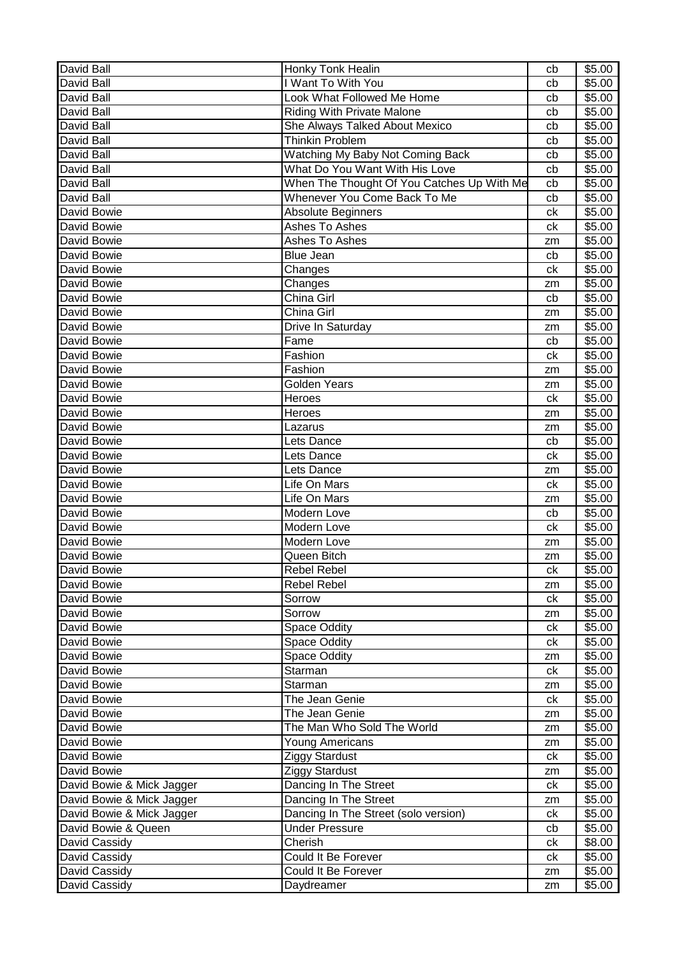| <b>David Ball</b>         | Honky Tonk Healin                          | cb | \$5.00 |
|---------------------------|--------------------------------------------|----|--------|
| David Ball                | I Want To With You                         | cb | \$5.00 |
| <b>David Ball</b>         | Look What Followed Me Home                 | cb | \$5.00 |
| David Ball                | <b>Riding With Private Malone</b>          | cb | \$5.00 |
| David Ball                | She Always Talked About Mexico             | cb | \$5.00 |
| David Ball                | Thinkin Problem                            | cb | \$5.00 |
| David Ball                | Watching My Baby Not Coming Back           | cb | \$5.00 |
| David Ball                | What Do You Want With His Love             | cb | \$5.00 |
| <b>David Ball</b>         | When The Thought Of You Catches Up With Me | cb | \$5.00 |
| David Ball                | Whenever You Come Back To Me               | cb | \$5.00 |
| David Bowie               | Absolute Beginners                         | сk | \$5.00 |
| David Bowie               | Ashes To Ashes                             | ck | \$5.00 |
| David Bowie               | Ashes To Ashes                             | zm | \$5.00 |
| David Bowie               | <b>Blue Jean</b>                           | cb | \$5.00 |
| David Bowie               | Changes                                    | ck | \$5.00 |
| David Bowie               | Changes                                    | zm | \$5.00 |
| David Bowie               | China Girl                                 | cb | \$5.00 |
| David Bowie               | China Girl                                 | zm | \$5.00 |
| David Bowie               | Drive In Saturday                          | zm | \$5.00 |
| David Bowie               | Fame                                       | cb | \$5.00 |
| David Bowie               | Fashion                                    | ck | \$5.00 |
| David Bowie               | Fashion                                    | zm | \$5.00 |
| David Bowie               | <b>Golden Years</b>                        | zm | \$5.00 |
| David Bowie               | Heroes                                     | ck | \$5.00 |
| David Bowie               | Heroes                                     | zm | \$5.00 |
| David Bowie               | Lazarus                                    | zm | \$5.00 |
| David Bowie               | Lets Dance                                 | cb | \$5.00 |
| David Bowie               | Lets Dance                                 | ck | \$5.00 |
| David Bowie               | Lets Dance                                 | zm | \$5.00 |
| David Bowie               | Life On Mars                               | ck | \$5.00 |
| David Bowie               | Life On Mars                               | zm | \$5.00 |
| David Bowie               | Modern Love                                | cb | \$5.00 |
| David Bowie               | Modern Love                                | ck | \$5.00 |
| David Bowie               | Modern Love                                | zm | \$5.00 |
| David Bowie               | Queen Bitch                                | zm | \$5.00 |
| David Bowie               | Rebel Rebel                                | ck | \$5.00 |
| David Bowie               | Rebel Rebel                                | zm | \$5.00 |
| David Bowie               | Sorrow                                     | ck | \$5.00 |
| David Bowie               | Sorrow                                     | zm | \$5.00 |
| David Bowie               | <b>Space Oddity</b>                        | сk | \$5.00 |
| David Bowie               | Space Oddity                               | сk | \$5.00 |
| David Bowie               | Space Oddity                               | zm | \$5.00 |
| David Bowie               | Starman                                    | ck | \$5.00 |
| David Bowie               | Starman                                    | zm | \$5.00 |
| David Bowie               | The Jean Genie                             | ck | \$5.00 |
| David Bowie               | The Jean Genie                             | zm | \$5.00 |
| David Bowie               | The Man Who Sold The World                 | zm | \$5.00 |
| David Bowie               | <b>Young Americans</b>                     | zm | \$5.00 |
| David Bowie               | Ziggy Stardust                             | ck | \$5.00 |
| David Bowie               | <b>Ziggy Stardust</b>                      | zm | \$5.00 |
| David Bowie & Mick Jagger | Dancing In The Street                      | ck | \$5.00 |
| David Bowie & Mick Jagger | Dancing In The Street                      | zm | \$5.00 |
| David Bowie & Mick Jagger | Dancing In The Street (solo version)       | ck | \$5.00 |
| David Bowie & Queen       | <b>Under Pressure</b>                      | cb | \$5.00 |
| David Cassidy             | Cherish                                    | сk | \$8.00 |
| David Cassidy             | Could It Be Forever                        | ck | \$5.00 |
| David Cassidy             | Could It Be Forever                        | zm | \$5.00 |
| David Cassidy             | Daydreamer                                 | zm | \$5.00 |
|                           |                                            |    |        |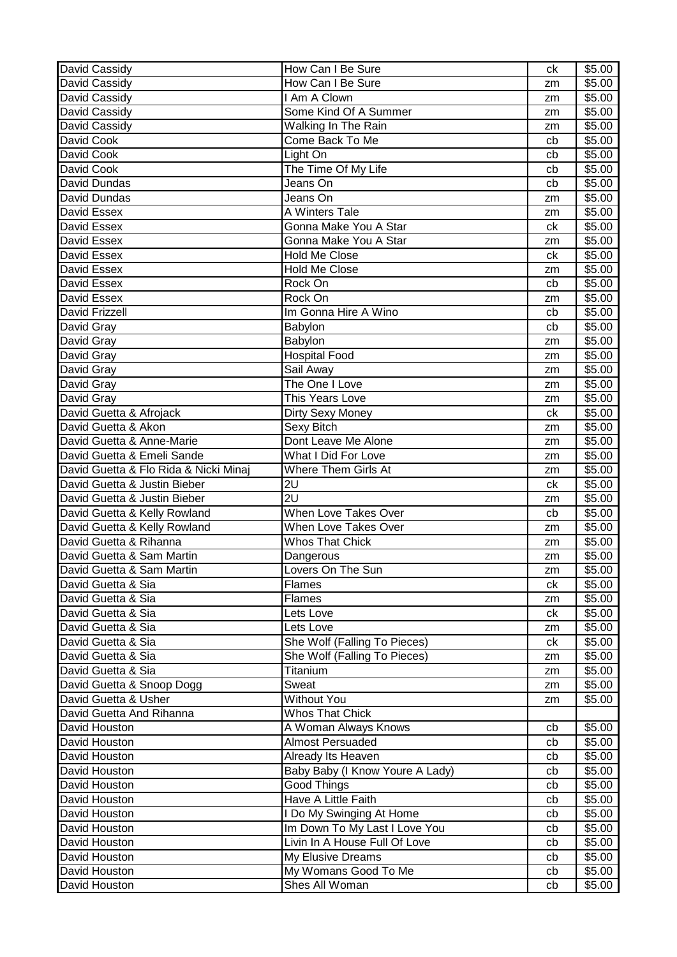| David Cassidy                         | How Can I Be Sure               | ck            | \$5.00 |
|---------------------------------------|---------------------------------|---------------|--------|
| David Cassidy                         | How Can I Be Sure               | zm            | \$5.00 |
| David Cassidy                         | I Am A Clown                    | zm            | \$5.00 |
| David Cassidy                         | Some Kind Of A Summer           | zm            | \$5.00 |
| David Cassidy                         | Walking In The Rain             | zm            | \$5.00 |
| David Cook                            | Come Back To Me                 | cb            | \$5.00 |
| David Cook                            | Light On                        | cb            | \$5.00 |
| David Cook                            | The Time Of My Life             | cb            | \$5.00 |
| David Dundas                          | Jeans On                        | cb            | \$5.00 |
| David Dundas                          | Jeans On                        | zm            | \$5.00 |
| David Essex                           | A Winters Tale                  | zm            | \$5.00 |
| David Essex                           | Gonna Make You A Star           | ck            | \$5.00 |
| David Essex                           | Gonna Make You A Star           | zm            | \$5.00 |
| David Essex                           | <b>Hold Me Close</b>            | ck            | \$5.00 |
| David Essex                           | <b>Hold Me Close</b>            | zm            | \$5.00 |
| David Essex                           | Rock On                         | cb            | \$5.00 |
| David Essex                           | Rock On                         | zm            | \$5.00 |
| David Frizzell                        | Im Gonna Hire A Wino            | cb            | \$5.00 |
| David Gray                            | Babylon                         | cb            | \$5.00 |
| David Gray                            | Babylon                         | zm            | \$5.00 |
| David Gray                            | <b>Hospital Food</b>            | zm            | \$5.00 |
| David Gray                            | Sail Away                       | zm            | \$5.00 |
| David Gray                            | The One I Love                  | zm            | \$5.00 |
| David Gray                            | This Years Love                 | zm            | \$5.00 |
| David Guetta & Afrojack               | Dirty Sexy Money                | ck            | \$5.00 |
| David Guetta & Akon                   | Sexy Bitch                      | zm            | \$5.00 |
| David Guetta & Anne-Marie             | Dont Leave Me Alone             | zm            | \$5.00 |
| David Guetta & Emeli Sande            | What I Did For Love             | zm            | \$5.00 |
| David Guetta & Flo Rida & Nicki Minaj | Where Them Girls At             | zm            | \$5.00 |
| David Guetta & Justin Bieber          | 2U                              | ck            | \$5.00 |
| David Guetta & Justin Bieber          | 2U                              | zm            | \$5.00 |
| David Guetta & Kelly Rowland          | When Love Takes Over            | cb            | \$5.00 |
| David Guetta & Kelly Rowland          | When Love Takes Over            | zm            | \$5.00 |
| David Guetta & Rihanna                | <b>Whos That Chick</b>          | zm            | \$5.00 |
| David Guetta & Sam Martin             | Dangerous                       | zm            | \$5.00 |
| David Guetta & Sam Martin             | Lovers On The Sun               | $\mathsf{zm}$ | \$5.00 |
| David Guetta & Sia                    | <b>Flames</b>                   | ck            | \$5.00 |
| David Guetta & Sia                    | Flames                          | zm            | \$5.00 |
| David Guetta & Sia                    | Lets Love                       | сk            | \$5.00 |
| David Guetta & Sia                    | Lets Love                       | zm            | \$5.00 |
| David Guetta & Sia                    | She Wolf (Falling To Pieces)    | ck            | \$5.00 |
| David Guetta & Sia                    | She Wolf (Falling To Pieces)    | zm            | \$5.00 |
| David Guetta & Sia                    | Titanium                        | zm            | \$5.00 |
| David Guetta & Snoop Dogg             | Sweat                           | zm            | \$5.00 |
| David Guetta & Usher                  | <b>Without You</b>              | zm            | \$5.00 |
| David Guetta And Rihanna              | <b>Whos That Chick</b>          |               |        |
| David Houston                         | A Woman Always Knows            | cb            | \$5.00 |
| David Houston                         | <b>Almost Persuaded</b>         | cb            | \$5.00 |
| David Houston                         | Already Its Heaven              | cb            | \$5.00 |
| David Houston                         | Baby Baby (I Know Youre A Lady) | cb            | \$5.00 |
| David Houston                         | Good Things                     | cb            | \$5.00 |
| David Houston                         | Have A Little Faith             | cb            | \$5.00 |
| David Houston                         | I Do My Swinging At Home        | cb            | \$5.00 |
| David Houston                         | Im Down To My Last I Love You   | cb            | \$5.00 |
| David Houston                         | Livin In A House Full Of Love   | cb            | \$5.00 |
| David Houston                         | My Elusive Dreams               | cb            | \$5.00 |
| David Houston                         | My Womans Good To Me            | cb            | \$5.00 |
|                                       | Shes All Woman                  | cb            | \$5.00 |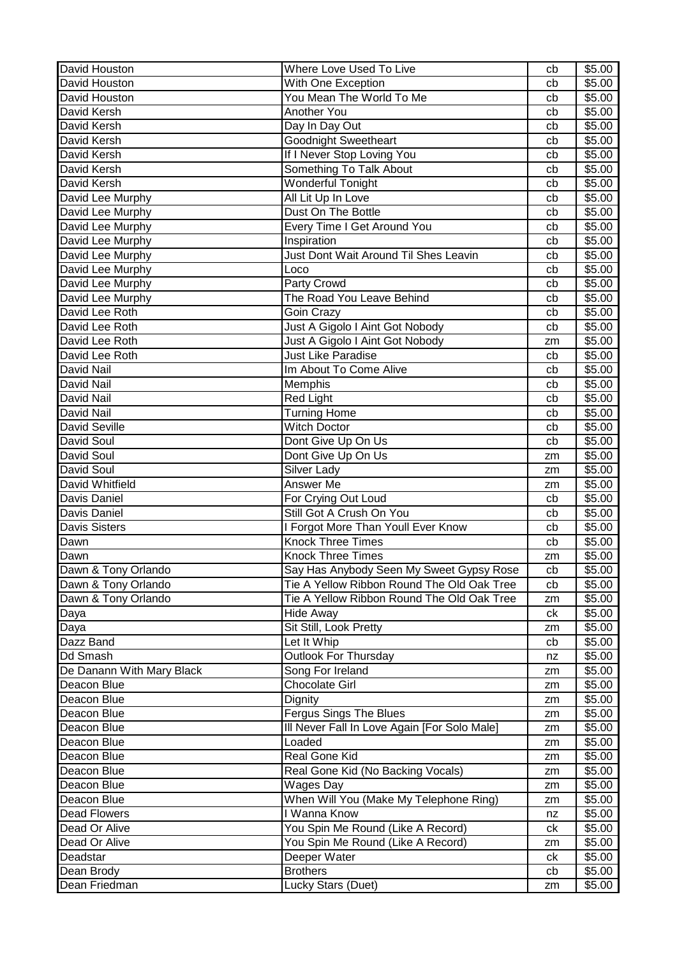| David Houston<br>\$5.00<br>With One Exception<br>cb<br>You Mean The World To Me<br>David Houston<br>\$5.00<br>cb<br><b>Another You</b><br>David Kersh<br>\$5.00<br>cb<br>David Kersh<br>Day In Day Out<br>\$5.00<br>cb<br><b>Goodnight Sweetheart</b><br>\$5.00<br>David Kersh<br>cb<br>David Kersh<br>If I Never Stop Loving You<br>\$5.00<br>cb<br>Something To Talk About<br>David Kersh<br>\$5.00<br>cb<br><b>Wonderful Tonight</b><br>David Kersh<br>\$5.00<br>cb<br>All Lit Up In Love<br>David Lee Murphy<br>\$5.00<br>cb<br>Dust On The Bottle<br>David Lee Murphy<br>\$5.00<br>cb<br>David Lee Murphy<br>Every Time I Get Around You<br>\$5.00<br>cb<br>Inspiration<br>David Lee Murphy<br>\$5.00<br>cb<br>David Lee Murphy<br>Just Dont Wait Around Til Shes Leavin<br>\$5.00<br>cb<br>David Lee Murphy<br>Loco<br>\$5.00<br>cb<br>David Lee Murphy<br>Party Crowd<br>\$5.00<br>cb<br>David Lee Murphy<br>The Road You Leave Behind<br>\$5.00<br>cb<br>David Lee Roth<br>\$5.00<br>Goin Crazy<br>cb<br>David Lee Roth<br>Just A Gigolo I Aint Got Nobody<br>\$5.00<br>cb<br>Just A Gigolo I Aint Got Nobody<br>David Lee Roth<br>\$5.00<br>zm<br><b>Just Like Paradise</b><br>David Lee Roth<br>\$5.00<br>cb<br>David Nail<br>Im About To Come Alive<br>\$5.00<br>cb<br>David Nail<br>Memphis<br>\$5.00<br>cb<br><b>Red Light</b><br>\$5.00<br>David Nail<br>cb<br>David Nail<br><b>Turning Home</b><br>\$5.00<br>cb<br><b>Witch Doctor</b><br><b>David Seville</b><br>\$5.00<br>cb<br>Dont Give Up On Us<br>\$5.00<br>David Soul<br>cb<br>Dont Give Up On Us<br>David Soul<br>\$5.00<br>zm<br>Silver Lady<br>David Soul<br>\$5.00<br>zm<br>Answer Me<br>David Whitfield<br>\$5.00<br>zm<br>Davis Daniel<br>\$5.00<br>For Crying Out Loud<br>cb<br>Still Got A Crush On You<br>Davis Daniel<br>\$5.00<br>cb<br>I Forgot More Than Youll Ever Know<br><b>Davis Sisters</b><br>\$5.00<br>cb<br>Knock Three Times<br>\$5.00<br>Dawn<br>cb<br><b>Knock Three Times</b><br>Dawn<br>\$5.00<br>zm<br>Dawn & Tony Orlando<br>\$5.00<br>Say Has Anybody Seen My Sweet Gypsy Rose<br>cb<br>Dawn & Tony Orlando<br>Tie A Yellow Ribbon Round The Old Oak Tree<br>cb<br>\$5.00<br>Dawn & Tony Orlando<br>Tie A Yellow Ribbon Round The Old Oak Tree<br>\$5.00<br>zm<br><b>Hide Away</b><br>\$5.00<br>Daya<br>сk<br>Sit Still, Look Pretty<br>\$5.00<br>Daya<br>zm<br>Dazz Band<br>Let It Whip<br>\$5.00<br>cb<br>Outlook For Thursday<br>Dd Smash<br>\$5.00<br>nz<br>Song For Ireland<br>\$5.00<br>De Danann With Mary Black<br>zm<br><b>Chocolate Girl</b><br>\$5.00<br>Deacon Blue<br>zm<br>\$5.00<br>Deacon Blue<br>Dignity<br>zm<br><b>Fergus Sings The Blues</b><br>\$5.00<br>Deacon Blue<br>zm<br>Ill Never Fall In Love Again [For Solo Male]<br>Deacon Blue<br>\$5.00<br>zm<br>\$5.00<br>Deacon Blue<br>Loaded<br>zm<br>Real Gone Kid<br>Deacon Blue<br>\$5.00<br>zm<br>Real Gone Kid (No Backing Vocals)<br>Deacon Blue<br>\$5.00<br>zm<br>Wages Day<br>Deacon Blue<br>\$5.00<br>zm<br>When Will You (Make My Telephone Ring)<br>\$5.00<br>Deacon Blue<br>zm<br>I Wanna Know<br>\$5.00<br><b>Dead Flowers</b><br>nz<br>You Spin Me Round (Like A Record)<br>Dead Or Alive<br>\$5.00<br>ck<br>You Spin Me Round (Like A Record)<br>Dead Or Alive<br>\$5.00<br>zm<br>Deeper Water<br>\$5.00<br>Deadstar<br>ck<br>\$5.00<br><b>Brothers</b><br>Dean Brody<br>cb | David Houston | Where Love Used To Live | cb | \$5.00 |
|---------------------------------------------------------------------------------------------------------------------------------------------------------------------------------------------------------------------------------------------------------------------------------------------------------------------------------------------------------------------------------------------------------------------------------------------------------------------------------------------------------------------------------------------------------------------------------------------------------------------------------------------------------------------------------------------------------------------------------------------------------------------------------------------------------------------------------------------------------------------------------------------------------------------------------------------------------------------------------------------------------------------------------------------------------------------------------------------------------------------------------------------------------------------------------------------------------------------------------------------------------------------------------------------------------------------------------------------------------------------------------------------------------------------------------------------------------------------------------------------------------------------------------------------------------------------------------------------------------------------------------------------------------------------------------------------------------------------------------------------------------------------------------------------------------------------------------------------------------------------------------------------------------------------------------------------------------------------------------------------------------------------------------------------------------------------------------------------------------------------------------------------------------------------------------------------------------------------------------------------------------------------------------------------------------------------------------------------------------------------------------------------------------------------------------------------------------------------------------------------------------------------------------------------------------------------------------------------------------------------------------------------------------------------------------------------------------------------------------------------------------------------------------------------------------------------------------------------------------------------------------------------------------------------------------------------------------------------------------------------------------------------------------------------------------------------------------------------------------------------------------------------------------------------------------------------------------------------------------------------------------------------------------------------------------------------------------------------------------------------|---------------|-------------------------|----|--------|
|                                                                                                                                                                                                                                                                                                                                                                                                                                                                                                                                                                                                                                                                                                                                                                                                                                                                                                                                                                                                                                                                                                                                                                                                                                                                                                                                                                                                                                                                                                                                                                                                                                                                                                                                                                                                                                                                                                                                                                                                                                                                                                                                                                                                                                                                                                                                                                                                                                                                                                                                                                                                                                                                                                                                                                                                                                                                                                                                                                                                                                                                                                                                                                                                                                                                                                                                                                     |               |                         |    |        |
|                                                                                                                                                                                                                                                                                                                                                                                                                                                                                                                                                                                                                                                                                                                                                                                                                                                                                                                                                                                                                                                                                                                                                                                                                                                                                                                                                                                                                                                                                                                                                                                                                                                                                                                                                                                                                                                                                                                                                                                                                                                                                                                                                                                                                                                                                                                                                                                                                                                                                                                                                                                                                                                                                                                                                                                                                                                                                                                                                                                                                                                                                                                                                                                                                                                                                                                                                                     |               |                         |    |        |
|                                                                                                                                                                                                                                                                                                                                                                                                                                                                                                                                                                                                                                                                                                                                                                                                                                                                                                                                                                                                                                                                                                                                                                                                                                                                                                                                                                                                                                                                                                                                                                                                                                                                                                                                                                                                                                                                                                                                                                                                                                                                                                                                                                                                                                                                                                                                                                                                                                                                                                                                                                                                                                                                                                                                                                                                                                                                                                                                                                                                                                                                                                                                                                                                                                                                                                                                                                     |               |                         |    |        |
|                                                                                                                                                                                                                                                                                                                                                                                                                                                                                                                                                                                                                                                                                                                                                                                                                                                                                                                                                                                                                                                                                                                                                                                                                                                                                                                                                                                                                                                                                                                                                                                                                                                                                                                                                                                                                                                                                                                                                                                                                                                                                                                                                                                                                                                                                                                                                                                                                                                                                                                                                                                                                                                                                                                                                                                                                                                                                                                                                                                                                                                                                                                                                                                                                                                                                                                                                                     |               |                         |    |        |
|                                                                                                                                                                                                                                                                                                                                                                                                                                                                                                                                                                                                                                                                                                                                                                                                                                                                                                                                                                                                                                                                                                                                                                                                                                                                                                                                                                                                                                                                                                                                                                                                                                                                                                                                                                                                                                                                                                                                                                                                                                                                                                                                                                                                                                                                                                                                                                                                                                                                                                                                                                                                                                                                                                                                                                                                                                                                                                                                                                                                                                                                                                                                                                                                                                                                                                                                                                     |               |                         |    |        |
|                                                                                                                                                                                                                                                                                                                                                                                                                                                                                                                                                                                                                                                                                                                                                                                                                                                                                                                                                                                                                                                                                                                                                                                                                                                                                                                                                                                                                                                                                                                                                                                                                                                                                                                                                                                                                                                                                                                                                                                                                                                                                                                                                                                                                                                                                                                                                                                                                                                                                                                                                                                                                                                                                                                                                                                                                                                                                                                                                                                                                                                                                                                                                                                                                                                                                                                                                                     |               |                         |    |        |
|                                                                                                                                                                                                                                                                                                                                                                                                                                                                                                                                                                                                                                                                                                                                                                                                                                                                                                                                                                                                                                                                                                                                                                                                                                                                                                                                                                                                                                                                                                                                                                                                                                                                                                                                                                                                                                                                                                                                                                                                                                                                                                                                                                                                                                                                                                                                                                                                                                                                                                                                                                                                                                                                                                                                                                                                                                                                                                                                                                                                                                                                                                                                                                                                                                                                                                                                                                     |               |                         |    |        |
|                                                                                                                                                                                                                                                                                                                                                                                                                                                                                                                                                                                                                                                                                                                                                                                                                                                                                                                                                                                                                                                                                                                                                                                                                                                                                                                                                                                                                                                                                                                                                                                                                                                                                                                                                                                                                                                                                                                                                                                                                                                                                                                                                                                                                                                                                                                                                                                                                                                                                                                                                                                                                                                                                                                                                                                                                                                                                                                                                                                                                                                                                                                                                                                                                                                                                                                                                                     |               |                         |    |        |
|                                                                                                                                                                                                                                                                                                                                                                                                                                                                                                                                                                                                                                                                                                                                                                                                                                                                                                                                                                                                                                                                                                                                                                                                                                                                                                                                                                                                                                                                                                                                                                                                                                                                                                                                                                                                                                                                                                                                                                                                                                                                                                                                                                                                                                                                                                                                                                                                                                                                                                                                                                                                                                                                                                                                                                                                                                                                                                                                                                                                                                                                                                                                                                                                                                                                                                                                                                     |               |                         |    |        |
|                                                                                                                                                                                                                                                                                                                                                                                                                                                                                                                                                                                                                                                                                                                                                                                                                                                                                                                                                                                                                                                                                                                                                                                                                                                                                                                                                                                                                                                                                                                                                                                                                                                                                                                                                                                                                                                                                                                                                                                                                                                                                                                                                                                                                                                                                                                                                                                                                                                                                                                                                                                                                                                                                                                                                                                                                                                                                                                                                                                                                                                                                                                                                                                                                                                                                                                                                                     |               |                         |    |        |
|                                                                                                                                                                                                                                                                                                                                                                                                                                                                                                                                                                                                                                                                                                                                                                                                                                                                                                                                                                                                                                                                                                                                                                                                                                                                                                                                                                                                                                                                                                                                                                                                                                                                                                                                                                                                                                                                                                                                                                                                                                                                                                                                                                                                                                                                                                                                                                                                                                                                                                                                                                                                                                                                                                                                                                                                                                                                                                                                                                                                                                                                                                                                                                                                                                                                                                                                                                     |               |                         |    |        |
|                                                                                                                                                                                                                                                                                                                                                                                                                                                                                                                                                                                                                                                                                                                                                                                                                                                                                                                                                                                                                                                                                                                                                                                                                                                                                                                                                                                                                                                                                                                                                                                                                                                                                                                                                                                                                                                                                                                                                                                                                                                                                                                                                                                                                                                                                                                                                                                                                                                                                                                                                                                                                                                                                                                                                                                                                                                                                                                                                                                                                                                                                                                                                                                                                                                                                                                                                                     |               |                         |    |        |
|                                                                                                                                                                                                                                                                                                                                                                                                                                                                                                                                                                                                                                                                                                                                                                                                                                                                                                                                                                                                                                                                                                                                                                                                                                                                                                                                                                                                                                                                                                                                                                                                                                                                                                                                                                                                                                                                                                                                                                                                                                                                                                                                                                                                                                                                                                                                                                                                                                                                                                                                                                                                                                                                                                                                                                                                                                                                                                                                                                                                                                                                                                                                                                                                                                                                                                                                                                     |               |                         |    |        |
|                                                                                                                                                                                                                                                                                                                                                                                                                                                                                                                                                                                                                                                                                                                                                                                                                                                                                                                                                                                                                                                                                                                                                                                                                                                                                                                                                                                                                                                                                                                                                                                                                                                                                                                                                                                                                                                                                                                                                                                                                                                                                                                                                                                                                                                                                                                                                                                                                                                                                                                                                                                                                                                                                                                                                                                                                                                                                                                                                                                                                                                                                                                                                                                                                                                                                                                                                                     |               |                         |    |        |
|                                                                                                                                                                                                                                                                                                                                                                                                                                                                                                                                                                                                                                                                                                                                                                                                                                                                                                                                                                                                                                                                                                                                                                                                                                                                                                                                                                                                                                                                                                                                                                                                                                                                                                                                                                                                                                                                                                                                                                                                                                                                                                                                                                                                                                                                                                                                                                                                                                                                                                                                                                                                                                                                                                                                                                                                                                                                                                                                                                                                                                                                                                                                                                                                                                                                                                                                                                     |               |                         |    |        |
|                                                                                                                                                                                                                                                                                                                                                                                                                                                                                                                                                                                                                                                                                                                                                                                                                                                                                                                                                                                                                                                                                                                                                                                                                                                                                                                                                                                                                                                                                                                                                                                                                                                                                                                                                                                                                                                                                                                                                                                                                                                                                                                                                                                                                                                                                                                                                                                                                                                                                                                                                                                                                                                                                                                                                                                                                                                                                                                                                                                                                                                                                                                                                                                                                                                                                                                                                                     |               |                         |    |        |
|                                                                                                                                                                                                                                                                                                                                                                                                                                                                                                                                                                                                                                                                                                                                                                                                                                                                                                                                                                                                                                                                                                                                                                                                                                                                                                                                                                                                                                                                                                                                                                                                                                                                                                                                                                                                                                                                                                                                                                                                                                                                                                                                                                                                                                                                                                                                                                                                                                                                                                                                                                                                                                                                                                                                                                                                                                                                                                                                                                                                                                                                                                                                                                                                                                                                                                                                                                     |               |                         |    |        |
|                                                                                                                                                                                                                                                                                                                                                                                                                                                                                                                                                                                                                                                                                                                                                                                                                                                                                                                                                                                                                                                                                                                                                                                                                                                                                                                                                                                                                                                                                                                                                                                                                                                                                                                                                                                                                                                                                                                                                                                                                                                                                                                                                                                                                                                                                                                                                                                                                                                                                                                                                                                                                                                                                                                                                                                                                                                                                                                                                                                                                                                                                                                                                                                                                                                                                                                                                                     |               |                         |    |        |
|                                                                                                                                                                                                                                                                                                                                                                                                                                                                                                                                                                                                                                                                                                                                                                                                                                                                                                                                                                                                                                                                                                                                                                                                                                                                                                                                                                                                                                                                                                                                                                                                                                                                                                                                                                                                                                                                                                                                                                                                                                                                                                                                                                                                                                                                                                                                                                                                                                                                                                                                                                                                                                                                                                                                                                                                                                                                                                                                                                                                                                                                                                                                                                                                                                                                                                                                                                     |               |                         |    |        |
|                                                                                                                                                                                                                                                                                                                                                                                                                                                                                                                                                                                                                                                                                                                                                                                                                                                                                                                                                                                                                                                                                                                                                                                                                                                                                                                                                                                                                                                                                                                                                                                                                                                                                                                                                                                                                                                                                                                                                                                                                                                                                                                                                                                                                                                                                                                                                                                                                                                                                                                                                                                                                                                                                                                                                                                                                                                                                                                                                                                                                                                                                                                                                                                                                                                                                                                                                                     |               |                         |    |        |
|                                                                                                                                                                                                                                                                                                                                                                                                                                                                                                                                                                                                                                                                                                                                                                                                                                                                                                                                                                                                                                                                                                                                                                                                                                                                                                                                                                                                                                                                                                                                                                                                                                                                                                                                                                                                                                                                                                                                                                                                                                                                                                                                                                                                                                                                                                                                                                                                                                                                                                                                                                                                                                                                                                                                                                                                                                                                                                                                                                                                                                                                                                                                                                                                                                                                                                                                                                     |               |                         |    |        |
|                                                                                                                                                                                                                                                                                                                                                                                                                                                                                                                                                                                                                                                                                                                                                                                                                                                                                                                                                                                                                                                                                                                                                                                                                                                                                                                                                                                                                                                                                                                                                                                                                                                                                                                                                                                                                                                                                                                                                                                                                                                                                                                                                                                                                                                                                                                                                                                                                                                                                                                                                                                                                                                                                                                                                                                                                                                                                                                                                                                                                                                                                                                                                                                                                                                                                                                                                                     |               |                         |    |        |
|                                                                                                                                                                                                                                                                                                                                                                                                                                                                                                                                                                                                                                                                                                                                                                                                                                                                                                                                                                                                                                                                                                                                                                                                                                                                                                                                                                                                                                                                                                                                                                                                                                                                                                                                                                                                                                                                                                                                                                                                                                                                                                                                                                                                                                                                                                                                                                                                                                                                                                                                                                                                                                                                                                                                                                                                                                                                                                                                                                                                                                                                                                                                                                                                                                                                                                                                                                     |               |                         |    |        |
|                                                                                                                                                                                                                                                                                                                                                                                                                                                                                                                                                                                                                                                                                                                                                                                                                                                                                                                                                                                                                                                                                                                                                                                                                                                                                                                                                                                                                                                                                                                                                                                                                                                                                                                                                                                                                                                                                                                                                                                                                                                                                                                                                                                                                                                                                                                                                                                                                                                                                                                                                                                                                                                                                                                                                                                                                                                                                                                                                                                                                                                                                                                                                                                                                                                                                                                                                                     |               |                         |    |        |
|                                                                                                                                                                                                                                                                                                                                                                                                                                                                                                                                                                                                                                                                                                                                                                                                                                                                                                                                                                                                                                                                                                                                                                                                                                                                                                                                                                                                                                                                                                                                                                                                                                                                                                                                                                                                                                                                                                                                                                                                                                                                                                                                                                                                                                                                                                                                                                                                                                                                                                                                                                                                                                                                                                                                                                                                                                                                                                                                                                                                                                                                                                                                                                                                                                                                                                                                                                     |               |                         |    |        |
|                                                                                                                                                                                                                                                                                                                                                                                                                                                                                                                                                                                                                                                                                                                                                                                                                                                                                                                                                                                                                                                                                                                                                                                                                                                                                                                                                                                                                                                                                                                                                                                                                                                                                                                                                                                                                                                                                                                                                                                                                                                                                                                                                                                                                                                                                                                                                                                                                                                                                                                                                                                                                                                                                                                                                                                                                                                                                                                                                                                                                                                                                                                                                                                                                                                                                                                                                                     |               |                         |    |        |
|                                                                                                                                                                                                                                                                                                                                                                                                                                                                                                                                                                                                                                                                                                                                                                                                                                                                                                                                                                                                                                                                                                                                                                                                                                                                                                                                                                                                                                                                                                                                                                                                                                                                                                                                                                                                                                                                                                                                                                                                                                                                                                                                                                                                                                                                                                                                                                                                                                                                                                                                                                                                                                                                                                                                                                                                                                                                                                                                                                                                                                                                                                                                                                                                                                                                                                                                                                     |               |                         |    |        |
|                                                                                                                                                                                                                                                                                                                                                                                                                                                                                                                                                                                                                                                                                                                                                                                                                                                                                                                                                                                                                                                                                                                                                                                                                                                                                                                                                                                                                                                                                                                                                                                                                                                                                                                                                                                                                                                                                                                                                                                                                                                                                                                                                                                                                                                                                                                                                                                                                                                                                                                                                                                                                                                                                                                                                                                                                                                                                                                                                                                                                                                                                                                                                                                                                                                                                                                                                                     |               |                         |    |        |
|                                                                                                                                                                                                                                                                                                                                                                                                                                                                                                                                                                                                                                                                                                                                                                                                                                                                                                                                                                                                                                                                                                                                                                                                                                                                                                                                                                                                                                                                                                                                                                                                                                                                                                                                                                                                                                                                                                                                                                                                                                                                                                                                                                                                                                                                                                                                                                                                                                                                                                                                                                                                                                                                                                                                                                                                                                                                                                                                                                                                                                                                                                                                                                                                                                                                                                                                                                     |               |                         |    |        |
|                                                                                                                                                                                                                                                                                                                                                                                                                                                                                                                                                                                                                                                                                                                                                                                                                                                                                                                                                                                                                                                                                                                                                                                                                                                                                                                                                                                                                                                                                                                                                                                                                                                                                                                                                                                                                                                                                                                                                                                                                                                                                                                                                                                                                                                                                                                                                                                                                                                                                                                                                                                                                                                                                                                                                                                                                                                                                                                                                                                                                                                                                                                                                                                                                                                                                                                                                                     |               |                         |    |        |
|                                                                                                                                                                                                                                                                                                                                                                                                                                                                                                                                                                                                                                                                                                                                                                                                                                                                                                                                                                                                                                                                                                                                                                                                                                                                                                                                                                                                                                                                                                                                                                                                                                                                                                                                                                                                                                                                                                                                                                                                                                                                                                                                                                                                                                                                                                                                                                                                                                                                                                                                                                                                                                                                                                                                                                                                                                                                                                                                                                                                                                                                                                                                                                                                                                                                                                                                                                     |               |                         |    |        |
|                                                                                                                                                                                                                                                                                                                                                                                                                                                                                                                                                                                                                                                                                                                                                                                                                                                                                                                                                                                                                                                                                                                                                                                                                                                                                                                                                                                                                                                                                                                                                                                                                                                                                                                                                                                                                                                                                                                                                                                                                                                                                                                                                                                                                                                                                                                                                                                                                                                                                                                                                                                                                                                                                                                                                                                                                                                                                                                                                                                                                                                                                                                                                                                                                                                                                                                                                                     |               |                         |    |        |
|                                                                                                                                                                                                                                                                                                                                                                                                                                                                                                                                                                                                                                                                                                                                                                                                                                                                                                                                                                                                                                                                                                                                                                                                                                                                                                                                                                                                                                                                                                                                                                                                                                                                                                                                                                                                                                                                                                                                                                                                                                                                                                                                                                                                                                                                                                                                                                                                                                                                                                                                                                                                                                                                                                                                                                                                                                                                                                                                                                                                                                                                                                                                                                                                                                                                                                                                                                     |               |                         |    |        |
|                                                                                                                                                                                                                                                                                                                                                                                                                                                                                                                                                                                                                                                                                                                                                                                                                                                                                                                                                                                                                                                                                                                                                                                                                                                                                                                                                                                                                                                                                                                                                                                                                                                                                                                                                                                                                                                                                                                                                                                                                                                                                                                                                                                                                                                                                                                                                                                                                                                                                                                                                                                                                                                                                                                                                                                                                                                                                                                                                                                                                                                                                                                                                                                                                                                                                                                                                                     |               |                         |    |        |
|                                                                                                                                                                                                                                                                                                                                                                                                                                                                                                                                                                                                                                                                                                                                                                                                                                                                                                                                                                                                                                                                                                                                                                                                                                                                                                                                                                                                                                                                                                                                                                                                                                                                                                                                                                                                                                                                                                                                                                                                                                                                                                                                                                                                                                                                                                                                                                                                                                                                                                                                                                                                                                                                                                                                                                                                                                                                                                                                                                                                                                                                                                                                                                                                                                                                                                                                                                     |               |                         |    |        |
|                                                                                                                                                                                                                                                                                                                                                                                                                                                                                                                                                                                                                                                                                                                                                                                                                                                                                                                                                                                                                                                                                                                                                                                                                                                                                                                                                                                                                                                                                                                                                                                                                                                                                                                                                                                                                                                                                                                                                                                                                                                                                                                                                                                                                                                                                                                                                                                                                                                                                                                                                                                                                                                                                                                                                                                                                                                                                                                                                                                                                                                                                                                                                                                                                                                                                                                                                                     |               |                         |    |        |
|                                                                                                                                                                                                                                                                                                                                                                                                                                                                                                                                                                                                                                                                                                                                                                                                                                                                                                                                                                                                                                                                                                                                                                                                                                                                                                                                                                                                                                                                                                                                                                                                                                                                                                                                                                                                                                                                                                                                                                                                                                                                                                                                                                                                                                                                                                                                                                                                                                                                                                                                                                                                                                                                                                                                                                                                                                                                                                                                                                                                                                                                                                                                                                                                                                                                                                                                                                     |               |                         |    |        |
|                                                                                                                                                                                                                                                                                                                                                                                                                                                                                                                                                                                                                                                                                                                                                                                                                                                                                                                                                                                                                                                                                                                                                                                                                                                                                                                                                                                                                                                                                                                                                                                                                                                                                                                                                                                                                                                                                                                                                                                                                                                                                                                                                                                                                                                                                                                                                                                                                                                                                                                                                                                                                                                                                                                                                                                                                                                                                                                                                                                                                                                                                                                                                                                                                                                                                                                                                                     |               |                         |    |        |
|                                                                                                                                                                                                                                                                                                                                                                                                                                                                                                                                                                                                                                                                                                                                                                                                                                                                                                                                                                                                                                                                                                                                                                                                                                                                                                                                                                                                                                                                                                                                                                                                                                                                                                                                                                                                                                                                                                                                                                                                                                                                                                                                                                                                                                                                                                                                                                                                                                                                                                                                                                                                                                                                                                                                                                                                                                                                                                                                                                                                                                                                                                                                                                                                                                                                                                                                                                     |               |                         |    |        |
|                                                                                                                                                                                                                                                                                                                                                                                                                                                                                                                                                                                                                                                                                                                                                                                                                                                                                                                                                                                                                                                                                                                                                                                                                                                                                                                                                                                                                                                                                                                                                                                                                                                                                                                                                                                                                                                                                                                                                                                                                                                                                                                                                                                                                                                                                                                                                                                                                                                                                                                                                                                                                                                                                                                                                                                                                                                                                                                                                                                                                                                                                                                                                                                                                                                                                                                                                                     |               |                         |    |        |
|                                                                                                                                                                                                                                                                                                                                                                                                                                                                                                                                                                                                                                                                                                                                                                                                                                                                                                                                                                                                                                                                                                                                                                                                                                                                                                                                                                                                                                                                                                                                                                                                                                                                                                                                                                                                                                                                                                                                                                                                                                                                                                                                                                                                                                                                                                                                                                                                                                                                                                                                                                                                                                                                                                                                                                                                                                                                                                                                                                                                                                                                                                                                                                                                                                                                                                                                                                     |               |                         |    |        |
|                                                                                                                                                                                                                                                                                                                                                                                                                                                                                                                                                                                                                                                                                                                                                                                                                                                                                                                                                                                                                                                                                                                                                                                                                                                                                                                                                                                                                                                                                                                                                                                                                                                                                                                                                                                                                                                                                                                                                                                                                                                                                                                                                                                                                                                                                                                                                                                                                                                                                                                                                                                                                                                                                                                                                                                                                                                                                                                                                                                                                                                                                                                                                                                                                                                                                                                                                                     |               |                         |    |        |
|                                                                                                                                                                                                                                                                                                                                                                                                                                                                                                                                                                                                                                                                                                                                                                                                                                                                                                                                                                                                                                                                                                                                                                                                                                                                                                                                                                                                                                                                                                                                                                                                                                                                                                                                                                                                                                                                                                                                                                                                                                                                                                                                                                                                                                                                                                                                                                                                                                                                                                                                                                                                                                                                                                                                                                                                                                                                                                                                                                                                                                                                                                                                                                                                                                                                                                                                                                     |               |                         |    |        |
|                                                                                                                                                                                                                                                                                                                                                                                                                                                                                                                                                                                                                                                                                                                                                                                                                                                                                                                                                                                                                                                                                                                                                                                                                                                                                                                                                                                                                                                                                                                                                                                                                                                                                                                                                                                                                                                                                                                                                                                                                                                                                                                                                                                                                                                                                                                                                                                                                                                                                                                                                                                                                                                                                                                                                                                                                                                                                                                                                                                                                                                                                                                                                                                                                                                                                                                                                                     |               |                         |    |        |
|                                                                                                                                                                                                                                                                                                                                                                                                                                                                                                                                                                                                                                                                                                                                                                                                                                                                                                                                                                                                                                                                                                                                                                                                                                                                                                                                                                                                                                                                                                                                                                                                                                                                                                                                                                                                                                                                                                                                                                                                                                                                                                                                                                                                                                                                                                                                                                                                                                                                                                                                                                                                                                                                                                                                                                                                                                                                                                                                                                                                                                                                                                                                                                                                                                                                                                                                                                     |               |                         |    |        |
|                                                                                                                                                                                                                                                                                                                                                                                                                                                                                                                                                                                                                                                                                                                                                                                                                                                                                                                                                                                                                                                                                                                                                                                                                                                                                                                                                                                                                                                                                                                                                                                                                                                                                                                                                                                                                                                                                                                                                                                                                                                                                                                                                                                                                                                                                                                                                                                                                                                                                                                                                                                                                                                                                                                                                                                                                                                                                                                                                                                                                                                                                                                                                                                                                                                                                                                                                                     |               |                         |    |        |
|                                                                                                                                                                                                                                                                                                                                                                                                                                                                                                                                                                                                                                                                                                                                                                                                                                                                                                                                                                                                                                                                                                                                                                                                                                                                                                                                                                                                                                                                                                                                                                                                                                                                                                                                                                                                                                                                                                                                                                                                                                                                                                                                                                                                                                                                                                                                                                                                                                                                                                                                                                                                                                                                                                                                                                                                                                                                                                                                                                                                                                                                                                                                                                                                                                                                                                                                                                     |               |                         |    |        |
|                                                                                                                                                                                                                                                                                                                                                                                                                                                                                                                                                                                                                                                                                                                                                                                                                                                                                                                                                                                                                                                                                                                                                                                                                                                                                                                                                                                                                                                                                                                                                                                                                                                                                                                                                                                                                                                                                                                                                                                                                                                                                                                                                                                                                                                                                                                                                                                                                                                                                                                                                                                                                                                                                                                                                                                                                                                                                                                                                                                                                                                                                                                                                                                                                                                                                                                                                                     |               |                         |    |        |
|                                                                                                                                                                                                                                                                                                                                                                                                                                                                                                                                                                                                                                                                                                                                                                                                                                                                                                                                                                                                                                                                                                                                                                                                                                                                                                                                                                                                                                                                                                                                                                                                                                                                                                                                                                                                                                                                                                                                                                                                                                                                                                                                                                                                                                                                                                                                                                                                                                                                                                                                                                                                                                                                                                                                                                                                                                                                                                                                                                                                                                                                                                                                                                                                                                                                                                                                                                     |               |                         |    |        |
|                                                                                                                                                                                                                                                                                                                                                                                                                                                                                                                                                                                                                                                                                                                                                                                                                                                                                                                                                                                                                                                                                                                                                                                                                                                                                                                                                                                                                                                                                                                                                                                                                                                                                                                                                                                                                                                                                                                                                                                                                                                                                                                                                                                                                                                                                                                                                                                                                                                                                                                                                                                                                                                                                                                                                                                                                                                                                                                                                                                                                                                                                                                                                                                                                                                                                                                                                                     |               |                         |    |        |
|                                                                                                                                                                                                                                                                                                                                                                                                                                                                                                                                                                                                                                                                                                                                                                                                                                                                                                                                                                                                                                                                                                                                                                                                                                                                                                                                                                                                                                                                                                                                                                                                                                                                                                                                                                                                                                                                                                                                                                                                                                                                                                                                                                                                                                                                                                                                                                                                                                                                                                                                                                                                                                                                                                                                                                                                                                                                                                                                                                                                                                                                                                                                                                                                                                                                                                                                                                     |               |                         |    |        |
|                                                                                                                                                                                                                                                                                                                                                                                                                                                                                                                                                                                                                                                                                                                                                                                                                                                                                                                                                                                                                                                                                                                                                                                                                                                                                                                                                                                                                                                                                                                                                                                                                                                                                                                                                                                                                                                                                                                                                                                                                                                                                                                                                                                                                                                                                                                                                                                                                                                                                                                                                                                                                                                                                                                                                                                                                                                                                                                                                                                                                                                                                                                                                                                                                                                                                                                                                                     |               |                         |    |        |
|                                                                                                                                                                                                                                                                                                                                                                                                                                                                                                                                                                                                                                                                                                                                                                                                                                                                                                                                                                                                                                                                                                                                                                                                                                                                                                                                                                                                                                                                                                                                                                                                                                                                                                                                                                                                                                                                                                                                                                                                                                                                                                                                                                                                                                                                                                                                                                                                                                                                                                                                                                                                                                                                                                                                                                                                                                                                                                                                                                                                                                                                                                                                                                                                                                                                                                                                                                     |               |                         |    |        |
|                                                                                                                                                                                                                                                                                                                                                                                                                                                                                                                                                                                                                                                                                                                                                                                                                                                                                                                                                                                                                                                                                                                                                                                                                                                                                                                                                                                                                                                                                                                                                                                                                                                                                                                                                                                                                                                                                                                                                                                                                                                                                                                                                                                                                                                                                                                                                                                                                                                                                                                                                                                                                                                                                                                                                                                                                                                                                                                                                                                                                                                                                                                                                                                                                                                                                                                                                                     |               |                         |    |        |
|                                                                                                                                                                                                                                                                                                                                                                                                                                                                                                                                                                                                                                                                                                                                                                                                                                                                                                                                                                                                                                                                                                                                                                                                                                                                                                                                                                                                                                                                                                                                                                                                                                                                                                                                                                                                                                                                                                                                                                                                                                                                                                                                                                                                                                                                                                                                                                                                                                                                                                                                                                                                                                                                                                                                                                                                                                                                                                                                                                                                                                                                                                                                                                                                                                                                                                                                                                     |               |                         |    |        |
|                                                                                                                                                                                                                                                                                                                                                                                                                                                                                                                                                                                                                                                                                                                                                                                                                                                                                                                                                                                                                                                                                                                                                                                                                                                                                                                                                                                                                                                                                                                                                                                                                                                                                                                                                                                                                                                                                                                                                                                                                                                                                                                                                                                                                                                                                                                                                                                                                                                                                                                                                                                                                                                                                                                                                                                                                                                                                                                                                                                                                                                                                                                                                                                                                                                                                                                                                                     |               |                         |    |        |
|                                                                                                                                                                                                                                                                                                                                                                                                                                                                                                                                                                                                                                                                                                                                                                                                                                                                                                                                                                                                                                                                                                                                                                                                                                                                                                                                                                                                                                                                                                                                                                                                                                                                                                                                                                                                                                                                                                                                                                                                                                                                                                                                                                                                                                                                                                                                                                                                                                                                                                                                                                                                                                                                                                                                                                                                                                                                                                                                                                                                                                                                                                                                                                                                                                                                                                                                                                     | Dean Friedman | Lucky Stars (Duet)      | zm | \$5.00 |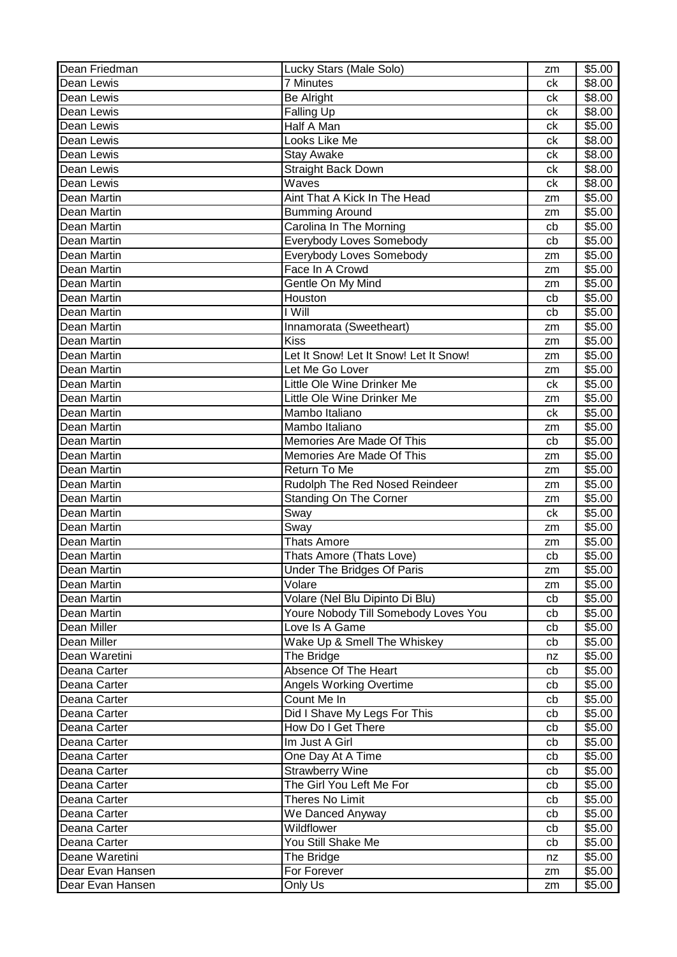| Dean Friedman    | Lucky Stars (Male Solo)                | zm | \$5.00 |
|------------------|----------------------------------------|----|--------|
| Dean Lewis       | <b>7 Minutes</b>                       | ck | \$8.00 |
| Dean Lewis       | <b>Be Alright</b>                      | сk | \$8.00 |
| Dean Lewis       | <b>Falling Up</b>                      | сk | \$8.00 |
| Dean Lewis       | Half A Man                             | сk | \$5.00 |
| Dean Lewis       | Looks Like Me                          | сk | \$8.00 |
| Dean Lewis       | <b>Stay Awake</b>                      | сk | \$8.00 |
| Dean Lewis       | Straight Back Down                     | сk | \$8.00 |
| Dean Lewis       | Waves                                  | сk | \$8.00 |
| Dean Martin      | Aint That A Kick In The Head           | zm | \$5.00 |
| Dean Martin      | <b>Bumming Around</b>                  | zm | \$5.00 |
| Dean Martin      | Carolina In The Morning                | cb | \$5.00 |
| Dean Martin      | Everybody Loves Somebody               | cb | \$5.00 |
| Dean Martin      | Everybody Loves Somebody               | zm | \$5.00 |
| Dean Martin      | Face In A Crowd                        | zm | \$5.00 |
| Dean Martin      | Gentle On My Mind                      | zm | \$5.00 |
| Dean Martin      | Houston                                | cb | \$5.00 |
| Dean Martin      | I Will                                 | cb | \$5.00 |
| Dean Martin      | Innamorata (Sweetheart)                | zm | \$5.00 |
| Dean Martin      | <b>Kiss</b>                            | zm | \$5.00 |
| Dean Martin      | Let It Snow! Let It Snow! Let It Snow! | zm | \$5.00 |
| Dean Martin      | Let Me Go Lover                        | zm | \$5.00 |
| Dean Martin      | Little Ole Wine Drinker Me             | ck | \$5.00 |
| Dean Martin      | Little Ole Wine Drinker Me             | zm | \$5.00 |
| Dean Martin      | Mambo Italiano                         | ck | \$5.00 |
| Dean Martin      | Mambo Italiano                         | zm | \$5.00 |
| Dean Martin      | Memories Are Made Of This              | cb | \$5.00 |
| Dean Martin      | Memories Are Made Of This              | zm | \$5.00 |
| Dean Martin      | Return To Me                           | zm | \$5.00 |
| Dean Martin      | Rudolph The Red Nosed Reindeer         | zm | \$5.00 |
| Dean Martin      | Standing On The Corner                 | zm | \$5.00 |
| Dean Martin      | Sway                                   | ck | \$5.00 |
| Dean Martin      | Sway                                   | zm | \$5.00 |
| Dean Martin      | Thats Amore                            | zm | \$5.00 |
| Dean Martin      | Thats Amore (Thats Love)               | cb | \$5.00 |
| Dean Martin      | Under The Bridges Of Paris             | zm | \$5.00 |
| Dean Martin      | Volare                                 | zm | \$5.00 |
| Dean Martin      | Volare (Nel Blu Dipinto Di Blu)        | cb | \$5.00 |
| Dean Martin      | Youre Nobody Till Somebody Loves You   | cb | \$5.00 |
| Dean Miller      | Love Is A Game                         | cb | \$5.00 |
| Dean Miller      | Wake Up & Smell The Whiskey            | cb | \$5.00 |
| Dean Waretini    | The Bridge                             | nz | \$5.00 |
| Deana Carter     | Absence Of The Heart                   | cb | \$5.00 |
| Deana Carter     | Angels Working Overtime                | cb | \$5.00 |
| Deana Carter     | Count Me In                            | cb | \$5.00 |
| Deana Carter     | Did I Shave My Legs For This           | cb | \$5.00 |
| Deana Carter     | How Do I Get There                     | cb | \$5.00 |
| Deana Carter     | Im Just A Girl                         | cb | \$5.00 |
| Deana Carter     | One Day At A Time                      | cb | \$5.00 |
| Deana Carter     | <b>Strawberry Wine</b>                 | cb | \$5.00 |
| Deana Carter     | The Girl You Left Me For               | cb | \$5.00 |
| Deana Carter     | Theres No Limit                        | cb | \$5.00 |
| Deana Carter     | We Danced Anyway                       | cb | \$5.00 |
| Deana Carter     | Wildflower                             | cb | \$5.00 |
| Deana Carter     | You Still Shake Me                     | cb | \$5.00 |
| Deane Waretini   | The Bridge                             | nz | \$5.00 |
| Dear Evan Hansen | For Forever                            | zm | \$5.00 |
| Dear Evan Hansen | Only Us                                | zm | \$5.00 |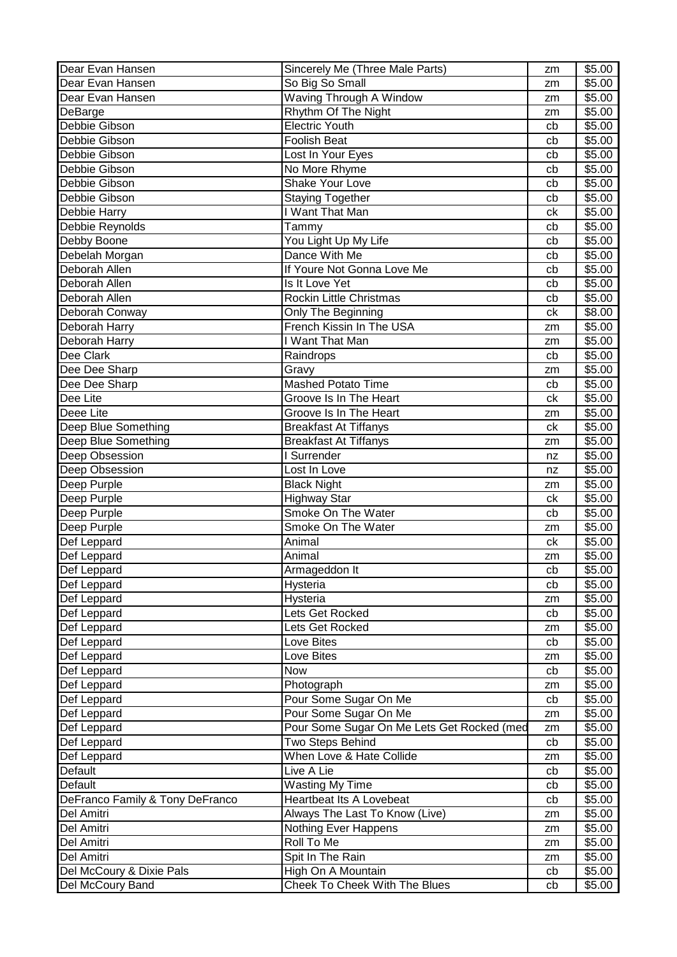| So Big So Small<br>Dear Evan Hansen<br>\$5.00<br>zm<br>Waving Through A Window<br>\$5.00<br>Dear Evan Hansen<br>zm<br>Rhythm Of The Night<br>DeBarge<br>\$5.00<br>zm<br>Debbie Gibson<br>\$5.00<br><b>Electric Youth</b><br>cb<br>Debbie Gibson<br><b>Foolish Beat</b><br>\$5.00<br>cb<br>Debbie Gibson<br>Lost In Your Eyes<br>\$5.00<br>cb<br>Debbie Gibson<br>No More Rhyme<br>\$5.00<br>cb<br>Shake Your Love<br>Debbie Gibson<br>\$5.00<br>cb<br>Debbie Gibson<br><b>Staying Together</b><br>\$5.00<br>cb<br>I Want That Man<br>Debbie Harry<br>\$5.00<br>ck<br>Debbie Reynolds<br>Tammy<br>\$5.00<br>cb<br>Debby Boone<br>You Light Up My Life<br>\$5.00<br>cb<br>Debelah Morgan<br>Dance With Me<br>\$5.00<br>cb<br>Deborah Allen<br>If Youre Not Gonna Love Me<br>\$5.00<br>cb<br>Deborah Allen<br>Is It Love Yet<br>\$5.00<br>cb<br>Deborah Allen<br>Rockin Little Christmas<br>\$5.00<br>cb<br>\$8.00<br>Only The Beginning<br>Deborah Conway<br>ck<br>French Kissin In The USA<br>\$5.00<br>Deborah Harry<br>zm<br>I Want That Man<br>Deborah Harry<br>\$5.00<br>zm<br>Dee Clark<br>\$5.00<br>Raindrops<br>cb<br>Dee Dee Sharp<br>\$5.00<br>Gravy<br>zm<br>Dee Dee Sharp<br>Mashed Potato Time<br>\$5.00<br>cb<br>Dee Lite<br>Groove Is In The Heart<br>\$5.00<br>ck<br>Deee Lite<br>Groove Is In The Heart<br>\$5.00<br>zm<br>Deep Blue Something<br><b>Breakfast At Tiffanys</b><br>\$5.00<br>ck<br>Deep Blue Something<br>\$5.00<br><b>Breakfast At Tiffanys</b><br>zm<br>Deep Obsession<br>Surrender<br>\$5.00<br>nz<br>Deep Obsession<br>Lost In Love<br>\$5.00<br>nz<br>\$5.00<br>Deep Purple<br><b>Black Night</b><br>zm<br>Deep Purple<br><b>Highway Star</b><br>\$5.00<br>ck<br>Smoke On The Water<br>Deep Purple<br>\$5.00<br>cb<br>Deep Purple<br>Smoke On The Water<br>\$5.00<br>zm<br>Def Leppard<br>Animal<br>\$5.00<br>ck<br>Def Leppard<br>Animal<br>\$5.00<br>zm<br>\$5.00<br>Def Leppard<br>cb<br>Armageddon It<br>Hysteria<br>\$5.00<br>Def Leppard<br>cb<br>\$5.00<br>Def Leppard<br>Hysteria<br>zm<br>Def Leppard<br>\$5.00<br>Lets Get Rocked<br>cb<br>Def Leppard<br>Lets Get Rocked<br>\$5.00<br>zm<br>Def Leppard<br>Love Bites<br>\$5.00<br>cb<br>Love Bites<br>\$5.00<br>Def Leppard<br>zm<br>\$5.00<br>Def Leppard<br>Now<br>cb<br>Photograph<br>\$5.00<br>Def Leppard<br>zm<br>Pour Some Sugar On Me<br>\$5.00<br>Def Leppard<br>cb<br>Pour Some Sugar On Me<br>\$5.00<br>Def Leppard<br>zm<br>Pour Some Sugar On Me Lets Get Rocked (med<br>\$5.00<br>Def Leppard<br>zm<br>Two Steps Behind<br>\$5.00<br>Def Leppard<br>cb<br>Def Leppard<br>When Love & Hate Collide<br>\$5.00<br>zm<br>Default<br>Live A Lie<br>\$5.00<br>cb<br>Default<br><b>Wasting My Time</b><br>\$5.00<br>cb<br><b>Heartbeat Its A Lovebeat</b><br>DeFranco Family & Tony DeFranco<br>\$5.00<br>cb<br>\$5.00<br>Del Amitri<br>Always The Last To Know (Live)<br>zm<br>Nothing Ever Happens<br>Del Amitri<br>\$5.00<br>zm<br>Del Amitri<br>Roll To Me<br>\$5.00<br>zm<br>Del Amitri<br>Spit In The Rain<br>\$5.00<br>zm<br>Del McCoury & Dixie Pals<br>High On A Mountain<br>\$5.00<br>cb | Dear Evan Hansen | Sincerely Me (Three Male Parts) | zm | \$5.00 |
|----------------------------------------------------------------------------------------------------------------------------------------------------------------------------------------------------------------------------------------------------------------------------------------------------------------------------------------------------------------------------------------------------------------------------------------------------------------------------------------------------------------------------------------------------------------------------------------------------------------------------------------------------------------------------------------------------------------------------------------------------------------------------------------------------------------------------------------------------------------------------------------------------------------------------------------------------------------------------------------------------------------------------------------------------------------------------------------------------------------------------------------------------------------------------------------------------------------------------------------------------------------------------------------------------------------------------------------------------------------------------------------------------------------------------------------------------------------------------------------------------------------------------------------------------------------------------------------------------------------------------------------------------------------------------------------------------------------------------------------------------------------------------------------------------------------------------------------------------------------------------------------------------------------------------------------------------------------------------------------------------------------------------------------------------------------------------------------------------------------------------------------------------------------------------------------------------------------------------------------------------------------------------------------------------------------------------------------------------------------------------------------------------------------------------------------------------------------------------------------------------------------------------------------------------------------------------------------------------------------------------------------------------------------------------------------------------------------------------------------------------------------------------------------------------------------------------------------------------------------------------------------------------------------------------------------------------------------------------------------------------------------------------------------------------------------------------------------------------------|------------------|---------------------------------|----|--------|
|                                                                                                                                                                                                                                                                                                                                                                                                                                                                                                                                                                                                                                                                                                                                                                                                                                                                                                                                                                                                                                                                                                                                                                                                                                                                                                                                                                                                                                                                                                                                                                                                                                                                                                                                                                                                                                                                                                                                                                                                                                                                                                                                                                                                                                                                                                                                                                                                                                                                                                                                                                                                                                                                                                                                                                                                                                                                                                                                                                                                                                                                                                          |                  |                                 |    |        |
|                                                                                                                                                                                                                                                                                                                                                                                                                                                                                                                                                                                                                                                                                                                                                                                                                                                                                                                                                                                                                                                                                                                                                                                                                                                                                                                                                                                                                                                                                                                                                                                                                                                                                                                                                                                                                                                                                                                                                                                                                                                                                                                                                                                                                                                                                                                                                                                                                                                                                                                                                                                                                                                                                                                                                                                                                                                                                                                                                                                                                                                                                                          |                  |                                 |    |        |
|                                                                                                                                                                                                                                                                                                                                                                                                                                                                                                                                                                                                                                                                                                                                                                                                                                                                                                                                                                                                                                                                                                                                                                                                                                                                                                                                                                                                                                                                                                                                                                                                                                                                                                                                                                                                                                                                                                                                                                                                                                                                                                                                                                                                                                                                                                                                                                                                                                                                                                                                                                                                                                                                                                                                                                                                                                                                                                                                                                                                                                                                                                          |                  |                                 |    |        |
|                                                                                                                                                                                                                                                                                                                                                                                                                                                                                                                                                                                                                                                                                                                                                                                                                                                                                                                                                                                                                                                                                                                                                                                                                                                                                                                                                                                                                                                                                                                                                                                                                                                                                                                                                                                                                                                                                                                                                                                                                                                                                                                                                                                                                                                                                                                                                                                                                                                                                                                                                                                                                                                                                                                                                                                                                                                                                                                                                                                                                                                                                                          |                  |                                 |    |        |
|                                                                                                                                                                                                                                                                                                                                                                                                                                                                                                                                                                                                                                                                                                                                                                                                                                                                                                                                                                                                                                                                                                                                                                                                                                                                                                                                                                                                                                                                                                                                                                                                                                                                                                                                                                                                                                                                                                                                                                                                                                                                                                                                                                                                                                                                                                                                                                                                                                                                                                                                                                                                                                                                                                                                                                                                                                                                                                                                                                                                                                                                                                          |                  |                                 |    |        |
|                                                                                                                                                                                                                                                                                                                                                                                                                                                                                                                                                                                                                                                                                                                                                                                                                                                                                                                                                                                                                                                                                                                                                                                                                                                                                                                                                                                                                                                                                                                                                                                                                                                                                                                                                                                                                                                                                                                                                                                                                                                                                                                                                                                                                                                                                                                                                                                                                                                                                                                                                                                                                                                                                                                                                                                                                                                                                                                                                                                                                                                                                                          |                  |                                 |    |        |
|                                                                                                                                                                                                                                                                                                                                                                                                                                                                                                                                                                                                                                                                                                                                                                                                                                                                                                                                                                                                                                                                                                                                                                                                                                                                                                                                                                                                                                                                                                                                                                                                                                                                                                                                                                                                                                                                                                                                                                                                                                                                                                                                                                                                                                                                                                                                                                                                                                                                                                                                                                                                                                                                                                                                                                                                                                                                                                                                                                                                                                                                                                          |                  |                                 |    |        |
|                                                                                                                                                                                                                                                                                                                                                                                                                                                                                                                                                                                                                                                                                                                                                                                                                                                                                                                                                                                                                                                                                                                                                                                                                                                                                                                                                                                                                                                                                                                                                                                                                                                                                                                                                                                                                                                                                                                                                                                                                                                                                                                                                                                                                                                                                                                                                                                                                                                                                                                                                                                                                                                                                                                                                                                                                                                                                                                                                                                                                                                                                                          |                  |                                 |    |        |
|                                                                                                                                                                                                                                                                                                                                                                                                                                                                                                                                                                                                                                                                                                                                                                                                                                                                                                                                                                                                                                                                                                                                                                                                                                                                                                                                                                                                                                                                                                                                                                                                                                                                                                                                                                                                                                                                                                                                                                                                                                                                                                                                                                                                                                                                                                                                                                                                                                                                                                                                                                                                                                                                                                                                                                                                                                                                                                                                                                                                                                                                                                          |                  |                                 |    |        |
|                                                                                                                                                                                                                                                                                                                                                                                                                                                                                                                                                                                                                                                                                                                                                                                                                                                                                                                                                                                                                                                                                                                                                                                                                                                                                                                                                                                                                                                                                                                                                                                                                                                                                                                                                                                                                                                                                                                                                                                                                                                                                                                                                                                                                                                                                                                                                                                                                                                                                                                                                                                                                                                                                                                                                                                                                                                                                                                                                                                                                                                                                                          |                  |                                 |    |        |
|                                                                                                                                                                                                                                                                                                                                                                                                                                                                                                                                                                                                                                                                                                                                                                                                                                                                                                                                                                                                                                                                                                                                                                                                                                                                                                                                                                                                                                                                                                                                                                                                                                                                                                                                                                                                                                                                                                                                                                                                                                                                                                                                                                                                                                                                                                                                                                                                                                                                                                                                                                                                                                                                                                                                                                                                                                                                                                                                                                                                                                                                                                          |                  |                                 |    |        |
|                                                                                                                                                                                                                                                                                                                                                                                                                                                                                                                                                                                                                                                                                                                                                                                                                                                                                                                                                                                                                                                                                                                                                                                                                                                                                                                                                                                                                                                                                                                                                                                                                                                                                                                                                                                                                                                                                                                                                                                                                                                                                                                                                                                                                                                                                                                                                                                                                                                                                                                                                                                                                                                                                                                                                                                                                                                                                                                                                                                                                                                                                                          |                  |                                 |    |        |
|                                                                                                                                                                                                                                                                                                                                                                                                                                                                                                                                                                                                                                                                                                                                                                                                                                                                                                                                                                                                                                                                                                                                                                                                                                                                                                                                                                                                                                                                                                                                                                                                                                                                                                                                                                                                                                                                                                                                                                                                                                                                                                                                                                                                                                                                                                                                                                                                                                                                                                                                                                                                                                                                                                                                                                                                                                                                                                                                                                                                                                                                                                          |                  |                                 |    |        |
|                                                                                                                                                                                                                                                                                                                                                                                                                                                                                                                                                                                                                                                                                                                                                                                                                                                                                                                                                                                                                                                                                                                                                                                                                                                                                                                                                                                                                                                                                                                                                                                                                                                                                                                                                                                                                                                                                                                                                                                                                                                                                                                                                                                                                                                                                                                                                                                                                                                                                                                                                                                                                                                                                                                                                                                                                                                                                                                                                                                                                                                                                                          |                  |                                 |    |        |
|                                                                                                                                                                                                                                                                                                                                                                                                                                                                                                                                                                                                                                                                                                                                                                                                                                                                                                                                                                                                                                                                                                                                                                                                                                                                                                                                                                                                                                                                                                                                                                                                                                                                                                                                                                                                                                                                                                                                                                                                                                                                                                                                                                                                                                                                                                                                                                                                                                                                                                                                                                                                                                                                                                                                                                                                                                                                                                                                                                                                                                                                                                          |                  |                                 |    |        |
|                                                                                                                                                                                                                                                                                                                                                                                                                                                                                                                                                                                                                                                                                                                                                                                                                                                                                                                                                                                                                                                                                                                                                                                                                                                                                                                                                                                                                                                                                                                                                                                                                                                                                                                                                                                                                                                                                                                                                                                                                                                                                                                                                                                                                                                                                                                                                                                                                                                                                                                                                                                                                                                                                                                                                                                                                                                                                                                                                                                                                                                                                                          |                  |                                 |    |        |
|                                                                                                                                                                                                                                                                                                                                                                                                                                                                                                                                                                                                                                                                                                                                                                                                                                                                                                                                                                                                                                                                                                                                                                                                                                                                                                                                                                                                                                                                                                                                                                                                                                                                                                                                                                                                                                                                                                                                                                                                                                                                                                                                                                                                                                                                                                                                                                                                                                                                                                                                                                                                                                                                                                                                                                                                                                                                                                                                                                                                                                                                                                          |                  |                                 |    |        |
|                                                                                                                                                                                                                                                                                                                                                                                                                                                                                                                                                                                                                                                                                                                                                                                                                                                                                                                                                                                                                                                                                                                                                                                                                                                                                                                                                                                                                                                                                                                                                                                                                                                                                                                                                                                                                                                                                                                                                                                                                                                                                                                                                                                                                                                                                                                                                                                                                                                                                                                                                                                                                                                                                                                                                                                                                                                                                                                                                                                                                                                                                                          |                  |                                 |    |        |
|                                                                                                                                                                                                                                                                                                                                                                                                                                                                                                                                                                                                                                                                                                                                                                                                                                                                                                                                                                                                                                                                                                                                                                                                                                                                                                                                                                                                                                                                                                                                                                                                                                                                                                                                                                                                                                                                                                                                                                                                                                                                                                                                                                                                                                                                                                                                                                                                                                                                                                                                                                                                                                                                                                                                                                                                                                                                                                                                                                                                                                                                                                          |                  |                                 |    |        |
|                                                                                                                                                                                                                                                                                                                                                                                                                                                                                                                                                                                                                                                                                                                                                                                                                                                                                                                                                                                                                                                                                                                                                                                                                                                                                                                                                                                                                                                                                                                                                                                                                                                                                                                                                                                                                                                                                                                                                                                                                                                                                                                                                                                                                                                                                                                                                                                                                                                                                                                                                                                                                                                                                                                                                                                                                                                                                                                                                                                                                                                                                                          |                  |                                 |    |        |
|                                                                                                                                                                                                                                                                                                                                                                                                                                                                                                                                                                                                                                                                                                                                                                                                                                                                                                                                                                                                                                                                                                                                                                                                                                                                                                                                                                                                                                                                                                                                                                                                                                                                                                                                                                                                                                                                                                                                                                                                                                                                                                                                                                                                                                                                                                                                                                                                                                                                                                                                                                                                                                                                                                                                                                                                                                                                                                                                                                                                                                                                                                          |                  |                                 |    |        |
|                                                                                                                                                                                                                                                                                                                                                                                                                                                                                                                                                                                                                                                                                                                                                                                                                                                                                                                                                                                                                                                                                                                                                                                                                                                                                                                                                                                                                                                                                                                                                                                                                                                                                                                                                                                                                                                                                                                                                                                                                                                                                                                                                                                                                                                                                                                                                                                                                                                                                                                                                                                                                                                                                                                                                                                                                                                                                                                                                                                                                                                                                                          |                  |                                 |    |        |
|                                                                                                                                                                                                                                                                                                                                                                                                                                                                                                                                                                                                                                                                                                                                                                                                                                                                                                                                                                                                                                                                                                                                                                                                                                                                                                                                                                                                                                                                                                                                                                                                                                                                                                                                                                                                                                                                                                                                                                                                                                                                                                                                                                                                                                                                                                                                                                                                                                                                                                                                                                                                                                                                                                                                                                                                                                                                                                                                                                                                                                                                                                          |                  |                                 |    |        |
|                                                                                                                                                                                                                                                                                                                                                                                                                                                                                                                                                                                                                                                                                                                                                                                                                                                                                                                                                                                                                                                                                                                                                                                                                                                                                                                                                                                                                                                                                                                                                                                                                                                                                                                                                                                                                                                                                                                                                                                                                                                                                                                                                                                                                                                                                                                                                                                                                                                                                                                                                                                                                                                                                                                                                                                                                                                                                                                                                                                                                                                                                                          |                  |                                 |    |        |
|                                                                                                                                                                                                                                                                                                                                                                                                                                                                                                                                                                                                                                                                                                                                                                                                                                                                                                                                                                                                                                                                                                                                                                                                                                                                                                                                                                                                                                                                                                                                                                                                                                                                                                                                                                                                                                                                                                                                                                                                                                                                                                                                                                                                                                                                                                                                                                                                                                                                                                                                                                                                                                                                                                                                                                                                                                                                                                                                                                                                                                                                                                          |                  |                                 |    |        |
|                                                                                                                                                                                                                                                                                                                                                                                                                                                                                                                                                                                                                                                                                                                                                                                                                                                                                                                                                                                                                                                                                                                                                                                                                                                                                                                                                                                                                                                                                                                                                                                                                                                                                                                                                                                                                                                                                                                                                                                                                                                                                                                                                                                                                                                                                                                                                                                                                                                                                                                                                                                                                                                                                                                                                                                                                                                                                                                                                                                                                                                                                                          |                  |                                 |    |        |
|                                                                                                                                                                                                                                                                                                                                                                                                                                                                                                                                                                                                                                                                                                                                                                                                                                                                                                                                                                                                                                                                                                                                                                                                                                                                                                                                                                                                                                                                                                                                                                                                                                                                                                                                                                                                                                                                                                                                                                                                                                                                                                                                                                                                                                                                                                                                                                                                                                                                                                                                                                                                                                                                                                                                                                                                                                                                                                                                                                                                                                                                                                          |                  |                                 |    |        |
|                                                                                                                                                                                                                                                                                                                                                                                                                                                                                                                                                                                                                                                                                                                                                                                                                                                                                                                                                                                                                                                                                                                                                                                                                                                                                                                                                                                                                                                                                                                                                                                                                                                                                                                                                                                                                                                                                                                                                                                                                                                                                                                                                                                                                                                                                                                                                                                                                                                                                                                                                                                                                                                                                                                                                                                                                                                                                                                                                                                                                                                                                                          |                  |                                 |    |        |
|                                                                                                                                                                                                                                                                                                                                                                                                                                                                                                                                                                                                                                                                                                                                                                                                                                                                                                                                                                                                                                                                                                                                                                                                                                                                                                                                                                                                                                                                                                                                                                                                                                                                                                                                                                                                                                                                                                                                                                                                                                                                                                                                                                                                                                                                                                                                                                                                                                                                                                                                                                                                                                                                                                                                                                                                                                                                                                                                                                                                                                                                                                          |                  |                                 |    |        |
|                                                                                                                                                                                                                                                                                                                                                                                                                                                                                                                                                                                                                                                                                                                                                                                                                                                                                                                                                                                                                                                                                                                                                                                                                                                                                                                                                                                                                                                                                                                                                                                                                                                                                                                                                                                                                                                                                                                                                                                                                                                                                                                                                                                                                                                                                                                                                                                                                                                                                                                                                                                                                                                                                                                                                                                                                                                                                                                                                                                                                                                                                                          |                  |                                 |    |        |
|                                                                                                                                                                                                                                                                                                                                                                                                                                                                                                                                                                                                                                                                                                                                                                                                                                                                                                                                                                                                                                                                                                                                                                                                                                                                                                                                                                                                                                                                                                                                                                                                                                                                                                                                                                                                                                                                                                                                                                                                                                                                                                                                                                                                                                                                                                                                                                                                                                                                                                                                                                                                                                                                                                                                                                                                                                                                                                                                                                                                                                                                                                          |                  |                                 |    |        |
|                                                                                                                                                                                                                                                                                                                                                                                                                                                                                                                                                                                                                                                                                                                                                                                                                                                                                                                                                                                                                                                                                                                                                                                                                                                                                                                                                                                                                                                                                                                                                                                                                                                                                                                                                                                                                                                                                                                                                                                                                                                                                                                                                                                                                                                                                                                                                                                                                                                                                                                                                                                                                                                                                                                                                                                                                                                                                                                                                                                                                                                                                                          |                  |                                 |    |        |
|                                                                                                                                                                                                                                                                                                                                                                                                                                                                                                                                                                                                                                                                                                                                                                                                                                                                                                                                                                                                                                                                                                                                                                                                                                                                                                                                                                                                                                                                                                                                                                                                                                                                                                                                                                                                                                                                                                                                                                                                                                                                                                                                                                                                                                                                                                                                                                                                                                                                                                                                                                                                                                                                                                                                                                                                                                                                                                                                                                                                                                                                                                          |                  |                                 |    |        |
|                                                                                                                                                                                                                                                                                                                                                                                                                                                                                                                                                                                                                                                                                                                                                                                                                                                                                                                                                                                                                                                                                                                                                                                                                                                                                                                                                                                                                                                                                                                                                                                                                                                                                                                                                                                                                                                                                                                                                                                                                                                                                                                                                                                                                                                                                                                                                                                                                                                                                                                                                                                                                                                                                                                                                                                                                                                                                                                                                                                                                                                                                                          |                  |                                 |    |        |
|                                                                                                                                                                                                                                                                                                                                                                                                                                                                                                                                                                                                                                                                                                                                                                                                                                                                                                                                                                                                                                                                                                                                                                                                                                                                                                                                                                                                                                                                                                                                                                                                                                                                                                                                                                                                                                                                                                                                                                                                                                                                                                                                                                                                                                                                                                                                                                                                                                                                                                                                                                                                                                                                                                                                                                                                                                                                                                                                                                                                                                                                                                          |                  |                                 |    |        |
|                                                                                                                                                                                                                                                                                                                                                                                                                                                                                                                                                                                                                                                                                                                                                                                                                                                                                                                                                                                                                                                                                                                                                                                                                                                                                                                                                                                                                                                                                                                                                                                                                                                                                                                                                                                                                                                                                                                                                                                                                                                                                                                                                                                                                                                                                                                                                                                                                                                                                                                                                                                                                                                                                                                                                                                                                                                                                                                                                                                                                                                                                                          |                  |                                 |    |        |
|                                                                                                                                                                                                                                                                                                                                                                                                                                                                                                                                                                                                                                                                                                                                                                                                                                                                                                                                                                                                                                                                                                                                                                                                                                                                                                                                                                                                                                                                                                                                                                                                                                                                                                                                                                                                                                                                                                                                                                                                                                                                                                                                                                                                                                                                                                                                                                                                                                                                                                                                                                                                                                                                                                                                                                                                                                                                                                                                                                                                                                                                                                          |                  |                                 |    |        |
|                                                                                                                                                                                                                                                                                                                                                                                                                                                                                                                                                                                                                                                                                                                                                                                                                                                                                                                                                                                                                                                                                                                                                                                                                                                                                                                                                                                                                                                                                                                                                                                                                                                                                                                                                                                                                                                                                                                                                                                                                                                                                                                                                                                                                                                                                                                                                                                                                                                                                                                                                                                                                                                                                                                                                                                                                                                                                                                                                                                                                                                                                                          |                  |                                 |    |        |
|                                                                                                                                                                                                                                                                                                                                                                                                                                                                                                                                                                                                                                                                                                                                                                                                                                                                                                                                                                                                                                                                                                                                                                                                                                                                                                                                                                                                                                                                                                                                                                                                                                                                                                                                                                                                                                                                                                                                                                                                                                                                                                                                                                                                                                                                                                                                                                                                                                                                                                                                                                                                                                                                                                                                                                                                                                                                                                                                                                                                                                                                                                          |                  |                                 |    |        |
|                                                                                                                                                                                                                                                                                                                                                                                                                                                                                                                                                                                                                                                                                                                                                                                                                                                                                                                                                                                                                                                                                                                                                                                                                                                                                                                                                                                                                                                                                                                                                                                                                                                                                                                                                                                                                                                                                                                                                                                                                                                                                                                                                                                                                                                                                                                                                                                                                                                                                                                                                                                                                                                                                                                                                                                                                                                                                                                                                                                                                                                                                                          |                  |                                 |    |        |
|                                                                                                                                                                                                                                                                                                                                                                                                                                                                                                                                                                                                                                                                                                                                                                                                                                                                                                                                                                                                                                                                                                                                                                                                                                                                                                                                                                                                                                                                                                                                                                                                                                                                                                                                                                                                                                                                                                                                                                                                                                                                                                                                                                                                                                                                                                                                                                                                                                                                                                                                                                                                                                                                                                                                                                                                                                                                                                                                                                                                                                                                                                          |                  |                                 |    |        |
|                                                                                                                                                                                                                                                                                                                                                                                                                                                                                                                                                                                                                                                                                                                                                                                                                                                                                                                                                                                                                                                                                                                                                                                                                                                                                                                                                                                                                                                                                                                                                                                                                                                                                                                                                                                                                                                                                                                                                                                                                                                                                                                                                                                                                                                                                                                                                                                                                                                                                                                                                                                                                                                                                                                                                                                                                                                                                                                                                                                                                                                                                                          |                  |                                 |    |        |
|                                                                                                                                                                                                                                                                                                                                                                                                                                                                                                                                                                                                                                                                                                                                                                                                                                                                                                                                                                                                                                                                                                                                                                                                                                                                                                                                                                                                                                                                                                                                                                                                                                                                                                                                                                                                                                                                                                                                                                                                                                                                                                                                                                                                                                                                                                                                                                                                                                                                                                                                                                                                                                                                                                                                                                                                                                                                                                                                                                                                                                                                                                          |                  |                                 |    |        |
|                                                                                                                                                                                                                                                                                                                                                                                                                                                                                                                                                                                                                                                                                                                                                                                                                                                                                                                                                                                                                                                                                                                                                                                                                                                                                                                                                                                                                                                                                                                                                                                                                                                                                                                                                                                                                                                                                                                                                                                                                                                                                                                                                                                                                                                                                                                                                                                                                                                                                                                                                                                                                                                                                                                                                                                                                                                                                                                                                                                                                                                                                                          |                  |                                 |    |        |
|                                                                                                                                                                                                                                                                                                                                                                                                                                                                                                                                                                                                                                                                                                                                                                                                                                                                                                                                                                                                                                                                                                                                                                                                                                                                                                                                                                                                                                                                                                                                                                                                                                                                                                                                                                                                                                                                                                                                                                                                                                                                                                                                                                                                                                                                                                                                                                                                                                                                                                                                                                                                                                                                                                                                                                                                                                                                                                                                                                                                                                                                                                          |                  |                                 |    |        |
|                                                                                                                                                                                                                                                                                                                                                                                                                                                                                                                                                                                                                                                                                                                                                                                                                                                                                                                                                                                                                                                                                                                                                                                                                                                                                                                                                                                                                                                                                                                                                                                                                                                                                                                                                                                                                                                                                                                                                                                                                                                                                                                                                                                                                                                                                                                                                                                                                                                                                                                                                                                                                                                                                                                                                                                                                                                                                                                                                                                                                                                                                                          |                  |                                 |    |        |
|                                                                                                                                                                                                                                                                                                                                                                                                                                                                                                                                                                                                                                                                                                                                                                                                                                                                                                                                                                                                                                                                                                                                                                                                                                                                                                                                                                                                                                                                                                                                                                                                                                                                                                                                                                                                                                                                                                                                                                                                                                                                                                                                                                                                                                                                                                                                                                                                                                                                                                                                                                                                                                                                                                                                                                                                                                                                                                                                                                                                                                                                                                          |                  |                                 |    |        |
|                                                                                                                                                                                                                                                                                                                                                                                                                                                                                                                                                                                                                                                                                                                                                                                                                                                                                                                                                                                                                                                                                                                                                                                                                                                                                                                                                                                                                                                                                                                                                                                                                                                                                                                                                                                                                                                                                                                                                                                                                                                                                                                                                                                                                                                                                                                                                                                                                                                                                                                                                                                                                                                                                                                                                                                                                                                                                                                                                                                                                                                                                                          |                  |                                 |    |        |
|                                                                                                                                                                                                                                                                                                                                                                                                                                                                                                                                                                                                                                                                                                                                                                                                                                                                                                                                                                                                                                                                                                                                                                                                                                                                                                                                                                                                                                                                                                                                                                                                                                                                                                                                                                                                                                                                                                                                                                                                                                                                                                                                                                                                                                                                                                                                                                                                                                                                                                                                                                                                                                                                                                                                                                                                                                                                                                                                                                                                                                                                                                          |                  |                                 |    |        |
|                                                                                                                                                                                                                                                                                                                                                                                                                                                                                                                                                                                                                                                                                                                                                                                                                                                                                                                                                                                                                                                                                                                                                                                                                                                                                                                                                                                                                                                                                                                                                                                                                                                                                                                                                                                                                                                                                                                                                                                                                                                                                                                                                                                                                                                                                                                                                                                                                                                                                                                                                                                                                                                                                                                                                                                                                                                                                                                                                                                                                                                                                                          |                  |                                 |    |        |
|                                                                                                                                                                                                                                                                                                                                                                                                                                                                                                                                                                                                                                                                                                                                                                                                                                                                                                                                                                                                                                                                                                                                                                                                                                                                                                                                                                                                                                                                                                                                                                                                                                                                                                                                                                                                                                                                                                                                                                                                                                                                                                                                                                                                                                                                                                                                                                                                                                                                                                                                                                                                                                                                                                                                                                                                                                                                                                                                                                                                                                                                                                          |                  |                                 |    |        |
|                                                                                                                                                                                                                                                                                                                                                                                                                                                                                                                                                                                                                                                                                                                                                                                                                                                                                                                                                                                                                                                                                                                                                                                                                                                                                                                                                                                                                                                                                                                                                                                                                                                                                                                                                                                                                                                                                                                                                                                                                                                                                                                                                                                                                                                                                                                                                                                                                                                                                                                                                                                                                                                                                                                                                                                                                                                                                                                                                                                                                                                                                                          |                  |                                 |    |        |
|                                                                                                                                                                                                                                                                                                                                                                                                                                                                                                                                                                                                                                                                                                                                                                                                                                                                                                                                                                                                                                                                                                                                                                                                                                                                                                                                                                                                                                                                                                                                                                                                                                                                                                                                                                                                                                                                                                                                                                                                                                                                                                                                                                                                                                                                                                                                                                                                                                                                                                                                                                                                                                                                                                                                                                                                                                                                                                                                                                                                                                                                                                          |                  |                                 |    |        |
|                                                                                                                                                                                                                                                                                                                                                                                                                                                                                                                                                                                                                                                                                                                                                                                                                                                                                                                                                                                                                                                                                                                                                                                                                                                                                                                                                                                                                                                                                                                                                                                                                                                                                                                                                                                                                                                                                                                                                                                                                                                                                                                                                                                                                                                                                                                                                                                                                                                                                                                                                                                                                                                                                                                                                                                                                                                                                                                                                                                                                                                                                                          |                  |                                 |    |        |
|                                                                                                                                                                                                                                                                                                                                                                                                                                                                                                                                                                                                                                                                                                                                                                                                                                                                                                                                                                                                                                                                                                                                                                                                                                                                                                                                                                                                                                                                                                                                                                                                                                                                                                                                                                                                                                                                                                                                                                                                                                                                                                                                                                                                                                                                                                                                                                                                                                                                                                                                                                                                                                                                                                                                                                                                                                                                                                                                                                                                                                                                                                          |                  |                                 |    |        |
|                                                                                                                                                                                                                                                                                                                                                                                                                                                                                                                                                                                                                                                                                                                                                                                                                                                                                                                                                                                                                                                                                                                                                                                                                                                                                                                                                                                                                                                                                                                                                                                                                                                                                                                                                                                                                                                                                                                                                                                                                                                                                                                                                                                                                                                                                                                                                                                                                                                                                                                                                                                                                                                                                                                                                                                                                                                                                                                                                                                                                                                                                                          |                  |                                 |    |        |
|                                                                                                                                                                                                                                                                                                                                                                                                                                                                                                                                                                                                                                                                                                                                                                                                                                                                                                                                                                                                                                                                                                                                                                                                                                                                                                                                                                                                                                                                                                                                                                                                                                                                                                                                                                                                                                                                                                                                                                                                                                                                                                                                                                                                                                                                                                                                                                                                                                                                                                                                                                                                                                                                                                                                                                                                                                                                                                                                                                                                                                                                                                          | Del McCoury Band | Cheek To Cheek With The Blues   | cb | \$5.00 |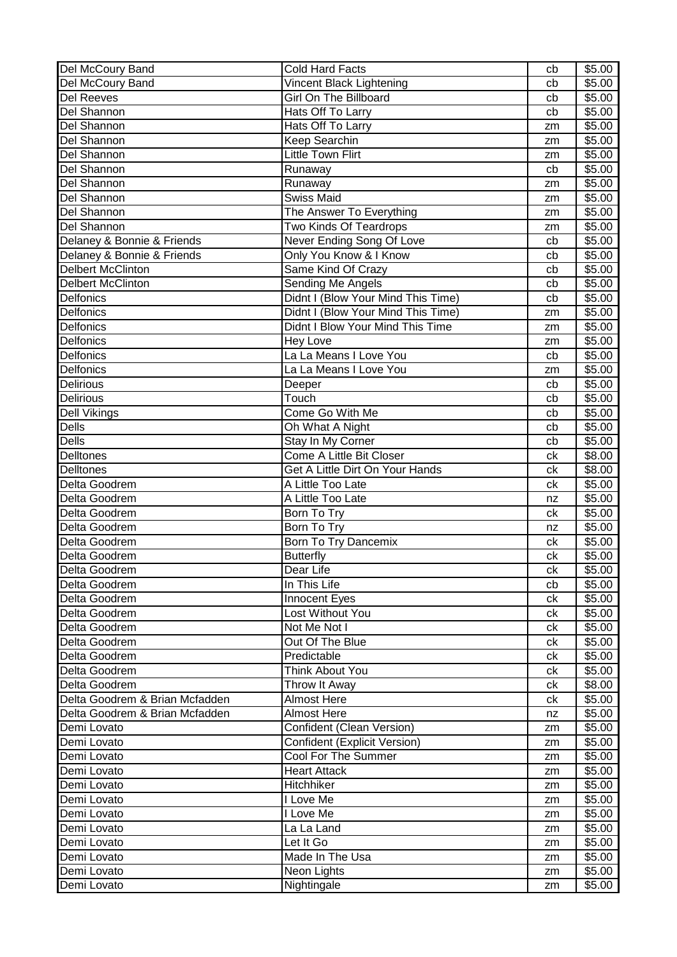| Del McCoury Band               | <b>Cold Hard Facts</b>              | cb       | \$5.00             |
|--------------------------------|-------------------------------------|----------|--------------------|
| Del McCoury Band               | Vincent Black Lightening            | cb       | \$5.00             |
| <b>Del Reeves</b>              | Girl On The Billboard               | cb       | \$5.00             |
| Del Shannon                    | Hats Off To Larry                   | cb       | \$5.00             |
| Del Shannon                    | Hats Off To Larry                   | zm       | \$5.00             |
| Del Shannon                    | Keep Searchin                       | zm       | \$5.00             |
| Del Shannon                    | <b>Little Town Flirt</b>            | zm       | \$5.00             |
| Del Shannon                    | Runaway                             | cb       | \$5.00             |
| Del Shannon                    | Runaway                             | zm       | \$5.00             |
| Del Shannon                    | <b>Swiss Maid</b>                   | zm       | \$5.00             |
| Del Shannon                    | The Answer To Everything            | zm       | \$5.00             |
| Del Shannon                    | Two Kinds Of Teardrops              | zm       | \$5.00             |
| Delaney & Bonnie & Friends     | Never Ending Song Of Love           | cb       | \$5.00             |
| Delaney & Bonnie & Friends     | Only You Know & I Know              | cb       | \$5.00             |
| <b>Delbert McClinton</b>       | Same Kind Of Crazy                  | cb       | \$5.00             |
| <b>Delbert McClinton</b>       | Sending Me Angels                   | cb       | \$5.00             |
| Delfonics                      | Didnt I (Blow Your Mind This Time)  | cb       | \$5.00             |
| Delfonics                      | Didnt I (Blow Your Mind This Time)  | zm       | \$5.00             |
| Delfonics                      | Didnt I Blow Your Mind This Time    | zm       | \$5.00             |
| Delfonics                      | Hey Love                            | zm       | \$5.00             |
| Delfonics                      | La La Means I Love You              | cb       | \$5.00             |
| Delfonics                      | La La Means I Love You              | zm       | \$5.00             |
| <b>Delirious</b>               | Deeper                              | cb       | \$5.00             |
| <b>Delirious</b>               | Touch                               | cb       | \$5.00             |
| Dell Vikings                   | Come Go With Me                     | cb       | \$5.00             |
| <b>Dells</b>                   | Oh What A Night                     | cb       | \$5.00             |
| <b>Dells</b>                   | Stay In My Corner                   | cb       | \$5.00             |
| Delltones                      | Come A Little Bit Closer            | ck       | $\overline{$8.00}$ |
| Delltones                      | Get A Little Dirt On Your Hands     | сk       | \$8.00             |
| Delta Goodrem                  | A Little Too Late                   | сk       | \$5.00             |
| Delta Goodrem                  | A Little Too Late                   | nz       | \$5.00             |
| Delta Goodrem                  | Born To Try                         | сk       | \$5.00             |
| Delta Goodrem                  | Born To Try                         | nz       | \$5.00             |
| Delta Goodrem                  | Born To Try Dancemix                | ck       | \$5.00             |
| Delta Goodrem                  | <b>Butterfly</b>                    | ck       | \$5.00             |
| Delta Goodrem                  | Dear Life                           | ck       | \$5.00             |
| Delta Goodrem                  | In This Life                        | cb       | \$5.00             |
| Delta Goodrem                  | Innocent Eyes                       | ck       | \$5.00             |
| Delta Goodrem                  | Lost Without You                    | ck       | \$5.00             |
| Delta Goodrem                  | Not Me Not I                        | ck       | \$5.00             |
| Delta Goodrem                  | Out Of The Blue                     | сk       | \$5.00             |
| Delta Goodrem                  | Predictable                         |          | \$5.00             |
| Delta Goodrem                  | Think About You                     | сk<br>ck | \$5.00             |
| Delta Goodrem                  | Throw It Away                       |          | \$8.00             |
| Delta Goodrem & Brian Mcfadden | <b>Almost Here</b>                  | ck       | \$5.00             |
|                                | <b>Almost Here</b>                  | ck       |                    |
| Delta Goodrem & Brian Mcfadden |                                     | nz       | \$5.00             |
| Demi Lovato                    | Confident (Clean Version)           | zm       | \$5.00             |
| Demi Lovato                    | <b>Confident (Explicit Version)</b> | zm       | \$5.00             |
| Demi Lovato                    | Cool For The Summer                 | zm       | \$5.00             |
| Demi Lovato                    | <b>Heart Attack</b>                 | zm       | \$5.00             |
| Demi Lovato                    | Hitchhiker                          | zm       | \$5.00             |
| Demi Lovato                    | I Love Me                           | zm       | \$5.00             |
| Demi Lovato                    | I Love Me                           | zm       | \$5.00             |
| Demi Lovato                    | La La Land                          | zm       | \$5.00             |
| Demi Lovato                    | Let It Go                           | zm       | \$5.00             |
| Demi Lovato                    | Made In The Usa                     | zm       | \$5.00             |
| Demi Lovato                    | Neon Lights                         | zm       | \$5.00             |
| Demi Lovato                    | Nightingale                         | zm       | \$5.00             |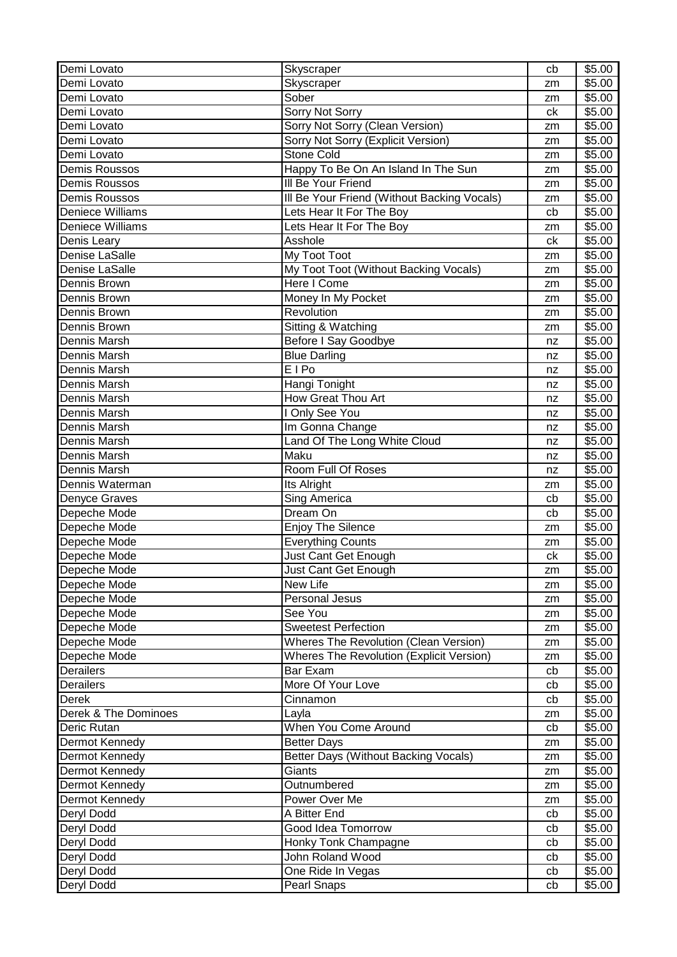| Demi Lovato             | Skyscraper                                      | cb       | \$5.00 |
|-------------------------|-------------------------------------------------|----------|--------|
| Demi Lovato             | Skyscraper                                      | zm       | \$5.00 |
| Demi Lovato             | Sober                                           | zm       | \$5.00 |
| Demi Lovato             | Sorry Not Sorry                                 | ck       | \$5.00 |
| Demi Lovato             | Sorry Not Sorry (Clean Version)                 | zm       | \$5.00 |
| Demi Lovato             | Sorry Not Sorry (Explicit Version)              | zm       | \$5.00 |
| Demi Lovato             | Stone Cold                                      | zm       | \$5.00 |
| Demis Roussos           | Happy To Be On An Island In The Sun             | zm       | \$5.00 |
| <b>Demis Roussos</b>    | III Be Your Friend                              | zm       | \$5.00 |
| <b>Demis Roussos</b>    | III Be Your Friend (Without Backing Vocals)     | zm       | \$5.00 |
| <b>Deniece Williams</b> | Lets Hear It For The Boy                        | cb       | \$5.00 |
| Deniece Williams        | Lets Hear It For The Boy                        | zm       | \$5.00 |
| Denis Leary             | Asshole                                         | ck       | \$5.00 |
| Denise LaSalle          | My Toot Toot                                    | zm       | \$5.00 |
| Denise LaSalle          | My Toot Toot (Without Backing Vocals)           | zm       | \$5.00 |
| Dennis Brown            | Here I Come                                     | zm       | \$5.00 |
| Dennis Brown            | Money In My Pocket                              | zm       | \$5.00 |
| Dennis Brown            | Revolution                                      | zm       | \$5.00 |
| Dennis Brown            | Sitting & Watching                              | zm       | \$5.00 |
| Dennis Marsh            | Before I Say Goodbye                            | nz       | \$5.00 |
| Dennis Marsh            | <b>Blue Darling</b>                             | nz       | \$5.00 |
| Dennis Marsh            | <b>EIPo</b>                                     | nz       | \$5.00 |
| Dennis Marsh            | Hangi Tonight                                   | nz       | \$5.00 |
| Dennis Marsh            | How Great Thou Art                              | nz       | \$5.00 |
| Dennis Marsh            | I Only See You                                  |          | \$5.00 |
| <b>Dennis Marsh</b>     | Im Gonna Change                                 | nz<br>nz | \$5.00 |
| Dennis Marsh            | Land Of The Long White Cloud                    |          | \$5.00 |
| Dennis Marsh            | Maku                                            | nz       | \$5.00 |
| Dennis Marsh            | Room Full Of Roses                              | nz       | \$5.00 |
|                         |                                                 | nz       |        |
| Dennis Waterman         | Its Alright                                     | zm       | \$5.00 |
| Denyce Graves           | Sing America                                    | cb       | \$5.00 |
| Depeche Mode            | Dream On                                        | cb       | \$5.00 |
| Depeche Mode            | <b>Enjoy The Silence</b>                        | zm       | \$5.00 |
| Depeche Mode            | <b>Everything Counts</b>                        | zm       | \$5.00 |
| Depeche Mode            | Just Cant Get Enough                            | сk       | \$5.00 |
| Depeche Mode            | Just Cant Get Enough                            | zm       | \$5.00 |
| Depeche Mode            | New Life                                        | zm       | \$5.00 |
| Depeche Mode            | Personal Jesus                                  | zm       | \$5.00 |
| Depeche Mode            | See You                                         | zm       | \$5.00 |
| Depeche Mode            | <b>Sweetest Perfection</b>                      | zm       | \$5.00 |
| Depeche Mode            | <b>Wheres The Revolution (Clean Version)</b>    | zm       | \$5.00 |
| Depeche Mode            | <b>Wheres The Revolution (Explicit Version)</b> | zm       | \$5.00 |
| Derailers               | Bar Exam                                        | cb       | \$5.00 |
| Derailers               | More Of Your Love                               | cb       | \$5.00 |
| <b>Derek</b>            | Cinnamon                                        | cb       | \$5.00 |
| Derek & The Dominoes    | Layla                                           | zm       | \$5.00 |
| Deric Rutan             | When You Come Around                            | cb       | \$5.00 |
| Dermot Kennedy          | <b>Better Days</b>                              | zm       | \$5.00 |
| Dermot Kennedy          | Better Days (Without Backing Vocals)            | zm       | \$5.00 |
| Dermot Kennedy          | Giants                                          | zm       | \$5.00 |
| Dermot Kennedy          | Outnumbered                                     | zm       | \$5.00 |
| Dermot Kennedy          | Power Over Me                                   | zm       | \$5.00 |
| Deryl Dodd              | A Bitter End                                    | cb       | \$5.00 |
| Deryl Dodd              | Good Idea Tomorrow                              | cb       | \$5.00 |
| Deryl Dodd              | Honky Tonk Champagne                            | cb       | \$5.00 |
| Deryl Dodd              | John Roland Wood                                | cb       | \$5.00 |
| Deryl Dodd              | One Ride In Vegas                               | cb       | \$5.00 |
| Deryl Dodd              | Pearl Snaps                                     | cb       | \$5.00 |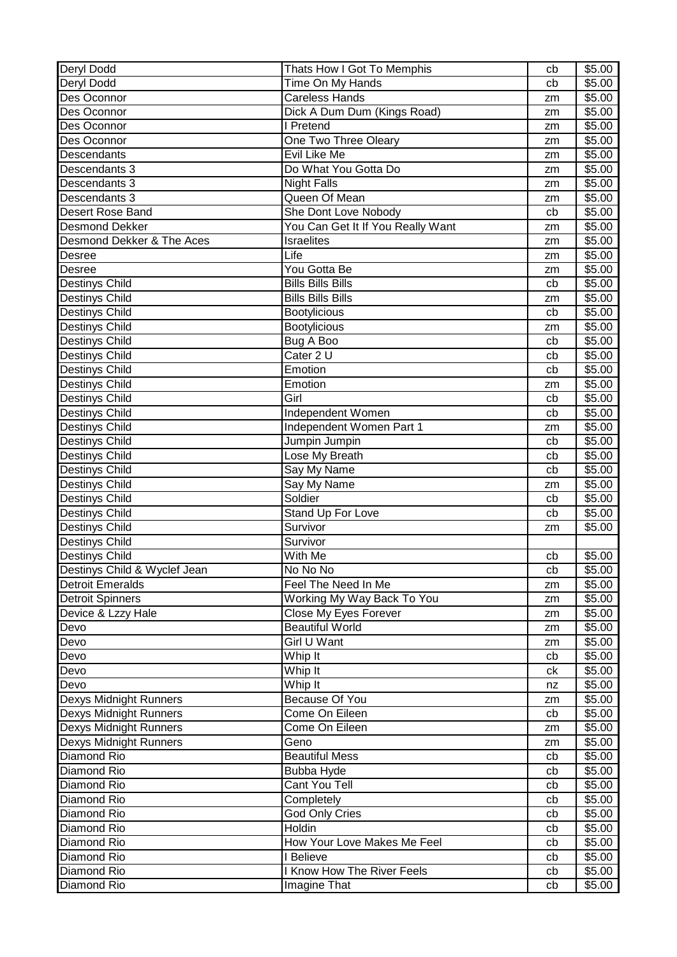| Deryl Dodd                    | Thats How I Got To Memphis        | cb | \$5.00 |
|-------------------------------|-----------------------------------|----|--------|
| Deryl Dodd                    | Time On My Hands                  | cb | \$5.00 |
| Des Oconnor                   | <b>Careless Hands</b>             | zm | \$5.00 |
| Des Oconnor                   | Dick A Dum Dum (Kings Road)       | zm | \$5.00 |
| Des Oconnor                   | I Pretend                         | zm | \$5.00 |
| Des Oconnor                   | One Two Three Oleary              | zm | \$5.00 |
| Descendants                   | Evil Like Me                      | zm | \$5.00 |
| Descendants 3                 | Do What You Gotta Do              | zm | \$5.00 |
| Descendants 3                 | <b>Night Falls</b>                | zm | \$5.00 |
| Descendants 3                 | Queen Of Mean                     | zm | \$5.00 |
| Desert Rose Band              | She Dont Love Nobody              | cb | \$5.00 |
| <b>Desmond Dekker</b>         | You Can Get It If You Really Want | zm | \$5.00 |
| Desmond Dekker & The Aces     | <b>Israelites</b>                 | zm | \$5.00 |
| Desree                        | Life                              | zm | \$5.00 |
| Desree                        | You Gotta Be                      | zm | \$5.00 |
| <b>Destinys Child</b>         | <b>Bills Bills Bills</b>          | cb | \$5.00 |
| <b>Destinys Child</b>         | <b>Bills Bills Bills</b>          | zm | \$5.00 |
| <b>Destinys Child</b>         | <b>Bootylicious</b>               | cb | \$5.00 |
| <b>Destinys Child</b>         | <b>Bootylicious</b>               | zm | \$5.00 |
| Destinys Child                | Bug A Boo                         | cb | \$5.00 |
| <b>Destinys Child</b>         | Cater 2 U                         | cb | \$5.00 |
| Destinys Child                | Emotion                           | cb | \$5.00 |
| Destinys Child                | Emotion                           | zm | \$5.00 |
| Destinys Child                | Girl                              | cb | \$5.00 |
| Destinys Child                | Independent Women                 | cb | \$5.00 |
| Destinys Child                | Independent Women Part 1          | zm | \$5.00 |
| <b>Destinys Child</b>         | Jumpin Jumpin                     | cb | \$5.00 |
| Destinys Child                | Lose My Breath                    | cb | \$5.00 |
| Destinys Child                | Say My Name                       | cb | \$5.00 |
| <b>Destinys Child</b>         | Say My Name                       | zm | \$5.00 |
| <b>Destinys Child</b>         | Soldier                           | cb | \$5.00 |
| <b>Destinys Child</b>         | Stand Up For Love                 | cb | \$5.00 |
| <b>Destinys Child</b>         | Survivor                          | zm | \$5.00 |
| <b>Destinys Child</b>         | Survivor                          |    |        |
| <b>Destinys Child</b>         | With Me                           | cb | \$5.00 |
| Destinys Child & Wyclef Jean  | No No No                          | cb | \$5.00 |
| <b>Detroit Emeralds</b>       | Feel The Need In Me               | zm | \$5.00 |
| <b>Detroit Spinners</b>       | Working My Way Back To You        | zm | \$5.00 |
| Device & Lzzy Hale            | Close My Eyes Forever             | zm | \$5.00 |
| Devo                          | <b>Beautiful World</b>            | zm | \$5.00 |
| Devo                          | <b>Girl U Want</b>                | zm | \$5.00 |
| Devo                          | Whip It                           | cb | \$5.00 |
| Devo                          | Whip It                           | ck | \$5.00 |
| Devo                          | Whip It                           | nz | \$5.00 |
| Dexys Midnight Runners        | Because Of You                    | zm | \$5.00 |
| <b>Dexys Midnight Runners</b> | Come On Eileen                    | cb | \$5.00 |
| Dexys Midnight Runners        | Come On Eileen                    | zm | \$5.00 |
| <b>Dexys Midnight Runners</b> | Geno                              | zm | \$5.00 |
| Diamond Rio                   | <b>Beautiful Mess</b>             | cb | \$5.00 |
| Diamond Rio                   | <b>Bubba Hyde</b>                 | cb | \$5.00 |
| Diamond Rio                   | Cant You Tell                     | cb | \$5.00 |
| Diamond Rio                   | Completely                        | cb | \$5.00 |
| Diamond Rio                   | <b>God Only Cries</b>             | cb | \$5.00 |
| Diamond Rio                   | Holdin                            | cb | \$5.00 |
| Diamond Rio                   | How Your Love Makes Me Feel       | cb | \$5.00 |
| Diamond Rio                   | I Believe                         | cb | \$5.00 |
| Diamond Rio                   | I Know How The River Feels        | cb | \$5.00 |
| Diamond Rio                   | Imagine That                      | cb | \$5.00 |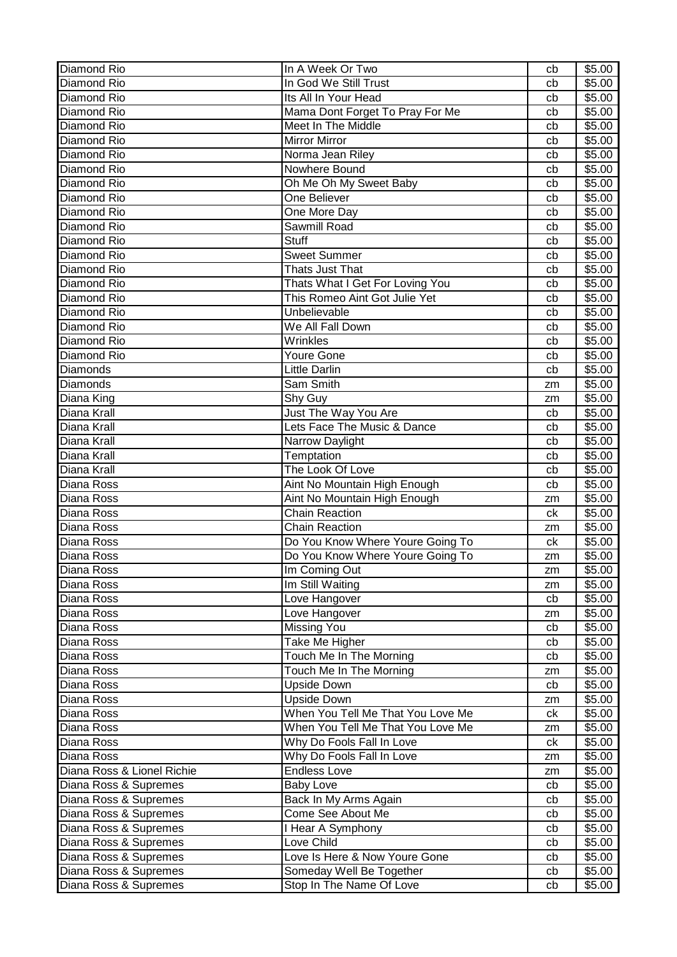| Diamond Rio                | In A Week Or Two                  | cb | \$5.00 |
|----------------------------|-----------------------------------|----|--------|
| Diamond Rio                | In God We Still Trust             | cb | \$5.00 |
| Diamond Rio                | Its All In Your Head              | cb | \$5.00 |
| Diamond Rio                | Mama Dont Forget To Pray For Me   | cb | \$5.00 |
| Diamond Rio                | Meet In The Middle                | cb | \$5.00 |
| Diamond Rio                | <b>Mirror Mirror</b>              | cb | \$5.00 |
| Diamond Rio                | Norma Jean Riley                  | cb | \$5.00 |
| Diamond Rio                | Nowhere Bound                     | cb | \$5.00 |
| Diamond Rio                | Oh Me Oh My Sweet Baby            | cb | \$5.00 |
| Diamond Rio                | One Believer                      | cb | \$5.00 |
| Diamond Rio                | One More Day                      | cb | \$5.00 |
| Diamond Rio                | Sawmill Road                      | cb | \$5.00 |
| Diamond Rio                | <b>Stuff</b>                      | cb | \$5.00 |
| Diamond Rio                | <b>Sweet Summer</b>               | cb | \$5.00 |
| Diamond Rio                | Thats Just That                   | cb | \$5.00 |
| Diamond Rio                | Thats What I Get For Loving You   | cb | \$5.00 |
| <b>Diamond Rio</b>         | This Romeo Aint Got Julie Yet     | cb | \$5.00 |
| Diamond Rio                | Unbelievable                      | cb | \$5.00 |
| Diamond Rio                | We All Fall Down                  | cb | \$5.00 |
| Diamond Rio                | Wrinkles                          | cb | \$5.00 |
| Diamond Rio                | Youre Gone                        | cb | \$5.00 |
| Diamonds                   | Little Darlin                     | cb | \$5.00 |
| Diamonds                   | Sam Smith                         | zm | \$5.00 |
| Diana King                 | Shy Guy                           | zm | \$5.00 |
| Diana Krall                | Just The Way You Are              | cb | \$5.00 |
| Diana Krall                | Lets Face The Music & Dance       | cb | \$5.00 |
| Diana Krall                | Narrow Daylight                   | cb | \$5.00 |
| Diana Krall                | Temptation                        | cb | \$5.00 |
| Diana Krall                | The Look Of Love                  | cb | \$5.00 |
| Diana Ross                 | Aint No Mountain High Enough      | cb | \$5.00 |
| Diana Ross                 | Aint No Mountain High Enough      | zm | \$5.00 |
| Diana Ross                 | Chain Reaction                    | ck | \$5.00 |
| Diana Ross                 | <b>Chain Reaction</b>             | zm | \$5.00 |
| Diana Ross                 | Do You Know Where Youre Going To  | ck | \$5.00 |
| Diana Ross                 | Do You Know Where Youre Going To  | zm | \$5.00 |
| Diana Ross                 | Im Coming Out                     | zm | \$5.00 |
| Diana Ross                 | Im Still Waiting                  | zm | \$5.00 |
| Diana Ross                 | Love Hangover                     | cb | \$5.00 |
| Diana Ross                 | Love Hangover                     | zm | \$5.00 |
| Diana Ross                 | <b>Missing You</b>                | cb | \$5.00 |
| Diana Ross                 | Take Me Higher                    | cb | \$5.00 |
| Diana Ross                 | Touch Me In The Morning           | cb | \$5.00 |
| Diana Ross                 | Touch Me In The Morning           | zm | \$5.00 |
| Diana Ross                 | <b>Upside Down</b>                | cb | \$5.00 |
| Diana Ross                 | <b>Upside Down</b>                | zm | \$5.00 |
| Diana Ross                 | When You Tell Me That You Love Me | ck | \$5.00 |
| Diana Ross                 | When You Tell Me That You Love Me | zm | \$5.00 |
| Diana Ross                 | Why Do Fools Fall In Love         | ck | \$5.00 |
| Diana Ross                 | Why Do Fools Fall In Love         | zm | \$5.00 |
| Diana Ross & Lionel Richie | <b>Endless Love</b>               | zm | \$5.00 |
| Diana Ross & Supremes      | <b>Baby Love</b>                  | cb | \$5.00 |
| Diana Ross & Supremes      | Back In My Arms Again             | cb | \$5.00 |
| Diana Ross & Supremes      | Come See About Me                 | cb | \$5.00 |
| Diana Ross & Supremes      | I Hear A Symphony                 | cb | \$5.00 |
| Diana Ross & Supremes      | Love Child                        | cb | \$5.00 |
| Diana Ross & Supremes      | Love Is Here & Now Youre Gone     | cb | \$5.00 |
| Diana Ross & Supremes      | Someday Well Be Together          | cb | \$5.00 |
| Diana Ross & Supremes      | Stop In The Name Of Love          | cb | \$5.00 |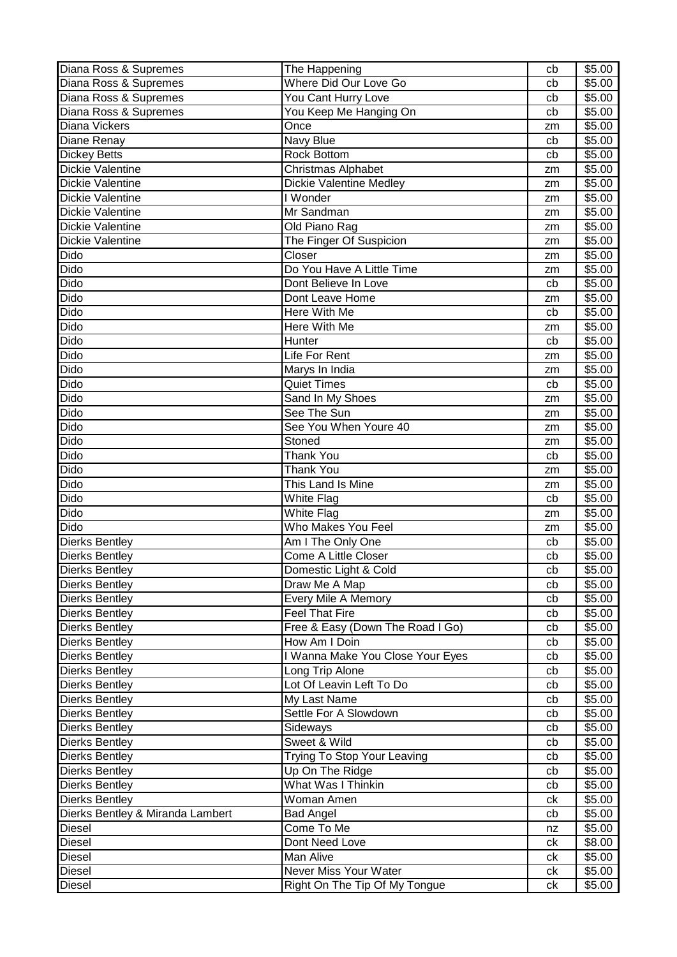| Diana Ross & Supremes            | The Happening                      | cb | \$5.00 |
|----------------------------------|------------------------------------|----|--------|
| Diana Ross & Supremes            | Where Did Our Love Go              | cb | \$5.00 |
| Diana Ross & Supremes            | You Cant Hurry Love                | cb | \$5.00 |
| Diana Ross & Supremes            | You Keep Me Hanging On             | cb | \$5.00 |
| <b>Diana Vickers</b>             | Once                               | zm | \$5.00 |
| Diane Renay                      | Navy Blue                          | cb | \$5.00 |
| <b>Dickey Betts</b>              | Rock Bottom                        | cb | \$5.00 |
| <b>Dickie Valentine</b>          | Christmas Alphabet                 | zm | \$5.00 |
| <b>Dickie Valentine</b>          | <b>Dickie Valentine Medley</b>     | zm | \$5.00 |
| Dickie Valentine                 | I Wonder                           | zm | \$5.00 |
| <b>Dickie Valentine</b>          | Mr Sandman                         | zm | \$5.00 |
| <b>Dickie Valentine</b>          | Old Piano Rag                      |    | \$5.00 |
| <b>Dickie Valentine</b>          | The Finger Of Suspicion            | zm | \$5.00 |
| Dido                             | Closer                             | zm |        |
|                                  |                                    | zm | \$5.00 |
| Dido                             | Do You Have A Little Time          | zm | \$5.00 |
| Dido                             | Dont Believe In Love               | cb | \$5.00 |
| <b>Dido</b>                      | Dont Leave Home                    | zm | \$5.00 |
| Dido                             | Here With Me                       | cb | \$5.00 |
| <b>Dido</b>                      | Here With Me                       | zm | \$5.00 |
| Dido                             | Hunter                             | cb | \$5.00 |
| Dido                             | Life For Rent                      | zm | \$5.00 |
| <b>Dido</b>                      | Marys In India                     | zm | \$5.00 |
| Dido                             | <b>Quiet Times</b>                 | cb | \$5.00 |
| Dido                             | Sand In My Shoes                   | zm | \$5.00 |
| Dido                             | See The Sun                        | zm | \$5.00 |
| Dido                             | See You When Youre 40              | zm | \$5.00 |
| Dido                             | Stoned                             | zm | \$5.00 |
| Dido                             | <b>Thank You</b>                   | cb | \$5.00 |
| <b>Dido</b>                      | <b>Thank You</b>                   | zm | \$5.00 |
| Dido                             | This Land Is Mine                  | zm | \$5.00 |
| Dido                             | White Flag                         | cb | \$5.00 |
| Dido                             | White Flag                         | zm | \$5.00 |
| Dido                             | Who Makes You Feel                 | zm | \$5.00 |
| <b>Dierks Bentley</b>            | Am I The Only One                  | cb | \$5.00 |
| <b>Dierks Bentley</b>            | Come A Little Closer               | cb | \$5.00 |
| <b>Dierks Bentley</b>            | Domestic Light & Cold              | cb | \$5.00 |
| <b>Dierks Bentley</b>            | Draw Me A Map                      | cb | \$5.00 |
| <b>Dierks Bentley</b>            | Every Mile A Memory                | cb | \$5.00 |
| <b>Dierks Bentley</b>            | Feel That Fire                     | cb | \$5.00 |
| <b>Dierks Bentley</b>            | Free & Easy (Down The Road I Go)   | cb | \$5.00 |
| <b>Dierks Bentley</b>            | How Am I Doin                      | cb | \$5.00 |
| <b>Dierks Bentley</b>            | I Wanna Make You Close Your Eyes   | cb | \$5.00 |
| <b>Dierks Bentley</b>            | Long Trip Alone                    | cb | \$5.00 |
| <b>Dierks Bentley</b>            | Lot Of Leavin Left To Do           | cb | \$5.00 |
| <b>Dierks Bentley</b>            | My Last Name                       | cb | \$5.00 |
| <b>Dierks Bentley</b>            | Settle For A Slowdown              | cb | \$5.00 |
| <b>Dierks Bentley</b>            | Sideways                           | cb | \$5.00 |
| <b>Dierks Bentley</b>            | Sweet & Wild                       | cb | \$5.00 |
| <b>Dierks Bentley</b>            | <b>Trying To Stop Your Leaving</b> | cb | \$5.00 |
| <b>Dierks Bentley</b>            | Up On The Ridge                    | cb | \$5.00 |
| <b>Dierks Bentley</b>            | What Was I Thinkin                 | cb | \$5.00 |
| <b>Dierks Bentley</b>            | Woman Amen                         | сk | \$5.00 |
| Dierks Bentley & Miranda Lambert | <b>Bad Angel</b>                   | cb | \$5.00 |
| Diesel                           | Come To Me                         | nz | \$5.00 |
| Diesel                           | Dont Need Love                     | ck | \$8.00 |
|                                  | Man Alive                          |    | \$5.00 |
| Diesel                           | Never Miss Your Water              | сk |        |
| Diesel                           |                                    | ck | \$5.00 |
| <b>Diesel</b>                    | Right On The Tip Of My Tongue      | ck | \$5.00 |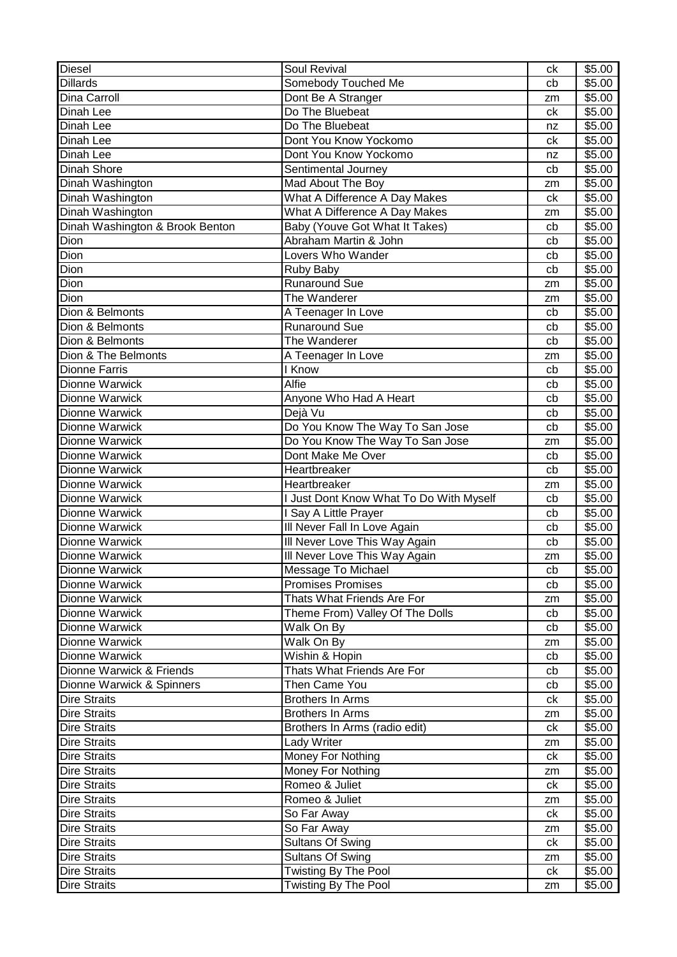| <b>Diesel</b>                              | Soul Revival                                    | ck       | \$5.00             |
|--------------------------------------------|-------------------------------------------------|----------|--------------------|
| <b>Dillards</b>                            | Somebody Touched Me                             | cb       | \$5.00             |
| Dina Carroll                               | Dont Be A Stranger                              | zm       | \$5.00             |
| Dinah Lee                                  | Do The Bluebeat                                 | ck       | \$5.00             |
| Dinah Lee                                  | Do The Bluebeat                                 | nz       | \$5.00             |
| Dinah Lee                                  | Dont You Know Yockomo                           | ck       | \$5.00             |
| Dinah Lee                                  | Dont You Know Yockomo                           | nz       | \$5.00             |
| <b>Dinah Shore</b>                         | Sentimental Journey                             | cb       | \$5.00             |
| Dinah Washington                           | Mad About The Boy                               | zm       | \$5.00             |
| Dinah Washington                           | What A Difference A Day Makes                   | ck       | \$5.00             |
| Dinah Washington                           | What A Difference A Day Makes                   | zm       | \$5.00             |
| Dinah Washington & Brook Benton            | Baby (Youve Got What It Takes)                  | cb       | \$5.00             |
| Dion                                       | Abraham Martin & John                           | cb       | \$5.00             |
| Dion                                       | Lovers Who Wander                               | cb       | \$5.00             |
| Dion                                       | Ruby Baby                                       | cb       | \$5.00             |
| Dion                                       | <b>Runaround Sue</b>                            | zm       | \$5.00             |
| Dion                                       | The Wanderer                                    | zm       | \$5.00             |
| Dion & Belmonts                            | A Teenager In Love                              | cb       | \$5.00             |
| Dion & Belmonts                            | <b>Runaround Sue</b>                            | cb       | \$5.00             |
| Dion & Belmonts                            | The Wanderer                                    | cb       | \$5.00             |
| Dion & The Belmonts                        | A Teenager In Love                              | zm       | \$5.00             |
| <b>Dionne Farris</b>                       | <b>Know</b>                                     | cb       | \$5.00             |
| Dionne Warwick                             | Alfie                                           | cb       | \$5.00             |
| Dionne Warwick                             | Anyone Who Had A Heart                          | cb       | \$5.00             |
| <b>Dionne Warwick</b>                      | Dejà Vu                                         | cb       | \$5.00             |
| Dionne Warwick                             | Do You Know The Way To San Jose                 | cb       | \$5.00             |
| Dionne Warwick                             | Do You Know The Way To San Jose                 | zm       | \$5.00             |
| Dionne Warwick                             | Dont Make Me Over                               | cb       | \$5.00             |
| Dionne Warwick                             | Heartbreaker                                    | cb       | \$5.00             |
|                                            |                                                 |          |                    |
|                                            |                                                 |          |                    |
| Dionne Warwick                             | Heartbreaker                                    | zm       | \$5.00             |
| Dionne Warwick                             | I Just Dont Know What To Do With Myself         | cb       | \$5.00             |
| Dionne Warwick                             | I Say A Little Prayer                           | cb       | \$5.00             |
| <b>Dionne Warwick</b>                      | Ill Never Fall In Love Again                    | cb       | $\overline{$}5.00$ |
| Dionne Warwick                             | III Never Love This Way Again                   | cb       | \$5.00             |
| <b>Dionne Warwick</b>                      | Ill Never Love This Way Again                   | zm       | \$5.00             |
| Dionne Warwick                             | Message To Michael                              | cb<br>cb | \$5.00             |
| Dionne Warwick                             | <b>Promises Promises</b>                        |          | \$5.00             |
| <b>Dionne Warwick</b>                      | Thats What Friends Are For                      | zm       | \$5.00             |
| Dionne Warwick                             | Theme From) Valley Of The Dolls                 | cb       | \$5.00             |
| Dionne Warwick                             | Walk On By                                      | cb       | \$5.00             |
| Dionne Warwick                             | Walk On By                                      | zm       | \$5.00             |
| Dionne Warwick                             | Wishin & Hopin                                  | cb       | \$5.00             |
| Dionne Warwick & Friends                   | Thats What Friends Are For                      | cb       | \$5.00             |
| Dionne Warwick & Spinners                  | Then Came You                                   | cb       | \$5.00             |
| <b>Dire Straits</b>                        | <b>Brothers In Arms</b>                         | ck       | \$5.00             |
| <b>Dire Straits</b>                        | <b>Brothers In Arms</b>                         | zm       | \$5.00             |
| <b>Dire Straits</b>                        | Brothers In Arms (radio edit)                   | ck       | \$5.00             |
| <b>Dire Straits</b><br><b>Dire Straits</b> | Lady Writer                                     | zm       | \$5.00             |
|                                            | Money For Nothing                               | сk<br>zm | \$5.00             |
| <b>Dire Straits</b><br><b>Dire Straits</b> | Money For Nothing<br>Romeo & Juliet             | ck       | \$5.00<br>\$5.00   |
|                                            | Romeo & Juliet                                  | zm       |                    |
| <b>Dire Straits</b>                        |                                                 |          | \$5.00             |
| <b>Dire Straits</b>                        | So Far Away                                     | ck       | \$5.00             |
| <b>Dire Straits</b>                        | So Far Away                                     | zm       | \$5.00             |
| <b>Dire Straits</b>                        | <b>Sultans Of Swing</b>                         | ck<br>zm | \$5.00             |
| <b>Dire Straits</b><br><b>Dire Straits</b> | <b>Sultans Of Swing</b><br>Twisting By The Pool | ck       | \$5.00<br>\$5.00   |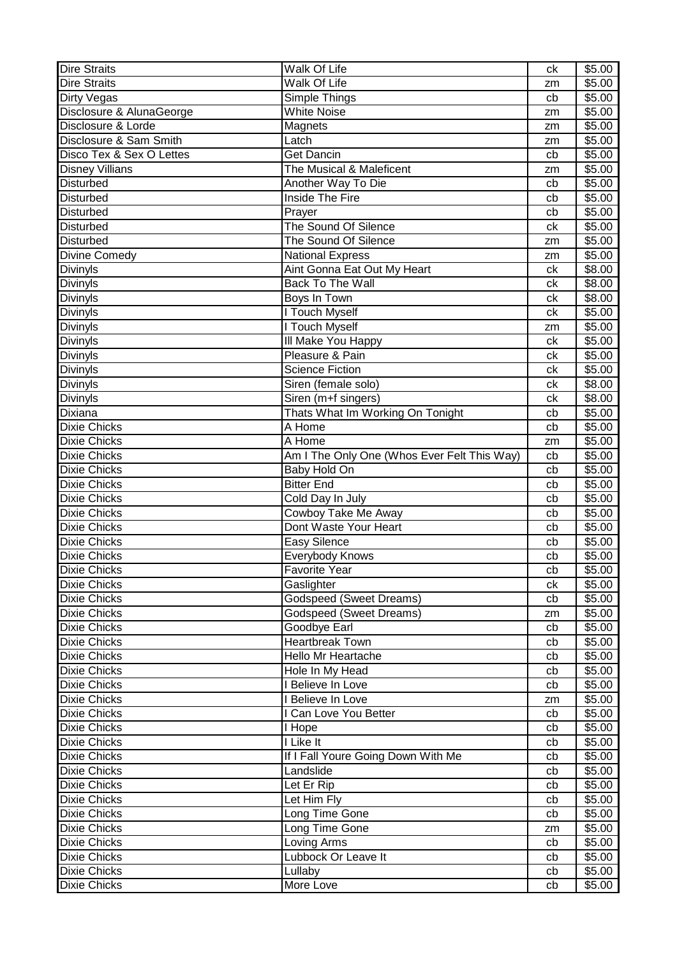| <b>Dire Straits</b>      | Walk Of Life                                | ck | \$5.00 |
|--------------------------|---------------------------------------------|----|--------|
| <b>Dire Straits</b>      | Walk Of Life                                | zm | \$5.00 |
| Dirty Vegas              | Simple Things                               | cb | \$5.00 |
| Disclosure & AlunaGeorge | <b>White Noise</b>                          | zm | \$5.00 |
| Disclosure & Lorde       | Magnets                                     | zm | \$5.00 |
| Disclosure & Sam Smith   | Latch                                       | zm | \$5.00 |
| Disco Tex & Sex O Lettes | Get Dancin                                  | cb | \$5.00 |
| <b>Disney Villians</b>   | The Musical & Maleficent                    | zm | \$5.00 |
| <b>Disturbed</b>         | Another Way To Die                          | cb | \$5.00 |
| Disturbed                | <b>Inside The Fire</b>                      | cb | \$5.00 |
| <b>Disturbed</b>         | Prayer                                      | cb | \$5.00 |
| Disturbed                | The Sound Of Silence                        | ck | \$5.00 |
| <b>Disturbed</b>         | The Sound Of Silence                        | zm | \$5.00 |
| Divine Comedy            | <b>National Express</b>                     | zm | \$5.00 |
| <b>Divinyls</b>          | Aint Gonna Eat Out My Heart                 | ck | \$8.00 |
| Divinyls                 | Back To The Wall                            | сk | \$8.00 |
| Divinyls                 | Boys In Town                                | ck | \$8.00 |
| Divinyls                 | I Touch Myself                              | ck | \$5.00 |
| Divinyls                 | I Touch Myself                              | zm | \$5.00 |
| Divinyls                 | III Make You Happy                          | ck | \$5.00 |
| Divinyls                 | Pleasure & Pain                             | сk | \$5.00 |
| Divinyls                 | <b>Science Fiction</b>                      | ck | \$5.00 |
| Divinyls                 | Siren (female solo)                         | ck | \$8.00 |
| Divinyls                 | Siren (m+f singers)                         | ck | \$8.00 |
| Dixiana                  | Thats What Im Working On Tonight            | cb | \$5.00 |
| <b>Dixie Chicks</b>      | A Home                                      | cb | \$5.00 |
| <b>Dixie Chicks</b>      | A Home                                      | zm | \$5.00 |
| <b>Dixie Chicks</b>      | Am I The Only One (Whos Ever Felt This Way) | cb | \$5.00 |
| <b>Dixie Chicks</b>      | Baby Hold On                                | cb | \$5.00 |
| <b>Dixie Chicks</b>      | <b>Bitter End</b>                           | cb | \$5.00 |
| <b>Dixie Chicks</b>      | Cold Day In July                            | cb | \$5.00 |
| <b>Dixie Chicks</b>      | Cowboy Take Me Away                         | cb | \$5.00 |
| <b>Dixie Chicks</b>      | Dont Waste Your Heart                       | cb | \$5.00 |
| <b>Dixie Chicks</b>      | Easy Silence                                | cb | \$5.00 |
| <b>Dixie Chicks</b>      | Everybody Knows                             | cb | \$5.00 |
| <b>Dixie Chicks</b>      | Favorite Year                               | cb | \$5.00 |
| <b>Dixie Chicks</b>      | Gaslighter                                  | сk | \$5.00 |
| <b>Dixie Chicks</b>      | <b>Godspeed (Sweet Dreams)</b>              | cb | \$5.00 |
| <b>Dixie Chicks</b>      | <b>Godspeed (Sweet Dreams)</b>              | zm | \$5.00 |
| <b>Dixie Chicks</b>      | Goodbye Earl                                | cb | \$5.00 |
| <b>Dixie Chicks</b>      | <b>Heartbreak Town</b>                      | cb | \$5.00 |
| <b>Dixie Chicks</b>      | Hello Mr Heartache                          | cb | \$5.00 |
| <b>Dixie Chicks</b>      | Hole In My Head                             | cb | \$5.00 |
| <b>Dixie Chicks</b>      | I Believe In Love                           | cb | \$5.00 |
| <b>Dixie Chicks</b>      | I Believe In Love                           | zm | \$5.00 |
| <b>Dixie Chicks</b>      | I Can Love You Better                       | cb | \$5.00 |
| <b>Dixie Chicks</b>      | I Hope                                      | cb | \$5.00 |
| <b>Dixie Chicks</b>      | I Like It                                   | cb | \$5.00 |
| <b>Dixie Chicks</b>      | If I Fall Youre Going Down With Me          | cb | \$5.00 |
| <b>Dixie Chicks</b>      | Landslide                                   | cb | \$5.00 |
| <b>Dixie Chicks</b>      | Let Er Rip                                  | cb | \$5.00 |
| <b>Dixie Chicks</b>      | Let Him Fly                                 | cb | \$5.00 |
| <b>Dixie Chicks</b>      | Long Time Gone                              | cb | \$5.00 |
| <b>Dixie Chicks</b>      | Long Time Gone                              | zm | \$5.00 |
| <b>Dixie Chicks</b>      | Loving Arms                                 | cb | \$5.00 |
| <b>Dixie Chicks</b>      | Lubbock Or Leave It                         | cb | \$5.00 |
| <b>Dixie Chicks</b>      | Lullaby                                     | cb | \$5.00 |
| <b>Dixie Chicks</b>      | More Love                                   | cb | \$5.00 |
|                          |                                             |    |        |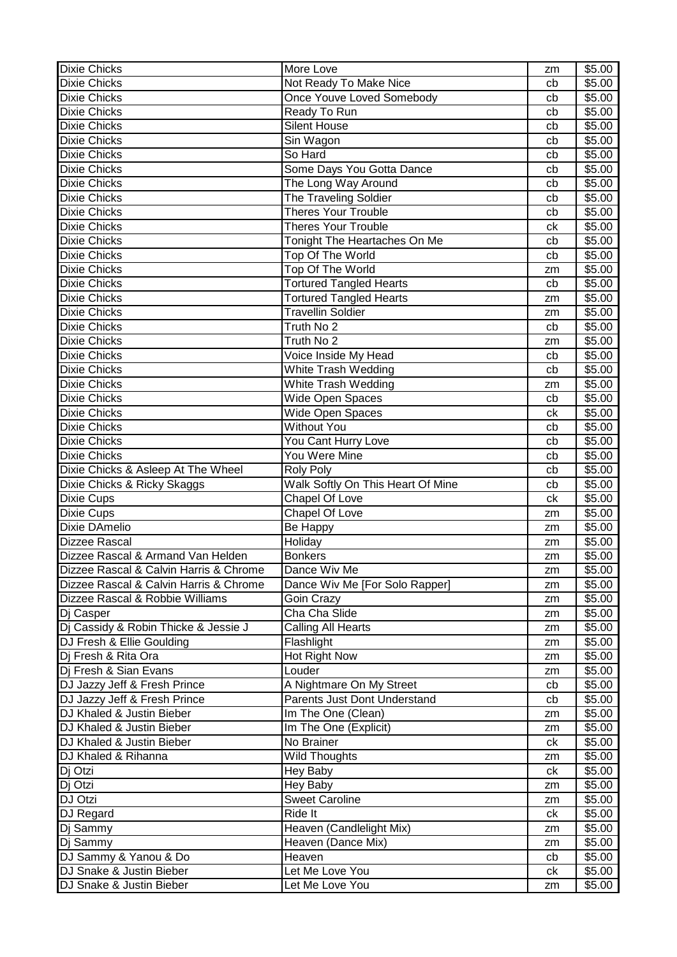| <b>Dixie Chicks</b><br>Not Ready To Make Nice<br>\$5.00<br>cb<br><b>Dixie Chicks</b><br>Once Youve Loved Somebody<br>\$5.00<br>cb<br><b>Dixie Chicks</b><br>Ready To Run<br>\$5.00<br>cb<br><b>Dixie Chicks</b><br><b>Silent House</b><br>\$5.00<br>cb<br><b>Dixie Chicks</b><br>Sin Wagon<br>\$5.00<br>cb<br><b>Dixie Chicks</b><br>So Hard<br>\$5.00<br>cb<br>Some Days You Gotta Dance<br>\$5.00<br><b>Dixie Chicks</b><br>cb<br><b>Dixie Chicks</b><br>The Long Way Around<br>\$5.00<br>cb<br><b>Dixie Chicks</b><br>The Traveling Soldier<br>\$5.00<br>cb<br>Theres Your Trouble<br><b>Dixie Chicks</b><br>\$5.00<br>cb<br><b>Theres Your Trouble</b><br><b>Dixie Chicks</b><br>\$5.00<br>сk<br><b>Dixie Chicks</b><br>Tonight The Heartaches On Me<br>\$5.00<br>cb<br><b>Dixie Chicks</b><br>Top Of The World<br>\$5.00<br>cb<br>Top Of The World<br><b>Dixie Chicks</b><br>\$5.00<br>zm<br><b>Tortured Tangled Hearts</b><br><b>Dixie Chicks</b><br>\$5.00<br>cb<br><b>Tortured Tangled Hearts</b><br><b>Dixie Chicks</b><br>\$5.00<br>zm<br><b>Travellin Soldier</b><br>\$5.00<br><b>Dixie Chicks</b><br>zm<br><b>Dixie Chicks</b><br>Truth No 2<br>\$5.00<br>cb<br>Truth No 2<br><b>Dixie Chicks</b><br>\$5.00<br>zm<br><b>Dixie Chicks</b><br>Voice Inside My Head<br>\$5.00<br>cb<br><b>Dixie Chicks</b><br>White Trash Wedding<br>\$5.00<br>cb<br><b>Dixie Chicks</b><br>White Trash Wedding<br>\$5.00<br>zm<br><b>Dixie Chicks</b><br>Wide Open Spaces<br>\$5.00<br>cb<br>Wide Open Spaces<br>\$5.00<br><b>Dixie Chicks</b><br>ck<br><b>Without You</b><br><b>Dixie Chicks</b><br>\$5.00<br>cb<br>\$5.00<br><b>Dixie Chicks</b><br>You Cant Hurry Love<br>cb<br>You Were Mine<br>\$5.00<br><b>Dixie Chicks</b><br>cb<br>Dixie Chicks & Asleep At The Wheel<br>\$5.00<br><b>Roly Poly</b><br>cb<br>Walk Softly On This Heart Of Mine<br>Dixie Chicks & Ricky Skaggs<br>\$5.00<br>cb<br><b>Dixie Cups</b><br>Chapel Of Love<br>ck<br>\$5.00<br>Chapel Of Love<br>\$5.00<br><b>Dixie Cups</b><br>zm<br>Dixie DAmelio<br>Be Happy<br>\$5.00<br>zm<br><b>Dizzee Rascal</b><br>\$5.00<br>Holiday<br>zm<br>Dizzee Rascal & Armand Van Helden<br><b>Bonkers</b><br>\$5.00<br>zm<br>\$5.00<br>Dizzee Rascal & Calvin Harris & Chrome<br>Dance Wiv Me<br>zm<br>Dance Wiv Me [For Solo Rapper]<br>Dizzee Rascal & Calvin Harris & Chrome<br>\$5.00<br>zm<br>Dizzee Rascal & Robbie Williams<br>\$5.00<br>Goin Crazy<br>zm<br>Cha Cha Slide<br>\$5.00<br>Dj Casper<br>zm<br>Dj Cassidy & Robin Thicke & Jessie J<br>Calling All Hearts<br>\$5.00<br>zm<br>DJ Fresh & Ellie Goulding<br>Flashlight<br>\$5.00<br>zm<br>Hot Right Now<br>Dj Fresh & Rita Ora<br>\$5.00<br>zm<br>Di Fresh & Sian Evans<br>Louder<br>\$5.00<br>zm<br>DJ Jazzy Jeff & Fresh Prince<br>A Nightmare On My Street<br>\$5.00<br>cb<br>DJ Jazzy Jeff & Fresh Prince<br>Parents Just Dont Understand<br>\$5.00<br>cb<br>Im The One (Clean)<br>DJ Khaled & Justin Bieber<br>\$5.00<br>zm<br>DJ Khaled & Justin Bieber<br>Im The One (Explicit)<br>\$5.00<br>zm<br>DJ Khaled & Justin Bieber<br>No Brainer<br>\$5.00<br>ck<br>DJ Khaled & Rihanna<br><b>Wild Thoughts</b><br>\$5.00<br>zm<br>Dj Otzi<br>Hey Baby<br>\$5.00<br>ck<br>Dj Otzi<br>Hey Baby<br>\$5.00<br>zm<br><b>Sweet Caroline</b><br>DJ Otzi<br>\$5.00<br>zm<br>DJ Regard<br>Ride It<br>\$5.00<br>ck<br>Heaven (Candlelight Mix)<br>Dj Sammy<br>\$5.00<br>zm<br>Heaven (Dance Mix)<br>\$5.00<br>Dj Sammy<br>zm<br>DJ Sammy & Yanou & Do<br>Heaven<br>\$5.00<br>cb<br>DJ Snake & Justin Bieber<br>Let Me Love You<br>\$5.00<br>ck<br>DJ Snake & Justin Bieber<br>Let Me Love You<br>\$5.00<br>zm | <b>Dixie Chicks</b> | More Love | zm | \$5.00 |
|-----------------------------------------------------------------------------------------------------------------------------------------------------------------------------------------------------------------------------------------------------------------------------------------------------------------------------------------------------------------------------------------------------------------------------------------------------------------------------------------------------------------------------------------------------------------------------------------------------------------------------------------------------------------------------------------------------------------------------------------------------------------------------------------------------------------------------------------------------------------------------------------------------------------------------------------------------------------------------------------------------------------------------------------------------------------------------------------------------------------------------------------------------------------------------------------------------------------------------------------------------------------------------------------------------------------------------------------------------------------------------------------------------------------------------------------------------------------------------------------------------------------------------------------------------------------------------------------------------------------------------------------------------------------------------------------------------------------------------------------------------------------------------------------------------------------------------------------------------------------------------------------------------------------------------------------------------------------------------------------------------------------------------------------------------------------------------------------------------------------------------------------------------------------------------------------------------------------------------------------------------------------------------------------------------------------------------------------------------------------------------------------------------------------------------------------------------------------------------------------------------------------------------------------------------------------------------------------------------------------------------------------------------------------------------------------------------------------------------------------------------------------------------------------------------------------------------------------------------------------------------------------------------------------------------------------------------------------------------------------------------------------------------------------------------------------------------------------------------------------------------------------------------------------------------------------------------------------------------------------------------------------------------------------------------------------------------------------------------------------------------------------------------------------------------------------------------------------------------------------------------------------------------------------------------------------------------------------------------------------------------------|---------------------|-----------|----|--------|
|                                                                                                                                                                                                                                                                                                                                                                                                                                                                                                                                                                                                                                                                                                                                                                                                                                                                                                                                                                                                                                                                                                                                                                                                                                                                                                                                                                                                                                                                                                                                                                                                                                                                                                                                                                                                                                                                                                                                                                                                                                                                                                                                                                                                                                                                                                                                                                                                                                                                                                                                                                                                                                                                                                                                                                                                                                                                                                                                                                                                                                                                                                                                                                                                                                                                                                                                                                                                                                                                                                                                                                                                                                   |                     |           |    |        |
|                                                                                                                                                                                                                                                                                                                                                                                                                                                                                                                                                                                                                                                                                                                                                                                                                                                                                                                                                                                                                                                                                                                                                                                                                                                                                                                                                                                                                                                                                                                                                                                                                                                                                                                                                                                                                                                                                                                                                                                                                                                                                                                                                                                                                                                                                                                                                                                                                                                                                                                                                                                                                                                                                                                                                                                                                                                                                                                                                                                                                                                                                                                                                                                                                                                                                                                                                                                                                                                                                                                                                                                                                                   |                     |           |    |        |
|                                                                                                                                                                                                                                                                                                                                                                                                                                                                                                                                                                                                                                                                                                                                                                                                                                                                                                                                                                                                                                                                                                                                                                                                                                                                                                                                                                                                                                                                                                                                                                                                                                                                                                                                                                                                                                                                                                                                                                                                                                                                                                                                                                                                                                                                                                                                                                                                                                                                                                                                                                                                                                                                                                                                                                                                                                                                                                                                                                                                                                                                                                                                                                                                                                                                                                                                                                                                                                                                                                                                                                                                                                   |                     |           |    |        |
|                                                                                                                                                                                                                                                                                                                                                                                                                                                                                                                                                                                                                                                                                                                                                                                                                                                                                                                                                                                                                                                                                                                                                                                                                                                                                                                                                                                                                                                                                                                                                                                                                                                                                                                                                                                                                                                                                                                                                                                                                                                                                                                                                                                                                                                                                                                                                                                                                                                                                                                                                                                                                                                                                                                                                                                                                                                                                                                                                                                                                                                                                                                                                                                                                                                                                                                                                                                                                                                                                                                                                                                                                                   |                     |           |    |        |
|                                                                                                                                                                                                                                                                                                                                                                                                                                                                                                                                                                                                                                                                                                                                                                                                                                                                                                                                                                                                                                                                                                                                                                                                                                                                                                                                                                                                                                                                                                                                                                                                                                                                                                                                                                                                                                                                                                                                                                                                                                                                                                                                                                                                                                                                                                                                                                                                                                                                                                                                                                                                                                                                                                                                                                                                                                                                                                                                                                                                                                                                                                                                                                                                                                                                                                                                                                                                                                                                                                                                                                                                                                   |                     |           |    |        |
|                                                                                                                                                                                                                                                                                                                                                                                                                                                                                                                                                                                                                                                                                                                                                                                                                                                                                                                                                                                                                                                                                                                                                                                                                                                                                                                                                                                                                                                                                                                                                                                                                                                                                                                                                                                                                                                                                                                                                                                                                                                                                                                                                                                                                                                                                                                                                                                                                                                                                                                                                                                                                                                                                                                                                                                                                                                                                                                                                                                                                                                                                                                                                                                                                                                                                                                                                                                                                                                                                                                                                                                                                                   |                     |           |    |        |
|                                                                                                                                                                                                                                                                                                                                                                                                                                                                                                                                                                                                                                                                                                                                                                                                                                                                                                                                                                                                                                                                                                                                                                                                                                                                                                                                                                                                                                                                                                                                                                                                                                                                                                                                                                                                                                                                                                                                                                                                                                                                                                                                                                                                                                                                                                                                                                                                                                                                                                                                                                                                                                                                                                                                                                                                                                                                                                                                                                                                                                                                                                                                                                                                                                                                                                                                                                                                                                                                                                                                                                                                                                   |                     |           |    |        |
|                                                                                                                                                                                                                                                                                                                                                                                                                                                                                                                                                                                                                                                                                                                                                                                                                                                                                                                                                                                                                                                                                                                                                                                                                                                                                                                                                                                                                                                                                                                                                                                                                                                                                                                                                                                                                                                                                                                                                                                                                                                                                                                                                                                                                                                                                                                                                                                                                                                                                                                                                                                                                                                                                                                                                                                                                                                                                                                                                                                                                                                                                                                                                                                                                                                                                                                                                                                                                                                                                                                                                                                                                                   |                     |           |    |        |
|                                                                                                                                                                                                                                                                                                                                                                                                                                                                                                                                                                                                                                                                                                                                                                                                                                                                                                                                                                                                                                                                                                                                                                                                                                                                                                                                                                                                                                                                                                                                                                                                                                                                                                                                                                                                                                                                                                                                                                                                                                                                                                                                                                                                                                                                                                                                                                                                                                                                                                                                                                                                                                                                                                                                                                                                                                                                                                                                                                                                                                                                                                                                                                                                                                                                                                                                                                                                                                                                                                                                                                                                                                   |                     |           |    |        |
|                                                                                                                                                                                                                                                                                                                                                                                                                                                                                                                                                                                                                                                                                                                                                                                                                                                                                                                                                                                                                                                                                                                                                                                                                                                                                                                                                                                                                                                                                                                                                                                                                                                                                                                                                                                                                                                                                                                                                                                                                                                                                                                                                                                                                                                                                                                                                                                                                                                                                                                                                                                                                                                                                                                                                                                                                                                                                                                                                                                                                                                                                                                                                                                                                                                                                                                                                                                                                                                                                                                                                                                                                                   |                     |           |    |        |
|                                                                                                                                                                                                                                                                                                                                                                                                                                                                                                                                                                                                                                                                                                                                                                                                                                                                                                                                                                                                                                                                                                                                                                                                                                                                                                                                                                                                                                                                                                                                                                                                                                                                                                                                                                                                                                                                                                                                                                                                                                                                                                                                                                                                                                                                                                                                                                                                                                                                                                                                                                                                                                                                                                                                                                                                                                                                                                                                                                                                                                                                                                                                                                                                                                                                                                                                                                                                                                                                                                                                                                                                                                   |                     |           |    |        |
|                                                                                                                                                                                                                                                                                                                                                                                                                                                                                                                                                                                                                                                                                                                                                                                                                                                                                                                                                                                                                                                                                                                                                                                                                                                                                                                                                                                                                                                                                                                                                                                                                                                                                                                                                                                                                                                                                                                                                                                                                                                                                                                                                                                                                                                                                                                                                                                                                                                                                                                                                                                                                                                                                                                                                                                                                                                                                                                                                                                                                                                                                                                                                                                                                                                                                                                                                                                                                                                                                                                                                                                                                                   |                     |           |    |        |
|                                                                                                                                                                                                                                                                                                                                                                                                                                                                                                                                                                                                                                                                                                                                                                                                                                                                                                                                                                                                                                                                                                                                                                                                                                                                                                                                                                                                                                                                                                                                                                                                                                                                                                                                                                                                                                                                                                                                                                                                                                                                                                                                                                                                                                                                                                                                                                                                                                                                                                                                                                                                                                                                                                                                                                                                                                                                                                                                                                                                                                                                                                                                                                                                                                                                                                                                                                                                                                                                                                                                                                                                                                   |                     |           |    |        |
|                                                                                                                                                                                                                                                                                                                                                                                                                                                                                                                                                                                                                                                                                                                                                                                                                                                                                                                                                                                                                                                                                                                                                                                                                                                                                                                                                                                                                                                                                                                                                                                                                                                                                                                                                                                                                                                                                                                                                                                                                                                                                                                                                                                                                                                                                                                                                                                                                                                                                                                                                                                                                                                                                                                                                                                                                                                                                                                                                                                                                                                                                                                                                                                                                                                                                                                                                                                                                                                                                                                                                                                                                                   |                     |           |    |        |
|                                                                                                                                                                                                                                                                                                                                                                                                                                                                                                                                                                                                                                                                                                                                                                                                                                                                                                                                                                                                                                                                                                                                                                                                                                                                                                                                                                                                                                                                                                                                                                                                                                                                                                                                                                                                                                                                                                                                                                                                                                                                                                                                                                                                                                                                                                                                                                                                                                                                                                                                                                                                                                                                                                                                                                                                                                                                                                                                                                                                                                                                                                                                                                                                                                                                                                                                                                                                                                                                                                                                                                                                                                   |                     |           |    |        |
|                                                                                                                                                                                                                                                                                                                                                                                                                                                                                                                                                                                                                                                                                                                                                                                                                                                                                                                                                                                                                                                                                                                                                                                                                                                                                                                                                                                                                                                                                                                                                                                                                                                                                                                                                                                                                                                                                                                                                                                                                                                                                                                                                                                                                                                                                                                                                                                                                                                                                                                                                                                                                                                                                                                                                                                                                                                                                                                                                                                                                                                                                                                                                                                                                                                                                                                                                                                                                                                                                                                                                                                                                                   |                     |           |    |        |
|                                                                                                                                                                                                                                                                                                                                                                                                                                                                                                                                                                                                                                                                                                                                                                                                                                                                                                                                                                                                                                                                                                                                                                                                                                                                                                                                                                                                                                                                                                                                                                                                                                                                                                                                                                                                                                                                                                                                                                                                                                                                                                                                                                                                                                                                                                                                                                                                                                                                                                                                                                                                                                                                                                                                                                                                                                                                                                                                                                                                                                                                                                                                                                                                                                                                                                                                                                                                                                                                                                                                                                                                                                   |                     |           |    |        |
|                                                                                                                                                                                                                                                                                                                                                                                                                                                                                                                                                                                                                                                                                                                                                                                                                                                                                                                                                                                                                                                                                                                                                                                                                                                                                                                                                                                                                                                                                                                                                                                                                                                                                                                                                                                                                                                                                                                                                                                                                                                                                                                                                                                                                                                                                                                                                                                                                                                                                                                                                                                                                                                                                                                                                                                                                                                                                                                                                                                                                                                                                                                                                                                                                                                                                                                                                                                                                                                                                                                                                                                                                                   |                     |           |    |        |
|                                                                                                                                                                                                                                                                                                                                                                                                                                                                                                                                                                                                                                                                                                                                                                                                                                                                                                                                                                                                                                                                                                                                                                                                                                                                                                                                                                                                                                                                                                                                                                                                                                                                                                                                                                                                                                                                                                                                                                                                                                                                                                                                                                                                                                                                                                                                                                                                                                                                                                                                                                                                                                                                                                                                                                                                                                                                                                                                                                                                                                                                                                                                                                                                                                                                                                                                                                                                                                                                                                                                                                                                                                   |                     |           |    |        |
|                                                                                                                                                                                                                                                                                                                                                                                                                                                                                                                                                                                                                                                                                                                                                                                                                                                                                                                                                                                                                                                                                                                                                                                                                                                                                                                                                                                                                                                                                                                                                                                                                                                                                                                                                                                                                                                                                                                                                                                                                                                                                                                                                                                                                                                                                                                                                                                                                                                                                                                                                                                                                                                                                                                                                                                                                                                                                                                                                                                                                                                                                                                                                                                                                                                                                                                                                                                                                                                                                                                                                                                                                                   |                     |           |    |        |
|                                                                                                                                                                                                                                                                                                                                                                                                                                                                                                                                                                                                                                                                                                                                                                                                                                                                                                                                                                                                                                                                                                                                                                                                                                                                                                                                                                                                                                                                                                                                                                                                                                                                                                                                                                                                                                                                                                                                                                                                                                                                                                                                                                                                                                                                                                                                                                                                                                                                                                                                                                                                                                                                                                                                                                                                                                                                                                                                                                                                                                                                                                                                                                                                                                                                                                                                                                                                                                                                                                                                                                                                                                   |                     |           |    |        |
|                                                                                                                                                                                                                                                                                                                                                                                                                                                                                                                                                                                                                                                                                                                                                                                                                                                                                                                                                                                                                                                                                                                                                                                                                                                                                                                                                                                                                                                                                                                                                                                                                                                                                                                                                                                                                                                                                                                                                                                                                                                                                                                                                                                                                                                                                                                                                                                                                                                                                                                                                                                                                                                                                                                                                                                                                                                                                                                                                                                                                                                                                                                                                                                                                                                                                                                                                                                                                                                                                                                                                                                                                                   |                     |           |    |        |
|                                                                                                                                                                                                                                                                                                                                                                                                                                                                                                                                                                                                                                                                                                                                                                                                                                                                                                                                                                                                                                                                                                                                                                                                                                                                                                                                                                                                                                                                                                                                                                                                                                                                                                                                                                                                                                                                                                                                                                                                                                                                                                                                                                                                                                                                                                                                                                                                                                                                                                                                                                                                                                                                                                                                                                                                                                                                                                                                                                                                                                                                                                                                                                                                                                                                                                                                                                                                                                                                                                                                                                                                                                   |                     |           |    |        |
|                                                                                                                                                                                                                                                                                                                                                                                                                                                                                                                                                                                                                                                                                                                                                                                                                                                                                                                                                                                                                                                                                                                                                                                                                                                                                                                                                                                                                                                                                                                                                                                                                                                                                                                                                                                                                                                                                                                                                                                                                                                                                                                                                                                                                                                                                                                                                                                                                                                                                                                                                                                                                                                                                                                                                                                                                                                                                                                                                                                                                                                                                                                                                                                                                                                                                                                                                                                                                                                                                                                                                                                                                                   |                     |           |    |        |
|                                                                                                                                                                                                                                                                                                                                                                                                                                                                                                                                                                                                                                                                                                                                                                                                                                                                                                                                                                                                                                                                                                                                                                                                                                                                                                                                                                                                                                                                                                                                                                                                                                                                                                                                                                                                                                                                                                                                                                                                                                                                                                                                                                                                                                                                                                                                                                                                                                                                                                                                                                                                                                                                                                                                                                                                                                                                                                                                                                                                                                                                                                                                                                                                                                                                                                                                                                                                                                                                                                                                                                                                                                   |                     |           |    |        |
|                                                                                                                                                                                                                                                                                                                                                                                                                                                                                                                                                                                                                                                                                                                                                                                                                                                                                                                                                                                                                                                                                                                                                                                                                                                                                                                                                                                                                                                                                                                                                                                                                                                                                                                                                                                                                                                                                                                                                                                                                                                                                                                                                                                                                                                                                                                                                                                                                                                                                                                                                                                                                                                                                                                                                                                                                                                                                                                                                                                                                                                                                                                                                                                                                                                                                                                                                                                                                                                                                                                                                                                                                                   |                     |           |    |        |
|                                                                                                                                                                                                                                                                                                                                                                                                                                                                                                                                                                                                                                                                                                                                                                                                                                                                                                                                                                                                                                                                                                                                                                                                                                                                                                                                                                                                                                                                                                                                                                                                                                                                                                                                                                                                                                                                                                                                                                                                                                                                                                                                                                                                                                                                                                                                                                                                                                                                                                                                                                                                                                                                                                                                                                                                                                                                                                                                                                                                                                                                                                                                                                                                                                                                                                                                                                                                                                                                                                                                                                                                                                   |                     |           |    |        |
|                                                                                                                                                                                                                                                                                                                                                                                                                                                                                                                                                                                                                                                                                                                                                                                                                                                                                                                                                                                                                                                                                                                                                                                                                                                                                                                                                                                                                                                                                                                                                                                                                                                                                                                                                                                                                                                                                                                                                                                                                                                                                                                                                                                                                                                                                                                                                                                                                                                                                                                                                                                                                                                                                                                                                                                                                                                                                                                                                                                                                                                                                                                                                                                                                                                                                                                                                                                                                                                                                                                                                                                                                                   |                     |           |    |        |
|                                                                                                                                                                                                                                                                                                                                                                                                                                                                                                                                                                                                                                                                                                                                                                                                                                                                                                                                                                                                                                                                                                                                                                                                                                                                                                                                                                                                                                                                                                                                                                                                                                                                                                                                                                                                                                                                                                                                                                                                                                                                                                                                                                                                                                                                                                                                                                                                                                                                                                                                                                                                                                                                                                                                                                                                                                                                                                                                                                                                                                                                                                                                                                                                                                                                                                                                                                                                                                                                                                                                                                                                                                   |                     |           |    |        |
|                                                                                                                                                                                                                                                                                                                                                                                                                                                                                                                                                                                                                                                                                                                                                                                                                                                                                                                                                                                                                                                                                                                                                                                                                                                                                                                                                                                                                                                                                                                                                                                                                                                                                                                                                                                                                                                                                                                                                                                                                                                                                                                                                                                                                                                                                                                                                                                                                                                                                                                                                                                                                                                                                                                                                                                                                                                                                                                                                                                                                                                                                                                                                                                                                                                                                                                                                                                                                                                                                                                                                                                                                                   |                     |           |    |        |
|                                                                                                                                                                                                                                                                                                                                                                                                                                                                                                                                                                                                                                                                                                                                                                                                                                                                                                                                                                                                                                                                                                                                                                                                                                                                                                                                                                                                                                                                                                                                                                                                                                                                                                                                                                                                                                                                                                                                                                                                                                                                                                                                                                                                                                                                                                                                                                                                                                                                                                                                                                                                                                                                                                                                                                                                                                                                                                                                                                                                                                                                                                                                                                                                                                                                                                                                                                                                                                                                                                                                                                                                                                   |                     |           |    |        |
|                                                                                                                                                                                                                                                                                                                                                                                                                                                                                                                                                                                                                                                                                                                                                                                                                                                                                                                                                                                                                                                                                                                                                                                                                                                                                                                                                                                                                                                                                                                                                                                                                                                                                                                                                                                                                                                                                                                                                                                                                                                                                                                                                                                                                                                                                                                                                                                                                                                                                                                                                                                                                                                                                                                                                                                                                                                                                                                                                                                                                                                                                                                                                                                                                                                                                                                                                                                                                                                                                                                                                                                                                                   |                     |           |    |        |
|                                                                                                                                                                                                                                                                                                                                                                                                                                                                                                                                                                                                                                                                                                                                                                                                                                                                                                                                                                                                                                                                                                                                                                                                                                                                                                                                                                                                                                                                                                                                                                                                                                                                                                                                                                                                                                                                                                                                                                                                                                                                                                                                                                                                                                                                                                                                                                                                                                                                                                                                                                                                                                                                                                                                                                                                                                                                                                                                                                                                                                                                                                                                                                                                                                                                                                                                                                                                                                                                                                                                                                                                                                   |                     |           |    |        |
|                                                                                                                                                                                                                                                                                                                                                                                                                                                                                                                                                                                                                                                                                                                                                                                                                                                                                                                                                                                                                                                                                                                                                                                                                                                                                                                                                                                                                                                                                                                                                                                                                                                                                                                                                                                                                                                                                                                                                                                                                                                                                                                                                                                                                                                                                                                                                                                                                                                                                                                                                                                                                                                                                                                                                                                                                                                                                                                                                                                                                                                                                                                                                                                                                                                                                                                                                                                                                                                                                                                                                                                                                                   |                     |           |    |        |
|                                                                                                                                                                                                                                                                                                                                                                                                                                                                                                                                                                                                                                                                                                                                                                                                                                                                                                                                                                                                                                                                                                                                                                                                                                                                                                                                                                                                                                                                                                                                                                                                                                                                                                                                                                                                                                                                                                                                                                                                                                                                                                                                                                                                                                                                                                                                                                                                                                                                                                                                                                                                                                                                                                                                                                                                                                                                                                                                                                                                                                                                                                                                                                                                                                                                                                                                                                                                                                                                                                                                                                                                                                   |                     |           |    |        |
|                                                                                                                                                                                                                                                                                                                                                                                                                                                                                                                                                                                                                                                                                                                                                                                                                                                                                                                                                                                                                                                                                                                                                                                                                                                                                                                                                                                                                                                                                                                                                                                                                                                                                                                                                                                                                                                                                                                                                                                                                                                                                                                                                                                                                                                                                                                                                                                                                                                                                                                                                                                                                                                                                                                                                                                                                                                                                                                                                                                                                                                                                                                                                                                                                                                                                                                                                                                                                                                                                                                                                                                                                                   |                     |           |    |        |
|                                                                                                                                                                                                                                                                                                                                                                                                                                                                                                                                                                                                                                                                                                                                                                                                                                                                                                                                                                                                                                                                                                                                                                                                                                                                                                                                                                                                                                                                                                                                                                                                                                                                                                                                                                                                                                                                                                                                                                                                                                                                                                                                                                                                                                                                                                                                                                                                                                                                                                                                                                                                                                                                                                                                                                                                                                                                                                                                                                                                                                                                                                                                                                                                                                                                                                                                                                                                                                                                                                                                                                                                                                   |                     |           |    |        |
|                                                                                                                                                                                                                                                                                                                                                                                                                                                                                                                                                                                                                                                                                                                                                                                                                                                                                                                                                                                                                                                                                                                                                                                                                                                                                                                                                                                                                                                                                                                                                                                                                                                                                                                                                                                                                                                                                                                                                                                                                                                                                                                                                                                                                                                                                                                                                                                                                                                                                                                                                                                                                                                                                                                                                                                                                                                                                                                                                                                                                                                                                                                                                                                                                                                                                                                                                                                                                                                                                                                                                                                                                                   |                     |           |    |        |
|                                                                                                                                                                                                                                                                                                                                                                                                                                                                                                                                                                                                                                                                                                                                                                                                                                                                                                                                                                                                                                                                                                                                                                                                                                                                                                                                                                                                                                                                                                                                                                                                                                                                                                                                                                                                                                                                                                                                                                                                                                                                                                                                                                                                                                                                                                                                                                                                                                                                                                                                                                                                                                                                                                                                                                                                                                                                                                                                                                                                                                                                                                                                                                                                                                                                                                                                                                                                                                                                                                                                                                                                                                   |                     |           |    |        |
|                                                                                                                                                                                                                                                                                                                                                                                                                                                                                                                                                                                                                                                                                                                                                                                                                                                                                                                                                                                                                                                                                                                                                                                                                                                                                                                                                                                                                                                                                                                                                                                                                                                                                                                                                                                                                                                                                                                                                                                                                                                                                                                                                                                                                                                                                                                                                                                                                                                                                                                                                                                                                                                                                                                                                                                                                                                                                                                                                                                                                                                                                                                                                                                                                                                                                                                                                                                                                                                                                                                                                                                                                                   |                     |           |    |        |
|                                                                                                                                                                                                                                                                                                                                                                                                                                                                                                                                                                                                                                                                                                                                                                                                                                                                                                                                                                                                                                                                                                                                                                                                                                                                                                                                                                                                                                                                                                                                                                                                                                                                                                                                                                                                                                                                                                                                                                                                                                                                                                                                                                                                                                                                                                                                                                                                                                                                                                                                                                                                                                                                                                                                                                                                                                                                                                                                                                                                                                                                                                                                                                                                                                                                                                                                                                                                                                                                                                                                                                                                                                   |                     |           |    |        |
|                                                                                                                                                                                                                                                                                                                                                                                                                                                                                                                                                                                                                                                                                                                                                                                                                                                                                                                                                                                                                                                                                                                                                                                                                                                                                                                                                                                                                                                                                                                                                                                                                                                                                                                                                                                                                                                                                                                                                                                                                                                                                                                                                                                                                                                                                                                                                                                                                                                                                                                                                                                                                                                                                                                                                                                                                                                                                                                                                                                                                                                                                                                                                                                                                                                                                                                                                                                                                                                                                                                                                                                                                                   |                     |           |    |        |
|                                                                                                                                                                                                                                                                                                                                                                                                                                                                                                                                                                                                                                                                                                                                                                                                                                                                                                                                                                                                                                                                                                                                                                                                                                                                                                                                                                                                                                                                                                                                                                                                                                                                                                                                                                                                                                                                                                                                                                                                                                                                                                                                                                                                                                                                                                                                                                                                                                                                                                                                                                                                                                                                                                                                                                                                                                                                                                                                                                                                                                                                                                                                                                                                                                                                                                                                                                                                                                                                                                                                                                                                                                   |                     |           |    |        |
|                                                                                                                                                                                                                                                                                                                                                                                                                                                                                                                                                                                                                                                                                                                                                                                                                                                                                                                                                                                                                                                                                                                                                                                                                                                                                                                                                                                                                                                                                                                                                                                                                                                                                                                                                                                                                                                                                                                                                                                                                                                                                                                                                                                                                                                                                                                                                                                                                                                                                                                                                                                                                                                                                                                                                                                                                                                                                                                                                                                                                                                                                                                                                                                                                                                                                                                                                                                                                                                                                                                                                                                                                                   |                     |           |    |        |
|                                                                                                                                                                                                                                                                                                                                                                                                                                                                                                                                                                                                                                                                                                                                                                                                                                                                                                                                                                                                                                                                                                                                                                                                                                                                                                                                                                                                                                                                                                                                                                                                                                                                                                                                                                                                                                                                                                                                                                                                                                                                                                                                                                                                                                                                                                                                                                                                                                                                                                                                                                                                                                                                                                                                                                                                                                                                                                                                                                                                                                                                                                                                                                                                                                                                                                                                                                                                                                                                                                                                                                                                                                   |                     |           |    |        |
|                                                                                                                                                                                                                                                                                                                                                                                                                                                                                                                                                                                                                                                                                                                                                                                                                                                                                                                                                                                                                                                                                                                                                                                                                                                                                                                                                                                                                                                                                                                                                                                                                                                                                                                                                                                                                                                                                                                                                                                                                                                                                                                                                                                                                                                                                                                                                                                                                                                                                                                                                                                                                                                                                                                                                                                                                                                                                                                                                                                                                                                                                                                                                                                                                                                                                                                                                                                                                                                                                                                                                                                                                                   |                     |           |    |        |
|                                                                                                                                                                                                                                                                                                                                                                                                                                                                                                                                                                                                                                                                                                                                                                                                                                                                                                                                                                                                                                                                                                                                                                                                                                                                                                                                                                                                                                                                                                                                                                                                                                                                                                                                                                                                                                                                                                                                                                                                                                                                                                                                                                                                                                                                                                                                                                                                                                                                                                                                                                                                                                                                                                                                                                                                                                                                                                                                                                                                                                                                                                                                                                                                                                                                                                                                                                                                                                                                                                                                                                                                                                   |                     |           |    |        |
|                                                                                                                                                                                                                                                                                                                                                                                                                                                                                                                                                                                                                                                                                                                                                                                                                                                                                                                                                                                                                                                                                                                                                                                                                                                                                                                                                                                                                                                                                                                                                                                                                                                                                                                                                                                                                                                                                                                                                                                                                                                                                                                                                                                                                                                                                                                                                                                                                                                                                                                                                                                                                                                                                                                                                                                                                                                                                                                                                                                                                                                                                                                                                                                                                                                                                                                                                                                                                                                                                                                                                                                                                                   |                     |           |    |        |
|                                                                                                                                                                                                                                                                                                                                                                                                                                                                                                                                                                                                                                                                                                                                                                                                                                                                                                                                                                                                                                                                                                                                                                                                                                                                                                                                                                                                                                                                                                                                                                                                                                                                                                                                                                                                                                                                                                                                                                                                                                                                                                                                                                                                                                                                                                                                                                                                                                                                                                                                                                                                                                                                                                                                                                                                                                                                                                                                                                                                                                                                                                                                                                                                                                                                                                                                                                                                                                                                                                                                                                                                                                   |                     |           |    |        |
|                                                                                                                                                                                                                                                                                                                                                                                                                                                                                                                                                                                                                                                                                                                                                                                                                                                                                                                                                                                                                                                                                                                                                                                                                                                                                                                                                                                                                                                                                                                                                                                                                                                                                                                                                                                                                                                                                                                                                                                                                                                                                                                                                                                                                                                                                                                                                                                                                                                                                                                                                                                                                                                                                                                                                                                                                                                                                                                                                                                                                                                                                                                                                                                                                                                                                                                                                                                                                                                                                                                                                                                                                                   |                     |           |    |        |
|                                                                                                                                                                                                                                                                                                                                                                                                                                                                                                                                                                                                                                                                                                                                                                                                                                                                                                                                                                                                                                                                                                                                                                                                                                                                                                                                                                                                                                                                                                                                                                                                                                                                                                                                                                                                                                                                                                                                                                                                                                                                                                                                                                                                                                                                                                                                                                                                                                                                                                                                                                                                                                                                                                                                                                                                                                                                                                                                                                                                                                                                                                                                                                                                                                                                                                                                                                                                                                                                                                                                                                                                                                   |                     |           |    |        |
|                                                                                                                                                                                                                                                                                                                                                                                                                                                                                                                                                                                                                                                                                                                                                                                                                                                                                                                                                                                                                                                                                                                                                                                                                                                                                                                                                                                                                                                                                                                                                                                                                                                                                                                                                                                                                                                                                                                                                                                                                                                                                                                                                                                                                                                                                                                                                                                                                                                                                                                                                                                                                                                                                                                                                                                                                                                                                                                                                                                                                                                                                                                                                                                                                                                                                                                                                                                                                                                                                                                                                                                                                                   |                     |           |    |        |
|                                                                                                                                                                                                                                                                                                                                                                                                                                                                                                                                                                                                                                                                                                                                                                                                                                                                                                                                                                                                                                                                                                                                                                                                                                                                                                                                                                                                                                                                                                                                                                                                                                                                                                                                                                                                                                                                                                                                                                                                                                                                                                                                                                                                                                                                                                                                                                                                                                                                                                                                                                                                                                                                                                                                                                                                                                                                                                                                                                                                                                                                                                                                                                                                                                                                                                                                                                                                                                                                                                                                                                                                                                   |                     |           |    |        |
|                                                                                                                                                                                                                                                                                                                                                                                                                                                                                                                                                                                                                                                                                                                                                                                                                                                                                                                                                                                                                                                                                                                                                                                                                                                                                                                                                                                                                                                                                                                                                                                                                                                                                                                                                                                                                                                                                                                                                                                                                                                                                                                                                                                                                                                                                                                                                                                                                                                                                                                                                                                                                                                                                                                                                                                                                                                                                                                                                                                                                                                                                                                                                                                                                                                                                                                                                                                                                                                                                                                                                                                                                                   |                     |           |    |        |
|                                                                                                                                                                                                                                                                                                                                                                                                                                                                                                                                                                                                                                                                                                                                                                                                                                                                                                                                                                                                                                                                                                                                                                                                                                                                                                                                                                                                                                                                                                                                                                                                                                                                                                                                                                                                                                                                                                                                                                                                                                                                                                                                                                                                                                                                                                                                                                                                                                                                                                                                                                                                                                                                                                                                                                                                                                                                                                                                                                                                                                                                                                                                                                                                                                                                                                                                                                                                                                                                                                                                                                                                                                   |                     |           |    |        |
|                                                                                                                                                                                                                                                                                                                                                                                                                                                                                                                                                                                                                                                                                                                                                                                                                                                                                                                                                                                                                                                                                                                                                                                                                                                                                                                                                                                                                                                                                                                                                                                                                                                                                                                                                                                                                                                                                                                                                                                                                                                                                                                                                                                                                                                                                                                                                                                                                                                                                                                                                                                                                                                                                                                                                                                                                                                                                                                                                                                                                                                                                                                                                                                                                                                                                                                                                                                                                                                                                                                                                                                                                                   |                     |           |    |        |
|                                                                                                                                                                                                                                                                                                                                                                                                                                                                                                                                                                                                                                                                                                                                                                                                                                                                                                                                                                                                                                                                                                                                                                                                                                                                                                                                                                                                                                                                                                                                                                                                                                                                                                                                                                                                                                                                                                                                                                                                                                                                                                                                                                                                                                                                                                                                                                                                                                                                                                                                                                                                                                                                                                                                                                                                                                                                                                                                                                                                                                                                                                                                                                                                                                                                                                                                                                                                                                                                                                                                                                                                                                   |                     |           |    |        |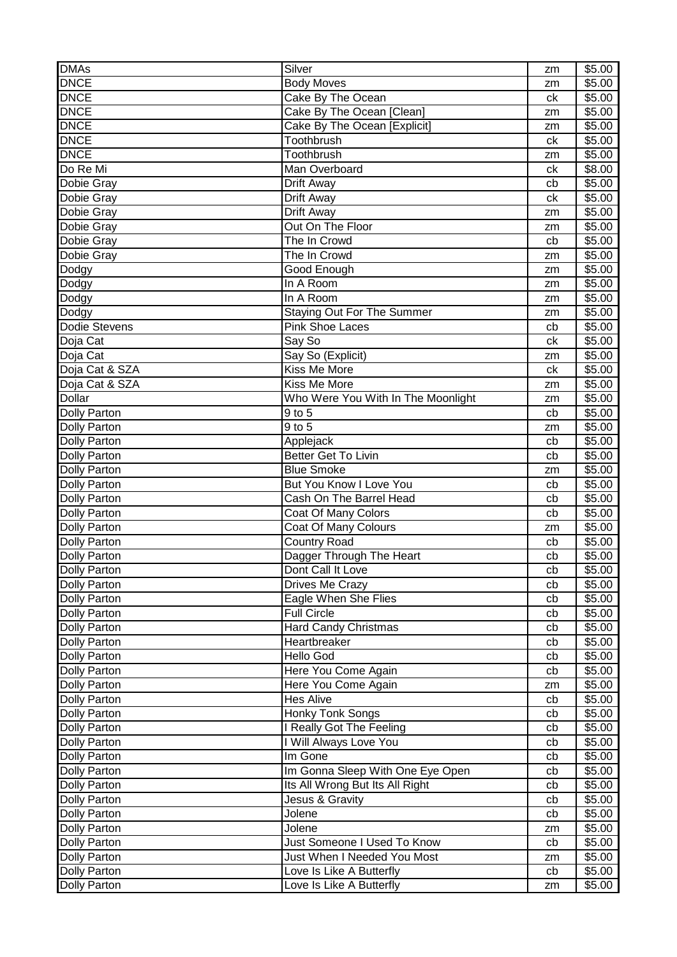| <b>DMAs</b>         | Silver                             | zm | \$5.00 |
|---------------------|------------------------------------|----|--------|
| <b>DNCE</b>         | <b>Body Moves</b>                  | zm | \$5.00 |
| <b>DNCE</b>         | Cake By The Ocean                  | ck | \$5.00 |
| <b>DNCE</b>         | Cake By The Ocean [Clean]          | zm | \$5.00 |
| <b>DNCE</b>         | Cake By The Ocean [Explicit]       | zm | \$5.00 |
| <b>DNCE</b>         | Toothbrush                         | ck | \$5.00 |
| <b>DNCE</b>         | Toothbrush                         | zm | \$5.00 |
| Do Re Mi            | Man Overboard                      | ck | \$8.00 |
| Dobie Gray          | Drift Away                         | cb | \$5.00 |
| Dobie Gray          | Drift Away                         | ck | \$5.00 |
| Dobie Gray          | Drift Away                         | zm | \$5.00 |
| Dobie Gray          | Out On The Floor                   | zm | \$5.00 |
| Dobie Gray          | The In Crowd                       | cb | \$5.00 |
| Dobie Gray          | The In Crowd                       | zm | \$5.00 |
| Dodgy               | Good Enough                        | zm | \$5.00 |
| Dodgy               | In A Room                          | zm | \$5.00 |
| Dodgy               | In A Room                          | zm | \$5.00 |
| Dodgy               | <b>Staying Out For The Summer</b>  | zm | \$5.00 |
| Dodie Stevens       | <b>Pink Shoe Laces</b>             | cb | \$5.00 |
| Doja Cat            | Say So                             | ck | \$5.00 |
| Doja Cat            | Say So (Explicit)                  | zm | \$5.00 |
| Doja Cat & SZA      | Kiss Me More                       | ck | \$5.00 |
| Doja Cat & SZA      | Kiss Me More                       | zm | \$5.00 |
| Dollar              | Who Were You With In The Moonlight | zm | \$5.00 |
| <b>Dolly Parton</b> | 9 to 5                             | cb | \$5.00 |
| <b>Dolly Parton</b> | $9$ to $5$                         | zm | \$5.00 |
| <b>Dolly Parton</b> | Applejack                          | cb | \$5.00 |
| <b>Dolly Parton</b> | <b>Better Get To Livin</b>         | cb | \$5.00 |
| <b>Dolly Parton</b> | <b>Blue Smoke</b>                  | zm | \$5.00 |
| <b>Dolly Parton</b> | But You Know I Love You            | cb | \$5.00 |
| <b>Dolly Parton</b> | Cash On The Barrel Head            | cb | \$5.00 |
| <b>Dolly Parton</b> | Coat Of Many Colors                | cb | \$5.00 |
| <b>Dolly Parton</b> | Coat Of Many Colours               | zm | \$5.00 |
| <b>Dolly Parton</b> | <b>Country Road</b>                | cb | \$5.00 |
| <b>Dolly Parton</b> | Dagger Through The Heart           | cb | \$5.00 |
| Dolly Parton        | Dont Call It Love                  | cb | \$5.00 |
| <b>Dolly Parton</b> | Drives Me Crazy                    | cb | \$5.00 |
| Dolly Parton        | Eagle When She Flies               | cb | \$5.00 |
| Dolly Parton        | <b>Full Circle</b>                 | cb | \$5.00 |
| Dolly Parton        | <b>Hard Candy Christmas</b>        | cb | \$5.00 |
| Dolly Parton        | Heartbreaker                       | cb | \$5.00 |
| <b>Dolly Parton</b> | Hello God                          | cb | \$5.00 |
| Dolly Parton        | Here You Come Again                | cb | \$5.00 |
| <b>Dolly Parton</b> | Here You Come Again                | zm | \$5.00 |
| Dolly Parton        | <b>Hes Alive</b>                   | cb | \$5.00 |
| <b>Dolly Parton</b> | <b>Honky Tonk Songs</b>            | cb | \$5.00 |
| <b>Dolly Parton</b> | I Really Got The Feeling           | cb | \$5.00 |
| <b>Dolly Parton</b> | I Will Always Love You             | cb | \$5.00 |
| <b>Dolly Parton</b> | Im Gone                            | cb | \$5.00 |
| Dolly Parton        | Im Gonna Sleep With One Eye Open   | cb | \$5.00 |
| Dolly Parton        | Its All Wrong But Its All Right    | cb | \$5.00 |
| <b>Dolly Parton</b> | Jesus & Gravity                    | cb | \$5.00 |
| <b>Dolly Parton</b> | Jolene                             | cb | \$5.00 |
| <b>Dolly Parton</b> | Jolene                             | zm | \$5.00 |
| Dolly Parton        | Just Someone I Used To Know        | cb | \$5.00 |
| <b>Dolly Parton</b> | Just When I Needed You Most        | zm | \$5.00 |
| <b>Dolly Parton</b> | Love Is Like A Butterfly           | cb | \$5.00 |
| <b>Dolly Parton</b> | Love Is Like A Butterfly           | zm | \$5.00 |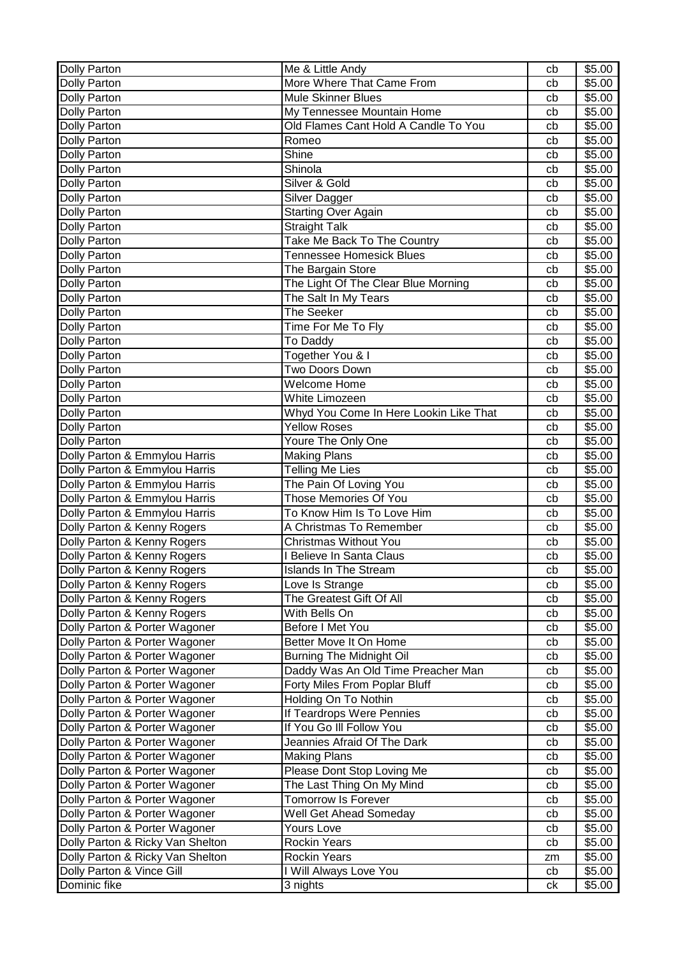| More Where That Came From<br>Dolly Parton<br>\$5.00<br>cb<br><b>Mule Skinner Blues</b><br>Dolly Parton<br>\$5.00<br>cb<br>My Tennessee Mountain Home<br>\$5.00<br>Dolly Parton<br>cb<br>Old Flames Cant Hold A Candle To You<br>Dolly Parton<br>\$5.00<br>cb<br>\$5.00<br>Dolly Parton<br>Romeo<br>cb<br>Shine<br>\$5.00<br><b>Dolly Parton</b><br>cb<br>Shinola<br>\$5.00<br>Dolly Parton<br>cb<br>Silver & Gold<br>\$5.00<br>Dolly Parton<br>cb<br>\$5.00<br>Dolly Parton<br>Silver Dagger<br>cb<br>Dolly Parton<br><b>Starting Over Again</b><br>\$5.00<br>cb<br><b>Straight Talk</b><br>\$5.00<br>Dolly Parton<br>cb<br>Take Me Back To The Country<br>\$5.00<br>Dolly Parton<br>cb<br><b>Tennessee Homesick Blues</b><br>\$5.00<br>Dolly Parton<br>cb<br>The Bargain Store<br>\$5.00<br>Dolly Parton<br>cb<br>The Light Of The Clear Blue Morning<br>\$5.00<br>Dolly Parton<br>cb<br>The Salt In My Tears<br>\$5.00<br><b>Dolly Parton</b><br>cb<br>The Seeker<br>\$5.00<br>Dolly Parton<br>cb<br>\$5.00<br>Time For Me To Fly<br>Dolly Parton<br>cb<br>Dolly Parton<br>To Daddy<br>\$5.00<br>cb<br>Together You & I<br>\$5.00<br>Dolly Parton<br>cb<br>Two Doors Down<br><b>Dolly Parton</b><br>\$5.00<br>cb<br>Welcome Home<br>\$5.00<br>Dolly Parton<br>cb<br>White Limozeen<br>\$5.00<br>Dolly Parton<br>cb<br>Whyd You Come In Here Lookin Like That<br>Dolly Parton<br>\$5.00<br>cb<br><b>Yellow Roses</b><br>\$5.00<br>Dolly Parton<br>cb<br>Youre The Only One<br><b>Dolly Parton</b><br>\$5.00<br>cb<br>Dolly Parton & Emmylou Harris<br>\$5.00<br><b>Making Plans</b><br>cb<br>Dolly Parton & Emmylou Harris<br><b>Telling Me Lies</b><br>\$5.00<br>cb<br>Dolly Parton & Emmylou Harris<br>The Pain Of Loving You<br>\$5.00<br>cb<br>Those Memories Of You<br>Dolly Parton & Emmylou Harris<br>\$5.00<br>cb<br>To Know Him Is To Love Him<br>Dolly Parton & Emmylou Harris<br>\$5.00<br>cb<br>Dolly Parton & Kenny Rogers<br>A Christmas To Remember<br>\$5.00<br>cb<br><b>Christmas Without You</b><br>Dolly Parton & Kenny Rogers<br>\$5.00<br>cb<br>\$5.00<br>Dolly Parton & Kenny Rogers<br>I Believe In Santa Claus<br>cb<br>\$5.00<br>Dolly Parton & Kenny Rogers<br>cb<br><b>Islands In The Stream</b><br>Dolly Parton & Kenny Rogers<br>Love Is Strange<br>\$5.00<br>cb<br>\$5.00<br>Dolly Parton & Kenny Rogers<br>The Greatest Gift Of All<br>cb<br>With Bells On<br>\$5.00<br>Dolly Parton & Kenny Rogers<br>cb<br>Before I Met You<br>Dolly Parton & Porter Wagoner<br>\$5.00<br>cb<br>Dolly Parton & Porter Wagoner<br>Better Move It On Home<br>\$5.00<br>cb<br>Dolly Parton & Porter Wagoner<br><b>Burning The Midnight Oil</b><br>\$5.00<br>cb<br>Daddy Was An Old Time Preacher Man<br>\$5.00<br>Dolly Parton & Porter Wagoner<br>cb<br>Forty Miles From Poplar Bluff<br>\$5.00<br>Dolly Parton & Porter Wagoner<br>cb<br>Dolly Parton & Porter Wagoner<br>Holding On To Nothin<br>\$5.00<br>cb<br>Dolly Parton & Porter Wagoner<br>If Teardrops Were Pennies<br>\$5.00<br>cb<br>Dolly Parton & Porter Wagoner<br>If You Go III Follow You<br>\$5.00<br>cb<br>Jeannies Afraid Of The Dark<br>Dolly Parton & Porter Wagoner<br>\$5.00<br>cb<br>Dolly Parton & Porter Wagoner<br><b>Making Plans</b><br>\$5.00<br>cb<br>Please Dont Stop Loving Me<br>Dolly Parton & Porter Wagoner<br>\$5.00<br>cb<br>Dolly Parton & Porter Wagoner<br>The Last Thing On My Mind<br>\$5.00<br>cb<br><b>Tomorrow Is Forever</b><br>Dolly Parton & Porter Wagoner<br>\$5.00<br>cb<br>Dolly Parton & Porter Wagoner<br>\$5.00<br>Well Get Ahead Someday<br>cb<br>Dolly Parton & Porter Wagoner<br>Yours Love<br>\$5.00<br>cb<br>Dolly Parton & Ricky Van Shelton<br>Rockin Years<br>\$5.00<br>cb<br>Dolly Parton & Ricky Van Shelton<br><b>Rockin Years</b><br>\$5.00<br>zm<br>Dolly Parton & Vince Gill<br>I Will Always Love You<br>\$5.00<br>cb<br>Dominic fike<br>\$5.00<br>3 nights<br>ck | Dolly Parton | Me & Little Andy | cb | \$5.00 |
|------------------------------------------------------------------------------------------------------------------------------------------------------------------------------------------------------------------------------------------------------------------------------------------------------------------------------------------------------------------------------------------------------------------------------------------------------------------------------------------------------------------------------------------------------------------------------------------------------------------------------------------------------------------------------------------------------------------------------------------------------------------------------------------------------------------------------------------------------------------------------------------------------------------------------------------------------------------------------------------------------------------------------------------------------------------------------------------------------------------------------------------------------------------------------------------------------------------------------------------------------------------------------------------------------------------------------------------------------------------------------------------------------------------------------------------------------------------------------------------------------------------------------------------------------------------------------------------------------------------------------------------------------------------------------------------------------------------------------------------------------------------------------------------------------------------------------------------------------------------------------------------------------------------------------------------------------------------------------------------------------------------------------------------------------------------------------------------------------------------------------------------------------------------------------------------------------------------------------------------------------------------------------------------------------------------------------------------------------------------------------------------------------------------------------------------------------------------------------------------------------------------------------------------------------------------------------------------------------------------------------------------------------------------------------------------------------------------------------------------------------------------------------------------------------------------------------------------------------------------------------------------------------------------------------------------------------------------------------------------------------------------------------------------------------------------------------------------------------------------------------------------------------------------------------------------------------------------------------------------------------------------------------------------------------------------------------------------------------------------------------------------------------------------------------------------------------------------------------------------------------------------------------------------------------------------------------------------------------------------------------------------------------------------------------------------------------------------------------------------------------------------------------------------------------------------------------------------------------------------------------------------------------------|--------------|------------------|----|--------|
|                                                                                                                                                                                                                                                                                                                                                                                                                                                                                                                                                                                                                                                                                                                                                                                                                                                                                                                                                                                                                                                                                                                                                                                                                                                                                                                                                                                                                                                                                                                                                                                                                                                                                                                                                                                                                                                                                                                                                                                                                                                                                                                                                                                                                                                                                                                                                                                                                                                                                                                                                                                                                                                                                                                                                                                                                                                                                                                                                                                                                                                                                                                                                                                                                                                                                                                                                                                                                                                                                                                                                                                                                                                                                                                                                                                                                                                                                                            |              |                  |    |        |
|                                                                                                                                                                                                                                                                                                                                                                                                                                                                                                                                                                                                                                                                                                                                                                                                                                                                                                                                                                                                                                                                                                                                                                                                                                                                                                                                                                                                                                                                                                                                                                                                                                                                                                                                                                                                                                                                                                                                                                                                                                                                                                                                                                                                                                                                                                                                                                                                                                                                                                                                                                                                                                                                                                                                                                                                                                                                                                                                                                                                                                                                                                                                                                                                                                                                                                                                                                                                                                                                                                                                                                                                                                                                                                                                                                                                                                                                                                            |              |                  |    |        |
|                                                                                                                                                                                                                                                                                                                                                                                                                                                                                                                                                                                                                                                                                                                                                                                                                                                                                                                                                                                                                                                                                                                                                                                                                                                                                                                                                                                                                                                                                                                                                                                                                                                                                                                                                                                                                                                                                                                                                                                                                                                                                                                                                                                                                                                                                                                                                                                                                                                                                                                                                                                                                                                                                                                                                                                                                                                                                                                                                                                                                                                                                                                                                                                                                                                                                                                                                                                                                                                                                                                                                                                                                                                                                                                                                                                                                                                                                                            |              |                  |    |        |
|                                                                                                                                                                                                                                                                                                                                                                                                                                                                                                                                                                                                                                                                                                                                                                                                                                                                                                                                                                                                                                                                                                                                                                                                                                                                                                                                                                                                                                                                                                                                                                                                                                                                                                                                                                                                                                                                                                                                                                                                                                                                                                                                                                                                                                                                                                                                                                                                                                                                                                                                                                                                                                                                                                                                                                                                                                                                                                                                                                                                                                                                                                                                                                                                                                                                                                                                                                                                                                                                                                                                                                                                                                                                                                                                                                                                                                                                                                            |              |                  |    |        |
|                                                                                                                                                                                                                                                                                                                                                                                                                                                                                                                                                                                                                                                                                                                                                                                                                                                                                                                                                                                                                                                                                                                                                                                                                                                                                                                                                                                                                                                                                                                                                                                                                                                                                                                                                                                                                                                                                                                                                                                                                                                                                                                                                                                                                                                                                                                                                                                                                                                                                                                                                                                                                                                                                                                                                                                                                                                                                                                                                                                                                                                                                                                                                                                                                                                                                                                                                                                                                                                                                                                                                                                                                                                                                                                                                                                                                                                                                                            |              |                  |    |        |
|                                                                                                                                                                                                                                                                                                                                                                                                                                                                                                                                                                                                                                                                                                                                                                                                                                                                                                                                                                                                                                                                                                                                                                                                                                                                                                                                                                                                                                                                                                                                                                                                                                                                                                                                                                                                                                                                                                                                                                                                                                                                                                                                                                                                                                                                                                                                                                                                                                                                                                                                                                                                                                                                                                                                                                                                                                                                                                                                                                                                                                                                                                                                                                                                                                                                                                                                                                                                                                                                                                                                                                                                                                                                                                                                                                                                                                                                                                            |              |                  |    |        |
|                                                                                                                                                                                                                                                                                                                                                                                                                                                                                                                                                                                                                                                                                                                                                                                                                                                                                                                                                                                                                                                                                                                                                                                                                                                                                                                                                                                                                                                                                                                                                                                                                                                                                                                                                                                                                                                                                                                                                                                                                                                                                                                                                                                                                                                                                                                                                                                                                                                                                                                                                                                                                                                                                                                                                                                                                                                                                                                                                                                                                                                                                                                                                                                                                                                                                                                                                                                                                                                                                                                                                                                                                                                                                                                                                                                                                                                                                                            |              |                  |    |        |
|                                                                                                                                                                                                                                                                                                                                                                                                                                                                                                                                                                                                                                                                                                                                                                                                                                                                                                                                                                                                                                                                                                                                                                                                                                                                                                                                                                                                                                                                                                                                                                                                                                                                                                                                                                                                                                                                                                                                                                                                                                                                                                                                                                                                                                                                                                                                                                                                                                                                                                                                                                                                                                                                                                                                                                                                                                                                                                                                                                                                                                                                                                                                                                                                                                                                                                                                                                                                                                                                                                                                                                                                                                                                                                                                                                                                                                                                                                            |              |                  |    |        |
|                                                                                                                                                                                                                                                                                                                                                                                                                                                                                                                                                                                                                                                                                                                                                                                                                                                                                                                                                                                                                                                                                                                                                                                                                                                                                                                                                                                                                                                                                                                                                                                                                                                                                                                                                                                                                                                                                                                                                                                                                                                                                                                                                                                                                                                                                                                                                                                                                                                                                                                                                                                                                                                                                                                                                                                                                                                                                                                                                                                                                                                                                                                                                                                                                                                                                                                                                                                                                                                                                                                                                                                                                                                                                                                                                                                                                                                                                                            |              |                  |    |        |
|                                                                                                                                                                                                                                                                                                                                                                                                                                                                                                                                                                                                                                                                                                                                                                                                                                                                                                                                                                                                                                                                                                                                                                                                                                                                                                                                                                                                                                                                                                                                                                                                                                                                                                                                                                                                                                                                                                                                                                                                                                                                                                                                                                                                                                                                                                                                                                                                                                                                                                                                                                                                                                                                                                                                                                                                                                                                                                                                                                                                                                                                                                                                                                                                                                                                                                                                                                                                                                                                                                                                                                                                                                                                                                                                                                                                                                                                                                            |              |                  |    |        |
|                                                                                                                                                                                                                                                                                                                                                                                                                                                                                                                                                                                                                                                                                                                                                                                                                                                                                                                                                                                                                                                                                                                                                                                                                                                                                                                                                                                                                                                                                                                                                                                                                                                                                                                                                                                                                                                                                                                                                                                                                                                                                                                                                                                                                                                                                                                                                                                                                                                                                                                                                                                                                                                                                                                                                                                                                                                                                                                                                                                                                                                                                                                                                                                                                                                                                                                                                                                                                                                                                                                                                                                                                                                                                                                                                                                                                                                                                                            |              |                  |    |        |
|                                                                                                                                                                                                                                                                                                                                                                                                                                                                                                                                                                                                                                                                                                                                                                                                                                                                                                                                                                                                                                                                                                                                                                                                                                                                                                                                                                                                                                                                                                                                                                                                                                                                                                                                                                                                                                                                                                                                                                                                                                                                                                                                                                                                                                                                                                                                                                                                                                                                                                                                                                                                                                                                                                                                                                                                                                                                                                                                                                                                                                                                                                                                                                                                                                                                                                                                                                                                                                                                                                                                                                                                                                                                                                                                                                                                                                                                                                            |              |                  |    |        |
|                                                                                                                                                                                                                                                                                                                                                                                                                                                                                                                                                                                                                                                                                                                                                                                                                                                                                                                                                                                                                                                                                                                                                                                                                                                                                                                                                                                                                                                                                                                                                                                                                                                                                                                                                                                                                                                                                                                                                                                                                                                                                                                                                                                                                                                                                                                                                                                                                                                                                                                                                                                                                                                                                                                                                                                                                                                                                                                                                                                                                                                                                                                                                                                                                                                                                                                                                                                                                                                                                                                                                                                                                                                                                                                                                                                                                                                                                                            |              |                  |    |        |
|                                                                                                                                                                                                                                                                                                                                                                                                                                                                                                                                                                                                                                                                                                                                                                                                                                                                                                                                                                                                                                                                                                                                                                                                                                                                                                                                                                                                                                                                                                                                                                                                                                                                                                                                                                                                                                                                                                                                                                                                                                                                                                                                                                                                                                                                                                                                                                                                                                                                                                                                                                                                                                                                                                                                                                                                                                                                                                                                                                                                                                                                                                                                                                                                                                                                                                                                                                                                                                                                                                                                                                                                                                                                                                                                                                                                                                                                                                            |              |                  |    |        |
|                                                                                                                                                                                                                                                                                                                                                                                                                                                                                                                                                                                                                                                                                                                                                                                                                                                                                                                                                                                                                                                                                                                                                                                                                                                                                                                                                                                                                                                                                                                                                                                                                                                                                                                                                                                                                                                                                                                                                                                                                                                                                                                                                                                                                                                                                                                                                                                                                                                                                                                                                                                                                                                                                                                                                                                                                                                                                                                                                                                                                                                                                                                                                                                                                                                                                                                                                                                                                                                                                                                                                                                                                                                                                                                                                                                                                                                                                                            |              |                  |    |        |
|                                                                                                                                                                                                                                                                                                                                                                                                                                                                                                                                                                                                                                                                                                                                                                                                                                                                                                                                                                                                                                                                                                                                                                                                                                                                                                                                                                                                                                                                                                                                                                                                                                                                                                                                                                                                                                                                                                                                                                                                                                                                                                                                                                                                                                                                                                                                                                                                                                                                                                                                                                                                                                                                                                                                                                                                                                                                                                                                                                                                                                                                                                                                                                                                                                                                                                                                                                                                                                                                                                                                                                                                                                                                                                                                                                                                                                                                                                            |              |                  |    |        |
|                                                                                                                                                                                                                                                                                                                                                                                                                                                                                                                                                                                                                                                                                                                                                                                                                                                                                                                                                                                                                                                                                                                                                                                                                                                                                                                                                                                                                                                                                                                                                                                                                                                                                                                                                                                                                                                                                                                                                                                                                                                                                                                                                                                                                                                                                                                                                                                                                                                                                                                                                                                                                                                                                                                                                                                                                                                                                                                                                                                                                                                                                                                                                                                                                                                                                                                                                                                                                                                                                                                                                                                                                                                                                                                                                                                                                                                                                                            |              |                  |    |        |
|                                                                                                                                                                                                                                                                                                                                                                                                                                                                                                                                                                                                                                                                                                                                                                                                                                                                                                                                                                                                                                                                                                                                                                                                                                                                                                                                                                                                                                                                                                                                                                                                                                                                                                                                                                                                                                                                                                                                                                                                                                                                                                                                                                                                                                                                                                                                                                                                                                                                                                                                                                                                                                                                                                                                                                                                                                                                                                                                                                                                                                                                                                                                                                                                                                                                                                                                                                                                                                                                                                                                                                                                                                                                                                                                                                                                                                                                                                            |              |                  |    |        |
|                                                                                                                                                                                                                                                                                                                                                                                                                                                                                                                                                                                                                                                                                                                                                                                                                                                                                                                                                                                                                                                                                                                                                                                                                                                                                                                                                                                                                                                                                                                                                                                                                                                                                                                                                                                                                                                                                                                                                                                                                                                                                                                                                                                                                                                                                                                                                                                                                                                                                                                                                                                                                                                                                                                                                                                                                                                                                                                                                                                                                                                                                                                                                                                                                                                                                                                                                                                                                                                                                                                                                                                                                                                                                                                                                                                                                                                                                                            |              |                  |    |        |
|                                                                                                                                                                                                                                                                                                                                                                                                                                                                                                                                                                                                                                                                                                                                                                                                                                                                                                                                                                                                                                                                                                                                                                                                                                                                                                                                                                                                                                                                                                                                                                                                                                                                                                                                                                                                                                                                                                                                                                                                                                                                                                                                                                                                                                                                                                                                                                                                                                                                                                                                                                                                                                                                                                                                                                                                                                                                                                                                                                                                                                                                                                                                                                                                                                                                                                                                                                                                                                                                                                                                                                                                                                                                                                                                                                                                                                                                                                            |              |                  |    |        |
|                                                                                                                                                                                                                                                                                                                                                                                                                                                                                                                                                                                                                                                                                                                                                                                                                                                                                                                                                                                                                                                                                                                                                                                                                                                                                                                                                                                                                                                                                                                                                                                                                                                                                                                                                                                                                                                                                                                                                                                                                                                                                                                                                                                                                                                                                                                                                                                                                                                                                                                                                                                                                                                                                                                                                                                                                                                                                                                                                                                                                                                                                                                                                                                                                                                                                                                                                                                                                                                                                                                                                                                                                                                                                                                                                                                                                                                                                                            |              |                  |    |        |
|                                                                                                                                                                                                                                                                                                                                                                                                                                                                                                                                                                                                                                                                                                                                                                                                                                                                                                                                                                                                                                                                                                                                                                                                                                                                                                                                                                                                                                                                                                                                                                                                                                                                                                                                                                                                                                                                                                                                                                                                                                                                                                                                                                                                                                                                                                                                                                                                                                                                                                                                                                                                                                                                                                                                                                                                                                                                                                                                                                                                                                                                                                                                                                                                                                                                                                                                                                                                                                                                                                                                                                                                                                                                                                                                                                                                                                                                                                            |              |                  |    |        |
|                                                                                                                                                                                                                                                                                                                                                                                                                                                                                                                                                                                                                                                                                                                                                                                                                                                                                                                                                                                                                                                                                                                                                                                                                                                                                                                                                                                                                                                                                                                                                                                                                                                                                                                                                                                                                                                                                                                                                                                                                                                                                                                                                                                                                                                                                                                                                                                                                                                                                                                                                                                                                                                                                                                                                                                                                                                                                                                                                                                                                                                                                                                                                                                                                                                                                                                                                                                                                                                                                                                                                                                                                                                                                                                                                                                                                                                                                                            |              |                  |    |        |
|                                                                                                                                                                                                                                                                                                                                                                                                                                                                                                                                                                                                                                                                                                                                                                                                                                                                                                                                                                                                                                                                                                                                                                                                                                                                                                                                                                                                                                                                                                                                                                                                                                                                                                                                                                                                                                                                                                                                                                                                                                                                                                                                                                                                                                                                                                                                                                                                                                                                                                                                                                                                                                                                                                                                                                                                                                                                                                                                                                                                                                                                                                                                                                                                                                                                                                                                                                                                                                                                                                                                                                                                                                                                                                                                                                                                                                                                                                            |              |                  |    |        |
|                                                                                                                                                                                                                                                                                                                                                                                                                                                                                                                                                                                                                                                                                                                                                                                                                                                                                                                                                                                                                                                                                                                                                                                                                                                                                                                                                                                                                                                                                                                                                                                                                                                                                                                                                                                                                                                                                                                                                                                                                                                                                                                                                                                                                                                                                                                                                                                                                                                                                                                                                                                                                                                                                                                                                                                                                                                                                                                                                                                                                                                                                                                                                                                                                                                                                                                                                                                                                                                                                                                                                                                                                                                                                                                                                                                                                                                                                                            |              |                  |    |        |
|                                                                                                                                                                                                                                                                                                                                                                                                                                                                                                                                                                                                                                                                                                                                                                                                                                                                                                                                                                                                                                                                                                                                                                                                                                                                                                                                                                                                                                                                                                                                                                                                                                                                                                                                                                                                                                                                                                                                                                                                                                                                                                                                                                                                                                                                                                                                                                                                                                                                                                                                                                                                                                                                                                                                                                                                                                                                                                                                                                                                                                                                                                                                                                                                                                                                                                                                                                                                                                                                                                                                                                                                                                                                                                                                                                                                                                                                                                            |              |                  |    |        |
|                                                                                                                                                                                                                                                                                                                                                                                                                                                                                                                                                                                                                                                                                                                                                                                                                                                                                                                                                                                                                                                                                                                                                                                                                                                                                                                                                                                                                                                                                                                                                                                                                                                                                                                                                                                                                                                                                                                                                                                                                                                                                                                                                                                                                                                                                                                                                                                                                                                                                                                                                                                                                                                                                                                                                                                                                                                                                                                                                                                                                                                                                                                                                                                                                                                                                                                                                                                                                                                                                                                                                                                                                                                                                                                                                                                                                                                                                                            |              |                  |    |        |
|                                                                                                                                                                                                                                                                                                                                                                                                                                                                                                                                                                                                                                                                                                                                                                                                                                                                                                                                                                                                                                                                                                                                                                                                                                                                                                                                                                                                                                                                                                                                                                                                                                                                                                                                                                                                                                                                                                                                                                                                                                                                                                                                                                                                                                                                                                                                                                                                                                                                                                                                                                                                                                                                                                                                                                                                                                                                                                                                                                                                                                                                                                                                                                                                                                                                                                                                                                                                                                                                                                                                                                                                                                                                                                                                                                                                                                                                                                            |              |                  |    |        |
|                                                                                                                                                                                                                                                                                                                                                                                                                                                                                                                                                                                                                                                                                                                                                                                                                                                                                                                                                                                                                                                                                                                                                                                                                                                                                                                                                                                                                                                                                                                                                                                                                                                                                                                                                                                                                                                                                                                                                                                                                                                                                                                                                                                                                                                                                                                                                                                                                                                                                                                                                                                                                                                                                                                                                                                                                                                                                                                                                                                                                                                                                                                                                                                                                                                                                                                                                                                                                                                                                                                                                                                                                                                                                                                                                                                                                                                                                                            |              |                  |    |        |
|                                                                                                                                                                                                                                                                                                                                                                                                                                                                                                                                                                                                                                                                                                                                                                                                                                                                                                                                                                                                                                                                                                                                                                                                                                                                                                                                                                                                                                                                                                                                                                                                                                                                                                                                                                                                                                                                                                                                                                                                                                                                                                                                                                                                                                                                                                                                                                                                                                                                                                                                                                                                                                                                                                                                                                                                                                                                                                                                                                                                                                                                                                                                                                                                                                                                                                                                                                                                                                                                                                                                                                                                                                                                                                                                                                                                                                                                                                            |              |                  |    |        |
|                                                                                                                                                                                                                                                                                                                                                                                                                                                                                                                                                                                                                                                                                                                                                                                                                                                                                                                                                                                                                                                                                                                                                                                                                                                                                                                                                                                                                                                                                                                                                                                                                                                                                                                                                                                                                                                                                                                                                                                                                                                                                                                                                                                                                                                                                                                                                                                                                                                                                                                                                                                                                                                                                                                                                                                                                                                                                                                                                                                                                                                                                                                                                                                                                                                                                                                                                                                                                                                                                                                                                                                                                                                                                                                                                                                                                                                                                                            |              |                  |    |        |
|                                                                                                                                                                                                                                                                                                                                                                                                                                                                                                                                                                                                                                                                                                                                                                                                                                                                                                                                                                                                                                                                                                                                                                                                                                                                                                                                                                                                                                                                                                                                                                                                                                                                                                                                                                                                                                                                                                                                                                                                                                                                                                                                                                                                                                                                                                                                                                                                                                                                                                                                                                                                                                                                                                                                                                                                                                                                                                                                                                                                                                                                                                                                                                                                                                                                                                                                                                                                                                                                                                                                                                                                                                                                                                                                                                                                                                                                                                            |              |                  |    |        |
|                                                                                                                                                                                                                                                                                                                                                                                                                                                                                                                                                                                                                                                                                                                                                                                                                                                                                                                                                                                                                                                                                                                                                                                                                                                                                                                                                                                                                                                                                                                                                                                                                                                                                                                                                                                                                                                                                                                                                                                                                                                                                                                                                                                                                                                                                                                                                                                                                                                                                                                                                                                                                                                                                                                                                                                                                                                                                                                                                                                                                                                                                                                                                                                                                                                                                                                                                                                                                                                                                                                                                                                                                                                                                                                                                                                                                                                                                                            |              |                  |    |        |
|                                                                                                                                                                                                                                                                                                                                                                                                                                                                                                                                                                                                                                                                                                                                                                                                                                                                                                                                                                                                                                                                                                                                                                                                                                                                                                                                                                                                                                                                                                                                                                                                                                                                                                                                                                                                                                                                                                                                                                                                                                                                                                                                                                                                                                                                                                                                                                                                                                                                                                                                                                                                                                                                                                                                                                                                                                                                                                                                                                                                                                                                                                                                                                                                                                                                                                                                                                                                                                                                                                                                                                                                                                                                                                                                                                                                                                                                                                            |              |                  |    |        |
|                                                                                                                                                                                                                                                                                                                                                                                                                                                                                                                                                                                                                                                                                                                                                                                                                                                                                                                                                                                                                                                                                                                                                                                                                                                                                                                                                                                                                                                                                                                                                                                                                                                                                                                                                                                                                                                                                                                                                                                                                                                                                                                                                                                                                                                                                                                                                                                                                                                                                                                                                                                                                                                                                                                                                                                                                                                                                                                                                                                                                                                                                                                                                                                                                                                                                                                                                                                                                                                                                                                                                                                                                                                                                                                                                                                                                                                                                                            |              |                  |    |        |
|                                                                                                                                                                                                                                                                                                                                                                                                                                                                                                                                                                                                                                                                                                                                                                                                                                                                                                                                                                                                                                                                                                                                                                                                                                                                                                                                                                                                                                                                                                                                                                                                                                                                                                                                                                                                                                                                                                                                                                                                                                                                                                                                                                                                                                                                                                                                                                                                                                                                                                                                                                                                                                                                                                                                                                                                                                                                                                                                                                                                                                                                                                                                                                                                                                                                                                                                                                                                                                                                                                                                                                                                                                                                                                                                                                                                                                                                                                            |              |                  |    |        |
|                                                                                                                                                                                                                                                                                                                                                                                                                                                                                                                                                                                                                                                                                                                                                                                                                                                                                                                                                                                                                                                                                                                                                                                                                                                                                                                                                                                                                                                                                                                                                                                                                                                                                                                                                                                                                                                                                                                                                                                                                                                                                                                                                                                                                                                                                                                                                                                                                                                                                                                                                                                                                                                                                                                                                                                                                                                                                                                                                                                                                                                                                                                                                                                                                                                                                                                                                                                                                                                                                                                                                                                                                                                                                                                                                                                                                                                                                                            |              |                  |    |        |
|                                                                                                                                                                                                                                                                                                                                                                                                                                                                                                                                                                                                                                                                                                                                                                                                                                                                                                                                                                                                                                                                                                                                                                                                                                                                                                                                                                                                                                                                                                                                                                                                                                                                                                                                                                                                                                                                                                                                                                                                                                                                                                                                                                                                                                                                                                                                                                                                                                                                                                                                                                                                                                                                                                                                                                                                                                                                                                                                                                                                                                                                                                                                                                                                                                                                                                                                                                                                                                                                                                                                                                                                                                                                                                                                                                                                                                                                                                            |              |                  |    |        |
|                                                                                                                                                                                                                                                                                                                                                                                                                                                                                                                                                                                                                                                                                                                                                                                                                                                                                                                                                                                                                                                                                                                                                                                                                                                                                                                                                                                                                                                                                                                                                                                                                                                                                                                                                                                                                                                                                                                                                                                                                                                                                                                                                                                                                                                                                                                                                                                                                                                                                                                                                                                                                                                                                                                                                                                                                                                                                                                                                                                                                                                                                                                                                                                                                                                                                                                                                                                                                                                                                                                                                                                                                                                                                                                                                                                                                                                                                                            |              |                  |    |        |
|                                                                                                                                                                                                                                                                                                                                                                                                                                                                                                                                                                                                                                                                                                                                                                                                                                                                                                                                                                                                                                                                                                                                                                                                                                                                                                                                                                                                                                                                                                                                                                                                                                                                                                                                                                                                                                                                                                                                                                                                                                                                                                                                                                                                                                                                                                                                                                                                                                                                                                                                                                                                                                                                                                                                                                                                                                                                                                                                                                                                                                                                                                                                                                                                                                                                                                                                                                                                                                                                                                                                                                                                                                                                                                                                                                                                                                                                                                            |              |                  |    |        |
|                                                                                                                                                                                                                                                                                                                                                                                                                                                                                                                                                                                                                                                                                                                                                                                                                                                                                                                                                                                                                                                                                                                                                                                                                                                                                                                                                                                                                                                                                                                                                                                                                                                                                                                                                                                                                                                                                                                                                                                                                                                                                                                                                                                                                                                                                                                                                                                                                                                                                                                                                                                                                                                                                                                                                                                                                                                                                                                                                                                                                                                                                                                                                                                                                                                                                                                                                                                                                                                                                                                                                                                                                                                                                                                                                                                                                                                                                                            |              |                  |    |        |
|                                                                                                                                                                                                                                                                                                                                                                                                                                                                                                                                                                                                                                                                                                                                                                                                                                                                                                                                                                                                                                                                                                                                                                                                                                                                                                                                                                                                                                                                                                                                                                                                                                                                                                                                                                                                                                                                                                                                                                                                                                                                                                                                                                                                                                                                                                                                                                                                                                                                                                                                                                                                                                                                                                                                                                                                                                                                                                                                                                                                                                                                                                                                                                                                                                                                                                                                                                                                                                                                                                                                                                                                                                                                                                                                                                                                                                                                                                            |              |                  |    |        |
|                                                                                                                                                                                                                                                                                                                                                                                                                                                                                                                                                                                                                                                                                                                                                                                                                                                                                                                                                                                                                                                                                                                                                                                                                                                                                                                                                                                                                                                                                                                                                                                                                                                                                                                                                                                                                                                                                                                                                                                                                                                                                                                                                                                                                                                                                                                                                                                                                                                                                                                                                                                                                                                                                                                                                                                                                                                                                                                                                                                                                                                                                                                                                                                                                                                                                                                                                                                                                                                                                                                                                                                                                                                                                                                                                                                                                                                                                                            |              |                  |    |        |
|                                                                                                                                                                                                                                                                                                                                                                                                                                                                                                                                                                                                                                                                                                                                                                                                                                                                                                                                                                                                                                                                                                                                                                                                                                                                                                                                                                                                                                                                                                                                                                                                                                                                                                                                                                                                                                                                                                                                                                                                                                                                                                                                                                                                                                                                                                                                                                                                                                                                                                                                                                                                                                                                                                                                                                                                                                                                                                                                                                                                                                                                                                                                                                                                                                                                                                                                                                                                                                                                                                                                                                                                                                                                                                                                                                                                                                                                                                            |              |                  |    |        |
|                                                                                                                                                                                                                                                                                                                                                                                                                                                                                                                                                                                                                                                                                                                                                                                                                                                                                                                                                                                                                                                                                                                                                                                                                                                                                                                                                                                                                                                                                                                                                                                                                                                                                                                                                                                                                                                                                                                                                                                                                                                                                                                                                                                                                                                                                                                                                                                                                                                                                                                                                                                                                                                                                                                                                                                                                                                                                                                                                                                                                                                                                                                                                                                                                                                                                                                                                                                                                                                                                                                                                                                                                                                                                                                                                                                                                                                                                                            |              |                  |    |        |
|                                                                                                                                                                                                                                                                                                                                                                                                                                                                                                                                                                                                                                                                                                                                                                                                                                                                                                                                                                                                                                                                                                                                                                                                                                                                                                                                                                                                                                                                                                                                                                                                                                                                                                                                                                                                                                                                                                                                                                                                                                                                                                                                                                                                                                                                                                                                                                                                                                                                                                                                                                                                                                                                                                                                                                                                                                                                                                                                                                                                                                                                                                                                                                                                                                                                                                                                                                                                                                                                                                                                                                                                                                                                                                                                                                                                                                                                                                            |              |                  |    |        |
|                                                                                                                                                                                                                                                                                                                                                                                                                                                                                                                                                                                                                                                                                                                                                                                                                                                                                                                                                                                                                                                                                                                                                                                                                                                                                                                                                                                                                                                                                                                                                                                                                                                                                                                                                                                                                                                                                                                                                                                                                                                                                                                                                                                                                                                                                                                                                                                                                                                                                                                                                                                                                                                                                                                                                                                                                                                                                                                                                                                                                                                                                                                                                                                                                                                                                                                                                                                                                                                                                                                                                                                                                                                                                                                                                                                                                                                                                                            |              |                  |    |        |
|                                                                                                                                                                                                                                                                                                                                                                                                                                                                                                                                                                                                                                                                                                                                                                                                                                                                                                                                                                                                                                                                                                                                                                                                                                                                                                                                                                                                                                                                                                                                                                                                                                                                                                                                                                                                                                                                                                                                                                                                                                                                                                                                                                                                                                                                                                                                                                                                                                                                                                                                                                                                                                                                                                                                                                                                                                                                                                                                                                                                                                                                                                                                                                                                                                                                                                                                                                                                                                                                                                                                                                                                                                                                                                                                                                                                                                                                                                            |              |                  |    |        |
|                                                                                                                                                                                                                                                                                                                                                                                                                                                                                                                                                                                                                                                                                                                                                                                                                                                                                                                                                                                                                                                                                                                                                                                                                                                                                                                                                                                                                                                                                                                                                                                                                                                                                                                                                                                                                                                                                                                                                                                                                                                                                                                                                                                                                                                                                                                                                                                                                                                                                                                                                                                                                                                                                                                                                                                                                                                                                                                                                                                                                                                                                                                                                                                                                                                                                                                                                                                                                                                                                                                                                                                                                                                                                                                                                                                                                                                                                                            |              |                  |    |        |
|                                                                                                                                                                                                                                                                                                                                                                                                                                                                                                                                                                                                                                                                                                                                                                                                                                                                                                                                                                                                                                                                                                                                                                                                                                                                                                                                                                                                                                                                                                                                                                                                                                                                                                                                                                                                                                                                                                                                                                                                                                                                                                                                                                                                                                                                                                                                                                                                                                                                                                                                                                                                                                                                                                                                                                                                                                                                                                                                                                                                                                                                                                                                                                                                                                                                                                                                                                                                                                                                                                                                                                                                                                                                                                                                                                                                                                                                                                            |              |                  |    |        |
|                                                                                                                                                                                                                                                                                                                                                                                                                                                                                                                                                                                                                                                                                                                                                                                                                                                                                                                                                                                                                                                                                                                                                                                                                                                                                                                                                                                                                                                                                                                                                                                                                                                                                                                                                                                                                                                                                                                                                                                                                                                                                                                                                                                                                                                                                                                                                                                                                                                                                                                                                                                                                                                                                                                                                                                                                                                                                                                                                                                                                                                                                                                                                                                                                                                                                                                                                                                                                                                                                                                                                                                                                                                                                                                                                                                                                                                                                                            |              |                  |    |        |
|                                                                                                                                                                                                                                                                                                                                                                                                                                                                                                                                                                                                                                                                                                                                                                                                                                                                                                                                                                                                                                                                                                                                                                                                                                                                                                                                                                                                                                                                                                                                                                                                                                                                                                                                                                                                                                                                                                                                                                                                                                                                                                                                                                                                                                                                                                                                                                                                                                                                                                                                                                                                                                                                                                                                                                                                                                                                                                                                                                                                                                                                                                                                                                                                                                                                                                                                                                                                                                                                                                                                                                                                                                                                                                                                                                                                                                                                                                            |              |                  |    |        |
|                                                                                                                                                                                                                                                                                                                                                                                                                                                                                                                                                                                                                                                                                                                                                                                                                                                                                                                                                                                                                                                                                                                                                                                                                                                                                                                                                                                                                                                                                                                                                                                                                                                                                                                                                                                                                                                                                                                                                                                                                                                                                                                                                                                                                                                                                                                                                                                                                                                                                                                                                                                                                                                                                                                                                                                                                                                                                                                                                                                                                                                                                                                                                                                                                                                                                                                                                                                                                                                                                                                                                                                                                                                                                                                                                                                                                                                                                                            |              |                  |    |        |
|                                                                                                                                                                                                                                                                                                                                                                                                                                                                                                                                                                                                                                                                                                                                                                                                                                                                                                                                                                                                                                                                                                                                                                                                                                                                                                                                                                                                                                                                                                                                                                                                                                                                                                                                                                                                                                                                                                                                                                                                                                                                                                                                                                                                                                                                                                                                                                                                                                                                                                                                                                                                                                                                                                                                                                                                                                                                                                                                                                                                                                                                                                                                                                                                                                                                                                                                                                                                                                                                                                                                                                                                                                                                                                                                                                                                                                                                                                            |              |                  |    |        |
|                                                                                                                                                                                                                                                                                                                                                                                                                                                                                                                                                                                                                                                                                                                                                                                                                                                                                                                                                                                                                                                                                                                                                                                                                                                                                                                                                                                                                                                                                                                                                                                                                                                                                                                                                                                                                                                                                                                                                                                                                                                                                                                                                                                                                                                                                                                                                                                                                                                                                                                                                                                                                                                                                                                                                                                                                                                                                                                                                                                                                                                                                                                                                                                                                                                                                                                                                                                                                                                                                                                                                                                                                                                                                                                                                                                                                                                                                                            |              |                  |    |        |
|                                                                                                                                                                                                                                                                                                                                                                                                                                                                                                                                                                                                                                                                                                                                                                                                                                                                                                                                                                                                                                                                                                                                                                                                                                                                                                                                                                                                                                                                                                                                                                                                                                                                                                                                                                                                                                                                                                                                                                                                                                                                                                                                                                                                                                                                                                                                                                                                                                                                                                                                                                                                                                                                                                                                                                                                                                                                                                                                                                                                                                                                                                                                                                                                                                                                                                                                                                                                                                                                                                                                                                                                                                                                                                                                                                                                                                                                                                            |              |                  |    |        |
|                                                                                                                                                                                                                                                                                                                                                                                                                                                                                                                                                                                                                                                                                                                                                                                                                                                                                                                                                                                                                                                                                                                                                                                                                                                                                                                                                                                                                                                                                                                                                                                                                                                                                                                                                                                                                                                                                                                                                                                                                                                                                                                                                                                                                                                                                                                                                                                                                                                                                                                                                                                                                                                                                                                                                                                                                                                                                                                                                                                                                                                                                                                                                                                                                                                                                                                                                                                                                                                                                                                                                                                                                                                                                                                                                                                                                                                                                                            |              |                  |    |        |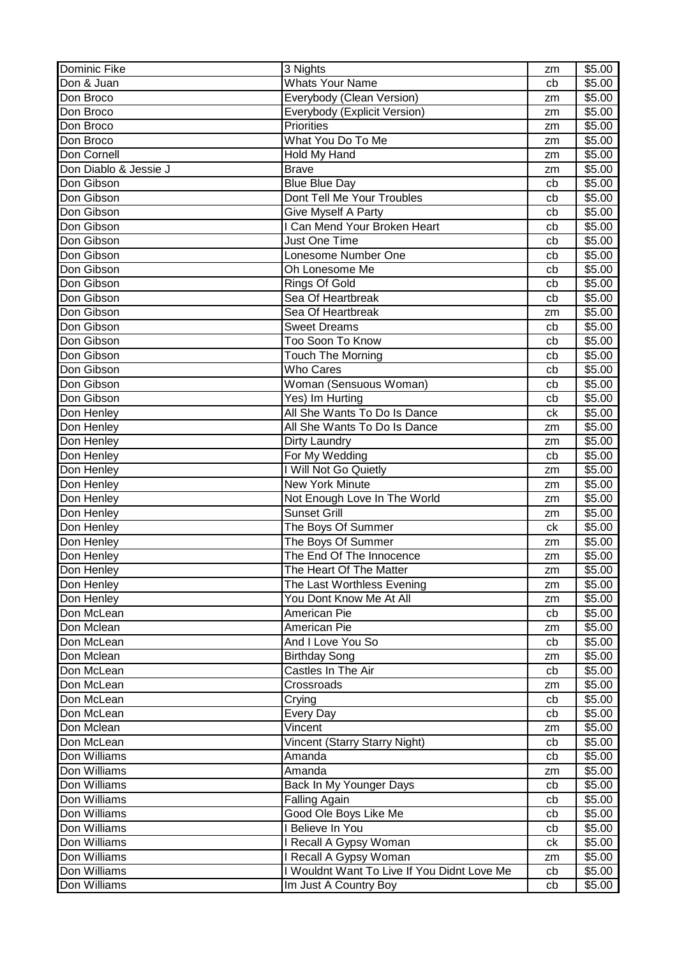| <b>Dominic Fike</b>   | 3 Nights                                    | zm | \$5.00             |
|-----------------------|---------------------------------------------|----|--------------------|
| Don & Juan            | <b>Whats Your Name</b>                      | cb | \$5.00             |
| Don Broco             | Everybody (Clean Version)                   | zm | \$5.00             |
| Don Broco             | Everybody (Explicit Version)                | zm | $\overline{$}5.00$ |
| Don Broco             | <b>Priorities</b>                           | zm | \$5.00             |
| Don Broco             | What You Do To Me                           | zm | \$5.00             |
| Don Cornell           | Hold My Hand                                | zm | \$5.00             |
| Don Diablo & Jessie J | <b>Brave</b>                                | zm | \$5.00             |
| Don Gibson            | <b>Blue Blue Day</b>                        | cb | \$5.00             |
| Don Gibson            | Dont Tell Me Your Troubles                  | cb | \$5.00             |
| Don Gibson            | Give Myself A Party                         | cb | \$5.00             |
| Don Gibson            | <b>I Can Mend Your Broken Heart</b>         | cb | \$5.00             |
| Don Gibson            | <b>Just One Time</b>                        | cb | \$5.00             |
| Don Gibson            | Lonesome Number One                         | cb | \$5.00             |
| Don Gibson            | Oh Lonesome Me                              | cb | \$5.00             |
| Don Gibson            | Rings Of Gold                               | cb | \$5.00             |
| Don Gibson            | Sea Of Heartbreak                           | cb | \$5.00             |
| Don Gibson            | Sea Of Heartbreak                           | zm | \$5.00             |
| Don Gibson            | <b>Sweet Dreams</b>                         | cb | \$5.00             |
| Don Gibson            | Too Soon To Know                            | cb | \$5.00             |
| Don Gibson            | <b>Touch The Morning</b>                    | cb | \$5.00             |
| Don Gibson            | <b>Who Cares</b>                            | cb | \$5.00             |
| Don Gibson            | Woman (Sensuous Woman)                      | cb | \$5.00             |
| Don Gibson            | Yes) Im Hurting                             | cb | \$5.00             |
| Don Henley            | All She Wants To Do Is Dance                | ck | \$5.00             |
| Don Henley            | All She Wants To Do Is Dance                | zm | \$5.00             |
| Don Henley            | Dirty Laundry                               | zm | \$5.00             |
| Don Henley            | For My Wedding                              | cb | \$5.00             |
| Don Henley            | I Will Not Go Quietly                       | zm | \$5.00             |
| Don Henley            | <b>New York Minute</b>                      | zm | \$5.00             |
| Don Henley            | Not Enough Love In The World                | zm | \$5.00             |
| Don Henley            | <b>Sunset Grill</b>                         | zm | \$5.00             |
| Don Henley            | The Boys Of Summer                          | ck | \$5.00             |
| Don Henley            | The Boys Of Summer                          | zm | \$5.00             |
| Don Henley            | The End Of The Innocence                    | zm | \$5.00             |
| Don Henley            | The Heart Of The Matter                     | zm | \$5.00             |
| Don Henley            | The Last Worthless Evening                  | zm | \$5.00             |
| Don Henley            | You Dont Know Me At All                     | zm | \$5.00             |
| Don McLean            | American Pie                                | cb | \$5.00             |
| Don Mclean            | American Pie                                | zm | \$5.00             |
| Don McLean            | And I Love You So                           | cb | \$5.00             |
| Don Mclean            | <b>Birthday Song</b>                        | zm | \$5.00             |
| Don McLean            | Castles In The Air                          | cb | \$5.00             |
| Don McLean            | Crossroads                                  | zm | \$5.00             |
| Don McLean            | Crying                                      | cb | \$5.00             |
| Don McLean            | <b>Every Day</b>                            | cb | \$5.00             |
| Don Mclean            | Vincent                                     | zm | \$5.00             |
| Don McLean            | Vincent (Starry Starry Night)               | cb | \$5.00             |
| Don Williams          | Amanda                                      | cb | \$5.00             |
| Don Williams          | Amanda                                      | zm | \$5.00             |
| Don Williams          | Back In My Younger Days                     | cb | \$5.00             |
| Don Williams          | <b>Falling Again</b>                        | cb | \$5.00             |
| Don Williams          | Good Ole Boys Like Me                       | cb | \$5.00             |
| Don Williams          | I Believe In You                            | cb | \$5.00             |
| Don Williams          | I Recall A Gypsy Woman                      | сk | \$5.00             |
| Don Williams          | I Recall A Gypsy Woman                      | zm | \$5.00             |
| Don Williams          | I Wouldnt Want To Live If You Didnt Love Me | cb | \$5.00             |
| Don Williams          | Im Just A Country Boy                       | cb | \$5.00             |
|                       |                                             |    |                    |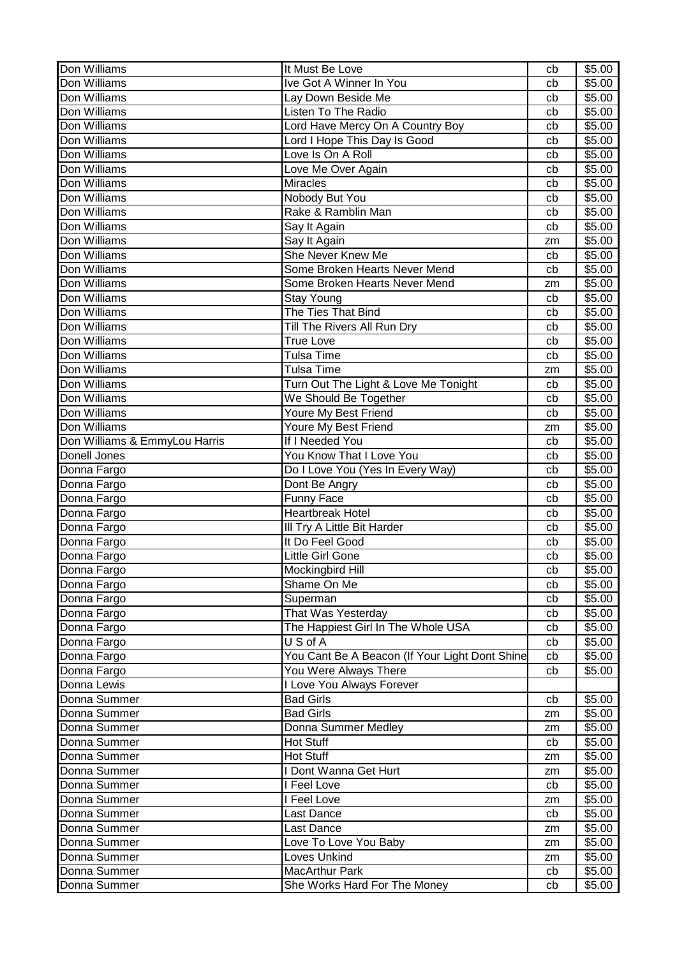| Don Williams                  | It Must Be Love                                | cb | \$5.00 |
|-------------------------------|------------------------------------------------|----|--------|
| Don Williams                  | Ive Got A Winner In You                        | cb | \$5.00 |
| Don Williams                  | Lay Down Beside Me                             | cb | \$5.00 |
| Don Williams                  | Listen To The Radio                            | cb | \$5.00 |
| Don Williams                  | Lord Have Mercy On A Country Boy               | cb | \$5.00 |
| Don Williams                  | Lord I Hope This Day Is Good                   | cb | \$5.00 |
| Don Williams                  | Love Is On A Roll                              | cb | \$5.00 |
| Don Williams                  | Love Me Over Again                             | cb | \$5.00 |
| Don Williams                  | <b>Miracles</b>                                | cb | \$5.00 |
| Don Williams                  | Nobody But You                                 | cb | \$5.00 |
| Don Williams                  | Rake & Ramblin Man                             | cb | \$5.00 |
| Don Williams                  | Say It Again                                   | cb | \$5.00 |
| Don Williams                  | Say It Again                                   | zm | \$5.00 |
| Don Williams                  | She Never Knew Me                              |    | \$5.00 |
| Don Williams                  |                                                | cb |        |
|                               | Some Broken Hearts Never Mend                  | cb | \$5.00 |
| Don Williams                  | Some Broken Hearts Never Mend                  | zm | \$5.00 |
| Don Williams                  | <b>Stay Young</b>                              | cb | \$5.00 |
| Don Williams                  | The Ties That Bind                             | cb | \$5.00 |
| Don Williams                  | Till The Rivers All Run Dry                    | cb | \$5.00 |
| Don Williams                  | <b>True Love</b>                               | cb | \$5.00 |
| Don Williams                  | <b>Tulsa Time</b>                              | cb | \$5.00 |
| Don Williams                  | Tulsa Time                                     | zm | \$5.00 |
| Don Williams                  | Turn Out The Light & Love Me Tonight           | cb | \$5.00 |
| Don Williams                  | We Should Be Together                          | cb | \$5.00 |
| Don Williams                  | Youre My Best Friend                           | cb | \$5.00 |
| Don Williams                  | Youre My Best Friend                           | zm | \$5.00 |
| Don Williams & EmmyLou Harris | If I Needed You                                | cb | \$5.00 |
| Donell Jones                  | You Know That I Love You                       | cb | \$5.00 |
| Donna Fargo                   | Do I Love You (Yes In Every Way)               | cb | \$5.00 |
| Donna Fargo                   | Dont Be Angry                                  | cb | \$5.00 |
| Donna Fargo                   | <b>Funny Face</b>                              | cb | \$5.00 |
| Donna Fargo                   | <b>Heartbreak Hotel</b>                        | cb | \$5.00 |
| Donna Fargo                   | III Try A Little Bit Harder                    | cb | \$5.00 |
| Donna Fargo                   | It Do Feel Good                                | cb | \$5.00 |
| Donna Fargo                   | Little Girl Gone                               | cb | \$5.00 |
| Donna Fargo                   | Mockingbird Hill                               | cb | \$5.00 |
| Donna Fargo                   | Shame On Me                                    | cb | \$5.00 |
| Donna Fargo                   | Superman                                       | cb | \$5.00 |
| Donna Fargo                   | That Was Yesterday                             | cb | \$5.00 |
| Donna Fargo                   | The Happiest Girl In The Whole USA             | cb | \$5.00 |
| Donna Fargo                   | US of A                                        | cb | \$5.00 |
| Donna Fargo                   | You Cant Be A Beacon (If Your Light Dont Shine | cb | \$5.00 |
|                               |                                                |    |        |
| Donna Fargo                   | You Were Always There                          | cb | \$5.00 |
| Donna Lewis                   | I Love You Always Forever                      |    |        |
| Donna Summer                  | <b>Bad Girls</b>                               | cb | \$5.00 |
| Donna Summer                  | <b>Bad Girls</b>                               | zm | \$5.00 |
| Donna Summer                  | Donna Summer Medley                            | zm | \$5.00 |
| Donna Summer                  | Hot Stuff                                      | cb | \$5.00 |
| Donna Summer                  | Hot Stuff                                      | zm | \$5.00 |
| Donna Summer                  | I Dont Wanna Get Hurt                          | zm | \$5.00 |
| Donna Summer                  | I Feel Love                                    | cb | \$5.00 |
| Donna Summer                  | I Feel Love                                    | zm | \$5.00 |
| Donna Summer                  | Last Dance                                     | cb | \$5.00 |
| Donna Summer                  | Last Dance                                     | zm | \$5.00 |
| Donna Summer                  | Love To Love You Baby                          | zm | \$5.00 |
| Donna Summer                  | Loves Unkind                                   | zm | \$5.00 |
| Donna Summer                  | <b>MacArthur Park</b>                          | cb | \$5.00 |
| Donna Summer                  | She Works Hard For The Money                   | cb | \$5.00 |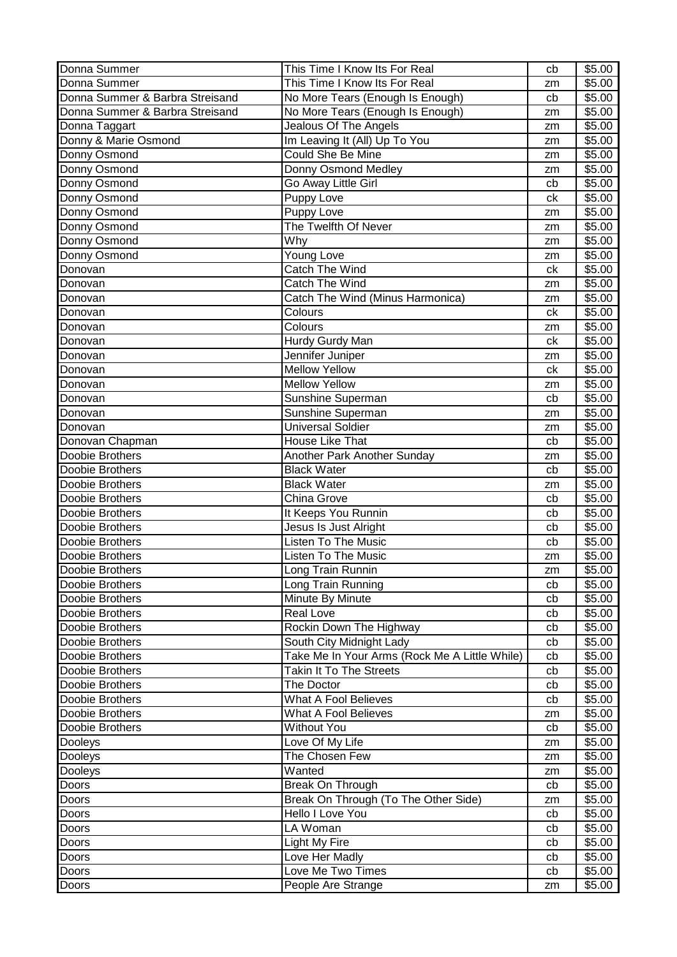| Donna Summer                       | This Time I Know Its For Real                                             | cb       | \$5.00           |
|------------------------------------|---------------------------------------------------------------------------|----------|------------------|
| Donna Summer                       | This Time I Know Its For Real                                             | zm       | \$5.00           |
| Donna Summer & Barbra Streisand    | No More Tears (Enough Is Enough)                                          | cb       | \$5.00           |
| Donna Summer & Barbra Streisand    | No More Tears (Enough Is Enough)                                          | zm       | \$5.00           |
| Donna Taggart                      | Jealous Of The Angels                                                     | zm       | \$5.00           |
| Donny & Marie Osmond               | Im Leaving It (All) Up To You                                             | zm       | \$5.00           |
| Donny Osmond                       | Could She Be Mine                                                         | zm       | \$5.00           |
| Donny Osmond                       | Donny Osmond Medley                                                       | zm       | \$5.00           |
| Donny Osmond                       | Go Away Little Girl                                                       | cb       | \$5.00           |
| Donny Osmond                       | Puppy Love                                                                | ck       | \$5.00           |
| Donny Osmond                       | Puppy Love                                                                | zm       | \$5.00           |
| Donny Osmond                       | The Twelfth Of Never                                                      | zm       | \$5.00           |
| Donny Osmond                       | Why                                                                       | zm       | \$5.00           |
| Donny Osmond                       | Young Love                                                                | zm       | \$5.00           |
| Donovan                            | Catch The Wind                                                            | ck       | \$5.00           |
| Donovan                            | Catch The Wind                                                            | zm       | \$5.00           |
| Donovan                            | Catch The Wind (Minus Harmonica)                                          | zm       | \$5.00           |
| Donovan                            | Colours                                                                   | ck       | \$5.00           |
| Donovan                            | Colours                                                                   | zm       | \$5.00           |
| Donovan                            | Hurdy Gurdy Man                                                           | ck       | \$5.00           |
| Donovan                            | Jennifer Juniper                                                          | zm       | \$5.00           |
| Donovan                            | <b>Mellow Yellow</b>                                                      | ck       | \$5.00           |
| Donovan                            | <b>Mellow Yellow</b>                                                      | zm       | \$5.00           |
| Donovan                            | Sunshine Superman                                                         | cb       | \$5.00           |
| Donovan                            | Sunshine Superman                                                         | zm       | \$5.00           |
| Donovan                            | <b>Universal Soldier</b>                                                  | zm       | \$5.00           |
| Donovan Chapman                    | House Like That                                                           | cb       | \$5.00           |
| Doobie Brothers                    | Another Park Another Sunday                                               | zm       | \$5.00           |
| Doobie Brothers                    | <b>Black Water</b>                                                        | cb       | \$5.00           |
| Doobie Brothers                    | <b>Black Water</b>                                                        |          | \$5.00           |
| Doobie Brothers                    | China Grove                                                               | zm<br>cb | \$5.00           |
| Doobie Brothers                    | It Keeps You Runnin                                                       | cb       | \$5.00           |
| Doobie Brothers                    | Jesus Is Just Alright                                                     | cb       | \$5.00           |
| Doobie Brothers                    | <b>Listen To The Music</b>                                                | cb       | \$5.00           |
| Doobie Brothers                    | <b>Listen To The Music</b>                                                |          | \$5.00           |
|                                    |                                                                           | zm       | \$5.00           |
| Doobie Brothers<br>Doobie Brothers | Long Train Runnin<br>Long Train Running                                   | zm       | \$5.00           |
| Doobie Brothers                    |                                                                           | cb       | \$5.00           |
| Doobie Brothers                    | Minute By Minute<br>Real Love                                             | cb       | \$5.00           |
| Doobie Brothers                    |                                                                           | cb       | \$5.00           |
| Doobie Brothers                    | Rockin Down The Highway                                                   | cb       |                  |
| Doobie Brothers                    | South City Midnight Lady<br>Take Me In Your Arms (Rock Me A Little While) | cb       | \$5.00<br>\$5.00 |
| Doobie Brothers                    | Takin It To The Streets                                                   | cb       | \$5.00           |
|                                    |                                                                           | cb       |                  |
| Doobie Brothers                    | The Doctor                                                                | cb       | \$5.00<br>\$5.00 |
| Doobie Brothers                    | <b>What A Fool Believes</b>                                               | cb       |                  |
| Doobie Brothers                    | What A Fool Believes                                                      | zm       | \$5.00           |
| Doobie Brothers                    | <b>Without You</b>                                                        | cb       | \$5.00           |
| Dooleys                            | Love Of My Life                                                           | zm       | \$5.00           |
| Dooleys                            | The Chosen Few                                                            | zm       | \$5.00           |
| Dooleys                            | Wanted                                                                    | zm       | \$5.00           |
| Doors                              | Break On Through                                                          | cb       | \$5.00           |
| Doors                              | Break On Through (To The Other Side)                                      | zm       | \$5.00           |
| Doors                              | Hello I Love You                                                          | cb       | \$5.00           |
| Doors                              | LA Woman                                                                  | cb       | \$5.00           |
| Doors                              | Light My Fire                                                             | cb       | \$5.00           |
| Doors                              | Love Her Madly                                                            | cb       | \$5.00           |
| Doors                              | Love Me Two Times                                                         | cb       | \$5.00           |
| Doors                              | People Are Strange                                                        | zm       | \$5.00           |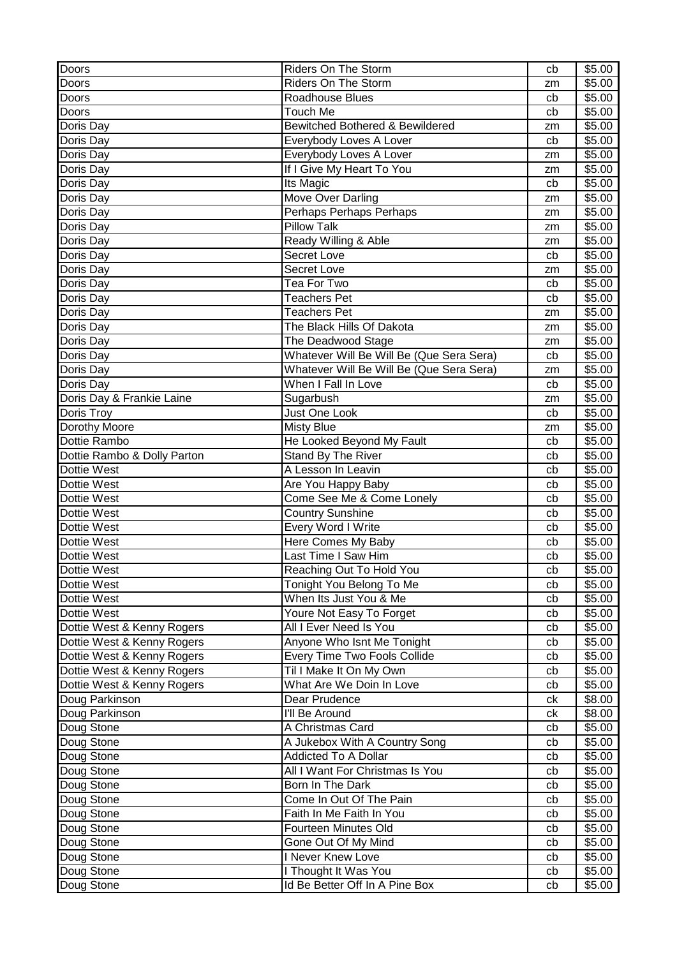| Doors                       | Riders On The Storm                        | cb | \$5.00 |
|-----------------------------|--------------------------------------------|----|--------|
| Doors                       | Riders On The Storm                        | zm | \$5.00 |
| Doors                       | Roadhouse Blues                            | cb | \$5.00 |
| Doors                       | <b>Touch Me</b>                            | cb | \$5.00 |
| Doris Day                   | <b>Bewitched Bothered &amp; Bewildered</b> | zm | \$5.00 |
| Doris Day                   | Everybody Loves A Lover                    | cb | \$5.00 |
| Doris Day                   | Everybody Loves A Lover                    | zm | \$5.00 |
| Doris Day                   | If I Give My Heart To You                  | zm | \$5.00 |
| Doris Day                   | <b>Its Magic</b>                           | cb | \$5.00 |
| Doris Day                   | Move Over Darling                          | zm | \$5.00 |
| Doris Day                   | Perhaps Perhaps Perhaps                    | zm | \$5.00 |
| Doris Day                   | <b>Pillow Talk</b>                         | zm | \$5.00 |
| Doris Day                   | Ready Willing & Able                       | zm | \$5.00 |
| Doris Day                   | Secret Love                                | cb | \$5.00 |
| Doris Day                   | Secret Love                                | zm | \$5.00 |
| Doris Day                   | Tea For Two                                | cb | \$5.00 |
| Doris Day                   | <b>Teachers Pet</b>                        | cb | \$5.00 |
| Doris Day                   | <b>Teachers Pet</b>                        | zm | \$5.00 |
| Doris Day                   | The Black Hills Of Dakota                  | zm | \$5.00 |
| Doris Day                   | The Deadwood Stage                         | zm | \$5.00 |
| Doris Day                   | Whatever Will Be Will Be (Que Sera Sera)   | cb | \$5.00 |
| Doris Day                   | Whatever Will Be Will Be (Que Sera Sera)   | zm | \$5.00 |
| Doris Day                   | When I Fall In Love                        | cb | \$5.00 |
| Doris Day & Frankie Laine   | Sugarbush                                  | zm | \$5.00 |
| Doris Troy                  | Just One Look                              | cb | \$5.00 |
| Dorothy Moore               | <b>Misty Blue</b>                          | zm | \$5.00 |
| Dottie Rambo                | He Looked Beyond My Fault                  | cb | \$5.00 |
| Dottie Rambo & Dolly Parton | Stand By The River                         | cb | \$5.00 |
| Dottie West                 | A Lesson In Leavin                         | cb | \$5.00 |
| Dottie West                 | Are You Happy Baby                         | cb | \$5.00 |
| Dottie West                 | Come See Me & Come Lonely                  | cb | \$5.00 |
| Dottie West                 | <b>Country Sunshine</b>                    | cb | \$5.00 |
| Dottie West                 | Every Word I Write                         | cb | \$5.00 |
| <b>Dottie West</b>          | Here Comes My Baby                         | cb | \$5.00 |
| Dottie West                 | Last Time I Saw Him                        | cb | \$5.00 |
| Dottie West                 | Reaching Out To Hold You                   | cb | \$5.00 |
| Dottie West                 | Tonight You Belong To Me                   | cb | \$5.00 |
| Dottie West                 | When Its Just You & Me                     | cb | \$5.00 |
| Dottie West                 | Youre Not Easy To Forget                   | cb | \$5.00 |
| Dottie West & Kenny Rogers  | All I Ever Need Is You                     | cb | \$5.00 |
| Dottie West & Kenny Rogers  | Anyone Who Isnt Me Tonight                 | cb | \$5.00 |
| Dottie West & Kenny Rogers  | Every Time Two Fools Collide               | cb | \$5.00 |
| Dottie West & Kenny Rogers  | Til I Make It On My Own                    | cb | \$5.00 |
| Dottie West & Kenny Rogers  | What Are We Doin In Love                   | cb | \$5.00 |
| Doug Parkinson              | Dear Prudence                              | сk | \$8.00 |
| Doug Parkinson              | I'll Be Around                             | сk | \$8.00 |
| Doug Stone                  | A Christmas Card                           | cb | \$5.00 |
| Doug Stone                  | A Jukebox With A Country Song              | cb | \$5.00 |
| Doug Stone                  | Addicted To A Dollar                       | cb | \$5.00 |
| Doug Stone                  | All I Want For Christmas Is You            | cb | \$5.00 |
| Doug Stone                  | Born In The Dark                           | cb | \$5.00 |
| Doug Stone                  | Come In Out Of The Pain                    | cb | \$5.00 |
| Doug Stone                  | Faith In Me Faith In You                   | cb | \$5.00 |
| Doug Stone                  | Fourteen Minutes Old                       | cb | \$5.00 |
| Doug Stone                  | Gone Out Of My Mind                        | cb | \$5.00 |
| Doug Stone                  | I Never Knew Love                          | cb | \$5.00 |
| Doug Stone                  | I Thought It Was You                       | cb | \$5.00 |
| Doug Stone                  | Id Be Better Off In A Pine Box             | cb | \$5.00 |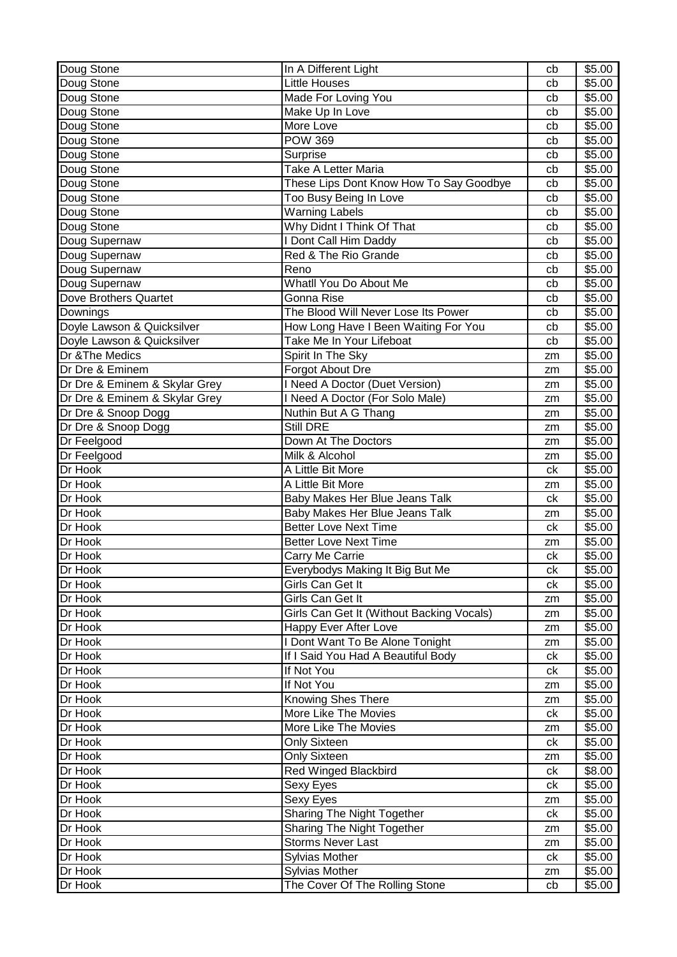| <b>Little Houses</b><br>Doug Stone<br>\$5.00<br>cb<br>Doug Stone<br>Made For Loving You<br>\$5.00<br>cb<br>Make Up In Love<br>Doug Stone<br>\$5.00<br>cb<br>Doug Stone<br>More Love<br>\$5.00<br>cb<br>Doug Stone<br><b>POW 369</b><br>\$5.00<br>cb<br>Doug Stone<br>\$5.00<br>Surprise<br>cb<br>Doug Stone<br>Take A Letter Maria<br>\$5.00<br>cb<br>These Lips Dont Know How To Say Goodbye<br>Doug Stone<br>\$5.00<br>cb<br>Doug Stone<br>Too Busy Being In Love<br>\$5.00<br>cb<br>Doug Stone<br><b>Warning Labels</b><br>\$5.00<br>cb<br>Why Didnt I Think Of That<br>Doug Stone<br>\$5.00<br>cb<br>I Dont Call Him Daddy<br>\$5.00<br>Doug Supernaw<br>cb<br>Red & The Rio Grande<br>Doug Supernaw<br>\$5.00<br>cb<br>Doug Supernaw<br>Reno<br>\$5.00<br>cb<br>Whatll You Do About Me<br>Doug Supernaw<br>\$5.00<br>cb<br>Dove Brothers Quartet<br>Gonna Rise<br>\$5.00<br>cb<br>The Blood Will Never Lose Its Power<br>\$5.00<br>Downings<br>cb<br>Doyle Lawson & Quicksilver<br>How Long Have I Been Waiting For You<br>\$5.00<br>cb<br>Doyle Lawson & Quicksilver<br>Take Me In Your Lifeboat<br>\$5.00<br>cb<br>Dr & The Medics<br>Spirit In The Sky<br>\$5.00<br>zm<br>Dr Dre & Eminem<br>Forgot About Dre<br>\$5.00<br>zm<br>I Need A Doctor (Duet Version)<br>Dr Dre & Eminem & Skylar Grey<br>\$5.00<br>zm<br>Dr Dre & Eminem & Skylar Grey<br>I Need A Doctor (For Solo Male)<br>\$5.00<br>zm<br>Dr Dre & Snoop Dogg<br>Nuthin But A G Thang<br>\$5.00<br>zm<br>Still DRE<br>Dr Dre & Snoop Dogg<br>\$5.00<br>zm<br>Dr Feelgood<br>\$5.00<br>Down At The Doctors<br>zm<br>Dr Feelgood<br>Milk & Alcohol<br>\$5.00<br>zm<br>Dr Hook<br>A Little Bit More<br>\$5.00<br>ck<br>Dr Hook<br>A Little Bit More<br>\$5.00<br>zm<br>Dr Hook<br>Baby Makes Her Blue Jeans Talk<br>\$5.00<br>ck<br>Dr Hook<br>Baby Makes Her Blue Jeans Talk<br>\$5.00<br>zm<br><b>Better Love Next Time</b><br>Dr Hook<br>\$5.00<br>ck<br>Dr Hook<br><b>Better Love Next Time</b><br>\$5.00<br>zm<br>Dr Hook<br>Carry Me Carrie<br>\$5.00<br>ck<br>Dr Hook<br>\$5.00<br>Everybodys Making It Big But Me<br>ck<br>Girls Can Get It<br>\$5.00<br>Dr Hook<br>ck<br>Girls Can Get It<br>\$5.00<br>Dr Hook<br>zm<br>Girls Can Get It (Without Backing Vocals)<br>Dr Hook<br>\$5.00<br>zm<br>Dr Hook<br>Happy Ever After Love<br>\$5.00<br>zm<br>I Dont Want To Be Alone Tonight<br>Dr Hook<br>\$5.00<br>zm<br>If I Said You Had A Beautiful Body<br>\$5.00<br>Dr Hook<br>ck<br>If Not You<br>Dr Hook<br>\$5.00<br>ck<br>Dr Hook<br>If Not You<br>\$5.00<br>zm<br>Knowing Shes There<br>\$5.00<br>Dr Hook<br>zm<br>More Like The Movies<br>\$5.00<br>Dr Hook<br>ck<br>More Like The Movies<br>\$5.00<br>Dr Hook<br>zm<br>\$5.00<br>Dr Hook<br><b>Only Sixteen</b><br>ck<br><b>Only Sixteen</b><br>Dr Hook<br>\$5.00<br>zm<br><b>Red Winged Blackbird</b><br>\$8.00<br>Dr Hook<br>ck<br>Dr Hook<br>\$5.00<br>Sexy Eyes<br>ck<br>\$5.00<br>Dr Hook<br>Sexy Eyes<br>zm<br>Sharing The Night Together<br>\$5.00<br>Dr Hook<br>ck<br>Dr Hook<br><b>Sharing The Night Together</b><br>\$5.00<br>zm<br><b>Storms Never Last</b><br>\$5.00<br>Dr Hook<br>zm<br><b>Sylvias Mother</b><br>\$5.00<br>Dr Hook<br>ck<br><b>Sylvias Mother</b><br>\$5.00<br>Dr Hook<br>zm<br>Dr Hook<br>The Cover Of The Rolling Stone<br>\$5.00<br>cb | Doug Stone | In A Different Light | cb | \$5.00 |
|---------------------------------------------------------------------------------------------------------------------------------------------------------------------------------------------------------------------------------------------------------------------------------------------------------------------------------------------------------------------------------------------------------------------------------------------------------------------------------------------------------------------------------------------------------------------------------------------------------------------------------------------------------------------------------------------------------------------------------------------------------------------------------------------------------------------------------------------------------------------------------------------------------------------------------------------------------------------------------------------------------------------------------------------------------------------------------------------------------------------------------------------------------------------------------------------------------------------------------------------------------------------------------------------------------------------------------------------------------------------------------------------------------------------------------------------------------------------------------------------------------------------------------------------------------------------------------------------------------------------------------------------------------------------------------------------------------------------------------------------------------------------------------------------------------------------------------------------------------------------------------------------------------------------------------------------------------------------------------------------------------------------------------------------------------------------------------------------------------------------------------------------------------------------------------------------------------------------------------------------------------------------------------------------------------------------------------------------------------------------------------------------------------------------------------------------------------------------------------------------------------------------------------------------------------------------------------------------------------------------------------------------------------------------------------------------------------------------------------------------------------------------------------------------------------------------------------------------------------------------------------------------------------------------------------------------------------------------------------------------------------------------------------------------------------------------------------------------------------------------------------------------------------------------------------------------------------------------------------------------------------------------------------------------------------|------------|----------------------|----|--------|
|                                                                                                                                                                                                                                                                                                                                                                                                                                                                                                                                                                                                                                                                                                                                                                                                                                                                                                                                                                                                                                                                                                                                                                                                                                                                                                                                                                                                                                                                                                                                                                                                                                                                                                                                                                                                                                                                                                                                                                                                                                                                                                                                                                                                                                                                                                                                                                                                                                                                                                                                                                                                                                                                                                                                                                                                                                                                                                                                                                                                                                                                                                                                                                                                                                                                                                         |            |                      |    |        |
|                                                                                                                                                                                                                                                                                                                                                                                                                                                                                                                                                                                                                                                                                                                                                                                                                                                                                                                                                                                                                                                                                                                                                                                                                                                                                                                                                                                                                                                                                                                                                                                                                                                                                                                                                                                                                                                                                                                                                                                                                                                                                                                                                                                                                                                                                                                                                                                                                                                                                                                                                                                                                                                                                                                                                                                                                                                                                                                                                                                                                                                                                                                                                                                                                                                                                                         |            |                      |    |        |
|                                                                                                                                                                                                                                                                                                                                                                                                                                                                                                                                                                                                                                                                                                                                                                                                                                                                                                                                                                                                                                                                                                                                                                                                                                                                                                                                                                                                                                                                                                                                                                                                                                                                                                                                                                                                                                                                                                                                                                                                                                                                                                                                                                                                                                                                                                                                                                                                                                                                                                                                                                                                                                                                                                                                                                                                                                                                                                                                                                                                                                                                                                                                                                                                                                                                                                         |            |                      |    |        |
|                                                                                                                                                                                                                                                                                                                                                                                                                                                                                                                                                                                                                                                                                                                                                                                                                                                                                                                                                                                                                                                                                                                                                                                                                                                                                                                                                                                                                                                                                                                                                                                                                                                                                                                                                                                                                                                                                                                                                                                                                                                                                                                                                                                                                                                                                                                                                                                                                                                                                                                                                                                                                                                                                                                                                                                                                                                                                                                                                                                                                                                                                                                                                                                                                                                                                                         |            |                      |    |        |
|                                                                                                                                                                                                                                                                                                                                                                                                                                                                                                                                                                                                                                                                                                                                                                                                                                                                                                                                                                                                                                                                                                                                                                                                                                                                                                                                                                                                                                                                                                                                                                                                                                                                                                                                                                                                                                                                                                                                                                                                                                                                                                                                                                                                                                                                                                                                                                                                                                                                                                                                                                                                                                                                                                                                                                                                                                                                                                                                                                                                                                                                                                                                                                                                                                                                                                         |            |                      |    |        |
|                                                                                                                                                                                                                                                                                                                                                                                                                                                                                                                                                                                                                                                                                                                                                                                                                                                                                                                                                                                                                                                                                                                                                                                                                                                                                                                                                                                                                                                                                                                                                                                                                                                                                                                                                                                                                                                                                                                                                                                                                                                                                                                                                                                                                                                                                                                                                                                                                                                                                                                                                                                                                                                                                                                                                                                                                                                                                                                                                                                                                                                                                                                                                                                                                                                                                                         |            |                      |    |        |
|                                                                                                                                                                                                                                                                                                                                                                                                                                                                                                                                                                                                                                                                                                                                                                                                                                                                                                                                                                                                                                                                                                                                                                                                                                                                                                                                                                                                                                                                                                                                                                                                                                                                                                                                                                                                                                                                                                                                                                                                                                                                                                                                                                                                                                                                                                                                                                                                                                                                                                                                                                                                                                                                                                                                                                                                                                                                                                                                                                                                                                                                                                                                                                                                                                                                                                         |            |                      |    |        |
|                                                                                                                                                                                                                                                                                                                                                                                                                                                                                                                                                                                                                                                                                                                                                                                                                                                                                                                                                                                                                                                                                                                                                                                                                                                                                                                                                                                                                                                                                                                                                                                                                                                                                                                                                                                                                                                                                                                                                                                                                                                                                                                                                                                                                                                                                                                                                                                                                                                                                                                                                                                                                                                                                                                                                                                                                                                                                                                                                                                                                                                                                                                                                                                                                                                                                                         |            |                      |    |        |
|                                                                                                                                                                                                                                                                                                                                                                                                                                                                                                                                                                                                                                                                                                                                                                                                                                                                                                                                                                                                                                                                                                                                                                                                                                                                                                                                                                                                                                                                                                                                                                                                                                                                                                                                                                                                                                                                                                                                                                                                                                                                                                                                                                                                                                                                                                                                                                                                                                                                                                                                                                                                                                                                                                                                                                                                                                                                                                                                                                                                                                                                                                                                                                                                                                                                                                         |            |                      |    |        |
|                                                                                                                                                                                                                                                                                                                                                                                                                                                                                                                                                                                                                                                                                                                                                                                                                                                                                                                                                                                                                                                                                                                                                                                                                                                                                                                                                                                                                                                                                                                                                                                                                                                                                                                                                                                                                                                                                                                                                                                                                                                                                                                                                                                                                                                                                                                                                                                                                                                                                                                                                                                                                                                                                                                                                                                                                                                                                                                                                                                                                                                                                                                                                                                                                                                                                                         |            |                      |    |        |
|                                                                                                                                                                                                                                                                                                                                                                                                                                                                                                                                                                                                                                                                                                                                                                                                                                                                                                                                                                                                                                                                                                                                                                                                                                                                                                                                                                                                                                                                                                                                                                                                                                                                                                                                                                                                                                                                                                                                                                                                                                                                                                                                                                                                                                                                                                                                                                                                                                                                                                                                                                                                                                                                                                                                                                                                                                                                                                                                                                                                                                                                                                                                                                                                                                                                                                         |            |                      |    |        |
|                                                                                                                                                                                                                                                                                                                                                                                                                                                                                                                                                                                                                                                                                                                                                                                                                                                                                                                                                                                                                                                                                                                                                                                                                                                                                                                                                                                                                                                                                                                                                                                                                                                                                                                                                                                                                                                                                                                                                                                                                                                                                                                                                                                                                                                                                                                                                                                                                                                                                                                                                                                                                                                                                                                                                                                                                                                                                                                                                                                                                                                                                                                                                                                                                                                                                                         |            |                      |    |        |
|                                                                                                                                                                                                                                                                                                                                                                                                                                                                                                                                                                                                                                                                                                                                                                                                                                                                                                                                                                                                                                                                                                                                                                                                                                                                                                                                                                                                                                                                                                                                                                                                                                                                                                                                                                                                                                                                                                                                                                                                                                                                                                                                                                                                                                                                                                                                                                                                                                                                                                                                                                                                                                                                                                                                                                                                                                                                                                                                                                                                                                                                                                                                                                                                                                                                                                         |            |                      |    |        |
|                                                                                                                                                                                                                                                                                                                                                                                                                                                                                                                                                                                                                                                                                                                                                                                                                                                                                                                                                                                                                                                                                                                                                                                                                                                                                                                                                                                                                                                                                                                                                                                                                                                                                                                                                                                                                                                                                                                                                                                                                                                                                                                                                                                                                                                                                                                                                                                                                                                                                                                                                                                                                                                                                                                                                                                                                                                                                                                                                                                                                                                                                                                                                                                                                                                                                                         |            |                      |    |        |
|                                                                                                                                                                                                                                                                                                                                                                                                                                                                                                                                                                                                                                                                                                                                                                                                                                                                                                                                                                                                                                                                                                                                                                                                                                                                                                                                                                                                                                                                                                                                                                                                                                                                                                                                                                                                                                                                                                                                                                                                                                                                                                                                                                                                                                                                                                                                                                                                                                                                                                                                                                                                                                                                                                                                                                                                                                                                                                                                                                                                                                                                                                                                                                                                                                                                                                         |            |                      |    |        |
|                                                                                                                                                                                                                                                                                                                                                                                                                                                                                                                                                                                                                                                                                                                                                                                                                                                                                                                                                                                                                                                                                                                                                                                                                                                                                                                                                                                                                                                                                                                                                                                                                                                                                                                                                                                                                                                                                                                                                                                                                                                                                                                                                                                                                                                                                                                                                                                                                                                                                                                                                                                                                                                                                                                                                                                                                                                                                                                                                                                                                                                                                                                                                                                                                                                                                                         |            |                      |    |        |
|                                                                                                                                                                                                                                                                                                                                                                                                                                                                                                                                                                                                                                                                                                                                                                                                                                                                                                                                                                                                                                                                                                                                                                                                                                                                                                                                                                                                                                                                                                                                                                                                                                                                                                                                                                                                                                                                                                                                                                                                                                                                                                                                                                                                                                                                                                                                                                                                                                                                                                                                                                                                                                                                                                                                                                                                                                                                                                                                                                                                                                                                                                                                                                                                                                                                                                         |            |                      |    |        |
|                                                                                                                                                                                                                                                                                                                                                                                                                                                                                                                                                                                                                                                                                                                                                                                                                                                                                                                                                                                                                                                                                                                                                                                                                                                                                                                                                                                                                                                                                                                                                                                                                                                                                                                                                                                                                                                                                                                                                                                                                                                                                                                                                                                                                                                                                                                                                                                                                                                                                                                                                                                                                                                                                                                                                                                                                                                                                                                                                                                                                                                                                                                                                                                                                                                                                                         |            |                      |    |        |
|                                                                                                                                                                                                                                                                                                                                                                                                                                                                                                                                                                                                                                                                                                                                                                                                                                                                                                                                                                                                                                                                                                                                                                                                                                                                                                                                                                                                                                                                                                                                                                                                                                                                                                                                                                                                                                                                                                                                                                                                                                                                                                                                                                                                                                                                                                                                                                                                                                                                                                                                                                                                                                                                                                                                                                                                                                                                                                                                                                                                                                                                                                                                                                                                                                                                                                         |            |                      |    |        |
|                                                                                                                                                                                                                                                                                                                                                                                                                                                                                                                                                                                                                                                                                                                                                                                                                                                                                                                                                                                                                                                                                                                                                                                                                                                                                                                                                                                                                                                                                                                                                                                                                                                                                                                                                                                                                                                                                                                                                                                                                                                                                                                                                                                                                                                                                                                                                                                                                                                                                                                                                                                                                                                                                                                                                                                                                                                                                                                                                                                                                                                                                                                                                                                                                                                                                                         |            |                      |    |        |
|                                                                                                                                                                                                                                                                                                                                                                                                                                                                                                                                                                                                                                                                                                                                                                                                                                                                                                                                                                                                                                                                                                                                                                                                                                                                                                                                                                                                                                                                                                                                                                                                                                                                                                                                                                                                                                                                                                                                                                                                                                                                                                                                                                                                                                                                                                                                                                                                                                                                                                                                                                                                                                                                                                                                                                                                                                                                                                                                                                                                                                                                                                                                                                                                                                                                                                         |            |                      |    |        |
|                                                                                                                                                                                                                                                                                                                                                                                                                                                                                                                                                                                                                                                                                                                                                                                                                                                                                                                                                                                                                                                                                                                                                                                                                                                                                                                                                                                                                                                                                                                                                                                                                                                                                                                                                                                                                                                                                                                                                                                                                                                                                                                                                                                                                                                                                                                                                                                                                                                                                                                                                                                                                                                                                                                                                                                                                                                                                                                                                                                                                                                                                                                                                                                                                                                                                                         |            |                      |    |        |
|                                                                                                                                                                                                                                                                                                                                                                                                                                                                                                                                                                                                                                                                                                                                                                                                                                                                                                                                                                                                                                                                                                                                                                                                                                                                                                                                                                                                                                                                                                                                                                                                                                                                                                                                                                                                                                                                                                                                                                                                                                                                                                                                                                                                                                                                                                                                                                                                                                                                                                                                                                                                                                                                                                                                                                                                                                                                                                                                                                                                                                                                                                                                                                                                                                                                                                         |            |                      |    |        |
|                                                                                                                                                                                                                                                                                                                                                                                                                                                                                                                                                                                                                                                                                                                                                                                                                                                                                                                                                                                                                                                                                                                                                                                                                                                                                                                                                                                                                                                                                                                                                                                                                                                                                                                                                                                                                                                                                                                                                                                                                                                                                                                                                                                                                                                                                                                                                                                                                                                                                                                                                                                                                                                                                                                                                                                                                                                                                                                                                                                                                                                                                                                                                                                                                                                                                                         |            |                      |    |        |
|                                                                                                                                                                                                                                                                                                                                                                                                                                                                                                                                                                                                                                                                                                                                                                                                                                                                                                                                                                                                                                                                                                                                                                                                                                                                                                                                                                                                                                                                                                                                                                                                                                                                                                                                                                                                                                                                                                                                                                                                                                                                                                                                                                                                                                                                                                                                                                                                                                                                                                                                                                                                                                                                                                                                                                                                                                                                                                                                                                                                                                                                                                                                                                                                                                                                                                         |            |                      |    |        |
|                                                                                                                                                                                                                                                                                                                                                                                                                                                                                                                                                                                                                                                                                                                                                                                                                                                                                                                                                                                                                                                                                                                                                                                                                                                                                                                                                                                                                                                                                                                                                                                                                                                                                                                                                                                                                                                                                                                                                                                                                                                                                                                                                                                                                                                                                                                                                                                                                                                                                                                                                                                                                                                                                                                                                                                                                                                                                                                                                                                                                                                                                                                                                                                                                                                                                                         |            |                      |    |        |
|                                                                                                                                                                                                                                                                                                                                                                                                                                                                                                                                                                                                                                                                                                                                                                                                                                                                                                                                                                                                                                                                                                                                                                                                                                                                                                                                                                                                                                                                                                                                                                                                                                                                                                                                                                                                                                                                                                                                                                                                                                                                                                                                                                                                                                                                                                                                                                                                                                                                                                                                                                                                                                                                                                                                                                                                                                                                                                                                                                                                                                                                                                                                                                                                                                                                                                         |            |                      |    |        |
|                                                                                                                                                                                                                                                                                                                                                                                                                                                                                                                                                                                                                                                                                                                                                                                                                                                                                                                                                                                                                                                                                                                                                                                                                                                                                                                                                                                                                                                                                                                                                                                                                                                                                                                                                                                                                                                                                                                                                                                                                                                                                                                                                                                                                                                                                                                                                                                                                                                                                                                                                                                                                                                                                                                                                                                                                                                                                                                                                                                                                                                                                                                                                                                                                                                                                                         |            |                      |    |        |
|                                                                                                                                                                                                                                                                                                                                                                                                                                                                                                                                                                                                                                                                                                                                                                                                                                                                                                                                                                                                                                                                                                                                                                                                                                                                                                                                                                                                                                                                                                                                                                                                                                                                                                                                                                                                                                                                                                                                                                                                                                                                                                                                                                                                                                                                                                                                                                                                                                                                                                                                                                                                                                                                                                                                                                                                                                                                                                                                                                                                                                                                                                                                                                                                                                                                                                         |            |                      |    |        |
|                                                                                                                                                                                                                                                                                                                                                                                                                                                                                                                                                                                                                                                                                                                                                                                                                                                                                                                                                                                                                                                                                                                                                                                                                                                                                                                                                                                                                                                                                                                                                                                                                                                                                                                                                                                                                                                                                                                                                                                                                                                                                                                                                                                                                                                                                                                                                                                                                                                                                                                                                                                                                                                                                                                                                                                                                                                                                                                                                                                                                                                                                                                                                                                                                                                                                                         |            |                      |    |        |
|                                                                                                                                                                                                                                                                                                                                                                                                                                                                                                                                                                                                                                                                                                                                                                                                                                                                                                                                                                                                                                                                                                                                                                                                                                                                                                                                                                                                                                                                                                                                                                                                                                                                                                                                                                                                                                                                                                                                                                                                                                                                                                                                                                                                                                                                                                                                                                                                                                                                                                                                                                                                                                                                                                                                                                                                                                                                                                                                                                                                                                                                                                                                                                                                                                                                                                         |            |                      |    |        |
|                                                                                                                                                                                                                                                                                                                                                                                                                                                                                                                                                                                                                                                                                                                                                                                                                                                                                                                                                                                                                                                                                                                                                                                                                                                                                                                                                                                                                                                                                                                                                                                                                                                                                                                                                                                                                                                                                                                                                                                                                                                                                                                                                                                                                                                                                                                                                                                                                                                                                                                                                                                                                                                                                                                                                                                                                                                                                                                                                                                                                                                                                                                                                                                                                                                                                                         |            |                      |    |        |
|                                                                                                                                                                                                                                                                                                                                                                                                                                                                                                                                                                                                                                                                                                                                                                                                                                                                                                                                                                                                                                                                                                                                                                                                                                                                                                                                                                                                                                                                                                                                                                                                                                                                                                                                                                                                                                                                                                                                                                                                                                                                                                                                                                                                                                                                                                                                                                                                                                                                                                                                                                                                                                                                                                                                                                                                                                                                                                                                                                                                                                                                                                                                                                                                                                                                                                         |            |                      |    |        |
|                                                                                                                                                                                                                                                                                                                                                                                                                                                                                                                                                                                                                                                                                                                                                                                                                                                                                                                                                                                                                                                                                                                                                                                                                                                                                                                                                                                                                                                                                                                                                                                                                                                                                                                                                                                                                                                                                                                                                                                                                                                                                                                                                                                                                                                                                                                                                                                                                                                                                                                                                                                                                                                                                                                                                                                                                                                                                                                                                                                                                                                                                                                                                                                                                                                                                                         |            |                      |    |        |
|                                                                                                                                                                                                                                                                                                                                                                                                                                                                                                                                                                                                                                                                                                                                                                                                                                                                                                                                                                                                                                                                                                                                                                                                                                                                                                                                                                                                                                                                                                                                                                                                                                                                                                                                                                                                                                                                                                                                                                                                                                                                                                                                                                                                                                                                                                                                                                                                                                                                                                                                                                                                                                                                                                                                                                                                                                                                                                                                                                                                                                                                                                                                                                                                                                                                                                         |            |                      |    |        |
|                                                                                                                                                                                                                                                                                                                                                                                                                                                                                                                                                                                                                                                                                                                                                                                                                                                                                                                                                                                                                                                                                                                                                                                                                                                                                                                                                                                                                                                                                                                                                                                                                                                                                                                                                                                                                                                                                                                                                                                                                                                                                                                                                                                                                                                                                                                                                                                                                                                                                                                                                                                                                                                                                                                                                                                                                                                                                                                                                                                                                                                                                                                                                                                                                                                                                                         |            |                      |    |        |
|                                                                                                                                                                                                                                                                                                                                                                                                                                                                                                                                                                                                                                                                                                                                                                                                                                                                                                                                                                                                                                                                                                                                                                                                                                                                                                                                                                                                                                                                                                                                                                                                                                                                                                                                                                                                                                                                                                                                                                                                                                                                                                                                                                                                                                                                                                                                                                                                                                                                                                                                                                                                                                                                                                                                                                                                                                                                                                                                                                                                                                                                                                                                                                                                                                                                                                         |            |                      |    |        |
|                                                                                                                                                                                                                                                                                                                                                                                                                                                                                                                                                                                                                                                                                                                                                                                                                                                                                                                                                                                                                                                                                                                                                                                                                                                                                                                                                                                                                                                                                                                                                                                                                                                                                                                                                                                                                                                                                                                                                                                                                                                                                                                                                                                                                                                                                                                                                                                                                                                                                                                                                                                                                                                                                                                                                                                                                                                                                                                                                                                                                                                                                                                                                                                                                                                                                                         |            |                      |    |        |
|                                                                                                                                                                                                                                                                                                                                                                                                                                                                                                                                                                                                                                                                                                                                                                                                                                                                                                                                                                                                                                                                                                                                                                                                                                                                                                                                                                                                                                                                                                                                                                                                                                                                                                                                                                                                                                                                                                                                                                                                                                                                                                                                                                                                                                                                                                                                                                                                                                                                                                                                                                                                                                                                                                                                                                                                                                                                                                                                                                                                                                                                                                                                                                                                                                                                                                         |            |                      |    |        |
|                                                                                                                                                                                                                                                                                                                                                                                                                                                                                                                                                                                                                                                                                                                                                                                                                                                                                                                                                                                                                                                                                                                                                                                                                                                                                                                                                                                                                                                                                                                                                                                                                                                                                                                                                                                                                                                                                                                                                                                                                                                                                                                                                                                                                                                                                                                                                                                                                                                                                                                                                                                                                                                                                                                                                                                                                                                                                                                                                                                                                                                                                                                                                                                                                                                                                                         |            |                      |    |        |
|                                                                                                                                                                                                                                                                                                                                                                                                                                                                                                                                                                                                                                                                                                                                                                                                                                                                                                                                                                                                                                                                                                                                                                                                                                                                                                                                                                                                                                                                                                                                                                                                                                                                                                                                                                                                                                                                                                                                                                                                                                                                                                                                                                                                                                                                                                                                                                                                                                                                                                                                                                                                                                                                                                                                                                                                                                                                                                                                                                                                                                                                                                                                                                                                                                                                                                         |            |                      |    |        |
|                                                                                                                                                                                                                                                                                                                                                                                                                                                                                                                                                                                                                                                                                                                                                                                                                                                                                                                                                                                                                                                                                                                                                                                                                                                                                                                                                                                                                                                                                                                                                                                                                                                                                                                                                                                                                                                                                                                                                                                                                                                                                                                                                                                                                                                                                                                                                                                                                                                                                                                                                                                                                                                                                                                                                                                                                                                                                                                                                                                                                                                                                                                                                                                                                                                                                                         |            |                      |    |        |
|                                                                                                                                                                                                                                                                                                                                                                                                                                                                                                                                                                                                                                                                                                                                                                                                                                                                                                                                                                                                                                                                                                                                                                                                                                                                                                                                                                                                                                                                                                                                                                                                                                                                                                                                                                                                                                                                                                                                                                                                                                                                                                                                                                                                                                                                                                                                                                                                                                                                                                                                                                                                                                                                                                                                                                                                                                                                                                                                                                                                                                                                                                                                                                                                                                                                                                         |            |                      |    |        |
|                                                                                                                                                                                                                                                                                                                                                                                                                                                                                                                                                                                                                                                                                                                                                                                                                                                                                                                                                                                                                                                                                                                                                                                                                                                                                                                                                                                                                                                                                                                                                                                                                                                                                                                                                                                                                                                                                                                                                                                                                                                                                                                                                                                                                                                                                                                                                                                                                                                                                                                                                                                                                                                                                                                                                                                                                                                                                                                                                                                                                                                                                                                                                                                                                                                                                                         |            |                      |    |        |
|                                                                                                                                                                                                                                                                                                                                                                                                                                                                                                                                                                                                                                                                                                                                                                                                                                                                                                                                                                                                                                                                                                                                                                                                                                                                                                                                                                                                                                                                                                                                                                                                                                                                                                                                                                                                                                                                                                                                                                                                                                                                                                                                                                                                                                                                                                                                                                                                                                                                                                                                                                                                                                                                                                                                                                                                                                                                                                                                                                                                                                                                                                                                                                                                                                                                                                         |            |                      |    |        |
|                                                                                                                                                                                                                                                                                                                                                                                                                                                                                                                                                                                                                                                                                                                                                                                                                                                                                                                                                                                                                                                                                                                                                                                                                                                                                                                                                                                                                                                                                                                                                                                                                                                                                                                                                                                                                                                                                                                                                                                                                                                                                                                                                                                                                                                                                                                                                                                                                                                                                                                                                                                                                                                                                                                                                                                                                                                                                                                                                                                                                                                                                                                                                                                                                                                                                                         |            |                      |    |        |
|                                                                                                                                                                                                                                                                                                                                                                                                                                                                                                                                                                                                                                                                                                                                                                                                                                                                                                                                                                                                                                                                                                                                                                                                                                                                                                                                                                                                                                                                                                                                                                                                                                                                                                                                                                                                                                                                                                                                                                                                                                                                                                                                                                                                                                                                                                                                                                                                                                                                                                                                                                                                                                                                                                                                                                                                                                                                                                                                                                                                                                                                                                                                                                                                                                                                                                         |            |                      |    |        |
|                                                                                                                                                                                                                                                                                                                                                                                                                                                                                                                                                                                                                                                                                                                                                                                                                                                                                                                                                                                                                                                                                                                                                                                                                                                                                                                                                                                                                                                                                                                                                                                                                                                                                                                                                                                                                                                                                                                                                                                                                                                                                                                                                                                                                                                                                                                                                                                                                                                                                                                                                                                                                                                                                                                                                                                                                                                                                                                                                                                                                                                                                                                                                                                                                                                                                                         |            |                      |    |        |
|                                                                                                                                                                                                                                                                                                                                                                                                                                                                                                                                                                                                                                                                                                                                                                                                                                                                                                                                                                                                                                                                                                                                                                                                                                                                                                                                                                                                                                                                                                                                                                                                                                                                                                                                                                                                                                                                                                                                                                                                                                                                                                                                                                                                                                                                                                                                                                                                                                                                                                                                                                                                                                                                                                                                                                                                                                                                                                                                                                                                                                                                                                                                                                                                                                                                                                         |            |                      |    |        |
|                                                                                                                                                                                                                                                                                                                                                                                                                                                                                                                                                                                                                                                                                                                                                                                                                                                                                                                                                                                                                                                                                                                                                                                                                                                                                                                                                                                                                                                                                                                                                                                                                                                                                                                                                                                                                                                                                                                                                                                                                                                                                                                                                                                                                                                                                                                                                                                                                                                                                                                                                                                                                                                                                                                                                                                                                                                                                                                                                                                                                                                                                                                                                                                                                                                                                                         |            |                      |    |        |
|                                                                                                                                                                                                                                                                                                                                                                                                                                                                                                                                                                                                                                                                                                                                                                                                                                                                                                                                                                                                                                                                                                                                                                                                                                                                                                                                                                                                                                                                                                                                                                                                                                                                                                                                                                                                                                                                                                                                                                                                                                                                                                                                                                                                                                                                                                                                                                                                                                                                                                                                                                                                                                                                                                                                                                                                                                                                                                                                                                                                                                                                                                                                                                                                                                                                                                         |            |                      |    |        |
|                                                                                                                                                                                                                                                                                                                                                                                                                                                                                                                                                                                                                                                                                                                                                                                                                                                                                                                                                                                                                                                                                                                                                                                                                                                                                                                                                                                                                                                                                                                                                                                                                                                                                                                                                                                                                                                                                                                                                                                                                                                                                                                                                                                                                                                                                                                                                                                                                                                                                                                                                                                                                                                                                                                                                                                                                                                                                                                                                                                                                                                                                                                                                                                                                                                                                                         |            |                      |    |        |
|                                                                                                                                                                                                                                                                                                                                                                                                                                                                                                                                                                                                                                                                                                                                                                                                                                                                                                                                                                                                                                                                                                                                                                                                                                                                                                                                                                                                                                                                                                                                                                                                                                                                                                                                                                                                                                                                                                                                                                                                                                                                                                                                                                                                                                                                                                                                                                                                                                                                                                                                                                                                                                                                                                                                                                                                                                                                                                                                                                                                                                                                                                                                                                                                                                                                                                         |            |                      |    |        |
|                                                                                                                                                                                                                                                                                                                                                                                                                                                                                                                                                                                                                                                                                                                                                                                                                                                                                                                                                                                                                                                                                                                                                                                                                                                                                                                                                                                                                                                                                                                                                                                                                                                                                                                                                                                                                                                                                                                                                                                                                                                                                                                                                                                                                                                                                                                                                                                                                                                                                                                                                                                                                                                                                                                                                                                                                                                                                                                                                                                                                                                                                                                                                                                                                                                                                                         |            |                      |    |        |
|                                                                                                                                                                                                                                                                                                                                                                                                                                                                                                                                                                                                                                                                                                                                                                                                                                                                                                                                                                                                                                                                                                                                                                                                                                                                                                                                                                                                                                                                                                                                                                                                                                                                                                                                                                                                                                                                                                                                                                                                                                                                                                                                                                                                                                                                                                                                                                                                                                                                                                                                                                                                                                                                                                                                                                                                                                                                                                                                                                                                                                                                                                                                                                                                                                                                                                         |            |                      |    |        |
|                                                                                                                                                                                                                                                                                                                                                                                                                                                                                                                                                                                                                                                                                                                                                                                                                                                                                                                                                                                                                                                                                                                                                                                                                                                                                                                                                                                                                                                                                                                                                                                                                                                                                                                                                                                                                                                                                                                                                                                                                                                                                                                                                                                                                                                                                                                                                                                                                                                                                                                                                                                                                                                                                                                                                                                                                                                                                                                                                                                                                                                                                                                                                                                                                                                                                                         |            |                      |    |        |
|                                                                                                                                                                                                                                                                                                                                                                                                                                                                                                                                                                                                                                                                                                                                                                                                                                                                                                                                                                                                                                                                                                                                                                                                                                                                                                                                                                                                                                                                                                                                                                                                                                                                                                                                                                                                                                                                                                                                                                                                                                                                                                                                                                                                                                                                                                                                                                                                                                                                                                                                                                                                                                                                                                                                                                                                                                                                                                                                                                                                                                                                                                                                                                                                                                                                                                         |            |                      |    |        |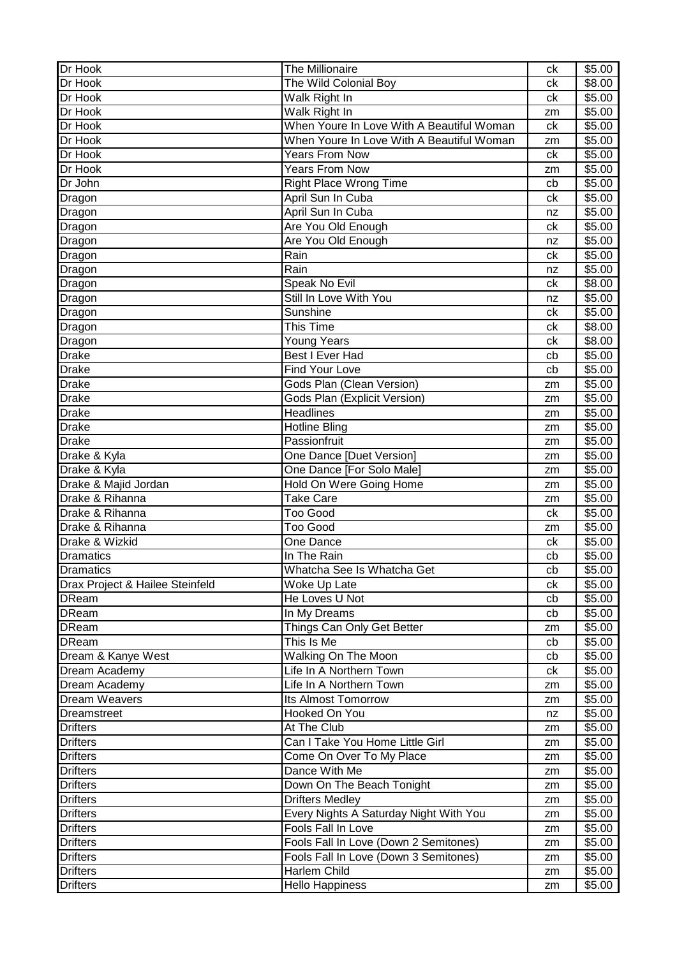| Dr Hook                         | <b>The Millionaire</b>                    | ck       | \$5.00 |
|---------------------------------|-------------------------------------------|----------|--------|
| Dr Hook                         | The Wild Colonial Boy                     | сk       | \$8.00 |
| Dr Hook                         | Walk Right In                             | ck       | \$5.00 |
| Dr Hook                         | Walk Right In                             | zm       | \$5.00 |
| Dr Hook                         | When Youre In Love With A Beautiful Woman | ck       | \$5.00 |
| Dr Hook                         | When Youre In Love With A Beautiful Woman | zm       | \$5.00 |
| Dr Hook                         | Years From Now                            | ck       | \$5.00 |
| Dr Hook                         | <b>Years From Now</b>                     | zm       | \$5.00 |
| Dr John                         | <b>Right Place Wrong Time</b>             | cb       | \$5.00 |
| Dragon                          | April Sun In Cuba                         | ck       | \$5.00 |
| Dragon                          | April Sun In Cuba                         | nz       | \$5.00 |
| Dragon                          | Are You Old Enough                        | ck       | \$5.00 |
| Dragon                          | Are You Old Enough                        | nz       | \$5.00 |
| Dragon                          | Rain                                      | ck       | \$5.00 |
| Dragon                          | Rain                                      | nz       | \$5.00 |
| Dragon                          | Speak No Evil                             | ck       | \$8.00 |
| Dragon                          | Still In Love With You                    | nz       | \$5.00 |
| Dragon                          | Sunshine                                  | ck       | \$5.00 |
| Dragon                          | This Time                                 | сk       | \$8.00 |
| Dragon                          | <b>Young Years</b>                        | ck       | \$8.00 |
| <b>Drake</b>                    | Best I Ever Had                           | cb       | \$5.00 |
| <b>Drake</b>                    | <b>Find Your Love</b>                     | cb       | \$5.00 |
| <b>Drake</b>                    | Gods Plan (Clean Version)                 |          | \$5.00 |
| <b>Drake</b>                    | Gods Plan (Explicit Version)              | zm<br>zm | \$5.00 |
| <b>Drake</b>                    | <b>Headlines</b>                          |          | \$5.00 |
| <b>Drake</b>                    |                                           | zm       |        |
|                                 | <b>Hotline Bling</b><br>Passionfruit      | zm       | \$5.00 |
| <b>Drake</b>                    |                                           | zm       | \$5.00 |
| Drake & Kyla                    | One Dance [Duet Version]                  | zm       | \$5.00 |
| Drake & Kyla                    | One Dance [For Solo Male]                 | zm       | \$5.00 |
| Drake & Majid Jordan            | Hold On Were Going Home                   | zm       | \$5.00 |
| Drake & Rihanna                 | <b>Take Care</b>                          | zm       | \$5.00 |
| Drake & Rihanna                 | <b>Too Good</b>                           | ck       | \$5.00 |
| Drake & Rihanna                 | <b>Too Good</b>                           | zm       | \$5.00 |
| Drake & Wizkid                  | One Dance                                 | ck       | \$5.00 |
| <b>Dramatics</b>                | In The Rain                               | cb       | \$5.00 |
| <b>Dramatics</b>                | Whatcha See Is Whatcha Get                | cb       | \$5.00 |
| Drax Project & Hailee Steinfeld | Woke Up Late                              | сk       | \$5.00 |
| <b>DReam</b>                    | He Loves U Not                            | cb       | \$5.00 |
| <b>DReam</b>                    | In My Dreams                              | cb       | \$5.00 |
| <b>DReam</b>                    | Things Can Only Get Better                | zm       | \$5.00 |
| <b>DReam</b>                    | This Is Me                                | cb       | \$5.00 |
| Dream & Kanye West              | Walking On The Moon                       | cb       | \$5.00 |
| Dream Academy                   | Life In A Northern Town                   | ck       | \$5.00 |
| Dream Academy                   | Life In A Northern Town                   | zm       | \$5.00 |
| <b>Dream Weavers</b>            | <b>Its Almost Tomorrow</b>                | zm       | \$5.00 |
| <b>Dreamstreet</b>              | Hooked On You                             | nz       | \$5.00 |
| <b>Drifters</b>                 | At The Club                               | zm       | \$5.00 |
| <b>Drifters</b>                 | Can I Take You Home Little Girl           | zm       | \$5.00 |
| <b>Drifters</b>                 | Come On Over To My Place                  | zm       | \$5.00 |
| <b>Drifters</b>                 | Dance With Me                             | zm       | \$5.00 |
| <b>Drifters</b>                 | Down On The Beach Tonight                 | zm       | \$5.00 |
| <b>Drifters</b>                 | <b>Drifters Medley</b>                    | zm       | \$5.00 |
| <b>Drifters</b>                 | Every Nights A Saturday Night With You    | zm       | \$5.00 |
| <b>Drifters</b>                 | Fools Fall In Love                        | zm       | \$5.00 |
| <b>Drifters</b>                 | Fools Fall In Love (Down 2 Semitones)     | zm       | \$5.00 |
| <b>Drifters</b>                 | Fools Fall In Love (Down 3 Semitones)     | zm       | \$5.00 |
| <b>Drifters</b>                 | Harlem Child                              | zm       | \$5.00 |
| <b>Drifters</b>                 | <b>Hello Happiness</b>                    | zm       | \$5.00 |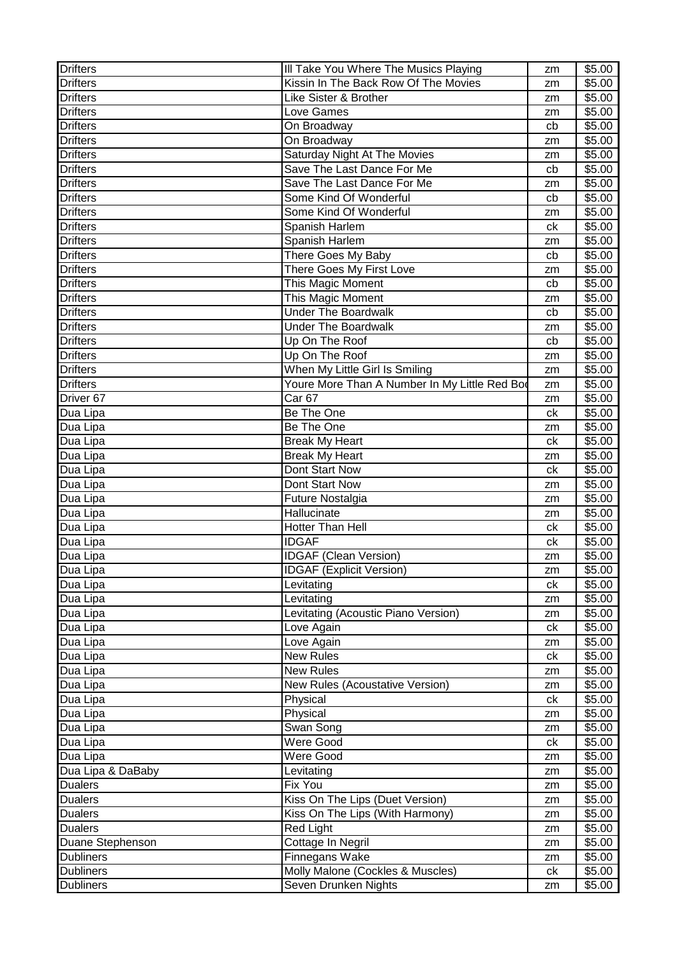| <b>Drifters</b>      | III Take You Where The Musics Playing         | zm | \$5.00 |
|----------------------|-----------------------------------------------|----|--------|
| <b>Drifters</b>      | Kissin In The Back Row Of The Movies          | zm | \$5.00 |
| <b>Drifters</b>      | Like Sister & Brother                         | zm | \$5.00 |
| <b>Drifters</b>      | Love Games                                    | zm | \$5.00 |
| <b>Drifters</b>      | On Broadway                                   | cb | \$5.00 |
| <b>Drifters</b>      | On Broadway                                   | zm | \$5.00 |
| <b>Drifters</b>      | Saturday Night At The Movies                  | zm | \$5.00 |
| <b>Drifters</b>      | Save The Last Dance For Me                    | cb | \$5.00 |
| <b>Drifters</b>      | Save The Last Dance For Me                    | zm | \$5.00 |
| <b>Drifters</b>      | Some Kind Of Wonderful                        | cb | \$5.00 |
| <b>Drifters</b>      | Some Kind Of Wonderful                        | zm | \$5.00 |
| <b>Drifters</b>      | Spanish Harlem                                | ck | \$5.00 |
| <b>Drifters</b>      | Spanish Harlem                                | zm | \$5.00 |
| <b>Drifters</b>      | There Goes My Baby                            | cb | \$5.00 |
| <b>Drifters</b>      | There Goes My First Love                      | zm | \$5.00 |
| <b>Drifters</b>      | This Magic Moment                             | cb | \$5.00 |
| <b>Drifters</b>      | This Magic Moment                             | zm | \$5.00 |
| <b>Drifters</b>      | <b>Under The Boardwalk</b>                    | cb | \$5.00 |
| <b>Drifters</b>      | <b>Under The Boardwalk</b>                    | zm | \$5.00 |
| <b>Drifters</b>      | Up On The Roof                                | cb | \$5.00 |
| <b>Drifters</b>      | Up On The Roof                                | zm | \$5.00 |
| <b>Drifters</b>      | When My Little Girl Is Smiling                |    | \$5.00 |
| <b>Drifters</b>      | Youre More Than A Number In My Little Red Bod | zm | \$5.00 |
| Driver <sub>67</sub> | Car <sub>67</sub>                             | zm | \$5.00 |
|                      | Be The One                                    | zm |        |
| Dua Lipa             |                                               | ck | \$5.00 |
| Dua Lipa             | Be The One                                    | zm | \$5.00 |
| Dua Lipa             | <b>Break My Heart</b>                         | ck | \$5.00 |
| Dua Lipa             | <b>Break My Heart</b>                         | zm | \$5.00 |
| Dua Lipa             | Dont Start Now                                | ck | \$5.00 |
| Dua Lipa             | Dont Start Now                                | zm | \$5.00 |
| Dua Lipa             | Future Nostalgia                              | zm | \$5.00 |
| Dua Lipa             | Hallucinate                                   | zm | \$5.00 |
| Dua Lipa             | Hotter Than Hell                              | ck | \$5.00 |
| Dua Lipa             | <b>IDGAF</b>                                  | сk | \$5.00 |
| Dua Lipa             | <b>IDGAF (Clean Version)</b>                  | zm | \$5.00 |
| Dua Lipa             | <b>IDGAF (Explicit Version)</b>               | zm | \$5.00 |
| Dua Lipa             | Levitating                                    | ck | \$5.00 |
| Dua Lipa             | Levitating                                    | zm | \$5.00 |
| Dua Lipa             | Levitating (Acoustic Piano Version)           | zm | \$5.00 |
| Dua Lipa             | Love Again                                    | ck | \$5.00 |
| Dua Lipa             | Love Again                                    | zm | \$5.00 |
| Dua Lipa             | New Rules                                     | ck | \$5.00 |
| Dua Lipa             | <b>New Rules</b>                              | zm | \$5.00 |
| Dua Lipa             | New Rules (Acoustative Version)               | zm | \$5.00 |
| Dua Lipa             | Physical                                      | ck | \$5.00 |
| Dua Lipa             | Physical                                      | zm | \$5.00 |
| Dua Lipa             | Swan Song                                     | zm | \$5.00 |
| Dua Lipa             | Were Good                                     | ck | \$5.00 |
| Dua Lipa             | <b>Were Good</b>                              | zm | \$5.00 |
| Dua Lipa & DaBaby    | Levitating                                    | zm | \$5.00 |
| <b>Dualers</b>       | Fix You                                       | zm | \$5.00 |
| <b>Dualers</b>       | Kiss On The Lips (Duet Version)               | zm | \$5.00 |
| <b>Dualers</b>       | Kiss On The Lips (With Harmony)               | zm | \$5.00 |
| <b>Dualers</b>       | <b>Red Light</b>                              | zm | \$5.00 |
| Duane Stephenson     | Cottage In Negril                             | zm | \$5.00 |
| <b>Dubliners</b>     | Finnegans Wake                                | zm | \$5.00 |
| <b>Dubliners</b>     | Molly Malone (Cockles & Muscles)              | ck | \$5.00 |
| <b>Dubliners</b>     | Seven Drunken Nights                          | zm | \$5.00 |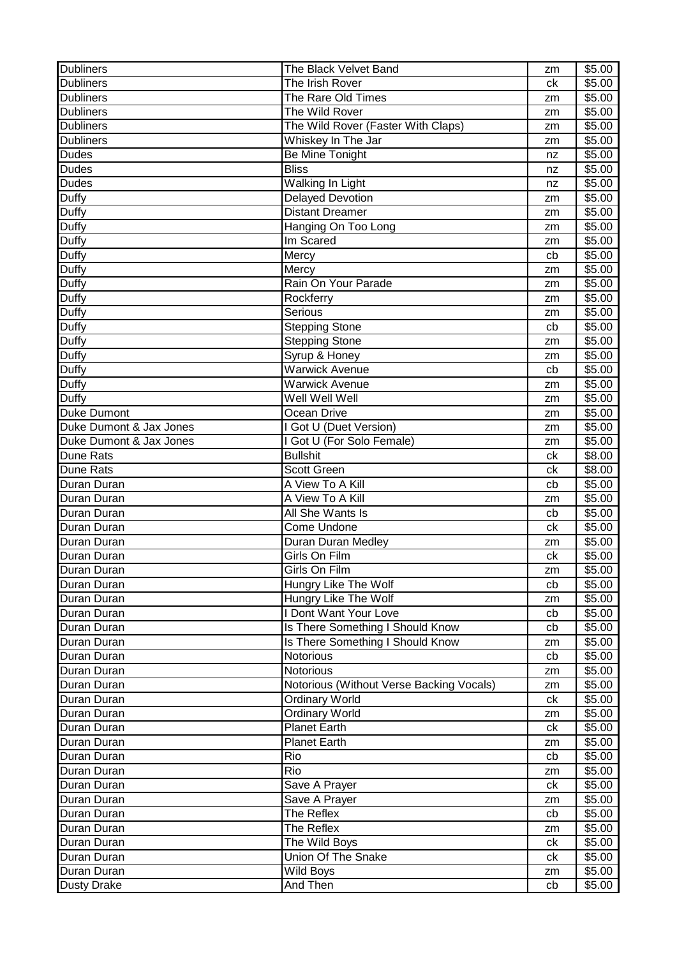| <b>Dubliners</b>        | The Black Velvet Band                    | zm | \$5.00             |
|-------------------------|------------------------------------------|----|--------------------|
| <b>Dubliners</b>        | The Irish Rover                          | ck | \$5.00             |
| <b>Dubliners</b>        | The Rare Old Times                       | zm | \$5.00             |
| <b>Dubliners</b>        | The Wild Rover                           | zm | \$5.00             |
| <b>Dubliners</b>        | The Wild Rover (Faster With Claps)       | zm | \$5.00             |
| <b>Dubliners</b>        | Whiskey In The Jar                       | zm | \$5.00             |
| <b>Dudes</b>            | Be Mine Tonight                          | nz | \$5.00             |
| <b>Dudes</b>            | <b>Bliss</b>                             | nz | \$5.00             |
| <b>Dudes</b>            | Walking In Light                         | nz | $\overline{$}5.00$ |
| Duffy                   | <b>Delayed Devotion</b>                  | zm | \$5.00             |
| Duffy                   | <b>Distant Dreamer</b>                   | zm | \$5.00             |
| Duffy                   | Hanging On Too Long                      | zm | \$5.00             |
| Duffy                   | Im Scared                                | zm | \$5.00             |
| Duffy                   | Mercy                                    | cb | \$5.00             |
| Duffy                   | Mercy                                    | zm | \$5.00             |
| Duffy                   | Rain On Your Parade                      | zm | \$5.00             |
| Duffy                   | Rockferry                                | zm | \$5.00             |
| <b>Duffy</b>            | Serious                                  | zm | \$5.00             |
| Duffy                   | <b>Stepping Stone</b>                    | cb | \$5.00             |
| Duffy                   | <b>Stepping Stone</b>                    | zm | \$5.00             |
| Duffy                   | Syrup & Honey                            | zm | \$5.00             |
| Duffy                   | <b>Warwick Avenue</b>                    | cb | \$5.00             |
| Duffy                   | <b>Warwick Avenue</b>                    | zm | \$5.00             |
| Duffy                   | Well Well Well                           | zm | \$5.00             |
| <b>Duke Dumont</b>      | Ocean Drive                              | zm | \$5.00             |
| Duke Dumont & Jax Jones | I Got U (Duet Version)                   | zm | \$5.00             |
| Duke Dumont & Jax Jones | I Got U (For Solo Female)                | zm | \$5.00             |
| Dune Rats               | <b>Bullshit</b>                          | сk | \$8.00             |
| Dune Rats               | <b>Scott Green</b>                       | ck | \$8.00             |
| Duran Duran             | A View To A Kill                         | cb | \$5.00             |
| Duran Duran             | A View To A Kill                         | zm | \$5.00             |
| Duran Duran             | All She Wants Is                         | cb | \$5.00             |
| Duran Duran             | Come Undone                              | ck | \$5.00             |
| Duran Duran             | Duran Duran Medley                       | zm | \$5.00             |
| Duran Duran             | Girls On Film                            | ck | \$5.00             |
| Duran Duran             | Girls On Film                            | zm | \$5.00             |
| Duran Duran             | Hungry Like The Wolf                     | cb | \$5.00             |
| Duran Duran             | Hungry Like The Wolf                     | zm | \$5.00             |
| Duran Duran             | I Dont Want Your Love                    | cb | \$5.00             |
| Duran Duran             | Is There Something I Should Know         | cb | \$5.00             |
| Duran Duran             | Is There Something I Should Know         | zm | \$5.00             |
| Duran Duran             | Notorious                                | cb | \$5.00             |
| Duran Duran             | Notorious                                | zm | \$5.00             |
| Duran Duran             | Notorious (Without Verse Backing Vocals) | zm | \$5.00             |
| Duran Duran             | <b>Ordinary World</b>                    | ck | \$5.00             |
| Duran Duran             | <b>Ordinary World</b>                    | zm | \$5.00             |
| Duran Duran             | <b>Planet Earth</b>                      | ck | \$5.00             |
| Duran Duran             | <b>Planet Earth</b>                      | zm | \$5.00             |
| Duran Duran             | Rio                                      | cb | \$5.00             |
| Duran Duran             | Rio                                      | zm | \$5.00             |
| Duran Duran             | Save A Prayer                            | ck | \$5.00             |
| Duran Duran             | Save A Prayer                            | zm | \$5.00             |
| Duran Duran             | The Reflex                               | cb | \$5.00             |
| Duran Duran             | The Reflex                               | zm | \$5.00             |
| Duran Duran             | The Wild Boys                            | ck | \$5.00             |
| Duran Duran             | Union Of The Snake                       | ck | \$5.00             |
| Duran Duran             | Wild Boys                                | zm | \$5.00             |
| <b>Dusty Drake</b>      | And Then                                 | cb | \$5.00             |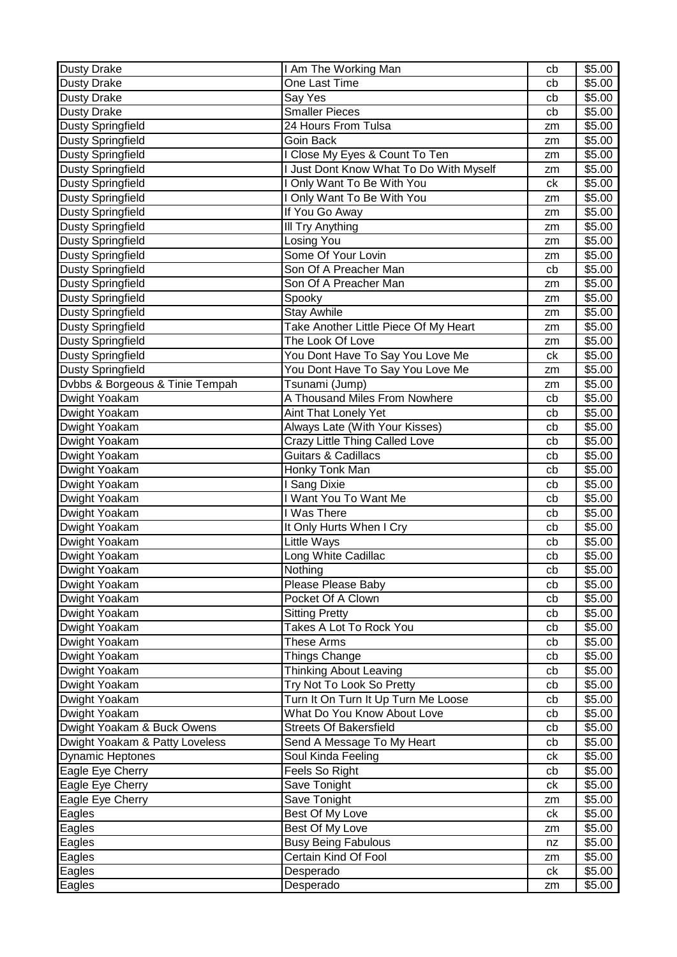| <b>Dusty Drake</b>              | I Am The Working Man                         | cb | \$5.00 |
|---------------------------------|----------------------------------------------|----|--------|
| <b>Dusty Drake</b>              | One Last Time                                | cb | \$5.00 |
| <b>Dusty Drake</b>              | Say Yes                                      | cb | \$5.00 |
| <b>Dusty Drake</b>              | <b>Smaller Pieces</b>                        | cb | \$5.00 |
| <b>Dusty Springfield</b>        | 24 Hours From Tulsa                          | zm | \$5.00 |
| <b>Dusty Springfield</b>        | Goin Back                                    | zm | \$5.00 |
| <b>Dusty Springfield</b>        | I Close My Eyes & Count To Ten               | zm | \$5.00 |
| <b>Dusty Springfield</b>        | <b>Just Dont Know What To Do With Myself</b> | zm | \$5.00 |
| <b>Dusty Springfield</b>        | I Only Want To Be With You                   | ck | \$5.00 |
| <b>Dusty Springfield</b>        | I Only Want To Be With You                   | zm | \$5.00 |
| <b>Dusty Springfield</b>        | If You Go Away                               | zm | \$5.00 |
| <b>Dusty Springfield</b>        | III Try Anything                             | zm | \$5.00 |
| <b>Dusty Springfield</b>        | Losing You                                   | zm | \$5.00 |
| <b>Dusty Springfield</b>        | Some Of Your Lovin                           | zm | \$5.00 |
| <b>Dusty Springfield</b>        | Son Of A Preacher Man                        | cb | \$5.00 |
| <b>Dusty Springfield</b>        | Son Of A Preacher Man                        | zm | \$5.00 |
| <b>Dusty Springfield</b>        | Spooky                                       | zm | \$5.00 |
| <b>Dusty Springfield</b>        | <b>Stay Awhile</b>                           | zm | \$5.00 |
| <b>Dusty Springfield</b>        | Take Another Little Piece Of My Heart        | zm | \$5.00 |
| <b>Dusty Springfield</b>        | The Look Of Love                             | zm | \$5.00 |
| <b>Dusty Springfield</b>        | You Dont Have To Say You Love Me             | ck | \$5.00 |
| <b>Dusty Springfield</b>        | You Dont Have To Say You Love Me             | zm | \$5.00 |
| Dvbbs & Borgeous & Tinie Tempah | Tsunami (Jump)                               | zm | \$5.00 |
| Dwight Yoakam                   | A Thousand Miles From Nowhere                | cb | \$5.00 |
| Dwight Yoakam                   | Aint That Lonely Yet                         | cb | \$5.00 |
| Dwight Yoakam                   | Always Late (With Your Kisses)               | cb | \$5.00 |
| Dwight Yoakam                   | Crazy Little Thing Called Love               | cb | \$5.00 |
| Dwight Yoakam                   | <b>Guitars &amp; Cadillacs</b>               | cb | \$5.00 |
| Dwight Yoakam                   | Honky Tonk Man                               | cb | \$5.00 |
| Dwight Yoakam                   | <b>Sang Dixie</b>                            | cb | \$5.00 |
| Dwight Yoakam                   | I Want You To Want Me                        | cb | \$5.00 |
| Dwight Yoakam                   | I Was There                                  | cb | \$5.00 |
| Dwight Yoakam                   | It Only Hurts When I Cry                     | cb | \$5.00 |
| Dwight Yoakam                   | Little Ways                                  | cb | \$5.00 |
| Dwight Yoakam                   | Long White Cadillac                          | cb | \$5.00 |
| Dwight Yoakam                   | Nothing                                      | cb | \$5.00 |
| Dwight Yoakam                   | Please Please Baby                           | cb | \$5.00 |
| Dwight Yoakam                   | Pocket Of A Clown                            | cb | \$5.00 |
| Dwight Yoakam                   | <b>Sitting Pretty</b>                        | cb | \$5.00 |
| Dwight Yoakam                   | Takes A Lot To Rock You                      | cb | \$5.00 |
| Dwight Yoakam                   | <b>These Arms</b>                            | cb | \$5.00 |
| Dwight Yoakam                   | Things Change                                | cb | \$5.00 |
| Dwight Yoakam                   | <b>Thinking About Leaving</b>                | cb | \$5.00 |
| Dwight Yoakam                   | Try Not To Look So Pretty                    | cb | \$5.00 |
| Dwight Yoakam                   | Turn It On Turn It Up Turn Me Loose          | cb | \$5.00 |
| Dwight Yoakam                   | What Do You Know About Love                  | cb | \$5.00 |
| Dwight Yoakam & Buck Owens      | <b>Streets Of Bakersfield</b>                | cb | \$5.00 |
| Dwight Yoakam & Patty Loveless  | Send A Message To My Heart                   | cb | \$5.00 |
| <b>Dynamic Heptones</b>         | Soul Kinda Feeling                           | сk | \$5.00 |
| Eagle Eye Cherry                | Feels So Right                               | cb | \$5.00 |
| Eagle Eye Cherry                | Save Tonight                                 | сk | \$5.00 |
| Eagle Eye Cherry                | Save Tonight                                 | zm | \$5.00 |
| Eagles                          | Best Of My Love                              | ck | \$5.00 |
| Eagles                          | Best Of My Love                              | zm | \$5.00 |
| Eagles                          | <b>Busy Being Fabulous</b>                   | nz | \$5.00 |
| Eagles                          | Certain Kind Of Fool                         | zm | \$5.00 |
| Eagles                          | Desperado                                    | ck | \$5.00 |
| Eagles                          | Desperado                                    | zm | \$5.00 |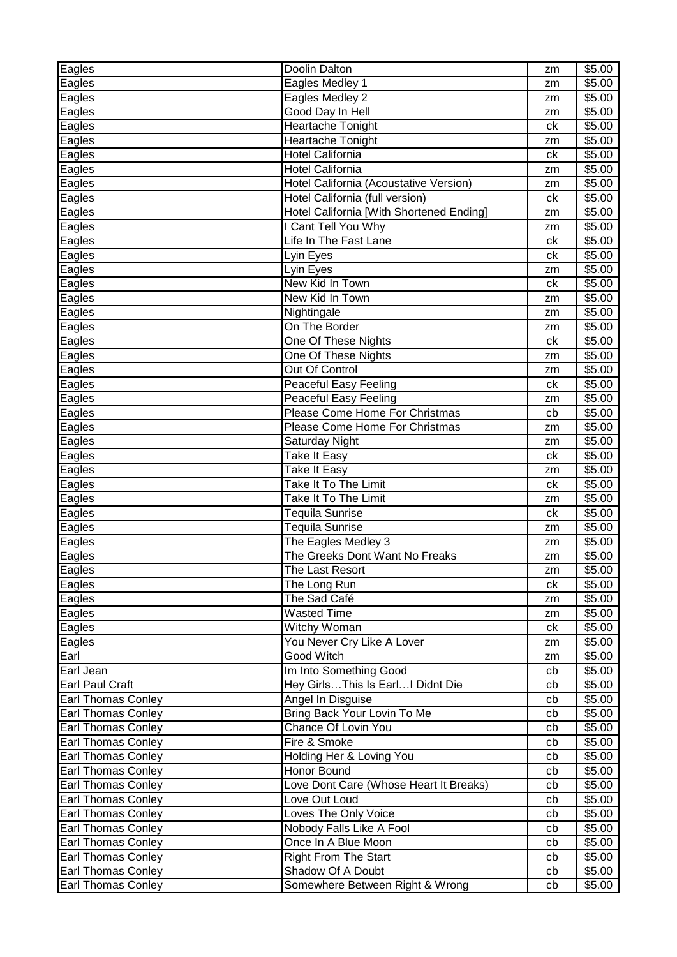| Eagles<br>Eagles Medley 1<br>\$5.00<br>zm<br>Eagles<br>Eagles Medley 2<br>\$5.00<br>zm<br>Good Day In Hell<br>Eagles<br>\$5.00<br>zm<br><b>Heartache Tonight</b><br>\$5.00<br>Eagles<br>сk<br>Heartache Tonight<br>\$5.00<br>Eagles<br>zm<br><b>Hotel California</b><br>\$5.00<br>Eagles<br>ck<br>Hotel California<br>\$5.00<br>Eagles<br>zm<br>Hotel California (Acoustative Version)<br>\$5.00<br>Eagles<br>zm<br>Eagles<br>Hotel California (full version)<br>\$5.00<br>ck<br>Hotel California [With Shortened Ending]<br>Eagles<br>\$5.00<br>zm<br>I Cant Tell You Why<br>Eagles<br>\$5.00<br>zm<br>Life In The Fast Lane<br>\$5.00<br>Eagles<br>ck<br>\$5.00<br>Eagles<br>ck<br>Lyin Eyes<br>\$5.00<br>Eagles<br>Lyin Eyes<br>zm<br>New Kid In Town<br>\$5.00<br>Eagles<br>ck<br>New Kid In Town<br>\$5.00<br>Eagles<br>zm<br>\$5.00<br>Eagles<br>Nightingale<br>zm<br>On The Border<br>\$5.00<br>Eagles<br>zm<br>One Of These Nights<br>Eagles<br>ck<br>\$5.00<br>Eagles<br>One Of These Nights<br>\$5.00<br>zm<br>Out Of Control<br>Eagles<br>\$5.00<br>zm<br>Peaceful Easy Feeling<br>Eagles<br>\$5.00<br>ck<br><b>Peaceful Easy Feeling</b><br>\$5.00<br>Eagles<br>zm<br>Please Come Home For Christmas<br>Eagles<br>\$5.00<br>cb<br>Please Come Home For Christmas<br>\$5.00<br>Eagles<br>zm<br>\$5.00<br>Eagles<br>Saturday Night<br>zm<br>\$5.00<br>Eagles<br>Take It Easy<br>ck<br><b>Take It Easy</b><br>\$5.00<br>Eagles<br>zm<br>Take It To The Limit<br>Eagles<br>ck<br>\$5.00<br>Eagles<br>Take It To The Limit<br>\$5.00<br>zm<br>Eagles<br>Tequila Sunrise<br>\$5.00<br>ck<br>Tequila Sunrise<br>Eagles<br>\$5.00<br>zm<br>The Eagles Medley 3<br>\$5.00<br>Eagles<br>zm<br>The Greeks Dont Want No Freaks<br>Eagles<br>\$5.00<br>zm<br>\$5.00<br>Eagles<br>The Last Resort<br>zm<br>Eagles<br>\$5.00<br>The Long Run<br>ck<br>\$5.00<br>Eagles<br>The Sad Café<br>zm<br>\$5.00<br>Eagles<br>Wasted Time<br>zm<br>Witchy Woman<br>Eagles<br>\$5.00<br>ck<br>You Never Cry Like A Lover<br>\$5.00<br>Eagles<br>zm<br>Good Witch<br>Earl<br>\$5.00<br>zm<br>Im Into Something Good<br>Earl Jean<br>\$5.00<br>cb<br>Hey GirlsThis Is EarlI Didnt Die<br><b>Earl Paul Craft</b><br>\$5.00<br>cb | Eagles                    | Doolin Dalton     | zm | \$5.00 |
|-----------------------------------------------------------------------------------------------------------------------------------------------------------------------------------------------------------------------------------------------------------------------------------------------------------------------------------------------------------------------------------------------------------------------------------------------------------------------------------------------------------------------------------------------------------------------------------------------------------------------------------------------------------------------------------------------------------------------------------------------------------------------------------------------------------------------------------------------------------------------------------------------------------------------------------------------------------------------------------------------------------------------------------------------------------------------------------------------------------------------------------------------------------------------------------------------------------------------------------------------------------------------------------------------------------------------------------------------------------------------------------------------------------------------------------------------------------------------------------------------------------------------------------------------------------------------------------------------------------------------------------------------------------------------------------------------------------------------------------------------------------------------------------------------------------------------------------------------------------------------------------------------------------------------------------------------------------------------------------------------------------------------------------------------------------------------------------------------------------------------------------------------------------------------------------------------------------------|---------------------------|-------------------|----|--------|
|                                                                                                                                                                                                                                                                                                                                                                                                                                                                                                                                                                                                                                                                                                                                                                                                                                                                                                                                                                                                                                                                                                                                                                                                                                                                                                                                                                                                                                                                                                                                                                                                                                                                                                                                                                                                                                                                                                                                                                                                                                                                                                                                                                                                                 |                           |                   |    |        |
|                                                                                                                                                                                                                                                                                                                                                                                                                                                                                                                                                                                                                                                                                                                                                                                                                                                                                                                                                                                                                                                                                                                                                                                                                                                                                                                                                                                                                                                                                                                                                                                                                                                                                                                                                                                                                                                                                                                                                                                                                                                                                                                                                                                                                 |                           |                   |    |        |
|                                                                                                                                                                                                                                                                                                                                                                                                                                                                                                                                                                                                                                                                                                                                                                                                                                                                                                                                                                                                                                                                                                                                                                                                                                                                                                                                                                                                                                                                                                                                                                                                                                                                                                                                                                                                                                                                                                                                                                                                                                                                                                                                                                                                                 |                           |                   |    |        |
|                                                                                                                                                                                                                                                                                                                                                                                                                                                                                                                                                                                                                                                                                                                                                                                                                                                                                                                                                                                                                                                                                                                                                                                                                                                                                                                                                                                                                                                                                                                                                                                                                                                                                                                                                                                                                                                                                                                                                                                                                                                                                                                                                                                                                 |                           |                   |    |        |
|                                                                                                                                                                                                                                                                                                                                                                                                                                                                                                                                                                                                                                                                                                                                                                                                                                                                                                                                                                                                                                                                                                                                                                                                                                                                                                                                                                                                                                                                                                                                                                                                                                                                                                                                                                                                                                                                                                                                                                                                                                                                                                                                                                                                                 |                           |                   |    |        |
|                                                                                                                                                                                                                                                                                                                                                                                                                                                                                                                                                                                                                                                                                                                                                                                                                                                                                                                                                                                                                                                                                                                                                                                                                                                                                                                                                                                                                                                                                                                                                                                                                                                                                                                                                                                                                                                                                                                                                                                                                                                                                                                                                                                                                 |                           |                   |    |        |
|                                                                                                                                                                                                                                                                                                                                                                                                                                                                                                                                                                                                                                                                                                                                                                                                                                                                                                                                                                                                                                                                                                                                                                                                                                                                                                                                                                                                                                                                                                                                                                                                                                                                                                                                                                                                                                                                                                                                                                                                                                                                                                                                                                                                                 |                           |                   |    |        |
|                                                                                                                                                                                                                                                                                                                                                                                                                                                                                                                                                                                                                                                                                                                                                                                                                                                                                                                                                                                                                                                                                                                                                                                                                                                                                                                                                                                                                                                                                                                                                                                                                                                                                                                                                                                                                                                                                                                                                                                                                                                                                                                                                                                                                 |                           |                   |    |        |
|                                                                                                                                                                                                                                                                                                                                                                                                                                                                                                                                                                                                                                                                                                                                                                                                                                                                                                                                                                                                                                                                                                                                                                                                                                                                                                                                                                                                                                                                                                                                                                                                                                                                                                                                                                                                                                                                                                                                                                                                                                                                                                                                                                                                                 |                           |                   |    |        |
|                                                                                                                                                                                                                                                                                                                                                                                                                                                                                                                                                                                                                                                                                                                                                                                                                                                                                                                                                                                                                                                                                                                                                                                                                                                                                                                                                                                                                                                                                                                                                                                                                                                                                                                                                                                                                                                                                                                                                                                                                                                                                                                                                                                                                 |                           |                   |    |        |
|                                                                                                                                                                                                                                                                                                                                                                                                                                                                                                                                                                                                                                                                                                                                                                                                                                                                                                                                                                                                                                                                                                                                                                                                                                                                                                                                                                                                                                                                                                                                                                                                                                                                                                                                                                                                                                                                                                                                                                                                                                                                                                                                                                                                                 |                           |                   |    |        |
|                                                                                                                                                                                                                                                                                                                                                                                                                                                                                                                                                                                                                                                                                                                                                                                                                                                                                                                                                                                                                                                                                                                                                                                                                                                                                                                                                                                                                                                                                                                                                                                                                                                                                                                                                                                                                                                                                                                                                                                                                                                                                                                                                                                                                 |                           |                   |    |        |
|                                                                                                                                                                                                                                                                                                                                                                                                                                                                                                                                                                                                                                                                                                                                                                                                                                                                                                                                                                                                                                                                                                                                                                                                                                                                                                                                                                                                                                                                                                                                                                                                                                                                                                                                                                                                                                                                                                                                                                                                                                                                                                                                                                                                                 |                           |                   |    |        |
|                                                                                                                                                                                                                                                                                                                                                                                                                                                                                                                                                                                                                                                                                                                                                                                                                                                                                                                                                                                                                                                                                                                                                                                                                                                                                                                                                                                                                                                                                                                                                                                                                                                                                                                                                                                                                                                                                                                                                                                                                                                                                                                                                                                                                 |                           |                   |    |        |
|                                                                                                                                                                                                                                                                                                                                                                                                                                                                                                                                                                                                                                                                                                                                                                                                                                                                                                                                                                                                                                                                                                                                                                                                                                                                                                                                                                                                                                                                                                                                                                                                                                                                                                                                                                                                                                                                                                                                                                                                                                                                                                                                                                                                                 |                           |                   |    |        |
|                                                                                                                                                                                                                                                                                                                                                                                                                                                                                                                                                                                                                                                                                                                                                                                                                                                                                                                                                                                                                                                                                                                                                                                                                                                                                                                                                                                                                                                                                                                                                                                                                                                                                                                                                                                                                                                                                                                                                                                                                                                                                                                                                                                                                 |                           |                   |    |        |
|                                                                                                                                                                                                                                                                                                                                                                                                                                                                                                                                                                                                                                                                                                                                                                                                                                                                                                                                                                                                                                                                                                                                                                                                                                                                                                                                                                                                                                                                                                                                                                                                                                                                                                                                                                                                                                                                                                                                                                                                                                                                                                                                                                                                                 |                           |                   |    |        |
|                                                                                                                                                                                                                                                                                                                                                                                                                                                                                                                                                                                                                                                                                                                                                                                                                                                                                                                                                                                                                                                                                                                                                                                                                                                                                                                                                                                                                                                                                                                                                                                                                                                                                                                                                                                                                                                                                                                                                                                                                                                                                                                                                                                                                 |                           |                   |    |        |
|                                                                                                                                                                                                                                                                                                                                                                                                                                                                                                                                                                                                                                                                                                                                                                                                                                                                                                                                                                                                                                                                                                                                                                                                                                                                                                                                                                                                                                                                                                                                                                                                                                                                                                                                                                                                                                                                                                                                                                                                                                                                                                                                                                                                                 |                           |                   |    |        |
|                                                                                                                                                                                                                                                                                                                                                                                                                                                                                                                                                                                                                                                                                                                                                                                                                                                                                                                                                                                                                                                                                                                                                                                                                                                                                                                                                                                                                                                                                                                                                                                                                                                                                                                                                                                                                                                                                                                                                                                                                                                                                                                                                                                                                 |                           |                   |    |        |
|                                                                                                                                                                                                                                                                                                                                                                                                                                                                                                                                                                                                                                                                                                                                                                                                                                                                                                                                                                                                                                                                                                                                                                                                                                                                                                                                                                                                                                                                                                                                                                                                                                                                                                                                                                                                                                                                                                                                                                                                                                                                                                                                                                                                                 |                           |                   |    |        |
|                                                                                                                                                                                                                                                                                                                                                                                                                                                                                                                                                                                                                                                                                                                                                                                                                                                                                                                                                                                                                                                                                                                                                                                                                                                                                                                                                                                                                                                                                                                                                                                                                                                                                                                                                                                                                                                                                                                                                                                                                                                                                                                                                                                                                 |                           |                   |    |        |
|                                                                                                                                                                                                                                                                                                                                                                                                                                                                                                                                                                                                                                                                                                                                                                                                                                                                                                                                                                                                                                                                                                                                                                                                                                                                                                                                                                                                                                                                                                                                                                                                                                                                                                                                                                                                                                                                                                                                                                                                                                                                                                                                                                                                                 |                           |                   |    |        |
|                                                                                                                                                                                                                                                                                                                                                                                                                                                                                                                                                                                                                                                                                                                                                                                                                                                                                                                                                                                                                                                                                                                                                                                                                                                                                                                                                                                                                                                                                                                                                                                                                                                                                                                                                                                                                                                                                                                                                                                                                                                                                                                                                                                                                 |                           |                   |    |        |
|                                                                                                                                                                                                                                                                                                                                                                                                                                                                                                                                                                                                                                                                                                                                                                                                                                                                                                                                                                                                                                                                                                                                                                                                                                                                                                                                                                                                                                                                                                                                                                                                                                                                                                                                                                                                                                                                                                                                                                                                                                                                                                                                                                                                                 |                           |                   |    |        |
|                                                                                                                                                                                                                                                                                                                                                                                                                                                                                                                                                                                                                                                                                                                                                                                                                                                                                                                                                                                                                                                                                                                                                                                                                                                                                                                                                                                                                                                                                                                                                                                                                                                                                                                                                                                                                                                                                                                                                                                                                                                                                                                                                                                                                 |                           |                   |    |        |
|                                                                                                                                                                                                                                                                                                                                                                                                                                                                                                                                                                                                                                                                                                                                                                                                                                                                                                                                                                                                                                                                                                                                                                                                                                                                                                                                                                                                                                                                                                                                                                                                                                                                                                                                                                                                                                                                                                                                                                                                                                                                                                                                                                                                                 |                           |                   |    |        |
|                                                                                                                                                                                                                                                                                                                                                                                                                                                                                                                                                                                                                                                                                                                                                                                                                                                                                                                                                                                                                                                                                                                                                                                                                                                                                                                                                                                                                                                                                                                                                                                                                                                                                                                                                                                                                                                                                                                                                                                                                                                                                                                                                                                                                 |                           |                   |    |        |
|                                                                                                                                                                                                                                                                                                                                                                                                                                                                                                                                                                                                                                                                                                                                                                                                                                                                                                                                                                                                                                                                                                                                                                                                                                                                                                                                                                                                                                                                                                                                                                                                                                                                                                                                                                                                                                                                                                                                                                                                                                                                                                                                                                                                                 |                           |                   |    |        |
|                                                                                                                                                                                                                                                                                                                                                                                                                                                                                                                                                                                                                                                                                                                                                                                                                                                                                                                                                                                                                                                                                                                                                                                                                                                                                                                                                                                                                                                                                                                                                                                                                                                                                                                                                                                                                                                                                                                                                                                                                                                                                                                                                                                                                 |                           |                   |    |        |
|                                                                                                                                                                                                                                                                                                                                                                                                                                                                                                                                                                                                                                                                                                                                                                                                                                                                                                                                                                                                                                                                                                                                                                                                                                                                                                                                                                                                                                                                                                                                                                                                                                                                                                                                                                                                                                                                                                                                                                                                                                                                                                                                                                                                                 |                           |                   |    |        |
|                                                                                                                                                                                                                                                                                                                                                                                                                                                                                                                                                                                                                                                                                                                                                                                                                                                                                                                                                                                                                                                                                                                                                                                                                                                                                                                                                                                                                                                                                                                                                                                                                                                                                                                                                                                                                                                                                                                                                                                                                                                                                                                                                                                                                 |                           |                   |    |        |
|                                                                                                                                                                                                                                                                                                                                                                                                                                                                                                                                                                                                                                                                                                                                                                                                                                                                                                                                                                                                                                                                                                                                                                                                                                                                                                                                                                                                                                                                                                                                                                                                                                                                                                                                                                                                                                                                                                                                                                                                                                                                                                                                                                                                                 |                           |                   |    |        |
|                                                                                                                                                                                                                                                                                                                                                                                                                                                                                                                                                                                                                                                                                                                                                                                                                                                                                                                                                                                                                                                                                                                                                                                                                                                                                                                                                                                                                                                                                                                                                                                                                                                                                                                                                                                                                                                                                                                                                                                                                                                                                                                                                                                                                 |                           |                   |    |        |
|                                                                                                                                                                                                                                                                                                                                                                                                                                                                                                                                                                                                                                                                                                                                                                                                                                                                                                                                                                                                                                                                                                                                                                                                                                                                                                                                                                                                                                                                                                                                                                                                                                                                                                                                                                                                                                                                                                                                                                                                                                                                                                                                                                                                                 |                           |                   |    |        |
|                                                                                                                                                                                                                                                                                                                                                                                                                                                                                                                                                                                                                                                                                                                                                                                                                                                                                                                                                                                                                                                                                                                                                                                                                                                                                                                                                                                                                                                                                                                                                                                                                                                                                                                                                                                                                                                                                                                                                                                                                                                                                                                                                                                                                 |                           |                   |    |        |
|                                                                                                                                                                                                                                                                                                                                                                                                                                                                                                                                                                                                                                                                                                                                                                                                                                                                                                                                                                                                                                                                                                                                                                                                                                                                                                                                                                                                                                                                                                                                                                                                                                                                                                                                                                                                                                                                                                                                                                                                                                                                                                                                                                                                                 |                           |                   |    |        |
|                                                                                                                                                                                                                                                                                                                                                                                                                                                                                                                                                                                                                                                                                                                                                                                                                                                                                                                                                                                                                                                                                                                                                                                                                                                                                                                                                                                                                                                                                                                                                                                                                                                                                                                                                                                                                                                                                                                                                                                                                                                                                                                                                                                                                 |                           |                   |    |        |
|                                                                                                                                                                                                                                                                                                                                                                                                                                                                                                                                                                                                                                                                                                                                                                                                                                                                                                                                                                                                                                                                                                                                                                                                                                                                                                                                                                                                                                                                                                                                                                                                                                                                                                                                                                                                                                                                                                                                                                                                                                                                                                                                                                                                                 |                           |                   |    |        |
|                                                                                                                                                                                                                                                                                                                                                                                                                                                                                                                                                                                                                                                                                                                                                                                                                                                                                                                                                                                                                                                                                                                                                                                                                                                                                                                                                                                                                                                                                                                                                                                                                                                                                                                                                                                                                                                                                                                                                                                                                                                                                                                                                                                                                 |                           |                   |    |        |
|                                                                                                                                                                                                                                                                                                                                                                                                                                                                                                                                                                                                                                                                                                                                                                                                                                                                                                                                                                                                                                                                                                                                                                                                                                                                                                                                                                                                                                                                                                                                                                                                                                                                                                                                                                                                                                                                                                                                                                                                                                                                                                                                                                                                                 |                           |                   |    |        |
|                                                                                                                                                                                                                                                                                                                                                                                                                                                                                                                                                                                                                                                                                                                                                                                                                                                                                                                                                                                                                                                                                                                                                                                                                                                                                                                                                                                                                                                                                                                                                                                                                                                                                                                                                                                                                                                                                                                                                                                                                                                                                                                                                                                                                 |                           |                   |    |        |
|                                                                                                                                                                                                                                                                                                                                                                                                                                                                                                                                                                                                                                                                                                                                                                                                                                                                                                                                                                                                                                                                                                                                                                                                                                                                                                                                                                                                                                                                                                                                                                                                                                                                                                                                                                                                                                                                                                                                                                                                                                                                                                                                                                                                                 |                           |                   |    |        |
| cb                                                                                                                                                                                                                                                                                                                                                                                                                                                                                                                                                                                                                                                                                                                                                                                                                                                                                                                                                                                                                                                                                                                                                                                                                                                                                                                                                                                                                                                                                                                                                                                                                                                                                                                                                                                                                                                                                                                                                                                                                                                                                                                                                                                                              | <b>Earl Thomas Conley</b> | Angel In Disguise |    | \$5.00 |
| Bring Back Your Lovin To Me<br>\$5.00<br><b>Earl Thomas Conley</b><br>cb                                                                                                                                                                                                                                                                                                                                                                                                                                                                                                                                                                                                                                                                                                                                                                                                                                                                                                                                                                                                                                                                                                                                                                                                                                                                                                                                                                                                                                                                                                                                                                                                                                                                                                                                                                                                                                                                                                                                                                                                                                                                                                                                        |                           |                   |    |        |
| Chance Of Lovin You<br>\$5.00<br><b>Earl Thomas Conley</b><br>cb                                                                                                                                                                                                                                                                                                                                                                                                                                                                                                                                                                                                                                                                                                                                                                                                                                                                                                                                                                                                                                                                                                                                                                                                                                                                                                                                                                                                                                                                                                                                                                                                                                                                                                                                                                                                                                                                                                                                                                                                                                                                                                                                                |                           |                   |    |        |
| <b>Earl Thomas Conley</b><br>Fire & Smoke<br>\$5.00<br>cb                                                                                                                                                                                                                                                                                                                                                                                                                                                                                                                                                                                                                                                                                                                                                                                                                                                                                                                                                                                                                                                                                                                                                                                                                                                                                                                                                                                                                                                                                                                                                                                                                                                                                                                                                                                                                                                                                                                                                                                                                                                                                                                                                       |                           |                   |    |        |
| Holding Her & Loving You<br><b>Earl Thomas Conley</b><br>\$5.00<br>cb                                                                                                                                                                                                                                                                                                                                                                                                                                                                                                                                                                                                                                                                                                                                                                                                                                                                                                                                                                                                                                                                                                                                                                                                                                                                                                                                                                                                                                                                                                                                                                                                                                                                                                                                                                                                                                                                                                                                                                                                                                                                                                                                           |                           |                   |    |        |
| Earl Thomas Conley<br>Honor Bound<br>\$5.00<br>cb                                                                                                                                                                                                                                                                                                                                                                                                                                                                                                                                                                                                                                                                                                                                                                                                                                                                                                                                                                                                                                                                                                                                                                                                                                                                                                                                                                                                                                                                                                                                                                                                                                                                                                                                                                                                                                                                                                                                                                                                                                                                                                                                                               |                           |                   |    |        |
| Love Dont Care (Whose Heart It Breaks)<br><b>Earl Thomas Conley</b><br>\$5.00<br>cb                                                                                                                                                                                                                                                                                                                                                                                                                                                                                                                                                                                                                                                                                                                                                                                                                                                                                                                                                                                                                                                                                                                                                                                                                                                                                                                                                                                                                                                                                                                                                                                                                                                                                                                                                                                                                                                                                                                                                                                                                                                                                                                             |                           |                   |    |        |
| \$5.00<br><b>Earl Thomas Conley</b><br>Love Out Loud<br>cb                                                                                                                                                                                                                                                                                                                                                                                                                                                                                                                                                                                                                                                                                                                                                                                                                                                                                                                                                                                                                                                                                                                                                                                                                                                                                                                                                                                                                                                                                                                                                                                                                                                                                                                                                                                                                                                                                                                                                                                                                                                                                                                                                      |                           |                   |    |        |
| Loves The Only Voice<br><b>Earl Thomas Conley</b><br>\$5.00<br>cb                                                                                                                                                                                                                                                                                                                                                                                                                                                                                                                                                                                                                                                                                                                                                                                                                                                                                                                                                                                                                                                                                                                                                                                                                                                                                                                                                                                                                                                                                                                                                                                                                                                                                                                                                                                                                                                                                                                                                                                                                                                                                                                                               |                           |                   |    |        |
| Nobody Falls Like A Fool<br>\$5.00<br><b>Earl Thomas Conley</b><br>cb                                                                                                                                                                                                                                                                                                                                                                                                                                                                                                                                                                                                                                                                                                                                                                                                                                                                                                                                                                                                                                                                                                                                                                                                                                                                                                                                                                                                                                                                                                                                                                                                                                                                                                                                                                                                                                                                                                                                                                                                                                                                                                                                           |                           |                   |    |        |
| <b>Earl Thomas Conley</b><br>Once In A Blue Moon<br>\$5.00<br>cb                                                                                                                                                                                                                                                                                                                                                                                                                                                                                                                                                                                                                                                                                                                                                                                                                                                                                                                                                                                                                                                                                                                                                                                                                                                                                                                                                                                                                                                                                                                                                                                                                                                                                                                                                                                                                                                                                                                                                                                                                                                                                                                                                |                           |                   |    |        |
| <b>Right From The Start</b><br>\$5.00<br><b>Earl Thomas Conley</b><br>cb                                                                                                                                                                                                                                                                                                                                                                                                                                                                                                                                                                                                                                                                                                                                                                                                                                                                                                                                                                                                                                                                                                                                                                                                                                                                                                                                                                                                                                                                                                                                                                                                                                                                                                                                                                                                                                                                                                                                                                                                                                                                                                                                        |                           |                   |    |        |
| <b>Earl Thomas Conley</b><br>Shadow Of A Doubt<br>\$5.00<br>cb                                                                                                                                                                                                                                                                                                                                                                                                                                                                                                                                                                                                                                                                                                                                                                                                                                                                                                                                                                                                                                                                                                                                                                                                                                                                                                                                                                                                                                                                                                                                                                                                                                                                                                                                                                                                                                                                                                                                                                                                                                                                                                                                                  |                           |                   |    |        |
| Somewhere Between Right & Wrong<br><b>Earl Thomas Conley</b><br>\$5.00<br>cb                                                                                                                                                                                                                                                                                                                                                                                                                                                                                                                                                                                                                                                                                                                                                                                                                                                                                                                                                                                                                                                                                                                                                                                                                                                                                                                                                                                                                                                                                                                                                                                                                                                                                                                                                                                                                                                                                                                                                                                                                                                                                                                                    |                           |                   |    |        |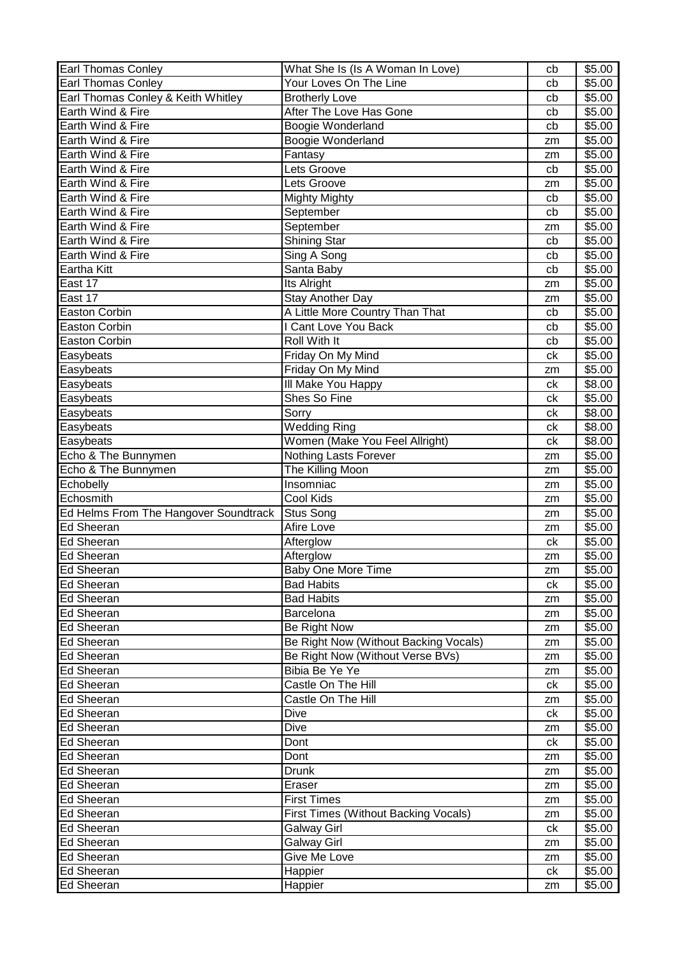| <b>Earl Thomas Conley</b>             | What She Is (Is A Woman In Love)      | cb       | \$5.00             |
|---------------------------------------|---------------------------------------|----------|--------------------|
| <b>Earl Thomas Conley</b>             | Your Loves On The Line                | cb       | \$5.00             |
| Earl Thomas Conley & Keith Whitley    | <b>Brotherly Love</b>                 | cb       | \$5.00             |
| Earth Wind & Fire                     | After The Love Has Gone               | cb       | \$5.00             |
| Earth Wind & Fire                     | Boogie Wonderland                     | cb       | \$5.00             |
| Earth Wind & Fire                     | Boogie Wonderland                     | zm       | \$5.00             |
| Earth Wind & Fire                     | Fantasy                               | zm       | \$5.00             |
| Earth Wind & Fire                     | Lets Groove                           | cb       | \$5.00             |
| Earth Wind & Fire                     | Lets Groove                           | zm       | \$5.00             |
| Earth Wind & Fire                     | <b>Mighty Mighty</b>                  | cb       | \$5.00             |
| Earth Wind & Fire                     | September                             | cb       | \$5.00             |
| Earth Wind & Fire                     | September                             | zm       | \$5.00             |
| Earth Wind & Fire                     | Shining Star                          | cb       | \$5.00             |
| Earth Wind & Fire                     | Sing A Song                           | cb       | \$5.00             |
| Eartha Kitt                           | Santa Baby                            | cb       | \$5.00             |
| East 17                               | Its Alright                           | zm       | \$5.00             |
| East 17                               | Stay Another Day                      | zm       | \$5.00             |
| <b>Easton Corbin</b>                  | A Little More Country Than That       | cb       | \$5.00             |
| <b>Easton Corbin</b>                  | I Cant Love You Back                  | cb       | \$5.00             |
| Easton Corbin                         | Roll With It                          | cb       | \$5.00             |
| Easybeats                             | Friday On My Mind                     | ck       | \$5.00             |
| Easybeats                             | Friday On My Mind                     |          | \$5.00             |
| Easybeats                             | III Make You Happy                    | zm<br>ck | \$8.00             |
|                                       | Shes So Fine                          | ck       | \$5.00             |
| Easybeats                             | Sorry                                 |          | \$8.00             |
| Easybeats                             | <b>Wedding Ring</b>                   | ck<br>ck | \$8.00             |
| Easybeats                             |                                       |          |                    |
| Easybeats                             | Women (Make You Feel Allright)        | ck       | \$8.00             |
| Echo & The Bunnymen                   | <b>Nothing Lasts Forever</b>          | zm       | \$5.00             |
| Echo & The Bunnymen                   | The Killing Moon                      | zm       | \$5.00             |
|                                       |                                       |          |                    |
| Echobelly                             | Insomniac                             | zm       | \$5.00             |
| Echosmith                             | Cool Kids                             | zm       | \$5.00             |
| Ed Helms From The Hangover Soundtrack | Stus Song                             | zm       | \$5.00             |
| <b>Ed Sheeran</b>                     | Afire Love                            | zm       | \$5.00             |
| <b>Ed Sheeran</b>                     | Afterglow                             | ck       | \$5.00             |
| Ed Sheeran                            | Afterglow                             | zm       | \$5.00             |
| Ed Sheeran                            | Baby One More Time                    | zm       | \$5.00             |
| Ed Sheeran                            | <b>Bad Habits</b>                     | ck       | \$5.00             |
| Ed Sheeran                            | <b>Bad Habits</b>                     | zm       | \$5.00             |
| Ed Sheeran                            | Barcelona                             | zm       | \$5.00             |
| <b>Ed Sheeran</b>                     | Be Right Now                          | zm       | $\overline{$}5.00$ |
| Ed Sheeran                            | Be Right Now (Without Backing Vocals) | zm       | \$5.00             |
| <b>Ed Sheeran</b>                     | Be Right Now (Without Verse BVs)      | zm       | \$5.00             |
| Ed Sheeran                            | Bibia Be Ye Ye                        | zm       | \$5.00             |
| Ed Sheeran                            | Castle On The Hill                    | ck       | \$5.00             |
| Ed Sheeran                            | Castle On The Hill                    | zm       | \$5.00             |
| <b>Ed Sheeran</b>                     | Dive                                  | ck       | \$5.00             |
| Ed Sheeran                            | Dive                                  | zm       | \$5.00             |
| Ed Sheeran                            | Dont                                  | ck       | \$5.00             |
| Ed Sheeran                            | Dont                                  | zm       | \$5.00             |
| Ed Sheeran                            | <b>Drunk</b>                          | zm       | \$5.00             |
| Ed Sheeran                            | Eraser                                | zm       | \$5.00             |
| Ed Sheeran                            | <b>First Times</b>                    | zm       | \$5.00             |
| Ed Sheeran                            | First Times (Without Backing Vocals)  | zm       | \$5.00             |
| Ed Sheeran                            | <b>Galway Girl</b>                    | ck       | \$5.00             |
| Ed Sheeran                            | <b>Galway Girl</b>                    | zm       | \$5.00             |
| Ed Sheeran                            | Give Me Love                          | zm       | \$5.00             |
| Ed Sheeran<br>Ed Sheeran              | Happier                               | ck       | \$5.00<br>\$5.00   |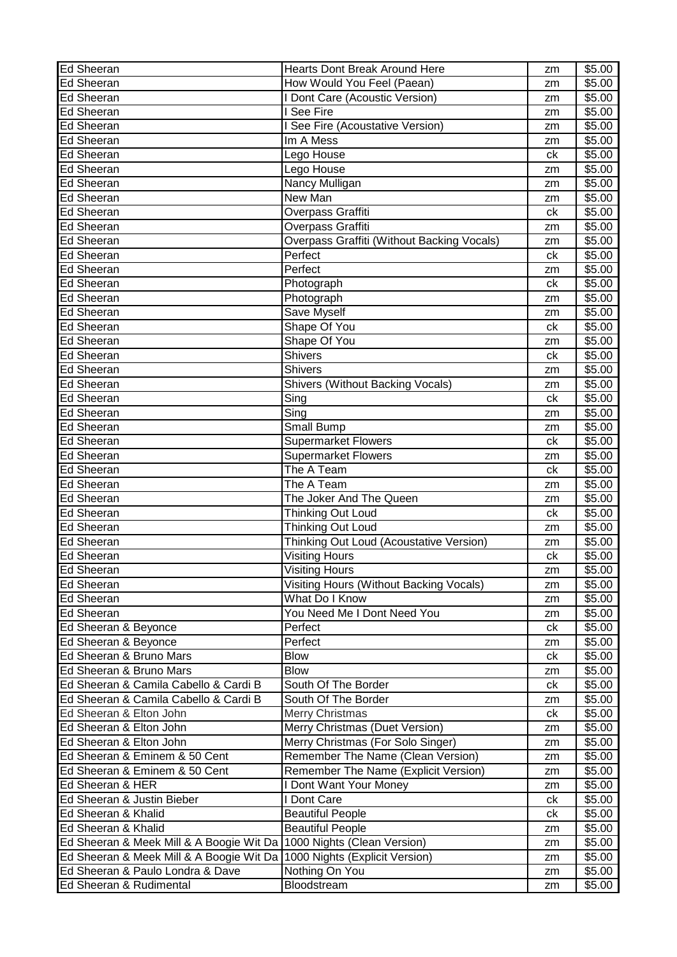| Ed Sheeran                               | Hearts Dont Break Around Here              | zm | \$5.00             |
|------------------------------------------|--------------------------------------------|----|--------------------|
| Ed Sheeran                               | How Would You Feel (Paean)                 | zm | \$5.00             |
| Ed Sheeran                               | I Dont Care (Acoustic Version)             | zm | \$5.00             |
| <b>Ed Sheeran</b>                        | I See Fire                                 | zm | \$5.00             |
| Ed Sheeran                               | I See Fire (Acoustative Version)           | zm | \$5.00             |
| <b>Ed Sheeran</b>                        | Im A Mess                                  | zm | \$5.00             |
| <b>Ed Sheeran</b>                        | Lego House                                 | ck | \$5.00             |
| <b>Ed Sheeran</b>                        | Lego House                                 | zm | \$5.00             |
| <b>Ed Sheeran</b>                        | Nancy Mulligan                             | zm | \$5.00             |
| <b>Ed Sheeran</b>                        | New Man                                    | zm | \$5.00             |
| <b>Ed Sheeran</b>                        | Overpass Graffiti                          | ck | \$5.00             |
| <b>Ed Sheeran</b>                        | Overpass Graffiti                          | zm | \$5.00             |
| <b>Ed Sheeran</b>                        | Overpass Graffiti (Without Backing Vocals) | zm | \$5.00             |
| <b>Ed Sheeran</b>                        | Perfect                                    | ck | \$5.00             |
| Ed Sheeran                               | Perfect                                    | zm | \$5.00             |
| <b>Ed Sheeran</b>                        | Photograph                                 | ck | \$5.00             |
| <b>Ed Sheeran</b>                        | Photograph                                 | zm | \$5.00             |
| <b>Ed Sheeran</b>                        | Save Myself                                | zm | \$5.00             |
| <b>Ed Sheeran</b>                        | Shape Of You                               | ck | \$5.00             |
| <b>Ed Sheeran</b>                        | Shape Of You                               | zm | \$5.00             |
| <b>Ed Sheeran</b>                        | <b>Shivers</b>                             | ck | \$5.00             |
| <b>Ed Sheeran</b>                        | <b>Shivers</b>                             |    | \$5.00             |
| <b>Ed Sheeran</b>                        |                                            | zm |                    |
|                                          | Shivers (Without Backing Vocals)           | zm | \$5.00             |
| <b>Ed Sheeran</b>                        | Sing                                       | ck | \$5.00             |
| <b>Ed Sheeran</b>                        | Sing                                       | zm | \$5.00             |
| <b>Ed Sheeran</b>                        | <b>Small Bump</b>                          | zm | \$5.00             |
| <b>Ed Sheeran</b>                        | <b>Supermarket Flowers</b>                 | ck | \$5.00             |
| <b>Ed Sheeran</b>                        | <b>Supermarket Flowers</b>                 | zm | \$5.00             |
| Ed Sheeran                               | The A Team                                 | ck | \$5.00             |
| <b>Ed Sheeran</b>                        | The A Team                                 | zm | \$5.00             |
| Ed Sheeran                               | The Joker And The Queen                    | zm | \$5.00             |
| Ed Sheeran                               | Thinking Out Loud                          | ck | \$5.00             |
| Ed Sheeran                               | Thinking Out Loud                          | zm | \$5.00             |
| <b>Ed Sheeran</b>                        | Thinking Out Loud (Acoustative Version)    | zm | \$5.00             |
| <b>Ed Sheeran</b>                        | <b>Visiting Hours</b>                      | сk | \$5.00             |
| Ed Sheeran                               | Visiting Hours                             | zm | \$5.00             |
| Ed Sheeran                               | Visiting Hours (Without Backing Vocals)    | zm | \$5.00             |
| Ed Sheeran                               | What Do I Know                             | zm | \$5.00             |
| <b>Ed Sheeran</b>                        | You Need Me I Dont Need You                | zm | \$5.00             |
| Ed Sheeran & Beyonce                     | Perfect                                    | сk | \$5.00             |
| Ed Sheeran & Beyonce                     | Perfect                                    | zm | \$5.00             |
| Ed Sheeran & Bruno Mars                  | <b>Blow</b>                                | ck | \$5.00             |
| Ed Sheeran & Bruno Mars                  | <b>Blow</b>                                | zm | \$5.00             |
| Ed Sheeran & Camila Cabello & Cardi B    | South Of The Border                        | ck | \$5.00             |
| Ed Sheeran & Camila Cabello & Cardi B    | South Of The Border                        | zm | \$5.00             |
| Ed Sheeran & Elton John                  | Merry Christmas                            | ck | \$5.00             |
| Ed Sheeran & Elton John                  | Merry Christmas (Duet Version)             | zm | \$5.00             |
| Ed Sheeran & Elton John                  | Merry Christmas (For Solo Singer)          | zm | \$5.00             |
| Ed Sheeran & Eminem & 50 Cent            | Remember The Name (Clean Version)          | zm | \$5.00             |
| Ed Sheeran & Eminem & 50 Cent            | Remember The Name (Explicit Version)       | zm | $\overline{$}5.00$ |
| Ed Sheeran & HER                         | I Dont Want Your Money                     | zm | \$5.00             |
| Ed Sheeran & Justin Bieber               | I Dont Care                                | ck | \$5.00             |
| Ed Sheeran & Khalid                      | <b>Beautiful People</b>                    | сk | \$5.00             |
| Ed Sheeran & Khalid                      | <b>Beautiful People</b>                    | zm | \$5.00             |
| Ed Sheeran & Meek Mill & A Boogie Wit Da | 1000 Nights (Clean Version)                | zm | \$5.00             |
| Ed Sheeran & Meek Mill & A Boogie Wit Da | 1000 Nights (Explicit Version)             |    | \$5.00             |
| Ed Sheeran & Paulo Londra & Dave         | Nothing On You                             | zm | \$5.00             |
| Ed Sheeran & Rudimental                  | Bloodstream                                | zm | \$5.00             |
|                                          |                                            | zm |                    |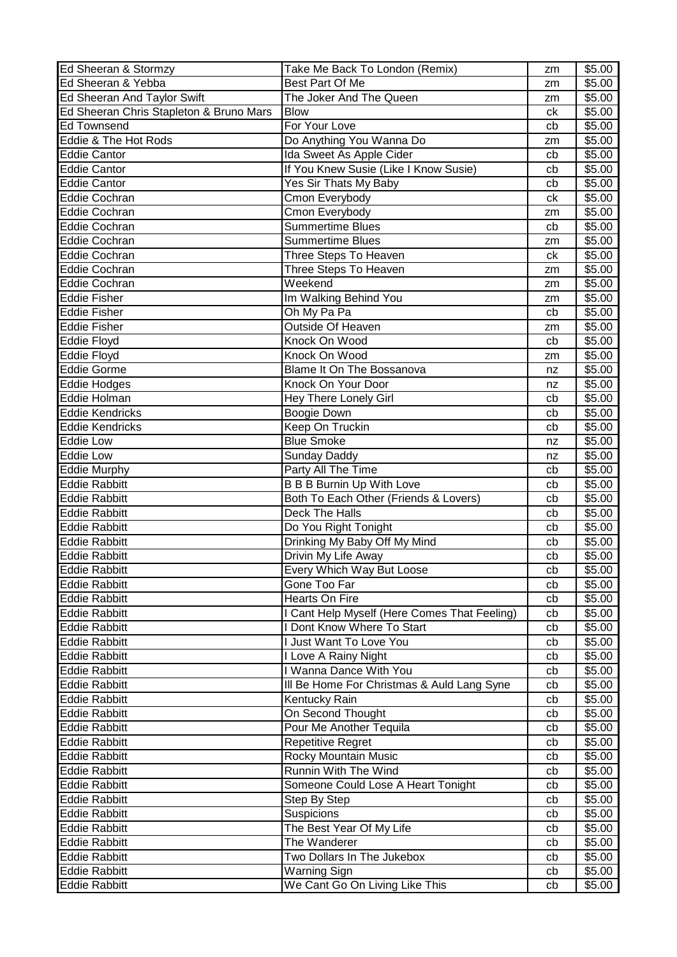| Ed Sheeran & Stormzy                    | Take Me Back To London (Remix)               | zm | \$5.00 |
|-----------------------------------------|----------------------------------------------|----|--------|
| Ed Sheeran & Yebba                      | Best Part Of Me                              | zm | \$5.00 |
| Ed Sheeran And Taylor Swift             | The Joker And The Queen                      | zm | \$5.00 |
| Ed Sheeran Chris Stapleton & Bruno Mars | <b>Blow</b>                                  | ck | \$5.00 |
| <b>Ed Townsend</b>                      | For Your Love                                | cb | \$5.00 |
| Eddie & The Hot Rods                    | Do Anything You Wanna Do                     | zm | \$5.00 |
| <b>Eddie Cantor</b>                     | Ida Sweet As Apple Cider                     | cb | \$5.00 |
| <b>Eddie Cantor</b>                     | If You Knew Susie (Like I Know Susie)        | cb | \$5.00 |
| <b>Eddie Cantor</b>                     | Yes Sir Thats My Baby                        | cb | \$5.00 |
| <b>Eddie Cochran</b>                    | Cmon Everybody                               | ck | \$5.00 |
| <b>Eddie Cochran</b>                    | Cmon Everybody                               | zm | \$5.00 |
| Eddie Cochran                           | <b>Summertime Blues</b>                      | cb | \$5.00 |
| <b>Eddie Cochran</b>                    | <b>Summertime Blues</b>                      | zm | \$5.00 |
| <b>Eddie Cochran</b>                    | Three Steps To Heaven                        | ck | \$5.00 |
| <b>Eddie Cochran</b>                    | Three Steps To Heaven                        | zm | \$5.00 |
| Eddie Cochran                           | Weekend                                      | zm | \$5.00 |
| <b>Eddie Fisher</b>                     | Im Walking Behind You                        | zm | \$5.00 |
| <b>Eddie Fisher</b>                     | Oh My Pa Pa                                  | cb | \$5.00 |
| <b>Eddie Fisher</b>                     | Outside Of Heaven                            | zm | \$5.00 |
| Eddie Floyd                             | Knock On Wood                                | cb | \$5.00 |
| <b>Eddie Floyd</b>                      | Knock On Wood                                | zm | \$5.00 |
| <b>Eddie Gorme</b>                      | <b>Blame It On The Bossanova</b>             | nz | \$5.00 |
| <b>Eddie Hodges</b>                     | Knock On Your Door                           | nz | \$5.00 |
| Eddie Holman                            | Hey There Lonely Girl                        | cb | \$5.00 |
| <b>Eddie Kendricks</b>                  | Boogie Down                                  | cb | \$5.00 |
| <b>Eddie Kendricks</b>                  | Keep On Truckin                              |    | \$5.00 |
|                                         | <b>Blue Smoke</b>                            | cb |        |
| <b>Eddie Low</b>                        |                                              | nz | \$5.00 |
| <b>Eddie Low</b>                        | Sunday Daddy                                 | nz | \$5.00 |
| <b>Eddie Murphy</b>                     | Party All The Time                           | cb | \$5.00 |
| <b>Eddie Rabbitt</b>                    | <b>B B B Burnin Up With Love</b>             | cb | \$5.00 |
| <b>Eddie Rabbitt</b>                    | Both To Each Other (Friends & Lovers)        | cb | \$5.00 |
| <b>Eddie Rabbitt</b>                    | Deck The Halls                               | cb | \$5.00 |
| <b>Eddie Rabbitt</b>                    | Do You Right Tonight                         | cb | \$5.00 |
| <b>Eddie Rabbitt</b>                    | Drinking My Baby Off My Mind                 | cb | \$5.00 |
| <b>Eddie Rabbitt</b>                    | Drivin My Life Away                          | cb | \$5.00 |
| <b>Eddie Rabbitt</b>                    | Every Which Way But Loose                    | cb | \$5.00 |
| <b>Eddie Rabbitt</b>                    | Gone Too Far                                 | cb | \$5.00 |
| <b>Eddie Rabbitt</b>                    | Hearts On Fire                               | cb | \$5.00 |
| <b>Eddie Rabbitt</b>                    | I Cant Help Myself (Here Comes That Feeling) | cb | \$5.00 |
| <b>Eddie Rabbitt</b>                    | I Dont Know Where To Start                   | cb | \$5.00 |
| <b>Eddie Rabbitt</b>                    | I Just Want To Love You                      | cb | \$5.00 |
| <b>Eddie Rabbitt</b>                    | I Love A Rainy Night                         | cb | \$5.00 |
| <b>Eddie Rabbitt</b>                    | I Wanna Dance With You                       | cb | \$5.00 |
| <b>Eddie Rabbitt</b>                    | III Be Home For Christmas & Auld Lang Syne   | cb | \$5.00 |
| <b>Eddie Rabbitt</b>                    | Kentucky Rain                                | cb | \$5.00 |
| <b>Eddie Rabbitt</b>                    | On Second Thought                            | cb | \$5.00 |
| <b>Eddie Rabbitt</b>                    | Pour Me Another Tequila                      | cb | \$5.00 |
| <b>Eddie Rabbitt</b>                    | Repetitive Regret                            | cb | \$5.00 |
| <b>Eddie Rabbitt</b>                    | Rocky Mountain Music                         | cb | \$5.00 |
| <b>Eddie Rabbitt</b>                    | Runnin With The Wind                         | cb | \$5.00 |
| <b>Eddie Rabbitt</b>                    | Someone Could Lose A Heart Tonight           | cb | \$5.00 |
| <b>Eddie Rabbitt</b>                    | Step By Step                                 | cb | \$5.00 |
| <b>Eddie Rabbitt</b>                    | Suspicions                                   | cb | \$5.00 |
| <b>Eddie Rabbitt</b>                    | The Best Year Of My Life                     | cb | \$5.00 |
| <b>Eddie Rabbitt</b>                    | The Wanderer                                 | cb | \$5.00 |
| <b>Eddie Rabbitt</b>                    | Two Dollars In The Jukebox                   | cb | \$5.00 |
| <b>Eddie Rabbitt</b>                    | Warning Sign                                 | cb | \$5.00 |
| <b>Eddie Rabbitt</b>                    | We Cant Go On Living Like This               | cb | \$5.00 |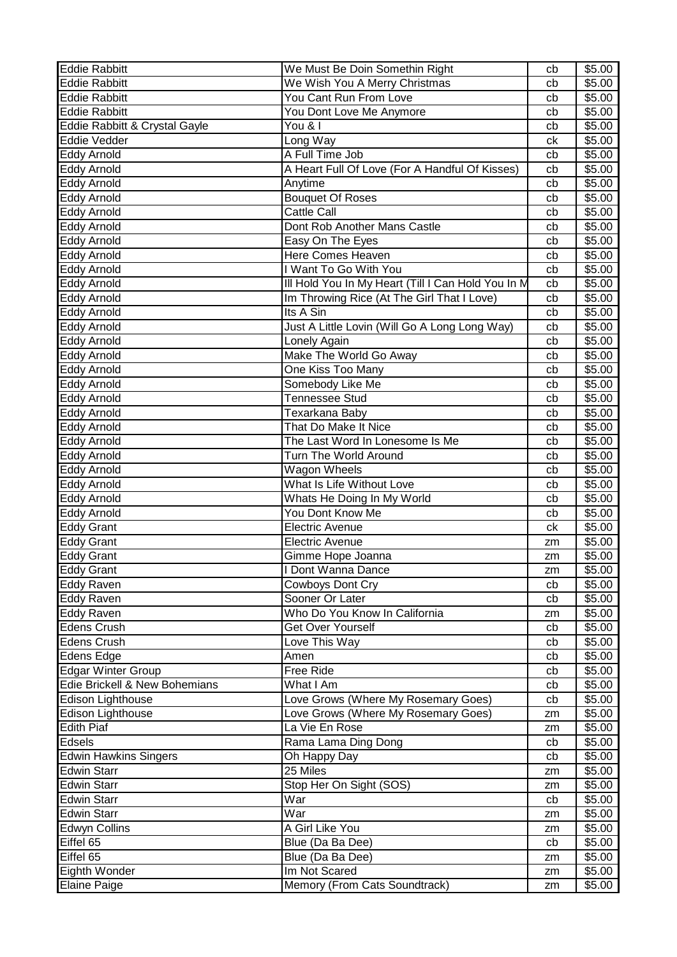| <b>Eddie Rabbitt</b>          | We Must Be Doin Somethin Right                     | cb | \$5.00 |
|-------------------------------|----------------------------------------------------|----|--------|
| <b>Eddie Rabbitt</b>          | We Wish You A Merry Christmas                      | cb | \$5.00 |
| <b>Eddie Rabbitt</b>          | You Cant Run From Love                             | cb | \$5.00 |
| <b>Eddie Rabbitt</b>          | You Dont Love Me Anymore                           | cb | \$5.00 |
| Eddie Rabbitt & Crystal Gayle | You & I                                            | cb | \$5.00 |
| Eddie Vedder                  | Long Way                                           | ck | \$5.00 |
| Eddy Arnold                   | A Full Time Job                                    | cb | \$5.00 |
| Eddy Arnold                   | A Heart Full Of Love (For A Handful Of Kisses)     | cb | \$5.00 |
| Eddy Arnold                   | Anytime                                            | cb | \$5.00 |
| Eddy Arnold                   | <b>Bouquet Of Roses</b>                            | cb | \$5.00 |
| Eddy Arnold                   | Cattle Call                                        | cb | \$5.00 |
| Eddy Arnold                   | Dont Rob Another Mans Castle                       | cb | \$5.00 |
| Eddy Arnold                   | Easy On The Eyes                                   | cb | \$5.00 |
| Eddy Arnold                   | <b>Here Comes Heaven</b>                           | cb | \$5.00 |
| Eddy Arnold                   | I Want To Go With You                              | cb | \$5.00 |
| Eddy Arnold                   | Ill Hold You In My Heart (Till I Can Hold You In M | cb | \$5.00 |
| <b>Eddy Arnold</b>            | Im Throwing Rice (At The Girl That I Love)         | cb | \$5.00 |
| <b>Eddy Arnold</b>            | Its A Sin                                          | cb | \$5.00 |
| <b>Eddy Arnold</b>            | Just A Little Lovin (Will Go A Long Long Way)      | cb | \$5.00 |
| <b>Eddy Arnold</b>            | Lonely Again                                       | cb | \$5.00 |
| Eddy Arnold                   | Make The World Go Away                             | cb | \$5.00 |
|                               |                                                    | cb | \$5.00 |
| Eddy Arnold                   | One Kiss Too Many                                  |    |        |
| <b>Eddy Arnold</b>            | Somebody Like Me                                   | cb | \$5.00 |
| Eddy Arnold                   | <b>Tennessee Stud</b>                              | cb | \$5.00 |
| <b>Eddy Arnold</b>            | Texarkana Baby                                     | cb | \$5.00 |
| Eddy Arnold                   | That Do Make It Nice                               | cb | \$5.00 |
| Eddy Arnold                   | The Last Word In Lonesome Is Me                    | cb | \$5.00 |
| <b>Eddy Arnold</b>            | Turn The World Around                              | cb | \$5.00 |
| Eddy Arnold                   | Wagon Wheels                                       | cb | \$5.00 |
| Eddy Arnold                   | What Is Life Without Love                          | cb | \$5.00 |
| Eddy Arnold                   | Whats He Doing In My World                         | cb | \$5.00 |
| Eddy Arnold                   | You Dont Know Me                                   | cb | \$5.00 |
| <b>Eddy Grant</b>             | <b>Electric Avenue</b>                             | ck | \$5.00 |
| <b>Eddy Grant</b>             | Electric Avenue                                    | zm | \$5.00 |
| <b>Eddy Grant</b>             | Gimme Hope Joanna                                  | zm | \$5.00 |
| <b>Eddy Grant</b>             | I Dont Wanna Dance                                 | zm | \$5.00 |
| <b>Eddy Raven</b>             | Cowboys Dont Cry                                   | cb | \$5.00 |
| <b>Eddy Raven</b>             | Sooner Or Later                                    | cb | \$5.00 |
| <b>Eddy Raven</b>             | Who Do You Know In California                      | zm | \$5.00 |
| <b>Edens Crush</b>            | Get Over Yourself                                  | cb | \$5.00 |
| <b>Edens Crush</b>            | Love This Way                                      | cb | \$5.00 |
| Edens Edge                    | Amen                                               | cb | \$5.00 |
| <b>Edgar Winter Group</b>     | Free Ride                                          | cb | \$5.00 |
| Edie Brickell & New Bohemians | What I Am                                          | cb | \$5.00 |
| Edison Lighthouse             | Love Grows (Where My Rosemary Goes)                | cb | \$5.00 |
| Edison Lighthouse             | Love Grows (Where My Rosemary Goes)                | zm | \$5.00 |
| <b>Edith Piaf</b>             | La Vie En Rose                                     | zm | \$5.00 |
| Edsels                        | Rama Lama Ding Dong                                | cb | \$5.00 |
| <b>Edwin Hawkins Singers</b>  | Oh Happy Day                                       | cb | \$5.00 |
| <b>Edwin Starr</b>            | 25 Miles                                           | zm | \$5.00 |
| <b>Edwin Starr</b>            | Stop Her On Sight (SOS)                            | zm | \$5.00 |
| <b>Edwin Starr</b>            | War                                                | cb | \$5.00 |
| <b>Edwin Starr</b>            | War                                                | zm | \$5.00 |
| <b>Edwyn Collins</b>          | A Girl Like You                                    | zm | \$5.00 |
| Eiffel 65                     | Blue (Da Ba Dee)                                   | cb | \$5.00 |
| Eiffel 65                     | Blue (Da Ba Dee)                                   | zm | \$5.00 |
| Eighth Wonder                 | Im Not Scared                                      | zm | \$5.00 |
| <b>Elaine Paige</b>           | Memory (From Cats Soundtrack)                      | zm | \$5.00 |
|                               |                                                    |    |        |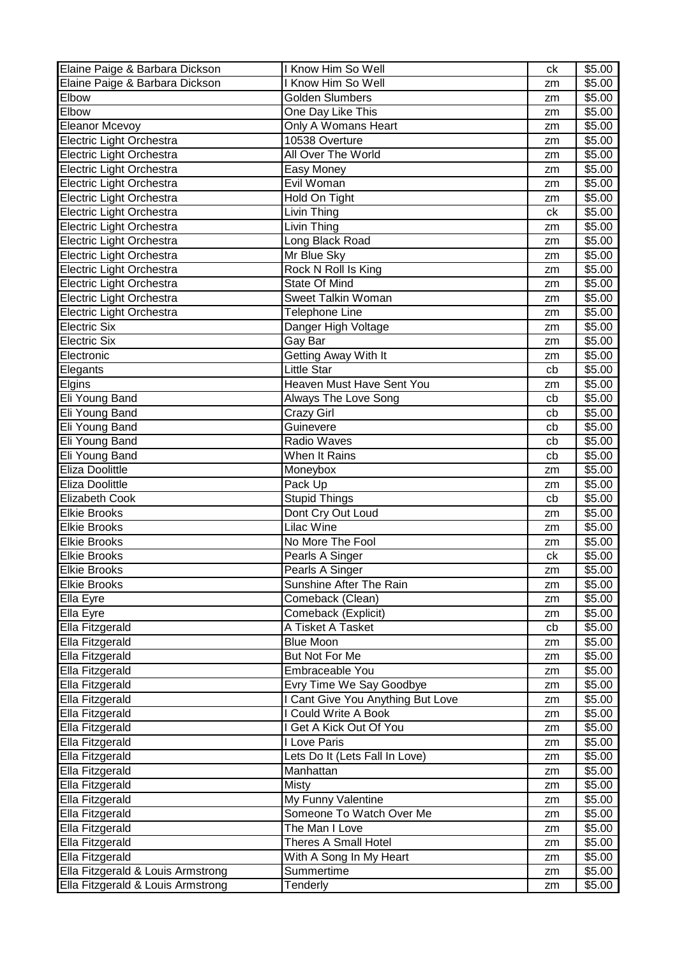| Elaine Paige & Barbara Dickson    | I Know Him So Well                | ck | \$5.00 |
|-----------------------------------|-----------------------------------|----|--------|
| Elaine Paige & Barbara Dickson    | I Know Him So Well                | zm | \$5.00 |
| Elbow                             | Golden Slumbers                   | zm | \$5.00 |
| Elbow                             | One Day Like This                 | zm | \$5.00 |
| <b>Eleanor Mcevoy</b>             | Only A Womans Heart               | zm | \$5.00 |
| Electric Light Orchestra          | 10538 Overture                    | zm | \$5.00 |
| Electric Light Orchestra          | All Over The World                | zm | \$5.00 |
| Electric Light Orchestra          | Easy Money                        | zm | \$5.00 |
| Electric Light Orchestra          | Evil Woman                        | zm | \$5.00 |
| Electric Light Orchestra          | Hold On Tight                     | zm | \$5.00 |
| Electric Light Orchestra          | Livin Thing                       | ck | \$5.00 |
| Electric Light Orchestra          | Livin Thing                       | zm | \$5.00 |
| Electric Light Orchestra          | Long Black Road                   | zm | \$5.00 |
| Electric Light Orchestra          | Mr Blue Sky                       | zm | \$5.00 |
| Electric Light Orchestra          | Rock N Roll Is King               | zm | \$5.00 |
| Electric Light Orchestra          | State Of Mind                     | zm | \$5.00 |
| Electric Light Orchestra          | Sweet Talkin Woman                | zm | \$5.00 |
| Electric Light Orchestra          | Telephone Line                    | zm | \$5.00 |
| <b>Electric Six</b>               | Danger High Voltage               | zm | \$5.00 |
| <b>Electric Six</b>               | Gay Bar                           | zm | \$5.00 |
| Electronic                        | Getting Away With It              | zm | \$5.00 |
| Elegants                          | Little Star                       | cb | \$5.00 |
| Elgins                            | Heaven Must Have Sent You         | zm | \$5.00 |
| Eli Young Band                    | Always The Love Song              | cb | \$5.00 |
| Eli Young Band                    | Crazy Girl                        | cb | \$5.00 |
| Eli Young Band                    | Guinevere                         | cb | \$5.00 |
| Eli Young Band                    | Radio Waves                       | cb | \$5.00 |
| Eli Young Band                    | When It Rains                     | cb | \$5.00 |
| Eliza Doolittle                   | Moneybox                          | zm | \$5.00 |
| Eliza Doolittle                   | Pack Up                           | zm | \$5.00 |
| <b>Elizabeth Cook</b>             | <b>Stupid Things</b>              | cb | \$5.00 |
| <b>Elkie Brooks</b>               | Dont Cry Out Loud                 | zm | \$5.00 |
| <b>Elkie Brooks</b>               | Lilac Wine                        | zm | \$5.00 |
| <b>Elkie Brooks</b>               | No More The Fool                  | zm | \$5.00 |
| <b>Elkie Brooks</b>               | Pearls A Singer                   | ck | \$5.00 |
| <b>Elkie Brooks</b>               | Pearls A Singer                   | zm | \$5.00 |
| <b>Elkie Brooks</b>               | Sunshine After The Rain           | zm | \$5.00 |
| Ella Eyre                         | Comeback (Clean)                  | zm | \$5.00 |
| Ella Eyre                         | Comeback (Explicit)               | zm | \$5.00 |
| Ella Fitzgerald                   | A Tisket A Tasket                 | cb | \$5.00 |
| Ella Fitzgerald                   | <b>Blue Moon</b>                  | zm | \$5.00 |
| Ella Fitzgerald                   | But Not For Me                    | zm | \$5.00 |
| Ella Fitzgerald                   | Embraceable You                   | zm | \$5.00 |
| Ella Fitzgerald                   | Evry Time We Say Goodbye          | zm | \$5.00 |
| Ella Fitzgerald                   | I Cant Give You Anything But Love | zm | \$5.00 |
| Ella Fitzgerald                   | I Could Write A Book              | zm | \$5.00 |
| Ella Fitzgerald                   | I Get A Kick Out Of You           | zm | \$5.00 |
| Ella Fitzgerald                   | I Love Paris                      | zm | \$5.00 |
| Ella Fitzgerald                   | Lets Do It (Lets Fall In Love)    | zm | \$5.00 |
| Ella Fitzgerald                   | Manhattan                         | zm | \$5.00 |
| Ella Fitzgerald                   | <b>Misty</b>                      | zm | \$5.00 |
| Ella Fitzgerald                   | My Funny Valentine                | zm | \$5.00 |
| Ella Fitzgerald                   | Someone To Watch Over Me          | zm | \$5.00 |
| Ella Fitzgerald                   | The Man I Love                    | zm | \$5.00 |
| Ella Fitzgerald                   | <b>Theres A Small Hotel</b>       | zm | \$5.00 |
| Ella Fitzgerald                   | With A Song In My Heart           | zm | \$5.00 |
| Ella Fitzgerald & Louis Armstrong | Summertime                        | zm | \$5.00 |
| Ella Fitzgerald & Louis Armstrong | <b>Tenderly</b>                   | zm | \$5.00 |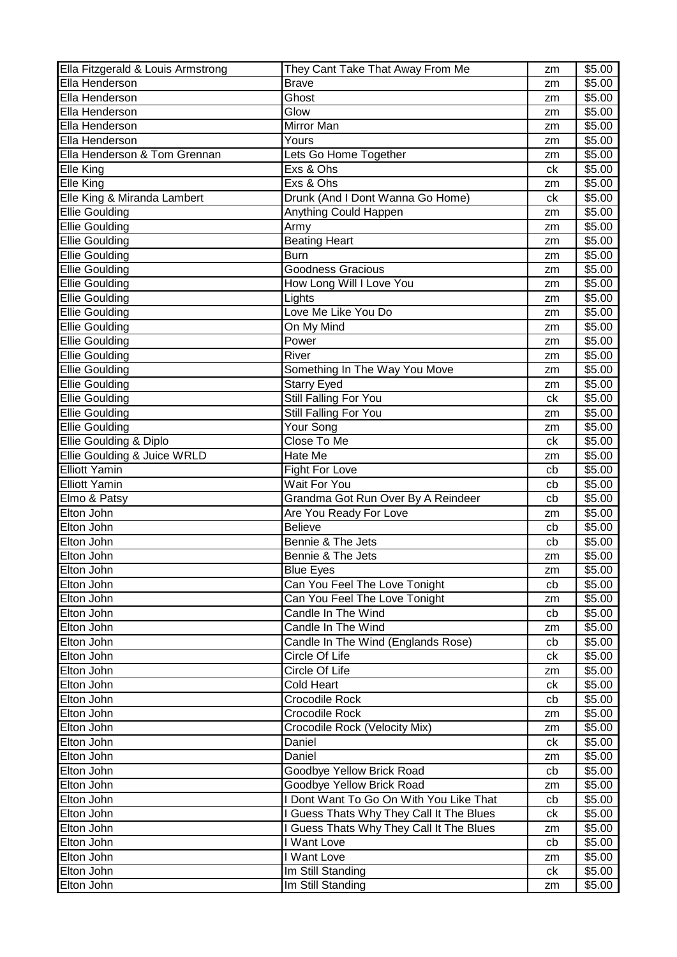| Ella Fitzgerald & Louis Armstrong | They Cant Take That Away From Me         | zm | \$5.00 |
|-----------------------------------|------------------------------------------|----|--------|
| Ella Henderson                    | <b>Brave</b>                             | zm | \$5.00 |
| Ella Henderson                    | Ghost                                    | zm | \$5.00 |
| Ella Henderson                    | Glow                                     | zm | \$5.00 |
| Ella Henderson                    | Mirror Man                               | zm | \$5.00 |
| Ella Henderson                    | Yours                                    | zm | \$5.00 |
| Ella Henderson & Tom Grennan      | Lets Go Home Together                    | zm | \$5.00 |
| Elle King                         | Exs & Ohs                                | ck | \$5.00 |
| $\overline{\text{El}}$ le King    | Exs & Ohs                                | zm | \$5.00 |
| Elle King & Miranda Lambert       | Drunk (And I Dont Wanna Go Home)         | ck | \$5.00 |
| <b>Ellie Goulding</b>             | Anything Could Happen                    | zm | \$5.00 |
| <b>Ellie Goulding</b>             | Army                                     | zm | \$5.00 |
| <b>Ellie Goulding</b>             | <b>Beating Heart</b>                     | zm | \$5.00 |
| <b>Ellie Goulding</b>             | <b>Burn</b>                              |    | \$5.00 |
|                                   |                                          | zm |        |
| <b>Ellie Goulding</b>             | Goodness Gracious                        | zm | \$5.00 |
| <b>Ellie Goulding</b>             | How Long Will I Love You                 | zm | \$5.00 |
| <b>Ellie Goulding</b>             | Lights                                   | zm | \$5.00 |
| Ellie Goulding                    | Love Me Like You Do                      | zm | \$5.00 |
| <b>Ellie Goulding</b>             | On My Mind                               | zm | \$5.00 |
| <b>Ellie Goulding</b>             | Power                                    | zm | \$5.00 |
| <b>Ellie Goulding</b>             | River                                    | zm | \$5.00 |
| <b>Ellie Goulding</b>             | Something In The Way You Move            | zm | \$5.00 |
| <b>Ellie Goulding</b>             | <b>Starry Eyed</b>                       | zm | \$5.00 |
| <b>Ellie Goulding</b>             | Still Falling For You                    | ck | \$5.00 |
| <b>Ellie Goulding</b>             | Still Falling For You                    | zm | \$5.00 |
| <b>Ellie Goulding</b>             | Your Song                                | zm | \$5.00 |
| Ellie Goulding & Diplo            | Close To Me                              | ck | \$5.00 |
| Ellie Goulding & Juice WRLD       | Hate Me                                  | zm | \$5.00 |
| <b>Elliott Yamin</b>              | <b>Fight For Love</b>                    | cb | \$5.00 |
| <b>Elliott Yamin</b>              | Wait For You                             | cb | \$5.00 |
| Elmo & Patsy                      | Grandma Got Run Over By A Reindeer       | cb | \$5.00 |
| Elton John                        | Are You Ready For Love                   | zm | \$5.00 |
| Elton John                        | <b>Believe</b>                           | cb | \$5.00 |
| Elton John                        | Bennie & The Jets                        | cb | \$5.00 |
| Elton John                        | Bennie & The Jets                        | zm | \$5.00 |
| Elton John                        | Blue Eyes                                | zm | \$5.00 |
| Elton John                        | Can You Feel The Love Tonight            | cb | \$5.00 |
| Elton John                        | Can You Feel The Love Tonight            | zm | \$5.00 |
| Elton John                        | Candle In The Wind                       | cb | \$5.00 |
| Elton John                        | Candle In The Wind                       | zm | \$5.00 |
| Elton John                        | Candle In The Wind (Englands Rose)       | cb | \$5.00 |
| Elton John                        | Circle Of Life                           | ck | \$5.00 |
| Elton John                        | Circle Of Life                           | zm | \$5.00 |
| Elton John                        | Cold Heart                               | ck | \$5.00 |
| Elton John                        | Crocodile Rock                           | cb | \$5.00 |
| Elton John                        | Crocodile Rock                           | zm | \$5.00 |
| Elton John                        | Crocodile Rock (Velocity Mix)            | zm | \$5.00 |
| Elton John                        | Daniel                                   | ck | \$5.00 |
| Elton John                        | Daniel                                   | zm | \$5.00 |
| Elton John                        | Goodbye Yellow Brick Road                | cb | \$5.00 |
| Elton John                        | Goodbye Yellow Brick Road                | zm | \$5.00 |
| Elton John                        | I Dont Want To Go On With You Like That  | cb | \$5.00 |
| Elton John                        | I Guess Thats Why They Call It The Blues | ck | \$5.00 |
| Elton John                        |                                          |    |        |
|                                   | I Guess Thats Why They Call It The Blues | zm | \$5.00 |
| Elton John                        | I Want Love                              | cb | \$5.00 |
| Elton John                        | I Want Love                              | zm | \$5.00 |
| Elton John                        | Im Still Standing                        | ck | \$5.00 |
| Elton John                        | Im Still Standing                        | zm | \$5.00 |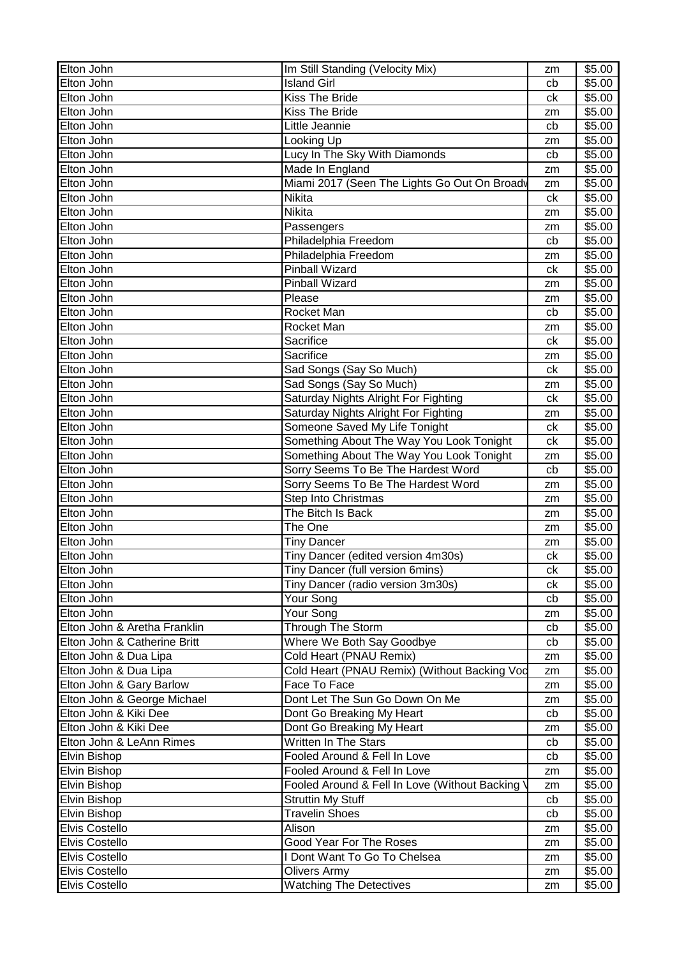| Elton John                   | Im Still Standing (Velocity Mix)               | zm | \$5.00 |
|------------------------------|------------------------------------------------|----|--------|
| Elton John                   | <b>Island Girl</b>                             | cb | \$5.00 |
| Elton John                   | Kiss The Bride                                 | ck | \$5.00 |
| Elton John                   | <b>Kiss The Bride</b>                          | zm | \$5.00 |
| Elton John                   | Little Jeannie                                 | cb | \$5.00 |
| Elton John                   | Looking Up                                     | zm | \$5.00 |
| Elton John                   | Lucy In The Sky With Diamonds                  | cb | \$5.00 |
| Elton John                   | Made In England                                | zm | \$5.00 |
| Elton John                   | Miami 2017 (Seen The Lights Go Out On Broady   | zm | \$5.00 |
| Elton John                   | Nikita                                         | ck | \$5.00 |
| Elton John                   | <b>Nikita</b>                                  | zm | \$5.00 |
| Elton John                   | Passengers                                     | zm | \$5.00 |
| Elton John                   | Philadelphia Freedom                           | cb | \$5.00 |
| Elton John                   | Philadelphia Freedom                           | zm | \$5.00 |
| Elton John                   | <b>Pinball Wizard</b>                          | ck | \$5.00 |
| Elton John                   | <b>Pinball Wizard</b>                          | zm | \$5.00 |
| Elton John                   | Please                                         | zm | \$5.00 |
| Elton John                   | Rocket Man                                     | cb | \$5.00 |
| Elton John                   | Rocket Man                                     | zm | \$5.00 |
| Elton John                   | Sacrifice                                      | ck | \$5.00 |
| Elton John                   | Sacrifice                                      | zm | \$5.00 |
| Elton John                   | Sad Songs (Say So Much)                        | ck | \$5.00 |
| Elton John                   | Sad Songs (Say So Much)                        | zm | \$5.00 |
| Elton John                   | Saturday Nights Alright For Fighting           | ck | \$5.00 |
| Elton John                   | Saturday Nights Alright For Fighting           | zm | \$5.00 |
| Elton John                   | Someone Saved My Life Tonight                  | ck | \$5.00 |
| Elton John                   | Something About The Way You Look Tonight       | ck | \$5.00 |
| Elton John                   | Something About The Way You Look Tonight       | zm | \$5.00 |
| Elton John                   | Sorry Seems To Be The Hardest Word             | cb | \$5.00 |
| Elton John                   | Sorry Seems To Be The Hardest Word             | zm | \$5.00 |
| Elton John                   | Step Into Christmas                            | zm | \$5.00 |
| Elton John                   | The Bitch Is Back                              | zm | \$5.00 |
| Elton John                   | The One                                        | zm | \$5.00 |
| Elton John                   | <b>Tiny Dancer</b>                             | zm | \$5.00 |
| Elton John                   | Tiny Dancer (edited version 4m30s)             | ck | \$5.00 |
| Elton John                   | Tiny Dancer (full version 6mins)               | ck | \$5.00 |
| Elton John                   | Tiny Dancer (radio version 3m30s)              | сk | \$5.00 |
| Elton John                   | Your Song                                      | cb | \$5.00 |
| Elton John                   | Your Song                                      | zm | \$5.00 |
| Elton John & Aretha Franklin | Through The Storm                              | cb | \$5.00 |
| Elton John & Catherine Britt | Where We Both Say Goodbye                      | cb | \$5.00 |
| Elton John & Dua Lipa        | Cold Heart (PNAU Remix)                        | zm | \$5.00 |
| Elton John & Dua Lipa        | Cold Heart (PNAU Remix) (Without Backing Vod   | zm | \$5.00 |
| Elton John & Gary Barlow     | Face To Face                                   | zm | \$5.00 |
| Elton John & George Michael  | Dont Let The Sun Go Down On Me                 | zm | \$5.00 |
| Elton John & Kiki Dee        | Dont Go Breaking My Heart                      | cb | \$5.00 |
| Elton John & Kiki Dee        | Dont Go Breaking My Heart                      | zm | \$5.00 |
| Elton John & LeAnn Rimes     | Written In The Stars                           | cb | \$5.00 |
| Elvin Bishop                 | Fooled Around & Fell In Love                   | cb | \$5.00 |
| Elvin Bishop                 | Fooled Around & Fell In Love                   | zm | \$5.00 |
| Elvin Bishop                 | Fooled Around & Fell In Love (Without Backing) | zm | \$5.00 |
| Elvin Bishop                 | <b>Struttin My Stuff</b>                       | cb | \$5.00 |
| Elvin Bishop                 | <b>Travelin Shoes</b>                          | cb | \$5.00 |
| Elvis Costello               | Alison                                         | zm | \$5.00 |
| Elvis Costello               | Good Year For The Roses                        | zm | \$5.00 |
| Elvis Costello               | I Dont Want To Go To Chelsea                   | zm | \$5.00 |
| <b>Elvis Costello</b>        | <b>Olivers Army</b>                            | zm | \$5.00 |
| Elvis Costello               | <b>Watching The Detectives</b>                 | zm | \$5.00 |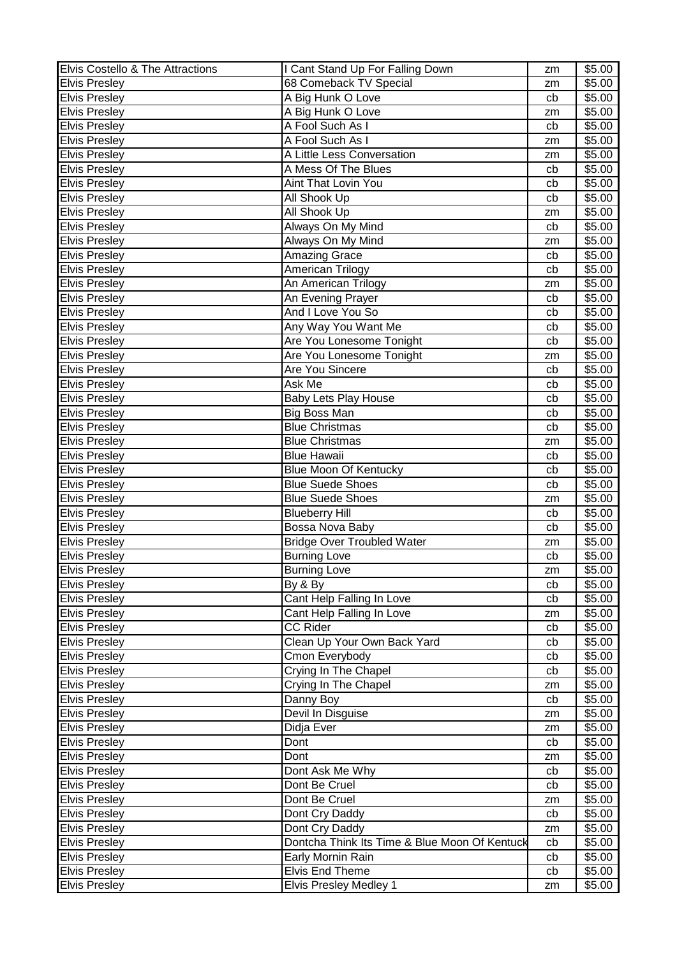| Elvis Costello & The Attractions | I Cant Stand Up For Falling Down              | zm | \$5.00 |
|----------------------------------|-----------------------------------------------|----|--------|
| <b>Elvis Presley</b>             | 68 Comeback TV Special                        | zm | \$5.00 |
| <b>Elvis Presley</b>             | A Big Hunk O Love                             | cb | \$5.00 |
| <b>Elvis Presley</b>             | A Big Hunk O Love                             | zm | \$5.00 |
| <b>Elvis Presley</b>             | A Fool Such As I                              | cb | \$5.00 |
| <b>Elvis Presley</b>             | A Fool Such As I                              | zm | \$5.00 |
| <b>Elvis Presley</b>             | A Little Less Conversation                    | zm | \$5.00 |
| <b>Elvis Presley</b>             | A Mess Of The Blues                           | cb | \$5.00 |
| <b>Elvis Presley</b>             | Aint That Lovin You                           | cb | \$5.00 |
| <b>Elvis Presley</b>             | All Shook Up                                  | cb | \$5.00 |
| <b>Elvis Presley</b>             | All Shook Up                                  | zm | \$5.00 |
| <b>Elvis Presley</b>             | Always On My Mind                             | cb | \$5.00 |
| <b>Elvis Presley</b>             | Always On My Mind                             | zm | \$5.00 |
|                                  |                                               |    |        |
| <b>Elvis Presley</b>             | Amazing Grace                                 | cb | \$5.00 |
| <b>Elvis Presley</b>             | American Trilogy                              | cb | \$5.00 |
| <b>Elvis Presley</b>             | An American Trilogy                           | zm | \$5.00 |
| <b>Elvis Presley</b>             | An Evening Prayer                             | cb | \$5.00 |
| <b>Elvis Presley</b>             | And I Love You So                             | cb | \$5.00 |
| <b>Elvis Presley</b>             | Any Way You Want Me                           | cb | \$5.00 |
| <b>Elvis Presley</b>             | Are You Lonesome Tonight                      | cb | \$5.00 |
| <b>Elvis Presley</b>             | Are You Lonesome Tonight                      | zm | \$5.00 |
| <b>Elvis Presley</b>             | Are You Sincere                               | cb | \$5.00 |
| <b>Elvis Presley</b>             | Ask Me                                        | cb | \$5.00 |
| <b>Elvis Presley</b>             | <b>Baby Lets Play House</b>                   | cb | \$5.00 |
| <b>Elvis Presley</b>             | Big Boss Man                                  | cb | \$5.00 |
| <b>Elvis Presley</b>             | <b>Blue Christmas</b>                         | cb | \$5.00 |
| <b>Elvis Presley</b>             | <b>Blue Christmas</b>                         | zm | \$5.00 |
| <b>Elvis Presley</b>             | <b>Blue Hawaii</b>                            | cb | \$5.00 |
| <b>Elvis Presley</b>             | <b>Blue Moon Of Kentucky</b>                  | cb | \$5.00 |
| <b>Elvis Presley</b>             | <b>Blue Suede Shoes</b>                       | cb | \$5.00 |
| <b>Elvis Presley</b>             | <b>Blue Suede Shoes</b>                       | zm | \$5.00 |
| <b>Elvis Presley</b>             | <b>Blueberry Hill</b>                         | cb | \$5.00 |
| <b>Elvis Presley</b>             | Bossa Nova Baby                               | cb | \$5.00 |
| <b>Elvis Presley</b>             | <b>Bridge Over Troubled Water</b>             | zm | \$5.00 |
| <b>Elvis Presley</b>             | <b>Burning Love</b>                           | cb | \$5.00 |
| <b>Elvis Presley</b>             | <b>Burning Love</b>                           | zm | \$5.00 |
| <b>Elvis Presley</b>             | By & By                                       | cb | \$5.00 |
| <b>Elvis Presley</b>             | Cant Help Falling In Love                     | cb | \$5.00 |
| <b>Elvis Presley</b>             | Cant Help Falling In Love                     | zm | \$5.00 |
| <b>Elvis Presley</b>             | <b>CC Rider</b>                               | cb | \$5.00 |
| <b>Elvis Presley</b>             | Clean Up Your Own Back Yard                   | cb | \$5.00 |
| <b>Elvis Presley</b>             | Cmon Everybody                                | cb | \$5.00 |
| <b>Elvis Presley</b>             | Crying In The Chapel                          | cb | \$5.00 |
| <b>Elvis Presley</b>             | Crying In The Chapel                          |    | \$5.00 |
| <b>Elvis Presley</b>             | Danny Boy                                     | zm | \$5.00 |
| <b>Elvis Presley</b>             | Devil In Disguise                             | cb | \$5.00 |
|                                  |                                               | zm |        |
| <b>Elvis Presley</b>             | Didja Ever                                    | zm | \$5.00 |
| <b>Elvis Presley</b>             | Dont                                          | cb | \$5.00 |
| <b>Elvis Presley</b>             | Dont                                          | zm | \$5.00 |
| <b>Elvis Presley</b>             | Dont Ask Me Why                               | cb | \$5.00 |
| <b>Elvis Presley</b>             | Dont Be Cruel                                 | cb | \$5.00 |
| <b>Elvis Presley</b>             | Dont Be Cruel                                 | zm | \$5.00 |
| <b>Elvis Presley</b>             | Dont Cry Daddy                                | cb | \$5.00 |
| <b>Elvis Presley</b>             | Dont Cry Daddy                                | zm | \$5.00 |
| <b>Elvis Presley</b>             | Dontcha Think Its Time & Blue Moon Of Kentuck | cb | \$5.00 |
| <b>Elvis Presley</b>             | Early Mornin Rain                             | cb | \$5.00 |
| <b>Elvis Presley</b>             | <b>Elvis End Theme</b>                        | cb | \$5.00 |
| <b>Elvis Presley</b>             | Elvis Presley Medley 1                        | zm | \$5.00 |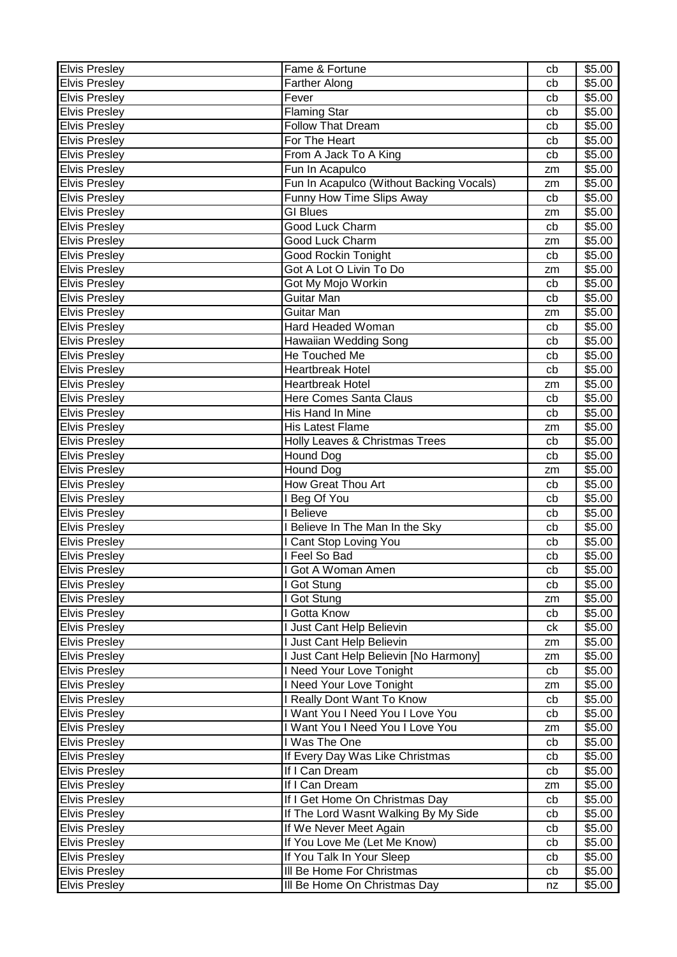| <b>Elvis Presley</b> | Fame & Fortune                           | cb       | \$5.00 |
|----------------------|------------------------------------------|----------|--------|
| <b>Elvis Presley</b> | <b>Farther Along</b>                     | cb       | \$5.00 |
| <b>Elvis Presley</b> | Fever                                    | cb       | \$5.00 |
| <b>Elvis Presley</b> | Flaming Star                             | cb       | \$5.00 |
| <b>Elvis Presley</b> | <b>Follow That Dream</b>                 | cb       | \$5.00 |
| <b>Elvis Presley</b> | For The Heart                            | cb       | \$5.00 |
| <b>Elvis Presley</b> | From A Jack To A King                    | cb       | \$5.00 |
| <b>Elvis Presley</b> | Fun In Acapulco                          | zm       | \$5.00 |
| <b>Elvis Presley</b> | Fun In Acapulco (Without Backing Vocals) | zm       | \$5.00 |
| <b>Elvis Presley</b> | Funny How Time Slips Away                | cb       | \$5.00 |
| <b>Elvis Presley</b> | <b>GI Blues</b>                          | zm       | \$5.00 |
| <b>Elvis Presley</b> | Good Luck Charm                          | cb       | \$5.00 |
| <b>Elvis Presley</b> | Good Luck Charm                          | zm       | \$5.00 |
| <b>Elvis Presley</b> | <b>Good Rockin Tonight</b>               | cb       | \$5.00 |
| <b>Elvis Presley</b> | Got A Lot O Livin To Do                  | zm       | \$5.00 |
| <b>Elvis Presley</b> | Got My Mojo Workin                       | cb       | \$5.00 |
| <b>Elvis Presley</b> | Guitar Man                               | cb       | \$5.00 |
| <b>Elvis Presley</b> | <b>Guitar Man</b>                        | zm       | \$5.00 |
| <b>Elvis Presley</b> | Hard Headed Woman                        | cb       | \$5.00 |
| <b>Elvis Presley</b> | Hawaiian Wedding Song                    | cb       | \$5.00 |
| <b>Elvis Presley</b> | He Touched Me                            | cb       | \$5.00 |
| <b>Elvis Presley</b> | <b>Heartbreak Hotel</b>                  | cb       | \$5.00 |
| <b>Elvis Presley</b> | <b>Heartbreak Hotel</b>                  | zm       | \$5.00 |
| <b>Elvis Presley</b> | <b>Here Comes Santa Claus</b>            | cb       | \$5.00 |
| <b>Elvis Presley</b> | His Hand In Mine                         | cb       | \$5.00 |
| <b>Elvis Presley</b> | <b>His Latest Flame</b>                  |          | \$5.00 |
| <b>Elvis Presley</b> | Holly Leaves & Christmas Trees           | zm<br>cb | \$5.00 |
| <b>Elvis Presley</b> | Hound Dog                                | cb       | \$5.00 |
| <b>Elvis Presley</b> | Hound Dog                                |          | \$5.00 |
|                      | How Great Thou Art                       | zm       |        |
| <b>Elvis Presley</b> |                                          | cb       | \$5.00 |
| <b>Elvis Presley</b> | <b>Beg Of You</b><br>I Believe           | cb       | \$5.00 |
| <b>Elvis Presley</b> |                                          | cb       | \$5.00 |
| <b>Elvis Presley</b> | Believe In The Man In the Sky            | cb       | \$5.00 |
| <b>Elvis Presley</b> | Cant Stop Loving You                     | cb       | \$5.00 |
| <b>Elvis Presley</b> | Feel So Bad                              | cb       | \$5.00 |
| <b>Elvis Presley</b> | Got A Woman Amen                         | cb       | \$5.00 |
| <b>Elvis Presley</b> | I Got Stung                              | cb       | \$5.00 |
| <b>Elvis Presley</b> | I Got Stung                              | zm       | \$5.00 |
| <b>Elvis Presley</b> | Gotta Know                               | cb       | \$5.00 |
| <b>Elvis Presley</b> | Just Cant Help Believin                  | сk       | \$5.00 |
| <b>Elvis Presley</b> | I Just Cant Help Believin                | zm       | \$5.00 |
| <b>Elvis Presley</b> | I Just Cant Help Believin [No Harmony]   | zm       | \$5.00 |
| <b>Elvis Presley</b> | I Need Your Love Tonight                 | cb       | \$5.00 |
| <b>Elvis Presley</b> | I Need Your Love Tonight                 | zm       | \$5.00 |
| <b>Elvis Presley</b> | I Really Dont Want To Know               | cb       | \$5.00 |
| <b>Elvis Presley</b> | I Want You I Need You I Love You         | cb       | \$5.00 |
| <b>Elvis Presley</b> | I Want You I Need You I Love You         | zm       | \$5.00 |
| <b>Elvis Presley</b> | I Was The One                            | cb       | \$5.00 |
| <b>Elvis Presley</b> | If Every Day Was Like Christmas          | cb       | \$5.00 |
| <b>Elvis Presley</b> | If I Can Dream                           | cb       | \$5.00 |
| <b>Elvis Presley</b> | If I Can Dream                           | zm       | \$5.00 |
| <b>Elvis Presley</b> | If I Get Home On Christmas Day           | cb       | \$5.00 |
| <b>Elvis Presley</b> | If The Lord Wasnt Walking By My Side     | cb       | \$5.00 |
| <b>Elvis Presley</b> | If We Never Meet Again                   | cb       | \$5.00 |
| <b>Elvis Presley</b> | If You Love Me (Let Me Know)             | cb       | \$5.00 |
| <b>Elvis Presley</b> | If You Talk In Your Sleep                | cb       | \$5.00 |
| <b>Elvis Presley</b> | III Be Home For Christmas                | cb       | \$5.00 |
| <b>Elvis Presley</b> | III Be Home On Christmas Day             | nz       | \$5.00 |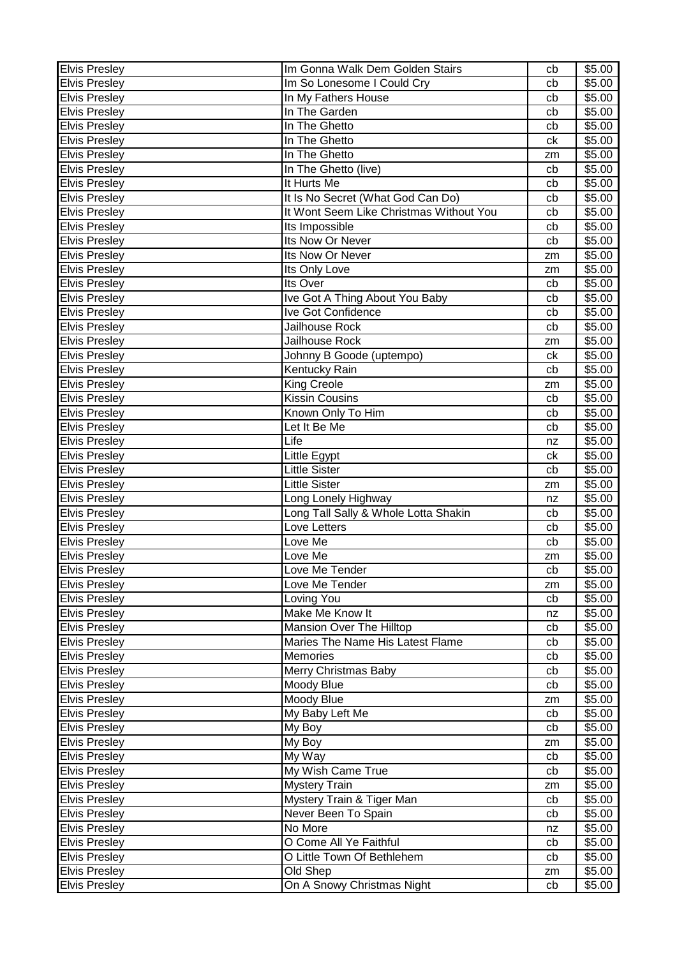| <b>Elvis Presley</b> | Im Gonna Walk Dem Golden Stairs         | cb       | \$5.00 |
|----------------------|-----------------------------------------|----------|--------|
| <b>Elvis Presley</b> | Im So Lonesome I Could Cry              | cb       | \$5.00 |
| <b>Elvis Presley</b> | In My Fathers House                     | cb       | \$5.00 |
| <b>Elvis Presley</b> | In The Garden                           | cb       | \$5.00 |
| <b>Elvis Presley</b> | In The Ghetto                           | cb       | \$5.00 |
| <b>Elvis Presley</b> | In The Ghetto                           | ck       | \$5.00 |
| <b>Elvis Presley</b> | In The Ghetto                           | zm       | \$5.00 |
| <b>Elvis Presley</b> | In The Ghetto (live)                    | cb       | \$5.00 |
| <b>Elvis Presley</b> | It Hurts Me                             | cb       | \$5.00 |
| <b>Elvis Presley</b> | It Is No Secret (What God Can Do)       | cb       | \$5.00 |
| <b>Elvis Presley</b> | It Wont Seem Like Christmas Without You | cb       | \$5.00 |
| <b>Elvis Presley</b> | Its Impossible                          | cb       | \$5.00 |
| <b>Elvis Presley</b> | Its Now Or Never                        | cb       | \$5.00 |
| <b>Elvis Presley</b> | Its Now Or Never                        |          | \$5.00 |
|                      |                                         | zm       |        |
| <b>Elvis Presley</b> | Its Only Love                           | zm       | \$5.00 |
| <b>Elvis Presley</b> | Its Over                                | cb       | \$5.00 |
| <b>Elvis Presley</b> | Ive Got A Thing About You Baby          | cb       | \$5.00 |
| <b>Elvis Presley</b> | Ive Got Confidence                      | cb       | \$5.00 |
| <b>Elvis Presley</b> | Jailhouse Rock                          | cb       | \$5.00 |
| <b>Elvis Presley</b> | Jailhouse Rock                          | zm       | \$5.00 |
| <b>Elvis Presley</b> | Johnny B Goode (uptempo)                | ck       | \$5.00 |
| <b>Elvis Presley</b> | Kentucky Rain                           | cb       | \$5.00 |
| <b>Elvis Presley</b> | King Creole                             | zm       | \$5.00 |
| <b>Elvis Presley</b> | <b>Kissin Cousins</b>                   | cb       | \$5.00 |
| <b>Elvis Presley</b> | Known Only To Him                       | cb       | \$5.00 |
| <b>Elvis Presley</b> | Let It Be Me                            | cb       | \$5.00 |
| <b>Elvis Presley</b> | Life                                    | nz       | \$5.00 |
| <b>Elvis Presley</b> | Little Egypt                            | сk       | \$5.00 |
| <b>Elvis Presley</b> | <b>Little Sister</b>                    | cb       | \$5.00 |
| <b>Elvis Presley</b> | <b>Little Sister</b>                    | zm       | \$5.00 |
| <b>Elvis Presley</b> | Long Lonely Highway                     | nz       | \$5.00 |
| <b>Elvis Presley</b> | Long Tall Sally & Whole Lotta Shakin    | cb       | \$5.00 |
| <b>Elvis Presley</b> | Love Letters                            | cb       | \$5.00 |
| <b>Elvis Presley</b> | Love Me                                 | cb       | \$5.00 |
| <b>Elvis Presley</b> | Love Me                                 | zm       | \$5.00 |
| <b>Elvis Presley</b> | Love Me Tender                          | cb       | \$5.00 |
| <b>Elvis Presley</b> | Love Me Tender                          | zm       | \$5.00 |
| <b>Elvis Presley</b> | Loving You                              | cb       | \$5.00 |
| <b>Elvis Presley</b> | Make Me Know It                         | nz       | \$5.00 |
| <b>Elvis Presley</b> | Mansion Over The Hilltop                | cb       | \$5.00 |
| <b>Elvis Presley</b> | Maries The Name His Latest Flame        | cb       | \$5.00 |
| <b>Elvis Presley</b> | Memories                                | cb       | \$5.00 |
| <b>Elvis Presley</b> | Merry Christmas Baby                    | cb       | \$5.00 |
| <b>Elvis Presley</b> | Moody Blue                              | cb       | \$5.00 |
| <b>Elvis Presley</b> | Moody Blue                              | zm       | \$5.00 |
| <b>Elvis Presley</b> | My Baby Left Me                         | cb       | \$5.00 |
| <b>Elvis Presley</b> | My Boy                                  | cb       | \$5.00 |
| <b>Elvis Presley</b> | My Boy                                  | zm       | \$5.00 |
| <b>Elvis Presley</b> | $\overline{My}$ Way                     | cb       | \$5.00 |
| <b>Elvis Presley</b> | My Wish Came True                       | cb       | \$5.00 |
| <b>Elvis Presley</b> | <b>Mystery Train</b>                    |          | \$5.00 |
| <b>Elvis Presley</b> | Mystery Train & Tiger Man               | zm<br>cb | \$5.00 |
|                      | Never Been To Spain                     |          | \$5.00 |
| <b>Elvis Presley</b> | No More                                 | cb       |        |
| <b>Elvis Presley</b> | O Come All Ye Faithful                  | nz       | \$5.00 |
| <b>Elvis Presley</b> |                                         | cb       | \$5.00 |
| <b>Elvis Presley</b> | O Little Town Of Bethlehem              | cb       | \$5.00 |
| <b>Elvis Presley</b> | Old Shep                                | zm       | \$5.00 |
| <b>Elvis Presley</b> | On A Snowy Christmas Night              | cb       | \$5.00 |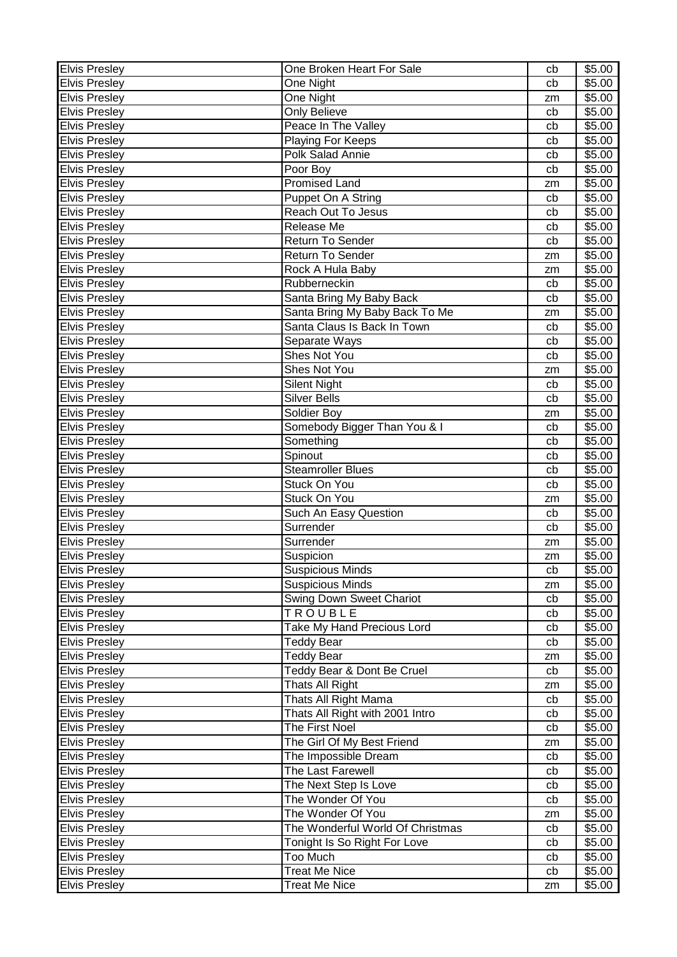| Elvis Presley        | One Broken Heart For Sale        | cb | \$5.00 |
|----------------------|----------------------------------|----|--------|
| <b>Elvis Presley</b> | One Night                        | cb | \$5.00 |
| Elvis Presley        | One Night                        | zm | \$5.00 |
| <b>Elvis Presley</b> | <b>Only Believe</b>              | cb | \$5.00 |
| <b>Elvis Presley</b> | Peace In The Valley              | cb | \$5.00 |
| <b>Elvis Presley</b> | Playing For Keeps                | cb | \$5.00 |
| <b>Elvis Presley</b> | Polk Salad Annie                 | cb | \$5.00 |
| <b>Elvis Presley</b> | Poor Boy                         | cb | \$5.00 |
| <b>Elvis Presley</b> | <b>Promised Land</b>             | zm | \$5.00 |
| <b>Elvis Preslev</b> | Puppet On A String               | cb | \$5.00 |
| <b>Elvis Presley</b> | <b>Reach Out To Jesus</b>        | cb | \$5.00 |
| <b>Elvis Presley</b> | Release Me                       | cb | \$5.00 |
| <b>Elvis Presley</b> | <b>Return To Sender</b>          | cb | \$5.00 |
| <b>Elvis Presley</b> | <b>Return To Sender</b>          | zm | \$5.00 |
| <b>Elvis Presley</b> | Rock A Hula Baby                 | zm | \$5.00 |
| <b>Elvis Presley</b> | Rubberneckin                     | cb | \$5.00 |
| <b>Elvis Presley</b> | Santa Bring My Baby Back         | cb | \$5.00 |
| <b>Elvis Presley</b> | Santa Bring My Baby Back To Me   | zm | \$5.00 |
| <b>Elvis Presley</b> | Santa Claus Is Back In Town      | cb | \$5.00 |
| <b>Elvis Presley</b> | Separate Ways                    | cb | \$5.00 |
| <b>Elvis Presley</b> | Shes Not You                     | cb | \$5.00 |
| <b>Elvis Presley</b> | Shes Not You                     | zm | \$5.00 |
| <b>Elvis Presley</b> | <b>Silent Night</b>              | cb | \$5.00 |
| <b>Elvis Presley</b> | <b>Silver Bells</b>              | cb | \$5.00 |
| <b>Elvis Presley</b> | Soldier Boy                      | zm | \$5.00 |
| <b>Elvis Presley</b> | Somebody Bigger Than You & I     | cb | \$5.00 |
| <b>Elvis Presley</b> | Something                        | cb | \$5.00 |
| <b>Elvis Presley</b> | Spinout                          | cb | \$5.00 |
| <b>Elvis Presley</b> | <b>Steamroller Blues</b>         | cb | \$5.00 |
| <b>Elvis Presley</b> | Stuck On You                     | cb | \$5.00 |
| <b>Elvis Presley</b> | Stuck On You                     | zm | \$5.00 |
| <b>Elvis Presley</b> | Such An Easy Question            | cb | \$5.00 |
| <b>Elvis Presley</b> | Surrender                        | cb | \$5.00 |
| <b>Elvis Presley</b> | Surrender                        | zm | \$5.00 |
| <b>Elvis Presley</b> | Suspicion                        | zm | \$5.00 |
| <b>Elvis Presley</b> | <b>Suspicious Minds</b>          | cb | \$5.00 |
| <b>Elvis Presley</b> | Suspicious Minds                 | zm | \$5.00 |
| <b>Elvis Presley</b> | <b>Swing Down Sweet Chariot</b>  | cb | \$5.00 |
| <b>Elvis Presley</b> | TROUBLE                          | cb | \$5.00 |
| <b>Elvis Presley</b> | Take My Hand Precious Lord       | cb | \$5.00 |
| <b>Elvis Presley</b> | <b>Teddy Bear</b>                | cb | \$5.00 |
| <b>Elvis Presley</b> | <b>Teddy Bear</b>                | zm | \$5.00 |
| <b>Elvis Presley</b> | Teddy Bear & Dont Be Cruel       | cb | \$5.00 |
| <b>Elvis Presley</b> | Thats All Right                  | zm | \$5.00 |
| <b>Elvis Presley</b> | Thats All Right Mama             | cb | \$5.00 |
| <b>Elvis Presley</b> | Thats All Right with 2001 Intro  | cb | \$5.00 |
| <b>Elvis Presley</b> | The First Noel                   | cb | \$5.00 |
| <b>Elvis Presley</b> | The Girl Of My Best Friend       | zm | \$5.00 |
| <b>Elvis Presley</b> | The Impossible Dream             | cb | \$5.00 |
| <b>Elvis Presley</b> | The Last Farewell                | cb | \$5.00 |
| <b>Elvis Presley</b> | The Next Step Is Love            | cb | \$5.00 |
| <b>Elvis Presley</b> | The Wonder Of You                | cb | \$5.00 |
| Elvis Presley        | The Wonder Of You                | zm | \$5.00 |
| <b>Elvis Presley</b> | The Wonderful World Of Christmas | cb | \$5.00 |
| <b>Elvis Presley</b> | Tonight Is So Right For Love     | cb | \$5.00 |
| <b>Elvis Presley</b> | Too Much                         | cb | \$5.00 |
| <b>Elvis Presley</b> | <b>Treat Me Nice</b>             | cb | \$5.00 |
| <b>Elvis Presley</b> | <b>Treat Me Nice</b>             | zm | \$5.00 |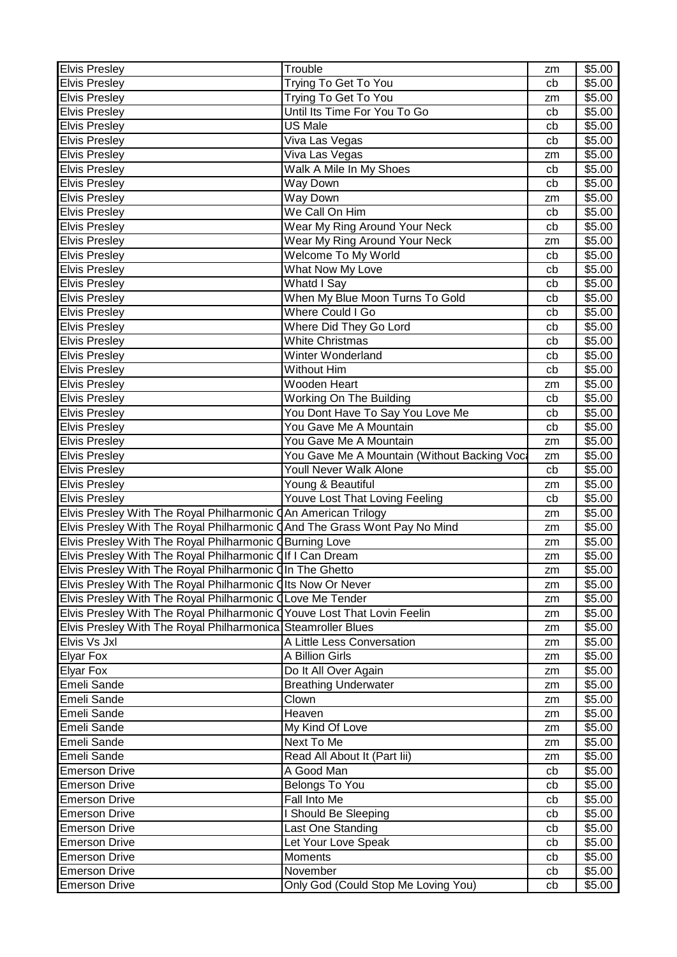| <b>Elvis Presley</b>                                                      | Trouble                                     | zm       | \$5.00 |
|---------------------------------------------------------------------------|---------------------------------------------|----------|--------|
| <b>Elvis Presley</b>                                                      | Trying To Get To You                        | cb       | \$5.00 |
| <b>Elvis Presley</b>                                                      | Trying To Get To You                        | zm       | \$5.00 |
| <b>Elvis Presley</b>                                                      | Until Its Time For You To Go                | cb       | \$5.00 |
| <b>Elvis Presley</b>                                                      | US Male                                     | cb       | \$5.00 |
| <b>Elvis Presley</b>                                                      | Viva Las Vegas                              | cb       | \$5.00 |
| <b>Elvis Presley</b>                                                      | Viva Las Vegas                              | zm       | \$5.00 |
| <b>Elvis Presley</b>                                                      | Walk A Mile In My Shoes                     | cb       | \$5.00 |
| <b>Elvis Presley</b>                                                      | Way Down                                    | cb       | \$5.00 |
| <b>Elvis Presley</b>                                                      | Way Down                                    | zm       | \$5.00 |
| <b>Elvis Presley</b>                                                      | We Call On Him                              | cb       | \$5.00 |
| <b>Elvis Presley</b>                                                      | Wear My Ring Around Your Neck               | cb       | \$5.00 |
| <b>Elvis Presley</b>                                                      | Wear My Ring Around Your Neck               | zm       | \$5.00 |
| <b>Elvis Presley</b>                                                      | Welcome To My World                         | cb       | \$5.00 |
| <b>Elvis Presley</b>                                                      | What Now My Love                            | cb       | \$5.00 |
| <b>Elvis Presley</b>                                                      | Whatd I Say                                 | cb       | \$5.00 |
| <b>Elvis Presley</b>                                                      | When My Blue Moon Turns To Gold             | cb       | \$5.00 |
| <b>Elvis Presley</b>                                                      | Where Could I Go                            | cb       | \$5.00 |
| <b>Elvis Presley</b>                                                      | Where Did They Go Lord                      | cb       | \$5.00 |
| <b>Elvis Presley</b>                                                      | <b>White Christmas</b>                      | cb       | \$5.00 |
| <b>Elvis Presley</b>                                                      | Winter Wonderland                           | cb       | \$5.00 |
| <b>Elvis Presley</b>                                                      | <b>Without Him</b>                          | cb       | \$5.00 |
| <b>Elvis Presley</b>                                                      | Wooden Heart                                | zm       | \$5.00 |
| <b>Elvis Presley</b>                                                      | <b>Working On The Building</b>              | cb       | \$5.00 |
| <b>Elvis Presley</b>                                                      | You Dont Have To Say You Love Me            | cb       | \$5.00 |
| <b>Elvis Presley</b>                                                      | You Gave Me A Mountain                      | cb       | \$5.00 |
| <b>Elvis Presley</b>                                                      | You Gave Me A Mountain                      | zm       | \$5.00 |
| <b>Elvis Presley</b>                                                      | You Gave Me A Mountain (Without Backing Voc | zm       | \$5.00 |
| <b>Elvis Presley</b>                                                      | <b>Youll Never Walk Alone</b>               | cb       | \$5.00 |
| <b>Elvis Presley</b>                                                      | Young & Beautiful                           | zm       | \$5.00 |
| <b>Elvis Presley</b>                                                      | Youve Lost That Loving Feeling              | сb       | \$5.00 |
| Elvis Presley With The Royal Philharmonic CAn American Trilogy            |                                             | zm       | \$5.00 |
| Elvis Presley With The Royal Philharmonic CAnd The Grass Wont Pay No Mind |                                             | zm       | \$5.00 |
| Elvis Presley With The Royal Philharmonic <i>QBurning Love</i>            |                                             | zm       | \$5.00 |
| Elvis Presley With The Royal Philharmonic Olf I Can Dream                 |                                             | zm       | \$5.00 |
| Elvis Presley With The Royal Philharmonic QIn The Ghetto                  |                                             | zm       | \$5.00 |
| Elvis Presley With The Royal Philharmonic Cits Now Or Never               |                                             | zm       | \$5.00 |
| Elvis Presley With The Royal Philharmonic CLove Me Tender                 |                                             | zm       | \$5.00 |
| Elvis Presley With The Royal Philharmonic CYouve Lost That Lovin Feelin   |                                             | zm       | \$5.00 |
| Elvis Presley With The Royal Philharmonica Steamroller Blues              |                                             | zm       | \$5.00 |
| Elvis Vs Jxl                                                              | A Little Less Conversation                  | zm       | \$5.00 |
| <b>Elyar Fox</b>                                                          | A Billion Girls                             | zm       | \$5.00 |
| <b>Elyar Fox</b>                                                          | Do It All Over Again                        | zm       | \$5.00 |
| Emeli Sande                                                               | <b>Breathing Underwater</b>                 | zm       | \$5.00 |
| Emeli Sande                                                               | Clown                                       | zm       | \$5.00 |
| Emeli Sande                                                               | Heaven                                      | zm       | \$5.00 |
| Emeli Sande                                                               | My Kind Of Love                             | zm       | \$5.00 |
| Emeli Sande                                                               | Next To Me                                  | zm       | \$5.00 |
| Emeli Sande                                                               | Read All About It (Part Iii)                |          | \$5.00 |
| <b>Emerson Drive</b>                                                      | A Good Man                                  | zm<br>cb | \$5.00 |
| <b>Emerson Drive</b>                                                      | <b>Belongs To You</b>                       | cb       | \$5.00 |
| <b>Emerson Drive</b>                                                      | Fall Into Me                                | cb       | \$5.00 |
| <b>Emerson Drive</b>                                                      | I Should Be Sleeping                        | cb       | \$5.00 |
| <b>Emerson Drive</b>                                                      | Last One Standing                           | cb       | \$5.00 |
| <b>Emerson Drive</b>                                                      | Let Your Love Speak                         | cb       | \$5.00 |
| <b>Emerson Drive</b>                                                      | Moments                                     | cb       | \$5.00 |
| <b>Emerson Drive</b>                                                      | November                                    | cb       | \$5.00 |
| <b>Emerson Drive</b>                                                      | Only God (Could Stop Me Loving You)         | cb       | \$5.00 |
|                                                                           |                                             |          |        |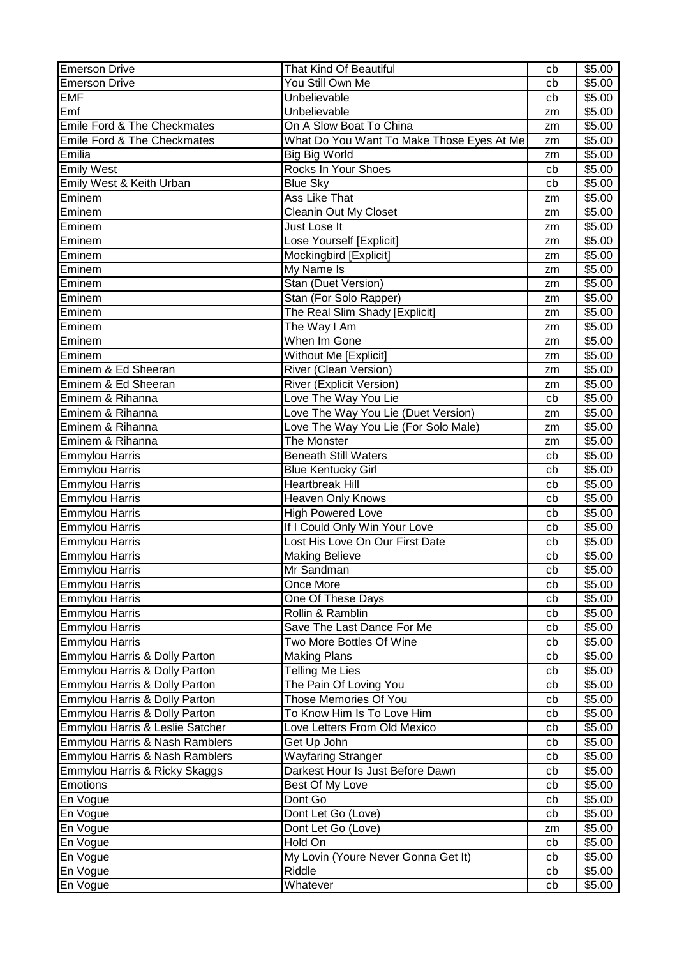| <b>Emerson Drive</b>            | That Kind Of Beautiful                    | cb | \$5.00 |
|---------------------------------|-------------------------------------------|----|--------|
| <b>Emerson Drive</b>            | You Still Own Me                          | cb | \$5.00 |
| <b>EMF</b>                      | Unbelievable                              | cb | \$5.00 |
| Emf                             | Unbelievable                              | zm | \$5.00 |
| Emile Ford & The Checkmates     | On A Slow Boat To China                   | zm | \$5.00 |
| Emile Ford & The Checkmates     | What Do You Want To Make Those Eyes At Me | zm | \$5.00 |
| Emilia                          | Big Big World                             | zm | \$5.00 |
| <b>Emily West</b>               | <b>Rocks In Your Shoes</b>                | cb | \$5.00 |
| Emily West & Keith Urban        | <b>Blue Sky</b>                           | cb | \$5.00 |
| Eminem                          | Ass Like That                             | zm | \$5.00 |
| Eminem                          | <b>Cleanin Out My Closet</b>              | zm | \$5.00 |
| Eminem                          | Just Lose It                              | zm | \$5.00 |
| Eminem                          | Lose Yourself [Explicit]                  | zm | \$5.00 |
| Eminem                          | Mockingbird [Explicit]                    | zm | \$5.00 |
| Eminem                          | My Name Is                                | zm | \$5.00 |
| Eminem                          | Stan (Duet Version)                       | zm | \$5.00 |
| Eminem                          | Stan (For Solo Rapper)                    | zm | \$5.00 |
| Eminem                          | The Real Slim Shady [Explicit]            | zm | \$5.00 |
| Eminem                          | The Way I Am                              | zm | \$5.00 |
| Eminem                          | When Im Gone                              | zm | \$5.00 |
| Eminem                          | Without Me [Explicit]                     | zm | \$5.00 |
| Eminem & Ed Sheeran             | <b>River (Clean Version)</b>              | zm | \$5.00 |
| Eminem & Ed Sheeran             | River (Explicit Version)                  | zm | \$5.00 |
| Eminem & Rihanna                | Love The Way You Lie                      | cb | \$5.00 |
| Eminem & Rihanna                | Love The Way You Lie (Duet Version)       | zm | \$5.00 |
| Eminem & Rihanna                | Love The Way You Lie (For Solo Male)      | zm | \$5.00 |
| Eminem & Rihanna                | The Monster                               | zm | \$5.00 |
| <b>Emmylou Harris</b>           | <b>Beneath Still Waters</b>               | cb | \$5.00 |
| <b>Emmylou Harris</b>           | <b>Blue Kentucky Girl</b>                 | cb | \$5.00 |
| <b>Emmylou Harris</b>           | <b>Heartbreak Hill</b>                    | cb | \$5.00 |
| Emmylou Harris                  | <b>Heaven Only Knows</b>                  | cb | \$5.00 |
| <b>Emmylou Harris</b>           | <b>High Powered Love</b>                  | cb | \$5.00 |
| <b>Emmylou Harris</b>           | If I Could Only Win Your Love             | cb | \$5.00 |
| <b>Emmylou Harris</b>           | Lost His Love On Our First Date           | cb | \$5.00 |
| <b>Emmylou Harris</b>           | <b>Making Believe</b>                     | cb | \$5.00 |
| <b>Emmylou Harris</b>           | Mr Sandman                                | cb | \$5.00 |
| Emmylou Harris                  | Once More                                 | cb | \$5.00 |
| Emmylou Harris                  | One Of These Days                         | cb | \$5.00 |
| <b>Emmylou Harris</b>           | Rollin & Ramblin                          | cb | \$5.00 |
| <b>Emmylou Harris</b>           | Save The Last Dance For Me                | cb | \$5.00 |
| <b>Emmylou Harris</b>           | Two More Bottles Of Wine                  | cb | \$5.00 |
| Emmylou Harris & Dolly Parton   | <b>Making Plans</b>                       | cb | \$5.00 |
| Emmylou Harris & Dolly Parton   | Telling Me Lies                           | cb | \$5.00 |
| Emmylou Harris & Dolly Parton   | The Pain Of Loving You                    | cb | \$5.00 |
| Emmylou Harris & Dolly Parton   | Those Memories Of You                     | cb | \$5.00 |
| Emmylou Harris & Dolly Parton   | To Know Him Is To Love Him                | cb | \$5.00 |
| Emmylou Harris & Leslie Satcher | Love Letters From Old Mexico              | cb | \$5.00 |
| Emmylou Harris & Nash Ramblers  | Get Up John                               | cb | \$5.00 |
| Emmylou Harris & Nash Ramblers  | Wayfaring Stranger                        | cb | \$5.00 |
| Emmylou Harris & Ricky Skaggs   | Darkest Hour Is Just Before Dawn          | cb | \$5.00 |
| Emotions                        | Best Of My Love                           | cb | \$5.00 |
| En Vogue                        | Dont Go                                   | cb | \$5.00 |
| En Vogue                        | Dont Let Go (Love)                        | cb | \$5.00 |
| En Vogue                        | Dont Let Go (Love)                        | zm | \$5.00 |
| En Vogue                        | Hold On                                   | cb | \$5.00 |
| En Vogue                        | My Lovin (Youre Never Gonna Get It)       | cb | \$5.00 |
| En Vogue                        | Riddle                                    | cb | \$5.00 |
| En Vogue                        | Whatever                                  | cb | \$5.00 |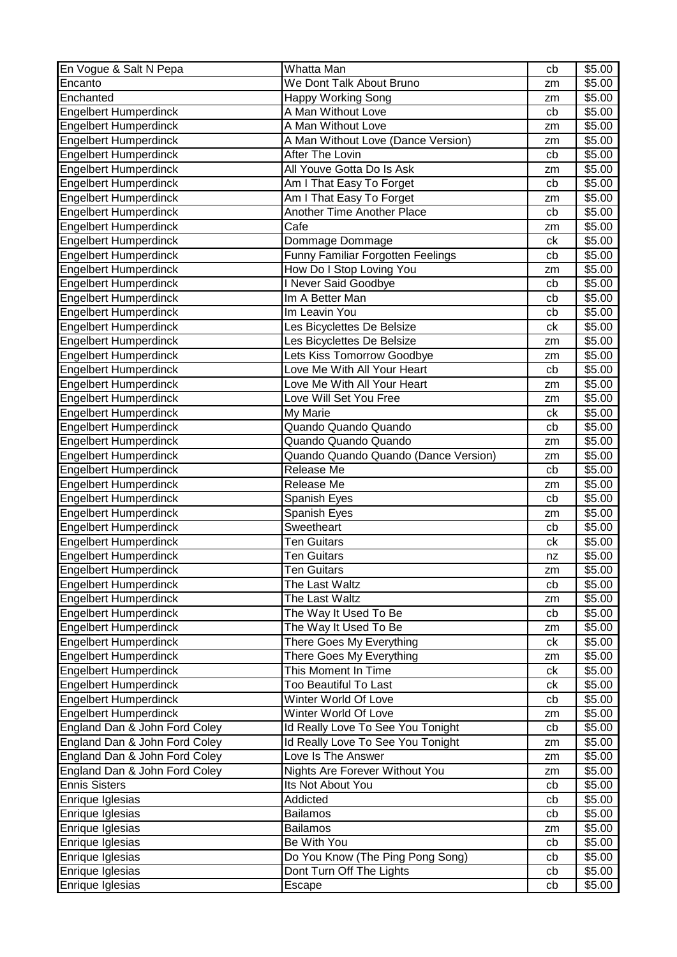| En Vogue & Salt N Pepa        | Whatta Man                           | cb | \$5.00             |
|-------------------------------|--------------------------------------|----|--------------------|
| Encanto                       | We Dont Talk About Bruno             | zm | \$5.00             |
| Enchanted                     | <b>Happy Working Song</b>            | zm | \$5.00             |
| <b>Engelbert Humperdinck</b>  | A Man Without Love                   | cb | \$5.00             |
| <b>Engelbert Humperdinck</b>  | A Man Without Love                   | zm | \$5.00             |
| <b>Engelbert Humperdinck</b>  | A Man Without Love (Dance Version)   | zm | \$5.00             |
| <b>Engelbert Humperdinck</b>  | After The Lovin                      | cb | \$5.00             |
| <b>Engelbert Humperdinck</b>  | All Youve Gotta Do Is Ask            | zm | \$5.00             |
| <b>Engelbert Humperdinck</b>  | Am I That Easy To Forget             | cb | \$5.00             |
| Engelbert Humperdinck         | Am I That Easy To Forget             | zm | \$5.00             |
| Engelbert Humperdinck         | <b>Another Time Another Place</b>    | cb | \$5.00             |
| <b>Engelbert Humperdinck</b>  | Cafe                                 | zm | \$5.00             |
| <b>Engelbert Humperdinck</b>  | Dommage Dommage                      | ck | \$5.00             |
| <b>Engelbert Humperdinck</b>  | Funny Familiar Forgotten Feelings    | cb | $\overline{$}5.00$ |
| <b>Engelbert Humperdinck</b>  | How Do I Stop Loving You             | zm | \$5.00             |
| <b>Engelbert Humperdinck</b>  | I Never Said Goodbye                 | cb | \$5.00             |
| <b>Engelbert Humperdinck</b>  | Im A Better Man                      | cb | \$5.00             |
| <b>Engelbert Humperdinck</b>  | Im Leavin You                        | cb | \$5.00             |
| <b>Engelbert Humperdinck</b>  | Les Bicyclettes De Belsize           | ck | \$5.00             |
| <b>Engelbert Humperdinck</b>  | Les Bicyclettes De Belsize           | zm | \$5.00             |
| <b>Engelbert Humperdinck</b>  | Lets Kiss Tomorrow Goodbye           | zm | \$5.00             |
| <b>Engelbert Humperdinck</b>  | Love Me With All Your Heart          | cb | \$5.00             |
| <b>Engelbert Humperdinck</b>  | Love Me With All Your Heart          | zm | \$5.00             |
| <b>Engelbert Humperdinck</b>  | Love Will Set You Free               | zm | \$5.00             |
| <b>Engelbert Humperdinck</b>  | My Marie                             | сk | \$5.00             |
| <b>Engelbert Humperdinck</b>  | Quando Quando Quando                 | cb | \$5.00             |
| <b>Engelbert Humperdinck</b>  | Quando Quando Quando                 | zm | \$5.00             |
| <b>Engelbert Humperdinck</b>  | Quando Quando Quando (Dance Version) | zm | \$5.00             |
| <b>Engelbert Humperdinck</b>  | Release Me                           | cb | \$5.00             |
| <b>Engelbert Humperdinck</b>  | Release Me                           | zm | \$5.00             |
| <b>Engelbert Humperdinck</b>  | Spanish Eyes                         | cb | \$5.00             |
| <b>Engelbert Humperdinck</b>  | Spanish Eyes                         | zm | \$5.00             |
| <b>Engelbert Humperdinck</b>  | Sweetheart                           | cb | \$5.00             |
| <b>Engelbert Humperdinck</b>  | <b>Ten Guitars</b>                   | сk | \$5.00             |
| <b>Engelbert Humperdinck</b>  | <b>Ten Guitars</b>                   | nz | \$5.00             |
| <b>Engelbert Humperdinck</b>  | <b>Ten Guitars</b>                   | zm | \$5.00             |
| Engelbert Humperdinck         | The Last Waltz                       | cb | \$5.00             |
| <b>Engelbert Humperdinck</b>  | The Last Waltz                       | zm | \$5.00             |
| <b>Engelbert Humperdinck</b>  | The Way It Used To Be                | cb | \$5.00             |
| <b>Engelbert Humperdinck</b>  | The Way It Used To Be                | zm | \$5.00             |
| <b>Engelbert Humperdinck</b>  | There Goes My Everything             | ck | \$5.00             |
| <b>Engelbert Humperdinck</b>  | There Goes My Everything             | zm | \$5.00             |
| <b>Engelbert Humperdinck</b>  | This Moment In Time                  | ck | \$5.00             |
| <b>Engelbert Humperdinck</b>  | Too Beautiful To Last                | ck | \$5.00             |
| <b>Engelbert Humperdinck</b>  | Winter World Of Love                 | cb | \$5.00             |
| <b>Engelbert Humperdinck</b>  | Winter World Of Love                 | zm | \$5.00             |
| England Dan & John Ford Coley | Id Really Love To See You Tonight    | cb | \$5.00             |
| England Dan & John Ford Coley | Id Really Love To See You Tonight    | zm | \$5.00             |
| England Dan & John Ford Coley | Love Is The Answer                   | zm | \$5.00             |
| England Dan & John Ford Coley | Nights Are Forever Without You       | zm | \$5.00             |
| <b>Ennis Sisters</b>          | Its Not About You                    | cb | \$5.00             |
| Enrique Iglesias              | Addicted                             | cb | \$5.00             |
| Enrique Iglesias              | <b>Bailamos</b>                      | cb | \$5.00             |
| Enrique Iglesias              | <b>Bailamos</b>                      | zm | \$5.00             |
| Enrique Iglesias              | Be With You                          | cb | \$5.00             |
| Enrique Iglesias              | Do You Know (The Ping Pong Song)     | cb | \$5.00             |
|                               |                                      |    |                    |
| Enrique Iglesias              | Dont Turn Off The Lights             | cb | \$5.00             |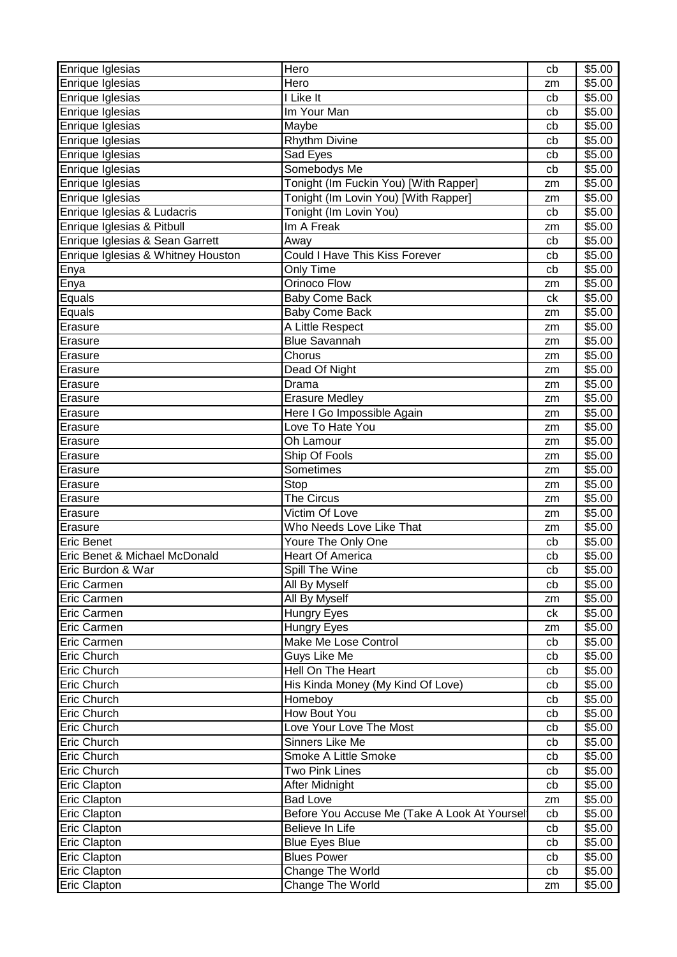| Enrique Iglesias                   | Hero                                         | cb | \$5.00           |
|------------------------------------|----------------------------------------------|----|------------------|
| Enrique Iglesias                   | Hero                                         | zm | \$5.00           |
| Enrique Iglesias                   | I Like It                                    | cb | \$5.00           |
| Enrique Iglesias                   | Im Your Man                                  | cb | \$5.00           |
| Enrique Iglesias                   | Maybe                                        | cb | \$5.00           |
| Enrique Iglesias                   | Rhythm Divine                                | cb | \$5.00           |
| Enrique Iglesias                   | Sad Eyes                                     | cb | \$5.00           |
| Enrique Iglesias                   | Somebodys Me                                 | cb | \$5.00           |
| Enrique Iglesias                   | Tonight (Im Fuckin You) [With Rapper]        | zm | \$5.00           |
| Enrique Iglesias                   | Tonight (Im Lovin You) [With Rapper]         | zm | \$5.00           |
| Enrique Iglesias & Ludacris        | Tonight (Im Lovin You)                       | cb | \$5.00           |
| Enrique Iglesias & Pitbull         | Im A Freak                                   | zm | \$5.00           |
| Enrique Iglesias & Sean Garrett    | Away                                         | cb | \$5.00           |
| Enrique Iglesias & Whitney Houston | Could I Have This Kiss Forever               |    | \$5.00           |
|                                    |                                              | cb |                  |
| Enya                               | Only Time<br>Orinoco Flow                    | cb | \$5.00           |
| Enya                               |                                              | zm | \$5.00           |
| Equals                             | <b>Baby Come Back</b>                        | ck | \$5.00           |
| Equals                             | <b>Baby Come Back</b>                        | zm | \$5.00           |
| Erasure                            | A Little Respect                             | zm | \$5.00           |
| Erasure                            | <b>Blue Savannah</b>                         | zm | \$5.00           |
| Erasure                            | Chorus                                       | zm | \$5.00           |
| Erasure                            | Dead Of Night                                | zm | \$5.00           |
| Erasure                            | Drama                                        | zm | \$5.00           |
| Erasure                            | <b>Erasure Medley</b>                        | zm | \$5.00           |
| Erasure                            | Here I Go Impossible Again                   | zm | \$5.00           |
| Erasure                            | Love To Hate You                             | zm | \$5.00           |
| Erasure                            | Oh Lamour                                    | zm | \$5.00           |
| Erasure                            | Ship Of Fools                                | zm | \$5.00           |
| Erasure                            | <b>Sometimes</b>                             | zm | \$5.00           |
| Erasure                            | Stop                                         | zm | \$5.00           |
| Erasure                            | The Circus                                   | zm | \$5.00           |
| Erasure                            | Victim Of Love                               | zm | \$5.00           |
| Erasure                            | Who Needs Love Like That                     | zm | \$5.00           |
| <b>Eric Benet</b>                  | Youre The Only One                           | cb | \$5.00           |
| Eric Benet & Michael McDonald      | <b>Heart Of America</b>                      | cb | \$5.00           |
| Eric Burdon & War                  | Spill The Wine                               | cb | \$5.00           |
| Eric Carmen                        | All By Myself                                | cb | \$5.00           |
| Eric Carmen                        | All By Myself                                | zm | \$5.00           |
| Eric Carmen                        | Hungry Eyes                                  | сk | \$5.00           |
| Eric Carmen                        | <b>Hungry Eyes</b>                           | zm | \$5.00           |
| Eric Carmen                        |                                              |    | \$5.00           |
|                                    |                                              |    |                  |
|                                    | Make Me Lose Control                         | cb |                  |
| Eric Church                        | Guys Like Me                                 | cb | \$5.00           |
| Eric Church                        | Hell On The Heart                            | cb | \$5.00           |
| Eric Church                        | His Kinda Money (My Kind Of Love)            | cb | \$5.00           |
| <b>Eric Church</b>                 | Homeboy                                      | cb | \$5.00           |
| Eric Church                        | <b>How Bout You</b>                          | cb | \$5.00           |
| Eric Church                        | Love Your Love The Most                      | cb | \$5.00           |
| Eric Church                        | Sinners Like Me                              | cb | \$5.00           |
| Eric Church                        | Smoke A Little Smoke                         | cb | \$5.00           |
| Eric Church                        | <b>Two Pink Lines</b>                        | cb | \$5.00           |
| Eric Clapton                       | After Midnight                               | cb | \$5.00           |
| Eric Clapton                       | <b>Bad Love</b>                              | zm | \$5.00           |
| Eric Clapton                       | Before You Accuse Me (Take A Look At Yoursel | cb | \$5.00           |
| Eric Clapton                       | Believe In Life                              | cb | \$5.00           |
| Eric Clapton                       | Blue Eyes Blue                               | cb | \$5.00           |
| Eric Clapton                       | <b>Blues Power</b>                           | cb | \$5.00           |
| Eric Clapton<br>Eric Clapton       | Change The World<br><b>Change The World</b>  | cb | \$5.00<br>\$5.00 |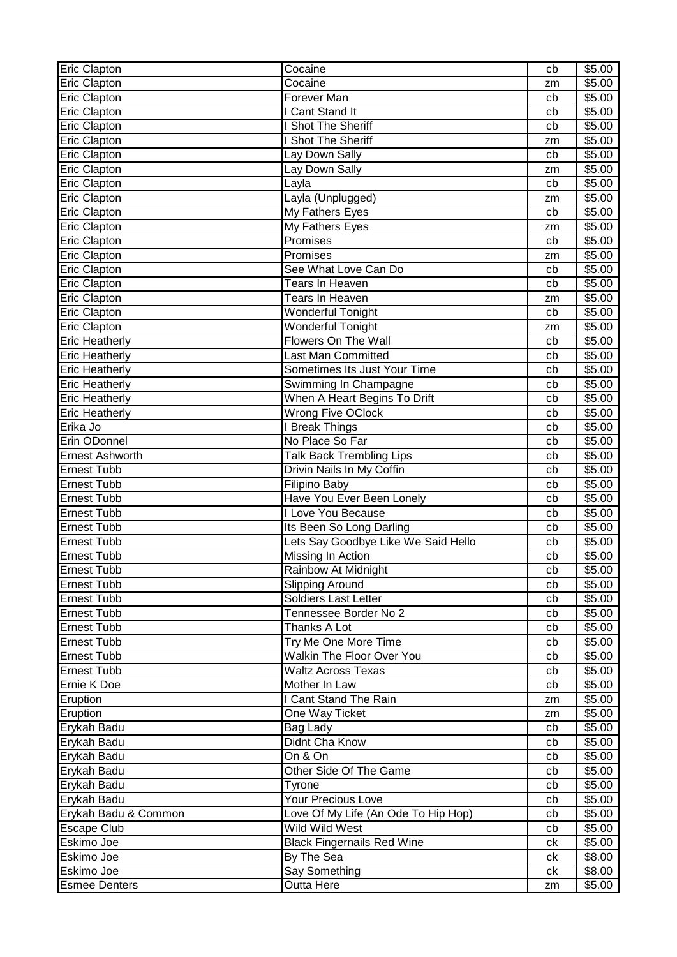| Eric Clapton            | Cocaine                                               | cb | \$5.00             |
|-------------------------|-------------------------------------------------------|----|--------------------|
| Eric Clapton            | Cocaine                                               | zm | \$5.00             |
| <b>Eric Clapton</b>     | Forever Man                                           | cb | $\overline{$}5.00$ |
| <b>Eric Clapton</b>     | I Cant Stand It                                       | cb | \$5.00             |
| Eric Clapton            | I Shot The Sheriff                                    | cb | \$5.00             |
| Eric Clapton            | I Shot The Sheriff                                    | zm | \$5.00             |
| Eric Clapton            | Lay Down Sally                                        | cb | \$5.00             |
| Eric Clapton            | Lay Down Sally                                        | zm | \$5.00             |
| Eric Clapton            | Layla                                                 | cb | \$5.00             |
| Eric Clapton            | Layla (Unplugged)                                     | zm | \$5.00             |
| Eric Clapton            | My Fathers Eyes                                       | cb | \$5.00             |
| Eric Clapton            | My Fathers Eyes                                       | zm | \$5.00             |
| Eric Clapton            | Promises                                              | cb | \$5.00             |
| Eric Clapton            | Promises                                              | zm | \$5.00             |
| Eric Clapton            | See What Love Can Do                                  | cb | \$5.00             |
| Eric Clapton            | Tears In Heaven                                       | cb | \$5.00             |
| Eric Clapton            | Tears In Heaven                                       | zm | \$5.00             |
| Eric Clapton            | <b>Wonderful Tonight</b>                              | cb | \$5.00             |
| Eric Clapton            | Wonderful Tonight                                     | zm | \$5.00             |
| <b>Eric Heatherly</b>   | <b>Flowers On The Wall</b>                            | cb | \$5.00             |
| <b>Eric Heatherly</b>   | <b>Last Man Committed</b>                             | cb | \$5.00             |
| <b>Eric Heatherly</b>   | Sometimes Its Just Your Time                          | cb | \$5.00             |
| <b>Eric Heatherly</b>   | Swimming In Champagne                                 | cb | \$5.00             |
| <b>Eric Heatherly</b>   | When A Heart Begins To Drift                          | cb | \$5.00             |
| <b>Eric Heatherly</b>   | <b>Wrong Five OClock</b>                              | cb | \$5.00             |
| Erika Jo                | I Break Things                                        | cb | \$5.00             |
| Erin ODonnel            | No Place So Far                                       | cb | \$5.00             |
| <b>Ernest Ashworth</b>  | <b>Talk Back Trembling Lips</b>                       | cb | \$5.00             |
| <b>Ernest Tubb</b>      | Drivin Nails In My Coffin                             | cb | \$5.00             |
| <b>Ernest Tubb</b>      | Filipino Baby                                         | cb | \$5.00             |
| <b>Ernest Tubb</b>      | Have You Ever Been Lonely                             | cb | \$5.00             |
| <b>Ernest Tubb</b>      | I Love You Because                                    | cb | \$5.00             |
| <b>Ernest Tubb</b>      | Its Been So Long Darling                              | cb | \$5.00             |
| <b>Ernest Tubb</b>      | Lets Say Goodbye Like We Said Hello                   | cb | \$5.00             |
| <b>Ernest Tubb</b>      | Missing In Action                                     | cb | \$5.00             |
| Ernest Tubb             | Rainbow At Midnight                                   | cb | \$5.00             |
| <b>Ernest Tubb</b>      | <b>Slipping Around</b>                                | cb | \$5.00             |
| <b>Ernest Tubb</b>      | Soldiers Last Letter                                  | cb | \$5.00             |
| <b>Ernest Tubb</b>      | Tennessee Border No 2                                 | cb | \$5.00             |
| <b>Ernest Tubb</b>      | Thanks A Lot                                          | cb | \$5.00             |
| <b>Ernest Tubb</b>      | Try Me One More Time                                  | cb | \$5.00             |
| <b>Ernest Tubb</b>      | <b>Walkin The Floor Over You</b>                      | cb | \$5.00             |
| <b>Ernest Tubb</b>      | <b>Waltz Across Texas</b>                             | cb | \$5.00             |
| Ernie K Doe             | Mother In Law                                         | cb | \$5.00             |
|                         | I Cant Stand The Rain                                 |    | \$5.00             |
| Eruption                | One Way Ticket                                        | zm | \$5.00             |
| Eruption<br>Erykah Badu |                                                       | zm | \$5.00             |
|                         | Bag Lady<br>Didnt Cha Know                            | cb | \$5.00             |
| Erykah Badu             | On & On                                               | cb |                    |
| Erykah Badu             |                                                       | cb | \$5.00             |
| Erykah Badu             | Other Side Of The Game                                | cb | \$5.00             |
| Erykah Badu             | Tyrone<br><b>Your Precious Love</b>                   | cb | \$5.00             |
| Erykah Badu             |                                                       | cb | \$5.00             |
| Erykah Badu & Common    | Love Of My Life (An Ode To Hip Hop)<br>Wild Wild West | cb | \$5.00             |
| Escape Club             |                                                       | cb | \$5.00             |
| Eskimo Joe              | <b>Black Fingernails Red Wine</b>                     | ck | \$5.00             |
| Eskimo Joe              | By The Sea                                            | ck | \$8.00             |
| Eskimo Joe              | Say Something                                         | сk | \$8.00             |
| <b>Esmee Denters</b>    | Outta Here                                            | zm | \$5.00             |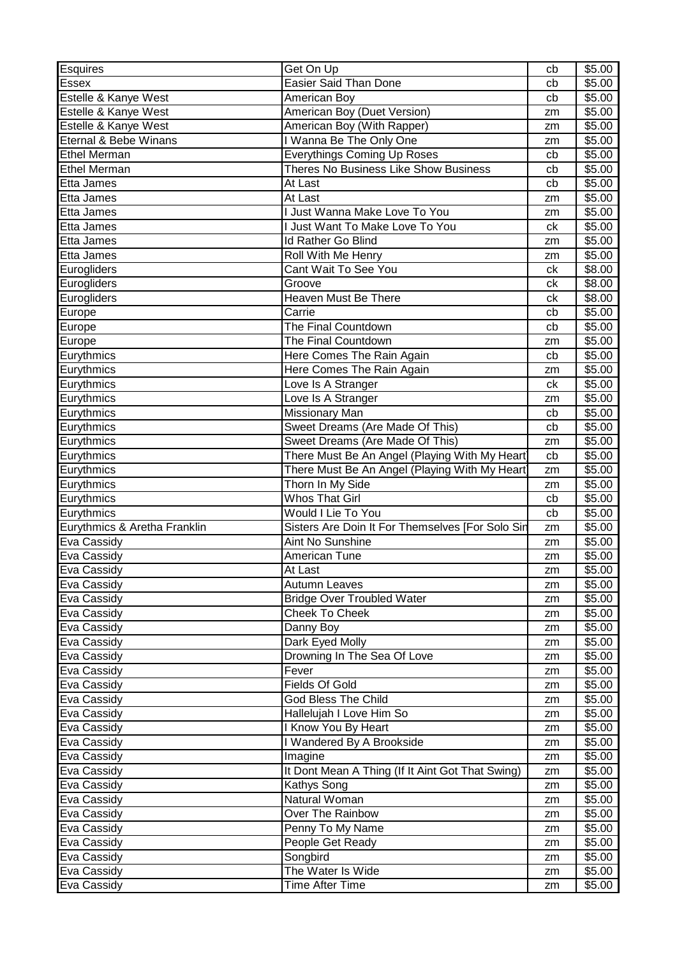| Esquires                     | Get On Up                                                       | cb       | \$5.00           |
|------------------------------|-----------------------------------------------------------------|----------|------------------|
| <b>Essex</b>                 | Easier Said Than Done                                           | cb       | \$5.00           |
| Estelle & Kanye West         | American Boy                                                    | cb       | \$5.00           |
| Estelle & Kanye West         | American Boy (Duet Version)                                     | zm       | \$5.00           |
| Estelle & Kanye West         | American Boy (With Rapper)                                      | zm       | \$5.00           |
| Eternal & Bebe Winans        | I Wanna Be The Only One                                         | zm       | \$5.00           |
| <b>Ethel Merman</b>          | <b>Everythings Coming Up Roses</b>                              | cb       | \$5.00           |
| <b>Ethel Merman</b>          | Theres No Business Like Show Business                           | cb       | \$5.00           |
| Etta James                   | At Last                                                         | cb       | \$5.00           |
| Etta James                   | At Last                                                         | zm       | \$5.00           |
| Etta James                   | I Just Wanna Make Love To You                                   | zm       | \$5.00           |
| Etta James                   | I Just Want To Make Love To You                                 | ck       | \$5.00           |
| Etta James                   | Id Rather Go Blind                                              | zm       | \$5.00           |
| Etta James                   | Roll With Me Henry                                              | zm       | \$5.00           |
| Eurogliders                  | Cant Wait To See You                                            | ck       | \$8.00           |
| Eurogliders                  | Groove                                                          | ck       | \$8.00           |
| Eurogliders                  | Heaven Must Be There                                            | ck       | \$8.00           |
| Europe                       | Carrie                                                          | cb       | \$5.00           |
| Europe                       | The Final Countdown                                             | cb       | \$5.00           |
| Europe                       | The Final Countdown                                             | zm       | \$5.00           |
| Eurythmics                   | Here Comes The Rain Again                                       | cb       | \$5.00           |
| Eurythmics                   | Here Comes The Rain Again                                       | zm       | \$5.00           |
| Eurythmics                   | Love Is A Stranger                                              | ck       | \$5.00           |
| Eurythmics                   | Love Is A Stranger                                              | zm       | \$5.00           |
| Eurythmics                   | Missionary Man                                                  | cb       | \$5.00           |
| Eurythmics                   | Sweet Dreams (Are Made Of This)                                 | cb       | \$5.00           |
| Eurythmics                   | Sweet Dreams (Are Made Of This)                                 | zm       | \$5.00           |
| Eurythmics                   | There Must Be An Angel (Playing With My Heart                   | cb       | \$5.00           |
| Eurythmics                   | There Must Be An Angel (Playing With My Heart                   | zm       | \$5.00           |
|                              |                                                                 |          |                  |
|                              |                                                                 |          |                  |
| Eurythmics                   | Thorn In My Side                                                | zm       | \$5.00           |
| Eurythmics                   | <b>Whos That Girl</b>                                           | cb       | \$5.00           |
| Eurythmics                   | Would I Lie To You                                              | cb       | \$5.00           |
| Eurythmics & Aretha Franklin | Sisters Are Doin It For Themselves [For Solo Sin                | zm<br>zm | \$5.00           |
| Eva Cassidy                  | Aint No Sunshine                                                | zm       | \$5.00           |
| Eva Cassidy                  | American Tune                                                   |          | \$5.00           |
| Eva Cassidy                  | At Last                                                         | zm<br>zm | \$5.00           |
| Eva Cassidy                  | Autumn Leaves                                                   |          | \$5.00           |
| Eva Cassidy                  | <b>Bridge Over Troubled Water</b><br>Cheek To Cheek             | zm<br>zm | \$5.00           |
| Eva Cassidy                  |                                                                 |          | \$5.00           |
| Eva Cassidy                  | Danny Boy                                                       | zm<br>zm | \$5.00           |
| Eva Cassidy<br>Eva Cassidy   | Dark Eyed Molly<br>Drowning In The Sea Of Love                  | zm       | \$5.00<br>\$5.00 |
| Eva Cassidy                  | Fever                                                           | zm       | \$5.00           |
|                              | Fields Of Gold                                                  | zm       | \$5.00           |
| Eva Cassidy                  | God Bless The Child                                             | zm       |                  |
| Eva Cassidy                  |                                                                 | zm       | \$5.00           |
| Eva Cassidy                  | Hallelujah I Love Him So                                        | zm       | \$5.00           |
| Eva Cassidy                  | I Know You By Heart                                             | zm       | \$5.00           |
| Eva Cassidy<br>Eva Cassidy   | I Wandered By A Brookside<br>Imagine                            | zm       | \$5.00<br>\$5.00 |
| Eva Cassidy                  |                                                                 | zm       | \$5.00           |
| Eva Cassidy                  | It Dont Mean A Thing (If It Aint Got That Swing)<br>Kathys Song | zm       | \$5.00           |
| Eva Cassidy                  | Natural Woman                                                   | zm       | \$5.00           |
| Eva Cassidy                  | Over The Rainbow                                                | zm       | \$5.00           |
| Eva Cassidy                  | Penny To My Name                                                | zm       | \$5.00           |
| Eva Cassidy                  | People Get Ready                                                | zm       | \$5.00           |
| Eva Cassidy                  | Songbird                                                        | zm       | \$5.00           |
| Eva Cassidy                  | The Water Is Wide                                               | zm       | \$5.00           |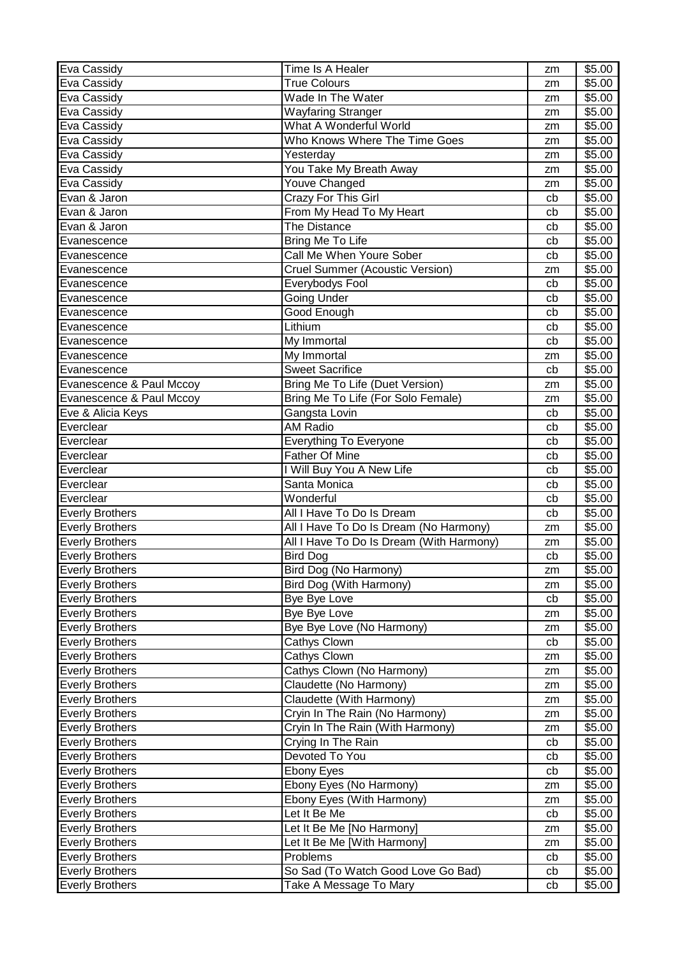| Eva Cassidy                                      | Time Is A Healer                                                   | zm            | \$5.00           |
|--------------------------------------------------|--------------------------------------------------------------------|---------------|------------------|
| Eva Cassidy                                      | <b>True Colours</b>                                                | zm            | \$5.00           |
| Eva Cassidy                                      | Wade In The Water                                                  | zm            | \$5.00           |
| Eva Cassidy                                      | Wayfaring Stranger                                                 | zm            | \$5.00           |
| Eva Cassidy                                      | What A Wonderful World                                             | zm            | \$5.00           |
| Eva Cassidy                                      | Who Knows Where The Time Goes                                      | zm            | \$5.00           |
| Eva Cassidy                                      | Yesterday                                                          | zm            | \$5.00           |
| Eva Cassidy                                      | You Take My Breath Away                                            | zm            | \$5.00           |
| Eva Cassidy                                      | Youve Changed                                                      | zm            | \$5.00           |
| Evan & Jaron                                     | Crazy For This Girl                                                | cb            | \$5.00           |
| Evan & Jaron                                     | From My Head To My Heart                                           | cb            | \$5.00           |
| Evan & Jaron                                     | <b>The Distance</b>                                                | cb            | \$5.00           |
| Evanescence                                      | Bring Me To Life                                                   | cb            | \$5.00           |
| Evanescence                                      | Call Me When Youre Sober                                           | cb            | \$5.00           |
| Evanescence                                      | <b>Cruel Summer (Acoustic Version)</b>                             | zm            | \$5.00           |
| Evanescence                                      | Everybodys Fool                                                    | cb            | \$5.00           |
| Evanescence                                      | <b>Going Under</b>                                                 | cb            | \$5.00           |
| Evanescence                                      | Good Enough                                                        | cb            | \$5.00           |
| Evanescence                                      | Lithium                                                            | cb            | \$5.00           |
| Evanescence                                      | My Immortal                                                        | cb            | \$5.00           |
| Evanescence                                      | My Immortal                                                        | zm            | \$5.00           |
| Evanescence                                      | <b>Sweet Sacrifice</b>                                             | cb            | \$5.00           |
| Evanescence & Paul Mccoy                         | Bring Me To Life (Duet Version)                                    | zm            | \$5.00           |
| Evanescence & Paul Mccoy                         | Bring Me To Life (For Solo Female)                                 | zm            | \$5.00           |
| Eve & Alicia Keys                                | Gangsta Lovin                                                      | cb            | \$5.00           |
| Everclear                                        | AM Radio                                                           | cb            | \$5.00           |
| Everclear                                        | <b>Everything To Everyone</b>                                      | cb            | \$5.00           |
| Everclear                                        | <b>Father Of Mine</b>                                              | cb            | \$5.00           |
| Everclear                                        | I Will Buy You A New Life                                          | cb            | \$5.00           |
| Everclear                                        | Santa Monica                                                       | cb            | \$5.00           |
| Everclear                                        | Wonderful                                                          | cb            | \$5.00           |
| <b>Everly Brothers</b>                           | All I Have To Do Is Dream                                          | cb            | \$5.00           |
| <b>Everly Brothers</b>                           | All I Have To Do Is Dream (No Harmony)                             | zm            | \$5.00           |
| <b>Everly Brothers</b>                           | All I Have To Do Is Dream (With Harmony)                           | zm            | \$5.00           |
| <b>Everly Brothers</b>                           | <b>Bird Dog</b>                                                    | cb            | \$5.00           |
| <b>Everly Brothers</b>                           | Bird Dog (No Harmony)                                              | $\mathsf{zm}$ | \$5.00           |
| <b>Everly Brothers</b>                           | Bird Dog (With Harmony)                                            | zm            | \$5.00           |
| <b>Everly Brothers</b>                           | Bye Bye Love                                                       | cb            | \$5.00           |
| <b>Everly Brothers</b>                           | Bye Bye Love                                                       | zm            | \$5.00           |
| <b>Everly Brothers</b>                           | Bye Bye Love (No Harmony)                                          | zm            | \$5.00           |
| <b>Everly Brothers</b>                           | Cathys Clown                                                       | cb            | \$5.00           |
| <b>Everly Brothers</b>                           | Cathys Clown                                                       | zm            | \$5.00           |
| <b>Everly Brothers</b>                           | Cathys Clown (No Harmony)                                          | zm            | \$5.00           |
| <b>Everly Brothers</b>                           |                                                                    |               | \$5.00           |
|                                                  | Claudette (No Harmony)                                             | zm            |                  |
|                                                  | Claudette (With Harmony)                                           | zm            |                  |
| <b>Everly Brothers</b><br><b>Everly Brothers</b> |                                                                    | zm            | \$5.00           |
| <b>Everly Brothers</b>                           | Cryin In The Rain (No Harmony)<br>Cryin In The Rain (With Harmony) | zm            | \$5.00<br>\$5.00 |
| <b>Everly Brothers</b>                           |                                                                    | cb            | \$5.00           |
| <b>Everly Brothers</b>                           | Crying In The Rain<br>Devoted To You                               | cb            | \$5.00           |
| <b>Everly Brothers</b>                           | <b>Ebony Eyes</b>                                                  | cb            | \$5.00           |
| <b>Everly Brothers</b>                           | Ebony Eyes (No Harmony)                                            | zm            | \$5.00           |
| <b>Everly Brothers</b>                           | Ebony Eyes (With Harmony)                                          | zm            | \$5.00           |
| <b>Everly Brothers</b>                           | Let It Be Me                                                       | cb            | \$5.00           |
| <b>Everly Brothers</b>                           | Let It Be Me [No Harmony]                                          | zm            | \$5.00           |
| <b>Everly Brothers</b>                           | Let It Be Me [With Harmony]                                        | zm            | \$5.00           |
| <b>Everly Brothers</b>                           | Problems                                                           | cb            | \$5.00           |
| <b>Everly Brothers</b>                           | So Sad (To Watch Good Love Go Bad)                                 | cb            | \$5.00           |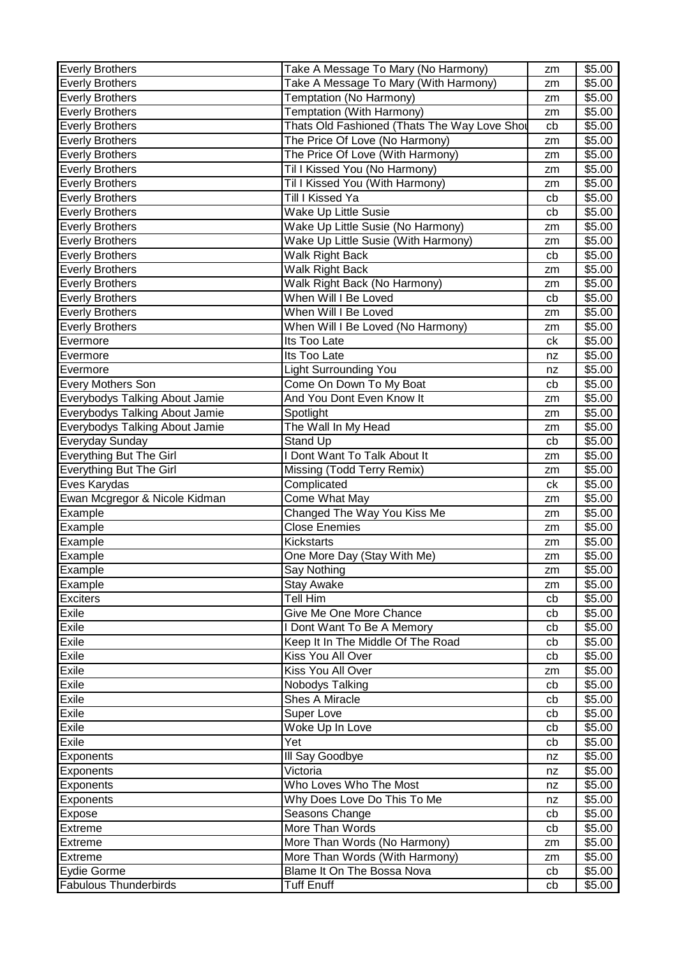| <b>Everly Brothers</b>         | Take A Message To Mary (No Harmony)          | zm | \$5.00             |
|--------------------------------|----------------------------------------------|----|--------------------|
| <b>Everly Brothers</b>         | Take A Message To Mary (With Harmony)        | zm | \$5.00             |
| <b>Everly Brothers</b>         | Temptation (No Harmony)                      | zm | \$5.00             |
| <b>Everly Brothers</b>         | Temptation (With Harmony)                    | zm | $\overline{$}5.00$ |
| <b>Everly Brothers</b>         | Thats Old Fashioned (Thats The Way Love Shot | cb | \$5.00             |
| <b>Everly Brothers</b>         | The Price Of Love (No Harmony)               | zm | \$5.00             |
| <b>Everly Brothers</b>         | The Price Of Love (With Harmony)             | zm | \$5.00             |
| <b>Everly Brothers</b>         | Til I Kissed You (No Harmony)                | zm | \$5.00             |
| <b>Everly Brothers</b>         | Til I Kissed You (With Harmony)              | zm | \$5.00             |
| <b>Everly Brothers</b>         | Till I Kissed Ya                             | cb | \$5.00             |
| <b>Everly Brothers</b>         | Wake Up Little Susie                         | cb | \$5.00             |
| <b>Everly Brothers</b>         | Wake Up Little Susie (No Harmony)            | zm | \$5.00             |
| <b>Everly Brothers</b>         | Wake Up Little Susie (With Harmony)          | zm | \$5.00             |
| <b>Everly Brothers</b>         | Walk Right Back                              | cb | \$5.00             |
| <b>Everly Brothers</b>         | Walk Right Back                              | zm | \$5.00             |
| <b>Everly Brothers</b>         | Walk Right Back (No Harmony)                 | zm | \$5.00             |
| <b>Everly Brothers</b>         | When Will I Be Loved                         | cb | \$5.00             |
| <b>Everly Brothers</b>         | When Will I Be Loved                         | zm | \$5.00             |
| Everly Brothers                | When Will I Be Loved (No Harmony)            | zm | \$5.00             |
| Evermore                       | Its Too Late                                 | сk | \$5.00             |
| Evermore                       | Its Too Late                                 | nz | \$5.00             |
| Evermore                       | Light Surrounding You                        | nz | \$5.00             |
| Every Mothers Son              | Come On Down To My Boat                      | cb | \$5.00             |
| Everybodys Talking About Jamie | And You Dont Even Know It                    | zm | \$5.00             |
| Everybodys Talking About Jamie | Spotlight                                    | zm | \$5.00             |
| Everybodys Talking About Jamie | The Wall In My Head                          | zm | \$5.00             |
| Everyday Sunday                | Stand Up                                     | cb | \$5.00             |
| <b>Everything But The Girl</b> | I Dont Want To Talk About It                 | zm | \$5.00             |
| Everything But The Girl        | Missing (Todd Terry Remix)                   | zm | \$5.00             |
| Eves Karydas                   | Complicated                                  | сk | \$5.00             |
| Ewan Mcgregor & Nicole Kidman  | Come What May                                | zm | \$5.00             |
| Example                        | Changed The Way You Kiss Me                  | zm | \$5.00             |
| Example                        | <b>Close Enemies</b>                         | zm | \$5.00             |
| Example                        | <b>Kickstarts</b>                            | zm | \$5.00             |
| Example                        | One More Day (Stay With Me)                  | zm | \$5.00             |
| Example                        | Say Nothing                                  | zm | \$5.00             |
| Example                        | <b>Stay Awake</b>                            | zm | \$5.00             |
| <b>Exciters</b>                | Tell Him                                     | cb | \$5.00             |
| Exile                          | Give Me One More Chance                      | cb | \$5.00             |
| Exile                          | I Dont Want To Be A Memory                   | cb | \$5.00             |
| Exile                          | Keep It In The Middle Of The Road            | cb | \$5.00             |
| Exile                          | Kiss You All Over                            | cb | \$5.00             |
| Exile                          | Kiss You All Over                            | zm | \$5.00             |
| Exile                          | Nobodys Talking                              | cb | \$5.00             |
| Exile                          | Shes A Miracle                               | cb | \$5.00             |
| Exile                          | Super Love                                   | cb | \$5.00             |
| Exile                          | Woke Up In Love                              | cb | \$5.00             |
| Exile                          | Yet                                          | cb | \$5.00             |
| Exponents                      | III Say Goodbye                              | nz | \$5.00             |
| <b>Exponents</b>               | Victoria                                     | nz | \$5.00             |
| Exponents                      | Who Loves Who The Most                       | nz | \$5.00             |
| Exponents                      | Why Does Love Do This To Me                  | nz | \$5.00             |
| Expose                         | Seasons Change                               | cb | \$5.00             |
| Extreme                        | More Than Words                              | cb | \$5.00             |
| <b>Extreme</b>                 | More Than Words (No Harmony)                 | zm | \$5.00             |
| Extreme                        | More Than Words (With Harmony)               | zm | \$5.00             |
| Eydie Gorme                    | Blame It On The Bossa Nova                   | cb | \$5.00             |
| <b>Fabulous Thunderbirds</b>   | <b>Tuff Enuff</b>                            | cb | \$5.00             |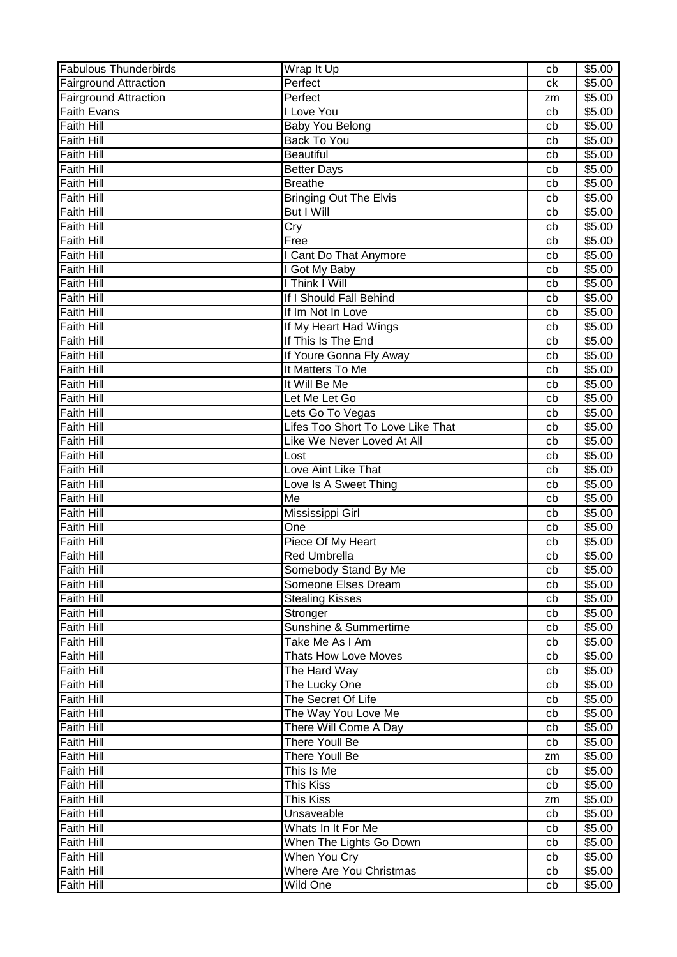| <b>Fabulous Thunderbirds</b> | Wrap It Up                        | cb | \$5.00 |
|------------------------------|-----------------------------------|----|--------|
| <b>Fairground Attraction</b> | Perfect                           | сk | \$5.00 |
| <b>Fairground Attraction</b> | Perfect                           | zm | \$5.00 |
| <b>Faith Evans</b>           | I Love You                        | cb | \$5.00 |
| <b>Faith Hill</b>            | Baby You Belong                   | cb | \$5.00 |
| <b>Faith Hill</b>            | <b>Back To You</b>                | cb | \$5.00 |
| <b>Faith Hill</b>            | <b>Beautiful</b>                  | cb | \$5.00 |
| <b>Faith Hill</b>            | <b>Better Days</b>                | cb | \$5.00 |
| <b>Faith Hill</b>            | <b>Breathe</b>                    | cb | \$5.00 |
| <b>Faith Hill</b>            | <b>Bringing Out The Elvis</b>     | cb | \$5.00 |
| Faith Hill                   | But I Will                        | cb | \$5.00 |
| <b>Faith Hill</b>            | Cry                               | cb | \$5.00 |
| <b>Faith Hill</b>            | Free                              | cb | \$5.00 |
| <b>Faith Hill</b>            | I Cant Do That Anymore            | cb | \$5.00 |
| <b>Faith Hill</b>            | I Got My Baby                     | cb | \$5.00 |
| <b>Faith Hill</b>            | I Think I Will                    | cb | \$5.00 |
| <b>Faith Hill</b>            | If I Should Fall Behind           | cb | \$5.00 |
| <b>Faith Hill</b>            | If Im Not In Love                 | cb | \$5.00 |
| <b>Faith Hill</b>            | If My Heart Had Wings             | cb | \$5.00 |
| <b>Faith Hill</b>            | If This Is The End                | cb | \$5.00 |
| <b>Faith Hill</b>            | If Youre Gonna Fly Away           | cb | \$5.00 |
| <b>Faith Hill</b>            | It Matters To Me                  | cb | \$5.00 |
| <b>Faith Hill</b>            | It Will Be Me                     | cb | \$5.00 |
| <b>Faith Hill</b>            | Let Me Let Go                     | cb | \$5.00 |
| <b>Faith Hill</b>            | Lets Go To Vegas                  | cb | \$5.00 |
| <b>Faith Hill</b>            | Lifes Too Short To Love Like That | cb | \$5.00 |
| <b>Faith Hill</b>            | Like We Never Loved At All        | cb | \$5.00 |
| <b>Faith Hill</b>            | Lost                              | cb | \$5.00 |
| <b>Faith Hill</b>            | Love Aint Like That               | cb | \$5.00 |
| <b>Faith Hill</b>            | Love Is A Sweet Thing             | cb | \$5.00 |
| Faith Hill                   | Me                                | cb | \$5.00 |
| <b>Faith Hill</b>            | Mississippi Girl                  | cb | \$5.00 |
| <b>Faith Hill</b>            | One                               | cb | \$5.00 |
| <b>Faith Hill</b>            | Piece Of My Heart                 | cb | \$5.00 |
| <b>Faith Hill</b>            | <b>Red Umbrella</b>               | cb | \$5.00 |
| <b>Faith Hill</b>            | Somebody Stand By Me              | cb | \$5.00 |
| <b>Faith Hill</b>            | Someone Elses Dream               | cb | \$5.00 |
| <b>Faith Hill</b>            | <b>Stealing Kisses</b>            | cb | \$5.00 |
| <b>Faith Hill</b>            | Stronger                          | cb | \$5.00 |
| <b>Faith Hill</b>            | Sunshine & Summertime             | cb | \$5.00 |
| <b>Faith Hill</b>            | Take Me As I Am                   | cb | \$5.00 |
| <b>Faith Hill</b>            | <b>Thats How Love Moves</b>       | cb | \$5.00 |
| <b>Faith Hill</b>            | The Hard Way                      | cb | \$5.00 |
| <b>Faith Hill</b>            | The Lucky One                     | cb | \$5.00 |
| <b>Faith Hill</b>            | The Secret Of Life                | cb | \$5.00 |
| <b>Faith Hill</b>            | The Way You Love Me               | cb | \$5.00 |
| <b>Faith Hill</b>            | There Will Come A Day             | cb | \$5.00 |
| <b>Faith Hill</b>            | There Youll Be                    | cb | \$5.00 |
| <b>Faith Hill</b>            | There Youll Be                    | zm | \$5.00 |
| <b>Faith Hill</b>            | This Is Me                        | cb | \$5.00 |
| <b>Faith Hill</b>            | This Kiss                         | cb | \$5.00 |
| <b>Faith Hill</b>            | This Kiss                         | zm | \$5.00 |
| <b>Faith Hill</b>            | Unsaveable                        | cb | \$5.00 |
| <b>Faith Hill</b>            | Whats In It For Me                | cb | \$5.00 |
| <b>Faith Hill</b>            | When The Lights Go Down           | cb | \$5.00 |
| <b>Faith Hill</b>            | When You Cry                      | cb | \$5.00 |
| <b>Faith Hill</b>            | Where Are You Christmas           | cb | \$5.00 |
| <b>Faith Hill</b>            | Wild One                          | cb | \$5.00 |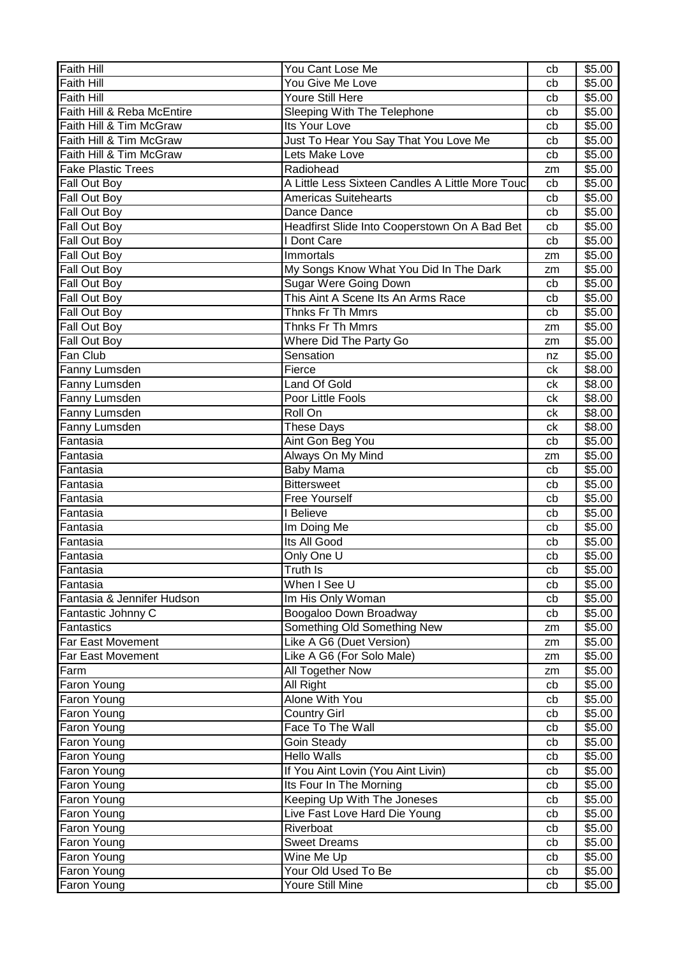| <b>Faith Hill</b>          | You Cant Lose Me                                 | cb | \$5.00             |
|----------------------------|--------------------------------------------------|----|--------------------|
| Faith Hill                 | You Give Me Love                                 | cb | \$5.00             |
| Faith Hill                 | Youre Still Here                                 | cb | \$5.00             |
| Faith Hill & Reba McEntire | Sleeping With The Telephone                      | cb | \$5.00             |
| Faith Hill & Tim McGraw    | Its Your Love                                    | cb | \$5.00             |
| Faith Hill & Tim McGraw    | Just To Hear You Say That You Love Me            | cb | \$5.00             |
| Faith Hill & Tim McGraw    | Lets Make Love                                   | cb | \$5.00             |
| <b>Fake Plastic Trees</b>  | Radiohead                                        | zm | \$5.00             |
| Fall Out Boy               | A Little Less Sixteen Candles A Little More Touc | cb | \$5.00             |
| Fall Out Boy               | <b>Americas Suitehearts</b>                      | cb | \$5.00             |
| Fall Out Boy               | Dance Dance                                      | cb | \$5.00             |
| Fall Out Boy               | Headfirst Slide Into Cooperstown On A Bad Bet    | cb | \$5.00             |
| Fall Out Boy               | I Dont Care                                      | cb | \$5.00             |
| Fall Out Boy               | Immortals                                        | zm | \$5.00             |
| Fall Out Boy               | My Songs Know What You Did In The Dark           | zm | \$5.00             |
| Fall Out Boy               | <b>Sugar Were Going Down</b>                     | cb | \$5.00             |
| Fall Out Boy               | This Aint A Scene Its An Arms Race               | cb | \$5.00             |
| Fall Out Boy               | Thnks Fr Th Mmrs                                 | cb | \$5.00             |
| Fall Out Boy               | Thnks Fr Th Mmrs                                 | zm | \$5.00             |
| Fall Out Boy               | Where Did The Party Go                           | zm | \$5.00             |
| Fan Club                   | Sensation                                        | nz | \$5.00             |
| Fanny Lumsden              | Fierce                                           | ck | \$8.00             |
| Fanny Lumsden              | Land Of Gold                                     | ck | \$8.00             |
| Fanny Lumsden              | Poor Little Fools                                | сk | \$8.00             |
| Fanny Lumsden              | Roll On                                          | сk | $\overline{$8.00}$ |
| Fanny Lumsden              | These Days                                       | сk | \$8.00             |
| Fantasia                   | Aint Gon Beg You                                 | cb | \$5.00             |
| Fantasia                   | Always On My Mind                                | zm | \$5.00             |
| Fantasia                   | <b>Baby Mama</b>                                 | cb | \$5.00             |
| Fantasia                   | <b>Bittersweet</b>                               | cb | \$5.00             |
| Fantasia                   | <b>Free Yourself</b>                             | cb | \$5.00             |
| Fantasia                   | I Believe                                        | cb | \$5.00             |
| Fantasia                   | Im Doing Me                                      | cb | \$5.00             |
| Fantasia                   | Its All Good                                     | cb | \$5.00             |
| Fantasia                   | Only One U                                       | cb | \$5.00             |
| Fantasia                   | Truth Is                                         | cb | \$5.00             |
| Fantasia                   | When I See U                                     | cb | \$5.00             |
| Fantasia & Jennifer Hudson | Im His Only Woman                                | cb | \$5.00             |
| Fantastic Johnny C         | Boogaloo Down Broadway                           | cb | \$5.00             |
| Fantastics                 | Something Old Something New                      | zm | \$5.00             |
| Far East Movement          | Like A G6 (Duet Version)                         | zm | \$5.00             |
| Far East Movement          | Like A G6 (For Solo Male)                        | zm | \$5.00             |
| Farm                       | <b>All Together Now</b>                          | zm | \$5.00             |
| Faron Young                | All Right                                        | cb | \$5.00             |
| Faron Young                | Alone With You                                   | cb | \$5.00             |
| <b>Faron Young</b>         | <b>Country Girl</b>                              | cb | \$5.00             |
| Faron Young                | Face To The Wall                                 | cb | \$5.00             |
| <b>Faron Young</b>         | <b>Goin Steady</b>                               | cb | \$5.00             |
| Faron Young                | <b>Hello Walls</b>                               | cb | \$5.00             |
| Faron Young                | If You Aint Lovin (You Aint Livin)               | cb | \$5.00             |
| Faron Young                | Its Four In The Morning                          | cb | \$5.00             |
| Faron Young                | Keeping Up With The Joneses                      | cb | \$5.00             |
| Faron Young                | Live Fast Love Hard Die Young                    | cb | \$5.00             |
| Faron Young                | Riverboat                                        | cb | \$5.00             |
| Faron Young                | <b>Sweet Dreams</b>                              | cb | \$5.00             |
| <b>Faron Young</b>         | Wine Me Up                                       | cb | \$5.00             |
| Faron Young                | Your Old Used To Be                              | cb | \$5.00             |
| Faron Young                | Youre Still Mine                                 | cb | \$5.00             |
|                            |                                                  |    |                    |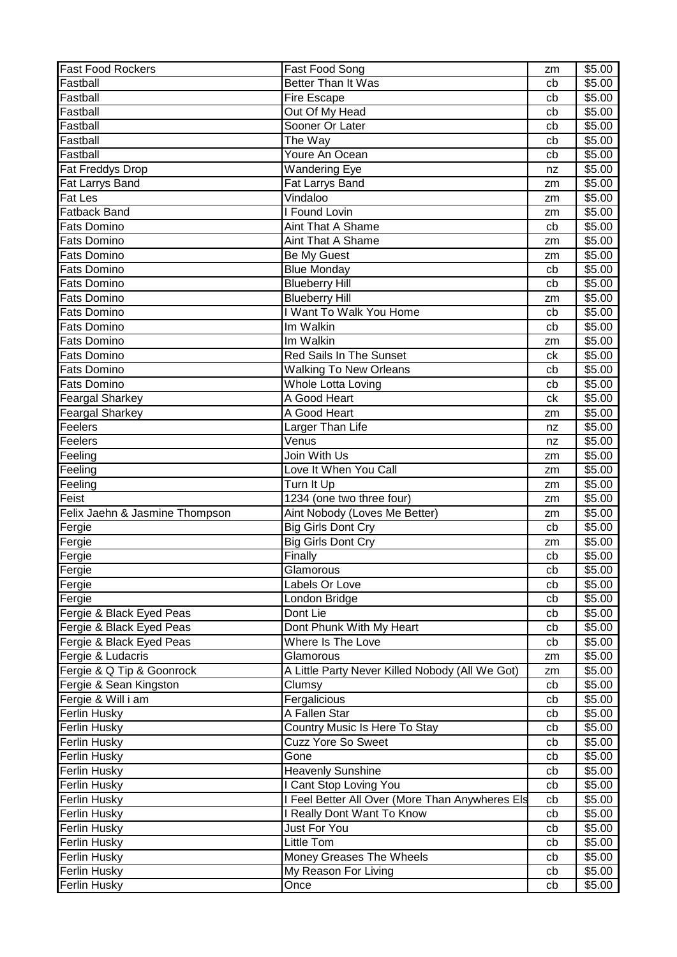| <b>Fast Food Rockers</b>       | Fast Food Song                                  | zm | \$5.00 |
|--------------------------------|-------------------------------------------------|----|--------|
| Fastball                       | Better Than It Was                              | cb | \$5.00 |
| Fastball                       | <b>Fire Escape</b>                              | cb | \$5.00 |
| Fastball                       | Out Of My Head                                  | cb | \$5.00 |
| Fastball                       | Sooner Or Later                                 | cb | \$5.00 |
| Fastball                       | The Way                                         | cb | \$5.00 |
| Fastball                       | Youre An Ocean                                  | cb | \$5.00 |
| Fat Freddys Drop               | Wandering Eye                                   | nz | \$5.00 |
| Fat Larrys Band                | Fat Larrys Band                                 | zm | \$5.00 |
| <b>Fat Les</b>                 | Vindaloo                                        | zm | \$5.00 |
| Fatback Band                   | I Found Lovin                                   | zm | \$5.00 |
| <b>Fats Domino</b>             | <b>Aint That A Shame</b>                        | cb | \$5.00 |
| <b>Fats Domino</b>             | <b>Aint That A Shame</b>                        | zm | \$5.00 |
| <b>Fats Domino</b>             | Be My Guest                                     |    | \$5.00 |
| <b>Fats Domino</b>             | <b>Blue Monday</b>                              | zm | \$5.00 |
| <b>Fats Domino</b>             |                                                 | cb |        |
|                                | <b>Blueberry Hill</b>                           | cb | \$5.00 |
| <b>Fats Domino</b>             | <b>Blueberry Hill</b>                           | zm | \$5.00 |
| <b>Fats Domino</b>             | I Want To Walk You Home                         | cb | \$5.00 |
| <b>Fats Domino</b>             | Im Walkin                                       | cb | \$5.00 |
| Fats Domino                    | Im Walkin                                       | zm | \$5.00 |
| <b>Fats Domino</b>             | <b>Red Sails In The Sunset</b>                  | ck | \$5.00 |
| <b>Fats Domino</b>             | <b>Walking To New Orleans</b>                   | cb | \$5.00 |
| <b>Fats Domino</b>             | Whole Lotta Loving                              | cb | \$5.00 |
| <b>Feargal Sharkey</b>         | A Good Heart                                    | ck | \$5.00 |
| <b>Feargal Sharkey</b>         | A Good Heart                                    | zm | \$5.00 |
| Feelers                        | Larger Than Life                                | nz | \$5.00 |
| Feelers                        | Venus                                           | nz | \$5.00 |
| Feeling                        | Join With Us                                    | zm | \$5.00 |
| Feeling                        | Love It When You Call                           | zm | \$5.00 |
| Feeling                        | Turn It Up                                      | zm | \$5.00 |
| Feist                          | 1234 (one two three four)                       | zm | \$5.00 |
| Felix Jaehn & Jasmine Thompson | Aint Nobody (Loves Me Better)                   | zm | \$5.00 |
| Fergie                         | <b>Big Girls Dont Cry</b>                       | cb | \$5.00 |
| Fergie                         | <b>Big Girls Dont Cry</b>                       | zm | \$5.00 |
| Fergie                         | Finally                                         | cb | \$5.00 |
| Fergie                         | Glamorous                                       | cb | \$5.00 |
| Fergie                         | Labels Or Love                                  | cb | \$5.00 |
| Fergie                         | London Bridge                                   | cb | \$5.00 |
| Fergie & Black Eyed Peas       | Dont Lie                                        | cb | \$5.00 |
| Fergie & Black Eyed Peas       | Dont Phunk With My Heart                        | cb | \$5.00 |
| Fergie & Black Eyed Peas       | Where Is The Love                               | cb | \$5.00 |
| Fergie & Ludacris              | Glamorous                                       | zm | \$5.00 |
| Fergie & Q Tip & Goonrock      | A Little Party Never Killed Nobody (All We Got) | zm | \$5.00 |
| Fergie & Sean Kingston         | Clumsy                                          | cb | \$5.00 |
| Fergie & Will i am             | Fergalicious                                    | cb | \$5.00 |
| <b>Ferlin Husky</b>            | A Fallen Star                                   | cb | \$5.00 |
| <b>Ferlin Husky</b>            | Country Music Is Here To Stay                   | cb | \$5.00 |
| <b>Ferlin Husky</b>            | <b>Cuzz Yore So Sweet</b>                       | cb | \$5.00 |
| Ferlin Husky                   | Gone                                            | cb | \$5.00 |
| <b>Ferlin Husky</b>            | <b>Heavenly Sunshine</b>                        | cb | \$5.00 |
| <b>Ferlin Husky</b>            | I Cant Stop Loving You                          | cb | \$5.00 |
|                                | I Feel Better All Over (More Than Anywheres Els |    |        |
| <b>Ferlin Husky</b>            |                                                 | cb | \$5.00 |
| <b>Ferlin Husky</b>            | I Really Dont Want To Know                      | cb | \$5.00 |
| Ferlin Husky                   | <b>Just For You</b>                             | cb | \$5.00 |
| Ferlin Husky                   | Little Tom                                      | cb | \$5.00 |
| <b>Ferlin Husky</b>            | Money Greases The Wheels                        | cb | \$5.00 |
| <b>Ferlin Husky</b>            | My Reason For Living                            | cb | \$5.00 |
| <b>Ferlin Husky</b>            | Once                                            | cb | \$5.00 |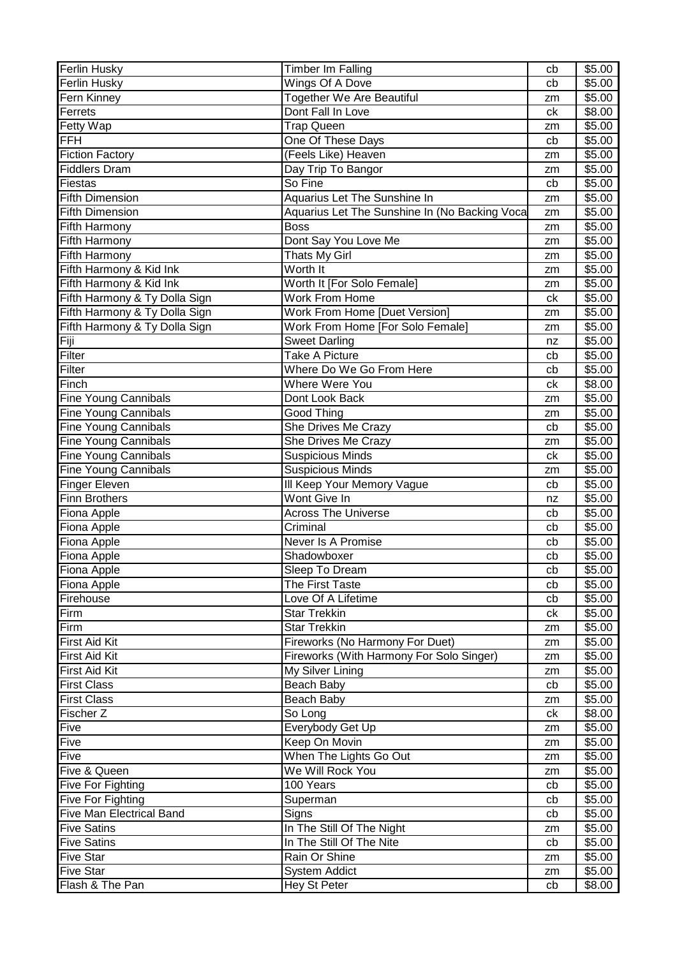| Wings Of A Dove<br>Ferlin Husky<br>\$5.00<br>cb<br>Fern Kinney<br>Together We Are Beautiful<br>\$5.00<br>zm<br>Ferrets<br>Dont Fall In Love<br>\$8.00<br>ck<br><b>Fetty Wap</b><br><b>Trap Queen</b><br>\$5.00<br>zm<br><b>FFH</b><br>One Of These Days<br>\$5.00<br>cb<br>(Feels Like) Heaven<br><b>Fiction Factory</b><br>\$5.00<br>zm<br>Fiddlers Dram<br>Day Trip To Bangor<br>\$5.00<br>zm<br>So Fine<br>Fiestas<br>\$5.00<br>cb<br><b>Fifth Dimension</b><br>Aquarius Let The Sunshine In<br>\$5.00<br>zm<br><b>Fifth Dimension</b><br>Aquarius Let The Sunshine In (No Backing Voca<br>\$5.00<br>zm<br>\$5.00<br>Fifth Harmony<br><b>Boss</b><br>zm<br>Fifth Harmony<br>Dont Say You Love Me<br>\$5.00<br>zm<br><b>Fifth Harmony</b><br>Thats My Girl<br>\$5.00<br>zm<br>Worth It<br>Fifth Harmony & Kid Ink<br>\$5.00<br>zm<br>Fifth Harmony & Kid Ink<br>Worth It [For Solo Female]<br>\$5.00<br>zm<br><b>Work From Home</b><br>Fifth Harmony & Ty Dolla Sign<br>\$5.00<br>ck<br>Fifth Harmony & Ty Dolla Sign<br>Work From Home [Duet Version]<br>\$5.00<br>zm<br>Fifth Harmony & Ty Dolla Sign<br>Work From Home [For Solo Female]<br>\$5.00<br>zm<br>Fiji<br><b>Sweet Darling</b><br>\$5.00<br>nz<br>Filter<br>Take A Picture<br>\$5.00<br>cb<br>Filter<br>Where Do We Go From Here<br>\$5.00<br>cb<br>Finch<br>Where Were You<br>\$8.00<br>ck<br>Fine Young Cannibals<br>Dont Look Back<br>\$5.00<br>zm<br>Fine Young Cannibals<br>Good Thing<br>\$5.00<br>zm<br><b>Fine Young Cannibals</b><br>She Drives Me Crazy<br>\$5.00<br>cb<br><b>Fine Young Cannibals</b><br>She Drives Me Crazy<br>\$5.00<br>zm<br><b>Fine Young Cannibals</b><br><b>Suspicious Minds</b><br>\$5.00<br>ck<br><b>Fine Young Cannibals</b><br><b>Suspicious Minds</b><br>\$5.00<br>zm<br>III Keep Your Memory Vague<br><b>Finger Eleven</b><br>\$5.00<br>cb<br><b>Finn Brothers</b><br>Wont Give In<br>\$5.00<br>nz<br><b>Across The Universe</b><br>\$5.00<br>Fiona Apple<br>cb<br>Fiona Apple<br>Criminal<br>\$5.00<br>cb<br>Fiona Apple<br>Never Is A Promise<br>\$5.00<br>cb<br>Fiona Apple<br>Shadowboxer<br>\$5.00<br>cb<br>\$5.00<br>Fiona Apple<br>Sleep To Dream<br>cb<br>Fiona Apple<br>The First Taste<br>\$5.00<br>cb<br>Love Of A Lifetime<br>\$5.00<br>Firehouse<br>cb<br>Firm<br><b>Star Trekkin</b><br>\$5.00<br>сk<br>Firm<br>Star Trekkin<br>\$5.00<br>zm<br><b>First Aid Kit</b><br>Fireworks (No Harmony For Duet)<br>\$5.00<br>zm<br><b>First Aid Kit</b><br>Fireworks (With Harmony For Solo Singer)<br>\$5.00<br>zm<br>My Silver Lining<br><b>First Aid Kit</b><br>\$5.00<br>zm<br>\$5.00<br><b>First Class</b><br>Beach Baby<br>cb | <b>Ferlin Husky</b> | <b>Timber Im Falling</b> | cb | \$5.00 |
|-------------------------------------------------------------------------------------------------------------------------------------------------------------------------------------------------------------------------------------------------------------------------------------------------------------------------------------------------------------------------------------------------------------------------------------------------------------------------------------------------------------------------------------------------------------------------------------------------------------------------------------------------------------------------------------------------------------------------------------------------------------------------------------------------------------------------------------------------------------------------------------------------------------------------------------------------------------------------------------------------------------------------------------------------------------------------------------------------------------------------------------------------------------------------------------------------------------------------------------------------------------------------------------------------------------------------------------------------------------------------------------------------------------------------------------------------------------------------------------------------------------------------------------------------------------------------------------------------------------------------------------------------------------------------------------------------------------------------------------------------------------------------------------------------------------------------------------------------------------------------------------------------------------------------------------------------------------------------------------------------------------------------------------------------------------------------------------------------------------------------------------------------------------------------------------------------------------------------------------------------------------------------------------------------------------------------------------------------------------------------------------------------------------------------------------------------------------------------------------------------------------------------------------------------------------------------------------------------------------------------------------------------|---------------------|--------------------------|----|--------|
|                                                                                                                                                                                                                                                                                                                                                                                                                                                                                                                                                                                                                                                                                                                                                                                                                                                                                                                                                                                                                                                                                                                                                                                                                                                                                                                                                                                                                                                                                                                                                                                                                                                                                                                                                                                                                                                                                                                                                                                                                                                                                                                                                                                                                                                                                                                                                                                                                                                                                                                                                                                                                                                 |                     |                          |    |        |
|                                                                                                                                                                                                                                                                                                                                                                                                                                                                                                                                                                                                                                                                                                                                                                                                                                                                                                                                                                                                                                                                                                                                                                                                                                                                                                                                                                                                                                                                                                                                                                                                                                                                                                                                                                                                                                                                                                                                                                                                                                                                                                                                                                                                                                                                                                                                                                                                                                                                                                                                                                                                                                                 |                     |                          |    |        |
|                                                                                                                                                                                                                                                                                                                                                                                                                                                                                                                                                                                                                                                                                                                                                                                                                                                                                                                                                                                                                                                                                                                                                                                                                                                                                                                                                                                                                                                                                                                                                                                                                                                                                                                                                                                                                                                                                                                                                                                                                                                                                                                                                                                                                                                                                                                                                                                                                                                                                                                                                                                                                                                 |                     |                          |    |        |
|                                                                                                                                                                                                                                                                                                                                                                                                                                                                                                                                                                                                                                                                                                                                                                                                                                                                                                                                                                                                                                                                                                                                                                                                                                                                                                                                                                                                                                                                                                                                                                                                                                                                                                                                                                                                                                                                                                                                                                                                                                                                                                                                                                                                                                                                                                                                                                                                                                                                                                                                                                                                                                                 |                     |                          |    |        |
|                                                                                                                                                                                                                                                                                                                                                                                                                                                                                                                                                                                                                                                                                                                                                                                                                                                                                                                                                                                                                                                                                                                                                                                                                                                                                                                                                                                                                                                                                                                                                                                                                                                                                                                                                                                                                                                                                                                                                                                                                                                                                                                                                                                                                                                                                                                                                                                                                                                                                                                                                                                                                                                 |                     |                          |    |        |
|                                                                                                                                                                                                                                                                                                                                                                                                                                                                                                                                                                                                                                                                                                                                                                                                                                                                                                                                                                                                                                                                                                                                                                                                                                                                                                                                                                                                                                                                                                                                                                                                                                                                                                                                                                                                                                                                                                                                                                                                                                                                                                                                                                                                                                                                                                                                                                                                                                                                                                                                                                                                                                                 |                     |                          |    |        |
|                                                                                                                                                                                                                                                                                                                                                                                                                                                                                                                                                                                                                                                                                                                                                                                                                                                                                                                                                                                                                                                                                                                                                                                                                                                                                                                                                                                                                                                                                                                                                                                                                                                                                                                                                                                                                                                                                                                                                                                                                                                                                                                                                                                                                                                                                                                                                                                                                                                                                                                                                                                                                                                 |                     |                          |    |        |
|                                                                                                                                                                                                                                                                                                                                                                                                                                                                                                                                                                                                                                                                                                                                                                                                                                                                                                                                                                                                                                                                                                                                                                                                                                                                                                                                                                                                                                                                                                                                                                                                                                                                                                                                                                                                                                                                                                                                                                                                                                                                                                                                                                                                                                                                                                                                                                                                                                                                                                                                                                                                                                                 |                     |                          |    |        |
|                                                                                                                                                                                                                                                                                                                                                                                                                                                                                                                                                                                                                                                                                                                                                                                                                                                                                                                                                                                                                                                                                                                                                                                                                                                                                                                                                                                                                                                                                                                                                                                                                                                                                                                                                                                                                                                                                                                                                                                                                                                                                                                                                                                                                                                                                                                                                                                                                                                                                                                                                                                                                                                 |                     |                          |    |        |
|                                                                                                                                                                                                                                                                                                                                                                                                                                                                                                                                                                                                                                                                                                                                                                                                                                                                                                                                                                                                                                                                                                                                                                                                                                                                                                                                                                                                                                                                                                                                                                                                                                                                                                                                                                                                                                                                                                                                                                                                                                                                                                                                                                                                                                                                                                                                                                                                                                                                                                                                                                                                                                                 |                     |                          |    |        |
|                                                                                                                                                                                                                                                                                                                                                                                                                                                                                                                                                                                                                                                                                                                                                                                                                                                                                                                                                                                                                                                                                                                                                                                                                                                                                                                                                                                                                                                                                                                                                                                                                                                                                                                                                                                                                                                                                                                                                                                                                                                                                                                                                                                                                                                                                                                                                                                                                                                                                                                                                                                                                                                 |                     |                          |    |        |
|                                                                                                                                                                                                                                                                                                                                                                                                                                                                                                                                                                                                                                                                                                                                                                                                                                                                                                                                                                                                                                                                                                                                                                                                                                                                                                                                                                                                                                                                                                                                                                                                                                                                                                                                                                                                                                                                                                                                                                                                                                                                                                                                                                                                                                                                                                                                                                                                                                                                                                                                                                                                                                                 |                     |                          |    |        |
|                                                                                                                                                                                                                                                                                                                                                                                                                                                                                                                                                                                                                                                                                                                                                                                                                                                                                                                                                                                                                                                                                                                                                                                                                                                                                                                                                                                                                                                                                                                                                                                                                                                                                                                                                                                                                                                                                                                                                                                                                                                                                                                                                                                                                                                                                                                                                                                                                                                                                                                                                                                                                                                 |                     |                          |    |        |
|                                                                                                                                                                                                                                                                                                                                                                                                                                                                                                                                                                                                                                                                                                                                                                                                                                                                                                                                                                                                                                                                                                                                                                                                                                                                                                                                                                                                                                                                                                                                                                                                                                                                                                                                                                                                                                                                                                                                                                                                                                                                                                                                                                                                                                                                                                                                                                                                                                                                                                                                                                                                                                                 |                     |                          |    |        |
|                                                                                                                                                                                                                                                                                                                                                                                                                                                                                                                                                                                                                                                                                                                                                                                                                                                                                                                                                                                                                                                                                                                                                                                                                                                                                                                                                                                                                                                                                                                                                                                                                                                                                                                                                                                                                                                                                                                                                                                                                                                                                                                                                                                                                                                                                                                                                                                                                                                                                                                                                                                                                                                 |                     |                          |    |        |
|                                                                                                                                                                                                                                                                                                                                                                                                                                                                                                                                                                                                                                                                                                                                                                                                                                                                                                                                                                                                                                                                                                                                                                                                                                                                                                                                                                                                                                                                                                                                                                                                                                                                                                                                                                                                                                                                                                                                                                                                                                                                                                                                                                                                                                                                                                                                                                                                                                                                                                                                                                                                                                                 |                     |                          |    |        |
|                                                                                                                                                                                                                                                                                                                                                                                                                                                                                                                                                                                                                                                                                                                                                                                                                                                                                                                                                                                                                                                                                                                                                                                                                                                                                                                                                                                                                                                                                                                                                                                                                                                                                                                                                                                                                                                                                                                                                                                                                                                                                                                                                                                                                                                                                                                                                                                                                                                                                                                                                                                                                                                 |                     |                          |    |        |
|                                                                                                                                                                                                                                                                                                                                                                                                                                                                                                                                                                                                                                                                                                                                                                                                                                                                                                                                                                                                                                                                                                                                                                                                                                                                                                                                                                                                                                                                                                                                                                                                                                                                                                                                                                                                                                                                                                                                                                                                                                                                                                                                                                                                                                                                                                                                                                                                                                                                                                                                                                                                                                                 |                     |                          |    |        |
|                                                                                                                                                                                                                                                                                                                                                                                                                                                                                                                                                                                                                                                                                                                                                                                                                                                                                                                                                                                                                                                                                                                                                                                                                                                                                                                                                                                                                                                                                                                                                                                                                                                                                                                                                                                                                                                                                                                                                                                                                                                                                                                                                                                                                                                                                                                                                                                                                                                                                                                                                                                                                                                 |                     |                          |    |        |
|                                                                                                                                                                                                                                                                                                                                                                                                                                                                                                                                                                                                                                                                                                                                                                                                                                                                                                                                                                                                                                                                                                                                                                                                                                                                                                                                                                                                                                                                                                                                                                                                                                                                                                                                                                                                                                                                                                                                                                                                                                                                                                                                                                                                                                                                                                                                                                                                                                                                                                                                                                                                                                                 |                     |                          |    |        |
|                                                                                                                                                                                                                                                                                                                                                                                                                                                                                                                                                                                                                                                                                                                                                                                                                                                                                                                                                                                                                                                                                                                                                                                                                                                                                                                                                                                                                                                                                                                                                                                                                                                                                                                                                                                                                                                                                                                                                                                                                                                                                                                                                                                                                                                                                                                                                                                                                                                                                                                                                                                                                                                 |                     |                          |    |        |
|                                                                                                                                                                                                                                                                                                                                                                                                                                                                                                                                                                                                                                                                                                                                                                                                                                                                                                                                                                                                                                                                                                                                                                                                                                                                                                                                                                                                                                                                                                                                                                                                                                                                                                                                                                                                                                                                                                                                                                                                                                                                                                                                                                                                                                                                                                                                                                                                                                                                                                                                                                                                                                                 |                     |                          |    |        |
|                                                                                                                                                                                                                                                                                                                                                                                                                                                                                                                                                                                                                                                                                                                                                                                                                                                                                                                                                                                                                                                                                                                                                                                                                                                                                                                                                                                                                                                                                                                                                                                                                                                                                                                                                                                                                                                                                                                                                                                                                                                                                                                                                                                                                                                                                                                                                                                                                                                                                                                                                                                                                                                 |                     |                          |    |        |
|                                                                                                                                                                                                                                                                                                                                                                                                                                                                                                                                                                                                                                                                                                                                                                                                                                                                                                                                                                                                                                                                                                                                                                                                                                                                                                                                                                                                                                                                                                                                                                                                                                                                                                                                                                                                                                                                                                                                                                                                                                                                                                                                                                                                                                                                                                                                                                                                                                                                                                                                                                                                                                                 |                     |                          |    |        |
|                                                                                                                                                                                                                                                                                                                                                                                                                                                                                                                                                                                                                                                                                                                                                                                                                                                                                                                                                                                                                                                                                                                                                                                                                                                                                                                                                                                                                                                                                                                                                                                                                                                                                                                                                                                                                                                                                                                                                                                                                                                                                                                                                                                                                                                                                                                                                                                                                                                                                                                                                                                                                                                 |                     |                          |    |        |
|                                                                                                                                                                                                                                                                                                                                                                                                                                                                                                                                                                                                                                                                                                                                                                                                                                                                                                                                                                                                                                                                                                                                                                                                                                                                                                                                                                                                                                                                                                                                                                                                                                                                                                                                                                                                                                                                                                                                                                                                                                                                                                                                                                                                                                                                                                                                                                                                                                                                                                                                                                                                                                                 |                     |                          |    |        |
|                                                                                                                                                                                                                                                                                                                                                                                                                                                                                                                                                                                                                                                                                                                                                                                                                                                                                                                                                                                                                                                                                                                                                                                                                                                                                                                                                                                                                                                                                                                                                                                                                                                                                                                                                                                                                                                                                                                                                                                                                                                                                                                                                                                                                                                                                                                                                                                                                                                                                                                                                                                                                                                 |                     |                          |    |        |
|                                                                                                                                                                                                                                                                                                                                                                                                                                                                                                                                                                                                                                                                                                                                                                                                                                                                                                                                                                                                                                                                                                                                                                                                                                                                                                                                                                                                                                                                                                                                                                                                                                                                                                                                                                                                                                                                                                                                                                                                                                                                                                                                                                                                                                                                                                                                                                                                                                                                                                                                                                                                                                                 |                     |                          |    |        |
|                                                                                                                                                                                                                                                                                                                                                                                                                                                                                                                                                                                                                                                                                                                                                                                                                                                                                                                                                                                                                                                                                                                                                                                                                                                                                                                                                                                                                                                                                                                                                                                                                                                                                                                                                                                                                                                                                                                                                                                                                                                                                                                                                                                                                                                                                                                                                                                                                                                                                                                                                                                                                                                 |                     |                          |    |        |
|                                                                                                                                                                                                                                                                                                                                                                                                                                                                                                                                                                                                                                                                                                                                                                                                                                                                                                                                                                                                                                                                                                                                                                                                                                                                                                                                                                                                                                                                                                                                                                                                                                                                                                                                                                                                                                                                                                                                                                                                                                                                                                                                                                                                                                                                                                                                                                                                                                                                                                                                                                                                                                                 |                     |                          |    |        |
|                                                                                                                                                                                                                                                                                                                                                                                                                                                                                                                                                                                                                                                                                                                                                                                                                                                                                                                                                                                                                                                                                                                                                                                                                                                                                                                                                                                                                                                                                                                                                                                                                                                                                                                                                                                                                                                                                                                                                                                                                                                                                                                                                                                                                                                                                                                                                                                                                                                                                                                                                                                                                                                 |                     |                          |    |        |
|                                                                                                                                                                                                                                                                                                                                                                                                                                                                                                                                                                                                                                                                                                                                                                                                                                                                                                                                                                                                                                                                                                                                                                                                                                                                                                                                                                                                                                                                                                                                                                                                                                                                                                                                                                                                                                                                                                                                                                                                                                                                                                                                                                                                                                                                                                                                                                                                                                                                                                                                                                                                                                                 |                     |                          |    |        |
|                                                                                                                                                                                                                                                                                                                                                                                                                                                                                                                                                                                                                                                                                                                                                                                                                                                                                                                                                                                                                                                                                                                                                                                                                                                                                                                                                                                                                                                                                                                                                                                                                                                                                                                                                                                                                                                                                                                                                                                                                                                                                                                                                                                                                                                                                                                                                                                                                                                                                                                                                                                                                                                 |                     |                          |    |        |
|                                                                                                                                                                                                                                                                                                                                                                                                                                                                                                                                                                                                                                                                                                                                                                                                                                                                                                                                                                                                                                                                                                                                                                                                                                                                                                                                                                                                                                                                                                                                                                                                                                                                                                                                                                                                                                                                                                                                                                                                                                                                                                                                                                                                                                                                                                                                                                                                                                                                                                                                                                                                                                                 |                     |                          |    |        |
|                                                                                                                                                                                                                                                                                                                                                                                                                                                                                                                                                                                                                                                                                                                                                                                                                                                                                                                                                                                                                                                                                                                                                                                                                                                                                                                                                                                                                                                                                                                                                                                                                                                                                                                                                                                                                                                                                                                                                                                                                                                                                                                                                                                                                                                                                                                                                                                                                                                                                                                                                                                                                                                 |                     |                          |    |        |
|                                                                                                                                                                                                                                                                                                                                                                                                                                                                                                                                                                                                                                                                                                                                                                                                                                                                                                                                                                                                                                                                                                                                                                                                                                                                                                                                                                                                                                                                                                                                                                                                                                                                                                                                                                                                                                                                                                                                                                                                                                                                                                                                                                                                                                                                                                                                                                                                                                                                                                                                                                                                                                                 |                     |                          |    |        |
|                                                                                                                                                                                                                                                                                                                                                                                                                                                                                                                                                                                                                                                                                                                                                                                                                                                                                                                                                                                                                                                                                                                                                                                                                                                                                                                                                                                                                                                                                                                                                                                                                                                                                                                                                                                                                                                                                                                                                                                                                                                                                                                                                                                                                                                                                                                                                                                                                                                                                                                                                                                                                                                 |                     |                          |    |        |
|                                                                                                                                                                                                                                                                                                                                                                                                                                                                                                                                                                                                                                                                                                                                                                                                                                                                                                                                                                                                                                                                                                                                                                                                                                                                                                                                                                                                                                                                                                                                                                                                                                                                                                                                                                                                                                                                                                                                                                                                                                                                                                                                                                                                                                                                                                                                                                                                                                                                                                                                                                                                                                                 |                     |                          |    |        |
|                                                                                                                                                                                                                                                                                                                                                                                                                                                                                                                                                                                                                                                                                                                                                                                                                                                                                                                                                                                                                                                                                                                                                                                                                                                                                                                                                                                                                                                                                                                                                                                                                                                                                                                                                                                                                                                                                                                                                                                                                                                                                                                                                                                                                                                                                                                                                                                                                                                                                                                                                                                                                                                 |                     |                          |    |        |
|                                                                                                                                                                                                                                                                                                                                                                                                                                                                                                                                                                                                                                                                                                                                                                                                                                                                                                                                                                                                                                                                                                                                                                                                                                                                                                                                                                                                                                                                                                                                                                                                                                                                                                                                                                                                                                                                                                                                                                                                                                                                                                                                                                                                                                                                                                                                                                                                                                                                                                                                                                                                                                                 |                     |                          |    |        |
|                                                                                                                                                                                                                                                                                                                                                                                                                                                                                                                                                                                                                                                                                                                                                                                                                                                                                                                                                                                                                                                                                                                                                                                                                                                                                                                                                                                                                                                                                                                                                                                                                                                                                                                                                                                                                                                                                                                                                                                                                                                                                                                                                                                                                                                                                                                                                                                                                                                                                                                                                                                                                                                 |                     |                          |    |        |
|                                                                                                                                                                                                                                                                                                                                                                                                                                                                                                                                                                                                                                                                                                                                                                                                                                                                                                                                                                                                                                                                                                                                                                                                                                                                                                                                                                                                                                                                                                                                                                                                                                                                                                                                                                                                                                                                                                                                                                                                                                                                                                                                                                                                                                                                                                                                                                                                                                                                                                                                                                                                                                                 |                     |                          |    |        |
|                                                                                                                                                                                                                                                                                                                                                                                                                                                                                                                                                                                                                                                                                                                                                                                                                                                                                                                                                                                                                                                                                                                                                                                                                                                                                                                                                                                                                                                                                                                                                                                                                                                                                                                                                                                                                                                                                                                                                                                                                                                                                                                                                                                                                                                                                                                                                                                                                                                                                                                                                                                                                                                 |                     |                          |    |        |
| zm                                                                                                                                                                                                                                                                                                                                                                                                                                                                                                                                                                                                                                                                                                                                                                                                                                                                                                                                                                                                                                                                                                                                                                                                                                                                                                                                                                                                                                                                                                                                                                                                                                                                                                                                                                                                                                                                                                                                                                                                                                                                                                                                                                                                                                                                                                                                                                                                                                                                                                                                                                                                                                              | <b>First Class</b>  | Beach Baby               |    | \$5.00 |
| \$8.00<br>Fischer Z<br>So Long<br>ck                                                                                                                                                                                                                                                                                                                                                                                                                                                                                                                                                                                                                                                                                                                                                                                                                                                                                                                                                                                                                                                                                                                                                                                                                                                                                                                                                                                                                                                                                                                                                                                                                                                                                                                                                                                                                                                                                                                                                                                                                                                                                                                                                                                                                                                                                                                                                                                                                                                                                                                                                                                                            |                     |                          |    |        |
| Everybody Get Up<br>\$5.00<br>Five<br>zm                                                                                                                                                                                                                                                                                                                                                                                                                                                                                                                                                                                                                                                                                                                                                                                                                                                                                                                                                                                                                                                                                                                                                                                                                                                                                                                                                                                                                                                                                                                                                                                                                                                                                                                                                                                                                                                                                                                                                                                                                                                                                                                                                                                                                                                                                                                                                                                                                                                                                                                                                                                                        |                     |                          |    |        |
| Five<br>Keep On Movin<br>\$5.00<br>zm                                                                                                                                                                                                                                                                                                                                                                                                                                                                                                                                                                                                                                                                                                                                                                                                                                                                                                                                                                                                                                                                                                                                                                                                                                                                                                                                                                                                                                                                                                                                                                                                                                                                                                                                                                                                                                                                                                                                                                                                                                                                                                                                                                                                                                                                                                                                                                                                                                                                                                                                                                                                           |                     |                          |    |        |
| Five<br>When The Lights Go Out<br>$\overline{$}5.00$<br>zm                                                                                                                                                                                                                                                                                                                                                                                                                                                                                                                                                                                                                                                                                                                                                                                                                                                                                                                                                                                                                                                                                                                                                                                                                                                                                                                                                                                                                                                                                                                                                                                                                                                                                                                                                                                                                                                                                                                                                                                                                                                                                                                                                                                                                                                                                                                                                                                                                                                                                                                                                                                      |                     |                          |    |        |
| We Will Rock You<br>\$5.00<br>Five & Queen<br>zm                                                                                                                                                                                                                                                                                                                                                                                                                                                                                                                                                                                                                                                                                                                                                                                                                                                                                                                                                                                                                                                                                                                                                                                                                                                                                                                                                                                                                                                                                                                                                                                                                                                                                                                                                                                                                                                                                                                                                                                                                                                                                                                                                                                                                                                                                                                                                                                                                                                                                                                                                                                                |                     |                          |    |        |
| 100 Years<br><b>Five For Fighting</b><br>\$5.00<br>cb                                                                                                                                                                                                                                                                                                                                                                                                                                                                                                                                                                                                                                                                                                                                                                                                                                                                                                                                                                                                                                                                                                                                                                                                                                                                                                                                                                                                                                                                                                                                                                                                                                                                                                                                                                                                                                                                                                                                                                                                                                                                                                                                                                                                                                                                                                                                                                                                                                                                                                                                                                                           |                     |                          |    |        |
| Superman<br>\$5.00<br>Five For Fighting<br>cb                                                                                                                                                                                                                                                                                                                                                                                                                                                                                                                                                                                                                                                                                                                                                                                                                                                                                                                                                                                                                                                                                                                                                                                                                                                                                                                                                                                                                                                                                                                                                                                                                                                                                                                                                                                                                                                                                                                                                                                                                                                                                                                                                                                                                                                                                                                                                                                                                                                                                                                                                                                                   |                     |                          |    |        |
| <b>Five Man Electrical Band</b><br>Signs<br>\$5.00<br>cb                                                                                                                                                                                                                                                                                                                                                                                                                                                                                                                                                                                                                                                                                                                                                                                                                                                                                                                                                                                                                                                                                                                                                                                                                                                                                                                                                                                                                                                                                                                                                                                                                                                                                                                                                                                                                                                                                                                                                                                                                                                                                                                                                                                                                                                                                                                                                                                                                                                                                                                                                                                        |                     |                          |    |        |
| In The Still Of The Night<br>\$5.00<br><b>Five Satins</b><br>zm                                                                                                                                                                                                                                                                                                                                                                                                                                                                                                                                                                                                                                                                                                                                                                                                                                                                                                                                                                                                                                                                                                                                                                                                                                                                                                                                                                                                                                                                                                                                                                                                                                                                                                                                                                                                                                                                                                                                                                                                                                                                                                                                                                                                                                                                                                                                                                                                                                                                                                                                                                                 |                     |                          |    |        |
| In The Still Of The Nite<br><b>Five Satins</b><br>\$5.00<br>cb                                                                                                                                                                                                                                                                                                                                                                                                                                                                                                                                                                                                                                                                                                                                                                                                                                                                                                                                                                                                                                                                                                                                                                                                                                                                                                                                                                                                                                                                                                                                                                                                                                                                                                                                                                                                                                                                                                                                                                                                                                                                                                                                                                                                                                                                                                                                                                                                                                                                                                                                                                                  |                     |                          |    |        |
| <b>Five Star</b><br>Rain Or Shine<br>\$5.00<br>zm                                                                                                                                                                                                                                                                                                                                                                                                                                                                                                                                                                                                                                                                                                                                                                                                                                                                                                                                                                                                                                                                                                                                                                                                                                                                                                                                                                                                                                                                                                                                                                                                                                                                                                                                                                                                                                                                                                                                                                                                                                                                                                                                                                                                                                                                                                                                                                                                                                                                                                                                                                                               |                     |                          |    |        |
| System Addict<br>\$5.00<br>Five Star<br>zm                                                                                                                                                                                                                                                                                                                                                                                                                                                                                                                                                                                                                                                                                                                                                                                                                                                                                                                                                                                                                                                                                                                                                                                                                                                                                                                                                                                                                                                                                                                                                                                                                                                                                                                                                                                                                                                                                                                                                                                                                                                                                                                                                                                                                                                                                                                                                                                                                                                                                                                                                                                                      |                     |                          |    |        |
| Flash & The Pan<br>Hey St Peter<br>\$8.00<br>cb                                                                                                                                                                                                                                                                                                                                                                                                                                                                                                                                                                                                                                                                                                                                                                                                                                                                                                                                                                                                                                                                                                                                                                                                                                                                                                                                                                                                                                                                                                                                                                                                                                                                                                                                                                                                                                                                                                                                                                                                                                                                                                                                                                                                                                                                                                                                                                                                                                                                                                                                                                                                 |                     |                          |    |        |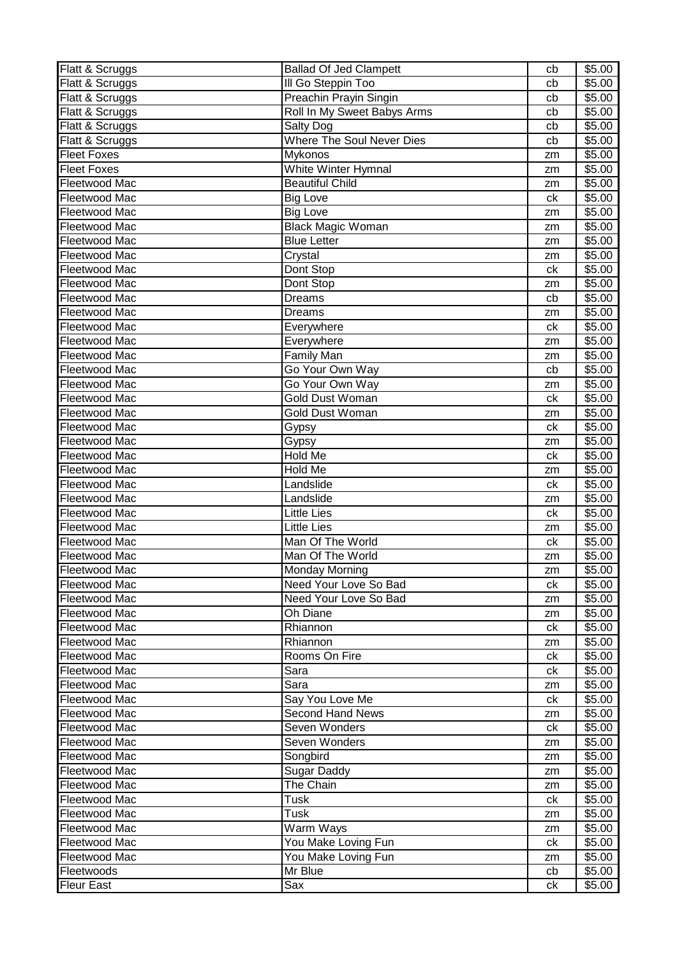| Flatt & Scruggs                 | <b>Ballad Of Jed Clampett</b>    | cb            | \$5.00 |
|---------------------------------|----------------------------------|---------------|--------|
| Flatt & Scruggs                 | III Go Steppin Too               | cb            | \$5.00 |
| Flatt & Scruggs                 | Preachin Prayin Singin           | cb            | \$5.00 |
| Flatt & Scruggs                 | Roll In My Sweet Babys Arms      | cb            | \$5.00 |
| Flatt & Scruggs                 | Salty Dog                        | cb            | \$5.00 |
| Flatt & Scruggs                 | <b>Where The Soul Never Dies</b> | cb            | \$5.00 |
| <b>Fleet Foxes</b>              | Mykonos                          | zm            | \$5.00 |
| <b>Fleet Foxes</b>              | White Winter Hymnal              | zm            | \$5.00 |
| Fleetwood Mac                   | <b>Beautiful Child</b>           | zm            | \$5.00 |
| Fleetwood Mac                   | <b>Big Love</b>                  | ck            | \$5.00 |
| Fleetwood Mac                   | <b>Big Love</b>                  | zm            | \$5.00 |
| Fleetwood Mac                   | <b>Black Magic Woman</b>         | zm            | \$5.00 |
| Fleetwood Mac                   | <b>Blue Letter</b>               | zm            | \$5.00 |
| Fleetwood Mac                   | Crystal                          | zm            | \$5.00 |
| Fleetwood Mac                   | Dont Stop                        | ck            | \$5.00 |
| Fleetwood Mac                   | Dont Stop                        | zm            | \$5.00 |
| Fleetwood Mac                   | <b>Dreams</b>                    | cb            | \$5.00 |
| Fleetwood Mac                   | <b>Dreams</b>                    | zm            | \$5.00 |
| Fleetwood Mac                   | Everywhere                       | ck            | \$5.00 |
| Fleetwood Mac                   | Everywhere                       | zm            | \$5.00 |
| Fleetwood Mac                   | <b>Family Man</b>                | zm            | \$5.00 |
| Fleetwood Mac                   | Go Your Own Way                  | cb            | \$5.00 |
| Fleetwood Mac                   | Go Your Own Way                  | zm            | \$5.00 |
| Fleetwood Mac                   | <b>Gold Dust Woman</b>           | ck            | \$5.00 |
| Fleetwood Mac                   | Gold Dust Woman                  | zm            | \$5.00 |
| Fleetwood Mac                   | Gypsy                            | ck            | \$5.00 |
| Fleetwood Mac                   | Gypsy                            | zm            | \$5.00 |
| Fleetwood Mac                   | Hold Me                          | ck            | \$5.00 |
| Fleetwood Mac                   | Hold Me                          | zm            | \$5.00 |
| Fleetwood Mac                   | Landslide                        | ck            | \$5.00 |
| Fleetwood Mac                   | Landslide                        | zm            | \$5.00 |
| Fleetwood Mac                   | <b>Little Lies</b>               | ck            | \$5.00 |
| Fleetwood Mac                   | <b>Little Lies</b>               | zm            | \$5.00 |
| Fleetwood Mac                   | Man Of The World                 | ck            | \$5.00 |
| Fleetwood Mac                   | Man Of The World                 | zm            | \$5.00 |
| Fleetwood Mac                   | Monday Morning                   | $\mathsf{zm}$ | \$5.00 |
| Fleetwood Mac                   | Need Your Love So Bad            | ck            | \$5.00 |
| Fleetwood Mac                   | Need Your Love So Bad            | zm            | \$5.00 |
| Fleetwood Mac                   | Oh Diane                         | zm            | \$5.00 |
| Fleetwood Mac                   | Rhiannon                         | ck            | \$5.00 |
| Fleetwood Mac                   | Rhiannon                         | zm            | \$5.00 |
| Fleetwood Mac                   | Rooms On Fire                    | ck            | \$5.00 |
| Fleetwood Mac                   | Sara                             | ck            | \$5.00 |
| Fleetwood Mac                   | Sara                             | zm            | \$5.00 |
| Fleetwood Mac                   | Say You Love Me                  | ck            | \$5.00 |
| Fleetwood Mac                   | <b>Second Hand News</b>          | zm            | \$5.00 |
| Fleetwood Mac                   | Seven Wonders                    | ck            | \$5.00 |
| Fleetwood Mac                   | Seven Wonders                    | zm            | \$5.00 |
| Fleetwood Mac                   | Songbird                         | zm            | \$5.00 |
| Fleetwood Mac                   | <b>Sugar Daddy</b>               | zm            | \$5.00 |
| Fleetwood Mac                   | The Chain                        | zm            | \$5.00 |
| Fleetwood Mac                   | Tusk                             | ck            | \$5.00 |
| Fleetwood Mac                   | Tusk                             | zm            | \$5.00 |
| Fleetwood Mac                   | Warm Ways                        | zm            | \$5.00 |
| Fleetwood Mac                   | You Make Loving Fun              | сk            | \$5.00 |
| Fleetwood Mac                   | You Make Loving Fun<br>Mr Blue   | zm            | \$5.00 |
| Fleetwoods<br><b>Fleur East</b> | Sax                              | cb            | \$5.00 |
|                                 |                                  | ck            | \$5.00 |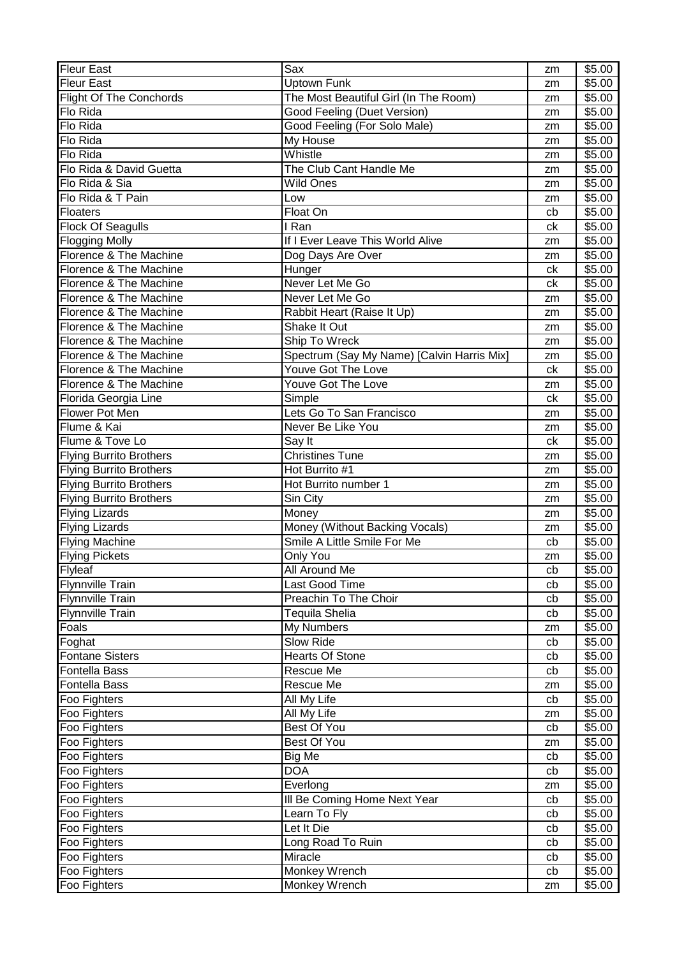| <b>Fleur East</b>              | Sax                                        | zm       | \$5.00           |
|--------------------------------|--------------------------------------------|----------|------------------|
| <b>Fleur East</b>              | Uptown Funk                                | zm       | \$5.00           |
| <b>Flight Of The Conchords</b> | The Most Beautiful Girl (In The Room)      | zm       | \$5.00           |
| Flo Rida                       | Good Feeling (Duet Version)                | zm       | \$5.00           |
| Flo Rida                       | Good Feeling (For Solo Male)               | zm       | \$5.00           |
| Flo Rida                       | My House                                   | zm       | \$5.00           |
| Flo Rida                       | Whistle                                    | zm       | \$5.00           |
| Flo Rida & David Guetta        | The Club Cant Handle Me                    | zm       | \$5.00           |
| Flo Rida & Sia                 | <b>Wild Ones</b>                           | zm       | \$5.00           |
| Flo Rida & T Pain              | Low                                        | zm       | \$5.00           |
| <b>Floaters</b>                | Float On                                   | cb       | \$5.00           |
| <b>Flock Of Seagulls</b>       | I Ran                                      | ck       | \$5.00           |
| <b>Flogging Molly</b>          | If I Ever Leave This World Alive           | zm       | \$5.00           |
| Florence & The Machine         | Dog Days Are Over                          | zm       | \$5.00           |
| Florence & The Machine         | Hunger                                     | ck       | \$5.00           |
| Florence & The Machine         | Never Let Me Go                            | ck       | \$5.00           |
| Florence & The Machine         | Never Let Me Go                            | zm       | \$5.00           |
| Florence & The Machine         | Rabbit Heart (Raise It Up)                 | zm       | \$5.00           |
| Florence & The Machine         | Shake It Out                               | zm       | \$5.00           |
| Florence & The Machine         | Ship To Wreck                              | zm       | \$5.00           |
| Florence & The Machine         | Spectrum (Say My Name) [Calvin Harris Mix] | zm       | \$5.00           |
| Florence & The Machine         | Youve Got The Love                         | ck       | \$5.00           |
| Florence & The Machine         | Youve Got The Love                         | zm       | \$5.00           |
| Florida Georgia Line           | Simple                                     | ck       | \$5.00           |
| Flower Pot Men                 | Lets Go To San Francisco                   | zm       | \$5.00           |
| Flume & Kai                    | Never Be Like You                          | zm       | \$5.00           |
| Flume & Tove Lo                | Say It                                     | ck       | \$5.00           |
| <b>Flying Burrito Brothers</b> | <b>Christines Tune</b>                     | zm       | \$5.00           |
| <b>Flying Burrito Brothers</b> | Hot Burrito #1                             | zm       | \$5.00           |
| <b>Flying Burrito Brothers</b> | Hot Burrito number 1                       | zm       | \$5.00           |
| <b>Flying Burrito Brothers</b> | Sin City                                   | zm       | \$5.00           |
| <b>Flying Lizards</b>          | Money                                      | zm       | \$5.00           |
| <b>Flying Lizards</b>          | Money (Without Backing Vocals)             | zm       | \$5.00           |
| <b>Flying Machine</b>          | Smile A Little Smile For Me                | cb       | \$5.00           |
| <b>Flying Pickets</b>          | Only You                                   | zm       | \$5.00           |
| Flyleaf                        | All Around Me                              | cb       | $\sqrt{$5.00}$   |
| Flynnville Train               | Last Good Time                             | cb       | \$5.00           |
| <b>Flynnville Train</b>        | Preachin To The Choir                      | cb       | \$5.00           |
| <b>Flynnville Train</b>        | Tequila Shelia                             | cb       | \$5.00           |
| Foals                          | My Numbers                                 | zm       | \$5.00           |
| Foghat                         | Slow Ride                                  | cb       | \$5.00           |
| <b>Fontane Sisters</b>         | <b>Hearts Of Stone</b>                     | cb       | \$5.00           |
| <b>Fontella Bass</b>           | Rescue Me                                  | cb       | \$5.00           |
| Fontella Bass                  | Rescue Me                                  | zm       | \$5.00           |
| Foo Fighters                   |                                            |          | \$5.00           |
|                                |                                            |          |                  |
|                                | All My Life                                | cb       |                  |
| Foo Fighters                   | All My Life                                | zm       | \$5.00           |
| Foo Fighters                   | Best Of You                                | cb       | \$5.00           |
| Foo Fighters                   | Best Of You                                | zm       | \$5.00           |
| Foo Fighters                   | Big Me                                     | cb       | \$5.00           |
| Foo Fighters                   | <b>DOA</b>                                 | cb       | \$5.00           |
| Foo Fighters                   | Everlong                                   | zm       | \$5.00           |
| Foo Fighters                   | Ill Be Coming Home Next Year               | cb       | \$5.00           |
| Foo Fighters                   | Learn To Fly                               | cb       | \$5.00           |
| Foo Fighters                   | Let It Die                                 | cb       | \$5.00           |
| Foo Fighters                   | Long Road To Ruin                          | cb       | \$5.00           |
| Foo Fighters<br>Foo Fighters   | Miracle<br>Monkey Wrench                   | cb<br>cb | \$5.00<br>\$5.00 |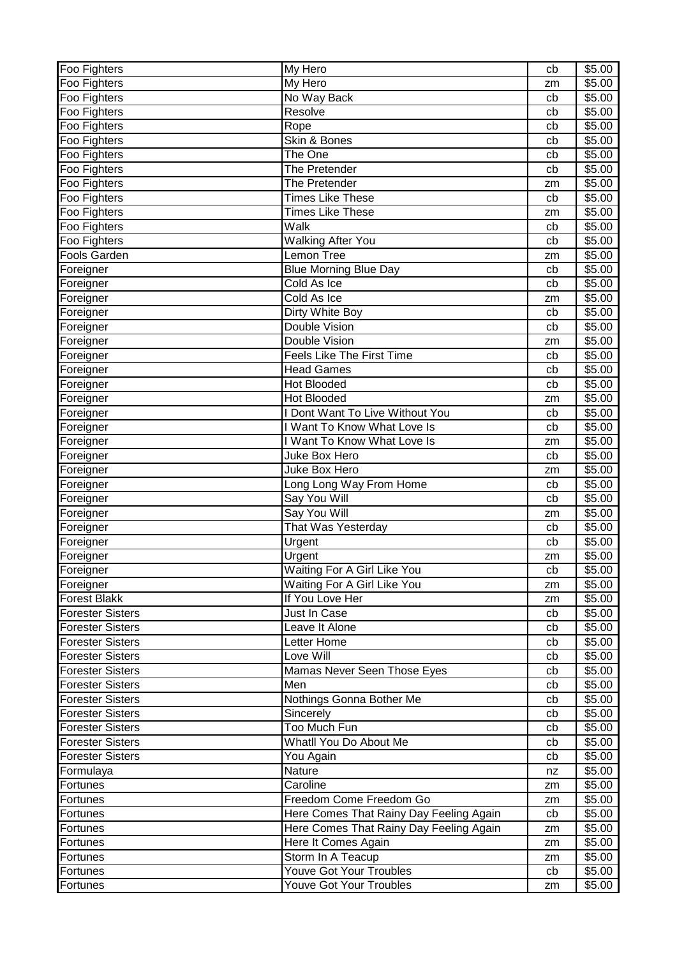| Foo Fighters            | My Hero                                 | cb | \$5.00 |
|-------------------------|-----------------------------------------|----|--------|
| Foo Fighters            | My Hero                                 | zm | \$5.00 |
| Foo Fighters            | No Way Back                             | cb | \$5.00 |
| Foo Fighters            | Resolve                                 | cb | \$5.00 |
| Foo Fighters            | Rope                                    | cb | \$5.00 |
| Foo Fighters            | Skin & Bones                            | cb | \$5.00 |
| Foo Fighters            | The One                                 | cb | \$5.00 |
| Foo Fighters            | The Pretender                           | cb | \$5.00 |
| Foo Fighters            | The Pretender                           | zm | \$5.00 |
| Foo Fighters            | <b>Times Like These</b>                 | cb | \$5.00 |
| Foo Fighters            | <b>Times Like These</b>                 | zm | \$5.00 |
| Foo Fighters            | Walk                                    | cb | \$5.00 |
| Foo Fighters            | <b>Walking After You</b>                | cb | \$5.00 |
| Fools Garden            | Lemon Tree                              | zm | \$5.00 |
| Foreigner               | Blue Morning Blue Day                   | cb | \$5.00 |
| Foreigner               | Cold As Ice                             | cb | \$5.00 |
| Foreigner               | Cold As Ice                             | zm | \$5.00 |
| Foreigner               | Dirty White Boy                         | cb | \$5.00 |
| Foreigner               | <b>Double Vision</b>                    | cb | \$5.00 |
| Foreigner               | <b>Double Vision</b>                    | zm | \$5.00 |
| Foreigner               | <b>Feels Like The First Time</b>        | cb | \$5.00 |
| Foreigner               | <b>Head Games</b>                       | cb | \$5.00 |
| Foreigner               | <b>Hot Blooded</b>                      | cb | \$5.00 |
| Foreigner               | Hot Blooded                             | zm | \$5.00 |
| Foreigner               | I Dont Want To Live Without You         | cb | \$5.00 |
| Foreigner               | I Want To Know What Love Is             | cb | \$5.00 |
| Foreigner               | I Want To Know What Love Is             | zm | \$5.00 |
| Foreigner               | Juke Box Hero                           | cb | \$5.00 |
| Foreigner               | Juke Box Hero                           | zm | \$5.00 |
| Foreigner               | Long Long Way From Home                 | cb | \$5.00 |
| Foreigner               | Say You Will                            | cb | \$5.00 |
| Foreigner               | Say You Will                            | zm | \$5.00 |
| Foreigner               | That Was Yesterday                      | cb | \$5.00 |
| Foreigner               | Urgent                                  | cb | \$5.00 |
| Foreigner               | Urgent                                  | zm | \$5.00 |
| Foreigner               | Waiting For A Girl Like You             | cb | \$5.00 |
| Foreigner               | Waiting For A Girl Like You             | zm | \$5.00 |
| <b>Forest Blakk</b>     | If You Love Her                         | zm | \$5.00 |
| <b>Forester Sisters</b> | Just In Case                            | cb | \$5.00 |
| <b>Forester Sisters</b> | Leave It Alone                          | cb | \$5.00 |
| <b>Forester Sisters</b> | Letter Home                             | cb | \$5.00 |
| <b>Forester Sisters</b> | Love Will                               | cb | \$5.00 |
| <b>Forester Sisters</b> | Mamas Never Seen Those Eyes             | cb | \$5.00 |
| <b>Forester Sisters</b> | Men                                     | cb | \$5.00 |
| <b>Forester Sisters</b> | Nothings Gonna Bother Me                | cb | \$5.00 |
| <b>Forester Sisters</b> | Sincerely                               | cb | \$5.00 |
| <b>Forester Sisters</b> | Too Much Fun                            | cb | \$5.00 |
| <b>Forester Sisters</b> | Whatll You Do About Me                  | cb | \$5.00 |
| <b>Forester Sisters</b> | You Again                               | cb | \$5.00 |
| Formulaya               | Nature                                  | nz | \$5.00 |
| Fortunes                | Caroline                                | zm | \$5.00 |
| Fortunes                | Freedom Come Freedom Go                 | zm | \$5.00 |
| Fortunes                | Here Comes That Rainy Day Feeling Again | cb | \$5.00 |
| Fortunes                | Here Comes That Rainy Day Feeling Again | zm | \$5.00 |
| Fortunes                | Here It Comes Again                     | zm | \$5.00 |
| Fortunes                | Storm In A Teacup                       | zm | \$5.00 |
| Fortunes                | <b>Youve Got Your Troubles</b>          | cb | \$5.00 |
| Fortunes                | Youve Got Your Troubles                 | zm | \$5.00 |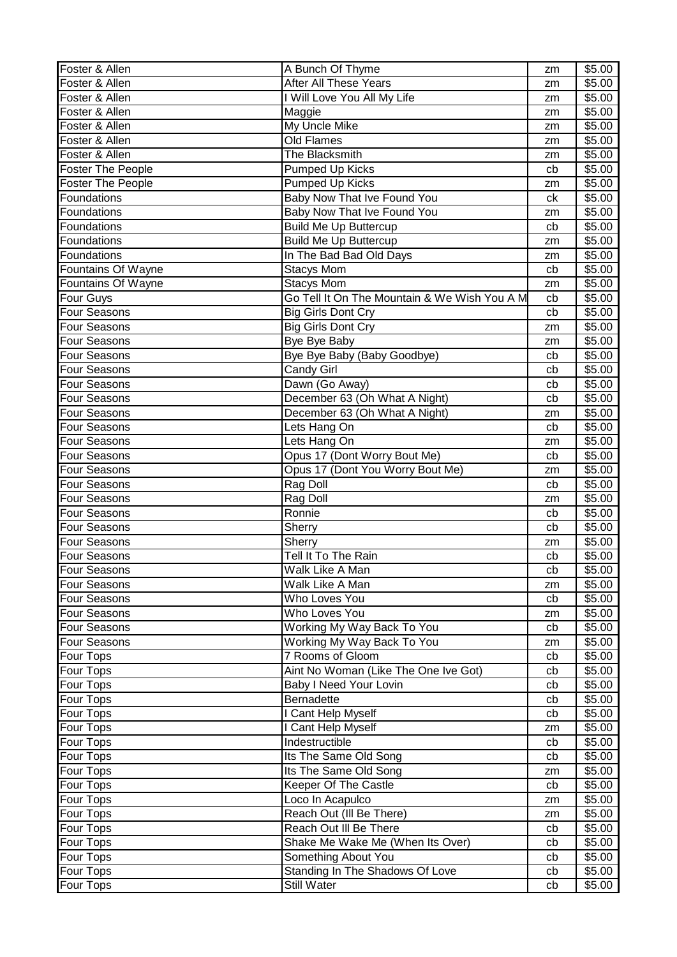| Foster & Allen           | A Bunch Of Thyme                             | zm | \$5.00             |
|--------------------------|----------------------------------------------|----|--------------------|
| Foster & Allen           | After All These Years                        | zm | \$5.00             |
| Foster & Allen           | I Will Love You All My Life                  | zm | \$5.00             |
| Foster & Allen           | Maggie                                       | zm | $\overline{$}5.00$ |
| Foster & Allen           | <b>My Uncle Mike</b>                         | zm | \$5.00             |
| Foster & Allen           | Old Flames                                   | zm | \$5.00             |
| Foster & Allen           | The Blacksmith                               | zm | \$5.00             |
| Foster The People        | <b>Pumped Up Kicks</b>                       | cb | \$5.00             |
| <b>Foster The People</b> | Pumped Up Kicks                              | zm | \$5.00             |
| Foundations              | Baby Now That Ive Found You                  | ck | \$5.00             |
| Foundations              | Baby Now That Ive Found You                  | zm | \$5.00             |
| Foundations              | <b>Build Me Up Buttercup</b>                 | cb | \$5.00             |
| Foundations              | <b>Build Me Up Buttercup</b>                 | zm | \$5.00             |
| Foundations              | In The Bad Bad Old Days                      |    | \$5.00             |
|                          |                                              | zm |                    |
| Fountains Of Wayne       | <b>Stacys Mom</b>                            | cb | \$5.00             |
| Fountains Of Wayne       | <b>Stacys Mom</b>                            | zm | \$5.00             |
| Four Guys                | Go Tell It On The Mountain & We Wish You A M | cb | \$5.00             |
| Four Seasons             | <b>Big Girls Dont Cry</b>                    | cb | \$5.00             |
| Four Seasons             | <b>Big Girls Dont Cry</b>                    | zm | \$5.00             |
| Four Seasons             | Bye Bye Baby                                 | zm | \$5.00             |
| Four Seasons             | Bye Bye Baby (Baby Goodbye)                  | cb | \$5.00             |
| Four Seasons             | Candy Girl                                   | cb | \$5.00             |
| Four Seasons             | Dawn (Go Away)                               | cb | \$5.00             |
| Four Seasons             | December 63 (Oh What A Night)                | cb | \$5.00             |
| Four Seasons             | December 63 (Oh What A Night)                | zm | \$5.00             |
| Four Seasons             | Lets Hang On                                 | cb | \$5.00             |
| Four Seasons             | Lets Hang On                                 | zm | \$5.00             |
| Four Seasons             | Opus 17 (Dont Worry Bout Me)                 | cb | \$5.00             |
| Four Seasons             | Opus 17 (Dont You Worry Bout Me)             | zm | \$5.00             |
| Four Seasons             | Rag Doll                                     | cb | \$5.00             |
| Four Seasons             | Rag Doll                                     | zm | \$5.00             |
| Four Seasons             | Ronnie                                       | cb | \$5.00             |
| Four Seasons             | Sherry                                       | cb | \$5.00             |
| Four Seasons             | Sherry                                       | zm | \$5.00             |
| Four Seasons             | Tell It To The Rain                          | cb | \$5.00             |
| Four Seasons             | Walk Like A Man                              | cb | \$5.00             |
| Four Seasons             | Walk Like A Man                              | zm | \$5.00             |
| <b>Four Seasons</b>      | Who Loves You                                | cb | \$5.00             |
| <b>Four Seasons</b>      | Who Loves You                                | zm | \$5.00             |
| <b>Four Seasons</b>      | Working My Way Back To You                   | cb | \$5.00             |
| <b>Four Seasons</b>      | Working My Way Back To You                   | zm | \$5.00             |
| <b>Four Tops</b>         | 7 Rooms of Gloom                             | cb | \$5.00             |
| Four Tops                | Aint No Woman (Like The One Ive Got)         | cb | \$5.00             |
| Four Tops                | Baby I Need Your Lovin                       | cb | \$5.00             |
| Four Tops                | Bernadette                                   | cb | \$5.00             |
| Four Tops                | I Cant Help Myself                           | cb | \$5.00             |
| Four Tops                | I Cant Help Myself                           | zm | \$5.00             |
| Four Tops                | Indestructible                               | cb | \$5.00             |
| <b>Four Tops</b>         | Its The Same Old Song                        | cb | $\overline{$}5.00$ |
| <b>Four Tops</b>         | Its The Same Old Song                        | zm | \$5.00             |
| Four Tops                | Keeper Of The Castle                         | cb | \$5.00             |
| Four Tops                | Loco In Acapulco                             | zm | \$5.00             |
| Four Tops                | Reach Out (III Be There)                     | zm | \$5.00             |
| Four Tops                | Reach Out III Be There                       | cb | \$5.00             |
| Four Tops                | Shake Me Wake Me (When Its Over)             | cb | \$5.00             |
| Four Tops                | Something About You                          | cb | \$5.00             |
| <b>Four Tops</b>         | Standing In The Shadows Of Love              | cb | \$5.00             |
| Four Tops                | Still Water                                  | cb | \$5.00             |
|                          |                                              |    |                    |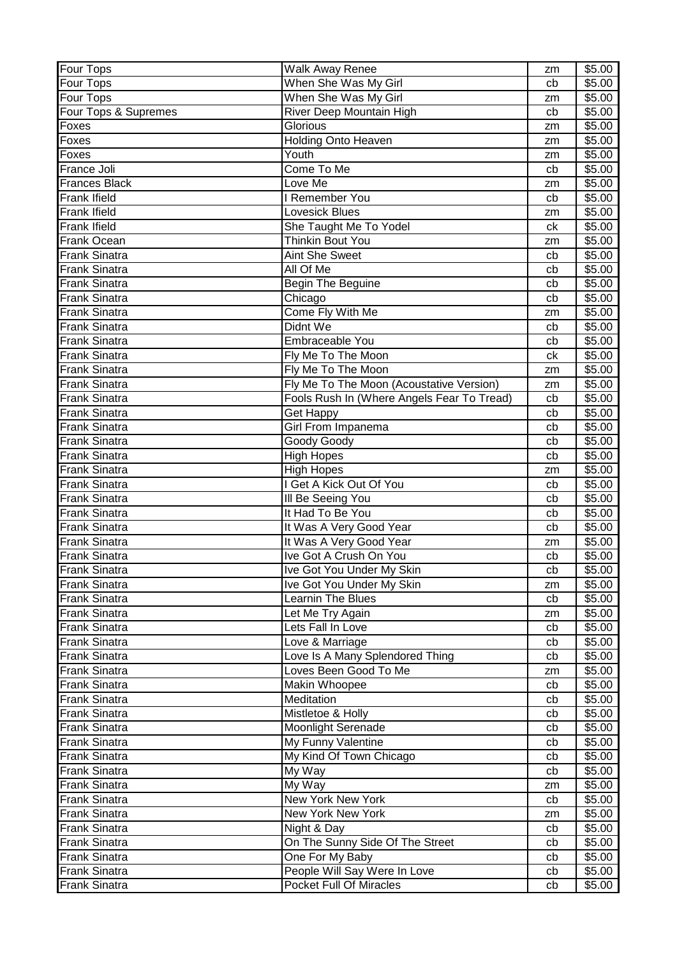| Four Tops            | <b>Walk Away Renee</b>                     | zm | \$5.00 |
|----------------------|--------------------------------------------|----|--------|
| <b>Four Tops</b>     | When She Was My Girl                       | cb | \$5.00 |
| Four Tops            | When She Was My Girl                       | zm | \$5.00 |
| Four Tops & Supremes | <b>River Deep Mountain High</b>            | cb | \$5.00 |
| Foxes                | <b>Glorious</b>                            | zm | \$5.00 |
| Foxes                | <b>Holding Onto Heaven</b>                 | zm | \$5.00 |
| Foxes                | Youth                                      | zm | \$5.00 |
| France Joli          | Come To Me                                 | cb | \$5.00 |
| <b>Frances Black</b> | Love Me                                    | zm | \$5.00 |
| <b>Frank Ifield</b>  | <b>Remember You</b>                        | cb | \$5.00 |
| <b>Frank Ifield</b>  | Lovesick Blues                             | zm | \$5.00 |
| <b>Frank Ifield</b>  | She Taught Me To Yodel                     | ck | \$5.00 |
| <b>Frank Ocean</b>   | Thinkin Bout You                           | zm | \$5.00 |
| <b>Frank Sinatra</b> | <b>Aint She Sweet</b>                      | cb | \$5.00 |
| <b>Frank Sinatra</b> | All Of Me                                  | cb | \$5.00 |
| <b>Frank Sinatra</b> | Begin The Beguine                          | cb | \$5.00 |
| <b>Frank Sinatra</b> | Chicago                                    | cb | \$5.00 |
| <b>Frank Sinatra</b> | Come Fly With Me                           | zm | \$5.00 |
| <b>Frank Sinatra</b> | Didnt We                                   | cb | \$5.00 |
| <b>Frank Sinatra</b> | Embraceable You                            | cb | \$5.00 |
| <b>Frank Sinatra</b> | Fly Me To The Moon                         | ck | \$5.00 |
| <b>Frank Sinatra</b> | Fly Me To The Moon                         | zm | \$5.00 |
| <b>Frank Sinatra</b> | Fly Me To The Moon (Acoustative Version)   | zm | \$5.00 |
| <b>Frank Sinatra</b> | Fools Rush In (Where Angels Fear To Tread) | cb | \$5.00 |
| <b>Frank Sinatra</b> | <b>Get Happy</b>                           | cb | \$5.00 |
| <b>Frank Sinatra</b> | Girl From Impanema                         | cb | \$5.00 |
| <b>Frank Sinatra</b> | Goody Goody                                | cb | \$5.00 |
| <b>Frank Sinatra</b> | <b>High Hopes</b>                          | cb | \$5.00 |
| <b>Frank Sinatra</b> | <b>High Hopes</b>                          | zm | \$5.00 |
| <b>Frank Sinatra</b> | I Get A Kick Out Of You                    | cb | \$5.00 |
| <b>Frank Sinatra</b> | III Be Seeing You                          | cb | \$5.00 |
| <b>Frank Sinatra</b> | It Had To Be You                           | cb | \$5.00 |
| <b>Frank Sinatra</b> | It Was A Very Good Year                    | cb | \$5.00 |
| <b>Frank Sinatra</b> | It Was A Very Good Year                    | zm | \$5.00 |
| <b>Frank Sinatra</b> | Ive Got A Crush On You                     | cb | \$5.00 |
| <b>Frank Sinatra</b> | Ive Got You Under My Skin                  | cb | \$5.00 |
| <b>Frank Sinatra</b> | Ive Got You Under My Skin                  | zm | \$5.00 |
| <b>Frank Sinatra</b> | Learnin The Blues                          | cb | \$5.00 |
| <b>Frank Sinatra</b> | Let Me Try Again                           | zm | \$5.00 |
| <b>Frank Sinatra</b> | Lets Fall In Love                          | cb | \$5.00 |
| <b>Frank Sinatra</b> | Love & Marriage                            | cb | \$5.00 |
| <b>Frank Sinatra</b> | Love Is A Many Splendored Thing            | cb | \$5.00 |
| <b>Frank Sinatra</b> | Loves Been Good To Me                      | zm | \$5.00 |
| <b>Frank Sinatra</b> | Makin Whoopee                              | cb | \$5.00 |
| <b>Frank Sinatra</b> | Meditation                                 | cb | \$5.00 |
| <b>Frank Sinatra</b> | Mistletoe & Holly                          | cb | \$5.00 |
| <b>Frank Sinatra</b> | <b>Moonlight Serenade</b>                  | cb | \$5.00 |
| <b>Frank Sinatra</b> | My Funny Valentine                         | cb | \$5.00 |
| <b>Frank Sinatra</b> | My Kind Of Town Chicago                    | cb | \$5.00 |
| <b>Frank Sinatra</b> | My Way                                     | cb | \$5.00 |
| <b>Frank Sinatra</b> | My Way                                     | zm | \$5.00 |
| <b>Frank Sinatra</b> | New York New York                          | cb | \$5.00 |
| <b>Frank Sinatra</b> | New York New York                          | zm | \$5.00 |
| <b>Frank Sinatra</b> | Night & Day                                | cb | \$5.00 |
| <b>Frank Sinatra</b> | On The Sunny Side Of The Street            | cb | \$5.00 |
| <b>Frank Sinatra</b> | One For My Baby                            | cb | \$5.00 |
| <b>Frank Sinatra</b> | People Will Say Were In Love               | cb | \$5.00 |
| <b>Frank Sinatra</b> | Pocket Full Of Miracles                    | cb | \$5.00 |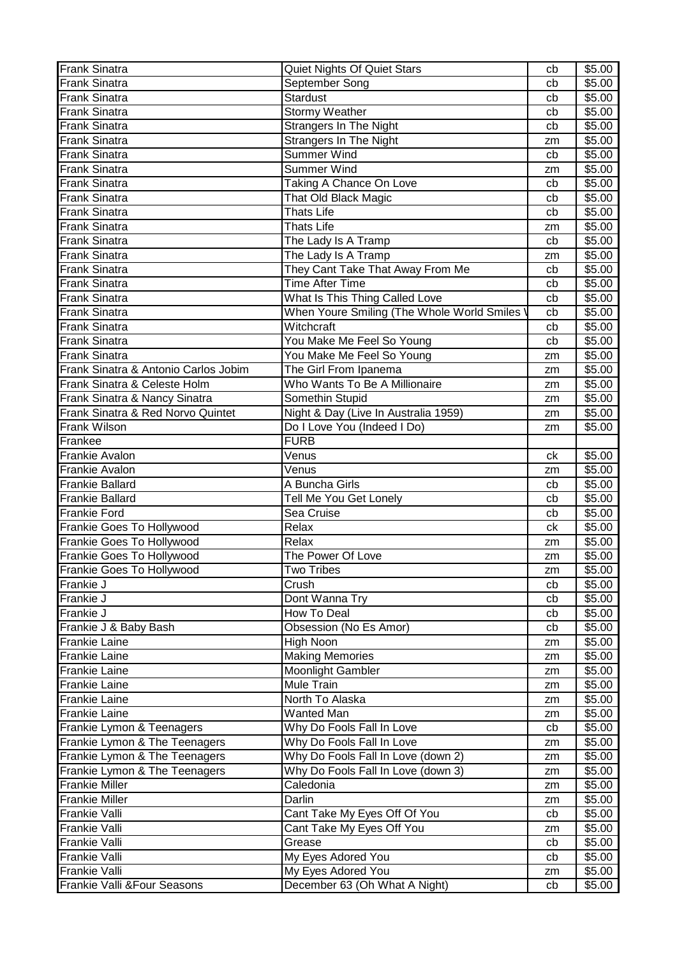| <b>Frank Sinatra</b>                 | Quiet Nights Of Quiet Stars                 | cb | \$5.00 |
|--------------------------------------|---------------------------------------------|----|--------|
| <b>Frank Sinatra</b>                 | September Song                              | cb | \$5.00 |
| <b>Frank Sinatra</b>                 | <b>Stardust</b>                             | cb | \$5.00 |
| <b>Frank Sinatra</b>                 | <b>Stormy Weather</b>                       | cb | \$5.00 |
| <b>Frank Sinatra</b>                 | Strangers In The Night                      | cb | \$5.00 |
| <b>Frank Sinatra</b>                 | <b>Strangers In The Night</b>               | zm | \$5.00 |
| <b>Frank Sinatra</b>                 | <b>Summer Wind</b>                          | cb | \$5.00 |
| <b>Frank Sinatra</b>                 | Summer Wind                                 | zm | \$5.00 |
| <b>Frank Sinatra</b>                 | Taking A Chance On Love                     | cb | \$5.00 |
| Frank Sinatra                        | That Old Black Magic                        | cb | \$5.00 |
| <b>Frank Sinatra</b>                 | <b>Thats Life</b>                           | cb | \$5.00 |
| <b>Frank Sinatra</b>                 | <b>Thats Life</b>                           | zm | \$5.00 |
| <b>Frank Sinatra</b>                 | The Lady Is A Tramp                         | cb | \$5.00 |
| <b>Frank Sinatra</b>                 | The Lady Is A Tramp                         | zm | \$5.00 |
| <b>Frank Sinatra</b>                 | They Cant Take That Away From Me            | cb | \$5.00 |
| <b>Frank Sinatra</b>                 | <b>Time After Time</b>                      | cb | \$5.00 |
| <b>Frank Sinatra</b>                 | What Is This Thing Called Love              | cb | \$5.00 |
| <b>Frank Sinatra</b>                 | When Youre Smiling (The Whole World Smiles' | cb | \$5.00 |
| <b>Frank Sinatra</b>                 | Witchcraft                                  | cb | \$5.00 |
| <b>Frank Sinatra</b>                 | You Make Me Feel So Young                   | cb | \$5.00 |
| <b>Frank Sinatra</b>                 | You Make Me Feel So Young                   | zm | \$5.00 |
| Frank Sinatra & Antonio Carlos Jobim | The Girl From Ipanema                       | zm | \$5.00 |
| Frank Sinatra & Celeste Holm         | Who Wants To Be A Millionaire               | zm | \$5.00 |
| Frank Sinatra & Nancy Sinatra        | Somethin Stupid                             | zm | \$5.00 |
| Frank Sinatra & Red Norvo Quintet    | Night & Day (Live In Australia 1959)        | zm | \$5.00 |
| <b>Frank Wilson</b>                  | Do I Love You (Indeed I Do)                 | zm | \$5.00 |
| Frankee                              | <b>FURB</b>                                 |    |        |
| <b>Frankie Avalon</b>                | Venus                                       | ck | \$5.00 |
| <b>Frankie Avalon</b>                | Venus                                       | zm | \$5.00 |
| <b>Frankie Ballard</b>               | A Buncha Girls                              | cb | \$5.00 |
| <b>Frankie Ballard</b>               | Tell Me You Get Lonely                      | cb | \$5.00 |
| <b>Frankie Ford</b>                  | Sea Cruise                                  | cb | \$5.00 |
| Frankie Goes To Hollywood            | Relax                                       | ck | \$5.00 |
| Frankie Goes To Hollywood            | Relax                                       | zm | \$5.00 |
| Frankie Goes To Hollywood            | The Power Of Love                           | zm | \$5.00 |
| Frankie Goes To Hollywood            | <b>Two Tribes</b>                           | zm | \$5.00 |
| Frankie J                            | Crush                                       | cb | \$5.00 |
| Frankie J                            | Dont Wanna Try                              | cb | \$5.00 |
| Frankie J                            | How To Deal                                 | cb | \$5.00 |
| Frankie J & Baby Bash                | Obsession (No Es Amor)                      | cb | \$5.00 |
| <b>Frankie Laine</b>                 | High Noon                                   | zm | \$5.00 |
| <b>Frankie Laine</b>                 | <b>Making Memories</b>                      | zm | \$5.00 |
| <b>Frankie Laine</b>                 | Moonlight Gambler                           | zm | \$5.00 |
| <b>Frankie Laine</b>                 | Mule Train                                  | zm | \$5.00 |
| <b>Frankie Laine</b>                 | North To Alaska                             | zm | \$5.00 |
| <b>Frankie Laine</b>                 | <b>Wanted Man</b>                           | zm | \$5.00 |
| Frankie Lymon & Teenagers            | Why Do Fools Fall In Love                   | cb | \$5.00 |
| Frankie Lymon & The Teenagers        | Why Do Fools Fall In Love                   | zm | \$5.00 |
| Frankie Lymon & The Teenagers        | Why Do Fools Fall In Love (down 2)          | zm | \$5.00 |
| Frankie Lymon & The Teenagers        | Why Do Fools Fall In Love (down 3)          | zm | \$5.00 |
| <b>Frankie Miller</b>                | Caledonia                                   | zm | \$5.00 |
| <b>Frankie Miller</b>                | Darlin                                      | zm | \$5.00 |
| Frankie Valli                        | Cant Take My Eyes Off Of You                | cb | \$5.00 |
| <b>Frankie Valli</b>                 | Cant Take My Eyes Off You                   | zm | \$5.00 |
| Frankie Valli                        | Grease                                      | cb | \$5.00 |
| <b>Frankie Valli</b>                 | My Eyes Adored You                          | cb | \$5.00 |
| Frankie Valli                        | My Eyes Adored You                          | zm | \$5.00 |
| Frankie Valli & Four Seasons         | December 63 (Oh What A Night)               | cb | \$5.00 |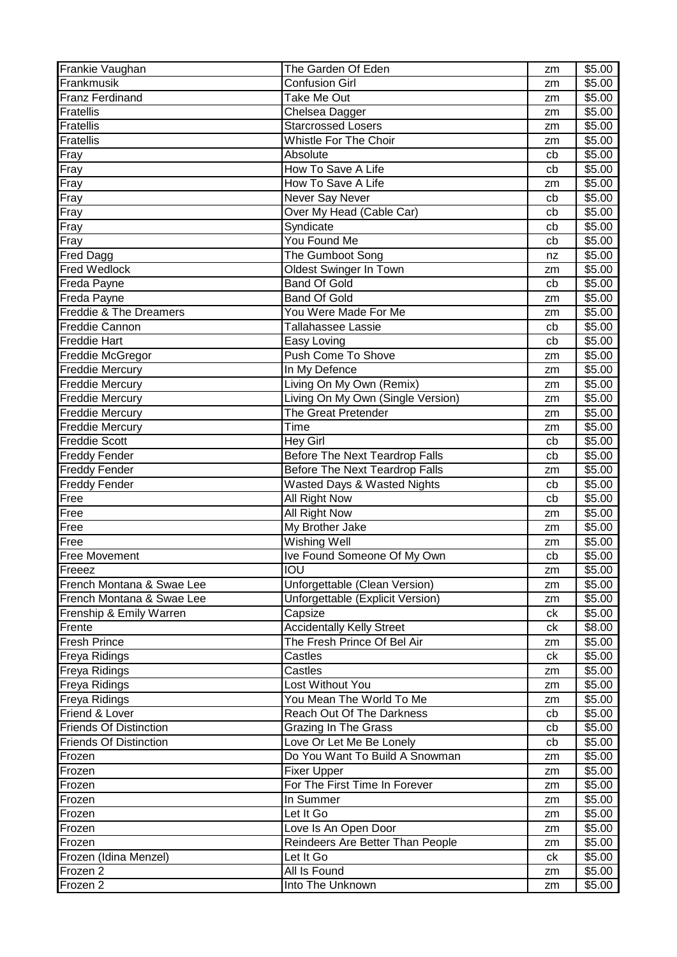| Frankie Vaughan               | The Garden Of Eden                     | zm | \$5.00             |
|-------------------------------|----------------------------------------|----|--------------------|
| Frankmusik                    | <b>Confusion Girl</b>                  | zm | \$5.00             |
| <b>Franz Ferdinand</b>        | Take Me Out                            | zm | $\overline{$}5.00$ |
| Fratellis                     | Chelsea Dagger                         | zm | \$5.00             |
| Fratellis                     | Starcrossed Losers                     | zm | \$5.00             |
| <b>Fratellis</b>              | Whistle For The Choir                  | zm | \$5.00             |
| Fray                          | Absolute                               | cb | \$5.00             |
| Fray                          | How To Save A Life                     | cb | \$5.00             |
| Fray                          | How To Save A Life                     | zm | \$5.00             |
| Fray                          | Never Say Never                        | cb | \$5.00             |
| Fray                          | Over My Head (Cable Car)               | cb | \$5.00             |
| Fray                          | Syndicate                              | cb | \$5.00             |
| Fray                          | You Found Me                           | cb | \$5.00             |
| <b>Fred Dagg</b>              | The Gumboot Song                       | nz | \$5.00             |
| <b>Fred Wedlock</b>           | Oldest Swinger In Town                 | zm | \$5.00             |
| Freda Payne                   | <b>Band Of Gold</b>                    | cb | \$5.00             |
| Freda Payne                   | <b>Band Of Gold</b>                    | zm | \$5.00             |
| Freddie & The Dreamers        | You Were Made For Me                   | zm | \$5.00             |
| Freddie Cannon                | Tallahassee Lassie                     | cb | \$5.00             |
| <b>Freddie Hart</b>           | Easy Loving                            | cb | \$5.00             |
| Freddie McGregor              | <b>Push Come To Shove</b>              | zm | \$5.00             |
| <b>Freddie Mercury</b>        | In My Defence                          | zm | \$5.00             |
| <b>Freddie Mercury</b>        | Living On My Own (Remix)               | zm | \$5.00             |
| <b>Freddie Mercury</b>        | Living On My Own (Single Version)      | zm | \$5.00             |
| <b>Freddie Mercury</b>        | The Great Pretender                    | zm | \$5.00             |
| <b>Freddie Mercury</b>        | Time                                   | zm | \$5.00             |
| <b>Freddie Scott</b>          | <b>Hey Girl</b>                        | cb | \$5.00             |
| <b>Freddy Fender</b>          | <b>Before The Next Teardrop Falls</b>  | cb | \$5.00             |
| <b>Freddy Fender</b>          | <b>Before The Next Teardrop Falls</b>  | zm | \$5.00             |
| <b>Freddy Fender</b>          | <b>Wasted Days &amp; Wasted Nights</b> | cb | \$5.00             |
| Free                          | All Right Now                          | cb | \$5.00             |
| Free                          | All Right Now                          | zm | \$5.00             |
| Free                          | My Brother Jake                        | zm | $\overline{$}5.00$ |
| Free                          | <b>Wishing Well</b>                    | zm | \$5.00             |
| <b>Free Movement</b>          | Ive Found Someone Of My Own            | cb | \$5.00             |
| Freeez                        | <b>IOU</b>                             | zm | \$5.00             |
| French Montana & Swae Lee     | Unforgettable (Clean Version)          | zm | \$5.00             |
| French Montana & Swae Lee     | Unforgettable (Explicit Version)       | zm | \$5.00             |
| Frenship & Emily Warren       | Capsize                                | ck | \$5.00             |
| Frente                        | <b>Accidentally Kelly Street</b>       | сk | \$8.00             |
| <b>Fresh Prince</b>           | The Fresh Prince Of Bel Air            | zm | \$5.00             |
| <b>Freya Ridings</b>          | Castles                                | ck | \$5.00             |
| <b>Freya Ridings</b>          | Castles                                | zm | $\overline{$}5.00$ |
| <b>Freya Ridings</b>          | Lost Without You                       | zm | \$5.00             |
| <b>Freya Ridings</b>          | You Mean The World To Me               | zm | \$5.00             |
| Friend & Lover                | Reach Out Of The Darkness              | cb | \$5.00             |
| <b>Friends Of Distinction</b> | <b>Grazing In The Grass</b>            | cb | \$5.00             |
| <b>Friends Of Distinction</b> | Love Or Let Me Be Lonely               | cb | \$5.00             |
| Frozen                        | Do You Want To Build A Snowman         | zm | \$5.00             |
| Frozen                        | <b>Fixer Upper</b>                     | zm | \$5.00             |
| Frozen                        | For The First Time In Forever          | zm | \$5.00             |
| Frozen                        | In Summer                              | zm | \$5.00             |
| Frozen                        | Let It Go                              | zm | \$5.00             |
| Frozen                        | Love Is An Open Door                   | zm | \$5.00             |
| Frozen                        | Reindeers Are Better Than People       | zm | \$5.00             |
| Frozen (Idina Menzel)         | Let It Go                              | ck | \$5.00             |
| Frozen 2                      | All Is Found                           | zm | \$5.00             |
| Frozen 2                      | Into The Unknown                       | zm | \$5.00             |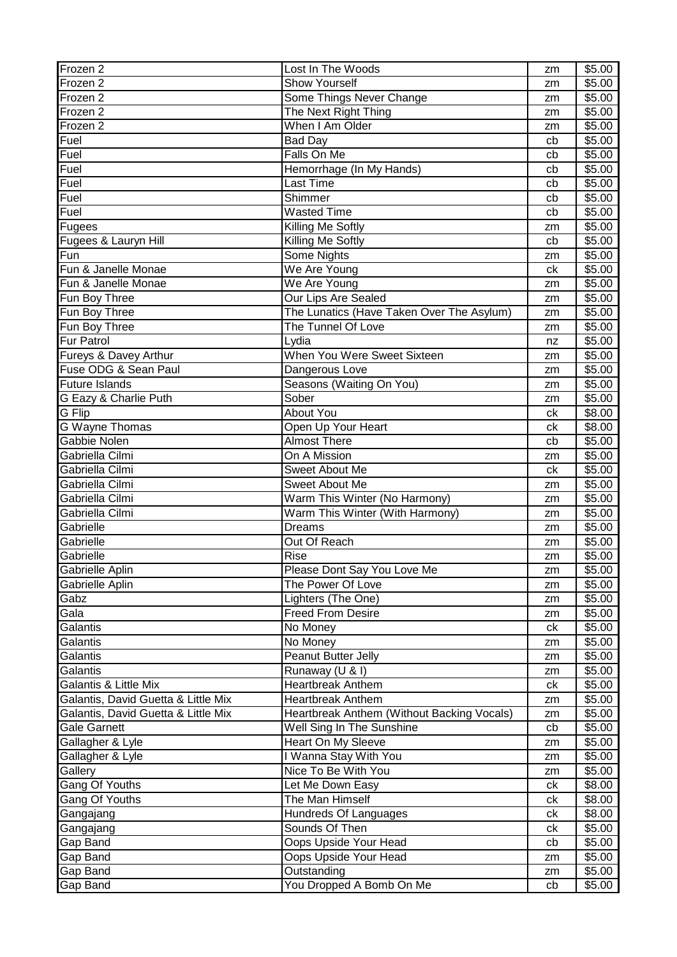| Frozen 2                            | Lost In The Woods                          | zm | \$5.00 |
|-------------------------------------|--------------------------------------------|----|--------|
| Frozen 2                            | <b>Show Yourself</b>                       | zm | \$5.00 |
| Frozen 2                            | Some Things Never Change                   | zm | \$5.00 |
| Frozen 2                            | The Next Right Thing                       | zm | \$5.00 |
| Frozen 2                            | When I Am Older                            | zm | \$5.00 |
| Fuel                                | Bad Day                                    | cb | \$5.00 |
| Fuel                                | Falls On Me                                | cb | \$5.00 |
| Fuel                                | Hemorrhage (In My Hands)                   | cb | \$5.00 |
| Fuel                                | Last Time                                  | cb | \$5.00 |
| Fuel                                | Shimmer                                    | cb | \$5.00 |
| Fuel                                | <b>Wasted Time</b>                         | cb | \$5.00 |
| Fugees                              | Killing Me Softly                          | zm | \$5.00 |
| Fugees & Lauryn Hill                | <b>Killing Me Softly</b>                   | cb | \$5.00 |
| Fun                                 | Some Nights                                | zm | \$5.00 |
| Fun & Janelle Monae                 | We Are Young                               | ck | \$5.00 |
| Fun & Janelle Monae                 | We Are Young                               | zm | \$5.00 |
| Fun Boy Three                       | <b>Our Lips Are Sealed</b>                 | zm | \$5.00 |
| Fun Boy Three                       | The Lunatics (Have Taken Over The Asylum)  | zm | \$5.00 |
| Fun Boy Three                       | The Tunnel Of Love                         | zm | \$5.00 |
| <b>Fur Patrol</b>                   | Lydia                                      | nz | \$5.00 |
| Fureys & Davey Arthur               | When You Were Sweet Sixteen                | zm | \$5.00 |
| Fuse ODG & Sean Paul                | Dangerous Love                             | zm | \$5.00 |
| <b>Future Islands</b>               | Seasons (Waiting On You)                   | zm | \$5.00 |
| G Eazy & Charlie Puth               | Sober                                      | zm | \$5.00 |
| G Flip                              | <b>About You</b>                           | ck | \$8.00 |
| <b>G Wayne Thomas</b>               | Open Up Your Heart                         | ck | \$8.00 |
| <b>Gabbie Nolen</b>                 | <b>Almost There</b>                        | cb | \$5.00 |
| Gabriella Cilmi                     | On A Mission                               | zm | \$5.00 |
| Gabriella Cilmi                     | Sweet About Me                             | ck | \$5.00 |
| Gabriella Cilmi                     | Sweet About Me                             | zm | \$5.00 |
| Gabriella Cilmi                     | Warm This Winter (No Harmony)              | zm | \$5.00 |
| Gabriella Cilmi                     | Warm This Winter (With Harmony)            | zm | \$5.00 |
| Gabrielle                           | <b>Dreams</b>                              | zm | \$5.00 |
| Gabrielle                           | Out Of Reach                               | zm | \$5.00 |
| Gabrielle                           | <b>Rise</b>                                | zm | \$5.00 |
| Gabrielle Aplin                     | Please Dont Say You Love Me                | zm | \$5.00 |
| Gabrielle Aplin                     | The Power Of Love                          | zm | \$5.00 |
| Gabz                                | Lighters (The One)                         | zm | \$5.00 |
| Gala                                | <b>Freed From Desire</b>                   | zm | \$5.00 |
| Galantis                            | No Money                                   | ck | \$5.00 |
| Galantis                            | No Money                                   | zm | \$5.00 |
| Galantis                            | Peanut Butter Jelly                        | zm | \$5.00 |
| Galantis                            | Runaway (U & I)                            | zm | \$5.00 |
| Galantis & Little Mix               | <b>Heartbreak Anthem</b>                   | ck | \$5.00 |
| Galantis, David Guetta & Little Mix | <b>Heartbreak Anthem</b>                   | zm | \$5.00 |
| Galantis, David Guetta & Little Mix | Heartbreak Anthem (Without Backing Vocals) | zm | \$5.00 |
| <b>Gale Garnett</b>                 | Well Sing In The Sunshine                  | cb | \$5.00 |
| Gallagher & Lyle                    | Heart On My Sleeve                         | zm | \$5.00 |
| Gallagher & Lyle                    | I Wanna Stay With You                      | zm | \$5.00 |
| Gallery                             | Nice To Be With You                        | zm | \$5.00 |
| Gang Of Youths                      | Let Me Down Easy                           | ck | \$8.00 |
| Gang Of Youths                      | The Man Himself                            | ck | \$8.00 |
| Gangajang                           | Hundreds Of Languages                      | ck | \$8.00 |
| Gangajang                           | Sounds Of Then                             | сk | \$5.00 |
| Gap Band                            | Oops Upside Your Head                      | cb | \$5.00 |
| Gap Band                            | Oops Upside Your Head                      | zm | \$5.00 |
| Gap Band                            | Outstanding                                | zm | \$5.00 |
| Gap Band                            | You Dropped A Bomb On Me                   | cb | \$5.00 |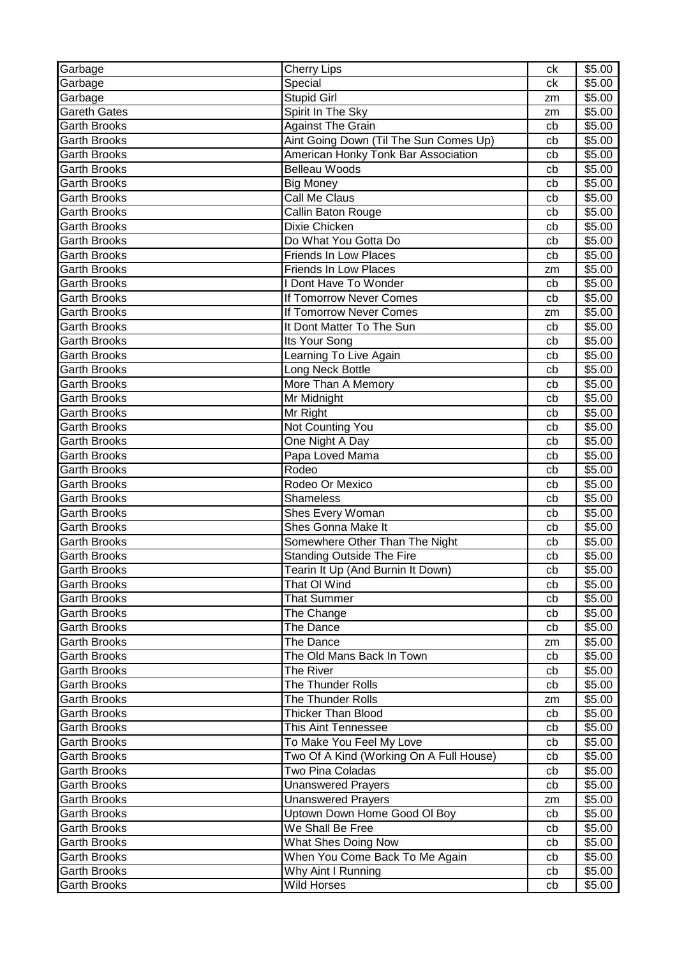| Garbage             | <b>Cherry Lips</b>                      | ck | \$5.00             |
|---------------------|-----------------------------------------|----|--------------------|
| Garbage             | Special                                 | ck | \$5.00             |
| Garbage             | <b>Stupid Girl</b>                      | zm | $\overline{$}5.00$ |
| <b>Gareth Gates</b> | Spirit In The Sky                       | zm | \$5.00             |
| <b>Garth Brooks</b> | <b>Against The Grain</b>                | cb | \$5.00             |
| <b>Garth Brooks</b> | Aint Going Down (Til The Sun Comes Up)  | cb | \$5.00             |
| <b>Garth Brooks</b> | American Honky Tonk Bar Association     | cb | \$5.00             |
| <b>Garth Brooks</b> | <b>Belleau Woods</b>                    | cb | \$5.00             |
| <b>Garth Brooks</b> | <b>Big Money</b>                        | cb | \$5.00             |
| <b>Garth Brooks</b> | Call Me Claus                           | cb | \$5.00             |
| Garth Brooks        | Callin Baton Rouge                      | cb | \$5.00             |
| <b>Garth Brooks</b> | Dixie Chicken                           | cb | \$5.00             |
| <b>Garth Brooks</b> | Do What You Gotta Do                    | cb | \$5.00             |
| <b>Garth Brooks</b> | <b>Friends In Low Places</b>            | cb | \$5.00             |
| <b>Garth Brooks</b> | <b>Friends In Low Places</b>            | zm | \$5.00             |
| <b>Garth Brooks</b> | I Dont Have To Wonder                   | cb | \$5.00             |
| <b>Garth Brooks</b> | If Tomorrow Never Comes                 | cb | \$5.00             |
| <b>Garth Brooks</b> | <b>If Tomorrow Never Comes</b>          | zm | \$5.00             |
| <b>Garth Brooks</b> | It Dont Matter To The Sun               | cb | \$5.00             |
| <b>Garth Brooks</b> | Its Your Song                           | cb | \$5.00             |
| Garth Brooks        | Learning To Live Again                  | cb | \$5.00             |
| <b>Garth Brooks</b> | Long Neck Bottle                        | cb | \$5.00             |
| <b>Garth Brooks</b> | More Than A Memory                      | cb | \$5.00             |
| <b>Garth Brooks</b> | Mr Midnight                             | cb | \$5.00             |
| <b>Garth Brooks</b> | Mr Right                                | cb | \$5.00             |
| <b>Garth Brooks</b> | Not Counting You                        | cb | \$5.00             |
| <b>Garth Brooks</b> | One Night A Day                         | cb | \$5.00             |
| <b>Garth Brooks</b> | Papa Loved Mama                         | cb | \$5.00             |
| <b>Garth Brooks</b> | Rodeo                                   | cb | \$5.00             |
| <b>Garth Brooks</b> | Rodeo Or Mexico                         | cb | \$5.00             |
| <b>Garth Brooks</b> | Shameless                               | cb | \$5.00             |
| <b>Garth Brooks</b> | Shes Every Woman                        | cb | \$5.00             |
| <b>Garth Brooks</b> | Shes Gonna Make It                      | cb | \$5.00             |
| <b>Garth Brooks</b> | Somewhere Other Than The Night          | cb | \$5.00             |
| Garth Brooks        | <b>Standing Outside The Fire</b>        | cb | \$5.00             |
| Garth Brooks        | Tearin It Up (And Burnin It Down)       | cb | \$5.00             |
| <b>Garth Brooks</b> | That OI Wind                            | cb | \$5.00             |
| Garth Brooks        | <b>That Summer</b>                      | cb | \$5.00             |
| Garth Brooks        | The Change                              | cb | \$5.00             |
| <b>Garth Brooks</b> | The Dance                               | cb | \$5.00             |
| <b>Garth Brooks</b> | The Dance                               | zm | \$5.00             |
| Garth Brooks        | The Old Mans Back In Town               | cb | \$5.00             |
| <b>Garth Brooks</b> | The River                               | cb | \$5.00             |
| <b>Garth Brooks</b> | The Thunder Rolls                       | cb | \$5.00             |
| <b>Garth Brooks</b> | The Thunder Rolls                       | zm | \$5.00             |
| <b>Garth Brooks</b> | Thicker Than Blood                      | cb | \$5.00             |
| <b>Garth Brooks</b> | <b>This Aint Tennessee</b>              | cb | \$5.00             |
| <b>Garth Brooks</b> | To Make You Feel My Love                | cb | \$5.00             |
| Garth Brooks        | Two Of A Kind (Working On A Full House) | cb | \$5.00             |
| <b>Garth Brooks</b> | Two Pina Coladas                        | cb | \$5.00             |
| Garth Brooks        | <b>Unanswered Prayers</b>               | cb | \$5.00             |
| Garth Brooks        | <b>Unanswered Prayers</b>               | zm | \$5.00             |
| <b>Garth Brooks</b> | Uptown Down Home Good OI Boy            | cb | \$5.00             |
| Garth Brooks        | We Shall Be Free                        | cb | \$5.00             |
| <b>Garth Brooks</b> | <b>What Shes Doing Now</b>              | cb | \$5.00             |
| Garth Brooks        | When You Come Back To Me Again          | cb | \$5.00             |
| <b>Garth Brooks</b> | Why Aint I Running                      | cb | \$5.00             |
| Garth Brooks        | Wild Horses                             | cb | \$5.00             |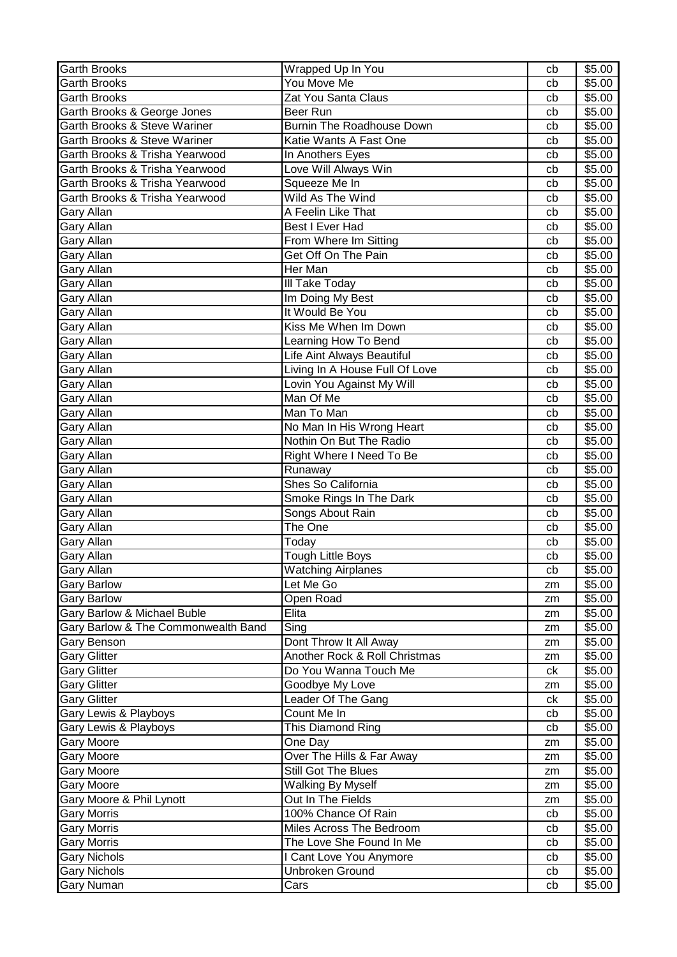| <b>Garth Brooks</b>                 | Wrapped Up In You              | cb       | \$5.00 |
|-------------------------------------|--------------------------------|----------|--------|
| <b>Garth Brooks</b>                 | You Move Me                    | cb       | \$5.00 |
| <b>Garth Brooks</b>                 | Zat You Santa Claus            | cb       | \$5.00 |
| Garth Brooks & George Jones         | Beer Run                       | cb       | \$5.00 |
| Garth Brooks & Steve Wariner        | Burnin The Roadhouse Down      | cb       | \$5.00 |
| Garth Brooks & Steve Wariner        | Katie Wants A Fast One         | cb       | \$5.00 |
| Garth Brooks & Trisha Yearwood      | In Anothers Eyes               | cb       | \$5.00 |
| Garth Brooks & Trisha Yearwood      | Love Will Always Win           | cb       | \$5.00 |
| Garth Brooks & Trisha Yearwood      | Squeeze Me In                  | cb       | \$5.00 |
| Garth Brooks & Trisha Yearwood      | Wild As The Wind               | cb       | \$5.00 |
| Gary Allan                          | A Feelin Like That             | cb       | \$5.00 |
| Gary Allan                          | Best I Ever Had                | cb       | \$5.00 |
| Gary Allan                          | From Where Im Sitting          | cb       | \$5.00 |
| Gary Allan                          | Get Off On The Pain            | cb       | \$5.00 |
| Gary Allan                          | Her Man                        | cb       | \$5.00 |
| <b>Gary Allan</b>                   | III Take Today                 | cb       | \$5.00 |
| Gary Allan                          | Im Doing My Best               | cb       | \$5.00 |
| Gary Allan                          | It Would Be You                | cb       | \$5.00 |
| Gary Allan                          | Kiss Me When Im Down           | cb       | \$5.00 |
| Gary Allan                          | Learning How To Bend           | cb       | \$5.00 |
| Gary Allan                          | Life Aint Always Beautiful     | cb       | \$5.00 |
| Gary Allan                          | Living In A House Full Of Love | cb       | \$5.00 |
| Gary Allan                          | Lovin You Against My Will      | cb       | \$5.00 |
| Gary Allan                          | Man Of Me                      | cb       | \$5.00 |
| Gary Allan                          | Man To Man                     | cb       | \$5.00 |
| <b>Gary Allan</b>                   | No Man In His Wrong Heart      | cb       | \$5.00 |
| Gary Allan                          | Nothin On But The Radio        | cb       | \$5.00 |
| Gary Allan                          | Right Where I Need To Be       | cb       | \$5.00 |
| Gary Allan                          | Runaway                        | cb       | \$5.00 |
| Gary Allan                          | Shes So California             | cb       | \$5.00 |
| Gary Allan                          | Smoke Rings In The Dark        | cb       | \$5.00 |
| <b>Gary Allan</b>                   | Songs About Rain               | cb       | \$5.00 |
| <b>Gary Allan</b>                   | The One                        | cb       | \$5.00 |
| <b>Gary Allan</b>                   | Today                          | cb       | \$5.00 |
| Gary Allan                          | <b>Tough Little Boys</b>       | cb       | \$5.00 |
| Gary Allan                          | <b>Watching Airplanes</b>      | cb       | \$5.00 |
| <b>Gary Barlow</b>                  | Let Me Go                      | zm       | \$5.00 |
| <b>Gary Barlow</b>                  | Open Road                      | zm       | \$5.00 |
| Gary Barlow & Michael Buble         | Elita                          | zm       | \$5.00 |
| Gary Barlow & The Commonwealth Band | Sing                           | zm       | \$5.00 |
| Gary Benson                         | Dont Throw It All Away         | zm       | \$5.00 |
| <b>Gary Glitter</b>                 | Another Rock & Roll Christmas  | zm       | \$5.00 |
| <b>Gary Glitter</b>                 | Do You Wanna Touch Me          | ck       | \$5.00 |
| <b>Gary Glitter</b>                 | Goodbye My Love                | zm       | \$5.00 |
| <b>Gary Glitter</b>                 | Leader Of The Gang             | ck       | \$5.00 |
| Gary Lewis & Playboys               | Count Me In                    | cb       | \$5.00 |
| Gary Lewis & Playboys               | This Diamond Ring              | cb       | \$5.00 |
| Gary Moore                          | One Day                        | zm       | \$5.00 |
| <b>Gary Moore</b>                   | Over The Hills & Far Away      |          | \$5.00 |
| <b>Gary Moore</b>                   | Still Got The Blues            | zm<br>zm | \$5.00 |
| <b>Gary Moore</b>                   | <b>Walking By Myself</b>       | zm       | \$5.00 |
| Gary Moore & Phil Lynott            | Out In The Fields              | zm       | \$5.00 |
| Gary Morris                         | 100% Chance Of Rain            | cb       | \$5.00 |
| Gary Morris                         | Miles Across The Bedroom       | cb       | \$5.00 |
| <b>Gary Morris</b>                  | The Love She Found In Me       | cb       | \$5.00 |
| <b>Gary Nichols</b>                 | I Cant Love You Anymore        | cb       | \$5.00 |
| <b>Gary Nichols</b>                 | Unbroken Ground                | cb       | \$5.00 |
| Gary Numan                          | Cars                           | cb       | \$5.00 |
|                                     |                                |          |        |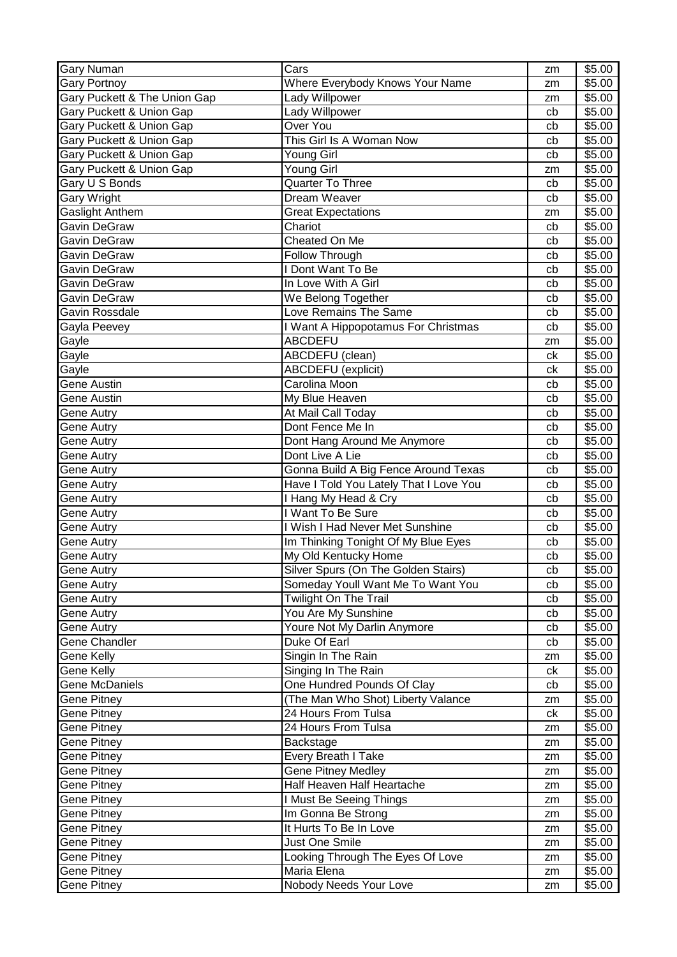| <b>Gary Numan</b>            | Cars                                   | zm | \$5.00 |
|------------------------------|----------------------------------------|----|--------|
| <b>Gary Portnoy</b>          | Where Everybody Knows Your Name        | zm | \$5.00 |
| Gary Puckett & The Union Gap | Lady Willpower                         | zm | \$5.00 |
| Gary Puckett & Union Gap     | Lady Willpower                         | cb | \$5.00 |
| Gary Puckett & Union Gap     | Over You                               | cb | \$5.00 |
| Gary Puckett & Union Gap     | This Girl Is A Woman Now               | cb | \$5.00 |
| Gary Puckett & Union Gap     | Young Girl                             | cb | \$5.00 |
| Gary Puckett & Union Gap     | Young Girl                             | zm | \$5.00 |
| Gary U S Bonds               | <b>Quarter To Three</b>                | cb | \$5.00 |
| Gary Wright                  | Dream Weaver                           | cb | \$5.00 |
| Gaslight Anthem              | <b>Great Expectations</b>              | zm | \$5.00 |
| Gavin DeGraw                 | Chariot                                | cb | \$5.00 |
| Gavin DeGraw                 | Cheated On Me                          | cb | \$5.00 |
| Gavin DeGraw                 | Follow Through                         | cb | \$5.00 |
| Gavin DeGraw                 | I Dont Want To Be                      | cb | \$5.00 |
| Gavin DeGraw                 | In Love With A Girl                    | cb | \$5.00 |
| Gavin DeGraw                 | We Belong Together                     | cb | \$5.00 |
| Gavin Rossdale               | Love Remains The Same                  | cb | \$5.00 |
| Gayla Peevey                 | I Want A Hippopotamus For Christmas    | cb | \$5.00 |
| Gayle                        | <b>ABCDEFU</b>                         | zm | \$5.00 |
| Gayle                        | ABCDEFU (clean)                        | ck | \$5.00 |
| Gayle                        | <b>ABCDEFU</b> (explicit)              | ck | \$5.00 |
| <b>Gene Austin</b>           | Carolina Moon                          | cb | \$5.00 |
| <b>Gene Austin</b>           | My Blue Heaven                         | cb | \$5.00 |
| Gene Autry                   | At Mail Call Today                     | cb | \$5.00 |
| Gene Autry                   | Dont Fence Me In                       | cb | \$5.00 |
| Gene Autry                   | Dont Hang Around Me Anymore            | cb | \$5.00 |
| Gene Autry                   | Dont Live A Lie                        | cb | \$5.00 |
| Gene Autry                   | Gonna Build A Big Fence Around Texas   | cb | \$5.00 |
| Gene Autry                   | Have I Told You Lately That I Love You | cb | \$5.00 |
| Gene Autry                   | I Hang My Head & Cry                   | cb | \$5.00 |
| Gene Autry                   | I Want To Be Sure                      | cb | \$5.00 |
| <b>Gene Autry</b>            | I Wish I Had Never Met Sunshine        | cb | \$5.00 |
| <b>Gene Autry</b>            | Im Thinking Tonight Of My Blue Eyes    | cb | \$5.00 |
| Gene Autry                   | My Old Kentucky Home                   | cb | \$5.00 |
| Gene Autry                   | Silver Spurs (On The Golden Stairs)    | cb | \$5.00 |
| Gene Autry                   | Someday Youll Want Me To Want You      | cb | \$5.00 |
| <b>Gene Autry</b>            | <b>Twilight On The Trail</b>           | cb | \$5.00 |
| Gene Autry                   | You Are My Sunshine                    | cb | \$5.00 |
| Gene Autry                   | Youre Not My Darlin Anymore            | cb | \$5.00 |
| Gene Chandler                | Duke Of Earl                           | cb | \$5.00 |
| Gene Kelly                   | Singin In The Rain                     | zm | \$5.00 |
| Gene Kelly                   | Singing In The Rain                    | ck | \$5.00 |
| <b>Gene McDaniels</b>        | One Hundred Pounds Of Clay             | cb | \$5.00 |
| Gene Pitney                  | (The Man Who Shot) Liberty Valance     | zm | \$5.00 |
| Gene Pitney                  | 24 Hours From Tulsa                    | ck | \$5.00 |
| Gene Pitney                  | 24 Hours From Tulsa                    | zm | \$5.00 |
| Gene Pitney                  | Backstage                              | zm | \$5.00 |
| Gene Pitney                  | Every Breath I Take                    | zm | \$5.00 |
| Gene Pitney                  | <b>Gene Pitney Medley</b>              | zm | \$5.00 |
| Gene Pitney                  | Half Heaven Half Heartache             | zm | \$5.00 |
| Gene Pitney                  | I Must Be Seeing Things                | zm | \$5.00 |
| Gene Pitney                  | Im Gonna Be Strong                     | zm | \$5.00 |
| Gene Pitney                  | It Hurts To Be In Love                 | zm | \$5.00 |
| Gene Pitney                  | Just One Smile                         | zm | \$5.00 |
| Gene Pitney                  | Looking Through The Eyes Of Love       | zm | \$5.00 |
| Gene Pitney                  | Maria Elena                            | zm | \$5.00 |
| Gene Pitney                  | Nobody Needs Your Love                 | zm | \$5.00 |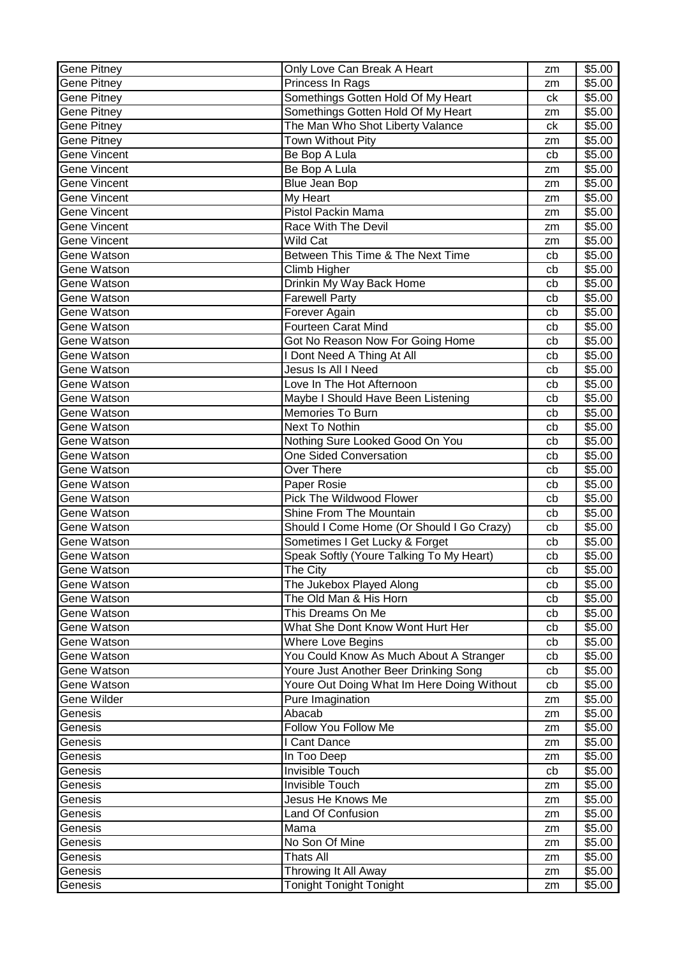| Gene Pitney         | Only Love Can Break A Heart                | zm | \$5.00             |
|---------------------|--------------------------------------------|----|--------------------|
| <b>Gene Pitney</b>  | Princess In Rags                           | zm | \$5.00             |
| Gene Pitney         | Somethings Gotten Hold Of My Heart         | ck | \$5.00             |
| Gene Pitney         | Somethings Gotten Hold Of My Heart         | zm | \$5.00             |
| Gene Pitney         | The Man Who Shot Liberty Valance           | ck | \$5.00             |
| Gene Pitney         | Town Without Pity                          | zm | \$5.00             |
| Gene Vincent        | Be Bop A Lula                              | cb | \$5.00             |
| Gene Vincent        | Be Bop A Lula                              | zm | \$5.00             |
| <b>Gene Vincent</b> | <b>Blue Jean Bop</b>                       | zm | \$5.00             |
| Gene Vincent        | My Heart                                   | zm | \$5.00             |
| Gene Vincent        | Pistol Packin Mama                         | zm | \$5.00             |
| Gene Vincent        | <b>Race With The Devil</b>                 | zm | \$5.00             |
| Gene Vincent        | Wild Cat                                   | zm | \$5.00             |
| Gene Watson         | Between This Time & The Next Time          | cb | \$5.00             |
| Gene Watson         | Climb Higher                               | cb | \$5.00             |
| Gene Watson         | Drinkin My Way Back Home                   | cb | \$5.00             |
| Gene Watson         | <b>Farewell Party</b>                      | cb | \$5.00             |
| Gene Watson         | Forever Again                              | cb | \$5.00             |
| Gene Watson         | <b>Fourteen Carat Mind</b>                 | cb | \$5.00             |
| Gene Watson         | Got No Reason Now For Going Home           | cb | \$5.00             |
| Gene Watson         | I Dont Need A Thing At All                 | cb | \$5.00             |
| Gene Watson         | Jesus Is All I Need                        | cb | \$5.00             |
| Gene Watson         | Love In The Hot Afternoon                  | cb | \$5.00             |
| Gene Watson         | Maybe I Should Have Been Listening         | cb | \$5.00             |
| Gene Watson         | Memories To Burn                           | cb | \$5.00             |
| Gene Watson         | <b>Next To Nothin</b>                      | cb | \$5.00             |
| Gene Watson         | Nothing Sure Looked Good On You            | cb | \$5.00             |
| Gene Watson         | <b>One Sided Conversation</b>              | cb | \$5.00             |
| Gene Watson         | Over There                                 | cb | \$5.00             |
| Gene Watson         | Paper Rosie                                | cb | \$5.00             |
| Gene Watson         | <b>Pick The Wildwood Flower</b>            | cb | \$5.00             |
| Gene Watson         | Shine From The Mountain                    | cb | \$5.00             |
| Gene Watson         | Should I Come Home (Or Should I Go Crazy)  | cb | $\overline{$}5.00$ |
| Gene Watson         | Sometimes I Get Lucky & Forget             | cb | \$5.00             |
| Gene Watson         | Speak Softly (Youre Talking To My Heart)   | cb | \$5.00             |
| Gene Watson         | The City                                   | cb | \$5.00             |
| Gene Watson         | The Jukebox Played Along                   | cb | \$5.00             |
| Gene Watson         | The Old Man & His Horn                     | cb | \$5.00             |
| Gene Watson         | This Dreams On Me                          | cb | \$5.00             |
| Gene Watson         | What She Dont Know Wont Hurt Her           | cb | \$5.00             |
| Gene Watson         | <b>Where Love Begins</b>                   | cb | \$5.00             |
| Gene Watson         | You Could Know As Much About A Stranger    | cb | \$5.00             |
| Gene Watson         | Youre Just Another Beer Drinking Song      | cb | \$5.00             |
| Gene Watson         | Youre Out Doing What Im Here Doing Without | cb | \$5.00             |
| Gene Wilder         | Pure Imagination                           | zm | \$5.00             |
| Genesis             | Abacab                                     | zm | \$5.00             |
| Genesis             | Follow You Follow Me                       | zm | \$5.00             |
| Genesis             | I Cant Dance                               | zm | \$5.00             |
| Genesis             | In Too Deep                                | zm | \$5.00             |
| Genesis             | Invisible Touch                            | cb | \$5.00             |
| Genesis             | <b>Invisible Touch</b>                     | zm | \$5.00             |
| Genesis             | Jesus He Knows Me                          | zm | \$5.00             |
| Genesis             | <b>Land Of Confusion</b>                   | zm | \$5.00             |
| Genesis             | Mama                                       | zm | \$5.00             |
| Genesis             | No Son Of Mine                             | zm | \$5.00             |
| Genesis             | <b>Thats All</b>                           | zm | \$5.00             |
| Genesis             | Throwing It All Away                       | zm | \$5.00             |
| Genesis             | <b>Tonight Tonight Tonight</b>             | zm | \$5.00             |
|                     |                                            |    |                    |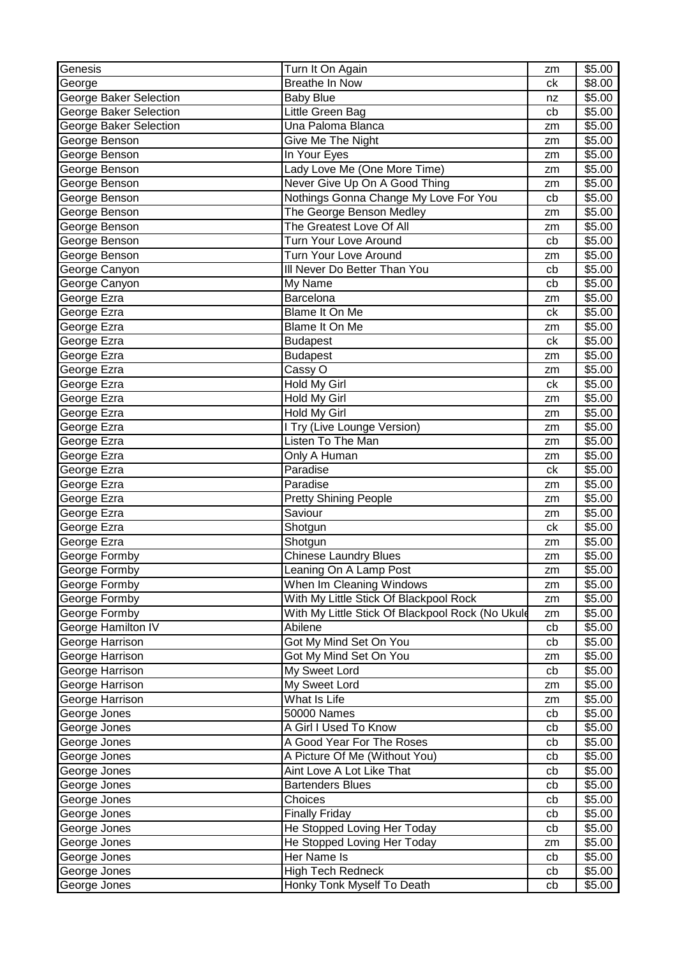| Genesis                | Turn It On Again                                 | zm | \$5.00 |
|------------------------|--------------------------------------------------|----|--------|
| George                 | <b>Breathe In Now</b>                            | ck | \$8.00 |
| George Baker Selection | <b>Baby Blue</b>                                 | nz | \$5.00 |
| George Baker Selection | Little Green Bag                                 | cb | \$5.00 |
| George Baker Selection | Una Paloma Blanca                                | zm | \$5.00 |
| George Benson          | Give Me The Night                                | zm | \$5.00 |
| George Benson          | In Your Eyes                                     | zm | \$5.00 |
| George Benson          | Lady Love Me (One More Time)                     | zm | \$5.00 |
| George Benson          | Never Give Up On A Good Thing                    | zm | \$5.00 |
| George Benson          | Nothings Gonna Change My Love For You            | cb | \$5.00 |
| George Benson          | The George Benson Medley                         | zm | \$5.00 |
| George Benson          | The Greatest Love Of All                         | zm | \$5.00 |
| George Benson          | Turn Your Love Around                            | cb | \$5.00 |
| George Benson          | Turn Your Love Around                            | zm | \$5.00 |
| George Canyon          | III Never Do Better Than You                     | cb | \$5.00 |
| George Canyon          | My Name                                          | cb | \$5.00 |
| George Ezra            | Barcelona                                        | zm | \$5.00 |
| George Ezra            | Blame It On Me                                   | ck | \$5.00 |
| George Ezra            | Blame It On Me                                   | zm | \$5.00 |
| George Ezra            | <b>Budapest</b>                                  | ck | \$5.00 |
| George Ezra            | <b>Budapest</b>                                  | zm | \$5.00 |
| George Ezra            | Cassy O                                          | zm | \$5.00 |
| George Ezra            | Hold My Girl                                     | ck | \$5.00 |
| George Ezra            | Hold My Girl                                     | zm | \$5.00 |
| George Ezra            | Hold My Girl                                     | zm | \$5.00 |
| George Ezra            | I Try (Live Lounge Version)                      | zm | \$5.00 |
| George Ezra            | Listen To The Man                                | zm | \$5.00 |
| George Ezra            | Only A Human                                     | zm | \$5.00 |
| George Ezra            | Paradise                                         | ck | \$5.00 |
| George Ezra            | Paradise                                         | zm | \$5.00 |
| George Ezra            | <b>Pretty Shining People</b>                     | zm | \$5.00 |
| George Ezra            | Saviour                                          | zm | \$5.00 |
| George Ezra            | Shotgun                                          | ck | \$5.00 |
| George Ezra            | Shotgun                                          | zm | \$5.00 |
| George Formby          | Chinese Laundry Blues                            | zm | \$5.00 |
| George Formby          | Leaning On A Lamp Post                           | zm | \$5.00 |
| George Formby          | When Im Cleaning Windows                         | zm | \$5.00 |
| George Formby          | With My Little Stick Of Blackpool Rock           | zm | \$5.00 |
| George Formby          | With My Little Stick Of Blackpool Rock (No Ukule | zm | \$5.00 |
| George Hamilton IV     | Abilene                                          | cb | \$5.00 |
| George Harrison        | Got My Mind Set On You                           | cb | \$5.00 |
| George Harrison        | Got My Mind Set On You                           | zm | \$5.00 |
| George Harrison        | My Sweet Lord                                    | cb | \$5.00 |
| George Harrison        | My Sweet Lord                                    | zm | \$5.00 |
| George Harrison        | What Is Life                                     | zm | \$5.00 |
| George Jones           | <b>50000 Names</b>                               | cb | \$5.00 |
| George Jones           | A Girl I Used To Know                            | cb | \$5.00 |
| George Jones           | A Good Year For The Roses                        | cb | \$5.00 |
| George Jones           | A Picture Of Me (Without You)                    | cb | \$5.00 |
| George Jones           | Aint Love A Lot Like That                        | cb | \$5.00 |
| George Jones           | <b>Bartenders Blues</b>                          | cb | \$5.00 |
| George Jones           | Choices                                          | cb | \$5.00 |
| George Jones           | <b>Finally Friday</b>                            | cb | \$5.00 |
| George Jones           | He Stopped Loving Her Today                      | cb | \$5.00 |
| George Jones           | He Stopped Loving Her Today                      | zm | \$5.00 |
| George Jones           | Her Name Is                                      | cb | \$5.00 |
| George Jones           |                                                  |    | \$5.00 |
|                        | <b>High Tech Redneck</b>                         | cb |        |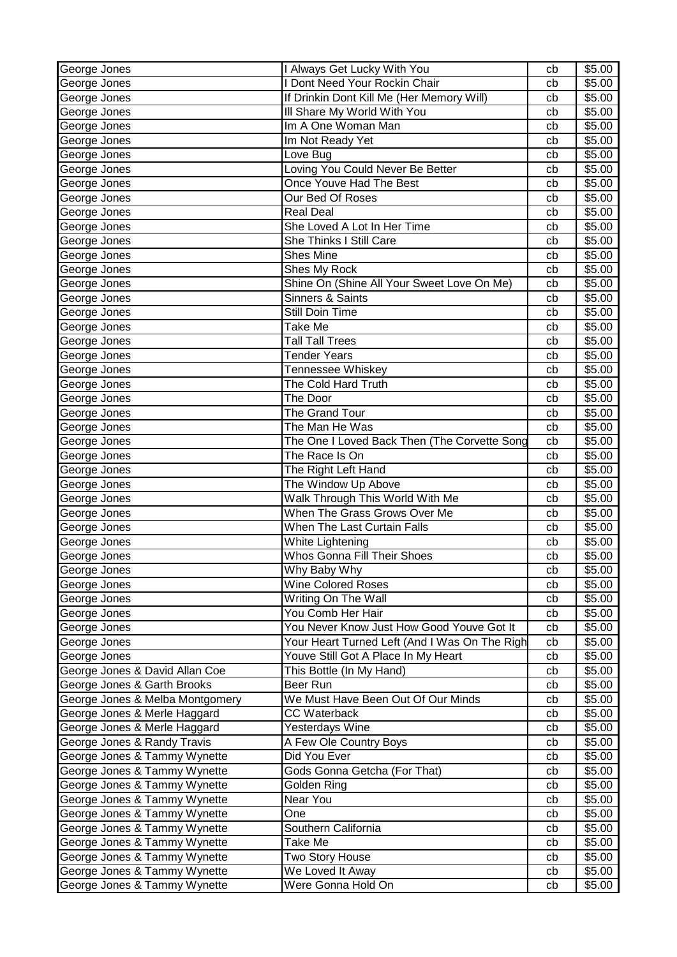| George Jones                    | I Always Get Lucky With You                   | cb | \$5.00 |
|---------------------------------|-----------------------------------------------|----|--------|
| George Jones                    | I Dont Need Your Rockin Chair                 | cb | \$5.00 |
| George Jones                    | If Drinkin Dont Kill Me (Her Memory Will)     | cb | \$5.00 |
| George Jones                    | Ill Share My World With You                   | cb | \$5.00 |
| George Jones                    | Im A One Woman Man                            | cb | \$5.00 |
| George Jones                    | Im Not Ready Yet                              | cb | \$5.00 |
| George Jones                    | Love Bug                                      | cb | \$5.00 |
| George Jones                    | Loving You Could Never Be Better              | cb | \$5.00 |
| George Jones                    | Once Youve Had The Best                       | cb | \$5.00 |
| George Jones                    | Our Bed Of Roses                              | cb | \$5.00 |
| George Jones                    | <b>Real Deal</b>                              | cb | \$5.00 |
| George Jones                    | She Loved A Lot In Her Time                   | cb | \$5.00 |
| George Jones                    | <b>She Thinks I Still Care</b>                | cb | \$5.00 |
| George Jones                    | <b>Shes Mine</b>                              | cb | \$5.00 |
| George Jones                    | Shes My Rock                                  | cb | \$5.00 |
| George Jones                    | Shine On (Shine All Your Sweet Love On Me)    | cb | \$5.00 |
| George Jones                    | Sinners & Saints                              | cb | \$5.00 |
| George Jones                    | Still Doin Time                               | cb | \$5.00 |
| George Jones                    | Take Me                                       | cb | \$5.00 |
| George Jones                    | <b>Tall Tall Trees</b>                        | cb | \$5.00 |
| George Jones                    | <b>Tender Years</b>                           | cb | \$5.00 |
| George Jones                    | Tennessee Whiskey                             | cb | \$5.00 |
| George Jones                    | The Cold Hard Truth                           | cb | \$5.00 |
| George Jones                    | The Door                                      | cb | \$5.00 |
| George Jones                    | The Grand Tour                                | cb | \$5.00 |
| George Jones                    | The Man He Was                                | cb | \$5.00 |
| George Jones                    | The One I Loved Back Then (The Corvette Song  | cb | \$5.00 |
| George Jones                    | The Race Is On                                | cb | \$5.00 |
| George Jones                    | The Right Left Hand                           | cb | \$5.00 |
| George Jones                    | The Window Up Above                           | cb | \$5.00 |
| George Jones                    | Walk Through This World With Me               | cb | \$5.00 |
| George Jones                    | When The Grass Grows Over Me                  | cb | \$5.00 |
| George Jones                    | When The Last Curtain Falls                   | cb | \$5.00 |
| George Jones                    | White Lightening                              | cb | \$5.00 |
| George Jones                    | Whos Gonna Fill Their Shoes                   | cb | \$5.00 |
| George Jones                    | Why Baby Why                                  | cb | \$5.00 |
| George Jones                    | <b>Wine Colored Roses</b>                     | cb | \$5.00 |
| George Jones                    | Writing On The Wall                           | cb | \$5.00 |
| George Jones                    | You Comb Her Hair                             | cb | \$5.00 |
| George Jones                    | You Never Know Just How Good Youve Got It     | cb | \$5.00 |
| George Jones                    | Your Heart Turned Left (And I Was On The Righ | cb | \$5.00 |
| George Jones                    | Youve Still Got A Place In My Heart           | cb | \$5.00 |
| George Jones & David Allan Coe  | This Bottle (In My Hand)                      | cb | \$5.00 |
| George Jones & Garth Brooks     | Beer Run                                      | cb | \$5.00 |
| George Jones & Melba Montgomery | We Must Have Been Out Of Our Minds            | cb | \$5.00 |
| George Jones & Merle Haggard    | <b>CC Waterback</b>                           | cb | \$5.00 |
| George Jones & Merle Haggard    | Yesterdays Wine                               | cb | \$5.00 |
| George Jones & Randy Travis     | A Few Ole Country Boys                        | cb | \$5.00 |
| George Jones & Tammy Wynette    | Did You Ever                                  | cb | \$5.00 |
| George Jones & Tammy Wynette    | Gods Gonna Getcha (For That)                  | cb | \$5.00 |
| George Jones & Tammy Wynette    | Golden Ring                                   | cb | \$5.00 |
| George Jones & Tammy Wynette    | Near You                                      | cb | \$5.00 |
| George Jones & Tammy Wynette    | One                                           | cb | \$5.00 |
| George Jones & Tammy Wynette    | Southern California                           | cb | \$5.00 |
| George Jones & Tammy Wynette    | Take Me                                       | cb | \$5.00 |
| George Jones & Tammy Wynette    | Two Story House                               | cb | \$5.00 |
| George Jones & Tammy Wynette    | We Loved It Away                              | cb | \$5.00 |
| George Jones & Tammy Wynette    | Were Gonna Hold On                            | cb | \$5.00 |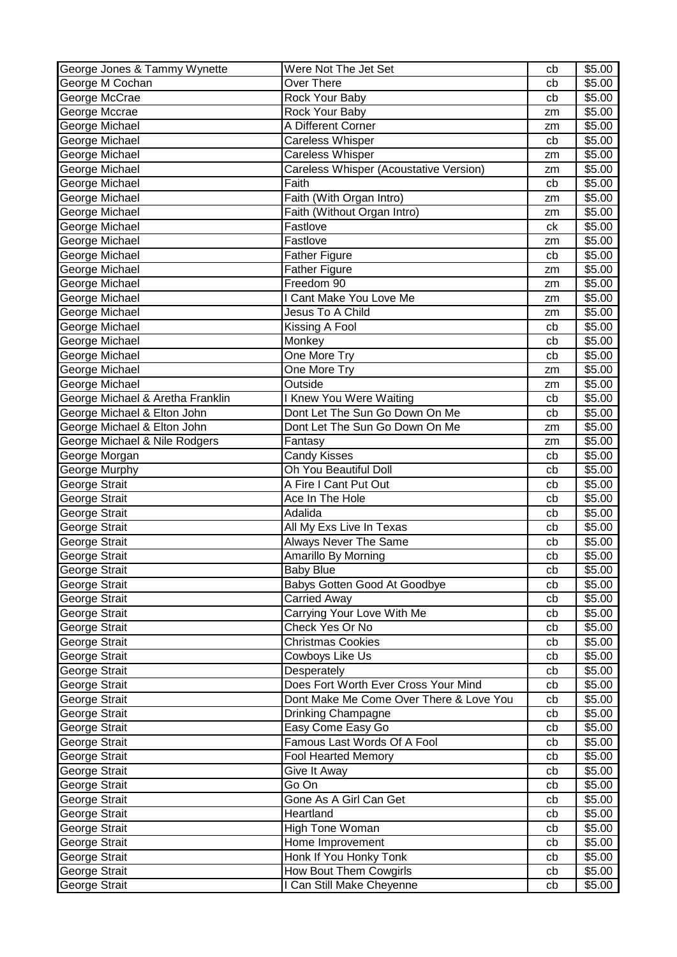| George Jones & Tammy Wynette     | Were Not The Jet Set                    | cb       | \$5.00 |
|----------------------------------|-----------------------------------------|----------|--------|
| George M Cochan                  | <b>Over There</b>                       | cb       | \$5.00 |
| George McCrae                    | Rock Your Baby                          | cb       | \$5.00 |
| George Mccrae                    | Rock Your Baby                          | zm       | \$5.00 |
| George Michael                   | A Different Corner                      | zm       | \$5.00 |
| George Michael                   | Careless Whisper                        | cb       | \$5.00 |
| George Michael                   | <b>Careless Whisper</b>                 | zm       | \$5.00 |
| George Michael                   | Careless Whisper (Acoustative Version)  | zm       | \$5.00 |
| George Michael                   | Faith                                   | cb       | \$5.00 |
| George Michael                   | Faith (With Organ Intro)                | zm       | \$5.00 |
| George Michael                   | Faith (Without Organ Intro)             | zm       | \$5.00 |
| George Michael                   | Fastlove                                | ck       | \$5.00 |
| George Michael                   | Fastlove                                | zm       | \$5.00 |
| George Michael                   | Father Figure                           | cb       | \$5.00 |
| George Michael                   | <b>Father Figure</b>                    | zm       | \$5.00 |
| George Michael                   | Freedom 90                              | zm       | \$5.00 |
| George Michael                   | I Cant Make You Love Me                 | zm       | \$5.00 |
| George Michael                   | Jesus To A Child                        | zm       | \$5.00 |
| George Michael                   | Kissing A Fool                          | cb       | \$5.00 |
| George Michael                   | Monkey                                  | cb       | \$5.00 |
| George Michael                   | One More Try                            | cb       | \$5.00 |
| George Michael                   | One More Try                            | zm       | \$5.00 |
| George Michael                   | Outside                                 | zm       | \$5.00 |
| George Michael & Aretha Franklin | <b>I Knew You Were Waiting</b>          | cb       | \$5.00 |
| George Michael & Elton John      | Dont Let The Sun Go Down On Me          | cb       | \$5.00 |
| George Michael & Elton John      | Dont Let The Sun Go Down On Me          | zm       | \$5.00 |
| George Michael & Nile Rodgers    | Fantasy                                 |          | \$5.00 |
| George Morgan                    | <b>Candy Kisses</b>                     | zm<br>cb | \$5.00 |
| George Murphy                    | Oh You Beautiful Doll                   | cb       | \$5.00 |
|                                  | A Fire I Cant Put Out                   |          | \$5.00 |
| George Strait                    | Ace In The Hole                         | cb<br>cb | \$5.00 |
| George Strait                    |                                         |          |        |
| George Strait                    | Adalida                                 | cb       | \$5.00 |
| George Strait                    | All My Exs Live In Texas                | cb       | \$5.00 |
| George Strait                    | <b>Always Never The Same</b>            | cb       | \$5.00 |
| George Strait                    | Amarillo By Morning                     | cb       | \$5.00 |
| George Strait                    | Baby Blue                               | cb       | \$5.00 |
| George Strait                    | Babys Gotten Good At Goodbye            | cb       | \$5.00 |
| George Strait                    | <b>Carried Away</b>                     | cb       | \$5.00 |
| George Strait                    | Carrying Your Love With Me              | cb       | \$5.00 |
| George Strait                    | Check Yes Or No                         | cb       | \$5.00 |
| George Strait                    | <b>Christmas Cookies</b>                | cb       | \$5.00 |
| George Strait                    | Cowboys Like Us                         | cb       | \$5.00 |
| George Strait                    | Desperately                             | cb       | \$5.00 |
| George Strait                    | Does Fort Worth Ever Cross Your Mind    | cb       | \$5.00 |
| George Strait                    | Dont Make Me Come Over There & Love You | cb       | \$5.00 |
| George Strait                    | Drinking Champagne                      | cb       | \$5.00 |
| George Strait                    | Easy Come Easy Go                       | cb       | \$5.00 |
| George Strait                    | Famous Last Words Of A Fool             | cb       | \$5.00 |
| George Strait                    | <b>Fool Hearted Memory</b>              | cb       | \$5.00 |
| George Strait                    | Give It Away                            | cb       | \$5.00 |
| George Strait                    | Go On                                   | cb       | \$5.00 |
| George Strait                    | Gone As A Girl Can Get                  | cb       | \$5.00 |
| George Strait                    | Heartland                               | cb       | \$5.00 |
| George Strait                    | High Tone Woman                         | cb       | \$5.00 |
| George Strait                    | Home Improvement                        | cb       | \$5.00 |
| George Strait                    | Honk If You Honky Tonk                  | cb       | \$5.00 |
| George Strait                    | How Bout Them Cowgirls                  | cb       | \$5.00 |
| George Strait                    | I Can Still Make Cheyenne               | cb       | \$5.00 |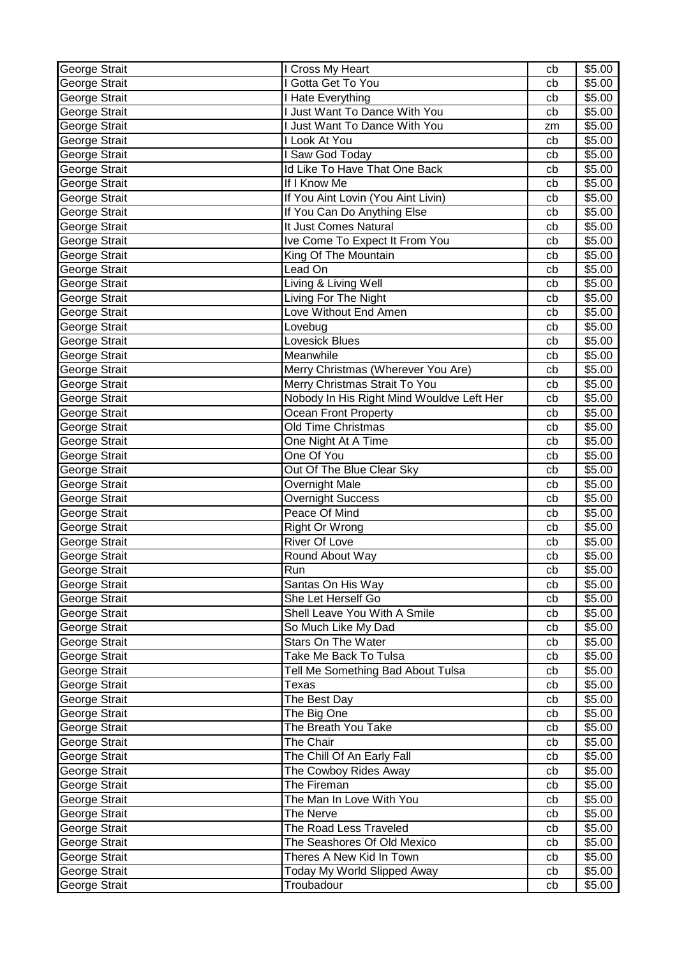| George Strait | I Cross My Heart                          | cb | \$5.00             |
|---------------|-------------------------------------------|----|--------------------|
| George Strait | I Gotta Get To You                        | cb | \$5.00             |
| George Strait | I Hate Everything                         | cb | \$5.00             |
| George Strait | I Just Want To Dance With You             | cb | \$5.00             |
| George Strait | I Just Want To Dance With You             | zm | \$5.00             |
| George Strait | I Look At You                             | cb | \$5.00             |
| George Strait | I Saw God Today                           | cb | \$5.00             |
| George Strait | Id Like To Have That One Back             | cb | \$5.00             |
| George Strait | If I Know Me                              | cb | \$5.00             |
| George Strait | If You Aint Lovin (You Aint Livin)        | cb | \$5.00             |
| George Strait | If You Can Do Anything Else               | cb | \$5.00             |
| George Strait | It Just Comes Natural                     | cb | \$5.00             |
| George Strait | Ive Come To Expect It From You            | cb | \$5.00             |
| George Strait | King Of The Mountain                      | cb | \$5.00             |
| George Strait | Lead On                                   | cb | \$5.00             |
| George Strait | Living & Living Well                      | cb | \$5.00             |
| George Strait | Living For The Night                      | cb | \$5.00             |
| George Strait | Love Without End Amen                     | cb | \$5.00             |
| George Strait | Lovebug                                   | cb | \$5.00             |
| George Strait | Lovesick Blues                            | cb | \$5.00             |
| George Strait | Meanwhile                                 | cb | \$5.00             |
| George Strait | Merry Christmas (Wherever You Are)        | cb | \$5.00             |
| George Strait | Merry Christmas Strait To You             | cb | \$5.00             |
| George Strait | Nobody In His Right Mind Wouldve Left Her | cb | \$5.00             |
| George Strait | Ocean Front Property                      | cb | \$5.00             |
| George Strait | Old Time Christmas                        | cb | \$5.00             |
| George Strait | One Night At A Time                       | cb | \$5.00             |
| George Strait | One Of You                                | cb | \$5.00             |
| George Strait | Out Of The Blue Clear Sky                 | cb | \$5.00             |
|               |                                           |    |                    |
| George Strait | Overnight Male                            | cb | \$5.00             |
| George Strait | Overnight Success<br>Peace Of Mind        | cb | \$5.00             |
| George Strait |                                           | cb | \$5.00             |
| George Strait | Right Or Wrong<br>River Of Love           | cb | \$5.00             |
| George Strait |                                           | cb | \$5.00<br>\$5.00   |
| George Strait | <b>Round About Way</b>                    | cb |                    |
| George Strait | Run                                       | cb | \$5.00             |
| George Strait | Santas On His Way                         | cb | \$5.00             |
| George Strait | She Let Herself Go                        | cb | \$5.00             |
| George Strait | Shell Leave You With A Smile              | cb | $\overline{$}5.00$ |
| George Strait | So Much Like My Dad                       | cb | \$5.00             |
| George Strait | <b>Stars On The Water</b>                 | cb | \$5.00             |
| George Strait | Take Me Back To Tulsa                     | cb | \$5.00             |
| George Strait | Tell Me Something Bad About Tulsa         | cb | \$5.00             |
| George Strait | <b>Texas</b>                              | cb | \$5.00             |
| George Strait | The Best Day                              | cb | \$5.00             |
| George Strait | The Big One                               | cb | \$5.00             |
| George Strait | The Breath You Take                       | cb | \$5.00             |
| George Strait | The Chair                                 | cb | \$5.00             |
| George Strait | The Chill Of An Early Fall                | cb | \$5.00             |
| George Strait | The Cowboy Rides Away                     | cb | \$5.00             |
| George Strait | The Fireman                               | cb | \$5.00             |
| George Strait | The Man In Love With You                  | cb | \$5.00             |
| George Strait | The Nerve                                 | cb | \$5.00             |
| George Strait | The Road Less Traveled                    | cb | \$5.00             |
| George Strait | The Seashores Of Old Mexico               | cb | \$5.00             |
| George Strait | Theres A New Kid In Town                  | cb | \$5.00             |
| George Strait | Today My World Slipped Away               | cb | \$5.00             |
| George Strait | Troubadour                                | cb | \$5.00             |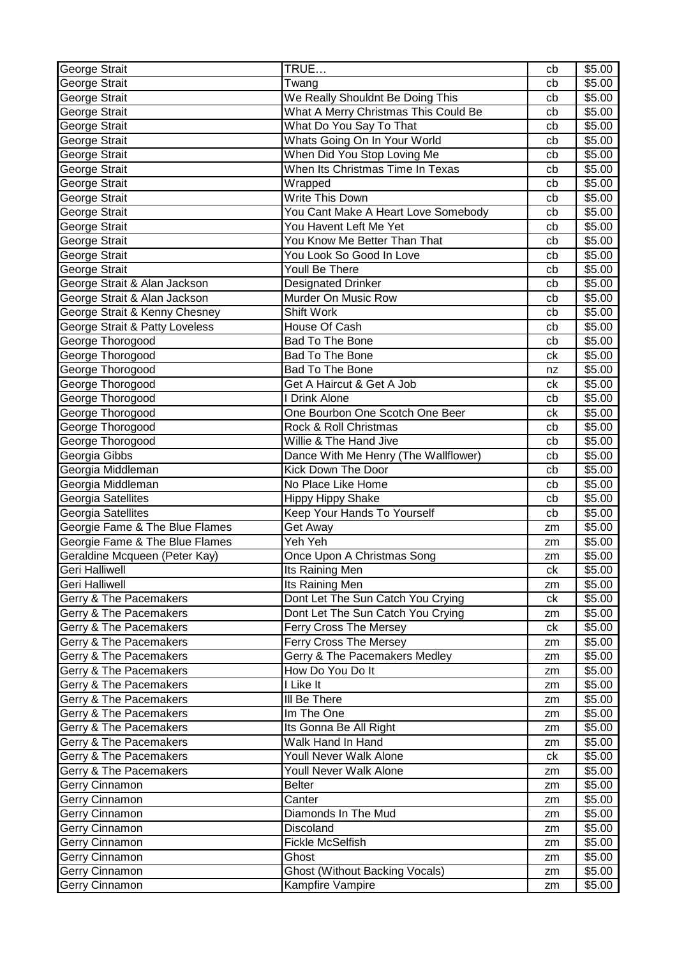| George Strait                  | TRUE                                  | cb | \$5.00 |
|--------------------------------|---------------------------------------|----|--------|
| George Strait                  | Twang                                 | cb | \$5.00 |
| George Strait                  | We Really Shouldnt Be Doing This      | cb | \$5.00 |
| George Strait                  | What A Merry Christmas This Could Be  | cb | \$5.00 |
| George Strait                  | What Do You Say To That               | cb | \$5.00 |
| George Strait                  | Whats Going On In Your World          | cb | \$5.00 |
| George Strait                  | When Did You Stop Loving Me           | cb | \$5.00 |
| George Strait                  | When Its Christmas Time In Texas      | cb | \$5.00 |
| George Strait                  | Wrapped                               | cb | \$5.00 |
| George Strait                  | Write This Down                       | cb | \$5.00 |
| George Strait                  | You Cant Make A Heart Love Somebody   | cb | \$5.00 |
| George Strait                  | You Havent Left Me Yet                | cb | \$5.00 |
| George Strait                  | You Know Me Better Than That          | cb | \$5.00 |
| George Strait                  | You Look So Good In Love              | cb | \$5.00 |
| George Strait                  | Youll Be There                        | cb | \$5.00 |
| George Strait & Alan Jackson   | <b>Designated Drinker</b>             | cb | \$5.00 |
| George Strait & Alan Jackson   | Murder On Music Row                   | cb | \$5.00 |
| George Strait & Kenny Chesney  | <b>Shift Work</b>                     | cb | \$5.00 |
| George Strait & Patty Loveless | House Of Cash                         | cb | \$5.00 |
| George Thorogood               | <b>Bad To The Bone</b>                | cb | \$5.00 |
| George Thorogood               | <b>Bad To The Bone</b>                | ck | \$5.00 |
| George Thorogood               | Bad To The Bone                       | nz | \$5.00 |
| George Thorogood               | Get A Haircut & Get A Job             | ck | \$5.00 |
| George Thorogood               | I Drink Alone                         | cb | \$5.00 |
| George Thorogood               | One Bourbon One Scotch One Beer       | ck | \$5.00 |
| George Thorogood               | Rock & Roll Christmas                 | cb | \$5.00 |
| George Thorogood               | Willie & The Hand Jive                | cb | \$5.00 |
| Georgia Gibbs                  | Dance With Me Henry (The Wallflower)  | cb | \$5.00 |
| Georgia Middleman              | Kick Down The Door                    | cb | \$5.00 |
| Georgia Middleman              | No Place Like Home                    | cb | \$5.00 |
| Georgia Satellites             | <b>Hippy Hippy Shake</b>              | cb | \$5.00 |
| Georgia Satellites             | <b>Keep Your Hands To Yourself</b>    | cb | \$5.00 |
| Georgie Fame & The Blue Flames | Get Away                              | zm | \$5.00 |
| Georgie Fame & The Blue Flames | Yeh Yeh                               | zm | \$5.00 |
| Geraldine Mcqueen (Peter Kay)  | Once Upon A Christmas Song            | zm | \$5.00 |
| Geri Halliwell                 | Its Raining Men                       | ck | \$5.00 |
| Geri Halliwell                 | Its Raining Men                       | zm | \$5.00 |
| Gerry & The Pacemakers         | Dont Let The Sun Catch You Crying     | ck | \$5.00 |
| Gerry & The Pacemakers         | Dont Let The Sun Catch You Crying     | zm | \$5.00 |
| Gerry & The Pacemakers         | Ferry Cross The Mersey                | ck | \$5.00 |
| Gerry & The Pacemakers         | Ferry Cross The Mersey                | zm | \$5.00 |
| Gerry & The Pacemakers         | Gerry & The Pacemakers Medley         | zm | \$5.00 |
| Gerry & The Pacemakers         | How Do You Do It                      | zm | \$5.00 |
| Gerry & The Pacemakers         | I Like It                             | zm | \$5.00 |
| Gerry & The Pacemakers         | III Be There                          | zm | \$5.00 |
| Gerry & The Pacemakers         | Im The One                            | zm | \$5.00 |
| Gerry & The Pacemakers         | Its Gonna Be All Right                | zm | \$5.00 |
| Gerry & The Pacemakers         | Walk Hand In Hand                     | zm | \$5.00 |
| Gerry & The Pacemakers         | Youll Never Walk Alone                | ck | \$5.00 |
| Gerry & The Pacemakers         | Youll Never Walk Alone                | zm | \$5.00 |
| Gerry Cinnamon                 | Belter                                | zm | \$5.00 |
| Gerry Cinnamon                 | Canter                                | zm | \$5.00 |
| Gerry Cinnamon                 | Diamonds In The Mud                   | zm | \$5.00 |
| Gerry Cinnamon                 | Discoland                             | zm | \$5.00 |
| Gerry Cinnamon                 | <b>Fickle McSelfish</b>               | zm | \$5.00 |
| Gerry Cinnamon                 | Ghost                                 | zm | \$5.00 |
| Gerry Cinnamon                 | <b>Ghost (Without Backing Vocals)</b> | zm | \$5.00 |
| Gerry Cinnamon                 | Kampfire Vampire                      |    | \$5.00 |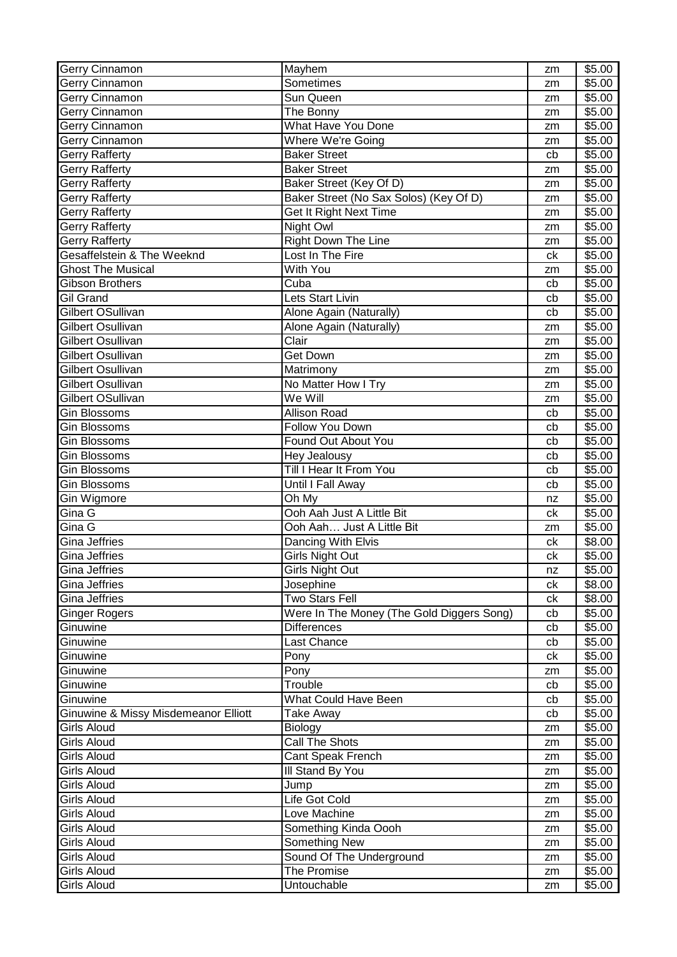| <b>Gerry Cinnamon</b>                | Mayhem                                    | zm | \$5.00 |
|--------------------------------------|-------------------------------------------|----|--------|
| Gerry Cinnamon                       | Sometimes                                 | zm | \$5.00 |
| Gerry Cinnamon                       | Sun Queen                                 | zm | \$5.00 |
| Gerry Cinnamon                       | The Bonny                                 | zm | \$5.00 |
| Gerry Cinnamon                       | <b>What Have You Done</b>                 | zm | \$5.00 |
| Gerry Cinnamon                       | Where We're Going                         | zm | \$5.00 |
| <b>Gerry Rafferty</b>                | <b>Baker Street</b>                       | cb | \$5.00 |
| Gerry Rafferty                       | <b>Baker Street</b>                       | zm | \$5.00 |
| Gerry Rafferty                       | Baker Street (Key Of D)                   | zm | \$5.00 |
| <b>Gerry Rafferty</b>                | Baker Street (No Sax Solos) (Key Of D)    | zm | \$5.00 |
| <b>Gerry Rafferty</b>                | Get It Right Next Time                    | zm | \$5.00 |
| Gerry Rafferty                       | Night Owl                                 | zm | \$5.00 |
| Gerry Rafferty                       | <b>Right Down The Line</b>                | zm | \$5.00 |
| Gesaffelstein & The Weeknd           | Lost In The Fire                          | ck | \$5.00 |
| <b>Ghost The Musical</b>             | With You                                  | zm | \$5.00 |
| <b>Gibson Brothers</b>               | Cuba                                      | cb | \$5.00 |
| <b>Gil Grand</b>                     | Lets Start Livin                          | cb | \$5.00 |
| Gilbert OSullivan                    | Alone Again (Naturally)                   | cb | \$5.00 |
| Gilbert Osullivan                    | Alone Again (Naturally)                   | zm | \$5.00 |
| Gilbert Osullivan                    | Clair                                     | zm | \$5.00 |
| Gilbert Osullivan                    | <b>Get Down</b>                           |    | \$5.00 |
| Gilbert Osullivan                    | Matrimony                                 | zm |        |
|                                      |                                           | zm | \$5.00 |
| Gilbert Osullivan                    | No Matter How I Try                       | zm | \$5.00 |
| Gilbert OSullivan                    | We Will                                   | zm | \$5.00 |
| Gin Blossoms                         | <b>Allison Road</b>                       | cb | \$5.00 |
| <b>Gin Blossoms</b>                  | Follow You Down                           | cb | \$5.00 |
| <b>Gin Blossoms</b>                  | Found Out About You                       | cb | \$5.00 |
| <b>Gin Blossoms</b>                  | Hey Jealousy                              | cb | \$5.00 |
| <b>Gin Blossoms</b>                  | Till I Hear It From You                   | cb | \$5.00 |
| <b>Gin Blossoms</b>                  | Until I Fall Away                         | cb | \$5.00 |
| Gin Wigmore                          | Oh My                                     | nz | \$5.00 |
| Gina G                               | Ooh Aah Just A Little Bit                 | ck | \$5.00 |
| Gina G                               | Ooh Aah Just A Little Bit                 | zm | \$5.00 |
| <b>Gina Jeffries</b>                 | Dancing With Elvis                        | ck | \$8.00 |
| <b>Gina Jeffries</b>                 | <b>Girls Night Out</b>                    | сk | \$5.00 |
| <b>Gina Jeffries</b>                 | Girls Night Out                           | nz | \$5.00 |
| Gina Jeffries                        | Josephine                                 | ck | \$8.00 |
| Gina Jeffries                        | <b>Two Stars Fell</b>                     | ck | \$8.00 |
| <b>Ginger Rogers</b>                 | Were In The Money (The Gold Diggers Song) | cb | \$5.00 |
| Ginuwine                             | <b>Differences</b>                        | cb | \$5.00 |
| Ginuwine                             | Last Chance                               | cb | \$5.00 |
| Ginuwine                             | Pony                                      | сk | \$5.00 |
| Ginuwine                             | Pony                                      | zm | \$5.00 |
| Ginuwine                             | Trouble                                   | cb | \$5.00 |
| Ginuwine                             | What Could Have Been                      | cb | \$5.00 |
| Ginuwine & Missy Misdemeanor Elliott | <b>Take Away</b>                          | cb | \$5.00 |
| <b>Girls Aloud</b>                   | Biology                                   | zm | \$5.00 |
| <b>Girls Aloud</b>                   | Call The Shots                            | zm | \$5.00 |
| <b>Girls Aloud</b>                   | Cant Speak French                         | zm | \$5.00 |
| <b>Girls Aloud</b>                   | III Stand By You                          | zm | \$5.00 |
| <b>Girls Aloud</b>                   | Jump                                      | zm | \$5.00 |
| <b>Girls Aloud</b>                   | Life Got Cold                             | zm | \$5.00 |
| Girls Aloud                          | Love Machine                              | zm | \$5.00 |
| <b>Girls Aloud</b>                   | Something Kinda Oooh                      | zm | \$5.00 |
| <b>Girls Aloud</b>                   | Something New                             | zm | \$5.00 |
| <b>Girls Aloud</b>                   | Sound Of The Underground                  | zm | \$5.00 |
| <b>Girls Aloud</b>                   | The Promise                               | zm | \$5.00 |
| <b>Girls Aloud</b>                   | Untouchable                               |    | \$5.00 |
|                                      |                                           | zm |        |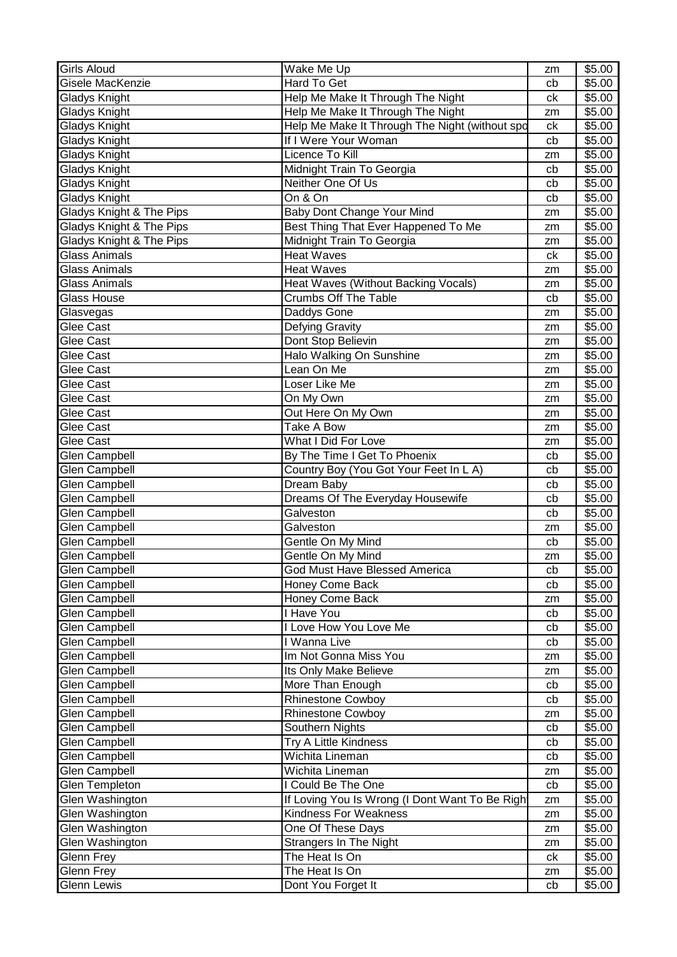| <b>Girls Aloud</b>                           | $\overline{\mathsf{W}}$ ake Me Up                       | zm       | \$5.00           |
|----------------------------------------------|---------------------------------------------------------|----------|------------------|
| Gisele MacKenzie                             | Hard To Get                                             | cb       | \$5.00           |
| Gladys Knight                                | Help Me Make It Through The Night                       | ck       | \$5.00           |
| <b>Gladys Knight</b>                         | Help Me Make It Through The Night                       | zm       | \$5.00           |
| Gladys Knight                                | Help Me Make It Through The Night (without spd          | ck       | \$5.00           |
| Gladys Knight                                | If I Were Your Woman                                    | cb       | \$5.00           |
| Gladys Knight                                | Licence To Kill                                         | zm       | \$5.00           |
| Gladys Knight                                | Midnight Train To Georgia                               | cb       | \$5.00           |
| Gladys Knight                                | Neither One Of Us                                       | cb       | \$5.00           |
| <b>Gladys Knight</b>                         | On & On                                                 | cb       | \$5.00           |
| Gladys Knight & The Pips                     | Baby Dont Change Your Mind                              | zm       | \$5.00           |
| Gladys Knight & The Pips                     | Best Thing That Ever Happened To Me                     | zm       | \$5.00           |
| Gladys Knight & The Pips                     | Midnight Train To Georgia                               | zm       | \$5.00           |
| <b>Glass Animals</b>                         | <b>Heat Waves</b>                                       | ck       | \$5.00           |
| <b>Glass Animals</b>                         | <b>Heat Waves</b>                                       | zm       | \$5.00           |
| Glass Animals                                | Heat Waves (Without Backing Vocals)                     | zm       | \$5.00           |
| <b>Glass House</b>                           | <b>Crumbs Off The Table</b>                             | cb       | \$5.00           |
| Glasvegas                                    | <b>Daddys Gone</b>                                      | zm       | \$5.00           |
| Glee Cast                                    | <b>Defying Gravity</b>                                  | zm       | \$5.00           |
| Glee Cast                                    | Dont Stop Believin                                      | zm       | \$5.00           |
| Glee Cast                                    | Halo Walking On Sunshine                                | zm       | \$5.00           |
| Glee Cast                                    | Lean On Me                                              | zm       | \$5.00           |
| Glee Cast                                    | Loser Like Me                                           | zm       | \$5.00           |
| Glee Cast                                    | On My Own                                               | zm       | \$5.00           |
| Glee Cast                                    | Out Here On My Own                                      | zm       | \$5.00           |
| Glee Cast                                    | <b>Take A Bow</b>                                       | zm       | \$5.00           |
| Glee Cast                                    | What I Did For Love                                     | zm       | \$5.00           |
| <b>Glen Campbell</b>                         | By The Time I Get To Phoenix                            | cb       | \$5.00           |
| <b>Glen Campbell</b>                         | Country Boy (You Got Your Feet In L A)                  | cb       | \$5.00           |
| <b>Glen Campbell</b>                         | Dream Baby                                              | cb       | \$5.00           |
| <b>Glen Campbell</b>                         | Dreams Of The Everyday Housewife                        | cb       | \$5.00           |
| <b>Glen Campbell</b>                         | Galveston                                               | cb       | \$5.00           |
| <b>Glen Campbell</b>                         | Galveston                                               |          | \$5.00           |
| Glen Campbell                                | Gentle On My Mind                                       | zm<br>cb | \$5.00           |
| <b>Glen Campbell</b>                         | Gentle On My Mind                                       |          | \$5.00           |
| <b>Glen Campbell</b>                         |                                                         | zm       | \$5.00           |
| <b>Glen Campbell</b>                         | God Must Have Blessed America<br><b>Honey Come Back</b> | cb       | \$5.00           |
|                                              | Honey Come Back                                         | cb       | \$5.00           |
| <b>Glen Campbell</b>                         | I Have You                                              | zm       |                  |
| <b>Glen Campbell</b><br><b>Glen Campbell</b> |                                                         | cb       | \$5.00           |
|                                              | I Love How You Love Me<br>I Wanna Live                  | cb       | \$5.00<br>\$5.00 |
| Glen Campbell                                | Im Not Gonna Miss You                                   | cb       |                  |
| <b>Glen Campbell</b>                         |                                                         | zm       | \$5.00           |
| Glen Campbell                                | Its Only Make Believe                                   | zm       | \$5.00           |
| <b>Glen Campbell</b>                         | More Than Enough                                        | cb       | \$5.00           |
| Glen Campbell                                | <b>Rhinestone Cowboy</b>                                | cb       | \$5.00           |
| Glen Campbell                                | <b>Rhinestone Cowboy</b>                                | zm       | \$5.00           |
| <b>Glen Campbell</b>                         | Southern Nights                                         | cb       | \$5.00           |
| <b>Glen Campbell</b>                         | Try A Little Kindness                                   | cb       | \$5.00           |
| <b>Glen Campbell</b>                         | Wichita Lineman                                         | cb       | \$5.00           |
| Glen Campbell                                | Wichita Lineman                                         | zm       | \$5.00           |
| Glen Templeton                               | I Could Be The One                                      | cb       | \$5.00           |
| Glen Washington                              | If Loving You Is Wrong (I Dont Want To Be Right         | zm       | \$5.00           |
| Glen Washington                              | <b>Kindness For Weakness</b>                            | zm       | \$5.00           |
| Glen Washington                              | One Of These Days                                       | zm       | \$5.00           |
| Glen Washington                              | <b>Strangers In The Night</b>                           | zm       | \$5.00           |
| Glenn Frey                                   | The Heat Is On                                          | ck       | \$5.00           |
| Glenn Frey                                   | The Heat Is On                                          | zm       | \$5.00           |
| <b>Glenn Lewis</b>                           | Dont You Forget It                                      | cb       | \$5.00           |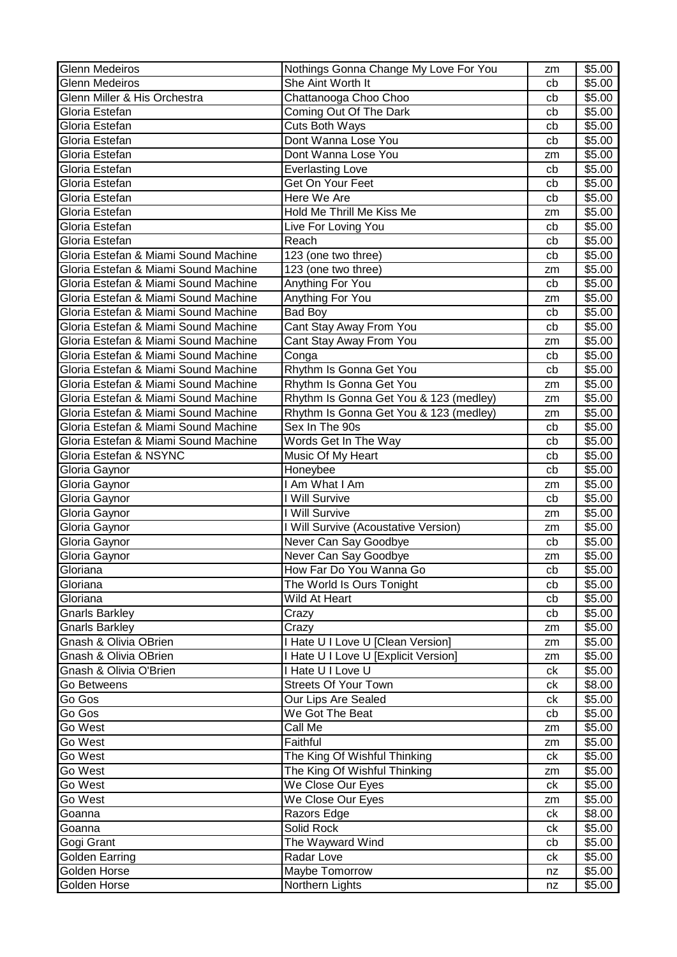| <b>Glenn Medeiros</b>                | Nothings Gonna Change My Love For You  | zm | \$5.00 |
|--------------------------------------|----------------------------------------|----|--------|
| <b>Glenn Medeiros</b>                | She Aint Worth It                      | cb | \$5.00 |
| Glenn Miller & His Orchestra         | Chattanooga Choo Choo                  | cb | \$5.00 |
| Gloria Estefan                       | Coming Out Of The Dark                 | cb | \$5.00 |
| Gloria Estefan                       | Cuts Both Ways                         | cb | \$5.00 |
| Gloria Estefan                       | Dont Wanna Lose You                    | cb | \$5.00 |
| Gloria Estefan                       | Dont Wanna Lose You                    | zm | \$5.00 |
| Gloria Estefan                       | <b>Everlasting Love</b>                | cb | \$5.00 |
| Gloria Estefan                       | Get On Your Feet                       | cb | \$5.00 |
| Gloria Estefan                       | Here We Are                            | cb | \$5.00 |
| Gloria Estefan                       | Hold Me Thrill Me Kiss Me              | zm | \$5.00 |
| Gloria Estefan                       | Live For Loving You                    | cb | \$5.00 |
| Gloria Estefan                       | Reach                                  | cb | \$5.00 |
| Gloria Estefan & Miami Sound Machine | 123 (one two three)                    | cb | \$5.00 |
| Gloria Estefan & Miami Sound Machine | 123 (one two three)                    | zm | \$5.00 |
| Gloria Estefan & Miami Sound Machine | Anything For You                       | cb | \$5.00 |
| Gloria Estefan & Miami Sound Machine | Anything For You                       | zm | \$5.00 |
| Gloria Estefan & Miami Sound Machine | <b>Bad Boy</b>                         | cb | \$5.00 |
| Gloria Estefan & Miami Sound Machine | Cant Stay Away From You                | cb | \$5.00 |
| Gloria Estefan & Miami Sound Machine | Cant Stay Away From You                | zm | \$5.00 |
| Gloria Estefan & Miami Sound Machine | Conga                                  | cb | \$5.00 |
| Gloria Estefan & Miami Sound Machine | Rhythm Is Gonna Get You                | cb | \$5.00 |
| Gloria Estefan & Miami Sound Machine | Rhythm Is Gonna Get You                | zm | \$5.00 |
| Gloria Estefan & Miami Sound Machine | Rhythm Is Gonna Get You & 123 (medley) | zm | \$5.00 |
| Gloria Estefan & Miami Sound Machine | Rhythm Is Gonna Get You & 123 (medley) | zm | \$5.00 |
| Gloria Estefan & Miami Sound Machine | Sex In The 90s                         | cb | \$5.00 |
| Gloria Estefan & Miami Sound Machine | Words Get In The Way                   | cb | \$5.00 |
| Gloria Estefan & NSYNC               | Music Of My Heart                      | cb | \$5.00 |
| Gloria Gaynor                        | Honeybee                               | cb | \$5.00 |
| Gloria Gaynor                        | I Am What I Am                         | zm | \$5.00 |
| Gloria Gaynor                        | I Will Survive                         | cb | \$5.00 |
| Gloria Gaynor                        | I Will Survive                         | zm | \$5.00 |
| Gloria Gaynor                        | I Will Survive (Acoustative Version)   | zm | \$5.00 |
| Gloria Gaynor                        | Never Can Say Goodbye                  | cb | \$5.00 |
| Gloria Gaynor                        | Never Can Say Goodbye                  | zm | \$5.00 |
| Gloriana                             | How Far Do You Wanna Go                | cb | \$5.00 |
| Gloriana                             | The World Is Ours Tonight              | cb | \$5.00 |
| Gloriana                             | Wild At Heart                          | cb | \$5.00 |
| <b>Gnarls Barkley</b>                | Crazy                                  | cb | \$5.00 |
| Gnarls Barkley                       | Crazy                                  | zm | \$5.00 |
| Gnash & Olivia OBrien                | I Hate U I Love U [Clean Version]      | zm | \$5.00 |
| Gnash & Olivia OBrien                | I Hate U I Love U [Explicit Version]   | zm | \$5.00 |
| Gnash & Olivia O'Brien               | I Hate U I Love U                      | ck | \$5.00 |
| Go Betweens                          | <b>Streets Of Your Town</b>            | ck | \$8.00 |
| Go Gos                               | Our Lips Are Sealed                    | сk | \$5.00 |
| Go Gos                               | We Got The Beat                        | cb | \$5.00 |
| Go West                              | Call Me                                | zm | \$5.00 |
| Go West                              | Faithful                               | zm | \$5.00 |
| Go West                              | The King Of Wishful Thinking           | ck | \$5.00 |
| Go West                              | The King Of Wishful Thinking           | zm | \$5.00 |
| Go West                              | We Close Our Eyes                      | ck | \$5.00 |
| Go West                              | We Close Our Eyes                      | zm | \$5.00 |
| Goanna                               | Razors Edge                            | сk | \$8.00 |
| Goanna                               | Solid Rock                             | ck | \$5.00 |
| Gogi Grant                           | The Wayward Wind                       | cb | \$5.00 |
| Golden Earring                       | Radar Love                             | сk | \$5.00 |
| Golden Horse                         | Maybe Tomorrow                         | nz | \$5.00 |
| Golden Horse                         | Northern Lights                        | nz | \$5.00 |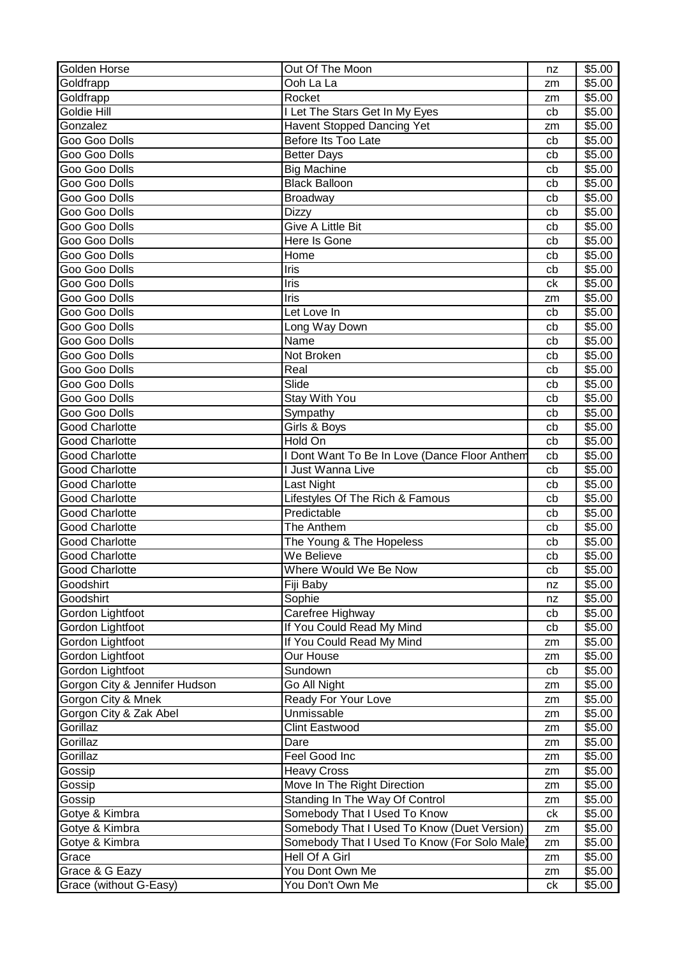| Golden Horse                  | Out Of The Moon                               | nz | \$5.00 |
|-------------------------------|-----------------------------------------------|----|--------|
| Goldfrapp                     | Ooh La La                                     | zm | \$5.00 |
| Goldfrapp                     | Rocket                                        | zm | \$5.00 |
| Goldie Hill                   | I Let The Stars Get In My Eyes                | cb | \$5.00 |
| Gonzalez                      | Havent Stopped Dancing Yet                    | zm | \$5.00 |
| Goo Goo Dolls                 | Before Its Too Late                           | cb | \$5.00 |
| Goo Goo Dolls                 | <b>Better Days</b>                            | cb | \$5.00 |
| Goo Goo Dolls                 | <b>Big Machine</b>                            | cb | \$5.00 |
| Goo Goo Dolls                 | <b>Black Balloon</b>                          | cb | \$5.00 |
| Goo Goo Dolls                 | <b>Broadway</b>                               | cb | \$5.00 |
| Goo Goo Dolls                 | <b>Dizzy</b>                                  | cb | \$5.00 |
| Goo Goo Dolls                 | Give A Little Bit                             |    | \$5.00 |
|                               |                                               | cb |        |
| Goo Goo Dolls                 | Here Is Gone                                  | cb | \$5.00 |
| Goo Goo Dolls                 | Home                                          | cb | \$5.00 |
| Goo Goo Dolls                 | Iris                                          | cb | \$5.00 |
| Goo Goo Dolls                 | Iris                                          | ck | \$5.00 |
| Goo Goo Dolls                 | Iris                                          | zm | \$5.00 |
| Goo Goo Dolls                 | Let Love In                                   | cb | \$5.00 |
| Goo Goo Dolls                 | Long Way Down                                 | cb | \$5.00 |
| Goo Goo Dolls                 | Name                                          | cb | \$5.00 |
| Goo Goo Dolls                 | Not Broken                                    | cb | \$5.00 |
| Goo Goo Dolls                 | Real                                          | cb | \$5.00 |
| Goo Goo Dolls                 | Slide                                         | cb | \$5.00 |
| Goo Goo Dolls                 | Stay With You                                 | cb | \$5.00 |
| Goo Goo Dolls                 | Sympathy                                      | cb | \$5.00 |
| <b>Good Charlotte</b>         | Girls & Boys                                  | cb | \$5.00 |
| <b>Good Charlotte</b>         | Hold On                                       | cb | \$5.00 |
| <b>Good Charlotte</b>         | I Dont Want To Be In Love (Dance Floor Anthem | cb | \$5.00 |
| <b>Good Charlotte</b>         | I Just Wanna Live                             | cb | \$5.00 |
| <b>Good Charlotte</b>         | Last Night                                    | cb | \$5.00 |
| <b>Good Charlotte</b>         | Lifestyles Of The Rich & Famous               | cb | \$5.00 |
|                               |                                               |    |        |
| <b>Good Charlotte</b>         | Predictable                                   | cb | \$5.00 |
| <b>Good Charlotte</b>         | The Anthem                                    | cb | \$5.00 |
| <b>Good Charlotte</b>         | The Young & The Hopeless                      | cb | \$5.00 |
| <b>Good Charlotte</b>         | We Believe                                    | cb | \$5.00 |
| <b>Good Charlotte</b>         | Where Would We Be Now                         | cb | \$5.00 |
| Goodshirt                     | Fiji Baby                                     | nz | \$5.00 |
| Goodshirt                     | Sophie                                        | nz | \$5.00 |
| Gordon Lightfoot              | Carefree Highway                              | cb | \$5.00 |
| Gordon Lightfoot              | If You Could Read My Mind                     | cb | \$5.00 |
| Gordon Lightfoot              | If You Could Read My Mind                     | zm | \$5.00 |
| Gordon Lightfoot              | Our House                                     | zm | \$5.00 |
| Gordon Lightfoot              | Sundown                                       | cb | \$5.00 |
| Gorgon City & Jennifer Hudson | Go All Night                                  | zm | \$5.00 |
| Gorgon City & Mnek            | Ready For Your Love                           | zm | \$5.00 |
| Gorgon City & Zak Abel        | Unmissable                                    | zm | \$5.00 |
| Gorillaz                      | Clint Eastwood                                | zm | \$5.00 |
| Gorillaz                      | Dare                                          | zm | \$5.00 |
| Gorillaz                      | Feel Good Inc                                 | zm | \$5.00 |
| Gossip                        | <b>Heavy Cross</b>                            | zm | \$5.00 |
| Gossip                        | Move In The Right Direction                   | zm | \$5.00 |
| Gossip                        | Standing In The Way Of Control                | zm | \$5.00 |
| Gotye & Kimbra                | Somebody That I Used To Know                  | ck | \$5.00 |
|                               | Somebody That I Used To Know (Duet Version)   |    | \$5.00 |
| Gotye & Kimbra                |                                               | zm |        |
| Gotye & Kimbra                | Somebody That I Used To Know (For Solo Male   | zm | \$5.00 |
| Grace                         | Hell Of A Girl                                | zm | \$5.00 |
| Grace & G Eazy                | You Dont Own Me                               | zm | \$5.00 |
| Grace (without G-Easy)        | You Don't Own Me                              | ck | \$5.00 |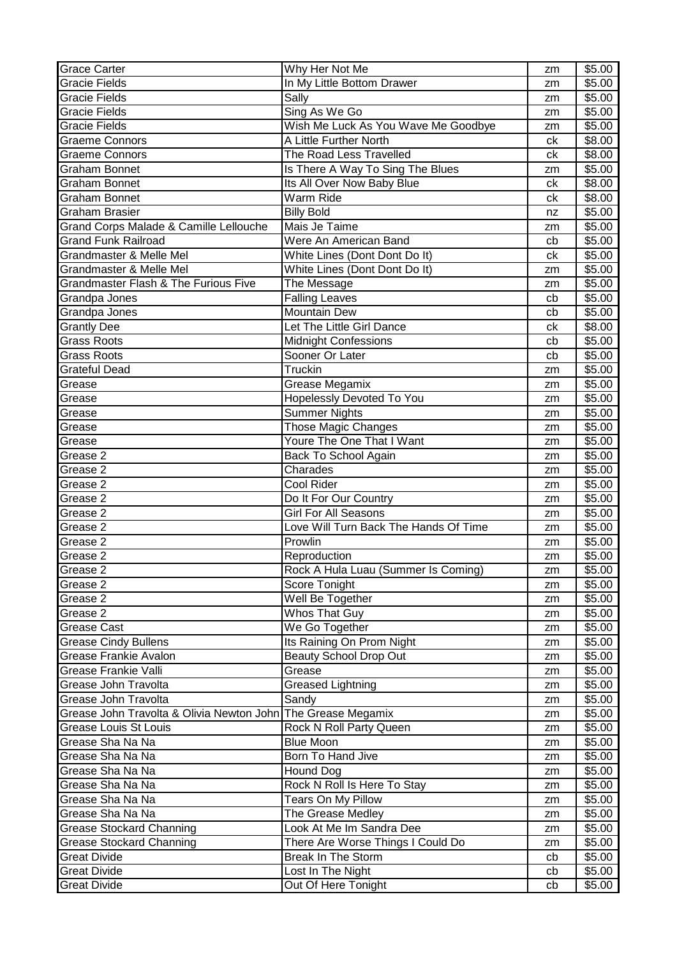| <b>Grace Carter</b>                                          | Why Her Not Me                        | zm | \$5.00 |
|--------------------------------------------------------------|---------------------------------------|----|--------|
| <b>Gracie Fields</b>                                         | In My Little Bottom Drawer            | zm | \$5.00 |
| Gracie Fields                                                | Sally                                 | zm | \$5.00 |
| <b>Gracie Fields</b>                                         | Sing As We Go                         | zm | \$5.00 |
| <b>Gracie Fields</b>                                         | Wish Me Luck As You Wave Me Goodbye   | zm | \$5.00 |
| <b>Graeme Connors</b>                                        | A Little Further North                | ck | \$8.00 |
| <b>Graeme Connors</b>                                        | The Road Less Travelled               | ck | \$8.00 |
| Graham Bonnet                                                | Is There A Way To Sing The Blues      | zm | \$5.00 |
| <b>Graham Bonnet</b>                                         | Its All Over Now Baby Blue            | ck | \$8.00 |
| <b>Graham Bonnet</b>                                         | Warm Ride                             | ck | \$8.00 |
| <b>Graham Brasier</b>                                        | <b>Billy Bold</b>                     | nz | \$5.00 |
| Grand Corps Malade & Camille Lellouche                       | Mais Je Taime                         | zm | \$5.00 |
| <b>Grand Funk Railroad</b>                                   | Were An American Band                 | cb | \$5.00 |
| Grandmaster & Melle Mel                                      | White Lines (Dont Dont Do It)         | ck | \$5.00 |
| Grandmaster & Melle Mel                                      | White Lines (Dont Dont Do It)         | zm | \$5.00 |
| <b>Grandmaster Flash &amp; The Furious Five</b>              | The Message                           | zm | \$5.00 |
| Grandpa Jones                                                | <b>Falling Leaves</b>                 | cb | \$5.00 |
| Grandpa Jones                                                | Mountain Dew                          | cb | \$5.00 |
| <b>Grantly Dee</b>                                           | Let The Little Girl Dance             | ck | \$8.00 |
| <b>Grass Roots</b>                                           | <b>Midnight Confessions</b>           | cb | \$5.00 |
| <b>Grass Roots</b>                                           | Sooner Or Later                       | cb | \$5.00 |
| Grateful Dead                                                | Truckin                               | zm | \$5.00 |
| Grease                                                       | Grease Megamix                        | zm | \$5.00 |
| Grease                                                       | <b>Hopelessly Devoted To You</b>      | zm | \$5.00 |
| Grease                                                       | <b>Summer Nights</b>                  | zm | \$5.00 |
| Grease                                                       | Those Magic Changes                   | zm | \$5.00 |
| Grease                                                       | Youre The One That I Want             | zm | \$5.00 |
| Grease 2                                                     | <b>Back To School Again</b>           | zm | \$5.00 |
| Grease 2                                                     | Charades                              | zm | \$5.00 |
| Grease 2                                                     | Cool Rider                            | zm | \$5.00 |
| Grease 2                                                     | Do It For Our Country                 | zm | \$5.00 |
| Grease 2                                                     | <b>Girl For All Seasons</b>           | zm | \$5.00 |
| Grease 2                                                     | Love Will Turn Back The Hands Of Time | zm | \$5.00 |
| Grease 2                                                     | Prowlin                               | zm | \$5.00 |
| Grease 2                                                     | Reproduction                          | zm | \$5.00 |
| Grease 2                                                     | Rock A Hula Luau (Summer Is Coming)   | zm | \$5.00 |
| Grease 2                                                     | Score Tonight                         | zm | \$5.00 |
| Grease 2                                                     | Well Be Together                      | zm | \$5.00 |
| Grease 2                                                     | Whos That Guy                         | zm | \$5.00 |
| Grease Cast                                                  | We Go Together                        | zm | \$5.00 |
| <b>Grease Cindy Bullens</b>                                  | Its Raining On Prom Night             | zm | \$5.00 |
| Grease Frankie Avalon                                        | <b>Beauty School Drop Out</b>         | zm | \$5.00 |
| Grease Frankie Valli                                         | Grease                                | zm | \$5.00 |
| Grease John Travolta                                         | <b>Greased Lightning</b>              | zm | \$5.00 |
| Grease John Travolta                                         | Sandy                                 | zm | \$5.00 |
| Grease John Travolta & Olivia Newton John The Grease Megamix |                                       | zm | \$5.00 |
| <b>Grease Louis St Louis</b>                                 | Rock N Roll Party Queen               | zm | \$5.00 |
| Grease Sha Na Na                                             | <b>Blue Moon</b>                      | zm | \$5.00 |
| Grease Sha Na Na                                             | Born To Hand Jive                     | zm | \$5.00 |
| Grease Sha Na Na                                             | Hound Dog                             | zm | \$5.00 |
| Grease Sha Na Na                                             | Rock N Roll Is Here To Stay           | zm | \$5.00 |
| Grease Sha Na Na                                             | Tears On My Pillow                    | zm | \$5.00 |
| Grease Sha Na Na                                             | The Grease Medley                     | zm | \$5.00 |
| <b>Grease Stockard Channing</b>                              | Look At Me Im Sandra Dee              | zm | \$5.00 |
| <b>Grease Stockard Channing</b>                              | There Are Worse Things I Could Do     | zm | \$5.00 |
| <b>Great Divide</b>                                          | Break In The Storm                    | cb | \$5.00 |
| <b>Great Divide</b>                                          | Lost In The Night                     | cb | \$5.00 |
| <b>Great Divide</b>                                          | Out Of Here Tonight                   | cb | \$5.00 |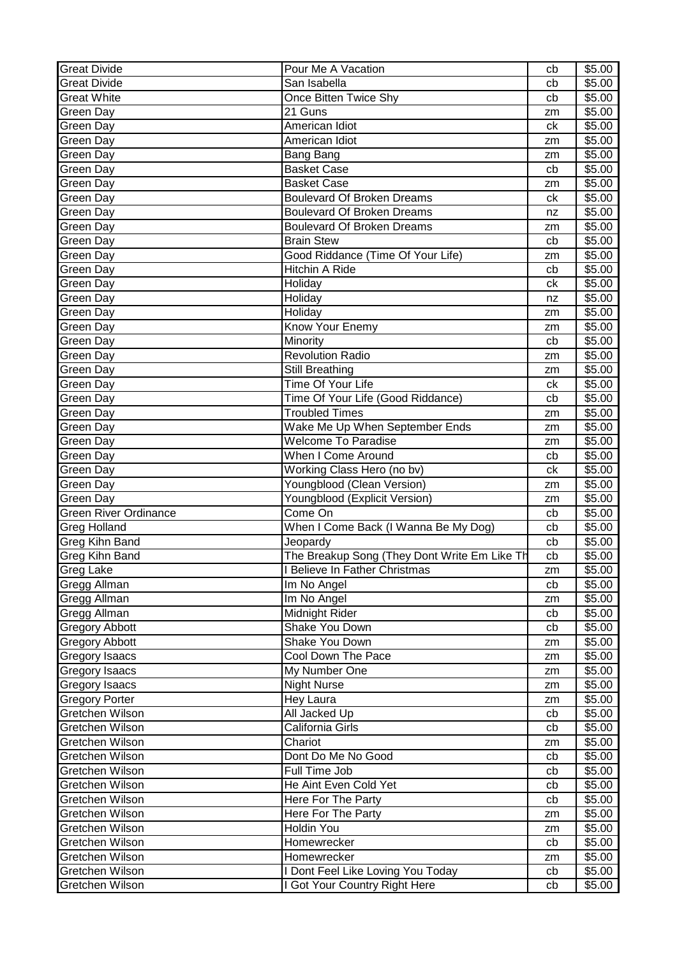| <b>Great Divide</b>          | Pour Me A Vacation                           | cb            | \$5.00 |
|------------------------------|----------------------------------------------|---------------|--------|
| <b>Great Divide</b>          | San Isabella                                 | cb            | \$5.00 |
| <b>Great White</b>           | Once Bitten Twice Shy                        | cb            | \$5.00 |
| <b>Green Day</b>             | 21 Guns                                      | zm            | \$5.00 |
| <b>Green Day</b>             | American Idiot                               | ck            | \$5.00 |
| <b>Green Day</b>             | American Idiot                               | zm            | \$5.00 |
| Green Day                    | Bang Bang                                    | zm            | \$5.00 |
| Green Day                    | <b>Basket Case</b>                           | cb            | \$5.00 |
| Green Day                    | <b>Basket Case</b>                           | zm            | \$5.00 |
| Green Day                    | <b>Boulevard Of Broken Dreams</b>            | ck            | \$5.00 |
| Green Day                    | <b>Boulevard Of Broken Dreams</b>            | nz            | \$5.00 |
| Green Day                    | <b>Boulevard Of Broken Dreams</b>            | zm            | \$5.00 |
| Green Day                    | <b>Brain Stew</b>                            | cb            | \$5.00 |
| Green Day                    | Good Riddance (Time Of Your Life)            | zm            | \$5.00 |
| <b>Green Day</b>             | Hitchin A Ride                               | cb            | \$5.00 |
| <b>Green Day</b>             | Holiday                                      | ck            | \$5.00 |
| Green Day                    | Holiday                                      | nz            | \$5.00 |
| Green Day                    | Holiday                                      | zm            | \$5.00 |
| Green Day                    | Know Your Enemy                              | zm            | \$5.00 |
| Green Day                    | Minority                                     | cb            | \$5.00 |
| Green Day                    | <b>Revolution Radio</b>                      | zm            | \$5.00 |
| Green Day                    | Still Breathing                              | zm            | \$5.00 |
| Green Day                    | Time Of Your Life                            | ck            | \$5.00 |
| Green Day                    | Time Of Your Life (Good Riddance)            | cb            | \$5.00 |
| <b>Green Day</b>             | <b>Troubled Times</b>                        | zm            | \$5.00 |
| Green Day                    | Wake Me Up When September Ends               | zm            | \$5.00 |
| Green Day                    | <b>Welcome To Paradise</b>                   | zm            | \$5.00 |
| Green Day                    | When I Come Around                           | cb            | \$5.00 |
| Green Day                    | Working Class Hero (no bv)                   | ck            | \$5.00 |
| Green Day                    | Youngblood (Clean Version)                   | zm            | \$5.00 |
| Green Day                    | Youngblood (Explicit Version)                | zm            | \$5.00 |
| <b>Green River Ordinance</b> | Come On                                      | cb            | \$5.00 |
| <b>Greg Holland</b>          | When I Come Back (I Wanna Be My Dog)         | cb            | \$5.00 |
| Greg Kihn Band               | Jeopardy                                     | cb            | \$5.00 |
| <b>Greg Kihn Band</b>        | The Breakup Song (They Dont Write Em Like Th | cb            | \$5.00 |
| <b>Greg Lake</b>             | I Believe In Father Christmas                | $\mathsf{zm}$ | \$5.00 |
| Gregg Allman                 | Im No Angel                                  | cb            | \$5.00 |
| Gregg Allman                 | Im No Angel                                  | zm            | \$5.00 |
| Gregg Allman                 | Midnight Rider                               | cb            | \$5.00 |
| <b>Gregory Abbott</b>        | Shake You Down                               | cb            | \$5.00 |
| <b>Gregory Abbott</b>        | Shake You Down                               | zm            | \$5.00 |
| Gregory Isaacs               | Cool Down The Pace                           | zm            | \$5.00 |
| <b>Gregory Isaacs</b>        | My Number One                                | zm            | \$5.00 |
| <b>Gregory Isaacs</b>        | <b>Night Nurse</b>                           | zm            | \$5.00 |
| <b>Gregory Porter</b>        | Hey Laura                                    | zm            | \$5.00 |
| Gretchen Wilson              | All Jacked Up                                | cb            | \$5.00 |
| Gretchen Wilson              | California Girls                             | cb            | \$5.00 |
| Gretchen Wilson              | Chariot                                      | zm            | \$5.00 |
| Gretchen Wilson              | Dont Do Me No Good                           | cb            | \$5.00 |
| Gretchen Wilson              | Full Time Job                                | cb            | \$5.00 |
| Gretchen Wilson              | He Aint Even Cold Yet                        | cb            | \$5.00 |
| Gretchen Wilson              | Here For The Party                           | cb            | \$5.00 |
| Gretchen Wilson              | Here For The Party                           | zm            | \$5.00 |
| Gretchen Wilson              | Holdin You                                   | zm            | \$5.00 |
| Gretchen Wilson              | Homewrecker                                  | cb            | \$5.00 |
| Gretchen Wilson              | Homewrecker                                  | zm            | \$5.00 |
| Gretchen Wilson              | I Dont Feel Like Loving You Today            | cb            | \$5.00 |
| Gretchen Wilson              | I Got Your Country Right Here                | cb            | \$5.00 |
|                              |                                              |               |        |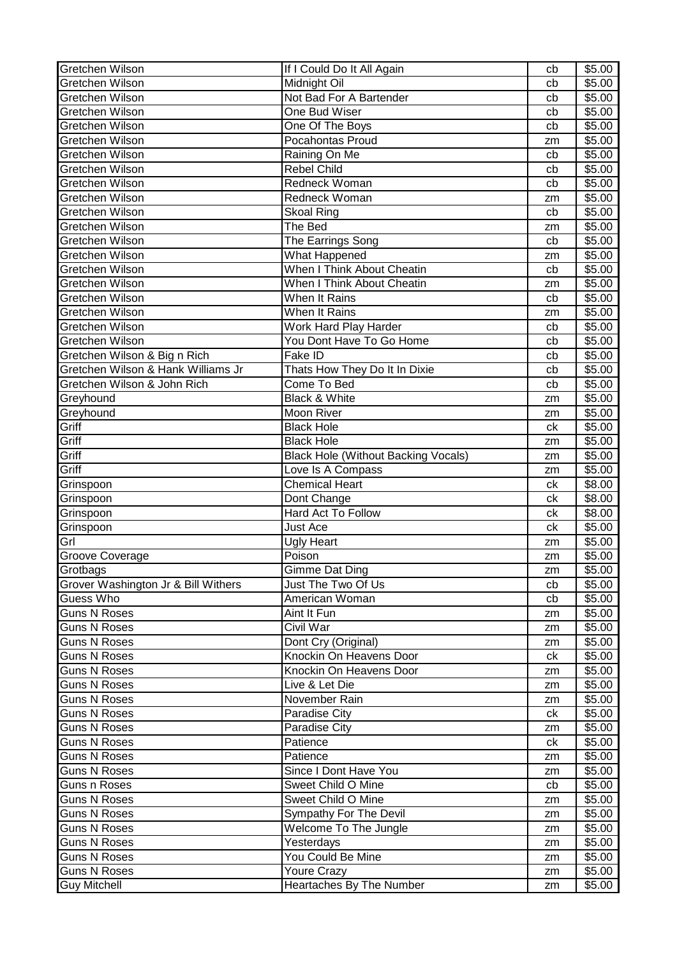| Gretchen Wilson                     | If I Could Do It All Again                 | cb            | \$5.00 |
|-------------------------------------|--------------------------------------------|---------------|--------|
| Gretchen Wilson                     | Midnight Oil                               | cb            | \$5.00 |
| Gretchen Wilson                     | Not Bad For A Bartender                    | cb            | \$5.00 |
| Gretchen Wilson                     | One Bud Wiser                              | cb            | \$5.00 |
| Gretchen Wilson                     | One Of The Boys                            | cb            | \$5.00 |
| Gretchen Wilson                     | Pocahontas Proud                           | zm            | \$5.00 |
| Gretchen Wilson                     | Raining On Me                              | cb            | \$5.00 |
| Gretchen Wilson                     | <b>Rebel Child</b>                         | cb            | \$5.00 |
| Gretchen Wilson                     | Redneck Woman                              | cb            | \$5.00 |
| Gretchen Wilson                     | Redneck Woman                              | zm            | \$5.00 |
| Gretchen Wilson                     | <b>Skoal Ring</b>                          | cb            | \$5.00 |
| Gretchen Wilson                     | The Bed                                    | zm            | \$5.00 |
| Gretchen Wilson                     | The Earrings Song                          | cb            | \$5.00 |
| Gretchen Wilson                     | What Happened                              | zm            | \$5.00 |
| Gretchen Wilson                     | When I Think About Cheatin                 | cb            | \$5.00 |
| Gretchen Wilson                     | When I Think About Cheatin                 | zm            | \$5.00 |
| Gretchen Wilson                     | When It Rains                              | cb            | \$5.00 |
| <b>Gretchen Wilson</b>              | When It Rains                              | zm            | \$5.00 |
| Gretchen Wilson                     | Work Hard Play Harder                      | cb            | \$5.00 |
| Gretchen Wilson                     | You Dont Have To Go Home                   | cb            | \$5.00 |
| Gretchen Wilson & Big n Rich        | Fake ID                                    | cb            | \$5.00 |
| Gretchen Wilson & Hank Williams Jr  | Thats How They Do It In Dixie              | cb            | \$5.00 |
| Gretchen Wilson & John Rich         | Come To Bed                                | cb            | \$5.00 |
| Greyhound                           | Black & White                              | zm            | \$5.00 |
| Greyhound                           | Moon River                                 |               | \$5.00 |
| Griff                               | <b>Black Hole</b>                          | zm<br>ck      | \$5.00 |
| Griff                               | <b>Black Hole</b>                          |               | \$5.00 |
| Griff                               |                                            | zm            |        |
| Griff                               | <b>Black Hole (Without Backing Vocals)</b> | zm            | \$5.00 |
|                                     | Love Is A Compass                          | zm            | \$5.00 |
| Grinspoon                           | <b>Chemical Heart</b>                      | ck            | \$8.00 |
| Grinspoon                           | Dont Change                                | ck            | \$8.00 |
| Grinspoon                           | Hard Act To Follow                         | ck            | \$8.00 |
| Grinspoon                           | <b>Just Ace</b>                            | ck            | \$5.00 |
| Grl                                 | Ugly Heart                                 | zm            | \$5.00 |
| Groove Coverage                     | Poison                                     | zm            | \$5.00 |
| <b>Grotbags</b>                     | Gimme Dat Ding                             | $\mathsf{zm}$ | \$5.00 |
| Grover Washington Jr & Bill Withers | Just The Two Of Us                         | cb            | \$5.00 |
| Guess Who                           | American Woman                             | cb            | \$5.00 |
| <b>Guns N Roses</b>                 | Aint It Fun                                | zm            | \$5.00 |
| Guns N Roses                        | Civil War                                  | zm            | \$5.00 |
| <b>Guns N Roses</b>                 | Dont Cry (Original)                        | zm            | \$5.00 |
| <b>Guns N Roses</b>                 | Knockin On Heavens Door                    | ck            | \$5.00 |
| <b>Guns N Roses</b>                 | Knockin On Heavens Door                    | zm            | \$5.00 |
| <b>Guns N Roses</b>                 | Live & Let Die                             | zm            | \$5.00 |
| <b>Guns N Roses</b>                 | November Rain                              | zm            | \$5.00 |
| <b>Guns N Roses</b>                 | Paradise City                              | ck            | \$5.00 |
| <b>Guns N Roses</b>                 | Paradise City                              | zm            | \$5.00 |
| <b>Guns N Roses</b>                 | Patience                                   | ck            | \$5.00 |
| <b>Guns N Roses</b>                 | Patience                                   | zm            | \$5.00 |
| Guns N Roses                        | Since I Dont Have You                      | zm            | \$5.00 |
| Guns n Roses                        | Sweet Child O Mine                         | cb            | \$5.00 |
| <b>Guns N Roses</b>                 | Sweet Child O Mine                         | zm            | \$5.00 |
| <b>Guns N Roses</b>                 | Sympathy For The Devil                     | zm            | \$5.00 |
| <b>Guns N Roses</b>                 | Welcome To The Jungle                      | zm            | \$5.00 |
| <b>Guns N Roses</b>                 | Yesterdays                                 | zm            | \$5.00 |
| <b>Guns N Roses</b>                 | You Could Be Mine                          | zm            | \$5.00 |
| <b>Guns N Roses</b>                 | Youre Crazy                                | zm            | \$5.00 |
|                                     | Heartaches By The Number                   |               |        |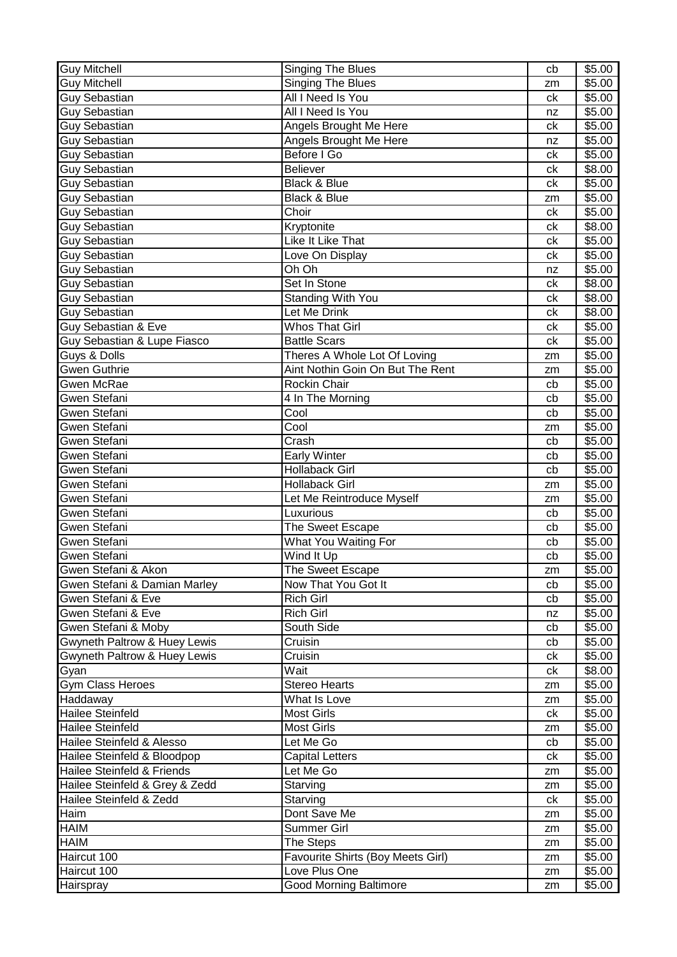| <b>Guy Mitchell</b>            | Singing The Blues                 | cb | \$5.00 |
|--------------------------------|-----------------------------------|----|--------|
| <b>Guy Mitchell</b>            | <b>Singing The Blues</b>          | zm | \$5.00 |
| <b>Guy Sebastian</b>           | All I Need Is You                 | ck | \$5.00 |
| <b>Guy Sebastian</b>           | All I Need Is You                 | nz | \$5.00 |
| <b>Guy Sebastian</b>           | Angels Brought Me Here            | ck | \$5.00 |
| <b>Guy Sebastian</b>           | Angels Brought Me Here            | nz | \$5.00 |
| <b>Guy Sebastian</b>           | Before I Go                       | ck | \$5.00 |
| <b>Guy Sebastian</b>           | <b>Believer</b>                   | сk | \$8.00 |
| <b>Guy Sebastian</b>           | <b>Black &amp; Blue</b>           | ck | \$5.00 |
| <b>Guy Sebastian</b>           | Black & Blue                      | zm | \$5.00 |
| <b>Guy Sebastian</b>           | Choir                             | ck | \$5.00 |
| <b>Guy Sebastian</b>           | Kryptonite                        | сk | \$8.00 |
| <b>Guy Sebastian</b>           | Like It Like That                 | сk | \$5.00 |
| <b>Guy Sebastian</b>           | Love On Display                   | ck | \$5.00 |
| <b>Guy Sebastian</b>           | Oh Oh                             | nz | \$5.00 |
| <b>Guy Sebastian</b>           | Set In Stone                      | ck | \$8.00 |
| Guy Sebastian                  | Standing With You                 | ck | \$8.00 |
| <b>Guy Sebastian</b>           | Let Me Drink                      | сk | \$8.00 |
| <b>Guy Sebastian &amp; Eve</b> | <b>Whos That Girl</b>             | сk | \$5.00 |
| Guy Sebastian & Lupe Fiasco    | <b>Battle Scars</b>               | ck | \$5.00 |
| Guys & Dolls                   | Theres A Whole Lot Of Loving      | zm | \$5.00 |
| Gwen Guthrie                   | Aint Nothin Goin On But The Rent  | zm | \$5.00 |
| Gwen McRae                     | Rockin Chair                      | cb | \$5.00 |
| Gwen Stefani                   | 4 In The Morning                  | cb | \$5.00 |
| Gwen Stefani                   | Cool                              | cb | \$5.00 |
| Gwen Stefani                   | Cool                              | zm | \$5.00 |
| Gwen Stefani                   | Crash                             | cb | \$5.00 |
| Gwen Stefani                   | <b>Early Winter</b>               | cb | \$5.00 |
| Gwen Stefani                   | <b>Hollaback Girl</b>             | cb | \$5.00 |
| Gwen Stefani                   | Hollaback Girl                    | zm | \$5.00 |
| Gwen Stefani                   | Let Me Reintroduce Myself         | zm | \$5.00 |
| Gwen Stefani                   | Luxurious                         | cb | \$5.00 |
| Gwen Stefani                   | The Sweet Escape                  | cb | \$5.00 |
| Gwen Stefani                   | What You Waiting For              | cb | \$5.00 |
| <b>Gwen Stefani</b>            | Wind It Up                        | cb | \$5.00 |
| Gwen Stefani & Akon            | The Sweet Escape                  | zm | \$5.00 |
| Gwen Stefani & Damian Marley   | Now That You Got It               | cb | \$5.00 |
| Gwen Stefani & Eve             | Rich Girl                         | cb | \$5.00 |
| Gwen Stefani & Eve             | <b>Rich Girl</b>                  | nz | \$5.00 |
| Gwen Stefani & Moby            | South Side                        | cb | \$5.00 |
| Gwyneth Paltrow & Huey Lewis   | Cruisin                           | cb | \$5.00 |
| Gwyneth Paltrow & Huey Lewis   | Cruisin                           | ck | \$5.00 |
| Gyan                           | Wait                              | сk | \$8.00 |
| <b>Gym Class Heroes</b>        | <b>Stereo Hearts</b>              | zm | \$5.00 |
| Haddaway                       | What Is Love                      | zm | \$5.00 |
| Hailee Steinfeld               | <b>Most Girls</b>                 | ck | \$5.00 |
| <b>Hailee Steinfeld</b>        | Most Girls                        | zm | \$5.00 |
| Hailee Steinfeld & Alesso      | Let Me Go                         | cb | \$5.00 |
| Hailee Steinfeld & Bloodpop    | <b>Capital Letters</b>            | ck | \$5.00 |
| Hailee Steinfeld & Friends     | Let Me Go                         | zm | \$5.00 |
| Hailee Steinfeld & Grey & Zedd | Starving                          | zm | \$5.00 |
| Hailee Steinfeld & Zedd        | Starving                          | ck | \$5.00 |
| Haim                           | Dont Save Me                      | zm | \$5.00 |
| <b>HAIM</b>                    | Summer Girl                       | zm | \$5.00 |
| <b>HAIM</b>                    | The Steps                         | zm | \$5.00 |
| Haircut 100                    | Favourite Shirts (Boy Meets Girl) | zm | \$5.00 |
| Haircut 100                    | Love Plus One                     | zm | \$5.00 |
| Hairspray                      | <b>Good Morning Baltimore</b>     | zm | \$5.00 |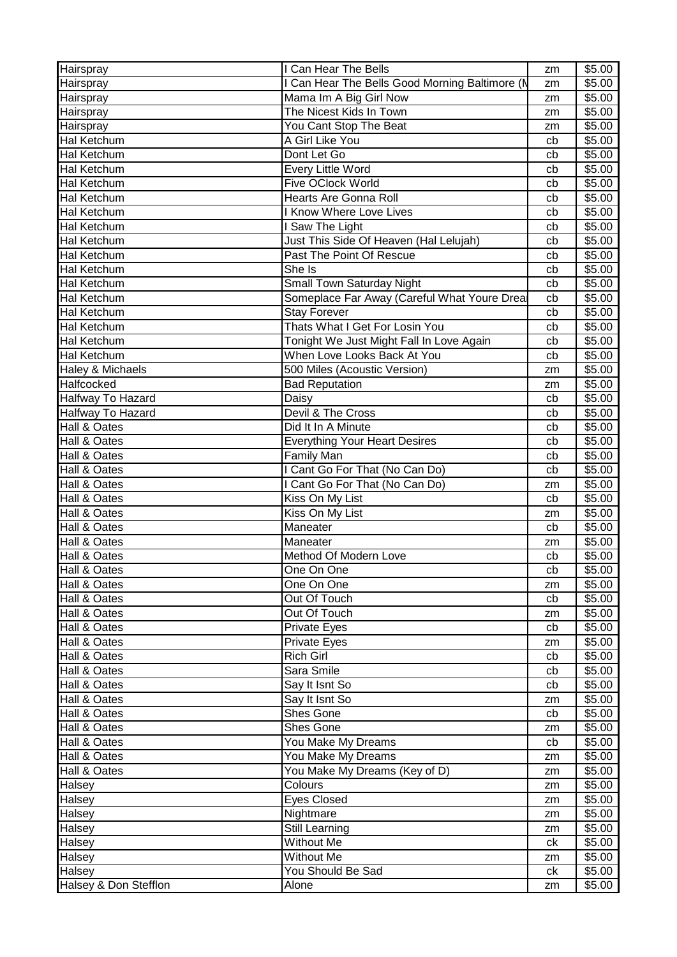| Hairspray                | I Can Hear The Bells                           | zm | \$5.00             |
|--------------------------|------------------------------------------------|----|--------------------|
| Hairspray                | I Can Hear The Bells Good Morning Baltimore (N | zm | \$5.00             |
| Hairspray                | Mama Im A Big Girl Now                         | zm | \$5.00             |
| Hairspray                | The Nicest Kids In Town                        | zm | \$5.00             |
| Hairspray                | You Cant Stop The Beat                         | zm | \$5.00             |
| Hal Ketchum              | A Girl Like You                                | cb | \$5.00             |
| Hal Ketchum              | Dont Let Go                                    | cb | \$5.00             |
| Hal Ketchum              | <b>Every Little Word</b>                       | cb | \$5.00             |
| <b>Hal Ketchum</b>       | Five OClock World                              | cb | \$5.00             |
| <b>Hal Ketchum</b>       | <b>Hearts Are Gonna Roll</b>                   | cb | \$5.00             |
| Hal Ketchum              | <b>I Know Where Love Lives</b>                 | cb | \$5.00             |
| <b>Hal Ketchum</b>       | I Saw The Light                                | cb | \$5.00             |
| <b>Hal Ketchum</b>       | Just This Side Of Heaven (Hal Lelujah)         | cb | \$5.00             |
| Hal Ketchum              | Past The Point Of Rescue                       | cb | \$5.00             |
| Hal Ketchum              | She Is                                         | cb | \$5.00             |
| Hal Ketchum              | Small Town Saturday Night                      | cb | \$5.00             |
| Hal Ketchum              | Someplace Far Away (Careful What Youre Drea    | cb | \$5.00             |
| <b>Hal Ketchum</b>       | <b>Stay Forever</b>                            | cb | \$5.00             |
| Hal Ketchum              | Thats What I Get For Losin You                 | cb | \$5.00             |
| Hal Ketchum              | Tonight We Just Might Fall In Love Again       | cb | \$5.00             |
| Hal Ketchum              | When Love Looks Back At You                    | cb | \$5.00             |
| Haley & Michaels         | 500 Miles (Acoustic Version)                   | zm | \$5.00             |
| Halfcocked               | <b>Bad Reputation</b>                          | zm | \$5.00             |
| <b>Halfway To Hazard</b> | Daisy                                          | cb | \$5.00             |
| Halfway To Hazard        | Devil & The Cross                              | cb | $\overline{$}5.00$ |
| Hall & Oates             | Did It In A Minute                             | cb | \$5.00             |
| Hall & Oates             | <b>Everything Your Heart Desires</b>           | cb | \$5.00             |
| Hall & Oates             | <b>Family Man</b>                              | cb | \$5.00             |
| Hall & Oates             | I Cant Go For That (No Can Do)                 | cb | \$5.00             |
| Hall & Oates             | I Cant Go For That (No Can Do)                 | zm | \$5.00             |
| Hall & Oates             | Kiss On My List                                | cb | \$5.00             |
| Hall & Oates             | Kiss On My List                                | zm | \$5.00             |
| Hall & Oates             | Maneater                                       | cb | \$5.00             |
| Hall & Oates             | Maneater                                       | zm | \$5.00             |
| Hall & Oates             | Method Of Modern Love                          | cb | \$5.00             |
| Hall & Oates             | One On One                                     | cb | \$5.00             |
| Hall & Oates             | One On One                                     | zm | \$5.00             |
| Hall & Oates             | Out Of Touch                                   | cb | \$5.00             |
| Hall & Oates             | Out Of Touch                                   | zm | \$5.00             |
| Hall & Oates             | Private Eyes                                   | cb | \$5.00             |
| Hall & Oates             | Private Eyes                                   | zm | \$5.00             |
| Hall & Oates             | Rich Girl                                      | cb | \$5.00             |
| Hall & Oates             | Sara Smile                                     | cb | \$5.00             |
| Hall & Oates             | Say It Isnt So                                 | cb | \$5.00             |
| Hall & Oates             | Say It Isnt So                                 | zm | \$5.00             |
| Hall & Oates             | Shes Gone                                      | cb | \$5.00             |
| Hall & Oates             | <b>Shes Gone</b>                               | zm | \$5.00             |
| Hall & Oates             | You Make My Dreams                             | cb | \$5.00             |
| Hall & Oates             | You Make My Dreams                             | zm | \$5.00             |
| Hall & Oates             | You Make My Dreams (Key of D)                  | zm | \$5.00             |
| Halsey                   | Colours                                        | zm | \$5.00             |
| Halsey                   | <b>Eyes Closed</b>                             | zm | \$5.00             |
| Halsey                   | Nightmare                                      | zm | \$5.00             |
| Halsey                   | Still Learning                                 | zm | \$5.00             |
| Halsey                   | Without Me                                     | ck | \$5.00             |
| Halsey                   | Without Me                                     | zm | \$5.00             |
| Halsey                   | You Should Be Sad                              | сk | \$5.00             |
| Halsey & Don Stefflon    | Alone                                          | zm | \$5.00             |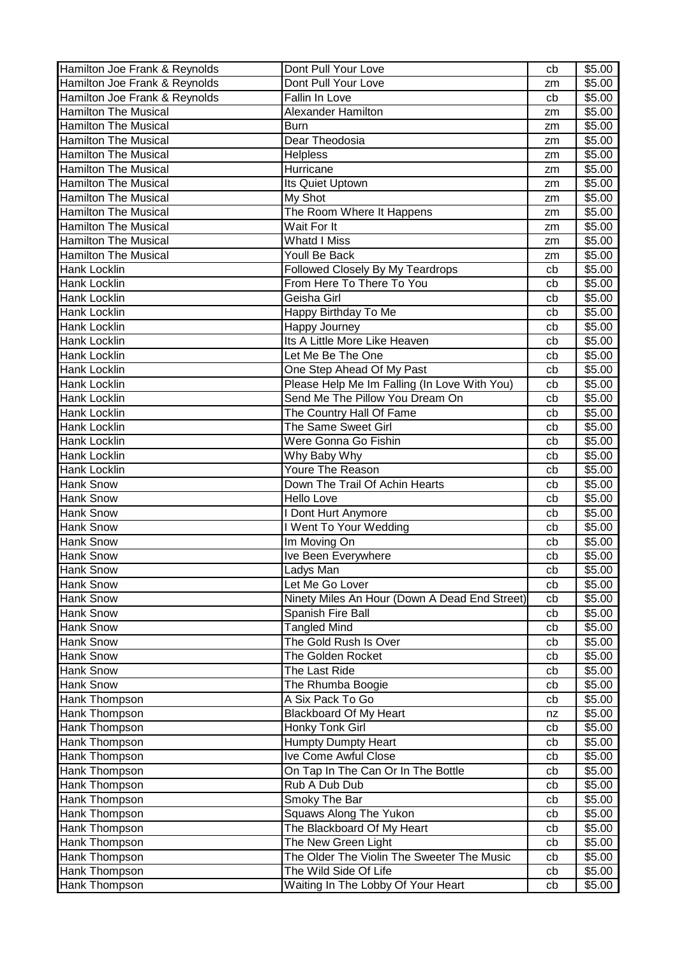| Hamilton Joe Frank & Reynolds | Dont Pull Your Love                           | cb | \$5.00             |
|-------------------------------|-----------------------------------------------|----|--------------------|
| Hamilton Joe Frank & Reynolds | Dont Pull Your Love                           | zm | \$5.00             |
| Hamilton Joe Frank & Reynolds | <b>Fallin In Love</b>                         | cb | \$5.00             |
| <b>Hamilton The Musical</b>   | <b>Alexander Hamilton</b>                     | zm | \$5.00             |
| <b>Hamilton The Musical</b>   | <b>Burn</b>                                   | zm | \$5.00             |
| <b>Hamilton The Musical</b>   | Dear Theodosia                                | zm | \$5.00             |
| <b>Hamilton The Musical</b>   | <b>Helpless</b>                               | zm | \$5.00             |
| <b>Hamilton The Musical</b>   | Hurricane                                     | zm | \$5.00             |
| <b>Hamilton The Musical</b>   | Its Quiet Uptown                              | zm | \$5.00             |
| <b>Hamilton The Musical</b>   | My Shot                                       | zm | \$5.00             |
| <b>Hamilton The Musical</b>   | The Room Where It Happens                     | zm | \$5.00             |
| <b>Hamilton The Musical</b>   | Wait For It                                   | zm | \$5.00             |
| <b>Hamilton The Musical</b>   | Whatd I Miss                                  | zm | \$5.00             |
| <b>Hamilton The Musical</b>   | Youll Be Back                                 | zm | \$5.00             |
| Hank Locklin                  | Followed Closely By My Teardrops              | cb | \$5.00             |
| Hank Locklin                  | From Here To There To You                     | cb | \$5.00             |
| <b>Hank Locklin</b>           | Geisha Girl                                   | cb | \$5.00             |
| Hank Locklin                  | Happy Birthday To Me                          | cb | \$5.00             |
| <b>Hank Locklin</b>           | Happy Journey                                 | cb | \$5.00             |
| <b>Hank Locklin</b>           | Its A Little More Like Heaven                 | cb | $\overline{$}5.00$ |
| Hank Locklin                  | Let Me Be The One                             | cb | \$5.00             |
| <b>Hank Locklin</b>           | One Step Ahead Of My Past                     | cb | \$5.00             |
| <b>Hank Locklin</b>           | Please Help Me Im Falling (In Love With You)  | cb | \$5.00             |
| <b>Hank Locklin</b>           | Send Me The Pillow You Dream On               | cb | \$5.00             |
| Hank Locklin                  | The Country Hall Of Fame                      | cb | \$5.00             |
| Hank Locklin                  | The Same Sweet Girl                           | cb | \$5.00             |
| Hank Locklin                  | Were Gonna Go Fishin                          | cb | $\overline{$}5.00$ |
| Hank Locklin                  | Why Baby Why                                  | cb | \$5.00             |
| <b>Hank Locklin</b>           | Youre The Reason                              | cb | \$5.00             |
| Hank Snow                     | Down The Trail Of Achin Hearts                | cb | \$5.00             |
| Hank Snow                     | <b>Hello Love</b>                             | cb | \$5.00             |
| <b>Hank Snow</b>              | I Dont Hurt Anymore                           | cb | \$5.00             |
| Hank Snow                     | I Went To Your Wedding                        | cb | \$5.00             |
| <b>Hank Snow</b>              | Im Moving On                                  | cb | \$5.00             |
| Hank Snow                     | Ive Been Everywhere                           | cb | \$5.00             |
| Hank Snow                     | Ladys Man                                     | cb | \$5.00             |
| Hank Snow                     | Let Me Go Lover                               | cb | \$5.00             |
| Hank Snow                     | Ninety Miles An Hour (Down A Dead End Street) | cb | \$5.00             |
| Hank Snow                     | Spanish Fire Ball                             | cb | \$5.00             |
| Hank Snow                     | <b>Tangled Mind</b>                           | cb | \$5.00             |
| Hank Snow                     | The Gold Rush Is Over                         | cb | \$5.00             |
| Hank Snow                     | The Golden Rocket                             | cb | \$5.00             |
| Hank Snow                     | The Last Ride                                 | cb | \$5.00             |
| Hank Snow                     | The Rhumba Boogie                             | cb | \$5.00             |
| Hank Thompson                 | A Six Pack To Go                              | cb | \$5.00             |
| Hank Thompson                 | <b>Blackboard Of My Heart</b>                 | nz | \$5.00             |
| Hank Thompson                 | Honky Tonk Girl                               | cb | \$5.00             |
| Hank Thompson                 | <b>Humpty Dumpty Heart</b>                    | cb | \$5.00             |
| Hank Thompson                 | Ive Come Awful Close                          | cb | \$5.00             |
| Hank Thompson                 | On Tap In The Can Or In The Bottle            | cb | \$5.00             |
| Hank Thompson                 | Rub A Dub Dub                                 | cb | \$5.00             |
| Hank Thompson                 | Smoky The Bar                                 | cb | \$5.00             |
| Hank Thompson                 | Squaws Along The Yukon                        | cb | \$5.00             |
| Hank Thompson                 | The Blackboard Of My Heart                    | cb | \$5.00             |
| Hank Thompson                 | The New Green Light                           | cb | \$5.00             |
| Hank Thompson                 | The Older The Violin The Sweeter The Music    | cb | \$5.00             |
| Hank Thompson                 | The Wild Side Of Life                         | cb | \$5.00             |
| Hank Thompson                 | Waiting In The Lobby Of Your Heart            | cb | \$5.00             |
|                               |                                               |    |                    |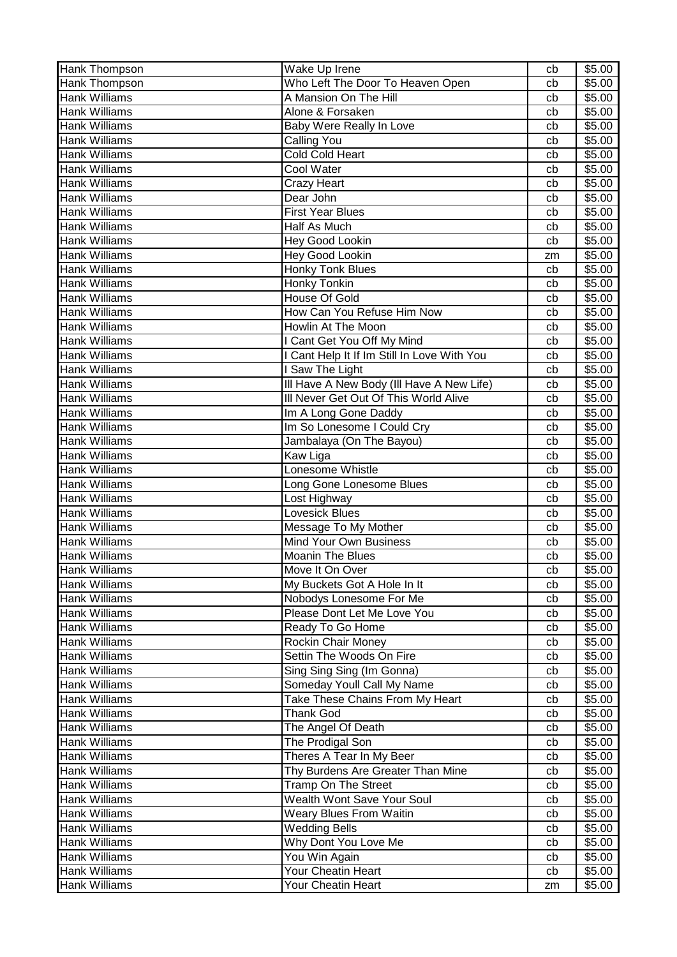| Hank Thompson        | Wake Up Irene                               | cb | \$5.00             |
|----------------------|---------------------------------------------|----|--------------------|
| Hank Thompson        | Who Left The Door To Heaven Open            | cb | \$5.00             |
| <b>Hank Williams</b> | A Mansion On The Hill                       | cb | \$5.00             |
| <b>Hank Williams</b> | Alone & Forsaken                            | cb | \$5.00             |
| <b>Hank Williams</b> | Baby Were Really In Love                    | cb | \$5.00             |
| <b>Hank Williams</b> | <b>Calling You</b>                          | cb | \$5.00             |
| <b>Hank Williams</b> | <b>Cold Cold Heart</b>                      | cb | \$5.00             |
| <b>Hank Williams</b> | Cool Water                                  | cb | \$5.00             |
| <b>Hank Williams</b> | Crazy Heart                                 | cb | \$5.00             |
| <b>Hank Williams</b> | Dear John                                   | cb | $\overline{$}5.00$ |
| <b>Hank Williams</b> | <b>First Year Blues</b>                     | cb | \$5.00             |
| <b>Hank Williams</b> | Half As Much                                | cb | \$5.00             |
| <b>Hank Williams</b> | <b>Hey Good Lookin</b>                      | cb | \$5.00             |
| <b>Hank Williams</b> | <b>Hey Good Lookin</b>                      | zm | \$5.00             |
| <b>Hank Williams</b> | <b>Honky Tonk Blues</b>                     | cb | \$5.00             |
| <b>Hank Williams</b> | Honky Tonkin                                | cb | \$5.00             |
| <b>Hank Williams</b> | House Of Gold                               | cb | \$5.00             |
| <b>Hank Williams</b> | How Can You Refuse Him Now                  | cb | \$5.00             |
| <b>Hank Williams</b> | <b>Howlin At The Moon</b>                   | cb | \$5.00             |
| <b>Hank Williams</b> | I Cant Get You Off My Mind                  | cb | \$5.00             |
| <b>Hank Williams</b> | I Cant Help It If Im Still In Love With You | cb | \$5.00             |
| <b>Hank Williams</b> | <b>Saw The Light</b>                        | cb | \$5.00             |
| <b>Hank Williams</b> | Ill Have A New Body (Ill Have A New Life)   | cb | \$5.00             |
| <b>Hank Williams</b> | III Never Get Out Of This World Alive       | cb | \$5.00             |
| <b>Hank Williams</b> | Im A Long Gone Daddy                        | cb | \$5.00             |
| <b>Hank Williams</b> | Im So Lonesome I Could Cry                  | cb | \$5.00             |
| <b>Hank Williams</b> | Jambalaya (On The Bayou)                    | cb | \$5.00             |
| <b>Hank Williams</b> | Kaw Liga                                    | cb | \$5.00             |
| <b>Hank Williams</b> | Lonesome Whistle                            | cb | \$5.00             |
| <b>Hank Williams</b> | Long Gone Lonesome Blues                    | cb | \$5.00             |
| <b>Hank Williams</b> | Lost Highway                                | cb | \$5.00             |
| <b>Hank Williams</b> | <b>Lovesick Blues</b>                       | cb | \$5.00             |
| <b>Hank Williams</b> | Message To My Mother                        | cb | \$5.00             |
| <b>Hank Williams</b> | <b>Mind Your Own Business</b>               | cb | \$5.00             |
| <b>Hank Williams</b> | <b>Moanin The Blues</b>                     | cb | $\overline{$}5.00$ |
| <b>Hank Williams</b> | Move It On Over                             | cb | \$5.00             |
| <b>Hank Williams</b> | My Buckets Got A Hole In It                 | cb | \$5.00             |
| <b>Hank Williams</b> | Nobodys Lonesome For Me                     | cb | \$5.00             |
| <b>Hank Williams</b> | Please Dont Let Me Love You                 | cb | \$5.00             |
| <b>Hank Williams</b> | Ready To Go Home                            | cb | \$5.00             |
| <b>Hank Williams</b> | Rockin Chair Money                          | cb | \$5.00             |
| <b>Hank Williams</b> | Settin The Woods On Fire                    | cb | \$5.00             |
| <b>Hank Williams</b> | Sing Sing Sing (Im Gonna)                   | cb | \$5.00             |
| <b>Hank Williams</b> | Someday Youll Call My Name                  | cb | \$5.00             |
| <b>Hank Williams</b> | Take These Chains From My Heart             | cb | \$5.00             |
| <b>Hank Williams</b> | <b>Thank God</b>                            | cb | \$5.00             |
| <b>Hank Williams</b> | The Angel Of Death                          | cb | \$5.00             |
| <b>Hank Williams</b> | The Prodigal Son                            | cb | \$5.00             |
| <b>Hank Williams</b> | Theres A Tear In My Beer                    | cb | \$5.00             |
| <b>Hank Williams</b> | Thy Burdens Are Greater Than Mine           | cb | \$5.00             |
| <b>Hank Williams</b> | Tramp On The Street                         | cb | \$5.00             |
| <b>Hank Williams</b> | Wealth Wont Save Your Soul                  | cb | \$5.00             |
| <b>Hank Williams</b> | <b>Weary Blues From Waitin</b>              | cb | \$5.00             |
| <b>Hank Williams</b> | <b>Wedding Bells</b>                        | cb | \$5.00             |
| <b>Hank Williams</b> | Why Dont You Love Me                        | cb | \$5.00             |
| <b>Hank Williams</b> | You Win Again                               | cb | \$5.00             |
| <b>Hank Williams</b> | Your Cheatin Heart                          | cb | \$5.00             |
| <b>Hank Williams</b> | Your Cheatin Heart                          | zm | \$5.00             |
|                      |                                             |    |                    |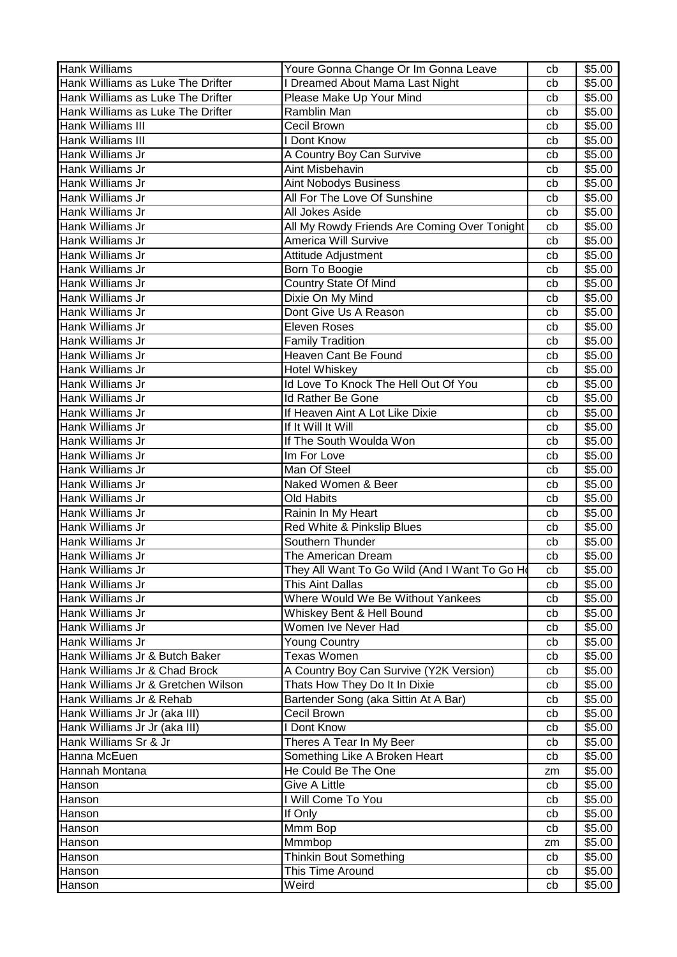| <b>Hank Williams</b>               | Youre Gonna Change Or Im Gonna Leave          | cb | \$5.00             |
|------------------------------------|-----------------------------------------------|----|--------------------|
| Hank Williams as Luke The Drifter  | I Dreamed About Mama Last Night               | cb | \$5.00             |
| Hank Williams as Luke The Drifter  | Please Make Up Your Mind                      | cb | \$5.00             |
| Hank Williams as Luke The Drifter  | Ramblin Man                                   | cb | \$5.00             |
| Hank Williams III                  | Cecil Brown                                   | cb | \$5.00             |
| Hank Williams III                  | I Dont Know                                   | cb | \$5.00             |
| Hank Williams Jr                   | A Country Boy Can Survive                     | cb | \$5.00             |
| Hank Williams Jr                   | Aint Misbehavin                               | cb | \$5.00             |
| Hank Williams Jr                   | Aint Nobodys Business                         | cb | \$5.00             |
| Hank Williams Jr                   | All For The Love Of Sunshine                  | cb | \$5.00             |
| Hank Williams Jr                   | All Jokes Aside                               | cb | \$5.00             |
| Hank Williams Jr                   | All My Rowdy Friends Are Coming Over Tonight  | cb | \$5.00             |
| Hank Williams Jr                   | America Will Survive                          | cb | \$5.00             |
| Hank Williams Jr                   | Attitude Adjustment                           | cb | \$5.00             |
| Hank Williams Jr                   | Born To Boogie                                | cb | \$5.00             |
| Hank Williams Jr                   | <b>Country State Of Mind</b>                  | cb | \$5.00             |
| Hank Williams Jr                   | Dixie On My Mind                              | cb | \$5.00             |
| Hank Williams Jr                   | Dont Give Us A Reason                         | cb | \$5.00             |
| Hank Williams Jr                   | Eleven Roses                                  | cb | \$5.00             |
| Hank Williams Jr                   | <b>Family Tradition</b>                       | cb | \$5.00             |
| Hank Williams Jr                   | Heaven Cant Be Found                          | cb | \$5.00             |
| Hank Williams Jr                   | <b>Hotel Whiskey</b>                          | cb | \$5.00             |
| <b>Hank Williams Jr</b>            | Id Love To Knock The Hell Out Of You          | cb | $\overline{$}5.00$ |
| Hank Williams Jr                   | Id Rather Be Gone                             | cb | \$5.00             |
| Hank Williams Jr                   | If Heaven Aint A Lot Like Dixie               | cb | \$5.00             |
| Hank Williams Jr                   | If It Will It Will                            | cb | \$5.00             |
| Hank Williams Jr                   | If The South Woulda Won                       | cb | \$5.00             |
| Hank Williams Jr                   | Im For Love                                   | cb | \$5.00             |
| Hank Williams Jr                   | Man Of Steel                                  | cb | \$5.00             |
| Hank Williams Jr                   | Naked Women & Beer                            | cb | \$5.00             |
| Hank Williams Jr                   | <b>Old Habits</b>                             | cb | \$5.00             |
| Hank Williams Jr                   | Rainin In My Heart                            | cb | \$5.00             |
| Hank Williams Jr                   | Red White & Pinkslip Blues                    | cb | \$5.00             |
| Hank Williams Jr                   | Southern Thunder                              | cb | \$5.00             |
| Hank Williams Jr                   | The American Dream                            | cb | \$5.00             |
| Hank Williams Jr                   | They All Want To Go Wild (And I Want To Go Ho | cb | \$5.00             |
| Hank Williams Jr                   | This Aint Dallas                              | cb | \$5.00             |
| Hank Williams Jr                   | Where Would We Be Without Yankees             | cb | \$5.00             |
| Hank Williams Jr                   | Whiskey Bent & Hell Bound                     | cb | \$5.00             |
| Hank Williams Jr                   | Women Ive Never Had                           | cb | \$5.00             |
| Hank Williams Jr                   | <b>Young Country</b>                          | cb | \$5.00             |
| Hank Williams Jr & Butch Baker     | <b>Texas Women</b>                            | cb | \$5.00             |
| Hank Williams Jr & Chad Brock      | A Country Boy Can Survive (Y2K Version)       | cb | \$5.00             |
| Hank Williams Jr & Gretchen Wilson | Thats How They Do It In Dixie                 | cb | \$5.00             |
| Hank Williams Jr & Rehab           | Bartender Song (aka Sittin At A Bar)          | cb | \$5.00             |
| Hank Williams Jr Jr (aka III)      | Cecil Brown                                   | cb | \$5.00             |
| Hank Williams Jr Jr (aka III)      | I Dont Know                                   | cb | \$5.00             |
| Hank Williams Sr & Jr              | Theres A Tear In My Beer                      | cb | \$5.00             |
| Hanna McEuen                       | Something Like A Broken Heart                 | cb | \$5.00             |
| Hannah Montana                     | He Could Be The One                           | zm | \$5.00             |
| Hanson                             | Give A Little                                 | cb | \$5.00             |
| Hanson                             | I Will Come To You                            | cb | \$5.00             |
| Hanson                             | If Only                                       | cb | \$5.00             |
| Hanson                             | Mmm Bop                                       | cb | \$5.00             |
| Hanson                             | Mmmbop                                        | zm | \$5.00             |
| Hanson                             | <b>Thinkin Bout Something</b>                 | cb | \$5.00             |
| Hanson                             | This Time Around                              | cb | \$5.00             |
| Hanson                             | Weird                                         | cb | \$5.00             |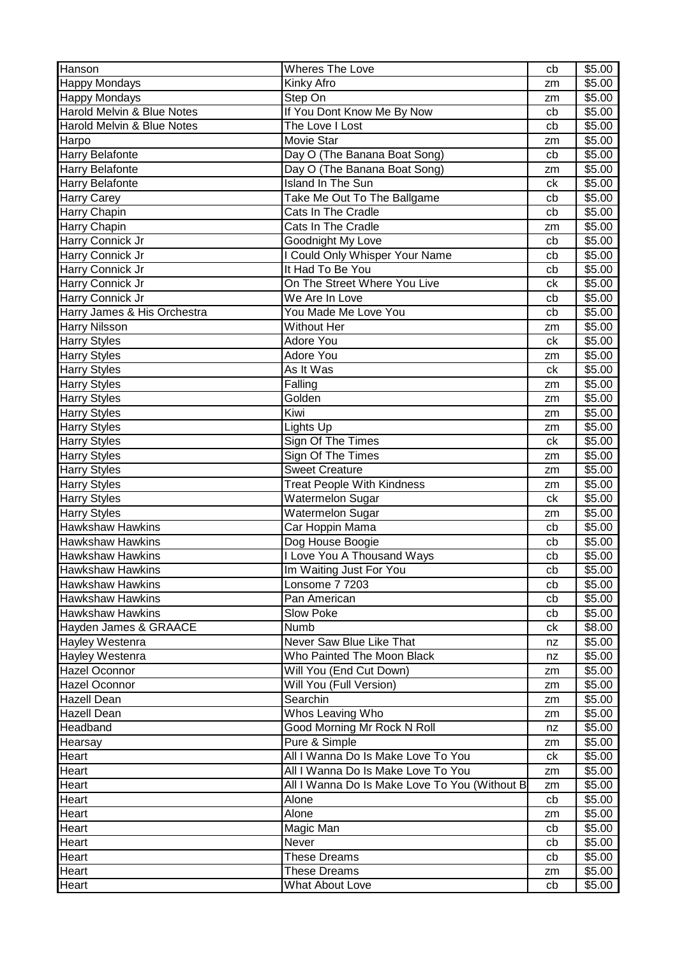| <b>Happy Mondays</b><br>Kinky Afro<br>\$5.00<br>zm<br><b>Happy Mondays</b><br>Step On<br>\$5.00<br>zm<br>If You Dont Know Me By Now<br>Harold Melvin & Blue Notes<br>\$5.00<br>cb<br>The Love I Lost<br>Harold Melvin & Blue Notes<br>\$5.00<br>cb<br>Movie Star<br>\$5.00<br>Harpo<br>zm<br><b>Harry Belafonte</b><br>Day O (The Banana Boat Song)<br>\$5.00<br>cb<br>Day O (The Banana Boat Song)<br>\$5.00<br><b>Harry Belafonte</b><br>zm<br><b>Island In The Sun</b><br>\$5.00<br><b>Harry Belafonte</b><br>ck<br>Take Me Out To The Ballgame<br><b>Harry Carey</b><br>cb<br>\$5.00<br>Harry Chapin<br>Cats In The Cradle<br>\$5.00<br>cb<br>Cats In The Cradle<br>\$5.00<br>Harry Chapin<br>zm<br>Harry Connick Jr<br>Goodnight My Love<br>\$5.00<br>cb<br>I Could Only Whisper Your Name<br>Harry Connick Jr<br>\$5.00<br>cb<br>It Had To Be You<br>Harry Connick Jr<br>\$5.00<br>cb<br>On The Street Where You Live<br>Harry Connick Jr<br>\$5.00<br>ck<br>Harry Connick Jr<br>We Are In Love<br>\$5.00<br>cb<br>You Made Me Love You<br>Harry James & His Orchestra<br>\$5.00<br>cb<br>Without Her<br><b>Harry Nilsson</b><br>\$5.00<br>zm<br><b>Adore You</b><br><b>Harry Styles</b><br>ck<br>\$5.00<br>Adore You<br><b>Harry Styles</b><br>\$5.00<br>zm<br>As It Was<br>\$5.00<br><b>Harry Styles</b><br>ck<br>Falling<br>\$5.00<br><b>Harry Styles</b><br>zm<br>Golden<br>\$5.00<br><b>Harry Styles</b><br>zm<br>Kiwi<br><b>Harry Styles</b><br>\$5.00<br>zm<br>Lights Up<br>\$5.00<br><b>Harry Styles</b><br>zm<br>Sign Of The Times<br>\$5.00<br><b>Harry Styles</b><br>ck<br>Sign Of The Times<br>\$5.00<br><b>Harry Styles</b><br>zm<br><b>Sweet Creature</b><br>\$5.00<br><b>Harry Styles</b><br>zm<br><b>Treat People With Kindness</b><br>\$5.00<br><b>Harry Styles</b><br>zm<br>Watermelon Sugar<br><b>Harry Styles</b><br>\$5.00<br>ck<br>Watermelon Sugar<br>\$5.00<br><b>Harry Styles</b><br>zm<br><b>Hawkshaw Hawkins</b><br>Car Hoppin Mama<br>\$5.00<br>cb<br><b>Hawkshaw Hawkins</b><br>Dog House Boogie<br>\$5.00<br>cb<br><b>Hawkshaw Hawkins</b><br>I Love You A Thousand Ways<br>\$5.00<br>cb<br>Hawkshaw Hawkins<br>\$5.00<br>Im Waiting Just For You<br>cb<br><b>Hawkshaw Hawkins</b><br>\$5.00<br>Lonsome 7 7203<br>cb<br><b>Hawkshaw Hawkins</b><br>Pan American<br>\$5.00<br>cb<br><b>Hawkshaw Hawkins</b><br>\$5.00<br><b>Slow Poke</b><br>cb<br>Hayden James & GRAACE<br>Numb<br>\$8.00<br>сk<br>Hayley Westenra<br>Never Saw Blue Like That<br>\$5.00<br>nz<br>Hayley Westenra<br>Who Painted The Moon Black<br>\$5.00<br>nz<br><b>Hazel Oconnor</b><br>Will You (End Cut Down)<br>\$5.00<br>zm<br>Will You (Full Version)<br>\$5.00<br><b>Hazel Oconnor</b><br>zm<br>Searchin<br><b>Hazell Dean</b><br>\$5.00<br>zm<br>Whos Leaving Who<br>\$5.00<br><b>Hazell Dean</b><br>zm<br>Good Morning Mr Rock N Roll<br>\$5.00<br>Headband<br>nz<br>Pure & Simple<br>\$5.00<br>Hearsay<br>zm<br>All I Wanna Do Is Make Love To You<br>\$5.00<br>ck<br>Heart<br>All I Wanna Do Is Make Love To You<br>Heart<br>\$5.00<br>zm<br>Heart<br>All I Wanna Do Is Make Love To You (Without B<br>\$5.00<br>zm<br>\$5.00<br>Heart<br>Alone<br>cb<br>Alone<br>Heart<br>\$5.00<br>zm<br>Magic Man<br>\$5.00<br>Heart<br>cb<br>Never<br>\$5.00<br><b>Heart</b><br>cb<br><b>These Dreams</b><br>\$5.00<br>Heart<br>cb<br>Heart<br>\$5.00<br><b>These Dreams</b><br>zm<br>Heart<br><b>What About Love</b><br>\$5.00<br>cb | Hanson | <b>Wheres The Love</b> | cb | \$5.00 |
|--------------------------------------------------------------------------------------------------------------------------------------------------------------------------------------------------------------------------------------------------------------------------------------------------------------------------------------------------------------------------------------------------------------------------------------------------------------------------------------------------------------------------------------------------------------------------------------------------------------------------------------------------------------------------------------------------------------------------------------------------------------------------------------------------------------------------------------------------------------------------------------------------------------------------------------------------------------------------------------------------------------------------------------------------------------------------------------------------------------------------------------------------------------------------------------------------------------------------------------------------------------------------------------------------------------------------------------------------------------------------------------------------------------------------------------------------------------------------------------------------------------------------------------------------------------------------------------------------------------------------------------------------------------------------------------------------------------------------------------------------------------------------------------------------------------------------------------------------------------------------------------------------------------------------------------------------------------------------------------------------------------------------------------------------------------------------------------------------------------------------------------------------------------------------------------------------------------------------------------------------------------------------------------------------------------------------------------------------------------------------------------------------------------------------------------------------------------------------------------------------------------------------------------------------------------------------------------------------------------------------------------------------------------------------------------------------------------------------------------------------------------------------------------------------------------------------------------------------------------------------------------------------------------------------------------------------------------------------------------------------------------------------------------------------------------------------------------------------------------------------------------------------------------------------------------------------------------------------------------------------------------------------------------------------------------------------------------------------------------------------------------------------------------------------------------------|--------|------------------------|----|--------|
|                                                                                                                                                                                                                                                                                                                                                                                                                                                                                                                                                                                                                                                                                                                                                                                                                                                                                                                                                                                                                                                                                                                                                                                                                                                                                                                                                                                                                                                                                                                                                                                                                                                                                                                                                                                                                                                                                                                                                                                                                                                                                                                                                                                                                                                                                                                                                                                                                                                                                                                                                                                                                                                                                                                                                                                                                                                                                                                                                                                                                                                                                                                                                                                                                                                                                                                                                                                                                                            |        |                        |    |        |
|                                                                                                                                                                                                                                                                                                                                                                                                                                                                                                                                                                                                                                                                                                                                                                                                                                                                                                                                                                                                                                                                                                                                                                                                                                                                                                                                                                                                                                                                                                                                                                                                                                                                                                                                                                                                                                                                                                                                                                                                                                                                                                                                                                                                                                                                                                                                                                                                                                                                                                                                                                                                                                                                                                                                                                                                                                                                                                                                                                                                                                                                                                                                                                                                                                                                                                                                                                                                                                            |        |                        |    |        |
|                                                                                                                                                                                                                                                                                                                                                                                                                                                                                                                                                                                                                                                                                                                                                                                                                                                                                                                                                                                                                                                                                                                                                                                                                                                                                                                                                                                                                                                                                                                                                                                                                                                                                                                                                                                                                                                                                                                                                                                                                                                                                                                                                                                                                                                                                                                                                                                                                                                                                                                                                                                                                                                                                                                                                                                                                                                                                                                                                                                                                                                                                                                                                                                                                                                                                                                                                                                                                                            |        |                        |    |        |
|                                                                                                                                                                                                                                                                                                                                                                                                                                                                                                                                                                                                                                                                                                                                                                                                                                                                                                                                                                                                                                                                                                                                                                                                                                                                                                                                                                                                                                                                                                                                                                                                                                                                                                                                                                                                                                                                                                                                                                                                                                                                                                                                                                                                                                                                                                                                                                                                                                                                                                                                                                                                                                                                                                                                                                                                                                                                                                                                                                                                                                                                                                                                                                                                                                                                                                                                                                                                                                            |        |                        |    |        |
|                                                                                                                                                                                                                                                                                                                                                                                                                                                                                                                                                                                                                                                                                                                                                                                                                                                                                                                                                                                                                                                                                                                                                                                                                                                                                                                                                                                                                                                                                                                                                                                                                                                                                                                                                                                                                                                                                                                                                                                                                                                                                                                                                                                                                                                                                                                                                                                                                                                                                                                                                                                                                                                                                                                                                                                                                                                                                                                                                                                                                                                                                                                                                                                                                                                                                                                                                                                                                                            |        |                        |    |        |
|                                                                                                                                                                                                                                                                                                                                                                                                                                                                                                                                                                                                                                                                                                                                                                                                                                                                                                                                                                                                                                                                                                                                                                                                                                                                                                                                                                                                                                                                                                                                                                                                                                                                                                                                                                                                                                                                                                                                                                                                                                                                                                                                                                                                                                                                                                                                                                                                                                                                                                                                                                                                                                                                                                                                                                                                                                                                                                                                                                                                                                                                                                                                                                                                                                                                                                                                                                                                                                            |        |                        |    |        |
|                                                                                                                                                                                                                                                                                                                                                                                                                                                                                                                                                                                                                                                                                                                                                                                                                                                                                                                                                                                                                                                                                                                                                                                                                                                                                                                                                                                                                                                                                                                                                                                                                                                                                                                                                                                                                                                                                                                                                                                                                                                                                                                                                                                                                                                                                                                                                                                                                                                                                                                                                                                                                                                                                                                                                                                                                                                                                                                                                                                                                                                                                                                                                                                                                                                                                                                                                                                                                                            |        |                        |    |        |
|                                                                                                                                                                                                                                                                                                                                                                                                                                                                                                                                                                                                                                                                                                                                                                                                                                                                                                                                                                                                                                                                                                                                                                                                                                                                                                                                                                                                                                                                                                                                                                                                                                                                                                                                                                                                                                                                                                                                                                                                                                                                                                                                                                                                                                                                                                                                                                                                                                                                                                                                                                                                                                                                                                                                                                                                                                                                                                                                                                                                                                                                                                                                                                                                                                                                                                                                                                                                                                            |        |                        |    |        |
|                                                                                                                                                                                                                                                                                                                                                                                                                                                                                                                                                                                                                                                                                                                                                                                                                                                                                                                                                                                                                                                                                                                                                                                                                                                                                                                                                                                                                                                                                                                                                                                                                                                                                                                                                                                                                                                                                                                                                                                                                                                                                                                                                                                                                                                                                                                                                                                                                                                                                                                                                                                                                                                                                                                                                                                                                                                                                                                                                                                                                                                                                                                                                                                                                                                                                                                                                                                                                                            |        |                        |    |        |
|                                                                                                                                                                                                                                                                                                                                                                                                                                                                                                                                                                                                                                                                                                                                                                                                                                                                                                                                                                                                                                                                                                                                                                                                                                                                                                                                                                                                                                                                                                                                                                                                                                                                                                                                                                                                                                                                                                                                                                                                                                                                                                                                                                                                                                                                                                                                                                                                                                                                                                                                                                                                                                                                                                                                                                                                                                                                                                                                                                                                                                                                                                                                                                                                                                                                                                                                                                                                                                            |        |                        |    |        |
|                                                                                                                                                                                                                                                                                                                                                                                                                                                                                                                                                                                                                                                                                                                                                                                                                                                                                                                                                                                                                                                                                                                                                                                                                                                                                                                                                                                                                                                                                                                                                                                                                                                                                                                                                                                                                                                                                                                                                                                                                                                                                                                                                                                                                                                                                                                                                                                                                                                                                                                                                                                                                                                                                                                                                                                                                                                                                                                                                                                                                                                                                                                                                                                                                                                                                                                                                                                                                                            |        |                        |    |        |
|                                                                                                                                                                                                                                                                                                                                                                                                                                                                                                                                                                                                                                                                                                                                                                                                                                                                                                                                                                                                                                                                                                                                                                                                                                                                                                                                                                                                                                                                                                                                                                                                                                                                                                                                                                                                                                                                                                                                                                                                                                                                                                                                                                                                                                                                                                                                                                                                                                                                                                                                                                                                                                                                                                                                                                                                                                                                                                                                                                                                                                                                                                                                                                                                                                                                                                                                                                                                                                            |        |                        |    |        |
|                                                                                                                                                                                                                                                                                                                                                                                                                                                                                                                                                                                                                                                                                                                                                                                                                                                                                                                                                                                                                                                                                                                                                                                                                                                                                                                                                                                                                                                                                                                                                                                                                                                                                                                                                                                                                                                                                                                                                                                                                                                                                                                                                                                                                                                                                                                                                                                                                                                                                                                                                                                                                                                                                                                                                                                                                                                                                                                                                                                                                                                                                                                                                                                                                                                                                                                                                                                                                                            |        |                        |    |        |
|                                                                                                                                                                                                                                                                                                                                                                                                                                                                                                                                                                                                                                                                                                                                                                                                                                                                                                                                                                                                                                                                                                                                                                                                                                                                                                                                                                                                                                                                                                                                                                                                                                                                                                                                                                                                                                                                                                                                                                                                                                                                                                                                                                                                                                                                                                                                                                                                                                                                                                                                                                                                                                                                                                                                                                                                                                                                                                                                                                                                                                                                                                                                                                                                                                                                                                                                                                                                                                            |        |                        |    |        |
|                                                                                                                                                                                                                                                                                                                                                                                                                                                                                                                                                                                                                                                                                                                                                                                                                                                                                                                                                                                                                                                                                                                                                                                                                                                                                                                                                                                                                                                                                                                                                                                                                                                                                                                                                                                                                                                                                                                                                                                                                                                                                                                                                                                                                                                                                                                                                                                                                                                                                                                                                                                                                                                                                                                                                                                                                                                                                                                                                                                                                                                                                                                                                                                                                                                                                                                                                                                                                                            |        |                        |    |        |
|                                                                                                                                                                                                                                                                                                                                                                                                                                                                                                                                                                                                                                                                                                                                                                                                                                                                                                                                                                                                                                                                                                                                                                                                                                                                                                                                                                                                                                                                                                                                                                                                                                                                                                                                                                                                                                                                                                                                                                                                                                                                                                                                                                                                                                                                                                                                                                                                                                                                                                                                                                                                                                                                                                                                                                                                                                                                                                                                                                                                                                                                                                                                                                                                                                                                                                                                                                                                                                            |        |                        |    |        |
|                                                                                                                                                                                                                                                                                                                                                                                                                                                                                                                                                                                                                                                                                                                                                                                                                                                                                                                                                                                                                                                                                                                                                                                                                                                                                                                                                                                                                                                                                                                                                                                                                                                                                                                                                                                                                                                                                                                                                                                                                                                                                                                                                                                                                                                                                                                                                                                                                                                                                                                                                                                                                                                                                                                                                                                                                                                                                                                                                                                                                                                                                                                                                                                                                                                                                                                                                                                                                                            |        |                        |    |        |
|                                                                                                                                                                                                                                                                                                                                                                                                                                                                                                                                                                                                                                                                                                                                                                                                                                                                                                                                                                                                                                                                                                                                                                                                                                                                                                                                                                                                                                                                                                                                                                                                                                                                                                                                                                                                                                                                                                                                                                                                                                                                                                                                                                                                                                                                                                                                                                                                                                                                                                                                                                                                                                                                                                                                                                                                                                                                                                                                                                                                                                                                                                                                                                                                                                                                                                                                                                                                                                            |        |                        |    |        |
|                                                                                                                                                                                                                                                                                                                                                                                                                                                                                                                                                                                                                                                                                                                                                                                                                                                                                                                                                                                                                                                                                                                                                                                                                                                                                                                                                                                                                                                                                                                                                                                                                                                                                                                                                                                                                                                                                                                                                                                                                                                                                                                                                                                                                                                                                                                                                                                                                                                                                                                                                                                                                                                                                                                                                                                                                                                                                                                                                                                                                                                                                                                                                                                                                                                                                                                                                                                                                                            |        |                        |    |        |
|                                                                                                                                                                                                                                                                                                                                                                                                                                                                                                                                                                                                                                                                                                                                                                                                                                                                                                                                                                                                                                                                                                                                                                                                                                                                                                                                                                                                                                                                                                                                                                                                                                                                                                                                                                                                                                                                                                                                                                                                                                                                                                                                                                                                                                                                                                                                                                                                                                                                                                                                                                                                                                                                                                                                                                                                                                                                                                                                                                                                                                                                                                                                                                                                                                                                                                                                                                                                                                            |        |                        |    |        |
|                                                                                                                                                                                                                                                                                                                                                                                                                                                                                                                                                                                                                                                                                                                                                                                                                                                                                                                                                                                                                                                                                                                                                                                                                                                                                                                                                                                                                                                                                                                                                                                                                                                                                                                                                                                                                                                                                                                                                                                                                                                                                                                                                                                                                                                                                                                                                                                                                                                                                                                                                                                                                                                                                                                                                                                                                                                                                                                                                                                                                                                                                                                                                                                                                                                                                                                                                                                                                                            |        |                        |    |        |
|                                                                                                                                                                                                                                                                                                                                                                                                                                                                                                                                                                                                                                                                                                                                                                                                                                                                                                                                                                                                                                                                                                                                                                                                                                                                                                                                                                                                                                                                                                                                                                                                                                                                                                                                                                                                                                                                                                                                                                                                                                                                                                                                                                                                                                                                                                                                                                                                                                                                                                                                                                                                                                                                                                                                                                                                                                                                                                                                                                                                                                                                                                                                                                                                                                                                                                                                                                                                                                            |        |                        |    |        |
|                                                                                                                                                                                                                                                                                                                                                                                                                                                                                                                                                                                                                                                                                                                                                                                                                                                                                                                                                                                                                                                                                                                                                                                                                                                                                                                                                                                                                                                                                                                                                                                                                                                                                                                                                                                                                                                                                                                                                                                                                                                                                                                                                                                                                                                                                                                                                                                                                                                                                                                                                                                                                                                                                                                                                                                                                                                                                                                                                                                                                                                                                                                                                                                                                                                                                                                                                                                                                                            |        |                        |    |        |
|                                                                                                                                                                                                                                                                                                                                                                                                                                                                                                                                                                                                                                                                                                                                                                                                                                                                                                                                                                                                                                                                                                                                                                                                                                                                                                                                                                                                                                                                                                                                                                                                                                                                                                                                                                                                                                                                                                                                                                                                                                                                                                                                                                                                                                                                                                                                                                                                                                                                                                                                                                                                                                                                                                                                                                                                                                                                                                                                                                                                                                                                                                                                                                                                                                                                                                                                                                                                                                            |        |                        |    |        |
|                                                                                                                                                                                                                                                                                                                                                                                                                                                                                                                                                                                                                                                                                                                                                                                                                                                                                                                                                                                                                                                                                                                                                                                                                                                                                                                                                                                                                                                                                                                                                                                                                                                                                                                                                                                                                                                                                                                                                                                                                                                                                                                                                                                                                                                                                                                                                                                                                                                                                                                                                                                                                                                                                                                                                                                                                                                                                                                                                                                                                                                                                                                                                                                                                                                                                                                                                                                                                                            |        |                        |    |        |
|                                                                                                                                                                                                                                                                                                                                                                                                                                                                                                                                                                                                                                                                                                                                                                                                                                                                                                                                                                                                                                                                                                                                                                                                                                                                                                                                                                                                                                                                                                                                                                                                                                                                                                                                                                                                                                                                                                                                                                                                                                                                                                                                                                                                                                                                                                                                                                                                                                                                                                                                                                                                                                                                                                                                                                                                                                                                                                                                                                                                                                                                                                                                                                                                                                                                                                                                                                                                                                            |        |                        |    |        |
|                                                                                                                                                                                                                                                                                                                                                                                                                                                                                                                                                                                                                                                                                                                                                                                                                                                                                                                                                                                                                                                                                                                                                                                                                                                                                                                                                                                                                                                                                                                                                                                                                                                                                                                                                                                                                                                                                                                                                                                                                                                                                                                                                                                                                                                                                                                                                                                                                                                                                                                                                                                                                                                                                                                                                                                                                                                                                                                                                                                                                                                                                                                                                                                                                                                                                                                                                                                                                                            |        |                        |    |        |
|                                                                                                                                                                                                                                                                                                                                                                                                                                                                                                                                                                                                                                                                                                                                                                                                                                                                                                                                                                                                                                                                                                                                                                                                                                                                                                                                                                                                                                                                                                                                                                                                                                                                                                                                                                                                                                                                                                                                                                                                                                                                                                                                                                                                                                                                                                                                                                                                                                                                                                                                                                                                                                                                                                                                                                                                                                                                                                                                                                                                                                                                                                                                                                                                                                                                                                                                                                                                                                            |        |                        |    |        |
|                                                                                                                                                                                                                                                                                                                                                                                                                                                                                                                                                                                                                                                                                                                                                                                                                                                                                                                                                                                                                                                                                                                                                                                                                                                                                                                                                                                                                                                                                                                                                                                                                                                                                                                                                                                                                                                                                                                                                                                                                                                                                                                                                                                                                                                                                                                                                                                                                                                                                                                                                                                                                                                                                                                                                                                                                                                                                                                                                                                                                                                                                                                                                                                                                                                                                                                                                                                                                                            |        |                        |    |        |
|                                                                                                                                                                                                                                                                                                                                                                                                                                                                                                                                                                                                                                                                                                                                                                                                                                                                                                                                                                                                                                                                                                                                                                                                                                                                                                                                                                                                                                                                                                                                                                                                                                                                                                                                                                                                                                                                                                                                                                                                                                                                                                                                                                                                                                                                                                                                                                                                                                                                                                                                                                                                                                                                                                                                                                                                                                                                                                                                                                                                                                                                                                                                                                                                                                                                                                                                                                                                                                            |        |                        |    |        |
|                                                                                                                                                                                                                                                                                                                                                                                                                                                                                                                                                                                                                                                                                                                                                                                                                                                                                                                                                                                                                                                                                                                                                                                                                                                                                                                                                                                                                                                                                                                                                                                                                                                                                                                                                                                                                                                                                                                                                                                                                                                                                                                                                                                                                                                                                                                                                                                                                                                                                                                                                                                                                                                                                                                                                                                                                                                                                                                                                                                                                                                                                                                                                                                                                                                                                                                                                                                                                                            |        |                        |    |        |
|                                                                                                                                                                                                                                                                                                                                                                                                                                                                                                                                                                                                                                                                                                                                                                                                                                                                                                                                                                                                                                                                                                                                                                                                                                                                                                                                                                                                                                                                                                                                                                                                                                                                                                                                                                                                                                                                                                                                                                                                                                                                                                                                                                                                                                                                                                                                                                                                                                                                                                                                                                                                                                                                                                                                                                                                                                                                                                                                                                                                                                                                                                                                                                                                                                                                                                                                                                                                                                            |        |                        |    |        |
|                                                                                                                                                                                                                                                                                                                                                                                                                                                                                                                                                                                                                                                                                                                                                                                                                                                                                                                                                                                                                                                                                                                                                                                                                                                                                                                                                                                                                                                                                                                                                                                                                                                                                                                                                                                                                                                                                                                                                                                                                                                                                                                                                                                                                                                                                                                                                                                                                                                                                                                                                                                                                                                                                                                                                                                                                                                                                                                                                                                                                                                                                                                                                                                                                                                                                                                                                                                                                                            |        |                        |    |        |
|                                                                                                                                                                                                                                                                                                                                                                                                                                                                                                                                                                                                                                                                                                                                                                                                                                                                                                                                                                                                                                                                                                                                                                                                                                                                                                                                                                                                                                                                                                                                                                                                                                                                                                                                                                                                                                                                                                                                                                                                                                                                                                                                                                                                                                                                                                                                                                                                                                                                                                                                                                                                                                                                                                                                                                                                                                                                                                                                                                                                                                                                                                                                                                                                                                                                                                                                                                                                                                            |        |                        |    |        |
|                                                                                                                                                                                                                                                                                                                                                                                                                                                                                                                                                                                                                                                                                                                                                                                                                                                                                                                                                                                                                                                                                                                                                                                                                                                                                                                                                                                                                                                                                                                                                                                                                                                                                                                                                                                                                                                                                                                                                                                                                                                                                                                                                                                                                                                                                                                                                                                                                                                                                                                                                                                                                                                                                                                                                                                                                                                                                                                                                                                                                                                                                                                                                                                                                                                                                                                                                                                                                                            |        |                        |    |        |
|                                                                                                                                                                                                                                                                                                                                                                                                                                                                                                                                                                                                                                                                                                                                                                                                                                                                                                                                                                                                                                                                                                                                                                                                                                                                                                                                                                                                                                                                                                                                                                                                                                                                                                                                                                                                                                                                                                                                                                                                                                                                                                                                                                                                                                                                                                                                                                                                                                                                                                                                                                                                                                                                                                                                                                                                                                                                                                                                                                                                                                                                                                                                                                                                                                                                                                                                                                                                                                            |        |                        |    |        |
|                                                                                                                                                                                                                                                                                                                                                                                                                                                                                                                                                                                                                                                                                                                                                                                                                                                                                                                                                                                                                                                                                                                                                                                                                                                                                                                                                                                                                                                                                                                                                                                                                                                                                                                                                                                                                                                                                                                                                                                                                                                                                                                                                                                                                                                                                                                                                                                                                                                                                                                                                                                                                                                                                                                                                                                                                                                                                                                                                                                                                                                                                                                                                                                                                                                                                                                                                                                                                                            |        |                        |    |        |
|                                                                                                                                                                                                                                                                                                                                                                                                                                                                                                                                                                                                                                                                                                                                                                                                                                                                                                                                                                                                                                                                                                                                                                                                                                                                                                                                                                                                                                                                                                                                                                                                                                                                                                                                                                                                                                                                                                                                                                                                                                                                                                                                                                                                                                                                                                                                                                                                                                                                                                                                                                                                                                                                                                                                                                                                                                                                                                                                                                                                                                                                                                                                                                                                                                                                                                                                                                                                                                            |        |                        |    |        |
|                                                                                                                                                                                                                                                                                                                                                                                                                                                                                                                                                                                                                                                                                                                                                                                                                                                                                                                                                                                                                                                                                                                                                                                                                                                                                                                                                                                                                                                                                                                                                                                                                                                                                                                                                                                                                                                                                                                                                                                                                                                                                                                                                                                                                                                                                                                                                                                                                                                                                                                                                                                                                                                                                                                                                                                                                                                                                                                                                                                                                                                                                                                                                                                                                                                                                                                                                                                                                                            |        |                        |    |        |
|                                                                                                                                                                                                                                                                                                                                                                                                                                                                                                                                                                                                                                                                                                                                                                                                                                                                                                                                                                                                                                                                                                                                                                                                                                                                                                                                                                                                                                                                                                                                                                                                                                                                                                                                                                                                                                                                                                                                                                                                                                                                                                                                                                                                                                                                                                                                                                                                                                                                                                                                                                                                                                                                                                                                                                                                                                                                                                                                                                                                                                                                                                                                                                                                                                                                                                                                                                                                                                            |        |                        |    |        |
|                                                                                                                                                                                                                                                                                                                                                                                                                                                                                                                                                                                                                                                                                                                                                                                                                                                                                                                                                                                                                                                                                                                                                                                                                                                                                                                                                                                                                                                                                                                                                                                                                                                                                                                                                                                                                                                                                                                                                                                                                                                                                                                                                                                                                                                                                                                                                                                                                                                                                                                                                                                                                                                                                                                                                                                                                                                                                                                                                                                                                                                                                                                                                                                                                                                                                                                                                                                                                                            |        |                        |    |        |
|                                                                                                                                                                                                                                                                                                                                                                                                                                                                                                                                                                                                                                                                                                                                                                                                                                                                                                                                                                                                                                                                                                                                                                                                                                                                                                                                                                                                                                                                                                                                                                                                                                                                                                                                                                                                                                                                                                                                                                                                                                                                                                                                                                                                                                                                                                                                                                                                                                                                                                                                                                                                                                                                                                                                                                                                                                                                                                                                                                                                                                                                                                                                                                                                                                                                                                                                                                                                                                            |        |                        |    |        |
|                                                                                                                                                                                                                                                                                                                                                                                                                                                                                                                                                                                                                                                                                                                                                                                                                                                                                                                                                                                                                                                                                                                                                                                                                                                                                                                                                                                                                                                                                                                                                                                                                                                                                                                                                                                                                                                                                                                                                                                                                                                                                                                                                                                                                                                                                                                                                                                                                                                                                                                                                                                                                                                                                                                                                                                                                                                                                                                                                                                                                                                                                                                                                                                                                                                                                                                                                                                                                                            |        |                        |    |        |
|                                                                                                                                                                                                                                                                                                                                                                                                                                                                                                                                                                                                                                                                                                                                                                                                                                                                                                                                                                                                                                                                                                                                                                                                                                                                                                                                                                                                                                                                                                                                                                                                                                                                                                                                                                                                                                                                                                                                                                                                                                                                                                                                                                                                                                                                                                                                                                                                                                                                                                                                                                                                                                                                                                                                                                                                                                                                                                                                                                                                                                                                                                                                                                                                                                                                                                                                                                                                                                            |        |                        |    |        |
|                                                                                                                                                                                                                                                                                                                                                                                                                                                                                                                                                                                                                                                                                                                                                                                                                                                                                                                                                                                                                                                                                                                                                                                                                                                                                                                                                                                                                                                                                                                                                                                                                                                                                                                                                                                                                                                                                                                                                                                                                                                                                                                                                                                                                                                                                                                                                                                                                                                                                                                                                                                                                                                                                                                                                                                                                                                                                                                                                                                                                                                                                                                                                                                                                                                                                                                                                                                                                                            |        |                        |    |        |
|                                                                                                                                                                                                                                                                                                                                                                                                                                                                                                                                                                                                                                                                                                                                                                                                                                                                                                                                                                                                                                                                                                                                                                                                                                                                                                                                                                                                                                                                                                                                                                                                                                                                                                                                                                                                                                                                                                                                                                                                                                                                                                                                                                                                                                                                                                                                                                                                                                                                                                                                                                                                                                                                                                                                                                                                                                                                                                                                                                                                                                                                                                                                                                                                                                                                                                                                                                                                                                            |        |                        |    |        |
|                                                                                                                                                                                                                                                                                                                                                                                                                                                                                                                                                                                                                                                                                                                                                                                                                                                                                                                                                                                                                                                                                                                                                                                                                                                                                                                                                                                                                                                                                                                                                                                                                                                                                                                                                                                                                                                                                                                                                                                                                                                                                                                                                                                                                                                                                                                                                                                                                                                                                                                                                                                                                                                                                                                                                                                                                                                                                                                                                                                                                                                                                                                                                                                                                                                                                                                                                                                                                                            |        |                        |    |        |
|                                                                                                                                                                                                                                                                                                                                                                                                                                                                                                                                                                                                                                                                                                                                                                                                                                                                                                                                                                                                                                                                                                                                                                                                                                                                                                                                                                                                                                                                                                                                                                                                                                                                                                                                                                                                                                                                                                                                                                                                                                                                                                                                                                                                                                                                                                                                                                                                                                                                                                                                                                                                                                                                                                                                                                                                                                                                                                                                                                                                                                                                                                                                                                                                                                                                                                                                                                                                                                            |        |                        |    |        |
|                                                                                                                                                                                                                                                                                                                                                                                                                                                                                                                                                                                                                                                                                                                                                                                                                                                                                                                                                                                                                                                                                                                                                                                                                                                                                                                                                                                                                                                                                                                                                                                                                                                                                                                                                                                                                                                                                                                                                                                                                                                                                                                                                                                                                                                                                                                                                                                                                                                                                                                                                                                                                                                                                                                                                                                                                                                                                                                                                                                                                                                                                                                                                                                                                                                                                                                                                                                                                                            |        |                        |    |        |
|                                                                                                                                                                                                                                                                                                                                                                                                                                                                                                                                                                                                                                                                                                                                                                                                                                                                                                                                                                                                                                                                                                                                                                                                                                                                                                                                                                                                                                                                                                                                                                                                                                                                                                                                                                                                                                                                                                                                                                                                                                                                                                                                                                                                                                                                                                                                                                                                                                                                                                                                                                                                                                                                                                                                                                                                                                                                                                                                                                                                                                                                                                                                                                                                                                                                                                                                                                                                                                            |        |                        |    |        |
|                                                                                                                                                                                                                                                                                                                                                                                                                                                                                                                                                                                                                                                                                                                                                                                                                                                                                                                                                                                                                                                                                                                                                                                                                                                                                                                                                                                                                                                                                                                                                                                                                                                                                                                                                                                                                                                                                                                                                                                                                                                                                                                                                                                                                                                                                                                                                                                                                                                                                                                                                                                                                                                                                                                                                                                                                                                                                                                                                                                                                                                                                                                                                                                                                                                                                                                                                                                                                                            |        |                        |    |        |
|                                                                                                                                                                                                                                                                                                                                                                                                                                                                                                                                                                                                                                                                                                                                                                                                                                                                                                                                                                                                                                                                                                                                                                                                                                                                                                                                                                                                                                                                                                                                                                                                                                                                                                                                                                                                                                                                                                                                                                                                                                                                                                                                                                                                                                                                                                                                                                                                                                                                                                                                                                                                                                                                                                                                                                                                                                                                                                                                                                                                                                                                                                                                                                                                                                                                                                                                                                                                                                            |        |                        |    |        |
|                                                                                                                                                                                                                                                                                                                                                                                                                                                                                                                                                                                                                                                                                                                                                                                                                                                                                                                                                                                                                                                                                                                                                                                                                                                                                                                                                                                                                                                                                                                                                                                                                                                                                                                                                                                                                                                                                                                                                                                                                                                                                                                                                                                                                                                                                                                                                                                                                                                                                                                                                                                                                                                                                                                                                                                                                                                                                                                                                                                                                                                                                                                                                                                                                                                                                                                                                                                                                                            |        |                        |    |        |
|                                                                                                                                                                                                                                                                                                                                                                                                                                                                                                                                                                                                                                                                                                                                                                                                                                                                                                                                                                                                                                                                                                                                                                                                                                                                                                                                                                                                                                                                                                                                                                                                                                                                                                                                                                                                                                                                                                                                                                                                                                                                                                                                                                                                                                                                                                                                                                                                                                                                                                                                                                                                                                                                                                                                                                                                                                                                                                                                                                                                                                                                                                                                                                                                                                                                                                                                                                                                                                            |        |                        |    |        |
|                                                                                                                                                                                                                                                                                                                                                                                                                                                                                                                                                                                                                                                                                                                                                                                                                                                                                                                                                                                                                                                                                                                                                                                                                                                                                                                                                                                                                                                                                                                                                                                                                                                                                                                                                                                                                                                                                                                                                                                                                                                                                                                                                                                                                                                                                                                                                                                                                                                                                                                                                                                                                                                                                                                                                                                                                                                                                                                                                                                                                                                                                                                                                                                                                                                                                                                                                                                                                                            |        |                        |    |        |
|                                                                                                                                                                                                                                                                                                                                                                                                                                                                                                                                                                                                                                                                                                                                                                                                                                                                                                                                                                                                                                                                                                                                                                                                                                                                                                                                                                                                                                                                                                                                                                                                                                                                                                                                                                                                                                                                                                                                                                                                                                                                                                                                                                                                                                                                                                                                                                                                                                                                                                                                                                                                                                                                                                                                                                                                                                                                                                                                                                                                                                                                                                                                                                                                                                                                                                                                                                                                                                            |        |                        |    |        |
|                                                                                                                                                                                                                                                                                                                                                                                                                                                                                                                                                                                                                                                                                                                                                                                                                                                                                                                                                                                                                                                                                                                                                                                                                                                                                                                                                                                                                                                                                                                                                                                                                                                                                                                                                                                                                                                                                                                                                                                                                                                                                                                                                                                                                                                                                                                                                                                                                                                                                                                                                                                                                                                                                                                                                                                                                                                                                                                                                                                                                                                                                                                                                                                                                                                                                                                                                                                                                                            |        |                        |    |        |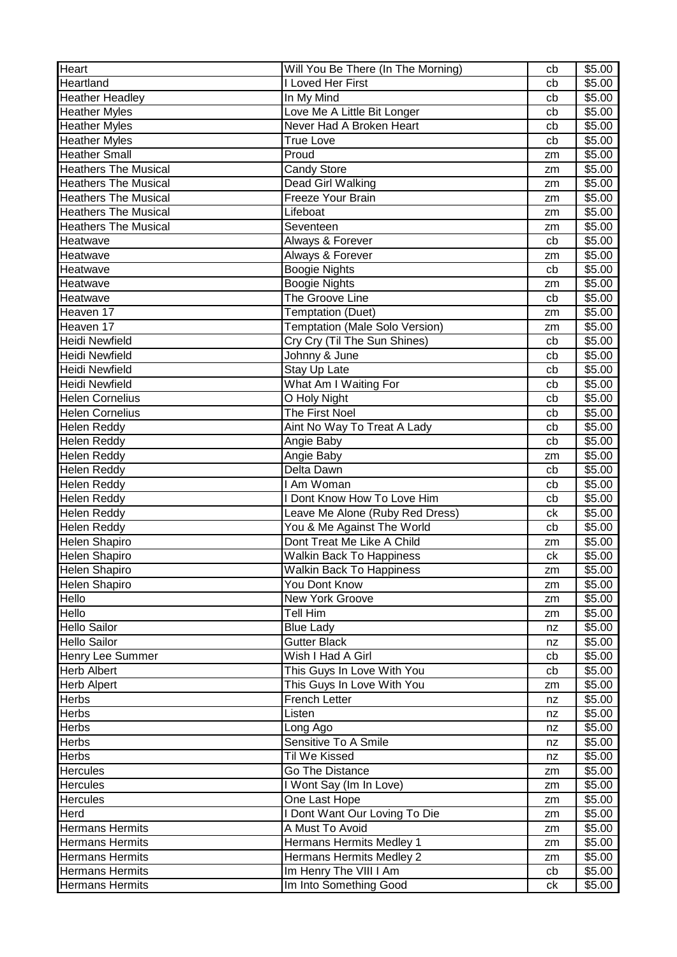| Heart                       | Will You Be There (In The Morning) | cb | \$5.00 |
|-----------------------------|------------------------------------|----|--------|
| Heartland                   | I Loved Her First                  | cb | \$5.00 |
| <b>Heather Headley</b>      | In My Mind                         | cb | \$5.00 |
| <b>Heather Myles</b>        | Love Me A Little Bit Longer        | cb | \$5.00 |
| <b>Heather Myles</b>        | Never Had A Broken Heart           | cb | \$5.00 |
| <b>Heather Myles</b>        | <b>True Love</b>                   | cb | \$5.00 |
| <b>Heather Small</b>        | Proud                              | zm | \$5.00 |
| <b>Heathers The Musical</b> | <b>Candy Store</b>                 | zm | \$5.00 |
| <b>Heathers The Musical</b> | Dead Girl Walking                  | zm | \$5.00 |
| <b>Heathers The Musical</b> | Freeze Your Brain                  | zm | \$5.00 |
| <b>Heathers The Musical</b> | Lifeboat                           | zm | \$5.00 |
| <b>Heathers The Musical</b> | Seventeen                          | zm | \$5.00 |
| Heatwave                    | Always & Forever                   | cb | \$5.00 |
| Heatwave                    | Always & Forever                   | zm | \$5.00 |
| Heatwave                    | <b>Boogie Nights</b>               | cb | \$5.00 |
| Heatwave                    | <b>Boogie Nights</b>               | zm | \$5.00 |
| Heatwave                    | The Groove Line                    | cb | \$5.00 |
| Heaven 17                   | Temptation (Duet)                  | zm | \$5.00 |
| Heaven 17                   | Temptation (Male Solo Version)     | zm | \$5.00 |
| <b>Heidi Newfield</b>       | Cry Cry (Til The Sun Shines)       | cb | \$5.00 |
| <b>Heidi Newfield</b>       | Johnny & June                      | cb | \$5.00 |
| <b>Heidi Newfield</b>       | Stay Up Late                       | cb | \$5.00 |
| Heidi Newfield              | What Am I Waiting For              | cb | \$5.00 |
| <b>Helen Cornelius</b>      | O Holy Night                       | cb | \$5.00 |
| <b>Helen Cornelius</b>      | The First Noel                     | cb | \$5.00 |
| Helen Reddy                 | Aint No Way To Treat A Lady        | cb | \$5.00 |
| <b>Helen Reddy</b>          | Angie Baby                         | cb | \$5.00 |
| <b>Helen Reddy</b>          | Angie Baby                         | zm | \$5.00 |
| <b>Helen Reddy</b>          | Delta Dawn                         | cb | \$5.00 |
| Helen Reddy                 | I Am Woman                         | cb | \$5.00 |
| Helen Reddy                 | I Dont Know How To Love Him        | cb | \$5.00 |
| <b>Helen Reddy</b>          | Leave Me Alone (Ruby Red Dress)    | ck | \$5.00 |
| <b>Helen Reddy</b>          | You & Me Against The World         | cb | \$5.00 |
| <b>Helen Shapiro</b>        | Dont Treat Me Like A Child         | zm | \$5.00 |
| <b>Helen Shapiro</b>        | <b>Walkin Back To Happiness</b>    | ck | \$5.00 |
| Helen Shapiro               | <b>Walkin Back To Happiness</b>    | zm | \$5.00 |
| <b>Helen Shapiro</b>        | You Dont Know                      | zm | \$5.00 |
| Hello                       | New York Groove                    | zm | \$5.00 |
| Hello                       | <b>Tell Him</b>                    | zm | \$5.00 |
| <b>Hello Sailor</b>         | <b>Blue Lady</b>                   | nz | \$5.00 |
| <b>Hello Sailor</b>         | <b>Gutter Black</b>                | nz | \$5.00 |
| Henry Lee Summer            | Wish I Had A Girl                  | cb | \$5.00 |
| <b>Herb Albert</b>          | This Guys In Love With You         | cb | \$5.00 |
| <b>Herb Alpert</b>          | This Guys In Love With You         | zm | \$5.00 |
| <b>Herbs</b>                | <b>French Letter</b>               | nz | \$5.00 |
| <b>Herbs</b>                | Listen                             | nz | \$5.00 |
| <b>Herbs</b>                | Long Ago                           | nz | \$5.00 |
| <b>Herbs</b>                | Sensitive To A Smile               | nz | \$5.00 |
| <b>Herbs</b>                | Til We Kissed                      | nz | \$5.00 |
| <b>Hercules</b>             | Go The Distance                    | zm | \$5.00 |
| <b>Hercules</b>             | I Wont Say (Im In Love)            | zm | \$5.00 |
| <b>Hercules</b>             | One Last Hope                      | zm | \$5.00 |
| Herd                        | I Dont Want Our Loving To Die      | zm | \$5.00 |
| <b>Hermans Hermits</b>      | A Must To Avoid                    | zm | \$5.00 |
| <b>Hermans Hermits</b>      | Hermans Hermits Medley 1           | zm | \$5.00 |
| <b>Hermans Hermits</b>      | Hermans Hermits Medley 2           | zm | \$5.00 |
| Hermans Hermits             | Im Henry The VIII I Am             | cb | \$5.00 |
| <b>Hermans Hermits</b>      | Im Into Something Good             | ck | \$5.00 |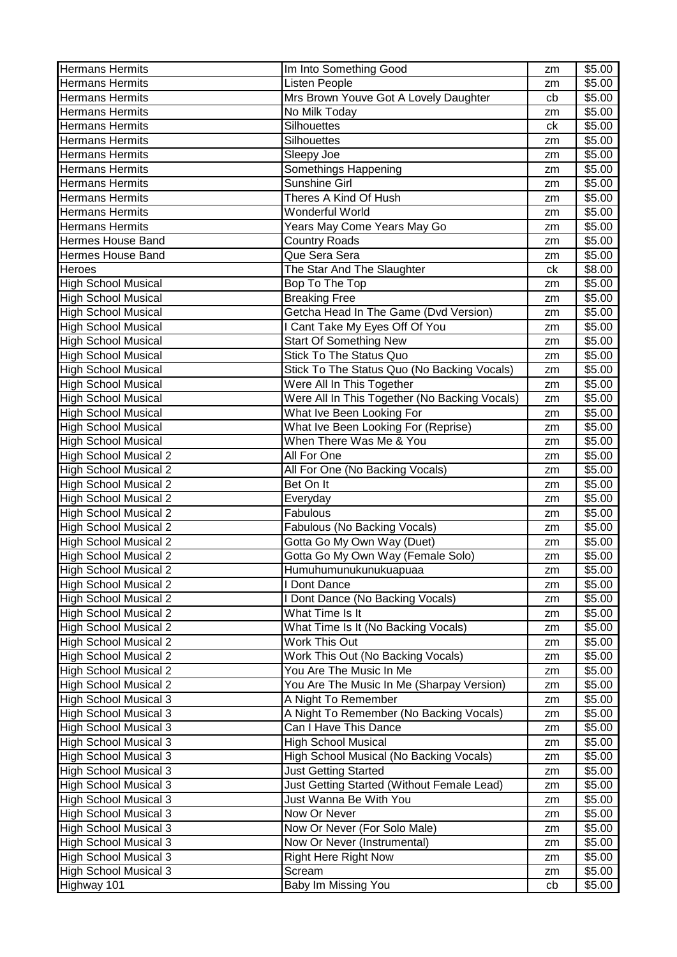| <b>Hermans Hermits</b>                      | Im Into Something Good                        | zm       | \$5.00             |
|---------------------------------------------|-----------------------------------------------|----------|--------------------|
| <b>Hermans Hermits</b>                      | Listen People                                 | zm       | \$5.00             |
| <b>Hermans Hermits</b>                      | Mrs Brown Youve Got A Lovely Daughter         | cb       | \$5.00             |
| <b>Hermans Hermits</b>                      | No Milk Today                                 | zm       | \$5.00             |
| <b>Hermans Hermits</b>                      | Silhouettes                                   | ck       | \$5.00             |
| <b>Hermans Hermits</b>                      | Silhouettes                                   | zm       | \$5.00             |
| <b>Hermans Hermits</b>                      | Sleepy Joe                                    | zm       | \$5.00             |
| <b>Hermans Hermits</b>                      | Somethings Happening                          | zm       | \$5.00             |
| <b>Hermans Hermits</b>                      | <b>Sunshine Girl</b>                          | zm       | \$5.00             |
| <b>Hermans Hermits</b>                      | Theres A Kind Of Hush                         | zm       | \$5.00             |
| <b>Hermans Hermits</b>                      | Wonderful World                               | zm       | \$5.00             |
| <b>Hermans Hermits</b>                      | Years May Come Years May Go                   | zm       | \$5.00             |
| <b>Hermes House Band</b>                    | <b>Country Roads</b>                          | zm       | \$5.00             |
| <b>Hermes House Band</b>                    | Que Sera Sera                                 | zm       | \$5.00             |
| <b>Heroes</b>                               | The Star And The Slaughter                    | ck       | \$8.00             |
| <b>High School Musical</b>                  | Bop To The Top                                | zm       | \$5.00             |
| <b>High School Musical</b>                  | <b>Breaking Free</b>                          | zm       | \$5.00             |
| <b>High School Musical</b>                  | Getcha Head In The Game (Dvd Version)         | zm       | \$5.00             |
| <b>High School Musical</b>                  | I Cant Take My Eyes Off Of You                | zm       | \$5.00             |
| <b>High School Musical</b>                  | <b>Start Of Something New</b>                 | zm       | \$5.00             |
| <b>High School Musical</b>                  | <b>Stick To The Status Quo</b>                | zm       | \$5.00             |
| <b>High School Musical</b>                  | Stick To The Status Quo (No Backing Vocals)   | zm       | \$5.00             |
| <b>High School Musical</b>                  | Were All In This Together                     | zm       | \$5.00             |
| <b>High School Musical</b>                  | Were All In This Together (No Backing Vocals) | zm       | \$5.00             |
| <b>High School Musical</b>                  | What Ive Been Looking For                     | zm       | \$5.00             |
| <b>High School Musical</b>                  | What Ive Been Looking For (Reprise)           | zm       | \$5.00             |
| <b>High School Musical</b>                  | When There Was Me & You                       | zm       | \$5.00             |
| <b>High School Musical 2</b>                | All For One                                   | zm       | \$5.00             |
| <b>High School Musical 2</b>                | All For One (No Backing Vocals)               | zm       | $\overline{$}5.00$ |
| <b>High School Musical 2</b>                | Bet On It                                     | zm       | \$5.00             |
| <b>High School Musical 2</b>                | Everyday                                      | zm       | \$5.00             |
| <b>High School Musical 2</b>                | Fabulous                                      | zm       | \$5.00             |
| <b>High School Musical 2</b>                | Fabulous (No Backing Vocals)                  | zm       | \$5.00             |
| <b>High School Musical 2</b>                | Gotta Go My Own Way (Duet)                    | zm       | \$5.00             |
| High School Musical 2                       | Gotta Go My Own Way (Female Solo)             | zm       | \$5.00             |
| <b>High School Musical 2</b>                | Humuhumunukunukuapuaa                         | zm       | \$5.00             |
| <b>High School Musical 2</b>                | I Dont Dance                                  | zm       | \$5.00             |
| <b>High School Musical 2</b>                | I Dont Dance (No Backing Vocals)              |          | \$5.00             |
| <b>High School Musical 2</b>                |                                               | zm       |                    |
|                                             | What Time Is It                               | zm       | \$5.00             |
| <b>High School Musical 2</b>                | What Time Is It (No Backing Vocals)           | zm       | \$5.00             |
| <b>High School Musical 2</b>                | Work This Out                                 | zm       | \$5.00             |
| <b>High School Musical 2</b>                | Work This Out (No Backing Vocals)             | zm       | \$5.00             |
| <b>High School Musical 2</b>                | You Are The Music In Me                       | zm       | \$5.00             |
| <b>High School Musical 2</b>                | You Are The Music In Me (Sharpay Version)     | zm       | \$5.00             |
| <b>High School Musical 3</b>                | A Night To Remember                           | zm       | \$5.00             |
| <b>High School Musical 3</b>                | A Night To Remember (No Backing Vocals)       | zm       | \$5.00             |
| <b>High School Musical 3</b>                | Can I Have This Dance                         | zm       | \$5.00             |
| <b>High School Musical 3</b>                | <b>High School Musical</b>                    | zm       | \$5.00             |
| <b>High School Musical 3</b>                | High School Musical (No Backing Vocals)       | zm       | \$5.00             |
| <b>High School Musical 3</b>                | <b>Just Getting Started</b>                   | zm       | \$5.00             |
| <b>High School Musical 3</b>                | Just Getting Started (Without Female Lead)    | zm       | \$5.00             |
| <b>High School Musical 3</b>                | Just Wanna Be With You                        | zm       | \$5.00             |
| <b>High School Musical 3</b>                | Now Or Never                                  | zm       | \$5.00             |
| <b>High School Musical 3</b>                | Now Or Never (For Solo Male)                  | zm       | \$5.00             |
| <b>High School Musical 3</b>                | Now Or Never (Instrumental)                   | zm       | \$5.00             |
| <b>High School Musical 3</b>                | <b>Right Here Right Now</b>                   | zm       | \$5.00             |
| <b>High School Musical 3</b><br>Highway 101 | Scream<br>Baby Im Missing You                 | zm<br>cb | \$5.00<br>\$5.00   |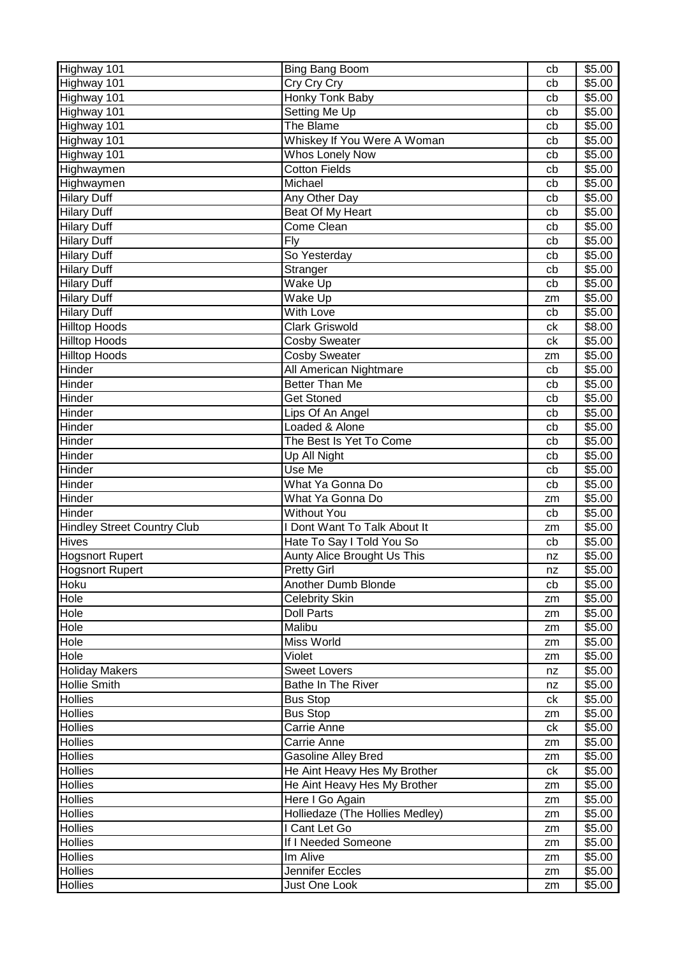| Highway 101                        | Bing Bang Boom                     | cb | \$5.00 |
|------------------------------------|------------------------------------|----|--------|
| Highway 101                        | Cry Cry Cry                        | cb | \$5.00 |
| Highway 101                        | Honky Tonk Baby                    | cb | \$5.00 |
| Highway 101                        | Setting Me Up                      | cb | \$5.00 |
| Highway 101                        | The Blame                          | cb | \$5.00 |
| Highway 101                        | Whiskey If You Were A Woman        | cb | \$5.00 |
| Highway 101                        | Whos Lonely Now                    | cb | \$5.00 |
| Highwaymen                         | <b>Cotton Fields</b>               | cb | \$5.00 |
| Highwaymen                         | Michael                            | cb | \$5.00 |
| <b>Hilary Duff</b>                 | Any Other Day                      | cb | \$5.00 |
| <b>Hilary Duff</b>                 | Beat Of My Heart                   | cb | \$5.00 |
| <b>Hilary Duff</b>                 | Come Clean                         | cb | \$5.00 |
| <b>Hilary Duff</b>                 | Fly                                | cb | \$5.00 |
| <b>Hilary Duff</b>                 | So Yesterday                       | cb | \$5.00 |
| <b>Hilary Duff</b>                 | Stranger                           | cb | \$5.00 |
| <b>Hilary Duff</b>                 | Wake Up                            | cb | \$5.00 |
| <b>Hilary Duff</b>                 | Wake Up                            | zm | \$5.00 |
| <b>Hilary Duff</b>                 | With Love                          | cb | \$5.00 |
| <b>Hilltop Hoods</b>               | <b>Clark Griswold</b>              | сk | \$8.00 |
| <b>Hilltop Hoods</b>               | <b>Cosby Sweater</b>               | ck | \$5.00 |
| <b>Hilltop Hoods</b>               | <b>Cosby Sweater</b>               | zm | \$5.00 |
| Hinder                             | All American Nightmare             | cb | \$5.00 |
| Hinder                             | <b>Better Than Me</b>              | cb | \$5.00 |
| Hinder                             | <b>Get Stoned</b>                  | cb | \$5.00 |
| Hinder                             | Lips Of An Angel                   | cb | \$5.00 |
| Hinder                             | Loaded & Alone                     | cb | \$5.00 |
| Hinder                             | The Best Is Yet To Come            | cb | \$5.00 |
| Hinder                             | Up All Night                       | cb | \$5.00 |
| Hinder                             | Use Me                             | cb | \$5.00 |
| Hinder                             | What Ya Gonna Do                   | cb | \$5.00 |
| Hinder                             | What Ya Gonna Do                   | zm | \$5.00 |
| Hinder                             | <b>Without You</b>                 | cb | \$5.00 |
| <b>Hindley Street Country Club</b> | I Dont Want To Talk About It       | zm | \$5.00 |
| <b>Hives</b>                       | Hate To Say I Told You So          | cb | \$5.00 |
| <b>Hogsnort Rupert</b>             | <b>Aunty Alice Brought Us This</b> | nz | \$5.00 |
| <b>Hogsnort Rupert</b>             | <b>Pretty Girl</b>                 | nz | \$5.00 |
| <b>Hoku</b>                        | Another Dumb Blonde                | cb | \$5.00 |
| <b>Hole</b>                        | <b>Celebrity Skin</b>              | zm | \$5.00 |
| Hole                               | <b>Doll Parts</b>                  | zm | \$5.00 |
| Hole                               | Malibu                             | zm | \$5.00 |
| Hole                               | Miss World                         | zm | \$5.00 |
| Hole                               | Violet                             | zm | \$5.00 |
| <b>Holiday Makers</b>              | <b>Sweet Lovers</b>                | nz | \$5.00 |
| <b>Hollie Smith</b>                | <b>Bathe In The River</b>          | nz | \$5.00 |
| <b>Hollies</b>                     | <b>Bus Stop</b>                    | сk | \$5.00 |
| <b>Hollies</b>                     | <b>Bus Stop</b>                    | zm | \$5.00 |
| <b>Hollies</b>                     | Carrie Anne                        | ck | \$5.00 |
| <b>Hollies</b>                     | Carrie Anne                        | zm | \$5.00 |
| <b>Hollies</b>                     | Gasoline Alley Bred                | zm | \$5.00 |
| <b>Hollies</b>                     | He Aint Heavy Hes My Brother       | ck | \$5.00 |
| <b>Hollies</b>                     | He Aint Heavy Hes My Brother       | zm | \$5.00 |
| <b>Hollies</b>                     | Here I Go Again                    | zm | \$5.00 |
| <b>Hollies</b>                     | Holliedaze (The Hollies Medley)    | zm | \$5.00 |
| <b>Hollies</b>                     | I Cant Let Go                      | zm | \$5.00 |
| <b>Hollies</b>                     | If I Needed Someone                | zm | \$5.00 |
| <b>Hollies</b>                     | Im Alive                           | zm | \$5.00 |
| Hollies                            | Jennifer Eccles                    | zm | \$5.00 |
| <b>Hollies</b>                     | Just One Look                      | zm | \$5.00 |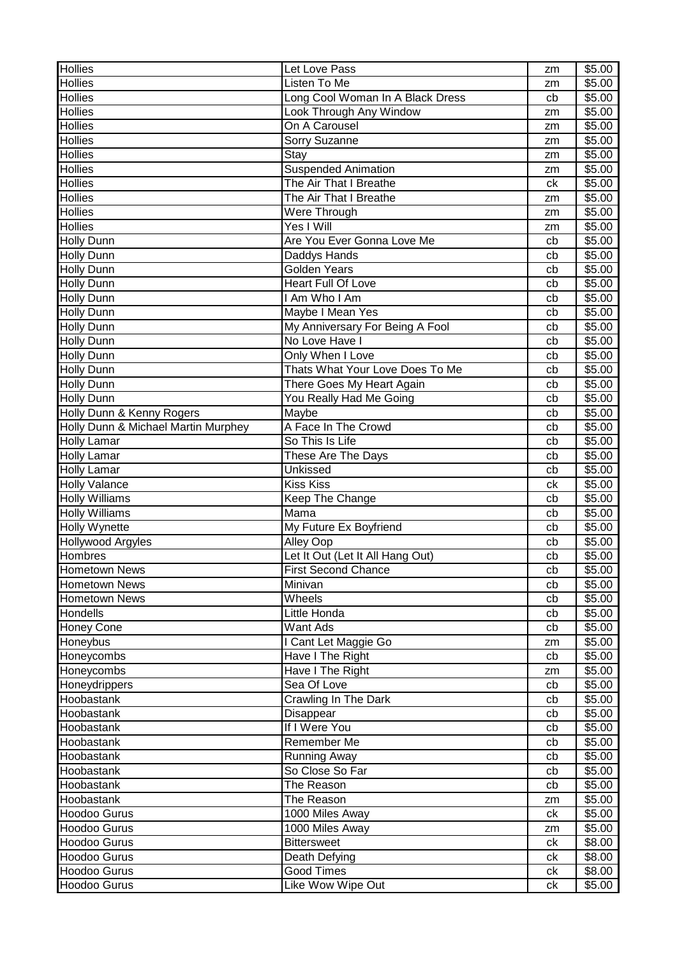| <b>Hollies</b><br>Listen To Me<br>\$5.00<br>zm<br><b>Hollies</b><br>Long Cool Woman In A Black Dress<br>\$5.00<br>cb<br><b>Hollies</b><br>Look Through Any Window<br>\$5.00<br>zm<br>On A Carousel<br>\$5.00<br>zm<br><b>Hollies</b><br>Sorry Suzanne<br>\$5.00<br>zm<br><b>Hollies</b><br>\$5.00<br>Stay<br>zm<br><b>Hollies</b><br><b>Suspended Animation</b><br>\$5.00<br>zm<br><b>Hollies</b><br>The Air That I Breathe<br>\$5.00<br>ck<br><b>Hollies</b><br>The Air That I Breathe<br>\$5.00<br>zm<br><b>Hollies</b><br>Were Through<br>\$5.00<br>zm<br><b>Hollies</b><br>Yes I Will<br>\$5.00<br>zm<br>Are You Ever Gonna Love Me<br><b>Holly Dunn</b><br>\$5.00<br>cb<br>Daddys Hands<br>\$5.00<br><b>Holly Dunn</b><br>cb<br><b>Holly Dunn</b><br><b>Golden Years</b><br>\$5.00<br>cb<br>Heart Full Of Love<br>\$5.00<br><b>Holly Dunn</b><br>cb<br>I Am Who I Am<br>\$5.00<br><b>Holly Dunn</b><br>cb<br>Maybe I Mean Yes<br><b>Holly Dunn</b><br>\$5.00<br>cb<br>My Anniversary For Being A Fool<br><b>Holly Dunn</b><br>\$5.00<br>cb<br>No Love Have I<br><b>Holly Dunn</b><br>cb<br>\$5.00<br><b>Holly Dunn</b><br>Only When I Love<br>\$5.00<br>cb<br>Holly Dunn<br>Thats What Your Love Does To Me<br>\$5.00<br>cb<br><b>Holly Dunn</b><br>There Goes My Heart Again<br>\$5.00<br>cb<br><b>Holly Dunn</b><br>You Really Had Me Going<br>\$5.00<br>cb<br>Holly Dunn & Kenny Rogers<br>Maybe<br>\$5.00<br>cb<br>Holly Dunn & Michael Martin Murphey<br>A Face In The Crowd<br>\$5.00<br>cb<br><b>Holly Lamar</b><br>So This Is Life<br>\$5.00<br>cb<br><b>Holly Lamar</b><br>\$5.00<br>These Are The Days<br>cb<br><b>Holly Lamar</b><br>Unkissed<br>\$5.00<br>cb<br><b>Holly Valance</b><br><b>Kiss Kiss</b><br>\$5.00<br>сk<br><b>Holly Williams</b><br>Keep The Change<br>\$5.00<br>cb<br><b>Holly Williams</b><br>Mama<br>\$5.00<br>cb<br><b>Holly Wynette</b><br>\$5.00<br>My Future Ex Boyfriend<br>cb<br>Alley Oop<br>\$5.00<br><b>Hollywood Argyles</b><br>cb<br>Let It Out (Let It All Hang Out)<br>Hombres<br>\$5.00<br>cb<br><b>Hometown News</b><br>\$5.00<br><b>First Second Chance</b><br>cb<br><b>Hometown News</b><br>Minivan<br>\$5.00<br>cb<br><b>Hometown News</b><br>Wheels<br>\$5.00<br>cb<br>Little Honda<br>\$5.00<br>Hondells<br>cb<br>Want Ads<br><b>Honey Cone</b><br>\$5.00<br>cb<br>Honeybus<br>I Cant Let Maggie Go<br>\$5.00<br>zm<br>Honeycombs<br>Have I The Right<br>\$5.00<br>cb<br>Honeycombs<br>Have I The Right<br>\$5.00<br>zm<br>\$5.00<br>Sea Of Love<br>Honeydrippers<br>cb<br>Crawling In The Dark<br>Hoobastank<br>\$5.00<br>cb<br>Disappear<br>\$5.00<br>Hoobastank<br>cb<br>If I Were You<br>\$5.00<br>Hoobastank<br>cb<br>Hoobastank<br>Remember Me<br>\$5.00<br>cb<br>Running Away<br>\$5.00<br>Hoobastank<br>cb<br>So Close So Far<br>Hoobastank<br>\$5.00<br>cb<br>Hoobastank<br>The Reason<br>\$5.00<br>cb<br>Hoobastank<br>The Reason<br>\$5.00<br>zm<br><b>Hoodoo Gurus</b><br>1000 Miles Away<br>\$5.00<br>ck<br>Hoodoo Gurus<br>1000 Miles Away<br>\$5.00<br>zm<br><b>Hoodoo Gurus</b><br><b>Bittersweet</b><br>\$8.00<br>сk<br>Hoodoo Gurus<br>\$8.00<br>Death Defying<br>ck<br>\$8.00<br><b>Hoodoo Gurus</b><br><b>Good Times</b><br>ck | <b>Hollies</b> | Let Love Pass     | zm | \$5.00 |
|-------------------------------------------------------------------------------------------------------------------------------------------------------------------------------------------------------------------------------------------------------------------------------------------------------------------------------------------------------------------------------------------------------------------------------------------------------------------------------------------------------------------------------------------------------------------------------------------------------------------------------------------------------------------------------------------------------------------------------------------------------------------------------------------------------------------------------------------------------------------------------------------------------------------------------------------------------------------------------------------------------------------------------------------------------------------------------------------------------------------------------------------------------------------------------------------------------------------------------------------------------------------------------------------------------------------------------------------------------------------------------------------------------------------------------------------------------------------------------------------------------------------------------------------------------------------------------------------------------------------------------------------------------------------------------------------------------------------------------------------------------------------------------------------------------------------------------------------------------------------------------------------------------------------------------------------------------------------------------------------------------------------------------------------------------------------------------------------------------------------------------------------------------------------------------------------------------------------------------------------------------------------------------------------------------------------------------------------------------------------------------------------------------------------------------------------------------------------------------------------------------------------------------------------------------------------------------------------------------------------------------------------------------------------------------------------------------------------------------------------------------------------------------------------------------------------------------------------------------------------------------------------------------------------------------------------------------------------------------------------------------------------------------------------------------------------------------------------------------------------------------------------------------------------------------------------------------------|----------------|-------------------|----|--------|
|                                                                                                                                                                                                                                                                                                                                                                                                                                                                                                                                                                                                                                                                                                                                                                                                                                                                                                                                                                                                                                                                                                                                                                                                                                                                                                                                                                                                                                                                                                                                                                                                                                                                                                                                                                                                                                                                                                                                                                                                                                                                                                                                                                                                                                                                                                                                                                                                                                                                                                                                                                                                                                                                                                                                                                                                                                                                                                                                                                                                                                                                                                                                                                                                             |                |                   |    |        |
|                                                                                                                                                                                                                                                                                                                                                                                                                                                                                                                                                                                                                                                                                                                                                                                                                                                                                                                                                                                                                                                                                                                                                                                                                                                                                                                                                                                                                                                                                                                                                                                                                                                                                                                                                                                                                                                                                                                                                                                                                                                                                                                                                                                                                                                                                                                                                                                                                                                                                                                                                                                                                                                                                                                                                                                                                                                                                                                                                                                                                                                                                                                                                                                                             |                |                   |    |        |
|                                                                                                                                                                                                                                                                                                                                                                                                                                                                                                                                                                                                                                                                                                                                                                                                                                                                                                                                                                                                                                                                                                                                                                                                                                                                                                                                                                                                                                                                                                                                                                                                                                                                                                                                                                                                                                                                                                                                                                                                                                                                                                                                                                                                                                                                                                                                                                                                                                                                                                                                                                                                                                                                                                                                                                                                                                                                                                                                                                                                                                                                                                                                                                                                             |                |                   |    |        |
|                                                                                                                                                                                                                                                                                                                                                                                                                                                                                                                                                                                                                                                                                                                                                                                                                                                                                                                                                                                                                                                                                                                                                                                                                                                                                                                                                                                                                                                                                                                                                                                                                                                                                                                                                                                                                                                                                                                                                                                                                                                                                                                                                                                                                                                                                                                                                                                                                                                                                                                                                                                                                                                                                                                                                                                                                                                                                                                                                                                                                                                                                                                                                                                                             | <b>Hollies</b> |                   |    |        |
|                                                                                                                                                                                                                                                                                                                                                                                                                                                                                                                                                                                                                                                                                                                                                                                                                                                                                                                                                                                                                                                                                                                                                                                                                                                                                                                                                                                                                                                                                                                                                                                                                                                                                                                                                                                                                                                                                                                                                                                                                                                                                                                                                                                                                                                                                                                                                                                                                                                                                                                                                                                                                                                                                                                                                                                                                                                                                                                                                                                                                                                                                                                                                                                                             |                |                   |    |        |
|                                                                                                                                                                                                                                                                                                                                                                                                                                                                                                                                                                                                                                                                                                                                                                                                                                                                                                                                                                                                                                                                                                                                                                                                                                                                                                                                                                                                                                                                                                                                                                                                                                                                                                                                                                                                                                                                                                                                                                                                                                                                                                                                                                                                                                                                                                                                                                                                                                                                                                                                                                                                                                                                                                                                                                                                                                                                                                                                                                                                                                                                                                                                                                                                             |                |                   |    |        |
|                                                                                                                                                                                                                                                                                                                                                                                                                                                                                                                                                                                                                                                                                                                                                                                                                                                                                                                                                                                                                                                                                                                                                                                                                                                                                                                                                                                                                                                                                                                                                                                                                                                                                                                                                                                                                                                                                                                                                                                                                                                                                                                                                                                                                                                                                                                                                                                                                                                                                                                                                                                                                                                                                                                                                                                                                                                                                                                                                                                                                                                                                                                                                                                                             |                |                   |    |        |
|                                                                                                                                                                                                                                                                                                                                                                                                                                                                                                                                                                                                                                                                                                                                                                                                                                                                                                                                                                                                                                                                                                                                                                                                                                                                                                                                                                                                                                                                                                                                                                                                                                                                                                                                                                                                                                                                                                                                                                                                                                                                                                                                                                                                                                                                                                                                                                                                                                                                                                                                                                                                                                                                                                                                                                                                                                                                                                                                                                                                                                                                                                                                                                                                             |                |                   |    |        |
|                                                                                                                                                                                                                                                                                                                                                                                                                                                                                                                                                                                                                                                                                                                                                                                                                                                                                                                                                                                                                                                                                                                                                                                                                                                                                                                                                                                                                                                                                                                                                                                                                                                                                                                                                                                                                                                                                                                                                                                                                                                                                                                                                                                                                                                                                                                                                                                                                                                                                                                                                                                                                                                                                                                                                                                                                                                                                                                                                                                                                                                                                                                                                                                                             |                |                   |    |        |
|                                                                                                                                                                                                                                                                                                                                                                                                                                                                                                                                                                                                                                                                                                                                                                                                                                                                                                                                                                                                                                                                                                                                                                                                                                                                                                                                                                                                                                                                                                                                                                                                                                                                                                                                                                                                                                                                                                                                                                                                                                                                                                                                                                                                                                                                                                                                                                                                                                                                                                                                                                                                                                                                                                                                                                                                                                                                                                                                                                                                                                                                                                                                                                                                             |                |                   |    |        |
|                                                                                                                                                                                                                                                                                                                                                                                                                                                                                                                                                                                                                                                                                                                                                                                                                                                                                                                                                                                                                                                                                                                                                                                                                                                                                                                                                                                                                                                                                                                                                                                                                                                                                                                                                                                                                                                                                                                                                                                                                                                                                                                                                                                                                                                                                                                                                                                                                                                                                                                                                                                                                                                                                                                                                                                                                                                                                                                                                                                                                                                                                                                                                                                                             |                |                   |    |        |
|                                                                                                                                                                                                                                                                                                                                                                                                                                                                                                                                                                                                                                                                                                                                                                                                                                                                                                                                                                                                                                                                                                                                                                                                                                                                                                                                                                                                                                                                                                                                                                                                                                                                                                                                                                                                                                                                                                                                                                                                                                                                                                                                                                                                                                                                                                                                                                                                                                                                                                                                                                                                                                                                                                                                                                                                                                                                                                                                                                                                                                                                                                                                                                                                             |                |                   |    |        |
|                                                                                                                                                                                                                                                                                                                                                                                                                                                                                                                                                                                                                                                                                                                                                                                                                                                                                                                                                                                                                                                                                                                                                                                                                                                                                                                                                                                                                                                                                                                                                                                                                                                                                                                                                                                                                                                                                                                                                                                                                                                                                                                                                                                                                                                                                                                                                                                                                                                                                                                                                                                                                                                                                                                                                                                                                                                                                                                                                                                                                                                                                                                                                                                                             |                |                   |    |        |
|                                                                                                                                                                                                                                                                                                                                                                                                                                                                                                                                                                                                                                                                                                                                                                                                                                                                                                                                                                                                                                                                                                                                                                                                                                                                                                                                                                                                                                                                                                                                                                                                                                                                                                                                                                                                                                                                                                                                                                                                                                                                                                                                                                                                                                                                                                                                                                                                                                                                                                                                                                                                                                                                                                                                                                                                                                                                                                                                                                                                                                                                                                                                                                                                             |                |                   |    |        |
|                                                                                                                                                                                                                                                                                                                                                                                                                                                                                                                                                                                                                                                                                                                                                                                                                                                                                                                                                                                                                                                                                                                                                                                                                                                                                                                                                                                                                                                                                                                                                                                                                                                                                                                                                                                                                                                                                                                                                                                                                                                                                                                                                                                                                                                                                                                                                                                                                                                                                                                                                                                                                                                                                                                                                                                                                                                                                                                                                                                                                                                                                                                                                                                                             |                |                   |    |        |
|                                                                                                                                                                                                                                                                                                                                                                                                                                                                                                                                                                                                                                                                                                                                                                                                                                                                                                                                                                                                                                                                                                                                                                                                                                                                                                                                                                                                                                                                                                                                                                                                                                                                                                                                                                                                                                                                                                                                                                                                                                                                                                                                                                                                                                                                                                                                                                                                                                                                                                                                                                                                                                                                                                                                                                                                                                                                                                                                                                                                                                                                                                                                                                                                             |                |                   |    |        |
|                                                                                                                                                                                                                                                                                                                                                                                                                                                                                                                                                                                                                                                                                                                                                                                                                                                                                                                                                                                                                                                                                                                                                                                                                                                                                                                                                                                                                                                                                                                                                                                                                                                                                                                                                                                                                                                                                                                                                                                                                                                                                                                                                                                                                                                                                                                                                                                                                                                                                                                                                                                                                                                                                                                                                                                                                                                                                                                                                                                                                                                                                                                                                                                                             |                |                   |    |        |
|                                                                                                                                                                                                                                                                                                                                                                                                                                                                                                                                                                                                                                                                                                                                                                                                                                                                                                                                                                                                                                                                                                                                                                                                                                                                                                                                                                                                                                                                                                                                                                                                                                                                                                                                                                                                                                                                                                                                                                                                                                                                                                                                                                                                                                                                                                                                                                                                                                                                                                                                                                                                                                                                                                                                                                                                                                                                                                                                                                                                                                                                                                                                                                                                             |                |                   |    |        |
|                                                                                                                                                                                                                                                                                                                                                                                                                                                                                                                                                                                                                                                                                                                                                                                                                                                                                                                                                                                                                                                                                                                                                                                                                                                                                                                                                                                                                                                                                                                                                                                                                                                                                                                                                                                                                                                                                                                                                                                                                                                                                                                                                                                                                                                                                                                                                                                                                                                                                                                                                                                                                                                                                                                                                                                                                                                                                                                                                                                                                                                                                                                                                                                                             |                |                   |    |        |
|                                                                                                                                                                                                                                                                                                                                                                                                                                                                                                                                                                                                                                                                                                                                                                                                                                                                                                                                                                                                                                                                                                                                                                                                                                                                                                                                                                                                                                                                                                                                                                                                                                                                                                                                                                                                                                                                                                                                                                                                                                                                                                                                                                                                                                                                                                                                                                                                                                                                                                                                                                                                                                                                                                                                                                                                                                                                                                                                                                                                                                                                                                                                                                                                             |                |                   |    |        |
|                                                                                                                                                                                                                                                                                                                                                                                                                                                                                                                                                                                                                                                                                                                                                                                                                                                                                                                                                                                                                                                                                                                                                                                                                                                                                                                                                                                                                                                                                                                                                                                                                                                                                                                                                                                                                                                                                                                                                                                                                                                                                                                                                                                                                                                                                                                                                                                                                                                                                                                                                                                                                                                                                                                                                                                                                                                                                                                                                                                                                                                                                                                                                                                                             |                |                   |    |        |
|                                                                                                                                                                                                                                                                                                                                                                                                                                                                                                                                                                                                                                                                                                                                                                                                                                                                                                                                                                                                                                                                                                                                                                                                                                                                                                                                                                                                                                                                                                                                                                                                                                                                                                                                                                                                                                                                                                                                                                                                                                                                                                                                                                                                                                                                                                                                                                                                                                                                                                                                                                                                                                                                                                                                                                                                                                                                                                                                                                                                                                                                                                                                                                                                             |                |                   |    |        |
|                                                                                                                                                                                                                                                                                                                                                                                                                                                                                                                                                                                                                                                                                                                                                                                                                                                                                                                                                                                                                                                                                                                                                                                                                                                                                                                                                                                                                                                                                                                                                                                                                                                                                                                                                                                                                                                                                                                                                                                                                                                                                                                                                                                                                                                                                                                                                                                                                                                                                                                                                                                                                                                                                                                                                                                                                                                                                                                                                                                                                                                                                                                                                                                                             |                |                   |    |        |
|                                                                                                                                                                                                                                                                                                                                                                                                                                                                                                                                                                                                                                                                                                                                                                                                                                                                                                                                                                                                                                                                                                                                                                                                                                                                                                                                                                                                                                                                                                                                                                                                                                                                                                                                                                                                                                                                                                                                                                                                                                                                                                                                                                                                                                                                                                                                                                                                                                                                                                                                                                                                                                                                                                                                                                                                                                                                                                                                                                                                                                                                                                                                                                                                             |                |                   |    |        |
|                                                                                                                                                                                                                                                                                                                                                                                                                                                                                                                                                                                                                                                                                                                                                                                                                                                                                                                                                                                                                                                                                                                                                                                                                                                                                                                                                                                                                                                                                                                                                                                                                                                                                                                                                                                                                                                                                                                                                                                                                                                                                                                                                                                                                                                                                                                                                                                                                                                                                                                                                                                                                                                                                                                                                                                                                                                                                                                                                                                                                                                                                                                                                                                                             |                |                   |    |        |
|                                                                                                                                                                                                                                                                                                                                                                                                                                                                                                                                                                                                                                                                                                                                                                                                                                                                                                                                                                                                                                                                                                                                                                                                                                                                                                                                                                                                                                                                                                                                                                                                                                                                                                                                                                                                                                                                                                                                                                                                                                                                                                                                                                                                                                                                                                                                                                                                                                                                                                                                                                                                                                                                                                                                                                                                                                                                                                                                                                                                                                                                                                                                                                                                             |                |                   |    |        |
|                                                                                                                                                                                                                                                                                                                                                                                                                                                                                                                                                                                                                                                                                                                                                                                                                                                                                                                                                                                                                                                                                                                                                                                                                                                                                                                                                                                                                                                                                                                                                                                                                                                                                                                                                                                                                                                                                                                                                                                                                                                                                                                                                                                                                                                                                                                                                                                                                                                                                                                                                                                                                                                                                                                                                                                                                                                                                                                                                                                                                                                                                                                                                                                                             |                |                   |    |        |
|                                                                                                                                                                                                                                                                                                                                                                                                                                                                                                                                                                                                                                                                                                                                                                                                                                                                                                                                                                                                                                                                                                                                                                                                                                                                                                                                                                                                                                                                                                                                                                                                                                                                                                                                                                                                                                                                                                                                                                                                                                                                                                                                                                                                                                                                                                                                                                                                                                                                                                                                                                                                                                                                                                                                                                                                                                                                                                                                                                                                                                                                                                                                                                                                             |                |                   |    |        |
|                                                                                                                                                                                                                                                                                                                                                                                                                                                                                                                                                                                                                                                                                                                                                                                                                                                                                                                                                                                                                                                                                                                                                                                                                                                                                                                                                                                                                                                                                                                                                                                                                                                                                                                                                                                                                                                                                                                                                                                                                                                                                                                                                                                                                                                                                                                                                                                                                                                                                                                                                                                                                                                                                                                                                                                                                                                                                                                                                                                                                                                                                                                                                                                                             |                |                   |    |        |
|                                                                                                                                                                                                                                                                                                                                                                                                                                                                                                                                                                                                                                                                                                                                                                                                                                                                                                                                                                                                                                                                                                                                                                                                                                                                                                                                                                                                                                                                                                                                                                                                                                                                                                                                                                                                                                                                                                                                                                                                                                                                                                                                                                                                                                                                                                                                                                                                                                                                                                                                                                                                                                                                                                                                                                                                                                                                                                                                                                                                                                                                                                                                                                                                             |                |                   |    |        |
|                                                                                                                                                                                                                                                                                                                                                                                                                                                                                                                                                                                                                                                                                                                                                                                                                                                                                                                                                                                                                                                                                                                                                                                                                                                                                                                                                                                                                                                                                                                                                                                                                                                                                                                                                                                                                                                                                                                                                                                                                                                                                                                                                                                                                                                                                                                                                                                                                                                                                                                                                                                                                                                                                                                                                                                                                                                                                                                                                                                                                                                                                                                                                                                                             |                |                   |    |        |
|                                                                                                                                                                                                                                                                                                                                                                                                                                                                                                                                                                                                                                                                                                                                                                                                                                                                                                                                                                                                                                                                                                                                                                                                                                                                                                                                                                                                                                                                                                                                                                                                                                                                                                                                                                                                                                                                                                                                                                                                                                                                                                                                                                                                                                                                                                                                                                                                                                                                                                                                                                                                                                                                                                                                                                                                                                                                                                                                                                                                                                                                                                                                                                                                             |                |                   |    |        |
|                                                                                                                                                                                                                                                                                                                                                                                                                                                                                                                                                                                                                                                                                                                                                                                                                                                                                                                                                                                                                                                                                                                                                                                                                                                                                                                                                                                                                                                                                                                                                                                                                                                                                                                                                                                                                                                                                                                                                                                                                                                                                                                                                                                                                                                                                                                                                                                                                                                                                                                                                                                                                                                                                                                                                                                                                                                                                                                                                                                                                                                                                                                                                                                                             |                |                   |    |        |
|                                                                                                                                                                                                                                                                                                                                                                                                                                                                                                                                                                                                                                                                                                                                                                                                                                                                                                                                                                                                                                                                                                                                                                                                                                                                                                                                                                                                                                                                                                                                                                                                                                                                                                                                                                                                                                                                                                                                                                                                                                                                                                                                                                                                                                                                                                                                                                                                                                                                                                                                                                                                                                                                                                                                                                                                                                                                                                                                                                                                                                                                                                                                                                                                             |                |                   |    |        |
|                                                                                                                                                                                                                                                                                                                                                                                                                                                                                                                                                                                                                                                                                                                                                                                                                                                                                                                                                                                                                                                                                                                                                                                                                                                                                                                                                                                                                                                                                                                                                                                                                                                                                                                                                                                                                                                                                                                                                                                                                                                                                                                                                                                                                                                                                                                                                                                                                                                                                                                                                                                                                                                                                                                                                                                                                                                                                                                                                                                                                                                                                                                                                                                                             |                |                   |    |        |
|                                                                                                                                                                                                                                                                                                                                                                                                                                                                                                                                                                                                                                                                                                                                                                                                                                                                                                                                                                                                                                                                                                                                                                                                                                                                                                                                                                                                                                                                                                                                                                                                                                                                                                                                                                                                                                                                                                                                                                                                                                                                                                                                                                                                                                                                                                                                                                                                                                                                                                                                                                                                                                                                                                                                                                                                                                                                                                                                                                                                                                                                                                                                                                                                             |                |                   |    |        |
|                                                                                                                                                                                                                                                                                                                                                                                                                                                                                                                                                                                                                                                                                                                                                                                                                                                                                                                                                                                                                                                                                                                                                                                                                                                                                                                                                                                                                                                                                                                                                                                                                                                                                                                                                                                                                                                                                                                                                                                                                                                                                                                                                                                                                                                                                                                                                                                                                                                                                                                                                                                                                                                                                                                                                                                                                                                                                                                                                                                                                                                                                                                                                                                                             |                |                   |    |        |
|                                                                                                                                                                                                                                                                                                                                                                                                                                                                                                                                                                                                                                                                                                                                                                                                                                                                                                                                                                                                                                                                                                                                                                                                                                                                                                                                                                                                                                                                                                                                                                                                                                                                                                                                                                                                                                                                                                                                                                                                                                                                                                                                                                                                                                                                                                                                                                                                                                                                                                                                                                                                                                                                                                                                                                                                                                                                                                                                                                                                                                                                                                                                                                                                             |                |                   |    |        |
|                                                                                                                                                                                                                                                                                                                                                                                                                                                                                                                                                                                                                                                                                                                                                                                                                                                                                                                                                                                                                                                                                                                                                                                                                                                                                                                                                                                                                                                                                                                                                                                                                                                                                                                                                                                                                                                                                                                                                                                                                                                                                                                                                                                                                                                                                                                                                                                                                                                                                                                                                                                                                                                                                                                                                                                                                                                                                                                                                                                                                                                                                                                                                                                                             |                |                   |    |        |
|                                                                                                                                                                                                                                                                                                                                                                                                                                                                                                                                                                                                                                                                                                                                                                                                                                                                                                                                                                                                                                                                                                                                                                                                                                                                                                                                                                                                                                                                                                                                                                                                                                                                                                                                                                                                                                                                                                                                                                                                                                                                                                                                                                                                                                                                                                                                                                                                                                                                                                                                                                                                                                                                                                                                                                                                                                                                                                                                                                                                                                                                                                                                                                                                             |                |                   |    |        |
|                                                                                                                                                                                                                                                                                                                                                                                                                                                                                                                                                                                                                                                                                                                                                                                                                                                                                                                                                                                                                                                                                                                                                                                                                                                                                                                                                                                                                                                                                                                                                                                                                                                                                                                                                                                                                                                                                                                                                                                                                                                                                                                                                                                                                                                                                                                                                                                                                                                                                                                                                                                                                                                                                                                                                                                                                                                                                                                                                                                                                                                                                                                                                                                                             |                |                   |    |        |
|                                                                                                                                                                                                                                                                                                                                                                                                                                                                                                                                                                                                                                                                                                                                                                                                                                                                                                                                                                                                                                                                                                                                                                                                                                                                                                                                                                                                                                                                                                                                                                                                                                                                                                                                                                                                                                                                                                                                                                                                                                                                                                                                                                                                                                                                                                                                                                                                                                                                                                                                                                                                                                                                                                                                                                                                                                                                                                                                                                                                                                                                                                                                                                                                             |                |                   |    |        |
|                                                                                                                                                                                                                                                                                                                                                                                                                                                                                                                                                                                                                                                                                                                                                                                                                                                                                                                                                                                                                                                                                                                                                                                                                                                                                                                                                                                                                                                                                                                                                                                                                                                                                                                                                                                                                                                                                                                                                                                                                                                                                                                                                                                                                                                                                                                                                                                                                                                                                                                                                                                                                                                                                                                                                                                                                                                                                                                                                                                                                                                                                                                                                                                                             |                |                   |    |        |
|                                                                                                                                                                                                                                                                                                                                                                                                                                                                                                                                                                                                                                                                                                                                                                                                                                                                                                                                                                                                                                                                                                                                                                                                                                                                                                                                                                                                                                                                                                                                                                                                                                                                                                                                                                                                                                                                                                                                                                                                                                                                                                                                                                                                                                                                                                                                                                                                                                                                                                                                                                                                                                                                                                                                                                                                                                                                                                                                                                                                                                                                                                                                                                                                             |                |                   |    |        |
|                                                                                                                                                                                                                                                                                                                                                                                                                                                                                                                                                                                                                                                                                                                                                                                                                                                                                                                                                                                                                                                                                                                                                                                                                                                                                                                                                                                                                                                                                                                                                                                                                                                                                                                                                                                                                                                                                                                                                                                                                                                                                                                                                                                                                                                                                                                                                                                                                                                                                                                                                                                                                                                                                                                                                                                                                                                                                                                                                                                                                                                                                                                                                                                                             |                |                   |    |        |
|                                                                                                                                                                                                                                                                                                                                                                                                                                                                                                                                                                                                                                                                                                                                                                                                                                                                                                                                                                                                                                                                                                                                                                                                                                                                                                                                                                                                                                                                                                                                                                                                                                                                                                                                                                                                                                                                                                                                                                                                                                                                                                                                                                                                                                                                                                                                                                                                                                                                                                                                                                                                                                                                                                                                                                                                                                                                                                                                                                                                                                                                                                                                                                                                             |                |                   |    |        |
|                                                                                                                                                                                                                                                                                                                                                                                                                                                                                                                                                                                                                                                                                                                                                                                                                                                                                                                                                                                                                                                                                                                                                                                                                                                                                                                                                                                                                                                                                                                                                                                                                                                                                                                                                                                                                                                                                                                                                                                                                                                                                                                                                                                                                                                                                                                                                                                                                                                                                                                                                                                                                                                                                                                                                                                                                                                                                                                                                                                                                                                                                                                                                                                                             |                |                   |    |        |
|                                                                                                                                                                                                                                                                                                                                                                                                                                                                                                                                                                                                                                                                                                                                                                                                                                                                                                                                                                                                                                                                                                                                                                                                                                                                                                                                                                                                                                                                                                                                                                                                                                                                                                                                                                                                                                                                                                                                                                                                                                                                                                                                                                                                                                                                                                                                                                                                                                                                                                                                                                                                                                                                                                                                                                                                                                                                                                                                                                                                                                                                                                                                                                                                             |                |                   |    |        |
|                                                                                                                                                                                                                                                                                                                                                                                                                                                                                                                                                                                                                                                                                                                                                                                                                                                                                                                                                                                                                                                                                                                                                                                                                                                                                                                                                                                                                                                                                                                                                                                                                                                                                                                                                                                                                                                                                                                                                                                                                                                                                                                                                                                                                                                                                                                                                                                                                                                                                                                                                                                                                                                                                                                                                                                                                                                                                                                                                                                                                                                                                                                                                                                                             |                |                   |    |        |
|                                                                                                                                                                                                                                                                                                                                                                                                                                                                                                                                                                                                                                                                                                                                                                                                                                                                                                                                                                                                                                                                                                                                                                                                                                                                                                                                                                                                                                                                                                                                                                                                                                                                                                                                                                                                                                                                                                                                                                                                                                                                                                                                                                                                                                                                                                                                                                                                                                                                                                                                                                                                                                                                                                                                                                                                                                                                                                                                                                                                                                                                                                                                                                                                             |                |                   |    |        |
|                                                                                                                                                                                                                                                                                                                                                                                                                                                                                                                                                                                                                                                                                                                                                                                                                                                                                                                                                                                                                                                                                                                                                                                                                                                                                                                                                                                                                                                                                                                                                                                                                                                                                                                                                                                                                                                                                                                                                                                                                                                                                                                                                                                                                                                                                                                                                                                                                                                                                                                                                                                                                                                                                                                                                                                                                                                                                                                                                                                                                                                                                                                                                                                                             |                |                   |    |        |
|                                                                                                                                                                                                                                                                                                                                                                                                                                                                                                                                                                                                                                                                                                                                                                                                                                                                                                                                                                                                                                                                                                                                                                                                                                                                                                                                                                                                                                                                                                                                                                                                                                                                                                                                                                                                                                                                                                                                                                                                                                                                                                                                                                                                                                                                                                                                                                                                                                                                                                                                                                                                                                                                                                                                                                                                                                                                                                                                                                                                                                                                                                                                                                                                             |                |                   |    |        |
|                                                                                                                                                                                                                                                                                                                                                                                                                                                                                                                                                                                                                                                                                                                                                                                                                                                                                                                                                                                                                                                                                                                                                                                                                                                                                                                                                                                                                                                                                                                                                                                                                                                                                                                                                                                                                                                                                                                                                                                                                                                                                                                                                                                                                                                                                                                                                                                                                                                                                                                                                                                                                                                                                                                                                                                                                                                                                                                                                                                                                                                                                                                                                                                                             |                |                   |    |        |
|                                                                                                                                                                                                                                                                                                                                                                                                                                                                                                                                                                                                                                                                                                                                                                                                                                                                                                                                                                                                                                                                                                                                                                                                                                                                                                                                                                                                                                                                                                                                                                                                                                                                                                                                                                                                                                                                                                                                                                                                                                                                                                                                                                                                                                                                                                                                                                                                                                                                                                                                                                                                                                                                                                                                                                                                                                                                                                                                                                                                                                                                                                                                                                                                             |                |                   |    |        |
|                                                                                                                                                                                                                                                                                                                                                                                                                                                                                                                                                                                                                                                                                                                                                                                                                                                                                                                                                                                                                                                                                                                                                                                                                                                                                                                                                                                                                                                                                                                                                                                                                                                                                                                                                                                                                                                                                                                                                                                                                                                                                                                                                                                                                                                                                                                                                                                                                                                                                                                                                                                                                                                                                                                                                                                                                                                                                                                                                                                                                                                                                                                                                                                                             |                |                   |    |        |
|                                                                                                                                                                                                                                                                                                                                                                                                                                                                                                                                                                                                                                                                                                                                                                                                                                                                                                                                                                                                                                                                                                                                                                                                                                                                                                                                                                                                                                                                                                                                                                                                                                                                                                                                                                                                                                                                                                                                                                                                                                                                                                                                                                                                                                                                                                                                                                                                                                                                                                                                                                                                                                                                                                                                                                                                                                                                                                                                                                                                                                                                                                                                                                                                             |                |                   |    |        |
|                                                                                                                                                                                                                                                                                                                                                                                                                                                                                                                                                                                                                                                                                                                                                                                                                                                                                                                                                                                                                                                                                                                                                                                                                                                                                                                                                                                                                                                                                                                                                                                                                                                                                                                                                                                                                                                                                                                                                                                                                                                                                                                                                                                                                                                                                                                                                                                                                                                                                                                                                                                                                                                                                                                                                                                                                                                                                                                                                                                                                                                                                                                                                                                                             | Hoodoo Gurus   | Like Wow Wipe Out | ck | \$5.00 |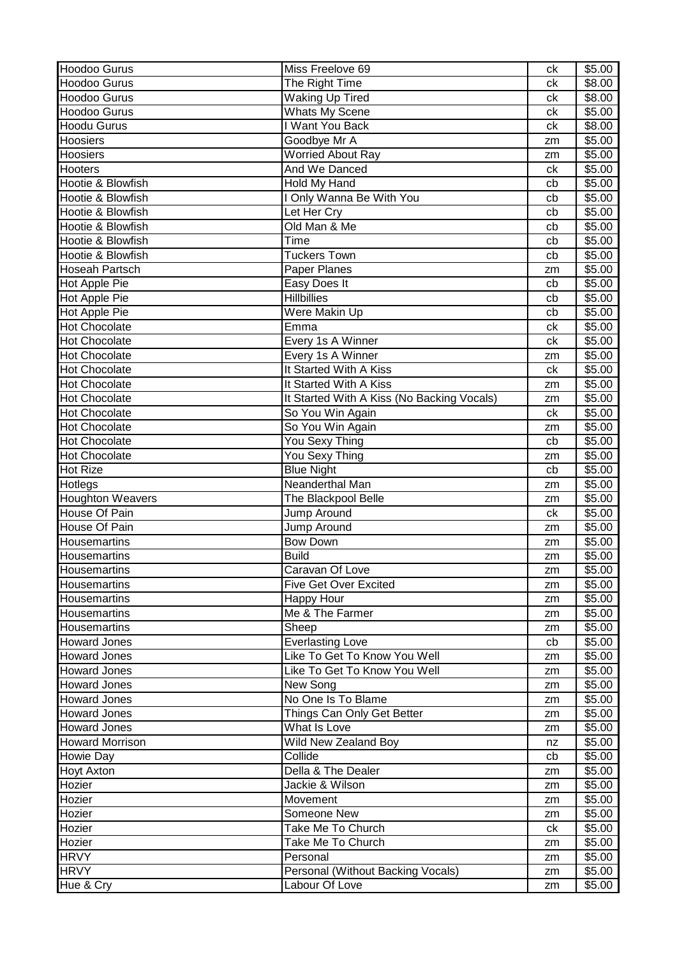| <b>Hoodoo Gurus</b>     | Miss Freelove 69                           | ck | \$5.00 |
|-------------------------|--------------------------------------------|----|--------|
| <b>Hoodoo Gurus</b>     | The Right Time                             | ck | \$8.00 |
| Hoodoo Gurus            | <b>Waking Up Tired</b>                     | сk | \$8.00 |
| <b>Hoodoo Gurus</b>     | <b>Whats My Scene</b>                      | ck | \$5.00 |
| <b>Hoodu Gurus</b>      | I Want You Back                            | ck | \$8.00 |
| <b>Hoosiers</b>         | Goodbye Mr A                               | zm | \$5.00 |
| <b>Hoosiers</b>         | <b>Worried About Ray</b>                   | zm | \$5.00 |
| <b>Hooters</b>          | And We Danced                              | ck | \$5.00 |
| Hootie & Blowfish       | Hold My Hand                               | cb | \$5.00 |
| Hootie & Blowfish       | I Only Wanna Be With You                   | cb | \$5.00 |
| Hootie & Blowfish       | Let Her Cry                                | cb | \$5.00 |
| Hootie & Blowfish       | Old Man & Me                               | cb | \$5.00 |
| Hootie & Blowfish       | Time                                       | cb | \$5.00 |
| Hootie & Blowfish       | <b>Tuckers Town</b>                        | cb | \$5.00 |
| <b>Hoseah Partsch</b>   | Paper Planes                               | zm | \$5.00 |
| <b>Hot Apple Pie</b>    | Easy Does It                               | cb | \$5.00 |
| Hot Apple Pie           | <b>Hillbillies</b>                         | cb | \$5.00 |
| Hot Apple Pie           | Were Makin Up                              | cb | \$5.00 |
| <b>Hot Chocolate</b>    | Emma                                       | ck | \$5.00 |
| <b>Hot Chocolate</b>    | Every 1s A Winner                          | ck | \$5.00 |
| <b>Hot Chocolate</b>    | Every 1s A Winner                          | zm | \$5.00 |
| <b>Hot Chocolate</b>    | It Started With A Kiss                     | ck | \$5.00 |
| <b>Hot Chocolate</b>    | It Started With A Kiss                     | zm | \$5.00 |
| <b>Hot Chocolate</b>    | It Started With A Kiss (No Backing Vocals) | zm | \$5.00 |
| <b>Hot Chocolate</b>    | So You Win Again                           | ck | \$5.00 |
| <b>Hot Chocolate</b>    | So You Win Again                           | zm | \$5.00 |
| <b>Hot Chocolate</b>    | You Sexy Thing                             | cb | \$5.00 |
| <b>Hot Chocolate</b>    | You Sexy Thing                             | zm | \$5.00 |
| <b>Hot Rize</b>         | <b>Blue Night</b>                          | cb | \$5.00 |
| Hotlegs                 | Neanderthal Man                            | zm | \$5.00 |
| <b>Houghton Weavers</b> | The Blackpool Belle                        | zm | \$5.00 |
| House Of Pain           | Jump Around                                | ck | \$5.00 |
| House Of Pain           | Jump Around                                | zm | \$5.00 |
| Housemartins            | <b>Bow Down</b>                            | zm | \$5.00 |
| Housemartins            | <b>Build</b>                               | zm | \$5.00 |
| Housemartins            | Caravan Of Love                            | zm | \$5.00 |
| Housemartins            | <b>Five Get Over Excited</b>               | zm | \$5.00 |
| Housemartins            | Happy Hour                                 | zm | \$5.00 |
| <b>Housemartins</b>     | Me & The Farmer                            | zm | \$5.00 |
| Housemartins            | Sheep                                      | zm | \$5.00 |
| <b>Howard Jones</b>     | <b>Everlasting Love</b>                    | cb | \$5.00 |
| <b>Howard Jones</b>     | Like To Get To Know You Well               | zm | \$5.00 |
| <b>Howard Jones</b>     | Like To Get To Know You Well               | zm | \$5.00 |
| <b>Howard Jones</b>     | New Song                                   | zm | \$5.00 |
| <b>Howard Jones</b>     | No One Is To Blame                         | zm | \$5.00 |
| <b>Howard Jones</b>     | Things Can Only Get Better                 | zm | \$5.00 |
| <b>Howard Jones</b>     | What Is Love                               | zm | \$5.00 |
| <b>Howard Morrison</b>  | Wild New Zealand Boy                       | nz | \$5.00 |
| Howie Day               | Collide                                    | cb | \$5.00 |
| <b>Hoyt Axton</b>       | Della & The Dealer                         | zm | \$5.00 |
| Hozier                  | Jackie & Wilson                            | zm | \$5.00 |
| Hozier                  | Movement                                   | zm | \$5.00 |
| Hozier                  | Someone New                                | zm | \$5.00 |
| Hozier                  | Take Me To Church                          | ck | \$5.00 |
| Hozier                  | Take Me To Church                          | zm | \$5.00 |
| <b>HRVY</b>             | Personal                                   | zm | \$5.00 |
| <b>HRVY</b>             | Personal (Without Backing Vocals)          | zm | \$5.00 |
| Hue & Cry               | Labour Of Love                             | zm | \$5.00 |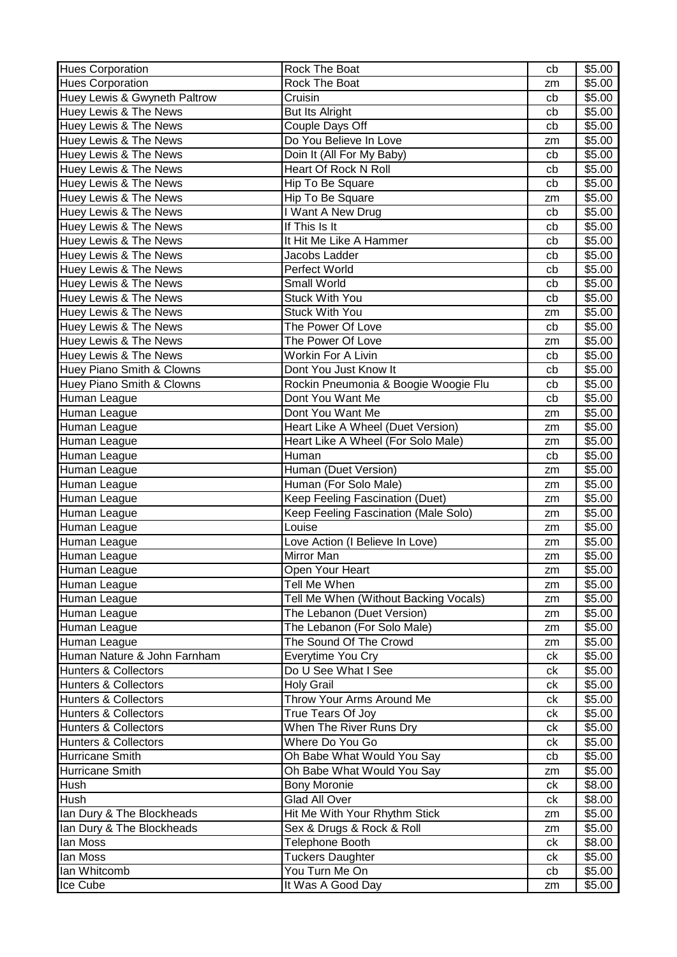| <b>Hues Corporation</b>          | Rock The Boat                         | cb | \$5.00 |
|----------------------------------|---------------------------------------|----|--------|
| <b>Hues Corporation</b>          | Rock The Boat                         | zm | \$5.00 |
| Huey Lewis & Gwyneth Paltrow     | Cruisin                               | cb | \$5.00 |
| Huey Lewis & The News            | <b>But Its Alright</b>                | cb | \$5.00 |
| Huey Lewis & The News            | Couple Days Off                       | cb | \$5.00 |
| Huey Lewis & The News            | Do You Believe In Love                | zm | \$5.00 |
| Huey Lewis & The News            | Doin It (All For My Baby)             | cb | \$5.00 |
| Huey Lewis & The News            | Heart Of Rock N Roll                  | cb | \$5.00 |
| Huey Lewis & The News            | Hip To Be Square                      | cb | \$5.00 |
| <b>Huey Lewis &amp; The News</b> | Hip To Be Square                      | zm | \$5.00 |
| Huey Lewis & The News            | I Want A New Drug                     | cb | \$5.00 |
| Huey Lewis & The News            | If This Is It                         | cb | \$5.00 |
| Huey Lewis & The News            | It Hit Me Like A Hammer               | cb | \$5.00 |
| Huey Lewis & The News            | Jacobs Ladder                         | cb | \$5.00 |
| Huey Lewis & The News            | Perfect World                         | cb | \$5.00 |
| Huey Lewis & The News            | Small World                           | cb | \$5.00 |
| Huey Lewis & The News            | <b>Stuck With You</b>                 | cb | \$5.00 |
| Huey Lewis & The News            | <b>Stuck With You</b>                 | zm | \$5.00 |
| Huey Lewis & The News            | The Power Of Love                     | cb | \$5.00 |
| <b>Huey Lewis &amp; The News</b> | The Power Of Love                     | zm | \$5.00 |
| Huey Lewis & The News            | Workin For A Livin                    | cb | \$5.00 |
| Huey Piano Smith & Clowns        | Dont You Just Know It                 | cb | \$5.00 |
| Huey Piano Smith & Clowns        | Rockin Pneumonia & Boogie Woogie Flu  | cb | \$5.00 |
| Human League                     | Dont You Want Me                      | cb | \$5.00 |
| Human League                     | Dont You Want Me                      | zm | \$5.00 |
| Human League                     | Heart Like A Wheel (Duet Version)     | zm | \$5.00 |
| Human League                     | Heart Like A Wheel (For Solo Male)    | zm | \$5.00 |
| Human League                     | Human                                 | cb | \$5.00 |
| Human League                     | Human (Duet Version)                  | zm | \$5.00 |
| Human League                     | Human (For Solo Male)                 | zm | \$5.00 |
| Human League                     | Keep Feeling Fascination (Duet)       | zm | \$5.00 |
| Human League                     | Keep Feeling Fascination (Male Solo)  | zm | \$5.00 |
| Human League                     | Louise                                | zm | \$5.00 |
| Human League                     | Love Action (I Believe In Love)       | zm | \$5.00 |
| Human League                     | Mirror Man                            | zm | \$5.00 |
| Human League                     | Open Your Heart                       | zm | \$5.00 |
| Human League                     | Tell Me When                          | zm | \$5.00 |
| Human League                     | Tell Me When (Without Backing Vocals) | zm | \$5.00 |
| Human League                     | The Lebanon (Duet Version)            | zm | \$5.00 |
| Human League                     | The Lebanon (For Solo Male)           | zm | \$5.00 |
| Human League                     | The Sound Of The Crowd                | zm | \$5.00 |
| Human Nature & John Farnham      | Everytime You Cry                     | ck | \$5.00 |
| <b>Hunters &amp; Collectors</b>  | Do U See What I See                   | ck | \$5.00 |
| <b>Hunters &amp; Collectors</b>  | <b>Holy Grail</b>                     | сk | \$5.00 |
| Hunters & Collectors             | Throw Your Arms Around Me             | ck | \$5.00 |
| <b>Hunters &amp; Collectors</b>  | True Tears Of Joy                     | ck | \$5.00 |
| <b>Hunters &amp; Collectors</b>  | When The River Runs Dry               | ck | \$5.00 |
| Hunters & Collectors             | Where Do You Go                       | ck | \$5.00 |
| Hurricane Smith                  | Oh Babe What Would You Say            | cb | \$5.00 |
| Hurricane Smith                  | Oh Babe What Would You Say            | zm | \$5.00 |
| Hush                             | <b>Bony Moronie</b>                   | ck | \$8.00 |
| Hush                             | Glad All Over                         | ck | \$8.00 |
| Ian Dury & The Blockheads        | Hit Me With Your Rhythm Stick         | zm | \$5.00 |
| Ian Dury & The Blockheads        | Sex & Drugs & Rock & Roll             | zm | \$5.00 |
| lan Moss                         | Telephone Booth                       | ck | \$8.00 |
| lan Moss                         | <b>Tuckers Daughter</b>               | ck | \$5.00 |
| lan Whitcomb                     | You Turn Me On                        | cb | \$5.00 |
| Ice Cube                         | It Was A Good Day                     | zm | \$5.00 |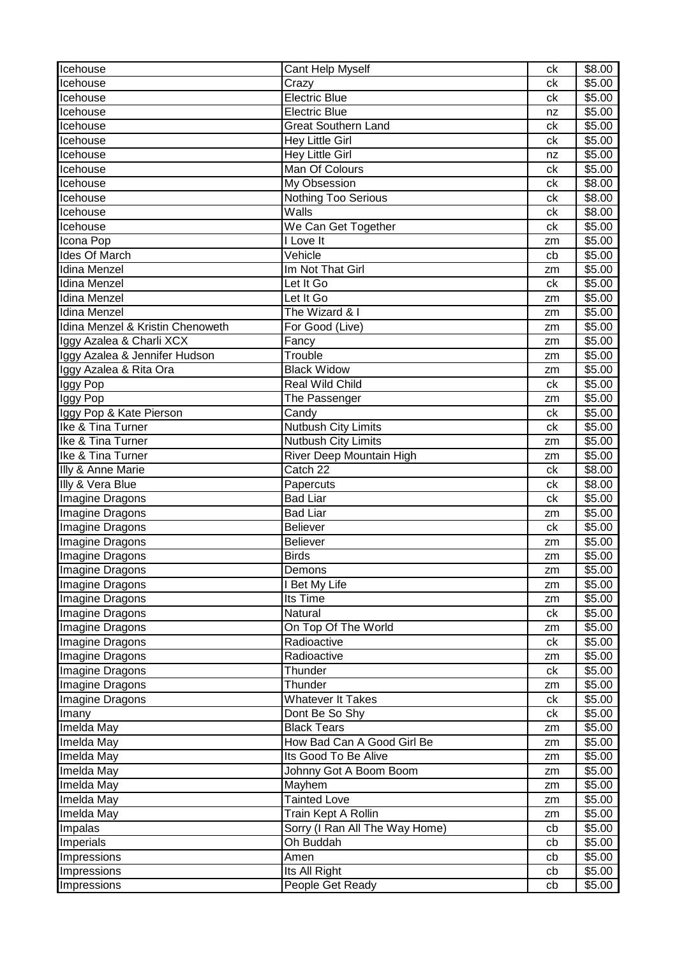| Icehouse                         | Cant Help Myself               | ck | \$8.00             |
|----------------------------------|--------------------------------|----|--------------------|
| Icehouse                         | Crazy                          | ck | \$5.00             |
| Icehouse                         | <b>Electric Blue</b>           | ck | $\overline{$}5.00$ |
| Icehouse                         | <b>Electric Blue</b>           | nz | \$5.00             |
| Icehouse                         | <b>Great Southern Land</b>     | ck | \$5.00             |
| Icehouse                         | Hey Little Girl                | ck | \$5.00             |
| Icehouse                         | <b>Hey Little Girl</b>         | nz | \$5.00             |
| Icehouse                         | Man Of Colours                 | ck | \$5.00             |
| Icehouse                         | <b>My Obsession</b>            | ck | \$8.00             |
| Icehouse                         | <b>Nothing Too Serious</b>     | ck | \$8.00             |
| Icehouse                         | Walls                          | сk | \$8.00             |
| Icehouse                         | We Can Get Together            | ck | \$5.00             |
| Icona Pop                        | I Love It                      | zm | \$5.00             |
| <b>Ides Of March</b>             | Vehicle                        | cb | \$5.00             |
| Idina Menzel                     | Im Not That Girl               | zm | \$5.00             |
| <b>Idina Menzel</b>              | Let It Go                      | ck | \$5.00             |
| <b>Idina Menzel</b>              | Let It Go                      | zm | \$5.00             |
| Idina Menzel                     | The Wizard & I                 | zm | \$5.00             |
| Idina Menzel & Kristin Chenoweth | For Good (Live)                | zm | \$5.00             |
| Iggy Azalea & Charli XCX         | Fancy                          | zm | \$5.00             |
| Iggy Azalea & Jennifer Hudson    | Trouble                        | zm | \$5.00             |
| Iggy Azalea & Rita Ora           | <b>Black Widow</b>             | zm | \$5.00             |
| Iggy Pop                         | Real Wild Child                | ck | \$5.00             |
| Iggy Pop                         | The Passenger                  | zm | \$5.00             |
| Iggy Pop & Kate Pierson          | Candy                          | ck | \$5.00             |
| Ike & Tina Turner                | Nutbush City Limits            | ck | \$5.00             |
| Ike & Tina Turner                | <b>Nutbush City Limits</b>     | zm | \$5.00             |
| Ike & Tina Turner                | River Deep Mountain High       | zm | \$5.00             |
| Illy & Anne Marie                | Catch 22                       | ck | \$8.00             |
| Illy & Vera Blue                 | Papercuts                      | сk | \$8.00             |
| Imagine Dragons                  | Bad Liar                       | ck | \$5.00             |
| Imagine Dragons                  | <b>Bad Liar</b>                | zm | \$5.00             |
| Imagine Dragons                  | <b>Believer</b>                | ck | $\overline{$}5.00$ |
| <b>Imagine Dragons</b>           | <b>Believer</b>                | zm | \$5.00             |
| Imagine Dragons                  | <b>Birds</b>                   | zm | \$5.00             |
| <b>Imagine Dragons</b>           | Demons                         | zm | \$5.00             |
| Imagine Dragons                  | I Bet My Life                  | zm | \$5.00             |
| Imagine Dragons                  | Its Time                       | zm | \$5.00             |
| Imagine Dragons                  | Natural                        | ck | \$5.00             |
| Imagine Dragons                  | On Top Of The World            | zm | \$5.00             |
| Imagine Dragons                  | Radioactive                    | ck | \$5.00             |
| Imagine Dragons                  | Radioactive                    | zm | \$5.00             |
| Imagine Dragons                  | Thunder                        | ck | \$5.00             |
| Imagine Dragons                  | Thunder                        | zm | \$5.00             |
| Imagine Dragons                  | <b>Whatever It Takes</b>       | ck | \$5.00             |
| Imany                            | Dont Be So Shy                 | ck | \$5.00             |
| Imelda May                       | <b>Black Tears</b>             | zm | \$5.00             |
| Imelda May                       | How Bad Can A Good Girl Be     | zm | \$5.00             |
| Imelda May                       | Its Good To Be Alive           | zm | \$5.00             |
| Imelda May                       | Johnny Got A Boom Boom         | zm | \$5.00             |
| Imelda May                       | Mayhem                         | zm | \$5.00             |
| Imelda May                       | <b>Tainted Love</b>            | zm | \$5.00             |
| Imelda May                       | Train Kept A Rollin            | zm | \$5.00             |
| Impalas                          | Sorry (I Ran All The Way Home) | cb | \$5.00             |
| Imperials                        | Oh Buddah                      | cb | \$5.00             |
| Impressions                      | Amen                           | cb | \$5.00             |
| Impressions                      | Its All Right                  | cb | \$5.00             |
| Impressions                      | People Get Ready               | cb | \$5.00             |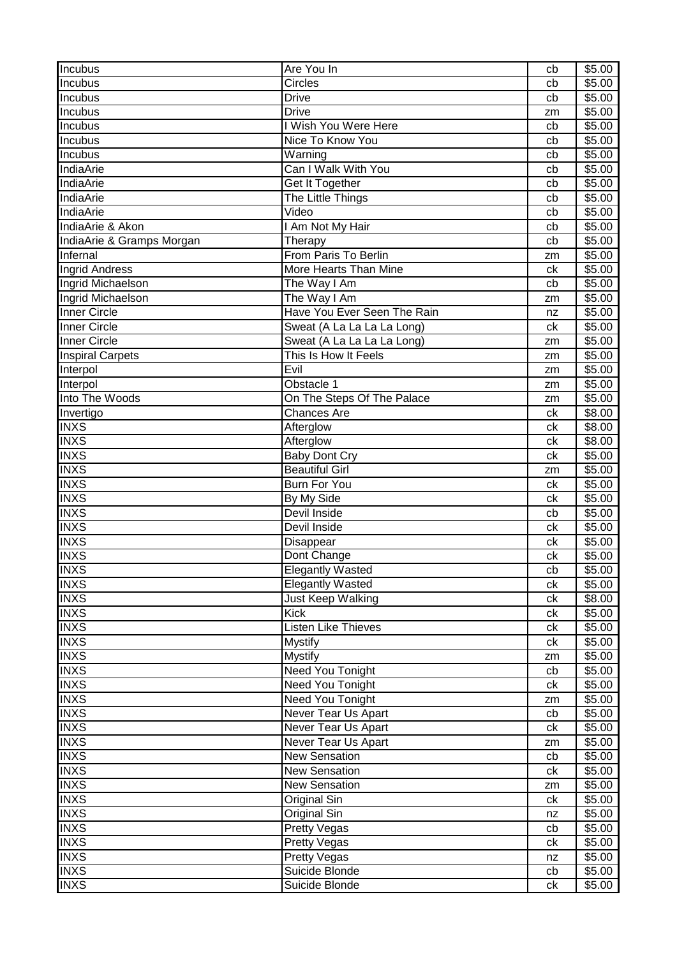| Incubus                    | Are You In                  | cb | \$5.00 |
|----------------------------|-----------------------------|----|--------|
| Incubus                    | <b>Circles</b>              | cb | \$5.00 |
| Incubus                    | <b>Drive</b>                | cb | \$5.00 |
| Incubus                    | <b>Drive</b>                | zm | \$5.00 |
| Incubus                    | I Wish You Were Here        | cb | \$5.00 |
| Incubus                    | Nice To Know You            | cb | \$5.00 |
| Incubus                    | Warning                     | cb | \$5.00 |
| IndiaArie                  | Can I Walk With You         | cb | \$5.00 |
| IndiaArie                  | Get It Together             | cb | \$5.00 |
| <b>IndiaArie</b>           | The Little Things           | cb | \$5.00 |
| <b>IndiaArie</b>           | Video                       | cb | \$5.00 |
| IndiaArie & Akon           | I Am Not My Hair            | cb | \$5.00 |
| IndiaArie & Gramps Morgan  | Therapy                     | cb | \$5.00 |
| Infernal                   | From Paris To Berlin        | zm | \$5.00 |
| <b>Ingrid Andress</b>      | More Hearts Than Mine       | ck | \$5.00 |
| Ingrid Michaelson          | The Way I Am                | cb | \$5.00 |
| Ingrid Michaelson          | The Way I Am                | zm | \$5.00 |
| Inner Circle               | Have You Ever Seen The Rain | nz | \$5.00 |
| Inner Circle               | Sweat (A La La La La Long)  | ck | \$5.00 |
| <b>Inner Circle</b>        | Sweat (A La La La La Long)  | zm | \$5.00 |
| <b>Inspiral Carpets</b>    | This Is How It Feels        | zm | \$5.00 |
| Interpol                   | Evil                        |    | \$5.00 |
|                            | Obstacle 1                  | zm |        |
| Interpol<br>Into The Woods |                             | zm | \$5.00 |
|                            | On The Steps Of The Palace  | zm | \$5.00 |
| Invertigo                  | <b>Chances Are</b>          | ck | \$8.00 |
| <b>INXS</b>                | Afterglow                   | ck | \$8.00 |
| <b>INXS</b>                | Afterglow                   | ck | \$8.00 |
| <b>INXS</b>                | <b>Baby Dont Cry</b>        | ck | \$5.00 |
| <b>INXS</b>                | <b>Beautiful Girl</b>       | zm | \$5.00 |
| <b>INXS</b>                | <b>Burn For You</b>         | ck | \$5.00 |
| <b>INXS</b>                | By My Side                  | ck | \$5.00 |
| <b>INXS</b>                | Devil Inside                | cb | \$5.00 |
| <b>INXS</b>                | Devil Inside                | ck | \$5.00 |
| <b>INXS</b>                | Disappear                   | ck | \$5.00 |
| <b>INXS</b>                | Dont Change                 | сk | \$5.00 |
| <b>INXS</b>                | <b>Elegantly Wasted</b>     | cb | \$5.00 |
| <b>INXS</b>                | <b>Elegantly Wasted</b>     | ck | \$5.00 |
| <b>INXS</b>                | Just Keep Walking           | ck | \$8.00 |
| <b>INXS</b>                | <b>Kick</b>                 | сk | \$5.00 |
| <b>INXS</b>                | <b>Listen Like Thieves</b>  | сk | \$5.00 |
| <b>INXS</b>                | <b>Mystify</b>              | сk | \$5.00 |
| <b>INXS</b>                | <b>Mystify</b>              | zm | \$5.00 |
| <b>INXS</b>                | Need You Tonight            | cb | \$5.00 |
| <b>INXS</b>                | Need You Tonight            | ck | \$5.00 |
| <b>INXS</b>                | Need You Tonight            | zm | \$5.00 |
| <b>INXS</b>                | Never Tear Us Apart         | cb | \$5.00 |
| <b>INXS</b>                | Never Tear Us Apart         | ck | \$5.00 |
| <b>INXS</b>                | Never Tear Us Apart         | zm | \$5.00 |
| <b>INXS</b>                | <b>New Sensation</b>        | cb | \$5.00 |
| <b>INXS</b>                | <b>New Sensation</b>        | сk | \$5.00 |
| <b>INXS</b>                | <b>New Sensation</b>        | zm | \$5.00 |
| <b>INXS</b>                | Original Sin                | ck | \$5.00 |
| <b>INXS</b>                | Original Sin                | nz | \$5.00 |
| <b>INXS</b>                | <b>Pretty Vegas</b>         | cb | \$5.00 |
| <b>INXS</b>                | Pretty Vegas                | сk | \$5.00 |
| <b>INXS</b>                | <b>Pretty Vegas</b>         | nz | \$5.00 |
| <b>INXS</b>                | Suicide Blonde              | cb | \$5.00 |
| <b>INXS</b>                | Suicide Blonde              | ck | \$5.00 |
|                            |                             |    |        |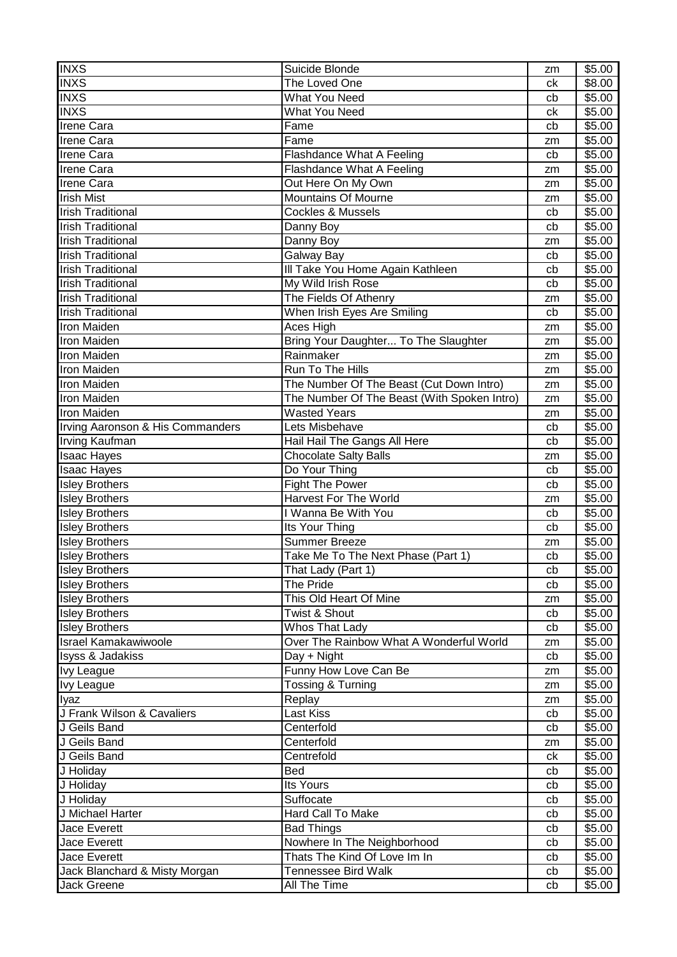| <b>INXS</b>                      | Suicide Blonde                              | zm | \$5.00 |
|----------------------------------|---------------------------------------------|----|--------|
| <b>INXS</b>                      | The Loved One                               | ck | \$8.00 |
| <b>INXS</b>                      | What You Need                               | cb | \$5.00 |
| <b>INXS</b>                      | <b>What You Need</b>                        | ck | \$5.00 |
| <b>Irene Cara</b>                | Fame                                        | cb | \$5.00 |
| <b>Irene Cara</b>                | Fame                                        | zm | \$5.00 |
| <b>Irene Cara</b>                | Flashdance What A Feeling                   | cb | \$5.00 |
| <b>Irene Cara</b>                | Flashdance What A Feeling                   | zm | \$5.00 |
| <b>Irene Cara</b>                | Out Here On My Own                          | zm | \$5.00 |
| <b>Irish Mist</b>                | <b>Mountains Of Mourne</b>                  | zm | \$5.00 |
| <b>Irish Traditional</b>         | <b>Cockles &amp; Mussels</b>                | cb | \$5.00 |
| <b>Irish Traditional</b>         | Danny Boy                                   | cb | \$5.00 |
| <b>Irish Traditional</b>         | Danny Boy                                   | zm | \$5.00 |
| <b>Irish Traditional</b>         | Galway Bay                                  | cb | \$5.00 |
| <b>Irish Traditional</b>         | III Take You Home Again Kathleen            | cb | \$5.00 |
| <b>Irish Traditional</b>         | My Wild Irish Rose                          | cb | \$5.00 |
| <b>Irish Traditional</b>         | The Fields Of Athenry                       | zm | \$5.00 |
| <b>Irish Traditional</b>         | When Irish Eyes Are Smiling                 | cb | \$5.00 |
| Iron Maiden                      | Aces High                                   | zm | \$5.00 |
| Iron Maiden                      | Bring Your Daughter To The Slaughter        | zm | \$5.00 |
| Iron Maiden                      | Rainmaker                                   | zm | \$5.00 |
| <b>Iron Maiden</b>               | Run To The Hills                            | zm | \$5.00 |
| <b>Iron Maiden</b>               | The Number Of The Beast (Cut Down Intro)    | zm | \$5.00 |
| Iron Maiden                      | The Number Of The Beast (With Spoken Intro) | zm | \$5.00 |
| <b>Iron Maiden</b>               | <b>Wasted Years</b>                         | zm | \$5.00 |
| Irving Aaronson & His Commanders | Lets Misbehave                              | cb | \$5.00 |
| <b>Irving Kaufman</b>            | Hail Hail The Gangs All Here                | cb | \$5.00 |
| <b>Isaac Hayes</b>               | <b>Chocolate Salty Balls</b>                | zm | \$5.00 |
| <b>Isaac Hayes</b>               | Do Your Thing                               | cb | \$5.00 |
| <b>Isley Brothers</b>            | <b>Fight The Power</b>                      | cb | \$5.00 |
| <b>Isley Brothers</b>            | <b>Harvest For The World</b>                | zm | \$5.00 |
| <b>Isley Brothers</b>            | I Wanna Be With You                         | cb | \$5.00 |
| <b>Isley Brothers</b>            | Its Your Thing                              | cb | \$5.00 |
| <b>Isley Brothers</b>            | <b>Summer Breeze</b>                        | zm | \$5.00 |
| <b>Isley Brothers</b>            | Take Me To The Next Phase (Part 1)          | cb | \$5.00 |
| <b>Isley Brothers</b>            | That Lady (Part 1)                          | cb | \$5.00 |
| <b>Isley Brothers</b>            | The Pride                                   | cb | \$5.00 |
| <b>Isley Brothers</b>            | This Old Heart Of Mine                      | zm | \$5.00 |
| <b>Isley Brothers</b>            | Twist & Shout                               | cb | \$5.00 |
| <b>Isley Brothers</b>            | Whos That Lady                              | cb | \$5.00 |
| <b>Israel Kamakawiwoole</b>      | Over The Rainbow What A Wonderful World     | zm | \$5.00 |
| Isyss & Jadakiss                 | Day + Night                                 | cb | \$5.00 |
| <b>Ivy League</b>                | Funny How Love Can Be                       | zm | \$5.00 |
| <b>Ivy League</b>                | Tossing & Turning                           | zm | \$5.00 |
| Iyaz                             | Replay                                      | zm | \$5.00 |
| J Frank Wilson & Cavaliers       | Last Kiss                                   | cb | \$5.00 |
| J Geils Band                     | Centerfold                                  | cb | \$5.00 |
| J Geils Band                     | Centerfold                                  | zm | \$5.00 |
| J Geils Band                     | Centrefold                                  | ck | \$5.00 |
| J Holiday                        | Bed                                         | cb | \$5.00 |
| J Holiday                        | Its Yours                                   | cb | \$5.00 |
| J Holiday                        | Suffocate                                   | cb | \$5.00 |
| J Michael Harter                 | Hard Call To Make                           | cb | \$5.00 |
| Jace Everett                     | <b>Bad Things</b>                           | cb | \$5.00 |
| <b>Jace Everett</b>              | Nowhere In The Neighborhood                 | cb | \$5.00 |
| Jace Everett                     | Thats The Kind Of Love Im In                | cb | \$5.00 |
| Jack Blanchard & Misty Morgan    | <b>Tennessee Bird Walk</b>                  | cb | \$5.00 |
| Jack Greene                      | All The Time                                | cb | \$5.00 |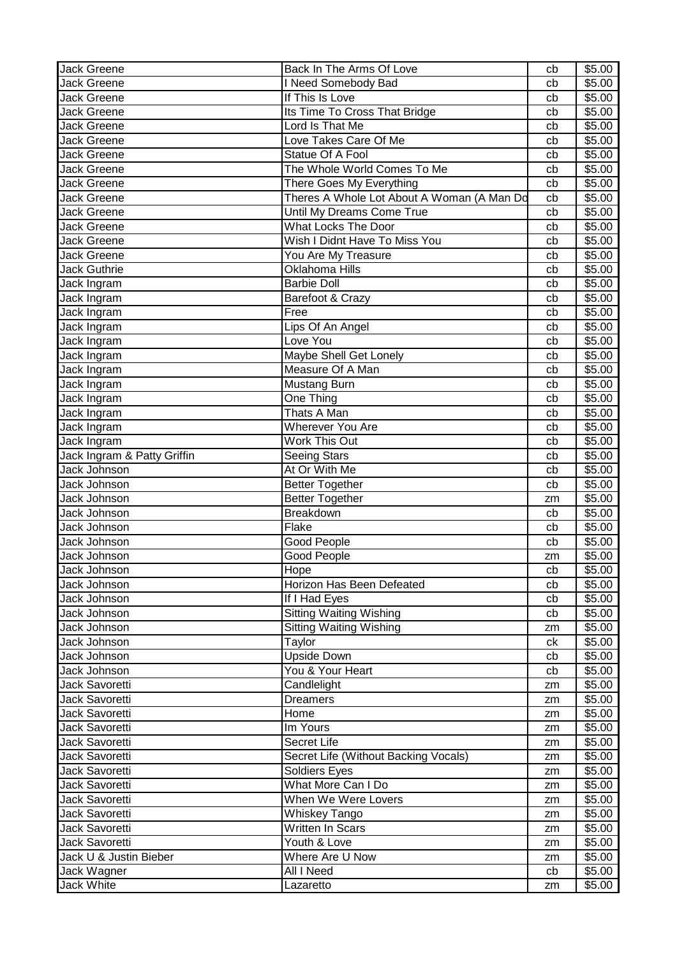| <b>Jack Greene</b>          | Back In The Arms Of Love                   | cb | \$5.00             |
|-----------------------------|--------------------------------------------|----|--------------------|
| Jack Greene                 | I Need Somebody Bad                        | cb | \$5.00             |
| <b>Jack Greene</b>          | If This Is Love                            | cb | \$5.00             |
| <b>Jack Greene</b>          | Its Time To Cross That Bridge              | cb | \$5.00             |
| Jack Greene                 | Lord Is That Me                            | cb | \$5.00             |
| <b>Jack Greene</b>          | Love Takes Care Of Me                      | cb | \$5.00             |
| <b>Jack Greene</b>          | Statue Of A Fool                           | cb | \$5.00             |
| <b>Jack Greene</b>          | The Whole World Comes To Me                | cb | \$5.00             |
| Jack Greene                 | There Goes My Everything                   | cb | \$5.00             |
| <b>Jack Greene</b>          | Theres A Whole Lot About A Woman (A Man Do | cb | \$5.00             |
| <b>Jack Greene</b>          | Until My Dreams Come True                  | cb | \$5.00             |
| <b>Jack Greene</b>          | <b>What Locks The Door</b>                 | cb | \$5.00             |
| <b>Jack Greene</b>          | Wish I Didnt Have To Miss You              | cb | \$5.00             |
| <b>Jack Greene</b>          | You Are My Treasure                        |    | \$5.00             |
|                             | <b>Oklahoma Hills</b>                      | cb |                    |
| <b>Jack Guthrie</b>         |                                            | cb | \$5.00             |
| Jack Ingram                 | <b>Barbie Doll</b>                         | cb | \$5.00             |
| Jack Ingram                 | Barefoot & Crazy                           | cb | \$5.00             |
| Jack Ingram                 | Free                                       | cb | \$5.00             |
| Jack Ingram                 | Lips Of An Angel                           | cb | \$5.00             |
| Jack Ingram                 | Love You                                   | cb | \$5.00             |
| Jack Ingram                 | Maybe Shell Get Lonely                     | cb | \$5.00             |
| Jack Ingram                 | Measure Of A Man                           | cb | \$5.00             |
| Jack Ingram                 | Mustang Burn                               | cb | \$5.00             |
| Jack Ingram                 | One Thing                                  | cb | \$5.00             |
| Jack Ingram                 | <b>Thats A Man</b>                         | cb | $\overline{$}5.00$ |
| Jack Ingram                 | <b>Wherever You Are</b>                    | cb | \$5.00             |
| Jack Ingram                 | <b>Work This Out</b>                       | cb | \$5.00             |
| Jack Ingram & Patty Griffin | <b>Seeing Stars</b>                        | cb | \$5.00             |
| Jack Johnson                | At Or With Me                              | cb | \$5.00             |
| Jack Johnson                | <b>Better Together</b>                     | cb | \$5.00             |
| Jack Johnson                | <b>Better Together</b>                     | zm | \$5.00             |
| Jack Johnson                | Breakdown                                  | cb | \$5.00             |
| Jack Johnson                | Flake                                      | cb | \$5.00             |
| Jack Johnson                | Good People                                | cb | \$5.00             |
| Jack Johnson                | <b>Good People</b>                         | zm | \$5.00             |
| Jack Johnson                | Hope                                       | cb | \$5.00             |
| Jack Johnson                | Horizon Has Been Defeated                  | cb | \$5.00             |
| Jack Johnson                | If I Had Eyes                              | cb | \$5.00             |
| Jack Johnson                | <b>Sitting Waiting Wishing</b>             | cb | \$5.00             |
| Jack Johnson                | <b>Sitting Waiting Wishing</b>             | zm | \$5.00             |
| Jack Johnson                | Taylor                                     | ck | \$5.00             |
| Jack Johnson                | <b>Upside Down</b>                         | cb | \$5.00             |
| Jack Johnson                | You & Your Heart                           | cb | \$5.00             |
| <b>Jack Savoretti</b>       | Candlelight                                |    | \$5.00             |
|                             |                                            | zm |                    |
| Jack Savoretti              | <b>Dreamers</b>                            | zm | \$5.00             |
| Jack Savoretti              | Home                                       | zm | \$5.00             |
| Jack Savoretti              | Im Yours                                   | zm | \$5.00             |
| Jack Savoretti              | Secret Life                                | zm | \$5.00             |
| Jack Savoretti              | Secret Life (Without Backing Vocals)       | zm | \$5.00             |
| Jack Savoretti              | <b>Soldiers Eyes</b>                       | zm | \$5.00             |
| Jack Savoretti              | What More Can I Do                         | zm | \$5.00             |
| Jack Savoretti              | When We Were Lovers                        | zm | \$5.00             |
| Jack Savoretti              | Whiskey Tango                              | zm | \$5.00             |
| Jack Savoretti              | Written In Scars                           | zm | \$5.00             |
| Jack Savoretti              | Youth & Love                               | zm | \$5.00             |
| Jack U & Justin Bieber      | Where Are U Now                            | zm | \$5.00             |
| Jack Wagner                 | All I Need                                 | cb | \$5.00             |
| Jack White                  | Lazaretto                                  | zm | \$5.00             |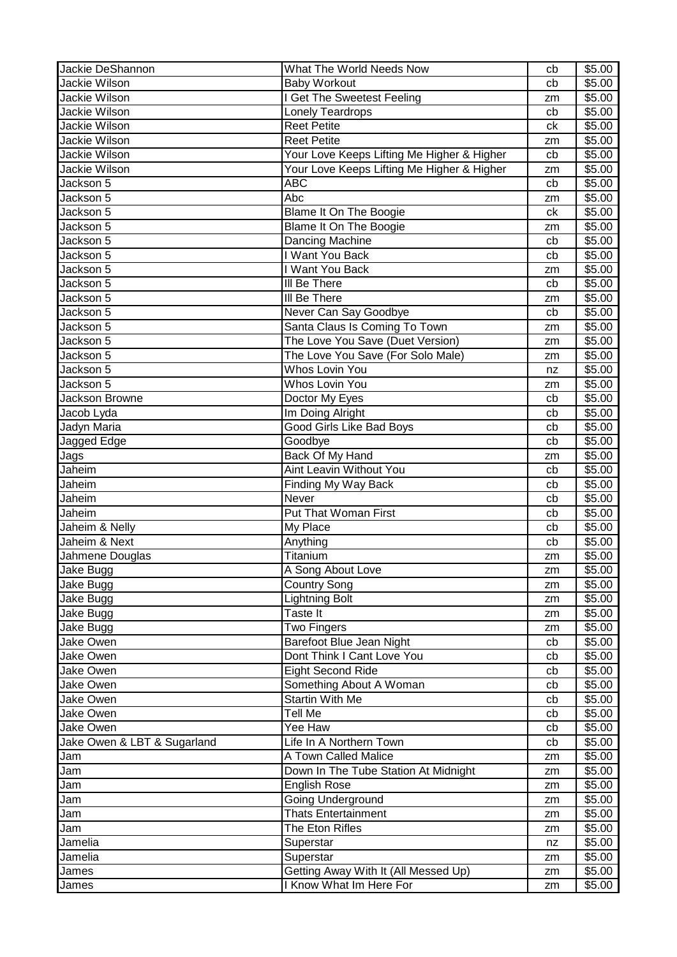| Jackie DeShannon            | What The World Needs Now                   | cb | \$5.00             |
|-----------------------------|--------------------------------------------|----|--------------------|
| Jackie Wilson               | <b>Baby Workout</b>                        | cb | \$5.00             |
| Jackie Wilson               | I Get The Sweetest Feeling                 | zm | \$5.00             |
| Jackie Wilson               | Lonely Teardrops                           | cb | \$5.00             |
| Jackie Wilson               | <b>Reet Petite</b>                         | ck | \$5.00             |
| Jackie Wilson               | <b>Reet Petite</b>                         | zm | \$5.00             |
| Jackie Wilson               | Your Love Keeps Lifting Me Higher & Higher | cb | \$5.00             |
| Jackie Wilson               | Your Love Keeps Lifting Me Higher & Higher | zm | \$5.00             |
| Jackson 5                   | <b>ABC</b>                                 | cb | \$5.00             |
| Jackson 5                   | Abc                                        | zm | \$5.00             |
| Jackson 5                   | Blame It On The Boogie                     | ck | \$5.00             |
| Jackson 5                   | Blame It On The Boogie                     | zm | \$5.00             |
| Jackson 5                   | Dancing Machine                            | cb | \$5.00             |
| Jackson 5                   | I Want You Back                            | cb | \$5.00             |
| Jackson 5                   | I Want You Back                            | zm | \$5.00             |
| Jackson 5                   | III Be There                               | cb | \$5.00             |
| Jackson 5                   | III Be There                               | zm | \$5.00             |
| Jackson 5                   | Never Can Say Goodbye                      | cb | \$5.00             |
| Jackson 5                   | Santa Claus Is Coming To Town              | zm | \$5.00             |
| Jackson 5                   | The Love You Save (Duet Version)           | zm | \$5.00             |
| Jackson 5                   | The Love You Save (For Solo Male)          | zm | \$5.00             |
| Jackson 5                   | <b>Whos Lovin You</b>                      |    | \$5.00             |
| Jackson 5                   | <b>Whos Lovin You</b>                      | nz | \$5.00             |
| Jackson Browne              |                                            | zm |                    |
|                             | Doctor My Eyes                             | cb | \$5.00             |
| Jacob Lyda                  | Im Doing Alright                           | cb | \$5.00             |
| Jadyn Maria                 | Good Girls Like Bad Boys                   | cb | \$5.00             |
| Jagged Edge                 | Goodbye                                    | cb | \$5.00             |
| Jags                        | Back Of My Hand                            | zm | \$5.00             |
| Jaheim                      | <b>Aint Leavin Without You</b>             | cb | \$5.00             |
| Jaheim                      | Finding My Way Back                        | cb | \$5.00             |
| Jaheim                      | Never                                      | cb | \$5.00             |
| Jaheim                      | Put That Woman First                       | cb | \$5.00             |
| Jaheim & Nelly              | My Place                                   | cb | \$5.00             |
| Jaheim & Next               | Anything                                   | cb | \$5.00             |
| Jahmene Douglas             | Titanium                                   | zm | \$5.00             |
| Jake Bugg                   | A Song About Love                          | zm | \$5.00             |
| Jake Bugg                   | <b>Country Song</b>                        | zm | \$5.00             |
| Jake Bugg                   | <b>Lightning Bolt</b>                      | zm | \$5.00             |
| Jake Bugg                   | Taste It                                   | zm | $\overline{$}5.00$ |
| Jake Bugg                   | <b>Two Fingers</b>                         | zm | \$5.00             |
| Jake Owen                   | Barefoot Blue Jean Night                   | cb | \$5.00             |
| Jake Owen                   | Dont Think I Cant Love You                 | cb | \$5.00             |
| Jake Owen                   | <b>Eight Second Ride</b>                   | cb | \$5.00             |
| Jake Owen                   | Something About A Woman                    | cb | \$5.00             |
| Jake Owen                   | Startin With Me                            | cb | \$5.00             |
| Jake Owen                   | <b>Tell Me</b>                             | cb | \$5.00             |
| Jake Owen                   | Yee Haw                                    | cb | \$5.00             |
| Jake Owen & LBT & Sugarland | Life In A Northern Town                    | cb | \$5.00             |
| Jam                         | A Town Called Malice                       | zm | \$5.00             |
| Jam                         | Down In The Tube Station At Midnight       | zm | \$5.00             |
| Jam                         | <b>English Rose</b>                        | zm | \$5.00             |
| Jam                         | Going Underground                          | zm | \$5.00             |
| Jam                         | Thats Entertainment                        | zm | \$5.00             |
| Jam                         | The Eton Rifles                            | zm | \$5.00             |
| Jamelia                     | Superstar                                  | nz | \$5.00             |
| Jamelia                     | Superstar                                  | zm | \$5.00             |
| James                       | Getting Away With It (All Messed Up)       | zm | \$5.00             |
| James                       | I Know What Im Here For                    | zm | \$5.00             |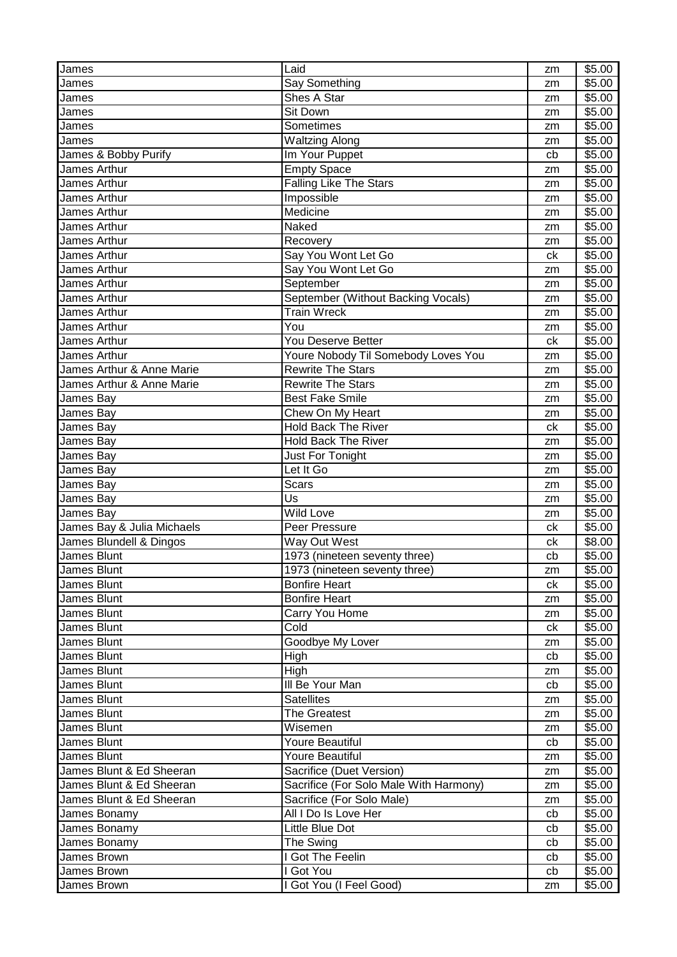| James                        | Laid                                   | zm | \$5.00 |
|------------------------------|----------------------------------------|----|--------|
| James                        | Say Something                          | zm | \$5.00 |
| James                        | Shes A Star                            | zm | \$5.00 |
| James                        | Sit Down                               | zm | \$5.00 |
| James                        | Sometimes                              | zm | \$5.00 |
| James                        | <b>Waltzing Along</b>                  | zm | \$5.00 |
| I<br>James & Bobby Purify    | Im Your Puppet                         | cb | \$5.00 |
| James Arthur                 | <b>Empty Space</b>                     | zm | \$5.00 |
| James Arthur                 | <b>Falling Like The Stars</b>          | zm | \$5.00 |
| James Arthur                 | Impossible                             | zm | \$5.00 |
| James Arthur                 | Medicine                               | zm | \$5.00 |
| James Arthur                 | Naked                                  |    | \$5.00 |
| James Arthur                 | Recovery                               | zm | \$5.00 |
| James Arthur                 | Say You Wont Let Go                    | zm | \$5.00 |
| <b>James Arthur</b>          |                                        | ck |        |
|                              | Say You Wont Let Go                    | zm | \$5.00 |
| <b>James Arthur</b>          | September                              | zm | \$5.00 |
| James Arthur                 | September (Without Backing Vocals)     | zm | \$5.00 |
| James Arthur                 | <b>Train Wreck</b>                     | zm | \$5.00 |
| James Arthur                 | You                                    | zm | \$5.00 |
| James Arthur                 | You Deserve Better                     | ck | \$5.00 |
| James Arthur                 | Youre Nobody Til Somebody Loves You    | zm | \$5.00 |
| James Arthur & Anne Marie    | <b>Rewrite The Stars</b>               | zm | \$5.00 |
| James Arthur & Anne Marie    | <b>Rewrite The Stars</b>               | zm | \$5.00 |
| I<br>James Bay               | <b>Best Fake Smile</b>                 | zm | \$5.00 |
| <b>James Bay</b>             | Chew On My Heart                       | zm | \$5.00 |
| James Bay                    | <b>Hold Back The River</b>             | ck | \$5.00 |
| James Bay                    | <b>Hold Back The River</b>             | zm | \$5.00 |
| James Bay                    | Just For Tonight                       | zm | \$5.00 |
| James Bay                    | Let It Go                              | zm | \$5.00 |
| James Bay                    | <b>Scars</b>                           | zm | \$5.00 |
| James Bay                    | Us                                     | zm | \$5.00 |
| James Bay                    | Wild Love                              | zm | \$5.00 |
| James Bay & Julia Michaels   | Peer Pressure                          | ck | \$5.00 |
| I<br>James Blundell & Dingos | Way Out West                           | ck | \$8.00 |
| James Blunt                  | 1973 (nineteen seventy three)          | cb | \$5.00 |
| I<br>James Blunt             | 1973 (nineteen seventy three)          | zm | \$5.00 |
| James Blunt                  | <b>Bonfire Heart</b>                   | ck | \$5.00 |
| James Blunt                  | <b>Bonfire Heart</b>                   | zm | \$5.00 |
| James Blunt                  | Carry You Home                         | zm | \$5.00 |
| <b>James Blunt</b>           | Cold                                   | ck | \$5.00 |
| James Blunt                  | Goodbye My Lover                       | zm | \$5.00 |
| James Blunt                  | High                                   | cb | \$5.00 |
| James Blunt                  | High                                   | zm | \$5.00 |
| James Blunt                  | III Be Your Man                        | cb | \$5.00 |
| <b>James Blunt</b>           | <b>Satellites</b>                      | zm | \$5.00 |
| James Blunt                  | <b>The Greatest</b>                    | zm | \$5.00 |
| James Blunt                  | Wisemen                                | zm | \$5.00 |
|                              | Youre Beautiful                        | cb | \$5.00 |
| James Blunt<br>James Blunt   | Youre Beautiful                        |    |        |
| James Blunt & Ed Sheeran     |                                        | zm | \$5.00 |
| James Blunt & Ed Sheeran     | Sacrifice (Duet Version)               | zm | \$5.00 |
|                              | Sacrifice (For Solo Male With Harmony) | zm | \$5.00 |
| James Blunt & Ed Sheeran     | Sacrifice (For Solo Male)              | zm | \$5.00 |
| James Bonamy                 | All I Do Is Love Her                   | cb | \$5.00 |
| James Bonamy                 | Little Blue Dot                        | cb | \$5.00 |
| James Bonamy                 | The Swing                              | cb | \$5.00 |
| James Brown                  | I Got The Feelin                       | cb | \$5.00 |
| James Brown                  | I Got You                              | cb | \$5.00 |
| James Brown                  | I Got You (I Feel Good)                | zm | \$5.00 |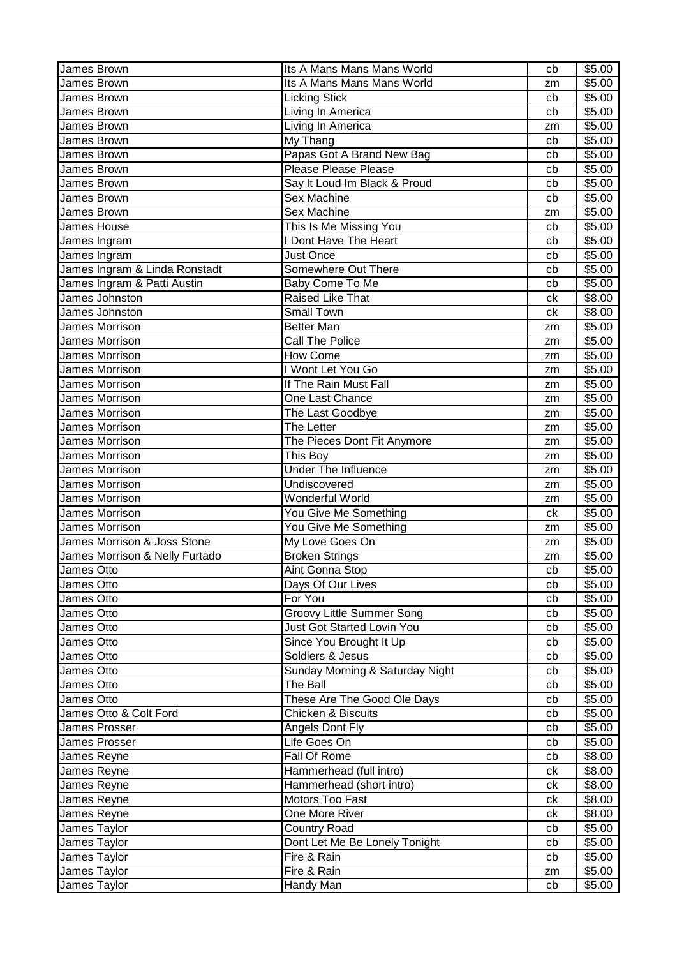| James Brown                    | Its A Mans Mans Mans World      | cb | \$5.00 |
|--------------------------------|---------------------------------|----|--------|
| James Brown                    | Its A Mans Mans Mans World      | zm | \$5.00 |
| James Brown                    | <b>Licking Stick</b>            | cb | \$5.00 |
| James Brown                    | Living In America               | cb | \$5.00 |
| James Brown                    | Living In America               | zm | \$5.00 |
| James Brown                    | My Thang                        | cb | \$5.00 |
| James Brown                    | Papas Got A Brand New Bag       | cb | \$5.00 |
| James Brown                    | Please Please Please            | cb | \$5.00 |
| James Brown                    | Say It Loud Im Black & Proud    | cb | \$5.00 |
| James Brown                    | <b>Sex Machine</b>              | cb | \$5.00 |
| James Brown                    | <b>Sex Machine</b>              | zm | \$5.00 |
| James House                    | This Is Me Missing You          | cb | \$5.00 |
| James Ingram                   | I Dont Have The Heart           | cb | \$5.00 |
| James Ingram                   | <b>Just Once</b>                | cb | \$5.00 |
| James Ingram & Linda Ronstadt  | Somewhere Out There             | cb | \$5.00 |
| James Ingram & Patti Austin    | Baby Come To Me                 | cb | \$5.00 |
| James Johnston                 | Raised Like That                | ck | \$8.00 |
| James Johnston                 | <b>Small Town</b>               | ck | \$8.00 |
| James Morrison                 | <b>Better Man</b>               | zm | \$5.00 |
| James Morrison                 | <b>Call The Police</b>          | zm | \$5.00 |
| James Morrison                 | How Come                        | zm | \$5.00 |
| <b>James Morrison</b>          | I Wont Let You Go               | zm | \$5.00 |
| <b>James Morrison</b>          | If The Rain Must Fall           | zm | \$5.00 |
| James Morrison                 | One Last Chance                 | zm | \$5.00 |
| James Morrison                 | The Last Goodbye                | zm | \$5.00 |
| <b>James Morrison</b>          | The Letter                      | zm | \$5.00 |
| <b>James Morrison</b>          | The Pieces Dont Fit Anymore     | zm | \$5.00 |
| James Morrison                 | This Boy                        | zm | \$5.00 |
| James Morrison                 | <b>Under The Influence</b>      | zm | \$5.00 |
| James Morrison                 | Undiscovered                    | zm | \$5.00 |
| James Morrison                 | Wonderful World                 | zm | \$5.00 |
| James Morrison                 | You Give Me Something           | ck | \$5.00 |
| <b>James Morrison</b>          | You Give Me Something           | zm | \$5.00 |
| James Morrison & Joss Stone    | My Love Goes On                 | zm | \$5.00 |
| James Morrison & Nelly Furtado | <b>Broken Strings</b>           | zm | \$5.00 |
| James Otto                     | Aint Gonna Stop                 | cb | \$5.00 |
| James Otto                     | Days Of Our Lives               | cb | \$5.00 |
| James Otto                     | For You                         | cb | \$5.00 |
| James Otto                     | Groovy Little Summer Song       | cb | \$5.00 |
| James Otto                     | Just Got Started Lovin You      | cb | \$5.00 |
| James Otto                     | Since You Brought It Up         | cb | \$5.00 |
| James Otto                     | Soldiers & Jesus                | cb | \$5.00 |
| James Otto                     | Sunday Morning & Saturday Night | cb | \$5.00 |
| James Otto                     | The Ball                        | cb | \$5.00 |
| James Otto                     | These Are The Good Ole Days     | cb | \$5.00 |
| James Otto & Colt Ford         | Chicken & Biscuits              | cb | \$5.00 |
| James Prosser                  | Angels Dont Fly                 | cb | \$5.00 |
| James Prosser                  | Life Goes On                    | cb | \$5.00 |
| James Reyne                    | Fall Of Rome                    | cb | \$8.00 |
| James Reyne                    | Hammerhead (full intro)         | сk | \$8.00 |
| James Reyne                    | Hammerhead (short intro)        | ck | \$8.00 |
| James Reyne                    | Motors Too Fast                 | ck | \$8.00 |
| James Reyne                    | One More River                  | сk | \$8.00 |
| James Taylor                   | <b>Country Road</b>             | cb | \$5.00 |
| James Taylor                   | Dont Let Me Be Lonely Tonight   | cb | \$5.00 |
| James Taylor                   | Fire & Rain                     | cb | \$5.00 |
| James Taylor                   | Fire & Rain                     | zm | \$5.00 |
| James Taylor                   | Handy Man                       | cb | \$5.00 |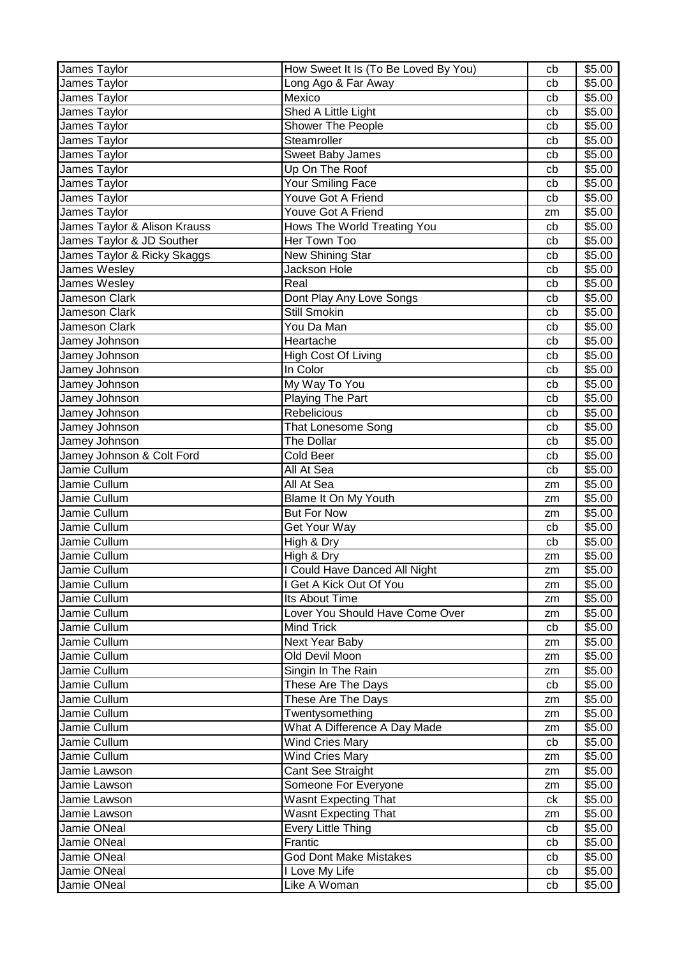| James Taylor                 | How Sweet It Is (To Be Loved By You) | cb            | \$5.00             |
|------------------------------|--------------------------------------|---------------|--------------------|
| James Taylor                 | Long Ago & Far Away                  | cb            | \$5.00             |
| James Taylor                 | Mexico                               | cb            | \$5.00             |
| James Taylor                 | Shed A Little Light                  | cb            | \$5.00             |
| James Taylor                 | <b>Shower The People</b>             | cb            | \$5.00             |
| James Taylor                 | Steamroller                          | cb            | \$5.00             |
| James Taylor                 | Sweet Baby James                     | cb            | \$5.00             |
| James Taylor                 | Up On The Roof                       | cb            | \$5.00             |
| James Taylor                 | Your Smiling Face                    | cb            | \$5.00             |
| James Taylor                 | Youve Got A Friend                   | cb            | \$5.00             |
| James Taylor                 | Youve Got A Friend                   | zm            | \$5.00             |
| James Taylor & Alison Krauss | Hows The World Treating You          | cb            | \$5.00             |
| James Taylor & JD Souther    | Her Town Too                         | cb            | \$5.00             |
| James Taylor & Ricky Skaggs  | New Shining Star                     | cb            | \$5.00             |
| James Wesley                 | <b>Jackson Hole</b>                  | cb            | \$5.00             |
| James Wesley                 | Real                                 | cb            | \$5.00             |
| Jameson Clark                | Dont Play Any Love Songs             | cb            | \$5.00             |
| Jameson Clark                | <b>Still Smokin</b>                  | cb            | \$5.00             |
| Jameson Clark                | You Da Man                           | cb            | \$5.00             |
| Jamey Johnson                | Heartache                            | cb            | \$5.00             |
| Jamey Johnson                | High Cost Of Living                  | cb            | \$5.00             |
| Jamey Johnson                | In Color                             | cb            | \$5.00             |
| Jamey Johnson                | My Way To You                        | cb            | \$5.00             |
| Jamey Johnson                | Playing The Part                     | cb            | \$5.00             |
| Jamey Johnson                | Rebelicious                          | cb            | $\overline{$}5.00$ |
| Jamey Johnson                | That Lonesome Song                   | cb            | \$5.00             |
| Jamey Johnson                | The Dollar                           | cb            | \$5.00             |
| Jamey Johnson & Colt Ford    | <b>Cold Beer</b>                     | cb            | \$5.00             |
| Jamie Cullum                 | All At Sea                           | cb            | \$5.00             |
| Jamie Cullum                 | All At Sea                           | zm            | \$5.00             |
| Jamie Cullum                 | Blame It On My Youth                 | zm            | \$5.00             |
| Jamie Cullum                 | <b>But For Now</b>                   | zm            | \$5.00             |
| Jamie Cullum                 | Get Your Way                         | cb            | \$5.00             |
| Jamie Cullum                 | High & Dry                           | cb            | \$5.00             |
| Jamie Cullum                 | High & Dry                           | zm            | \$5.00             |
| Jamie Cullum                 | I Could Have Danced All Night        |               | \$5.00             |
| Jamie Cullum                 | I Get A Kick Out Of You              | $\mathsf{zm}$ | \$5.00             |
| Jamie Cullum                 | Its About Time                       | zm            | \$5.00             |
| Jamie Cullum                 | Lover You Should Have Come Over      | zm<br>zm      | \$5.00             |
| Jamie Cullum                 | Mind Trick                           | cb            | \$5.00             |
| Jamie Cullum                 | <b>Next Year Baby</b>                |               | \$5.00             |
| Jamie Cullum                 | Old Devil Moon                       | zm            |                    |
| Jamie Cullum                 | Singin In The Rain                   | zm            | \$5.00<br>\$5.00   |
| Jamie Cullum                 | These Are The Days                   | zm<br>cb      | \$5.00             |
| Jamie Cullum                 |                                      |               |                    |
|                              | These Are The Days                   | zm            | \$5.00             |
| Jamie Cullum                 | Twentysomething                      | zm            | \$5.00             |
| Jamie Cullum                 | What A Difference A Day Made         | zm            | \$5.00             |
| Jamie Cullum                 | Wind Cries Mary                      | cb            | \$5.00             |
| Jamie Cullum                 | <b>Wind Cries Mary</b>               | zm            | \$5.00             |
| Jamie Lawson                 | Cant See Straight                    | zm            | \$5.00             |
| Jamie Lawson                 | Someone For Everyone                 | zm            | \$5.00             |
| Jamie Lawson                 | <b>Wasnt Expecting That</b>          | ck            | \$5.00             |
| Jamie Lawson                 | <b>Wasnt Expecting That</b>          | zm            | \$5.00             |
| Jamie ONeal                  | <b>Every Little Thing</b>            | cb            | \$5.00             |
| Jamie ONeal                  | Frantic                              | cb            | \$5.00             |
| Jamie ONeal                  | <b>God Dont Make Mistakes</b>        | cb            | \$5.00             |
| Jamie ONeal                  | I Love My Life                       | cb            | \$5.00             |
| Jamie ONeal                  | Like A Woman                         | cb            | \$5.00             |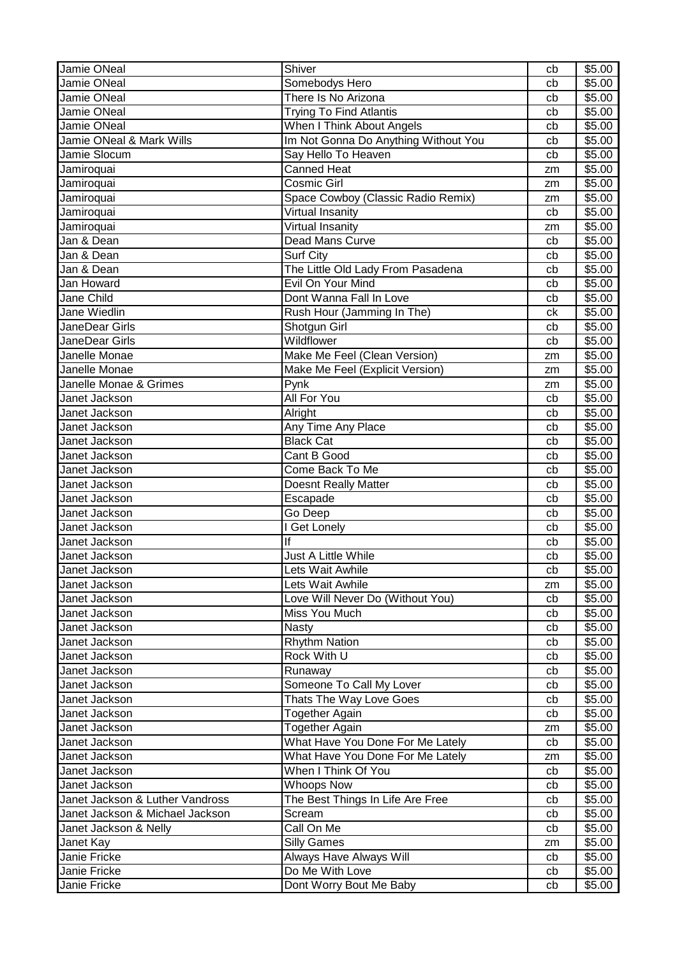| Jamie ONeal                     | Shiver                               | cb | \$5.00 |
|---------------------------------|--------------------------------------|----|--------|
| Jamie ONeal                     | Somebodys Hero                       | cb | \$5.00 |
| Jamie ONeal                     | There Is No Arizona                  | cb | \$5.00 |
| Jamie ONeal                     | <b>Trying To Find Atlantis</b>       | cb | \$5.00 |
| Jamie ONeal                     | When I Think About Angels            | cb | \$5.00 |
| Jamie ONeal & Mark Wills        | Im Not Gonna Do Anything Without You | cb | \$5.00 |
| Jamie Slocum                    | Say Hello To Heaven                  | cb | \$5.00 |
| Jamiroquai                      | <b>Canned Heat</b>                   | zm | \$5.00 |
| Jamiroquai                      | <b>Cosmic Girl</b>                   | zm | \$5.00 |
| Jamiroquai                      | Space Cowboy (Classic Radio Remix)   | zm | \$5.00 |
| Jamiroquai                      | Virtual Insanity                     | cb | \$5.00 |
| Jamiroquai                      | Virtual Insanity                     | zm | \$5.00 |
| Jan & Dean                      | Dead Mans Curve                      | cb | \$5.00 |
| Jan & Dean                      | <b>Surf City</b>                     | cb | \$5.00 |
| Jan & Dean                      | The Little Old Lady From Pasadena    | cb | \$5.00 |
| Jan Howard                      | Evil On Your Mind                    | cb | \$5.00 |
| Jane Child                      | Dont Wanna Fall In Love              | cb | \$5.00 |
| <b>Jane Wiedlin</b>             | Rush Hour (Jamming In The)           | ck | \$5.00 |
| JaneDear Girls                  | Shotgun Girl                         | cb | \$5.00 |
| JaneDear Girls                  | Wildflower                           | cb | \$5.00 |
| Janelle Monae                   | Make Me Feel (Clean Version)         | zm | \$5.00 |
| Janelle Monae                   | Make Me Feel (Explicit Version)      | zm | \$5.00 |
| Janelle Monae & Grimes          | Pynk                                 | zm | \$5.00 |
| Janet Jackson                   | <b>All For You</b>                   | cb | \$5.00 |
| Janet Jackson                   | Alright                              | cb | \$5.00 |
| Janet Jackson                   | Any Time Any Place                   | cb | \$5.00 |
| Janet Jackson                   | <b>Black Cat</b>                     | cb | \$5.00 |
| Janet Jackson                   | Cant B Good                          | cb | \$5.00 |
| Janet Jackson                   | Come Back To Me                      | cb | \$5.00 |
| Janet Jackson                   | <b>Doesnt Really Matter</b>          | cb | \$5.00 |
| Janet Jackson                   | Escapade                             | cb | \$5.00 |
| Janet Jackson                   | Go Deep                              | cb | \$5.00 |
| Janet Jackson                   | I Get Lonely                         | cb | \$5.00 |
| Janet Jackson                   | lf                                   | cb | \$5.00 |
| Janet Jackson                   | Just A Little While                  | cb | \$5.00 |
| Janet Jackson                   | Lets Wait Awhile                     | cb | \$5.00 |
| Janet Jackson                   | Lets Wait Awhile                     | zm | \$5.00 |
| Janet Jackson                   | Love Will Never Do (Without You)     | cb | \$5.00 |
| Janet Jackson                   | Miss You Much                        | cb | \$5.00 |
| Janet Jackson                   | <b>Nasty</b>                         | cb | \$5.00 |
| Janet Jackson                   | <b>Rhythm Nation</b>                 | cb | \$5.00 |
| Janet Jackson                   | Rock With U                          | cb | \$5.00 |
| Janet Jackson                   | Runaway                              | cb | \$5.00 |
| Janet Jackson                   | Someone To Call My Lover             | cb | \$5.00 |
| Janet Jackson                   | Thats The Way Love Goes              | cb | \$5.00 |
| Janet Jackson                   | Together Again                       | cb | \$5.00 |
| Janet Jackson                   | <b>Together Again</b>                | zm | \$5.00 |
| Janet Jackson                   | What Have You Done For Me Lately     | cb | \$5.00 |
| Janet Jackson                   | What Have You Done For Me Lately     | zm | \$5.00 |
| Janet Jackson                   | When I Think Of You                  | cb | \$5.00 |
| Janet Jackson                   | <b>Whoops Now</b>                    | cb | \$5.00 |
| Janet Jackson & Luther Vandross | The Best Things In Life Are Free     | cb | \$5.00 |
| Janet Jackson & Michael Jackson | Scream                               | cb | \$5.00 |
| Janet Jackson & Nelly           | Call On Me                           | cb | \$5.00 |
| Janet Kay                       | <b>Silly Games</b>                   | zm | \$5.00 |
| Janie Fricke                    | <b>Always Have Always Will</b>       | cb | \$5.00 |
| Janie Fricke                    | Do Me With Love                      | cb | \$5.00 |
| Janie Fricke                    | Dont Worry Bout Me Baby              | cb | \$5.00 |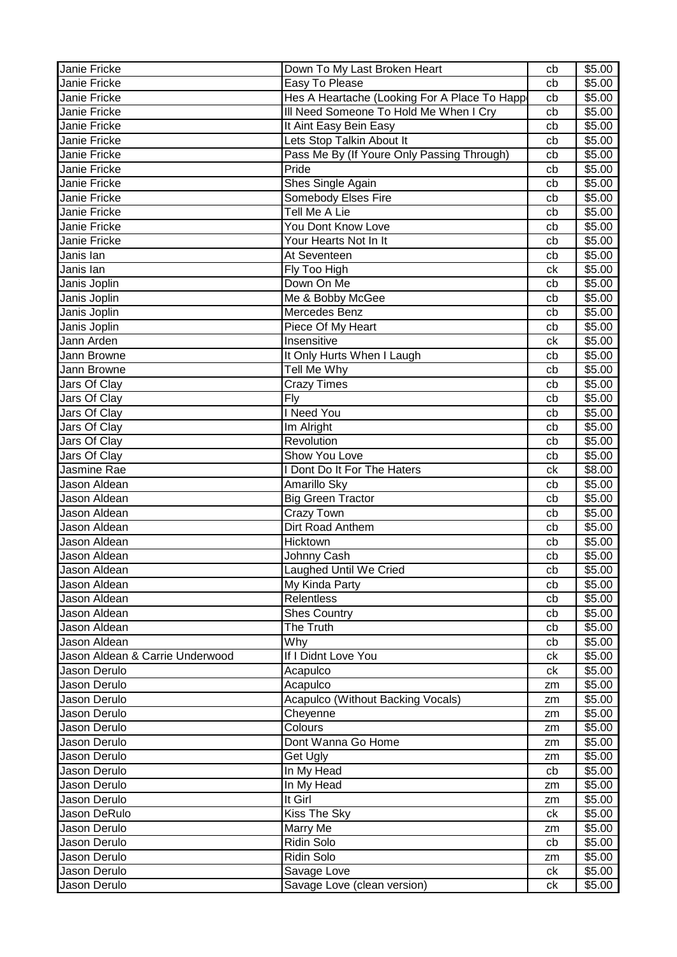| Janie Fricke                    | Down To My Last Broken Heart                 | cb | \$5.00 |
|---------------------------------|----------------------------------------------|----|--------|
| Janie Fricke                    | Easy To Please                               | cb | \$5.00 |
| Janie Fricke                    | Hes A Heartache (Looking For A Place To Happ | cb | \$5.00 |
| Janie Fricke                    | Ill Need Someone To Hold Me When I Cry       | cb | \$5.00 |
| Janie Fricke                    | It Aint Easy Bein Easy                       | cb | \$5.00 |
| Janie Fricke                    | Lets Stop Talkin About It                    | cb | \$5.00 |
| Janie Fricke                    | Pass Me By (If Youre Only Passing Through)   | cb | \$5.00 |
| Janie Fricke                    | Pride                                        | cb | \$5.00 |
| Janie Fricke                    | Shes Single Again                            | cb | \$5.00 |
| Janie Fricke                    | Somebody Elses Fire                          | cb | \$5.00 |
| Janie Fricke                    | Tell Me A Lie                                | cb | \$5.00 |
| Janie Fricke                    | You Dont Know Love                           | cb | \$5.00 |
| Janie Fricke                    | Your Hearts Not In It                        | cb | \$5.00 |
| Janis lan                       | At Seventeen                                 | cb | \$5.00 |
| Janis lan                       | Fly Too High                                 | ck | \$5.00 |
| Janis Joplin                    | Down On Me                                   | cb | \$5.00 |
| Janis Joplin                    | Me & Bobby McGee                             | cb | \$5.00 |
| Janis Joplin                    | Mercedes Benz                                | cb | \$5.00 |
| Janis Joplin                    | Piece Of My Heart                            | cb | \$5.00 |
| Jann Arden                      | Insensitive                                  | ck | \$5.00 |
| Jann Browne                     | It Only Hurts When I Laugh                   | cb | \$5.00 |
| Jann Browne                     | Tell Me Why                                  | cb | \$5.00 |
| Jars Of Clay                    | <b>Crazy Times</b>                           | cb | \$5.00 |
| Jars Of Clay                    | Fly                                          | cb | \$5.00 |
| Jars Of Clay                    | <b>I</b> Need You                            | cb | \$5.00 |
| Jars Of Clay                    | Im Alright                                   | cb | \$5.00 |
| Jars Of Clay                    | Revolution                                   | cb | \$5.00 |
| Jars Of Clay                    | Show You Love                                | cb | \$5.00 |
| Jasmine Rae                     | I Dont Do It For The Haters                  | ck | \$8.00 |
| Jason Aldean                    | Amarillo Sky                                 | cb | \$5.00 |
| Jason Aldean                    | <b>Big Green Tractor</b>                     | cb | \$5.00 |
| Jason Aldean                    | Crazy Town                                   |    | \$5.00 |
| Jason Aldean                    | <b>Dirt Road Anthem</b>                      | cb | \$5.00 |
| Jason Aldean                    | Hicktown                                     | cb | \$5.00 |
|                                 | Johnny Cash                                  | cb |        |
| Jason Aldean                    |                                              | cb | \$5.00 |
| Jason Aldean                    | Laughed Until We Cried                       | cb | \$5.00 |
| Jason Aldean                    | My Kinda Party                               | cb | \$5.00 |
| Jason Aldean                    | <b>Relentless</b>                            | cb | \$5.00 |
| Jason Aldean                    | <b>Shes Country</b>                          | cb | \$5.00 |
| Jason Aldean                    | The Truth                                    | cb | \$5.00 |
| Jason Aldean                    | Why                                          | cb | \$5.00 |
| Jason Aldean & Carrie Underwood | If I Didnt Love You                          | сk | \$5.00 |
| Jason Derulo                    | Acapulco                                     | ck | \$5.00 |
| Jason Derulo                    | Acapulco                                     | zm | \$5.00 |
| Jason Derulo                    | <b>Acapulco (Without Backing Vocals)</b>     | zm | \$5.00 |
| Jason Derulo                    | Cheyenne                                     | zm | \$5.00 |
| Jason Derulo                    | Colours                                      | zm | \$5.00 |
| Jason Derulo                    | Dont Wanna Go Home                           | zm | \$5.00 |
| Jason Derulo                    | Get Ugly                                     | zm | \$5.00 |
| Jason Derulo                    | In My Head                                   | cb | \$5.00 |
| Jason Derulo                    | In My Head                                   | zm | \$5.00 |
| Jason Derulo                    | It Girl                                      | zm | \$5.00 |
| Jason DeRulo                    | Kiss The Sky                                 | ck | \$5.00 |
| Jason Derulo                    | Marry Me                                     | zm | \$5.00 |
| Jason Derulo                    | Ridin Solo                                   | cb | \$5.00 |
| Jason Derulo                    | Ridin Solo                                   | zm | \$5.00 |
| Jason Derulo                    | Savage Love                                  | ck | \$5.00 |
| Jason Derulo                    | Savage Love (clean version)                  | сk | \$5.00 |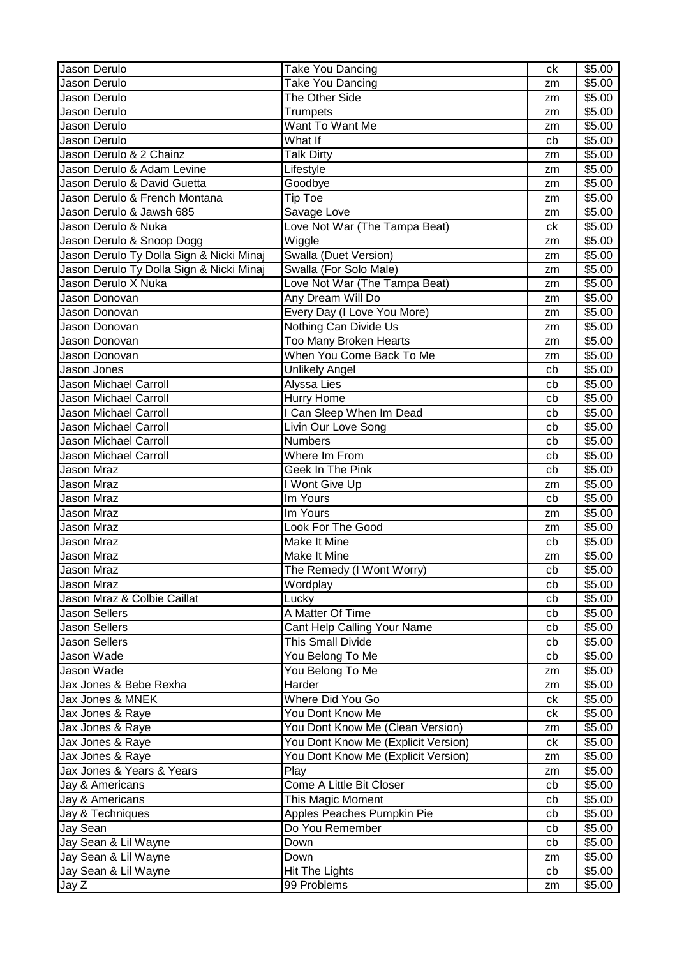| Jason Derulo                                  | Take You Dancing                    | ck | \$5.00 |
|-----------------------------------------------|-------------------------------------|----|--------|
| Jason Derulo                                  | Take You Dancing                    | zm | \$5.00 |
| Jason Derulo                                  | The Other Side                      | zm | \$5.00 |
| <b>Jason Derulo</b>                           | Trumpets                            | zm | \$5.00 |
| <b>Jason Derulo</b>                           | Want To Want Me                     | zm | \$5.00 |
| Jason Derulo                                  | What If                             | cb | \$5.00 |
| Jason Derulo & 2 Chainz                       | Talk Dirty                          | zm | \$5.00 |
| Jason Derulo & Adam Levine                    | Lifestyle                           | zm | \$5.00 |
| Jason Derulo & David Guetta                   | Goodbye                             | zm | \$5.00 |
| Jason Derulo & French Montana                 | <b>Tip Toe</b>                      | zm | \$5.00 |
| Jason Derulo & Jawsh 685                      | Savage Love                         | zm | \$5.00 |
| Jason Derulo & Nuka                           | Love Not War (The Tampa Beat)       | ck | \$5.00 |
| Jason Derulo & Snoop Dogg                     | Wiggle                              | zm | \$5.00 |
| Jason Derulo Ty Dolla Sign & Nicki Minaj      | Swalla (Duet Version)               | zm | \$5.00 |
| I<br>Jason Derulo Ty Dolla Sign & Nicki Minaj | Swalla (For Solo Male)              | zm | \$5.00 |
| Jason Derulo X Nuka                           | Love Not War (The Tampa Beat)       | zm | \$5.00 |
| Jason Donovan                                 | Any Dream Will Do                   | zm | \$5.00 |
| Jason Donovan                                 | Every Day (I Love You More)         | zm | \$5.00 |
| Jason Donovan                                 | Nothing Can Divide Us               | zm | \$5.00 |
| Jason Donovan                                 | <b>Too Many Broken Hearts</b>       | zm | \$5.00 |
| Jason Donovan                                 | When You Come Back To Me            | zm | \$5.00 |
| Jason Jones                                   | <b>Unlikely Angel</b>               | cb | \$5.00 |
| <b>Jason Michael Carroll</b>                  | Alyssa Lies                         | cb | \$5.00 |
| Jason Michael Carroll                         | Hurry Home                          | cb | \$5.00 |
| Jason Michael Carroll                         | I Can Sleep When Im Dead            | cb | \$5.00 |
| Jason Michael Carroll                         | Livin Our Love Song                 | cb | \$5.00 |
| Jason Michael Carroll                         | <b>Numbers</b>                      | cb | \$5.00 |
| Jason Michael Carroll                         | Where Im From                       | cb | \$5.00 |
| Jason Mraz                                    | Geek In The Pink                    | cb | \$5.00 |
| Jason Mraz                                    | I Wont Give Up                      | zm | \$5.00 |
| Jason Mraz                                    | Im Yours                            | cb | \$5.00 |
| Jason Mraz                                    | Im Yours                            | zm | \$5.00 |
| Jason Mraz                                    | Look For The Good                   | zm | \$5.00 |
| <b>Jason Mraz</b>                             | <b>Make It Mine</b>                 | cb | \$5.00 |
| Jason Mraz                                    | Make It Mine                        | zm | \$5.00 |
| I<br>Jason Mraz                               | The Remedy (I Wont Worry)           | cb | \$5.00 |
| Jason Mraz                                    | Wordplay                            | cb | \$5.00 |
| Jason Mraz & Colbie Caillat                   | Lucky                               | cb | \$5.00 |
| <b>Jason Sellers</b>                          | A Matter Of Time                    | cb | \$5.00 |
| Jason Sellers                                 | Cant Help Calling Your Name         | cb | \$5.00 |
| <b>Jason Sellers</b>                          | This Small Divide                   | cb | \$5.00 |
| Jason Wade                                    | You Belong To Me                    | cb | \$5.00 |
| Jason Wade                                    | You Belong To Me                    | zm | \$5.00 |
| Jax Jones & Bebe Rexha                        | Harder                              | zm | \$5.00 |
| Jax Jones & MNEK                              | Where Did You Go                    | ck | \$5.00 |
| Jax Jones & Raye                              | You Dont Know Me                    | ck | \$5.00 |
| Jax Jones & Raye                              | You Dont Know Me (Clean Version)    | zm | \$5.00 |
| Jax Jones & Raye                              | You Dont Know Me (Explicit Version) | ck | \$5.00 |
| Jax Jones & Raye                              | You Dont Know Me (Explicit Version) | zm | \$5.00 |
| Jax Jones & Years & Years                     | Play                                | zm | \$5.00 |
| Jay & Americans                               | Come A Little Bit Closer            | cb | \$5.00 |
| Jay & Americans                               | This Magic Moment                   | cb | \$5.00 |
| Jay & Techniques                              | Apples Peaches Pumpkin Pie          | cb | \$5.00 |
| Jay Sean                                      | Do You Remember                     | cb | \$5.00 |
| Jay Sean & Lil Wayne                          | Down                                | cb | \$5.00 |
| Jay Sean & Lil Wayne                          | Down                                | zm | \$5.00 |
| Jay Sean & Lil Wayne                          | <b>Hit The Lights</b>               | cb | \$5.00 |
| Jay Z                                         | 99 Problems                         | zm | \$5.00 |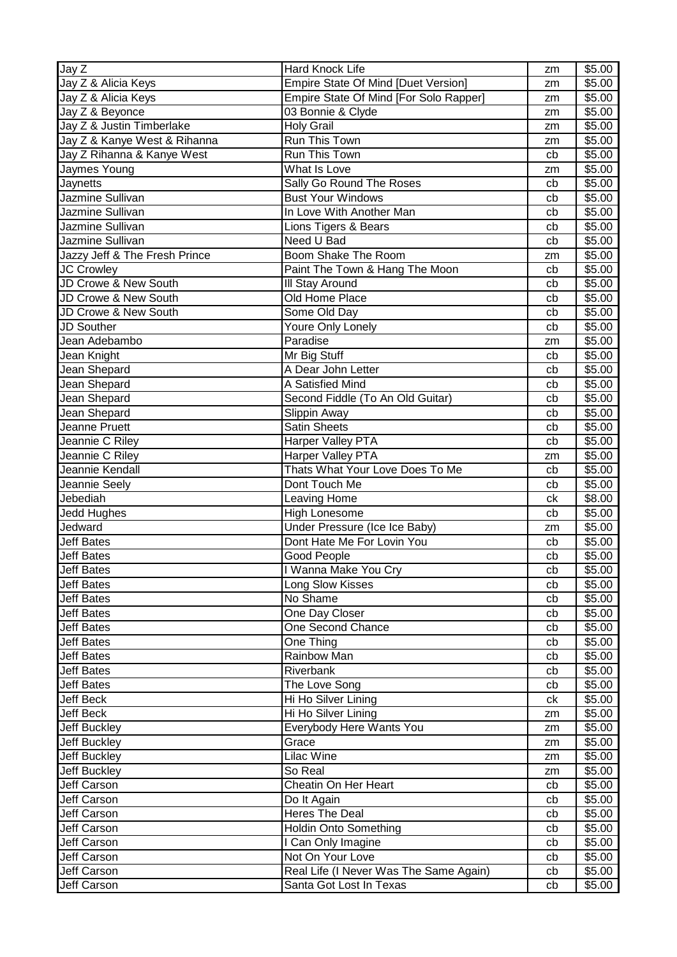| Jay Z                         | Hard Knock Life                        | zm | \$5.00 |
|-------------------------------|----------------------------------------|----|--------|
| Jay Z & Alicia Keys           | Empire State Of Mind [Duet Version]    | zm | \$5.00 |
| Jay Z & Alicia Keys           | Empire State Of Mind [For Solo Rapper] | zm | \$5.00 |
| Jay Z & Beyonce               | 03 Bonnie & Clyde                      | zm | \$5.00 |
| Jay Z & Justin Timberlake     | <b>Holy Grail</b>                      | zm | \$5.00 |
| Jay Z & Kanye West & Rihanna  | Run This Town                          | zm | \$5.00 |
| Jay Z Rihanna & Kanye West    | Run This Town                          | cb | \$5.00 |
| Jaymes Young                  | What Is Love                           | zm | \$5.00 |
| Jaynetts                      | Sally Go Round The Roses               | cb | \$5.00 |
| Jazmine Sullivan              | <b>Bust Your Windows</b>               | cb | \$5.00 |
| Jazmine Sullivan              | In Love With Another Man               | cb | \$5.00 |
| Jazmine Sullivan              | Lions Tigers & Bears                   | cb | \$5.00 |
| Jazmine Sullivan              | Need U Bad                             | cb | \$5.00 |
| Jazzy Jeff & The Fresh Prince | Boom Shake The Room                    | zm | \$5.00 |
| <b>JC Crowley</b>             | Paint The Town & Hang The Moon         | cb | \$5.00 |
| JD Crowe & New South          | III Stay Around                        | cb | \$5.00 |
| JD Crowe & New South          | Old Home Place                         | cb | \$5.00 |
| JD Crowe & New South          | Some Old Day                           | cb | \$5.00 |
| <b>JD Souther</b>             | Youre Only Lonely                      | cb | \$5.00 |
| Jean Adebambo                 | Paradise                               | zm | \$5.00 |
| Jean Knight                   | Mr Big Stuff                           | cb | \$5.00 |
| Jean Shepard                  | A Dear John Letter                     | cb | \$5.00 |
| Jean Shepard                  | A Satisfied Mind                       | cb | \$5.00 |
| Jean Shepard                  | Second Fiddle (To An Old Guitar)       | cb | \$5.00 |
| Jean Shepard                  | Slippin Away                           | cb | \$5.00 |
| Jeanne Pruett                 | <b>Satin Sheets</b>                    | cb | \$5.00 |
| Jeannie C Riley               | Harper Valley PTA                      | cb | \$5.00 |
| Jeannie C Riley               | Harper Valley PTA                      | zm | \$5.00 |
| Jeannie Kendall               | Thats What Your Love Does To Me        | cb | \$5.00 |
| Jeannie Seely                 | Dont Touch Me                          | cb | \$5.00 |
| Jebediah                      | Leaving Home                           | ck | \$8.00 |
| Jedd Hughes                   | <b>High Lonesome</b>                   | cb | \$5.00 |
| Jedward                       | Under Pressure (Ice Ice Baby)          | zm | \$5.00 |
| <b>Jeff Bates</b>             | Dont Hate Me For Lovin You             | cb | \$5.00 |
| <b>Jeff Bates</b>             | Good People                            | cb | \$5.00 |
| <b>Jeff Bates</b>             | I Wanna Make You Cry                   | cb | \$5.00 |
| <b>Jeff Bates</b>             | Long Slow Kisses                       | cb | \$5.00 |
| <b>Jeff Bates</b>             | No Shame                               | cb | \$5.00 |
| <b>Jeff Bates</b>             | One Day Closer                         | cb | \$5.00 |
| <b>Jeff Bates</b>             | One Second Chance                      | cb | \$5.00 |
| <b>Jeff Bates</b>             | One Thing                              | cb | \$5.00 |
| <b>Jeff Bates</b>             | Rainbow Man                            | cb | \$5.00 |
| <b>Jeff Bates</b>             | Riverbank                              | cb | \$5.00 |
| <b>Jeff Bates</b>             | The Love Song                          | cb | \$5.00 |
| Jeff Beck                     | Hi Ho Silver Lining                    | ck | \$5.00 |
| Jeff Beck                     | Hi Ho Silver Lining                    | zm | \$5.00 |
| Jeff Buckley                  | Everybody Here Wants You               | zm | \$5.00 |
| Jeff Buckley                  | Grace                                  | zm | \$5.00 |
| <b>Jeff Buckley</b>           | Lilac Wine                             | zm | \$5.00 |
| Jeff Buckley                  | So Real                                | zm | \$5.00 |
| Jeff Carson                   | Cheatin On Her Heart                   | cb | \$5.00 |
| Jeff Carson                   | Do It Again                            | cb | \$5.00 |
| Jeff Carson                   | Heres The Deal                         | cb | \$5.00 |
| <b>Jeff Carson</b>            | <b>Holdin Onto Something</b>           | cb | \$5.00 |
| Jeff Carson                   | I Can Only Imagine                     | cb | \$5.00 |
| Jeff Carson                   | Not On Your Love                       | cb | \$5.00 |
| Jeff Carson                   | Real Life (I Never Was The Same Again) | cb | \$5.00 |
| Jeff Carson                   | Santa Got Lost In Texas                | cb | \$5.00 |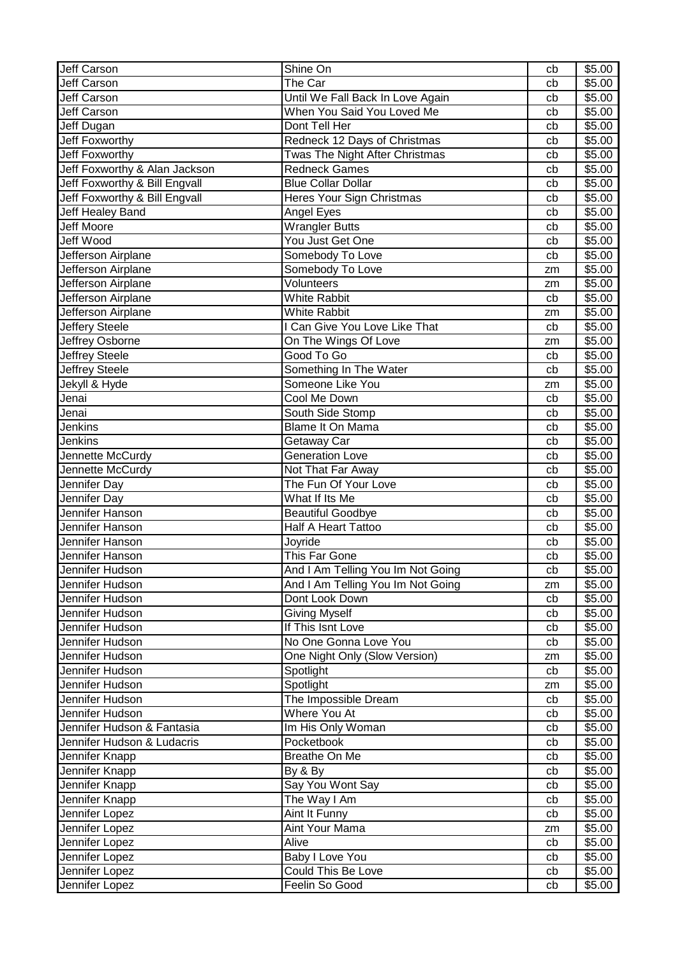| <b>Jeff Carson</b>            | Shine On                             | cb       | \$5.00             |
|-------------------------------|--------------------------------------|----------|--------------------|
| <b>Jeff Carson</b>            | The Car                              | cb       | \$5.00             |
| <b>Jeff Carson</b>            | Until We Fall Back In Love Again     | cb       | \$5.00             |
| <b>Jeff Carson</b>            | When You Said You Loved Me           | cb       | \$5.00             |
| Jeff Dugan                    | Dont Tell Her                        | cb       | \$5.00             |
| Jeff Foxworthy                | Redneck 12 Days of Christmas         | cb       | \$5.00             |
| <b>Jeff Foxworthy</b>         | Twas The Night After Christmas       | cb       | \$5.00             |
| Jeff Foxworthy & Alan Jackson | <b>Redneck Games</b>                 | cb       | \$5.00             |
| Jeff Foxworthy & Bill Engvall | <b>Blue Collar Dollar</b>            | cb       | \$5.00             |
| Jeff Foxworthy & Bill Engvall | Heres Your Sign Christmas            | cb       | \$5.00             |
| Jeff Healey Band              | Angel Eyes                           | cb       | \$5.00             |
| Jeff Moore                    | <b>Wrangler Butts</b>                | cb       | \$5.00             |
| <b>Jeff Wood</b>              | You Just Get One                     | cb       | \$5.00             |
| Jefferson Airplane            | Somebody To Love                     | cb       | \$5.00             |
| Jefferson Airplane            | Somebody To Love                     | zm       | \$5.00             |
| Jefferson Airplane            | Volunteers                           | zm       | \$5.00             |
| <b>Jefferson Airplane</b>     | <b>White Rabbit</b>                  | cb       | \$5.00             |
| Jefferson Airplane            | <b>White Rabbit</b>                  | zm       | \$5.00             |
| Jeffery Steele                | I Can Give You Love Like That        | cb       | \$5.00             |
| <b>Jeffrey Osborne</b>        | On The Wings Of Love                 | zm       | \$5.00             |
| Jeffrey Steele                | Good To Go                           | cb       | \$5.00             |
| Jeffrey Steele                | Something In The Water               | cb       | \$5.00             |
|                               | Someone Like You                     |          | \$5.00             |
| Jekyll & Hyde<br>Jenai        | Cool Me Down                         | zm<br>cb | \$5.00             |
| Jenai                         |                                      |          | \$5.00             |
| Jenkins                       | South Side Stomp<br>Blame It On Mama | cb       | \$5.00             |
|                               |                                      | cb       |                    |
| Jenkins                       | Getaway Car                          | cb       | \$5.00             |
| Jennette McCurdy              | <b>Generation Love</b>               | cb       | \$5.00             |
| Jennette McCurdy              | Not That Far Away                    | cb       | \$5.00             |
| Jennifer Day                  | The Fun Of Your Love                 | cb       | \$5.00             |
| Jennifer Day                  | What If Its Me                       | cb       | \$5.00             |
| Jennifer Hanson               | <b>Beautiful Goodbye</b>             | cb       | \$5.00             |
| Jennifer Hanson               | <b>Half A Heart Tattoo</b>           | cb       | \$5.00             |
| Jennifer Hanson               | Joyride                              | cb       | \$5.00             |
| Jennifer Hanson               | This Far Gone                        | cb       | \$5.00             |
| Jennifer Hudson               | And I Am Telling You Im Not Going    | cb       | \$5.00             |
| Jennifer Hudson               | And I Am Telling You Im Not Going    | zm       | \$5.00             |
| Jennifer Hudson               | Dont Look Down                       | cb       | \$5.00             |
| Jennifer Hudson               | <b>Giving Myself</b>                 | cb       | \$5.00             |
| Jennifer Hudson               | If This Isnt Love                    | cb       | \$5.00             |
| Jennifer Hudson               | No One Gonna Love You                | cb       | \$5.00             |
| Jennifer Hudson               | One Night Only (Slow Version)        | zm       | \$5.00             |
| Jennifer Hudson               | Spotlight                            | cb       | \$5.00             |
| Jennifer Hudson               | Spotlight                            | zm       | \$5.00             |
| Jennifer Hudson               | The Impossible Dream                 | cb       | \$5.00             |
| Jennifer Hudson               | Where You At                         | cb       | \$5.00             |
| Jennifer Hudson & Fantasia    | Im His Only Woman                    | cb       | \$5.00             |
| Jennifer Hudson & Ludacris    | Pocketbook                           | cb       | \$5.00             |
| Jennifer Knapp                | Breathe On Me                        | cb       | $\overline{$}5.00$ |
| Jennifer Knapp                | By & By                              | cb       | \$5.00             |
| Jennifer Knapp                | Say You Wont Say                     | cb       | \$5.00             |
| Jennifer Knapp                | The Way I Am                         | cb       | \$5.00             |
| Jennifer Lopez                | Aint It Funny                        | cb       | \$5.00             |
| Jennifer Lopez                | Aint Your Mama                       | zm       | \$5.00             |
| Jennifer Lopez                | Alive                                | cb       | \$5.00             |
| Jennifer Lopez                | Baby I Love You                      | cb       | \$5.00             |
| Jennifer Lopez                | Could This Be Love                   | cb       | \$5.00             |
| Jennifer Lopez                | Feelin So Good                       | cb       | \$5.00             |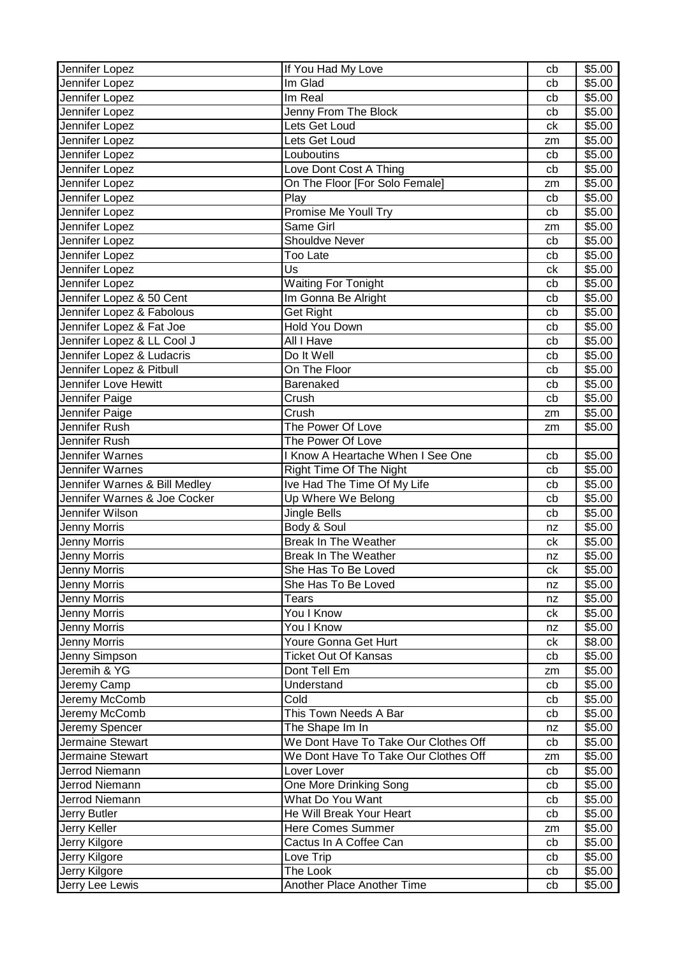| Jennifer Lopez                | If You Had My Love                   | cb | \$5.00 |
|-------------------------------|--------------------------------------|----|--------|
| Jennifer Lopez                | Im Glad                              | cb | \$5.00 |
| Jennifer Lopez                | Im Real                              | cb | \$5.00 |
| Jennifer Lopez                | Jenny From The Block                 | cb | \$5.00 |
| Jennifer Lopez                | Lets Get Loud                        | ck | \$5.00 |
| Jennifer Lopez                | Lets Get Loud                        | zm | \$5.00 |
| Jennifer Lopez                | Louboutins                           | cb | \$5.00 |
| Jennifer Lopez                | Love Dont Cost A Thing               | cb | \$5.00 |
| Jennifer Lopez                | On The Floor [For Solo Female]       | zm | \$5.00 |
| Jennifer Lopez                | Play                                 | cb | \$5.00 |
| Jennifer Lopez                | Promise Me Youll Try                 | cb | \$5.00 |
| Jennifer Lopez                | Same Girl                            | zm | \$5.00 |
| Jennifer Lopez                | <b>Shouldve Never</b>                | cb | \$5.00 |
| Jennifer Lopez                | <b>Too Late</b>                      | cb | \$5.00 |
| Jennifer Lopez                | Us                                   | ck | \$5.00 |
| Jennifer Lopez                | Waiting For Tonight                  | cb | \$5.00 |
| Jennifer Lopez & 50 Cent      | Im Gonna Be Alright                  | cb | \$5.00 |
| Jennifer Lopez & Fabolous     | Get Right                            | cb | \$5.00 |
| Jennifer Lopez & Fat Joe      | Hold You Down                        | cb | \$5.00 |
| Jennifer Lopez & LL Cool J    | All I Have                           | cb | \$5.00 |
| Jennifer Lopez & Ludacris     | Do It Well                           | cb | \$5.00 |
| Jennifer Lopez & Pitbull      | On The Floor                         | cb | \$5.00 |
| Jennifer Love Hewitt          | Barenaked                            | cb | \$5.00 |
| Jennifer Paige                | Crush                                | cb | \$5.00 |
| Jennifer Paige                | Crush                                | zm | \$5.00 |
| Jennifer Rush                 | The Power Of Love                    | zm | \$5.00 |
| Jennifer Rush                 | The Power Of Love                    |    |        |
| <b>Jennifer Warnes</b>        | I Know A Heartache When I See One    | cb | \$5.00 |
| Jennifer Warnes               | Right Time Of The Night              | cb | \$5.00 |
| Jennifer Warnes & Bill Medley | Ive Had The Time Of My Life          | cb | \$5.00 |
| Jennifer Warnes & Joe Cocker  | Up Where We Belong                   | cb | \$5.00 |
| Jennifer Wilson               | Jingle Bells                         | cb | \$5.00 |
| <b>Jenny Morris</b>           | Body & Soul                          | nz | \$5.00 |
| <b>Jenny Morris</b>           | <b>Break In The Weather</b>          | ck | \$5.00 |
| Jenny Morris                  | <b>Break In The Weather</b>          | nz | \$5.00 |
| Jenny Morris                  | She Has To Be Loved                  | ck | \$5.00 |
| <b>Jenny Morris</b>           | She Has To Be Loved                  | nz | \$5.00 |
| Jenny Morris                  | <b>Tears</b>                         | nz | \$5.00 |
| Jenny Morris                  | You I Know                           | ck | \$5.00 |
| Jenny Morris                  | You I Know                           | nz | \$5.00 |
| <b>Jenny Morris</b>           | Youre Gonna Get Hurt                 | сk | \$8.00 |
| Jenny Simpson                 | <b>Ticket Out Of Kansas</b>          | cb | \$5.00 |
| Jeremih & YG                  | Dont Tell Em                         | zm | \$5.00 |
| Jeremy Camp                   | Understand                           | cb | \$5.00 |
| Jeremy McComb                 | Cold                                 | cb | \$5.00 |
| Jeremy McComb                 | This Town Needs A Bar                | cb | \$5.00 |
| Jeremy Spencer                | The Shape Im In                      | nz | \$5.00 |
| Jermaine Stewart              | We Dont Have To Take Our Clothes Off | cb | \$5.00 |
| Jermaine Stewart              | We Dont Have To Take Our Clothes Off | zm | \$5.00 |
| Jerrod Niemann                | Lover Lover                          | cb | \$5.00 |
| Jerrod Niemann                | One More Drinking Song               | cb | \$5.00 |
| Jerrod Niemann                | What Do You Want                     | cb | \$5.00 |
| Jerry Butler                  | He Will Break Your Heart             | cb | \$5.00 |
| Jerry Keller                  | Here Comes Summer                    | zm | \$5.00 |
| Jerry Kilgore                 | Cactus In A Coffee Can               | cb | \$5.00 |
| Jerry Kilgore                 | Love Trip                            | cb | \$5.00 |
| Jerry Kilgore                 | The Look                             | cb | \$5.00 |
| Jerry Lee Lewis               | Another Place Another Time           | cb | \$5.00 |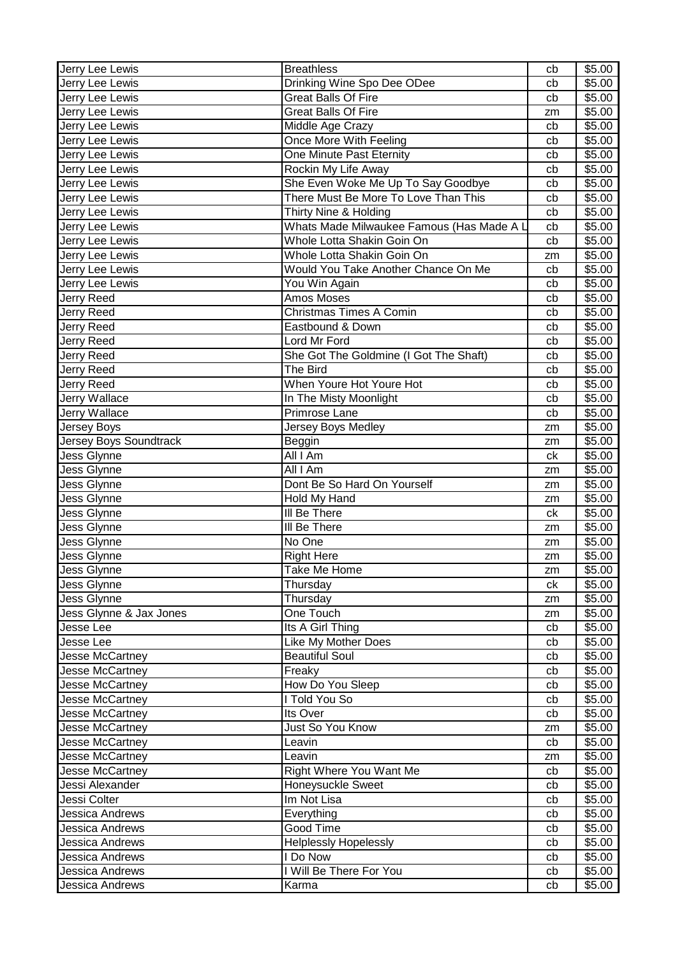| Jerry Lee Lewis         | <b>Breathless</b>                         | cb | \$5.00 |
|-------------------------|-------------------------------------------|----|--------|
| Jerry Lee Lewis         | Drinking Wine Spo Dee ODee                | cb | \$5.00 |
| Jerry Lee Lewis         | <b>Great Balls Of Fire</b>                | cb | \$5.00 |
| Jerry Lee Lewis         | <b>Great Balls Of Fire</b>                | zm | \$5.00 |
| Jerry Lee Lewis         | Middle Age Crazy                          | cb | \$5.00 |
| Jerry Lee Lewis         | Once More With Feeling                    | cb | \$5.00 |
| Jerry Lee Lewis         | One Minute Past Eternity                  | cb | \$5.00 |
| Jerry Lee Lewis         | Rockin My Life Away                       | cb | \$5.00 |
| Jerry Lee Lewis         | She Even Woke Me Up To Say Goodbye        | cb | \$5.00 |
| Jerry Lee Lewis         | There Must Be More To Love Than This      | cb | \$5.00 |
| Jerry Lee Lewis         | Thirty Nine & Holding                     | cb | \$5.00 |
| Jerry Lee Lewis         | Whats Made Milwaukee Famous (Has Made A L | cb | \$5.00 |
| Jerry Lee Lewis         | Whole Lotta Shakin Goin On                | cb | \$5.00 |
| Jerry Lee Lewis         | Whole Lotta Shakin Goin On                | zm | \$5.00 |
| Jerry Lee Lewis         | Would You Take Another Chance On Me       | cb | \$5.00 |
| Jerry Lee Lewis         | You Win Again                             | cb | \$5.00 |
| Jerry Reed              | Amos Moses                                | cb | \$5.00 |
| Jerry Reed              | <b>Christmas Times A Comin</b>            | cb | \$5.00 |
| Jerry Reed              | Eastbound & Down                          | cb | \$5.00 |
| Jerry Reed              | <b>Lord Mr Ford</b>                       | cb | \$5.00 |
| Jerry Reed              | She Got The Goldmine (I Got The Shaft)    | cb | \$5.00 |
| Jerry Reed              | The Bird                                  | cb | \$5.00 |
| Jerry Reed              | When Youre Hot Youre Hot                  |    | \$5.00 |
|                         |                                           | cb | \$5.00 |
| Jerry Wallace           | In The Misty Moonlight<br>Primrose Lane   | cb |        |
| Jerry Wallace           |                                           | cb | \$5.00 |
| Jersey Boys             | Jersey Boys Medley                        | zm | \$5.00 |
| Jersey Boys Soundtrack  | Beggin                                    | zm | \$5.00 |
| Jess Glynne             | All I Am                                  | ck | \$5.00 |
| Jess Glynne             | All I Am                                  | zm | \$5.00 |
| Jess Glynne             | Dont Be So Hard On Yourself               | zm | \$5.00 |
| Jess Glynne             | Hold My Hand                              | zm | \$5.00 |
| Jess Glynne             | III Be There                              | ck | \$5.00 |
| Jess Glynne             | III Be There                              | zm | \$5.00 |
| Jess Glynne             | No One                                    | zm | \$5.00 |
| Jess Glynne             | <b>Right Here</b>                         | zm | \$5.00 |
| Jess Glynne             | Take Me Home                              | zm | \$5.00 |
| Jess Glynne             | Thursday                                  | ck | \$5.00 |
| Jess Glynne             | Thursday                                  | zm | \$5.00 |
| Jess Glynne & Jax Jones | One Touch                                 | zm | \$5.00 |
| Jesse Lee               | Its A Girl Thing                          | cb | \$5.00 |
| Jesse Lee               | Like My Mother Does                       | cb | \$5.00 |
| Jesse McCartney         | <b>Beautiful Soul</b>                     | cb | \$5.00 |
| Jesse McCartney         | Freaky                                    | cb | \$5.00 |
| Jesse McCartney         | How Do You Sleep                          | cb | \$5.00 |
| Jesse McCartney         | I Told You So                             | cb | \$5.00 |
| <b>Jesse McCartney</b>  | Its Over                                  | cb | \$5.00 |
| Jesse McCartney         | Just So You Know                          | zm | \$5.00 |
| Jesse McCartney         | Leavin                                    | cb | \$5.00 |
| Jesse McCartney         | Leavin                                    | zm | \$5.00 |
| Jesse McCartney         | Right Where You Want Me                   | cb | \$5.00 |
| Jessi Alexander         | Honeysuckle Sweet                         | cb | \$5.00 |
| Jessi Colter            | Im Not Lisa                               | cb | \$5.00 |
| Jessica Andrews         | Everything                                | cb | \$5.00 |
| Jessica Andrews         | Good Time                                 | cb | \$5.00 |
| Jessica Andrews         | Helplessly Hopelessly                     | cb | \$5.00 |
| Jessica Andrews         | I Do Now                                  | cb | \$5.00 |
| Jessica Andrews         | I Will Be There For You                   | cb | \$5.00 |
| Jessica Andrews         | Karma                                     | cb | \$5.00 |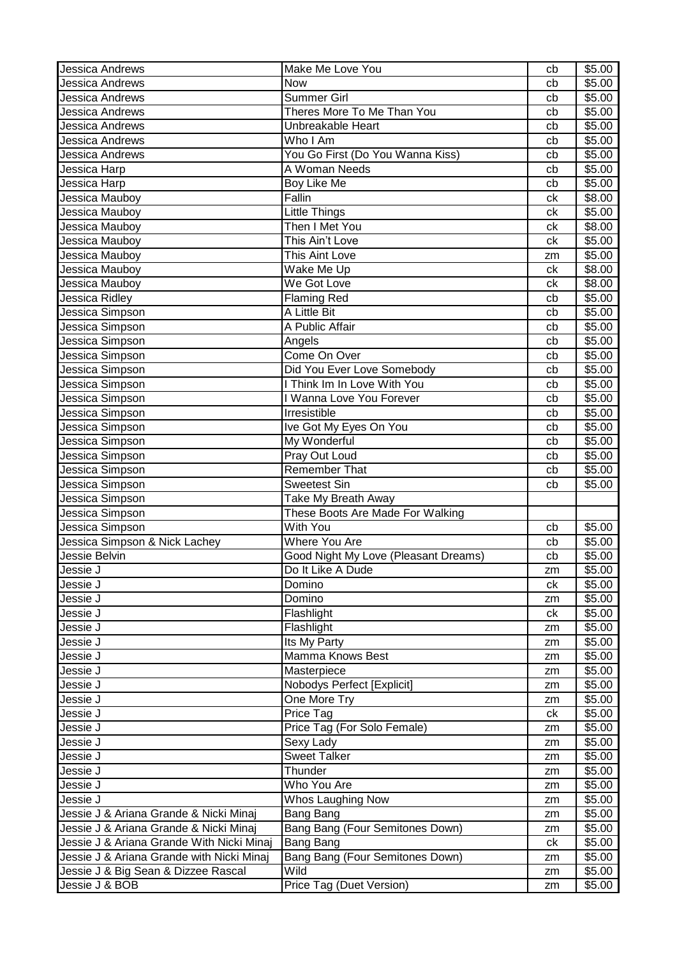| Jessica Andrews                           | Make Me Love You                     | cb | \$5.00             |
|-------------------------------------------|--------------------------------------|----|--------------------|
| Jessica Andrews                           | <b>Now</b>                           | cb | \$5.00             |
| Jessica Andrews                           | <b>Summer Girl</b>                   | cb | \$5.00             |
| Jessica Andrews                           | Theres More To Me Than You           | cb | \$5.00             |
| <b>Jessica Andrews</b>                    | Unbreakable Heart                    | cb | \$5.00             |
| Jessica Andrews                           | Who I Am                             | cb | \$5.00             |
| Jessica Andrews                           | You Go First (Do You Wanna Kiss)     | cb | $\overline{$}5.00$ |
| Jessica Harp                              | A Woman Needs                        | cb | \$5.00             |
| Jessica Harp                              | Boy Like Me                          | cb | \$5.00             |
| Jessica Mauboy                            | Fallin                               | ck | \$8.00             |
| Jessica Mauboy                            | Little Things                        | ck | \$5.00             |
| Jessica Mauboy                            | Then I Met You                       | ck | \$8.00             |
| Jessica Mauboy                            | This Ain't Love                      | ck | \$5.00             |
| Jessica Mauboy                            | This Aint Love                       | zm | \$5.00             |
| Jessica Mauboy                            | Wake Me Up                           | ck | \$8.00             |
| I<br>Jessica Mauboy                       | We Got Love                          | ck | \$8.00             |
| I<br>Jessica Ridley                       | <b>Flaming Red</b>                   | cb | \$5.00             |
| Jessica Simpson                           | A Little Bit                         | cb | \$5.00             |
| Jessica Simpson                           | A Public Affair                      | cb | \$5.00             |
| Jessica Simpson                           | Angels                               | cb | \$5.00             |
| Jessica Simpson                           | Come On Over                         | cb | \$5.00             |
| Jessica Simpson                           | Did You Ever Love Somebody           | cb | \$5.00             |
| Jessica Simpson                           | I Think Im In Love With You          | cb | \$5.00             |
| Jessica Simpson                           | I Wanna Love You Forever             | cb | \$5.00             |
| Jessica Simpson                           | Irresistible                         | cb | $\overline{$}5.00$ |
| I<br>Jessica Simpson                      | Ive Got My Eyes On You               | cb | \$5.00             |
| Jessica Simpson                           | My Wonderful                         | cb | \$5.00             |
| Jessica Simpson                           | Pray Out Loud                        | cb | \$5.00             |
| Jessica Simpson                           | <b>Remember That</b>                 | cb | \$5.00             |
| Jessica Simpson                           | <b>Sweetest Sin</b>                  | cb | \$5.00             |
| Jessica Simpson                           | Take My Breath Away                  |    |                    |
| Jessica Simpson                           | These Boots Are Made For Walking     |    |                    |
| Jessica Simpson                           | With You                             | cb | \$5.00             |
| Jessica Simpson & Nick Lachey             | <b>Where You Are</b>                 | cb | \$5.00             |
| Jessie Belvin                             | Good Night My Love (Pleasant Dreams) | cb | $\overline{$}5.00$ |
| I<br>Jessie J                             | Do It Like A Dude                    | zm | \$5.00             |
| Jessie J                                  | Domino                               | ck | \$5.00             |
| Jessie J                                  | Domino                               | zm | \$5.00             |
| Jessie J                                  | Flashlight                           | ck | \$5.00             |
| Jessie J                                  | Flashlight                           | zm | \$5.00             |
| Jessie J                                  | Its My Party                         | zm | \$5.00             |
| Jessie J                                  | Mamma Knows Best                     | zm | \$5.00             |
| Jessie J                                  | Masterpiece                          | zm | \$5.00             |
| Jessie J                                  | Nobodys Perfect [Explicit]           | zm | \$5.00             |
| Jessie J                                  | One More Try                         | zm | \$5.00             |
| Jessie J                                  | Price Tag                            | ck | \$5.00             |
| Jessie J                                  | Price Tag (For Solo Female)          | zm | \$5.00             |
| Jessie J                                  | Sexy Lady                            | zm | \$5.00             |
| Jessie J                                  | <b>Sweet Talker</b>                  | zm | \$5.00             |
| Jessie J                                  | Thunder                              | zm | \$5.00             |
| Jessie J                                  | Who You Are                          | zm | \$5.00             |
| Jessie J                                  | Whos Laughing Now                    | zm | \$5.00             |
| Jessie J & Ariana Grande & Nicki Minaj    | Bang Bang                            | zm | \$5.00             |
| Jessie J & Ariana Grande & Nicki Minaj    | Bang Bang (Four Semitones Down)      | zm | \$5.00             |
| Jessie J & Ariana Grande With Nicki Minaj | Bang Bang                            | ck | \$5.00             |
| Jessie J & Ariana Grande with Nicki Minaj | Bang Bang (Four Semitones Down)      | zm | \$5.00             |
| Jessie J & Big Sean & Dizzee Rascal       | Wild                                 | zm | \$5.00             |
| Jessie J & BOB                            | Price Tag (Duet Version)             | zm | \$5.00             |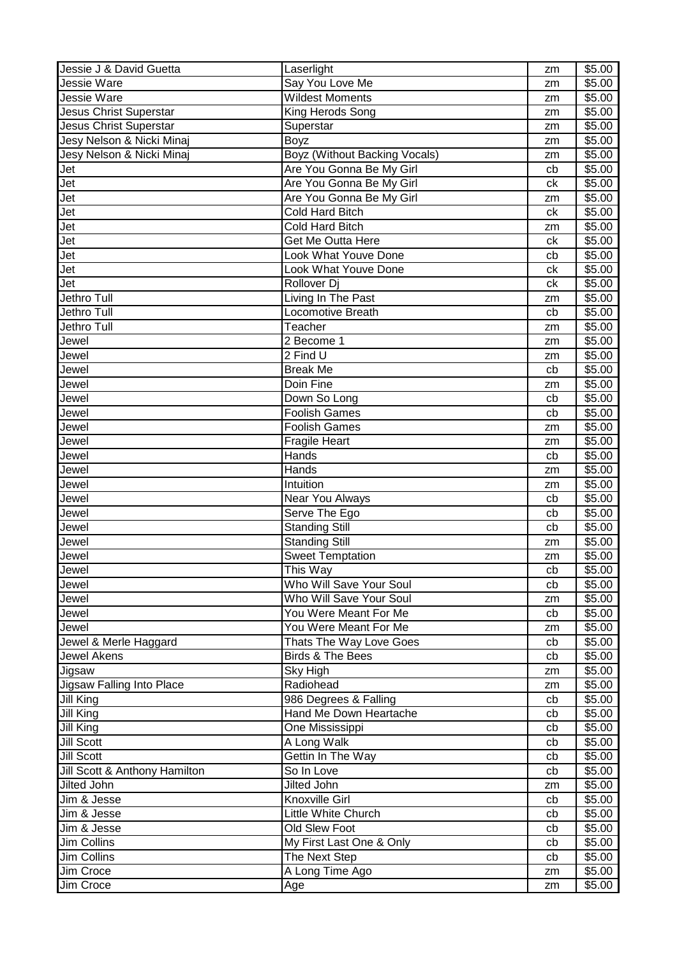| Jessie J & David Guetta       | Laserlight                           | zm | \$5.00             |
|-------------------------------|--------------------------------------|----|--------------------|
| Jessie Ware                   | Say You Love Me                      | zm | \$5.00             |
| Jessie Ware                   | <b>Wildest Moments</b>               | zm | \$5.00             |
| Jesus Christ Superstar        | King Herods Song                     | zm | \$5.00             |
| <b>Jesus Christ Superstar</b> | Superstar                            | zm | \$5.00             |
| Jesy Nelson & Nicki Minaj     | <b>Boyz</b>                          | zm | \$5.00             |
| Jesy Nelson & Nicki Minaj     | <b>Boyz (Without Backing Vocals)</b> | zm | \$5.00             |
| Jet                           | Are You Gonna Be My Girl             | cb | \$5.00             |
| Jet                           | Are You Gonna Be My Girl             | ck | $\overline{$}5.00$ |
| Jet                           | Are You Gonna Be My Girl             | zm | \$5.00             |
| Jet                           | Cold Hard Bitch                      | ck | \$5.00             |
| Jet                           | <b>Cold Hard Bitch</b>               | zm | \$5.00             |
| Jet                           | Get Me Outta Here                    | ck | \$5.00             |
| Jet                           | Look What Youve Done                 | cb | \$5.00             |
| Jet                           | Look What Youve Done                 | ck | \$5.00             |
| Jet                           | Rollover Di                          | ck | \$5.00             |
| Jethro Tull                   | Living In The Past                   | zm | \$5.00             |
| Jethro Tull                   | Locomotive Breath                    | cb | \$5.00             |
| Jethro Tull                   | Teacher                              | zm | \$5.00             |
| Jewel                         | 2 Become 1                           | zm | \$5.00             |
| Jewel                         | 2 Find U                             | zm | \$5.00             |
| Jewel                         | <b>Break Me</b>                      | cb | \$5.00             |
| Jewel                         | Doin Fine                            | zm | \$5.00             |
| Jewel                         | Down So Long                         | cb | \$5.00             |
| Jewel                         | <b>Foolish Games</b>                 | cb | \$5.00             |
| Jewel                         | <b>Foolish Games</b>                 | zm | \$5.00             |
| Jewel                         | <b>Fragile Heart</b>                 | zm | \$5.00             |
| Jewel                         | Hands                                | cb | \$5.00             |
| Jewel                         | Hands                                | zm | \$5.00             |
| Jewel                         | Intuition                            | zm | \$5.00             |
| Jewel                         | Near You Always                      | cb | \$5.00             |
| Jewel                         | Serve The Ego                        | cb | \$5.00             |
| Jewel                         | <b>Standing Still</b>                | cb | \$5.00             |
| Jewel                         | <b>Standing Still</b>                | zm | \$5.00             |
| Jewel                         | <b>Sweet Temptation</b>              | zm | \$5.00             |
| Jewel                         | This Way                             | cb | \$5.00             |
| Jewel                         | Who Will Save Your Soul              | cb | \$5.00             |
| Jewel                         | Who Will Save Your Soul              | zm | \$5.00             |
| Jewel                         | You Were Meant For Me                | cb | \$5.00             |
| Jewel                         | You Were Meant For Me                | zm | \$5.00             |
| Jewel & Merle Haggard         | Thats The Way Love Goes              | cb | \$5.00             |
| <b>Jewel Akens</b>            | <b>Birds &amp; The Bees</b>          | cb | \$5.00             |
| Jigsaw                        | Sky High                             | zm | \$5.00             |
| Jigsaw Falling Into Place     | Radiohead                            | zm | \$5.00             |
| Jill King                     | 986 Degrees & Falling                | cb | \$5.00             |
| Jill King                     | Hand Me Down Heartache               | cb | \$5.00             |
| Jill King                     | One Mississippi                      | cb | \$5.00             |
| <b>Jill Scott</b>             | A Long Walk                          | cb | \$5.00             |
| Jill Scott                    | Gettin In The Way                    | cb | \$5.00             |
| Jill Scott & Anthony Hamilton | So In Love                           | cb | \$5.00             |
| Jilted John                   | Jilted John                          | zm | \$5.00             |
| Jim & Jesse                   | Knoxville Girl                       | cb | \$5.00             |
| Jim & Jesse                   | Little White Church                  | cb | \$5.00             |
| Jim & Jesse                   | Old Slew Foot                        | cb | \$5.00             |
| Jim Collins                   | My First Last One & Only             | cb | \$5.00             |
| Jim Collins                   | The Next Step                        | cb | \$5.00             |
| Jim Croce                     | A Long Time Ago                      | zm | \$5.00             |
| Jim Croce                     | Age                                  | zm | \$5.00             |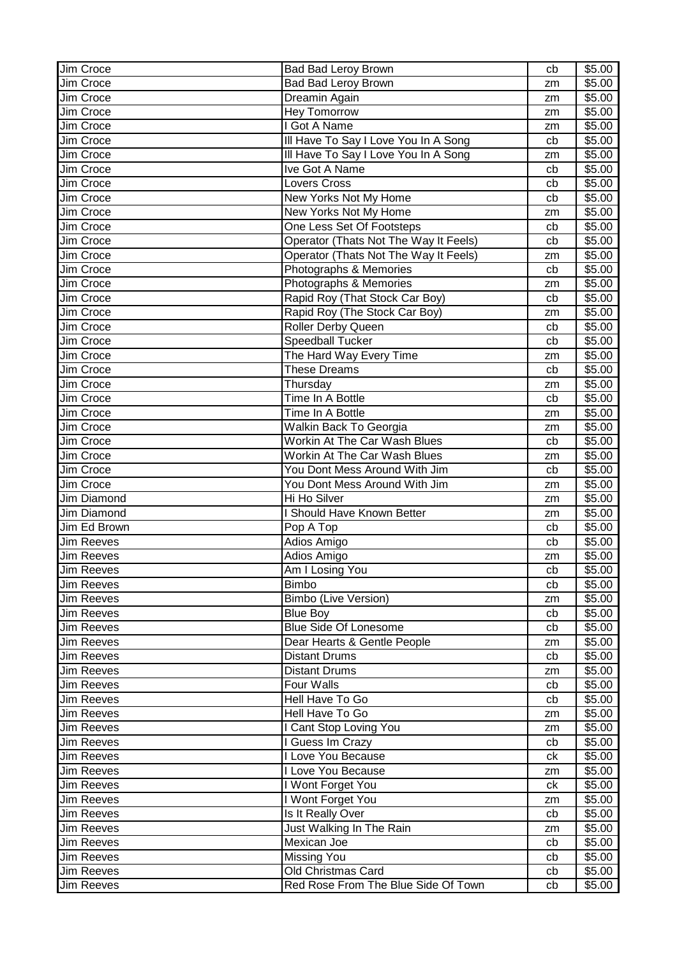| Jim Croce                       | Bad Bad Leroy Brown                                       | cb       | \$5.00             |
|---------------------------------|-----------------------------------------------------------|----------|--------------------|
| Jim Croce                       | <b>Bad Bad Leroy Brown</b>                                | zm       | \$5.00             |
| Jim Croce                       | Dreamin Again                                             | zm       | \$5.00             |
| Jim Croce                       | <b>Hey Tomorrow</b>                                       | zm       | $\overline{$}5.00$ |
| Jim Croce                       | I Got A Name                                              | zm       | \$5.00             |
| Jim Croce                       | III Have To Say I Love You In A Song                      | cb       | \$5.00             |
| Jim Croce                       | Ill Have To Say I Love You In A Song                      | zm       | \$5.00             |
| Jim Croce                       | Ive Got A Name                                            | cb       | \$5.00             |
| Jim Croce                       | <b>Lovers Cross</b>                                       | cb       | \$5.00             |
| Jim Croce                       | New Yorks Not My Home                                     | cb       | \$5.00             |
| Jim Croce                       | New Yorks Not My Home                                     | zm       | \$5.00             |
| <b>Jim Croce</b>                | One Less Set Of Footsteps                                 | cb       | \$5.00             |
| Jim Croce                       | Operator (Thats Not The Way It Feels)                     | cb       | \$5.00             |
| Jim Croce                       | Operator (Thats Not The Way It Feels)                     | zm       | \$5.00             |
| Jim Croce                       | Photographs & Memories                                    | cb       | \$5.00             |
| Jim Croce                       | Photographs & Memories                                    | zm       | \$5.00             |
| Jim Croce                       | Rapid Roy (That Stock Car Boy)                            | cb       | \$5.00             |
| Jim Croce                       | Rapid Roy (The Stock Car Boy)                             | zm       | \$5.00             |
| Jim Croce                       | Roller Derby Queen                                        | cb       | \$5.00             |
| <b>Jim Croce</b>                | <b>Speedball Tucker</b>                                   | cb       | \$5.00             |
| Jim Croce                       | The Hard Way Every Time                                   | zm       | \$5.00             |
| Jim Croce                       | <b>These Dreams</b>                                       | cb       | \$5.00             |
| Jim Croce                       | Thursday                                                  | zm       | \$5.00             |
| Jim Croce                       | Time In A Bottle                                          | cb       | \$5.00             |
| Jim Croce                       | Time In A Bottle                                          | zm       | \$5.00             |
| Jim Croce                       | Walkin Back To Georgia                                    | zm       | \$5.00             |
| Jim Croce                       | Workin At The Car Wash Blues                              | cb       | \$5.00             |
| Jim Croce                       | Workin At The Car Wash Blues                              |          | \$5.00             |
| Jim Croce                       | You Dont Mess Around With Jim                             | zm<br>cb | \$5.00             |
|                                 |                                                           |          |                    |
|                                 |                                                           |          |                    |
| Jim Croce                       | You Dont Mess Around With Jim                             | zm       | \$5.00             |
| Jim Diamond                     | Hi Ho Silver                                              | zm       | \$5.00             |
| Jim Diamond                     | <b>Should Have Known Better</b>                           | zm       | \$5.00             |
| Jim Ed Brown                    | Pop A Top                                                 | cb       | \$5.00             |
| <b>Jim Reeves</b>               | Adios Amigo                                               | cb       | \$5.00             |
| <b>Jim Reeves</b>               | Adios Amigo                                               | zm       | \$5.00             |
| <b>Jim Reeves</b>               | Am I Losing You                                           | cb       | \$5.00             |
| <b>Jim Reeves</b>               | Bimbo                                                     | cb       | \$5.00             |
| <b>Jim Reeves</b>               | Bimbo (Live Version)                                      | zm       | \$5.00             |
| <b>Jim Reeves</b>               | <b>Blue Boy</b>                                           | cb       | \$5.00             |
| <b>Jim Reeves</b>               | <b>Blue Side Of Lonesome</b>                              | cb       | \$5.00             |
| <b>Jim Reeves</b>               | Dear Hearts & Gentle People                               | zm       | \$5.00             |
| <b>Jim Reeves</b>               | <b>Distant Drums</b>                                      | cb       | \$5.00             |
| <b>Jim Reeves</b>               | <b>Distant Drums</b>                                      | zm       | \$5.00             |
| Jim Reeves                      | Four Walls                                                | cb       | \$5.00             |
| <b>Jim Reeves</b>               | Hell Have To Go                                           | cb       | \$5.00             |
| Jim Reeves                      | Hell Have To Go                                           | zm       | \$5.00             |
| <b>Jim Reeves</b>               | I Cant Stop Loving You                                    | zm       | \$5.00             |
| <b>Jim Reeves</b>               | I Guess Im Crazy                                          | cb       | \$5.00             |
| <b>Jim Reeves</b>               | I Love You Because                                        | сk       | \$5.00             |
| <b>Jim Reeves</b>               | I Love You Because                                        | zm       | \$5.00             |
| <b>Jim Reeves</b>               | I Wont Forget You                                         | ck       | \$5.00             |
| <b>Jim Reeves</b>               | I Wont Forget You                                         | zm       | \$5.00             |
| <b>Jim Reeves</b>               | Is It Really Over                                         | cb       | \$5.00             |
| <b>Jim Reeves</b>               | Just Walking In The Rain                                  | zm       | \$5.00             |
| <b>Jim Reeves</b>               | Mexican Joe                                               | cb       | \$5.00             |
| <b>Jim Reeves</b>               | <b>Missing You</b>                                        | cb       | \$5.00             |
| <b>Jim Reeves</b><br>Jim Reeves | Old Christmas Card<br>Red Rose From The Blue Side Of Town | cb<br>cb | \$5.00<br>\$5.00   |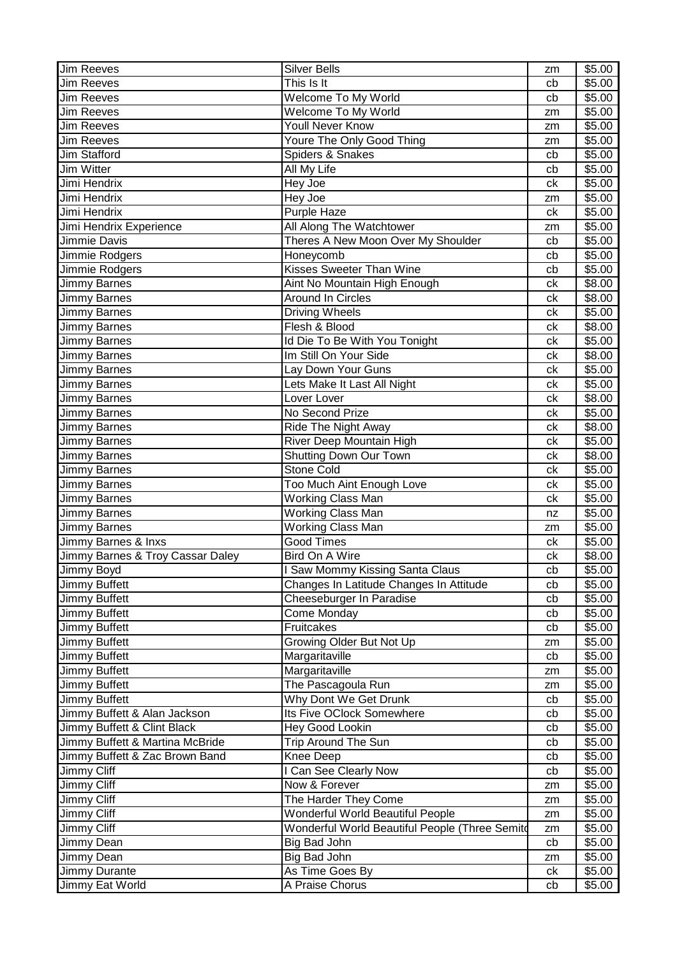| <b>Jim Reeves</b>                | <b>Silver Bells</b>                            | zm | \$5.00             |
|----------------------------------|------------------------------------------------|----|--------------------|
| <b>Jim Reeves</b>                | This Is It                                     | cb | \$5.00             |
| <b>Jim Reeves</b>                | Welcome To My World                            | cb | \$5.00             |
| <b>Jim Reeves</b>                | Welcome To My World                            | zm | $\overline{$}5.00$ |
| <b>Jim Reeves</b>                | Youll Never Know                               | zm | \$5.00             |
| <b>Jim Reeves</b>                | Youre The Only Good Thing                      | zm | \$5.00             |
| Jim Stafford                     | Spiders & Snakes                               | cb | \$5.00             |
| Jim Witter                       | All My Life                                    | cb | \$5.00             |
| Jimi Hendrix                     | Hey Joe                                        | ck | \$5.00             |
| Jimi Hendrix                     | Hey Joe                                        | zm | \$5.00             |
| Jimi Hendrix                     | Purple Haze                                    | ck | \$5.00             |
| Jimi Hendrix Experience          | All Along The Watchtower                       | zm | \$5.00             |
| Jimmie Davis                     | Theres A New Moon Over My Shoulder             | cb | \$5.00             |
| Jimmie Rodgers                   | Honeycomb                                      | cb | \$5.00             |
| Jimmie Rodgers                   | Kisses Sweeter Than Wine                       | cb | \$5.00             |
| Jimmy Barnes                     | Aint No Mountain High Enough                   | ck | \$8.00             |
| Jimmy Barnes                     | <b>Around In Circles</b>                       | сk | \$8.00             |
| Jimmy Barnes                     | <b>Driving Wheels</b>                          | ck | \$5.00             |
| Jimmy Barnes                     | Flesh & Blood                                  | ck | \$8.00             |
| Jimmy Barnes                     | Id Die To Be With You Tonight                  | ck | \$5.00             |
| <b>Jimmy Barnes</b>              | Im Still On Your Side                          | ck | \$8.00             |
| Jimmy Barnes                     | Lay Down Your Guns                             | сk | \$5.00             |
| Jimmy Barnes                     | Lets Make It Last All Night                    | сk | \$5.00             |
| Jimmy Barnes                     | Lover Lover                                    | сk | \$8.00             |
| Jimmy Barnes                     | No Second Prize                                | ck | \$5.00             |
| Jimmy Barnes                     | Ride The Night Away                            | ck | \$8.00             |
| <b>Jimmy Barnes</b>              | River Deep Mountain High                       | сk | \$5.00             |
| <b>Jimmy Barnes</b>              | <b>Shutting Down Our Town</b>                  | сk | \$8.00             |
| Jimmy Barnes                     | <b>Stone Cold</b>                              | ck | \$5.00             |
| Jimmy Barnes                     | Too Much Aint Enough Love                      | ck | \$5.00             |
| <b>Jimmy Barnes</b>              | <b>Working Class Man</b>                       | сk | \$5.00             |
| Jimmy Barnes                     | <b>Working Class Man</b>                       | nz | \$5.00             |
| <b>Jimmy Barnes</b>              | <b>Working Class Man</b>                       | zm | \$5.00             |
| Jimmy Barnes & Inxs              | <b>Good Times</b>                              | ck | \$5.00             |
| Jimmy Barnes & Troy Cassar Daley | <b>Bird On A Wire</b>                          | ck | \$8.00             |
| Jimmy Boyd                       | I Saw Mommy Kissing Santa Claus                | cb | \$5.00             |
| Jimmy Buffett                    | Changes In Latitude Changes In Attitude        | cb | \$5.00             |
| Jimmy Buffett                    | Cheeseburger In Paradise                       | cb | \$5.00             |
| Jimmy Buffett                    | Come Monday                                    | cb | \$5.00             |
| Jimmy Buffett                    | Fruitcakes                                     | cb | \$5.00             |
| Jimmy Buffett                    | Growing Older But Not Up                       | zm | \$5.00             |
| Jimmy Buffett                    | Margaritaville                                 | cb | \$5.00             |
| Jimmy Buffett                    | Margaritaville                                 | zm | \$5.00             |
| Jimmy Buffett                    | The Pascagoula Run                             | zm | \$5.00             |
| Jimmy Buffett                    | Why Dont We Get Drunk                          | cb | \$5.00             |
| Jimmy Buffett & Alan Jackson     | Its Five OClock Somewhere                      | cb | \$5.00             |
| Jimmy Buffett & Clint Black      | Hey Good Lookin                                | cb | \$5.00             |
| Jimmy Buffett & Martina McBride  | Trip Around The Sun                            | cb | \$5.00             |
| Jimmy Buffett & Zac Brown Band   | Knee Deep                                      | cb | \$5.00             |
| Jimmy Cliff                      | I Can See Clearly Now                          | cb | \$5.00             |
| Jimmy Cliff                      | Now & Forever                                  | zm | \$5.00             |
| Jimmy Cliff                      | The Harder They Come                           | zm | \$5.00             |
| Jimmy Cliff                      | <b>Wonderful World Beautiful People</b>        | zm | \$5.00             |
| Jimmy Cliff                      | Wonderful World Beautiful People (Three Semito | zm | \$5.00             |
| Jimmy Dean                       | Big Bad John                                   | cb | \$5.00             |
| Jimmy Dean                       | Big Bad John                                   | zm | \$5.00             |
| Jimmy Durante                    | As Time Goes By                                | сk | \$5.00             |
| Jimmy Eat World                  | A Praise Chorus                                | cb | \$5.00             |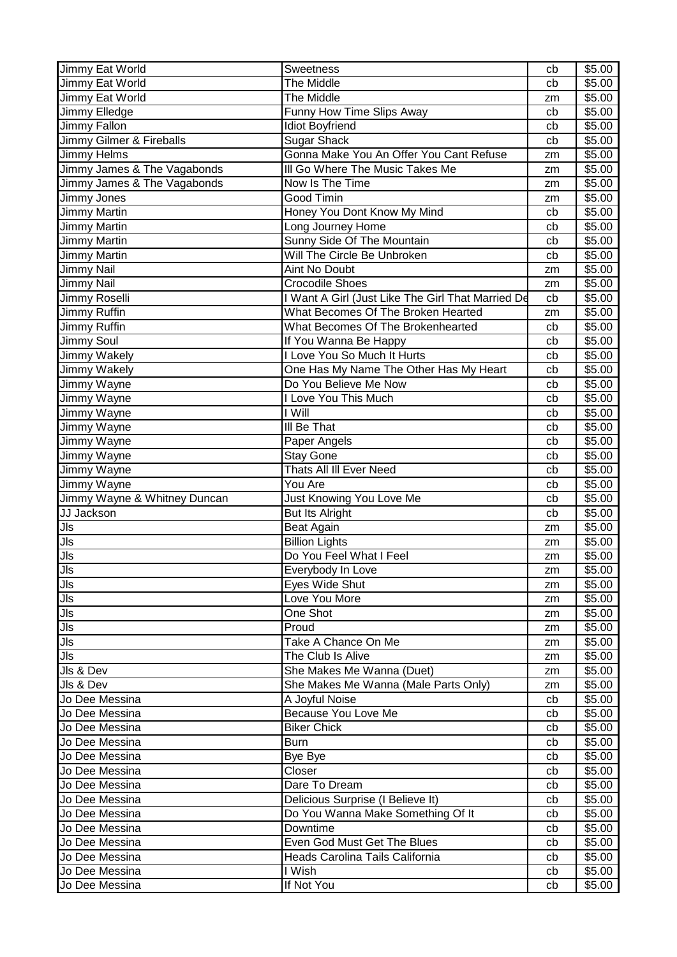| Jimmy Eat World              | Sweetness                                         | cb | \$5.00 |
|------------------------------|---------------------------------------------------|----|--------|
| Jimmy Eat World              | <b>The Middle</b>                                 | cb | \$5.00 |
| Jimmy Eat World              | The Middle                                        | zm | \$5.00 |
| Jimmy Elledge                | Funny How Time Slips Away                         | cb | \$5.00 |
| <b>Jimmy Fallon</b>          | <b>Idiot Boyfriend</b>                            | cb | \$5.00 |
| Jimmy Gilmer & Fireballs     | <b>Sugar Shack</b>                                | cb | \$5.00 |
| Jimmy Helms                  | Gonna Make You An Offer You Cant Refuse           | zm | \$5.00 |
| Jimmy James & The Vagabonds  | III Go Where The Music Takes Me                   | zm | \$5.00 |
| Jimmy James & The Vagabonds  | Now Is The Time                                   | zm | \$5.00 |
| Jimmy Jones                  | Good Timin                                        | zm | \$5.00 |
| Jimmy Martin                 | Honey You Dont Know My Mind                       | cb | \$5.00 |
| <b>Jimmy Martin</b>          | Long Journey Home                                 | cb | \$5.00 |
| Jimmy Martin                 | Sunny Side Of The Mountain                        | cb | \$5.00 |
| Jimmy Martin                 | Will The Circle Be Unbroken                       | cb | \$5.00 |
| Jimmy Nail                   | Aint No Doubt                                     | zm | \$5.00 |
| Jimmy Nail                   | <b>Crocodile Shoes</b>                            | zm | \$5.00 |
| Jimmy Roselli                | I Want A Girl (Just Like The Girl That Married De | cb | \$5.00 |
| Jimmy Ruffin                 | What Becomes Of The Broken Hearted                | zm | \$5.00 |
| Jimmy Ruffin                 | What Becomes Of The Brokenhearted                 | cb | \$5.00 |
| Jimmy Soul                   | If You Wanna Be Happy                             | cb | \$5.00 |
| Jimmy Wakely                 | I Love You So Much It Hurts                       | cb | \$5.00 |
| Jimmy Wakely                 | One Has My Name The Other Has My Heart            | cb | \$5.00 |
| Jimmy Wayne                  | Do You Believe Me Now                             | cb | \$5.00 |
| Jimmy Wayne                  | I Love You This Much                              | cb | \$5.00 |
| Jimmy Wayne                  | I Will                                            | cb | \$5.00 |
| I<br>Jimmy Wayne             | III Be That                                       | cb | \$5.00 |
| Jimmy Wayne                  | Paper Angels                                      | cb | \$5.00 |
| Jimmy Wayne                  | <b>Stay Gone</b>                                  | cb | \$5.00 |
| Jimmy Wayne                  | Thats All III Ever Need                           | cb | \$5.00 |
| Jimmy Wayne                  | You Are                                           | cb | \$5.00 |
| Jimmy Wayne & Whitney Duncan | Just Knowing You Love Me                          | cb | \$5.00 |
| JJ Jackson                   | <b>But Its Alright</b>                            | cb | \$5.00 |
| <b>JIs</b>                   | <b>Beat Again</b>                                 | zm | \$5.00 |
| Jls                          | <b>Billion Lights</b>                             | zm | \$5.00 |
| Jls                          | Do You Feel What I Feel                           | zm | \$5.00 |
| $\overline{\mathsf{Jls}}$    | Everybody In Love                                 | zm | \$5.00 |
| $\frac{518}{\sqrt{15}}$      | Eyes Wide Shut                                    | zm | \$5.00 |
| $\overline{\mathsf{Jls}}$    | Love You More                                     | zm | \$5.00 |
| $J\vert s$                   | One Shot                                          | zm | \$5.00 |
| $J\vert s$                   | Proud                                             | zm | \$5.00 |
| $\overline{\mathsf{Jls}}$    | Take A Chance On Me                               | zm | \$5.00 |
| <b>JIs</b>                   | The Club Is Alive                                 | zm | \$5.00 |
| Jls & Dev                    | She Makes Me Wanna (Duet)                         | zm | \$5.00 |
| Jls & Dev                    | She Makes Me Wanna (Male Parts Only)              | zm | \$5.00 |
| Jo Dee Messina               | A Joyful Noise                                    | cb | \$5.00 |
| Jo Dee Messina               | Because You Love Me                               | cb | \$5.00 |
| Jo Dee Messina               | <b>Biker Chick</b>                                | cb | \$5.00 |
| Jo Dee Messina               | Burn                                              | cb | \$5.00 |
| Jo Dee Messina               | Bye Bye                                           | cb | \$5.00 |
| Jo Dee Messina               | Closer                                            | cb | \$5.00 |
| Jo Dee Messina               | Dare To Dream                                     | cb | \$5.00 |
| Jo Dee Messina               | Delicious Surprise (I Believe It)                 | cb | \$5.00 |
| Jo Dee Messina               | Do You Wanna Make Something Of It                 | cb | \$5.00 |
| Jo Dee Messina               | Downtime                                          | cb | \$5.00 |
| Jo Dee Messina               | Even God Must Get The Blues                       | cb | \$5.00 |
| Jo Dee Messina               | Heads Carolina Tails California                   | cb | \$5.00 |
| Jo Dee Messina               | I Wish                                            | cb | \$5.00 |
| Jo Dee Messina               | If Not You                                        | cb | \$5.00 |
|                              |                                                   |    |        |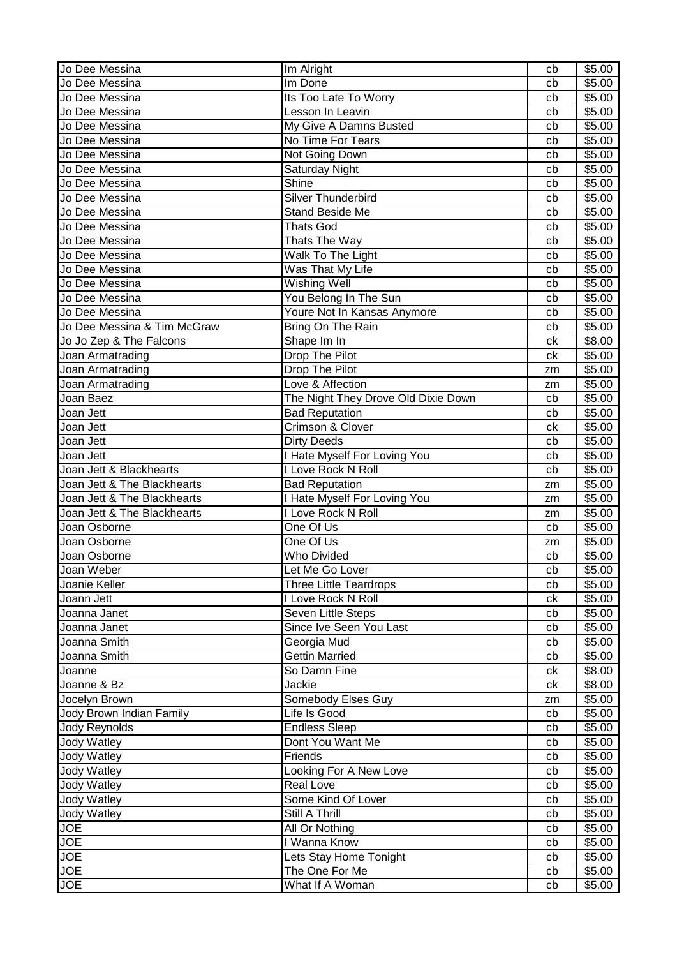| Jo Dee Messina              | Im Alright                          | cb | \$5.00 |
|-----------------------------|-------------------------------------|----|--------|
| Jo Dee Messina              | Im Done                             | cb | \$5.00 |
| Jo Dee Messina              | Its Too Late To Worry               | cb | \$5.00 |
| Jo Dee Messina              | Lesson In Leavin                    | cb | \$5.00 |
| Jo Dee Messina              | My Give A Damns Busted              | cb | \$5.00 |
| Jo Dee Messina              | No Time For Tears                   | cb | \$5.00 |
| Jo Dee Messina              | Not Going Down                      | cb | \$5.00 |
| Jo Dee Messina              | Saturday Night                      | cb | \$5.00 |
| Jo Dee Messina              | Shine                               | cb | \$5.00 |
| Jo Dee Messina              | Silver Thunderbird                  | cb | \$5.00 |
| Jo Dee Messina              | Stand Beside Me                     | cb | \$5.00 |
| Jo Dee Messina              | <b>Thats God</b>                    | cb | \$5.00 |
| Jo Dee Messina              | Thats The Way                       | cb | \$5.00 |
| Jo Dee Messina              | Walk To The Light                   | cb | \$5.00 |
| Jo Dee Messina              | Was That My Life                    | cb | \$5.00 |
| Jo Dee Messina              | Wishing Well                        | cb | \$5.00 |
| Jo Dee Messina              | You Belong In The Sun               | cb | \$5.00 |
| Jo Dee Messina              | Youre Not In Kansas Anymore         | cb | \$5.00 |
| Jo Dee Messina & Tim McGraw | Bring On The Rain                   | cb | \$5.00 |
| Jo Jo Zep & The Falcons     | Shape Im In                         | ck | \$8.00 |
| Joan Armatrading            | Drop The Pilot                      | ck | \$5.00 |
| Joan Armatrading            | Drop The Pilot                      | zm | \$5.00 |
| Joan Armatrading            | Love & Affection                    | zm | \$5.00 |
| Joan Baez                   | The Night They Drove Old Dixie Down | cb | \$5.00 |
| Joan Jett                   | <b>Bad Reputation</b>               | cb | \$5.00 |
| Joan Jett                   | Crimson & Clover                    | ck | \$5.00 |
| Joan Jett                   | <b>Dirty Deeds</b>                  | cb | \$5.00 |
| Joan Jett                   | I Hate Myself For Loving You        | cb | \$5.00 |
| Joan Jett & Blackhearts     | I Love Rock N Roll                  | cb | \$5.00 |
| Joan Jett & The Blackhearts | <b>Bad Reputation</b>               | zm | \$5.00 |
| Joan Jett & The Blackhearts | I Hate Myself For Loving You        | zm | \$5.00 |
| Joan Jett & The Blackhearts | I Love Rock N Roll                  | zm | \$5.00 |
| Joan Osborne                | One Of Us                           | cb | \$5.00 |
| Joan Osborne                | One Of Us                           | zm | \$5.00 |
| Joan Osborne                | <b>Who Divided</b>                  | cb | \$5.00 |
| Joan Weber                  | Let Me Go Lover                     | cb | \$5.00 |
| Joanie Keller               | <b>Three Little Teardrops</b>       | cb | \$5.00 |
| Joann Jett                  | I Love Rock N Roll                  | ck | \$5.00 |
| Joanna Janet                | Seven Little Steps                  | cb | \$5.00 |
| Joanna Janet                | Since Ive Seen You Last             | cb | \$5.00 |
| Joanna Smith                | Georgia Mud                         | cb | \$5.00 |
| Joanna Smith                | Gettin Married                      | cb | \$5.00 |
| Joanne                      | So Damn Fine                        | ck | \$8.00 |
| Joanne & Bz                 | Jackie                              | ck | \$8.00 |
| Jocelyn Brown               | Somebody Elses Guy                  | zm | \$5.00 |
| Jody Brown Indian Family    | Life Is Good                        | cb | \$5.00 |
| Jody Reynolds               | <b>Endless Sleep</b>                | cb | \$5.00 |
| Jody Watley                 | Dont You Want Me                    | cb | \$5.00 |
| Jody Watley                 | Friends                             | cb | \$5.00 |
| <b>Jody Watley</b>          | Looking For A New Love              | cb | \$5.00 |
| <b>Jody Watley</b>          | <b>Real Love</b>                    | cb | \$5.00 |
| Jody Watley                 | Some Kind Of Lover                  | cb | \$5.00 |
| <b>Jody Watley</b>          | Still A Thrill                      | cb | \$5.00 |
| <b>JOE</b>                  | All Or Nothing                      | cb | \$5.00 |
| <b>JOE</b>                  | I Wanna Know                        | cb | \$5.00 |
| <b>JOE</b>                  | Lets Stay Home Tonight              | cb | \$5.00 |
| <b>JOE</b>                  | The One For Me                      | cb | \$5.00 |
| <b>JOE</b>                  | What If A Woman                     | cb | \$5.00 |
|                             |                                     |    |        |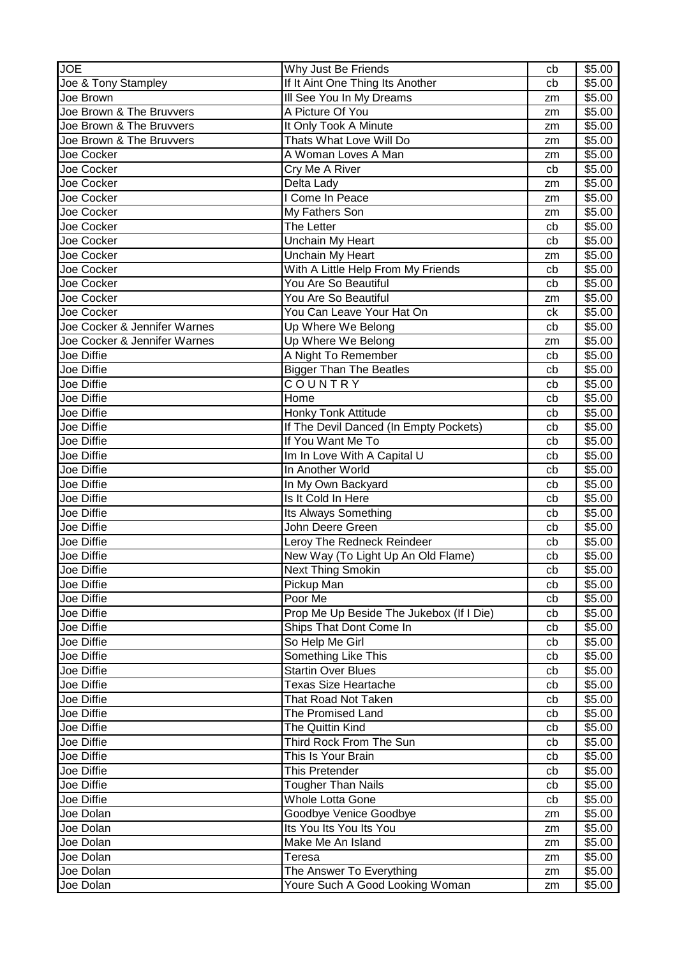| <b>JOE</b>                   | Why Just Be Friends                                      | cb       | \$5.00           |
|------------------------------|----------------------------------------------------------|----------|------------------|
| Joe & Tony Stampley          | If It Aint One Thing Its Another                         | cb       | \$5.00           |
| Joe Brown                    | Ill See You In My Dreams                                 | zm       | \$5.00           |
| Joe Brown & The Bruvvers     | A Picture Of You                                         | zm       | \$5.00           |
| Joe Brown & The Bruvvers     | It Only Took A Minute                                    | zm       | \$5.00           |
| Joe Brown & The Bruvvers     | Thats What Love Will Do                                  | zm       | \$5.00           |
| Joe Cocker                   | A Woman Loves A Man                                      | zm       | \$5.00           |
| Joe Cocker                   | Cry Me A River                                           | cb       | \$5.00           |
| Joe Cocker                   | Delta Lady                                               | zm       | \$5.00           |
| Joe Cocker                   | I Come In Peace                                          | zm       | \$5.00           |
| Joe Cocker                   | My Fathers Son                                           | zm       | \$5.00           |
| Joe Cocker                   | The Letter                                               | cb       | \$5.00           |
| Joe Cocker                   | Unchain My Heart                                         | cb       | \$5.00           |
| Joe Cocker                   | <b>Unchain My Heart</b>                                  | zm       | \$5.00           |
| Joe Cocker                   | With A Little Help From My Friends                       | cb       | \$5.00           |
| Joe Cocker                   | You Are So Beautiful                                     | cb       | \$5.00           |
| Joe Cocker                   | You Are So Beautiful                                     | zm       | \$5.00           |
| Joe Cocker                   | You Can Leave Your Hat On                                | ck       | \$5.00           |
| Joe Cocker & Jennifer Warnes | Up Where We Belong                                       | cb       | \$5.00           |
| Joe Cocker & Jennifer Warnes | Up Where We Belong                                       | zm       | \$5.00           |
| Joe Diffie                   | A Night To Remember                                      | cb       | \$5.00           |
| Joe Diffie                   | <b>Bigger Than The Beatles</b>                           | cb       | \$5.00           |
| Joe Diffie                   | COUNTRY                                                  | cb       | \$5.00           |
| Joe Diffie                   | Home                                                     | cb       | \$5.00           |
| Joe Diffie                   | Honky Tonk Attitude                                      | cb       | \$5.00           |
| Joe Diffie                   | If The Devil Danced (In Empty Pockets)                   | cb       | \$5.00           |
| Joe Diffie                   | If You Want Me To                                        | cb       | \$5.00           |
| Joe Diffie                   | Im In Love With A Capital U                              | cb       | \$5.00           |
| Joe Diffie                   | In Another World                                         | cb       | \$5.00           |
|                              |                                                          |          |                  |
|                              |                                                          |          |                  |
| Joe Diffie                   | In My Own Backyard                                       | cb       | \$5.00           |
| Joe Diffie                   | Is It Cold In Here                                       | cb       | \$5.00           |
| Joe Diffie                   | Its Always Something                                     | cb       | \$5.00           |
| Joe Diffie                   | John Deere Green                                         | cb       | \$5.00           |
| Joe Diffie                   | Leroy The Redneck Reindeer                               | cb       | \$5.00           |
| Joe Diffie                   | New Way (To Light Up An Old Flame)                       | cb       | \$5.00           |
| Joe Diffie                   | <b>Next Thing Smokin</b>                                 | cb       | \$5.00           |
| Joe Diffie                   | Pickup Man                                               | cb       | \$5.00           |
| Joe Diffie                   | Poor Me                                                  | cb       | \$5.00           |
| Joe Diffie                   | Prop Me Up Beside The Jukebox (If I Die)                 | cb       | \$5.00           |
| Joe Diffie                   | Ships That Dont Come In                                  | cb       | \$5.00           |
| Joe Diffie                   | So Help Me Girl                                          | cb       | \$5.00           |
| Joe Diffie                   | Something Like This                                      | cb       | \$5.00           |
| Joe Diffie<br>Joe Diffie     | <b>Startin Over Blues</b><br><b>Texas Size Heartache</b> | cb<br>cb | \$5.00           |
|                              |                                                          |          | \$5.00           |
| Joe Diffie                   | That Road Not Taken                                      | cb       | \$5.00           |
| Joe Diffie                   | The Promised Land                                        | cb       | \$5.00           |
| Joe Diffie                   | The Quittin Kind                                         | cb       | \$5.00           |
| Joe Diffie                   | Third Rock From The Sun                                  | cb<br>cb | \$5.00           |
| Joe Diffie<br>Joe Diffie     | This Is Your Brain<br>This Pretender                     | cb       | \$5.00           |
| Joe Diffie                   |                                                          |          | \$5.00           |
| Joe Diffie                   | <b>Tougher Than Nails</b><br><b>Whole Lotta Gone</b>     | cb<br>cb | \$5.00<br>\$5.00 |
|                              |                                                          | zm       |                  |
| Joe Dolan                    | Goodbye Venice Goodbye<br>Its You Its You Its You        | zm       | \$5.00           |
| Joe Dolan                    |                                                          | zm       | \$5.00           |
| Joe Dolan<br>Joe Dolan       | Make Me An Island<br>Teresa                              | zm       | \$5.00           |
| Joe Dolan                    | The Answer To Everything                                 | zm       | \$5.00<br>\$5.00 |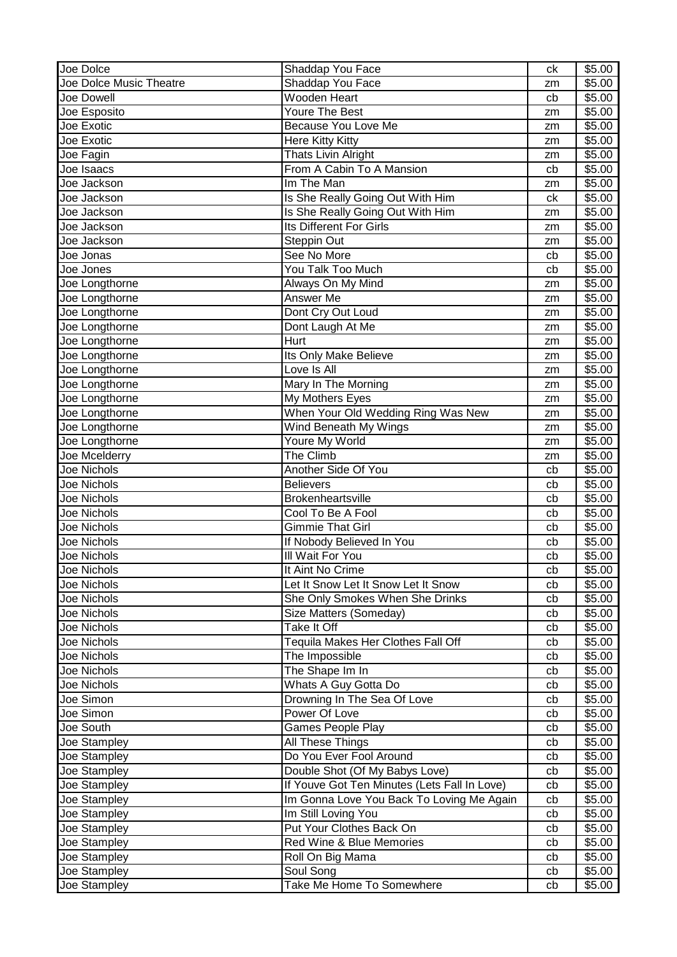| Joe Dolce               | Shaddap You Face                                      | ck | \$5.00 |
|-------------------------|-------------------------------------------------------|----|--------|
| Joe Dolce Music Theatre | Shaddap You Face                                      | zm | \$5.00 |
| Joe Dowell              | Wooden Heart                                          | cb | \$5.00 |
| Joe Esposito            | Youre The Best                                        | zm | \$5.00 |
| Joe Exotic              | Because You Love Me                                   | zm | \$5.00 |
| Joe Exotic              | Here Kitty Kitty                                      | zm | \$5.00 |
| Joe Fagin               | Thats Livin Alright                                   | zm | \$5.00 |
| Joe Isaacs              | From A Cabin To A Mansion                             | cb | \$5.00 |
| Joe Jackson             | Im The Man                                            | zm | \$5.00 |
| Joe Jackson             | Is She Really Going Out With Him                      | ck | \$5.00 |
| Joe Jackson             | Is She Really Going Out With Him                      | zm | \$5.00 |
| Joe Jackson             | Its Different For Girls                               | zm | \$5.00 |
| Joe Jackson             | Steppin Out                                           | zm | \$5.00 |
| Joe Jonas               | See No More                                           | cb | \$5.00 |
| Joe Jones               | You Talk Too Much                                     | cb | \$5.00 |
| Joe Longthorne          | Always On My Mind                                     | zm | \$5.00 |
| Joe Longthorne          | Answer Me                                             | zm | \$5.00 |
| Joe Longthorne          | Dont Cry Out Loud                                     | zm | \$5.00 |
| Joe Longthorne          | Dont Laugh At Me                                      | zm | \$5.00 |
| Joe Longthorne          | Hurt                                                  | zm | \$5.00 |
| Joe Longthorne          | Its Only Make Believe                                 | zm | \$5.00 |
| Joe Longthorne          | Love Is All                                           |    | \$5.00 |
| Joe Longthorne          |                                                       | zm | \$5.00 |
| Joe Longthorne          | Mary In The Morning                                   | zm | \$5.00 |
|                         | My Mothers Eyes<br>When Your Old Wedding Ring Was New | zm |        |
| Joe Longthorne          |                                                       | zm | \$5.00 |
| Joe Longthorne          | Wind Beneath My Wings                                 | zm | \$5.00 |
| Joe Longthorne          | Youre My World                                        | zm | \$5.00 |
| Joe Mcelderry           | The Climb                                             | zm | \$5.00 |
| Joe Nichols             | Another Side Of You                                   | cb | \$5.00 |
| Joe Nichols             | <b>Believers</b>                                      | cb | \$5.00 |
| Joe Nichols             | <b>Brokenheartsville</b>                              | cb | \$5.00 |
| Joe Nichols             | Cool To Be A Fool                                     | cb | \$5.00 |
| Joe Nichols             | <b>Gimmie That Girl</b>                               | cb | \$5.00 |
| <b>Joe Nichols</b>      | If Nobody Believed In You                             | cb | \$5.00 |
| Joe Nichols             | III Wait For You                                      | cb | \$5.00 |
| Joe Nichols             | It Aint No Crime                                      | cb | \$5.00 |
| Joe Nichols             | Let It Snow Let It Snow Let It Snow                   | cb | \$5.00 |
| Joe Nichols             | She Only Smokes When She Drinks                       | cb | \$5.00 |
| Joe Nichols             | Size Matters (Someday)                                | cb | \$5.00 |
| Joe Nichols             | Take It Off                                           | cb | \$5.00 |
| Joe Nichols             | Tequila Makes Her Clothes Fall Off                    | cb | \$5.00 |
| Joe Nichols             | The Impossible                                        | cb | \$5.00 |
| Joe Nichols             | The Shape Im In                                       | cb | \$5.00 |
| Joe Nichols             | Whats A Guy Gotta Do                                  | cb | \$5.00 |
| Joe Simon               | Drowning In The Sea Of Love                           | cb | \$5.00 |
| Joe Simon               | Power Of Love                                         | cb | \$5.00 |
| Joe South               | Games People Play                                     | cb | \$5.00 |
| Joe Stampley            | <b>All These Things</b>                               | cb | \$5.00 |
| Joe Stampley            | Do You Ever Fool Around                               | cb | \$5.00 |
| Joe Stampley            | Double Shot (Of My Babys Love)                        | cb | \$5.00 |
| Joe Stampley            | If Youve Got Ten Minutes (Lets Fall In Love)          | cb | \$5.00 |
| Joe Stampley            | Im Gonna Love You Back To Loving Me Again             | cb | \$5.00 |
| Joe Stampley            | Im Still Loving You                                   | cb | \$5.00 |
| Joe Stampley            | Put Your Clothes Back On                              | cb | \$5.00 |
| Joe Stampley            | Red Wine & Blue Memories                              | cb | \$5.00 |
| Joe Stampley            | Roll On Big Mama                                      | cb | \$5.00 |
| Joe Stampley            | Soul Song                                             | cb | \$5.00 |
| Joe Stampley            | Take Me Home To Somewhere                             | cb | \$5.00 |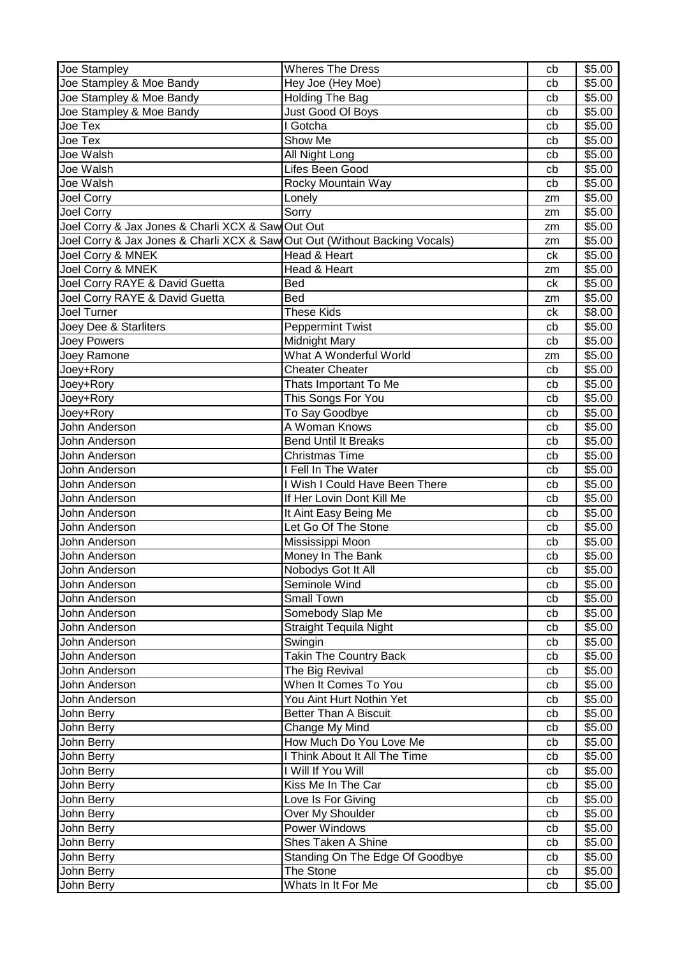| Joe Stampley                                                               | <b>Wheres The Dress</b>         | cb | \$5.00 |
|----------------------------------------------------------------------------|---------------------------------|----|--------|
| Joe Stampley & Moe Bandy                                                   | Hey Joe (Hey Moe)               | cb | \$5.00 |
| Joe Stampley & Moe Bandy                                                   | Holding The Bag                 | cb | \$5.00 |
| Joe Stampley & Moe Bandy                                                   | Just Good OI Boys               | cb | \$5.00 |
| Joe Tex                                                                    | I Gotcha                        | cb | \$5.00 |
| Joe Tex                                                                    | Show Me                         | cb | \$5.00 |
| Joe Walsh                                                                  | All Night Long                  | cb | \$5.00 |
| Joe Walsh                                                                  | Lifes Been Good                 | cb | \$5.00 |
| Joe Walsh                                                                  | Rocky Mountain Way              | cb | \$5.00 |
| Joel Corry                                                                 | Lonely                          | zm | \$5.00 |
| <b>Joel Corry</b>                                                          | Sorry                           | zm | \$5.00 |
| Joel Corry & Jax Jones & Charli XCX & Saw Out Out                          |                                 | zm | \$5.00 |
| Joel Corry & Jax Jones & Charli XCX & Saw Out Out (Without Backing Vocals) |                                 | zm | \$5.00 |
| Joel Corry & MNEK                                                          | Head & Heart                    | ck | \$5.00 |
| Joel Corry & MNEK                                                          | Head & Heart                    | zm | \$5.00 |
| Joel Corry RAYE & David Guetta                                             | <b>Bed</b>                      | ck | \$5.00 |
| Joel Corry RAYE & David Guetta                                             | <b>Bed</b>                      | zm | \$5.00 |
| Joel Turner                                                                | <b>These Kids</b>               | ck | \$8.00 |
| Joey Dee & Starliters                                                      | <b>Peppermint Twist</b>         | cb | \$5.00 |
| <b>Joey Powers</b>                                                         | <b>Midnight Mary</b>            | cb | \$5.00 |
| Joey Ramone                                                                | What A Wonderful World          | zm | \$5.00 |
| Joey+Rory                                                                  | <b>Cheater Cheater</b>          | cb | \$5.00 |
| Joey+Rory                                                                  | Thats Important To Me           | cb | \$5.00 |
| Joey+Rory                                                                  | This Songs For You              | cb | \$5.00 |
| Joey+Rory                                                                  | To Say Goodbye                  | cb | \$5.00 |
| John Anderson                                                              | A Woman Knows                   | cb | \$5.00 |
| John Anderson                                                              | <b>Bend Until It Breaks</b>     | cb | \$5.00 |
| John Anderson                                                              | <b>Christmas Time</b>           | cb | \$5.00 |
| John Anderson                                                              | I Fell In The Water             | cb | \$5.00 |
| John Anderson                                                              | I Wish I Could Have Been There  | cb | \$5.00 |
| John Anderson                                                              | If Her Lovin Dont Kill Me       | cb | \$5.00 |
| John Anderson                                                              | It Aint Easy Being Me           | cb | \$5.00 |
| John Anderson                                                              | Let Go Of The Stone             | cb | \$5.00 |
| John Anderson                                                              | Mississippi Moon                | cb | \$5.00 |
| John Anderson                                                              | Money In The Bank               | cb | \$5.00 |
| John Anderson                                                              | Nobodys Got It All              | cb | \$5.00 |
| John Anderson                                                              | Seminole Wind                   | cb | \$5.00 |
| John Anderson                                                              | Small Town                      | cb | \$5.00 |
| John Anderson                                                              | Somebody Slap Me                | cb | \$5.00 |
| John Anderson                                                              | <b>Straight Tequila Night</b>   | cb | \$5.00 |
| John Anderson                                                              | Swingin                         | cb | \$5.00 |
| John Anderson                                                              | <b>Takin The Country Back</b>   | cb | \$5.00 |
| John Anderson                                                              | The Big Revival                 | cb | \$5.00 |
| John Anderson                                                              | When It Comes To You            | cb | \$5.00 |
| John Anderson                                                              | You Aint Hurt Nothin Yet        | cb | \$5.00 |
| John Berry                                                                 | <b>Better Than A Biscuit</b>    | cb | \$5.00 |
| John Berry                                                                 | Change My Mind                  | cb | \$5.00 |
| John Berry                                                                 | How Much Do You Love Me         | cb | \$5.00 |
| John Berry                                                                 | I Think About It All The Time   | cb | \$5.00 |
| John Berry                                                                 | I Will If You Will              | cb | \$5.00 |
| John Berry                                                                 | Kiss Me In The Car              | cb | \$5.00 |
| John Berry                                                                 | Love Is For Giving              | cb | \$5.00 |
| John Berry                                                                 | Over My Shoulder                | cb | \$5.00 |
| John Berry                                                                 | Power Windows                   | cb | \$5.00 |
| John Berry                                                                 | Shes Taken A Shine              | cb | \$5.00 |
| John Berry                                                                 | Standing On The Edge Of Goodbye | cb | \$5.00 |
| John Berry                                                                 | The Stone                       | cb | \$5.00 |
| John Berry                                                                 | Whats In It For Me              | cb | \$5.00 |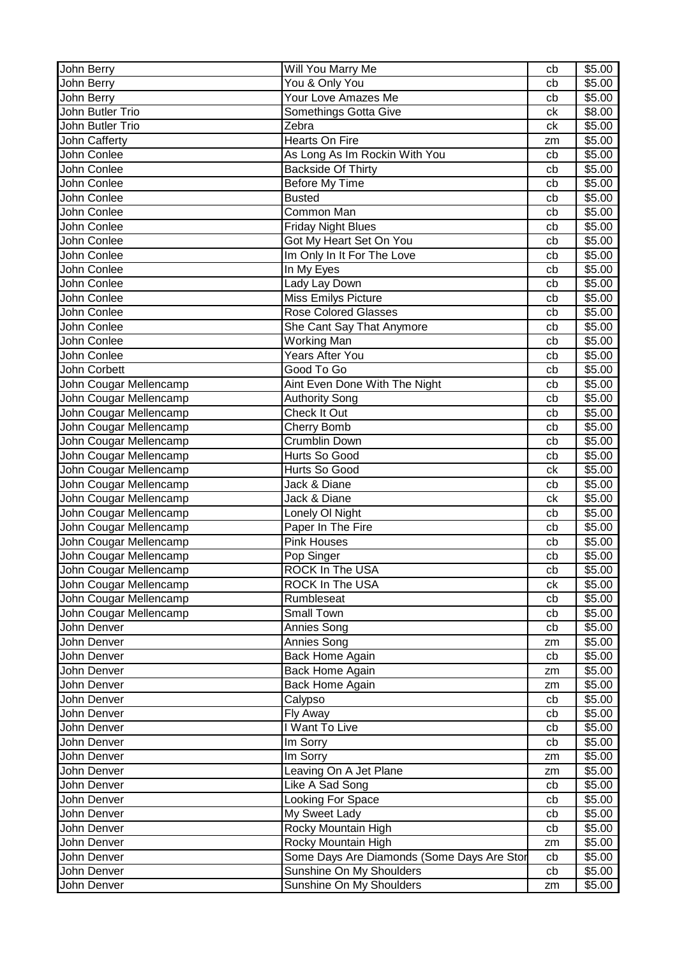| John Berry             | Will You Marry Me                          | cb | \$5.00 |
|------------------------|--------------------------------------------|----|--------|
| John Berry             | You & Only You                             | cb | \$5.00 |
| John Berry             | Your Love Amazes Me                        | cb | \$5.00 |
| John Butler Trio       | Somethings Gotta Give                      | ck | \$8.00 |
| John Butler Trio       | Zebra                                      | ck | \$5.00 |
| John Cafferty          | Hearts On Fire                             | zm | \$5.00 |
| John Conlee            | As Long As Im Rockin With You              | cb | \$5.00 |
| John Conlee            | <b>Backside Of Thirty</b>                  | cb | \$5.00 |
| John Conlee            | Before My Time                             | cb | \$5.00 |
| John Conlee            | <b>Busted</b>                              | cb | \$5.00 |
| John Conlee            | Common Man                                 | cb | \$5.00 |
| John Conlee            | <b>Friday Night Blues</b>                  | cb | \$5.00 |
| John Conlee            | Got My Heart Set On You                    | cb | \$5.00 |
| John Conlee            | Im Only In It For The Love                 | cb | \$5.00 |
| John Conlee            | In My Eyes                                 | cb | \$5.00 |
| John Conlee            | Lady Lay Down                              | cb | \$5.00 |
| John Conlee            | Miss Emilys Picture                        | cb | \$5.00 |
| John Conlee            | <b>Rose Colored Glasses</b>                | cb | \$5.00 |
| John Conlee            | She Cant Say That Anymore                  | cb | \$5.00 |
| John Conlee            | Working Man                                | cb | \$5.00 |
| John Conlee            | <b>Years After You</b>                     | cb | \$5.00 |
| John Corbett           | Good To Go                                 | cb | \$5.00 |
| John Cougar Mellencamp | Aint Even Done With The Night              | cb | \$5.00 |
| John Cougar Mellencamp | <b>Authority Song</b>                      | cb | \$5.00 |
| John Cougar Mellencamp | Check It Out                               | cb | \$5.00 |
| John Cougar Mellencamp | <b>Cherry Bomb</b>                         | cb | \$5.00 |
| John Cougar Mellencamp | <b>Crumblin Down</b>                       | cb | \$5.00 |
| John Cougar Mellencamp | Hurts So Good                              | cb | \$5.00 |
| John Cougar Mellencamp | Hurts So Good                              | ck | \$5.00 |
| John Cougar Mellencamp | Jack & Diane                               | cb | \$5.00 |
| John Cougar Mellencamp | Jack & Diane                               | сk | \$5.00 |
| John Cougar Mellencamp | Lonely OI Night                            | cb | \$5.00 |
| John Cougar Mellencamp | Paper In The Fire                          | cb | \$5.00 |
| John Cougar Mellencamp | <b>Pink Houses</b>                         | cb | \$5.00 |
| John Cougar Mellencamp | Pop Singer                                 | cb | \$5.00 |
| John Cougar Mellencamp | ROCK In The USA                            | cb | \$5.00 |
| John Cougar Mellencamp | ROCK In The USA                            | сk | \$5.00 |
| John Cougar Mellencamp | Rumbleseat                                 | cb | \$5.00 |
| John Cougar Mellencamp | Small Town                                 | cb | \$5.00 |
| John Denver            | Annies Song                                | cb | \$5.00 |
| John Denver            | Annies Song                                | zm | \$5.00 |
| John Denver            | Back Home Again                            | cb | \$5.00 |
| John Denver            | Back Home Again                            | zm | \$5.00 |
| John Denver            | Back Home Again                            | zm | \$5.00 |
| John Denver            | Calypso                                    | cb | \$5.00 |
| John Denver            | Fly Away                                   | cb | \$5.00 |
| John Denver            | I Want To Live                             | cb | \$5.00 |
| John Denver            | Im Sorry                                   | cb | \$5.00 |
| John Denver            | Im Sorry                                   | zm | \$5.00 |
| John Denver            | Leaving On A Jet Plane                     | zm | \$5.00 |
| John Denver            | Like A Sad Song                            | cb | \$5.00 |
| John Denver            | Looking For Space                          | cb | \$5.00 |
| John Denver            | My Sweet Lady                              | cb | \$5.00 |
| John Denver            | Rocky Mountain High                        | cb | \$5.00 |
| John Denver            | Rocky Mountain High                        | zm | \$5.00 |
| John Denver            | Some Days Are Diamonds (Some Days Are Stor | cb | \$5.00 |
| John Denver            | Sunshine On My Shoulders                   | cb | \$5.00 |
| John Denver            | Sunshine On My Shoulders                   | zm | \$5.00 |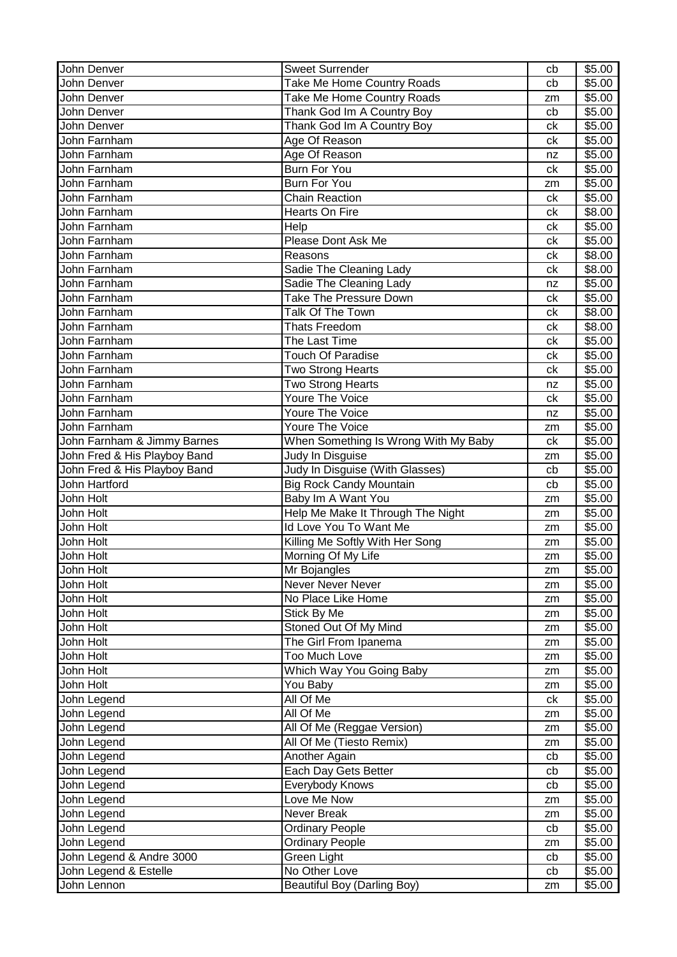| John Denver                  | <b>Sweet Surrender</b>               | cb | \$5.00 |
|------------------------------|--------------------------------------|----|--------|
| John Denver                  | Take Me Home Country Roads           | cb | \$5.00 |
| John Denver                  | Take Me Home Country Roads           | zm | \$5.00 |
| John Denver                  | Thank God Im A Country Boy           | cb | \$5.00 |
| John Denver                  | Thank God Im A Country Boy           | сk | \$5.00 |
| John Farnham                 | Age Of Reason                        | сk | \$5.00 |
| John Farnham                 | Age Of Reason                        | nz | \$5.00 |
| John Farnham                 | <b>Burn For You</b>                  | ck | \$5.00 |
| John Farnham                 | <b>Burn For You</b>                  | zm | \$5.00 |
| John Farnham                 | <b>Chain Reaction</b>                | ck | \$5.00 |
| John Farnham                 | Hearts On Fire                       | сk | \$8.00 |
| John Farnham                 | Help                                 | сk | \$5.00 |
| John Farnham                 | Please Dont Ask Me                   | ck | \$5.00 |
| John Farnham                 | Reasons                              | ck | \$8.00 |
| John Farnham                 | Sadie The Cleaning Lady              | ck | \$8.00 |
| John Farnham                 | Sadie The Cleaning Lady              | nz | \$5.00 |
| John Farnham                 | <b>Take The Pressure Down</b>        | сk | \$5.00 |
| John Farnham                 | Talk Of The Town                     | сk | \$8.00 |
| John Farnham                 | <b>Thats Freedom</b>                 | сk | \$8.00 |
| John Farnham                 | The Last Time                        | сk | \$5.00 |
| John Farnham                 | <b>Touch Of Paradise</b>             | сk | \$5.00 |
| John Farnham                 | <b>Two Strong Hearts</b>             | сk | \$5.00 |
| John Farnham                 | <b>Two Strong Hearts</b>             | nz | \$5.00 |
| John Farnham                 | Youre The Voice                      | сk | \$5.00 |
| John Farnham                 | Youre The Voice                      | nz | \$5.00 |
| John Farnham                 | Youre The Voice                      | zm | \$5.00 |
| John Farnham & Jimmy Barnes  | When Something Is Wrong With My Baby | ck | \$5.00 |
| John Fred & His Playboy Band | Judy In Disguise                     | zm | \$5.00 |
| John Fred & His Playboy Band | Judy In Disguise (With Glasses)      | cb | \$5.00 |
| John Hartford                | <b>Big Rock Candy Mountain</b>       | cb | \$5.00 |
| John Holt                    | Baby Im A Want You                   | zm | \$5.00 |
| John Holt                    | Help Me Make It Through The Night    | zm | \$5.00 |
| John Holt                    | Id Love You To Want Me               | zm | \$5.00 |
| John Holt                    | Killing Me Softly With Her Song      | zm | \$5.00 |
| John Holt                    | Morning Of My Life                   | zm | \$5.00 |
| John Holt                    | Mr Bojangles                         | zm | \$5.00 |
| John Holt                    | Never Never Never                    | zm | \$5.00 |
| John Holt                    | No Place Like Home                   | zm | \$5.00 |
| John Holt                    | Stick By Me                          | zm | \$5.00 |
| John Holt                    | Stoned Out Of My Mind                | zm | \$5.00 |
| John Holt                    | The Girl From Ipanema                | zm | \$5.00 |
| John Holt                    | Too Much Love                        | zm | \$5.00 |
| John Holt                    | Which Way You Going Baby             | zm | \$5.00 |
| John Holt                    | You Baby                             | zm | \$5.00 |
| John Legend                  | All Of Me                            | ck | \$5.00 |
| John Legend                  | All Of Me                            | zm | \$5.00 |
| John Legend                  | All Of Me (Reggae Version)           | zm | \$5.00 |
| John Legend                  | All Of Me (Tiesto Remix)             | zm | \$5.00 |
| John Legend                  | Another Again                        | cb | \$5.00 |
| John Legend                  | Each Day Gets Better                 | cb | \$5.00 |
| John Legend                  | Everybody Knows                      | cb | \$5.00 |
| John Legend                  | Love Me Now                          | zm | \$5.00 |
| John Legend                  | Never Break                          | zm | \$5.00 |
| John Legend                  | <b>Ordinary People</b>               | cb | \$5.00 |
| John Legend                  | <b>Ordinary People</b>               | zm | \$5.00 |
| John Legend & Andre 3000     | Green Light                          | cb | \$5.00 |
| John Legend & Estelle        | No Other Love                        | cb | \$5.00 |
| John Lennon                  | <b>Beautiful Boy (Darling Boy)</b>   | zm | \$5.00 |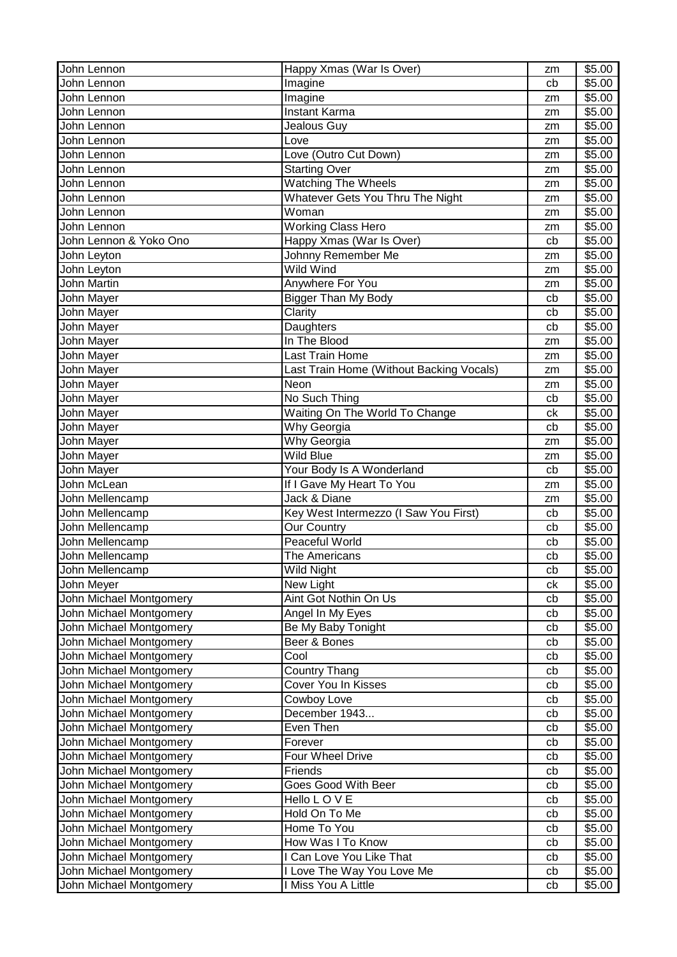| John Lennon             | Happy Xmas (War Is Over)                 | zm | \$5.00 |
|-------------------------|------------------------------------------|----|--------|
| John Lennon             | Imagine                                  | cb | \$5.00 |
| John Lennon             | Imagine                                  | zm | \$5.00 |
| John Lennon             | <b>Instant Karma</b>                     | zm | \$5.00 |
| John Lennon             | Jealous Guy                              | zm | \$5.00 |
| John Lennon             | Love                                     | zm | \$5.00 |
| John Lennon             | Love (Outro Cut Down)                    | zm | \$5.00 |
| John Lennon             | <b>Starting Over</b>                     | zm | \$5.00 |
| John Lennon             | <b>Watching The Wheels</b>               | zm | \$5.00 |
| John Lennon             | Whatever Gets You Thru The Night         | zm | \$5.00 |
| John Lennon             | $\overline{\mathsf{W}}$ oman             | zm | \$5.00 |
| John Lennon             | <b>Working Class Hero</b>                | zm | \$5.00 |
| John Lennon & Yoko Ono  | Happy Xmas (War Is Over)                 | cb | \$5.00 |
| John Leyton             | Johnny Remember Me                       | zm | \$5.00 |
| John Leyton             | Wild Wind                                | zm | \$5.00 |
| <b>John Martin</b>      | Anywhere For You                         | zm | \$5.00 |
| John Mayer              | <b>Bigger Than My Body</b>               | cb | \$5.00 |
| John Mayer              | Clarity                                  | cb | \$5.00 |
| John Mayer              | Daughters                                | cb | \$5.00 |
| John Mayer              | In The Blood                             | zm | \$5.00 |
| John Mayer              | Last Train Home                          | zm | \$5.00 |
| John Mayer              | Last Train Home (Without Backing Vocals) | zm | \$5.00 |
| John Mayer              | Neon                                     | zm | \$5.00 |
| John Mayer              | No Such Thing                            | cb | \$5.00 |
| John Mayer              | Waiting On The World To Change           | ck | \$5.00 |
| John Mayer              | Why Georgia                              | cb | \$5.00 |
| John Mayer              | Why Georgia                              | zm | \$5.00 |
| John Mayer              | Wild Blue                                | zm | \$5.00 |
| John Mayer              | Your Body Is A Wonderland                | cb | \$5.00 |
| John McLean             | If I Gave My Heart To You                | zm | \$5.00 |
| John Mellencamp         | Jack & Diane                             | zm | \$5.00 |
| John Mellencamp         | Key West Intermezzo (I Saw You First)    | cb | \$5.00 |
| John Mellencamp         | <b>Our Country</b>                       | cb | \$5.00 |
| John Mellencamp         | Peaceful World                           | cb | \$5.00 |
| John Mellencamp         | The Americans                            | cb | \$5.00 |
| John Mellencamp         | Wild Night                               | cb | \$5.00 |
| John Meyer              | New Light                                | сk | \$5.00 |
| John Michael Montgomery | Aint Got Nothin On Us                    | cb | \$5.00 |
| John Michael Montgomery | Angel In My Eyes                         | cb | \$5.00 |
| John Michael Montgomery | Be My Baby Tonight                       | cb | \$5.00 |
| John Michael Montgomery | Beer & Bones                             | cb | \$5.00 |
| John Michael Montgomery | Cool                                     | cb | \$5.00 |
| John Michael Montgomery | <b>Country Thang</b>                     | cb | \$5.00 |
| John Michael Montgomery | <b>Cover You In Kisses</b>               | cb | \$5.00 |
| John Michael Montgomery | Cowboy Love                              | cb | \$5.00 |
| John Michael Montgomery | December 1943                            | cb | \$5.00 |
| John Michael Montgomery | Even Then                                | cb | \$5.00 |
| John Michael Montgomery | Forever                                  | cb | \$5.00 |
| John Michael Montgomery | Four Wheel Drive                         | cb | \$5.00 |
| John Michael Montgomery | Friends                                  | cb | \$5.00 |
| John Michael Montgomery | Goes Good With Beer                      | cb | \$5.00 |
| John Michael Montgomery | Hello LOVE                               | cb | \$5.00 |
| John Michael Montgomery | Hold On To Me                            | cb | \$5.00 |
| John Michael Montgomery | Home To You                              | cb | \$5.00 |
| John Michael Montgomery | How Was I To Know                        | cb | \$5.00 |
| John Michael Montgomery | I Can Love You Like That                 | cb | \$5.00 |
| John Michael Montgomery | I Love The Way You Love Me               | cb | \$5.00 |
| John Michael Montgomery | I Miss You A Little                      | cb | \$5.00 |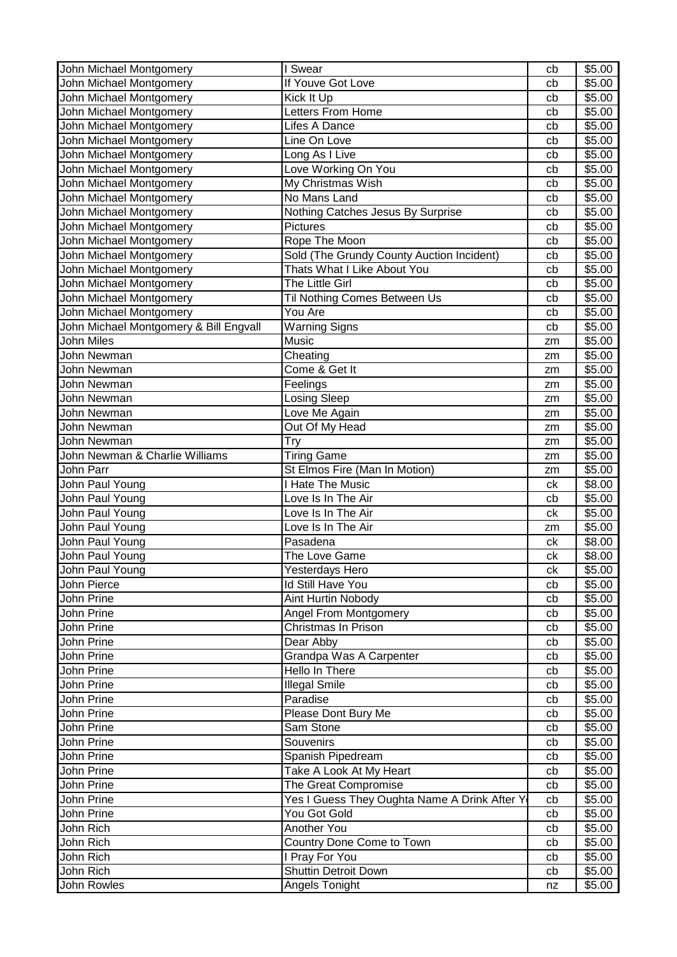| John Michael Montgomery                | I Swear                                      | cb | \$5.00 |
|----------------------------------------|----------------------------------------------|----|--------|
| John Michael Montgomery                | If Youve Got Love                            | cb | \$5.00 |
| John Michael Montgomery                | Kick It Up                                   | cb | \$5.00 |
| John Michael Montgomery                | Letters From Home                            | cb | \$5.00 |
| John Michael Montgomery                | Lifes A Dance                                | cb | \$5.00 |
| John Michael Montgomery                | Line On Love                                 | cb | \$5.00 |
| John Michael Montgomery                | Long As I Live                               | cb | \$5.00 |
| John Michael Montgomery                | Love Working On You                          | cb | \$5.00 |
| John Michael Montgomery                | My Christmas Wish                            | cb | \$5.00 |
| John Michael Montgomery                | No Mans Land                                 | cb | \$5.00 |
| John Michael Montgomery                | Nothing Catches Jesus By Surprise            | cb | \$5.00 |
| John Michael Montgomery                | <b>Pictures</b>                              | cb | \$5.00 |
| John Michael Montgomery                | Rope The Moon                                | cb | \$5.00 |
| John Michael Montgomery                |                                              |    | \$5.00 |
|                                        | Sold (The Grundy County Auction Incident)    | cb |        |
| John Michael Montgomery                | Thats What I Like About You                  | cb | \$5.00 |
| John Michael Montgomery                | The Little Girl                              | cb | \$5.00 |
| John Michael Montgomery                | Til Nothing Comes Between Us                 | cb | \$5.00 |
| John Michael Montgomery                | You Are                                      | cb | \$5.00 |
| John Michael Montgomery & Bill Engvall | <b>Warning Signs</b>                         | cb | \$5.00 |
| John Miles                             | Music                                        | zm | \$5.00 |
| John Newman                            | Cheating                                     | zm | \$5.00 |
| John Newman                            | Come & Get It                                | zm | \$5.00 |
| John Newman                            | Feelings                                     | zm | \$5.00 |
| John Newman                            | <b>Losing Sleep</b>                          | zm | \$5.00 |
| John Newman                            | Love Me Again                                | zm | \$5.00 |
| John Newman                            | Out Of My Head                               | zm | \$5.00 |
| John Newman                            | <b>Try</b>                                   | zm | \$5.00 |
| John Newman & Charlie Williams         | <b>Tiring Game</b>                           | zm | \$5.00 |
| John Parr                              | St Elmos Fire (Man In Motion)                | zm | \$5.00 |
| John Paul Young                        | <b>Hate The Music</b>                        | ck | \$8.00 |
| John Paul Young                        | Love Is In The Air                           | cb | \$5.00 |
| John Paul Young                        | Love Is In The Air                           | сk | \$5.00 |
| John Paul Young                        | Love Is In The Air                           | zm | \$5.00 |
| John Paul Young                        | Pasadena                                     | ck | \$8.00 |
| John Paul Young                        | The Love Game                                | ck | \$8.00 |
| John Paul Young                        | Yesterdays Hero                              | ck | \$5.00 |
| John Pierce                            | Id Still Have You                            | cb | \$5.00 |
| John Prine                             | Aint Hurtin Nobody                           | cb | \$5.00 |
| John Prine                             | Angel From Montgomery                        | cb | \$5.00 |
| John Prine                             | Christmas In Prison                          | cb | \$5.00 |
| John Prine                             | Dear Abby                                    | cb | \$5.00 |
| John Prine                             | Grandpa Was A Carpenter                      | cb | \$5.00 |
| John Prine                             | Hello In There                               | cb | \$5.00 |
| John Prine                             | <b>Illegal Smile</b>                         | cb | \$5.00 |
| John Prine                             | Paradise                                     | cb | \$5.00 |
|                                        |                                              |    |        |
| John Prine                             | Please Dont Bury Me                          | cb | \$5.00 |
| John Prine                             | Sam Stone                                    | cb | \$5.00 |
| John Prine                             | Souvenirs                                    | cb | \$5.00 |
| John Prine                             | Spanish Pipedream                            | cb | \$5.00 |
| John Prine                             | Take A Look At My Heart                      | cb | \$5.00 |
| John Prine                             | The Great Compromise                         | cb | \$5.00 |
| John Prine                             | Yes I Guess They Oughta Name A Drink After Y | cb | \$5.00 |
| John Prine                             | You Got Gold                                 | cb | \$5.00 |
| John Rich                              | Another You                                  | cb | \$5.00 |
| John Rich                              | Country Done Come to Town                    | cb | \$5.00 |
| John Rich                              | I Pray For You                               | cb | \$5.00 |
| John Rich                              | <b>Shuttin Detroit Down</b>                  | cb | \$5.00 |
| John Rowles                            | Angels Tonight                               | nz | \$5.00 |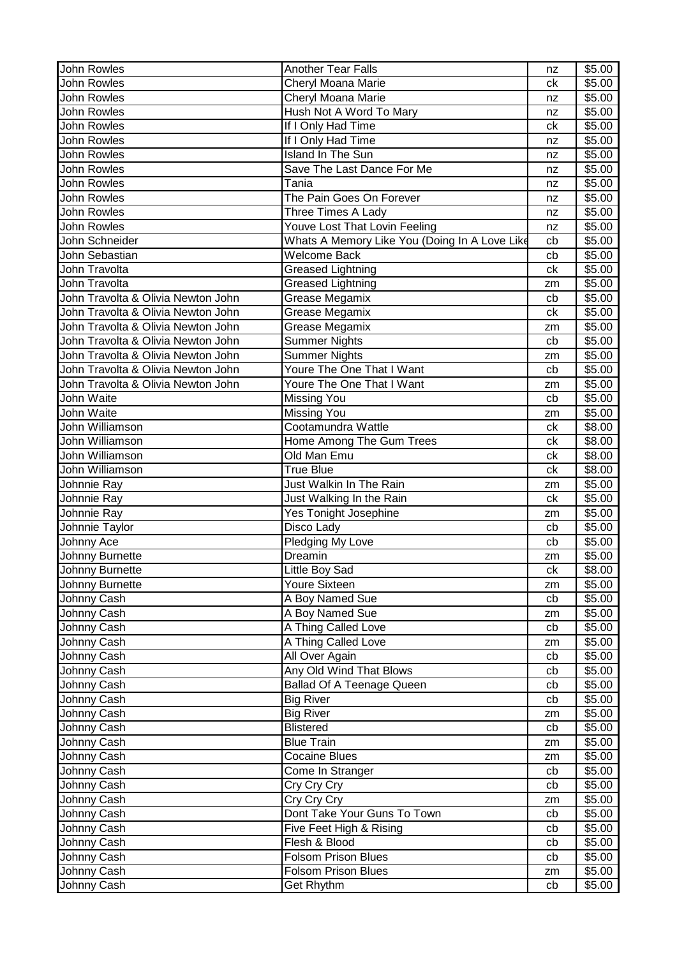| John Rowles                        | <b>Another Tear Falls</b>                     | nz | \$5.00 |
|------------------------------------|-----------------------------------------------|----|--------|
| <b>John Rowles</b>                 | Cheryl Moana Marie                            | ck | \$5.00 |
| John Rowles                        | Cheryl Moana Marie                            | nz | \$5.00 |
| John Rowles                        | Hush Not A Word To Mary                       | nz | \$5.00 |
| <b>John Rowles</b>                 | If I Only Had Time                            | ck | \$5.00 |
| <b>John Rowles</b>                 | If I Only Had Time                            | nz | \$5.00 |
| John Rowles                        | <b>Island In The Sun</b>                      | nz | \$5.00 |
| John Rowles                        | Save The Last Dance For Me                    | nz | \$5.00 |
| John Rowles                        | Tania                                         | nz | \$5.00 |
| <b>John Rowles</b>                 | The Pain Goes On Forever                      | nz | \$5.00 |
| <b>John Rowles</b>                 | Three Times A Lady                            | nz | \$5.00 |
| John Rowles                        | Youve Lost That Lovin Feeling                 | nz | \$5.00 |
| John Schneider                     | Whats A Memory Like You (Doing In A Love Like | cb | \$5.00 |
| John Sebastian                     | <b>Welcome Back</b>                           | cb | \$5.00 |
| John Travolta                      | <b>Greased Lightning</b>                      | ck | \$5.00 |
| John Travolta                      | <b>Greased Lightning</b>                      | zm | \$5.00 |
| John Travolta & Olivia Newton John | Grease Megamix                                | cb | \$5.00 |
| John Travolta & Olivia Newton John | Grease Megamix                                | ck | \$5.00 |
| John Travolta & Olivia Newton John | Grease Megamix                                | zm | \$5.00 |
| John Travolta & Olivia Newton John | <b>Summer Nights</b>                          | cb | \$5.00 |
| John Travolta & Olivia Newton John | <b>Summer Nights</b>                          | zm | \$5.00 |
| John Travolta & Olivia Newton John | Youre The One That I Want                     | cb | \$5.00 |
| John Travolta & Olivia Newton John | Youre The One That I Want                     | zm | \$5.00 |
| John Waite                         | <b>Missing You</b>                            | cb | \$5.00 |
| John Waite                         | <b>Missing You</b>                            | zm | \$5.00 |
| John Williamson                    | Cootamundra Wattle                            | ck | \$8.00 |
| John Williamson                    | Home Among The Gum Trees                      | сk | \$8.00 |
| John Williamson                    | Old Man Emu                                   | сk | \$8.00 |
| John Williamson                    | <b>True Blue</b>                              | ck | \$8.00 |
| Johnnie Ray                        | Just Walkin In The Rain                       | zm | \$5.00 |
| Johnnie Ray                        | Just Walking In the Rain                      | ck | \$5.00 |
| Johnnie Ray                        | Yes Tonight Josephine                         | zm | \$5.00 |
| Johnnie Taylor                     | Disco Lady                                    | cb | \$5.00 |
| Johnny Ace                         | Pledging My Love                              | cb | \$5.00 |
| Johnny Burnette                    | Dreamin                                       | zm | \$5.00 |
| Johnny Burnette                    | Little Boy Sad                                | сk | \$8.00 |
| Johnny Burnette                    | Youre Sixteen                                 | zm | \$5.00 |
| Johnny Cash                        | A Boy Named Sue                               | cb | \$5.00 |
| Johnny Cash                        | A Boy Named Sue                               | zm | \$5.00 |
| Johnny Cash                        | A Thing Called Love                           | cb | \$5.00 |
| Johnny Cash                        | A Thing Called Love                           | zm | \$5.00 |
| Johnny Cash                        | All Over Again                                | cb | \$5.00 |
| Johnny Cash                        | Any Old Wind That Blows                       | cb | \$5.00 |
| Johnny Cash                        | <b>Ballad Of A Teenage Queen</b>              | cb | \$5.00 |
| Johnny Cash                        | <b>Big River</b>                              | cb | \$5.00 |
| Johnny Cash                        | <b>Big River</b>                              | zm | \$5.00 |
| Johnny Cash                        | <b>Blistered</b>                              | cb | \$5.00 |
| Johnny Cash                        | <b>Blue Train</b>                             | zm | \$5.00 |
| Johnny Cash                        | Cocaine Blues                                 | zm | \$5.00 |
| Johnny Cash                        | Come In Stranger                              | cb | \$5.00 |
| Johnny Cash                        | Cry Cry Cry                                   | cb | \$5.00 |
| Johnny Cash                        | Cry Cry Cry                                   | zm | \$5.00 |
| Johnny Cash                        | Dont Take Your Guns To Town                   | cb | \$5.00 |
| Johnny Cash                        | Five Feet High & Rising                       | cb | \$5.00 |
| Johnny Cash                        | Flesh & Blood                                 | cb | \$5.00 |
| Johnny Cash                        | <b>Folsom Prison Blues</b>                    | cb | \$5.00 |
| Johnny Cash                        | <b>Folsom Prison Blues</b>                    | zm | \$5.00 |
| Johnny Cash                        | <b>Get Rhythm</b>                             | cb | \$5.00 |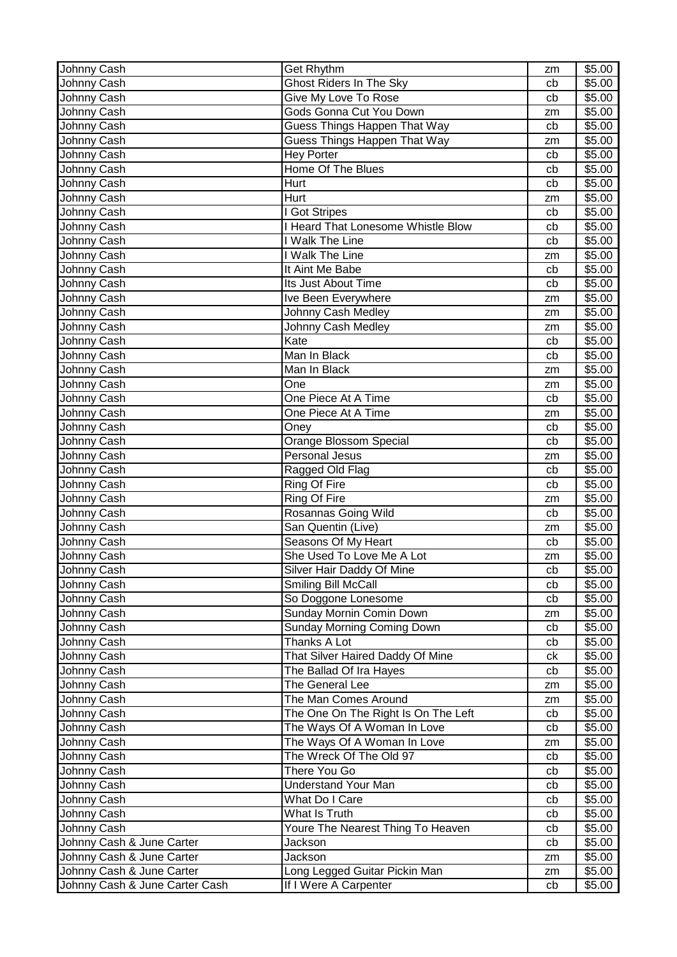| Get Rhythm<br>Johnny Cash                                  | zm | \$5.00             |
|------------------------------------------------------------|----|--------------------|
| Johnny Cash<br><b>Ghost Riders In The Sky</b>              | cb | \$5.00             |
| Johnny Cash<br>Give My Love To Rose                        | cb | \$5.00             |
| Gods Gonna Cut You Down<br>Johnny Cash                     | zm | $\overline{$}5.00$ |
| Guess Things Happen That Way<br>Johnny Cash                | cb | \$5.00             |
| Guess Things Happen That Way<br>Johnny Cash                | zm | \$5.00             |
| Johnny Cash<br><b>Hey Porter</b>                           | cb | \$5.00             |
| Home Of The Blues<br>Johnny Cash                           | cb | \$5.00             |
| Hurt<br>Johnny Cash                                        | cb | \$5.00             |
| Hurt<br>Johnny Cash                                        | zm | \$5.00             |
| Johnny Cash<br>I Got Stripes                               | cb | \$5.00             |
| I Heard That Lonesome Whistle Blow<br>Johnny Cash          | cb | \$5.00             |
| Johnny Cash<br>I Walk The Line                             | cb | \$5.00             |
| <b>I</b> Walk The Line<br>Johnny Cash                      | zm | \$5.00             |
| It Aint Me Babe<br>Johnny Cash                             | cb | \$5.00             |
| Johnny Cash<br>Its Just About Time                         | cb | \$5.00             |
| Johnny Cash<br>Ive Been Everywhere                         | zm | \$5.00             |
| Johnny Cash Medley<br>Johnny Cash                          | zm | \$5.00             |
| Johnny Cash<br>Johnny Cash Medley                          | zm | \$5.00             |
| Kate<br>Johnny Cash                                        | cb | \$5.00             |
| Man In Black<br>Johnny Cash                                | cb | \$5.00             |
| Johnny Cash<br>Man In Black                                | zm | \$5.00             |
| Johnny Cash<br>One                                         | zm | \$5.00             |
| One Piece At A Time<br>Johnny Cash                         | cb | \$5.00             |
| One Piece At A Time<br>Johnny Cash                         | zm | \$5.00             |
| Johnny Cash<br>Oney                                        | cb | \$5.00             |
| Orange Blossom Special<br>Johnny Cash                      | cb | \$5.00             |
| Johnny Cash<br><b>Personal Jesus</b>                       | zm | \$5.00             |
| Johnny Cash<br>Ragged Old Flag                             | cb | \$5.00             |
| Ring Of Fire<br>Johnny Cash                                | cb | \$5.00             |
| Ring Of Fire<br>Johnny Cash                                | zm | \$5.00             |
| Rosannas Going Wild<br>Johnny Cash                         | cb | \$5.00             |
| San Quentin (Live)<br>Johnny Cash                          | zm | \$5.00             |
| Seasons Of My Heart<br>Johnny Cash                         | cb | \$5.00             |
| She Used To Love Me A Lot<br>Johnny Cash                   | zm | \$5.00             |
| Johnny Cash<br>Silver Hair Daddy Of Mine                   | cb | \$5.00             |
| Smiling Bill McCall<br>Johnny Cash                         | cb | \$5.00             |
| So Doggone Lonesome<br>Johnny Cash                         | cb | \$5.00             |
| Sunday Mornin Comin Down<br>Johnny Cash                    | zm | \$5.00             |
| Sunday Morning Coming Down<br>Johnny Cash                  | cb | \$5.00             |
| Thanks A Lot<br>Johnny Cash                                | cb | \$5.00             |
| That Silver Haired Daddy Of Mine<br>Johnny Cash            | сk | \$5.00             |
| Johnny Cash<br>The Ballad Of Ira Hayes                     | cb | \$5.00             |
| The General Lee<br>Johnny Cash                             | zm | \$5.00             |
| The Man Comes Around<br>Johnny Cash                        | zm | \$5.00             |
| The One On The Right Is On The Left<br>Johnny Cash         | cb | \$5.00             |
| The Ways Of A Woman In Love<br>Johnny Cash                 | cb | \$5.00             |
| Johnny Cash<br>The Ways Of A Woman In Love                 | zm | \$5.00             |
| The Wreck Of The Old 97<br>Johnny Cash                     | cb | \$5.00             |
| There You Go<br>Johnny Cash                                | cb | \$5.00             |
| Johnny Cash<br><b>Understand Your Man</b>                  | cb | \$5.00             |
| Johnny Cash<br>What Do I Care                              | cb | \$5.00             |
| What Is Truth<br>Johnny Cash                               | cb | \$5.00             |
| Youre The Nearest Thing To Heaven<br>Johnny Cash           | cb | \$5.00             |
| Johnny Cash & June Carter<br>Jackson                       | cb | \$5.00             |
| Johnny Cash & June Carter<br>Jackson                       | zm | \$5.00             |
| Long Legged Guitar Pickin Man<br>Johnny Cash & June Carter | zm | \$5.00             |
| Johnny Cash & June Carter Cash<br>If I Were A Carpenter    | cb | \$5.00             |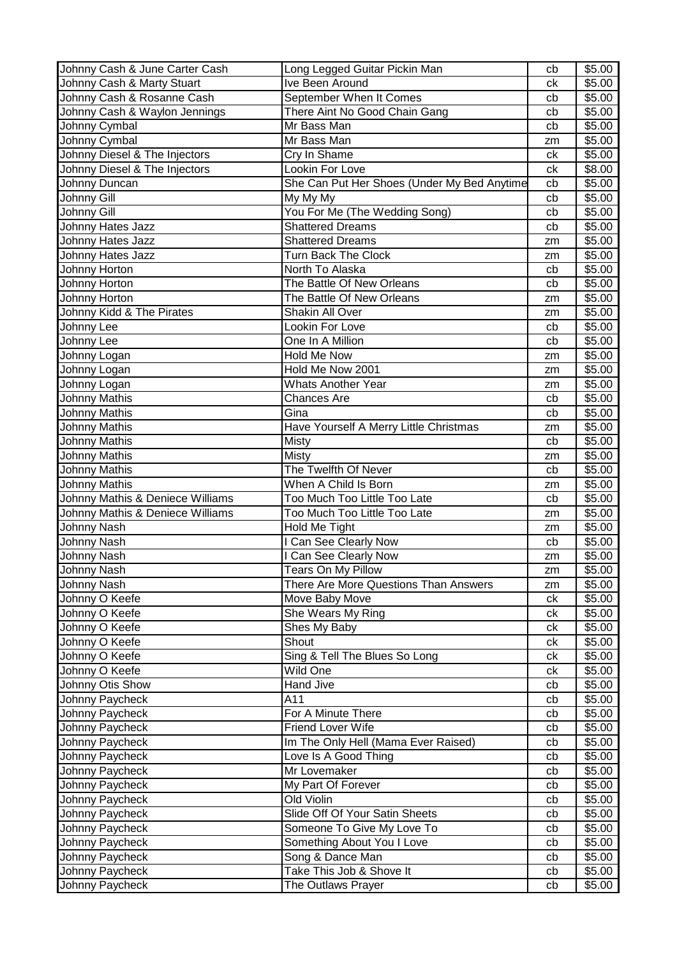| Johnny Cash & June Carter Cash   | Long Legged Guitar Pickin Man               | cb | \$5.00 |
|----------------------------------|---------------------------------------------|----|--------|
| Johnny Cash & Marty Stuart       | Ive Been Around                             | ck | \$5.00 |
| Johnny Cash & Rosanne Cash       | September When It Comes                     | cb | \$5.00 |
| Johnny Cash & Waylon Jennings    | There Aint No Good Chain Gang               | cb | \$5.00 |
| Johnny Cymbal                    | Mr Bass Man                                 | cb | \$5.00 |
| Johnny Cymbal                    | Mr Bass Man                                 | zm | \$5.00 |
| Johnny Diesel & The Injectors    | Cry In Shame                                | ck | \$5.00 |
| Johnny Diesel & The Injectors    | Lookin For Love                             | ck | \$8.00 |
| Johnny Duncan                    | She Can Put Her Shoes (Under My Bed Anytime | cb | \$5.00 |
| Johnny Gill                      | My My My                                    | cb | \$5.00 |
| Johnny Gill                      | You For Me (The Wedding Song)               | cb | \$5.00 |
| Johnny Hates Jazz                | <b>Shattered Dreams</b>                     | cb | \$5.00 |
| Johnny Hates Jazz                | <b>Shattered Dreams</b>                     | zm | \$5.00 |
| Johnny Hates Jazz                | <b>Turn Back The Clock</b>                  | zm | \$5.00 |
| Johnny Horton                    | North To Alaska                             | cb | \$5.00 |
| Johnny Horton                    | The Battle Of New Orleans                   | cb | \$5.00 |
| Johnny Horton                    | The Battle Of New Orleans                   | zm | \$5.00 |
| Johnny Kidd & The Pirates        | Shakin All Over                             | zm | \$5.00 |
| Johnny Lee                       | Lookin For Love                             | cb | \$5.00 |
| Johnny Lee                       | One In A Million                            | cb | \$5.00 |
| Johnny Logan                     | Hold Me Now                                 | zm | \$5.00 |
| Johnny Logan                     | Hold Me Now 2001                            | zm | \$5.00 |
| Johnny Logan                     | Whats Another Year                          | zm | \$5.00 |
| Johnny Mathis                    | <b>Chances Are</b>                          | cb | \$5.00 |
| <b>Johnny Mathis</b>             | Gina                                        | cb | \$5.00 |
| Johnny Mathis                    | Have Yourself A Merry Little Christmas      | zm | \$5.00 |
| Johnny Mathis                    | <b>Misty</b>                                | cb | \$5.00 |
| Johnny Mathis                    | <b>Misty</b>                                | zm | \$5.00 |
| Johnny Mathis                    | The Twelfth Of Never                        | cb | \$5.00 |
| <b>Johnny Mathis</b>             | When A Child Is Born                        | zm | \$5.00 |
| Johnny Mathis & Deniece Williams | Too Much Too Little Too Late                | cb | \$5.00 |
| Johnny Mathis & Deniece Williams | Too Much Too Little Too Late                | zm | \$5.00 |
| Johnny Nash                      | Hold Me Tight                               | zm | \$5.00 |
| Johnny Nash                      | I Can See Clearly Now                       | cb | \$5.00 |
| Johnny Nash                      | I Can See Clearly Now                       | zm | \$5.00 |
| Johnny Nash                      | Tears On My Pillow                          | zm | \$5.00 |
| Johnny Nash                      | There Are More Questions Than Answers       | zm | \$5.00 |
| Johnny O Keefe                   | Move Baby Move                              | ck | \$5.00 |
| Johnny O Keefe                   | She Wears My Ring                           | ck | \$5.00 |
| Johnny O Keefe                   | Shes My Baby                                | сk | \$5.00 |
| Johnny O Keefe                   | Shout                                       | сk | \$5.00 |
| Johnny O Keefe                   | Sing & Tell The Blues So Long               | ck | \$5.00 |
| Johnny O Keefe                   | Wild One                                    | сk | \$5.00 |
| Johnny Otis Show                 | <b>Hand Jive</b>                            | cb | \$5.00 |
| Johnny Paycheck                  | A11                                         | cb | \$5.00 |
| Johnny Paycheck                  | For A Minute There                          | cb | \$5.00 |
| Johnny Paycheck                  | <b>Friend Lover Wife</b>                    | cb | \$5.00 |
| Johnny Paycheck                  | Im The Only Hell (Mama Ever Raised)         | cb | \$5.00 |
| Johnny Paycheck                  | Love Is A Good Thing                        | cb | \$5.00 |
| Johnny Paycheck                  | Mr Lovemaker                                | cb | \$5.00 |
| Johnny Paycheck                  | My Part Of Forever                          | cb | \$5.00 |
| Johnny Paycheck                  | Old Violin                                  | cb | \$5.00 |
| Johnny Paycheck                  | Slide Off Of Your Satin Sheets              | cb | \$5.00 |
| Johnny Paycheck                  | Someone To Give My Love To                  | cb | \$5.00 |
| Johnny Paycheck                  | Something About You I Love                  | cb | \$5.00 |
| Johnny Paycheck                  | Song & Dance Man                            | cb | \$5.00 |
| Johnny Paycheck                  | Take This Job & Shove It                    | cb | \$5.00 |
| Johnny Paycheck                  | The Outlaws Prayer                          | cb | \$5.00 |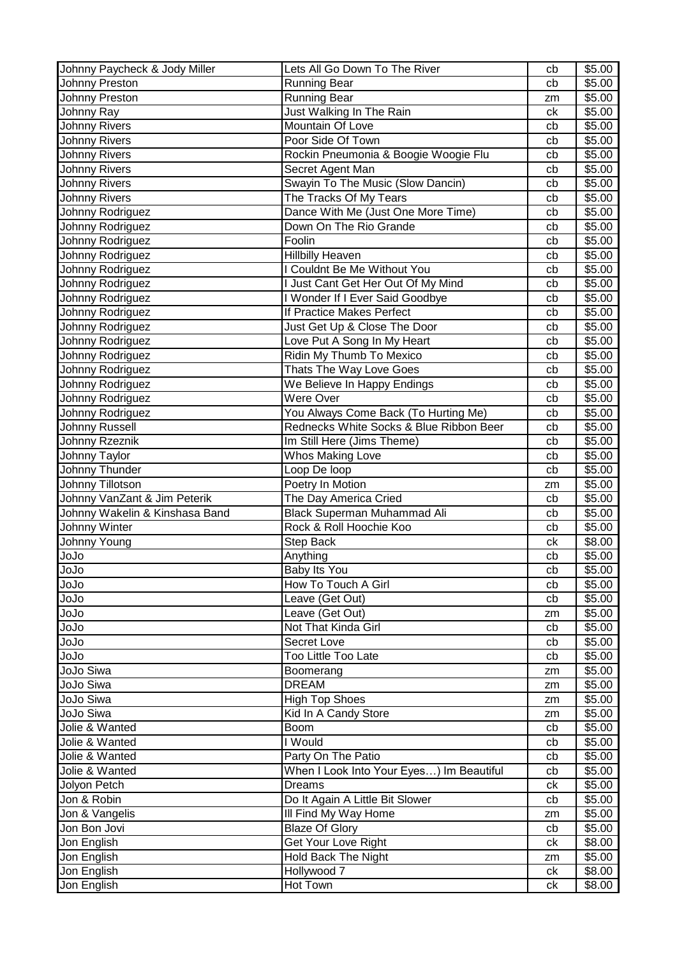| Johnny Paycheck & Jody Miller  | Lets All Go Down To The River                                 | cb       | \$5.00             |
|--------------------------------|---------------------------------------------------------------|----------|--------------------|
| Johnny Preston                 | <b>Running Bear</b>                                           | cb       | \$5.00             |
| Johnny Preston                 | Running Bear                                                  | zm       | \$5.00             |
| Johnny Ray                     | Just Walking In The Rain                                      | ck       | $\overline{$}5.00$ |
| <b>Johnny Rivers</b>           | Mountain Of Love                                              | cb       | \$5.00             |
| <b>Johnny Rivers</b>           | Poor Side Of Town                                             | cb       | \$5.00             |
| <b>Johnny Rivers</b>           | Rockin Pneumonia & Boogie Woogie Flu                          | cb       | \$5.00             |
| <b>Johnny Rivers</b>           | Secret Agent Man                                              | cb       | \$5.00             |
| <b>Johnny Rivers</b>           | Swayin To The Music (Slow Dancin)                             | cb       | \$5.00             |
| <b>Johnny Rivers</b>           | The Tracks Of My Tears                                        | cb       | \$5.00             |
| Johnny Rodriguez               | Dance With Me (Just One More Time)                            | cb       | \$5.00             |
| Johnny Rodriguez               | Down On The Rio Grande                                        | cb       | \$5.00             |
| Johnny Rodriguez               | Foolin                                                        | cb       | \$5.00             |
| Johnny Rodriguez               | <b>Hillbilly Heaven</b>                                       | cb       | \$5.00             |
| Johnny Rodriguez               | I Couldnt Be Me Without You                                   | cb       | \$5.00             |
| Johnny Rodriguez               | I Just Cant Get Her Out Of My Mind                            | cb       | \$5.00             |
| Johnny Rodriguez               | I Wonder If I Ever Said Goodbye                               | cb       | \$5.00             |
| Johnny Rodriguez               | If Practice Makes Perfect                                     | cb       | \$5.00             |
| Johnny Rodriguez               | Just Get Up & Close The Door                                  | cb       | \$5.00             |
| Johnny Rodriguez               | Love Put A Song In My Heart                                   | cb       | \$5.00             |
| Johnny Rodriguez               | Ridin My Thumb To Mexico                                      | cb       | \$5.00             |
| Johnny Rodriguez               | Thats The Way Love Goes                                       | cb       | \$5.00             |
| Johnny Rodriguez               | We Believe In Happy Endings                                   | cb       | \$5.00             |
| Johnny Rodriguez               | Were Over                                                     | cb       | \$5.00             |
| Johnny Rodriguez               | You Always Come Back (To Hurting Me)                          | cb       | \$5.00             |
| Johnny Russell                 | Rednecks White Socks & Blue Ribbon Beer                       | cb       | \$5.00             |
| Johnny Rzeznik                 | Im Still Here (Jims Theme)                                    | cb       | \$5.00             |
| Johnny Taylor                  | Whos Making Love                                              | cb       | \$5.00             |
| Johnny Thunder                 | Loop De loop                                                  | cb       | \$5.00             |
| Johnny Tillotson               | Poetry In Motion                                              | zm       | \$5.00             |
|                                |                                                               |          |                    |
|                                |                                                               | cb       |                    |
| Johnny VanZant & Jim Peterik   | The Day America Cried                                         | cb       | \$5.00             |
| Johnny Wakelin & Kinshasa Band | <b>Black Superman Muhammad Ali</b><br>Rock & Roll Hoochie Koo | cb       | \$5.00             |
| Johnny Winter<br>Johnny Young  | <b>Step Back</b>                                              | ck       | \$5.00<br>\$8.00   |
|                                |                                                               |          |                    |
| olol                           | Anything                                                      | cb       | \$5.00             |
| olol<br>ეიეი                   | Baby Its You<br>How To Touch A Girl                           | cb<br>cb | \$5.00<br>\$5.00   |
| olol                           | Leave (Get Out)                                               | cb       | \$5.00             |
| სიებ                           |                                                               | zm       | \$5.00             |
| JoJo                           | Leave (Get Out)<br>Not That Kinda Girl                        | cb       | \$5.00             |
| olol                           | Secret Love                                                   | cb       | \$5.00             |
| olol                           | Too Little Too Late                                           | cb       | \$5.00             |
| JoJo Siwa                      | Boomerang                                                     | zm       | \$5.00             |
| JoJo Siwa                      | <b>DREAM</b>                                                  | zm       | \$5.00             |
| JoJo Siwa                      | <b>High Top Shoes</b>                                         | zm       | \$5.00             |
| JoJo Siwa                      | Kid In A Candy Store                                          | zm       | \$5.00             |
| Jolie & Wanted                 | <b>Boom</b>                                                   | cb       | \$5.00             |
| Jolie & Wanted                 | I Would                                                       | cb       | \$5.00             |
| Jolie & Wanted                 | Party On The Patio                                            | cb       | \$5.00             |
| Jolie & Wanted                 | When I Look Into Your Eyes) Im Beautiful                      | cb       | \$5.00             |
| Jolyon Petch                   | Dreams                                                        | ck       | \$5.00             |
| Jon & Robin                    | Do It Again A Little Bit Slower                               | cb       | \$5.00             |
| Jon & Vangelis                 | III Find My Way Home                                          | zm       | \$5.00             |
| Jon Bon Jovi                   | <b>Blaze Of Glory</b>                                         | cb       | \$5.00             |
| Jon English                    | Get Your Love Right                                           | сk       | \$8.00             |
| Jon English                    | Hold Back The Night                                           | zm       | \$5.00             |
| Jon English                    | Hollywood 7                                                   | ck       | \$8.00             |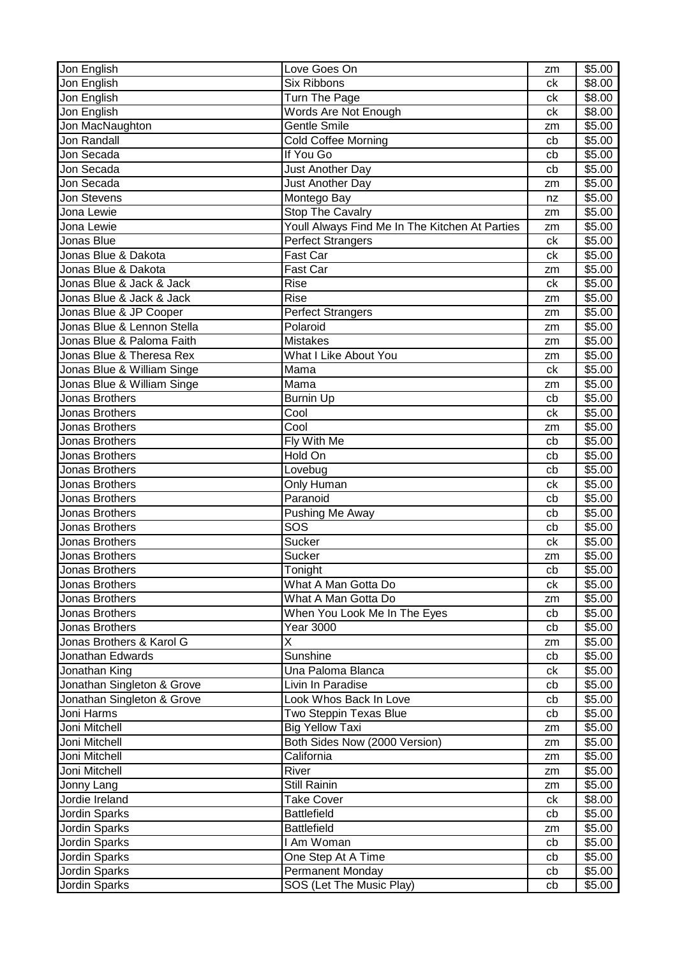| Jon English                | Love Goes On                                   | zm | \$5.00             |
|----------------------------|------------------------------------------------|----|--------------------|
| Jon English                | <b>Six Ribbons</b>                             | ck | \$8.00             |
| Jon English                | Turn The Page                                  | ck | \$8.00             |
| Jon English                | Words Are Not Enough                           | ck | \$8.00             |
| Jon MacNaughton            | Gentle Smile                                   | zm | \$5.00             |
| Jon Randall                | Cold Coffee Morning                            | cb | $\overline{$}5.00$ |
| Jon Secada                 | If You Go                                      | cb | \$5.00             |
| Jon Secada                 | Just Another Day                               | cb | \$5.00             |
| Jon Secada                 | Just Another Day                               | zm | \$5.00             |
| <b>Jon Stevens</b>         | Montego Bay                                    | nz | \$5.00             |
| Jona Lewie                 | <b>Stop The Cavalry</b>                        | zm | \$5.00             |
| Jona Lewie                 | Youll Always Find Me In The Kitchen At Parties | zm | \$5.00             |
| Jonas Blue                 | Perfect Strangers                              | ck | \$5.00             |
| Jonas Blue & Dakota        | Fast Car                                       | ck | \$5.00             |
| Jonas Blue & Dakota        | Fast Car                                       | zm | \$5.00             |
| Jonas Blue & Jack & Jack   | <b>Rise</b>                                    | ck | \$5.00             |
| Jonas Blue & Jack & Jack   | Rise                                           | zm | \$5.00             |
| Jonas Blue & JP Cooper     | <b>Perfect Strangers</b>                       | zm | \$5.00             |
| Jonas Blue & Lennon Stella | Polaroid                                       | zm | \$5.00             |
| Jonas Blue & Paloma Faith  | <b>Mistakes</b>                                | zm | \$5.00             |
| Jonas Blue & Theresa Rex   | What I Like About You                          | zm | \$5.00             |
| Jonas Blue & William Singe | Mama                                           | ck | \$5.00             |
| Jonas Blue & William Singe | Mama                                           | zm | \$5.00             |
| Jonas Brothers             | <b>Burnin Up</b>                               | cb | \$5.00             |
| Jonas Brothers             | $\overline{\text{Cool}}$                       | ck | \$5.00             |
| Jonas Brothers             | Cool                                           | zm | \$5.00             |
| Jonas Brothers             | Fly With Me                                    | cb | \$5.00             |
| Jonas Brothers             | Hold On                                        | cb | \$5.00             |
| Jonas Brothers             | Lovebug                                        | cb | \$5.00             |
| Jonas Brothers             | Only Human                                     | ck | \$5.00             |
| Jonas Brothers             | Paranoid                                       | cb | \$5.00             |
| Jonas Brothers             | Pushing Me Away                                | cb | \$5.00             |
| Jonas Brothers             | SOS                                            | cb | \$5.00             |
| Jonas Brothers             | <b>Sucker</b>                                  | ck | \$5.00             |
| Jonas Brothers             | <b>Sucker</b>                                  | zm | \$5.00             |
| Jonas Brothers             | Tonight                                        | cb | \$5.00             |
| Jonas Brothers             | What A Man Gotta Do                            | ck | \$5.00             |
| Jonas Brothers             | What A Man Gotta Do                            | zm | \$5.00             |
| Jonas Brothers             | When You Look Me In The Eyes                   | cb | \$5.00             |
| Jonas Brothers             | <b>Year 3000</b>                               | cb | \$5.00             |
| Jonas Brothers & Karol G   | Χ                                              | zm | \$5.00             |
| Jonathan Edwards           | <b>Sunshine</b>                                | cb | \$5.00             |
| Jonathan King              | Una Paloma Blanca                              | ck | \$5.00             |
| Jonathan Singleton & Grove | Livin In Paradise                              | cb | \$5.00             |
| Jonathan Singleton & Grove | Look Whos Back In Love                         | cb | \$5.00             |
| Joni Harms                 | Two Steppin Texas Blue                         | cb | \$5.00             |
| Joni Mitchell              | <b>Big Yellow Taxi</b>                         | zm | \$5.00             |
| Joni Mitchell              | Both Sides Now (2000 Version)                  | zm | \$5.00             |
| Joni Mitchell              | California                                     | zm | \$5.00             |
| Joni Mitchell              | River                                          | zm | \$5.00             |
| Jonny Lang                 | Still Rainin                                   | zm | \$5.00             |
| Jordie Ireland             | <b>Take Cover</b>                              | ck | \$8.00             |
| Jordin Sparks              | <b>Battlefield</b>                             | cb | \$5.00             |
| Jordin Sparks              | Battlefield                                    | zm | \$5.00             |
| Jordin Sparks              | I Am Woman                                     | cb | \$5.00             |
| Jordin Sparks              | One Step At A Time                             | cb | \$5.00             |
| Jordin Sparks              | <b>Permanent Monday</b>                        | cb | \$5.00             |
| Jordin Sparks              | <b>SOS (Let The Music Play)</b>                | cb | \$5.00             |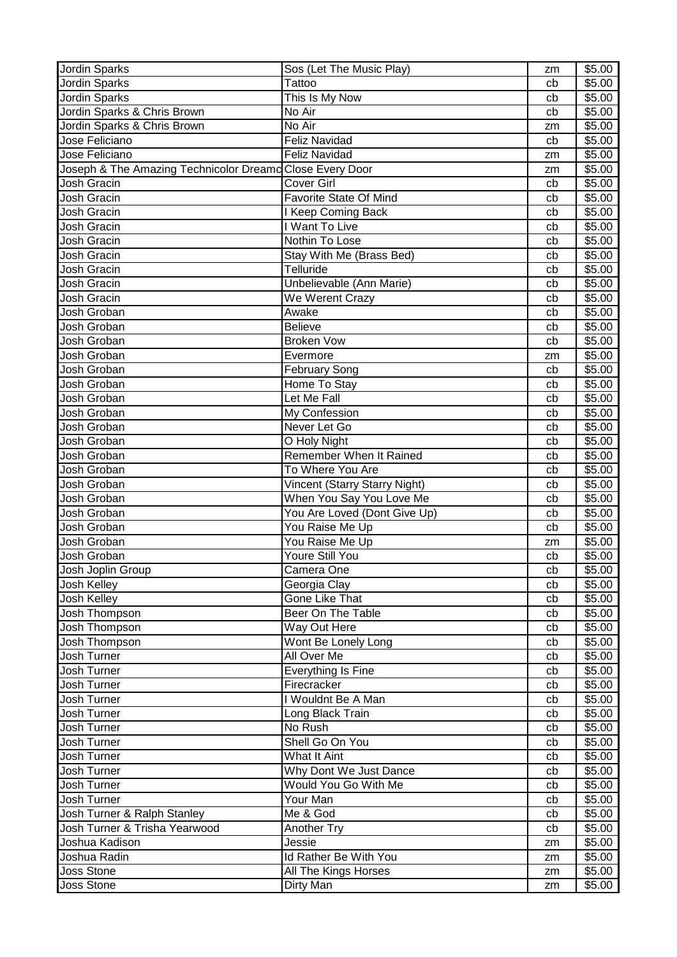| Jordin Sparks                                            | Sos (Let The Music Play)      | zm | \$5.00 |
|----------------------------------------------------------|-------------------------------|----|--------|
| Jordin Sparks                                            | Tattoo                        | cb | \$5.00 |
| Jordin Sparks                                            | This Is My Now                | cb | \$5.00 |
| Jordin Sparks & Chris Brown                              | No Air                        | cb | \$5.00 |
| Jordin Sparks & Chris Brown                              | No Air                        | zm | \$5.00 |
| Jose Feliciano                                           | <b>Feliz Navidad</b>          | cb | \$5.00 |
| Jose Feliciano                                           | <b>Feliz Navidad</b>          | zm | \$5.00 |
| Joseph & The Amazing Technicolor Dreamo Close Every Door |                               | zm | \$5.00 |
| Josh Gracin                                              | <b>Cover Girl</b>             | cb | \$5.00 |
| Josh Gracin                                              | Favorite State Of Mind        | cb | \$5.00 |
| <b>Josh Gracin</b>                                       | I Keep Coming Back            | cb | \$5.00 |
| Josh Gracin                                              | I Want To Live                | cb | \$5.00 |
| Josh Gracin                                              | Nothin To Lose                | cb | \$5.00 |
| Josh Gracin                                              | Stay With Me (Brass Bed)      | cb | \$5.00 |
| Josh Gracin                                              | Telluride                     | cb | \$5.00 |
| Josh Gracin                                              | Unbelievable (Ann Marie)      | cb | \$5.00 |
| Josh Gracin                                              | We Werent Crazy               | cb | \$5.00 |
| Josh Groban                                              | Awake                         | cb | \$5.00 |
| Josh Groban                                              | <b>Believe</b>                | cb | \$5.00 |
| Josh Groban                                              | <b>Broken Vow</b>             | cb | \$5.00 |
| Josh Groban                                              | Evermore                      | zm | \$5.00 |
| Josh Groban                                              | <b>February Song</b>          | cb | \$5.00 |
| Josh Groban                                              | Home To Stay                  | cb | \$5.00 |
| Josh Groban                                              | Let Me Fall                   | cb | \$5.00 |
| Josh Groban                                              | My Confession                 | cb | \$5.00 |
| Josh Groban                                              | Never Let Go                  | cb | \$5.00 |
| Josh Groban                                              | O Holy Night                  | cb | \$5.00 |
| Josh Groban                                              | Remember When It Rained       | cb | \$5.00 |
| Josh Groban                                              | To Where You Are              | cb | \$5.00 |
| Josh Groban                                              | Vincent (Starry Starry Night) | cb | \$5.00 |
| Josh Groban                                              | When You Say You Love Me      | cb | \$5.00 |
| Josh Groban                                              | You Are Loved (Dont Give Up)  | cb | \$5.00 |
| Josh Groban                                              | You Raise Me Up               | cb | \$5.00 |
| Josh Groban                                              | You Raise Me Up               | zm | \$5.00 |
| Josh Groban                                              | Youre Still You               | cb | \$5.00 |
| Josh Joplin Group                                        | Camera One                    | cb | \$5.00 |
| Josh Kelley                                              | Georgia Clay                  | cb | \$5.00 |
| Josh Kelley                                              | Gone Like That                | cb | \$5.00 |
| Josh Thompson                                            | Beer On The Table             | cb | \$5.00 |
| Josh Thompson                                            | Way Out Here                  | cb | \$5.00 |
| Josh Thompson                                            | Wont Be Lonely Long           | cb | \$5.00 |
| Josh Turner                                              | All Over Me                   | cb | \$5.00 |
| Josh Turner                                              | Everything Is Fine            | cb | \$5.00 |
| Josh Turner                                              | Firecracker                   | cb | \$5.00 |
| Josh Turner                                              | I Wouldnt Be A Man            | cb | \$5.00 |
| Josh Turner                                              | Long Black Train              | cb | \$5.00 |
| Josh Turner                                              | No Rush                       | cb | \$5.00 |
| Josh Turner                                              | Shell Go On You               | cb | \$5.00 |
| Josh Turner                                              | What It Aint                  | cb | \$5.00 |
| Josh Turner                                              | Why Dont We Just Dance        | cb | \$5.00 |
| Josh Turner                                              | Would You Go With Me          | cb | \$5.00 |
| Josh Turner                                              | Your Man                      | cb | \$5.00 |
| Josh Turner & Ralph Stanley                              | Me & God                      | cb | \$5.00 |
| Josh Turner & Trisha Yearwood                            | Another Try                   | cb | \$5.00 |
| Joshua Kadison                                           | Jessie                        | zm | \$5.00 |
| Joshua Radin                                             | Id Rather Be With You         | zm | \$5.00 |
| <b>Joss Stone</b>                                        | All The Kings Horses          | zm | \$5.00 |
| Joss Stone                                               | Dirty Man                     | zm | \$5.00 |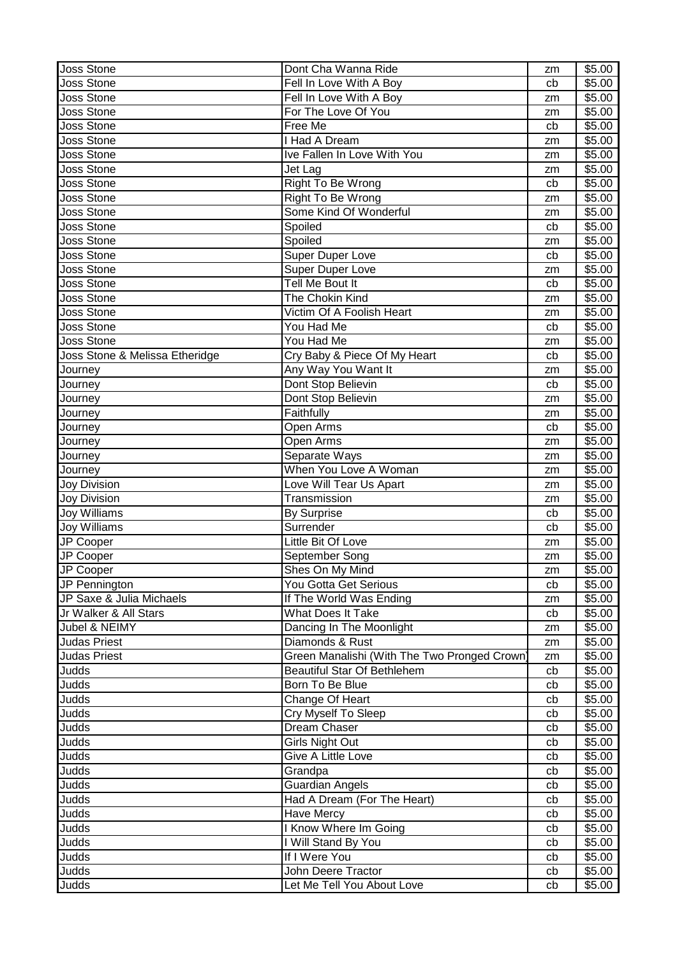| <b>Joss Stone</b>              | Dont Cha Wanna Ride                          | zm | \$5.00 |
|--------------------------------|----------------------------------------------|----|--------|
| <b>Joss Stone</b>              | Fell In Love With A Boy                      | cb | \$5.00 |
| Joss Stone                     | Fell In Love With A Boy                      | zm | \$5.00 |
| <b>Joss Stone</b>              | For The Love Of You                          | zm | \$5.00 |
| <b>Joss Stone</b>              | Free Me                                      | cb | \$5.00 |
| <b>Joss Stone</b>              | <b>Had A Dream</b>                           | zm | \$5.00 |
| <b>Joss Stone</b>              | Ive Fallen In Love With You                  | zm | \$5.00 |
| <b>Joss Stone</b>              | Jet Lag                                      | zm | \$5.00 |
| <b>Joss Stone</b>              | Right To Be Wrong                            | cb | \$5.00 |
| <b>Joss Stone</b>              | Right To Be Wrong                            | zm | \$5.00 |
| <b>Joss Stone</b>              | Some Kind Of Wonderful                       | zm | \$5.00 |
| <b>Joss Stone</b>              | Spoiled                                      | cb | \$5.00 |
| <b>Joss Stone</b>              | Spoiled                                      | zm | \$5.00 |
| <b>Joss Stone</b>              | <b>Super Duper Love</b>                      | cb | \$5.00 |
| <b>Joss Stone</b>              | Super Duper Love                             | zm | \$5.00 |
| <b>Joss Stone</b>              | Tell Me Bout It                              | cb | \$5.00 |
| <b>Joss Stone</b>              | The Chokin Kind                              | zm | \$5.00 |
| <b>Joss Stone</b>              | Victim Of A Foolish Heart                    | zm | \$5.00 |
| <b>Joss Stone</b>              | You Had Me                                   | cb | \$5.00 |
| <b>Joss Stone</b>              | You Had Me                                   | zm | \$5.00 |
| Joss Stone & Melissa Etheridge | Cry Baby & Piece Of My Heart                 | cb | \$5.00 |
| Journey                        | Any Way You Want It                          | zm | \$5.00 |
| Journey                        | Dont Stop Believin                           | cb | \$5.00 |
| Journey                        | Dont Stop Believin                           | zm | \$5.00 |
| Journey                        | Faithfully                                   | zm | \$5.00 |
| Journey                        | Open Arms                                    | cb | \$5.00 |
| Journey                        | Open Arms                                    | zm | \$5.00 |
| Journey                        | Separate Ways                                | zm | \$5.00 |
| Journey                        | When You Love A Woman                        | zm | \$5.00 |
| <b>Joy Division</b>            | Love Will Tear Us Apart                      | zm | \$5.00 |
| <b>Joy Division</b>            | Transmission                                 | zm | \$5.00 |
| Joy Williams                   | By Surprise                                  | cb | \$5.00 |
| Joy Williams                   | Surrender                                    | cb | \$5.00 |
| JP Cooper                      | Little Bit Of Love                           | zm | \$5.00 |
| JP Cooper                      | September Song                               | zm | \$5.00 |
| JP Cooper                      | Shes On My Mind                              | zm | \$5.00 |
| JP Pennington                  | You Gotta Get Serious                        | cb | \$5.00 |
| JP Saxe & Julia Michaels       | If The World Was Ending                      | zm | \$5.00 |
| Jr Walker & All Stars          | What Does It Take                            | cb | \$5.00 |
| Jubel & NEIMY                  | Dancing In The Moonlight                     | zm | \$5.00 |
| <b>Judas Priest</b>            | Diamonds & Rust                              | zm | \$5.00 |
| Judas Priest                   | Green Manalishi (With The Two Pronged Crown) | zm | \$5.00 |
| Judds                          | Beautiful Star Of Bethlehem                  | cb | \$5.00 |
| Judds                          | Born To Be Blue                              | cb | \$5.00 |
| Judds                          | Change Of Heart                              | cb | \$5.00 |
| Judds                          | Cry Myself To Sleep                          | cb | \$5.00 |
| Judds                          | Dream Chaser                                 | cb | \$5.00 |
| Judds                          | Girls Night Out                              | cb | \$5.00 |
| Judds                          | Give A Little Love                           | cb | \$5.00 |
| Judds                          | Grandpa                                      | cb | \$5.00 |
| Judds                          | <b>Guardian Angels</b>                       | cb | \$5.00 |
| Judds                          | Had A Dream (For The Heart)                  | cb | \$5.00 |
| Judds                          | Have Mercy                                   | cb | \$5.00 |
| Judds                          | <b>Know Where Im Going</b>                   | cb | \$5.00 |
| Judds                          | I Will Stand By You                          | cb | \$5.00 |
| Judds                          | If I Were You                                | cb | \$5.00 |
| Judds                          | John Deere Tractor                           | cb | \$5.00 |
| Judds                          | Let Me Tell You About Love                   | cb | \$5.00 |
|                                |                                              |    |        |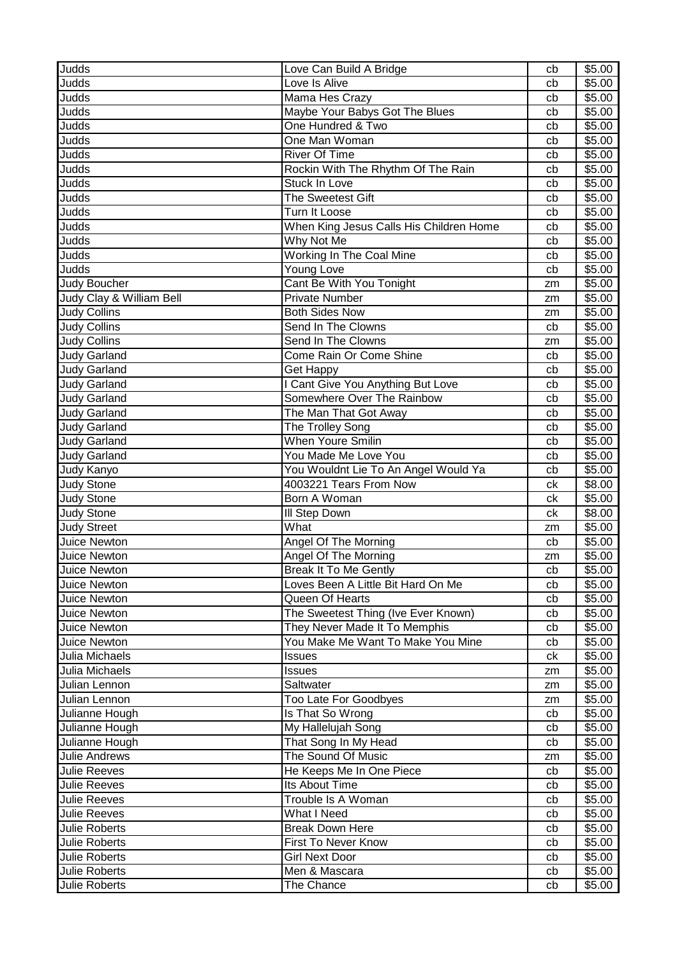| Judds                    | Love Can Build A Bridge                 | cb | \$5.00 |
|--------------------------|-----------------------------------------|----|--------|
| Judds                    | Love Is Alive                           | cb | \$5.00 |
| Judds                    | Mama Hes Crazy                          | cb | \$5.00 |
| Judds                    | Maybe Your Babys Got The Blues          | cb | \$5.00 |
| Judds                    | One Hundred & Two                       | cb | \$5.00 |
| Judds                    | One Man Woman                           | cb | \$5.00 |
| Judds                    | <b>River Of Time</b>                    | cb | \$5.00 |
| Judds                    | Rockin With The Rhythm Of The Rain      | cb | \$5.00 |
| Judds                    | Stuck In Love                           | cb | \$5.00 |
| Judds                    | The Sweetest Gift                       | cb | \$5.00 |
| Judds                    | Turn It Loose                           | cb | \$5.00 |
| Judds                    | When King Jesus Calls His Children Home | cb | \$5.00 |
| Judds                    | Why Not Me                              | cb | \$5.00 |
| Judds                    | Working In The Coal Mine                | cb | \$5.00 |
| Judds                    | Young Love                              | cb | \$5.00 |
| Judy Boucher             | Cant Be With You Tonight                | zm | \$5.00 |
| Judy Clay & William Bell | <b>Private Number</b>                   | zm | \$5.00 |
| Judy Collins             | <b>Both Sides Now</b>                   | zm | \$5.00 |
| <b>Judy Collins</b>      | Send In The Clowns                      | cb | \$5.00 |
| <b>Judy Collins</b>      | Send In The Clowns                      | zm | \$5.00 |
| <b>Judy Garland</b>      | Come Rain Or Come Shine                 | cb | \$5.00 |
| <b>Judy Garland</b>      | Get Happy                               | cb | \$5.00 |
| <b>Judy Garland</b>      | I Cant Give You Anything But Love       | cb | \$5.00 |
| <b>Judy Garland</b>      | Somewhere Over The Rainbow              | cb | \$5.00 |
| <b>Judy Garland</b>      | The Man That Got Away                   | cb | \$5.00 |
| <b>Judy Garland</b>      | The Trolley Song                        | cb | \$5.00 |
| <b>Judy Garland</b>      | <b>When Youre Smilin</b>                | cb | \$5.00 |
| <b>Judy Garland</b>      | You Made Me Love You                    | cb | \$5.00 |
| Judy Kanyo               | You Wouldnt Lie To An Angel Would Ya    | cb | \$5.00 |
| <b>Judy Stone</b>        | 4003221 Tears From Now                  | сk | \$8.00 |
| <b>Judy Stone</b>        | Born A Woman                            | сk | \$5.00 |
| <b>Judy Stone</b>        | III Step Down                           | ck | \$8.00 |
| <b>Judy Street</b>       | What                                    | zm | \$5.00 |
| Juice Newton             | Angel Of The Morning                    | cb | \$5.00 |
| Juice Newton             | Angel Of The Morning                    | zm | \$5.00 |
| Juice Newton             | Break It To Me Gently                   | cb | \$5.00 |
| <b>Juice Newton</b>      | Loves Been A Little Bit Hard On Me      | cb | \$5.00 |
| Juice Newton             | Queen Of Hearts                         | cb | \$5.00 |
| <b>Juice Newton</b>      | The Sweetest Thing (Ive Ever Known)     | cb | \$5.00 |
| <b>Juice Newton</b>      | They Never Made It To Memphis           | cb | \$5.00 |
| Juice Newton             | You Make Me Want To Make You Mine       | cb | \$5.00 |
| Julia Michaels           | <b>Issues</b>                           | ck | \$5.00 |
| Julia Michaels           | Issues                                  | zm | \$5.00 |
| Julian Lennon            | Saltwater                               | zm | \$5.00 |
| Julian Lennon            | Too Late For Goodbyes                   | zm | \$5.00 |
| Julianne Hough           | Is That So Wrong                        | cb | \$5.00 |
| Julianne Hough           | My Hallelujah Song                      | cb | \$5.00 |
| Julianne Hough           | That Song In My Head                    | cb | \$5.00 |
| <b>Julie Andrews</b>     | The Sound Of Music                      | zm | \$5.00 |
| <b>Julie Reeves</b>      | He Keeps Me In One Piece                | cb | \$5.00 |
| <b>Julie Reeves</b>      | Its About Time                          | cb | \$5.00 |
| <b>Julie Reeves</b>      | Trouble Is A Woman                      | cb | \$5.00 |
| <b>Julie Reeves</b>      | What I Need                             | cb | \$5.00 |
| <b>Julie Roberts</b>     | <b>Break Down Here</b>                  | cb | \$5.00 |
| Julie Roberts            | First To Never Know                     | cb | \$5.00 |
| Julie Roberts            | <b>Girl Next Door</b>                   | cb | \$5.00 |
| <b>Julie Roberts</b>     | Men & Mascara                           | cb | \$5.00 |
| Julie Roberts            | The Chance                              | cb | \$5.00 |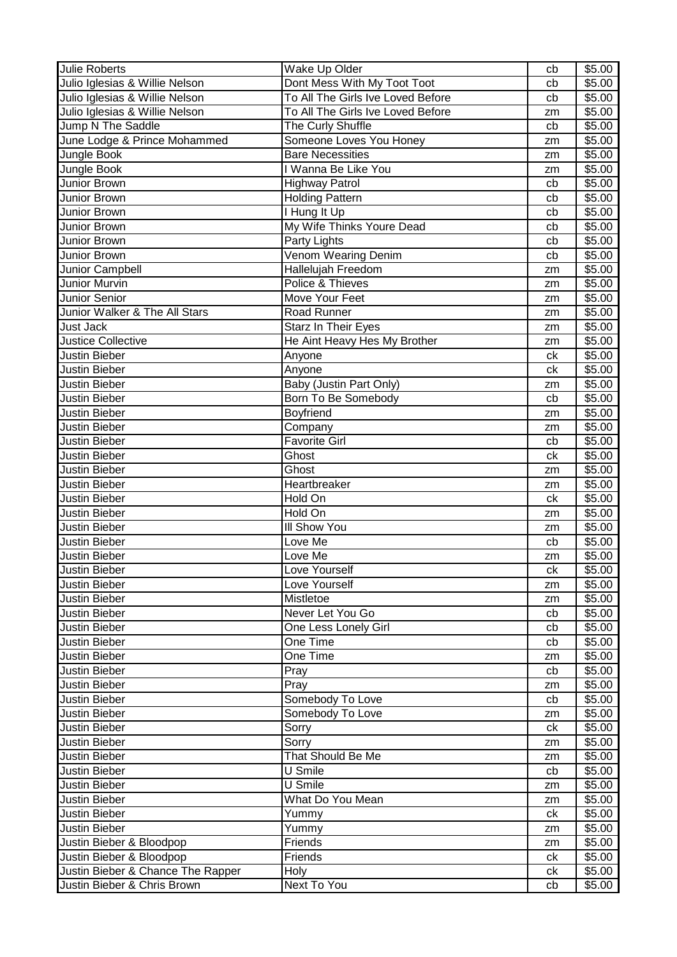| <b>Julie Roberts</b>              | Wake Up Older                     | cb | \$5.00 |
|-----------------------------------|-----------------------------------|----|--------|
| Julio Iglesias & Willie Nelson    | Dont Mess With My Toot Toot       | cb | \$5.00 |
| Julio Iglesias & Willie Nelson    | To All The Girls Ive Loved Before | cb | \$5.00 |
| Julio Iglesias & Willie Nelson    | To All The Girls Ive Loved Before | zm | \$5.00 |
| Jump N The Saddle                 | The Curly Shuffle                 | cb | \$5.00 |
| June Lodge & Prince Mohammed      | Someone Loves You Honey           | zm | \$5.00 |
| Jungle Book                       | <b>Bare Necessities</b>           | zm | \$5.00 |
| Jungle Book                       | I Wanna Be Like You               | zm | \$5.00 |
| Junior Brown                      | <b>Highway Patrol</b>             | cb | \$5.00 |
| Junior Brown                      | <b>Holding Pattern</b>            | cb | \$5.00 |
| Junior Brown                      | I Hung It Up                      | cb | \$5.00 |
| Junior Brown                      | My Wife Thinks Youre Dead         | cb | \$5.00 |
| Junior Brown                      | Party Lights                      | cb | \$5.00 |
| Junior Brown                      | Venom Wearing Denim               | cb | \$5.00 |
| Junior Campbell                   | Hallelujah Freedom                | zm | \$5.00 |
| Junior Murvin                     | Police & Thieves                  | zm | \$5.00 |
| Junior Senior                     | Move Your Feet                    | zm | \$5.00 |
| Junior Walker & The All Stars     | Road Runner                       | zm | \$5.00 |
| Just Jack                         | Starz In Their Eyes               | zm | \$5.00 |
| <b>Justice Collective</b>         | He Aint Heavy Hes My Brother      | zm | \$5.00 |
| Justin Bieber                     | Anyone                            | ck | \$5.00 |
| Justin Bieber                     | Anyone                            | ck | \$5.00 |
| Justin Bieber                     | Baby (Justin Part Only)           | zm | \$5.00 |
| Justin Bieber                     | Born To Be Somebody               | cb | \$5.00 |
| Justin Bieber                     | Boyfriend                         | zm | \$5.00 |
| Justin Bieber                     | Company                           | zm | \$5.00 |
| Justin Bieber                     | <b>Favorite Girl</b>              | cb | \$5.00 |
| Justin Bieber                     | Ghost                             | ck | \$5.00 |
| Justin Bieber                     | Ghost                             | zm | \$5.00 |
| Justin Bieber                     | Heartbreaker                      | zm | \$5.00 |
| Justin Bieber                     | Hold On                           | ck | \$5.00 |
| Justin Bieber                     | Hold On                           | zm | \$5.00 |
| Justin Bieber                     | III Show You                      | zm | \$5.00 |
| Justin Bieber                     | Love Me                           | cb | \$5.00 |
| Justin Bieber                     | Love Me                           | zm | \$5.00 |
| Justin Bieber                     | Love Yourself                     | ck | \$5.00 |
| <b>Justin Bieber</b>              | Love Yourself                     | zm | \$5.00 |
| <b>Justin Bieber</b>              | Mistletoe                         | zm | \$5.00 |
| Justin Bieber                     | Never Let You Go                  | cb | \$5.00 |
| <b>Justin Bieber</b>              | One Less Lonely Girl              | cb | \$5.00 |
| Justin Bieber                     | One Time                          | cb | \$5.00 |
| Justin Bieber                     | One Time                          | zm | \$5.00 |
| <b>Justin Bieber</b>              | Pray                              | cb | \$5.00 |
| <b>Justin Bieber</b>              | Pray                              | zm | \$5.00 |
| <b>Justin Bieber</b>              | Somebody To Love                  | cb | \$5.00 |
| Justin Bieber                     | Somebody To Love                  | zm | \$5.00 |
| Justin Bieber                     | Sorry                             | ck | \$5.00 |
| <b>Justin Bieber</b>              | Sorry                             | zm | \$5.00 |
| <b>Justin Bieber</b>              | That Should Be Me                 | zm | \$5.00 |
| <b>Justin Bieber</b>              | U Smile                           | cb | \$5.00 |
| Justin Bieber                     | U Smile                           | zm | \$5.00 |
| Justin Bieber                     | What Do You Mean                  | zm | \$5.00 |
| Justin Bieber                     | Yummy                             | ck | \$5.00 |
| <b>Justin Bieber</b>              | Yummy                             | zm | \$5.00 |
| Justin Bieber & Bloodpop          | Friends                           | zm | \$5.00 |
| Justin Bieber & Bloodpop          | Friends                           | ck | \$5.00 |
| Justin Bieber & Chance The Rapper | Holy                              | ck | \$5.00 |
| Justin Bieber & Chris Brown       | Next To You                       | cb | \$5.00 |